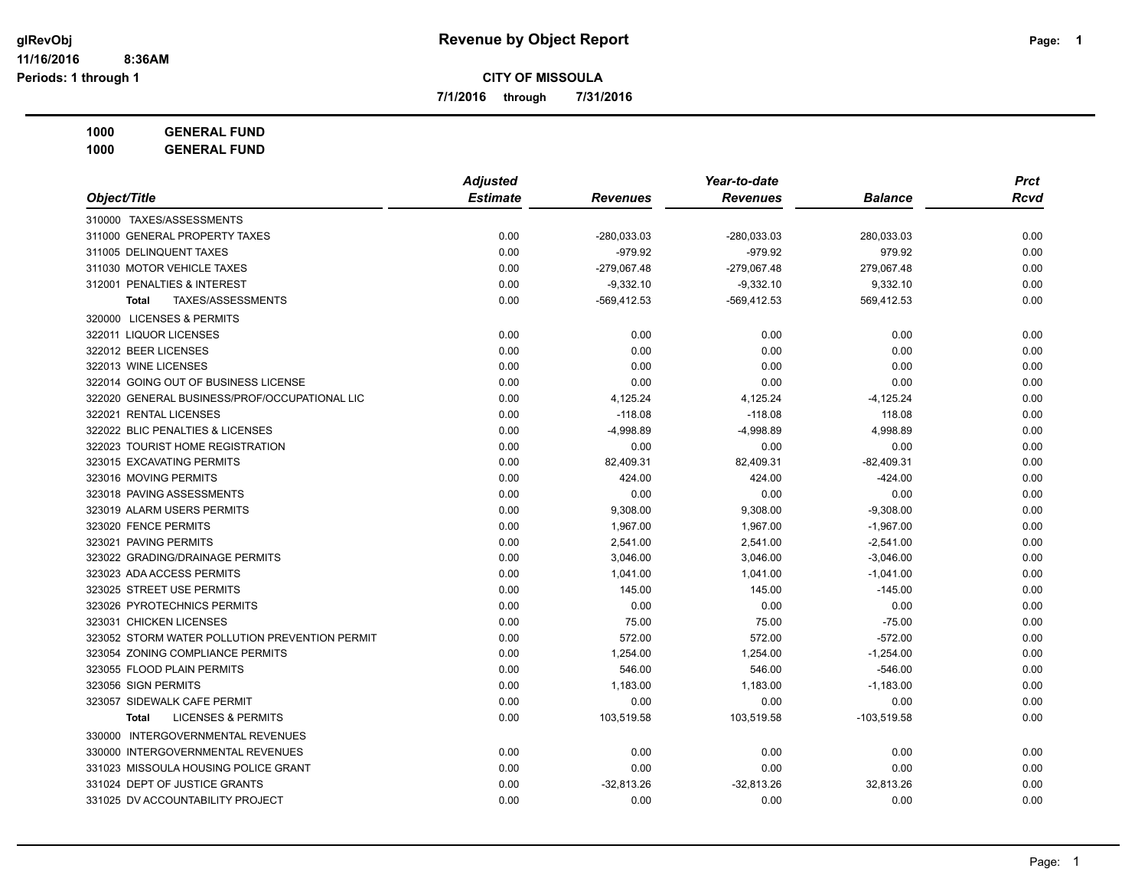#### **CITY OF MISSOULA**

**7/1/2016 through 7/31/2016**

**1000 GENERAL FUND**

 **8:36AM**

|                                                | <b>Adjusted</b> |                 | Year-to-date    |                | <b>Prct</b> |
|------------------------------------------------|-----------------|-----------------|-----------------|----------------|-------------|
| Object/Title                                   | <b>Estimate</b> | <b>Revenues</b> | <b>Revenues</b> | <b>Balance</b> | <b>Rcvd</b> |
| 310000 TAXES/ASSESSMENTS                       |                 |                 |                 |                |             |
| 311000 GENERAL PROPERTY TAXES                  | 0.00            | $-280,033.03$   | $-280,033.03$   | 280,033.03     | 0.00        |
| 311005 DELINQUENT TAXES                        | 0.00            | $-979.92$       | $-979.92$       | 979.92         | 0.00        |
| 311030 MOTOR VEHICLE TAXES                     | 0.00            | $-279,067.48$   | $-279,067.48$   | 279,067.48     | 0.00        |
| 312001 PENALTIES & INTEREST                    | 0.00            | $-9,332.10$     | $-9,332.10$     | 9,332.10       | 0.00        |
| TAXES/ASSESSMENTS<br>Total                     | 0.00            | $-569,412.53$   | $-569,412.53$   | 569,412.53     | 0.00        |
| 320000 LICENSES & PERMITS                      |                 |                 |                 |                |             |
| 322011 LIQUOR LICENSES                         | 0.00            | 0.00            | 0.00            | 0.00           | 0.00        |
| 322012 BEER LICENSES                           | 0.00            | 0.00            | 0.00            | 0.00           | 0.00        |
| 322013 WINE LICENSES                           | 0.00            | 0.00            | 0.00            | 0.00           | 0.00        |
| 322014 GOING OUT OF BUSINESS LICENSE           | 0.00            | 0.00            | 0.00            | 0.00           | 0.00        |
| 322020 GENERAL BUSINESS/PROF/OCCUPATIONAL LIC  | 0.00            | 4,125.24        | 4,125.24        | $-4,125.24$    | 0.00        |
| 322021 RENTAL LICENSES                         | 0.00            | $-118.08$       | $-118.08$       | 118.08         | 0.00        |
| 322022 BLIC PENALTIES & LICENSES               | 0.00            | $-4,998.89$     | $-4,998.89$     | 4,998.89       | 0.00        |
| 322023 TOURIST HOME REGISTRATION               | 0.00            | 0.00            | 0.00            | 0.00           | 0.00        |
| 323015 EXCAVATING PERMITS                      | 0.00            | 82,409.31       | 82,409.31       | $-82,409.31$   | 0.00        |
| 323016 MOVING PERMITS                          | 0.00            | 424.00          | 424.00          | $-424.00$      | 0.00        |
| 323018 PAVING ASSESSMENTS                      | 0.00            | 0.00            | 0.00            | 0.00           | 0.00        |
| 323019 ALARM USERS PERMITS                     | 0.00            | 9,308.00        | 9,308.00        | $-9,308.00$    | 0.00        |
| 323020 FENCE PERMITS                           | 0.00            | 1,967.00        | 1,967.00        | $-1,967.00$    | 0.00        |
| 323021 PAVING PERMITS                          | 0.00            | 2,541.00        | 2,541.00        | $-2,541.00$    | 0.00        |
| 323022 GRADING/DRAINAGE PERMITS                | 0.00            | 3,046.00        | 3,046.00        | $-3,046.00$    | 0.00        |
| 323023 ADA ACCESS PERMITS                      | 0.00            | 1,041.00        | 1,041.00        | $-1,041.00$    | 0.00        |
| 323025 STREET USE PERMITS                      | 0.00            | 145.00          | 145.00          | $-145.00$      | 0.00        |
| 323026 PYROTECHNICS PERMITS                    | 0.00            | 0.00            | 0.00            | 0.00           | 0.00        |
| 323031 CHICKEN LICENSES                        | 0.00            | 75.00           | 75.00           | $-75.00$       | 0.00        |
| 323052 STORM WATER POLLUTION PREVENTION PERMIT | 0.00            | 572.00          | 572.00          | $-572.00$      | 0.00        |
| 323054 ZONING COMPLIANCE PERMITS               | 0.00            | 1,254.00        | 1,254.00        | $-1,254.00$    | 0.00        |
| 323055 FLOOD PLAIN PERMITS                     | 0.00            | 546.00          | 546.00          | $-546.00$      | 0.00        |
| 323056 SIGN PERMITS                            | 0.00            | 1,183.00        | 1,183.00        | $-1,183.00$    | 0.00        |
| 323057 SIDEWALK CAFE PERMIT                    | 0.00            | 0.00            | 0.00            | 0.00           | 0.00        |
| <b>LICENSES &amp; PERMITS</b><br><b>Total</b>  | 0.00            | 103,519.58      | 103,519.58      | $-103,519.58$  | 0.00        |
| 330000 INTERGOVERNMENTAL REVENUES              |                 |                 |                 |                |             |
| 330000 INTERGOVERNMENTAL REVENUES              | 0.00            | 0.00            | 0.00            | 0.00           | 0.00        |
| 331023 MISSOULA HOUSING POLICE GRANT           | 0.00            | 0.00            | 0.00            | 0.00           | 0.00        |
| 331024 DEPT OF JUSTICE GRANTS                  | 0.00            | $-32,813.26$    | $-32,813.26$    | 32,813.26      | 0.00        |
| 331025 DV ACCOUNTABILITY PROJECT               | 0.00            | 0.00            | 0.00            | 0.00           | 0.00        |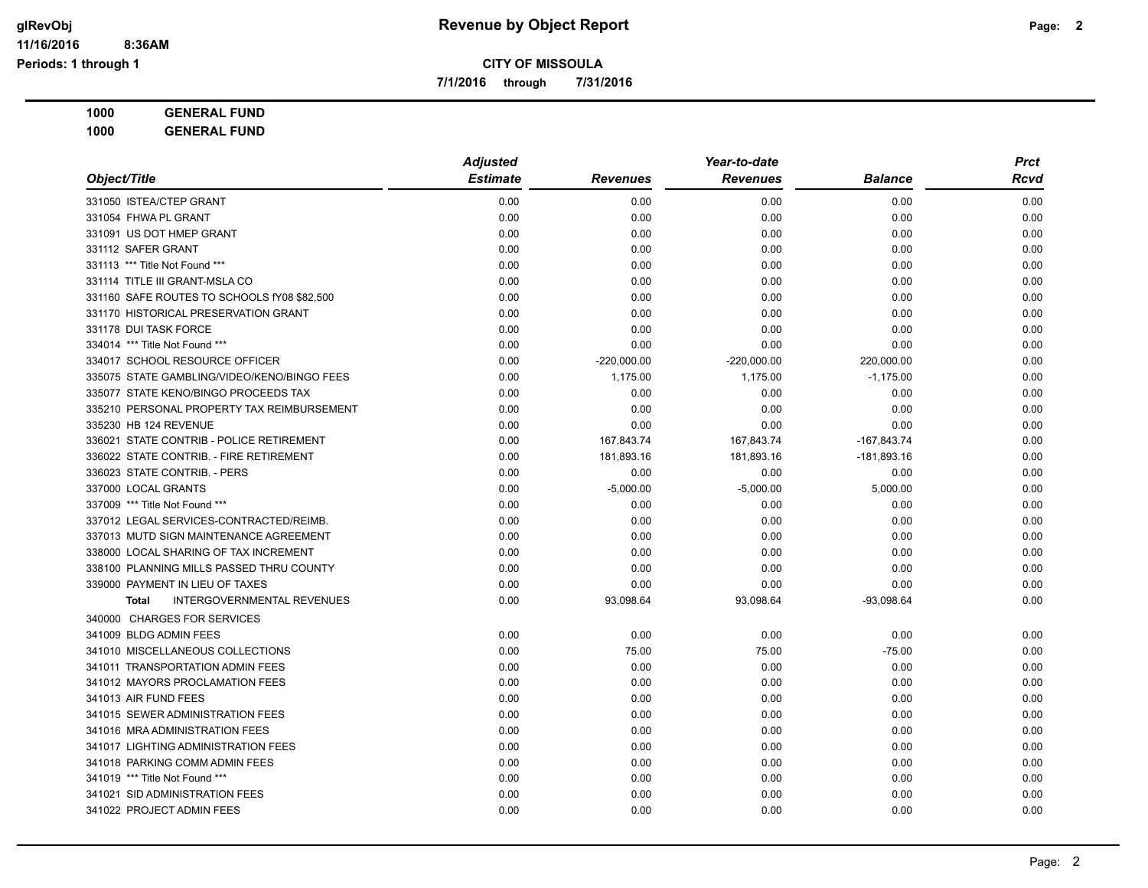**7/1/2016 through 7/31/2016**

**Periods: 1 through 1**

#### **1000 GENERAL FUND**

 **8:36AM**

| <b>Adjusted</b> |                 | Year-to-date    |                |             |
|-----------------|-----------------|-----------------|----------------|-------------|
| <b>Estimate</b> | <b>Revenues</b> | <b>Revenues</b> | <b>Balance</b> | <b>Rcvd</b> |
| 0.00            | 0.00            | 0.00            | 0.00           | 0.00        |
| 0.00            | 0.00            | 0.00            | 0.00           | 0.00        |
| 0.00            | 0.00            | 0.00            | 0.00           | 0.00        |
| 0.00            | 0.00            | 0.00            | 0.00           | 0.00        |
| 0.00            | 0.00            | 0.00            | 0.00           | 0.00        |
| 0.00            | 0.00            | 0.00            | 0.00           | 0.00        |
| 0.00            | 0.00            | 0.00            | 0.00           | 0.00        |
| 0.00            | 0.00            | 0.00            | 0.00           | 0.00        |
| 0.00            | 0.00            | 0.00            | 0.00           | 0.00        |
| 0.00            | 0.00            | 0.00            | 0.00           | 0.00        |
| 0.00            | $-220,000.00$   | $-220,000.00$   | 220,000.00     | 0.00        |
| 0.00            | 1,175.00        | 1,175.00        | $-1,175.00$    | 0.00        |
| 0.00            | 0.00            | 0.00            | 0.00           | 0.00        |
| 0.00            | 0.00            | 0.00            | 0.00           | 0.00        |
| 0.00            | 0.00            | 0.00            | 0.00           | 0.00        |
| 0.00            | 167,843.74      | 167,843.74      | $-167,843.74$  | 0.00        |
| 0.00            | 181,893.16      | 181,893.16      | $-181,893.16$  | 0.00        |
| 0.00            | 0.00            | 0.00            | 0.00           | 0.00        |
| 0.00            | $-5,000.00$     | $-5,000.00$     | 5,000.00       | 0.00        |
| 0.00            | 0.00            | 0.00            | 0.00           | 0.00        |
| 0.00            | 0.00            | 0.00            | 0.00           | 0.00        |
| 0.00            | 0.00            | 0.00            | 0.00           | 0.00        |
| 0.00            | 0.00            | 0.00            | 0.00           | 0.00        |
| 0.00            | 0.00            | 0.00            | 0.00           | 0.00        |
| 0.00            | 0.00            | 0.00            | 0.00           | 0.00        |
| 0.00            | 93,098.64       | 93,098.64       | $-93,098.64$   | 0.00        |
|                 |                 |                 |                |             |
| 0.00            | 0.00            | 0.00            | 0.00           | 0.00        |
| 0.00            | 75.00           | 75.00           | $-75.00$       | 0.00        |
| 0.00            | 0.00            | 0.00            | 0.00           | 0.00        |
| 0.00            | 0.00            | 0.00            | 0.00           | 0.00        |
| 0.00            | 0.00            | 0.00            | 0.00           | 0.00        |
| 0.00            | 0.00            | 0.00            | 0.00           | 0.00        |
| 0.00            | 0.00            | 0.00            | 0.00           | 0.00        |
| 0.00            | 0.00            | 0.00            | 0.00           | 0.00        |
| 0.00            | 0.00            | 0.00            | 0.00           | 0.00        |
| 0.00            | 0.00            | 0.00            | 0.00           | 0.00        |
| 0.00            | 0.00            | 0.00            | 0.00           | 0.00        |
| 0.00            | 0.00            | 0.00            | 0.00           | 0.00        |
|                 |                 |                 |                |             |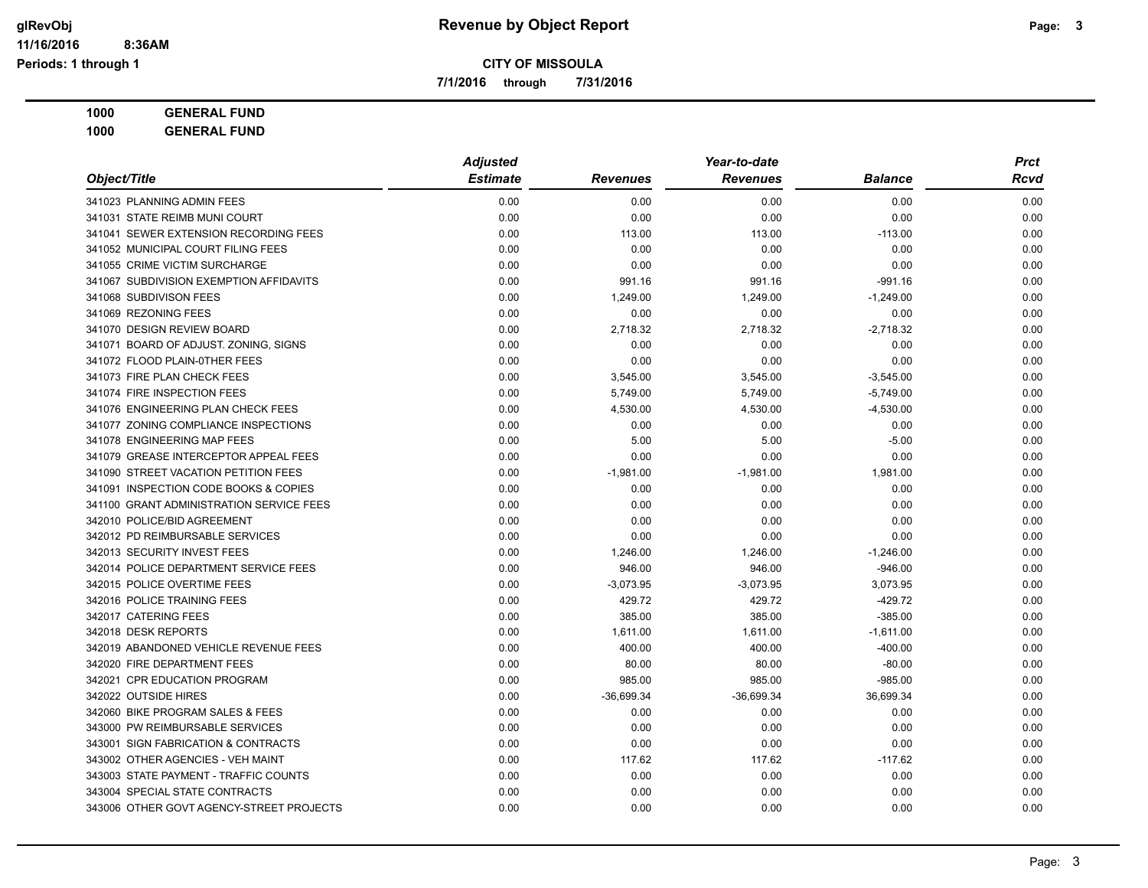**CITY OF MISSOULA**

**7/1/2016 through 7/31/2016**

 **8:36AM**

### **1000 GENERAL FUND**

|                                          | <b>Adjusted</b> |                 | Year-to-date    |                | <b>Prct</b> |
|------------------------------------------|-----------------|-----------------|-----------------|----------------|-------------|
| Object/Title                             | <b>Estimate</b> | <b>Revenues</b> | <b>Revenues</b> | <b>Balance</b> | <b>Rcvd</b> |
| 341023 PLANNING ADMIN FEES               | 0.00            | 0.00            | 0.00            | 0.00           | 0.00        |
| 341031 STATE REIMB MUNI COURT            | 0.00            | 0.00            | 0.00            | 0.00           | 0.00        |
| 341041 SEWER EXTENSION RECORDING FEES    | 0.00            | 113.00          | 113.00          | $-113.00$      | 0.00        |
| 341052 MUNICIPAL COURT FILING FEES       | 0.00            | 0.00            | 0.00            | 0.00           | 0.00        |
| 341055 CRIME VICTIM SURCHARGE            | 0.00            | 0.00            | 0.00            | 0.00           | 0.00        |
| 341067 SUBDIVISION EXEMPTION AFFIDAVITS  | 0.00            | 991.16          | 991.16          | $-991.16$      | 0.00        |
| 341068 SUBDIVISON FEES                   | 0.00            | 1,249.00        | 1,249.00        | $-1,249.00$    | 0.00        |
| 341069 REZONING FEES                     | 0.00            | 0.00            | 0.00            | 0.00           | 0.00        |
| 341070 DESIGN REVIEW BOARD               | 0.00            | 2,718.32        | 2,718.32        | $-2,718.32$    | 0.00        |
| 341071 BOARD OF ADJUST. ZONING, SIGNS    | 0.00            | 0.00            | 0.00            | 0.00           | 0.00        |
| 341072 FLOOD PLAIN-0THER FEES            | 0.00            | 0.00            | 0.00            | 0.00           | 0.00        |
| 341073 FIRE PLAN CHECK FEES              | 0.00            | 3,545.00        | 3,545.00        | $-3,545.00$    | 0.00        |
| 341074 FIRE INSPECTION FEES              | 0.00            | 5,749.00        | 5,749.00        | $-5,749.00$    | 0.00        |
| 341076 ENGINEERING PLAN CHECK FEES       | 0.00            | 4,530.00        | 4,530.00        | $-4,530.00$    | 0.00        |
| 341077 ZONING COMPLIANCE INSPECTIONS     | 0.00            | 0.00            | 0.00            | 0.00           | 0.00        |
| 341078 ENGINEERING MAP FEES              | 0.00            | 5.00            | 5.00            | $-5.00$        | 0.00        |
| 341079 GREASE INTERCEPTOR APPEAL FEES    | 0.00            | 0.00            | 0.00            | 0.00           | 0.00        |
| 341090 STREET VACATION PETITION FEES     | 0.00            | $-1,981.00$     | $-1,981.00$     | 1,981.00       | 0.00        |
| 341091 INSPECTION CODE BOOKS & COPIES    | 0.00            | 0.00            | 0.00            | 0.00           | 0.00        |
| 341100 GRANT ADMINISTRATION SERVICE FEES | 0.00            | 0.00            | 0.00            | 0.00           | 0.00        |
| 342010 POLICE/BID AGREEMENT              | 0.00            | 0.00            | 0.00            | 0.00           | 0.00        |
| 342012 PD REIMBURSABLE SERVICES          | 0.00            | 0.00            | 0.00            | 0.00           | 0.00        |
| 342013 SECURITY INVEST FEES              | 0.00            | 1,246.00        | 1,246.00        | $-1,246.00$    | 0.00        |
| 342014 POLICE DEPARTMENT SERVICE FEES    | 0.00            | 946.00          | 946.00          | $-946.00$      | 0.00        |
| 342015 POLICE OVERTIME FEES              | 0.00            | $-3,073.95$     | $-3,073.95$     | 3,073.95       | 0.00        |
| 342016 POLICE TRAINING FEES              | 0.00            | 429.72          | 429.72          | $-429.72$      | 0.00        |
| 342017 CATERING FEES                     | 0.00            | 385.00          | 385.00          | $-385.00$      | 0.00        |
| 342018 DESK REPORTS                      | 0.00            | 1,611.00        | 1,611.00        | $-1,611.00$    | 0.00        |
| 342019 ABANDONED VEHICLE REVENUE FEES    | 0.00            | 400.00          | 400.00          | $-400.00$      | 0.00        |
| 342020 FIRE DEPARTMENT FEES              | 0.00            | 80.00           | 80.00           | $-80.00$       | 0.00        |
| 342021 CPR EDUCATION PROGRAM             | 0.00            | 985.00          | 985.00          | $-985.00$      | 0.00        |
| 342022 OUTSIDE HIRES                     | 0.00            | $-36,699.34$    | $-36,699.34$    | 36,699.34      | 0.00        |
| 342060 BIKE PROGRAM SALES & FEES         | 0.00            | 0.00            | 0.00            | 0.00           | 0.00        |
| 343000 PW REIMBURSABLE SERVICES          | 0.00            | 0.00            | 0.00            | 0.00           | 0.00        |
| 343001 SIGN FABRICATION & CONTRACTS      | 0.00            | 0.00            | 0.00            | 0.00           | 0.00        |
| 343002 OTHER AGENCIES - VEH MAINT        | 0.00            | 117.62          | 117.62          | $-117.62$      | 0.00        |
| 343003 STATE PAYMENT - TRAFFIC COUNTS    | 0.00            | 0.00            | 0.00            | 0.00           | 0.00        |
| 343004 SPECIAL STATE CONTRACTS           | 0.00            | 0.00            | 0.00            | 0.00           | 0.00        |
| 343006 OTHER GOVT AGENCY-STREET PROJECTS | 0.00            | 0.00            | 0.00            | 0.00           | 0.00        |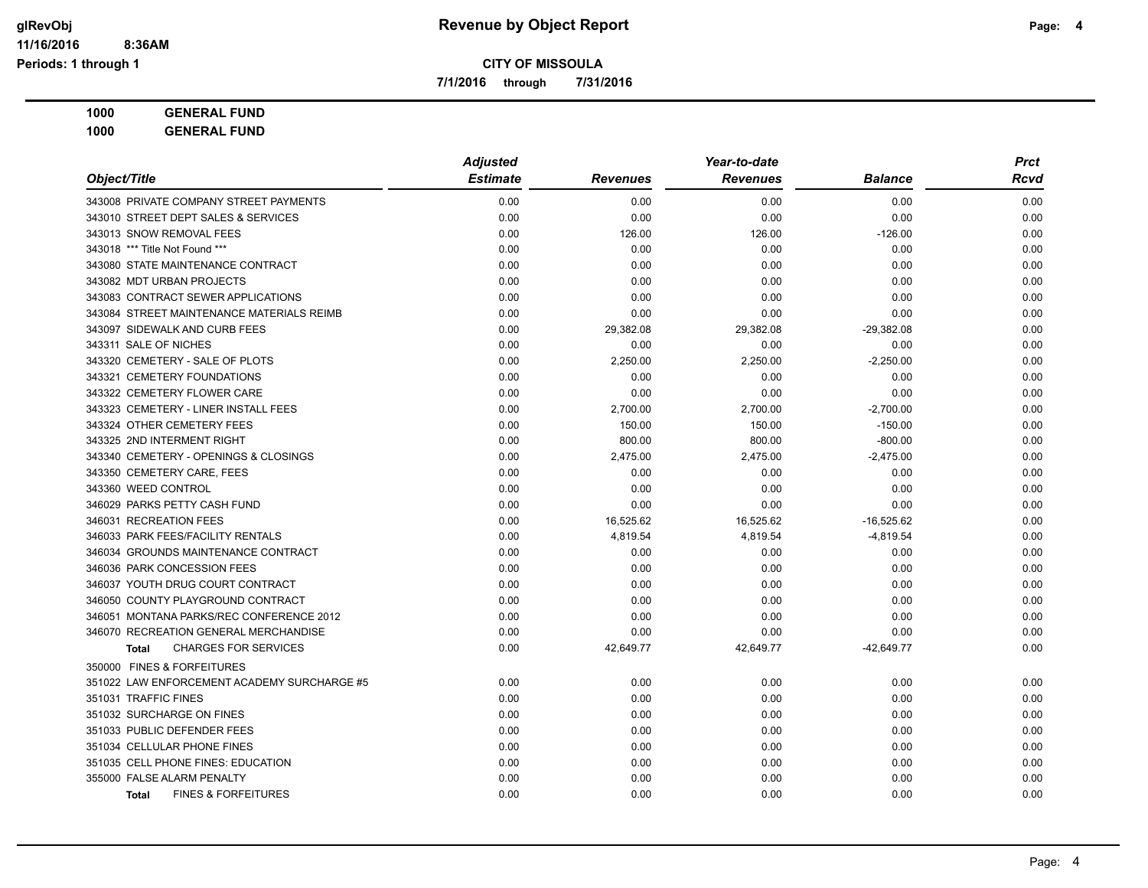**CITY OF MISSOULA**

**7/1/2016 through 7/31/2016**

#### **1000 GENERAL FUND**

|                                                | <b>Adjusted</b> |                 | Year-to-date    |                | <b>Prct</b> |
|------------------------------------------------|-----------------|-----------------|-----------------|----------------|-------------|
| Object/Title                                   | <b>Estimate</b> | <b>Revenues</b> | <b>Revenues</b> | <b>Balance</b> | Rcvd        |
| 343008 PRIVATE COMPANY STREET PAYMENTS         | 0.00            | 0.00            | 0.00            | 0.00           | 0.00        |
| 343010 STREET DEPT SALES & SERVICES            | 0.00            | 0.00            | 0.00            | 0.00           | 0.00        |
| 343013 SNOW REMOVAL FEES                       | 0.00            | 126.00          | 126.00          | $-126.00$      | 0.00        |
| 343018 *** Title Not Found ***                 | 0.00            | 0.00            | 0.00            | 0.00           | 0.00        |
| 343080 STATE MAINTENANCE CONTRACT              | 0.00            | 0.00            | 0.00            | 0.00           | 0.00        |
| 343082 MDT URBAN PROJECTS                      | 0.00            | 0.00            | 0.00            | 0.00           | 0.00        |
| 343083 CONTRACT SEWER APPLICATIONS             | 0.00            | 0.00            | 0.00            | 0.00           | 0.00        |
| 343084 STREET MAINTENANCE MATERIALS REIMB      | 0.00            | 0.00            | 0.00            | 0.00           | 0.00        |
| 343097 SIDEWALK AND CURB FEES                  | 0.00            | 29,382.08       | 29,382.08       | $-29,382.08$   | 0.00        |
| 343311 SALE OF NICHES                          | 0.00            | 0.00            | 0.00            | 0.00           | 0.00        |
| 343320 CEMETERY - SALE OF PLOTS                | 0.00            | 2,250.00        | 2,250.00        | $-2,250.00$    | 0.00        |
| 343321 CEMETERY FOUNDATIONS                    | 0.00            | 0.00            | 0.00            | 0.00           | 0.00        |
| 343322 CEMETERY FLOWER CARE                    | 0.00            | 0.00            | 0.00            | 0.00           | 0.00        |
| 343323 CEMETERY - LINER INSTALL FEES           | 0.00            | 2,700.00        | 2,700.00        | $-2,700.00$    | 0.00        |
| 343324 OTHER CEMETERY FEES                     | 0.00            | 150.00          | 150.00          | $-150.00$      | 0.00        |
| 343325 2ND INTERMENT RIGHT                     | 0.00            | 800.00          | 800.00          | $-800.00$      | 0.00        |
| 343340 CEMETERY - OPENINGS & CLOSINGS          | 0.00            | 2,475.00        | 2,475.00        | $-2,475.00$    | 0.00        |
| 343350 CEMETERY CARE, FEES                     | 0.00            | 0.00            | 0.00            | 0.00           | 0.00        |
| 343360 WEED CONTROL                            | 0.00            | 0.00            | 0.00            | 0.00           | 0.00        |
| 346029 PARKS PETTY CASH FUND                   | 0.00            | 0.00            | 0.00            | 0.00           | 0.00        |
| 346031 RECREATION FEES                         | 0.00            | 16,525.62       | 16,525.62       | $-16,525.62$   | 0.00        |
| 346033 PARK FEES/FACILITY RENTALS              | 0.00            | 4,819.54        | 4,819.54        | $-4,819.54$    | 0.00        |
| 346034 GROUNDS MAINTENANCE CONTRACT            | 0.00            | 0.00            | 0.00            | 0.00           | 0.00        |
| 346036 PARK CONCESSION FEES                    | 0.00            | 0.00            | 0.00            | 0.00           | 0.00        |
| 346037 YOUTH DRUG COURT CONTRACT               | 0.00            | 0.00            | 0.00            | 0.00           | 0.00        |
| 346050 COUNTY PLAYGROUND CONTRACT              | 0.00            | 0.00            | 0.00            | 0.00           | 0.00        |
| 346051 MONTANA PARKS/REC CONFERENCE 2012       | 0.00            | 0.00            | 0.00            | 0.00           | 0.00        |
| 346070 RECREATION GENERAL MERCHANDISE          | 0.00            | 0.00            | 0.00            | 0.00           | 0.00        |
| <b>CHARGES FOR SERVICES</b><br><b>Total</b>    | 0.00            | 42,649.77       | 42,649.77       | $-42,649.77$   | 0.00        |
| 350000 FINES & FORFEITURES                     |                 |                 |                 |                |             |
| 351022 LAW ENFORCEMENT ACADEMY SURCHARGE #5    | 0.00            | 0.00            | 0.00            | 0.00           | 0.00        |
| 351031 TRAFFIC FINES                           | 0.00            | 0.00            | 0.00            | 0.00           | 0.00        |
| 351032 SURCHARGE ON FINES                      | 0.00            | 0.00            | 0.00            | 0.00           | 0.00        |
| 351033 PUBLIC DEFENDER FEES                    | 0.00            | 0.00            | 0.00            | 0.00           | 0.00        |
| 351034 CELLULAR PHONE FINES                    | 0.00            | 0.00            | 0.00            | 0.00           | 0.00        |
| 351035 CELL PHONE FINES: EDUCATION             | 0.00            | 0.00            | 0.00            | 0.00           | 0.00        |
| 355000 FALSE ALARM PENALTY                     | 0.00            | 0.00            | 0.00            | 0.00           | 0.00        |
| <b>FINES &amp; FORFEITURES</b><br><b>Total</b> | 0.00            | 0.00            | 0.00            | 0.00           | 0.00        |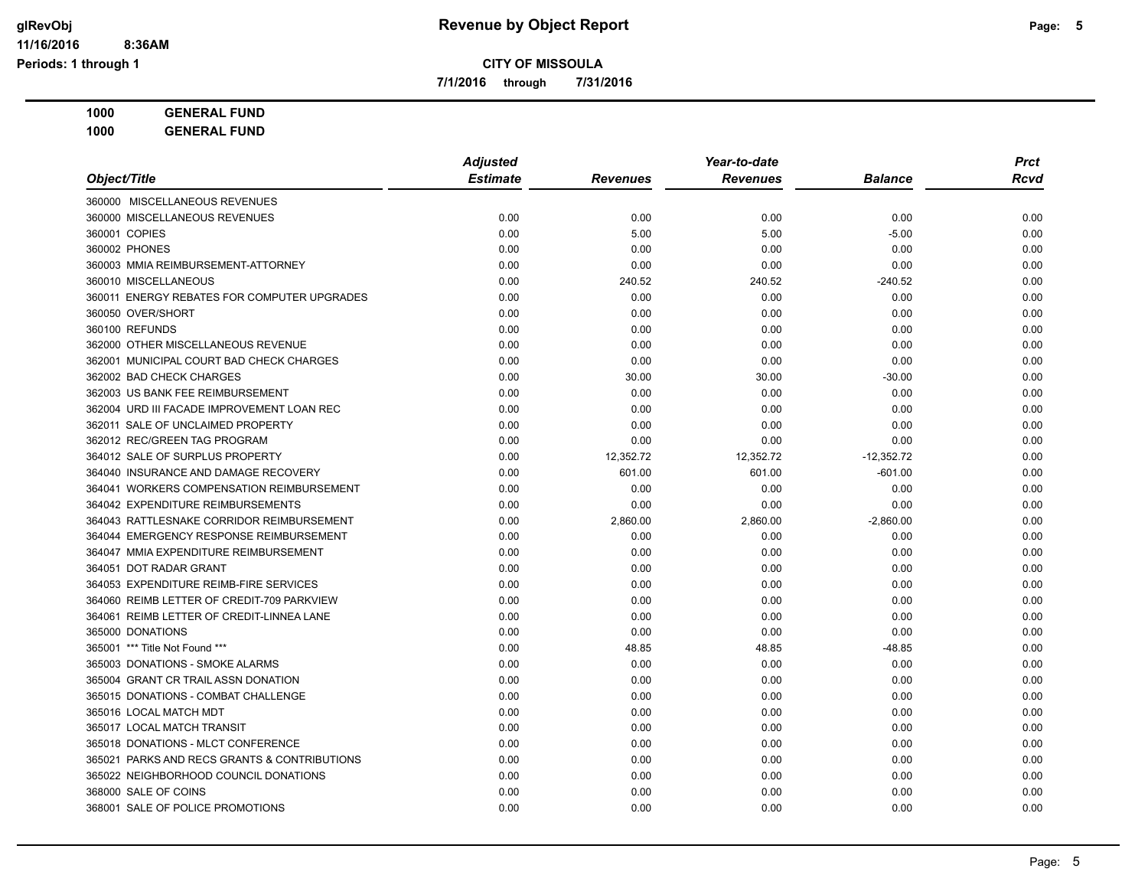**glRevObj Revenue by Object Report Page: 5** 

**11/16/2016 8:36AM Periods: 1 through 1**

**CITY OF MISSOULA**

**7/1/2016 through 7/31/2016**

**1000 GENERAL FUND**

|                                              | <b>Adjusted</b> |                 | Year-to-date    |                | <b>Prct</b> |
|----------------------------------------------|-----------------|-----------------|-----------------|----------------|-------------|
| Object/Title                                 | <b>Estimate</b> | <b>Revenues</b> | <b>Revenues</b> | <b>Balance</b> | Rcvd        |
| 360000 MISCELLANEOUS REVENUES                |                 |                 |                 |                |             |
| 360000 MISCELLANEOUS REVENUES                | 0.00            | 0.00            | 0.00            | 0.00           | 0.00        |
| 360001 COPIES                                | 0.00            | 5.00            | 5.00            | $-5.00$        | 0.00        |
| 360002 PHONES                                | 0.00            | 0.00            | 0.00            | 0.00           | 0.00        |
| 360003 MMIA REIMBURSEMENT-ATTORNEY           | 0.00            | 0.00            | 0.00            | 0.00           | 0.00        |
| 360010 MISCELLANEOUS                         | 0.00            | 240.52          | 240.52          | $-240.52$      | 0.00        |
| 360011 ENERGY REBATES FOR COMPUTER UPGRADES  | 0.00            | 0.00            | 0.00            | 0.00           | 0.00        |
| 360050 OVER/SHORT                            | 0.00            | 0.00            | 0.00            | 0.00           | 0.00        |
| 360100 REFUNDS                               | 0.00            | 0.00            | 0.00            | 0.00           | 0.00        |
| 362000 OTHER MISCELLANEOUS REVENUE           | 0.00            | 0.00            | 0.00            | 0.00           | 0.00        |
| 362001 MUNICIPAL COURT BAD CHECK CHARGES     | 0.00            | 0.00            | 0.00            | 0.00           | 0.00        |
| 362002 BAD CHECK CHARGES                     | 0.00            | 30.00           | 30.00           | $-30.00$       | 0.00        |
| 362003 US BANK FEE REIMBURSEMENT             | 0.00            | 0.00            | 0.00            | 0.00           | 0.00        |
| 362004 URD III FACADE IMPROVEMENT LOAN REC   | 0.00            | 0.00            | 0.00            | 0.00           | 0.00        |
| 362011 SALE OF UNCLAIMED PROPERTY            | 0.00            | 0.00            | 0.00            | 0.00           | 0.00        |
| 362012 REC/GREEN TAG PROGRAM                 | 0.00            | 0.00            | 0.00            | 0.00           | 0.00        |
| 364012 SALE OF SURPLUS PROPERTY              | 0.00            | 12,352.72       | 12,352.72       | $-12,352.72$   | 0.00        |
| 364040 INSURANCE AND DAMAGE RECOVERY         | 0.00            | 601.00          | 601.00          | $-601.00$      | 0.00        |
| 364041 WORKERS COMPENSATION REIMBURSEMENT    | 0.00            | 0.00            | 0.00            | 0.00           | 0.00        |
| 364042 EXPENDITURE REIMBURSEMENTS            | 0.00            | 0.00            | 0.00            | 0.00           | 0.00        |
| 364043 RATTLESNAKE CORRIDOR REIMBURSEMENT    | 0.00            | 2,860.00        | 2,860.00        | $-2,860.00$    | 0.00        |
| 364044 EMERGENCY RESPONSE REIMBURSEMENT      | 0.00            | 0.00            | 0.00            | 0.00           | 0.00        |
| 364047 MMIA EXPENDITURE REIMBURSEMENT        | 0.00            | 0.00            | 0.00            | 0.00           | 0.00        |
| 364051 DOT RADAR GRANT                       | 0.00            | 0.00            | 0.00            | 0.00           | 0.00        |
| 364053 EXPENDITURE REIMB-FIRE SERVICES       | 0.00            | 0.00            | 0.00            | 0.00           | 0.00        |
| 364060 REIMB LETTER OF CREDIT-709 PARKVIEW   | 0.00            | 0.00            | 0.00            | 0.00           | 0.00        |
| 364061 REIMB LETTER OF CREDIT-LINNEA LANE    | 0.00            | 0.00            | 0.00            | 0.00           | 0.00        |
| 365000 DONATIONS                             | 0.00            | 0.00            | 0.00            | 0.00           | 0.00        |
| 365001 *** Title Not Found ***               | 0.00            | 48.85           | 48.85           | -48.85         | 0.00        |
| 365003 DONATIONS - SMOKE ALARMS              | 0.00            | 0.00            | 0.00            | 0.00           | 0.00        |
| 365004 GRANT CR TRAIL ASSN DONATION          | 0.00            | 0.00            | 0.00            | 0.00           | 0.00        |
| 365015 DONATIONS - COMBAT CHALLENGE          | 0.00            | 0.00            | 0.00            | 0.00           | 0.00        |
| 365016 LOCAL MATCH MDT                       | 0.00            | 0.00            | 0.00            | 0.00           | 0.00        |
| 365017 LOCAL MATCH TRANSIT                   | 0.00            | 0.00            | 0.00            | 0.00           | 0.00        |
| 365018 DONATIONS - MLCT CONFERENCE           | 0.00            | 0.00            | 0.00            | 0.00           | 0.00        |
| 365021 PARKS AND RECS GRANTS & CONTRIBUTIONS | 0.00            | 0.00            | 0.00            | 0.00           | 0.00        |
| 365022 NEIGHBORHOOD COUNCIL DONATIONS        | 0.00            | 0.00            | 0.00            | 0.00           | 0.00        |
| 368000 SALE OF COINS                         | 0.00            | 0.00            | 0.00            | 0.00           | 0.00        |
| 368001 SALE OF POLICE PROMOTIONS             | 0.00            | 0.00            | 0.00            | 0.00           | 0.00        |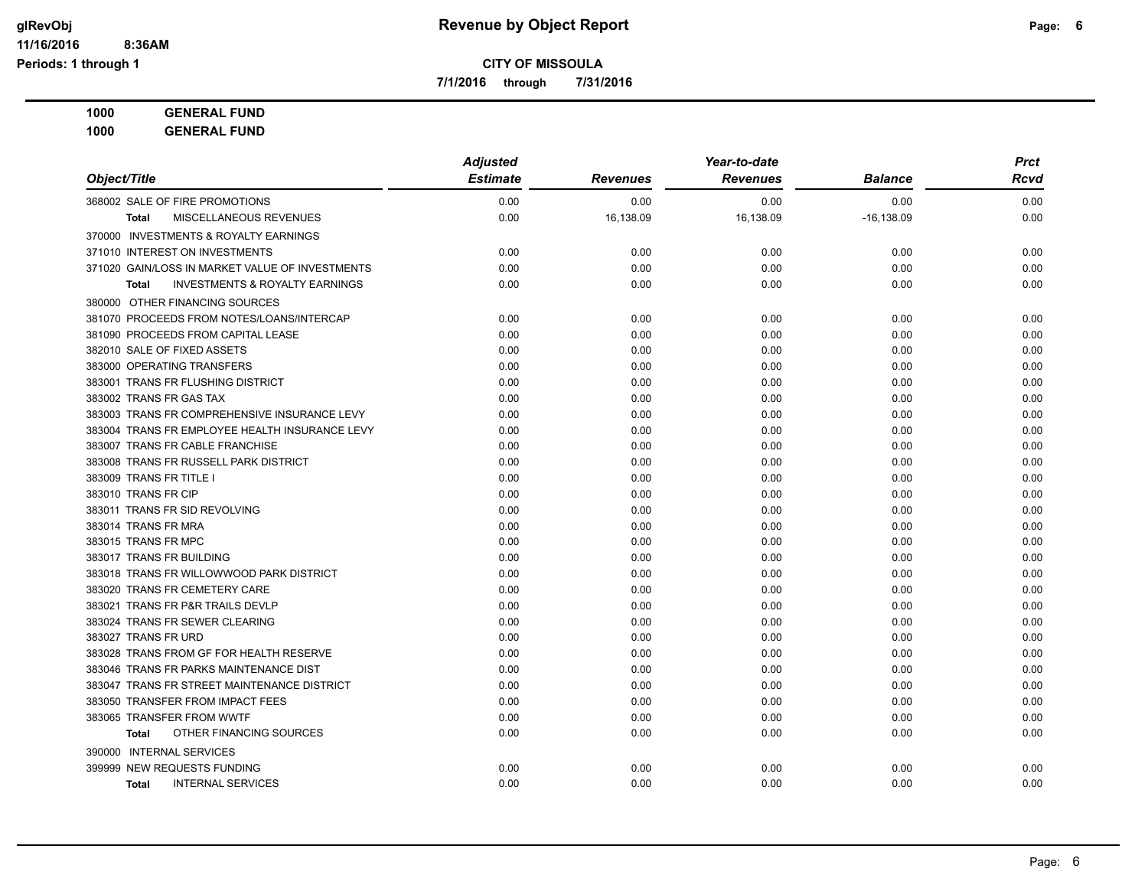**7/1/2016 through 7/31/2016**

**Periods: 1 through 1**

#### **1000 GENERAL FUND**

 **8:36AM**

|                                                           | <b>Adjusted</b> |                 | Year-to-date    |                | <b>Prct</b> |
|-----------------------------------------------------------|-----------------|-----------------|-----------------|----------------|-------------|
| Object/Title                                              | <b>Estimate</b> | <b>Revenues</b> | <b>Revenues</b> | <b>Balance</b> | <b>Rcvd</b> |
| 368002 SALE OF FIRE PROMOTIONS                            | 0.00            | 0.00            | 0.00            | 0.00           | 0.00        |
| MISCELLANEOUS REVENUES<br><b>Total</b>                    | 0.00            | 16,138.09       | 16,138.09       | $-16, 138.09$  | 0.00        |
| 370000 INVESTMENTS & ROYALTY EARNINGS                     |                 |                 |                 |                |             |
| 371010 INTEREST ON INVESTMENTS                            | 0.00            | 0.00            | 0.00            | 0.00           | 0.00        |
| 371020 GAIN/LOSS IN MARKET VALUE OF INVESTMENTS           | 0.00            | 0.00            | 0.00            | 0.00           | 0.00        |
| <b>INVESTMENTS &amp; ROYALTY EARNINGS</b><br><b>Total</b> | 0.00            | 0.00            | 0.00            | 0.00           | 0.00        |
| 380000 OTHER FINANCING SOURCES                            |                 |                 |                 |                |             |
| 381070 PROCEEDS FROM NOTES/LOANS/INTERCAP                 | 0.00            | 0.00            | 0.00            | 0.00           | 0.00        |
| 381090 PROCEEDS FROM CAPITAL LEASE                        | 0.00            | 0.00            | 0.00            | 0.00           | 0.00        |
| 382010 SALE OF FIXED ASSETS                               | 0.00            | 0.00            | 0.00            | 0.00           | 0.00        |
| 383000 OPERATING TRANSFERS                                | 0.00            | 0.00            | 0.00            | 0.00           | 0.00        |
| 383001 TRANS FR FLUSHING DISTRICT                         | 0.00            | 0.00            | 0.00            | 0.00           | 0.00        |
| 383002 TRANS FR GAS TAX                                   | 0.00            | 0.00            | 0.00            | 0.00           | 0.00        |
| 383003 TRANS FR COMPREHENSIVE INSURANCE LEVY              | 0.00            | 0.00            | 0.00            | 0.00           | 0.00        |
| 383004 TRANS FR EMPLOYEE HEALTH INSURANCE LEVY            | 0.00            | 0.00            | 0.00            | 0.00           | 0.00        |
| 383007 TRANS FR CABLE FRANCHISE                           | 0.00            | 0.00            | 0.00            | 0.00           | 0.00        |
| 383008 TRANS FR RUSSELL PARK DISTRICT                     | 0.00            | 0.00            | 0.00            | 0.00           | 0.00        |
| 383009 TRANS FR TITLE I                                   | 0.00            | 0.00            | 0.00            | 0.00           | 0.00        |
| 383010 TRANS FR CIP                                       | 0.00            | 0.00            | 0.00            | 0.00           | 0.00        |
| 383011 TRANS FR SID REVOLVING                             | 0.00            | 0.00            | 0.00            | 0.00           | 0.00        |
| 383014 TRANS FR MRA                                       | 0.00            | 0.00            | 0.00            | 0.00           | 0.00        |
| 383015 TRANS FR MPC                                       | 0.00            | 0.00            | 0.00            | 0.00           | 0.00        |
| 383017 TRANS FR BUILDING                                  | 0.00            | 0.00            | 0.00            | 0.00           | 0.00        |
| 383018 TRANS FR WILLOWWOOD PARK DISTRICT                  | 0.00            | 0.00            | 0.00            | 0.00           | 0.00        |
| 383020 TRANS FR CEMETERY CARE                             | 0.00            | 0.00            | 0.00            | 0.00           | 0.00        |
| 383021 TRANS FR P&R TRAILS DEVLP                          | 0.00            | 0.00            | 0.00            | 0.00           | 0.00        |
| 383024 TRANS FR SEWER CLEARING                            | 0.00            | 0.00            | 0.00            | 0.00           | 0.00        |
| 383027 TRANS FR URD                                       | 0.00            | 0.00            | 0.00            | 0.00           | 0.00        |
| 383028 TRANS FROM GF FOR HEALTH RESERVE                   | 0.00            | 0.00            | 0.00            | 0.00           | 0.00        |
| 383046 TRANS FR PARKS MAINTENANCE DIST                    | 0.00            | 0.00            | 0.00            | 0.00           | 0.00        |
| 383047 TRANS FR STREET MAINTENANCE DISTRICT               | 0.00            | 0.00            | 0.00            | 0.00           | 0.00        |
| 383050 TRANSFER FROM IMPACT FEES                          | 0.00            | 0.00            | 0.00            | 0.00           | 0.00        |
| 383065 TRANSFER FROM WWTF                                 | 0.00            | 0.00            | 0.00            | 0.00           | 0.00        |
| OTHER FINANCING SOURCES<br>Total                          | 0.00            | 0.00            | 0.00            | 0.00           | 0.00        |
| 390000 INTERNAL SERVICES                                  |                 |                 |                 |                |             |
| 399999 NEW REQUESTS FUNDING                               | 0.00            | 0.00            | 0.00            | 0.00           | 0.00        |
| <b>INTERNAL SERVICES</b><br><b>Total</b>                  | 0.00            | 0.00            | 0.00            | 0.00           | 0.00        |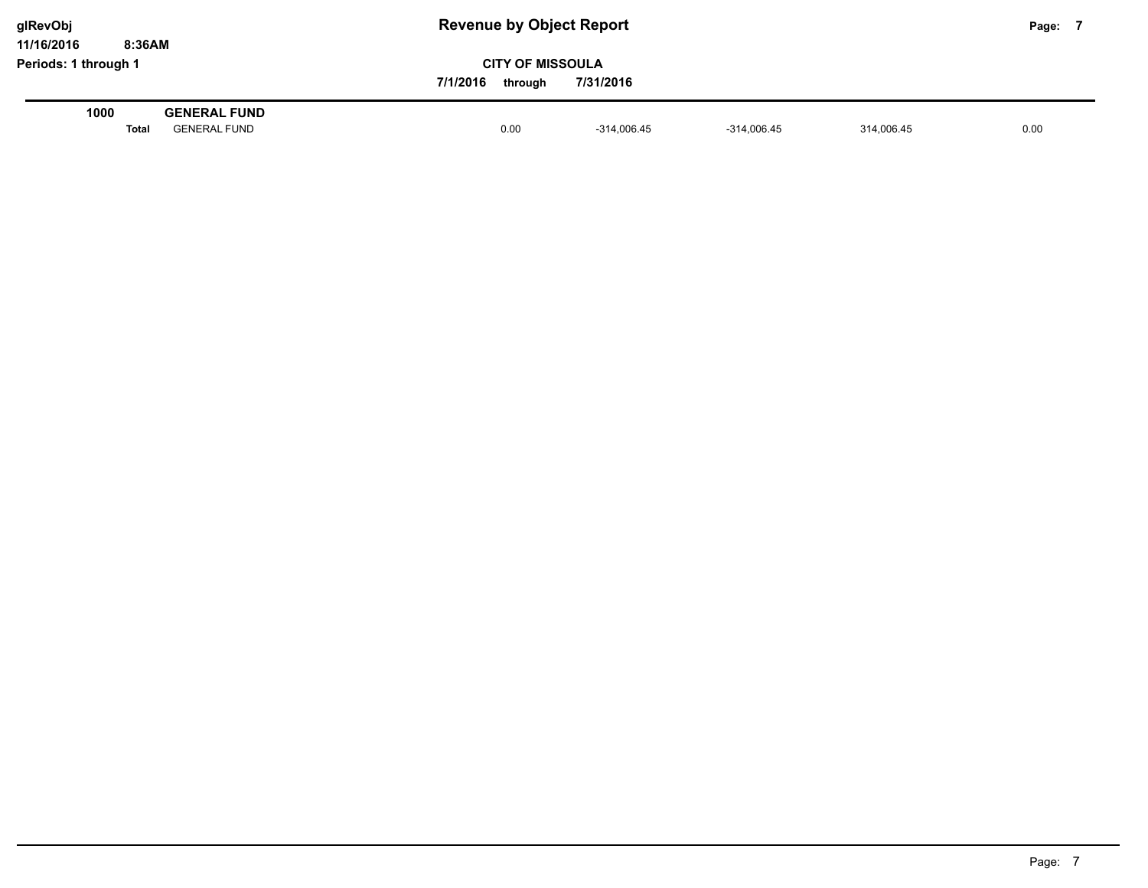| glRevObj<br>11/16/2016<br>8:36AM                                   | <b>Revenue by Object Report</b>                |               |               |            | Page: 7 |
|--------------------------------------------------------------------|------------------------------------------------|---------------|---------------|------------|---------|
| Periods: 1 through 1                                               | <b>CITY OF MISSOULA</b><br>7/1/2016<br>through | 7/31/2016     |               |            |         |
| 1000<br><b>GENERAL FUND</b><br><b>GENERAL FUND</b><br><b>Total</b> | 0.00                                           | $-314.006.45$ | $-314.006.45$ | 314.006.45 | 0.00    |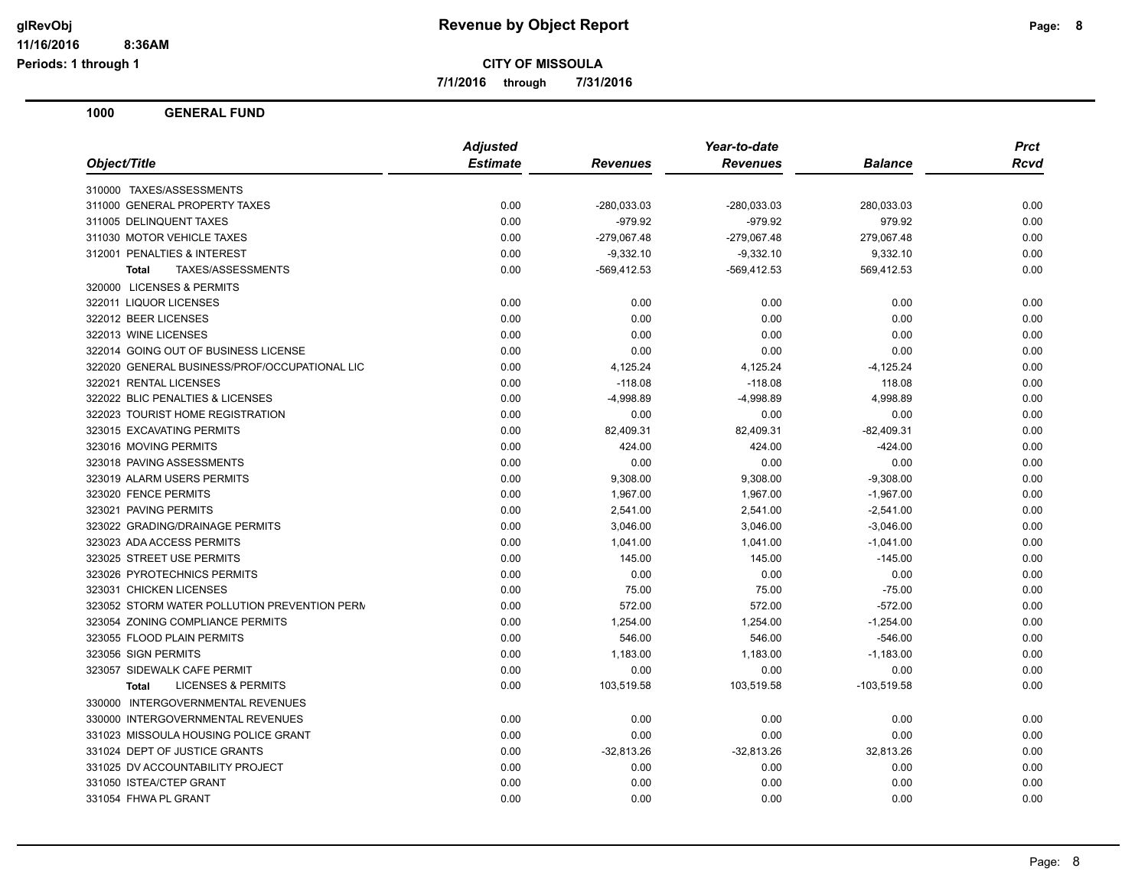**CITY OF MISSOULA**

**7/1/2016 through 7/31/2016**

|                                               | <b>Adjusted</b> |                 | Year-to-date    |                | <b>Prct</b> |
|-----------------------------------------------|-----------------|-----------------|-----------------|----------------|-------------|
| Object/Title                                  | <b>Estimate</b> | <b>Revenues</b> | <b>Revenues</b> | <b>Balance</b> | <b>Rcvd</b> |
| 310000 TAXES/ASSESSMENTS                      |                 |                 |                 |                |             |
| 311000 GENERAL PROPERTY TAXES                 | 0.00            | $-280,033.03$   | $-280,033.03$   | 280,033.03     | 0.00        |
| 311005 DELINQUENT TAXES                       | 0.00            | $-979.92$       | $-979.92$       | 979.92         | 0.00        |
| 311030 MOTOR VEHICLE TAXES                    | 0.00            | -279,067.48     | -279,067.48     | 279,067.48     | 0.00        |
| 312001 PENALTIES & INTEREST                   | 0.00            | $-9,332.10$     | $-9,332.10$     | 9,332.10       | 0.00        |
| TAXES/ASSESSMENTS<br><b>Total</b>             | 0.00            | -569,412.53     | $-569,412.53$   | 569,412.53     | 0.00        |
| 320000 LICENSES & PERMITS                     |                 |                 |                 |                |             |
| 322011 LIQUOR LICENSES                        | 0.00            | 0.00            | 0.00            | 0.00           | 0.00        |
| 322012 BEER LICENSES                          | 0.00            | 0.00            | 0.00            | 0.00           | 0.00        |
| 322013 WINE LICENSES                          | 0.00            | 0.00            | 0.00            | 0.00           | 0.00        |
| 322014 GOING OUT OF BUSINESS LICENSE          | 0.00            | 0.00            | 0.00            | 0.00           | 0.00        |
| 322020 GENERAL BUSINESS/PROF/OCCUPATIONAL LIC | 0.00            | 4,125.24        | 4,125.24        | $-4,125.24$    | 0.00        |
| 322021 RENTAL LICENSES                        | 0.00            | $-118.08$       | $-118.08$       | 118.08         | 0.00        |
| 322022 BLIC PENALTIES & LICENSES              | 0.00            | $-4,998.89$     | $-4,998.89$     | 4,998.89       | 0.00        |
| 322023 TOURIST HOME REGISTRATION              | 0.00            | 0.00            | 0.00            | 0.00           | 0.00        |
| 323015 EXCAVATING PERMITS                     | 0.00            | 82,409.31       | 82,409.31       | $-82,409.31$   | 0.00        |
| 323016 MOVING PERMITS                         | 0.00            | 424.00          | 424.00          | $-424.00$      | 0.00        |
| 323018 PAVING ASSESSMENTS                     | 0.00            | 0.00            | 0.00            | 0.00           | 0.00        |
| 323019 ALARM USERS PERMITS                    | 0.00            | 9,308.00        | 9,308.00        | $-9,308.00$    | 0.00        |
| 323020 FENCE PERMITS                          | 0.00            | 1,967.00        | 1,967.00        | $-1,967.00$    | 0.00        |
| 323021 PAVING PERMITS                         | 0.00            | 2,541.00        | 2,541.00        | $-2,541.00$    | 0.00        |
| 323022 GRADING/DRAINAGE PERMITS               | 0.00            | 3,046.00        | 3,046.00        | $-3,046.00$    | 0.00        |
| 323023 ADA ACCESS PERMITS                     | 0.00            | 1,041.00        | 1,041.00        | $-1,041.00$    | 0.00        |
| 323025 STREET USE PERMITS                     | 0.00            | 145.00          | 145.00          | $-145.00$      | 0.00        |
| 323026 PYROTECHNICS PERMITS                   | 0.00            | 0.00            | 0.00            | 0.00           | 0.00        |
| 323031 CHICKEN LICENSES                       | 0.00            | 75.00           | 75.00           | $-75.00$       | 0.00        |
| 323052 STORM WATER POLLUTION PREVENTION PERM  | 0.00            | 572.00          | 572.00          | $-572.00$      | 0.00        |
| 323054 ZONING COMPLIANCE PERMITS              | 0.00            | 1,254.00        | 1,254.00        | $-1,254.00$    | 0.00        |
| 323055 FLOOD PLAIN PERMITS                    | 0.00            | 546.00          | 546.00          | $-546.00$      | 0.00        |
| 323056 SIGN PERMITS                           | 0.00            | 1,183.00        | 1,183.00        | $-1,183.00$    | 0.00        |
| 323057 SIDEWALK CAFE PERMIT                   | 0.00            | 0.00            | 0.00            | 0.00           | 0.00        |
| <b>LICENSES &amp; PERMITS</b><br>Total        | 0.00            | 103,519.58      | 103,519.58      | $-103,519.58$  | 0.00        |
| 330000 INTERGOVERNMENTAL REVENUES             |                 |                 |                 |                |             |
| 330000 INTERGOVERNMENTAL REVENUES             | 0.00            | 0.00            | 0.00            | 0.00           | 0.00        |
| 331023 MISSOULA HOUSING POLICE GRANT          | 0.00            | 0.00            | 0.00            | 0.00           | 0.00        |
| 331024 DEPT OF JUSTICE GRANTS                 | 0.00            | $-32,813.26$    | $-32,813.26$    | 32,813.26      | 0.00        |
| 331025 DV ACCOUNTABILITY PROJECT              | 0.00            | 0.00            | 0.00            | 0.00           | 0.00        |
| 331050 ISTEA/CTEP GRANT                       | 0.00            | 0.00            | 0.00            | 0.00           | 0.00        |
| 331054 FHWA PL GRANT                          | 0.00            | 0.00            | 0.00            | 0.00           | 0.00        |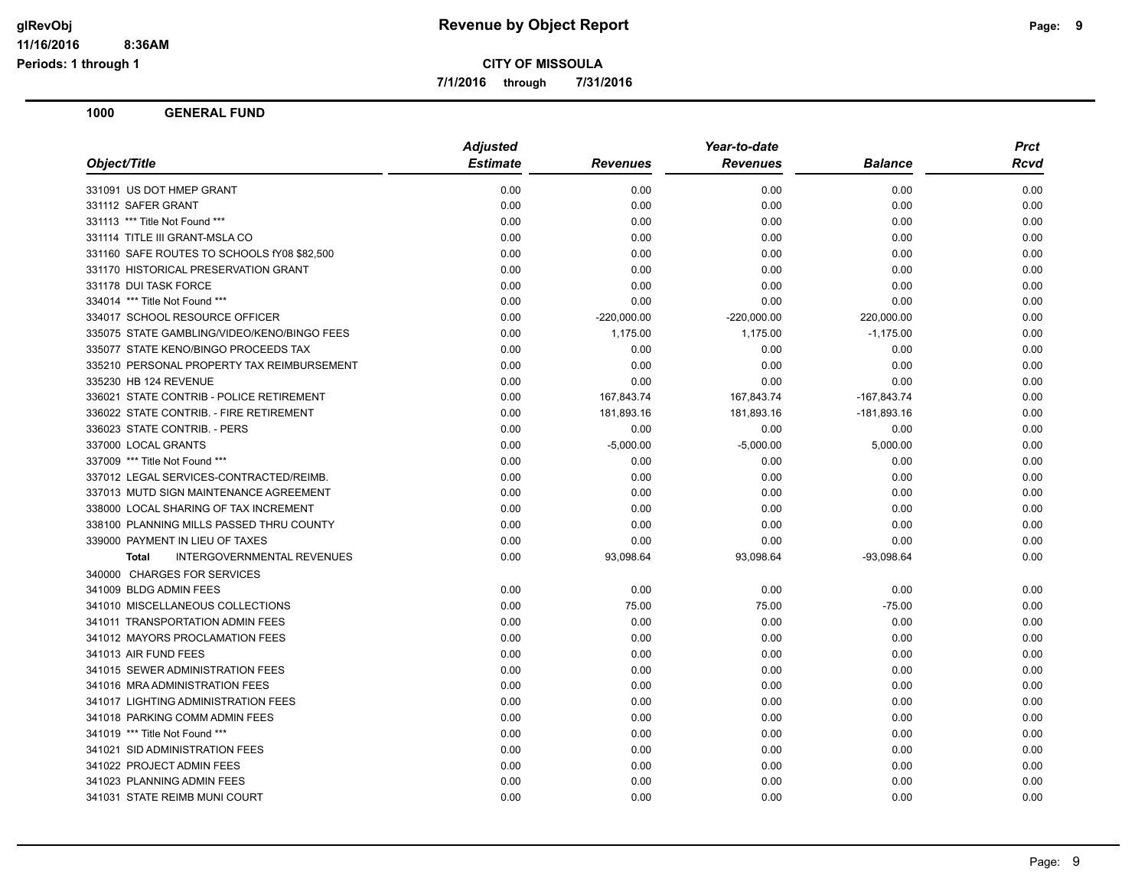**CITY OF MISSOULA**

**7/1/2016 through 7/31/2016**

|                                             | <b>Adjusted</b> | Year-to-date    |                 |                | <b>Prct</b> |
|---------------------------------------------|-----------------|-----------------|-----------------|----------------|-------------|
| Object/Title                                | <b>Estimate</b> | <b>Revenues</b> | <b>Revenues</b> | <b>Balance</b> | <b>Rcvd</b> |
| 331091 US DOT HMEP GRANT                    | 0.00            | 0.00            | 0.00            | 0.00           | 0.00        |
| 331112 SAFER GRANT                          | 0.00            | 0.00            | 0.00            | 0.00           | 0.00        |
| 331113 *** Title Not Found ***              | 0.00            | 0.00            | 0.00            | 0.00           | 0.00        |
| 331114 TITLE III GRANT-MSLA CO              | 0.00            | 0.00            | 0.00            | 0.00           | 0.00        |
| 331160 SAFE ROUTES TO SCHOOLS fY08 \$82,500 | 0.00            | 0.00            | 0.00            | 0.00           | 0.00        |
| 331170 HISTORICAL PRESERVATION GRANT        | 0.00            | 0.00            | 0.00            | 0.00           | 0.00        |
| 331178 DUI TASK FORCE                       | 0.00            | 0.00            | 0.00            | 0.00           | 0.00        |
| 334014 *** Title Not Found ***              | 0.00            | 0.00            | 0.00            | 0.00           | 0.00        |
| 334017 SCHOOL RESOURCE OFFICER              | 0.00            | $-220,000.00$   | $-220,000.00$   | 220,000.00     | 0.00        |
| 335075 STATE GAMBLING/VIDEO/KENO/BINGO FEES | 0.00            | 1,175.00        | 1,175.00        | $-1,175.00$    | 0.00        |
| 335077 STATE KENO/BINGO PROCEEDS TAX        | 0.00            | 0.00            | 0.00            | 0.00           | 0.00        |
| 335210 PERSONAL PROPERTY TAX REIMBURSEMENT  | 0.00            | 0.00            | 0.00            | 0.00           | 0.00        |
| 335230 HB 124 REVENUE                       | 0.00            | 0.00            | 0.00            | 0.00           | 0.00        |
| 336021 STATE CONTRIB - POLICE RETIREMENT    | 0.00            | 167,843.74      | 167,843.74      | $-167,843.74$  | 0.00        |
| 336022 STATE CONTRIB. - FIRE RETIREMENT     | 0.00            | 181,893.16      | 181,893.16      | $-181,893.16$  | 0.00        |
| 336023 STATE CONTRIB. - PERS                | 0.00            | 0.00            | 0.00            | 0.00           | 0.00        |
| 337000 LOCAL GRANTS                         | 0.00            | $-5,000.00$     | $-5,000.00$     | 5,000.00       | 0.00        |
| 337009 *** Title Not Found ***              | 0.00            | 0.00            | 0.00            | 0.00           | 0.00        |
| 337012 LEGAL SERVICES-CONTRACTED/REIMB.     | 0.00            | 0.00            | 0.00            | 0.00           | 0.00        |
| 337013 MUTD SIGN MAINTENANCE AGREEMENT      | 0.00            | 0.00            | 0.00            | 0.00           | 0.00        |
| 338000 LOCAL SHARING OF TAX INCREMENT       | 0.00            | 0.00            | 0.00            | 0.00           | 0.00        |
| 338100 PLANNING MILLS PASSED THRU COUNTY    | 0.00            | 0.00            | 0.00            | 0.00           | 0.00        |
| 339000 PAYMENT IN LIEU OF TAXES             | 0.00            | 0.00            | 0.00            | 0.00           | 0.00        |
| INTERGOVERNMENTAL REVENUES<br><b>Total</b>  | 0.00            | 93,098.64       | 93,098.64       | $-93,098.64$   | 0.00        |
| 340000 CHARGES FOR SERVICES                 |                 |                 |                 |                |             |
| 341009 BLDG ADMIN FEES                      | 0.00            | 0.00            | 0.00            | 0.00           | 0.00        |
| 341010 MISCELLANEOUS COLLECTIONS            | 0.00            | 75.00           | 75.00           | $-75.00$       | 0.00        |
| 341011 TRANSPORTATION ADMIN FEES            | 0.00            | 0.00            | 0.00            | 0.00           | 0.00        |
| 341012 MAYORS PROCLAMATION FEES             | 0.00            | 0.00            | 0.00            | 0.00           | 0.00        |
| 341013 AIR FUND FEES                        | 0.00            | 0.00            | 0.00            | 0.00           | 0.00        |
| 341015 SEWER ADMINISTRATION FEES            | 0.00            | 0.00            | 0.00            | 0.00           | 0.00        |
| 341016 MRA ADMINISTRATION FEES              | 0.00            | 0.00            | 0.00            | 0.00           | 0.00        |
| 341017 LIGHTING ADMINISTRATION FEES         | 0.00            | 0.00            | 0.00            | 0.00           | 0.00        |
| 341018 PARKING COMM ADMIN FEES              | 0.00            | 0.00            | 0.00            | 0.00           | 0.00        |
| 341019 *** Title Not Found ***              | 0.00            | 0.00            | 0.00            | 0.00           | 0.00        |
| 341021 SID ADMINISTRATION FEES              | 0.00            | 0.00            | 0.00            | 0.00           | 0.00        |
| 341022 PROJECT ADMIN FEES                   | 0.00            | 0.00            | 0.00            | 0.00           | 0.00        |
| 341023 PLANNING ADMIN FEES                  | 0.00            | 0.00            | 0.00            | 0.00           | 0.00        |
| 341031 STATE REIMB MUNI COURT               | 0.00            | 0.00            | 0.00            | 0.00           | 0.00        |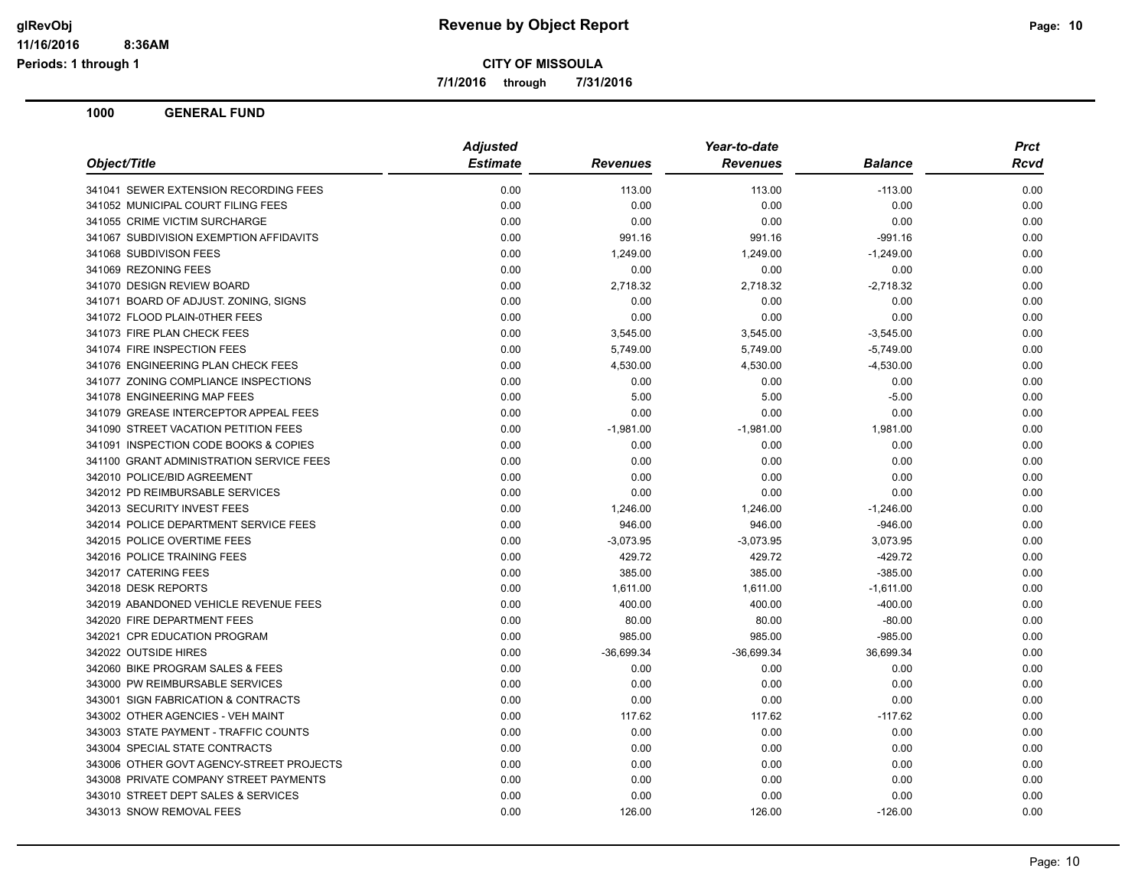**CITY OF MISSOULA**

**7/1/2016 through 7/31/2016**

|                                          | <b>Adjusted</b> |                 | Year-to-date    | <b>Prct</b>    |             |
|------------------------------------------|-----------------|-----------------|-----------------|----------------|-------------|
| Object/Title                             | <b>Estimate</b> | <b>Revenues</b> | <b>Revenues</b> | <b>Balance</b> | <b>Rcvd</b> |
| 341041 SEWER EXTENSION RECORDING FEES    | 0.00            | 113.00          | 113.00          | $-113.00$      | 0.00        |
| 341052 MUNICIPAL COURT FILING FEES       | 0.00            | 0.00            | 0.00            | 0.00           | 0.00        |
| 341055 CRIME VICTIM SURCHARGE            | 0.00            | 0.00            | 0.00            | 0.00           | 0.00        |
| 341067 SUBDIVISION EXEMPTION AFFIDAVITS  | 0.00            | 991.16          | 991.16          | $-991.16$      | 0.00        |
| 341068 SUBDIVISON FEES                   | 0.00            | 1,249.00        | 1,249.00        | $-1,249.00$    | 0.00        |
| 341069 REZONING FEES                     | 0.00            | 0.00            | 0.00            | 0.00           | 0.00        |
| 341070 DESIGN REVIEW BOARD               | 0.00            | 2,718.32        | 2,718.32        | $-2,718.32$    | 0.00        |
| 341071 BOARD OF ADJUST. ZONING, SIGNS    | 0.00            | 0.00            | 0.00            | 0.00           | 0.00        |
| 341072 FLOOD PLAIN-0THER FEES            | 0.00            | 0.00            | 0.00            | 0.00           | 0.00        |
| 341073 FIRE PLAN CHECK FEES              | 0.00            | 3,545.00        | 3,545.00        | $-3,545.00$    | 0.00        |
| 341074 FIRE INSPECTION FEES              | 0.00            | 5,749.00        | 5,749.00        | $-5,749.00$    | 0.00        |
| 341076 ENGINEERING PLAN CHECK FEES       | 0.00            | 4,530.00        | 4,530.00        | $-4,530.00$    | 0.00        |
| 341077 ZONING COMPLIANCE INSPECTIONS     | 0.00            | 0.00            | 0.00            | 0.00           | 0.00        |
| 341078 ENGINEERING MAP FEES              | 0.00            | 5.00            | 5.00            | $-5.00$        | 0.00        |
| 341079 GREASE INTERCEPTOR APPEAL FEES    | 0.00            | 0.00            | 0.00            | 0.00           | 0.00        |
| 341090 STREET VACATION PETITION FEES     | 0.00            | $-1,981.00$     | $-1,981.00$     | 1,981.00       | 0.00        |
| 341091 INSPECTION CODE BOOKS & COPIES    | 0.00            | 0.00            | 0.00            | 0.00           | 0.00        |
| 341100 GRANT ADMINISTRATION SERVICE FEES | 0.00            | 0.00            | 0.00            | 0.00           | 0.00        |
| 342010 POLICE/BID AGREEMENT              | 0.00            | 0.00            | 0.00            | 0.00           | 0.00        |
| 342012 PD REIMBURSABLE SERVICES          | 0.00            | 0.00            | 0.00            | 0.00           | 0.00        |
| 342013 SECURITY INVEST FEES              | 0.00            | 1,246.00        | 1,246.00        | $-1,246.00$    | 0.00        |
| 342014 POLICE DEPARTMENT SERVICE FEES    | 0.00            | 946.00          | 946.00          | $-946.00$      | 0.00        |
| 342015 POLICE OVERTIME FEES              | 0.00            | $-3,073.95$     | $-3,073.95$     | 3,073.95       | 0.00        |
| 342016 POLICE TRAINING FEES              | 0.00            | 429.72          | 429.72          | $-429.72$      | 0.00        |
| 342017 CATERING FEES                     | 0.00            | 385.00          | 385.00          | $-385.00$      | 0.00        |
| 342018 DESK REPORTS                      | 0.00            | 1,611.00        | 1,611.00        | $-1,611.00$    | 0.00        |
| 342019 ABANDONED VEHICLE REVENUE FEES    | 0.00            | 400.00          | 400.00          | $-400.00$      | 0.00        |
| 342020 FIRE DEPARTMENT FEES              | 0.00            | 80.00           | 80.00           | $-80.00$       | 0.00        |
| 342021 CPR EDUCATION PROGRAM             | 0.00            | 985.00          | 985.00          | $-985.00$      | 0.00        |
| 342022 OUTSIDE HIRES                     | 0.00            | $-36,699.34$    | $-36,699.34$    | 36,699.34      | 0.00        |
| 342060 BIKE PROGRAM SALES & FEES         | 0.00            | 0.00            | 0.00            | 0.00           | 0.00        |
| 343000 PW REIMBURSABLE SERVICES          | 0.00            | 0.00            | 0.00            | 0.00           | 0.00        |
| 343001 SIGN FABRICATION & CONTRACTS      | 0.00            | 0.00            | 0.00            | 0.00           | 0.00        |
| 343002 OTHER AGENCIES - VEH MAINT        | 0.00            | 117.62          | 117.62          | $-117.62$      | 0.00        |
| 343003 STATE PAYMENT - TRAFFIC COUNTS    | 0.00            | 0.00            | 0.00            | 0.00           | 0.00        |
| 343004 SPECIAL STATE CONTRACTS           | 0.00            | 0.00            | 0.00            | 0.00           | 0.00        |
| 343006 OTHER GOVT AGENCY-STREET PROJECTS | 0.00            | 0.00            | 0.00            | 0.00           | 0.00        |
| 343008 PRIVATE COMPANY STREET PAYMENTS   | 0.00            | 0.00            | 0.00            | 0.00           | 0.00        |
| 343010 STREET DEPT SALES & SERVICES      | 0.00            | 0.00            | 0.00            | 0.00           | 0.00        |
| 343013 SNOW REMOVAL FEES                 | 0.00            | 126.00          | 126.00          | $-126.00$      | 0.00        |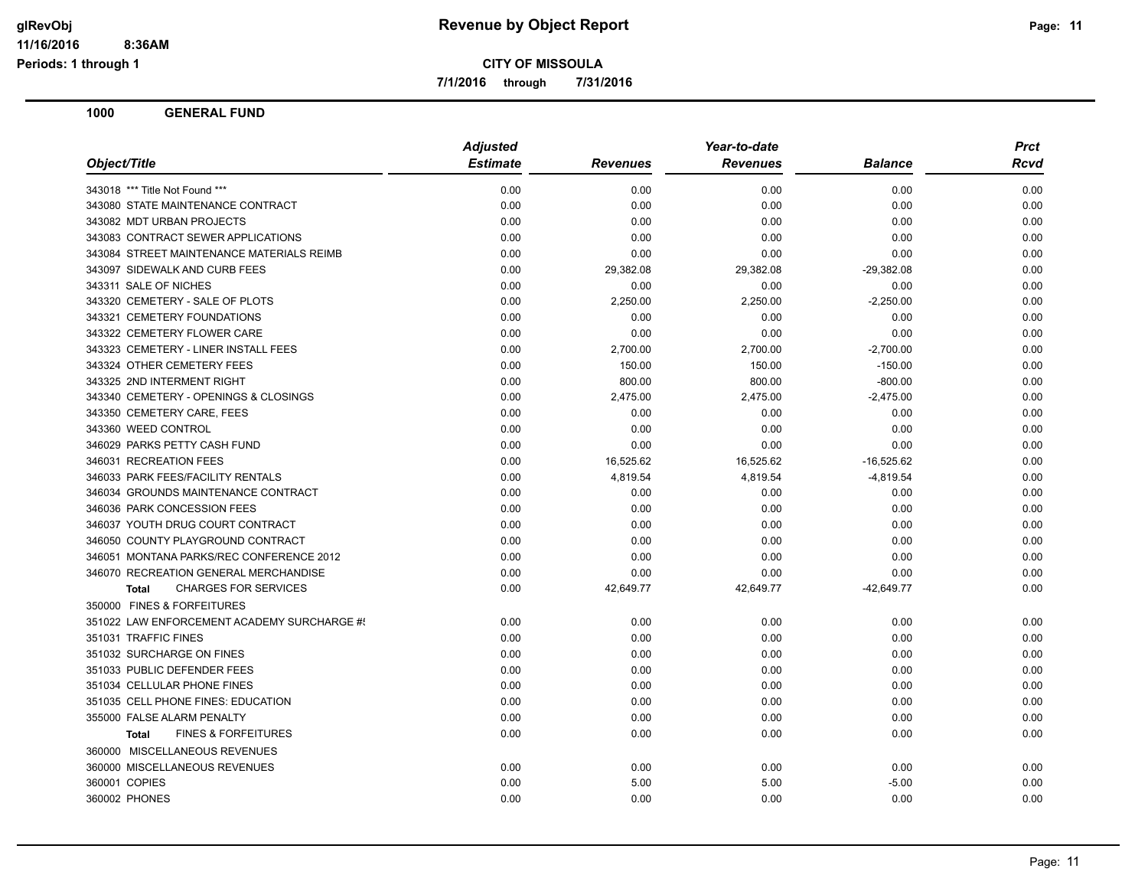**CITY OF MISSOULA**

**7/1/2016 through 7/31/2016**

|                                                | <b>Adjusted</b> |                 | Year-to-date    |                | <b>Prct</b> |
|------------------------------------------------|-----------------|-----------------|-----------------|----------------|-------------|
| Object/Title                                   | <b>Estimate</b> | <b>Revenues</b> | <b>Revenues</b> | <b>Balance</b> | Rcvd        |
| 343018 *** Title Not Found ***                 | 0.00            | 0.00            | 0.00            | 0.00           | 0.00        |
| 343080 STATE MAINTENANCE CONTRACT              | 0.00            | 0.00            | 0.00            | 0.00           | 0.00        |
| 343082 MDT URBAN PROJECTS                      | 0.00            | 0.00            | 0.00            | 0.00           | 0.00        |
| 343083 CONTRACT SEWER APPLICATIONS             | 0.00            | 0.00            | 0.00            | 0.00           | 0.00        |
| 343084 STREET MAINTENANCE MATERIALS REIMB      | 0.00            | 0.00            | 0.00            | 0.00           | 0.00        |
| 343097 SIDEWALK AND CURB FEES                  | 0.00            | 29,382.08       | 29,382.08       | $-29,382.08$   | 0.00        |
| 343311 SALE OF NICHES                          | 0.00            | 0.00            | 0.00            | 0.00           | 0.00        |
| 343320 CEMETERY - SALE OF PLOTS                | 0.00            | 2,250.00        | 2,250.00        | $-2,250.00$    | 0.00        |
| 343321 CEMETERY FOUNDATIONS                    | 0.00            | 0.00            | 0.00            | 0.00           | 0.00        |
| 343322 CEMETERY FLOWER CARE                    | 0.00            | 0.00            | 0.00            | 0.00           | 0.00        |
| 343323 CEMETERY - LINER INSTALL FEES           | 0.00            | 2,700.00        | 2,700.00        | $-2,700.00$    | 0.00        |
| 343324 OTHER CEMETERY FEES                     | 0.00            | 150.00          | 150.00          | $-150.00$      | 0.00        |
| 343325 2ND INTERMENT RIGHT                     | 0.00            | 800.00          | 800.00          | $-800.00$      | 0.00        |
| 343340 CEMETERY - OPENINGS & CLOSINGS          | 0.00            | 2,475.00        | 2,475.00        | $-2,475.00$    | 0.00        |
| 343350 CEMETERY CARE, FEES                     | 0.00            | 0.00            | 0.00            | 0.00           | 0.00        |
| 343360 WEED CONTROL                            | 0.00            | 0.00            | 0.00            | 0.00           | 0.00        |
| 346029 PARKS PETTY CASH FUND                   | 0.00            | 0.00            | 0.00            | 0.00           | 0.00        |
| 346031 RECREATION FEES                         | 0.00            | 16,525.62       | 16,525.62       | $-16,525.62$   | 0.00        |
| 346033 PARK FEES/FACILITY RENTALS              | 0.00            | 4,819.54        | 4,819.54        | $-4,819.54$    | 0.00        |
| 346034 GROUNDS MAINTENANCE CONTRACT            | 0.00            | 0.00            | 0.00            | 0.00           | 0.00        |
| 346036 PARK CONCESSION FEES                    | 0.00            | 0.00            | 0.00            | 0.00           | 0.00        |
| 346037 YOUTH DRUG COURT CONTRACT               | 0.00            | 0.00            | 0.00            | 0.00           | 0.00        |
| 346050 COUNTY PLAYGROUND CONTRACT              | 0.00            | 0.00            | 0.00            | 0.00           | 0.00        |
| 346051 MONTANA PARKS/REC CONFERENCE 2012       | 0.00            | 0.00            | 0.00            | 0.00           | 0.00        |
| 346070 RECREATION GENERAL MERCHANDISE          | 0.00            | 0.00            | 0.00            | 0.00           | 0.00        |
| <b>CHARGES FOR SERVICES</b><br><b>Total</b>    | 0.00            | 42,649.77       | 42,649.77       | $-42,649.77$   | 0.00        |
| 350000 FINES & FORFEITURES                     |                 |                 |                 |                |             |
| 351022 LAW ENFORCEMENT ACADEMY SURCHARGE #!    | 0.00            | 0.00            | 0.00            | 0.00           | 0.00        |
| 351031 TRAFFIC FINES                           | 0.00            | 0.00            | 0.00            | 0.00           | 0.00        |
| 351032 SURCHARGE ON FINES                      | 0.00            | 0.00            | 0.00            | 0.00           | 0.00        |
| 351033 PUBLIC DEFENDER FEES                    | 0.00            | 0.00            | 0.00            | 0.00           | 0.00        |
| 351034 CELLULAR PHONE FINES                    | 0.00            | 0.00            | 0.00            | 0.00           | 0.00        |
| 351035 CELL PHONE FINES: EDUCATION             | 0.00            | 0.00            | 0.00            | 0.00           | 0.00        |
| 355000 FALSE ALARM PENALTY                     | 0.00            | 0.00            | 0.00            | 0.00           | 0.00        |
| <b>Total</b><br><b>FINES &amp; FORFEITURES</b> | 0.00            | 0.00            | 0.00            | 0.00           | 0.00        |
| 360000 MISCELLANEOUS REVENUES                  |                 |                 |                 |                |             |
| 360000 MISCELLANEOUS REVENUES                  | 0.00            | 0.00            | 0.00            | 0.00           | 0.00        |
| 360001 COPIES                                  | 0.00            | 5.00            | 5.00            | $-5.00$        | 0.00        |
| 360002 PHONES                                  | 0.00            | 0.00            | 0.00            | 0.00           | 0.00        |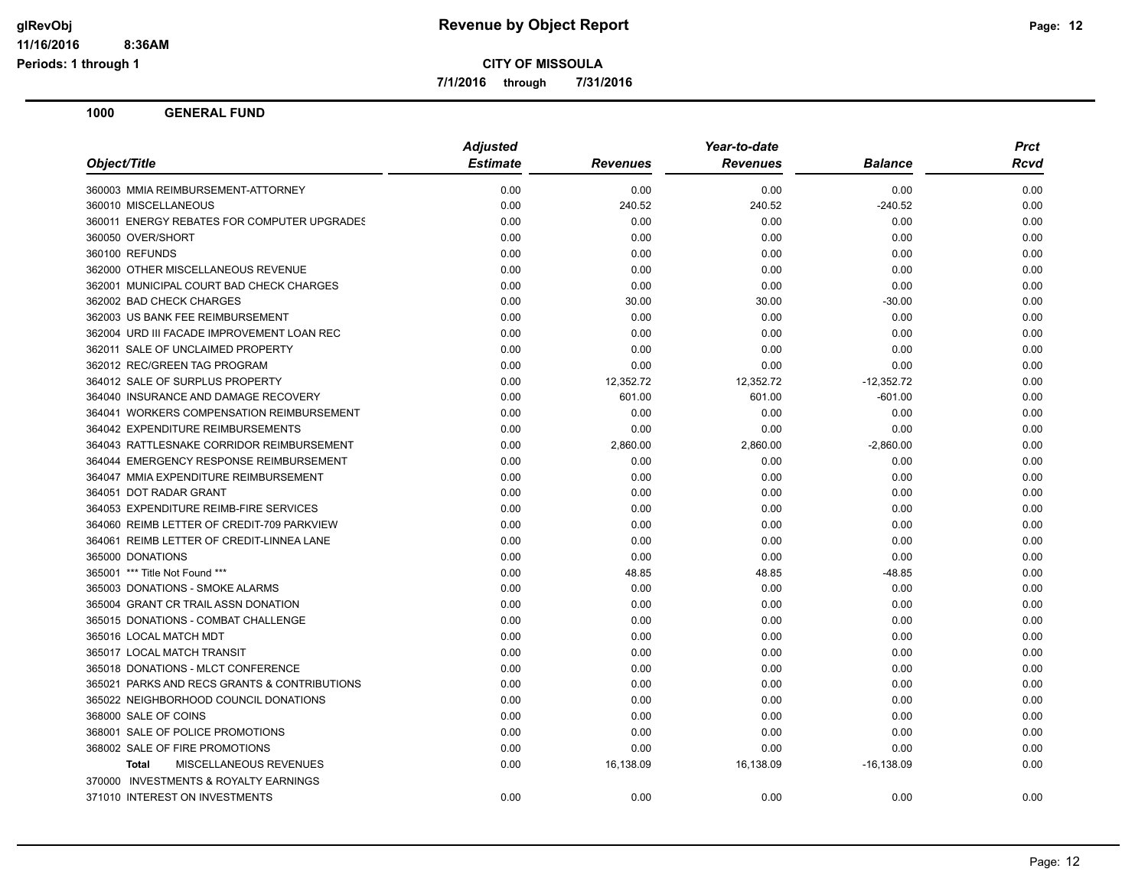**CITY OF MISSOULA**

**7/1/2016 through 7/31/2016**

| Object/Title                                                        | <b>Adjusted</b><br><b>Estimate</b> | <b>Revenues</b> | Year-to-date<br><b>Revenues</b> | <b>Balance</b>   | <b>Prct</b><br>Rcvd |
|---------------------------------------------------------------------|------------------------------------|-----------------|---------------------------------|------------------|---------------------|
|                                                                     | 0.00                               |                 |                                 | 0.00             |                     |
| 360003 MMIA REIMBURSEMENT-ATTORNEY                                  |                                    | 0.00            | 0.00                            |                  | 0.00                |
| 360010 MISCELLANEOUS<br>360011 ENERGY REBATES FOR COMPUTER UPGRADES | 0.00                               | 240.52          | 240.52                          | $-240.52$        | 0.00<br>0.00        |
| 360050 OVER/SHORT                                                   | 0.00<br>0.00                       | 0.00            | 0.00                            | 0.00<br>0.00     | 0.00                |
| 360100 REFUNDS                                                      |                                    | 0.00            | 0.00                            |                  |                     |
| 362000 OTHER MISCELLANEOUS REVENUE                                  | 0.00                               | 0.00            | 0.00                            | 0.00             | 0.00                |
| 362001 MUNICIPAL COURT BAD CHECK CHARGES                            | 0.00<br>0.00                       | 0.00            | 0.00                            | 0.00<br>0.00     | 0.00<br>0.00        |
| 362002 BAD CHECK CHARGES                                            |                                    | 0.00            | 0.00                            |                  |                     |
| 362003 US BANK FEE REIMBURSEMENT                                    | 0.00<br>0.00                       | 30.00<br>0.00   | 30.00<br>0.00                   | $-30.00$<br>0.00 | 0.00<br>0.00        |
| 362004 URD III FACADE IMPROVEMENT LOAN REC                          |                                    |                 |                                 |                  | 0.00                |
|                                                                     | 0.00                               | 0.00            | 0.00                            | 0.00             |                     |
| 362011 SALE OF UNCLAIMED PROPERTY                                   | 0.00                               | 0.00            | 0.00                            | 0.00             | 0.00                |
| 362012 REC/GREEN TAG PROGRAM                                        | 0.00                               | 0.00            | 0.00                            | 0.00             | 0.00                |
| 364012 SALE OF SURPLUS PROPERTY                                     | 0.00                               | 12,352.72       | 12,352.72                       | $-12,352.72$     | 0.00                |
| 364040 INSURANCE AND DAMAGE RECOVERY                                | 0.00                               | 601.00          | 601.00                          | $-601.00$        | 0.00                |
| 364041 WORKERS COMPENSATION REIMBURSEMENT                           | 0.00                               | 0.00            | 0.00                            | 0.00             | 0.00                |
| 364042 EXPENDITURE REIMBURSEMENTS                                   | 0.00                               | 0.00            | 0.00                            | 0.00             | 0.00                |
| 364043 RATTLESNAKE CORRIDOR REIMBURSEMENT                           | 0.00                               | 2,860.00        | 2,860.00                        | $-2,860.00$      | 0.00                |
| 364044 EMERGENCY RESPONSE REIMBURSEMENT                             | 0.00                               | 0.00            | 0.00                            | 0.00             | 0.00                |
| 364047 MMIA EXPENDITURE REIMBURSEMENT                               | 0.00                               | 0.00            | 0.00                            | 0.00             | 0.00                |
| 364051 DOT RADAR GRANT                                              | 0.00                               | 0.00            | 0.00                            | 0.00             | 0.00                |
| 364053 EXPENDITURE REIMB-FIRE SERVICES                              | 0.00                               | 0.00            | 0.00                            | 0.00             | 0.00                |
| 364060 REIMB LETTER OF CREDIT-709 PARKVIEW                          | 0.00                               | 0.00            | 0.00                            | 0.00             | 0.00                |
| 364061 REIMB LETTER OF CREDIT-LINNEA LANE                           | 0.00                               | 0.00            | 0.00                            | 0.00             | 0.00                |
| 365000 DONATIONS                                                    | 0.00                               | 0.00            | 0.00                            | 0.00             | 0.00                |
| 365001 *** Title Not Found ***                                      | 0.00                               | 48.85           | 48.85                           | $-48.85$         | 0.00                |
| 365003 DONATIONS - SMOKE ALARMS                                     | 0.00                               | 0.00            | 0.00                            | 0.00             | 0.00                |
| 365004 GRANT CR TRAIL ASSN DONATION                                 | 0.00                               | 0.00            | 0.00                            | 0.00             | 0.00                |
| 365015 DONATIONS - COMBAT CHALLENGE                                 | 0.00                               | 0.00            | 0.00                            | 0.00             | 0.00                |
| 365016 LOCAL MATCH MDT                                              | 0.00                               | 0.00            | 0.00                            | 0.00             | 0.00                |
| 365017 LOCAL MATCH TRANSIT                                          | 0.00                               | 0.00            | 0.00                            | 0.00             | 0.00                |
| 365018 DONATIONS - MLCT CONFERENCE                                  | 0.00                               | 0.00            | 0.00                            | 0.00             | 0.00                |
| 365021 PARKS AND RECS GRANTS & CONTRIBUTIONS                        | 0.00                               | 0.00            | 0.00                            | 0.00             | 0.00                |
| 365022 NEIGHBORHOOD COUNCIL DONATIONS                               | 0.00                               | 0.00            | 0.00                            | 0.00             | 0.00                |
| 368000 SALE OF COINS                                                | 0.00                               | 0.00            | 0.00                            | 0.00             | 0.00                |
| 368001 SALE OF POLICE PROMOTIONS                                    | 0.00                               | 0.00            | 0.00                            | 0.00             | 0.00                |
| 368002 SALE OF FIRE PROMOTIONS                                      | 0.00                               | 0.00            | 0.00                            | 0.00             | 0.00                |
| MISCELLANEOUS REVENUES<br><b>Total</b>                              | 0.00                               | 16,138.09       | 16,138.09                       | $-16, 138.09$    | 0.00                |
| 370000 INVESTMENTS & ROYALTY EARNINGS                               |                                    |                 |                                 |                  |                     |
| 371010 INTEREST ON INVESTMENTS                                      | 0.00                               | 0.00            | 0.00                            | 0.00             | 0.00                |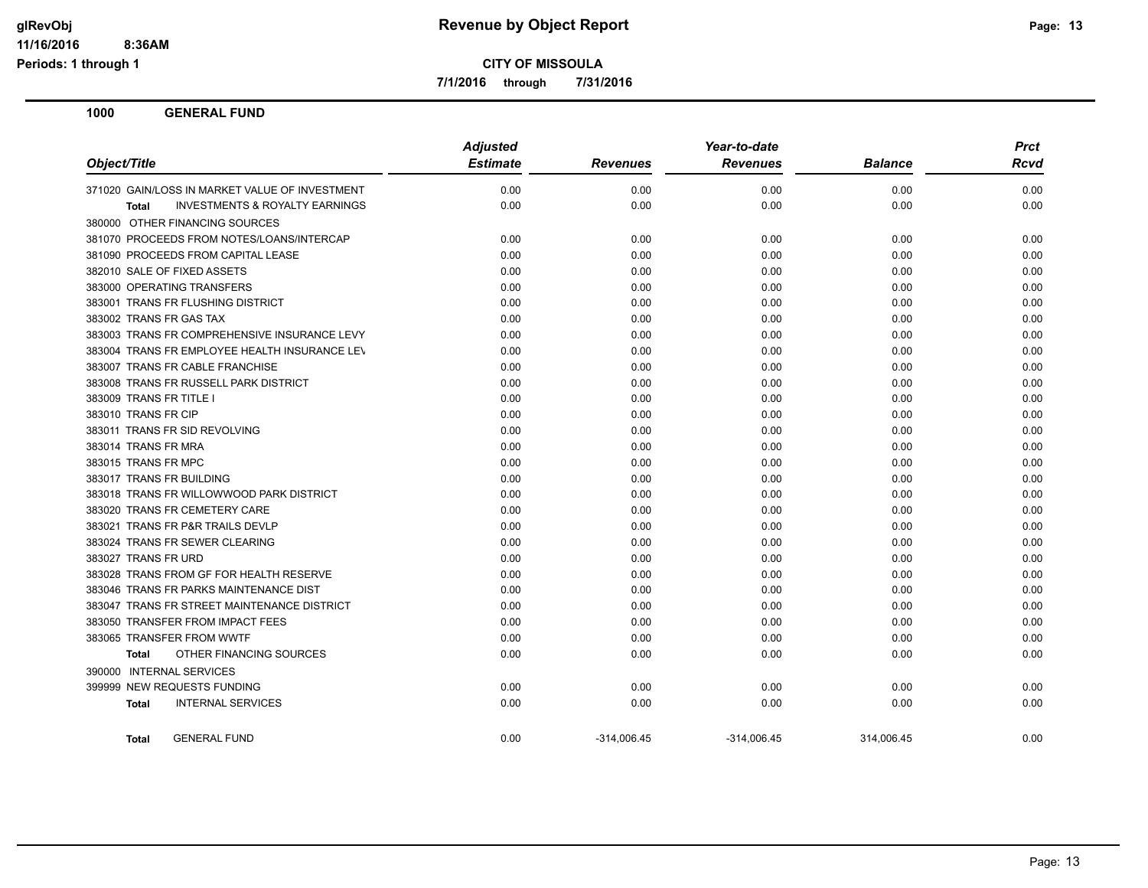**CITY OF MISSOULA**

**7/1/2016 through 7/31/2016**

|                                                    | <b>Adjusted</b> |                 |                 | <b>Prct</b>    |             |
|----------------------------------------------------|-----------------|-----------------|-----------------|----------------|-------------|
| Object/Title                                       | <b>Estimate</b> | <b>Revenues</b> | <b>Revenues</b> | <b>Balance</b> | <b>Rcvd</b> |
| 371020 GAIN/LOSS IN MARKET VALUE OF INVESTMENT     | 0.00            | 0.00            | 0.00            | 0.00           | 0.00        |
| <b>INVESTMENTS &amp; ROYALTY EARNINGS</b><br>Total | 0.00            | 0.00            | 0.00            | 0.00           | 0.00        |
| 380000 OTHER FINANCING SOURCES                     |                 |                 |                 |                |             |
| 381070 PROCEEDS FROM NOTES/LOANS/INTERCAP          | 0.00            | 0.00            | 0.00            | 0.00           | 0.00        |
| 381090 PROCEEDS FROM CAPITAL LEASE                 | 0.00            | 0.00            | 0.00            | 0.00           | 0.00        |
| 382010 SALE OF FIXED ASSETS                        | 0.00            | 0.00            | 0.00            | 0.00           | 0.00        |
| 383000 OPERATING TRANSFERS                         | 0.00            | 0.00            | 0.00            | 0.00           | 0.00        |
| 383001 TRANS FR FLUSHING DISTRICT                  | 0.00            | 0.00            | 0.00            | 0.00           | 0.00        |
| 383002 TRANS FR GAS TAX                            | 0.00            | 0.00            | 0.00            | 0.00           | 0.00        |
| 383003 TRANS FR COMPREHENSIVE INSURANCE LEVY       | 0.00            | 0.00            | 0.00            | 0.00           | 0.00        |
| 383004 TRANS FR EMPLOYEE HEALTH INSURANCE LEV      | 0.00            | 0.00            | 0.00            | 0.00           | 0.00        |
| 383007 TRANS FR CABLE FRANCHISE                    | 0.00            | 0.00            | 0.00            | 0.00           | 0.00        |
| 383008 TRANS FR RUSSELL PARK DISTRICT              | 0.00            | 0.00            | 0.00            | 0.00           | 0.00        |
| 383009 TRANS FR TITLE I                            | 0.00            | 0.00            | 0.00            | 0.00           | 0.00        |
| 383010 TRANS FR CIP                                | 0.00            | 0.00            | 0.00            | 0.00           | 0.00        |
| 383011 TRANS FR SID REVOLVING                      | 0.00            | 0.00            | 0.00            | 0.00           | 0.00        |
| 383014 TRANS FR MRA                                | 0.00            | 0.00            | 0.00            | 0.00           | 0.00        |
| 383015 TRANS FR MPC                                | 0.00            | 0.00            | 0.00            | 0.00           | 0.00        |
| 383017 TRANS FR BUILDING                           | 0.00            | 0.00            | 0.00            | 0.00           | 0.00        |
| 383018 TRANS FR WILLOWWOOD PARK DISTRICT           | 0.00            | 0.00            | 0.00            | 0.00           | 0.00        |
| 383020 TRANS FR CEMETERY CARE                      | 0.00            | 0.00            | 0.00            | 0.00           | 0.00        |
| 383021 TRANS FR P&R TRAILS DEVLP                   | 0.00            | 0.00            | 0.00            | 0.00           | 0.00        |
| 383024 TRANS FR SEWER CLEARING                     | 0.00            | 0.00            | 0.00            | 0.00           | 0.00        |
| 383027 TRANS FR URD                                | 0.00            | 0.00            | 0.00            | 0.00           | 0.00        |
| 383028 TRANS FROM GF FOR HEALTH RESERVE            | 0.00            | 0.00            | 0.00            | 0.00           | 0.00        |
| 383046 TRANS FR PARKS MAINTENANCE DIST             | 0.00            | 0.00            | 0.00            | 0.00           | 0.00        |
| 383047 TRANS FR STREET MAINTENANCE DISTRICT        | 0.00            | 0.00            | 0.00            | 0.00           | 0.00        |
| 383050 TRANSFER FROM IMPACT FEES                   | 0.00            | 0.00            | 0.00            | 0.00           | 0.00        |
| 383065 TRANSFER FROM WWTF                          | 0.00            | 0.00            | 0.00            | 0.00           | 0.00        |
| OTHER FINANCING SOURCES<br>Total                   | 0.00            | 0.00            | 0.00            | 0.00           | 0.00        |
| 390000 INTERNAL SERVICES                           |                 |                 |                 |                |             |
| 399999 NEW REQUESTS FUNDING                        | 0.00            | 0.00            | 0.00            | 0.00           | 0.00        |
| <b>INTERNAL SERVICES</b><br>Total                  | 0.00            | 0.00            | 0.00            | 0.00           | 0.00        |
| <b>GENERAL FUND</b><br><b>Total</b>                | 0.00            | $-314,006.45$   | $-314,006.45$   | 314,006.45     | 0.00        |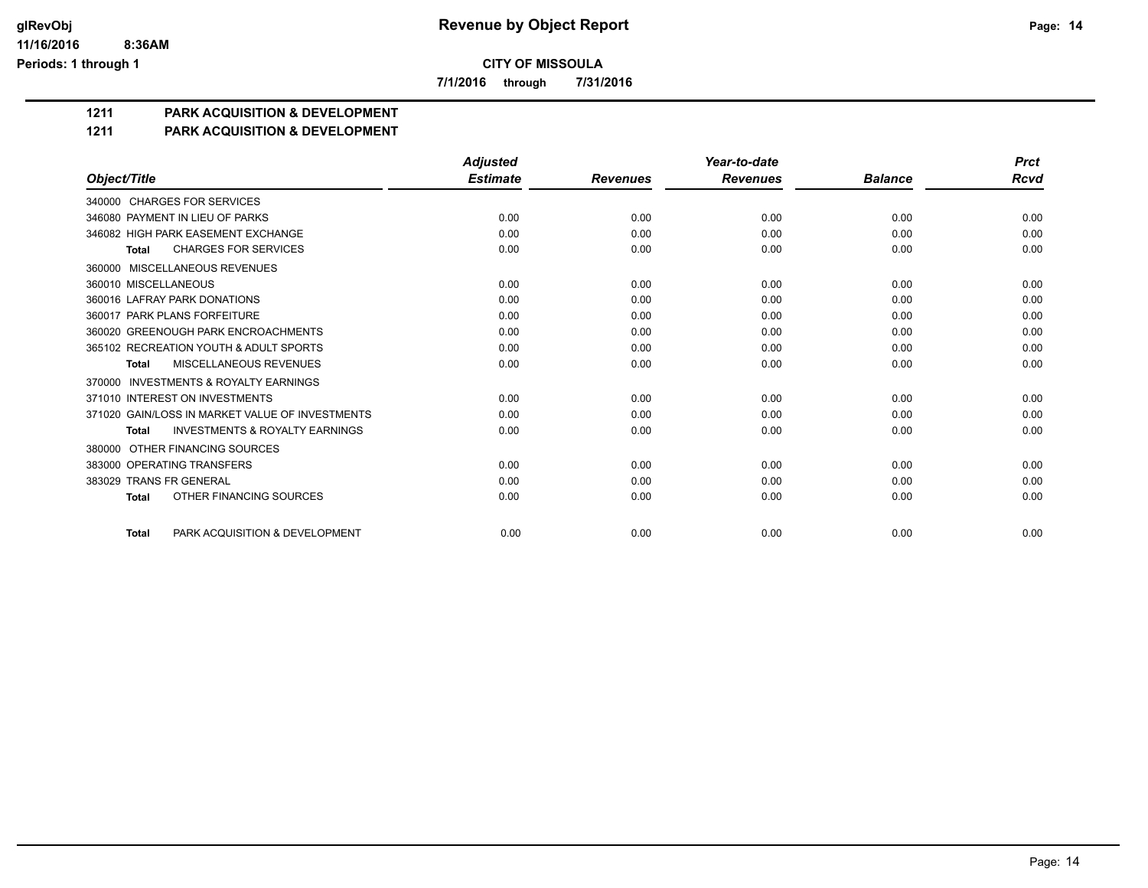**CITY OF MISSOULA**

**7/1/2016 through 7/31/2016**

#### **1211 PARK ACQUISITION & DEVELOPMENT**

#### **1211 PARK ACQUISITION & DEVELOPMENT**

|                                                           | <b>Adjusted</b> |                 | Year-to-date    |                | <b>Prct</b> |
|-----------------------------------------------------------|-----------------|-----------------|-----------------|----------------|-------------|
| Object/Title                                              | <b>Estimate</b> | <b>Revenues</b> | <b>Revenues</b> | <b>Balance</b> | <b>Rcvd</b> |
| 340000 CHARGES FOR SERVICES                               |                 |                 |                 |                |             |
| 346080 PAYMENT IN LIEU OF PARKS                           | 0.00            | 0.00            | 0.00            | 0.00           | 0.00        |
| 346082 HIGH PARK EASEMENT EXCHANGE                        | 0.00            | 0.00            | 0.00            | 0.00           | 0.00        |
| <b>CHARGES FOR SERVICES</b><br><b>Total</b>               | 0.00            | 0.00            | 0.00            | 0.00           | 0.00        |
| 360000 MISCELLANEOUS REVENUES                             |                 |                 |                 |                |             |
| 360010 MISCELLANEOUS                                      | 0.00            | 0.00            | 0.00            | 0.00           | 0.00        |
| 360016 LAFRAY PARK DONATIONS                              | 0.00            | 0.00            | 0.00            | 0.00           | 0.00        |
| 360017 PARK PLANS FORFEITURE                              | 0.00            | 0.00            | 0.00            | 0.00           | 0.00        |
| 360020 GREENOUGH PARK ENCROACHMENTS                       | 0.00            | 0.00            | 0.00            | 0.00           | 0.00        |
| 365102 RECREATION YOUTH & ADULT SPORTS                    | 0.00            | 0.00            | 0.00            | 0.00           | 0.00        |
| MISCELLANEOUS REVENUES<br><b>Total</b>                    | 0.00            | 0.00            | 0.00            | 0.00           | 0.00        |
| <b>INVESTMENTS &amp; ROYALTY EARNINGS</b><br>370000       |                 |                 |                 |                |             |
| 371010 INTEREST ON INVESTMENTS                            | 0.00            | 0.00            | 0.00            | 0.00           | 0.00        |
| 371020 GAIN/LOSS IN MARKET VALUE OF INVESTMENTS           | 0.00            | 0.00            | 0.00            | 0.00           | 0.00        |
| <b>INVESTMENTS &amp; ROYALTY EARNINGS</b><br><b>Total</b> | 0.00            | 0.00            | 0.00            | 0.00           | 0.00        |
| 380000 OTHER FINANCING SOURCES                            |                 |                 |                 |                |             |
| 383000 OPERATING TRANSFERS                                | 0.00            | 0.00            | 0.00            | 0.00           | 0.00        |
| 383029 TRANS FR GENERAL                                   | 0.00            | 0.00            | 0.00            | 0.00           | 0.00        |
| OTHER FINANCING SOURCES<br><b>Total</b>                   | 0.00            | 0.00            | 0.00            | 0.00           | 0.00        |
| PARK ACQUISITION & DEVELOPMENT<br><b>Total</b>            | 0.00            | 0.00            | 0.00            | 0.00           | 0.00        |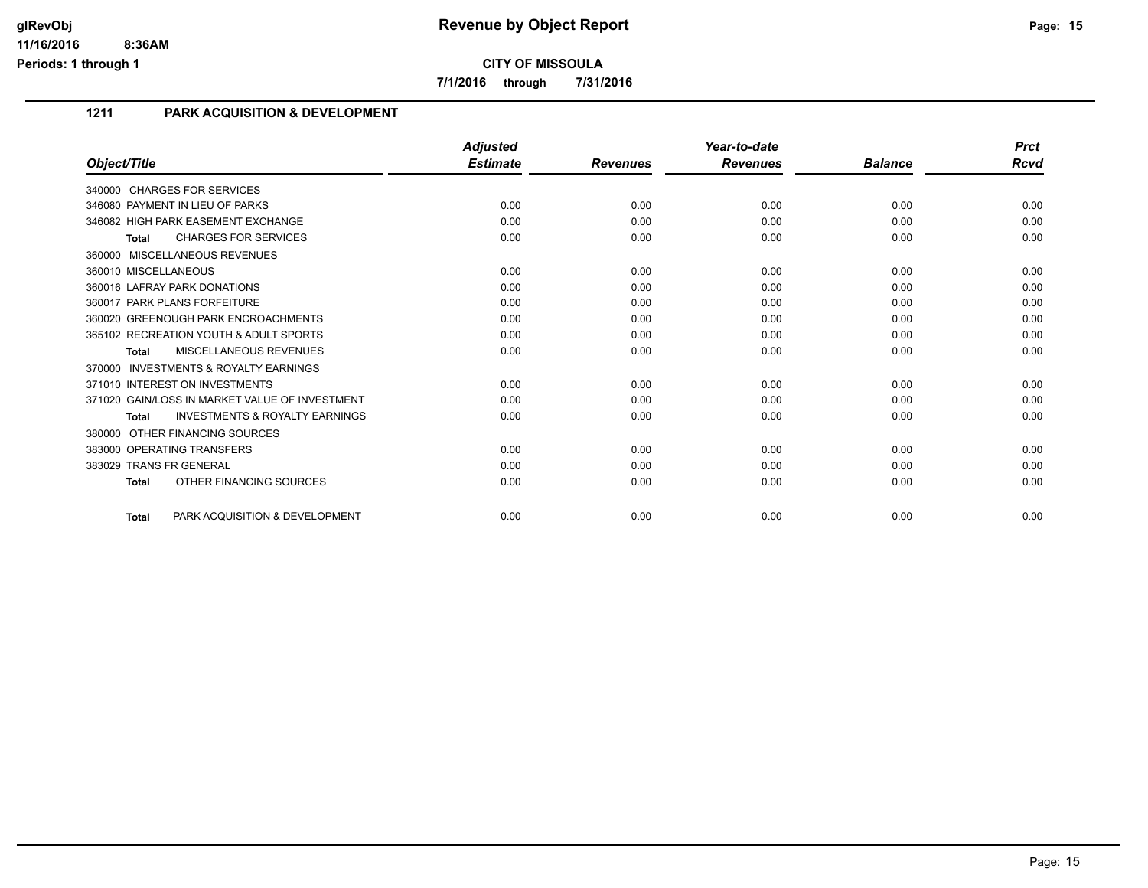**7/1/2016 through 7/31/2016**

#### **1211 PARK ACQUISITION & DEVELOPMENT**

|                                                           | <b>Adjusted</b> |                 | Year-to-date    |                | <b>Prct</b> |
|-----------------------------------------------------------|-----------------|-----------------|-----------------|----------------|-------------|
| Object/Title                                              | <b>Estimate</b> | <b>Revenues</b> | <b>Revenues</b> | <b>Balance</b> | Rcvd        |
| 340000 CHARGES FOR SERVICES                               |                 |                 |                 |                |             |
| 346080 PAYMENT IN LIEU OF PARKS                           | 0.00            | 0.00            | 0.00            | 0.00           | 0.00        |
| 346082 HIGH PARK EASEMENT EXCHANGE                        | 0.00            | 0.00            | 0.00            | 0.00           | 0.00        |
| <b>CHARGES FOR SERVICES</b><br><b>Total</b>               | 0.00            | 0.00            | 0.00            | 0.00           | 0.00        |
| 360000 MISCELLANEOUS REVENUES                             |                 |                 |                 |                |             |
| 360010 MISCELLANEOUS                                      | 0.00            | 0.00            | 0.00            | 0.00           | 0.00        |
| 360016 LAFRAY PARK DONATIONS                              | 0.00            | 0.00            | 0.00            | 0.00           | 0.00        |
| 360017 PARK PLANS FORFEITURE                              | 0.00            | 0.00            | 0.00            | 0.00           | 0.00        |
| 360020 GREENOUGH PARK ENCROACHMENTS                       | 0.00            | 0.00            | 0.00            | 0.00           | 0.00        |
| 365102 RECREATION YOUTH & ADULT SPORTS                    | 0.00            | 0.00            | 0.00            | 0.00           | 0.00        |
| <b>MISCELLANEOUS REVENUES</b><br><b>Total</b>             | 0.00            | 0.00            | 0.00            | 0.00           | 0.00        |
| <b>INVESTMENTS &amp; ROYALTY EARNINGS</b><br>370000       |                 |                 |                 |                |             |
| 371010 INTEREST ON INVESTMENTS                            | 0.00            | 0.00            | 0.00            | 0.00           | 0.00        |
| 371020 GAIN/LOSS IN MARKET VALUE OF INVESTMENT            | 0.00            | 0.00            | 0.00            | 0.00           | 0.00        |
| <b>INVESTMENTS &amp; ROYALTY EARNINGS</b><br><b>Total</b> | 0.00            | 0.00            | 0.00            | 0.00           | 0.00        |
| 380000 OTHER FINANCING SOURCES                            |                 |                 |                 |                |             |
| 383000 OPERATING TRANSFERS                                | 0.00            | 0.00            | 0.00            | 0.00           | 0.00        |
| 383029 TRANS FR GENERAL                                   | 0.00            | 0.00            | 0.00            | 0.00           | 0.00        |
| OTHER FINANCING SOURCES<br><b>Total</b>                   | 0.00            | 0.00            | 0.00            | 0.00           | 0.00        |
| PARK ACQUISITION & DEVELOPMENT<br><b>Total</b>            | 0.00            | 0.00            | 0.00            | 0.00           | 0.00        |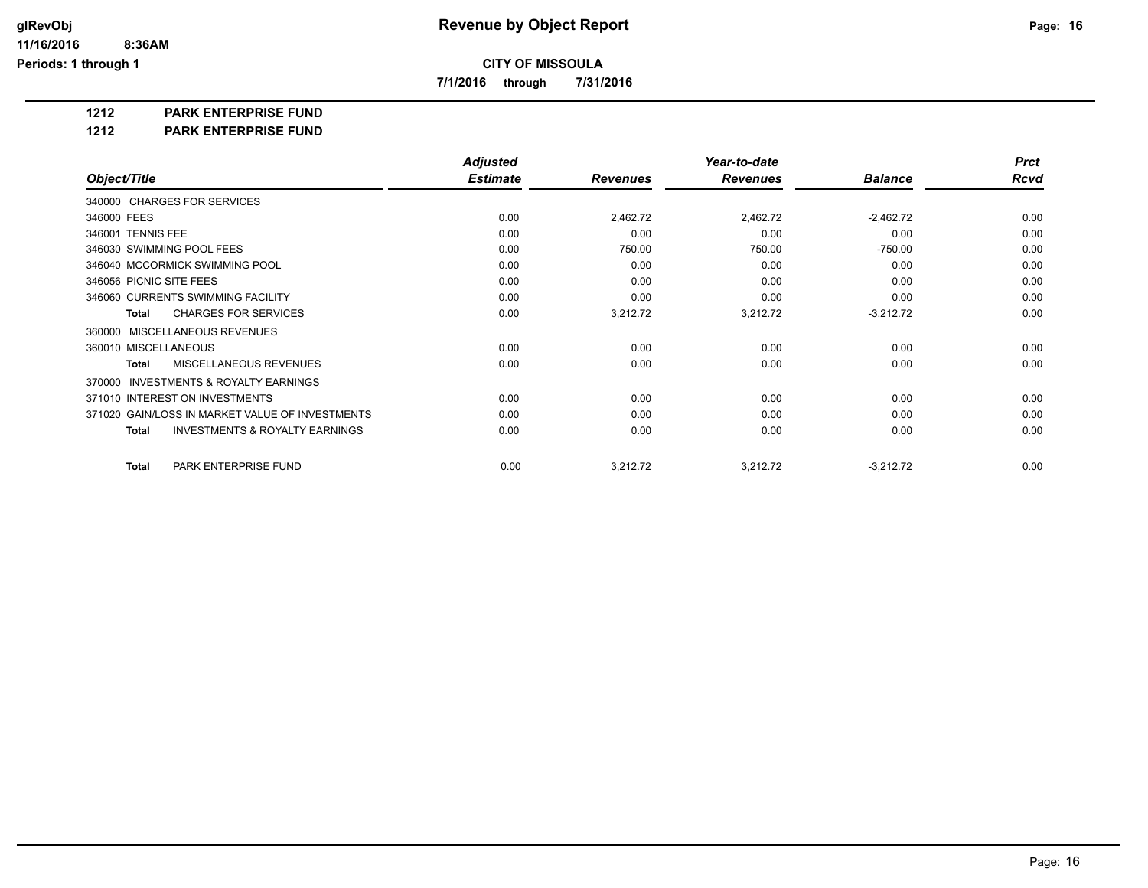**7/1/2016 through 7/31/2016**

**1212 PARK ENTERPRISE FUND**

**1212 PARK ENTERPRISE FUND**

|                                                           | <b>Adjusted</b> |                 | Year-to-date    |                | <b>Prct</b> |
|-----------------------------------------------------------|-----------------|-----------------|-----------------|----------------|-------------|
| Object/Title                                              | <b>Estimate</b> | <b>Revenues</b> | <b>Revenues</b> | <b>Balance</b> | <b>Rcvd</b> |
| 340000 CHARGES FOR SERVICES                               |                 |                 |                 |                |             |
| 346000 FEES                                               | 0.00            | 2,462.72        | 2,462.72        | $-2,462.72$    | 0.00        |
| 346001 TENNIS FEE                                         | 0.00            | 0.00            | 0.00            | 0.00           | 0.00        |
| 346030 SWIMMING POOL FEES                                 | 0.00            | 750.00          | 750.00          | $-750.00$      | 0.00        |
| 346040 MCCORMICK SWIMMING POOL                            | 0.00            | 0.00            | 0.00            | 0.00           | 0.00        |
| 346056 PICNIC SITE FEES                                   | 0.00            | 0.00            | 0.00            | 0.00           | 0.00        |
| 346060 CURRENTS SWIMMING FACILITY                         | 0.00            | 0.00            | 0.00            | 0.00           | 0.00        |
| <b>CHARGES FOR SERVICES</b><br><b>Total</b>               | 0.00            | 3,212.72        | 3,212.72        | $-3,212.72$    | 0.00        |
| MISCELLANEOUS REVENUES<br>360000                          |                 |                 |                 |                |             |
| 360010 MISCELLANEOUS                                      | 0.00            | 0.00            | 0.00            | 0.00           | 0.00        |
| <b>MISCELLANEOUS REVENUES</b><br><b>Total</b>             | 0.00            | 0.00            | 0.00            | 0.00           | 0.00        |
| INVESTMENTS & ROYALTY EARNINGS<br>370000                  |                 |                 |                 |                |             |
| 371010 INTEREST ON INVESTMENTS                            | 0.00            | 0.00            | 0.00            | 0.00           | 0.00        |
| 371020 GAIN/LOSS IN MARKET VALUE OF INVESTMENTS           | 0.00            | 0.00            | 0.00            | 0.00           | 0.00        |
| <b>INVESTMENTS &amp; ROYALTY EARNINGS</b><br><b>Total</b> | 0.00            | 0.00            | 0.00            | 0.00           | 0.00        |
| PARK ENTERPRISE FUND<br><b>Total</b>                      | 0.00            | 3,212.72        | 3,212.72        | $-3,212.72$    | 0.00        |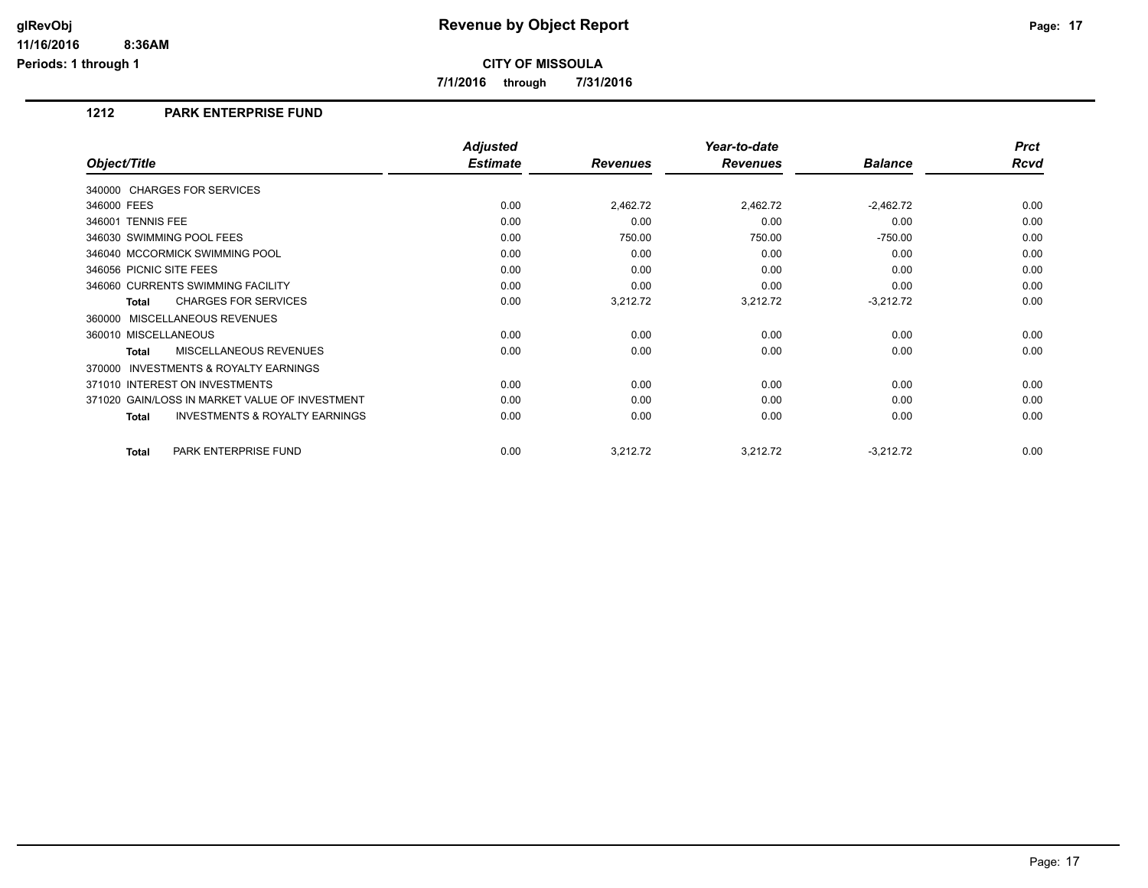**CITY OF MISSOULA**

**7/1/2016 through 7/31/2016**

#### **1212 PARK ENTERPRISE FUND**

 **8:36AM**

|                                                           | <b>Adjusted</b> |                 | Year-to-date    |                | <b>Prct</b> |
|-----------------------------------------------------------|-----------------|-----------------|-----------------|----------------|-------------|
| Object/Title                                              | <b>Estimate</b> | <b>Revenues</b> | <b>Revenues</b> | <b>Balance</b> | <b>Rcvd</b> |
| 340000 CHARGES FOR SERVICES                               |                 |                 |                 |                |             |
| 346000 FEES                                               | 0.00            | 2,462.72        | 2,462.72        | $-2,462.72$    | 0.00        |
| 346001 TENNIS FEE                                         | 0.00            | 0.00            | 0.00            | 0.00           | 0.00        |
| 346030 SWIMMING POOL FEES                                 | 0.00            | 750.00          | 750.00          | $-750.00$      | 0.00        |
| 346040 MCCORMICK SWIMMING POOL                            | 0.00            | 0.00            | 0.00            | 0.00           | 0.00        |
| 346056 PICNIC SITE FEES                                   | 0.00            | 0.00            | 0.00            | 0.00           | 0.00        |
| 346060 CURRENTS SWIMMING FACILITY                         | 0.00            | 0.00            | 0.00            | 0.00           | 0.00        |
| <b>CHARGES FOR SERVICES</b><br><b>Total</b>               | 0.00            | 3,212.72        | 3,212.72        | $-3,212.72$    | 0.00        |
| 360000 MISCELLANEOUS REVENUES                             |                 |                 |                 |                |             |
| 360010 MISCELLANEOUS                                      | 0.00            | 0.00            | 0.00            | 0.00           | 0.00        |
| MISCELLANEOUS REVENUES<br>Total                           | 0.00            | 0.00            | 0.00            | 0.00           | 0.00        |
| 370000 INVESTMENTS & ROYALTY EARNINGS                     |                 |                 |                 |                |             |
| 371010 INTEREST ON INVESTMENTS                            | 0.00            | 0.00            | 0.00            | 0.00           | 0.00        |
| 371020 GAIN/LOSS IN MARKET VALUE OF INVESTMENT            | 0.00            | 0.00            | 0.00            | 0.00           | 0.00        |
| <b>INVESTMENTS &amp; ROYALTY EARNINGS</b><br><b>Total</b> | 0.00            | 0.00            | 0.00            | 0.00           | 0.00        |
| PARK ENTERPRISE FUND<br><b>Total</b>                      | 0.00            | 3,212.72        | 3,212.72        | $-3,212.72$    | 0.00        |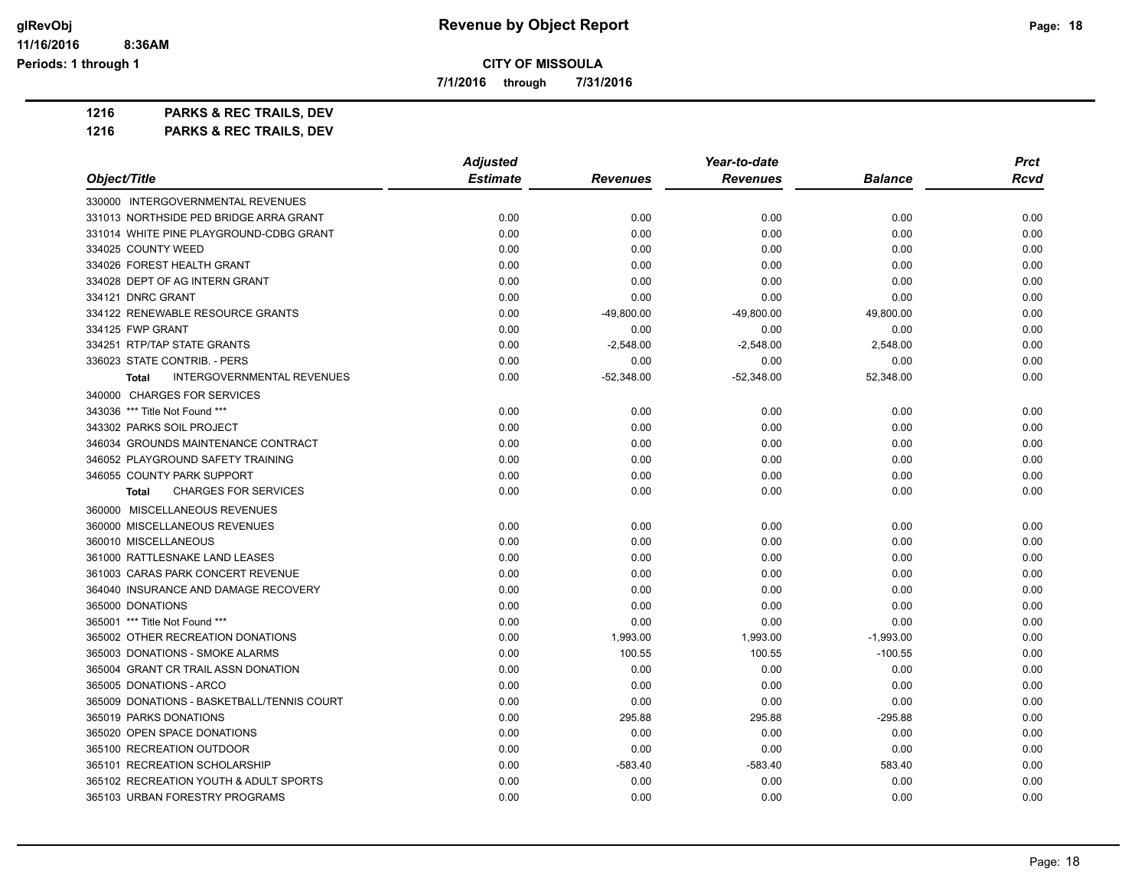**glRevObj Revenue by Object Report Page: 18** 

**11/16/2016 8:36AM Periods: 1 through 1**

**CITY OF MISSOULA**

**7/1/2016 through 7/31/2016**

**1216 PARKS & REC TRAILS, DEV**

**1216 PARKS & REC TRAILS, DEV**

|                                             | <b>Adjusted</b> |                 | Year-to-date    |                | <b>Prct</b> |
|---------------------------------------------|-----------------|-----------------|-----------------|----------------|-------------|
| Object/Title                                | <b>Estimate</b> | <b>Revenues</b> | <b>Revenues</b> | <b>Balance</b> | <b>Rcvd</b> |
| 330000 INTERGOVERNMENTAL REVENUES           |                 |                 |                 |                |             |
| 331013 NORTHSIDE PED BRIDGE ARRA GRANT      | 0.00            | 0.00            | 0.00            | 0.00           | 0.00        |
| 331014 WHITE PINE PLAYGROUND-CDBG GRANT     | 0.00            | 0.00            | 0.00            | 0.00           | 0.00        |
| 334025 COUNTY WEED                          | 0.00            | 0.00            | 0.00            | 0.00           | 0.00        |
| 334026 FOREST HEALTH GRANT                  | 0.00            | 0.00            | 0.00            | 0.00           | 0.00        |
| 334028 DEPT OF AG INTERN GRANT              | 0.00            | 0.00            | 0.00            | 0.00           | 0.00        |
| 334121 DNRC GRANT                           | 0.00            | 0.00            | 0.00            | 0.00           | 0.00        |
| 334122 RENEWABLE RESOURCE GRANTS            | 0.00            | $-49,800.00$    | $-49,800.00$    | 49,800.00      | 0.00        |
| 334125 FWP GRANT                            | 0.00            | 0.00            | 0.00            | 0.00           | 0.00        |
| 334251 RTP/TAP STATE GRANTS                 | 0.00            | $-2,548.00$     | $-2,548.00$     | 2,548.00       | 0.00        |
| 336023 STATE CONTRIB. - PERS                | 0.00            | 0.00            | 0.00            | 0.00           | 0.00        |
| <b>INTERGOVERNMENTAL REVENUES</b><br>Total  | 0.00            | $-52,348.00$    | $-52,348.00$    | 52,348.00      | 0.00        |
| 340000 CHARGES FOR SERVICES                 |                 |                 |                 |                |             |
| 343036 *** Title Not Found ***              | 0.00            | 0.00            | 0.00            | 0.00           | 0.00        |
| 343302 PARKS SOIL PROJECT                   | 0.00            | 0.00            | 0.00            | 0.00           | 0.00        |
| 346034 GROUNDS MAINTENANCE CONTRACT         | 0.00            | 0.00            | 0.00            | 0.00           | 0.00        |
| 346052 PLAYGROUND SAFETY TRAINING           | 0.00            | 0.00            | 0.00            | 0.00           | 0.00        |
| 346055 COUNTY PARK SUPPORT                  | 0.00            | 0.00            | 0.00            | 0.00           | 0.00        |
| <b>CHARGES FOR SERVICES</b><br><b>Total</b> | 0.00            | 0.00            | 0.00            | 0.00           | 0.00        |
| 360000 MISCELLANEOUS REVENUES               |                 |                 |                 |                |             |
| 360000 MISCELLANEOUS REVENUES               | 0.00            | 0.00            | 0.00            | 0.00           | 0.00        |
| 360010 MISCELLANEOUS                        | 0.00            | 0.00            | 0.00            | 0.00           | 0.00        |
| 361000 RATTLESNAKE LAND LEASES              | 0.00            | 0.00            | 0.00            | 0.00           | 0.00        |
| 361003 CARAS PARK CONCERT REVENUE           | 0.00            | 0.00            | 0.00            | 0.00           | 0.00        |
| 364040 INSURANCE AND DAMAGE RECOVERY        | 0.00            | 0.00            | 0.00            | 0.00           | 0.00        |
| 365000 DONATIONS                            | 0.00            | 0.00            | 0.00            | 0.00           | 0.00        |
| 365001 *** Title Not Found ***              | 0.00            | 0.00            | 0.00            | 0.00           | 0.00        |
| 365002 OTHER RECREATION DONATIONS           | 0.00            | 1,993.00        | 1,993.00        | $-1,993.00$    | 0.00        |
| 365003 DONATIONS - SMOKE ALARMS             | 0.00            | 100.55          | 100.55          | $-100.55$      | 0.00        |
| 365004 GRANT CR TRAIL ASSN DONATION         | 0.00            | 0.00            | 0.00            | 0.00           | 0.00        |
| 365005 DONATIONS - ARCO                     | 0.00            | 0.00            | 0.00            | 0.00           | 0.00        |
| 365009 DONATIONS - BASKETBALL/TENNIS COURT  | 0.00            | 0.00            | 0.00            | 0.00           | 0.00        |
| 365019 PARKS DONATIONS                      | 0.00            | 295.88          | 295.88          | $-295.88$      | 0.00        |
| 365020 OPEN SPACE DONATIONS                 | 0.00            | 0.00            | 0.00            | 0.00           | 0.00        |
| 365100 RECREATION OUTDOOR                   | 0.00            | 0.00            | 0.00            | 0.00           | 0.00        |
| 365101 RECREATION SCHOLARSHIP               | 0.00            | $-583.40$       | $-583.40$       | 583.40         | 0.00        |
| 365102 RECREATION YOUTH & ADULT SPORTS      | 0.00            | 0.00            | 0.00            | 0.00           | 0.00        |
| 365103 URBAN FORESTRY PROGRAMS              | 0.00            | 0.00            | 0.00            | 0.00           | 0.00        |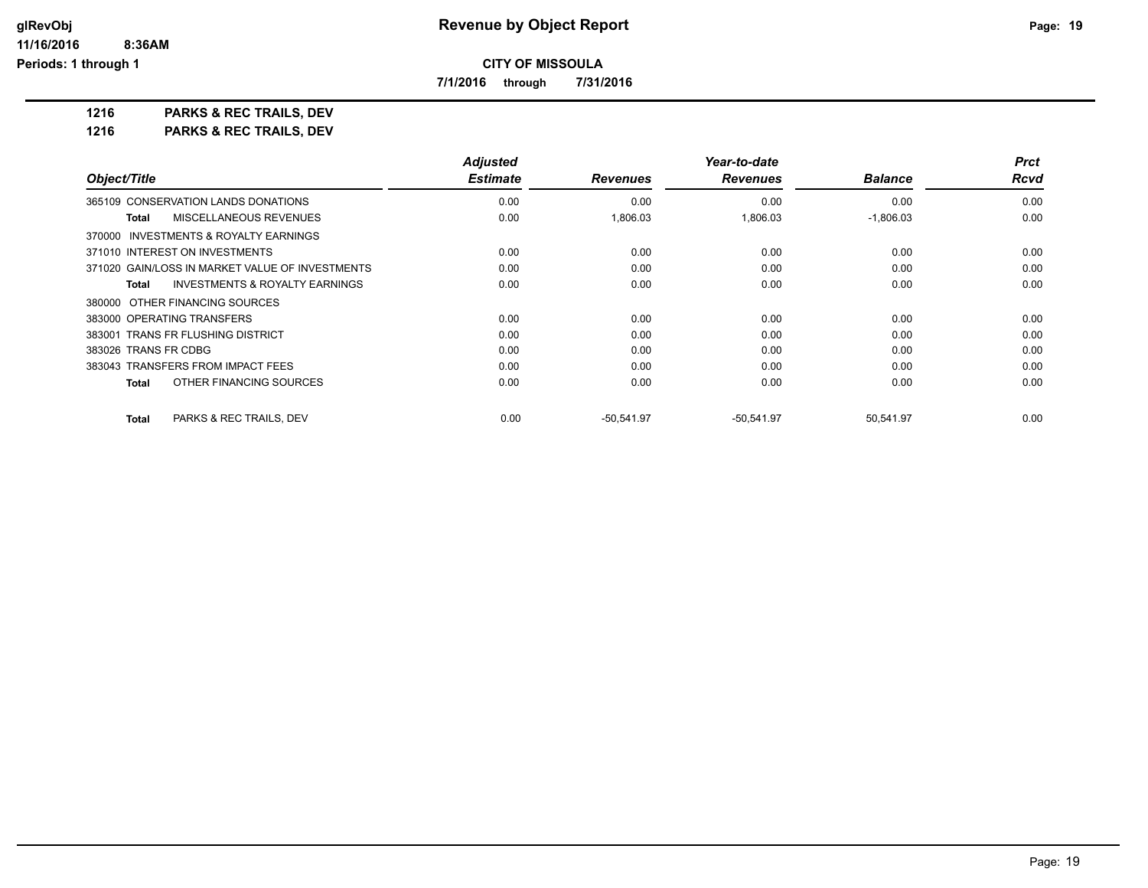**7/1/2016 through 7/31/2016**

**1216 PARKS & REC TRAILS, DEV**

**1216 PARKS & REC TRAILS, DEV**

|                                                     | <b>Adjusted</b> |                 | Year-to-date    |                | <b>Prct</b> |
|-----------------------------------------------------|-----------------|-----------------|-----------------|----------------|-------------|
| Object/Title                                        | <b>Estimate</b> | <b>Revenues</b> | <b>Revenues</b> | <b>Balance</b> | <b>Rcvd</b> |
| 365109 CONSERVATION LANDS DONATIONS                 | 0.00            | 0.00            | 0.00            | 0.00           | 0.00        |
| MISCELLANEOUS REVENUES<br><b>Total</b>              | 0.00            | 1,806.03        | 1,806.03        | $-1,806.03$    | 0.00        |
| <b>INVESTMENTS &amp; ROYALTY EARNINGS</b><br>370000 |                 |                 |                 |                |             |
| 371010 INTEREST ON INVESTMENTS                      | 0.00            | 0.00            | 0.00            | 0.00           | 0.00        |
| 371020 GAIN/LOSS IN MARKET VALUE OF INVESTMENTS     | 0.00            | 0.00            | 0.00            | 0.00           | 0.00        |
| <b>INVESTMENTS &amp; ROYALTY EARNINGS</b><br>Total  | 0.00            | 0.00            | 0.00            | 0.00           | 0.00        |
| 380000 OTHER FINANCING SOURCES                      |                 |                 |                 |                |             |
| 383000 OPERATING TRANSFERS                          | 0.00            | 0.00            | 0.00            | 0.00           | 0.00        |
| 383001 TRANS FR FLUSHING DISTRICT                   | 0.00            | 0.00            | 0.00            | 0.00           | 0.00        |
| 383026 TRANS FR CDBG                                | 0.00            | 0.00            | 0.00            | 0.00           | 0.00        |
| 383043 TRANSFERS FROM IMPACT FEES                   | 0.00            | 0.00            | 0.00            | 0.00           | 0.00        |
| OTHER FINANCING SOURCES<br><b>Total</b>             | 0.00            | 0.00            | 0.00            | 0.00           | 0.00        |
| PARKS & REC TRAILS, DEV<br><b>Total</b>             | 0.00            | $-50,541.97$    | $-50,541.97$    | 50,541.97      | 0.00        |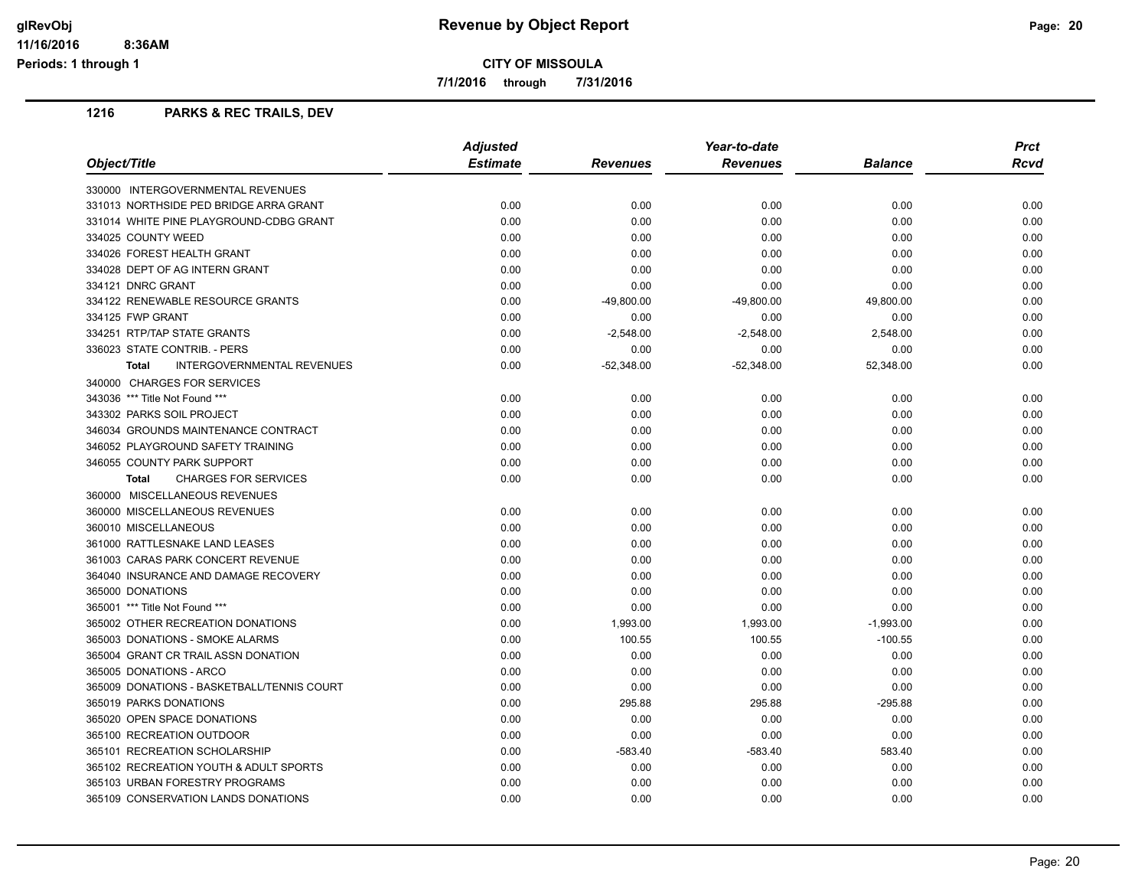**CITY OF MISSOULA**

**7/1/2016 through 7/31/2016**

#### **1216 PARKS & REC TRAILS, DEV**

| Object/Title                                | <b>Adjusted</b> |              | Year-to-date    |                |             |
|---------------------------------------------|-----------------|--------------|-----------------|----------------|-------------|
|                                             | <b>Estimate</b> | Revenues     | <b>Revenues</b> | <b>Balance</b> | <b>Rcvd</b> |
| 330000 INTERGOVERNMENTAL REVENUES           |                 |              |                 |                |             |
| 331013 NORTHSIDE PED BRIDGE ARRA GRANT      | 0.00            | 0.00         | 0.00            | 0.00           | 0.00        |
| 331014 WHITE PINE PLAYGROUND-CDBG GRANT     | 0.00            | 0.00         | 0.00            | 0.00           | 0.00        |
| 334025 COUNTY WEED                          | 0.00            | 0.00         | 0.00            | 0.00           | 0.00        |
| 334026 FOREST HEALTH GRANT                  | 0.00            | 0.00         | 0.00            | 0.00           | 0.00        |
| 334028 DEPT OF AG INTERN GRANT              | 0.00            | 0.00         | 0.00            | 0.00           | 0.00        |
| 334121 DNRC GRANT                           | 0.00            | 0.00         | 0.00            | 0.00           | 0.00        |
| 334122 RENEWABLE RESOURCE GRANTS            | 0.00            | $-49,800.00$ | -49,800.00      | 49,800.00      | 0.00        |
| 334125 FWP GRANT                            | 0.00            | 0.00         | 0.00            | 0.00           | 0.00        |
| 334251 RTP/TAP STATE GRANTS                 | 0.00            | $-2,548.00$  | $-2,548.00$     | 2,548.00       | 0.00        |
| 336023 STATE CONTRIB. - PERS                | 0.00            | 0.00         | 0.00            | 0.00           | 0.00        |
| INTERGOVERNMENTAL REVENUES<br><b>Total</b>  | 0.00            | $-52,348.00$ | $-52,348.00$    | 52,348.00      | 0.00        |
| 340000 CHARGES FOR SERVICES                 |                 |              |                 |                |             |
| 343036 *** Title Not Found ***              | 0.00            | 0.00         | 0.00            | 0.00           | 0.00        |
| 343302 PARKS SOIL PROJECT                   | 0.00            | 0.00         | 0.00            | 0.00           | 0.00        |
| 346034 GROUNDS MAINTENANCE CONTRACT         | 0.00            | 0.00         | 0.00            | 0.00           | 0.00        |
| 346052 PLAYGROUND SAFETY TRAINING           | 0.00            | 0.00         | 0.00            | 0.00           | 0.00        |
| 346055 COUNTY PARK SUPPORT                  | 0.00            | 0.00         | 0.00            | 0.00           | 0.00        |
| <b>CHARGES FOR SERVICES</b><br><b>Total</b> | 0.00            | 0.00         | 0.00            | 0.00           | 0.00        |
| 360000 MISCELLANEOUS REVENUES               |                 |              |                 |                |             |
| 360000 MISCELLANEOUS REVENUES               | 0.00            | 0.00         | 0.00            | 0.00           | 0.00        |
| 360010 MISCELLANEOUS                        | 0.00            | 0.00         | 0.00            | 0.00           | 0.00        |
| 361000 RATTLESNAKE LAND LEASES              | 0.00            | 0.00         | 0.00            | 0.00           | 0.00        |
| 361003 CARAS PARK CONCERT REVENUE           | 0.00            | 0.00         | 0.00            | 0.00           | 0.00        |
| 364040 INSURANCE AND DAMAGE RECOVERY        | 0.00            | 0.00         | 0.00            | 0.00           | 0.00        |
| 365000 DONATIONS                            | 0.00            | 0.00         | 0.00            | 0.00           | 0.00        |
| 365001 *** Title Not Found ***              | 0.00            | 0.00         | 0.00            | 0.00           | 0.00        |
| 365002 OTHER RECREATION DONATIONS           | 0.00            | 1,993.00     | 1,993.00        | $-1,993.00$    | 0.00        |
| 365003 DONATIONS - SMOKE ALARMS             | 0.00            | 100.55       | 100.55          | $-100.55$      | 0.00        |
| 365004 GRANT CR TRAIL ASSN DONATION         | 0.00            | 0.00         | 0.00            | 0.00           | 0.00        |
| 365005 DONATIONS - ARCO                     | 0.00            | 0.00         | 0.00            | 0.00           | 0.00        |
| 365009 DONATIONS - BASKETBALL/TENNIS COURT  | 0.00            | 0.00         | 0.00            | 0.00           | 0.00        |
| 365019 PARKS DONATIONS                      | 0.00            | 295.88       | 295.88          | $-295.88$      | 0.00        |
| 365020 OPEN SPACE DONATIONS                 | 0.00            | 0.00         | 0.00            | 0.00           | 0.00        |
| 365100 RECREATION OUTDOOR                   | 0.00            | 0.00         | 0.00            | 0.00           | 0.00        |
| 365101 RECREATION SCHOLARSHIP               | 0.00            | $-583.40$    | $-583.40$       | 583.40         | 0.00        |
| 365102 RECREATION YOUTH & ADULT SPORTS      | 0.00            | 0.00         | 0.00            | 0.00           | 0.00        |
| 365103 URBAN FORESTRY PROGRAMS              | 0.00            | 0.00         | 0.00            | 0.00           | 0.00        |
| 365109 CONSERVATION LANDS DONATIONS         | 0.00            | 0.00         | 0.00            | 0.00           | 0.00        |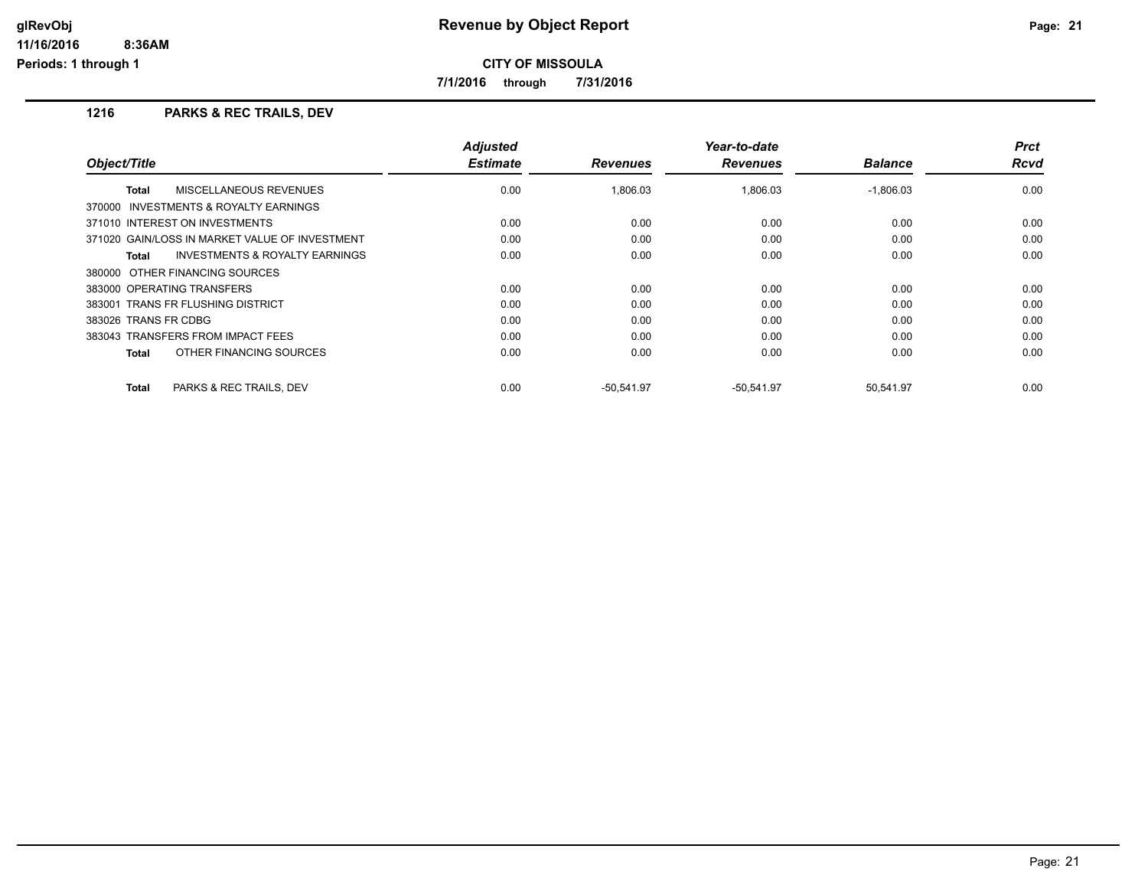**CITY OF MISSOULA**

**7/1/2016 through 7/31/2016**

#### **1216 PARKS & REC TRAILS, DEV**

 **8:36AM**

| Object/Title                                              | <b>Adjusted</b><br><b>Estimate</b> | <b>Revenues</b> | Year-to-date<br><b>Revenues</b> | <b>Balance</b> | <b>Prct</b><br>Rcvd |
|-----------------------------------------------------------|------------------------------------|-----------------|---------------------------------|----------------|---------------------|
| MISCELLANEOUS REVENUES<br><b>Total</b>                    | 0.00                               | 1,806.03        | 1,806.03                        | $-1,806.03$    | 0.00                |
| 370000 INVESTMENTS & ROYALTY EARNINGS                     |                                    |                 |                                 |                |                     |
| 371010 INTEREST ON INVESTMENTS                            | 0.00                               | 0.00            | 0.00                            | 0.00           | 0.00                |
| 371020 GAIN/LOSS IN MARKET VALUE OF INVESTMENT            | 0.00                               | 0.00            | 0.00                            | 0.00           | 0.00                |
| <b>INVESTMENTS &amp; ROYALTY EARNINGS</b><br><b>Total</b> | 0.00                               | 0.00            | 0.00                            | 0.00           | 0.00                |
| 380000 OTHER FINANCING SOURCES                            |                                    |                 |                                 |                |                     |
| 383000 OPERATING TRANSFERS                                | 0.00                               | 0.00            | 0.00                            | 0.00           | 0.00                |
| 383001 TRANS FR FLUSHING DISTRICT                         | 0.00                               | 0.00            | 0.00                            | 0.00           | 0.00                |
| 383026 TRANS FR CDBG                                      | 0.00                               | 0.00            | 0.00                            | 0.00           | 0.00                |
| 383043 TRANSFERS FROM IMPACT FEES                         | 0.00                               | 0.00            | 0.00                            | 0.00           | 0.00                |
| OTHER FINANCING SOURCES<br><b>Total</b>                   | 0.00                               | 0.00            | 0.00                            | 0.00           | 0.00                |
| PARKS & REC TRAILS, DEV<br><b>Total</b>                   | 0.00                               | $-50,541.97$    | $-50,541.97$                    | 50,541.97      | 0.00                |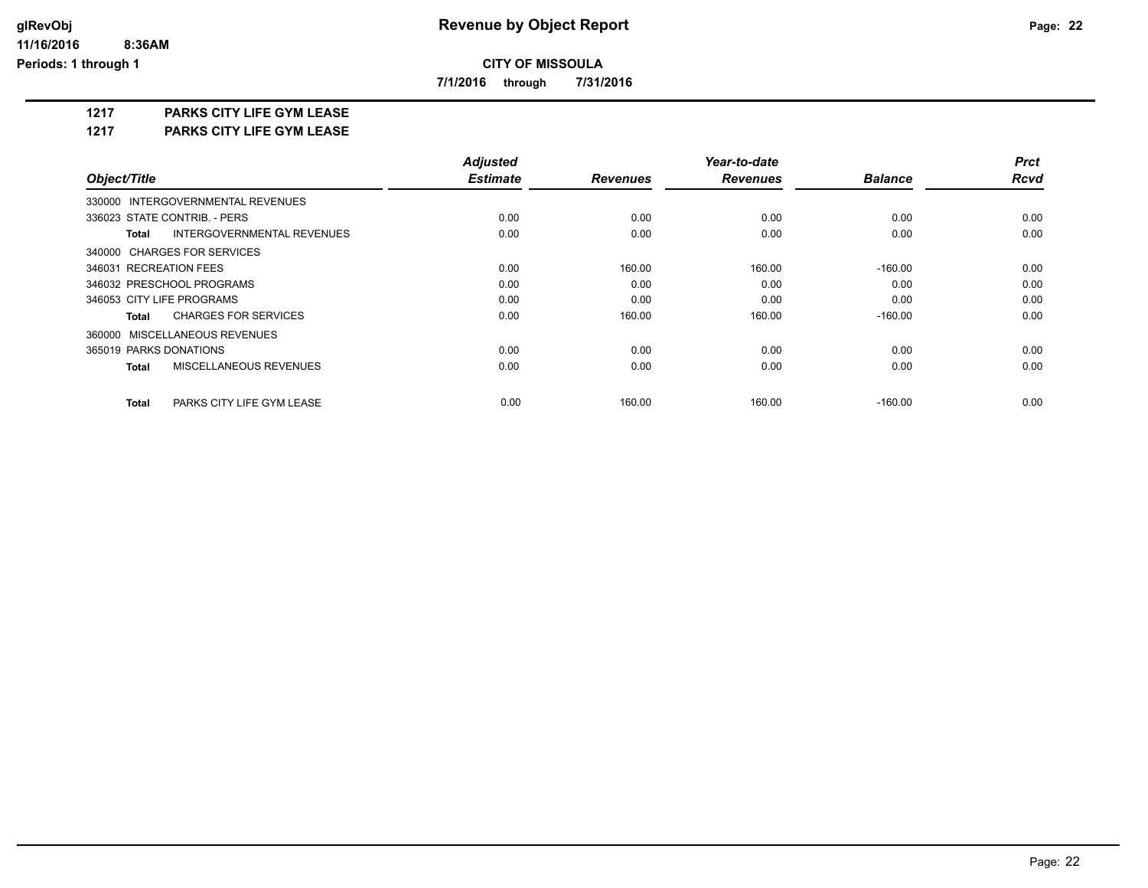**glRevObj Revenue by Object Report Page: 22** 

**11/16/2016 8:36AM Periods: 1 through 1**

**CITY OF MISSOULA**

**7/1/2016 through 7/31/2016**

#### **1217 PARKS CITY LIFE GYM LEASE**

**1217 PARKS CITY LIFE GYM LEASE**

|                                                   | <b>Adjusted</b> |                 | Year-to-date    |                | <b>Prct</b> |
|---------------------------------------------------|-----------------|-----------------|-----------------|----------------|-------------|
| Object/Title                                      | <b>Estimate</b> | <b>Revenues</b> | <b>Revenues</b> | <b>Balance</b> | <b>Rcvd</b> |
| 330000 INTERGOVERNMENTAL REVENUES                 |                 |                 |                 |                |             |
| 336023 STATE CONTRIB. - PERS                      | 0.00            | 0.00            | 0.00            | 0.00           | 0.00        |
| <b>INTERGOVERNMENTAL REVENUES</b><br><b>Total</b> | 0.00            | 0.00            | 0.00            | 0.00           | 0.00        |
| 340000 CHARGES FOR SERVICES                       |                 |                 |                 |                |             |
| 346031 RECREATION FEES                            | 0.00            | 160.00          | 160.00          | $-160.00$      | 0.00        |
| 346032 PRESCHOOL PROGRAMS                         | 0.00            | 0.00            | 0.00            | 0.00           | 0.00        |
| 346053 CITY LIFE PROGRAMS                         | 0.00            | 0.00            | 0.00            | 0.00           | 0.00        |
| <b>CHARGES FOR SERVICES</b><br>Total              | 0.00            | 160.00          | 160.00          | $-160.00$      | 0.00        |
| 360000 MISCELLANEOUS REVENUES                     |                 |                 |                 |                |             |
| 365019 PARKS DONATIONS                            | 0.00            | 0.00            | 0.00            | 0.00           | 0.00        |
| MISCELLANEOUS REVENUES<br><b>Total</b>            | 0.00            | 0.00            | 0.00            | 0.00           | 0.00        |
| PARKS CITY LIFE GYM LEASE<br><b>Total</b>         | 0.00            | 160.00          | 160.00          | $-160.00$      | 0.00        |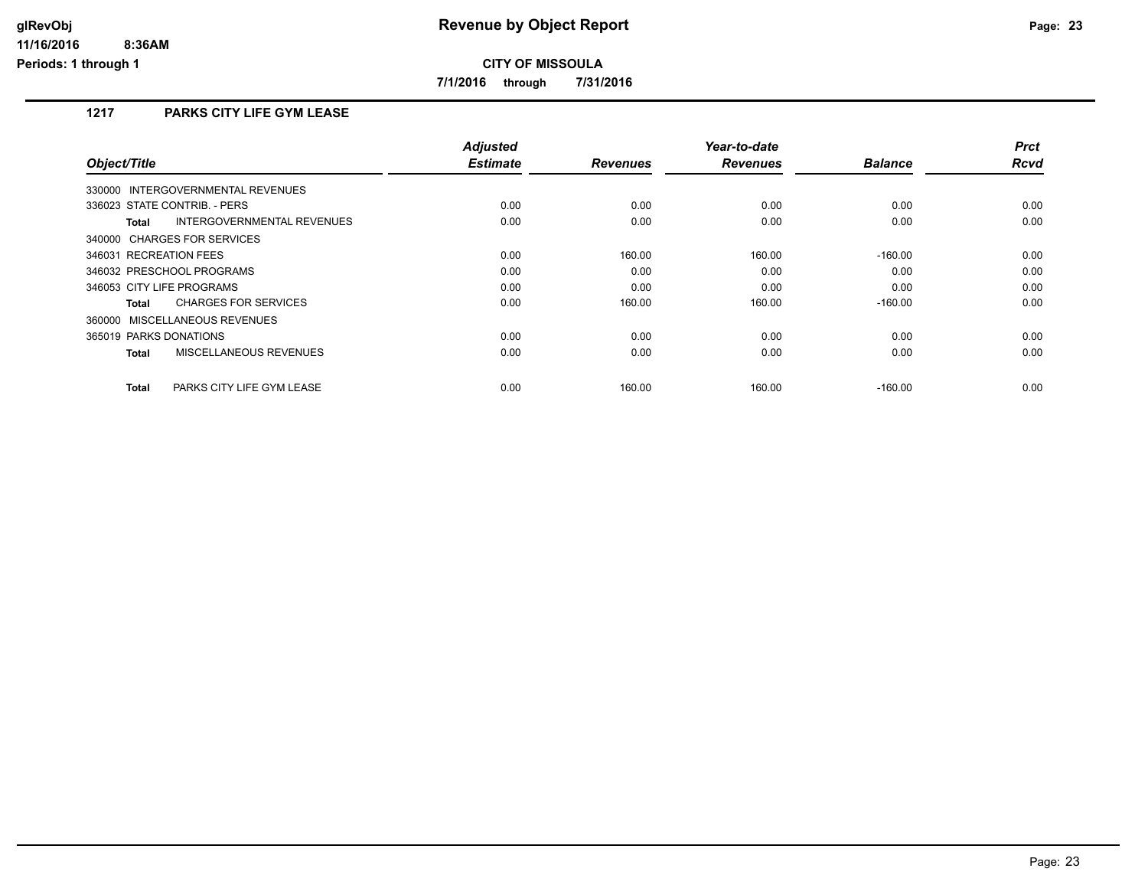#### **CITY OF MISSOULA**

**7/1/2016 through 7/31/2016**

#### **1217 PARKS CITY LIFE GYM LEASE**

| Object/Title                                      | <b>Adjusted</b><br><b>Estimate</b> | <b>Revenues</b> | Year-to-date<br><b>Revenues</b> | <b>Balance</b> | <b>Prct</b><br>Rcvd |
|---------------------------------------------------|------------------------------------|-----------------|---------------------------------|----------------|---------------------|
| 330000 INTERGOVERNMENTAL REVENUES                 |                                    |                 |                                 |                |                     |
| 336023 STATE CONTRIB. - PERS                      | 0.00                               | 0.00            | 0.00                            | 0.00           | 0.00                |
| <b>INTERGOVERNMENTAL REVENUES</b><br><b>Total</b> | 0.00                               | 0.00            | 0.00                            | 0.00           | 0.00                |
| 340000 CHARGES FOR SERVICES                       |                                    |                 |                                 |                |                     |
| 346031 RECREATION FEES                            | 0.00                               | 160.00          | 160.00                          | $-160.00$      | 0.00                |
| 346032 PRESCHOOL PROGRAMS                         | 0.00                               | 0.00            | 0.00                            | 0.00           | 0.00                |
| 346053 CITY LIFE PROGRAMS                         | 0.00                               | 0.00            | 0.00                            | 0.00           | 0.00                |
| <b>CHARGES FOR SERVICES</b><br>Total              | 0.00                               | 160.00          | 160.00                          | $-160.00$      | 0.00                |
| 360000 MISCELLANEOUS REVENUES                     |                                    |                 |                                 |                |                     |
| 365019 PARKS DONATIONS                            | 0.00                               | 0.00            | 0.00                            | 0.00           | 0.00                |
| MISCELLANEOUS REVENUES<br><b>Total</b>            | 0.00                               | 0.00            | 0.00                            | 0.00           | 0.00                |
| PARKS CITY LIFE GYM LEASE<br><b>Total</b>         | 0.00                               | 160.00          | 160.00                          | $-160.00$      | 0.00                |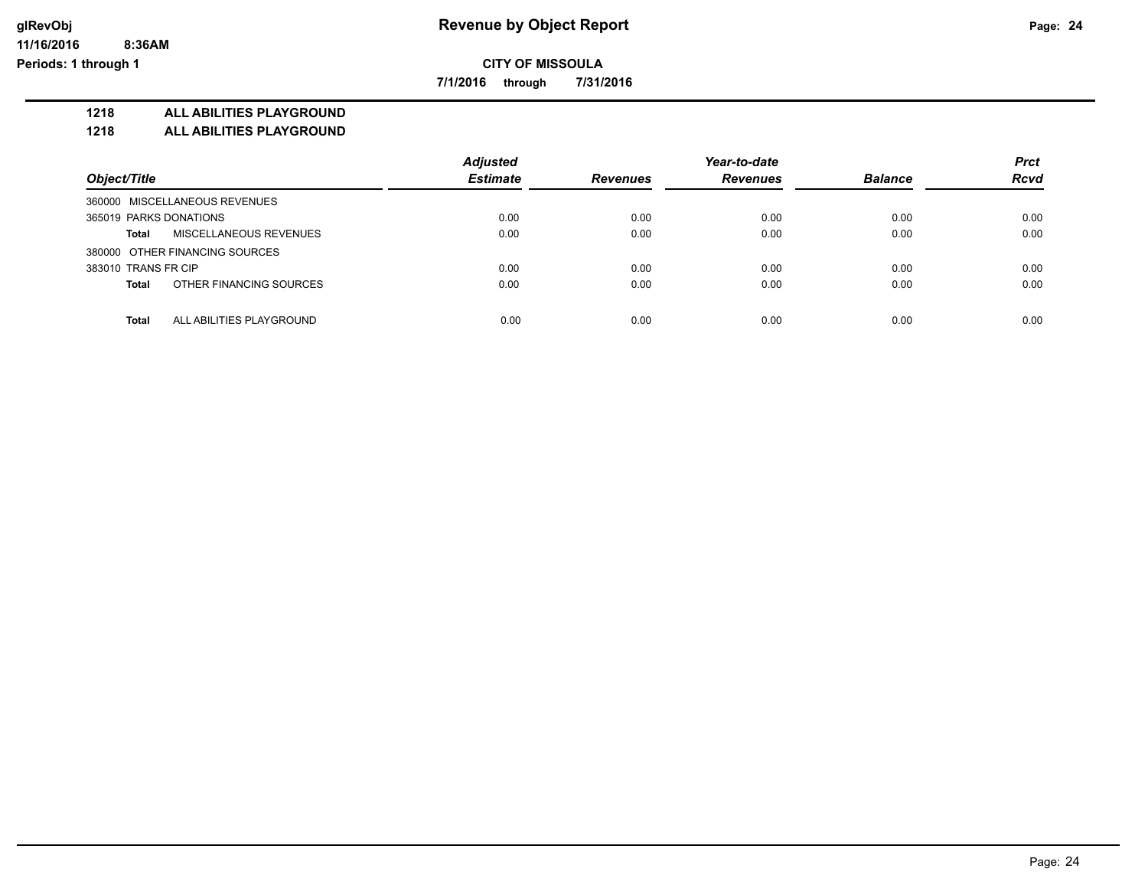**CITY OF MISSOULA**

**7/1/2016 through 7/31/2016**

**1218 ALL ABILITIES PLAYGROUND**

 **8:36AM**

**1218 ALL ABILITIES PLAYGROUND**

|                                               | <b>Adjusted</b> |                 | Year-to-date |                | <b>Prct</b> |
|-----------------------------------------------|-----------------|-----------------|--------------|----------------|-------------|
| Object/Title                                  | <b>Estimate</b> | <b>Revenues</b> | Revenues     | <b>Balance</b> | <b>Rcvd</b> |
| 360000 MISCELLANEOUS REVENUES                 |                 |                 |              |                |             |
| 365019 PARKS DONATIONS                        | 0.00            | 0.00            | 0.00         | 0.00           | 0.00        |
| <b>MISCELLANEOUS REVENUES</b><br><b>Total</b> | 0.00            | 0.00            | 0.00         | 0.00           | 0.00        |
| 380000 OTHER FINANCING SOURCES                |                 |                 |              |                |             |
| 383010 TRANS FR CIP                           | 0.00            | 0.00            | 0.00         | 0.00           | 0.00        |
| OTHER FINANCING SOURCES<br><b>Total</b>       | 0.00            | 0.00            | 0.00         | 0.00           | 0.00        |
|                                               |                 |                 |              |                |             |
| ALL ABILITIES PLAYGROUND<br><b>Total</b>      | 0.00            | 0.00            | 0.00         | 0.00           | 0.00        |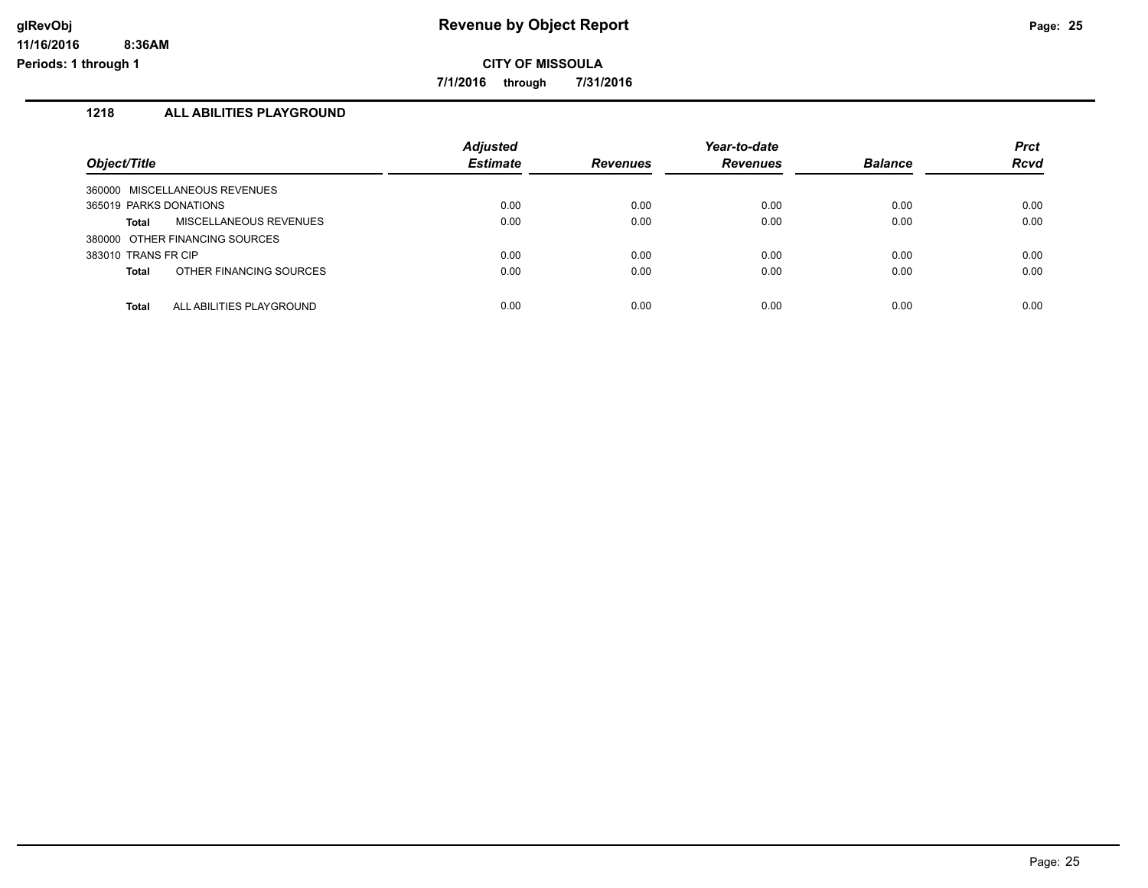**glRevObj Revenue by Object Report Page: 25** 

**11/16/2016 8:36AM Periods: 1 through 1**

**CITY OF MISSOULA**

**7/1/2016 through 7/31/2016**

#### **1218 ALL ABILITIES PLAYGROUND**

| Object/Title                             | <b>Adjusted</b><br><b>Estimate</b> | <b>Revenues</b> | Year-to-date<br><b>Revenues</b> | <b>Balance</b> | <b>Prct</b><br><b>Rcvd</b> |
|------------------------------------------|------------------------------------|-----------------|---------------------------------|----------------|----------------------------|
| 360000 MISCELLANEOUS REVENUES            |                                    |                 |                                 |                |                            |
| 365019 PARKS DONATIONS                   | 0.00                               | 0.00            | 0.00                            | 0.00           | 0.00                       |
| <b>MISCELLANEOUS REVENUES</b><br>Total   | 0.00                               | 0.00            | 0.00                            | 0.00           | 0.00                       |
| 380000 OTHER FINANCING SOURCES           |                                    |                 |                                 |                |                            |
| 383010 TRANS FR CIP                      | 0.00                               | 0.00            | 0.00                            | 0.00           | 0.00                       |
| OTHER FINANCING SOURCES<br><b>Total</b>  | 0.00                               | 0.00            | 0.00                            | 0.00           | 0.00                       |
| ALL ABILITIES PLAYGROUND<br><b>Total</b> | 0.00                               | 0.00            | 0.00                            | 0.00           | 0.00                       |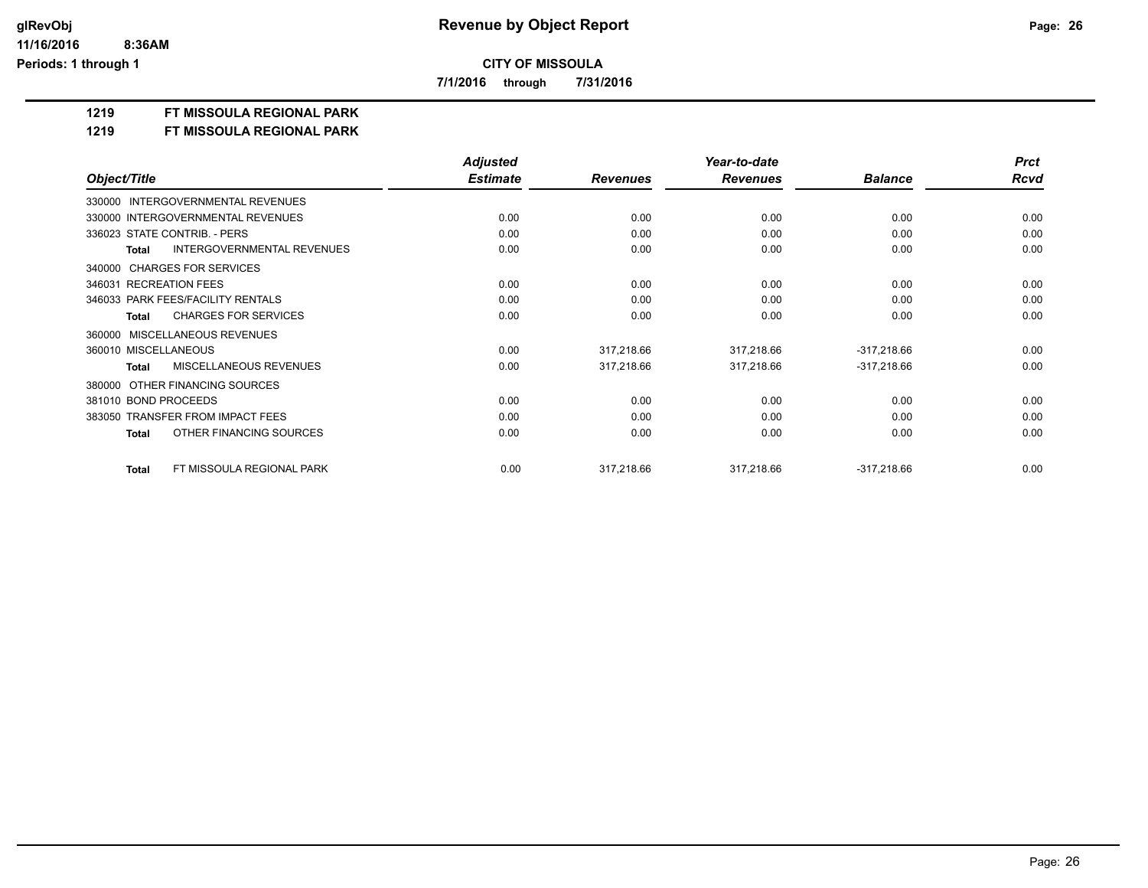**glRevObj Revenue by Object Report Page: 26** 

**11/16/2016 8:36AM Periods: 1 through 1**

**CITY OF MISSOULA**

**7/1/2016 through 7/31/2016**

#### **1219 FT MISSOULA REGIONAL PARK**

**1219 FT MISSOULA REGIONAL PARK**

|                                            | <b>Adjusted</b> |                 | Year-to-date    |                | <b>Prct</b> |
|--------------------------------------------|-----------------|-----------------|-----------------|----------------|-------------|
| Object/Title                               | <b>Estimate</b> | <b>Revenues</b> | <b>Revenues</b> | <b>Balance</b> | <b>Rcvd</b> |
| 330000 INTERGOVERNMENTAL REVENUES          |                 |                 |                 |                |             |
| 330000 INTERGOVERNMENTAL REVENUES          | 0.00            | 0.00            | 0.00            | 0.00           | 0.00        |
| 336023 STATE CONTRIB. - PERS               | 0.00            | 0.00            | 0.00            | 0.00           | 0.00        |
| <b>INTERGOVERNMENTAL REVENUES</b><br>Total | 0.00            | 0.00            | 0.00            | 0.00           | 0.00        |
| 340000 CHARGES FOR SERVICES                |                 |                 |                 |                |             |
| 346031 RECREATION FEES                     | 0.00            | 0.00            | 0.00            | 0.00           | 0.00        |
| 346033 PARK FEES/FACILITY RENTALS          | 0.00            | 0.00            | 0.00            | 0.00           | 0.00        |
| <b>CHARGES FOR SERVICES</b><br>Total       | 0.00            | 0.00            | 0.00            | 0.00           | 0.00        |
| 360000 MISCELLANEOUS REVENUES              |                 |                 |                 |                |             |
| 360010 MISCELLANEOUS                       | 0.00            | 317,218.66      | 317,218.66      | $-317,218.66$  | 0.00        |
| MISCELLANEOUS REVENUES<br>Total            | 0.00            | 317,218.66      | 317,218.66      | $-317,218.66$  | 0.00        |
| 380000 OTHER FINANCING SOURCES             |                 |                 |                 |                |             |
| 381010 BOND PROCEEDS                       | 0.00            | 0.00            | 0.00            | 0.00           | 0.00        |
| 383050 TRANSFER FROM IMPACT FEES           | 0.00            | 0.00            | 0.00            | 0.00           | 0.00        |
| OTHER FINANCING SOURCES<br>Total           | 0.00            | 0.00            | 0.00            | 0.00           | 0.00        |
| FT MISSOULA REGIONAL PARK<br>Total         | 0.00            | 317,218.66      | 317,218.66      | $-317,218.66$  | 0.00        |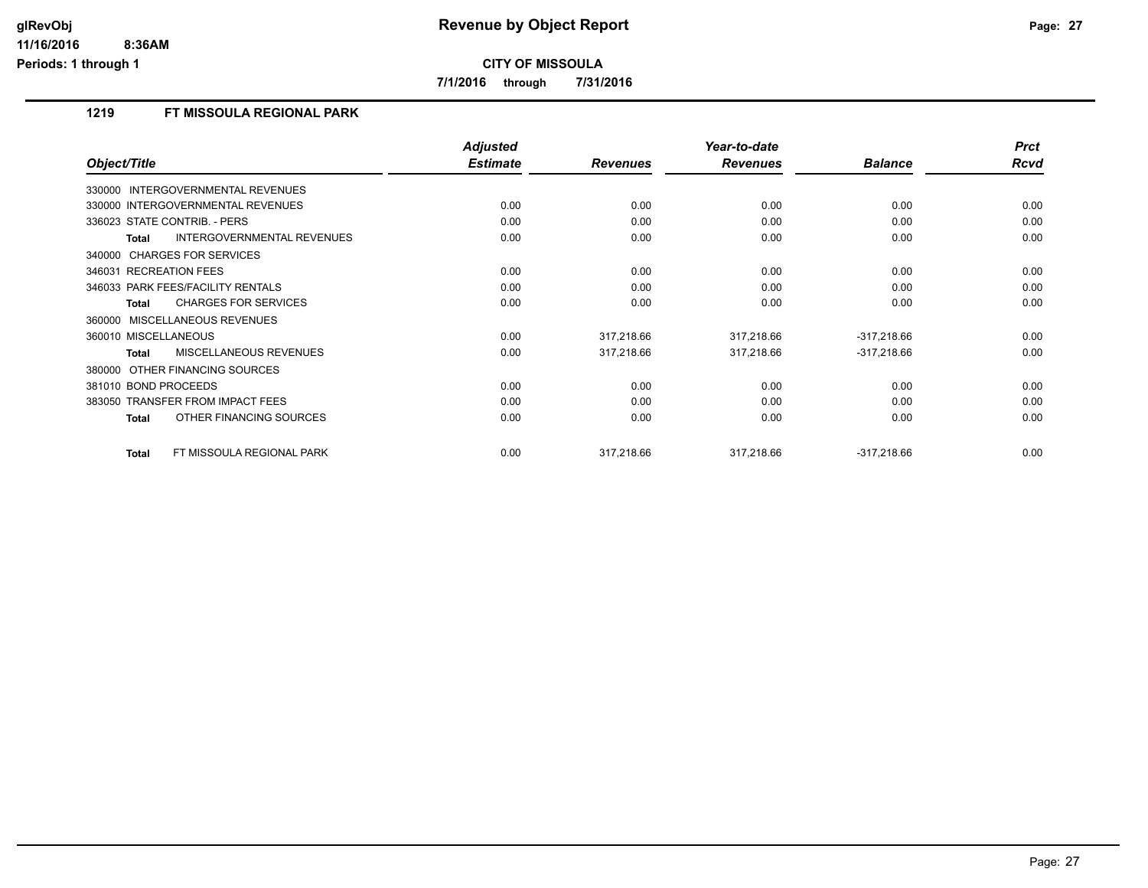**CITY OF MISSOULA**

**7/1/2016 through 7/31/2016**

#### **1219 FT MISSOULA REGIONAL PARK**

 **8:36AM**

|                                            | <b>Adjusted</b> |                 | Year-to-date    |                | <b>Prct</b> |
|--------------------------------------------|-----------------|-----------------|-----------------|----------------|-------------|
| Object/Title                               | <b>Estimate</b> | <b>Revenues</b> | <b>Revenues</b> | <b>Balance</b> | Rcvd        |
| 330000 INTERGOVERNMENTAL REVENUES          |                 |                 |                 |                |             |
| 330000 INTERGOVERNMENTAL REVENUES          | 0.00            | 0.00            | 0.00            | 0.00           | 0.00        |
| 336023 STATE CONTRIB. - PERS               | 0.00            | 0.00            | 0.00            | 0.00           | 0.00        |
| <b>INTERGOVERNMENTAL REVENUES</b><br>Total | 0.00            | 0.00            | 0.00            | 0.00           | 0.00        |
| 340000 CHARGES FOR SERVICES                |                 |                 |                 |                |             |
| 346031 RECREATION FEES                     | 0.00            | 0.00            | 0.00            | 0.00           | 0.00        |
| 346033 PARK FEES/FACILITY RENTALS          | 0.00            | 0.00            | 0.00            | 0.00           | 0.00        |
| <b>CHARGES FOR SERVICES</b><br>Total       | 0.00            | 0.00            | 0.00            | 0.00           | 0.00        |
| 360000 MISCELLANEOUS REVENUES              |                 |                 |                 |                |             |
| 360010 MISCELLANEOUS                       | 0.00            | 317,218.66      | 317,218.66      | $-317,218.66$  | 0.00        |
| MISCELLANEOUS REVENUES<br>Total            | 0.00            | 317,218.66      | 317,218.66      | $-317,218.66$  | 0.00        |
| 380000 OTHER FINANCING SOURCES             |                 |                 |                 |                |             |
| 381010 BOND PROCEEDS                       | 0.00            | 0.00            | 0.00            | 0.00           | 0.00        |
| 383050 TRANSFER FROM IMPACT FEES           | 0.00            | 0.00            | 0.00            | 0.00           | 0.00        |
| OTHER FINANCING SOURCES<br><b>Total</b>    | 0.00            | 0.00            | 0.00            | 0.00           | 0.00        |
| FT MISSOULA REGIONAL PARK<br><b>Total</b>  | 0.00            | 317,218.66      | 317,218.66      | $-317,218.66$  | 0.00        |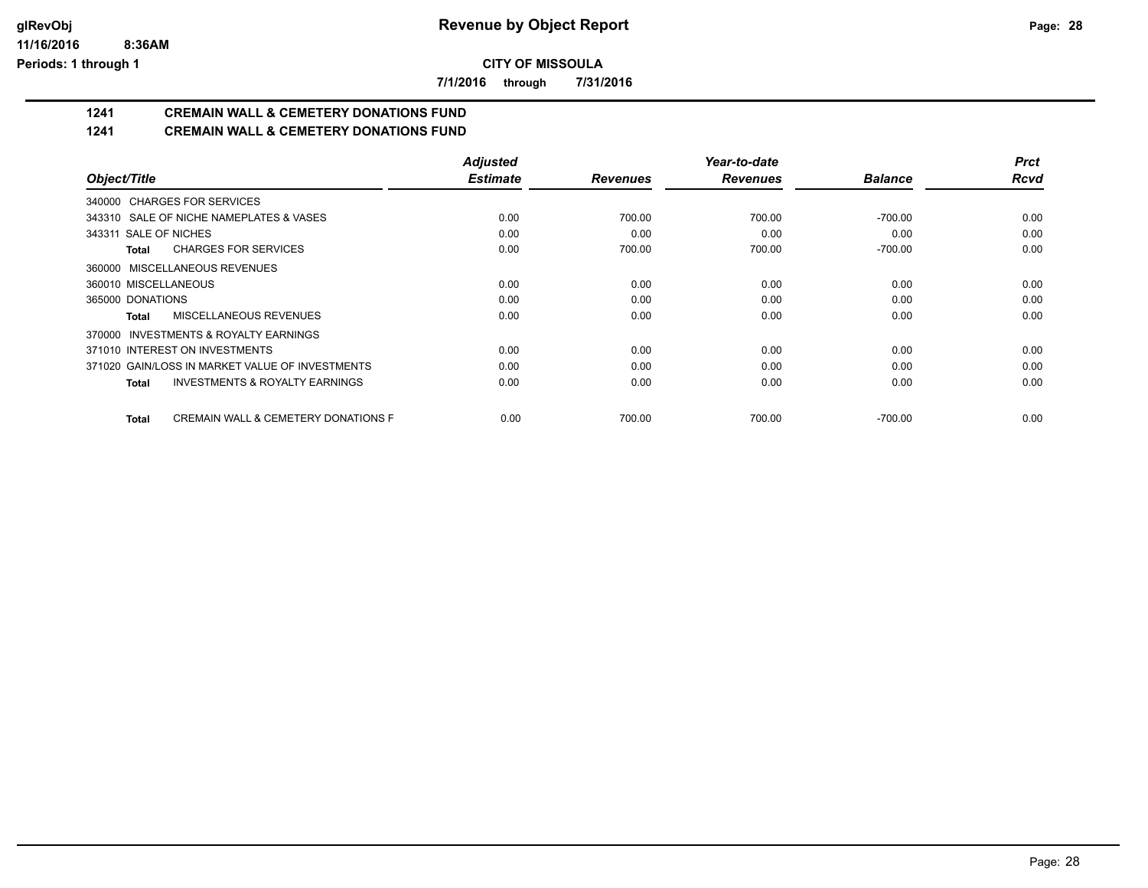**CITY OF MISSOULA**

**7/1/2016 through 7/31/2016**

## **1241 CREMAIN WALL & CEMETERY DONATIONS FUND**

#### **1241 CREMAIN WALL & CEMETERY DONATIONS FUND**

|                                                     | <b>Adjusted</b> |                 | Year-to-date    |                | <b>Prct</b> |
|-----------------------------------------------------|-----------------|-----------------|-----------------|----------------|-------------|
| Object/Title                                        | <b>Estimate</b> | <b>Revenues</b> | <b>Revenues</b> | <b>Balance</b> | <b>Rcvd</b> |
| 340000 CHARGES FOR SERVICES                         |                 |                 |                 |                |             |
| 343310 SALE OF NICHE NAMEPLATES & VASES             | 0.00            | 700.00          | 700.00          | $-700.00$      | 0.00        |
| 343311 SALE OF NICHES                               | 0.00            | 0.00            | 0.00            | 0.00           | 0.00        |
| <b>CHARGES FOR SERVICES</b><br>Total                | 0.00            | 700.00          | 700.00          | $-700.00$      | 0.00        |
| 360000 MISCELLANEOUS REVENUES                       |                 |                 |                 |                |             |
| 360010 MISCELLANEOUS                                | 0.00            | 0.00            | 0.00            | 0.00           | 0.00        |
| 365000 DONATIONS                                    | 0.00            | 0.00            | 0.00            | 0.00           | 0.00        |
| <b>MISCELLANEOUS REVENUES</b><br><b>Total</b>       | 0.00            | 0.00            | 0.00            | 0.00           | 0.00        |
| 370000 INVESTMENTS & ROYALTY EARNINGS               |                 |                 |                 |                |             |
| 371010 INTEREST ON INVESTMENTS                      | 0.00            | 0.00            | 0.00            | 0.00           | 0.00        |
| 371020 GAIN/LOSS IN MARKET VALUE OF INVESTMENTS     | 0.00            | 0.00            | 0.00            | 0.00           | 0.00        |
| <b>INVESTMENTS &amp; ROYALTY EARNINGS</b><br>Total  | 0.00            | 0.00            | 0.00            | 0.00           | 0.00        |
| CREMAIN WALL & CEMETERY DONATIONS F<br><b>Total</b> | 0.00            | 700.00          | 700.00          | $-700.00$      | 0.00        |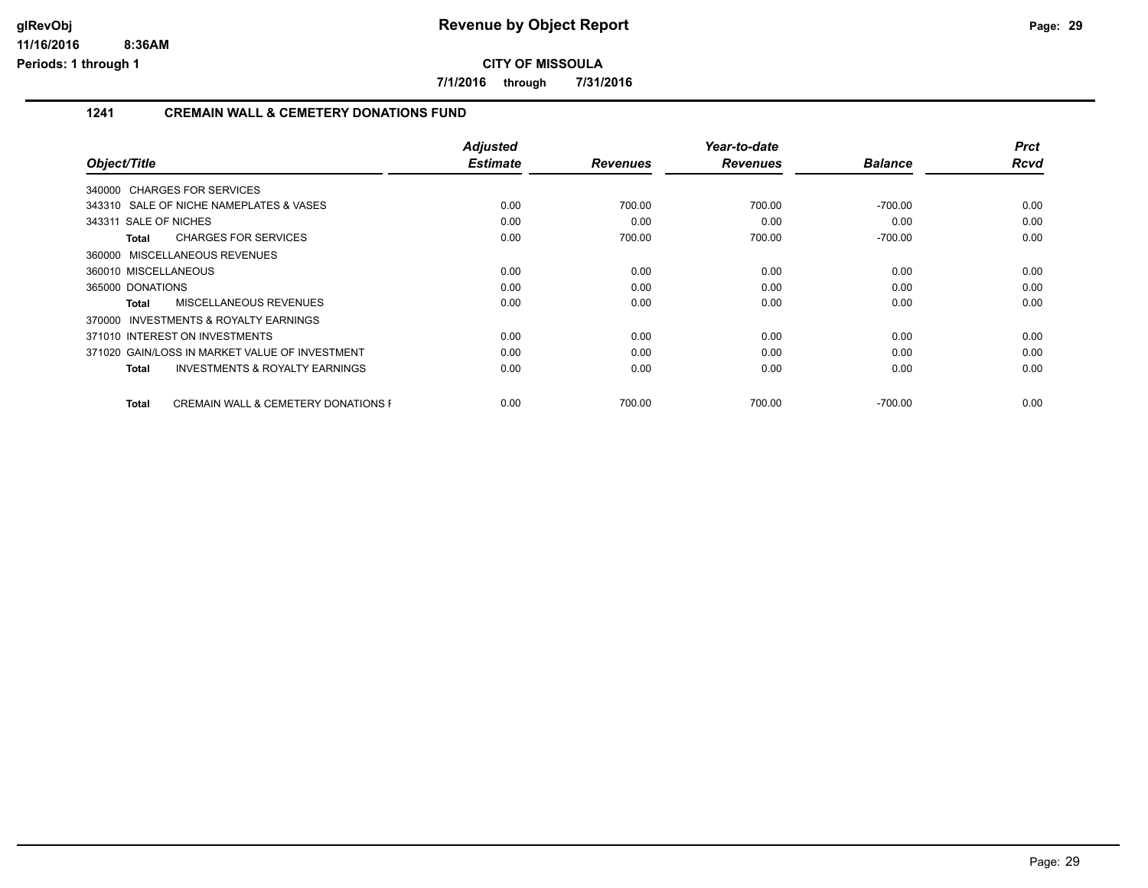#### **CITY OF MISSOULA**

**7/1/2016 through 7/31/2016**

#### **1241 CREMAIN WALL & CEMETERY DONATIONS FUND**

| Object/Title                                            | <b>Adjusted</b><br><b>Estimate</b> | <b>Revenues</b> | Year-to-date<br><b>Revenues</b> | <b>Balance</b> | <b>Prct</b><br><b>Rcvd</b> |
|---------------------------------------------------------|------------------------------------|-----------------|---------------------------------|----------------|----------------------------|
|                                                         |                                    |                 |                                 |                |                            |
| 340000 CHARGES FOR SERVICES                             |                                    |                 |                                 |                |                            |
| 343310 SALE OF NICHE NAMEPLATES & VASES                 | 0.00                               | 700.00          | 700.00                          | $-700.00$      | 0.00                       |
| 343311 SALE OF NICHES                                   | 0.00                               | 0.00            | 0.00                            | 0.00           | 0.00                       |
| <b>CHARGES FOR SERVICES</b><br>Total                    | 0.00                               | 700.00          | 700.00                          | $-700.00$      | 0.00                       |
| 360000 MISCELLANEOUS REVENUES                           |                                    |                 |                                 |                |                            |
| 360010 MISCELLANEOUS                                    | 0.00                               | 0.00            | 0.00                            | 0.00           | 0.00                       |
| 365000 DONATIONS                                        | 0.00                               | 0.00            | 0.00                            | 0.00           | 0.00                       |
| MISCELLANEOUS REVENUES<br>Total                         | 0.00                               | 0.00            | 0.00                            | 0.00           | 0.00                       |
| INVESTMENTS & ROYALTY EARNINGS<br>370000                |                                    |                 |                                 |                |                            |
| 371010 INTEREST ON INVESTMENTS                          | 0.00                               | 0.00            | 0.00                            | 0.00           | 0.00                       |
| 371020 GAIN/LOSS IN MARKET VALUE OF INVESTMENT          | 0.00                               | 0.00            | 0.00                            | 0.00           | 0.00                       |
| <b>INVESTMENTS &amp; ROYALTY EARNINGS</b><br>Total      | 0.00                               | 0.00            | 0.00                            | 0.00           | 0.00                       |
| <b>CREMAIN WALL &amp; CEMETERY DONATIONS F</b><br>Total | 0.00                               | 700.00          | 700.00                          | $-700.00$      | 0.00                       |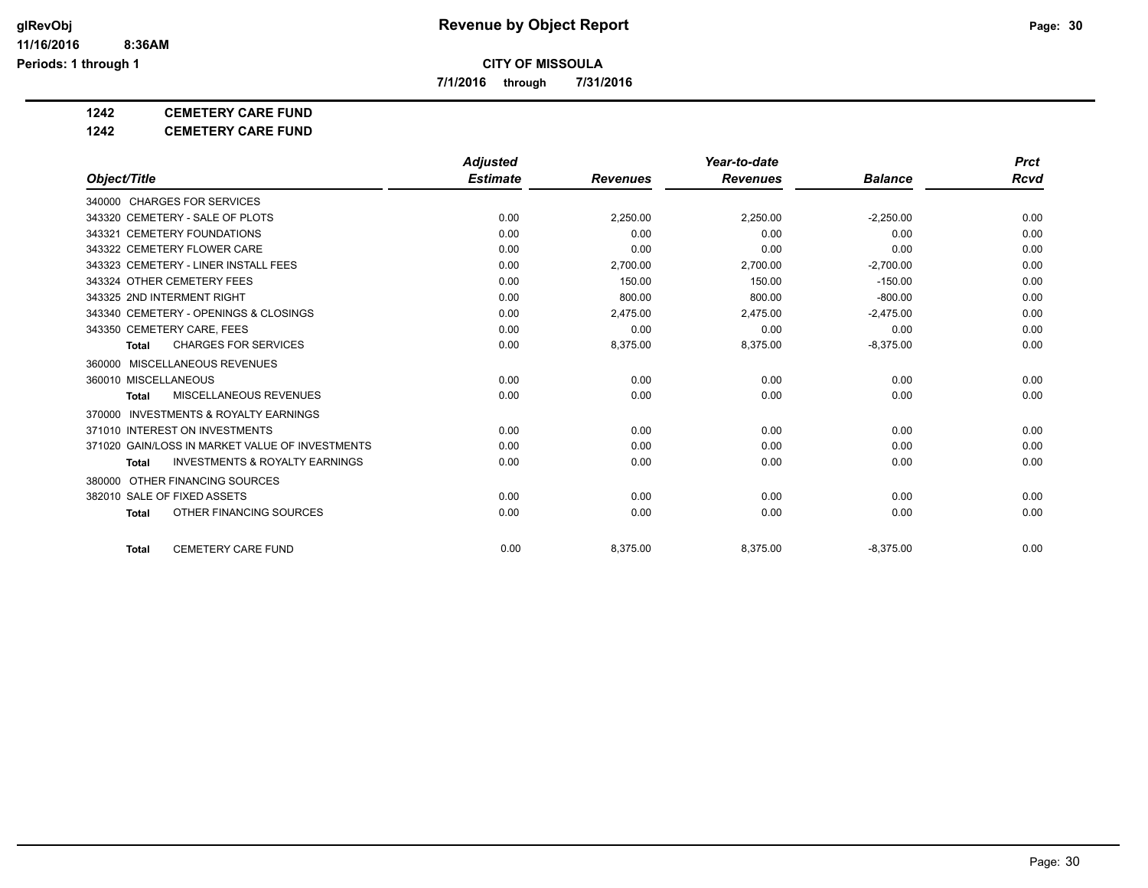**7/1/2016 through 7/31/2016**

#### **1242 CEMETERY CARE FUND**

**1242 CEMETERY CARE FUND**

|                                                           | <b>Adjusted</b> |                 | Year-to-date    |                | <b>Prct</b> |
|-----------------------------------------------------------|-----------------|-----------------|-----------------|----------------|-------------|
| Object/Title                                              | <b>Estimate</b> | <b>Revenues</b> | <b>Revenues</b> | <b>Balance</b> | <b>Rcvd</b> |
| 340000 CHARGES FOR SERVICES                               |                 |                 |                 |                |             |
| 343320 CEMETERY - SALE OF PLOTS                           | 0.00            | 2,250.00        | 2,250.00        | $-2,250.00$    | 0.00        |
| 343321 CEMETERY FOUNDATIONS                               | 0.00            | 0.00            | 0.00            | 0.00           | 0.00        |
| 343322 CEMETERY FLOWER CARE                               | 0.00            | 0.00            | 0.00            | 0.00           | 0.00        |
| 343323 CEMETERY - LINER INSTALL FEES                      | 0.00            | 2,700.00        | 2,700.00        | $-2,700.00$    | 0.00        |
| 343324 OTHER CEMETERY FEES                                | 0.00            | 150.00          | 150.00          | $-150.00$      | 0.00        |
| 343325 2ND INTERMENT RIGHT                                | 0.00            | 800.00          | 800.00          | $-800.00$      | 0.00        |
| 343340 CEMETERY - OPENINGS & CLOSINGS                     | 0.00            | 2,475.00        | 2,475.00        | $-2,475.00$    | 0.00        |
| 343350 CEMETERY CARE, FEES                                | 0.00            | 0.00            | 0.00            | 0.00           | 0.00        |
| <b>CHARGES FOR SERVICES</b><br><b>Total</b>               | 0.00            | 8,375.00        | 8,375.00        | $-8,375.00$    | 0.00        |
| 360000 MISCELLANEOUS REVENUES                             |                 |                 |                 |                |             |
| 360010 MISCELLANEOUS                                      | 0.00            | 0.00            | 0.00            | 0.00           | 0.00        |
| MISCELLANEOUS REVENUES<br><b>Total</b>                    | 0.00            | 0.00            | 0.00            | 0.00           | 0.00        |
| INVESTMENTS & ROYALTY EARNINGS<br>370000                  |                 |                 |                 |                |             |
| 371010 INTEREST ON INVESTMENTS                            | 0.00            | 0.00            | 0.00            | 0.00           | 0.00        |
| 371020 GAIN/LOSS IN MARKET VALUE OF INVESTMENTS           | 0.00            | 0.00            | 0.00            | 0.00           | 0.00        |
| <b>INVESTMENTS &amp; ROYALTY EARNINGS</b><br><b>Total</b> | 0.00            | 0.00            | 0.00            | 0.00           | 0.00        |
| OTHER FINANCING SOURCES<br>380000                         |                 |                 |                 |                |             |
| 382010 SALE OF FIXED ASSETS                               | 0.00            | 0.00            | 0.00            | 0.00           | 0.00        |
| OTHER FINANCING SOURCES<br><b>Total</b>                   | 0.00            | 0.00            | 0.00            | 0.00           | 0.00        |
| <b>CEMETERY CARE FUND</b><br><b>Total</b>                 | 0.00            | 8.375.00        | 8.375.00        | $-8.375.00$    | 0.00        |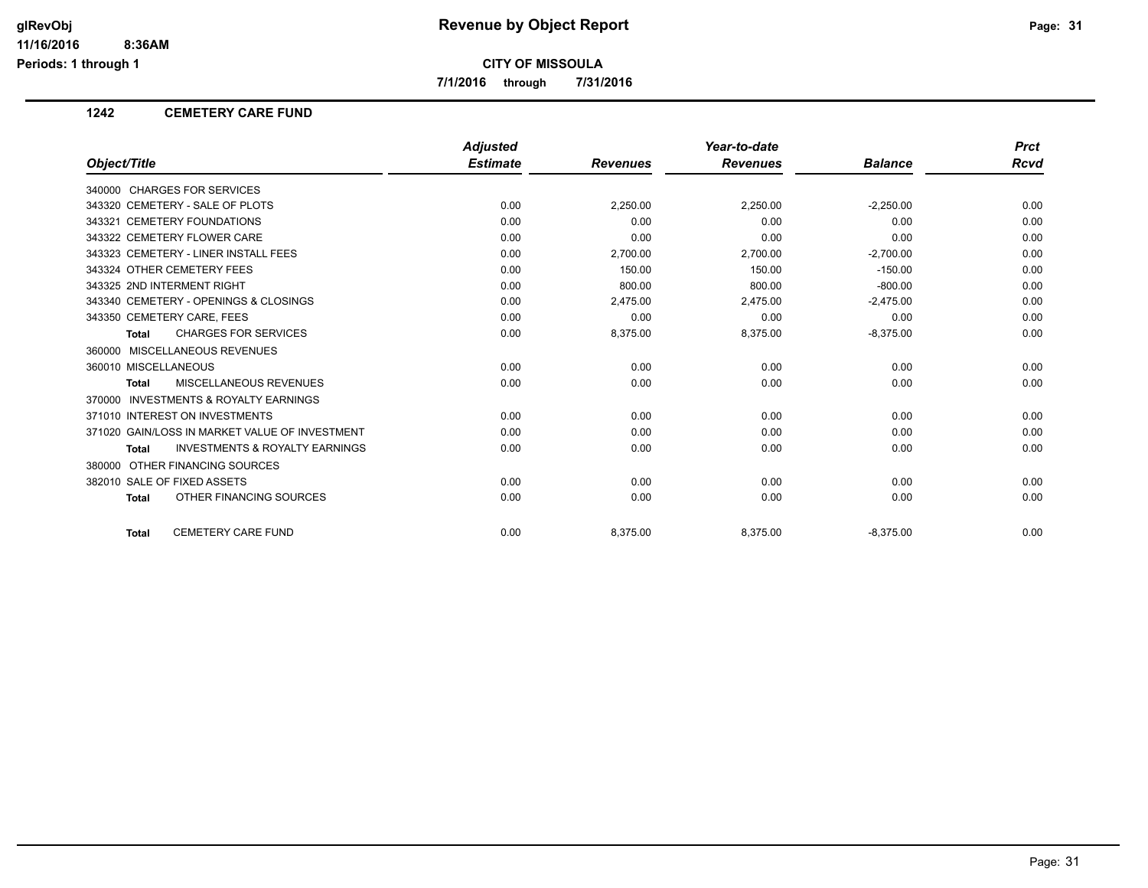**CITY OF MISSOULA**

**7/1/2016 through 7/31/2016**

#### **1242 CEMETERY CARE FUND**

 **8:36AM**

|                                                           | <b>Adjusted</b> |                 | Year-to-date    |                | <b>Prct</b> |
|-----------------------------------------------------------|-----------------|-----------------|-----------------|----------------|-------------|
| Object/Title                                              | <b>Estimate</b> | <b>Revenues</b> | <b>Revenues</b> | <b>Balance</b> | Rcvd        |
| 340000 CHARGES FOR SERVICES                               |                 |                 |                 |                |             |
| 343320 CEMETERY - SALE OF PLOTS                           | 0.00            | 2,250.00        | 2,250.00        | $-2,250.00$    | 0.00        |
| 343321 CEMETERY FOUNDATIONS                               | 0.00            | 0.00            | 0.00            | 0.00           | 0.00        |
| 343322 CEMETERY FLOWER CARE                               | 0.00            | 0.00            | 0.00            | 0.00           | 0.00        |
| 343323 CEMETERY - LINER INSTALL FEES                      | 0.00            | 2,700.00        | 2,700.00        | $-2,700.00$    | 0.00        |
| 343324 OTHER CEMETERY FEES                                | 0.00            | 150.00          | 150.00          | $-150.00$      | 0.00        |
| 343325 2ND INTERMENT RIGHT                                | 0.00            | 800.00          | 800.00          | $-800.00$      | 0.00        |
| 343340 CEMETERY - OPENINGS & CLOSINGS                     | 0.00            | 2,475.00        | 2,475.00        | $-2,475.00$    | 0.00        |
| 343350 CEMETERY CARE, FEES                                | 0.00            | 0.00            | 0.00            | 0.00           | 0.00        |
| <b>CHARGES FOR SERVICES</b><br><b>Total</b>               | 0.00            | 8,375.00        | 8,375.00        | $-8,375.00$    | 0.00        |
| 360000 MISCELLANEOUS REVENUES                             |                 |                 |                 |                |             |
| 360010 MISCELLANEOUS                                      | 0.00            | 0.00            | 0.00            | 0.00           | 0.00        |
| <b>MISCELLANEOUS REVENUES</b><br><b>Total</b>             | 0.00            | 0.00            | 0.00            | 0.00           | 0.00        |
| 370000 INVESTMENTS & ROYALTY EARNINGS                     |                 |                 |                 |                |             |
| 371010 INTEREST ON INVESTMENTS                            | 0.00            | 0.00            | 0.00            | 0.00           | 0.00        |
| 371020 GAIN/LOSS IN MARKET VALUE OF INVESTMENT            | 0.00            | 0.00            | 0.00            | 0.00           | 0.00        |
| <b>INVESTMENTS &amp; ROYALTY EARNINGS</b><br><b>Total</b> | 0.00            | 0.00            | 0.00            | 0.00           | 0.00        |
| 380000 OTHER FINANCING SOURCES                            |                 |                 |                 |                |             |
| 382010 SALE OF FIXED ASSETS                               | 0.00            | 0.00            | 0.00            | 0.00           | 0.00        |
| OTHER FINANCING SOURCES<br><b>Total</b>                   | 0.00            | 0.00            | 0.00            | 0.00           | 0.00        |
| <b>CEMETERY CARE FUND</b><br><b>Total</b>                 | 0.00            | 8,375.00        | 8,375.00        | $-8,375.00$    | 0.00        |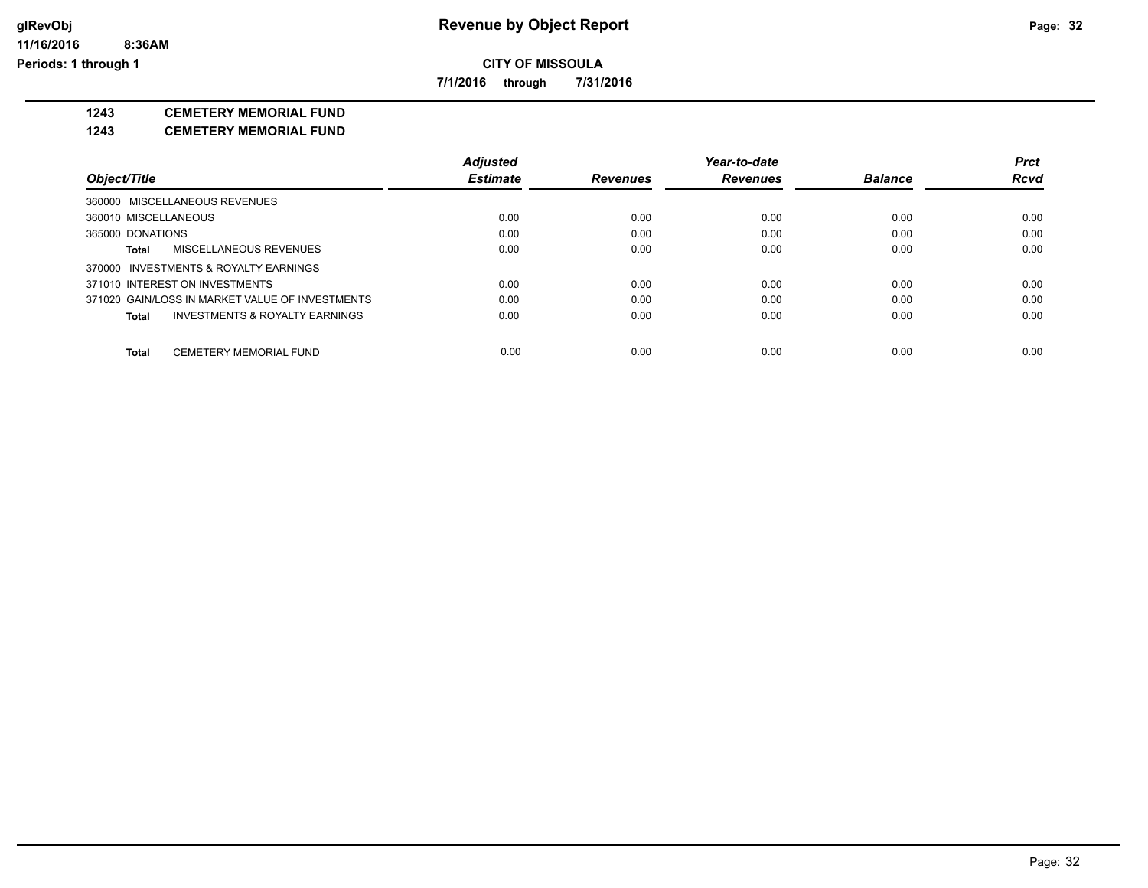**glRevObj Revenue by Object Report Page: 32** 

**11/16/2016 8:36AM Periods: 1 through 1**

#### **CITY OF MISSOULA**

**7/1/2016 through 7/31/2016**

#### **1243 CEMETERY MEMORIAL FUND**

**1243 CEMETERY MEMORIAL FUND**

|                                                    | <b>Adjusted</b> |                 | Year-to-date    |                | <b>Prct</b> |
|----------------------------------------------------|-----------------|-----------------|-----------------|----------------|-------------|
| Object/Title                                       | <b>Estimate</b> | <b>Revenues</b> | <b>Revenues</b> | <b>Balance</b> | Rcvd        |
| 360000 MISCELLANEOUS REVENUES                      |                 |                 |                 |                |             |
| 360010 MISCELLANEOUS                               | 0.00            | 0.00            | 0.00            | 0.00           | 0.00        |
| 365000 DONATIONS                                   | 0.00            | 0.00            | 0.00            | 0.00           | 0.00        |
| MISCELLANEOUS REVENUES<br>Total                    | 0.00            | 0.00            | 0.00            | 0.00           | 0.00        |
| 370000 INVESTMENTS & ROYALTY EARNINGS              |                 |                 |                 |                |             |
| 371010 INTEREST ON INVESTMENTS                     | 0.00            | 0.00            | 0.00            | 0.00           | 0.00        |
| 371020 GAIN/LOSS IN MARKET VALUE OF INVESTMENTS    | 0.00            | 0.00            | 0.00            | 0.00           | 0.00        |
| <b>INVESTMENTS &amp; ROYALTY EARNINGS</b><br>Total | 0.00            | 0.00            | 0.00            | 0.00           | 0.00        |
| <b>CEMETERY MEMORIAL FUND</b><br>Total             | 0.00            | 0.00            | 0.00            | 0.00           | 0.00        |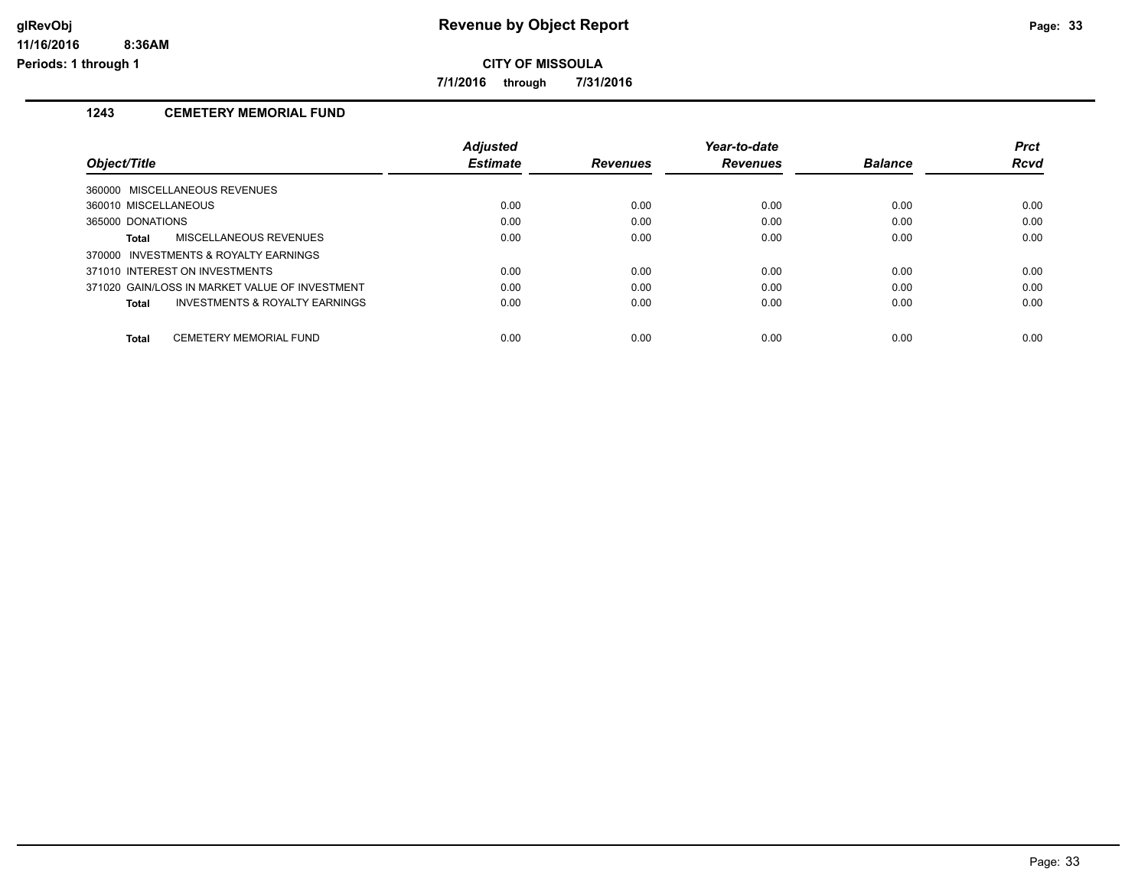**CITY OF MISSOULA**

**7/1/2016 through 7/31/2016**

#### **1243 CEMETERY MEMORIAL FUND**

 **8:36AM**

|                                                | <b>Adjusted</b> |                 | Year-to-date    |                | <b>Prct</b> |
|------------------------------------------------|-----------------|-----------------|-----------------|----------------|-------------|
| Object/Title                                   | <b>Estimate</b> | <b>Revenues</b> | <b>Revenues</b> | <b>Balance</b> | <b>Rcvd</b> |
| 360000 MISCELLANEOUS REVENUES                  |                 |                 |                 |                |             |
| 360010 MISCELLANEOUS                           | 0.00            | 0.00            | 0.00            | 0.00           | 0.00        |
| 365000 DONATIONS                               | 0.00            | 0.00            | 0.00            | 0.00           | 0.00        |
| MISCELLANEOUS REVENUES<br>Total                | 0.00            | 0.00            | 0.00            | 0.00           | 0.00        |
| 370000 INVESTMENTS & ROYALTY EARNINGS          |                 |                 |                 |                |             |
| 371010 INTEREST ON INVESTMENTS                 | 0.00            | 0.00            | 0.00            | 0.00           | 0.00        |
| 371020 GAIN/LOSS IN MARKET VALUE OF INVESTMENT | 0.00            | 0.00            | 0.00            | 0.00           | 0.00        |
| INVESTMENTS & ROYALTY EARNINGS<br>Total        | 0.00            | 0.00            | 0.00            | 0.00           | 0.00        |
| <b>CEMETERY MEMORIAL FUND</b><br><b>Total</b>  | 0.00            | 0.00            | 0.00            | 0.00           | 0.00        |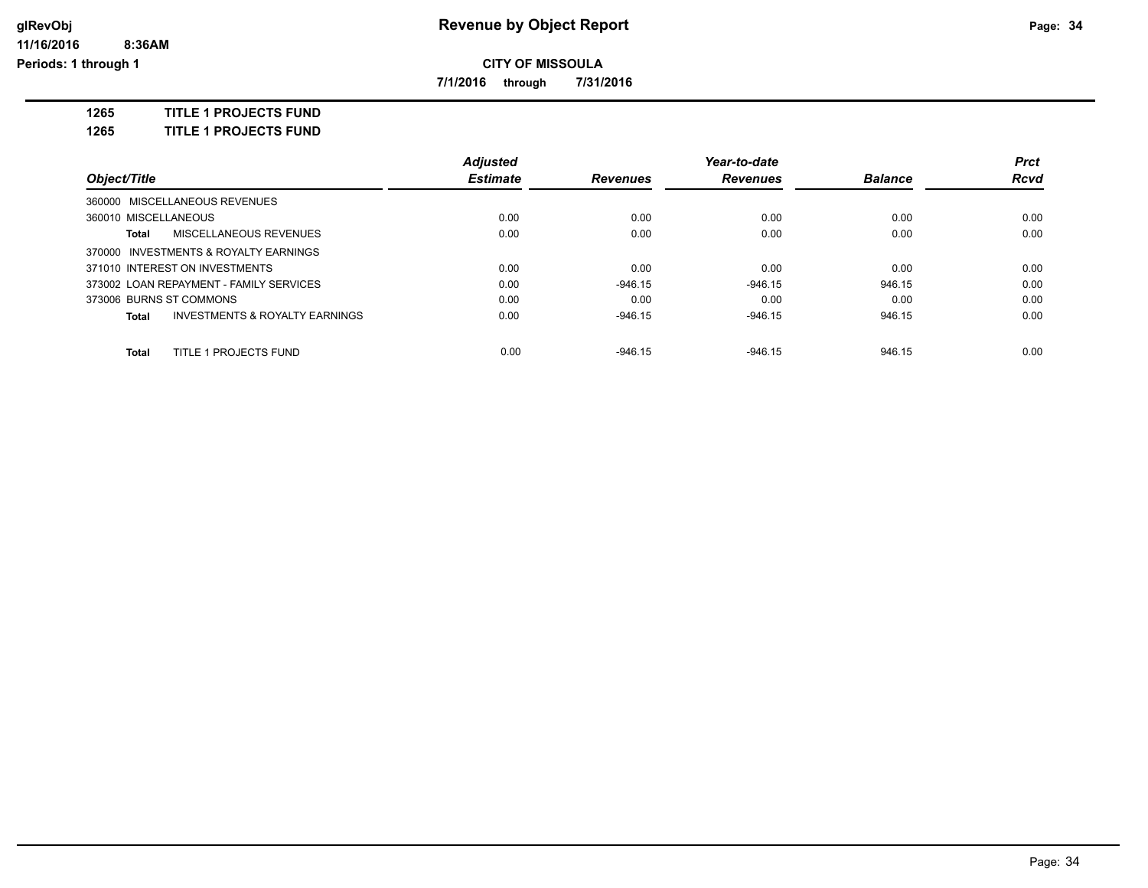**7/1/2016 through 7/31/2016**

**1265 TITLE 1 PROJECTS FUND**

**1265 TITLE 1 PROJECTS FUND**

|                                                    | <b>Adjusted</b> |                 | Year-to-date    |                | <b>Prct</b> |
|----------------------------------------------------|-----------------|-----------------|-----------------|----------------|-------------|
| Object/Title                                       | <b>Estimate</b> | <b>Revenues</b> | <b>Revenues</b> | <b>Balance</b> | Rcvd        |
| 360000 MISCELLANEOUS REVENUES                      |                 |                 |                 |                |             |
| 360010 MISCELLANEOUS                               | 0.00            | 0.00            | 0.00            | 0.00           | 0.00        |
| MISCELLANEOUS REVENUES<br>Total                    | 0.00            | 0.00            | 0.00            | 0.00           | 0.00        |
| 370000 INVESTMENTS & ROYALTY EARNINGS              |                 |                 |                 |                |             |
| 371010 INTEREST ON INVESTMENTS                     | 0.00            | 0.00            | 0.00            | 0.00           | 0.00        |
| 373002 LOAN REPAYMENT - FAMILY SERVICES            | 0.00            | $-946.15$       | $-946.15$       | 946.15         | 0.00        |
| 373006 BURNS ST COMMONS                            | 0.00            | 0.00            | 0.00            | 0.00           | 0.00        |
| <b>INVESTMENTS &amp; ROYALTY EARNINGS</b><br>Total | 0.00            | $-946.15$       | $-946.15$       | 946.15         | 0.00        |
| TITLE 1 PROJECTS FUND<br>Total                     | 0.00            | $-946.15$       | $-946.15$       | 946.15         | 0.00        |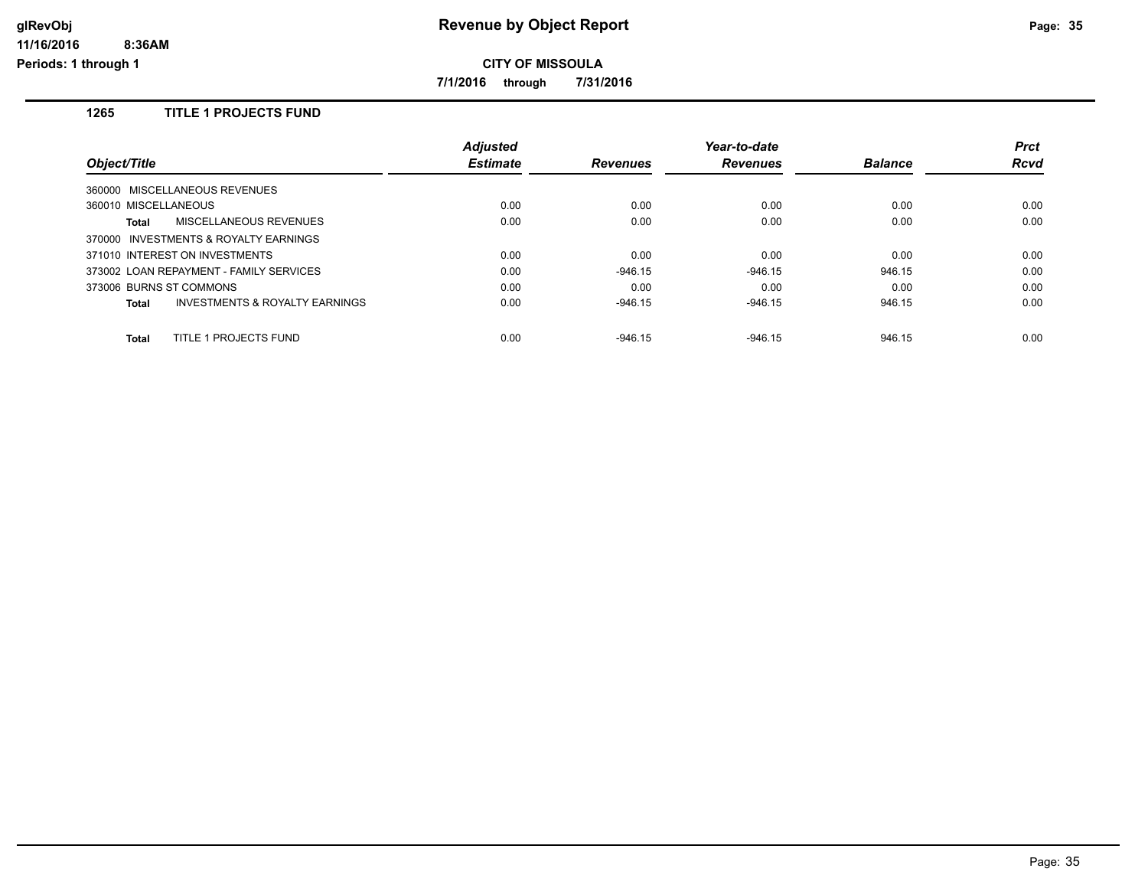**CITY OF MISSOULA**

**7/1/2016 through 7/31/2016**

#### **1265 TITLE 1 PROJECTS FUND**

 **8:36AM**

|                                                    | <b>Adjusted</b> |                 | Year-to-date    |                | <b>Prct</b> |
|----------------------------------------------------|-----------------|-----------------|-----------------|----------------|-------------|
| Object/Title                                       | <b>Estimate</b> | <b>Revenues</b> | <b>Revenues</b> | <b>Balance</b> | Rcvd        |
| 360000 MISCELLANEOUS REVENUES                      |                 |                 |                 |                |             |
| 360010 MISCELLANEOUS                               | 0.00            | 0.00            | 0.00            | 0.00           | 0.00        |
| MISCELLANEOUS REVENUES<br>Total                    | 0.00            | 0.00            | 0.00            | 0.00           | 0.00        |
| 370000 INVESTMENTS & ROYALTY EARNINGS              |                 |                 |                 |                |             |
| 371010 INTEREST ON INVESTMENTS                     | 0.00            | 0.00            | 0.00            | 0.00           | 0.00        |
| 373002 LOAN REPAYMENT - FAMILY SERVICES            | 0.00            | $-946.15$       | $-946.15$       | 946.15         | 0.00        |
| 373006 BURNS ST COMMONS                            | 0.00            | 0.00            | 0.00            | 0.00           | 0.00        |
| <b>INVESTMENTS &amp; ROYALTY EARNINGS</b><br>Total | 0.00            | $-946.15$       | $-946.15$       | 946.15         | 0.00        |
| TITLE 1 PROJECTS FUND<br>Total                     | 0.00            | $-946.15$       | $-946.15$       | 946.15         | 0.00        |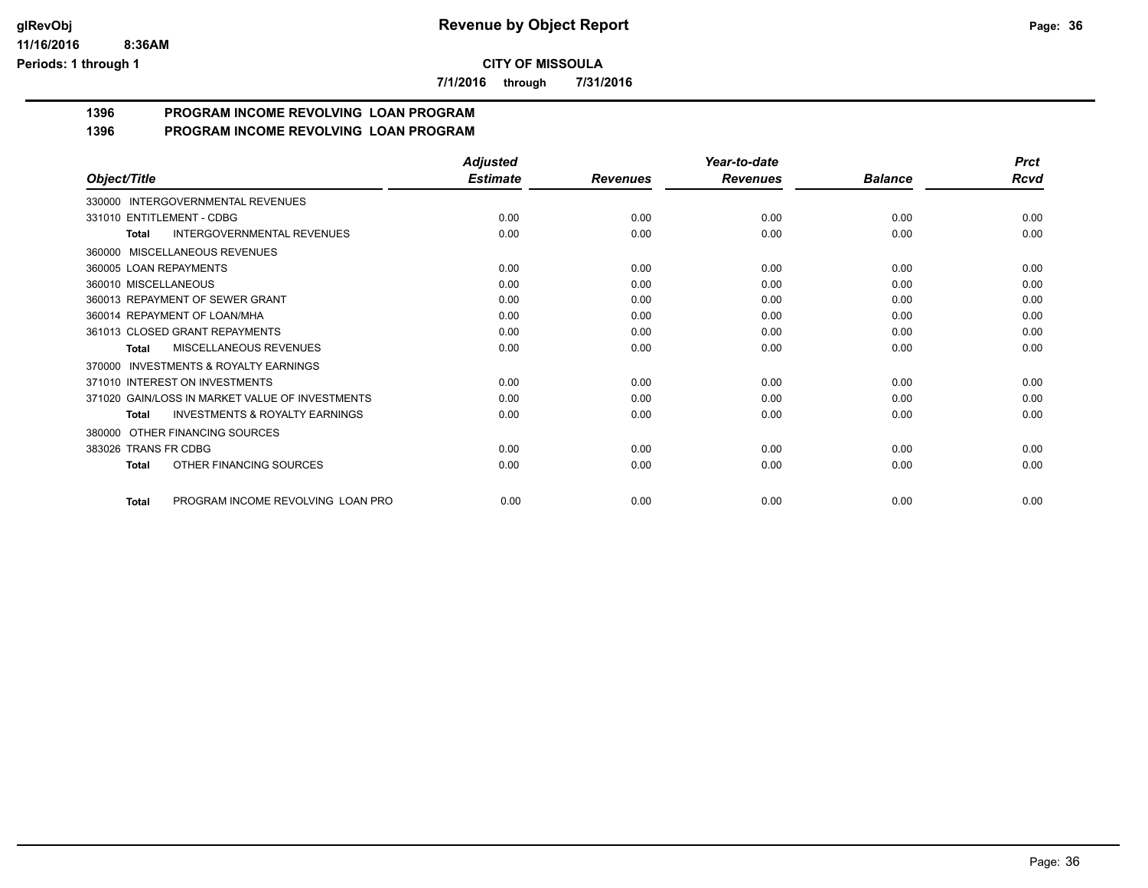**CITY OF MISSOULA**

**7/1/2016 through 7/31/2016**

# **1396 PROGRAM INCOME REVOLVING LOAN PROGRAM**

| 1396 | PROGRAM INCOME REVOLVING LOAN PROGRAM |  |
|------|---------------------------------------|--|
|      |                                       |  |

| Object/Title                                       | <b>Adjusted</b><br><b>Estimate</b> |                 | Year-to-date<br><b>Revenues</b> | <b>Balance</b> | <b>Prct</b><br>Rcvd |
|----------------------------------------------------|------------------------------------|-----------------|---------------------------------|----------------|---------------------|
|                                                    |                                    | <b>Revenues</b> |                                 |                |                     |
| 330000 INTERGOVERNMENTAL REVENUES                  |                                    |                 |                                 |                |                     |
| 331010 ENTITLEMENT - CDBG                          | 0.00                               | 0.00            | 0.00                            | 0.00           | 0.00                |
| <b>INTERGOVERNMENTAL REVENUES</b><br><b>Total</b>  | 0.00                               | 0.00            | 0.00                            | 0.00           | 0.00                |
| 360000 MISCELLANEOUS REVENUES                      |                                    |                 |                                 |                |                     |
| 360005 LOAN REPAYMENTS                             | 0.00                               | 0.00            | 0.00                            | 0.00           | 0.00                |
| 360010 MISCELLANEOUS                               | 0.00                               | 0.00            | 0.00                            | 0.00           | 0.00                |
| 360013 REPAYMENT OF SEWER GRANT                    | 0.00                               | 0.00            | 0.00                            | 0.00           | 0.00                |
| 360014 REPAYMENT OF LOAN/MHA                       | 0.00                               | 0.00            | 0.00                            | 0.00           | 0.00                |
| 361013 CLOSED GRANT REPAYMENTS                     | 0.00                               | 0.00            | 0.00                            | 0.00           | 0.00                |
| MISCELLANEOUS REVENUES<br><b>Total</b>             | 0.00                               | 0.00            | 0.00                            | 0.00           | 0.00                |
| 370000 INVESTMENTS & ROYALTY EARNINGS              |                                    |                 |                                 |                |                     |
| 371010 INTEREST ON INVESTMENTS                     | 0.00                               | 0.00            | 0.00                            | 0.00           | 0.00                |
| 371020 GAIN/LOSS IN MARKET VALUE OF INVESTMENTS    | 0.00                               | 0.00            | 0.00                            | 0.00           | 0.00                |
| <b>INVESTMENTS &amp; ROYALTY EARNINGS</b><br>Total | 0.00                               | 0.00            | 0.00                            | 0.00           | 0.00                |
| 380000 OTHER FINANCING SOURCES                     |                                    |                 |                                 |                |                     |
| 383026 TRANS FR CDBG                               | 0.00                               | 0.00            | 0.00                            | 0.00           | 0.00                |
| OTHER FINANCING SOURCES<br><b>Total</b>            | 0.00                               | 0.00            | 0.00                            | 0.00           | 0.00                |
| PROGRAM INCOME REVOLVING LOAN PRO<br><b>Total</b>  | 0.00                               | 0.00            | 0.00                            | 0.00           | 0.00                |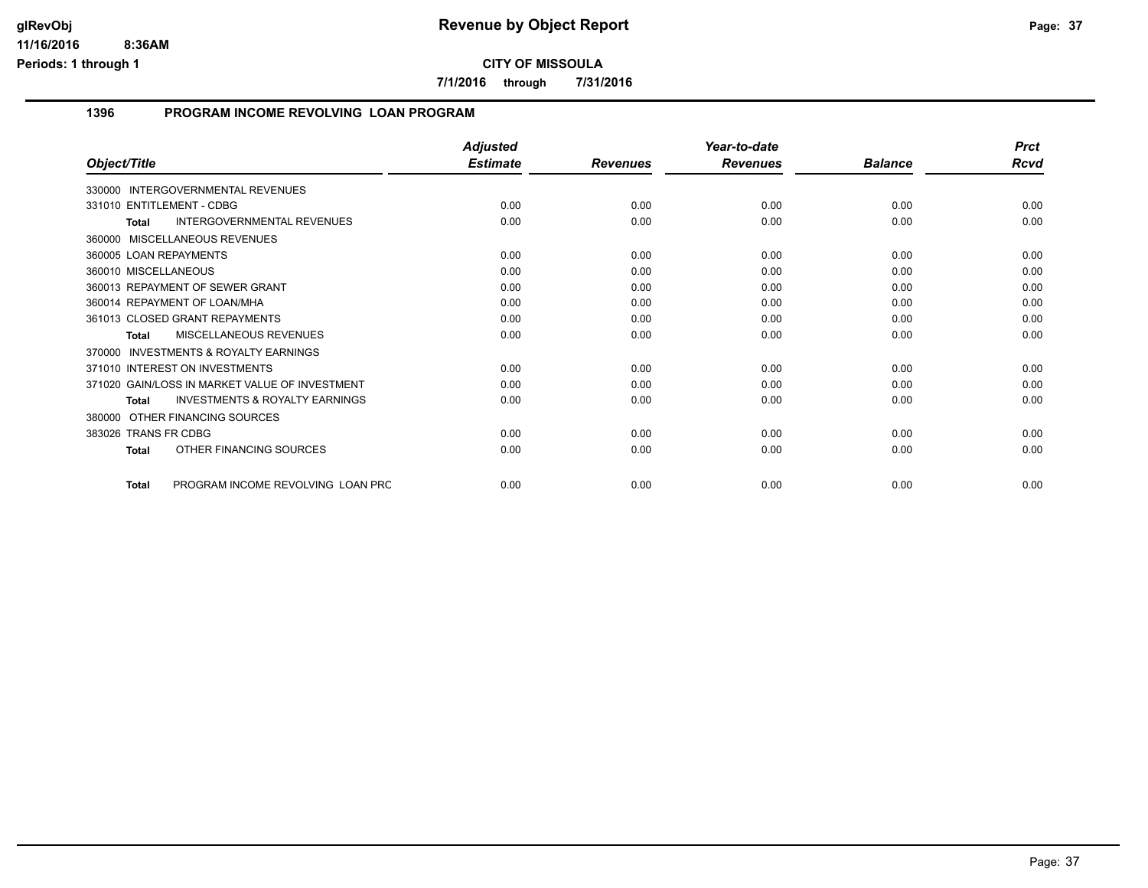**CITY OF MISSOULA**

**7/1/2016 through 7/31/2016**

#### **1396 PROGRAM INCOME REVOLVING LOAN PROGRAM**

|                                                     | <b>Adjusted</b> |                 | Year-to-date    |                | <b>Prct</b> |
|-----------------------------------------------------|-----------------|-----------------|-----------------|----------------|-------------|
| Object/Title                                        | <b>Estimate</b> | <b>Revenues</b> | <b>Revenues</b> | <b>Balance</b> | Rcvd        |
| 330000 INTERGOVERNMENTAL REVENUES                   |                 |                 |                 |                |             |
| 331010 ENTITLEMENT - CDBG                           | 0.00            | 0.00            | 0.00            | 0.00           | 0.00        |
| <b>INTERGOVERNMENTAL REVENUES</b><br>Total          | 0.00            | 0.00            | 0.00            | 0.00           | 0.00        |
| 360000 MISCELLANEOUS REVENUES                       |                 |                 |                 |                |             |
| 360005 LOAN REPAYMENTS                              | 0.00            | 0.00            | 0.00            | 0.00           | 0.00        |
| 360010 MISCELLANEOUS                                | 0.00            | 0.00            | 0.00            | 0.00           | 0.00        |
| 360013 REPAYMENT OF SEWER GRANT                     | 0.00            | 0.00            | 0.00            | 0.00           | 0.00        |
| 360014 REPAYMENT OF LOAN/MHA                        | 0.00            | 0.00            | 0.00            | 0.00           | 0.00        |
| 361013 CLOSED GRANT REPAYMENTS                      | 0.00            | 0.00            | 0.00            | 0.00           | 0.00        |
| MISCELLANEOUS REVENUES<br><b>Total</b>              | 0.00            | 0.00            | 0.00            | 0.00           | 0.00        |
| <b>INVESTMENTS &amp; ROYALTY EARNINGS</b><br>370000 |                 |                 |                 |                |             |
| 371010 INTEREST ON INVESTMENTS                      | 0.00            | 0.00            | 0.00            | 0.00           | 0.00        |
| 371020 GAIN/LOSS IN MARKET VALUE OF INVESTMENT      | 0.00            | 0.00            | 0.00            | 0.00           | 0.00        |
| <b>INVESTMENTS &amp; ROYALTY EARNINGS</b><br>Total  | 0.00            | 0.00            | 0.00            | 0.00           | 0.00        |
| 380000 OTHER FINANCING SOURCES                      |                 |                 |                 |                |             |
| 383026 TRANS FR CDBG                                | 0.00            | 0.00            | 0.00            | 0.00           | 0.00        |
| OTHER FINANCING SOURCES<br><b>Total</b>             | 0.00            | 0.00            | 0.00            | 0.00           | 0.00        |
| PROGRAM INCOME REVOLVING LOAN PRC<br><b>Total</b>   | 0.00            | 0.00            | 0.00            | 0.00           | 0.00        |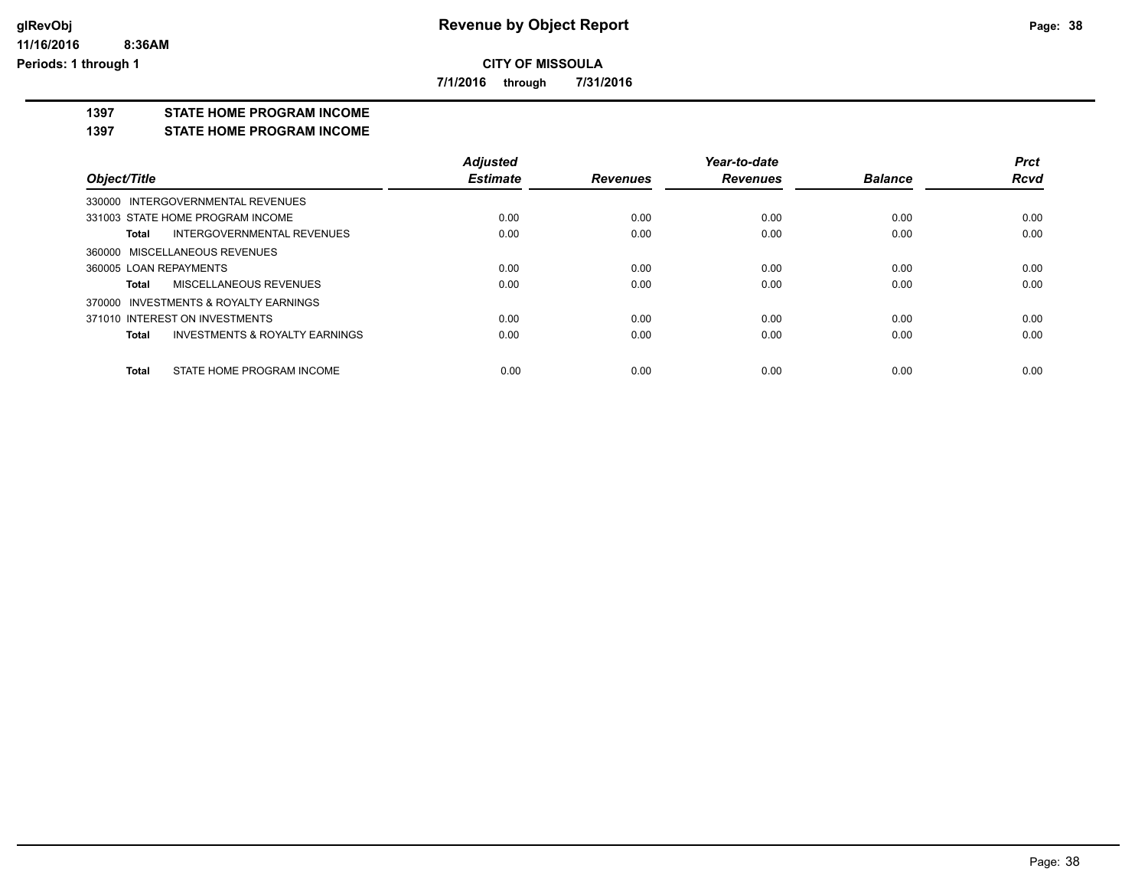**glRevObj Revenue by Object Report Page: 38** 

**11/16/2016 8:36AM Periods: 1 through 1**

**CITY OF MISSOULA**

**7/1/2016 through 7/31/2016**

#### **1397 STATE HOME PROGRAM INCOME**

**1397 STATE HOME PROGRAM INCOME**

|                                                    | <b>Adjusted</b> |                 | Year-to-date    |                | <b>Prct</b> |
|----------------------------------------------------|-----------------|-----------------|-----------------|----------------|-------------|
| Object/Title                                       | <b>Estimate</b> | <b>Revenues</b> | <b>Revenues</b> | <b>Balance</b> | <b>Rcvd</b> |
| 330000 INTERGOVERNMENTAL REVENUES                  |                 |                 |                 |                |             |
| 331003 STATE HOME PROGRAM INCOME                   | 0.00            | 0.00            | 0.00            | 0.00           | 0.00        |
| INTERGOVERNMENTAL REVENUES<br>Total                | 0.00            | 0.00            | 0.00            | 0.00           | 0.00        |
| 360000 MISCELLANEOUS REVENUES                      |                 |                 |                 |                |             |
| 360005 LOAN REPAYMENTS                             | 0.00            | 0.00            | 0.00            | 0.00           | 0.00        |
| MISCELLANEOUS REVENUES<br>Total                    | 0.00            | 0.00            | 0.00            | 0.00           | 0.00        |
| 370000 INVESTMENTS & ROYALTY EARNINGS              |                 |                 |                 |                |             |
| 371010 INTEREST ON INVESTMENTS                     | 0.00            | 0.00            | 0.00            | 0.00           | 0.00        |
| <b>INVESTMENTS &amp; ROYALTY EARNINGS</b><br>Total | 0.00            | 0.00            | 0.00            | 0.00           | 0.00        |
|                                                    |                 |                 |                 |                |             |
| STATE HOME PROGRAM INCOME<br>Total                 | 0.00            | 0.00            | 0.00            | 0.00           | 0.00        |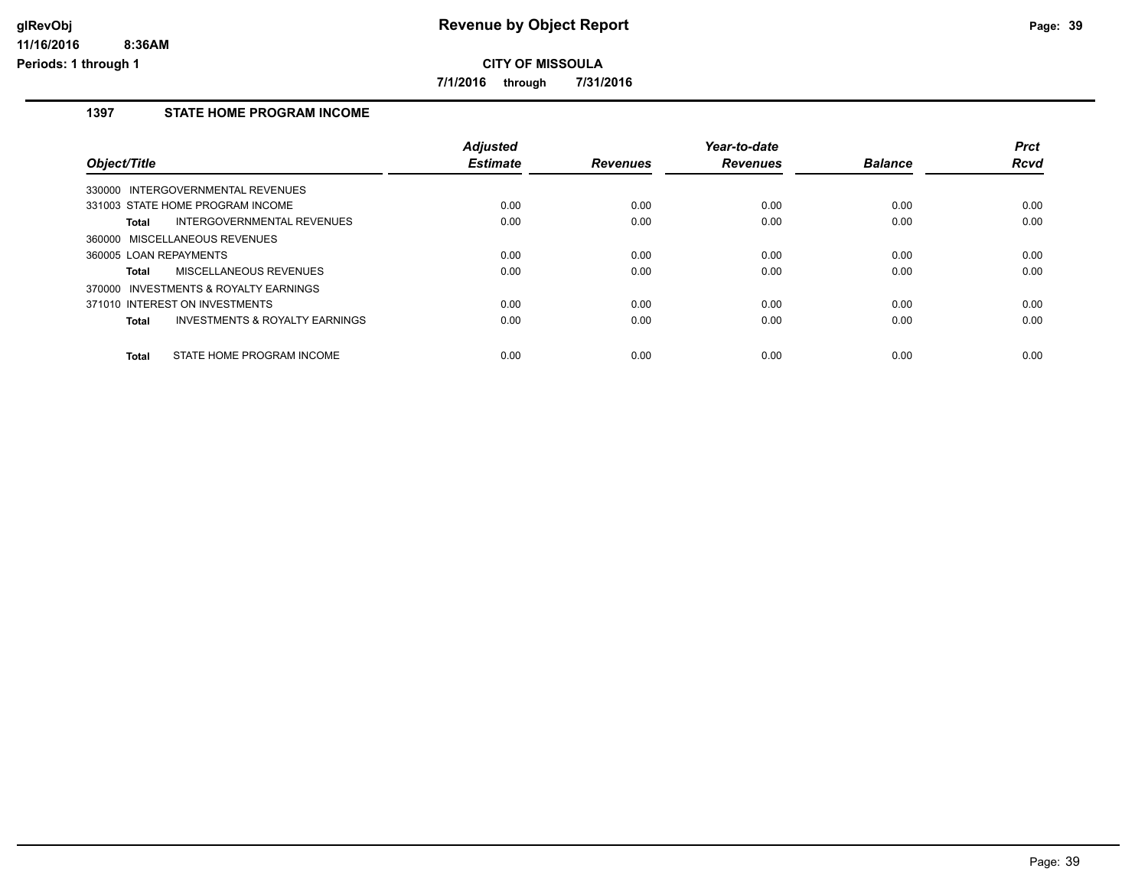**CITY OF MISSOULA**

**7/1/2016 through 7/31/2016**

#### **1397 STATE HOME PROGRAM INCOME**

 **8:36AM**

| Object/Title                                              | <b>Adjusted</b><br><b>Estimate</b> | <b>Revenues</b> | Year-to-date<br><b>Revenues</b> | <b>Balance</b> | <b>Prct</b><br>Rcvd |
|-----------------------------------------------------------|------------------------------------|-----------------|---------------------------------|----------------|---------------------|
| INTERGOVERNMENTAL REVENUES<br>330000                      |                                    |                 |                                 |                |                     |
| 331003 STATE HOME PROGRAM INCOME                          | 0.00                               | 0.00            | 0.00                            | 0.00           | 0.00                |
| INTERGOVERNMENTAL REVENUES<br>Total                       | 0.00                               | 0.00            | 0.00                            | 0.00           | 0.00                |
| MISCELLANEOUS REVENUES<br>360000                          |                                    |                 |                                 |                |                     |
| 360005 LOAN REPAYMENTS                                    | 0.00                               | 0.00            | 0.00                            | 0.00           | 0.00                |
| MISCELLANEOUS REVENUES<br><b>Total</b>                    | 0.00                               | 0.00            | 0.00                            | 0.00           | 0.00                |
| INVESTMENTS & ROYALTY EARNINGS<br>370000                  |                                    |                 |                                 |                |                     |
| 371010 INTEREST ON INVESTMENTS                            | 0.00                               | 0.00            | 0.00                            | 0.00           | 0.00                |
| <b>INVESTMENTS &amp; ROYALTY EARNINGS</b><br><b>Total</b> | 0.00                               | 0.00            | 0.00                            | 0.00           | 0.00                |
| STATE HOME PROGRAM INCOME<br><b>Total</b>                 | 0.00                               | 0.00            | 0.00                            | 0.00           | 0.00                |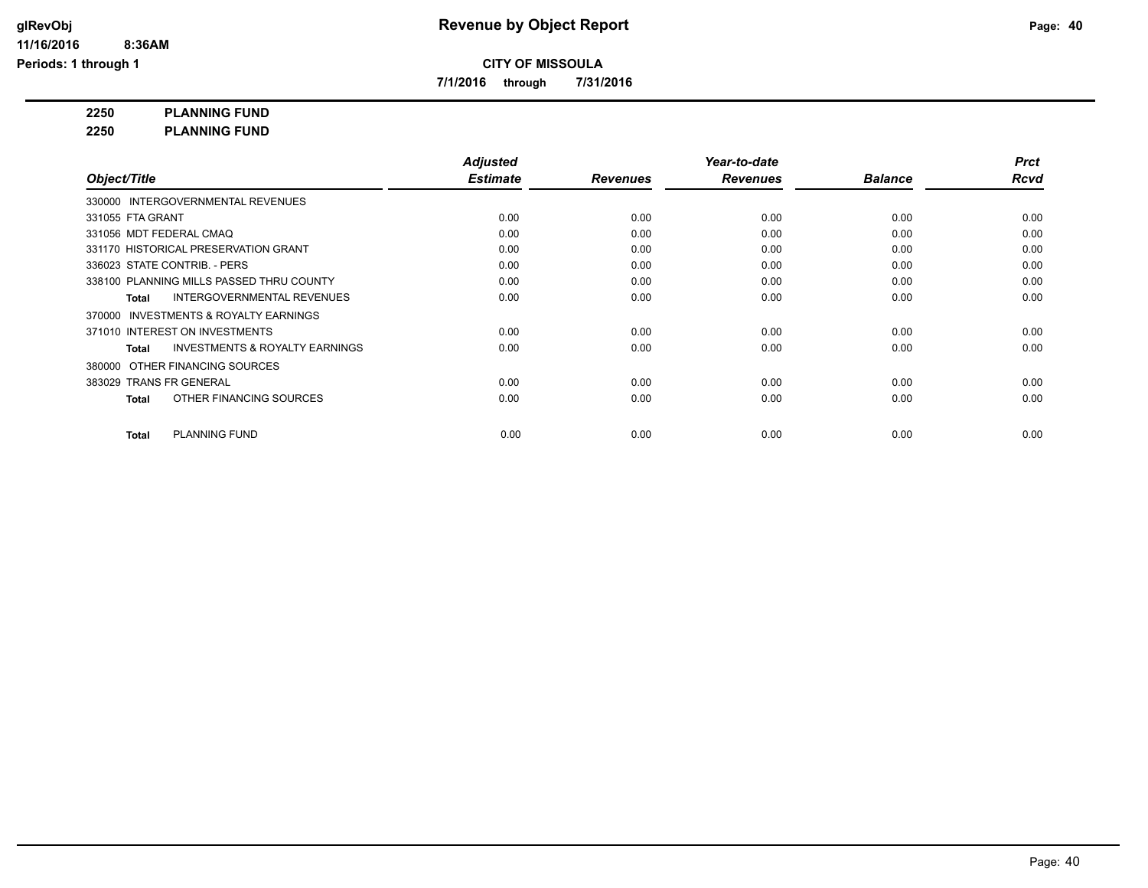**CITY OF MISSOULA**

**7/1/2016 through 7/31/2016**

**2250 PLANNING FUND**

**2250 PLANNING FUND**

|                                                           | <b>Adjusted</b> |                 | Year-to-date    |                | <b>Prct</b> |
|-----------------------------------------------------------|-----------------|-----------------|-----------------|----------------|-------------|
| Object/Title                                              | <b>Estimate</b> | <b>Revenues</b> | <b>Revenues</b> | <b>Balance</b> | <b>Rcvd</b> |
| 330000 INTERGOVERNMENTAL REVENUES                         |                 |                 |                 |                |             |
| 331055 FTA GRANT                                          | 0.00            | 0.00            | 0.00            | 0.00           | 0.00        |
| 331056 MDT FEDERAL CMAQ                                   | 0.00            | 0.00            | 0.00            | 0.00           | 0.00        |
| 331170 HISTORICAL PRESERVATION GRANT                      | 0.00            | 0.00            | 0.00            | 0.00           | 0.00        |
| 336023 STATE CONTRIB. - PERS                              | 0.00            | 0.00            | 0.00            | 0.00           | 0.00        |
| 338100 PLANNING MILLS PASSED THRU COUNTY                  | 0.00            | 0.00            | 0.00            | 0.00           | 0.00        |
| <b>INTERGOVERNMENTAL REVENUES</b><br><b>Total</b>         | 0.00            | 0.00            | 0.00            | 0.00           | 0.00        |
| INVESTMENTS & ROYALTY EARNINGS<br>370000                  |                 |                 |                 |                |             |
| 371010 INTEREST ON INVESTMENTS                            | 0.00            | 0.00            | 0.00            | 0.00           | 0.00        |
| <b>INVESTMENTS &amp; ROYALTY EARNINGS</b><br><b>Total</b> | 0.00            | 0.00            | 0.00            | 0.00           | 0.00        |
| OTHER FINANCING SOURCES<br>380000                         |                 |                 |                 |                |             |
| 383029 TRANS FR GENERAL                                   | 0.00            | 0.00            | 0.00            | 0.00           | 0.00        |
| OTHER FINANCING SOURCES<br><b>Total</b>                   | 0.00            | 0.00            | 0.00            | 0.00           | 0.00        |
|                                                           |                 |                 |                 |                |             |
| <b>PLANNING FUND</b><br><b>Total</b>                      | 0.00            | 0.00            | 0.00            | 0.00           | 0.00        |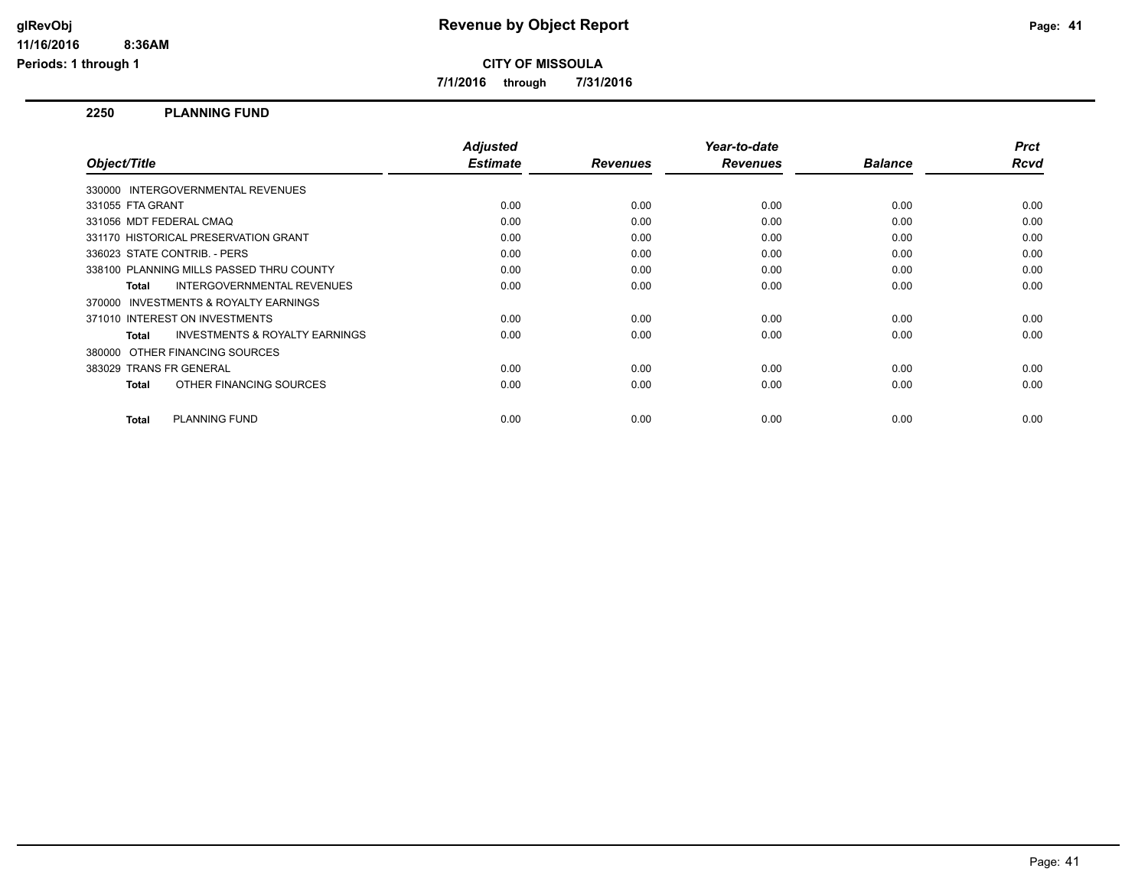**CITY OF MISSOULA**

**7/1/2016 through 7/31/2016**

#### **2250 PLANNING FUND**

| Object/Title                                              | <b>Adjusted</b><br><b>Estimate</b> | <b>Revenues</b> | Year-to-date<br><b>Revenues</b> | <b>Balance</b> | <b>Prct</b><br><b>Rcvd</b> |
|-----------------------------------------------------------|------------------------------------|-----------------|---------------------------------|----------------|----------------------------|
| 330000 INTERGOVERNMENTAL REVENUES                         |                                    |                 |                                 |                |                            |
| 331055 FTA GRANT                                          | 0.00                               | 0.00            | 0.00                            | 0.00           | 0.00                       |
| 331056 MDT FEDERAL CMAQ                                   | 0.00                               | 0.00            | 0.00                            | 0.00           | 0.00                       |
| 331170 HISTORICAL PRESERVATION GRANT                      | 0.00                               | 0.00            | 0.00                            | 0.00           | 0.00                       |
| 336023 STATE CONTRIB. - PERS                              | 0.00                               | 0.00            | 0.00                            | 0.00           | 0.00                       |
| 338100 PLANNING MILLS PASSED THRU COUNTY                  | 0.00                               | 0.00            | 0.00                            | 0.00           | 0.00                       |
| INTERGOVERNMENTAL REVENUES<br><b>Total</b>                | 0.00                               | 0.00            | 0.00                            | 0.00           | 0.00                       |
| 370000 INVESTMENTS & ROYALTY EARNINGS                     |                                    |                 |                                 |                |                            |
| 371010 INTEREST ON INVESTMENTS                            | 0.00                               | 0.00            | 0.00                            | 0.00           | 0.00                       |
| <b>INVESTMENTS &amp; ROYALTY EARNINGS</b><br><b>Total</b> | 0.00                               | 0.00            | 0.00                            | 0.00           | 0.00                       |
| 380000 OTHER FINANCING SOURCES                            |                                    |                 |                                 |                |                            |
| 383029 TRANS FR GENERAL                                   | 0.00                               | 0.00            | 0.00                            | 0.00           | 0.00                       |
| OTHER FINANCING SOURCES<br><b>Total</b>                   | 0.00                               | 0.00            | 0.00                            | 0.00           | 0.00                       |
|                                                           |                                    |                 |                                 |                |                            |
| <b>PLANNING FUND</b><br><b>Total</b>                      | 0.00                               | 0.00            | 0.00                            | 0.00           | 0.00                       |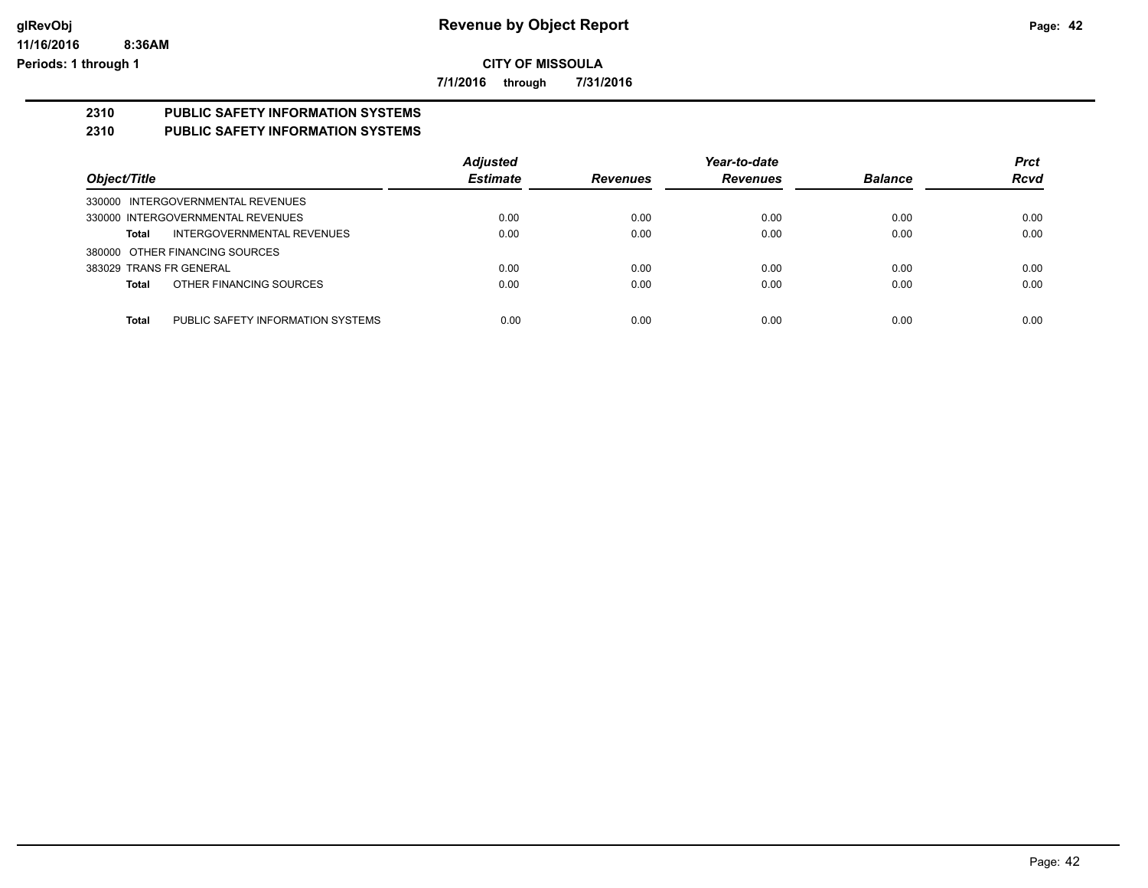**glRevObj Revenue by Object Report Page: 42** 

**11/16/2016 8:36AM Periods: 1 through 1**

#### **CITY OF MISSOULA**

**7/1/2016 through 7/31/2016**

#### **2310 PUBLIC SAFETY INFORMATION SYSTEMS 2310 PUBLIC SAFETY INFORMATION SYSTEMS**

|                                            | <b>Adjusted</b> |                 | Year-to-date    |                | <b>Prct</b> |
|--------------------------------------------|-----------------|-----------------|-----------------|----------------|-------------|
| Object/Title                               | <b>Estimate</b> | <b>Revenues</b> | <b>Revenues</b> | <b>Balance</b> | <b>Rcvd</b> |
| 330000 INTERGOVERNMENTAL REVENUES          |                 |                 |                 |                |             |
| 330000 INTERGOVERNMENTAL REVENUES          | 0.00            | 0.00            | 0.00            | 0.00           | 0.00        |
| INTERGOVERNMENTAL REVENUES<br>Total        | 0.00            | 0.00            | 0.00            | 0.00           | 0.00        |
| 380000 OTHER FINANCING SOURCES             |                 |                 |                 |                |             |
| 383029 TRANS FR GENERAL                    | 0.00            | 0.00            | 0.00            | 0.00           | 0.00        |
| OTHER FINANCING SOURCES<br>Total           | 0.00            | 0.00            | 0.00            | 0.00           | 0.00        |
| PUBLIC SAFETY INFORMATION SYSTEMS<br>Total | 0.00            | 0.00            | 0.00            | 0.00           | 0.00        |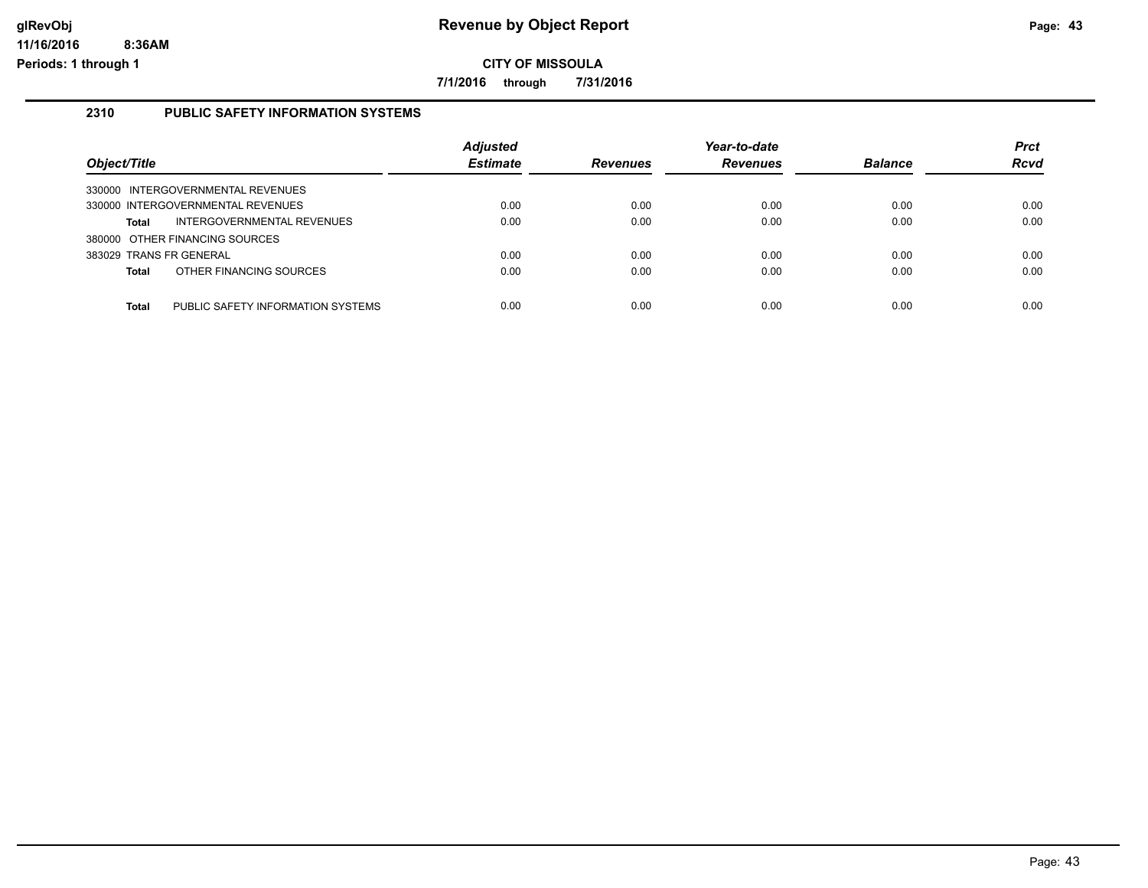**8:36AM**

**CITY OF MISSOULA**

**7/1/2016 through 7/31/2016**

#### **2310 PUBLIC SAFETY INFORMATION SYSTEMS**

| Object/Title                                      | <b>Adjusted</b><br><b>Estimate</b> | <b>Revenues</b> | Year-to-date<br><b>Revenues</b> | <b>Balance</b> | <b>Prct</b><br><b>Rcvd</b> |
|---------------------------------------------------|------------------------------------|-----------------|---------------------------------|----------------|----------------------------|
| 330000 INTERGOVERNMENTAL REVENUES                 |                                    |                 |                                 |                |                            |
| 330000 INTERGOVERNMENTAL REVENUES                 | 0.00                               | 0.00            | 0.00                            | 0.00           | 0.00                       |
| INTERGOVERNMENTAL REVENUES<br>Total               | 0.00                               | 0.00            | 0.00                            | 0.00           | 0.00                       |
| 380000 OTHER FINANCING SOURCES                    |                                    |                 |                                 |                |                            |
| 383029 TRANS FR GENERAL                           | 0.00                               | 0.00            | 0.00                            | 0.00           | 0.00                       |
| OTHER FINANCING SOURCES<br><b>Total</b>           | 0.00                               | 0.00            | 0.00                            | 0.00           | 0.00                       |
|                                                   |                                    |                 |                                 |                |                            |
| PUBLIC SAFETY INFORMATION SYSTEMS<br><b>Total</b> | 0.00                               | 0.00            | 0.00                            | 0.00           | 0.00                       |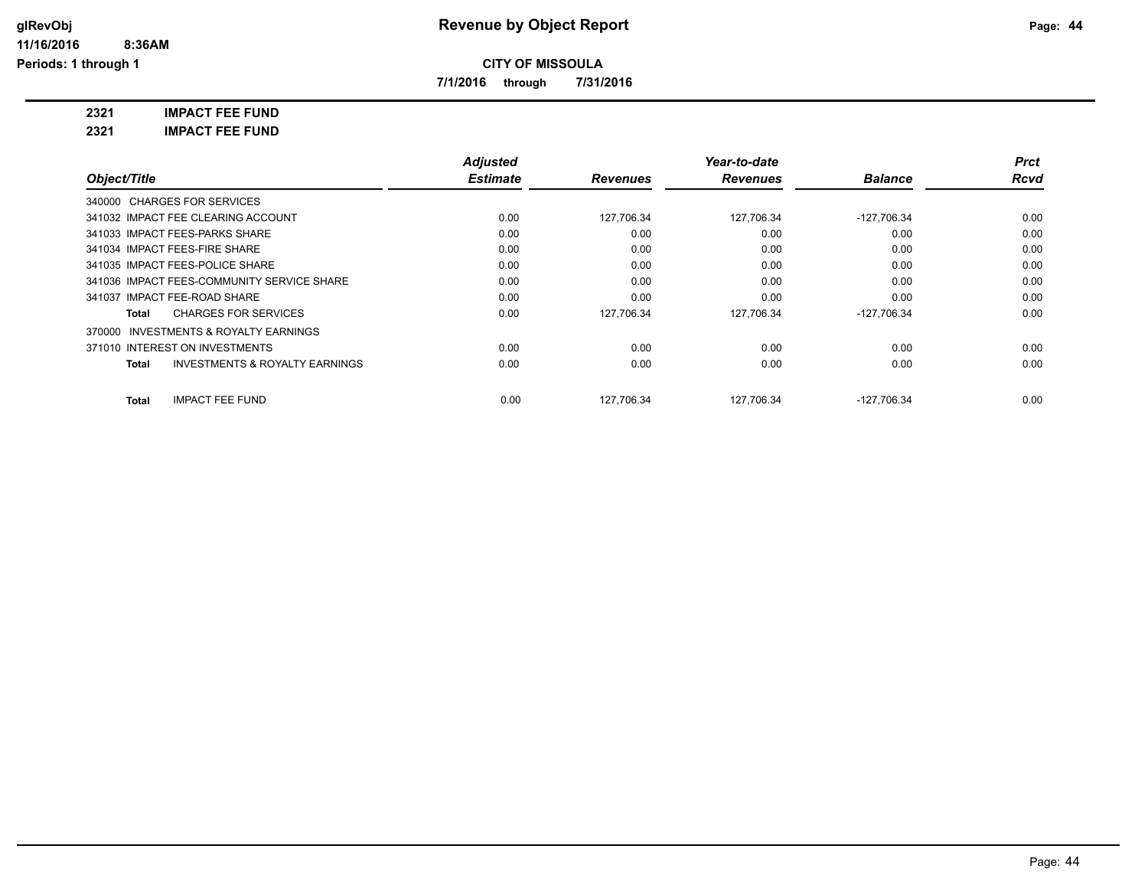**CITY OF MISSOULA**

**7/1/2016 through 7/31/2016**

**2321 IMPACT FEE FUND**

**2321 IMPACT FEE FUND**

|                                                | <b>Adjusted</b> |                 | Year-to-date    |                | <b>Prct</b> |
|------------------------------------------------|-----------------|-----------------|-----------------|----------------|-------------|
| Object/Title                                   | <b>Estimate</b> | <b>Revenues</b> | <b>Revenues</b> | <b>Balance</b> | Rcvd        |
| 340000 CHARGES FOR SERVICES                    |                 |                 |                 |                |             |
| 341032 IMPACT FEE CLEARING ACCOUNT             | 0.00            | 127.706.34      | 127,706.34      | $-127.706.34$  | 0.00        |
| 341033 IMPACT FEES-PARKS SHARE                 | 0.00            | 0.00            | 0.00            | 0.00           | 0.00        |
| 341034 IMPACT FEES-FIRE SHARE                  | 0.00            | 0.00            | 0.00            | 0.00           | 0.00        |
| 341035 IMPACT FEES-POLICE SHARE                | 0.00            | 0.00            | 0.00            | 0.00           | 0.00        |
| 341036 IMPACT FEES-COMMUNITY SERVICE SHARE     | 0.00            | 0.00            | 0.00            | 0.00           | 0.00        |
| 341037 IMPACT FEE-ROAD SHARE                   | 0.00            | 0.00            | 0.00            | 0.00           | 0.00        |
| <b>CHARGES FOR SERVICES</b><br>Total           | 0.00            | 127,706.34      | 127,706.34      | $-127,706.34$  | 0.00        |
| 370000 INVESTMENTS & ROYALTY EARNINGS          |                 |                 |                 |                |             |
| 371010 INTEREST ON INVESTMENTS                 | 0.00            | 0.00            | 0.00            | 0.00           | 0.00        |
| INVESTMENTS & ROYALTY EARNINGS<br><b>Total</b> | 0.00            | 0.00            | 0.00            | 0.00           | 0.00        |
| <b>IMPACT FEE FUND</b><br>Total                | 0.00            | 127.706.34      | 127.706.34      | $-127.706.34$  | 0.00        |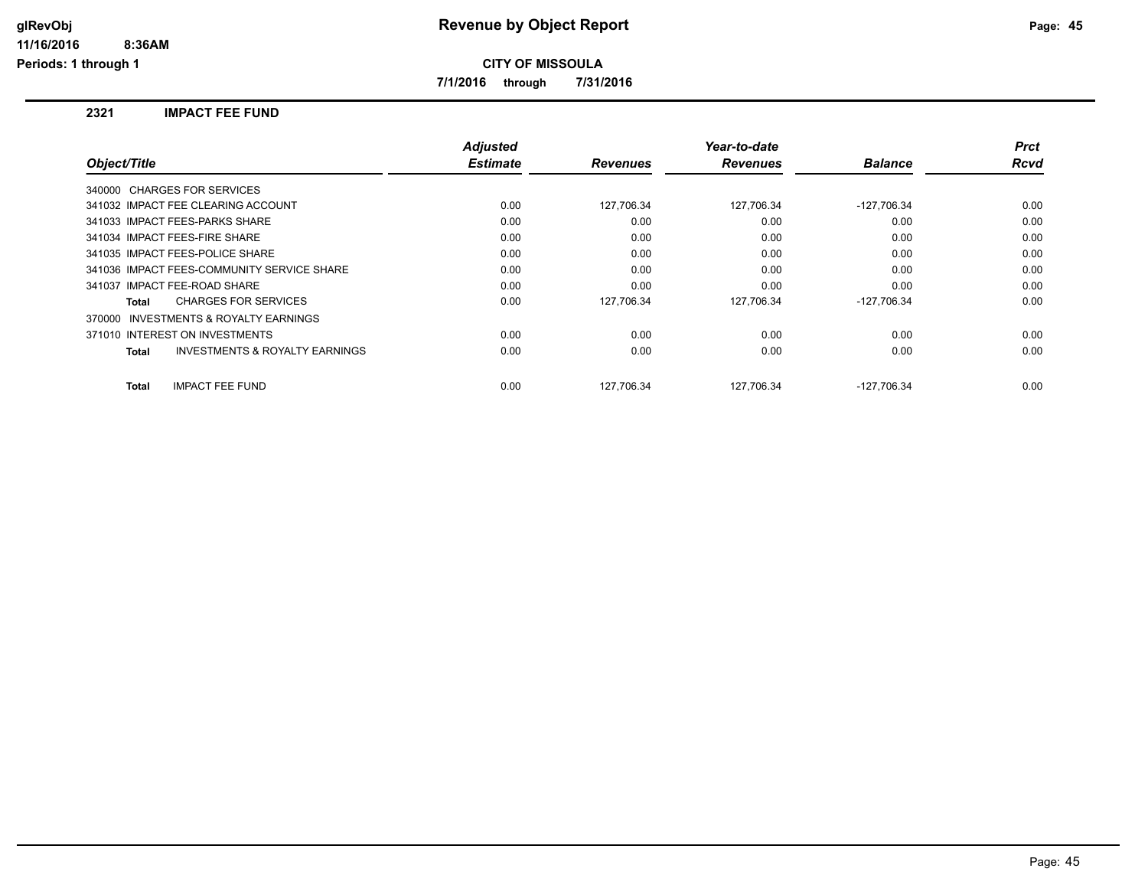**CITY OF MISSOULA**

**7/1/2016 through 7/31/2016**

#### **2321 IMPACT FEE FUND**

 **8:36AM**

| Object/Title                                   | <b>Adjusted</b><br><b>Estimate</b> | <b>Revenues</b> | Year-to-date<br><b>Revenues</b> | <b>Balance</b> | <b>Prct</b><br><b>Rcvd</b> |
|------------------------------------------------|------------------------------------|-----------------|---------------------------------|----------------|----------------------------|
|                                                |                                    |                 |                                 |                |                            |
| 340000 CHARGES FOR SERVICES                    |                                    |                 |                                 |                |                            |
| 341032 IMPACT FEE CLEARING ACCOUNT             | 0.00                               | 127,706.34      | 127,706.34                      | $-127.706.34$  | 0.00                       |
| 341033 IMPACT FEES-PARKS SHARE                 | 0.00                               | 0.00            | 0.00                            | 0.00           | 0.00                       |
| 341034 IMPACT FEES-FIRE SHARE                  | 0.00                               | 0.00            | 0.00                            | 0.00           | 0.00                       |
| 341035 IMPACT FEES-POLICE SHARE                | 0.00                               | 0.00            | 0.00                            | 0.00           | 0.00                       |
| 341036 IMPACT FEES-COMMUNITY SERVICE SHARE     | 0.00                               | 0.00            | 0.00                            | 0.00           | 0.00                       |
| 341037 IMPACT FEE-ROAD SHARE                   | 0.00                               | 0.00            | 0.00                            | 0.00           | 0.00                       |
| <b>CHARGES FOR SERVICES</b><br><b>Total</b>    | 0.00                               | 127.706.34      | 127.706.34                      | $-127.706.34$  | 0.00                       |
| INVESTMENTS & ROYALTY EARNINGS<br>370000       |                                    |                 |                                 |                |                            |
| 371010 INTEREST ON INVESTMENTS                 | 0.00                               | 0.00            | 0.00                            | 0.00           | 0.00                       |
| INVESTMENTS & ROYALTY EARNINGS<br><b>Total</b> | 0.00                               | 0.00            | 0.00                            | 0.00           | 0.00                       |
| <b>IMPACT FEE FUND</b><br><b>Total</b>         | 0.00                               | 127,706.34      | 127,706.34                      | $-127,706.34$  | 0.00                       |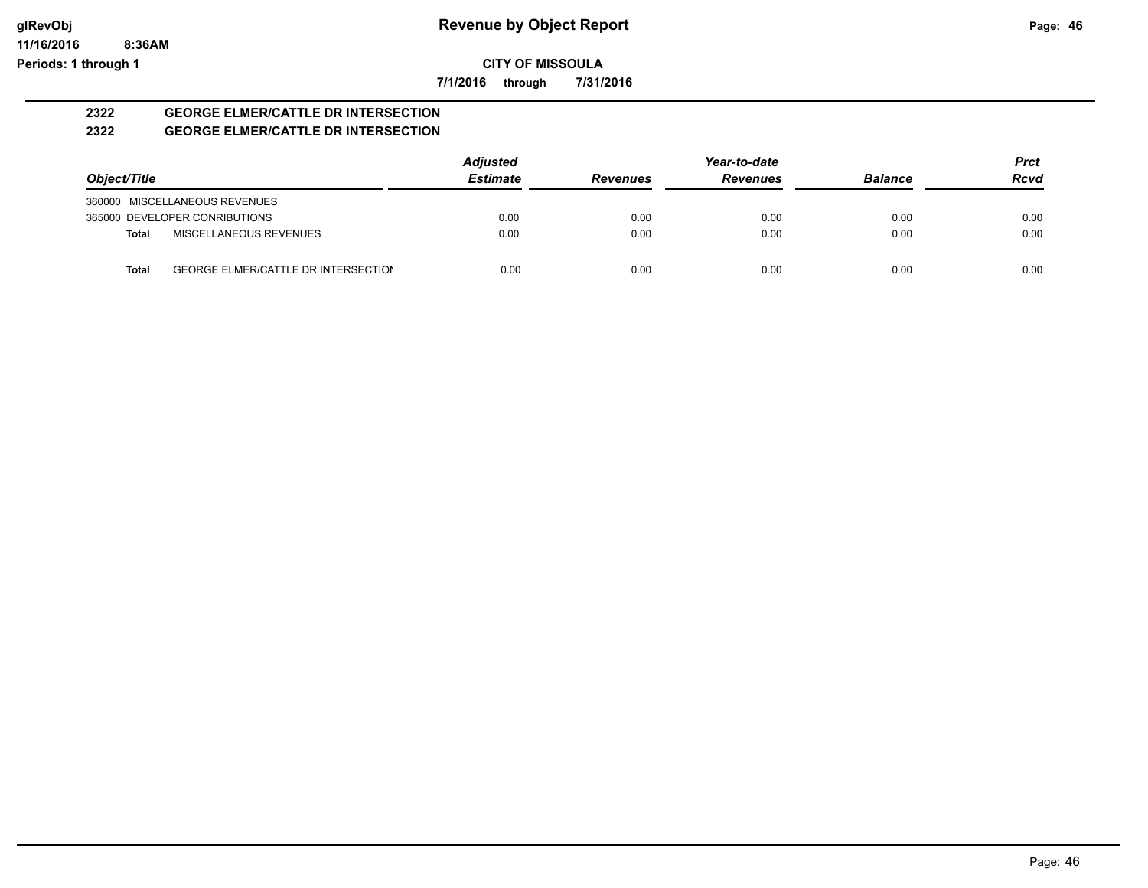**CITY OF MISSOULA**

**7/1/2016 through 7/31/2016**

#### **2322 GEORGE ELMER/CATTLE DR INTERSECTION 2322 GEORGE ELMER/CATTLE DR INTERSECTION**

| Object/Title |                                            | <b>Adjusted</b> |                 | Year-to-date    |                | Prct |
|--------------|--------------------------------------------|-----------------|-----------------|-----------------|----------------|------|
|              |                                            | <b>Estimate</b> | <b>Revenues</b> | <b>Revenues</b> | <b>Balance</b> | Rcvd |
|              | 360000 MISCELLANEOUS REVENUES              |                 |                 |                 |                |      |
|              | 365000 DEVELOPER CONRIBUTIONS              | 0.00            | 0.00            | 0.00            | 0.00           | 0.00 |
| Total        | MISCELLANEOUS REVENUES                     | 0.00            | 0.00            | 0.00            | 0.00           | 0.00 |
| <b>Total</b> | <b>GEORGE ELMER/CATTLE DR INTERSECTION</b> | 0.00            | 0.00            | 0.00            | 0.00           | 0.00 |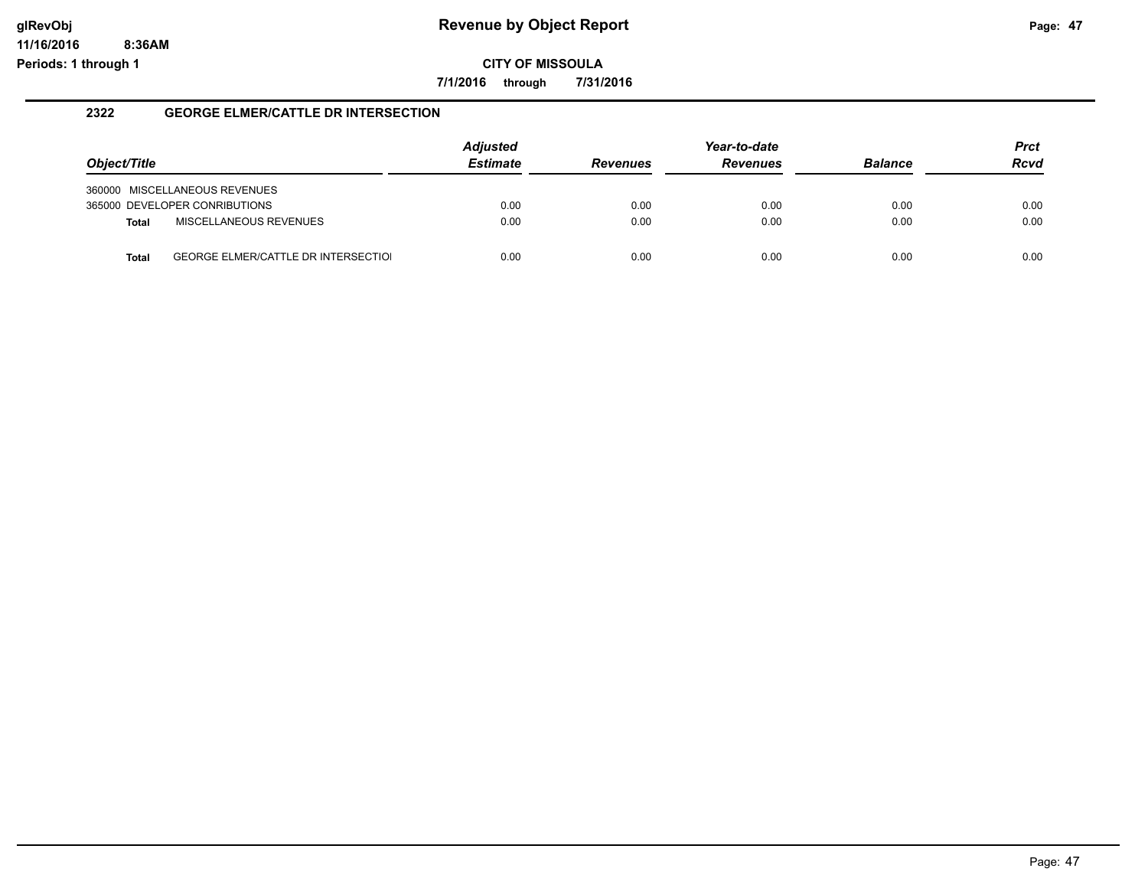**8:36AM**

**CITY OF MISSOULA**

**7/1/2016 through 7/31/2016**

#### **2322 GEORGE ELMER/CATTLE DR INTERSECTION**

| Object/Title |                                            | <b>Adjusted</b><br><b>Estimate</b> | <b>Revenues</b> | Year-to-date<br><b>Revenues</b> | <b>Balance</b> | <b>Prct</b><br><b>Rcvd</b> |
|--------------|--------------------------------------------|------------------------------------|-----------------|---------------------------------|----------------|----------------------------|
|              | 360000 MISCELLANEOUS REVENUES              |                                    |                 |                                 |                |                            |
|              | 365000 DEVELOPER CONRIBUTIONS              | 0.00                               | 0.00            | 0.00                            | 0.00           | 0.00                       |
| <b>Total</b> | MISCELLANEOUS REVENUES                     | 0.00                               | 0.00            | 0.00                            | 0.00           | 0.00                       |
| <b>Total</b> | <b>GEORGE ELMER/CATTLE DR INTERSECTIOL</b> | 0.00                               | 0.00            | 0.00                            | 0.00           | 0.00                       |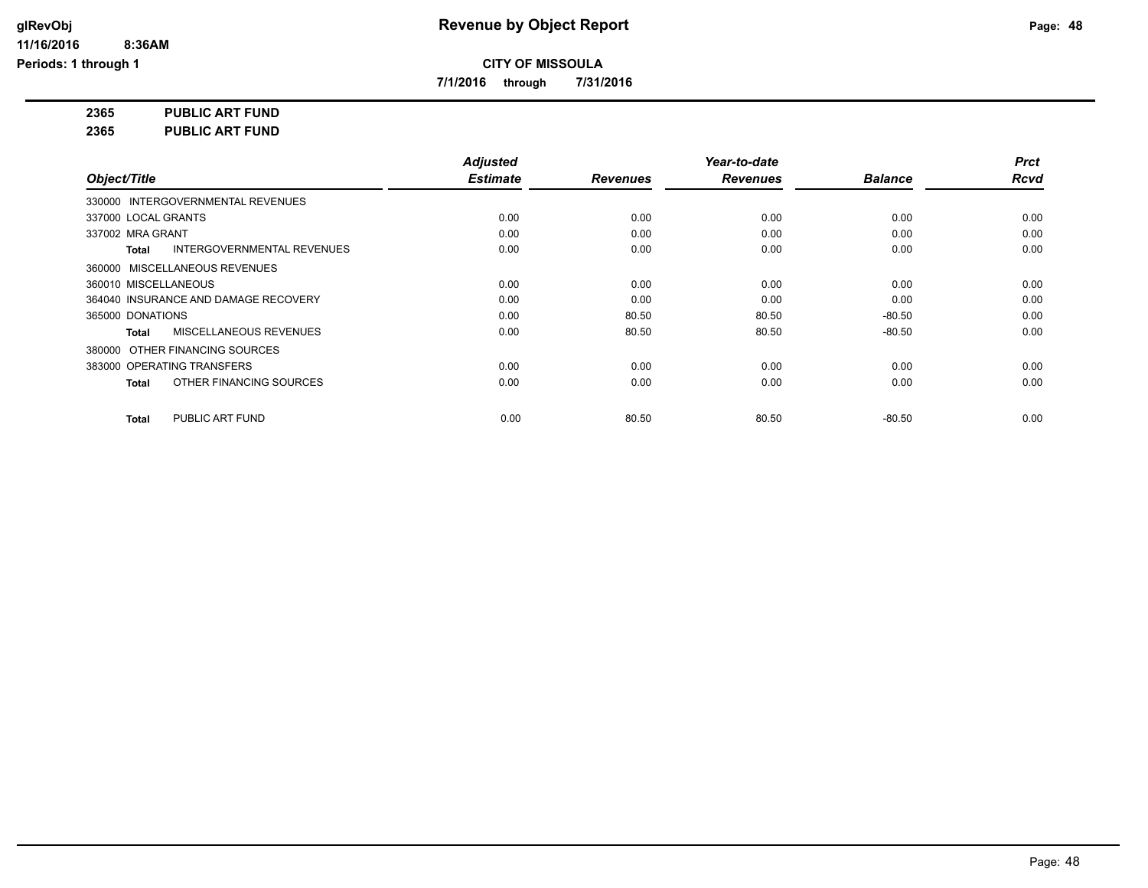**CITY OF MISSOULA**

**7/1/2016 through 7/31/2016**

**2365 PUBLIC ART FUND**

**2365 PUBLIC ART FUND**

|                                            | <b>Adjusted</b> |                 | Year-to-date    |                | <b>Prct</b> |
|--------------------------------------------|-----------------|-----------------|-----------------|----------------|-------------|
| Object/Title                               | <b>Estimate</b> | <b>Revenues</b> | <b>Revenues</b> | <b>Balance</b> | <b>Rcvd</b> |
| 330000 INTERGOVERNMENTAL REVENUES          |                 |                 |                 |                |             |
| 337000 LOCAL GRANTS                        | 0.00            | 0.00            | 0.00            | 0.00           | 0.00        |
| 337002 MRA GRANT                           | 0.00            | 0.00            | 0.00            | 0.00           | 0.00        |
| <b>INTERGOVERNMENTAL REVENUES</b><br>Total | 0.00            | 0.00            | 0.00            | 0.00           | 0.00        |
| 360000 MISCELLANEOUS REVENUES              |                 |                 |                 |                |             |
| 360010 MISCELLANEOUS                       | 0.00            | 0.00            | 0.00            | 0.00           | 0.00        |
| 364040 INSURANCE AND DAMAGE RECOVERY       | 0.00            | 0.00            | 0.00            | 0.00           | 0.00        |
| 365000 DONATIONS                           | 0.00            | 80.50           | 80.50           | $-80.50$       | 0.00        |
| MISCELLANEOUS REVENUES<br>Total            | 0.00            | 80.50           | 80.50           | $-80.50$       | 0.00        |
| 380000 OTHER FINANCING SOURCES             |                 |                 |                 |                |             |
| 383000 OPERATING TRANSFERS                 | 0.00            | 0.00            | 0.00            | 0.00           | 0.00        |
| OTHER FINANCING SOURCES<br>Total           | 0.00            | 0.00            | 0.00            | 0.00           | 0.00        |
|                                            |                 |                 |                 |                |             |
| PUBLIC ART FUND<br>Total                   | 0.00            | 80.50           | 80.50           | $-80.50$       | 0.00        |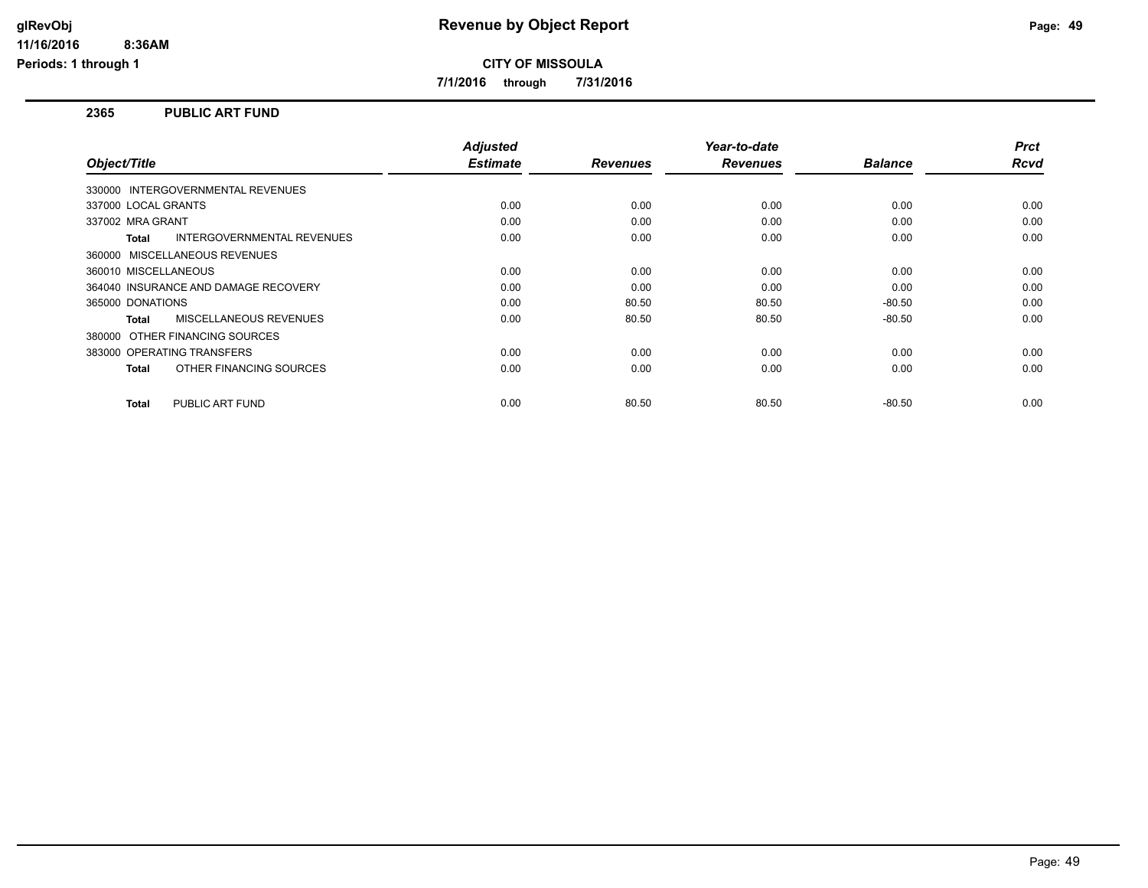**CITY OF MISSOULA**

**7/1/2016 through 7/31/2016**

#### **2365 PUBLIC ART FUND**

 **8:36AM**

|                                            | <b>Adjusted</b> |                 | Year-to-date    |                | <b>Prct</b> |
|--------------------------------------------|-----------------|-----------------|-----------------|----------------|-------------|
| Object/Title                               | <b>Estimate</b> | <b>Revenues</b> | <b>Revenues</b> | <b>Balance</b> | <b>Rcvd</b> |
| 330000 INTERGOVERNMENTAL REVENUES          |                 |                 |                 |                |             |
| 337000 LOCAL GRANTS                        | 0.00            | 0.00            | 0.00            | 0.00           | 0.00        |
| 337002 MRA GRANT                           | 0.00            | 0.00            | 0.00            | 0.00           | 0.00        |
| INTERGOVERNMENTAL REVENUES<br><b>Total</b> | 0.00            | 0.00            | 0.00            | 0.00           | 0.00        |
| 360000 MISCELLANEOUS REVENUES              |                 |                 |                 |                |             |
| 360010 MISCELLANEOUS                       | 0.00            | 0.00            | 0.00            | 0.00           | 0.00        |
| 364040 INSURANCE AND DAMAGE RECOVERY       | 0.00            | 0.00            | 0.00            | 0.00           | 0.00        |
| 365000 DONATIONS                           | 0.00            | 80.50           | 80.50           | $-80.50$       | 0.00        |
| MISCELLANEOUS REVENUES<br><b>Total</b>     | 0.00            | 80.50           | 80.50           | $-80.50$       | 0.00        |
| 380000 OTHER FINANCING SOURCES             |                 |                 |                 |                |             |
| 383000 OPERATING TRANSFERS                 | 0.00            | 0.00            | 0.00            | 0.00           | 0.00        |
| OTHER FINANCING SOURCES<br><b>Total</b>    | 0.00            | 0.00            | 0.00            | 0.00           | 0.00        |
|                                            |                 |                 |                 |                |             |
| PUBLIC ART FUND<br><b>Total</b>            | 0.00            | 80.50           | 80.50           | $-80.50$       | 0.00        |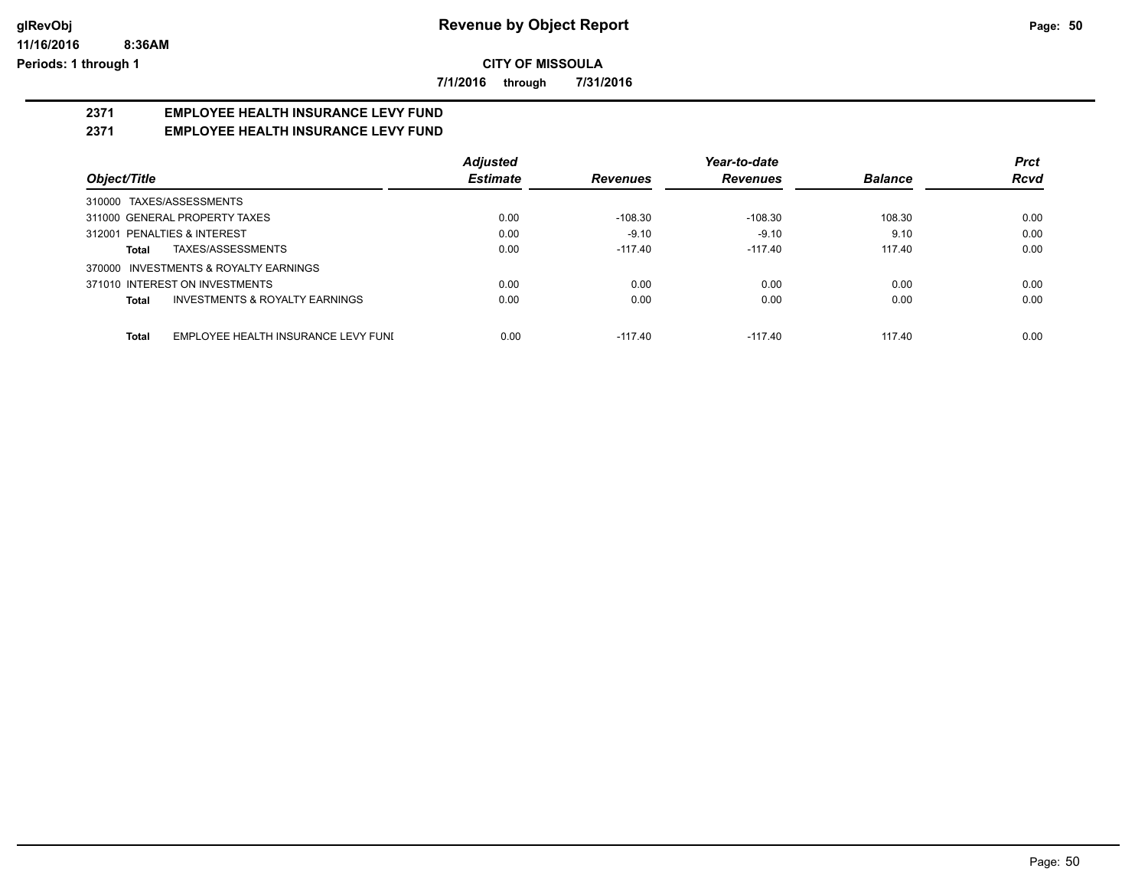**CITY OF MISSOULA**

**7/1/2016 through 7/31/2016**

# **2371 EMPLOYEE HEALTH INSURANCE LEVY FUND**

### **2371 EMPLOYEE HEALTH INSURANCE LEVY FUND**

|                                                     | <b>Adjusted</b> |                 | Year-to-date    |                | <b>Prct</b> |
|-----------------------------------------------------|-----------------|-----------------|-----------------|----------------|-------------|
| Object/Title                                        | <b>Estimate</b> | <b>Revenues</b> | <b>Revenues</b> | <b>Balance</b> | <b>Rcvd</b> |
| 310000 TAXES/ASSESSMENTS                            |                 |                 |                 |                |             |
| 311000 GENERAL PROPERTY TAXES                       | 0.00            | $-108.30$       | $-108.30$       | 108.30         | 0.00        |
| 312001 PENALTIES & INTEREST                         | 0.00            | $-9.10$         | $-9.10$         | 9.10           | 0.00        |
| TAXES/ASSESSMENTS<br>Total                          | 0.00            | $-117.40$       | $-117.40$       | 117.40         | 0.00        |
| 370000 INVESTMENTS & ROYALTY EARNINGS               |                 |                 |                 |                |             |
| 371010 INTEREST ON INVESTMENTS                      | 0.00            | 0.00            | 0.00            | 0.00           | 0.00        |
| <b>INVESTMENTS &amp; ROYALTY EARNINGS</b><br>Total  | 0.00            | 0.00            | 0.00            | 0.00           | 0.00        |
| EMPLOYEE HEALTH INSURANCE LEVY FUNI<br><b>Total</b> | 0.00            | $-117.40$       | $-117.40$       | 117.40         | 0.00        |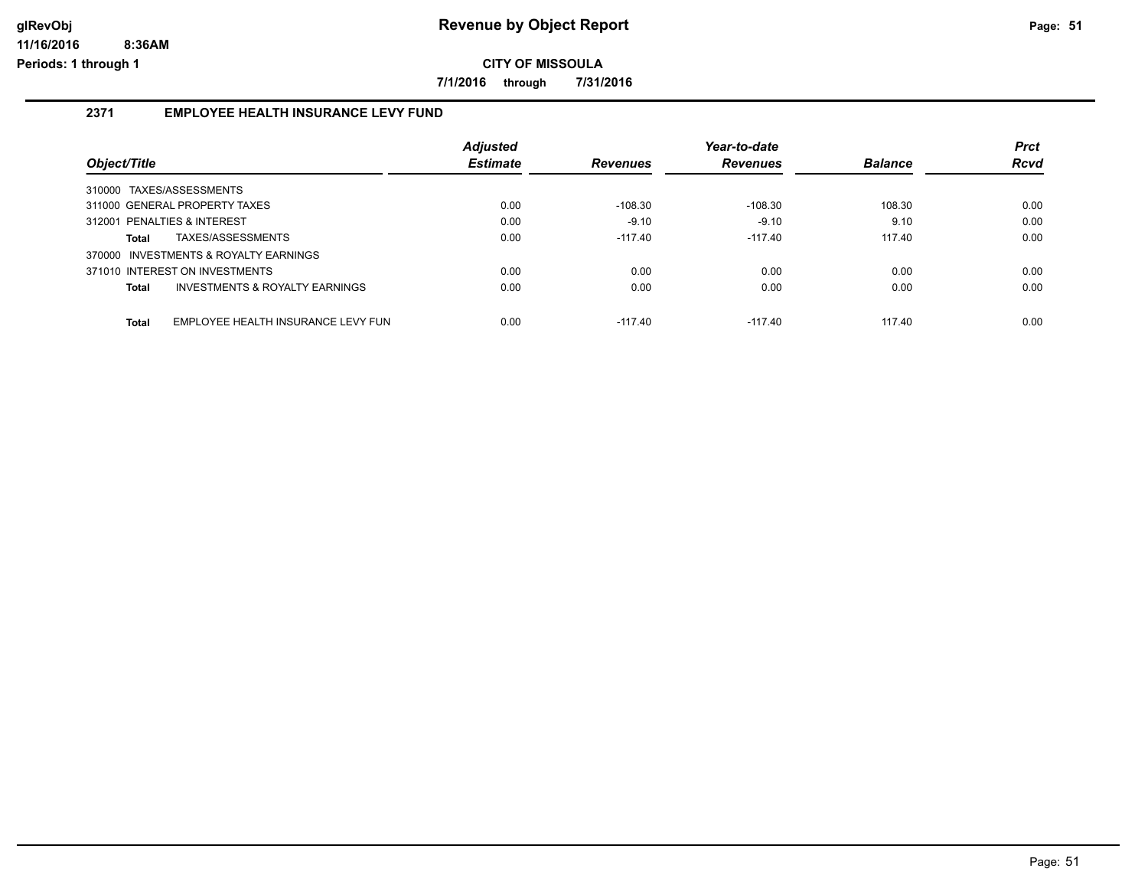**8:36AM**

**CITY OF MISSOULA**

**7/1/2016 through 7/31/2016**

#### **2371 EMPLOYEE HEALTH INSURANCE LEVY FUND**

|                                                    | <b>Adjusted</b> |                 | Year-to-date    |                | <b>Prct</b> |
|----------------------------------------------------|-----------------|-----------------|-----------------|----------------|-------------|
| Object/Title                                       | <b>Estimate</b> | <b>Revenues</b> | <b>Revenues</b> | <b>Balance</b> | <b>Rcvd</b> |
| 310000 TAXES/ASSESSMENTS                           |                 |                 |                 |                |             |
| 311000 GENERAL PROPERTY TAXES                      | 0.00            | $-108.30$       | $-108.30$       | 108.30         | 0.00        |
| 312001 PENALTIES & INTEREST                        | 0.00            | $-9.10$         | $-9.10$         | 9.10           | 0.00        |
| TAXES/ASSESSMENTS<br>Total                         | 0.00            | $-117.40$       | $-117.40$       | 117.40         | 0.00        |
| 370000 INVESTMENTS & ROYALTY EARNINGS              |                 |                 |                 |                |             |
| 371010 INTEREST ON INVESTMENTS                     | 0.00            | 0.00            | 0.00            | 0.00           | 0.00        |
| <b>INVESTMENTS &amp; ROYALTY EARNINGS</b><br>Total | 0.00            | 0.00            | 0.00            | 0.00           | 0.00        |
|                                                    |                 |                 |                 |                |             |
| Total<br>EMPLOYEE HEALTH INSURANCE LEVY FUN        | 0.00            | $-117.40$       | $-117.40$       | 117.40         | 0.00        |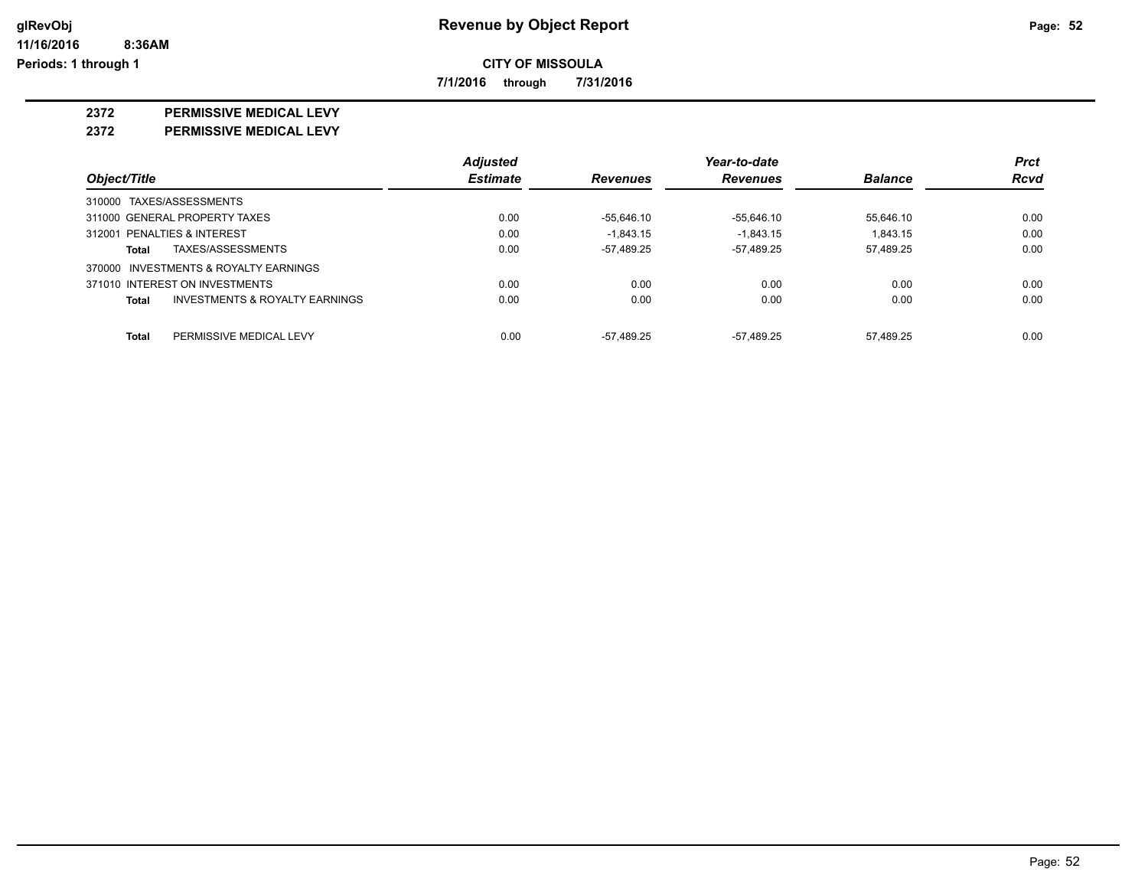**CITY OF MISSOULA**

**7/1/2016 through 7/31/2016**

**2372 PERMISSIVE MEDICAL LEVY**

**2372 PERMISSIVE MEDICAL LEVY**

|                                                    | <b>Adjusted</b> |                 | Year-to-date    |                | <b>Prct</b> |
|----------------------------------------------------|-----------------|-----------------|-----------------|----------------|-------------|
| Object/Title                                       | <b>Estimate</b> | <b>Revenues</b> | <b>Revenues</b> | <b>Balance</b> | Rcvd        |
| 310000 TAXES/ASSESSMENTS                           |                 |                 |                 |                |             |
| 311000 GENERAL PROPERTY TAXES                      | 0.00            | $-55.646.10$    | $-55.646.10$    | 55.646.10      | 0.00        |
| 312001 PENALTIES & INTEREST                        | 0.00            | $-1.843.15$     | $-1.843.15$     | 1.843.15       | 0.00        |
| TAXES/ASSESSMENTS<br>Total                         | 0.00            | $-57,489.25$    | -57.489.25      | 57.489.25      | 0.00        |
| 370000 INVESTMENTS & ROYALTY EARNINGS              |                 |                 |                 |                |             |
| 371010 INTEREST ON INVESTMENTS                     | 0.00            | 0.00            | 0.00            | 0.00           | 0.00        |
| <b>INVESTMENTS &amp; ROYALTY EARNINGS</b><br>Total | 0.00            | 0.00            | 0.00            | 0.00           | 0.00        |
|                                                    |                 |                 |                 |                |             |
| Total<br>PERMISSIVE MEDICAL LEVY                   | 0.00            | $-57.489.25$    | -57.489.25      | 57.489.25      | 0.00        |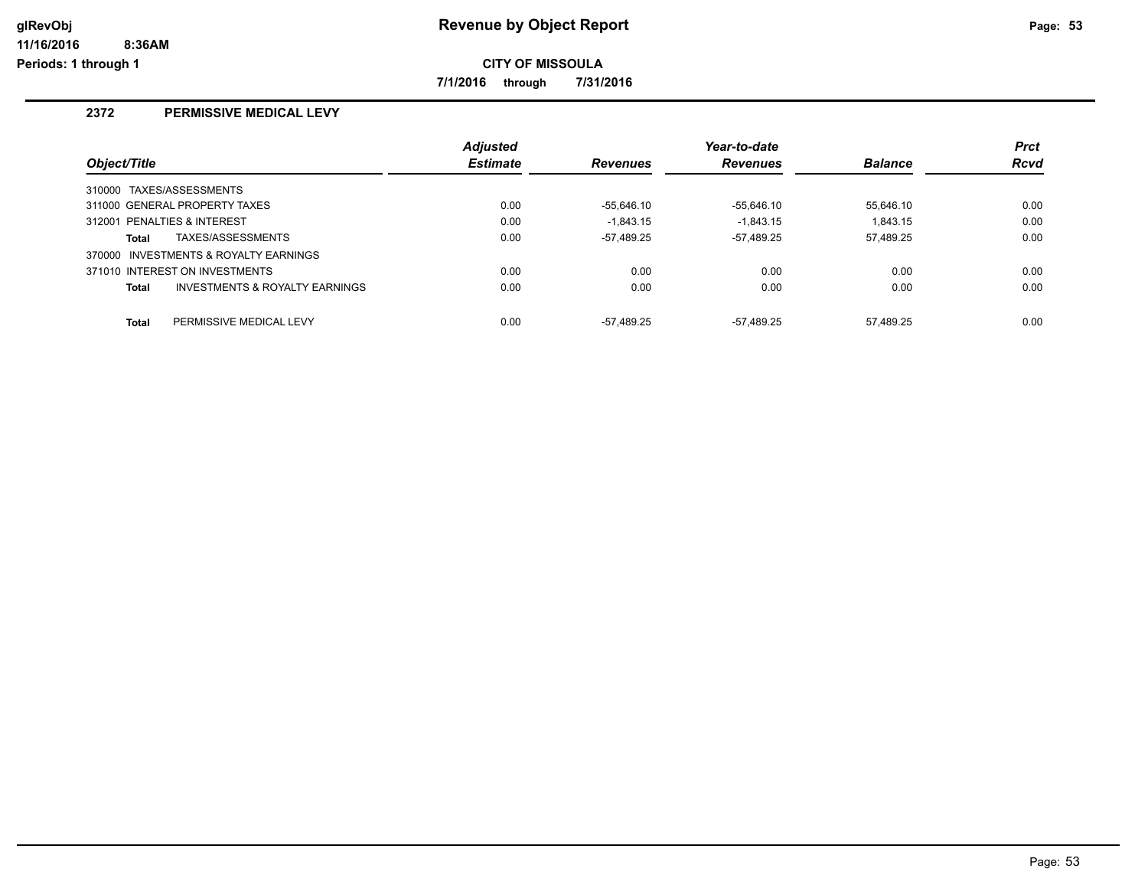**CITY OF MISSOULA**

**7/1/2016 through 7/31/2016**

#### **2372 PERMISSIVE MEDICAL LEVY**

 **8:36AM**

|                                                | <b>Adjusted</b> |                 | Year-to-date    |                | <b>Prct</b> |
|------------------------------------------------|-----------------|-----------------|-----------------|----------------|-------------|
| Object/Title                                   | <b>Estimate</b> | <b>Revenues</b> | <b>Revenues</b> | <b>Balance</b> | <b>Rcvd</b> |
| 310000 TAXES/ASSESSMENTS                       |                 |                 |                 |                |             |
| 311000 GENERAL PROPERTY TAXES                  | 0.00            | $-55.646.10$    | $-55.646.10$    | 55.646.10      | 0.00        |
| 312001 PENALTIES & INTEREST                    | 0.00            | $-1.843.15$     | $-1.843.15$     | 1.843.15       | 0.00        |
| TAXES/ASSESSMENTS<br><b>Total</b>              | 0.00            | $-57.489.25$    | $-57.489.25$    | 57,489.25      | 0.00        |
| 370000 INVESTMENTS & ROYALTY EARNINGS          |                 |                 |                 |                |             |
| 371010 INTEREST ON INVESTMENTS                 | 0.00            | 0.00            | 0.00            | 0.00           | 0.00        |
| INVESTMENTS & ROYALTY EARNINGS<br><b>Total</b> | 0.00            | 0.00            | 0.00            | 0.00           | 0.00        |
| <b>Total</b><br>PERMISSIVE MEDICAL LEVY        | 0.00            | $-57.489.25$    | $-57.489.25$    | 57.489.25      | 0.00        |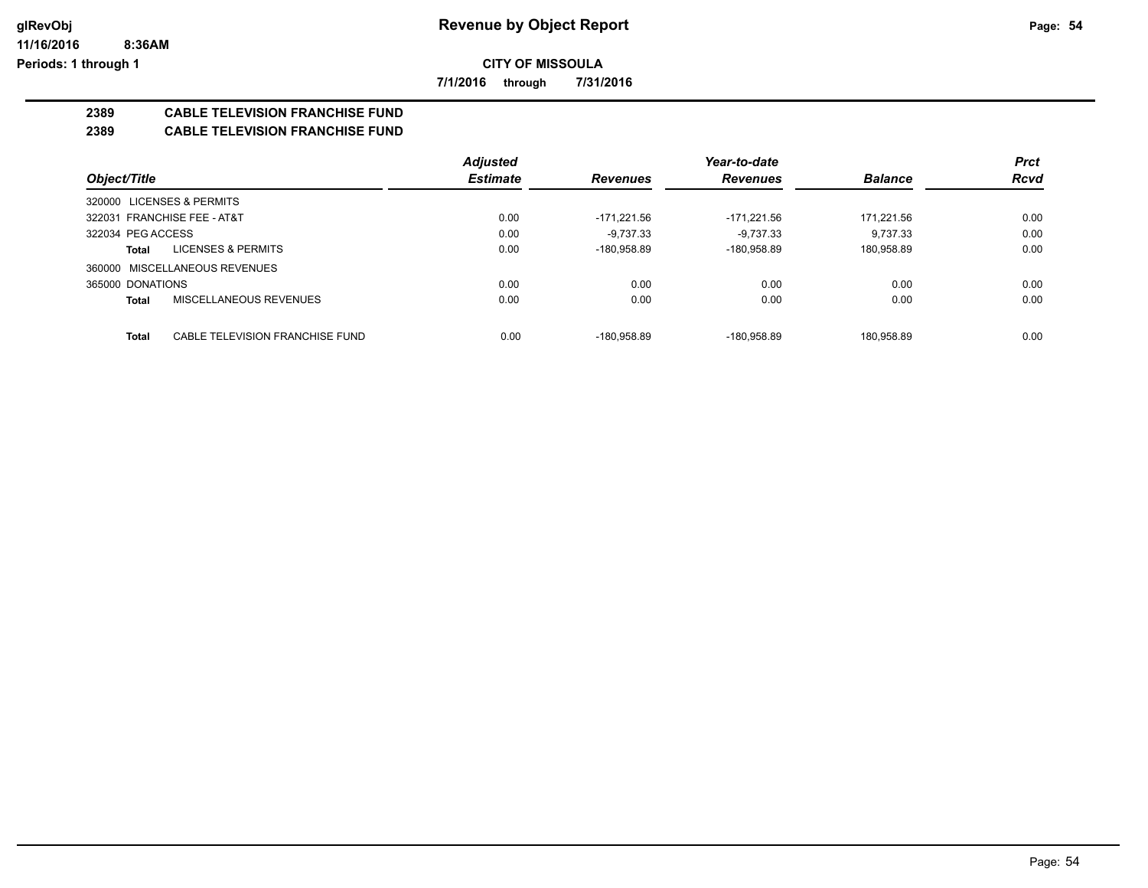**8:36AM**

**glRevObj Revenue by Object Report Page: 54** 

**CITY OF MISSOULA**

**7/1/2016 through 7/31/2016**

# **2389 CABLE TELEVISION FRANCHISE FUND**

### **2389 CABLE TELEVISION FRANCHISE FUND**

|                                                 | <b>Adjusted</b> |                 | Year-to-date    |                | <b>Prct</b> |
|-------------------------------------------------|-----------------|-----------------|-----------------|----------------|-------------|
| Object/Title                                    | <b>Estimate</b> | <b>Revenues</b> | <b>Revenues</b> | <b>Balance</b> | <b>Rcvd</b> |
| 320000 LICENSES & PERMITS                       |                 |                 |                 |                |             |
| 322031 FRANCHISE FEE - AT&T                     | 0.00            | $-171.221.56$   | $-171.221.56$   | 171,221.56     | 0.00        |
| 322034 PEG ACCESS                               | 0.00            | $-9.737.33$     | $-9.737.33$     | 9.737.33       | 0.00        |
| LICENSES & PERMITS<br>Total                     | 0.00            | $-180.958.89$   | -180.958.89     | 180.958.89     | 0.00        |
| 360000 MISCELLANEOUS REVENUES                   |                 |                 |                 |                |             |
| 365000 DONATIONS                                | 0.00            | 0.00            | 0.00            | 0.00           | 0.00        |
| MISCELLANEOUS REVENUES<br><b>Total</b>          | 0.00            | 0.00            | 0.00            | 0.00           | 0.00        |
| CABLE TELEVISION FRANCHISE FUND<br><b>Total</b> | 0.00            | $-180.958.89$   | -180.958.89     | 180.958.89     | 0.00        |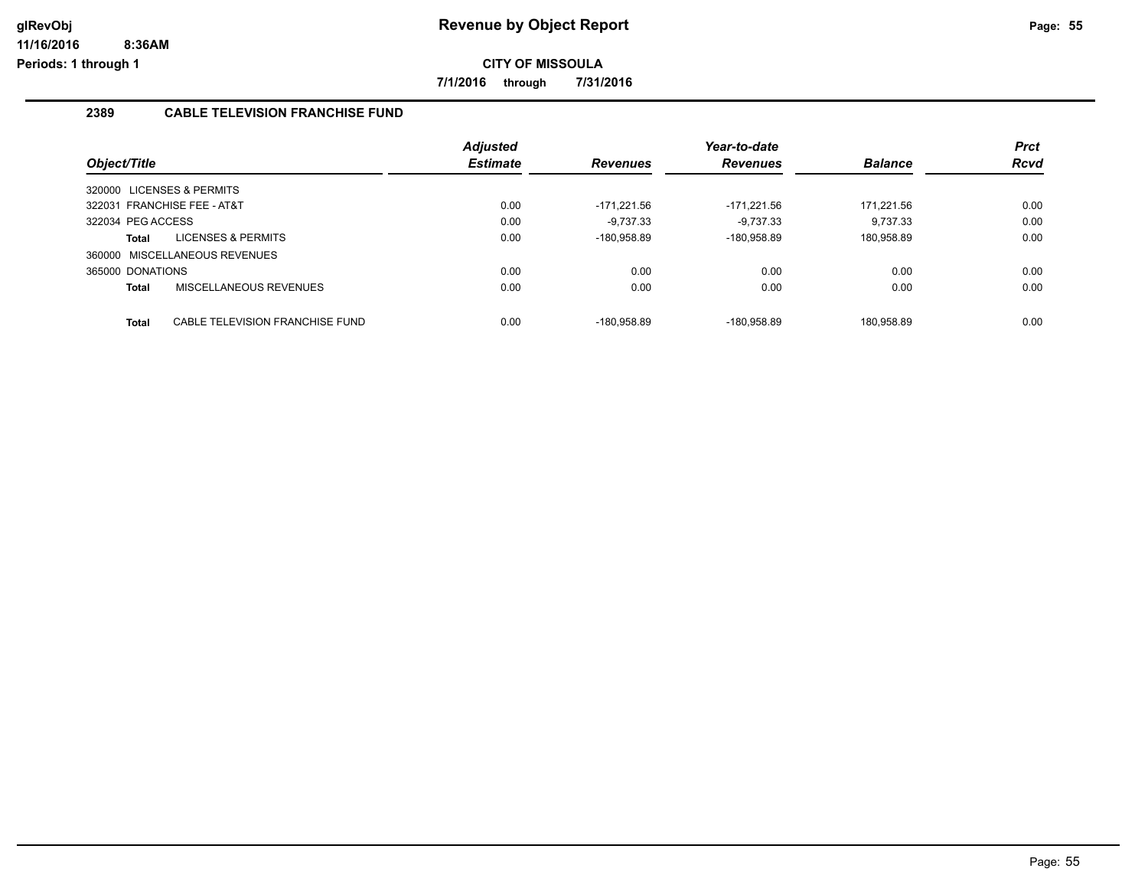**8:36AM**

**CITY OF MISSOULA**

**7/1/2016 through 7/31/2016**

#### **2389 CABLE TELEVISION FRANCHISE FUND**

|                                                 | <b>Adjusted</b> |                 | Year-to-date    |                | <b>Prct</b> |
|-------------------------------------------------|-----------------|-----------------|-----------------|----------------|-------------|
| Obiect/Title                                    | <b>Estimate</b> | <b>Revenues</b> | <b>Revenues</b> | <b>Balance</b> | <b>Rcvd</b> |
| 320000 LICENSES & PERMITS                       |                 |                 |                 |                |             |
| 322031 FRANCHISE FEE - AT&T                     | 0.00            | -171.221.56     | $-171.221.56$   | 171.221.56     | 0.00        |
| 322034 PEG ACCESS                               | 0.00            | $-9.737.33$     | $-9.737.33$     | 9.737.33       | 0.00        |
| LICENSES & PERMITS<br>Total                     | 0.00            | $-180.958.89$   | $-180.958.89$   | 180.958.89     | 0.00        |
| 360000 MISCELLANEOUS REVENUES                   |                 |                 |                 |                |             |
| 365000 DONATIONS                                | 0.00            | 0.00            | 0.00            | 0.00           | 0.00        |
| MISCELLANEOUS REVENUES<br>Total                 | 0.00            | 0.00            | 0.00            | 0.00           | 0.00        |
|                                                 |                 |                 |                 |                |             |
| <b>Total</b><br>CABLE TELEVISION FRANCHISE FUND | 0.00            | -180.958.89     | -180.958.89     | 180.958.89     | 0.00        |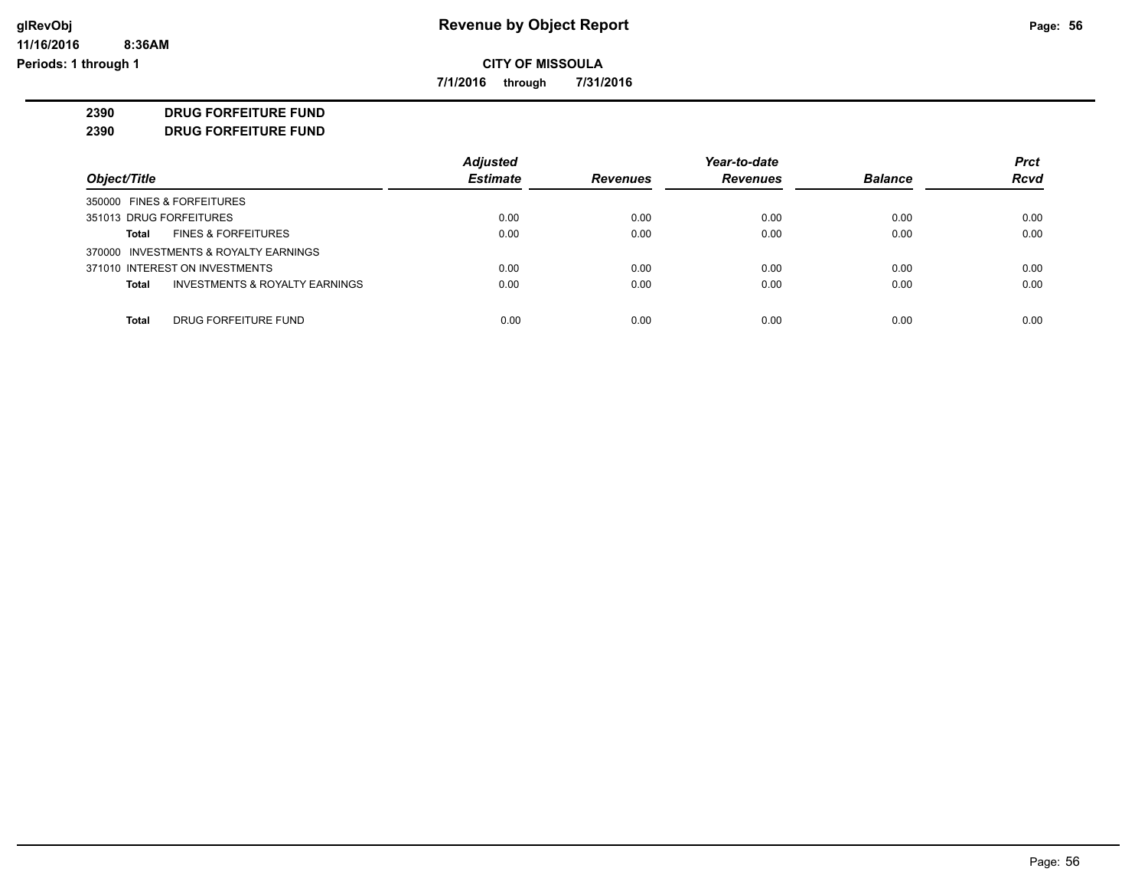**CITY OF MISSOULA**

**7/1/2016 through 7/31/2016**

**2390 DRUG FORFEITURE FUND**

 **8:36AM**

**2390 DRUG FORFEITURE FUND**

|                                                    | <b>Adjusted</b> |                 | Year-to-date    |                | <b>Prct</b> |
|----------------------------------------------------|-----------------|-----------------|-----------------|----------------|-------------|
| Object/Title                                       | <b>Estimate</b> | <b>Revenues</b> | <b>Revenues</b> | <b>Balance</b> | <b>Rcvd</b> |
| 350000 FINES & FORFEITURES                         |                 |                 |                 |                |             |
| 351013 DRUG FORFEITURES                            | 0.00            | 0.00            | 0.00            | 0.00           | 0.00        |
| <b>FINES &amp; FORFEITURES</b><br>Total            | 0.00            | 0.00            | 0.00            | 0.00           | 0.00        |
| 370000 INVESTMENTS & ROYALTY EARNINGS              |                 |                 |                 |                |             |
| 371010 INTEREST ON INVESTMENTS                     | 0.00            | 0.00            | 0.00            | 0.00           | 0.00        |
| <b>INVESTMENTS &amp; ROYALTY EARNINGS</b><br>Total | 0.00            | 0.00            | 0.00            | 0.00           | 0.00        |
| DRUG FORFEITURE FUND<br><b>Total</b>               | 0.00            | 0.00            | 0.00            | 0.00           | 0.00        |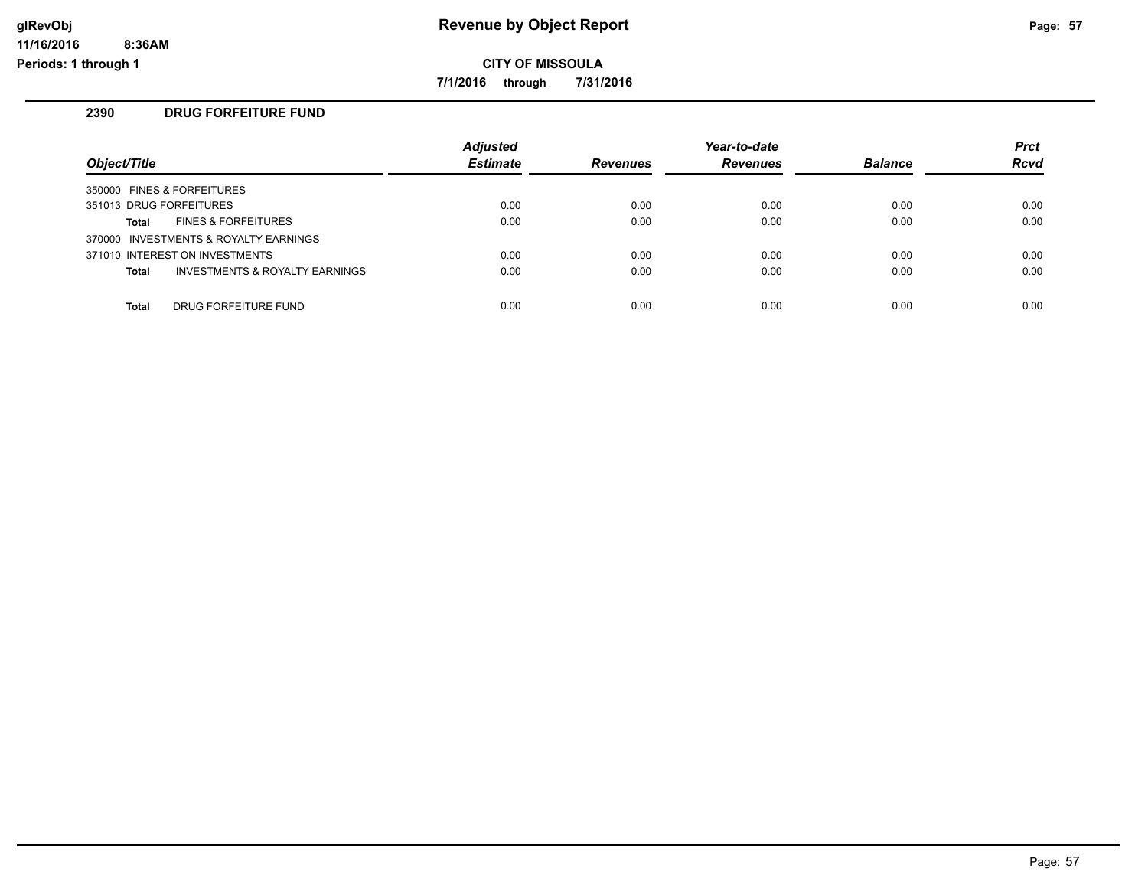#### **CITY OF MISSOULA**

**7/1/2016 through 7/31/2016**

#### **2390 DRUG FORFEITURE FUND**

| Object/Title                                              | <b>Adjusted</b><br><b>Estimate</b> | <b>Revenues</b> | Year-to-date<br><b>Revenues</b> | <b>Balance</b> | <b>Prct</b><br><b>Rcvd</b> |
|-----------------------------------------------------------|------------------------------------|-----------------|---------------------------------|----------------|----------------------------|
| 350000 FINES & FORFEITURES                                |                                    |                 |                                 |                |                            |
| 351013 DRUG FORFEITURES                                   | 0.00                               | 0.00            | 0.00                            | 0.00           | 0.00                       |
| <b>FINES &amp; FORFEITURES</b><br>Total                   | 0.00                               | 0.00            | 0.00                            | 0.00           | 0.00                       |
| 370000 INVESTMENTS & ROYALTY EARNINGS                     |                                    |                 |                                 |                |                            |
| 371010 INTEREST ON INVESTMENTS                            | 0.00                               | 0.00            | 0.00                            | 0.00           | 0.00                       |
| <b>INVESTMENTS &amp; ROYALTY EARNINGS</b><br><b>Total</b> | 0.00                               | 0.00            | 0.00                            | 0.00           | 0.00                       |
|                                                           |                                    |                 |                                 |                |                            |
| DRUG FORFEITURE FUND<br>Total                             | 0.00                               | 0.00            | 0.00                            | 0.00           | 0.00                       |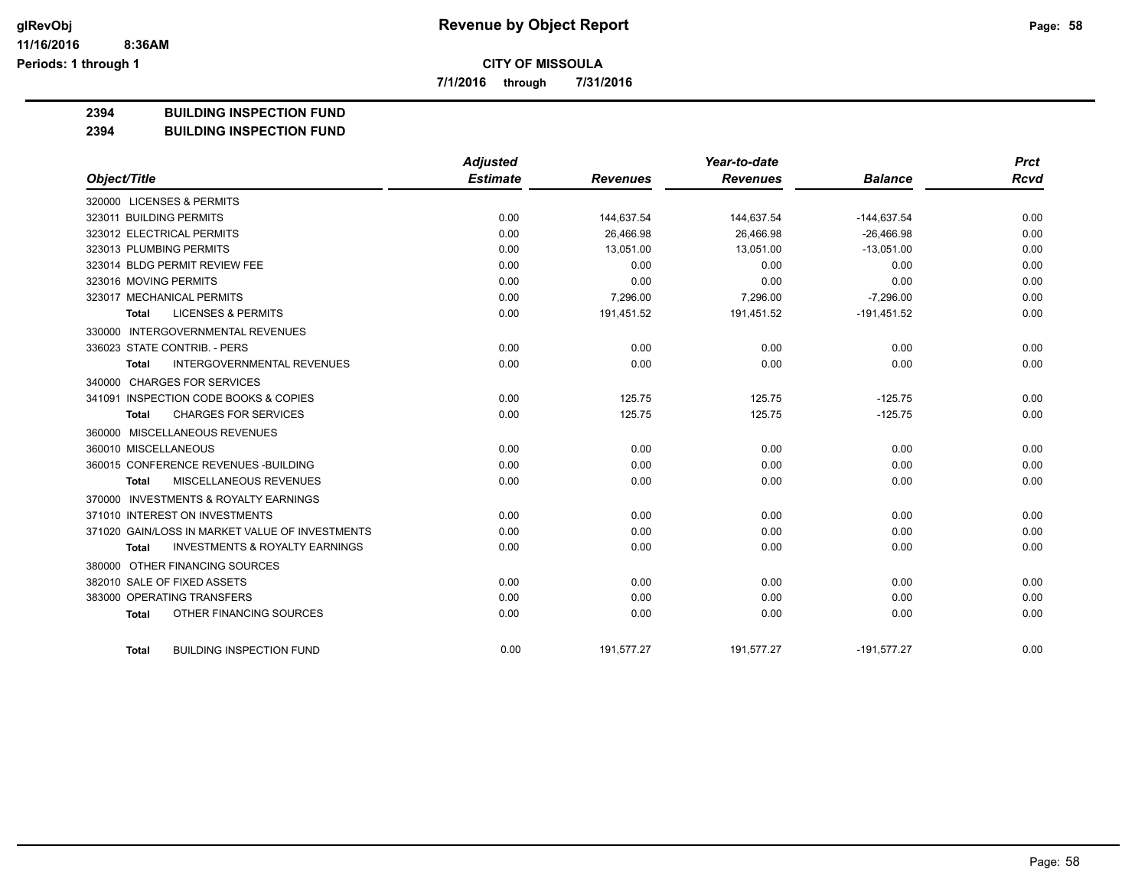**glRevObj Revenue by Object Report Page: 58** 

**11/16/2016 8:36AM Periods: 1 through 1**

**CITY OF MISSOULA**

**7/1/2016 through 7/31/2016**

**2394 BUILDING INSPECTION FUND**

**2394 BUILDING INSPECTION FUND**

|                                                           | <b>Adjusted</b> |                 | Year-to-date    |                | <b>Prct</b> |
|-----------------------------------------------------------|-----------------|-----------------|-----------------|----------------|-------------|
| Object/Title                                              | <b>Estimate</b> | <b>Revenues</b> | <b>Revenues</b> | <b>Balance</b> | <b>Rcvd</b> |
| 320000 LICENSES & PERMITS                                 |                 |                 |                 |                |             |
| 323011 BUILDING PERMITS                                   | 0.00            | 144,637.54      | 144,637.54      | $-144,637.54$  | 0.00        |
| 323012 ELECTRICAL PERMITS                                 | 0.00            | 26,466.98       | 26,466.98       | $-26,466.98$   | 0.00        |
| 323013 PLUMBING PERMITS                                   | 0.00            | 13,051.00       | 13,051.00       | $-13,051.00$   | 0.00        |
| 323014 BLDG PERMIT REVIEW FEE                             | 0.00            | 0.00            | 0.00            | 0.00           | 0.00        |
| 323016 MOVING PERMITS                                     | 0.00            | 0.00            | 0.00            | 0.00           | 0.00        |
| 323017 MECHANICAL PERMITS                                 | 0.00            | 7,296.00        | 7,296.00        | $-7,296.00$    | 0.00        |
| <b>LICENSES &amp; PERMITS</b><br><b>Total</b>             | 0.00            | 191,451.52      | 191,451.52      | $-191,451.52$  | 0.00        |
| 330000 INTERGOVERNMENTAL REVENUES                         |                 |                 |                 |                |             |
| 336023 STATE CONTRIB. - PERS                              | 0.00            | 0.00            | 0.00            | 0.00           | 0.00        |
| <b>INTERGOVERNMENTAL REVENUES</b><br><b>Total</b>         | 0.00            | 0.00            | 0.00            | 0.00           | 0.00        |
| 340000 CHARGES FOR SERVICES                               |                 |                 |                 |                |             |
| 341091 INSPECTION CODE BOOKS & COPIES                     | 0.00            | 125.75          | 125.75          | $-125.75$      | 0.00        |
| <b>CHARGES FOR SERVICES</b><br><b>Total</b>               | 0.00            | 125.75          | 125.75          | $-125.75$      | 0.00        |
| 360000 MISCELLANEOUS REVENUES                             |                 |                 |                 |                |             |
| 360010 MISCELLANEOUS                                      | 0.00            | 0.00            | 0.00            | 0.00           | 0.00        |
| 360015 CONFERENCE REVENUES - BUILDING                     | 0.00            | 0.00            | 0.00            | 0.00           | 0.00        |
| MISCELLANEOUS REVENUES<br>Total                           | 0.00            | 0.00            | 0.00            | 0.00           | 0.00        |
| <b>INVESTMENTS &amp; ROYALTY EARNINGS</b><br>370000       |                 |                 |                 |                |             |
| 371010 INTEREST ON INVESTMENTS                            | 0.00            | 0.00            | 0.00            | 0.00           | 0.00        |
| 371020 GAIN/LOSS IN MARKET VALUE OF INVESTMENTS           | 0.00            | 0.00            | 0.00            | 0.00           | 0.00        |
| <b>INVESTMENTS &amp; ROYALTY EARNINGS</b><br><b>Total</b> | 0.00            | 0.00            | 0.00            | 0.00           | 0.00        |
| 380000 OTHER FINANCING SOURCES                            |                 |                 |                 |                |             |
| 382010 SALE OF FIXED ASSETS                               | 0.00            | 0.00            | 0.00            | 0.00           | 0.00        |
| 383000 OPERATING TRANSFERS                                | 0.00            | 0.00            | 0.00            | 0.00           | 0.00        |
| OTHER FINANCING SOURCES<br><b>Total</b>                   | 0.00            | 0.00            | 0.00            | 0.00           | 0.00        |
| <b>BUILDING INSPECTION FUND</b><br><b>Total</b>           | 0.00            | 191,577.27      | 191,577.27      | $-191,577.27$  | 0.00        |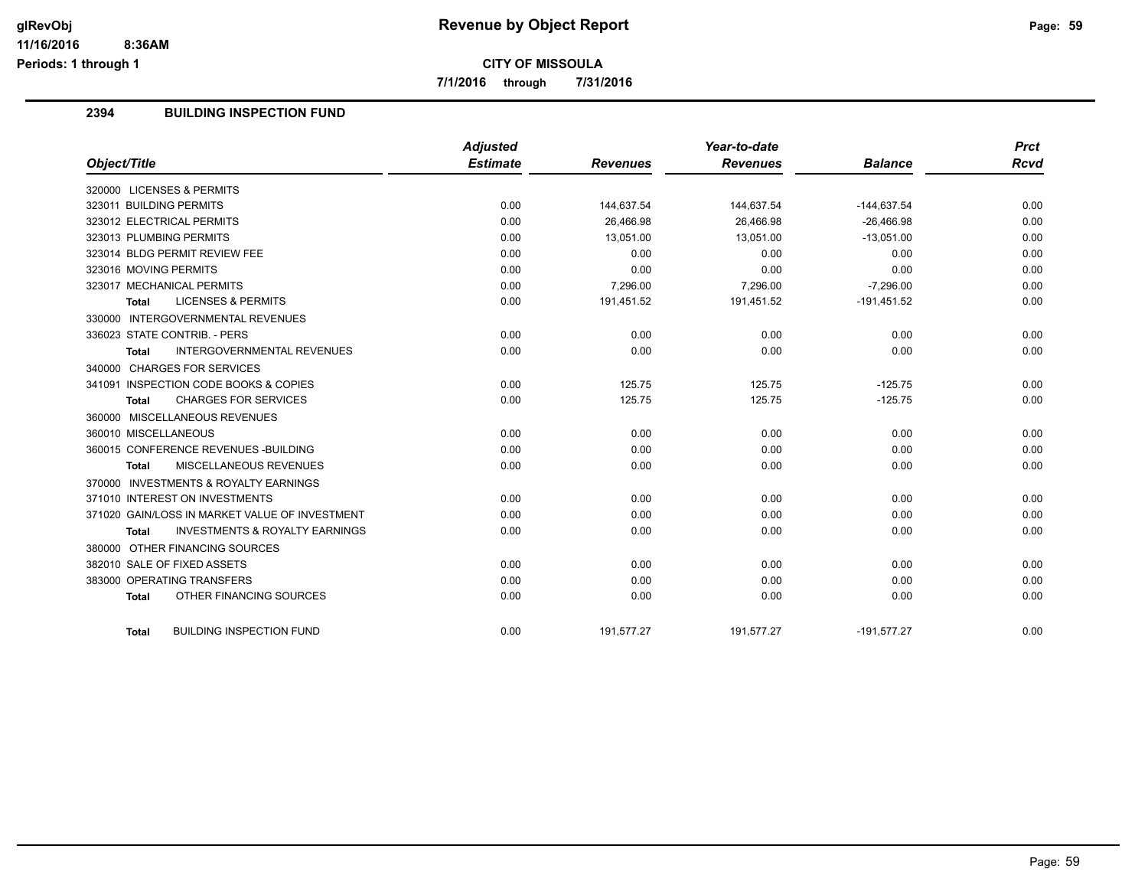**CITY OF MISSOULA**

**7/1/2016 through 7/31/2016**

#### **2394 BUILDING INSPECTION FUND**

|                                                           | <b>Adjusted</b> |                 | Year-to-date    |                | <b>Prct</b> |
|-----------------------------------------------------------|-----------------|-----------------|-----------------|----------------|-------------|
| Object/Title                                              | <b>Estimate</b> | <b>Revenues</b> | <b>Revenues</b> | <b>Balance</b> | <b>Rcvd</b> |
| 320000 LICENSES & PERMITS                                 |                 |                 |                 |                |             |
| 323011 BUILDING PERMITS                                   | 0.00            | 144,637.54      | 144,637.54      | $-144,637.54$  | 0.00        |
| 323012 ELECTRICAL PERMITS                                 | 0.00            | 26,466.98       | 26,466.98       | $-26,466.98$   | 0.00        |
| 323013 PLUMBING PERMITS                                   | 0.00            | 13,051.00       | 13,051.00       | $-13,051.00$   | 0.00        |
| 323014 BLDG PERMIT REVIEW FEE                             | 0.00            | 0.00            | 0.00            | 0.00           | 0.00        |
| 323016 MOVING PERMITS                                     | 0.00            | 0.00            | 0.00            | 0.00           | 0.00        |
| 323017 MECHANICAL PERMITS                                 | 0.00            | 7,296.00        | 7,296.00        | $-7,296.00$    | 0.00        |
| <b>LICENSES &amp; PERMITS</b><br><b>Total</b>             | 0.00            | 191,451.52      | 191,451.52      | $-191,451.52$  | 0.00        |
| 330000 INTERGOVERNMENTAL REVENUES                         |                 |                 |                 |                |             |
| 336023 STATE CONTRIB. - PERS                              | 0.00            | 0.00            | 0.00            | 0.00           | 0.00        |
| <b>INTERGOVERNMENTAL REVENUES</b><br><b>Total</b>         | 0.00            | 0.00            | 0.00            | 0.00           | 0.00        |
| 340000 CHARGES FOR SERVICES                               |                 |                 |                 |                |             |
| 341091 INSPECTION CODE BOOKS & COPIES                     | 0.00            | 125.75          | 125.75          | $-125.75$      | 0.00        |
| <b>CHARGES FOR SERVICES</b><br>Total                      | 0.00            | 125.75          | 125.75          | $-125.75$      | 0.00        |
| 360000 MISCELLANEOUS REVENUES                             |                 |                 |                 |                |             |
| 360010 MISCELLANEOUS                                      | 0.00            | 0.00            | 0.00            | 0.00           | 0.00        |
| 360015 CONFERENCE REVENUES - BUILDING                     | 0.00            | 0.00            | 0.00            | 0.00           | 0.00        |
| <b>MISCELLANEOUS REVENUES</b><br><b>Total</b>             | 0.00            | 0.00            | 0.00            | 0.00           | 0.00        |
| 370000 INVESTMENTS & ROYALTY EARNINGS                     |                 |                 |                 |                |             |
| 371010 INTEREST ON INVESTMENTS                            | 0.00            | 0.00            | 0.00            | 0.00           | 0.00        |
| 371020 GAIN/LOSS IN MARKET VALUE OF INVESTMENT            | 0.00            | 0.00            | 0.00            | 0.00           | 0.00        |
| <b>INVESTMENTS &amp; ROYALTY EARNINGS</b><br><b>Total</b> | 0.00            | 0.00            | 0.00            | 0.00           | 0.00        |
| 380000 OTHER FINANCING SOURCES                            |                 |                 |                 |                |             |
| 382010 SALE OF FIXED ASSETS                               | 0.00            | 0.00            | 0.00            | 0.00           | 0.00        |
| 383000 OPERATING TRANSFERS                                | 0.00            | 0.00            | 0.00            | 0.00           | 0.00        |
| OTHER FINANCING SOURCES<br><b>Total</b>                   | 0.00            | 0.00            | 0.00            | 0.00           | 0.00        |
| <b>BUILDING INSPECTION FUND</b><br><b>Total</b>           | 0.00            | 191,577.27      | 191,577.27      | $-191,577.27$  | 0.00        |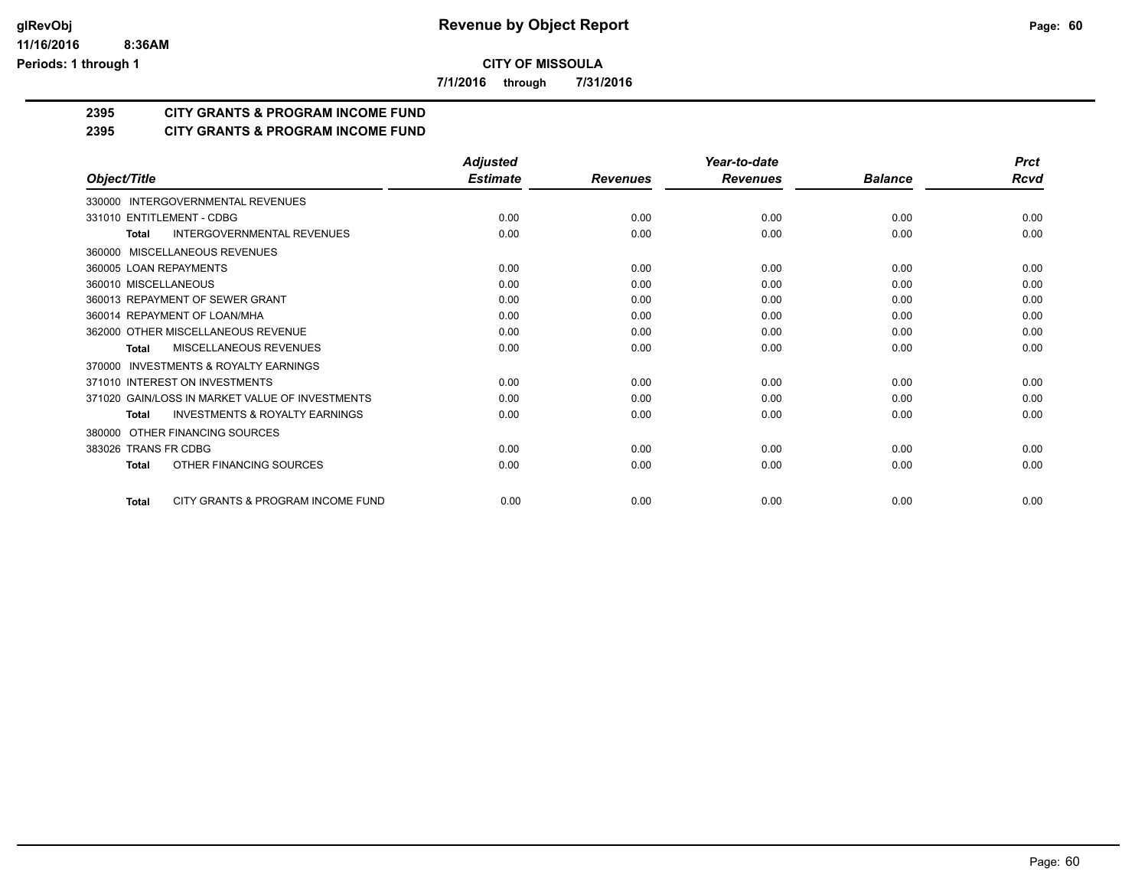**CITY OF MISSOULA**

**7/1/2016 through 7/31/2016**

# **2395 CITY GRANTS & PROGRAM INCOME FUND**

### **2395 CITY GRANTS & PROGRAM INCOME FUND**

|                                                           | <b>Adjusted</b> |                 | Year-to-date    |                | <b>Prct</b> |
|-----------------------------------------------------------|-----------------|-----------------|-----------------|----------------|-------------|
| Object/Title                                              | <b>Estimate</b> | <b>Revenues</b> | <b>Revenues</b> | <b>Balance</b> | Rcvd        |
| 330000 INTERGOVERNMENTAL REVENUES                         |                 |                 |                 |                |             |
| 331010 ENTITLEMENT - CDBG                                 | 0.00            | 0.00            | 0.00            | 0.00           | 0.00        |
| <b>INTERGOVERNMENTAL REVENUES</b><br><b>Total</b>         | 0.00            | 0.00            | 0.00            | 0.00           | 0.00        |
| 360000 MISCELLANEOUS REVENUES                             |                 |                 |                 |                |             |
| 360005 LOAN REPAYMENTS                                    | 0.00            | 0.00            | 0.00            | 0.00           | 0.00        |
| 360010 MISCELLANEOUS                                      | 0.00            | 0.00            | 0.00            | 0.00           | 0.00        |
| 360013 REPAYMENT OF SEWER GRANT                           | 0.00            | 0.00            | 0.00            | 0.00           | 0.00        |
| 360014 REPAYMENT OF LOAN/MHA                              | 0.00            | 0.00            | 0.00            | 0.00           | 0.00        |
| 362000 OTHER MISCELLANEOUS REVENUE                        | 0.00            | 0.00            | 0.00            | 0.00           | 0.00        |
| MISCELLANEOUS REVENUES<br><b>Total</b>                    | 0.00            | 0.00            | 0.00            | 0.00           | 0.00        |
| <b>INVESTMENTS &amp; ROYALTY EARNINGS</b><br>370000       |                 |                 |                 |                |             |
| 371010 INTEREST ON INVESTMENTS                            | 0.00            | 0.00            | 0.00            | 0.00           | 0.00        |
| 371020 GAIN/LOSS IN MARKET VALUE OF INVESTMENTS           | 0.00            | 0.00            | 0.00            | 0.00           | 0.00        |
| <b>INVESTMENTS &amp; ROYALTY EARNINGS</b><br><b>Total</b> | 0.00            | 0.00            | 0.00            | 0.00           | 0.00        |
| OTHER FINANCING SOURCES<br>380000                         |                 |                 |                 |                |             |
| 383026 TRANS FR CDBG                                      | 0.00            | 0.00            | 0.00            | 0.00           | 0.00        |
| OTHER FINANCING SOURCES<br><b>Total</b>                   | 0.00            | 0.00            | 0.00            | 0.00           | 0.00        |
| CITY GRANTS & PROGRAM INCOME FUND<br><b>Total</b>         | 0.00            | 0.00            | 0.00            | 0.00           | 0.00        |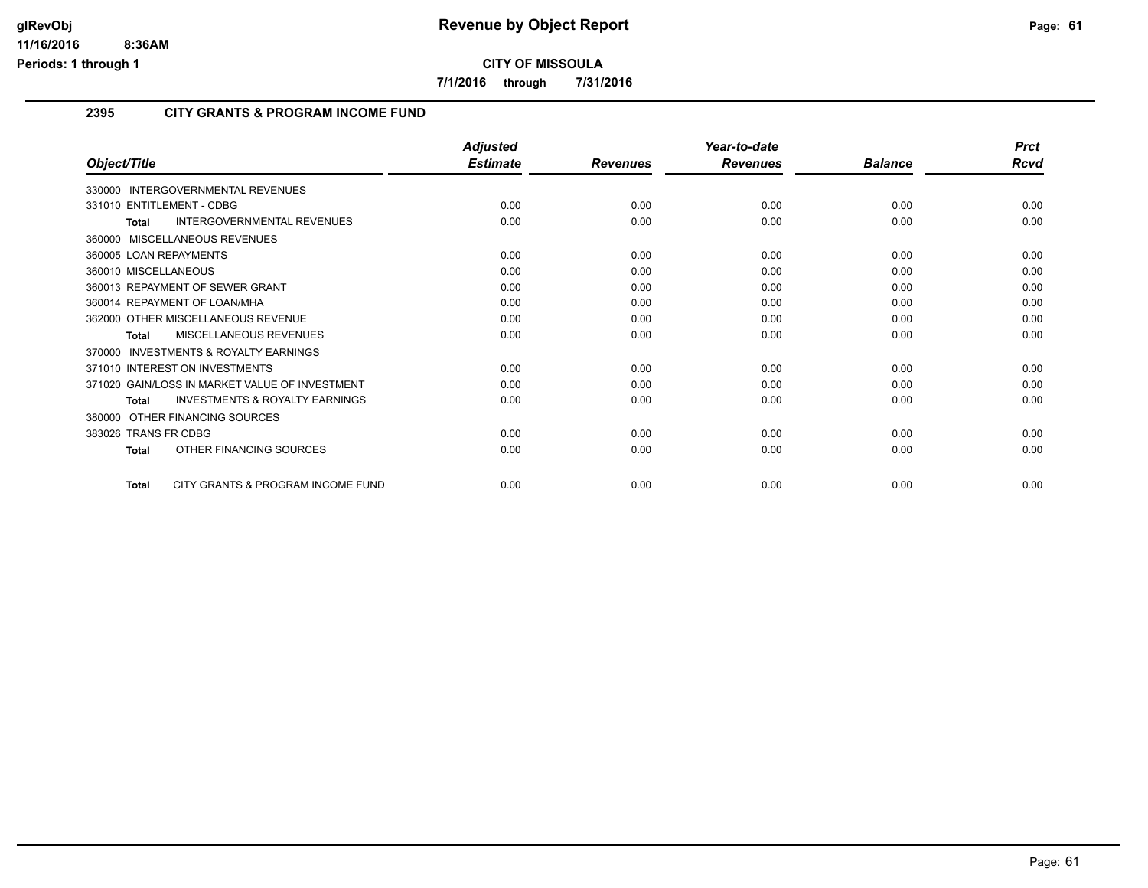**CITY OF MISSOULA**

**7/1/2016 through 7/31/2016**

#### **2395 CITY GRANTS & PROGRAM INCOME FUND**

|                                                           | <b>Adjusted</b> |                 | Year-to-date    |                | <b>Prct</b> |
|-----------------------------------------------------------|-----------------|-----------------|-----------------|----------------|-------------|
| Object/Title                                              | <b>Estimate</b> | <b>Revenues</b> | <b>Revenues</b> | <b>Balance</b> | Rcvd        |
| 330000 INTERGOVERNMENTAL REVENUES                         |                 |                 |                 |                |             |
| 331010 ENTITLEMENT - CDBG                                 | 0.00            | 0.00            | 0.00            | 0.00           | 0.00        |
| INTERGOVERNMENTAL REVENUES<br><b>Total</b>                | 0.00            | 0.00            | 0.00            | 0.00           | 0.00        |
| 360000 MISCELLANEOUS REVENUES                             |                 |                 |                 |                |             |
| 360005 LOAN REPAYMENTS                                    | 0.00            | 0.00            | 0.00            | 0.00           | 0.00        |
| 360010 MISCELLANEOUS                                      | 0.00            | 0.00            | 0.00            | 0.00           | 0.00        |
| 360013 REPAYMENT OF SEWER GRANT                           | 0.00            | 0.00            | 0.00            | 0.00           | 0.00        |
| 360014 REPAYMENT OF LOAN/MHA                              | 0.00            | 0.00            | 0.00            | 0.00           | 0.00        |
| 362000 OTHER MISCELLANEOUS REVENUE                        | 0.00            | 0.00            | 0.00            | 0.00           | 0.00        |
| MISCELLANEOUS REVENUES<br><b>Total</b>                    | 0.00            | 0.00            | 0.00            | 0.00           | 0.00        |
| <b>INVESTMENTS &amp; ROYALTY EARNINGS</b><br>370000       |                 |                 |                 |                |             |
| 371010 INTEREST ON INVESTMENTS                            | 0.00            | 0.00            | 0.00            | 0.00           | 0.00        |
| 371020 GAIN/LOSS IN MARKET VALUE OF INVESTMENT            | 0.00            | 0.00            | 0.00            | 0.00           | 0.00        |
| <b>INVESTMENTS &amp; ROYALTY EARNINGS</b><br><b>Total</b> | 0.00            | 0.00            | 0.00            | 0.00           | 0.00        |
| OTHER FINANCING SOURCES<br>380000                         |                 |                 |                 |                |             |
| 383026 TRANS FR CDBG                                      | 0.00            | 0.00            | 0.00            | 0.00           | 0.00        |
| OTHER FINANCING SOURCES<br><b>Total</b>                   | 0.00            | 0.00            | 0.00            | 0.00           | 0.00        |
| CITY GRANTS & PROGRAM INCOME FUND<br><b>Total</b>         | 0.00            | 0.00            | 0.00            | 0.00           | 0.00        |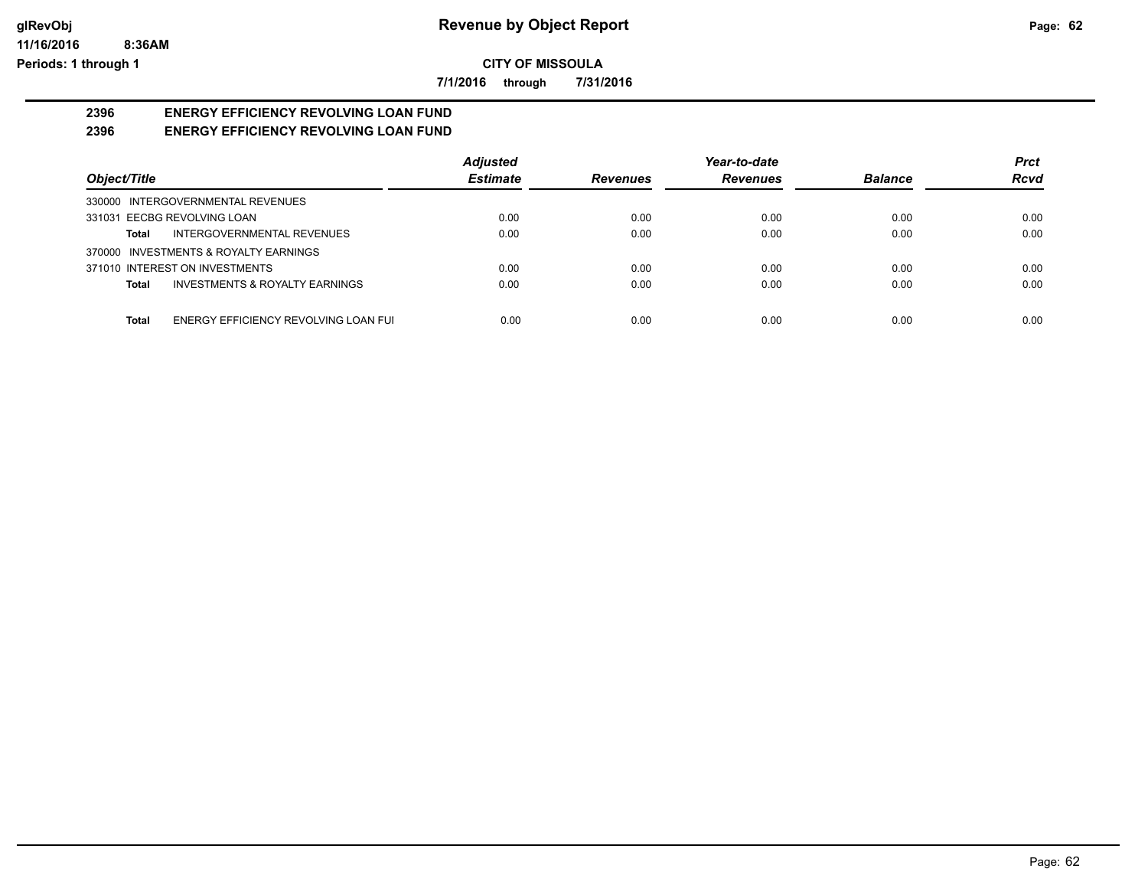**CITY OF MISSOULA**

**7/1/2016 through 7/31/2016**

#### **2396 ENERGY EFFICIENCY REVOLVING LOAN FUND 2396 ENERGY EFFICIENCY REVOLVING LOAN FUND**

|                                                      | <b>Adjusted</b> |                 | Year-to-date    |                | <b>Prct</b> |
|------------------------------------------------------|-----------------|-----------------|-----------------|----------------|-------------|
| Object/Title                                         | <b>Estimate</b> | <b>Revenues</b> | <b>Revenues</b> | <b>Balance</b> | <b>Rcvd</b> |
| 330000 INTERGOVERNMENTAL REVENUES                    |                 |                 |                 |                |             |
| 331031 EECBG REVOLVING LOAN                          | 0.00            | 0.00            | 0.00            | 0.00           | 0.00        |
| INTERGOVERNMENTAL REVENUES<br>Total                  | 0.00            | 0.00            | 0.00            | 0.00           | 0.00        |
| 370000 INVESTMENTS & ROYALTY EARNINGS                |                 |                 |                 |                |             |
| 371010 INTEREST ON INVESTMENTS                       | 0.00            | 0.00            | 0.00            | 0.00           | 0.00        |
| INVESTMENTS & ROYALTY EARNINGS<br>Total              | 0.00            | 0.00            | 0.00            | 0.00           | 0.00        |
|                                                      |                 |                 |                 |                |             |
| ENERGY EFFICIENCY REVOLVING LOAN FUI<br><b>Total</b> | 0.00            | 0.00            | 0.00            | 0.00           | 0.00        |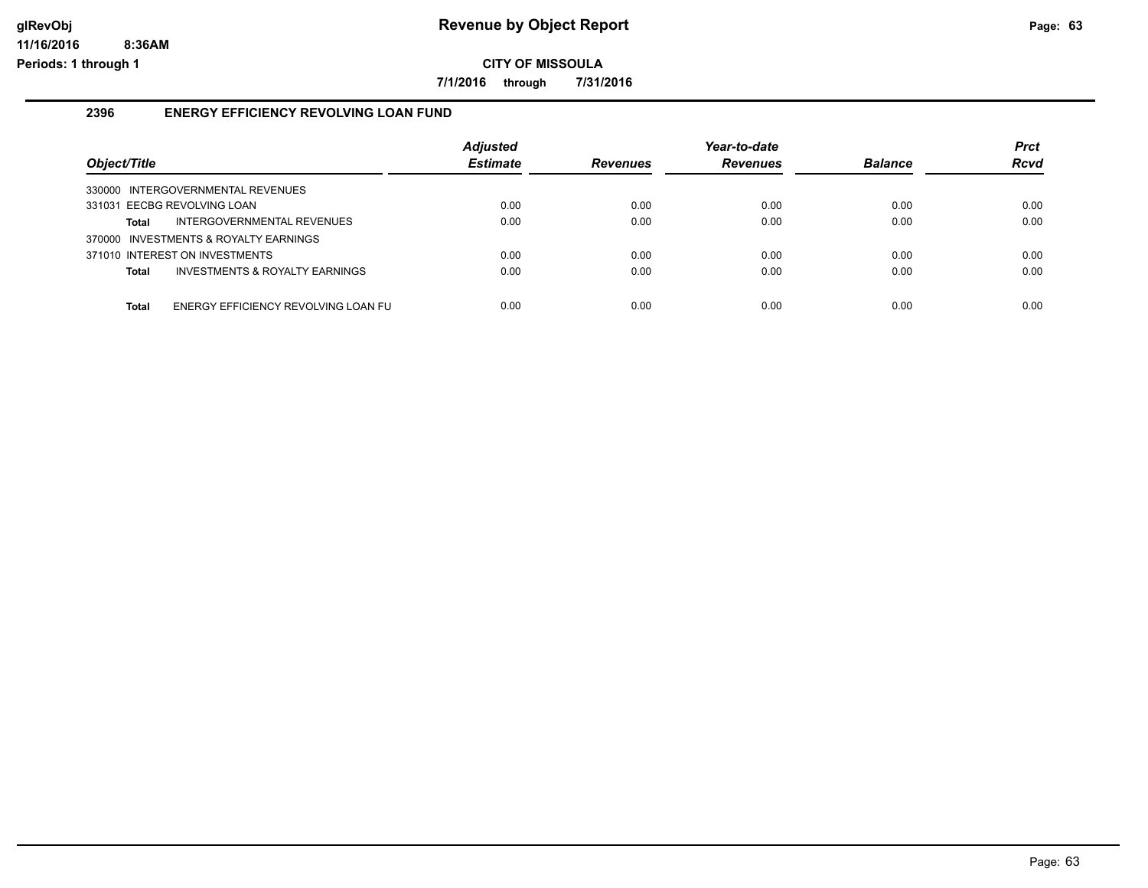**8:36AM**

**CITY OF MISSOULA**

**7/1/2016 through 7/31/2016**

#### **2396 ENERGY EFFICIENCY REVOLVING LOAN FUND**

| Object/Title                                              | <b>Adjusted</b><br><b>Estimate</b> | <b>Revenues</b> | Year-to-date<br><b>Revenues</b> | <b>Balance</b> | <b>Prct</b><br>Rcvd |
|-----------------------------------------------------------|------------------------------------|-----------------|---------------------------------|----------------|---------------------|
| 330000 INTERGOVERNMENTAL REVENUES                         |                                    |                 |                                 |                |                     |
| 331031 EECBG REVOLVING LOAN                               | 0.00                               | 0.00            | 0.00                            | 0.00           | 0.00                |
| INTERGOVERNMENTAL REVENUES<br>Total                       | 0.00                               | 0.00            | 0.00                            | 0.00           | 0.00                |
| 370000 INVESTMENTS & ROYALTY EARNINGS                     |                                    |                 |                                 |                |                     |
| 371010 INTEREST ON INVESTMENTS                            | 0.00                               | 0.00            | 0.00                            | 0.00           | 0.00                |
| <b>INVESTMENTS &amp; ROYALTY EARNINGS</b><br><b>Total</b> | 0.00                               | 0.00            | 0.00                            | 0.00           | 0.00                |
|                                                           |                                    |                 |                                 |                |                     |
| ENERGY EFFICIENCY REVOLVING LOAN FU<br>Total              | 0.00                               | 0.00            | 0.00                            | 0.00           | 0.00                |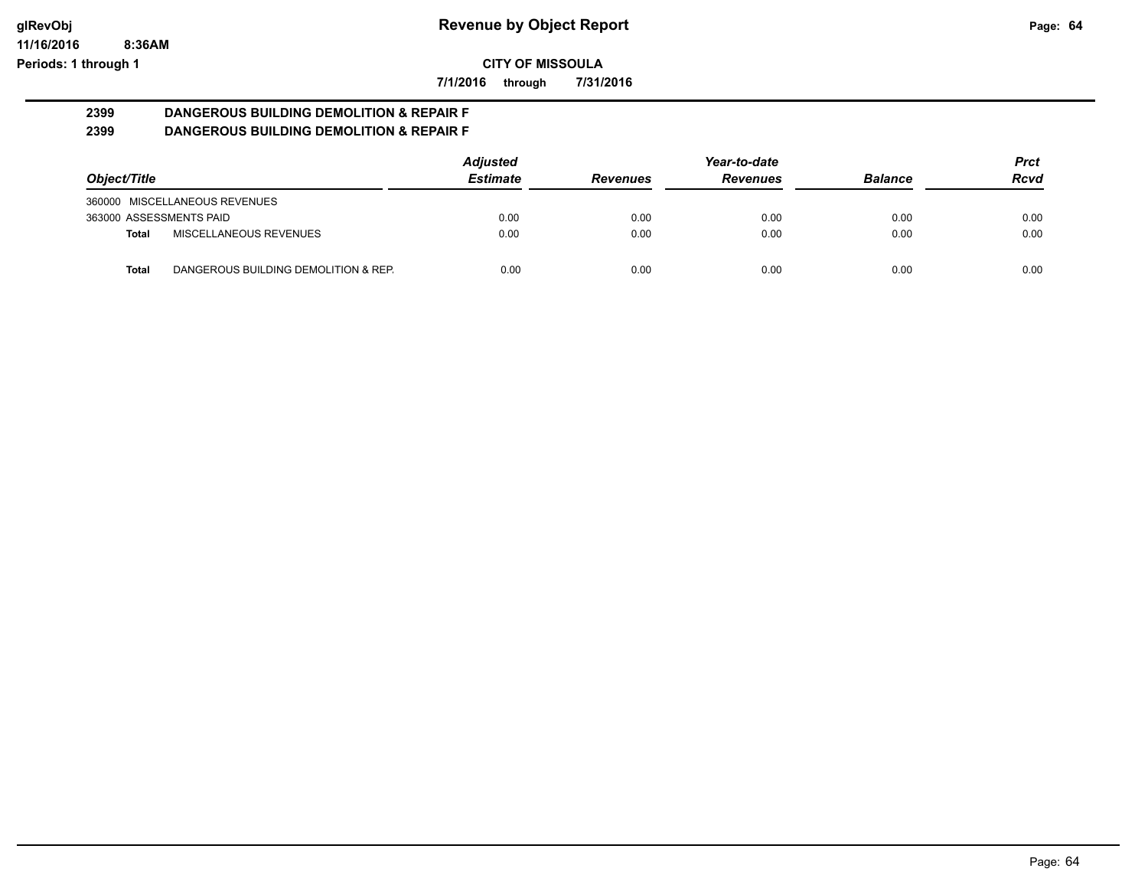**CITY OF MISSOULA**

**7/1/2016 through 7/31/2016**

#### **2399 DANGEROUS BUILDING DEMOLITION & REPAIR F 2399 DANGEROUS BUILDING DEMOLITION & REPAIR F**

|                         |                                      | <b>Adjusted</b> |                 | Year-to-date    |                | <b>Prct</b> |
|-------------------------|--------------------------------------|-----------------|-----------------|-----------------|----------------|-------------|
| Object/Title            |                                      | <b>Estimate</b> | <b>Revenues</b> | <b>Revenues</b> | <b>Balance</b> | <b>Rcvd</b> |
|                         | 360000 MISCELLANEOUS REVENUES        |                 |                 |                 |                |             |
| 363000 ASSESSMENTS PAID |                                      | 0.00            | 0.00            | 0.00            | 0.00           | 0.00        |
| <b>Total</b>            | <b>MISCELLANEOUS REVENUES</b>        | 0.00            | 0.00            | 0.00            | 0.00           | 0.00        |
| <b>Total</b>            | DANGEROUS BUILDING DEMOLITION & REP. | 0.00            | 0.00            | 0.00            | 0.00           | 0.00        |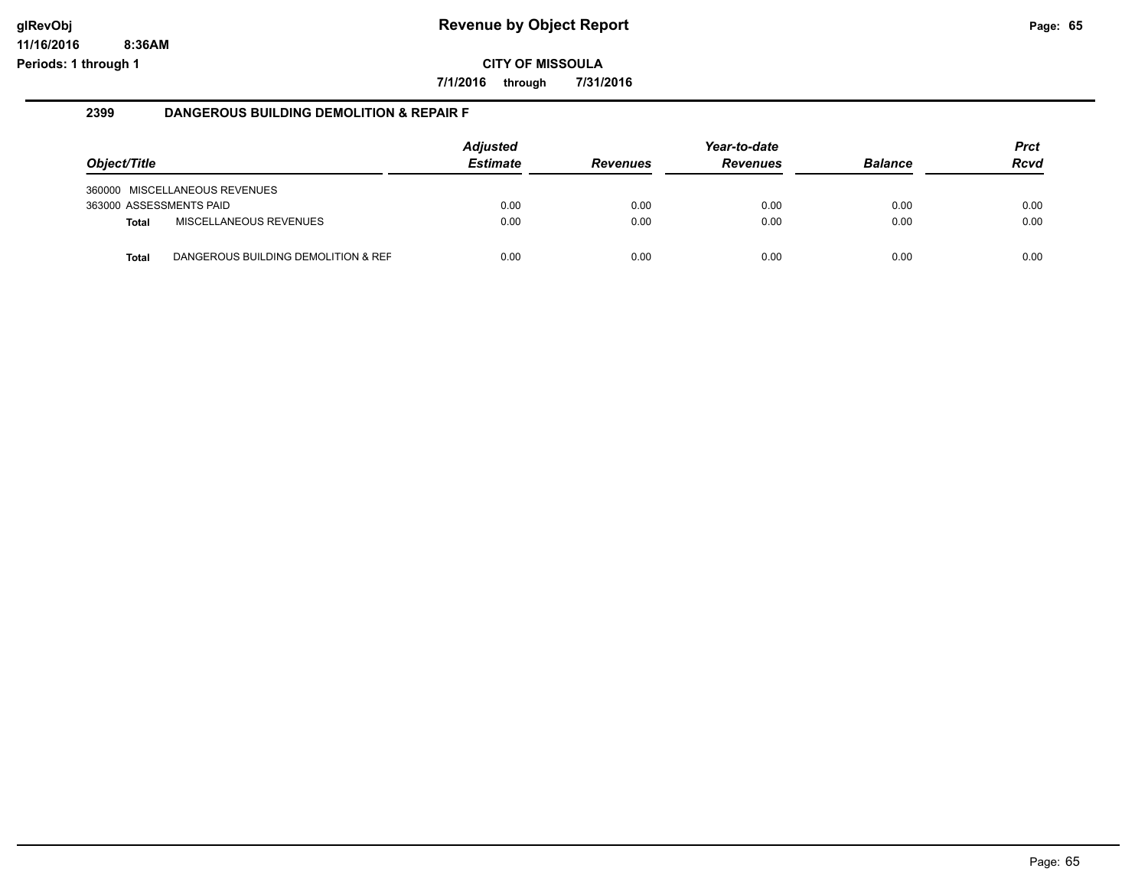**CITY OF MISSOULA**

**7/1/2016 through 7/31/2016**

#### **2399 DANGEROUS BUILDING DEMOLITION & REPAIR F**

| Object/Title            |                                     | <b>Adjusted</b><br><b>Estimate</b> | <b>Revenues</b> | Year-to-date<br><b>Revenues</b> | <b>Balance</b> | <b>Prct</b><br><b>Rcvd</b> |
|-------------------------|-------------------------------------|------------------------------------|-----------------|---------------------------------|----------------|----------------------------|
|                         | 360000 MISCELLANEOUS REVENUES       |                                    |                 |                                 |                |                            |
| 363000 ASSESSMENTS PAID |                                     | 0.00                               | 0.00            | 0.00                            | 0.00           | 0.00                       |
| Total                   | MISCELLANEOUS REVENUES              | 0.00                               | 0.00            | 0.00                            | 0.00           | 0.00                       |
| <b>Total</b>            | DANGEROUS BUILDING DEMOLITION & REF | 0.00                               | 0.00            | 0.00                            | 0.00           | 0.00                       |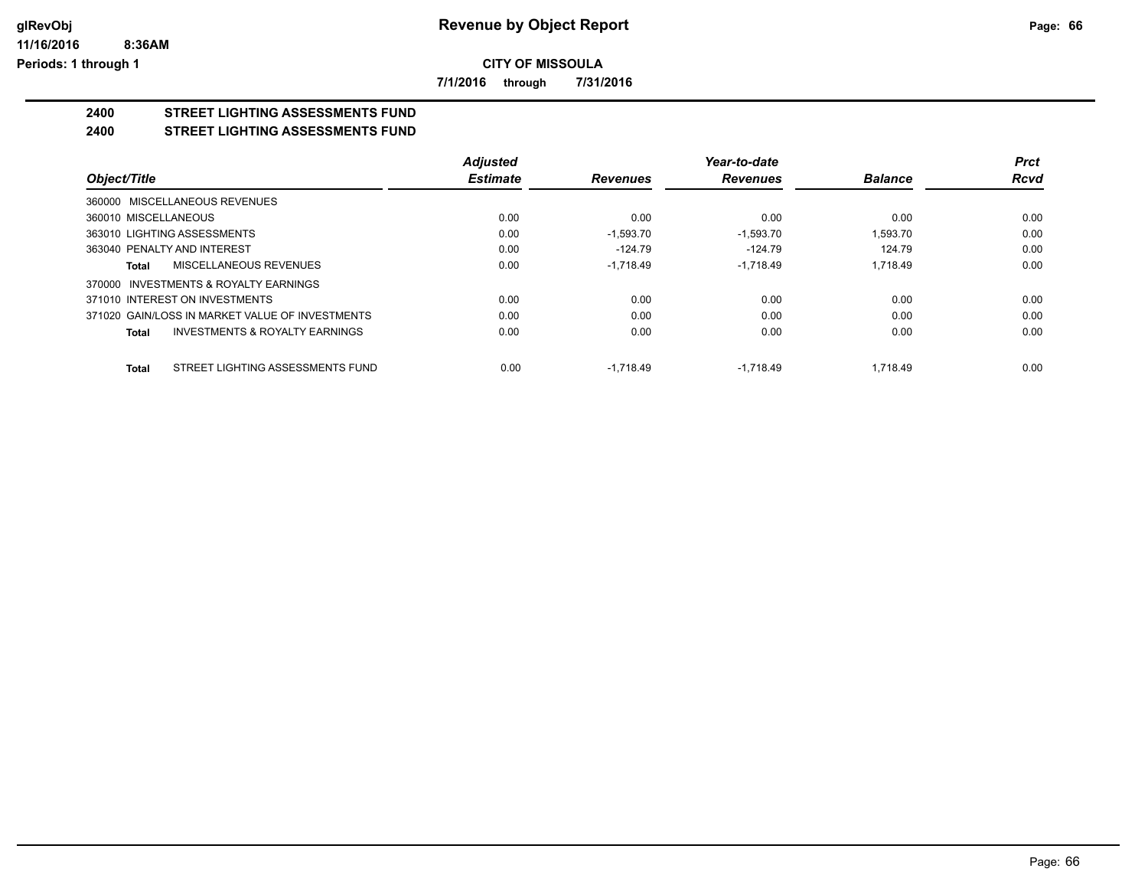**8:36AM**

**glRevObj Revenue by Object Report Page: 66** 

**CITY OF MISSOULA**

**7/1/2016 through 7/31/2016**

# **2400 STREET LIGHTING ASSESSMENTS FUND**

## **2400 STREET LIGHTING ASSESSMENTS FUND**

|                                                    | <b>Adiusted</b> |                 | Year-to-date    |                | <b>Prct</b> |
|----------------------------------------------------|-----------------|-----------------|-----------------|----------------|-------------|
| Object/Title                                       | <b>Estimate</b> | <b>Revenues</b> | <b>Revenues</b> | <b>Balance</b> | <b>Rcvd</b> |
| 360000 MISCELLANEOUS REVENUES                      |                 |                 |                 |                |             |
| 360010 MISCELLANEOUS                               | 0.00            | 0.00            | 0.00            | 0.00           | 0.00        |
| 363010 LIGHTING ASSESSMENTS                        | 0.00            | $-1.593.70$     | $-1,593.70$     | 1,593.70       | 0.00        |
| 363040 PENALTY AND INTEREST                        | 0.00            | $-124.79$       | $-124.79$       | 124.79         | 0.00        |
| MISCELLANEOUS REVENUES<br>Total                    | 0.00            | $-1.718.49$     | $-1.718.49$     | 1,718.49       | 0.00        |
| 370000 INVESTMENTS & ROYALTY EARNINGS              |                 |                 |                 |                |             |
| 371010 INTEREST ON INVESTMENTS                     | 0.00            | 0.00            | 0.00            | 0.00           | 0.00        |
| 371020 GAIN/LOSS IN MARKET VALUE OF INVESTMENTS    | 0.00            | 0.00            | 0.00            | 0.00           | 0.00        |
| <b>INVESTMENTS &amp; ROYALTY EARNINGS</b><br>Total | 0.00            | 0.00            | 0.00            | 0.00           | 0.00        |
| STREET LIGHTING ASSESSMENTS FUND<br>Total          | 0.00            | $-1.718.49$     | $-1.718.49$     | 1.718.49       | 0.00        |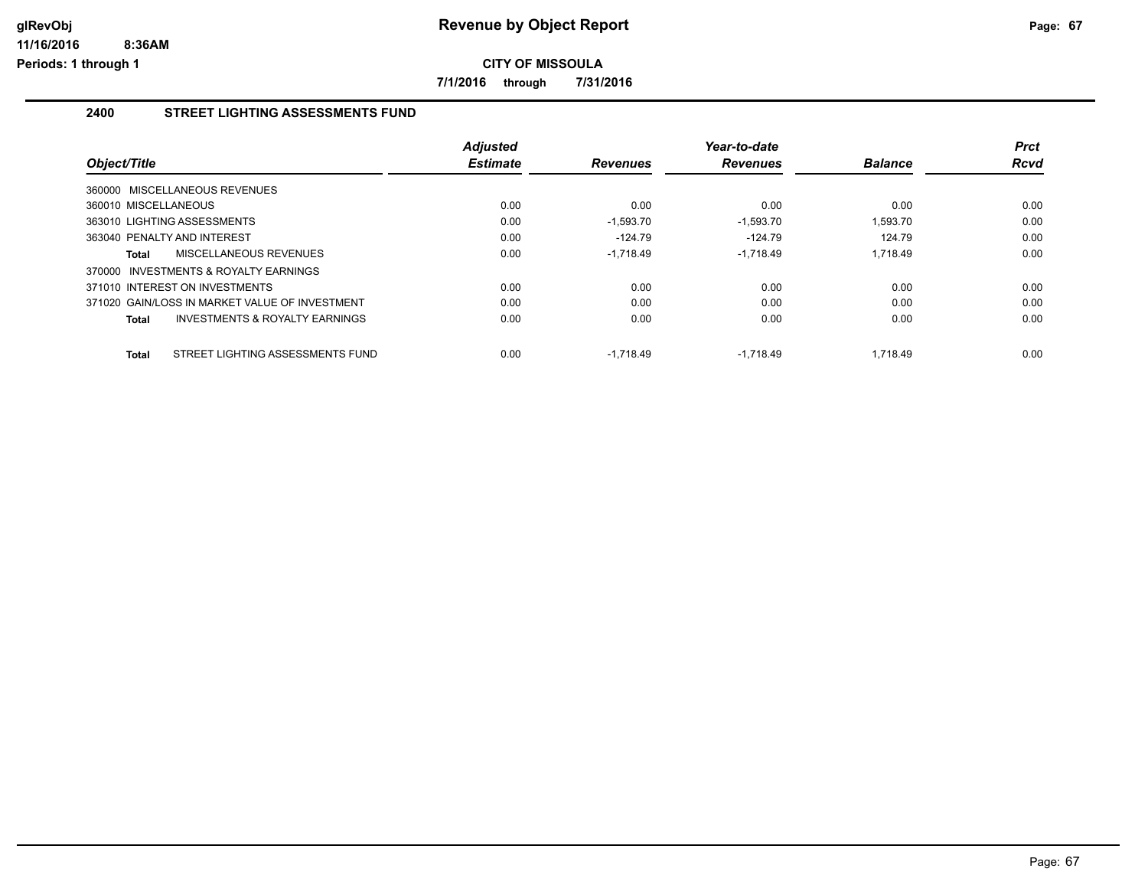**8:36AM**

**CITY OF MISSOULA**

**7/1/2016 through 7/31/2016**

#### **2400 STREET LIGHTING ASSESSMENTS FUND**

| Object/Title                                       | <b>Adjusted</b><br><b>Estimate</b> | <b>Revenues</b> | Year-to-date<br><b>Revenues</b> | <b>Balance</b> | <b>Prct</b><br>Rcvd |
|----------------------------------------------------|------------------------------------|-----------------|---------------------------------|----------------|---------------------|
| 360000 MISCELLANEOUS REVENUES                      |                                    |                 |                                 |                |                     |
| 360010 MISCELLANEOUS                               | 0.00                               | 0.00            | 0.00                            | 0.00           | 0.00                |
| 363010 LIGHTING ASSESSMENTS                        | 0.00                               | $-1.593.70$     | $-1.593.70$                     | 1.593.70       | 0.00                |
| 363040 PENALTY AND INTEREST                        | 0.00                               | $-124.79$       | $-124.79$                       | 124.79         | 0.00                |
| MISCELLANEOUS REVENUES<br>Total                    | 0.00                               | $-1.718.49$     | $-1.718.49$                     | 1.718.49       | 0.00                |
| 370000 INVESTMENTS & ROYALTY EARNINGS              |                                    |                 |                                 |                |                     |
| 371010 INTEREST ON INVESTMENTS                     | 0.00                               | 0.00            | 0.00                            | 0.00           | 0.00                |
| 371020 GAIN/LOSS IN MARKET VALUE OF INVESTMENT     | 0.00                               | 0.00            | 0.00                            | 0.00           | 0.00                |
| <b>INVESTMENTS &amp; ROYALTY EARNINGS</b><br>Total | 0.00                               | 0.00            | 0.00                            | 0.00           | 0.00                |
| STREET LIGHTING ASSESSMENTS FUND<br><b>Total</b>   | 0.00                               | $-1.718.49$     | $-1.718.49$                     | 1.718.49       | 0.00                |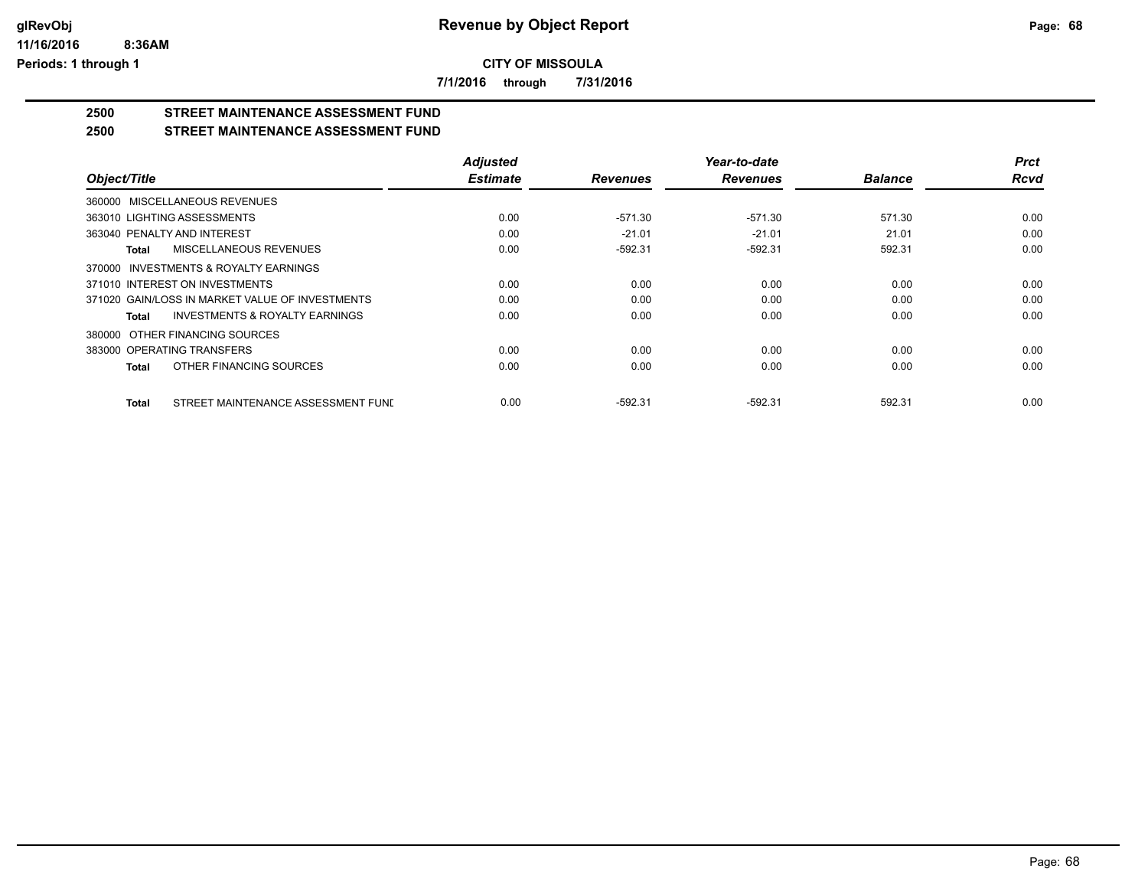**11/16/2016**

**Periods: 1 through 1**

 **8:36AM**

**CITY OF MISSOULA**

**7/1/2016 through 7/31/2016**

## **2500 STREET MAINTENANCE ASSESSMENT FUND**

### **2500 STREET MAINTENANCE ASSESSMENT FUND**

|                                                 | <b>Adjusted</b> |                 | Year-to-date    |                | <b>Prct</b> |
|-------------------------------------------------|-----------------|-----------------|-----------------|----------------|-------------|
| Object/Title                                    | <b>Estimate</b> | <b>Revenues</b> | <b>Revenues</b> | <b>Balance</b> | Rcvd        |
| 360000 MISCELLANEOUS REVENUES                   |                 |                 |                 |                |             |
| 363010 LIGHTING ASSESSMENTS                     | 0.00            | $-571.30$       | $-571.30$       | 571.30         | 0.00        |
| 363040 PENALTY AND INTEREST                     | 0.00            | $-21.01$        | $-21.01$        | 21.01          | 0.00        |
| MISCELLANEOUS REVENUES<br>Total                 | 0.00            | $-592.31$       | $-592.31$       | 592.31         | 0.00        |
| 370000 INVESTMENTS & ROYALTY EARNINGS           |                 |                 |                 |                |             |
| 371010 INTEREST ON INVESTMENTS                  | 0.00            | 0.00            | 0.00            | 0.00           | 0.00        |
| 371020 GAIN/LOSS IN MARKET VALUE OF INVESTMENTS | 0.00            | 0.00            | 0.00            | 0.00           | 0.00        |
| INVESTMENTS & ROYALTY EARNINGS<br>Total         | 0.00            | 0.00            | 0.00            | 0.00           | 0.00        |
| 380000 OTHER FINANCING SOURCES                  |                 |                 |                 |                |             |
| 383000 OPERATING TRANSFERS                      | 0.00            | 0.00            | 0.00            | 0.00           | 0.00        |
| OTHER FINANCING SOURCES<br><b>Total</b>         | 0.00            | 0.00            | 0.00            | 0.00           | 0.00        |
| STREET MAINTENANCE ASSESSMENT FUND<br>Total     | 0.00            | $-592.31$       | $-592.31$       | 592.31         | 0.00        |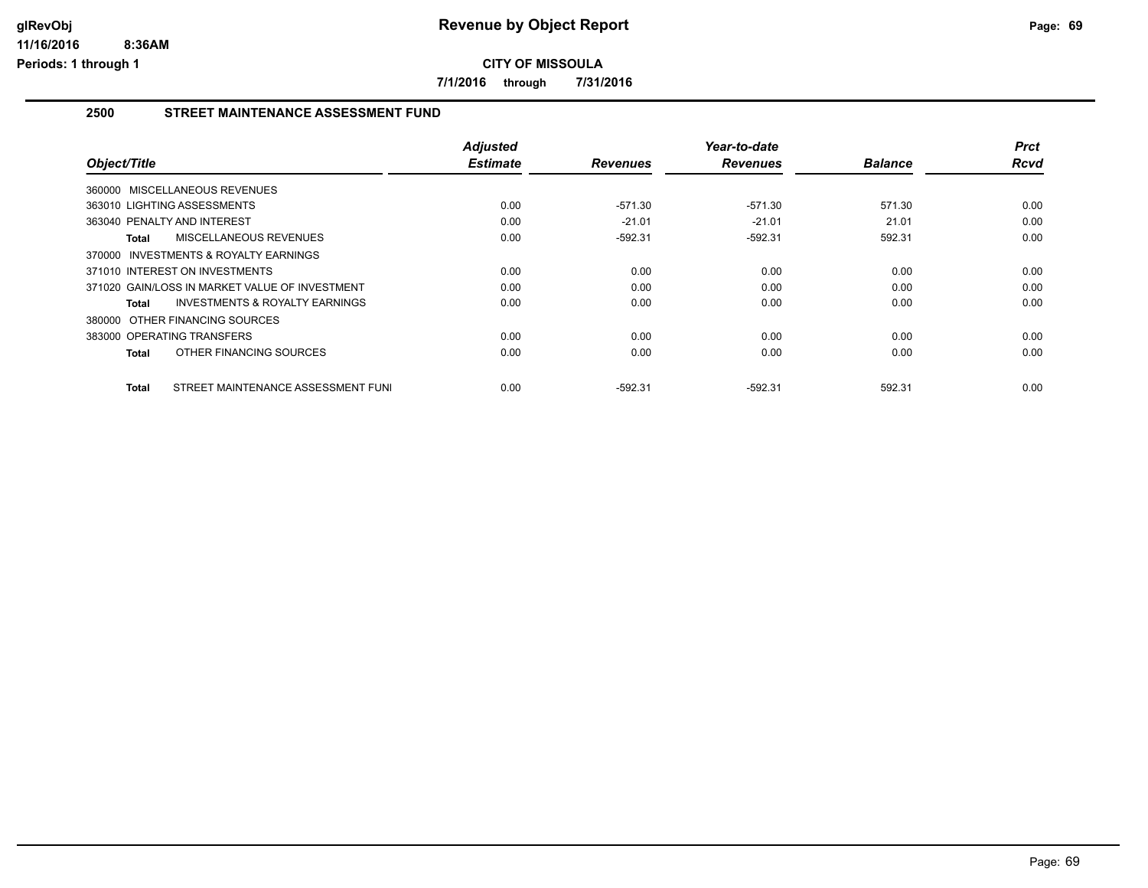**8:36AM**

**CITY OF MISSOULA**

**7/1/2016 through 7/31/2016**

#### **2500 STREET MAINTENANCE ASSESSMENT FUND**

| Object/Title                                       | <b>Adjusted</b><br><b>Estimate</b> | <b>Revenues</b> | Year-to-date<br><b>Revenues</b> | <b>Balance</b> | <b>Prct</b><br>Rcvd |
|----------------------------------------------------|------------------------------------|-----------------|---------------------------------|----------------|---------------------|
| 360000 MISCELLANEOUS REVENUES                      |                                    |                 |                                 |                |                     |
| 363010 LIGHTING ASSESSMENTS                        | 0.00                               | $-571.30$       | $-571.30$                       | 571.30         | 0.00                |
| 363040 PENALTY AND INTEREST                        | 0.00                               | $-21.01$        | $-21.01$                        | 21.01          | 0.00                |
| MISCELLANEOUS REVENUES<br>Total                    | 0.00                               | $-592.31$       | $-592.31$                       | 592.31         | 0.00                |
| 370000 INVESTMENTS & ROYALTY EARNINGS              |                                    |                 |                                 |                |                     |
| 371010 INTEREST ON INVESTMENTS                     | 0.00                               | 0.00            | 0.00                            | 0.00           | 0.00                |
| 371020 GAIN/LOSS IN MARKET VALUE OF INVESTMENT     | 0.00                               | 0.00            | 0.00                            | 0.00           | 0.00                |
| <b>INVESTMENTS &amp; ROYALTY EARNINGS</b><br>Total | 0.00                               | 0.00            | 0.00                            | 0.00           | 0.00                |
| 380000 OTHER FINANCING SOURCES                     |                                    |                 |                                 |                |                     |
| 383000 OPERATING TRANSFERS                         | 0.00                               | 0.00            | 0.00                            | 0.00           | 0.00                |
| OTHER FINANCING SOURCES<br>Total                   | 0.00                               | 0.00            | 0.00                            | 0.00           | 0.00                |
|                                                    |                                    |                 |                                 |                |                     |
| STREET MAINTENANCE ASSESSMENT FUNI<br>Total        | 0.00                               | $-592.31$       | $-592.31$                       | 592.31         | 0.00                |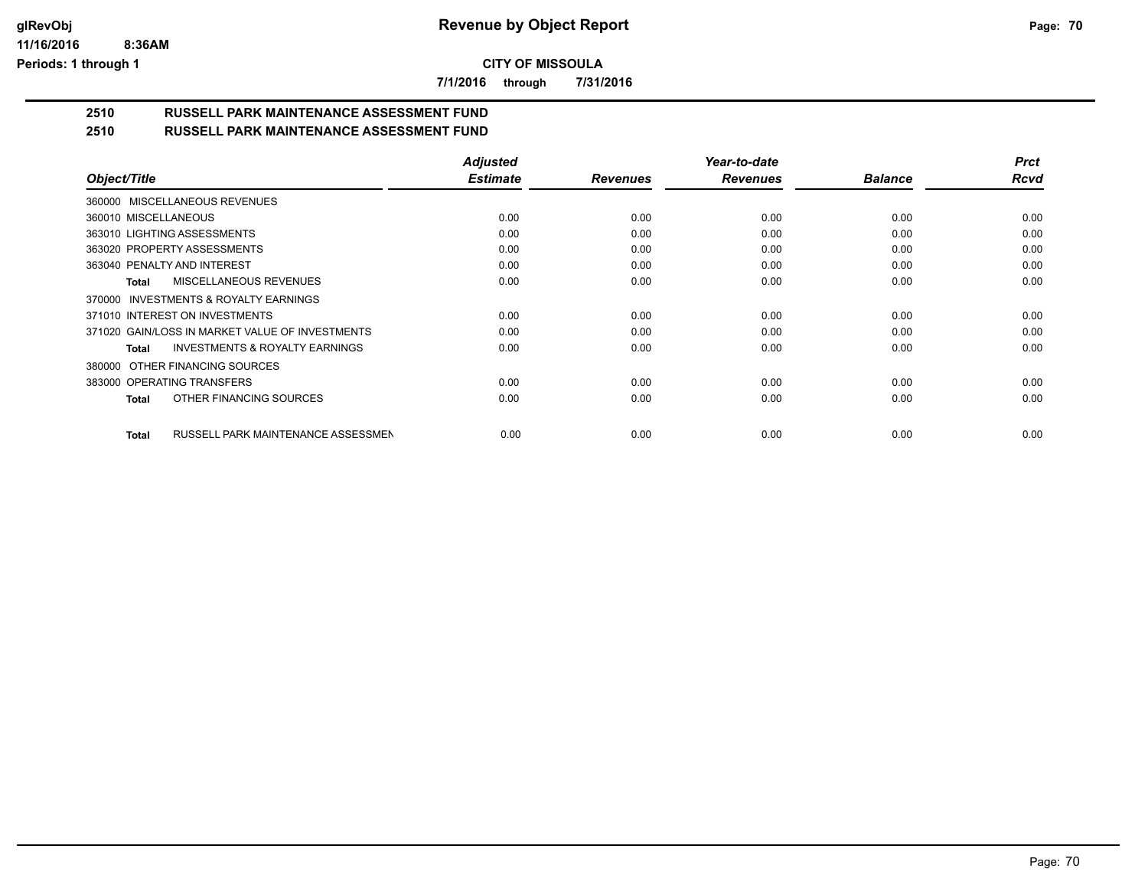**CITY OF MISSOULA**

**7/1/2016 through 7/31/2016**

# **2510 RUSSELL PARK MAINTENANCE ASSESSMENT FUND**

| 2510 | <b>RUSSELL PARK MAINTENANCE ASSESSMENT FUND</b> |
|------|-------------------------------------------------|
|------|-------------------------------------------------|

|                                                    | <b>Adjusted</b> |                 | Year-to-date    |                | <b>Prct</b> |
|----------------------------------------------------|-----------------|-----------------|-----------------|----------------|-------------|
| Object/Title                                       | <b>Estimate</b> | <b>Revenues</b> | <b>Revenues</b> | <b>Balance</b> | Rcvd        |
| 360000 MISCELLANEOUS REVENUES                      |                 |                 |                 |                |             |
| 360010 MISCELLANEOUS                               | 0.00            | 0.00            | 0.00            | 0.00           | 0.00        |
| 363010 LIGHTING ASSESSMENTS                        | 0.00            | 0.00            | 0.00            | 0.00           | 0.00        |
| 363020 PROPERTY ASSESSMENTS                        | 0.00            | 0.00            | 0.00            | 0.00           | 0.00        |
| 363040 PENALTY AND INTEREST                        | 0.00            | 0.00            | 0.00            | 0.00           | 0.00        |
| MISCELLANEOUS REVENUES<br>Total                    | 0.00            | 0.00            | 0.00            | 0.00           | 0.00        |
| 370000 INVESTMENTS & ROYALTY EARNINGS              |                 |                 |                 |                |             |
| 371010 INTEREST ON INVESTMENTS                     | 0.00            | 0.00            | 0.00            | 0.00           | 0.00        |
| 371020 GAIN/LOSS IN MARKET VALUE OF INVESTMENTS    | 0.00            | 0.00            | 0.00            | 0.00           | 0.00        |
| <b>INVESTMENTS &amp; ROYALTY EARNINGS</b><br>Total | 0.00            | 0.00            | 0.00            | 0.00           | 0.00        |
| 380000 OTHER FINANCING SOURCES                     |                 |                 |                 |                |             |
| 383000 OPERATING TRANSFERS                         | 0.00            | 0.00            | 0.00            | 0.00           | 0.00        |
| OTHER FINANCING SOURCES<br>Total                   | 0.00            | 0.00            | 0.00            | 0.00           | 0.00        |
|                                                    |                 |                 |                 |                |             |
| RUSSELL PARK MAINTENANCE ASSESSMEN<br><b>Total</b> | 0.00            | 0.00            | 0.00            | 0.00           | 0.00        |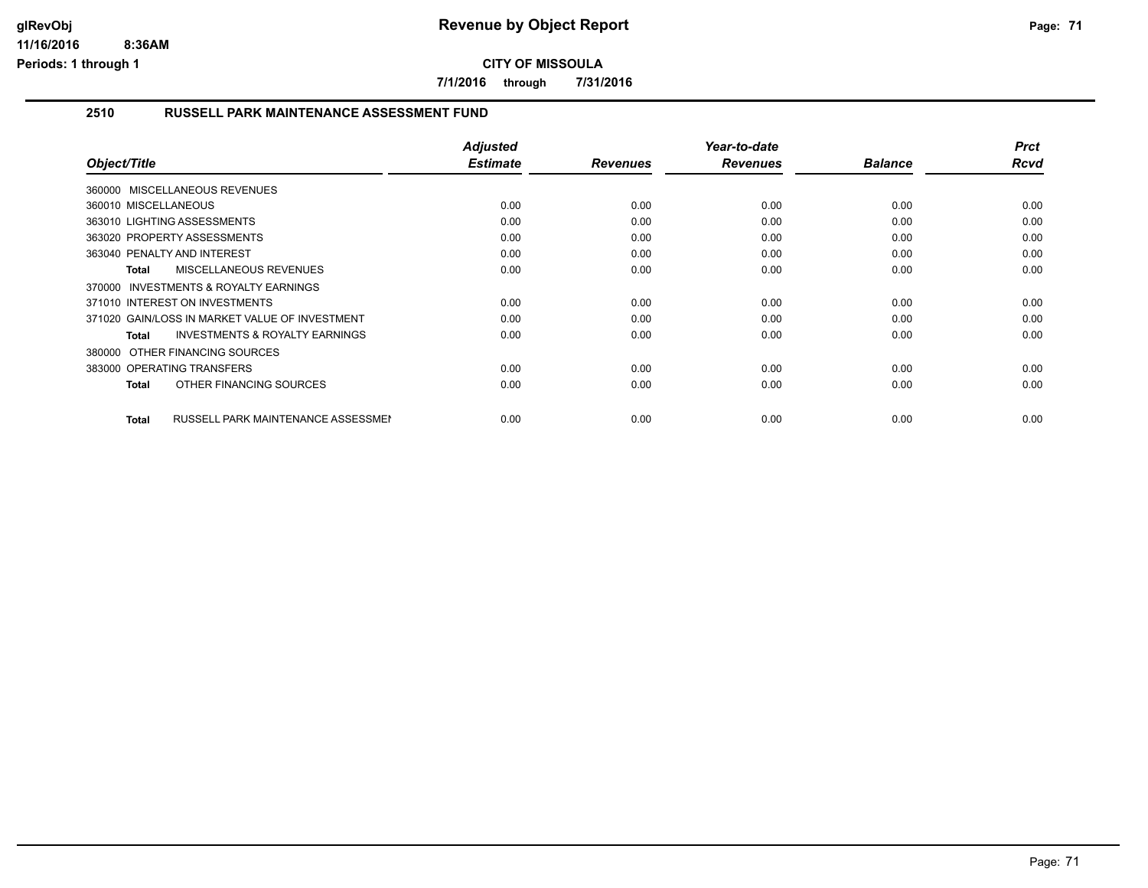**CITY OF MISSOULA**

**7/1/2016 through 7/31/2016**

#### **2510 RUSSELL PARK MAINTENANCE ASSESSMENT FUND**

| Object/Title                                              | <b>Adjusted</b><br><b>Estimate</b> | <b>Revenues</b> | Year-to-date<br><b>Revenues</b> | <b>Balance</b> | <b>Prct</b><br>Rcvd |
|-----------------------------------------------------------|------------------------------------|-----------------|---------------------------------|----------------|---------------------|
| 360000 MISCELLANEOUS REVENUES                             |                                    |                 |                                 |                |                     |
| 360010 MISCELLANEOUS                                      | 0.00                               | 0.00            | 0.00                            | 0.00           | 0.00                |
| 363010 LIGHTING ASSESSMENTS                               | 0.00                               | 0.00            | 0.00                            | 0.00           | 0.00                |
| 363020 PROPERTY ASSESSMENTS                               | 0.00                               | 0.00            | 0.00                            | 0.00           | 0.00                |
| 363040 PENALTY AND INTEREST                               | 0.00                               | 0.00            | 0.00                            | 0.00           | 0.00                |
| MISCELLANEOUS REVENUES<br><b>Total</b>                    | 0.00                               | 0.00            | 0.00                            | 0.00           | 0.00                |
| 370000 INVESTMENTS & ROYALTY EARNINGS                     |                                    |                 |                                 |                |                     |
| 371010 INTEREST ON INVESTMENTS                            | 0.00                               | 0.00            | 0.00                            | 0.00           | 0.00                |
| 371020 GAIN/LOSS IN MARKET VALUE OF INVESTMENT            | 0.00                               | 0.00            | 0.00                            | 0.00           | 0.00                |
| <b>INVESTMENTS &amp; ROYALTY EARNINGS</b><br><b>Total</b> | 0.00                               | 0.00            | 0.00                            | 0.00           | 0.00                |
| 380000 OTHER FINANCING SOURCES                            |                                    |                 |                                 |                |                     |
| 383000 OPERATING TRANSFERS                                | 0.00                               | 0.00            | 0.00                            | 0.00           | 0.00                |
| OTHER FINANCING SOURCES<br>Total                          | 0.00                               | 0.00            | 0.00                            | 0.00           | 0.00                |
|                                                           |                                    |                 |                                 |                |                     |
| <b>RUSSELL PARK MAINTENANCE ASSESSMEN</b><br>Total        | 0.00                               | 0.00            | 0.00                            | 0.00           | 0.00                |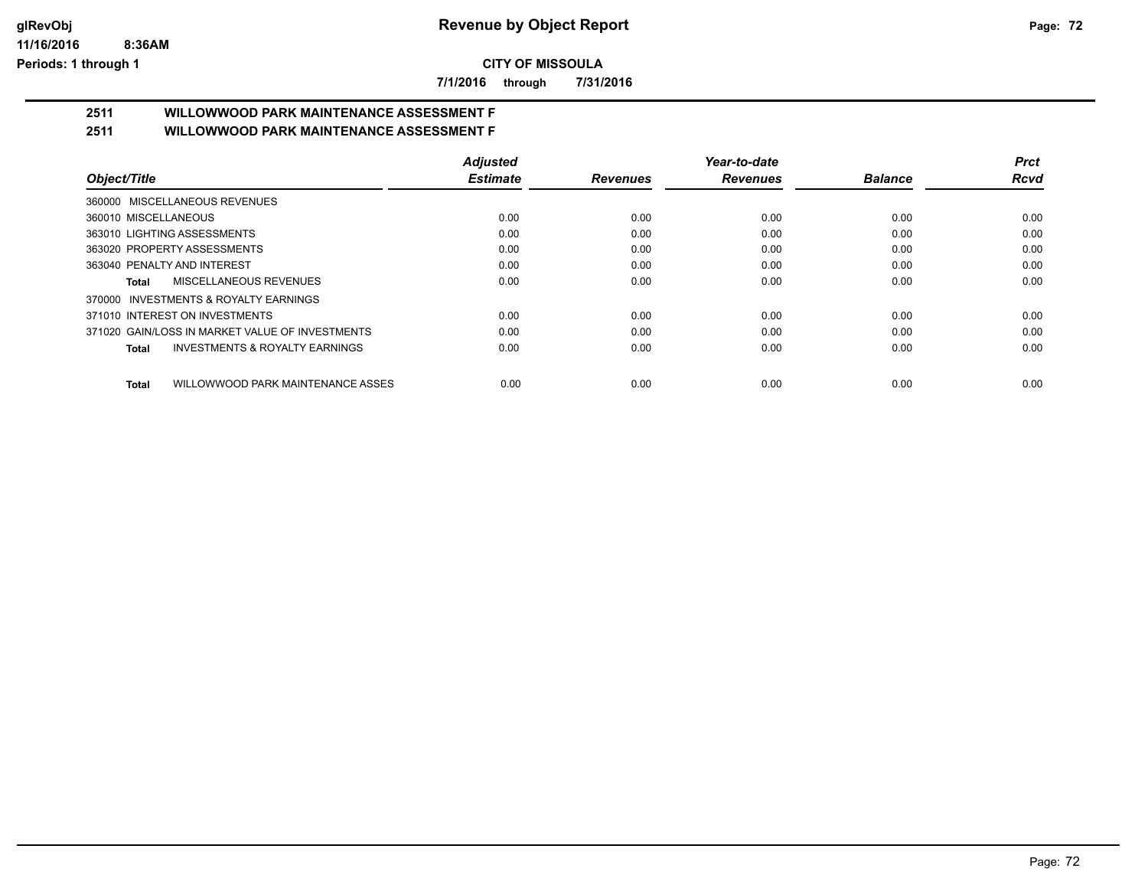**CITY OF MISSOULA**

**7/1/2016 through 7/31/2016**

# **2511 WILLOWWOOD PARK MAINTENANCE ASSESSMENT F**

| 2511 | <b>WILLOWWOOD PARK MAINTENANCE ASSESSMENT F</b> |
|------|-------------------------------------------------|
|      |                                                 |

|                                                 | <b>Adjusted</b> |                 | Year-to-date    |                | <b>Prct</b> |
|-------------------------------------------------|-----------------|-----------------|-----------------|----------------|-------------|
| Object/Title                                    | <b>Estimate</b> | <b>Revenues</b> | <b>Revenues</b> | <b>Balance</b> | Rcvd        |
| 360000 MISCELLANEOUS REVENUES                   |                 |                 |                 |                |             |
| 360010 MISCELLANEOUS                            | 0.00            | 0.00            | 0.00            | 0.00           | 0.00        |
| 363010 LIGHTING ASSESSMENTS                     | 0.00            | 0.00            | 0.00            | 0.00           | 0.00        |
| 363020 PROPERTY ASSESSMENTS                     | 0.00            | 0.00            | 0.00            | 0.00           | 0.00        |
| 363040 PENALTY AND INTEREST                     | 0.00            | 0.00            | 0.00            | 0.00           | 0.00        |
| MISCELLANEOUS REVENUES<br>Total                 | 0.00            | 0.00            | 0.00            | 0.00           | 0.00        |
| 370000 INVESTMENTS & ROYALTY EARNINGS           |                 |                 |                 |                |             |
| 371010 INTEREST ON INVESTMENTS                  | 0.00            | 0.00            | 0.00            | 0.00           | 0.00        |
| 371020 GAIN/LOSS IN MARKET VALUE OF INVESTMENTS | 0.00            | 0.00            | 0.00            | 0.00           | 0.00        |
| INVESTMENTS & ROYALTY EARNINGS<br><b>Total</b>  | 0.00            | 0.00            | 0.00            | 0.00           | 0.00        |
| WILLOWWOOD PARK MAINTENANCE ASSES<br>Total      | 0.00            | 0.00            | 0.00            | 0.00           | 0.00        |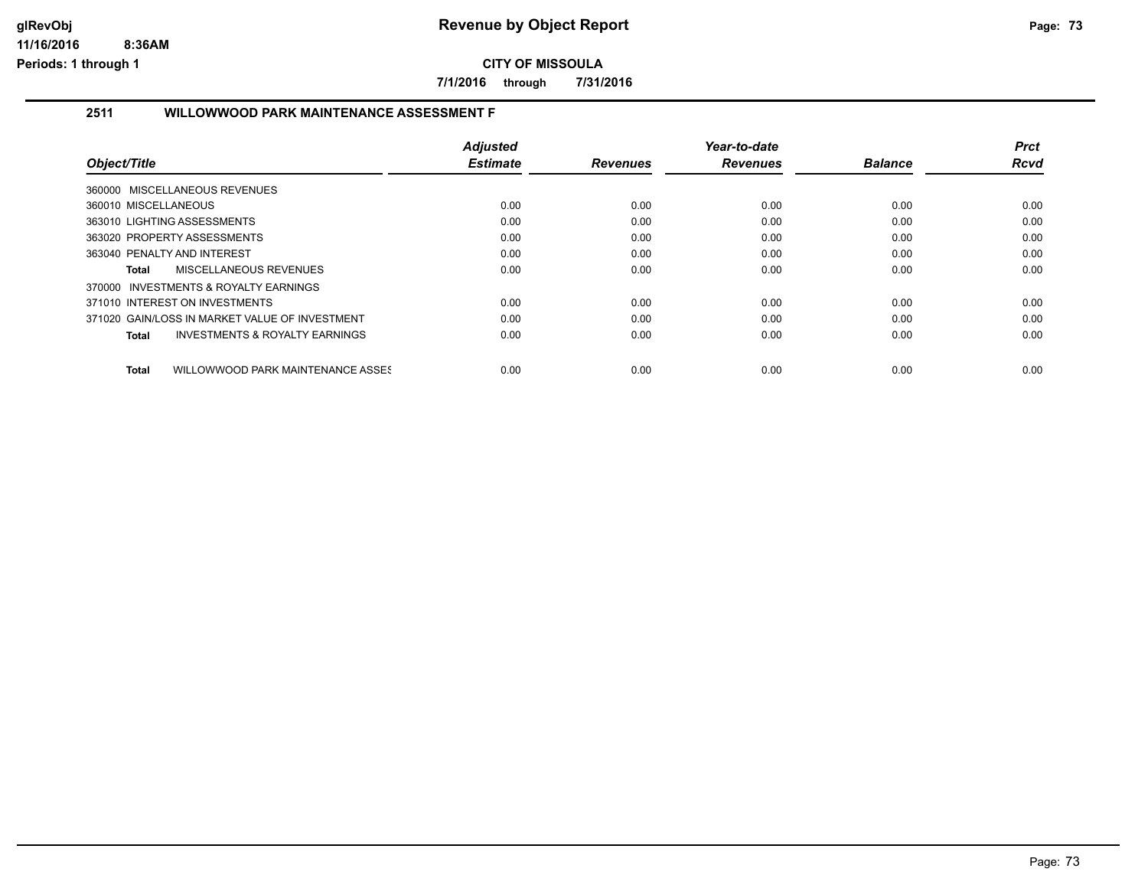**CITY OF MISSOULA**

**7/1/2016 through 7/31/2016**

#### **2511 WILLOWWOOD PARK MAINTENANCE ASSESSMENT F**

|                                                    | <b>Adjusted</b> |                 | Year-to-date    |                | Prct        |
|----------------------------------------------------|-----------------|-----------------|-----------------|----------------|-------------|
| Object/Title                                       | <b>Estimate</b> | <b>Revenues</b> | <b>Revenues</b> | <b>Balance</b> | <b>Rcvd</b> |
| 360000 MISCELLANEOUS REVENUES                      |                 |                 |                 |                |             |
| 360010 MISCELLANEOUS                               | 0.00            | 0.00            | 0.00            | 0.00           | 0.00        |
| 363010 LIGHTING ASSESSMENTS                        | 0.00            | 0.00            | 0.00            | 0.00           | 0.00        |
| 363020 PROPERTY ASSESSMENTS                        | 0.00            | 0.00            | 0.00            | 0.00           | 0.00        |
| 363040 PENALTY AND INTEREST                        | 0.00            | 0.00            | 0.00            | 0.00           | 0.00        |
| MISCELLANEOUS REVENUES<br>Total                    | 0.00            | 0.00            | 0.00            | 0.00           | 0.00        |
| 370000 INVESTMENTS & ROYALTY EARNINGS              |                 |                 |                 |                |             |
| 371010 INTEREST ON INVESTMENTS                     | 0.00            | 0.00            | 0.00            | 0.00           | 0.00        |
| 371020 GAIN/LOSS IN MARKET VALUE OF INVESTMENT     | 0.00            | 0.00            | 0.00            | 0.00           | 0.00        |
| <b>INVESTMENTS &amp; ROYALTY EARNINGS</b><br>Total | 0.00            | 0.00            | 0.00            | 0.00           | 0.00        |
| WILLOWWOOD PARK MAINTENANCE ASSES<br><b>Total</b>  | 0.00            | 0.00            | 0.00            | 0.00           | 0.00        |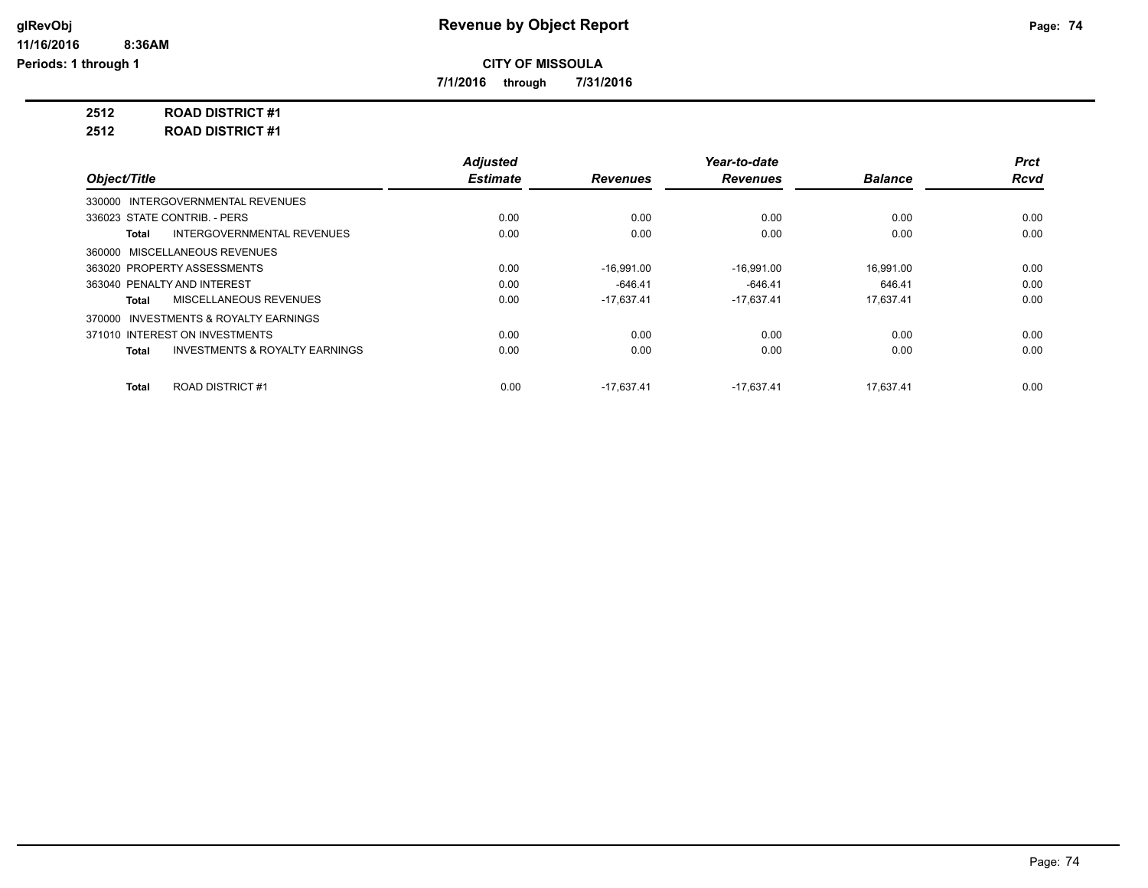**CITY OF MISSOULA**

**7/1/2016 through 7/31/2016**

**2512 ROAD DISTRICT #1**

**2512 ROAD DISTRICT #1**

|                                                    | <b>Adjusted</b> |                 | Year-to-date    |                | <b>Prct</b> |
|----------------------------------------------------|-----------------|-----------------|-----------------|----------------|-------------|
| Object/Title                                       | <b>Estimate</b> | <b>Revenues</b> | <b>Revenues</b> | <b>Balance</b> | <b>Rcvd</b> |
| 330000 INTERGOVERNMENTAL REVENUES                  |                 |                 |                 |                |             |
| 336023 STATE CONTRIB. - PERS                       | 0.00            | 0.00            | 0.00            | 0.00           | 0.00        |
| INTERGOVERNMENTAL REVENUES<br>Total                | 0.00            | 0.00            | 0.00            | 0.00           | 0.00        |
| 360000 MISCELLANEOUS REVENUES                      |                 |                 |                 |                |             |
| 363020 PROPERTY ASSESSMENTS                        | 0.00            | $-16,991.00$    | $-16,991.00$    | 16,991.00      | 0.00        |
| 363040 PENALTY AND INTEREST                        | 0.00            | $-646.41$       | $-646.41$       | 646.41         | 0.00        |
| MISCELLANEOUS REVENUES<br>Total                    | 0.00            | $-17,637.41$    | $-17,637.41$    | 17.637.41      | 0.00        |
| 370000 INVESTMENTS & ROYALTY EARNINGS              |                 |                 |                 |                |             |
| 371010 INTEREST ON INVESTMENTS                     | 0.00            | 0.00            | 0.00            | 0.00           | 0.00        |
| <b>INVESTMENTS &amp; ROYALTY EARNINGS</b><br>Total | 0.00            | 0.00            | 0.00            | 0.00           | 0.00        |
| <b>ROAD DISTRICT #1</b><br>Total                   | 0.00            | $-17,637.41$    | $-17.637.41$    | 17.637.41      | 0.00        |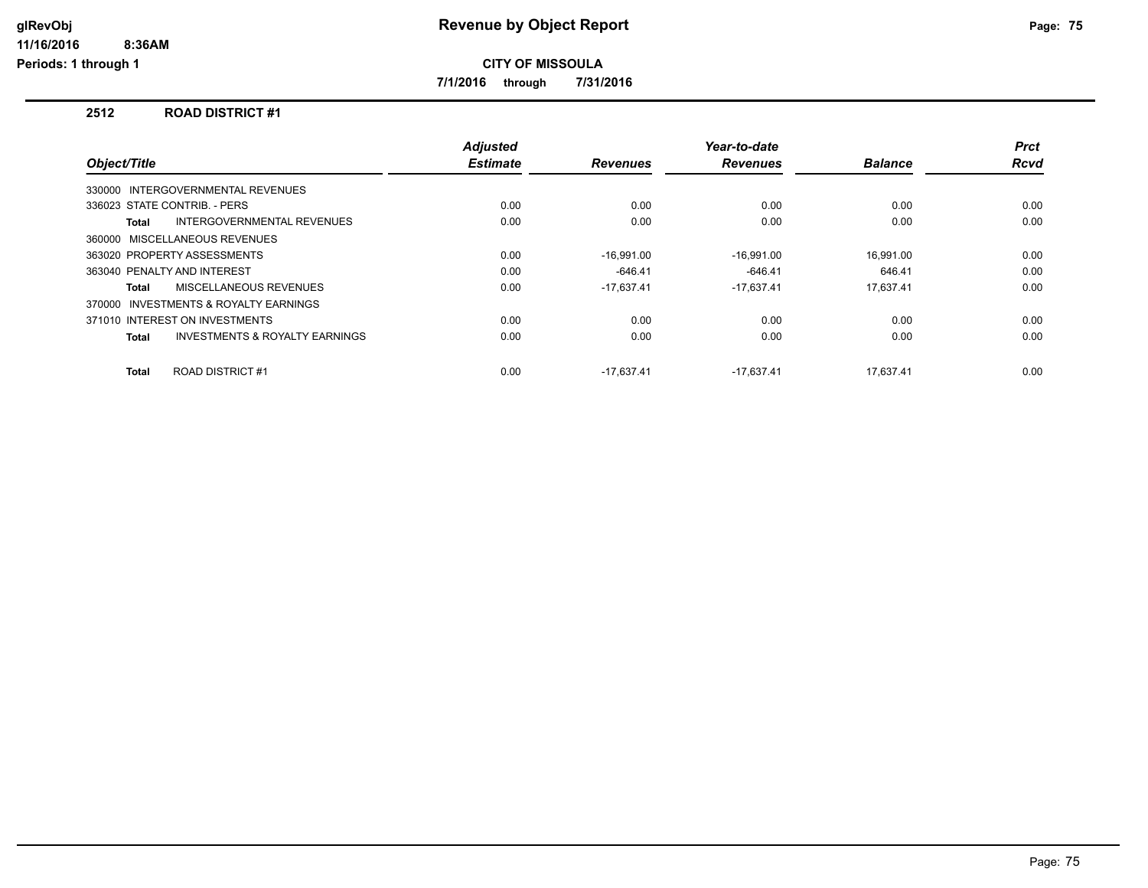**CITY OF MISSOULA**

**7/1/2016 through 7/31/2016**

#### **2512 ROAD DISTRICT #1**

|                                                    | <b>Adjusted</b> |                 | Year-to-date    |                | <b>Prct</b> |
|----------------------------------------------------|-----------------|-----------------|-----------------|----------------|-------------|
| Object/Title                                       | <b>Estimate</b> | <b>Revenues</b> | <b>Revenues</b> | <b>Balance</b> | <b>Rcvd</b> |
| 330000 INTERGOVERNMENTAL REVENUES                  |                 |                 |                 |                |             |
| 336023 STATE CONTRIB. - PERS                       | 0.00            | 0.00            | 0.00            | 0.00           | 0.00        |
| INTERGOVERNMENTAL REVENUES<br><b>Total</b>         | 0.00            | 0.00            | 0.00            | 0.00           | 0.00        |
| 360000 MISCELLANEOUS REVENUES                      |                 |                 |                 |                |             |
| 363020 PROPERTY ASSESSMENTS                        | 0.00            | $-16,991.00$    | $-16,991.00$    | 16,991.00      | 0.00        |
| 363040 PENALTY AND INTEREST                        | 0.00            | $-646.41$       | $-646.41$       | 646.41         | 0.00        |
| MISCELLANEOUS REVENUES<br>Total                    | 0.00            | $-17,637.41$    | $-17,637.41$    | 17.637.41      | 0.00        |
| 370000 INVESTMENTS & ROYALTY EARNINGS              |                 |                 |                 |                |             |
| 371010 INTEREST ON INVESTMENTS                     | 0.00            | 0.00            | 0.00            | 0.00           | 0.00        |
| <b>INVESTMENTS &amp; ROYALTY EARNINGS</b><br>Total | 0.00            | 0.00            | 0.00            | 0.00           | 0.00        |
| ROAD DISTRICT #1<br><b>Total</b>                   | 0.00            | $-17.637.41$    | $-17.637.41$    | 17.637.41      | 0.00        |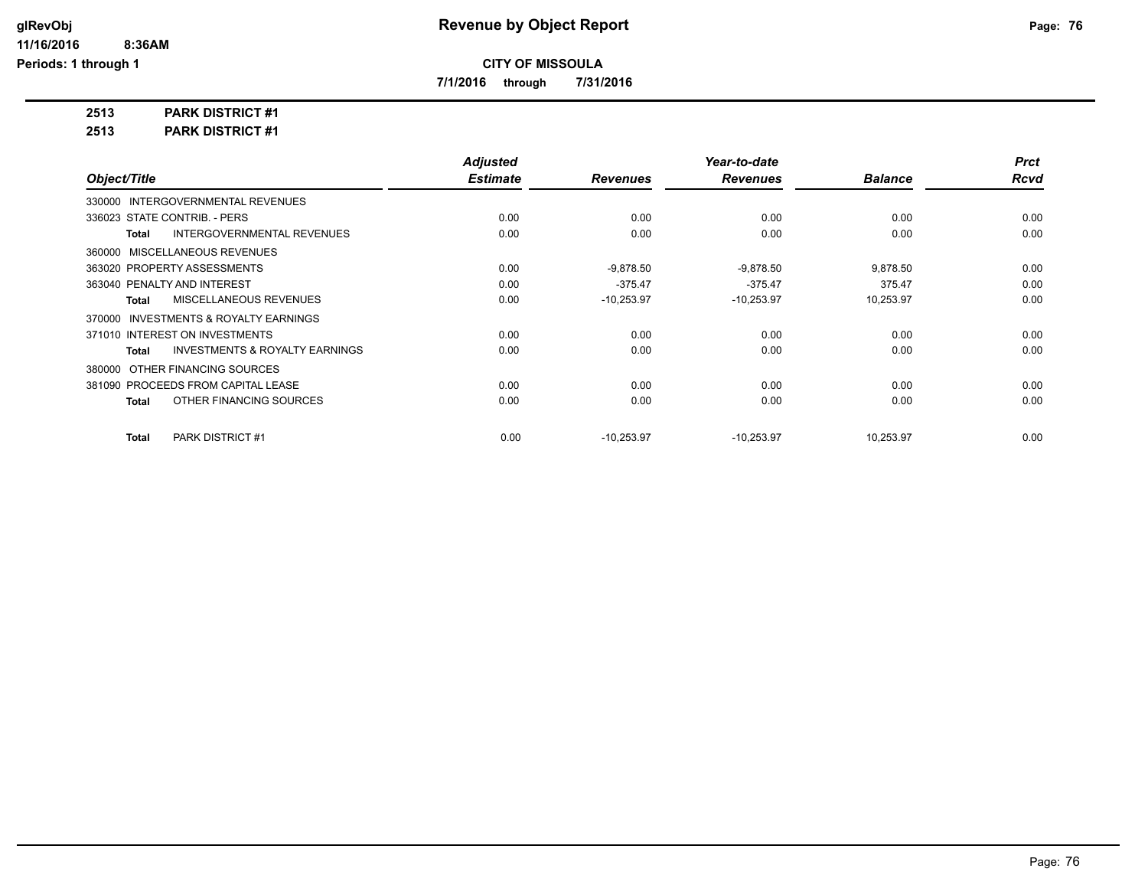**CITY OF MISSOULA**

**7/1/2016 through 7/31/2016**

**2513 PARK DISTRICT #1**

**2513 PARK DISTRICT #1**

|                                                     | <b>Adjusted</b> |                 | Year-to-date    |                | <b>Prct</b> |
|-----------------------------------------------------|-----------------|-----------------|-----------------|----------------|-------------|
| Object/Title                                        | <b>Estimate</b> | <b>Revenues</b> | <b>Revenues</b> | <b>Balance</b> | <b>Rcvd</b> |
| 330000 INTERGOVERNMENTAL REVENUES                   |                 |                 |                 |                |             |
| 336023 STATE CONTRIB. - PERS                        | 0.00            | 0.00            | 0.00            | 0.00           | 0.00        |
| <b>INTERGOVERNMENTAL REVENUES</b><br>Total          | 0.00            | 0.00            | 0.00            | 0.00           | 0.00        |
| 360000 MISCELLANEOUS REVENUES                       |                 |                 |                 |                |             |
| 363020 PROPERTY ASSESSMENTS                         | 0.00            | $-9,878.50$     | $-9.878.50$     | 9,878.50       | 0.00        |
| 363040 PENALTY AND INTEREST                         | 0.00            | $-375.47$       | $-375.47$       | 375.47         | 0.00        |
| MISCELLANEOUS REVENUES<br>Total                     | 0.00            | $-10,253.97$    | $-10,253.97$    | 10,253.97      | 0.00        |
| <b>INVESTMENTS &amp; ROYALTY EARNINGS</b><br>370000 |                 |                 |                 |                |             |
| 371010 INTEREST ON INVESTMENTS                      | 0.00            | 0.00            | 0.00            | 0.00           | 0.00        |
| <b>INVESTMENTS &amp; ROYALTY EARNINGS</b><br>Total  | 0.00            | 0.00            | 0.00            | 0.00           | 0.00        |
| OTHER FINANCING SOURCES<br>380000                   |                 |                 |                 |                |             |
| 381090 PROCEEDS FROM CAPITAL LEASE                  | 0.00            | 0.00            | 0.00            | 0.00           | 0.00        |
| OTHER FINANCING SOURCES<br>Total                    | 0.00            | 0.00            | 0.00            | 0.00           | 0.00        |
|                                                     |                 |                 |                 |                |             |
| <b>PARK DISTRICT #1</b><br><b>Total</b>             | 0.00            | $-10,253.97$    | $-10,253.97$    | 10,253.97      | 0.00        |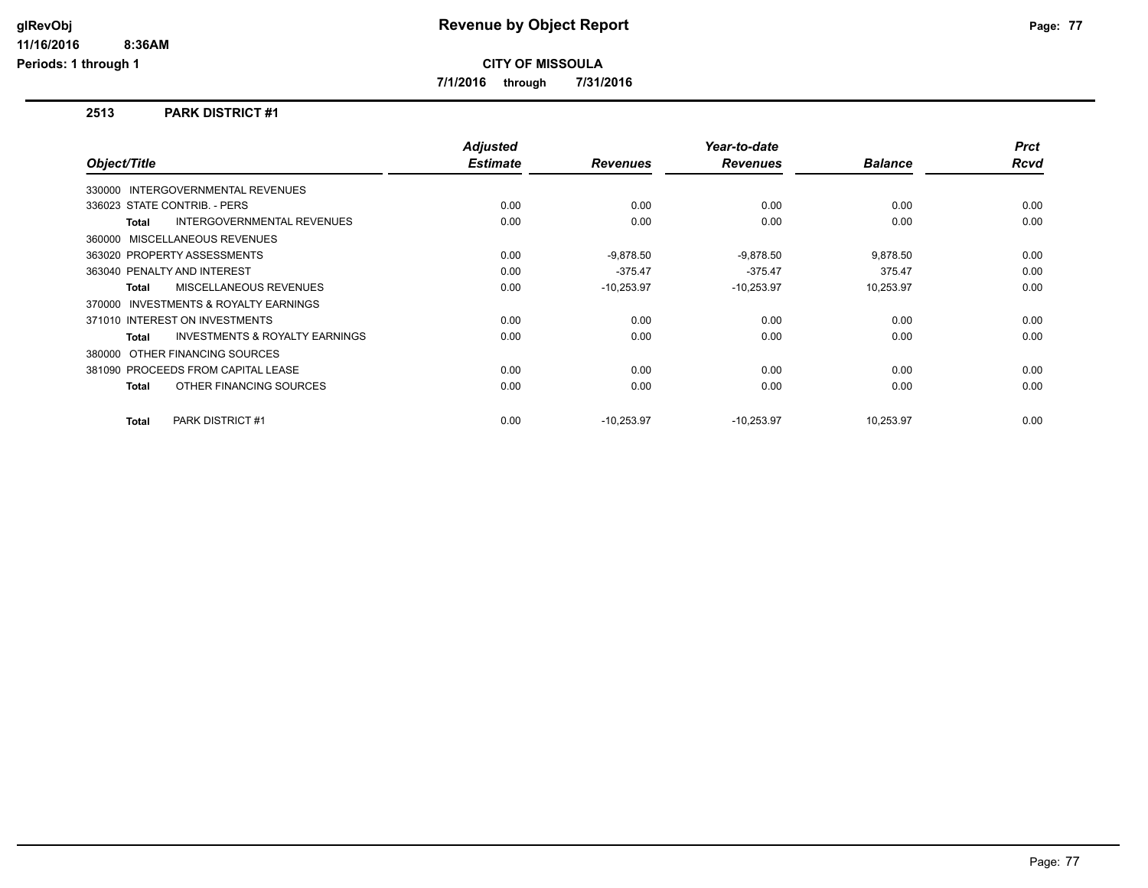**CITY OF MISSOULA**

**7/1/2016 through 7/31/2016**

#### **2513 PARK DISTRICT #1**

| Object/Title                                              | Adjusted<br><b>Estimate</b> | <b>Revenues</b> | Year-to-date<br><b>Revenues</b> | <b>Balance</b> | <b>Prct</b><br>Rcvd |
|-----------------------------------------------------------|-----------------------------|-----------------|---------------------------------|----------------|---------------------|
|                                                           |                             |                 |                                 |                |                     |
| 330000 INTERGOVERNMENTAL REVENUES                         |                             |                 |                                 |                |                     |
| 336023 STATE CONTRIB. - PERS                              | 0.00                        | 0.00            | 0.00                            | 0.00           | 0.00                |
| INTERGOVERNMENTAL REVENUES<br>Total                       | 0.00                        | 0.00            | 0.00                            | 0.00           | 0.00                |
| 360000 MISCELLANEOUS REVENUES                             |                             |                 |                                 |                |                     |
| 363020 PROPERTY ASSESSMENTS                               | 0.00                        | $-9.878.50$     | $-9.878.50$                     | 9.878.50       | 0.00                |
| 363040 PENALTY AND INTEREST                               | 0.00                        | $-375.47$       | $-375.47$                       | 375.47         | 0.00                |
| MISCELLANEOUS REVENUES<br><b>Total</b>                    | 0.00                        | $-10,253.97$    | $-10,253.97$                    | 10,253.97      | 0.00                |
| 370000 INVESTMENTS & ROYALTY EARNINGS                     |                             |                 |                                 |                |                     |
| 371010 INTEREST ON INVESTMENTS                            | 0.00                        | 0.00            | 0.00                            | 0.00           | 0.00                |
| <b>INVESTMENTS &amp; ROYALTY EARNINGS</b><br><b>Total</b> | 0.00                        | 0.00            | 0.00                            | 0.00           | 0.00                |
| 380000 OTHER FINANCING SOURCES                            |                             |                 |                                 |                |                     |
| 381090 PROCEEDS FROM CAPITAL LEASE                        | 0.00                        | 0.00            | 0.00                            | 0.00           | 0.00                |
| OTHER FINANCING SOURCES<br><b>Total</b>                   | 0.00                        | 0.00            | 0.00                            | 0.00           | 0.00                |
| <b>PARK DISTRICT #1</b><br><b>Total</b>                   | 0.00                        | $-10,253.97$    | $-10,253.97$                    | 10,253.97      | 0.00                |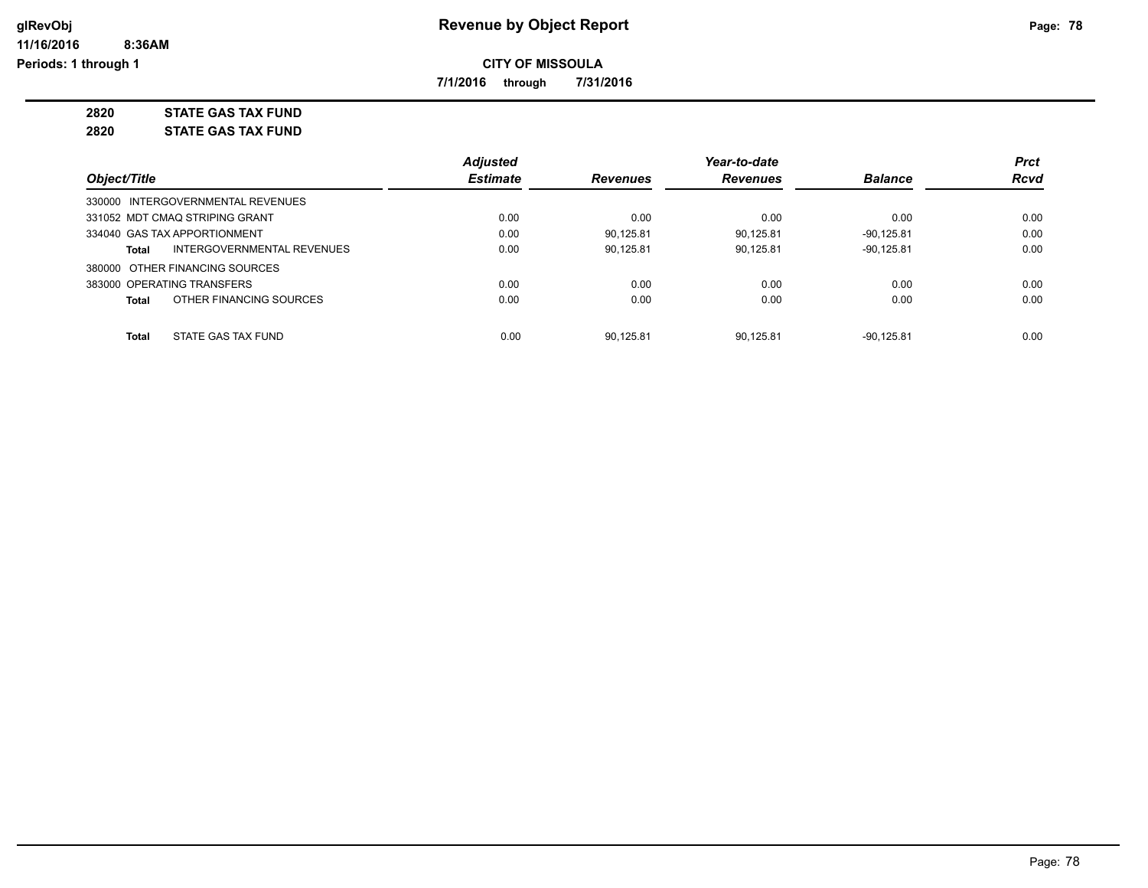**CITY OF MISSOULA**

**7/1/2016 through 7/31/2016**

**2820 STATE GAS TAX FUND**

**2820 STATE GAS TAX FUND**

|                                            | <b>Adjusted</b> |                 | Year-to-date |                | <b>Prct</b> |
|--------------------------------------------|-----------------|-----------------|--------------|----------------|-------------|
| Object/Title                               | <b>Estimate</b> | <b>Revenues</b> | Revenues     | <b>Balance</b> | Rcvd        |
| 330000 INTERGOVERNMENTAL REVENUES          |                 |                 |              |                |             |
| 331052 MDT CMAQ STRIPING GRANT             | 0.00            | 0.00            | 0.00         | 0.00           | 0.00        |
| 334040 GAS TAX APPORTIONMENT               | 0.00            | 90.125.81       | 90.125.81    | $-90.125.81$   | 0.00        |
| <b>INTERGOVERNMENTAL REVENUES</b><br>Total | 0.00            | 90.125.81       | 90.125.81    | $-90.125.81$   | 0.00        |
| 380000 OTHER FINANCING SOURCES             |                 |                 |              |                |             |
| 383000 OPERATING TRANSFERS                 | 0.00            | 0.00            | 0.00         | 0.00           | 0.00        |
| OTHER FINANCING SOURCES<br><b>Total</b>    | 0.00            | 0.00            | 0.00         | 0.00           | 0.00        |
|                                            |                 |                 |              |                |             |
| STATE GAS TAX FUND<br><b>Total</b>         | 0.00            | 90.125.81       | 90.125.81    | $-90.125.81$   | 0.00        |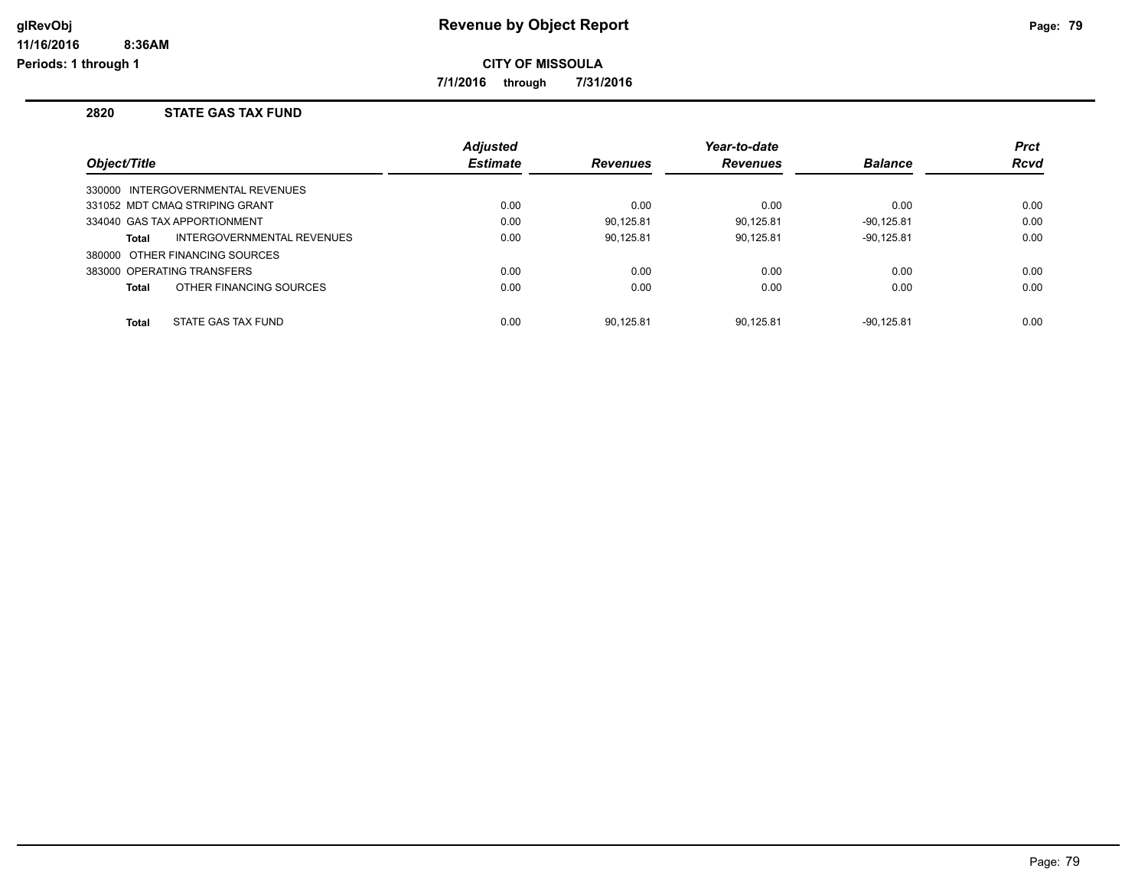**CITY OF MISSOULA**

**7/1/2016 through 7/31/2016**

#### **2820 STATE GAS TAX FUND**

|                                     | <b>Adjusted</b> |                 | Year-to-date    |                | <b>Prct</b> |
|-------------------------------------|-----------------|-----------------|-----------------|----------------|-------------|
| Object/Title                        | <b>Estimate</b> | <b>Revenues</b> | <b>Revenues</b> | <b>Balance</b> | <b>Rcvd</b> |
| 330000 INTERGOVERNMENTAL REVENUES   |                 |                 |                 |                |             |
| 331052 MDT CMAQ STRIPING GRANT      | 0.00            | 0.00            | 0.00            | 0.00           | 0.00        |
| 334040 GAS TAX APPORTIONMENT        | 0.00            | 90.125.81       | 90.125.81       | $-90.125.81$   | 0.00        |
| INTERGOVERNMENTAL REVENUES<br>Total | 0.00            | 90,125.81       | 90,125.81       | $-90, 125.81$  | 0.00        |
| 380000 OTHER FINANCING SOURCES      |                 |                 |                 |                |             |
| 383000 OPERATING TRANSFERS          | 0.00            | 0.00            | 0.00            | 0.00           | 0.00        |
| OTHER FINANCING SOURCES<br>Total    | 0.00            | 0.00            | 0.00            | 0.00           | 0.00        |
| <b>Total</b><br>STATE GAS TAX FUND  | 0.00            | 90.125.81       | 90.125.81       | $-90.125.81$   | 0.00        |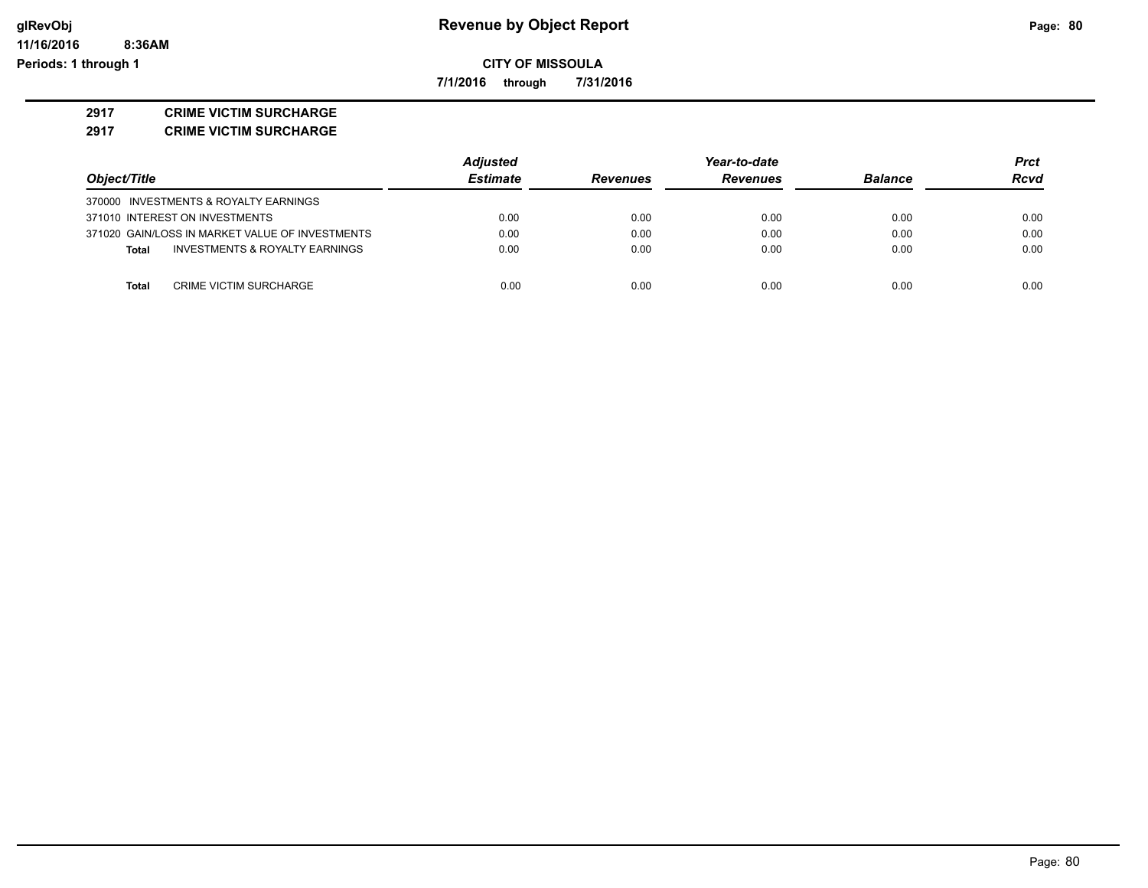**11/16/2016**

**Periods: 1 through 1**

**CITY OF MISSOULA**

**7/1/2016 through 7/31/2016**

**2917 CRIME VICTIM SURCHARGE**

 **8:36AM**

**2917 CRIME VICTIM SURCHARGE**

|                                                 | <b>Adjusted</b> |                 | Year-to-date    |                | Prct |
|-------------------------------------------------|-----------------|-----------------|-----------------|----------------|------|
| Object/Title                                    | <b>Estimate</b> | <b>Revenues</b> | <b>Revenues</b> | <b>Balance</b> | Rcvd |
| 370000 INVESTMENTS & ROYALTY EARNINGS           |                 |                 |                 |                |      |
| 371010 INTEREST ON INVESTMENTS                  | 0.00            | 0.00            | 0.00            | 0.00           | 0.00 |
| 371020 GAIN/LOSS IN MARKET VALUE OF INVESTMENTS | 0.00            | 0.00            | 0.00            | 0.00           | 0.00 |
| INVESTMENTS & ROYALTY EARNINGS<br><b>Total</b>  | 0.00            | 0.00            | 0.00            | 0.00           | 0.00 |
|                                                 |                 |                 |                 |                |      |
| <b>Total</b><br>CRIME VICTIM SURCHARGE          | 0.00            | 0.00            | 0.00            | 0.00           | 0.00 |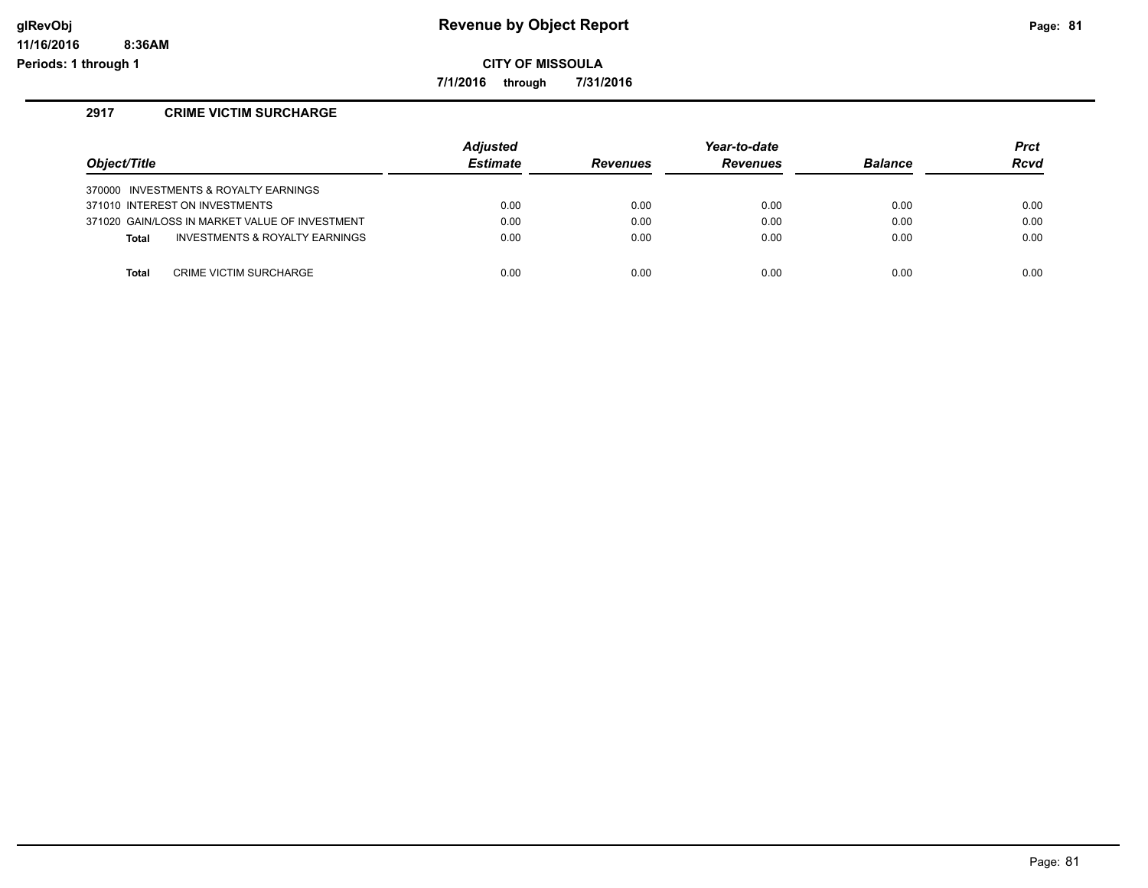**glRevObj Revenue by Object Report Page: 81** 

**CITY OF MISSOULA**

**7/1/2016 through 7/31/2016**

#### **2917 CRIME VICTIM SURCHARGE**

| Object/Title                                       | <b>Adjusted</b><br><b>Estimate</b> | <b>Revenues</b> | Year-to-date<br><b>Revenues</b> | <b>Balance</b> | <b>Prct</b><br><b>Rcvd</b> |
|----------------------------------------------------|------------------------------------|-----------------|---------------------------------|----------------|----------------------------|
| 370000 INVESTMENTS & ROYALTY EARNINGS              |                                    |                 |                                 |                |                            |
| 371010 INTEREST ON INVESTMENTS                     | 0.00                               | 0.00            | 0.00                            | 0.00           | 0.00                       |
| 371020 GAIN/LOSS IN MARKET VALUE OF INVESTMENT     | 0.00                               | 0.00            | 0.00                            | 0.00           | 0.00                       |
| <b>INVESTMENTS &amp; ROYALTY EARNINGS</b><br>Total | 0.00                               | 0.00            | 0.00                            | 0.00           | 0.00                       |
|                                                    |                                    |                 |                                 |                |                            |
| CRIME VICTIM SURCHARGE<br><b>Total</b>             | 0.00                               | 0.00            | 0.00                            | 0.00           | 0.00                       |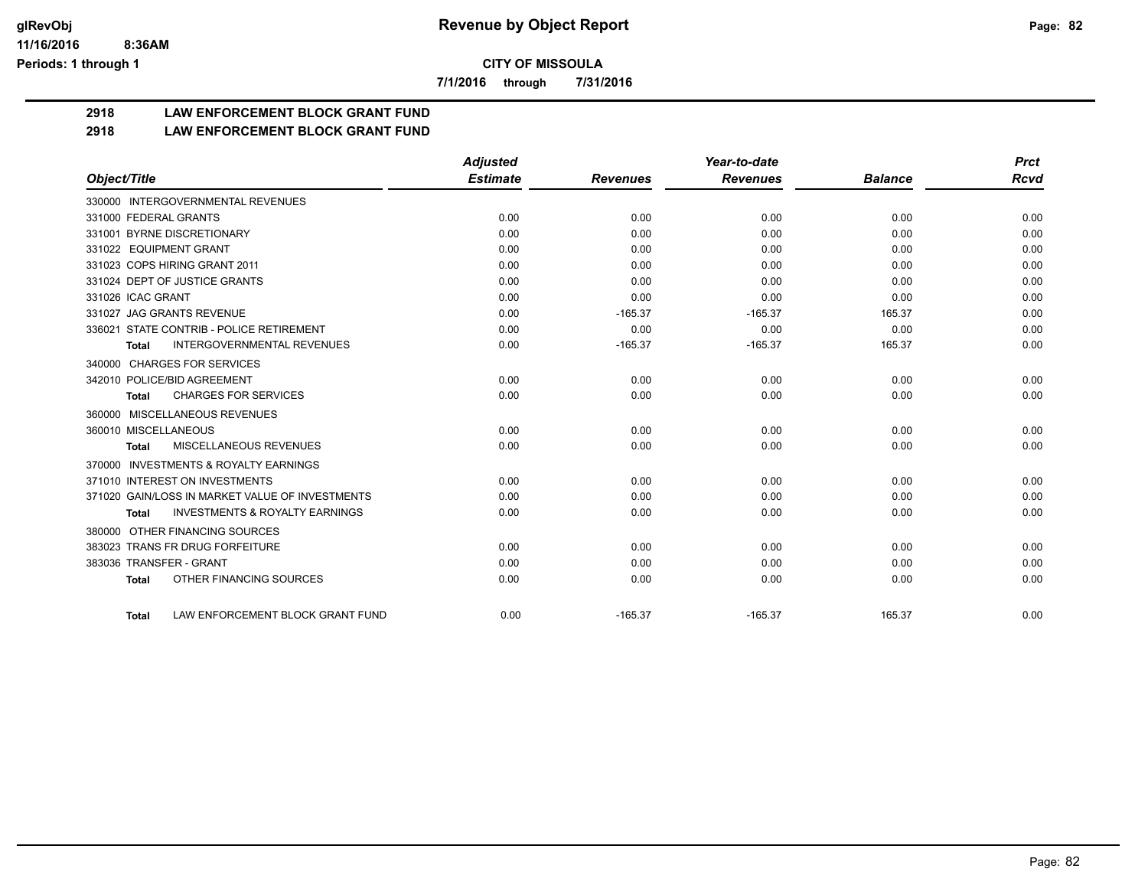**CITY OF MISSOULA**

**7/1/2016 through 7/31/2016**

# **2918 LAW ENFORCEMENT BLOCK GRANT FUND**

## **2918 LAW ENFORCEMENT BLOCK GRANT FUND**

|                                                           | Adjusted        |                 | Year-to-date    |                | <b>Prct</b> |
|-----------------------------------------------------------|-----------------|-----------------|-----------------|----------------|-------------|
| Object/Title                                              | <b>Estimate</b> | <b>Revenues</b> | <b>Revenues</b> | <b>Balance</b> | <b>Rcvd</b> |
| 330000 INTERGOVERNMENTAL REVENUES                         |                 |                 |                 |                |             |
| 331000 FEDERAL GRANTS                                     | 0.00            | 0.00            | 0.00            | 0.00           | 0.00        |
| 331001 BYRNE DISCRETIONARY                                | 0.00            | 0.00            | 0.00            | 0.00           | 0.00        |
| 331022 EQUIPMENT GRANT                                    | 0.00            | 0.00            | 0.00            | 0.00           | 0.00        |
| 331023 COPS HIRING GRANT 2011                             | 0.00            | 0.00            | 0.00            | 0.00           | 0.00        |
| 331024 DEPT OF JUSTICE GRANTS                             | 0.00            | 0.00            | 0.00            | 0.00           | 0.00        |
| 331026 ICAC GRANT                                         | 0.00            | 0.00            | 0.00            | 0.00           | 0.00        |
| 331027 JAG GRANTS REVENUE                                 | 0.00            | $-165.37$       | $-165.37$       | 165.37         | 0.00        |
| 336021 STATE CONTRIB - POLICE RETIREMENT                  | 0.00            | 0.00            | 0.00            | 0.00           | 0.00        |
| <b>INTERGOVERNMENTAL REVENUES</b><br><b>Total</b>         | 0.00            | $-165.37$       | $-165.37$       | 165.37         | 0.00        |
| 340000 CHARGES FOR SERVICES                               |                 |                 |                 |                |             |
| 342010 POLICE/BID AGREEMENT                               | 0.00            | 0.00            | 0.00            | 0.00           | 0.00        |
| <b>CHARGES FOR SERVICES</b><br><b>Total</b>               | 0.00            | 0.00            | 0.00            | 0.00           | 0.00        |
| 360000 MISCELLANEOUS REVENUES                             |                 |                 |                 |                |             |
| 360010 MISCELLANEOUS                                      | 0.00            | 0.00            | 0.00            | 0.00           | 0.00        |
| MISCELLANEOUS REVENUES<br>Total                           | 0.00            | 0.00            | 0.00            | 0.00           | 0.00        |
| <b>INVESTMENTS &amp; ROYALTY EARNINGS</b><br>370000       |                 |                 |                 |                |             |
| 371010 INTEREST ON INVESTMENTS                            | 0.00            | 0.00            | 0.00            | 0.00           | 0.00        |
| 371020 GAIN/LOSS IN MARKET VALUE OF INVESTMENTS           | 0.00            | 0.00            | 0.00            | 0.00           | 0.00        |
| <b>INVESTMENTS &amp; ROYALTY EARNINGS</b><br><b>Total</b> | 0.00            | 0.00            | 0.00            | 0.00           | 0.00        |
| OTHER FINANCING SOURCES<br>380000                         |                 |                 |                 |                |             |
| 383023 TRANS FR DRUG FORFEITURE                           | 0.00            | 0.00            | 0.00            | 0.00           | 0.00        |
| 383036 TRANSFER - GRANT                                   | 0.00            | 0.00            | 0.00            | 0.00           | 0.00        |
| OTHER FINANCING SOURCES<br><b>Total</b>                   | 0.00            | 0.00            | 0.00            | 0.00           | 0.00        |
|                                                           |                 |                 |                 |                |             |
| LAW ENFORCEMENT BLOCK GRANT FUND<br><b>Total</b>          | 0.00            | $-165.37$       | $-165.37$       | 165.37         | 0.00        |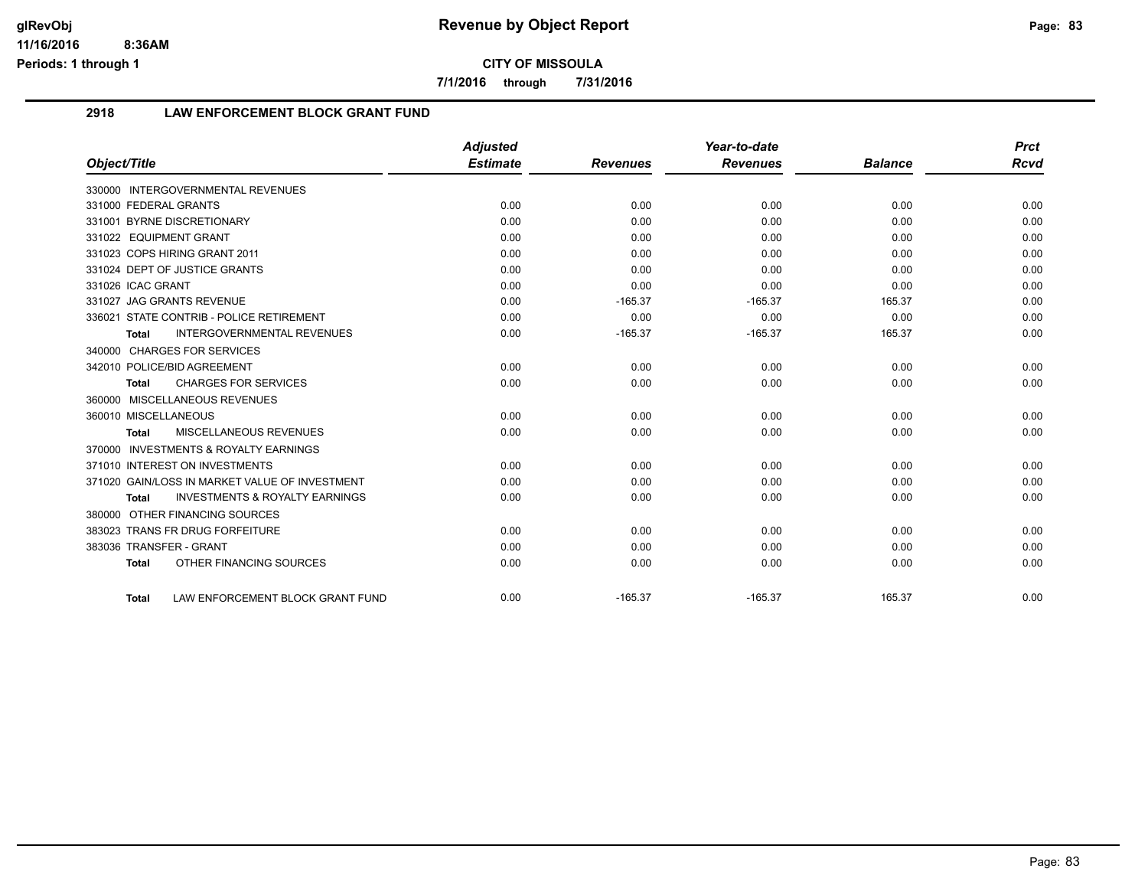**8:36AM**

**CITY OF MISSOULA**

**7/1/2016 through 7/31/2016**

## **2918 LAW ENFORCEMENT BLOCK GRANT FUND**

|                                                           | <b>Adjusted</b> |                 | Year-to-date    |                | <b>Prct</b> |
|-----------------------------------------------------------|-----------------|-----------------|-----------------|----------------|-------------|
| Object/Title                                              | <b>Estimate</b> | <b>Revenues</b> | <b>Revenues</b> | <b>Balance</b> | <b>Rcvd</b> |
| 330000 INTERGOVERNMENTAL REVENUES                         |                 |                 |                 |                |             |
| 331000 FEDERAL GRANTS                                     | 0.00            | 0.00            | 0.00            | 0.00           | 0.00        |
| 331001 BYRNE DISCRETIONARY                                | 0.00            | 0.00            | 0.00            | 0.00           | 0.00        |
| 331022 EQUIPMENT GRANT                                    | 0.00            | 0.00            | 0.00            | 0.00           | 0.00        |
| 331023 COPS HIRING GRANT 2011                             | 0.00            | 0.00            | 0.00            | 0.00           | 0.00        |
| 331024 DEPT OF JUSTICE GRANTS                             | 0.00            | 0.00            | 0.00            | 0.00           | 0.00        |
| 331026 ICAC GRANT                                         | 0.00            | 0.00            | 0.00            | 0.00           | 0.00        |
| 331027 JAG GRANTS REVENUE                                 | 0.00            | $-165.37$       | $-165.37$       | 165.37         | 0.00        |
| 336021 STATE CONTRIB - POLICE RETIREMENT                  | 0.00            | 0.00            | 0.00            | 0.00           | 0.00        |
| <b>INTERGOVERNMENTAL REVENUES</b><br><b>Total</b>         | 0.00            | $-165.37$       | $-165.37$       | 165.37         | 0.00        |
| 340000 CHARGES FOR SERVICES                               |                 |                 |                 |                |             |
| 342010 POLICE/BID AGREEMENT                               | 0.00            | 0.00            | 0.00            | 0.00           | 0.00        |
| <b>CHARGES FOR SERVICES</b><br><b>Total</b>               | 0.00            | 0.00            | 0.00            | 0.00           | 0.00        |
| 360000 MISCELLANEOUS REVENUES                             |                 |                 |                 |                |             |
| 360010 MISCELLANEOUS                                      | 0.00            | 0.00            | 0.00            | 0.00           | 0.00        |
| <b>MISCELLANEOUS REVENUES</b><br>Total                    | 0.00            | 0.00            | 0.00            | 0.00           | 0.00        |
| 370000 INVESTMENTS & ROYALTY EARNINGS                     |                 |                 |                 |                |             |
| 371010 INTEREST ON INVESTMENTS                            | 0.00            | 0.00            | 0.00            | 0.00           | 0.00        |
| 371020 GAIN/LOSS IN MARKET VALUE OF INVESTMENT            | 0.00            | 0.00            | 0.00            | 0.00           | 0.00        |
| <b>INVESTMENTS &amp; ROYALTY EARNINGS</b><br><b>Total</b> | 0.00            | 0.00            | 0.00            | 0.00           | 0.00        |
| 380000 OTHER FINANCING SOURCES                            |                 |                 |                 |                |             |
| 383023 TRANS FR DRUG FORFEITURE                           | 0.00            | 0.00            | 0.00            | 0.00           | 0.00        |
| 383036 TRANSFER - GRANT                                   | 0.00            | 0.00            | 0.00            | 0.00           | 0.00        |
| OTHER FINANCING SOURCES<br><b>Total</b>                   | 0.00            | 0.00            | 0.00            | 0.00           | 0.00        |
| LAW ENFORCEMENT BLOCK GRANT FUND<br>Total                 | 0.00            | $-165.37$       | $-165.37$       | 165.37         | 0.00        |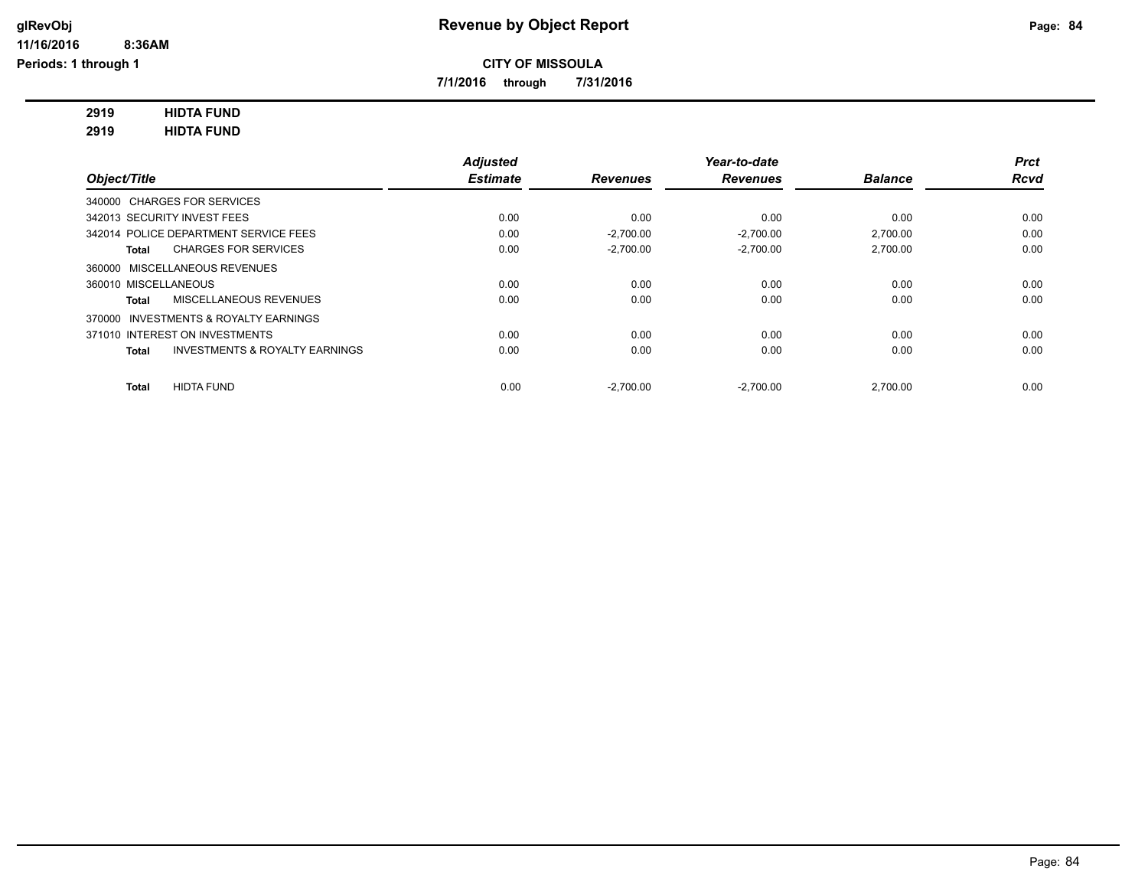**CITY OF MISSOULA**

**7/1/2016 through 7/31/2016**

# **2919 HIDTA FUND**

**2919 HIDTA FUND**

|                                                     | <b>Adjusted</b> |                 | Year-to-date    |                | <b>Prct</b> |
|-----------------------------------------------------|-----------------|-----------------|-----------------|----------------|-------------|
| Object/Title                                        | <b>Estimate</b> | <b>Revenues</b> | <b>Revenues</b> | <b>Balance</b> | <b>Rcvd</b> |
| 340000 CHARGES FOR SERVICES                         |                 |                 |                 |                |             |
| 342013 SECURITY INVEST FEES                         | 0.00            | 0.00            | 0.00            | 0.00           | 0.00        |
| 342014 POLICE DEPARTMENT SERVICE FEES               | 0.00            | $-2,700.00$     | $-2,700.00$     | 2,700.00       | 0.00        |
| <b>CHARGES FOR SERVICES</b><br>Total                | 0.00            | $-2,700.00$     | $-2,700.00$     | 2.700.00       | 0.00        |
| 360000 MISCELLANEOUS REVENUES                       |                 |                 |                 |                |             |
| 360010 MISCELLANEOUS                                | 0.00            | 0.00            | 0.00            | 0.00           | 0.00        |
| MISCELLANEOUS REVENUES<br>Total                     | 0.00            | 0.00            | 0.00            | 0.00           | 0.00        |
| <b>INVESTMENTS &amp; ROYALTY EARNINGS</b><br>370000 |                 |                 |                 |                |             |
| 371010 INTEREST ON INVESTMENTS                      | 0.00            | 0.00            | 0.00            | 0.00           | 0.00        |
| <b>INVESTMENTS &amp; ROYALTY EARNINGS</b><br>Total  | 0.00            | 0.00            | 0.00            | 0.00           | 0.00        |
| <b>HIDTA FUND</b><br><b>Total</b>                   | 0.00            | $-2,700.00$     | $-2.700.00$     | 2.700.00       | 0.00        |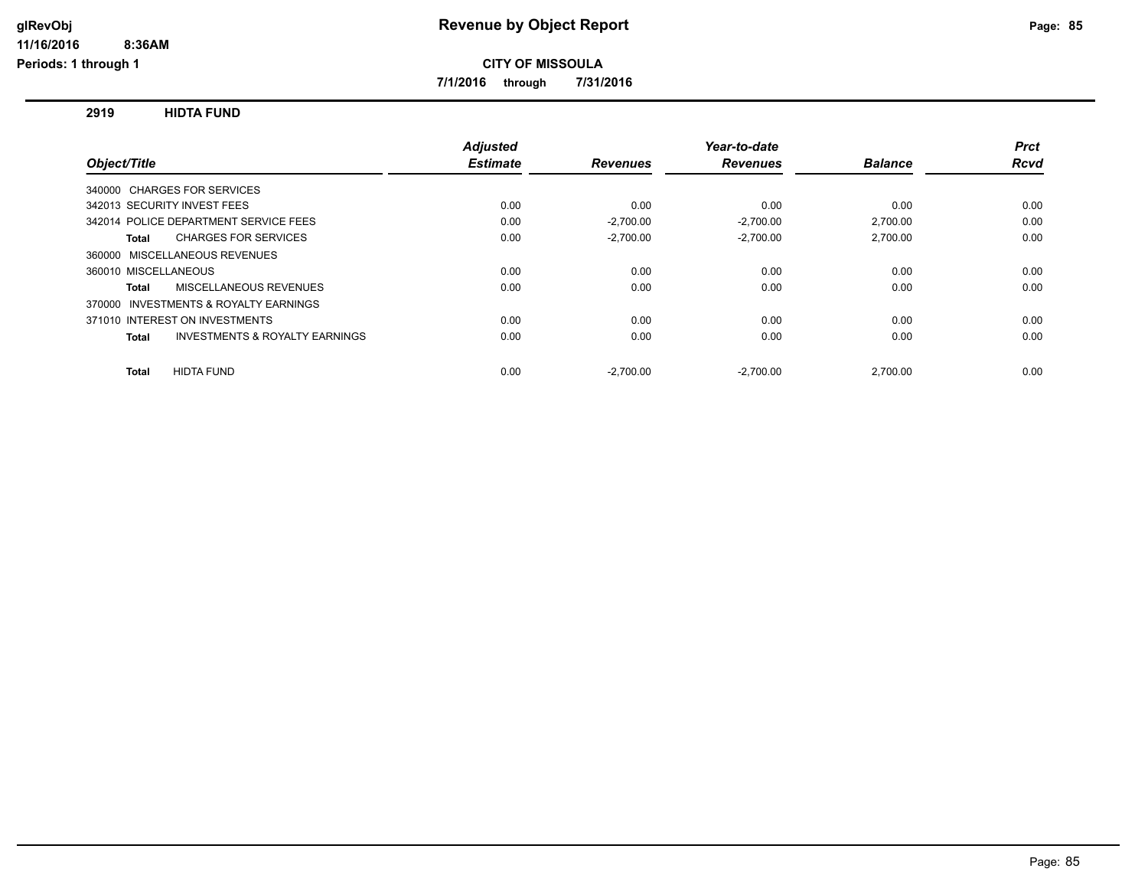**CITY OF MISSOULA**

**7/1/2016 through 7/31/2016**

**2919 HIDTA FUND**

|                                                     | <b>Adjusted</b> |                 | Year-to-date    |                | <b>Prct</b> |
|-----------------------------------------------------|-----------------|-----------------|-----------------|----------------|-------------|
| Object/Title                                        | <b>Estimate</b> | <b>Revenues</b> | <b>Revenues</b> | <b>Balance</b> | <b>Rcvd</b> |
| 340000 CHARGES FOR SERVICES                         |                 |                 |                 |                |             |
| 342013 SECURITY INVEST FEES                         | 0.00            | 0.00            | 0.00            | 0.00           | 0.00        |
| 342014 POLICE DEPARTMENT SERVICE FEES               | 0.00            | $-2,700.00$     | $-2,700.00$     | 2,700.00       | 0.00        |
| <b>CHARGES FOR SERVICES</b><br>Total                | 0.00            | $-2,700.00$     | $-2,700.00$     | 2,700.00       | 0.00        |
| 360000 MISCELLANEOUS REVENUES                       |                 |                 |                 |                |             |
| 360010 MISCELLANEOUS                                | 0.00            | 0.00            | 0.00            | 0.00           | 0.00        |
| MISCELLANEOUS REVENUES<br>Total                     | 0.00            | 0.00            | 0.00            | 0.00           | 0.00        |
| <b>INVESTMENTS &amp; ROYALTY EARNINGS</b><br>370000 |                 |                 |                 |                |             |
| 371010 INTEREST ON INVESTMENTS                      | 0.00            | 0.00            | 0.00            | 0.00           | 0.00        |
| <b>INVESTMENTS &amp; ROYALTY EARNINGS</b><br>Total  | 0.00            | 0.00            | 0.00            | 0.00           | 0.00        |
| <b>HIDTA FUND</b><br><b>Total</b>                   | 0.00            | $-2.700.00$     | $-2.700.00$     | 2.700.00       | 0.00        |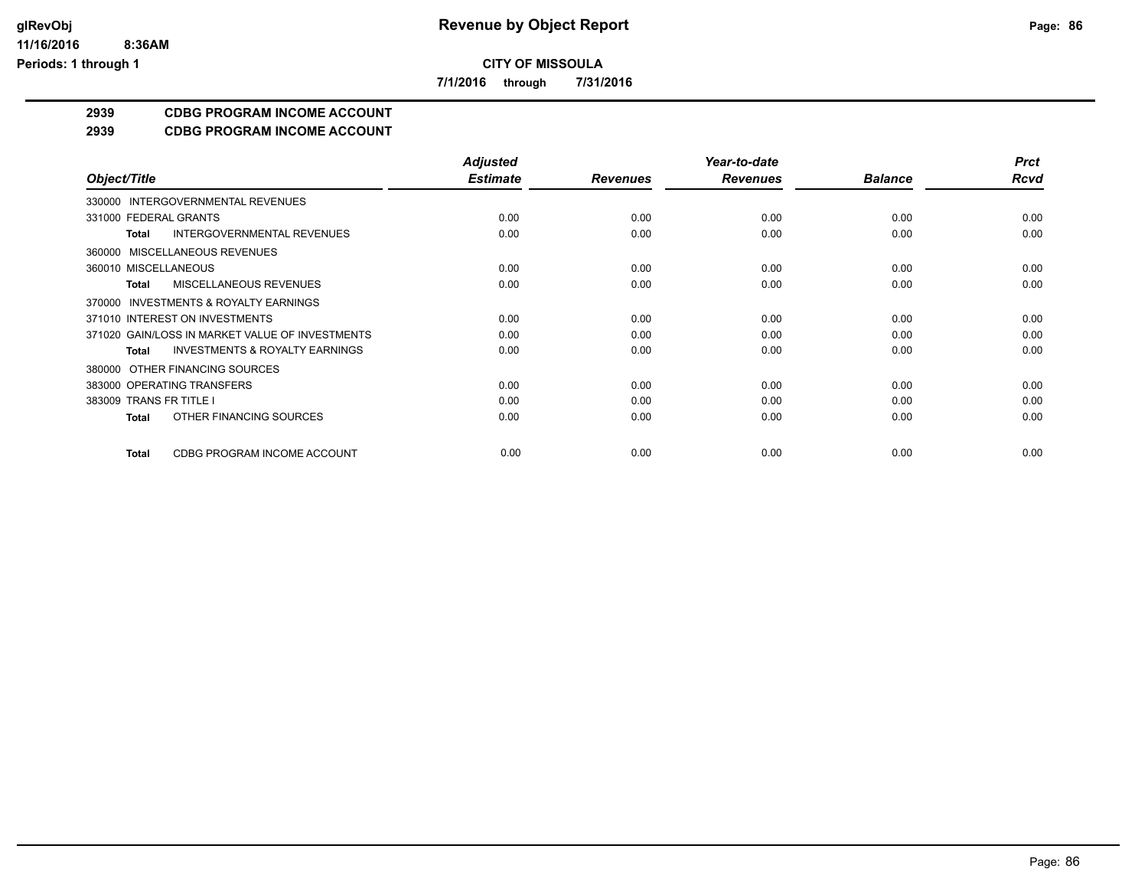**CITY OF MISSOULA**

**7/1/2016 through 7/31/2016**

## **2939 CDBG PROGRAM INCOME ACCOUNT**

#### **2939 CDBG PROGRAM INCOME ACCOUNT**

|                                                    | <b>Adjusted</b> |                 | Year-to-date    |                | <b>Prct</b> |
|----------------------------------------------------|-----------------|-----------------|-----------------|----------------|-------------|
| Object/Title                                       | <b>Estimate</b> | <b>Revenues</b> | <b>Revenues</b> | <b>Balance</b> | Rcvd        |
| 330000 INTERGOVERNMENTAL REVENUES                  |                 |                 |                 |                |             |
| 331000 FEDERAL GRANTS                              | 0.00            | 0.00            | 0.00            | 0.00           | 0.00        |
| INTERGOVERNMENTAL REVENUES<br>Total                | 0.00            | 0.00            | 0.00            | 0.00           | 0.00        |
| 360000 MISCELLANEOUS REVENUES                      |                 |                 |                 |                |             |
| 360010 MISCELLANEOUS                               | 0.00            | 0.00            | 0.00            | 0.00           | 0.00        |
| MISCELLANEOUS REVENUES<br>Total                    | 0.00            | 0.00            | 0.00            | 0.00           | 0.00        |
| 370000 INVESTMENTS & ROYALTY EARNINGS              |                 |                 |                 |                |             |
| 371010 INTEREST ON INVESTMENTS                     | 0.00            | 0.00            | 0.00            | 0.00           | 0.00        |
| 371020 GAIN/LOSS IN MARKET VALUE OF INVESTMENTS    | 0.00            | 0.00            | 0.00            | 0.00           | 0.00        |
| <b>INVESTMENTS &amp; ROYALTY EARNINGS</b><br>Total | 0.00            | 0.00            | 0.00            | 0.00           | 0.00        |
| 380000 OTHER FINANCING SOURCES                     |                 |                 |                 |                |             |
| 383000 OPERATING TRANSFERS                         | 0.00            | 0.00            | 0.00            | 0.00           | 0.00        |
| 383009 TRANS FR TITLE I                            | 0.00            | 0.00            | 0.00            | 0.00           | 0.00        |
| OTHER FINANCING SOURCES<br>Total                   | 0.00            | 0.00            | 0.00            | 0.00           | 0.00        |
|                                                    |                 |                 |                 |                |             |
| CDBG PROGRAM INCOME ACCOUNT<br>Total               | 0.00            | 0.00            | 0.00            | 0.00           | 0.00        |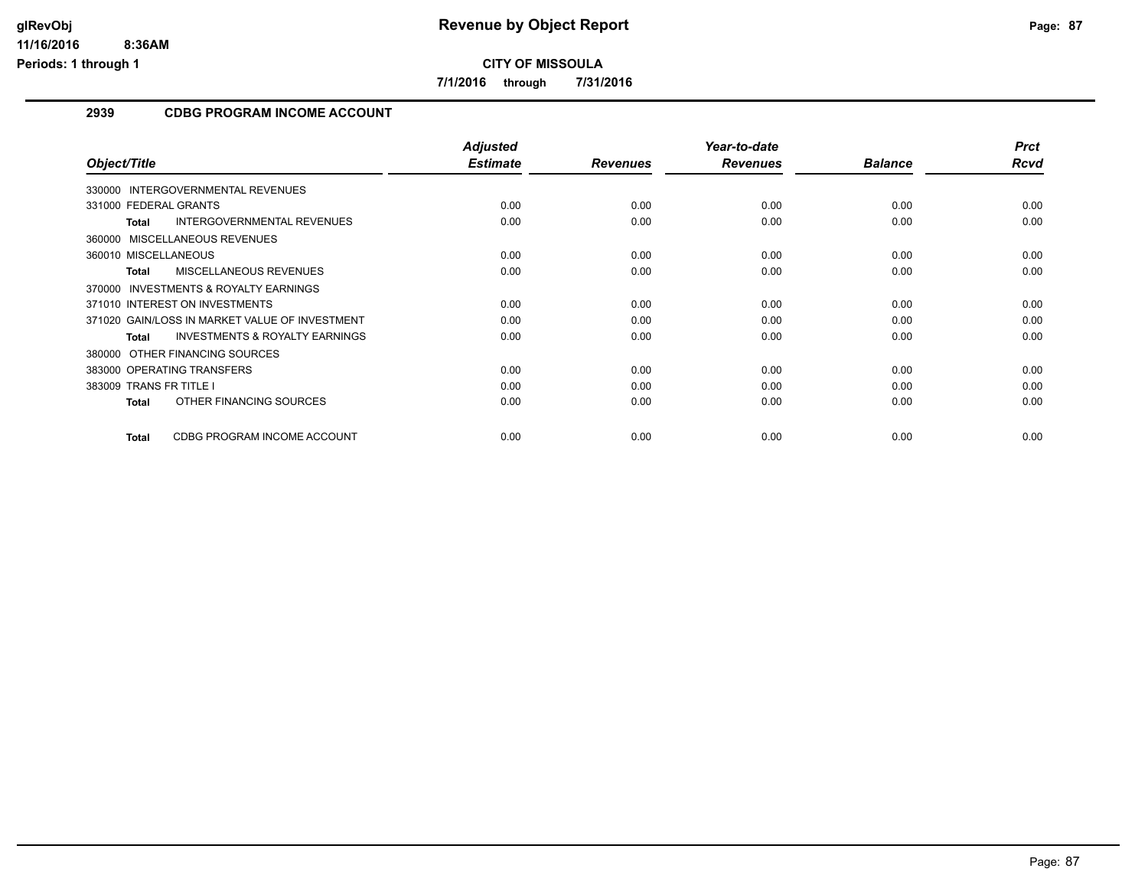#### **CITY OF MISSOULA**

**7/1/2016 through 7/31/2016**

## **2939 CDBG PROGRAM INCOME ACCOUNT**

| Object/Title                                              | <b>Adjusted</b><br><b>Estimate</b> | <b>Revenues</b> | Year-to-date<br><b>Revenues</b> | <b>Balance</b> | <b>Prct</b><br><b>Rcvd</b> |
|-----------------------------------------------------------|------------------------------------|-----------------|---------------------------------|----------------|----------------------------|
|                                                           |                                    |                 |                                 |                |                            |
| 330000 INTERGOVERNMENTAL REVENUES                         |                                    |                 |                                 |                |                            |
| 331000 FEDERAL GRANTS                                     | 0.00                               | 0.00            | 0.00                            | 0.00           | 0.00                       |
| INTERGOVERNMENTAL REVENUES<br><b>Total</b>                | 0.00                               | 0.00            | 0.00                            | 0.00           | 0.00                       |
| 360000 MISCELLANEOUS REVENUES                             |                                    |                 |                                 |                |                            |
| 360010 MISCELLANEOUS                                      | 0.00                               | 0.00            | 0.00                            | 0.00           | 0.00                       |
| <b>MISCELLANEOUS REVENUES</b><br><b>Total</b>             | 0.00                               | 0.00            | 0.00                            | 0.00           | 0.00                       |
| 370000 INVESTMENTS & ROYALTY EARNINGS                     |                                    |                 |                                 |                |                            |
| 371010 INTEREST ON INVESTMENTS                            | 0.00                               | 0.00            | 0.00                            | 0.00           | 0.00                       |
| 371020 GAIN/LOSS IN MARKET VALUE OF INVESTMENT            | 0.00                               | 0.00            | 0.00                            | 0.00           | 0.00                       |
| <b>INVESTMENTS &amp; ROYALTY EARNINGS</b><br><b>Total</b> | 0.00                               | 0.00            | 0.00                            | 0.00           | 0.00                       |
| 380000 OTHER FINANCING SOURCES                            |                                    |                 |                                 |                |                            |
| 383000 OPERATING TRANSFERS                                | 0.00                               | 0.00            | 0.00                            | 0.00           | 0.00                       |
| 383009 TRANS FR TITLE I                                   | 0.00                               | 0.00            | 0.00                            | 0.00           | 0.00                       |
| OTHER FINANCING SOURCES<br><b>Total</b>                   | 0.00                               | 0.00            | 0.00                            | 0.00           | 0.00                       |
| CDBG PROGRAM INCOME ACCOUNT<br><b>Total</b>               | 0.00                               | 0.00            | 0.00                            | 0.00           | 0.00                       |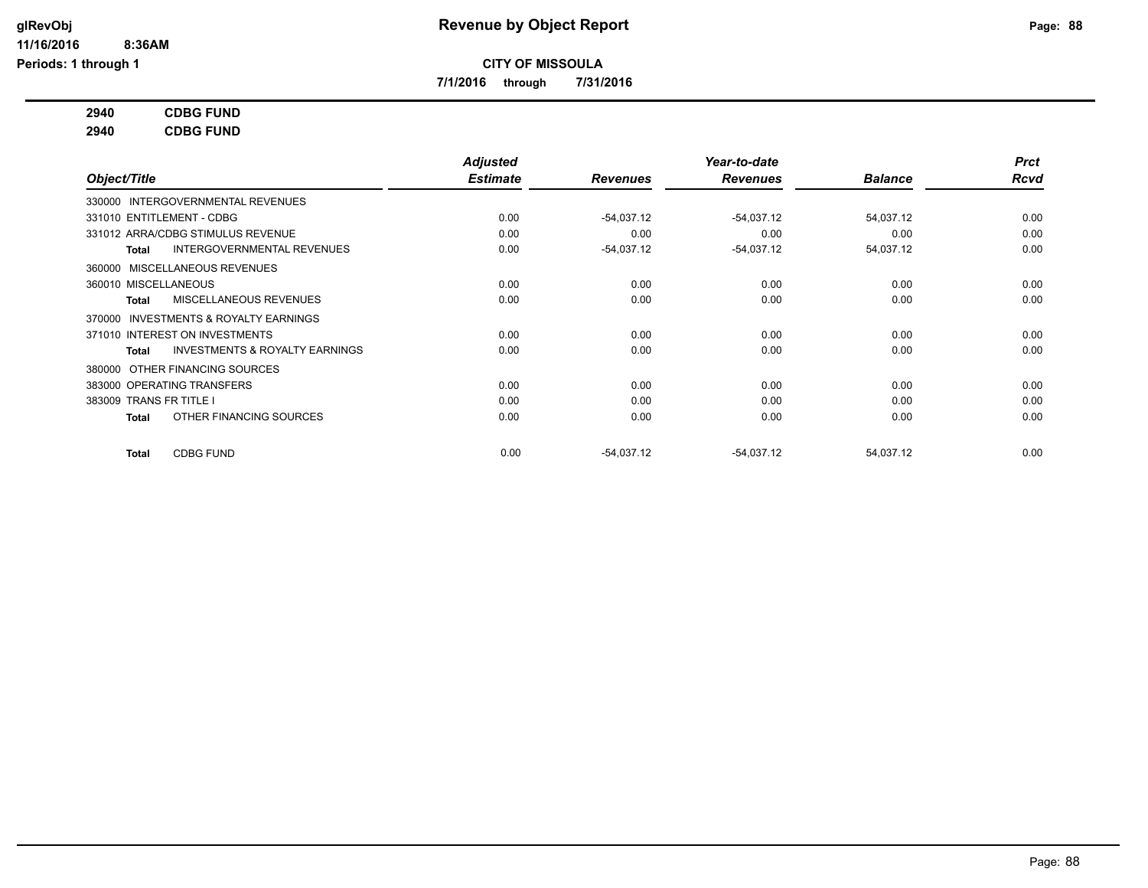**CITY OF MISSOULA**

**7/1/2016 through 7/31/2016**

# **2940 CDBG FUND**

 **8:36AM**

**2940 CDBG FUND**

|                                                     | <b>Adjusted</b> |                 | Year-to-date    |                | <b>Prct</b> |
|-----------------------------------------------------|-----------------|-----------------|-----------------|----------------|-------------|
| Object/Title                                        | <b>Estimate</b> | <b>Revenues</b> | <b>Revenues</b> | <b>Balance</b> | <b>Rcvd</b> |
| 330000 INTERGOVERNMENTAL REVENUES                   |                 |                 |                 |                |             |
| 331010 ENTITLEMENT - CDBG                           | 0.00            | $-54,037.12$    | $-54,037.12$    | 54,037.12      | 0.00        |
| 331012 ARRA/CDBG STIMULUS REVENUE                   | 0.00            | 0.00            | 0.00            | 0.00           | 0.00        |
| <b>INTERGOVERNMENTAL REVENUES</b><br>Total          | 0.00            | $-54,037.12$    | $-54,037.12$    | 54,037.12      | 0.00        |
| 360000 MISCELLANEOUS REVENUES                       |                 |                 |                 |                |             |
| 360010 MISCELLANEOUS                                | 0.00            | 0.00            | 0.00            | 0.00           | 0.00        |
| <b>MISCELLANEOUS REVENUES</b><br>Total              | 0.00            | 0.00            | 0.00            | 0.00           | 0.00        |
| <b>INVESTMENTS &amp; ROYALTY EARNINGS</b><br>370000 |                 |                 |                 |                |             |
| 371010 INTEREST ON INVESTMENTS                      | 0.00            | 0.00            | 0.00            | 0.00           | 0.00        |
| <b>INVESTMENTS &amp; ROYALTY EARNINGS</b><br>Total  | 0.00            | 0.00            | 0.00            | 0.00           | 0.00        |
| OTHER FINANCING SOURCES<br>380000                   |                 |                 |                 |                |             |
| 383000 OPERATING TRANSFERS                          | 0.00            | 0.00            | 0.00            | 0.00           | 0.00        |
| 383009 TRANS FR TITLE I                             | 0.00            | 0.00            | 0.00            | 0.00           | 0.00        |
| OTHER FINANCING SOURCES<br>Total                    | 0.00            | 0.00            | 0.00            | 0.00           | 0.00        |
| <b>CDBG FUND</b><br><b>Total</b>                    | 0.00            | $-54,037.12$    | $-54,037.12$    | 54,037.12      | 0.00        |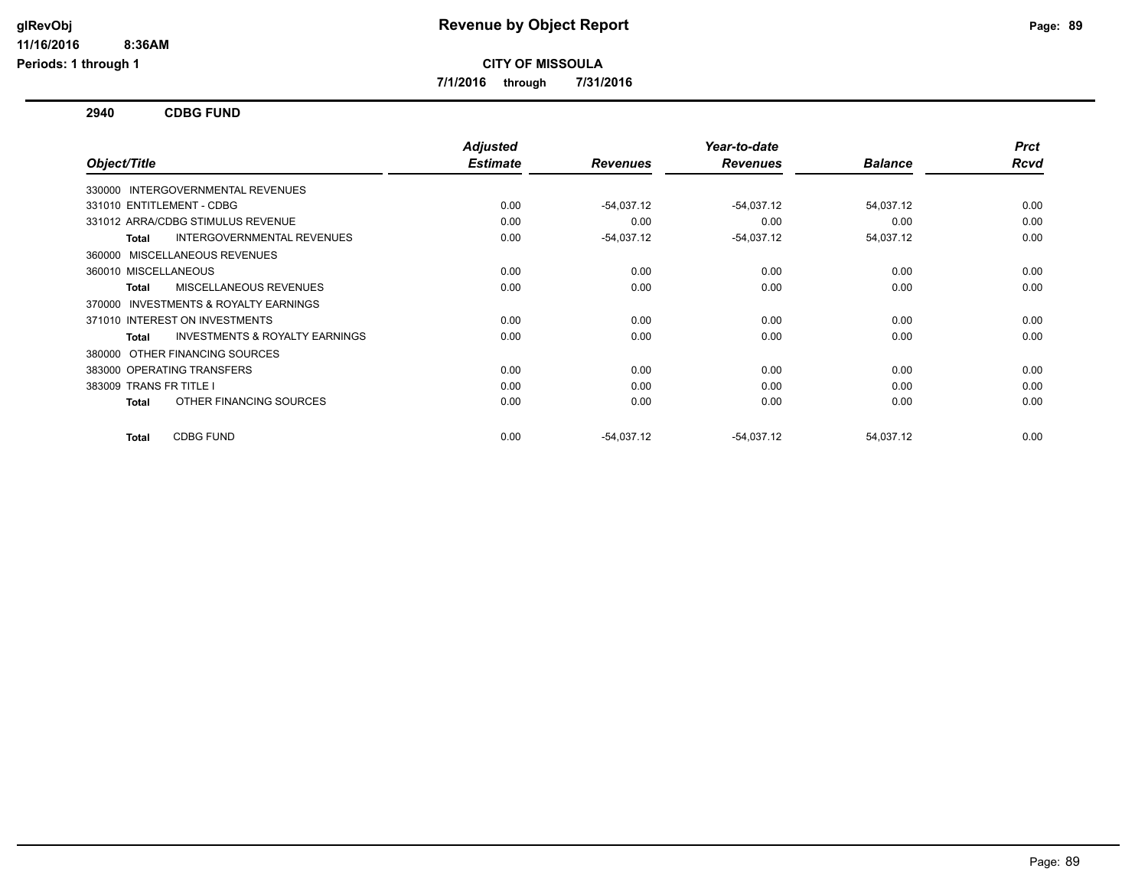**CITY OF MISSOULA**

**7/1/2016 through 7/31/2016**

**2940 CDBG FUND**

|                                                           | <b>Adjusted</b> |                 | Year-to-date    |                | <b>Prct</b> |
|-----------------------------------------------------------|-----------------|-----------------|-----------------|----------------|-------------|
| Object/Title                                              | <b>Estimate</b> | <b>Revenues</b> | <b>Revenues</b> | <b>Balance</b> | Rcvd        |
| INTERGOVERNMENTAL REVENUES<br>330000                      |                 |                 |                 |                |             |
| 331010 ENTITLEMENT - CDBG                                 | 0.00            | $-54,037.12$    | $-54,037.12$    | 54,037.12      | 0.00        |
| 331012 ARRA/CDBG STIMULUS REVENUE                         | 0.00            | 0.00            | 0.00            | 0.00           | 0.00        |
| <b>INTERGOVERNMENTAL REVENUES</b><br><b>Total</b>         | 0.00            | $-54,037.12$    | $-54,037.12$    | 54,037.12      | 0.00        |
| MISCELLANEOUS REVENUES<br>360000                          |                 |                 |                 |                |             |
| 360010 MISCELLANEOUS                                      | 0.00            | 0.00            | 0.00            | 0.00           | 0.00        |
| MISCELLANEOUS REVENUES<br><b>Total</b>                    | 0.00            | 0.00            | 0.00            | 0.00           | 0.00        |
| INVESTMENTS & ROYALTY EARNINGS<br>370000                  |                 |                 |                 |                |             |
| 371010 INTEREST ON INVESTMENTS                            | 0.00            | 0.00            | 0.00            | 0.00           | 0.00        |
| <b>INVESTMENTS &amp; ROYALTY EARNINGS</b><br><b>Total</b> | 0.00            | 0.00            | 0.00            | 0.00           | 0.00        |
| OTHER FINANCING SOURCES<br>380000                         |                 |                 |                 |                |             |
| 383000 OPERATING TRANSFERS                                | 0.00            | 0.00            | 0.00            | 0.00           | 0.00        |
| 383009 TRANS FR TITLE I                                   | 0.00            | 0.00            | 0.00            | 0.00           | 0.00        |
| OTHER FINANCING SOURCES<br><b>Total</b>                   | 0.00            | 0.00            | 0.00            | 0.00           | 0.00        |
| <b>CDBG FUND</b><br>Total                                 | 0.00            | $-54,037.12$    | $-54,037.12$    | 54,037.12      | 0.00        |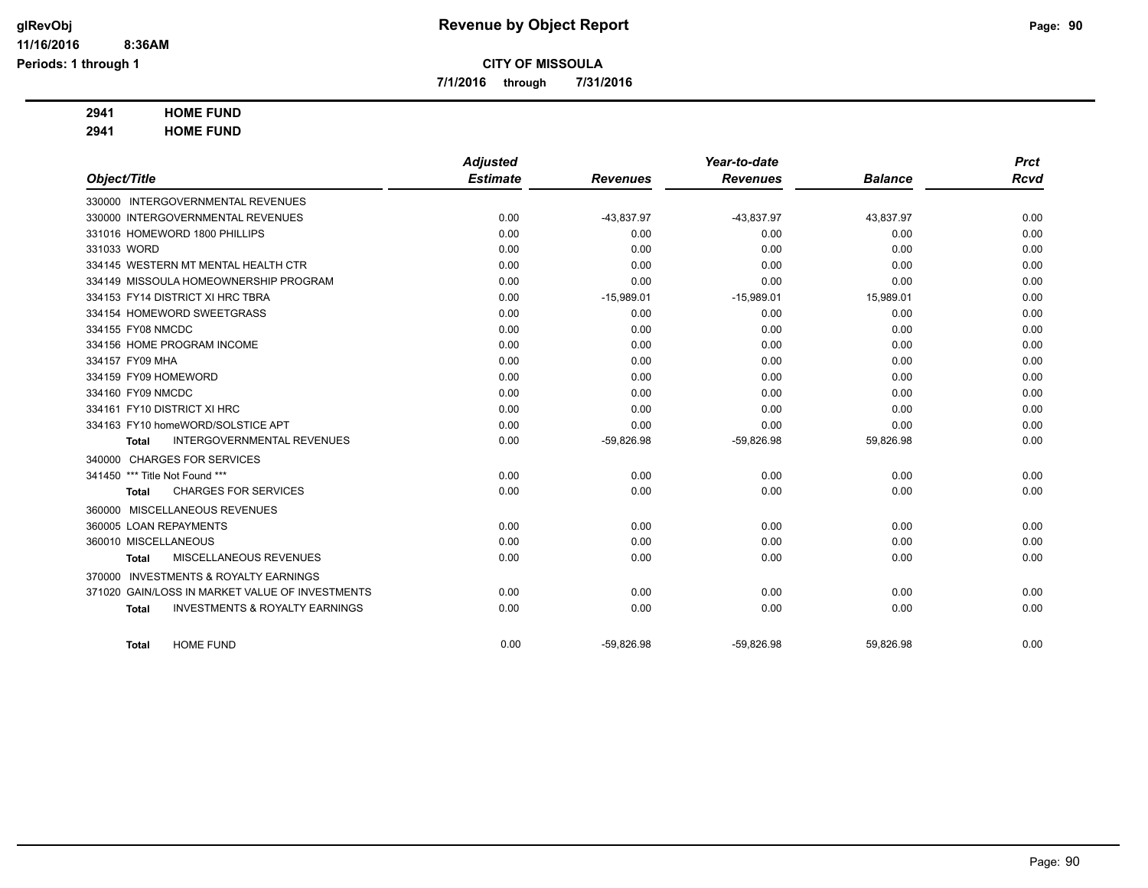**CITY OF MISSOULA**

**7/1/2016 through 7/31/2016**

#### **2941 HOME FUND**

 **8:36AM**

**2941 HOME FUND**

|                                                           | <b>Adjusted</b> |                 | Year-to-date    |                | <b>Prct</b> |
|-----------------------------------------------------------|-----------------|-----------------|-----------------|----------------|-------------|
| Object/Title                                              | <b>Estimate</b> | <b>Revenues</b> | <b>Revenues</b> | <b>Balance</b> | <b>Rcvd</b> |
| 330000 INTERGOVERNMENTAL REVENUES                         |                 |                 |                 |                |             |
| 330000 INTERGOVERNMENTAL REVENUES                         | 0.00            | $-43,837.97$    | -43,837.97      | 43,837.97      | 0.00        |
| 331016 HOMEWORD 1800 PHILLIPS                             | 0.00            | 0.00            | 0.00            | 0.00           | 0.00        |
| 331033 WORD                                               | 0.00            | 0.00            | 0.00            | 0.00           | 0.00        |
| 334145 WESTERN MT MENTAL HEALTH CTR                       | 0.00            | 0.00            | 0.00            | 0.00           | 0.00        |
| 334149 MISSOULA HOMEOWNERSHIP PROGRAM                     | 0.00            | 0.00            | 0.00            | 0.00           | 0.00        |
| 334153 FY14 DISTRICT XI HRC TBRA                          | 0.00            | $-15,989.01$    | $-15,989.01$    | 15,989.01      | 0.00        |
| 334154 HOMEWORD SWEETGRASS                                | 0.00            | 0.00            | 0.00            | 0.00           | 0.00        |
| 334155 FY08 NMCDC                                         | 0.00            | 0.00            | 0.00            | 0.00           | 0.00        |
| 334156 HOME PROGRAM INCOME                                | 0.00            | 0.00            | 0.00            | 0.00           | 0.00        |
| 334157 FY09 MHA                                           | 0.00            | 0.00            | 0.00            | 0.00           | 0.00        |
| 334159 FY09 HOMEWORD                                      | 0.00            | 0.00            | 0.00            | 0.00           | 0.00        |
| 334160 FY09 NMCDC                                         | 0.00            | 0.00            | 0.00            | 0.00           | 0.00        |
| 334161 FY10 DISTRICT XI HRC                               | 0.00            | 0.00            | 0.00            | 0.00           | 0.00        |
| 334163 FY10 homeWORD/SOLSTICE APT                         | 0.00            | 0.00            | 0.00            | 0.00           | 0.00        |
| <b>INTERGOVERNMENTAL REVENUES</b><br><b>Total</b>         | 0.00            | $-59,826.98$    | $-59,826.98$    | 59,826.98      | 0.00        |
| <b>CHARGES FOR SERVICES</b><br>340000                     |                 |                 |                 |                |             |
| 341450 *** Title Not Found ***                            | 0.00            | 0.00            | 0.00            | 0.00           | 0.00        |
| <b>CHARGES FOR SERVICES</b><br>Total                      | 0.00            | 0.00            | 0.00            | 0.00           | 0.00        |
| 360000 MISCELLANEOUS REVENUES                             |                 |                 |                 |                |             |
| 360005 LOAN REPAYMENTS                                    | 0.00            | 0.00            | 0.00            | 0.00           | 0.00        |
| 360010 MISCELLANEOUS                                      | 0.00            | 0.00            | 0.00            | 0.00           | 0.00        |
| MISCELLANEOUS REVENUES<br><b>Total</b>                    | 0.00            | 0.00            | 0.00            | 0.00           | 0.00        |
| 370000 INVESTMENTS & ROYALTY EARNINGS                     |                 |                 |                 |                |             |
| <b>GAIN/LOSS IN MARKET VALUE OF INVESTMENTS</b><br>371020 | 0.00            | 0.00            | 0.00            | 0.00           | 0.00        |
| <b>INVESTMENTS &amp; ROYALTY EARNINGS</b><br><b>Total</b> | 0.00            | 0.00            | 0.00            | 0.00           | 0.00        |
| <b>HOME FUND</b><br><b>Total</b>                          | 0.00            | $-59,826.98$    | $-59,826.98$    | 59,826.98      | 0.00        |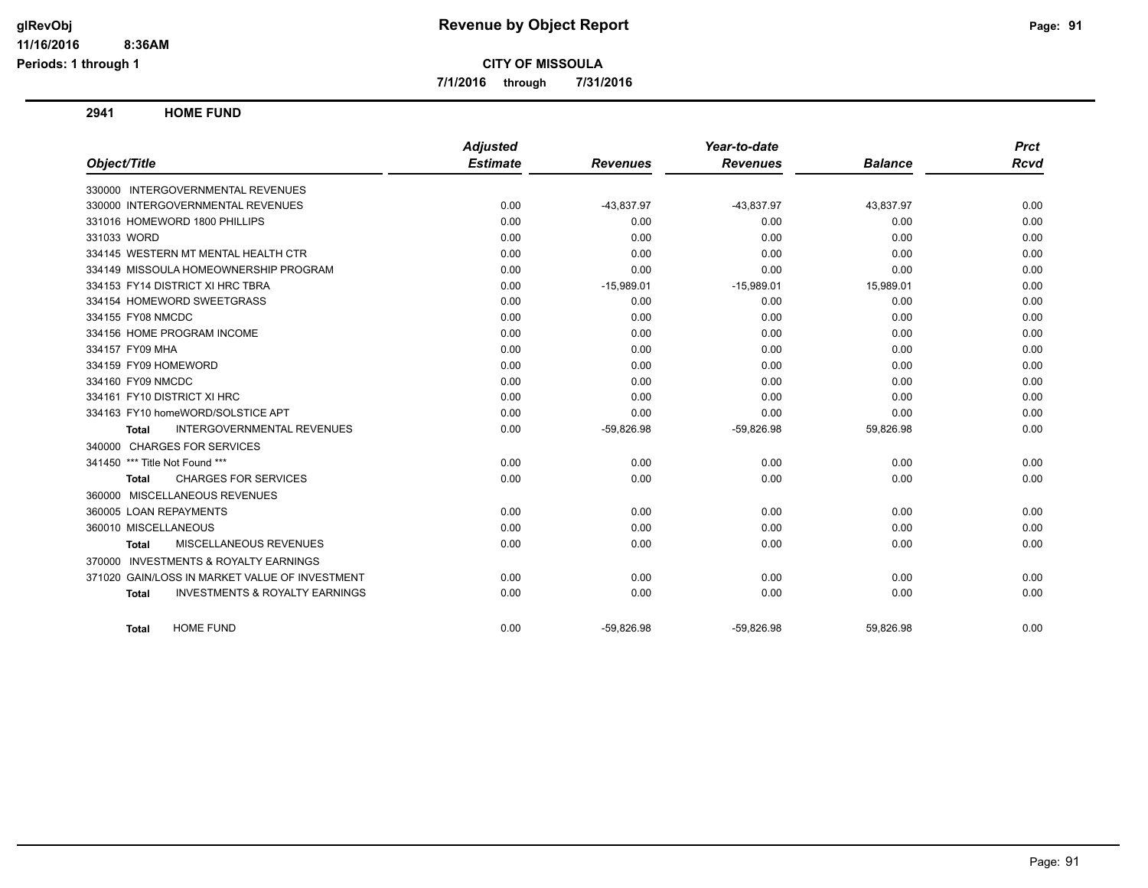**CITY OF MISSOULA**

**7/1/2016 through 7/31/2016**

**2941 HOME FUND**

|                                                           | <b>Adjusted</b> |                 | Year-to-date    |                | <b>Prct</b> |
|-----------------------------------------------------------|-----------------|-----------------|-----------------|----------------|-------------|
| Object/Title                                              | <b>Estimate</b> | <b>Revenues</b> | <b>Revenues</b> | <b>Balance</b> | <b>Rcvd</b> |
| 330000 INTERGOVERNMENTAL REVENUES                         |                 |                 |                 |                |             |
| 330000 INTERGOVERNMENTAL REVENUES                         | 0.00            | -43,837.97      | -43,837.97      | 43,837.97      | 0.00        |
| 331016 HOMEWORD 1800 PHILLIPS                             | 0.00            | 0.00            | 0.00            | 0.00           | 0.00        |
| 331033 WORD                                               | 0.00            | 0.00            | 0.00            | 0.00           | 0.00        |
| 334145 WESTERN MT MENTAL HEALTH CTR                       | 0.00            | 0.00            | 0.00            | 0.00           | 0.00        |
| 334149 MISSOULA HOMEOWNERSHIP PROGRAM                     | 0.00            | 0.00            | 0.00            | 0.00           | 0.00        |
| 334153 FY14 DISTRICT XI HRC TBRA                          | 0.00            | $-15,989.01$    | $-15,989.01$    | 15,989.01      | 0.00        |
| 334154 HOMEWORD SWEETGRASS                                | 0.00            | 0.00            | 0.00            | 0.00           | 0.00        |
| 334155 FY08 NMCDC                                         | 0.00            | 0.00            | 0.00            | 0.00           | 0.00        |
| 334156 HOME PROGRAM INCOME                                | 0.00            | 0.00            | 0.00            | 0.00           | 0.00        |
| 334157 FY09 MHA                                           | 0.00            | 0.00            | 0.00            | 0.00           | 0.00        |
| 334159 FY09 HOMEWORD                                      | 0.00            | 0.00            | 0.00            | 0.00           | 0.00        |
| 334160 FY09 NMCDC                                         | 0.00            | 0.00            | 0.00            | 0.00           | 0.00        |
| 334161 FY10 DISTRICT XI HRC                               | 0.00            | 0.00            | 0.00            | 0.00           | 0.00        |
| 334163 FY10 homeWORD/SOLSTICE APT                         | 0.00            | 0.00            | 0.00            | 0.00           | 0.00        |
| <b>INTERGOVERNMENTAL REVENUES</b><br>Total                | 0.00            | $-59,826.98$    | $-59,826.98$    | 59,826.98      | 0.00        |
| 340000 CHARGES FOR SERVICES                               |                 |                 |                 |                |             |
| 341450 *** Title Not Found ***                            | 0.00            | 0.00            | 0.00            | 0.00           | 0.00        |
| <b>CHARGES FOR SERVICES</b><br>Total                      | 0.00            | 0.00            | 0.00            | 0.00           | 0.00        |
| 360000 MISCELLANEOUS REVENUES                             |                 |                 |                 |                |             |
| 360005 LOAN REPAYMENTS                                    | 0.00            | 0.00            | 0.00            | 0.00           | 0.00        |
| 360010 MISCELLANEOUS                                      | 0.00            | 0.00            | 0.00            | 0.00           | 0.00        |
| MISCELLANEOUS REVENUES<br>Total                           | 0.00            | 0.00            | 0.00            | 0.00           | 0.00        |
| 370000 INVESTMENTS & ROYALTY EARNINGS                     |                 |                 |                 |                |             |
| <b>GAIN/LOSS IN MARKET VALUE OF INVESTMENT</b><br>371020  | 0.00            | 0.00            | 0.00            | 0.00           | 0.00        |
| <b>INVESTMENTS &amp; ROYALTY EARNINGS</b><br><b>Total</b> | 0.00            | 0.00            | 0.00            | 0.00           | 0.00        |
|                                                           |                 |                 |                 |                |             |
| <b>HOME FUND</b><br>Total                                 | 0.00            | $-59.826.98$    | $-59.826.98$    | 59.826.98      | 0.00        |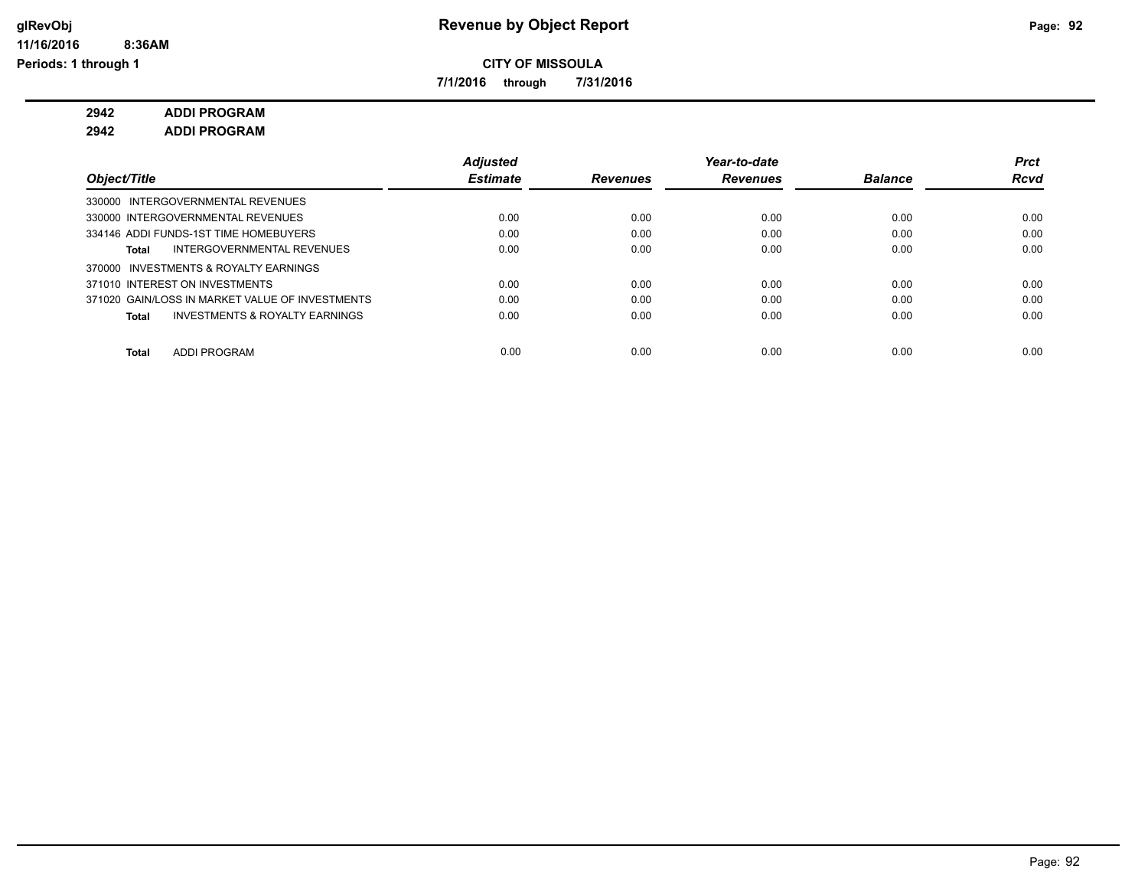**CITY OF MISSOULA**

**7/1/2016 through 7/31/2016**

**2942 ADDI PROGRAM**

**2942 ADDI PROGRAM**

|                                                    | <b>Adjusted</b> |                 | Year-to-date    |                | Prct        |
|----------------------------------------------------|-----------------|-----------------|-----------------|----------------|-------------|
| Object/Title                                       | <b>Estimate</b> | <b>Revenues</b> | <b>Revenues</b> | <b>Balance</b> | <b>Rcvd</b> |
| 330000 INTERGOVERNMENTAL REVENUES                  |                 |                 |                 |                |             |
| 330000 INTERGOVERNMENTAL REVENUES                  | 0.00            | 0.00            | 0.00            | 0.00           | 0.00        |
| 334146 ADDI FUNDS-1ST TIME HOMEBUYERS              | 0.00            | 0.00            | 0.00            | 0.00           | 0.00        |
| INTERGOVERNMENTAL REVENUES<br>Total                | 0.00            | 0.00            | 0.00            | 0.00           | 0.00        |
| 370000 INVESTMENTS & ROYALTY EARNINGS              |                 |                 |                 |                |             |
| 371010 INTEREST ON INVESTMENTS                     | 0.00            | 0.00            | 0.00            | 0.00           | 0.00        |
| 371020 GAIN/LOSS IN MARKET VALUE OF INVESTMENTS    | 0.00            | 0.00            | 0.00            | 0.00           | 0.00        |
| <b>INVESTMENTS &amp; ROYALTY EARNINGS</b><br>Total | 0.00            | 0.00            | 0.00            | 0.00           | 0.00        |
|                                                    |                 |                 |                 |                |             |
| <b>ADDI PROGRAM</b><br>Total                       | 0.00            | 0.00            | 0.00            | 0.00           | 0.00        |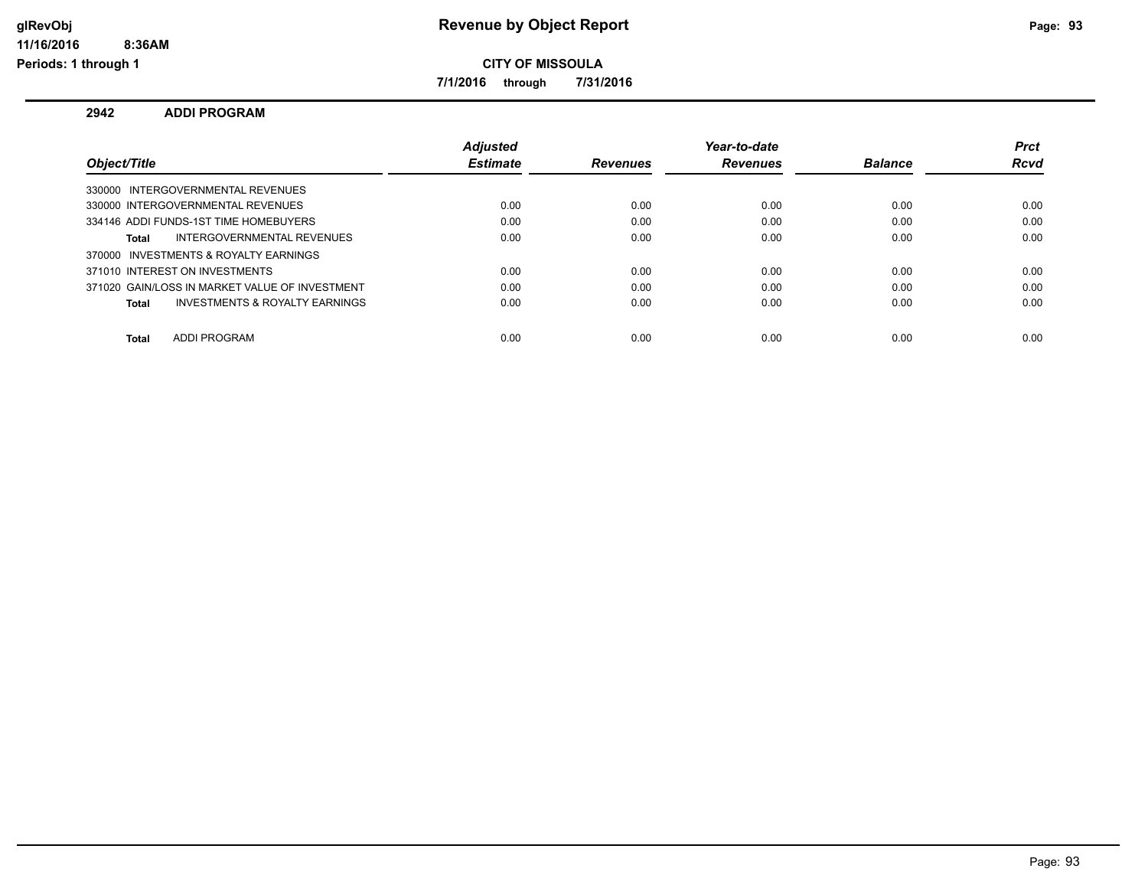**CITY OF MISSOULA**

**7/1/2016 through 7/31/2016**

#### **2942 ADDI PROGRAM**

|                                                | <b>Adiusted</b> |                 | Year-to-date    |                | <b>Prct</b> |
|------------------------------------------------|-----------------|-----------------|-----------------|----------------|-------------|
| Object/Title                                   | <b>Estimate</b> | <b>Revenues</b> | <b>Revenues</b> | <b>Balance</b> | Rcvd        |
| 330000 INTERGOVERNMENTAL REVENUES              |                 |                 |                 |                |             |
| 330000 INTERGOVERNMENTAL REVENUES              | 0.00            | 0.00            | 0.00            | 0.00           | 0.00        |
| 334146 ADDI FUNDS-1ST TIME HOMEBUYERS          | 0.00            | 0.00            | 0.00            | 0.00           | 0.00        |
| INTERGOVERNMENTAL REVENUES<br><b>Total</b>     | 0.00            | 0.00            | 0.00            | 0.00           | 0.00        |
| 370000 INVESTMENTS & ROYALTY EARNINGS          |                 |                 |                 |                |             |
| 371010 INTEREST ON INVESTMENTS                 | 0.00            | 0.00            | 0.00            | 0.00           | 0.00        |
| 371020 GAIN/LOSS IN MARKET VALUE OF INVESTMENT | 0.00            | 0.00            | 0.00            | 0.00           | 0.00        |
| INVESTMENTS & ROYALTY EARNINGS<br><b>Total</b> | 0.00            | 0.00            | 0.00            | 0.00           | 0.00        |
| <b>ADDI PROGRAM</b><br><b>Total</b>            | 0.00            | 0.00            | 0.00            | 0.00           | 0.00        |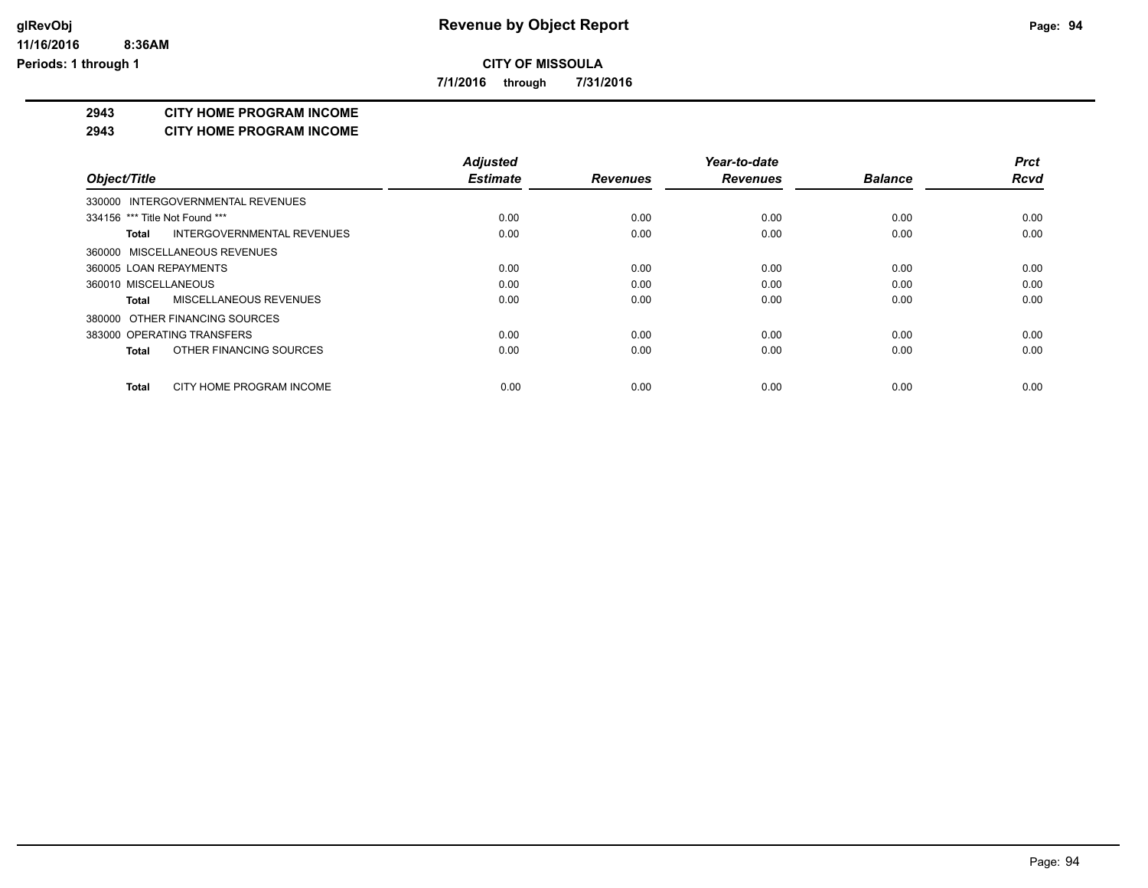**glRevObj Revenue by Object Report Page: 94** 

**CITY OF MISSOULA**

**7/1/2016 through 7/31/2016**

#### **2943 CITY HOME PROGRAM INCOME**

 **8:36AM**

#### **2943 CITY HOME PROGRAM INCOME**

| Object/Title                        | <b>Adjusted</b><br><b>Estimate</b> | <b>Revenues</b> | Year-to-date<br><b>Revenues</b> | <b>Balance</b> | <b>Prct</b><br><b>Rcvd</b> |
|-------------------------------------|------------------------------------|-----------------|---------------------------------|----------------|----------------------------|
| 330000 INTERGOVERNMENTAL REVENUES   |                                    |                 |                                 |                |                            |
|                                     |                                    |                 |                                 |                |                            |
| 334156 *** Title Not Found ***      | 0.00                               | 0.00            | 0.00                            | 0.00           | 0.00                       |
| INTERGOVERNMENTAL REVENUES<br>Total | 0.00                               | 0.00            | 0.00                            | 0.00           | 0.00                       |
| 360000 MISCELLANEOUS REVENUES       |                                    |                 |                                 |                |                            |
| 360005 LOAN REPAYMENTS              | 0.00                               | 0.00            | 0.00                            | 0.00           | 0.00                       |
| 360010 MISCELLANEOUS                | 0.00                               | 0.00            | 0.00                            | 0.00           | 0.00                       |
| MISCELLANEOUS REVENUES<br>Total     | 0.00                               | 0.00            | 0.00                            | 0.00           | 0.00                       |
| 380000 OTHER FINANCING SOURCES      |                                    |                 |                                 |                |                            |
| 383000 OPERATING TRANSFERS          | 0.00                               | 0.00            | 0.00                            | 0.00           | 0.00                       |
| OTHER FINANCING SOURCES<br>Total    | 0.00                               | 0.00            | 0.00                            | 0.00           | 0.00                       |
| CITY HOME PROGRAM INCOME<br>Total   | 0.00                               | 0.00            | 0.00                            | 0.00           | 0.00                       |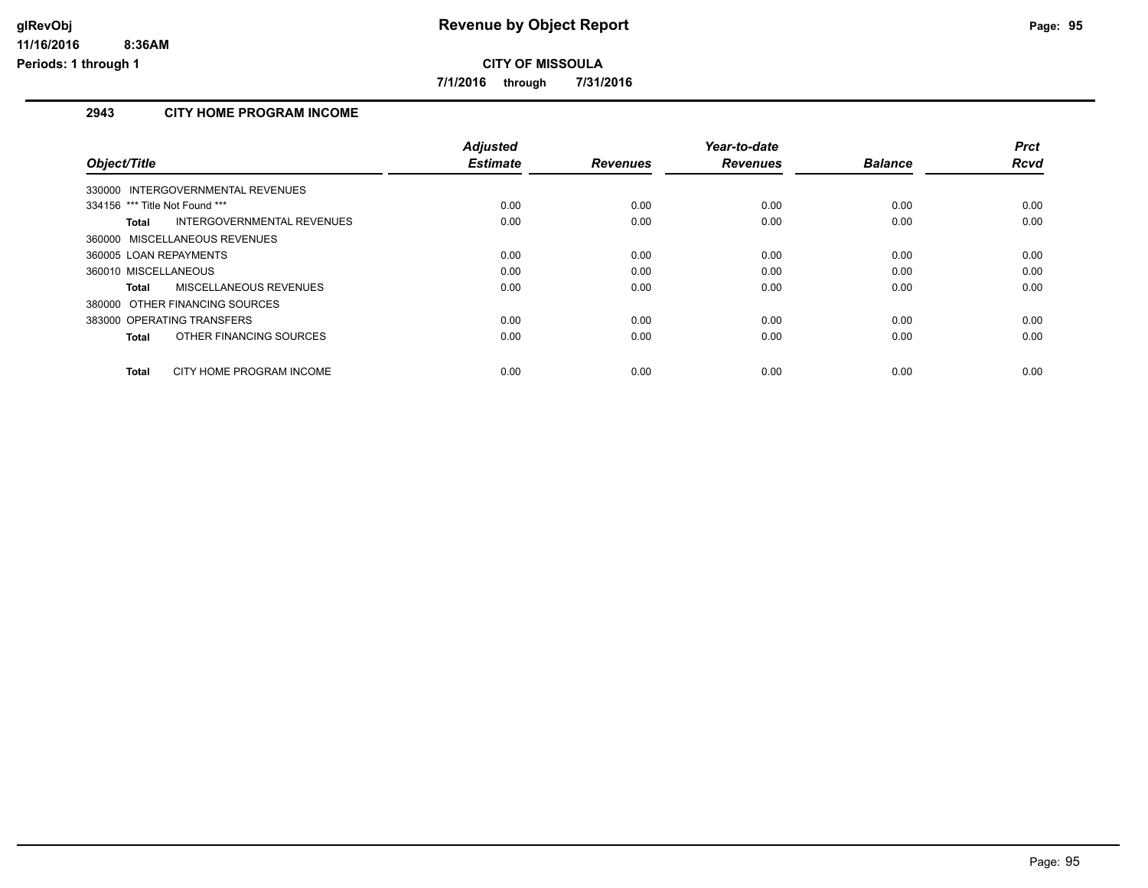**CITY OF MISSOULA**

**7/1/2016 through 7/31/2016**

#### **2943 CITY HOME PROGRAM INCOME**

| Object/Title                               | <b>Adjusted</b><br><b>Estimate</b> | <b>Revenues</b> | Year-to-date<br><b>Revenues</b> | <b>Balance</b> | <b>Prct</b><br><b>Rcvd</b> |
|--------------------------------------------|------------------------------------|-----------------|---------------------------------|----------------|----------------------------|
|                                            |                                    |                 |                                 |                |                            |
| 330000 INTERGOVERNMENTAL REVENUES          |                                    |                 |                                 |                |                            |
| 334156 *** Title Not Found ***             | 0.00                               | 0.00            | 0.00                            | 0.00           | 0.00                       |
| INTERGOVERNMENTAL REVENUES<br><b>Total</b> | 0.00                               | 0.00            | 0.00                            | 0.00           | 0.00                       |
| 360000 MISCELLANEOUS REVENUES              |                                    |                 |                                 |                |                            |
| 360005 LOAN REPAYMENTS                     | 0.00                               | 0.00            | 0.00                            | 0.00           | 0.00                       |
| 360010 MISCELLANEOUS                       | 0.00                               | 0.00            | 0.00                            | 0.00           | 0.00                       |
| MISCELLANEOUS REVENUES<br><b>Total</b>     | 0.00                               | 0.00            | 0.00                            | 0.00           | 0.00                       |
| 380000 OTHER FINANCING SOURCES             |                                    |                 |                                 |                |                            |
| 383000 OPERATING TRANSFERS                 | 0.00                               | 0.00            | 0.00                            | 0.00           | 0.00                       |
| OTHER FINANCING SOURCES<br><b>Total</b>    | 0.00                               | 0.00            | 0.00                            | 0.00           | 0.00                       |
| CITY HOME PROGRAM INCOME<br><b>Total</b>   | 0.00                               | 0.00            | 0.00                            | 0.00           | 0.00                       |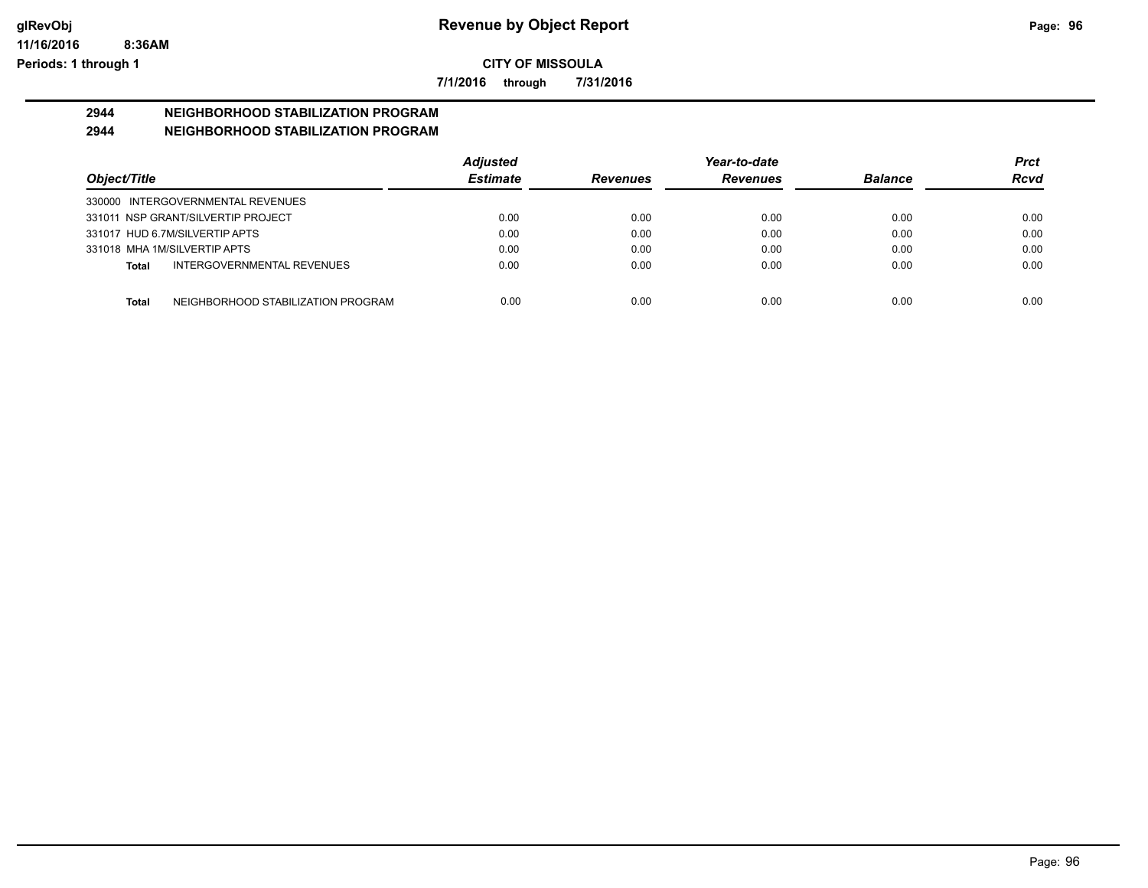**CITY OF MISSOULA**

**7/1/2016 through 7/31/2016**

# **2944 NEIGHBORHOOD STABILIZATION PROGRAM**

# **2944 NEIGHBORHOOD STABILIZATION PROGRAM**

|              |                                    | <b>Adjusted</b> |                 | Year-to-date    |                | <b>Prct</b> |
|--------------|------------------------------------|-----------------|-----------------|-----------------|----------------|-------------|
| Object/Title |                                    | <b>Estimate</b> | <b>Revenues</b> | <b>Revenues</b> | <b>Balance</b> | Rcvd        |
|              | 330000 INTERGOVERNMENTAL REVENUES  |                 |                 |                 |                |             |
|              | 331011 NSP GRANT/SILVERTIP PROJECT | 0.00            | 0.00            | 0.00            | 0.00           | 0.00        |
|              | 331017 HUD 6.7M/SILVERTIP APTS     | 0.00            | 0.00            | 0.00            | 0.00           | 0.00        |
|              | 331018 MHA 1M/SILVERTIP APTS       | 0.00            | 0.00            | 0.00            | 0.00           | 0.00        |
| <b>Total</b> | INTERGOVERNMENTAL REVENUES         | 0.00            | 0.00            | 0.00            | 0.00           | 0.00        |
| <b>Total</b> | NEIGHBORHOOD STABILIZATION PROGRAM | 0.00            | 0.00            | 0.00            | 0.00           | 0.00        |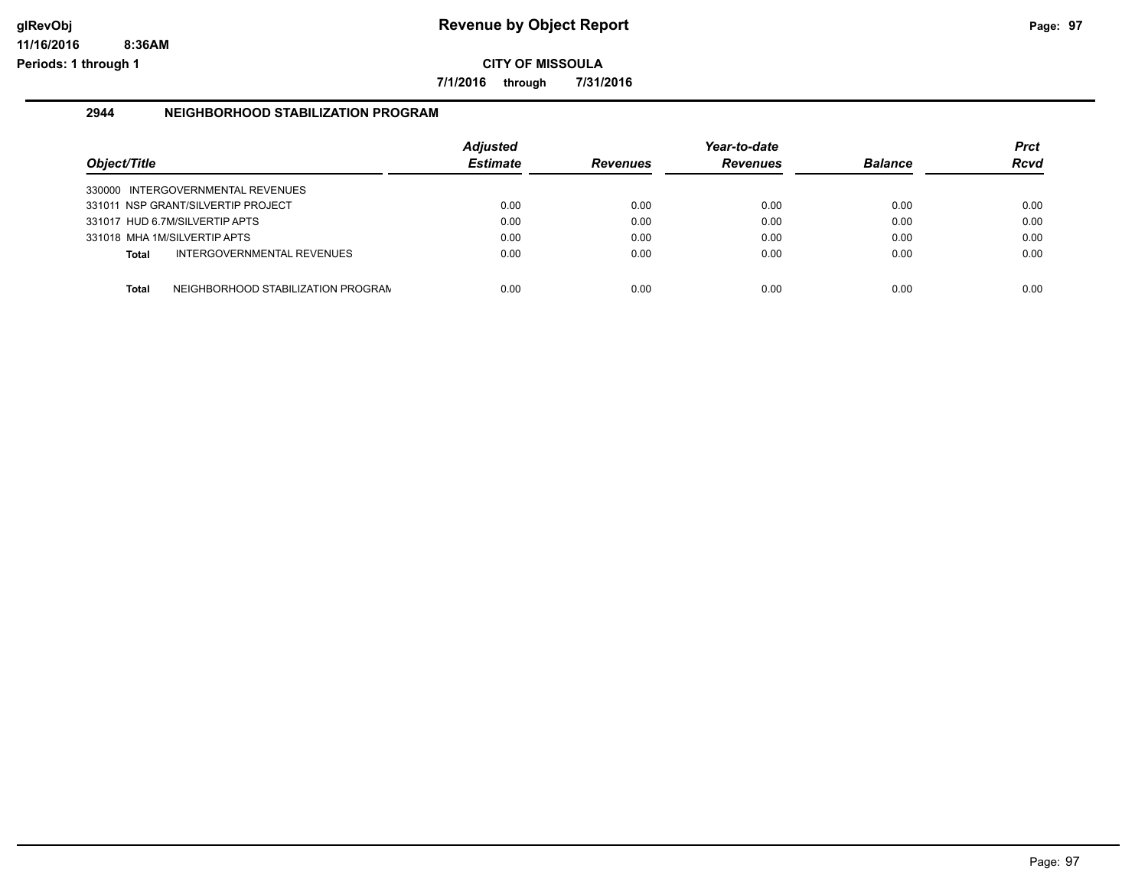**8:36AM**

**CITY OF MISSOULA**

**7/1/2016 through 7/31/2016**

#### **2944 NEIGHBORHOOD STABILIZATION PROGRAM**

| Object/Title |                                    | <b>Adjusted</b><br><b>Estimate</b> | <b>Revenues</b> | Year-to-date<br><b>Revenues</b> | <b>Balance</b> | <b>Prct</b><br><b>Rcvd</b> |
|--------------|------------------------------------|------------------------------------|-----------------|---------------------------------|----------------|----------------------------|
|              | 330000 INTERGOVERNMENTAL REVENUES  |                                    |                 |                                 |                |                            |
|              | 331011 NSP GRANT/SILVERTIP PROJECT | 0.00                               | 0.00            | 0.00                            | 0.00           | 0.00                       |
|              | 331017 HUD 6.7M/SILVERTIP APTS     | 0.00                               | 0.00            | 0.00                            | 0.00           | 0.00                       |
|              | 331018 MHA 1M/SILVERTIP APTS       | 0.00                               | 0.00            | 0.00                            | 0.00           | 0.00                       |
| Total        | INTERGOVERNMENTAL REVENUES         | 0.00                               | 0.00            | 0.00                            | 0.00           | 0.00                       |
| <b>Total</b> | NEIGHBORHOOD STABILIZATION PROGRAN | 0.00                               | 0.00            | 0.00                            | 0.00           | 0.00                       |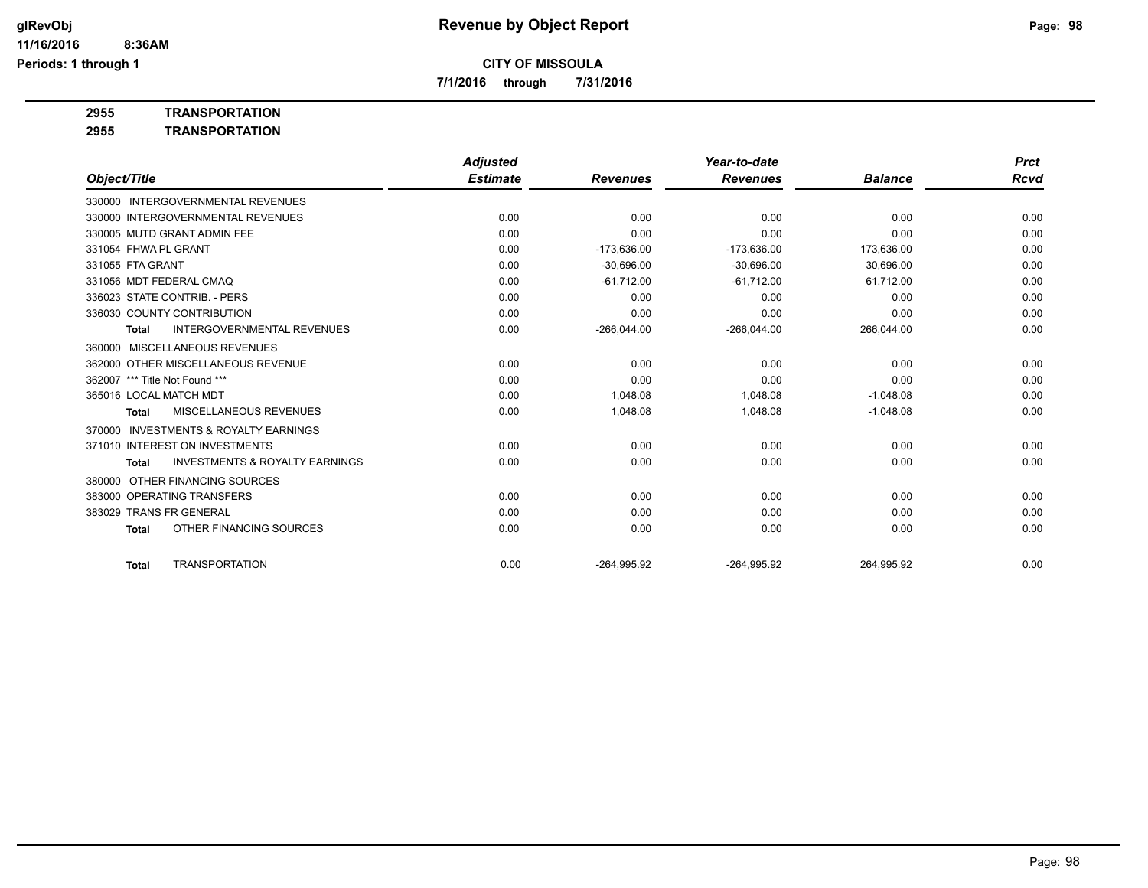**CITY OF MISSOULA**

**7/1/2016 through 7/31/2016**

**2955 TRANSPORTATION**

**2955 TRANSPORTATION**

|                                                           | <b>Adjusted</b> |                 | Year-to-date    |                | <b>Prct</b> |
|-----------------------------------------------------------|-----------------|-----------------|-----------------|----------------|-------------|
| Object/Title                                              | <b>Estimate</b> | <b>Revenues</b> | <b>Revenues</b> | <b>Balance</b> | Rcvd        |
| 330000 INTERGOVERNMENTAL REVENUES                         |                 |                 |                 |                |             |
| 330000 INTERGOVERNMENTAL REVENUES                         | 0.00            | 0.00            | 0.00            | 0.00           | 0.00        |
| 330005 MUTD GRANT ADMIN FEE                               | 0.00            | 0.00            | 0.00            | 0.00           | 0.00        |
| 331054 FHWA PL GRANT                                      | 0.00            | $-173.636.00$   | $-173.636.00$   | 173.636.00     | 0.00        |
| 331055 FTA GRANT                                          | 0.00            | $-30,696.00$    | $-30,696.00$    | 30,696.00      | 0.00        |
| 331056 MDT FEDERAL CMAQ                                   | 0.00            | $-61.712.00$    | $-61.712.00$    | 61.712.00      | 0.00        |
| 336023 STATE CONTRIB. - PERS                              | 0.00            | 0.00            | 0.00            | 0.00           | 0.00        |
| 336030 COUNTY CONTRIBUTION                                | 0.00            | 0.00            | 0.00            | 0.00           | 0.00        |
| <b>INTERGOVERNMENTAL REVENUES</b><br><b>Total</b>         | 0.00            | $-266,044.00$   | $-266,044.00$   | 266,044.00     | 0.00        |
| <b>MISCELLANEOUS REVENUES</b><br>360000                   |                 |                 |                 |                |             |
| 362000 OTHER MISCELLANEOUS REVENUE                        | 0.00            | 0.00            | 0.00            | 0.00           | 0.00        |
| 362007 *** Title Not Found ***                            | 0.00            | 0.00            | 0.00            | 0.00           | 0.00        |
| 365016 LOCAL MATCH MDT                                    | 0.00            | 1,048.08        | 1,048.08        | $-1,048.08$    | 0.00        |
| <b>MISCELLANEOUS REVENUES</b><br><b>Total</b>             | 0.00            | 1,048.08        | 1,048.08        | $-1,048.08$    | 0.00        |
| <b>INVESTMENTS &amp; ROYALTY EARNINGS</b><br>370000       |                 |                 |                 |                |             |
| 371010 INTEREST ON INVESTMENTS                            | 0.00            | 0.00            | 0.00            | 0.00           | 0.00        |
| <b>INVESTMENTS &amp; ROYALTY EARNINGS</b><br><b>Total</b> | 0.00            | 0.00            | 0.00            | 0.00           | 0.00        |
| OTHER FINANCING SOURCES<br>380000                         |                 |                 |                 |                |             |
| 383000 OPERATING TRANSFERS                                | 0.00            | 0.00            | 0.00            | 0.00           | 0.00        |
| <b>TRANS FR GENERAL</b><br>383029                         | 0.00            | 0.00            | 0.00            | 0.00           | 0.00        |
| OTHER FINANCING SOURCES<br><b>Total</b>                   | 0.00            | 0.00            | 0.00            | 0.00           | 0.00        |
| <b>TRANSPORTATION</b><br><b>Total</b>                     | 0.00            | $-264.995.92$   | -264.995.92     | 264.995.92     | 0.00        |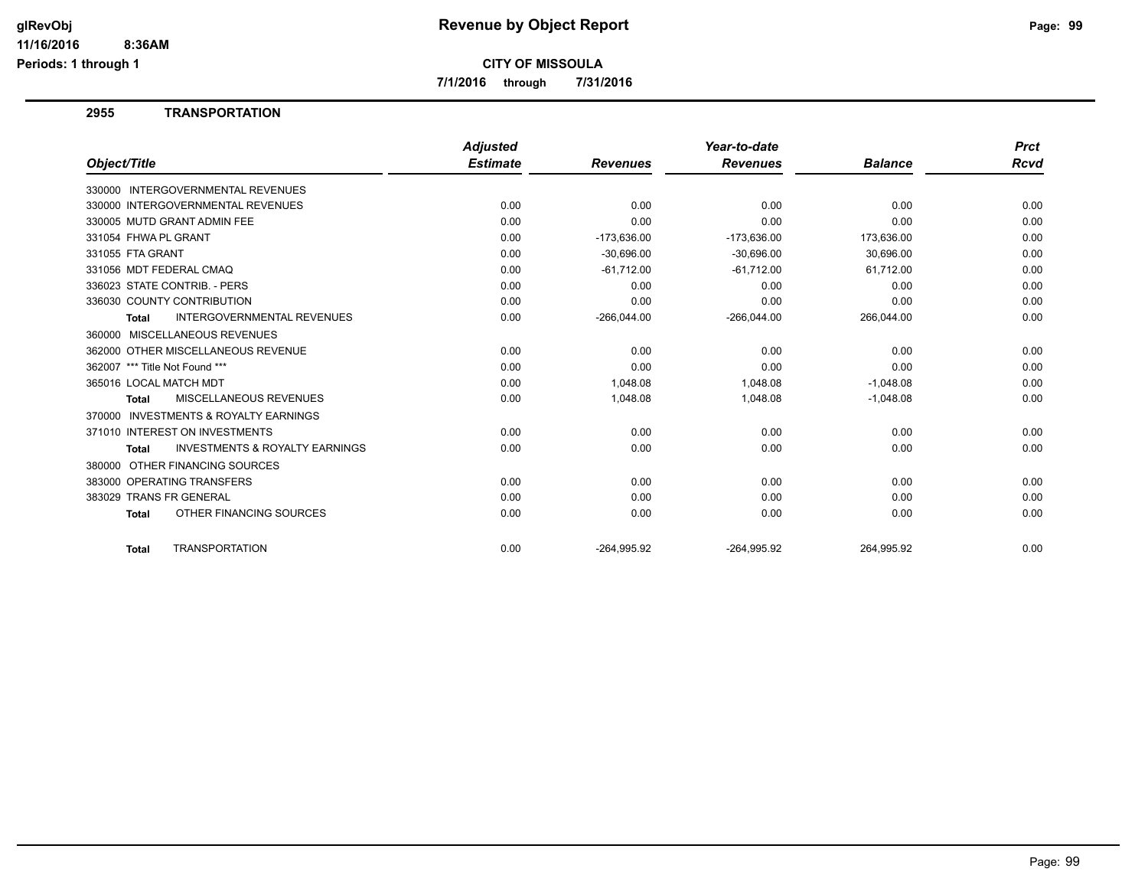**CITY OF MISSOULA**

**7/1/2016 through 7/31/2016**

#### **2955 TRANSPORTATION**

|                                                           | <b>Adjusted</b> |                 | Year-to-date    |                | <b>Prct</b> |
|-----------------------------------------------------------|-----------------|-----------------|-----------------|----------------|-------------|
| Object/Title                                              | <b>Estimate</b> | <b>Revenues</b> | <b>Revenues</b> | <b>Balance</b> | Rcvd        |
| 330000 INTERGOVERNMENTAL REVENUES                         |                 |                 |                 |                |             |
| 330000 INTERGOVERNMENTAL REVENUES                         | 0.00            | 0.00            | 0.00            | 0.00           | 0.00        |
| 330005 MUTD GRANT ADMIN FEE                               | 0.00            | 0.00            | 0.00            | 0.00           | 0.00        |
| 331054 FHWA PL GRANT                                      | 0.00            | $-173,636.00$   | $-173,636.00$   | 173,636.00     | 0.00        |
| 331055 FTA GRANT                                          | 0.00            | $-30,696.00$    | $-30,696.00$    | 30,696.00      | 0.00        |
| 331056 MDT FEDERAL CMAQ                                   | 0.00            | $-61,712.00$    | $-61,712.00$    | 61,712.00      | 0.00        |
| 336023 STATE CONTRIB. - PERS                              | 0.00            | 0.00            | 0.00            | 0.00           | 0.00        |
| 336030 COUNTY CONTRIBUTION                                | 0.00            | 0.00            | 0.00            | 0.00           | 0.00        |
| <b>INTERGOVERNMENTAL REVENUES</b><br>Total                | 0.00            | $-266,044.00$   | $-266,044.00$   | 266,044.00     | 0.00        |
| 360000 MISCELLANEOUS REVENUES                             |                 |                 |                 |                |             |
| 362000 OTHER MISCELLANEOUS REVENUE                        | 0.00            | 0.00            | 0.00            | 0.00           | 0.00        |
| 362007 *** Title Not Found ***                            | 0.00            | 0.00            | 0.00            | 0.00           | 0.00        |
| 365016 LOCAL MATCH MDT                                    | 0.00            | 1,048.08        | 1,048.08        | $-1,048.08$    | 0.00        |
| <b>MISCELLANEOUS REVENUES</b><br>Total                    | 0.00            | 1,048.08        | 1,048.08        | $-1,048.08$    | 0.00        |
| 370000 INVESTMENTS & ROYALTY EARNINGS                     |                 |                 |                 |                |             |
| 371010 INTEREST ON INVESTMENTS                            | 0.00            | 0.00            | 0.00            | 0.00           | 0.00        |
| <b>INVESTMENTS &amp; ROYALTY EARNINGS</b><br><b>Total</b> | 0.00            | 0.00            | 0.00            | 0.00           | 0.00        |
| 380000 OTHER FINANCING SOURCES                            |                 |                 |                 |                |             |
| 383000 OPERATING TRANSFERS                                | 0.00            | 0.00            | 0.00            | 0.00           | 0.00        |
| 383029 TRANS FR GENERAL                                   | 0.00            | 0.00            | 0.00            | 0.00           | 0.00        |
| OTHER FINANCING SOURCES<br><b>Total</b>                   | 0.00            | 0.00            | 0.00            | 0.00           | 0.00        |
| <b>TRANSPORTATION</b><br><b>Total</b>                     | 0.00            | $-264.995.92$   | $-264.995.92$   | 264.995.92     | 0.00        |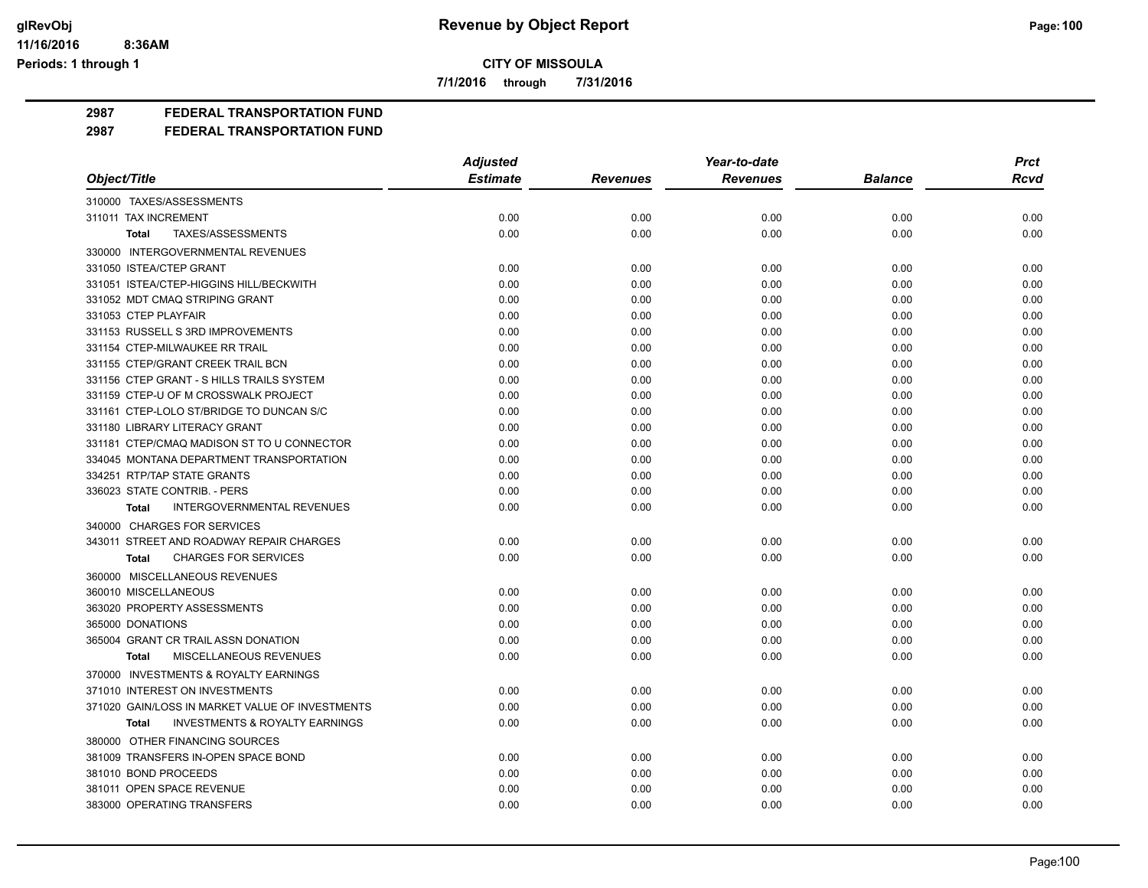**11/16/2016**

 **8:36AM Periods: 1 through 1**

**CITY OF MISSOULA**

**7/1/2016 through 7/31/2016**

**2987 FEDERAL TRANSPORTATION FUND**

**2987 FEDERAL TRANSPORTATION FUND**

|                                                    | <b>Adjusted</b> |                 | Year-to-date    |                | <b>Prct</b> |
|----------------------------------------------------|-----------------|-----------------|-----------------|----------------|-------------|
| Object/Title                                       | <b>Estimate</b> | <b>Revenues</b> | <b>Revenues</b> | <b>Balance</b> | Rcvd        |
| 310000 TAXES/ASSESSMENTS                           |                 |                 |                 |                |             |
| 311011 TAX INCREMENT                               | 0.00            | 0.00            | 0.00            | 0.00           | 0.00        |
| TAXES/ASSESSMENTS<br><b>Total</b>                  | 0.00            | 0.00            | 0.00            | 0.00           | 0.00        |
| 330000 INTERGOVERNMENTAL REVENUES                  |                 |                 |                 |                |             |
| 331050 ISTEA/CTEP GRANT                            | 0.00            | 0.00            | 0.00            | 0.00           | 0.00        |
| 331051 ISTEA/CTEP-HIGGINS HILL/BECKWITH            | 0.00            | 0.00            | 0.00            | 0.00           | 0.00        |
| 331052 MDT CMAQ STRIPING GRANT                     | 0.00            | 0.00            | 0.00            | 0.00           | 0.00        |
| 331053 CTEP PLAYFAIR                               | 0.00            | 0.00            | 0.00            | 0.00           | 0.00        |
| 331153 RUSSELL S 3RD IMPROVEMENTS                  | 0.00            | 0.00            | 0.00            | 0.00           | 0.00        |
| 331154 CTEP-MILWAUKEE RR TRAIL                     | 0.00            | 0.00            | 0.00            | 0.00           | 0.00        |
| 331155 CTEP/GRANT CREEK TRAIL BCN                  | 0.00            | 0.00            | 0.00            | 0.00           | 0.00        |
| 331156 CTEP GRANT - S HILLS TRAILS SYSTEM          | 0.00            | 0.00            | 0.00            | 0.00           | 0.00        |
| 331159 CTEP-U OF M CROSSWALK PROJECT               | 0.00            | 0.00            | 0.00            | 0.00           | 0.00        |
| 331161 CTEP-LOLO ST/BRIDGE TO DUNCAN S/C           | 0.00            | 0.00            | 0.00            | 0.00           | 0.00        |
| 331180 LIBRARY LITERACY GRANT                      | 0.00            | 0.00            | 0.00            | 0.00           | 0.00        |
| 331181 CTEP/CMAQ MADISON ST TO U CONNECTOR         | 0.00            | 0.00            | 0.00            | 0.00           | 0.00        |
| 334045 MONTANA DEPARTMENT TRANSPORTATION           | 0.00            | 0.00            | 0.00            | 0.00           | 0.00        |
| 334251 RTP/TAP STATE GRANTS                        | 0.00            | 0.00            | 0.00            | 0.00           | 0.00        |
| 336023 STATE CONTRIB. - PERS                       | 0.00            | 0.00            | 0.00            | 0.00           | 0.00        |
| <b>INTERGOVERNMENTAL REVENUES</b><br>Total         | 0.00            | 0.00            | 0.00            | 0.00           | 0.00        |
| 340000 CHARGES FOR SERVICES                        |                 |                 |                 |                |             |
| 343011 STREET AND ROADWAY REPAIR CHARGES           | 0.00            | 0.00            | 0.00            | 0.00           | 0.00        |
| <b>CHARGES FOR SERVICES</b><br><b>Total</b>        | 0.00            | 0.00            | 0.00            | 0.00           | 0.00        |
| 360000 MISCELLANEOUS REVENUES                      |                 |                 |                 |                |             |
| 360010 MISCELLANEOUS                               | 0.00            | 0.00            | 0.00            | 0.00           | 0.00        |
| 363020 PROPERTY ASSESSMENTS                        | 0.00            | 0.00            | 0.00            | 0.00           | 0.00        |
| 365000 DONATIONS                                   | 0.00            | 0.00            | 0.00            | 0.00           | 0.00        |
| 365004 GRANT CR TRAIL ASSN DONATION                | 0.00            | 0.00            | 0.00            | 0.00           | 0.00        |
| MISCELLANEOUS REVENUES<br><b>Total</b>             | 0.00            | 0.00            | 0.00            | 0.00           | 0.00        |
| 370000 INVESTMENTS & ROYALTY EARNINGS              |                 |                 |                 |                |             |
| 371010 INTEREST ON INVESTMENTS                     | 0.00            | 0.00            | 0.00            | 0.00           | 0.00        |
| 371020 GAIN/LOSS IN MARKET VALUE OF INVESTMENTS    | 0.00            | 0.00            | 0.00            | 0.00           | 0.00        |
| <b>INVESTMENTS &amp; ROYALTY EARNINGS</b><br>Total | 0.00            | 0.00            | 0.00            | 0.00           | 0.00        |
| 380000 OTHER FINANCING SOURCES                     |                 |                 |                 |                |             |
| 381009 TRANSFERS IN-OPEN SPACE BOND                | 0.00            | 0.00            | 0.00            | 0.00           | 0.00        |
| 381010 BOND PROCEEDS                               | 0.00            | 0.00            | 0.00            | 0.00           | 0.00        |
| 381011 OPEN SPACE REVENUE                          | 0.00            | 0.00            | 0.00            | 0.00           | 0.00        |
| 383000 OPERATING TRANSFERS                         | 0.00            | 0.00            | 0.00            | 0.00           | 0.00        |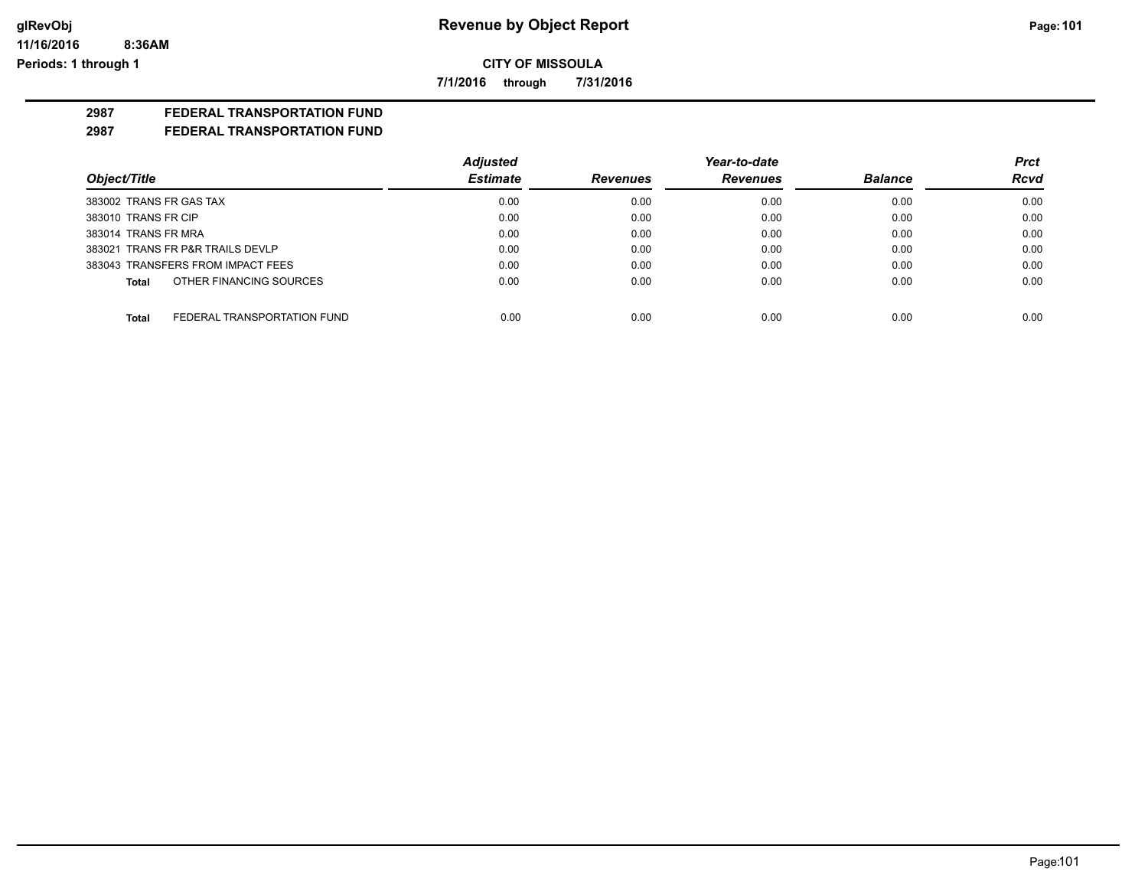**CITY OF MISSOULA**

**7/1/2016 through 7/31/2016**

# **2987 FEDERAL TRANSPORTATION FUND**

#### **2987 FEDERAL TRANSPORTATION FUND**

|                                             | <b>Adjusted</b> |                 | Year-to-date    |                | <b>Prct</b> |
|---------------------------------------------|-----------------|-----------------|-----------------|----------------|-------------|
| Object/Title                                | <b>Estimate</b> | <b>Revenues</b> | <b>Revenues</b> | <b>Balance</b> | <b>Rcvd</b> |
| 383002 TRANS FR GAS TAX                     | 0.00            | 0.00            | 0.00            | 0.00           | 0.00        |
| 383010 TRANS FR CIP                         | 0.00            | 0.00            | 0.00            | 0.00           | 0.00        |
| 383014 TRANS FR MRA                         | 0.00            | 0.00            | 0.00            | 0.00           | 0.00        |
| 383021 TRANS FR P&R TRAILS DEVLP            | 0.00            | 0.00            | 0.00            | 0.00           | 0.00        |
| 383043 TRANSFERS FROM IMPACT FEES           | 0.00            | 0.00            | 0.00            | 0.00           | 0.00        |
| OTHER FINANCING SOURCES<br><b>Total</b>     | 0.00            | 0.00            | 0.00            | 0.00           | 0.00        |
| FEDERAL TRANSPORTATION FUND<br><b>Total</b> | 0.00            | 0.00            | 0.00            | 0.00           | 0.00        |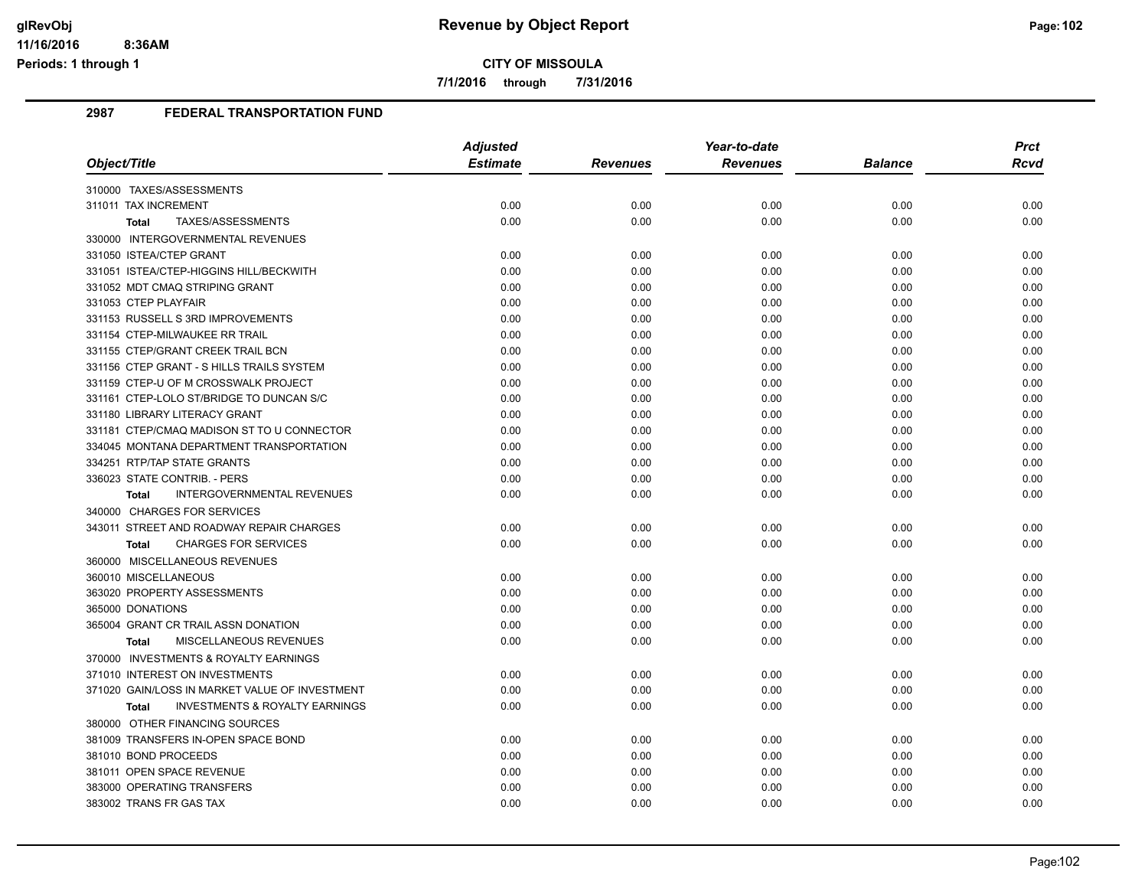**CITY OF MISSOULA**

**7/1/2016 through 7/31/2016**

#### **2987 FEDERAL TRANSPORTATION FUND**

|                                                    | <b>Adjusted</b> |                 | Year-to-date    |                | <b>Prct</b> |
|----------------------------------------------------|-----------------|-----------------|-----------------|----------------|-------------|
| Object/Title                                       | <b>Estimate</b> | <b>Revenues</b> | <b>Revenues</b> | <b>Balance</b> | Rcvd        |
| 310000 TAXES/ASSESSMENTS                           |                 |                 |                 |                |             |
| 311011 TAX INCREMENT                               | 0.00            | 0.00            | 0.00            | 0.00           | 0.00        |
| TAXES/ASSESSMENTS<br>Total                         | 0.00            | 0.00            | 0.00            | 0.00           | 0.00        |
| 330000 INTERGOVERNMENTAL REVENUES                  |                 |                 |                 |                |             |
| 331050 ISTEA/CTEP GRANT                            | 0.00            | 0.00            | 0.00            | 0.00           | 0.00        |
| 331051 ISTEA/CTEP-HIGGINS HILL/BECKWITH            | 0.00            | 0.00            | 0.00            | 0.00           | 0.00        |
| 331052 MDT CMAQ STRIPING GRANT                     | 0.00            | 0.00            | 0.00            | 0.00           | 0.00        |
| 331053 CTEP PLAYFAIR                               | 0.00            | 0.00            | 0.00            | 0.00           | 0.00        |
| 331153 RUSSELL S 3RD IMPROVEMENTS                  | 0.00            | 0.00            | 0.00            | 0.00           | 0.00        |
| 331154 CTEP-MILWAUKEE RR TRAIL                     | 0.00            | 0.00            | 0.00            | 0.00           | 0.00        |
| 331155 CTEP/GRANT CREEK TRAIL BCN                  | 0.00            | 0.00            | 0.00            | 0.00           | 0.00        |
| 331156 CTEP GRANT - S HILLS TRAILS SYSTEM          | 0.00            | 0.00            | 0.00            | 0.00           | 0.00        |
| 331159 CTEP-U OF M CROSSWALK PROJECT               | 0.00            | 0.00            | 0.00            | 0.00           | 0.00        |
| 331161 CTEP-LOLO ST/BRIDGE TO DUNCAN S/C           | 0.00            | 0.00            | 0.00            | 0.00           | 0.00        |
| 331180 LIBRARY LITERACY GRANT                      | 0.00            | 0.00            | 0.00            | 0.00           | 0.00        |
| 331181 CTEP/CMAQ MADISON ST TO U CONNECTOR         | 0.00            | 0.00            | 0.00            | 0.00           | 0.00        |
| 334045 MONTANA DEPARTMENT TRANSPORTATION           | 0.00            | 0.00            | 0.00            | 0.00           | 0.00        |
| 334251 RTP/TAP STATE GRANTS                        | 0.00            | 0.00            | 0.00            | 0.00           | 0.00        |
| 336023 STATE CONTRIB. - PERS                       | 0.00            | 0.00            | 0.00            | 0.00           | 0.00        |
| <b>Total</b><br>INTERGOVERNMENTAL REVENUES         | 0.00            | 0.00            | 0.00            | 0.00           | 0.00        |
| 340000 CHARGES FOR SERVICES                        |                 |                 |                 |                |             |
| 343011 STREET AND ROADWAY REPAIR CHARGES           | 0.00            | 0.00            | 0.00            | 0.00           | 0.00        |
| <b>CHARGES FOR SERVICES</b><br><b>Total</b>        | 0.00            | 0.00            | 0.00            | 0.00           | 0.00        |
| 360000 MISCELLANEOUS REVENUES                      |                 |                 |                 |                |             |
| 360010 MISCELLANEOUS                               | 0.00            | 0.00            | 0.00            | 0.00           | 0.00        |
| 363020 PROPERTY ASSESSMENTS                        | 0.00            | 0.00            | 0.00            | 0.00           | 0.00        |
| 365000 DONATIONS                                   | 0.00            | 0.00            | 0.00            | 0.00           | 0.00        |
| 365004 GRANT CR TRAIL ASSN DONATION                | 0.00            | 0.00            | 0.00            | 0.00           | 0.00        |
| MISCELLANEOUS REVENUES<br><b>Total</b>             | 0.00            | 0.00            | 0.00            | 0.00           | 0.00        |
| 370000 INVESTMENTS & ROYALTY EARNINGS              |                 |                 |                 |                |             |
| 371010 INTEREST ON INVESTMENTS                     | 0.00            | 0.00            | 0.00            | 0.00           | 0.00        |
| 371020 GAIN/LOSS IN MARKET VALUE OF INVESTMENT     | 0.00            | 0.00            | 0.00            | 0.00           | 0.00        |
| <b>INVESTMENTS &amp; ROYALTY EARNINGS</b><br>Total | 0.00            | 0.00            | 0.00            | 0.00           | 0.00        |
| 380000 OTHER FINANCING SOURCES                     |                 |                 |                 |                |             |
| 381009 TRANSFERS IN-OPEN SPACE BOND                | 0.00            | 0.00            | 0.00            | 0.00           | 0.00        |
| 381010 BOND PROCEEDS                               | 0.00            | 0.00            | 0.00            | 0.00           | 0.00        |
| 381011 OPEN SPACE REVENUE                          | 0.00            | 0.00            | 0.00            | 0.00           | 0.00        |
| 383000 OPERATING TRANSFERS                         | 0.00            | 0.00            | 0.00            | 0.00           | 0.00        |
| 383002 TRANS FR GAS TAX                            | 0.00            | 0.00            | 0.00            | 0.00           | 0.00        |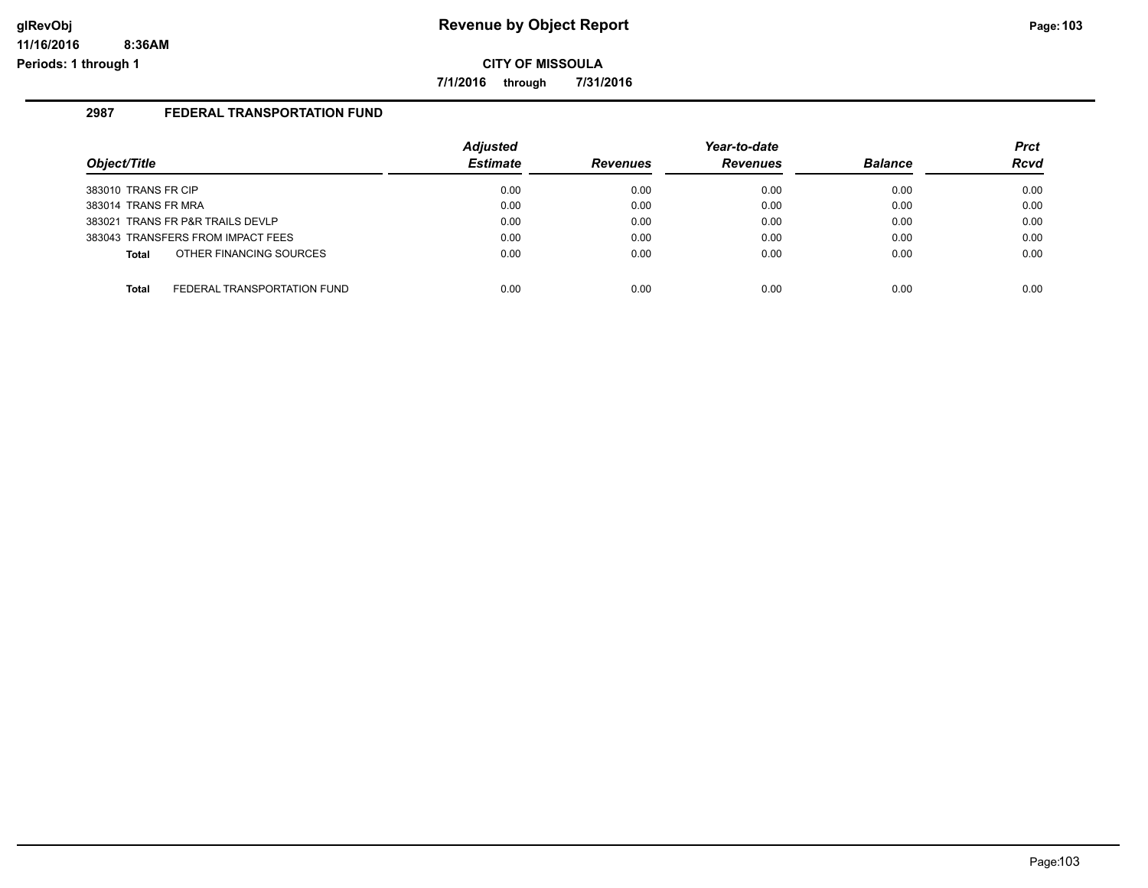**CITY OF MISSOULA**

**7/1/2016 through 7/31/2016**

#### **2987 FEDERAL TRANSPORTATION FUND**

| Object/Title                                | Adjusted<br><b>Estimate</b> | <b>Revenues</b> | Year-to-date<br><b>Revenues</b> | <b>Balance</b> | <b>Prct</b><br><b>Rcvd</b> |
|---------------------------------------------|-----------------------------|-----------------|---------------------------------|----------------|----------------------------|
| 383010 TRANS FR CIP                         | 0.00                        | 0.00            | 0.00                            | 0.00           | 0.00                       |
| 383014 TRANS FR MRA                         | 0.00                        | 0.00            | 0.00                            | 0.00           | 0.00                       |
| 383021 TRANS FR P&R TRAILS DEVLP            | 0.00                        | 0.00            | 0.00                            | 0.00           | 0.00                       |
| 383043 TRANSFERS FROM IMPACT FEES           | 0.00                        | 0.00            | 0.00                            | 0.00           | 0.00                       |
| OTHER FINANCING SOURCES<br><b>Total</b>     | 0.00                        | 0.00            | 0.00                            | 0.00           | 0.00                       |
| FEDERAL TRANSPORTATION FUND<br><b>Total</b> | 0.00                        | 0.00            | 0.00                            | 0.00           | 0.00                       |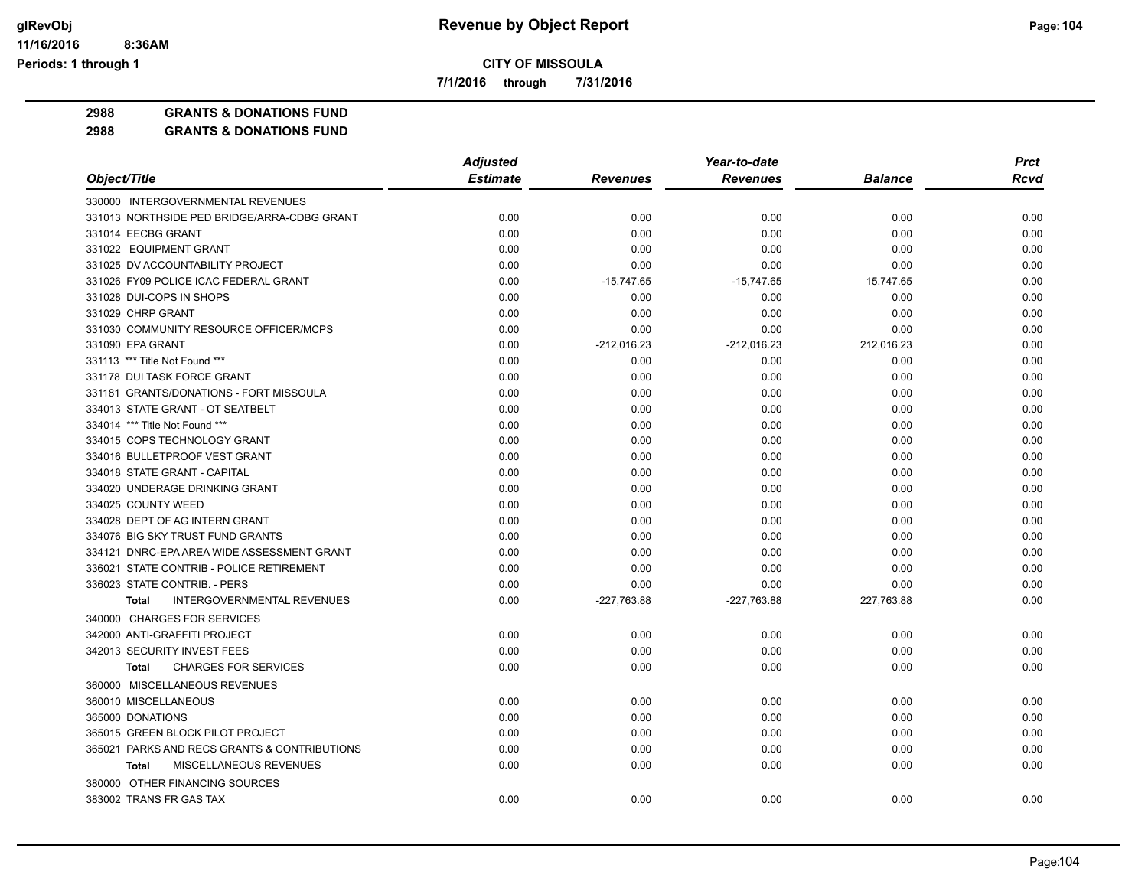**CITY OF MISSOULA**

**7/1/2016 through 7/31/2016**

**2988 GRANTS & DONATIONS FUND**

**2988 GRANTS & DONATIONS FUND**

|                                              | <b>Adjusted</b> |                 | Year-to-date    |                | <b>Prct</b> |
|----------------------------------------------|-----------------|-----------------|-----------------|----------------|-------------|
| Object/Title                                 | <b>Estimate</b> | <b>Revenues</b> | <b>Revenues</b> | <b>Balance</b> | Rcvd        |
| 330000 INTERGOVERNMENTAL REVENUES            |                 |                 |                 |                |             |
| 331013 NORTHSIDE PED BRIDGE/ARRA-CDBG GRANT  | 0.00            | 0.00            | 0.00            | 0.00           | 0.00        |
| 331014 EECBG GRANT                           | 0.00            | 0.00            | 0.00            | 0.00           | 0.00        |
| 331022 EQUIPMENT GRANT                       | 0.00            | 0.00            | 0.00            | 0.00           | 0.00        |
| 331025 DV ACCOUNTABILITY PROJECT             | 0.00            | 0.00            | 0.00            | 0.00           | 0.00        |
| 331026 FY09 POLICE ICAC FEDERAL GRANT        | 0.00            | $-15,747.65$    | $-15,747.65$    | 15,747.65      | 0.00        |
| 331028 DUI-COPS IN SHOPS                     | 0.00            | 0.00            | 0.00            | 0.00           | 0.00        |
| 331029 CHRP GRANT                            | 0.00            | 0.00            | 0.00            | 0.00           | 0.00        |
| 331030 COMMUNITY RESOURCE OFFICER/MCPS       | 0.00            | 0.00            | 0.00            | 0.00           | 0.00        |
| 331090 EPA GRANT                             | 0.00            | $-212,016.23$   | $-212,016.23$   | 212,016.23     | 0.00        |
| 331113 *** Title Not Found ***               | 0.00            | 0.00            | 0.00            | 0.00           | 0.00        |
| 331178 DUI TASK FORCE GRANT                  | 0.00            | 0.00            | 0.00            | 0.00           | 0.00        |
| 331181 GRANTS/DONATIONS - FORT MISSOULA      | 0.00            | 0.00            | 0.00            | 0.00           | 0.00        |
| 334013 STATE GRANT - OT SEATBELT             | 0.00            | 0.00            | 0.00            | 0.00           | 0.00        |
| 334014 *** Title Not Found ***               | 0.00            | 0.00            | 0.00            | 0.00           | 0.00        |
| 334015 COPS TECHNOLOGY GRANT                 | 0.00            | 0.00            | 0.00            | 0.00           | 0.00        |
| 334016 BULLETPROOF VEST GRANT                | 0.00            | 0.00            | 0.00            | 0.00           | 0.00        |
| 334018 STATE GRANT - CAPITAL                 | 0.00            | 0.00            | 0.00            | 0.00           | 0.00        |
| 334020 UNDERAGE DRINKING GRANT               | 0.00            | 0.00            | 0.00            | 0.00           | 0.00        |
| 334025 COUNTY WEED                           | 0.00            | 0.00            | 0.00            | 0.00           | 0.00        |
| 334028 DEPT OF AG INTERN GRANT               | 0.00            | 0.00            | 0.00            | 0.00           | 0.00        |
| 334076 BIG SKY TRUST FUND GRANTS             | 0.00            | 0.00            | 0.00            | 0.00           | 0.00        |
| 334121 DNRC-EPA AREA WIDE ASSESSMENT GRANT   | 0.00            | 0.00            | 0.00            | 0.00           | 0.00        |
| 336021 STATE CONTRIB - POLICE RETIREMENT     | 0.00            | 0.00            | 0.00            | 0.00           | 0.00        |
| 336023 STATE CONTRIB. - PERS                 | 0.00            | 0.00            | 0.00            | 0.00           | 0.00        |
| <b>INTERGOVERNMENTAL REVENUES</b><br>Total   | 0.00            | -227,763.88     | -227,763.88     | 227,763.88     | 0.00        |
| 340000 CHARGES FOR SERVICES                  |                 |                 |                 |                |             |
| 342000 ANTI-GRAFFITI PROJECT                 | 0.00            | 0.00            | 0.00            | 0.00           | 0.00        |
| 342013 SECURITY INVEST FEES                  | 0.00            | 0.00            | 0.00            | 0.00           | 0.00        |
| <b>CHARGES FOR SERVICES</b><br><b>Total</b>  | 0.00            | 0.00            | 0.00            | 0.00           | 0.00        |
| 360000 MISCELLANEOUS REVENUES                |                 |                 |                 |                |             |
| 360010 MISCELLANEOUS                         | 0.00            | 0.00            | 0.00            | 0.00           | 0.00        |
| 365000 DONATIONS                             | 0.00            | 0.00            | 0.00            | 0.00           | 0.00        |
| 365015 GREEN BLOCK PILOT PROJECT             | 0.00            | 0.00            | 0.00            | 0.00           | 0.00        |
| 365021 PARKS AND RECS GRANTS & CONTRIBUTIONS | 0.00            | 0.00            | 0.00            | 0.00           | 0.00        |
| <b>MISCELLANEOUS REVENUES</b><br>Total       | 0.00            | 0.00            | 0.00            | 0.00           | 0.00        |
| 380000 OTHER FINANCING SOURCES               |                 |                 |                 |                |             |
| 383002 TRANS FR GAS TAX                      | 0.00            | 0.00            | 0.00            | 0.00           | 0.00        |
|                                              |                 |                 |                 |                |             |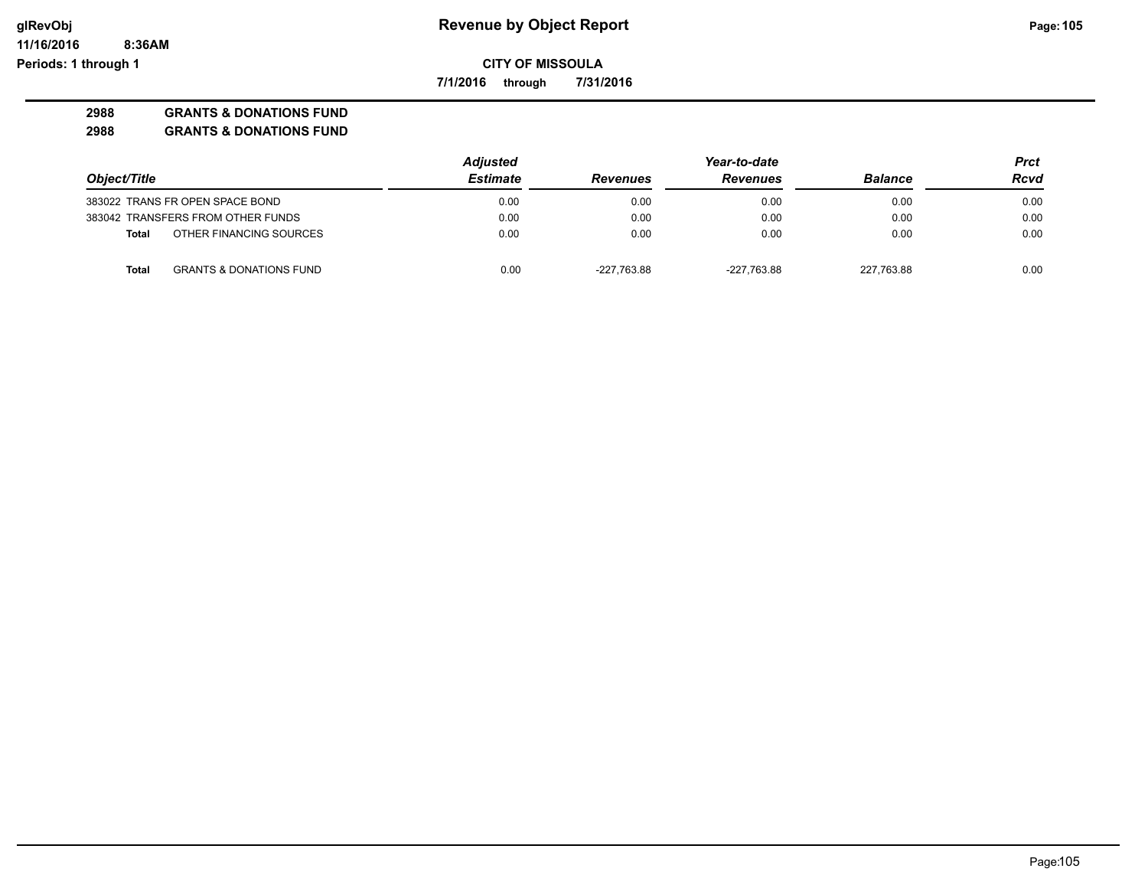**glRevObj Revenue by Object Report Page:105** 

**11/16/2016 8:36AM Periods: 1 through 1**

# **CITY OF MISSOULA**

**7/1/2016 through 7/31/2016**

## **2988 GRANTS & DONATIONS FUND**

**2988 GRANTS & DONATIONS FUND**

|                                             | <b>Adjusted</b> |                 | Prct            |                |      |
|---------------------------------------------|-----------------|-----------------|-----------------|----------------|------|
| Object/Title                                | <b>Estimate</b> | <b>Revenues</b> | <b>Revenues</b> | <b>Balance</b> | Rcvd |
| 383022 TRANS FR OPEN SPACE BOND             | 0.00            | 0.00            | 0.00            | 0.00           | 0.00 |
| 383042 TRANSFERS FROM OTHER FUNDS           | 0.00            | 0.00            | 0.00            | 0.00           | 0.00 |
| OTHER FINANCING SOURCES<br>Total            | 0.00            | 0.00            | 0.00            | 0.00           | 0.00 |
| <b>GRANTS &amp; DONATIONS FUND</b><br>Total | 0.00            | -227.763.88     | -227.763.88     | 227.763.88     | 0.00 |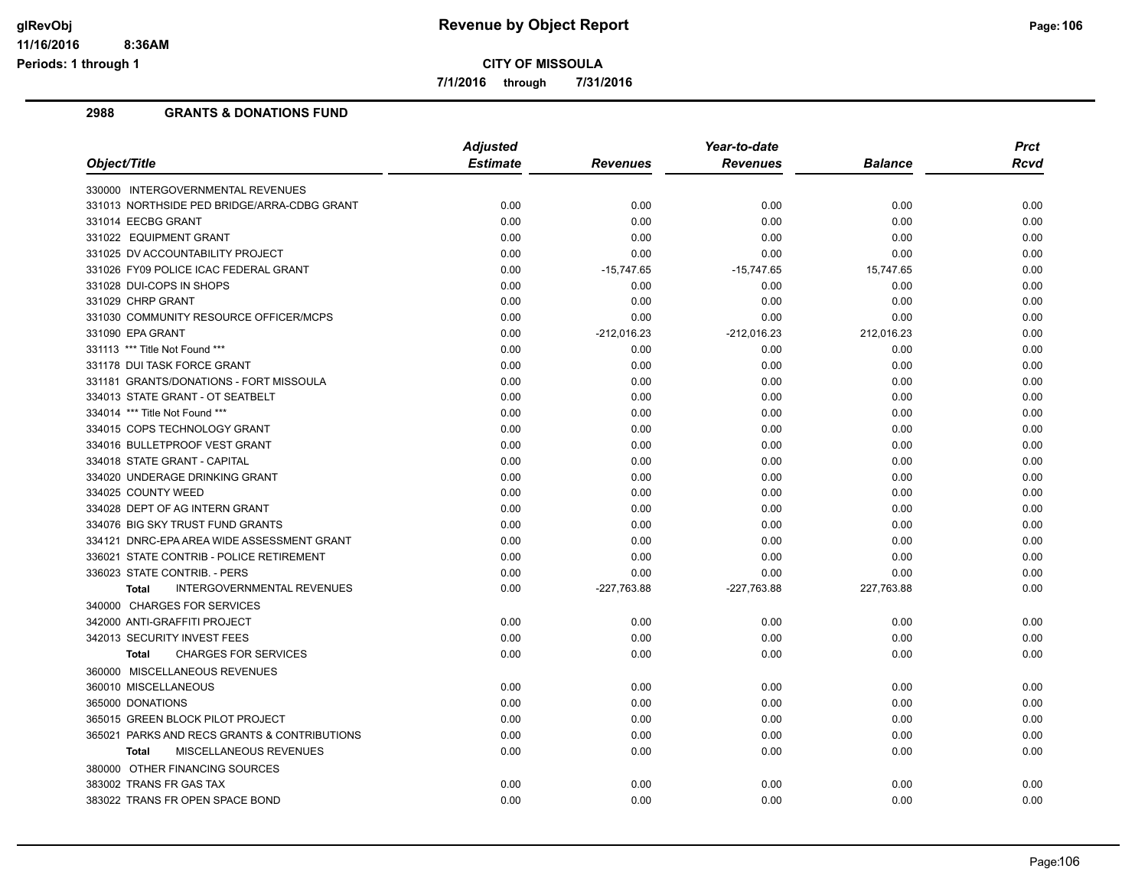**CITY OF MISSOULA**

**7/1/2016 through 7/31/2016**

## **2988 GRANTS & DONATIONS FUND**

|                                              | <b>Adjusted</b> |                 | Year-to-date    |                | <b>Prct</b> |
|----------------------------------------------|-----------------|-----------------|-----------------|----------------|-------------|
| Object/Title                                 | <b>Estimate</b> | <b>Revenues</b> | <b>Revenues</b> | <b>Balance</b> | Rcvd        |
| 330000 INTERGOVERNMENTAL REVENUES            |                 |                 |                 |                |             |
| 331013 NORTHSIDE PED BRIDGE/ARRA-CDBG GRANT  | 0.00            | 0.00            | 0.00            | 0.00           | 0.00        |
| 331014 EECBG GRANT                           | 0.00            | 0.00            | 0.00            | 0.00           | 0.00        |
| 331022 EQUIPMENT GRANT                       | 0.00            | 0.00            | 0.00            | 0.00           | 0.00        |
| 331025 DV ACCOUNTABILITY PROJECT             | 0.00            | 0.00            | 0.00            | 0.00           | 0.00        |
| 331026 FY09 POLICE ICAC FEDERAL GRANT        | 0.00            | $-15,747.65$    | $-15,747.65$    | 15,747.65      | 0.00        |
| 331028 DUI-COPS IN SHOPS                     | 0.00            | 0.00            | 0.00            | 0.00           | 0.00        |
| 331029 CHRP GRANT                            | 0.00            | 0.00            | 0.00            | 0.00           | 0.00        |
| 331030 COMMUNITY RESOURCE OFFICER/MCPS       | 0.00            | 0.00            | 0.00            | 0.00           | 0.00        |
| 331090 EPA GRANT                             | 0.00            | $-212,016.23$   | $-212,016.23$   | 212,016.23     | 0.00        |
| 331113 *** Title Not Found ***               | 0.00            | 0.00            | 0.00            | 0.00           | 0.00        |
| 331178 DUI TASK FORCE GRANT                  | 0.00            | 0.00            | 0.00            | 0.00           | 0.00        |
| 331181 GRANTS/DONATIONS - FORT MISSOULA      | 0.00            | 0.00            | 0.00            | 0.00           | 0.00        |
| 334013 STATE GRANT - OT SEATBELT             | 0.00            | 0.00            | 0.00            | 0.00           | 0.00        |
| 334014 *** Title Not Found ***               | 0.00            | 0.00            | 0.00            | 0.00           | 0.00        |
| 334015 COPS TECHNOLOGY GRANT                 | 0.00            | 0.00            | 0.00            | 0.00           | 0.00        |
| 334016 BULLETPROOF VEST GRANT                | 0.00            | 0.00            | 0.00            | 0.00           | 0.00        |
| 334018 STATE GRANT - CAPITAL                 | 0.00            | 0.00            | 0.00            | 0.00           | 0.00        |
| 334020 UNDERAGE DRINKING GRANT               | 0.00            | 0.00            | 0.00            | 0.00           | 0.00        |
| 334025 COUNTY WEED                           | 0.00            | 0.00            | 0.00            | 0.00           | 0.00        |
| 334028 DEPT OF AG INTERN GRANT               | 0.00            | 0.00            | 0.00            | 0.00           | 0.00        |
| 334076 BIG SKY TRUST FUND GRANTS             | 0.00            | 0.00            | 0.00            | 0.00           | 0.00        |
| 334121 DNRC-EPA AREA WIDE ASSESSMENT GRANT   | 0.00            | 0.00            | 0.00            | 0.00           | 0.00        |
| 336021 STATE CONTRIB - POLICE RETIREMENT     | 0.00            | 0.00            | 0.00            | 0.00           | 0.00        |
| 336023 STATE CONTRIB. - PERS                 | 0.00            | 0.00            | 0.00            | 0.00           | 0.00        |
| <b>INTERGOVERNMENTAL REVENUES</b><br>Total   | 0.00            | -227,763.88     | -227,763.88     | 227,763.88     | 0.00        |
| 340000 CHARGES FOR SERVICES                  |                 |                 |                 |                |             |
| 342000 ANTI-GRAFFITI PROJECT                 | 0.00            | 0.00            | 0.00            | 0.00           | 0.00        |
| 342013 SECURITY INVEST FEES                  | 0.00            | 0.00            | 0.00            | 0.00           | 0.00        |
| <b>CHARGES FOR SERVICES</b><br><b>Total</b>  | 0.00            | 0.00            | 0.00            | 0.00           | 0.00        |
| 360000 MISCELLANEOUS REVENUES                |                 |                 |                 |                |             |
| 360010 MISCELLANEOUS                         | 0.00            | 0.00            | 0.00            | 0.00           | 0.00        |
| 365000 DONATIONS                             | 0.00            | 0.00            | 0.00            | 0.00           | 0.00        |
| 365015 GREEN BLOCK PILOT PROJECT             | 0.00            | 0.00            | 0.00            | 0.00           | 0.00        |
| 365021 PARKS AND RECS GRANTS & CONTRIBUTIONS | 0.00            | 0.00            | 0.00            | 0.00           | 0.00        |
| MISCELLANEOUS REVENUES<br><b>Total</b>       | 0.00            | 0.00            | 0.00            | 0.00           | 0.00        |
| 380000 OTHER FINANCING SOURCES               |                 |                 |                 |                |             |
| 383002 TRANS FR GAS TAX                      | 0.00            | 0.00            | 0.00            | 0.00           | 0.00        |
| 383022 TRANS FR OPEN SPACE BOND              | 0.00            | 0.00            | 0.00            | 0.00           | 0.00        |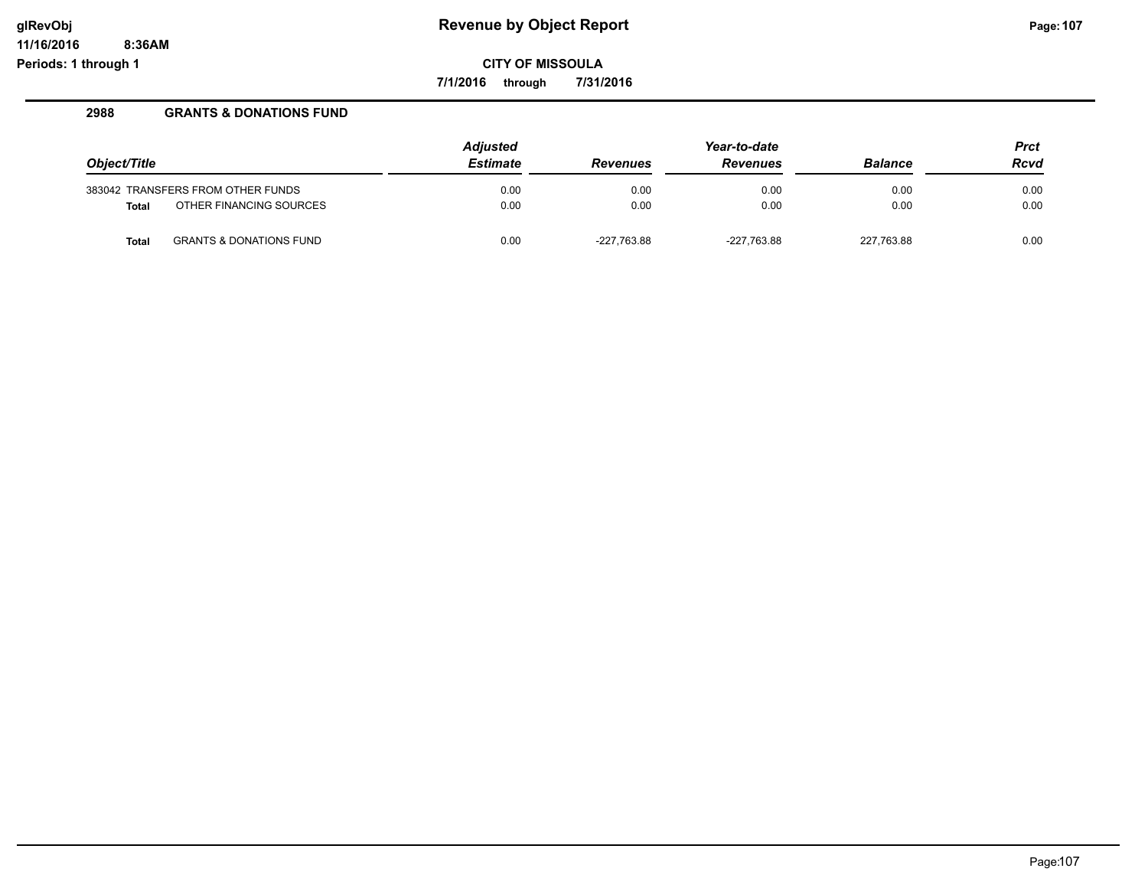**CITY OF MISSOULA**

**7/1/2016 through 7/31/2016**

#### **2988 GRANTS & DONATIONS FUND**

| Object/Title |                                    | <b>Adjusted</b><br><b>Estimate</b> | <b>Revenues</b> | Year-to-date<br><b>Revenues</b> | <b>Balance</b> | <b>Prct</b><br><b>Rcvd</b> |
|--------------|------------------------------------|------------------------------------|-----------------|---------------------------------|----------------|----------------------------|
|              |                                    |                                    |                 |                                 |                |                            |
|              | 383042 TRANSFERS FROM OTHER FUNDS  | 0.00                               | 0.00            | 0.00                            | 0.00           | 0.00                       |
| <b>Total</b> | OTHER FINANCING SOURCES            | 0.00                               | 0.00            | 0.00                            | 0.00           | 0.00                       |
|              |                                    |                                    |                 |                                 |                |                            |
| <b>Total</b> | <b>GRANTS &amp; DONATIONS FUND</b> | 0.00                               | -227,763.88     | -227,763.88                     | 227,763.88     | 0.00                       |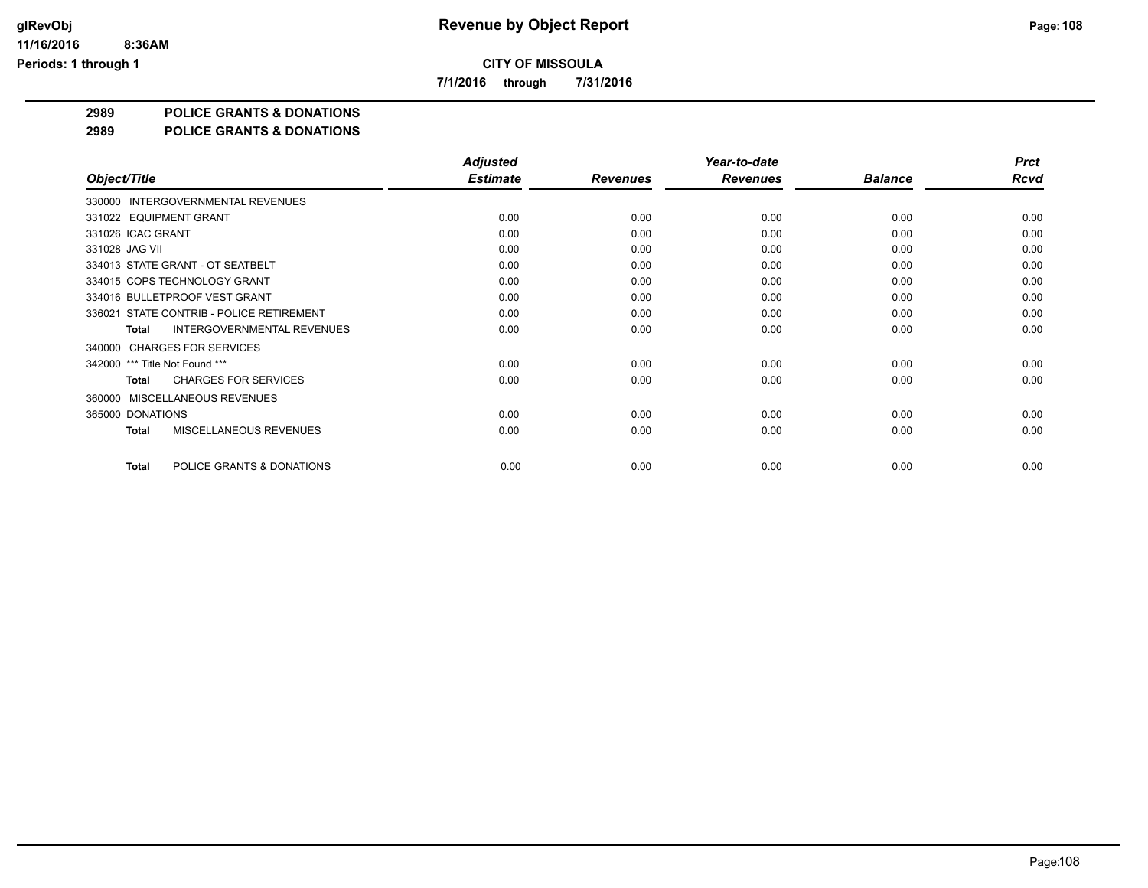**glRevObj Revenue by Object Report Page:108** 

**11/16/2016 8:36AM Periods: 1 through 1**

**CITY OF MISSOULA**

**7/1/2016 through 7/31/2016**

**2989 POLICE GRANTS & DONATIONS**

**2989 POLICE GRANTS & DONATIONS**

|                                                   | <b>Adjusted</b> |                 | Year-to-date    |                | <b>Prct</b> |
|---------------------------------------------------|-----------------|-----------------|-----------------|----------------|-------------|
| Object/Title                                      | <b>Estimate</b> | <b>Revenues</b> | <b>Revenues</b> | <b>Balance</b> | <b>Rcvd</b> |
| 330000 INTERGOVERNMENTAL REVENUES                 |                 |                 |                 |                |             |
| 331022 EQUIPMENT GRANT                            | 0.00            | 0.00            | 0.00            | 0.00           | 0.00        |
| 331026 ICAC GRANT                                 | 0.00            | 0.00            | 0.00            | 0.00           | 0.00        |
| 331028 JAG VII                                    | 0.00            | 0.00            | 0.00            | 0.00           | 0.00        |
| 334013 STATE GRANT - OT SEATBELT                  | 0.00            | 0.00            | 0.00            | 0.00           | 0.00        |
| 334015 COPS TECHNOLOGY GRANT                      | 0.00            | 0.00            | 0.00            | 0.00           | 0.00        |
| 334016 BULLETPROOF VEST GRANT                     | 0.00            | 0.00            | 0.00            | 0.00           | 0.00        |
| 336021 STATE CONTRIB - POLICE RETIREMENT          | 0.00            | 0.00            | 0.00            | 0.00           | 0.00        |
| <b>INTERGOVERNMENTAL REVENUES</b><br><b>Total</b> | 0.00            | 0.00            | 0.00            | 0.00           | 0.00        |
| <b>CHARGES FOR SERVICES</b><br>340000             |                 |                 |                 |                |             |
| 342000 *** Title Not Found ***                    | 0.00            | 0.00            | 0.00            | 0.00           | 0.00        |
| <b>CHARGES FOR SERVICES</b><br><b>Total</b>       | 0.00            | 0.00            | 0.00            | 0.00           | 0.00        |
| MISCELLANEOUS REVENUES<br>360000                  |                 |                 |                 |                |             |
| 365000 DONATIONS                                  | 0.00            | 0.00            | 0.00            | 0.00           | 0.00        |
| <b>MISCELLANEOUS REVENUES</b><br><b>Total</b>     | 0.00            | 0.00            | 0.00            | 0.00           | 0.00        |
| POLICE GRANTS & DONATIONS<br><b>Total</b>         | 0.00            | 0.00            | 0.00            | 0.00           | 0.00        |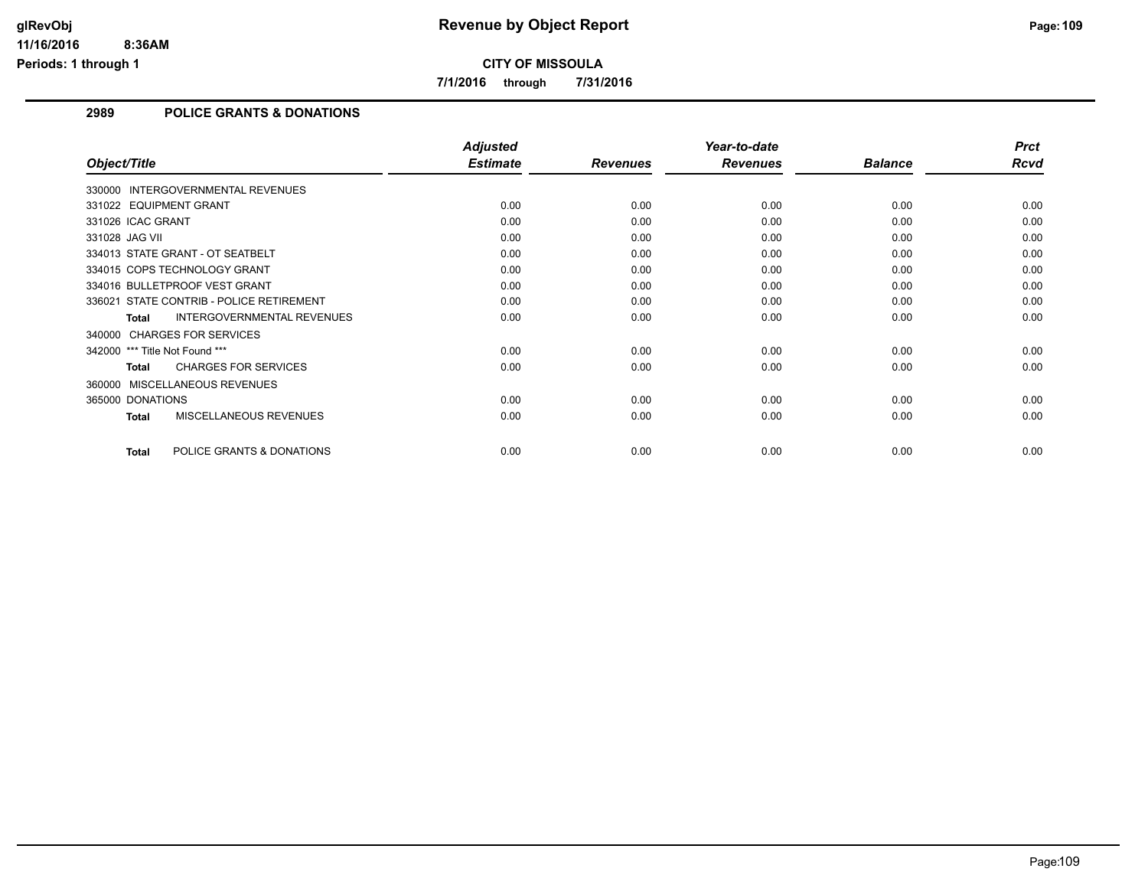**CITY OF MISSOULA**

**7/1/2016 through 7/31/2016**

## **2989 POLICE GRANTS & DONATIONS**

 **8:36AM**

| Object/Title                                      | <b>Adjusted</b><br><b>Estimate</b> | <b>Revenues</b> | Year-to-date<br><b>Revenues</b> | <b>Balance</b> | <b>Prct</b><br><b>Rcvd</b> |
|---------------------------------------------------|------------------------------------|-----------------|---------------------------------|----------------|----------------------------|
|                                                   |                                    |                 |                                 |                |                            |
| 330000 INTERGOVERNMENTAL REVENUES                 |                                    |                 |                                 |                |                            |
| 331022 EQUIPMENT GRANT                            | 0.00                               | 0.00            | 0.00                            | 0.00           | 0.00                       |
| 331026 ICAC GRANT                                 | 0.00                               | 0.00            | 0.00                            | 0.00           | 0.00                       |
| 331028 JAG VII                                    | 0.00                               | 0.00            | 0.00                            | 0.00           | 0.00                       |
| 334013 STATE GRANT - OT SEATBELT                  | 0.00                               | 0.00            | 0.00                            | 0.00           | 0.00                       |
| 334015 COPS TECHNOLOGY GRANT                      | 0.00                               | 0.00            | 0.00                            | 0.00           | 0.00                       |
| 334016 BULLETPROOF VEST GRANT                     | 0.00                               | 0.00            | 0.00                            | 0.00           | 0.00                       |
| 336021 STATE CONTRIB - POLICE RETIREMENT          | 0.00                               | 0.00            | 0.00                            | 0.00           | 0.00                       |
| <b>INTERGOVERNMENTAL REVENUES</b><br><b>Total</b> | 0.00                               | 0.00            | 0.00                            | 0.00           | 0.00                       |
| 340000 CHARGES FOR SERVICES                       |                                    |                 |                                 |                |                            |
| 342000 *** Title Not Found ***                    | 0.00                               | 0.00            | 0.00                            | 0.00           | 0.00                       |
| <b>CHARGES FOR SERVICES</b><br><b>Total</b>       | 0.00                               | 0.00            | 0.00                            | 0.00           | 0.00                       |
| 360000 MISCELLANEOUS REVENUES                     |                                    |                 |                                 |                |                            |
| 365000 DONATIONS                                  | 0.00                               | 0.00            | 0.00                            | 0.00           | 0.00                       |
| MISCELLANEOUS REVENUES<br><b>Total</b>            | 0.00                               | 0.00            | 0.00                            | 0.00           | 0.00                       |
|                                                   |                                    |                 |                                 |                |                            |
| POLICE GRANTS & DONATIONS<br><b>Total</b>         | 0.00                               | 0.00            | 0.00                            | 0.00           | 0.00                       |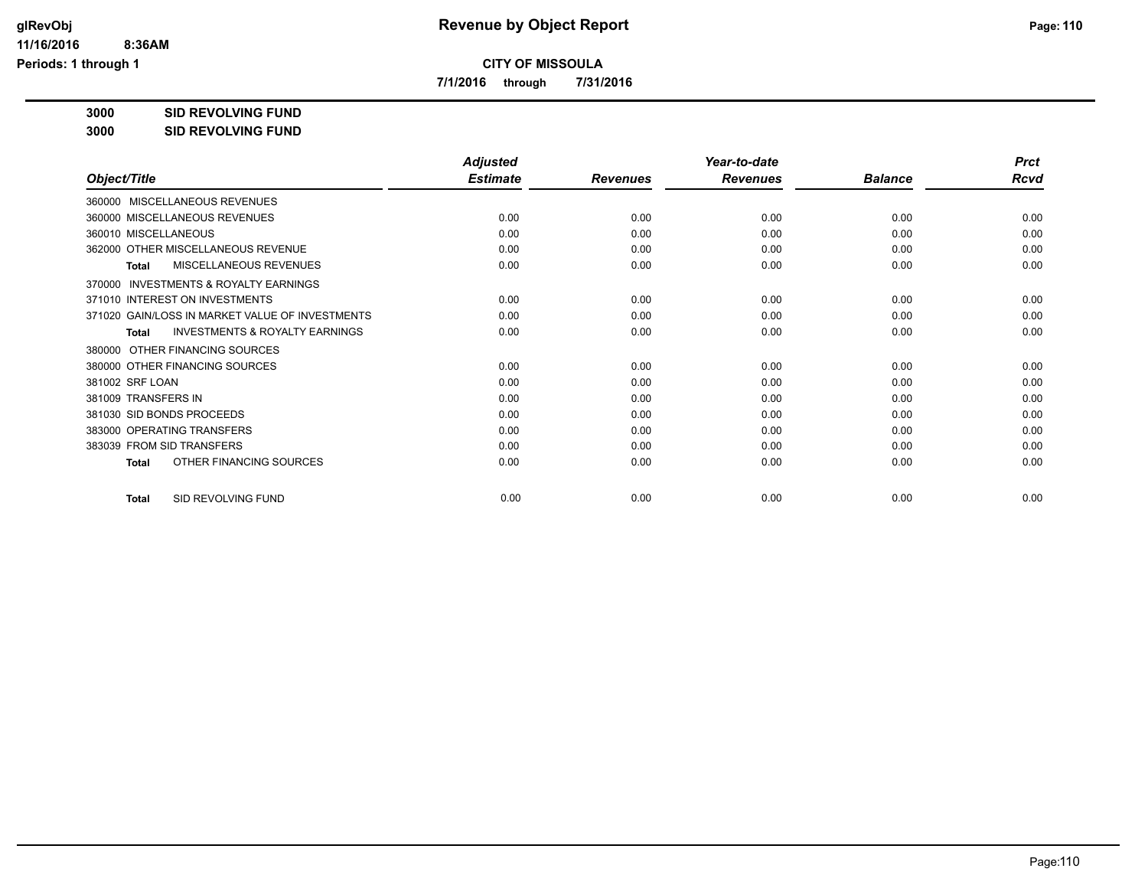**CITY OF MISSOULA**

**7/1/2016 through 7/31/2016**

**3000 SID REVOLVING FUND**

**3000 SID REVOLVING FUND**

|                                                           | <b>Adjusted</b> |                 | Year-to-date    |                | <b>Prct</b> |
|-----------------------------------------------------------|-----------------|-----------------|-----------------|----------------|-------------|
| Object/Title                                              | <b>Estimate</b> | <b>Revenues</b> | <b>Revenues</b> | <b>Balance</b> | Rcvd        |
| 360000 MISCELLANEOUS REVENUES                             |                 |                 |                 |                |             |
| 360000 MISCELLANEOUS REVENUES                             | 0.00            | 0.00            | 0.00            | 0.00           | 0.00        |
| 360010 MISCELLANEOUS                                      | 0.00            | 0.00            | 0.00            | 0.00           | 0.00        |
| 362000 OTHER MISCELLANEOUS REVENUE                        | 0.00            | 0.00            | 0.00            | 0.00           | 0.00        |
| <b>MISCELLANEOUS REVENUES</b><br><b>Total</b>             | 0.00            | 0.00            | 0.00            | 0.00           | 0.00        |
| <b>INVESTMENTS &amp; ROYALTY EARNINGS</b><br>370000       |                 |                 |                 |                |             |
| 371010 INTEREST ON INVESTMENTS                            | 0.00            | 0.00            | 0.00            | 0.00           | 0.00        |
| 371020 GAIN/LOSS IN MARKET VALUE OF INVESTMENTS           | 0.00            | 0.00            | 0.00            | 0.00           | 0.00        |
| <b>INVESTMENTS &amp; ROYALTY EARNINGS</b><br><b>Total</b> | 0.00            | 0.00            | 0.00            | 0.00           | 0.00        |
| OTHER FINANCING SOURCES<br>380000                         |                 |                 |                 |                |             |
| 380000 OTHER FINANCING SOURCES                            | 0.00            | 0.00            | 0.00            | 0.00           | 0.00        |
| 381002 SRF LOAN                                           | 0.00            | 0.00            | 0.00            | 0.00           | 0.00        |
| 381009 TRANSFERS IN                                       | 0.00            | 0.00            | 0.00            | 0.00           | 0.00        |
| 381030 SID BONDS PROCEEDS                                 | 0.00            | 0.00            | 0.00            | 0.00           | 0.00        |
| 383000 OPERATING TRANSFERS                                | 0.00            | 0.00            | 0.00            | 0.00           | 0.00        |
| 383039 FROM SID TRANSFERS                                 | 0.00            | 0.00            | 0.00            | 0.00           | 0.00        |
| OTHER FINANCING SOURCES<br><b>Total</b>                   | 0.00            | 0.00            | 0.00            | 0.00           | 0.00        |
| SID REVOLVING FUND<br><b>Total</b>                        | 0.00            | 0.00            | 0.00            | 0.00           | 0.00        |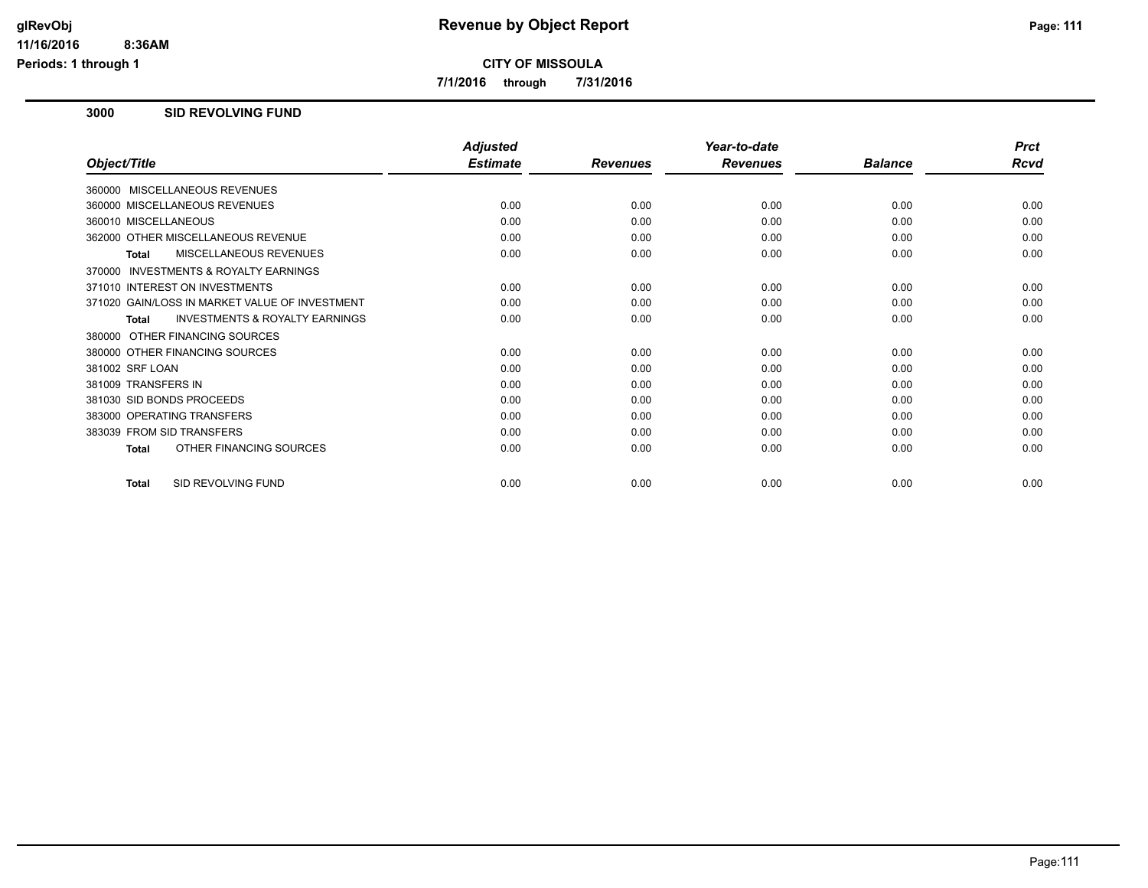**CITY OF MISSOULA**

**7/1/2016 through 7/31/2016**

#### **3000 SID REVOLVING FUND**

 **8:36AM**

|                                                           | <b>Adjusted</b> |                 | Year-to-date    |                | <b>Prct</b> |
|-----------------------------------------------------------|-----------------|-----------------|-----------------|----------------|-------------|
| Object/Title                                              | <b>Estimate</b> | <b>Revenues</b> | <b>Revenues</b> | <b>Balance</b> | <b>Rcvd</b> |
| 360000 MISCELLANEOUS REVENUES                             |                 |                 |                 |                |             |
| 360000 MISCELLANEOUS REVENUES                             | 0.00            | 0.00            | 0.00            | 0.00           | 0.00        |
| 360010 MISCELLANEOUS                                      | 0.00            | 0.00            | 0.00            | 0.00           | 0.00        |
| 362000 OTHER MISCELLANEOUS REVENUE                        | 0.00            | 0.00            | 0.00            | 0.00           | 0.00        |
| <b>MISCELLANEOUS REVENUES</b><br><b>Total</b>             | 0.00            | 0.00            | 0.00            | 0.00           | 0.00        |
| <b>INVESTMENTS &amp; ROYALTY EARNINGS</b><br>370000       |                 |                 |                 |                |             |
| 371010 INTEREST ON INVESTMENTS                            | 0.00            | 0.00            | 0.00            | 0.00           | 0.00        |
| 371020 GAIN/LOSS IN MARKET VALUE OF INVESTMENT            | 0.00            | 0.00            | 0.00            | 0.00           | 0.00        |
| <b>INVESTMENTS &amp; ROYALTY EARNINGS</b><br><b>Total</b> | 0.00            | 0.00            | 0.00            | 0.00           | 0.00        |
| 380000 OTHER FINANCING SOURCES                            |                 |                 |                 |                |             |
| 380000 OTHER FINANCING SOURCES                            | 0.00            | 0.00            | 0.00            | 0.00           | 0.00        |
| 381002 SRF LOAN                                           | 0.00            | 0.00            | 0.00            | 0.00           | 0.00        |
| 381009 TRANSFERS IN                                       | 0.00            | 0.00            | 0.00            | 0.00           | 0.00        |
| 381030 SID BONDS PROCEEDS                                 | 0.00            | 0.00            | 0.00            | 0.00           | 0.00        |
| 383000 OPERATING TRANSFERS                                | 0.00            | 0.00            | 0.00            | 0.00           | 0.00        |
| 383039 FROM SID TRANSFERS                                 | 0.00            | 0.00            | 0.00            | 0.00           | 0.00        |
| OTHER FINANCING SOURCES<br><b>Total</b>                   | 0.00            | 0.00            | 0.00            | 0.00           | 0.00        |
| SID REVOLVING FUND<br><b>Total</b>                        | 0.00            | 0.00            | 0.00            | 0.00           | 0.00        |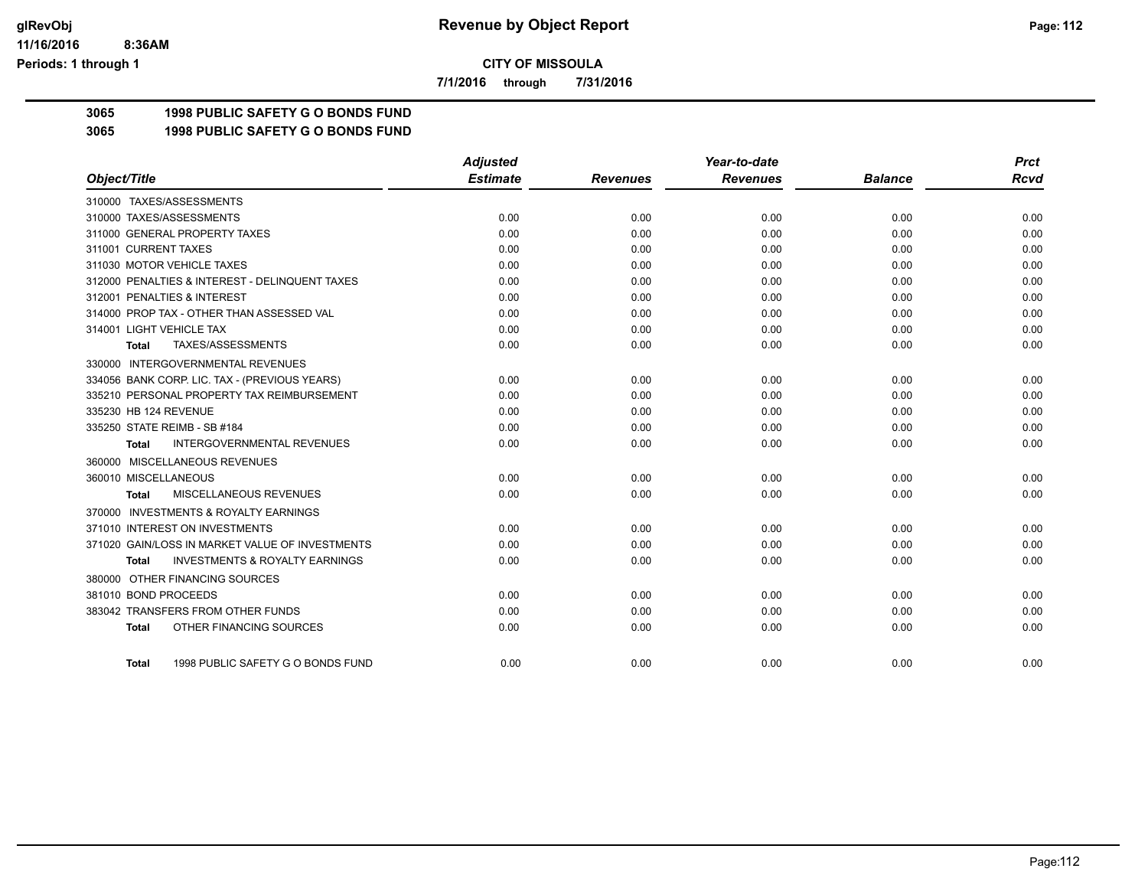**CITY OF MISSOULA**

**7/1/2016 through 7/31/2016**

# **3065 1998 PUBLIC SAFETY G O BONDS FUND**

**3065 1998 PUBLIC SAFETY G O BONDS FUND**

|                                                     | <b>Adjusted</b> |                 | Year-to-date    |                | <b>Prct</b> |
|-----------------------------------------------------|-----------------|-----------------|-----------------|----------------|-------------|
| Object/Title                                        | <b>Estimate</b> | <b>Revenues</b> | <b>Revenues</b> | <b>Balance</b> | <b>Rcvd</b> |
| 310000 TAXES/ASSESSMENTS                            |                 |                 |                 |                |             |
| 310000 TAXES/ASSESSMENTS                            | 0.00            | 0.00            | 0.00            | 0.00           | 0.00        |
| 311000 GENERAL PROPERTY TAXES                       | 0.00            | 0.00            | 0.00            | 0.00           | 0.00        |
| 311001 CURRENT TAXES                                | 0.00            | 0.00            | 0.00            | 0.00           | 0.00        |
| 311030 MOTOR VEHICLE TAXES                          | 0.00            | 0.00            | 0.00            | 0.00           | 0.00        |
| 312000 PENALTIES & INTEREST - DELINQUENT TAXES      | 0.00            | 0.00            | 0.00            | 0.00           | 0.00        |
| 312001 PENALTIES & INTEREST                         | 0.00            | 0.00            | 0.00            | 0.00           | 0.00        |
| 314000 PROP TAX - OTHER THAN ASSESSED VAL           | 0.00            | 0.00            | 0.00            | 0.00           | 0.00        |
| 314001 LIGHT VEHICLE TAX                            | 0.00            | 0.00            | 0.00            | 0.00           | 0.00        |
| TAXES/ASSESSMENTS<br><b>Total</b>                   | 0.00            | 0.00            | 0.00            | 0.00           | 0.00        |
| 330000 INTERGOVERNMENTAL REVENUES                   |                 |                 |                 |                |             |
| 334056 BANK CORP. LIC. TAX - (PREVIOUS YEARS)       | 0.00            | 0.00            | 0.00            | 0.00           | 0.00        |
| 335210 PERSONAL PROPERTY TAX REIMBURSEMENT          | 0.00            | 0.00            | 0.00            | 0.00           | 0.00        |
| 335230 HB 124 REVENUE                               | 0.00            | 0.00            | 0.00            | 0.00           | 0.00        |
| 335250 STATE REIMB - SB #184                        | 0.00            | 0.00            | 0.00            | 0.00           | 0.00        |
| <b>INTERGOVERNMENTAL REVENUES</b><br><b>Total</b>   | 0.00            | 0.00            | 0.00            | 0.00           | 0.00        |
| 360000 MISCELLANEOUS REVENUES                       |                 |                 |                 |                |             |
| 360010 MISCELLANEOUS                                | 0.00            | 0.00            | 0.00            | 0.00           | 0.00        |
| MISCELLANEOUS REVENUES<br><b>Total</b>              | 0.00            | 0.00            | 0.00            | 0.00           | 0.00        |
| <b>INVESTMENTS &amp; ROYALTY EARNINGS</b><br>370000 |                 |                 |                 |                |             |
| 371010 INTEREST ON INVESTMENTS                      | 0.00            | 0.00            | 0.00            | 0.00           | 0.00        |
| 371020 GAIN/LOSS IN MARKET VALUE OF INVESTMENTS     | 0.00            | 0.00            | 0.00            | 0.00           | 0.00        |
| <b>INVESTMENTS &amp; ROYALTY EARNINGS</b><br>Total  | 0.00            | 0.00            | 0.00            | 0.00           | 0.00        |
| 380000 OTHER FINANCING SOURCES                      |                 |                 |                 |                |             |
| 381010 BOND PROCEEDS                                | 0.00            | 0.00            | 0.00            | 0.00           | 0.00        |
| 383042 TRANSFERS FROM OTHER FUNDS                   | 0.00            | 0.00            | 0.00            | 0.00           | 0.00        |
| OTHER FINANCING SOURCES<br><b>Total</b>             | 0.00            | 0.00            | 0.00            | 0.00           | 0.00        |
| 1998 PUBLIC SAFETY G O BONDS FUND<br>Total          | 0.00            | 0.00            | 0.00            | 0.00           | 0.00        |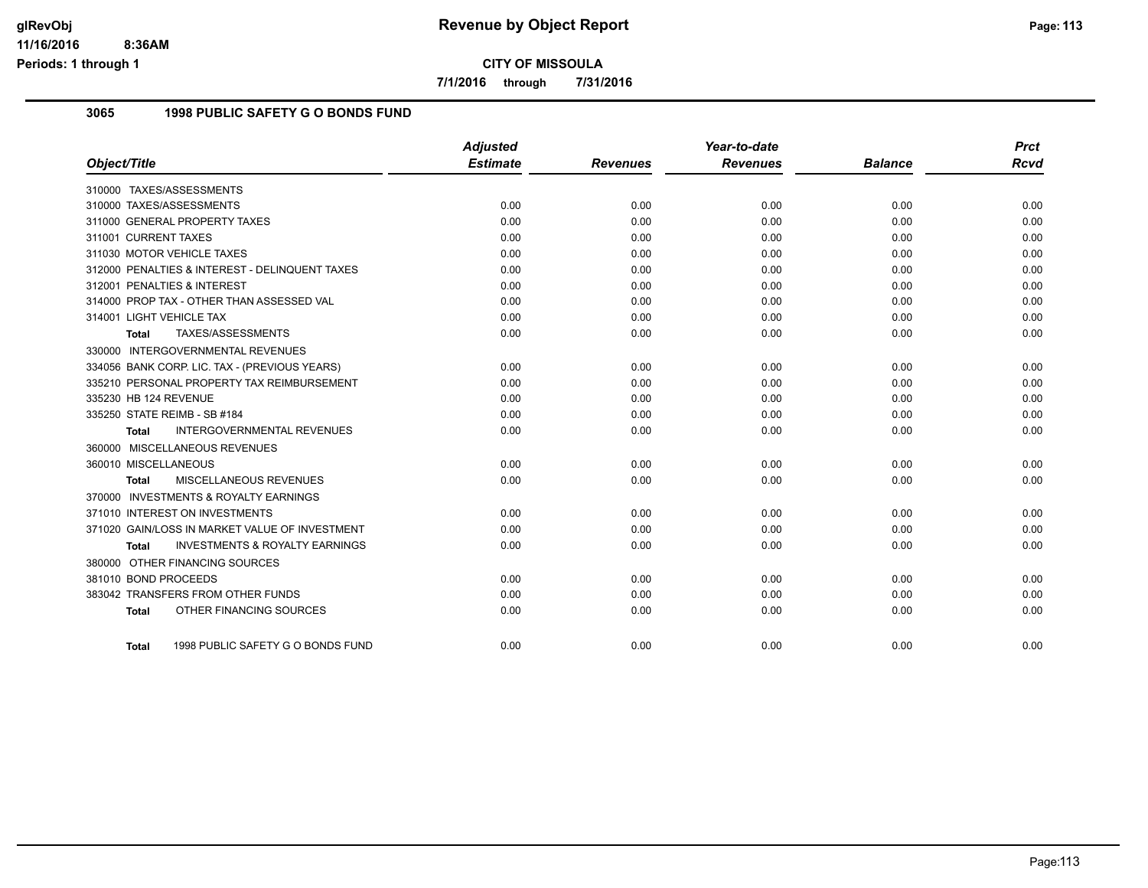**8:36AM**

**CITY OF MISSOULA**

**7/1/2016 through 7/31/2016**

### **3065 1998 PUBLIC SAFETY G O BONDS FUND**

|                                                    | <b>Adjusted</b><br><b>Estimate</b> |                 | Year-to-date<br><b>Revenues</b> | <b>Balance</b> | <b>Prct</b><br><b>Rcvd</b> |
|----------------------------------------------------|------------------------------------|-----------------|---------------------------------|----------------|----------------------------|
| Object/Title                                       |                                    | <b>Revenues</b> |                                 |                |                            |
| 310000 TAXES/ASSESSMENTS                           |                                    |                 |                                 |                |                            |
| 310000 TAXES/ASSESSMENTS                           | 0.00                               | 0.00            | 0.00                            | 0.00           | 0.00                       |
| 311000 GENERAL PROPERTY TAXES                      | 0.00                               | 0.00            | 0.00                            | 0.00           | 0.00                       |
| 311001 CURRENT TAXES                               | 0.00                               | 0.00            | 0.00                            | 0.00           | 0.00                       |
| 311030 MOTOR VEHICLE TAXES                         | 0.00                               | 0.00            | 0.00                            | 0.00           | 0.00                       |
| 312000 PENALTIES & INTEREST - DELINQUENT TAXES     | 0.00                               | 0.00            | 0.00                            | 0.00           | 0.00                       |
| 312001 PENALTIES & INTEREST                        | 0.00                               | 0.00            | 0.00                            | 0.00           | 0.00                       |
| 314000 PROP TAX - OTHER THAN ASSESSED VAL          | 0.00                               | 0.00            | 0.00                            | 0.00           | 0.00                       |
| 314001 LIGHT VEHICLE TAX                           | 0.00                               | 0.00            | 0.00                            | 0.00           | 0.00                       |
| TAXES/ASSESSMENTS<br>Total                         | 0.00                               | 0.00            | 0.00                            | 0.00           | 0.00                       |
| 330000 INTERGOVERNMENTAL REVENUES                  |                                    |                 |                                 |                |                            |
| 334056 BANK CORP. LIC. TAX - (PREVIOUS YEARS)      | 0.00                               | 0.00            | 0.00                            | 0.00           | 0.00                       |
| 335210 PERSONAL PROPERTY TAX REIMBURSEMENT         | 0.00                               | 0.00            | 0.00                            | 0.00           | 0.00                       |
| 335230 HB 124 REVENUE                              | 0.00                               | 0.00            | 0.00                            | 0.00           | 0.00                       |
| 335250 STATE REIMB - SB #184                       | 0.00                               | 0.00            | 0.00                            | 0.00           | 0.00                       |
| <b>INTERGOVERNMENTAL REVENUES</b><br>Total         | 0.00                               | 0.00            | 0.00                            | 0.00           | 0.00                       |
| 360000 MISCELLANEOUS REVENUES                      |                                    |                 |                                 |                |                            |
| 360010 MISCELLANEOUS                               | 0.00                               | 0.00            | 0.00                            | 0.00           | 0.00                       |
| MISCELLANEOUS REVENUES<br><b>Total</b>             | 0.00                               | 0.00            | 0.00                            | 0.00           | 0.00                       |
| 370000 INVESTMENTS & ROYALTY EARNINGS              |                                    |                 |                                 |                |                            |
| 371010 INTEREST ON INVESTMENTS                     | 0.00                               | 0.00            | 0.00                            | 0.00           | 0.00                       |
| 371020 GAIN/LOSS IN MARKET VALUE OF INVESTMENT     | 0.00                               | 0.00            | 0.00                            | 0.00           | 0.00                       |
| <b>INVESTMENTS &amp; ROYALTY EARNINGS</b><br>Total | 0.00                               | 0.00            | 0.00                            | 0.00           | 0.00                       |
| 380000 OTHER FINANCING SOURCES                     |                                    |                 |                                 |                |                            |
| 381010 BOND PROCEEDS                               | 0.00                               | 0.00            | 0.00                            | 0.00           | 0.00                       |
| 383042 TRANSFERS FROM OTHER FUNDS                  | 0.00                               | 0.00            | 0.00                            | 0.00           | 0.00                       |
| OTHER FINANCING SOURCES<br>Total                   | 0.00                               | 0.00            | 0.00                            | 0.00           | 0.00                       |
|                                                    |                                    |                 |                                 |                |                            |
| 1998 PUBLIC SAFETY G O BONDS FUND<br>Total         | 0.00                               | 0.00            | 0.00                            | 0.00           | 0.00                       |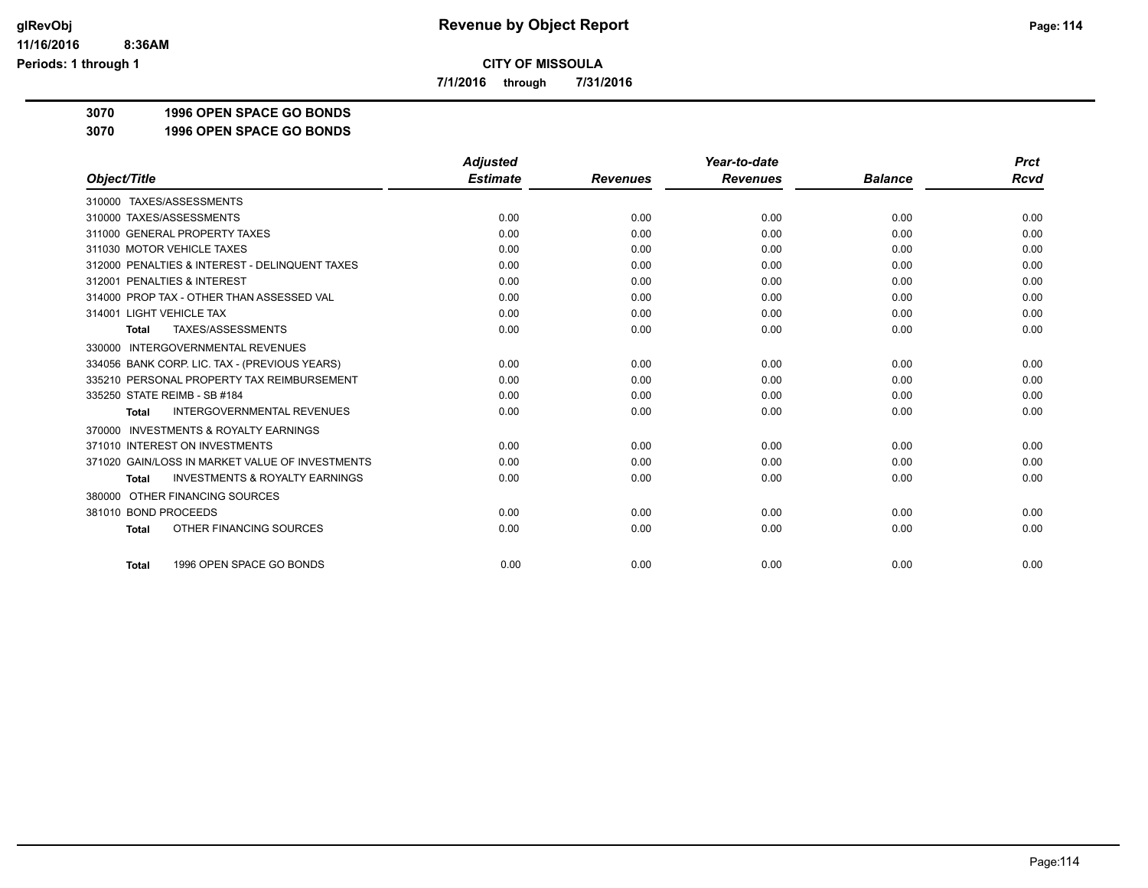**glRevObj Revenue by Object Report Page: 114** 

**CITY OF MISSOULA**

**7/1/2016 through 7/31/2016**

**3070 1996 OPEN SPACE GO BONDS**

 **8:36AM**

**3070 1996 OPEN SPACE GO BONDS**

|                                                    | <b>Adjusted</b> |                 | Year-to-date    |                | <b>Prct</b> |
|----------------------------------------------------|-----------------|-----------------|-----------------|----------------|-------------|
| Object/Title                                       | <b>Estimate</b> | <b>Revenues</b> | <b>Revenues</b> | <b>Balance</b> | <b>Rcvd</b> |
| 310000 TAXES/ASSESSMENTS                           |                 |                 |                 |                |             |
| 310000 TAXES/ASSESSMENTS                           | 0.00            | 0.00            | 0.00            | 0.00           | 0.00        |
| 311000 GENERAL PROPERTY TAXES                      | 0.00            | 0.00            | 0.00            | 0.00           | 0.00        |
| 311030 MOTOR VEHICLE TAXES                         | 0.00            | 0.00            | 0.00            | 0.00           | 0.00        |
| 312000 PENALTIES & INTEREST - DELINQUENT TAXES     | 0.00            | 0.00            | 0.00            | 0.00           | 0.00        |
| 312001 PENALTIES & INTEREST                        | 0.00            | 0.00            | 0.00            | 0.00           | 0.00        |
| 314000 PROP TAX - OTHER THAN ASSESSED VAL          | 0.00            | 0.00            | 0.00            | 0.00           | 0.00        |
| 314001 LIGHT VEHICLE TAX                           | 0.00            | 0.00            | 0.00            | 0.00           | 0.00        |
| TAXES/ASSESSMENTS<br><b>Total</b>                  | 0.00            | 0.00            | 0.00            | 0.00           | 0.00        |
| <b>INTERGOVERNMENTAL REVENUES</b><br>330000        |                 |                 |                 |                |             |
| 334056 BANK CORP. LIC. TAX - (PREVIOUS YEARS)      | 0.00            | 0.00            | 0.00            | 0.00           | 0.00        |
| 335210 PERSONAL PROPERTY TAX REIMBURSEMENT         | 0.00            | 0.00            | 0.00            | 0.00           | 0.00        |
| 335250 STATE REIMB - SB #184                       | 0.00            | 0.00            | 0.00            | 0.00           | 0.00        |
| <b>INTERGOVERNMENTAL REVENUES</b><br><b>Total</b>  | 0.00            | 0.00            | 0.00            | 0.00           | 0.00        |
| 370000 INVESTMENTS & ROYALTY EARNINGS              |                 |                 |                 |                |             |
| 371010 INTEREST ON INVESTMENTS                     | 0.00            | 0.00            | 0.00            | 0.00           | 0.00        |
| 371020 GAIN/LOSS IN MARKET VALUE OF INVESTMENTS    | 0.00            | 0.00            | 0.00            | 0.00           | 0.00        |
| <b>INVESTMENTS &amp; ROYALTY EARNINGS</b><br>Total | 0.00            | 0.00            | 0.00            | 0.00           | 0.00        |
| OTHER FINANCING SOURCES<br>380000                  |                 |                 |                 |                |             |
| 381010 BOND PROCEEDS                               | 0.00            | 0.00            | 0.00            | 0.00           | 0.00        |
| OTHER FINANCING SOURCES<br><b>Total</b>            | 0.00            | 0.00            | 0.00            | 0.00           | 0.00        |
| 1996 OPEN SPACE GO BONDS<br>Total                  | 0.00            | 0.00            | 0.00            | 0.00           | 0.00        |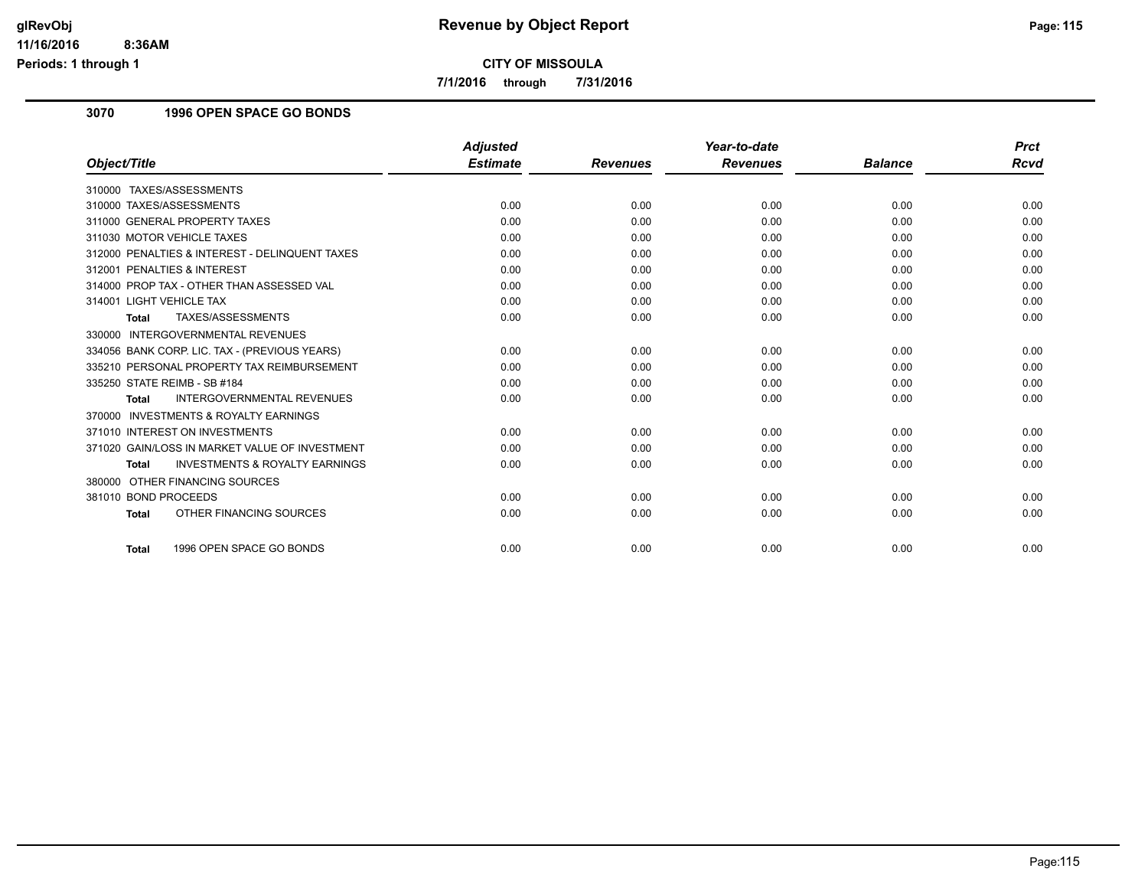**CITY OF MISSOULA**

**7/1/2016 through 7/31/2016**

#### **3070 1996 OPEN SPACE GO BONDS**

 **8:36AM**

|                                                           | <b>Adjusted</b> |                 | Year-to-date    |                | <b>Prct</b> |
|-----------------------------------------------------------|-----------------|-----------------|-----------------|----------------|-------------|
| Object/Title                                              | <b>Estimate</b> | <b>Revenues</b> | <b>Revenues</b> | <b>Balance</b> | Rcvd        |
| 310000 TAXES/ASSESSMENTS                                  |                 |                 |                 |                |             |
| 310000 TAXES/ASSESSMENTS                                  | 0.00            | 0.00            | 0.00            | 0.00           | 0.00        |
| 311000 GENERAL PROPERTY TAXES                             | 0.00            | 0.00            | 0.00            | 0.00           | 0.00        |
| 311030 MOTOR VEHICLE TAXES                                | 0.00            | 0.00            | 0.00            | 0.00           | 0.00        |
| 312000 PENALTIES & INTEREST - DELINQUENT TAXES            | 0.00            | 0.00            | 0.00            | 0.00           | 0.00        |
| 312001 PENALTIES & INTEREST                               | 0.00            | 0.00            | 0.00            | 0.00           | 0.00        |
| 314000 PROP TAX - OTHER THAN ASSESSED VAL                 | 0.00            | 0.00            | 0.00            | 0.00           | 0.00        |
| 314001 LIGHT VEHICLE TAX                                  | 0.00            | 0.00            | 0.00            | 0.00           | 0.00        |
| TAXES/ASSESSMENTS<br><b>Total</b>                         | 0.00            | 0.00            | 0.00            | 0.00           | 0.00        |
| 330000 INTERGOVERNMENTAL REVENUES                         |                 |                 |                 |                |             |
| 334056 BANK CORP. LIC. TAX - (PREVIOUS YEARS)             | 0.00            | 0.00            | 0.00            | 0.00           | 0.00        |
| 335210 PERSONAL PROPERTY TAX REIMBURSEMENT                | 0.00            | 0.00            | 0.00            | 0.00           | 0.00        |
| 335250 STATE REIMB - SB #184                              | 0.00            | 0.00            | 0.00            | 0.00           | 0.00        |
| INTERGOVERNMENTAL REVENUES<br><b>Total</b>                | 0.00            | 0.00            | 0.00            | 0.00           | 0.00        |
| <b>INVESTMENTS &amp; ROYALTY EARNINGS</b><br>370000       |                 |                 |                 |                |             |
| 371010 INTEREST ON INVESTMENTS                            | 0.00            | 0.00            | 0.00            | 0.00           | 0.00        |
| 371020 GAIN/LOSS IN MARKET VALUE OF INVESTMENT            | 0.00            | 0.00            | 0.00            | 0.00           | 0.00        |
| <b>INVESTMENTS &amp; ROYALTY EARNINGS</b><br><b>Total</b> | 0.00            | 0.00            | 0.00            | 0.00           | 0.00        |
| 380000 OTHER FINANCING SOURCES                            |                 |                 |                 |                |             |
| 381010 BOND PROCEEDS                                      | 0.00            | 0.00            | 0.00            | 0.00           | 0.00        |
| OTHER FINANCING SOURCES<br><b>Total</b>                   | 0.00            | 0.00            | 0.00            | 0.00           | 0.00        |
| 1996 OPEN SPACE GO BONDS<br><b>Total</b>                  | 0.00            | 0.00            | 0.00            | 0.00           | 0.00        |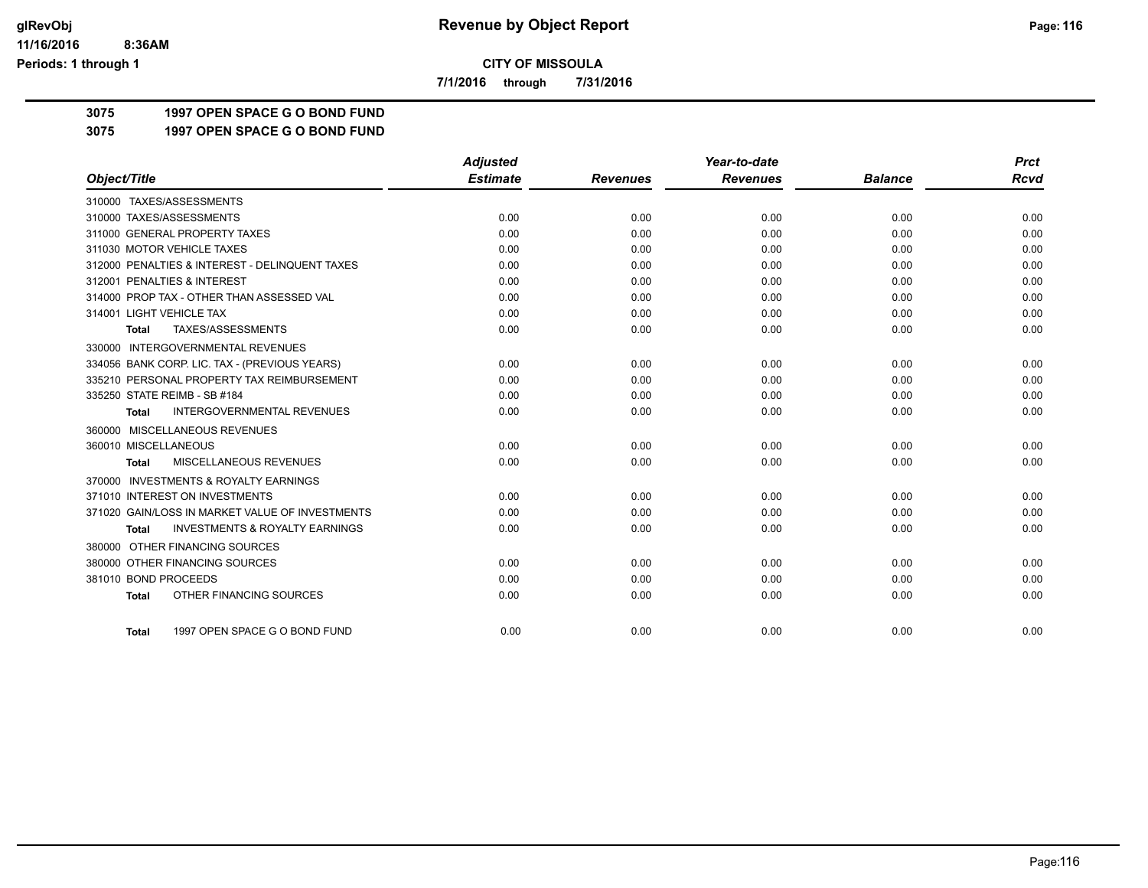**glRevObj Revenue by Object Report Page: 116** 

**CITY OF MISSOULA**

**7/1/2016 through 7/31/2016**

## **3075 1997 OPEN SPACE G O BOND FUND**

 **8:36AM**

#### **3075 1997 OPEN SPACE G O BOND FUND**

|                                       |                                                 | <b>Adjusted</b> |                 | Year-to-date    |                | <b>Prct</b> |
|---------------------------------------|-------------------------------------------------|-----------------|-----------------|-----------------|----------------|-------------|
| Object/Title                          |                                                 | <b>Estimate</b> | <b>Revenues</b> | <b>Revenues</b> | <b>Balance</b> | <b>Rcvd</b> |
| 310000 TAXES/ASSESSMENTS              |                                                 |                 |                 |                 |                |             |
| 310000 TAXES/ASSESSMENTS              |                                                 | 0.00            | 0.00            | 0.00            | 0.00           | 0.00        |
| 311000 GENERAL PROPERTY TAXES         |                                                 | 0.00            | 0.00            | 0.00            | 0.00           | 0.00        |
| 311030 MOTOR VEHICLE TAXES            |                                                 | 0.00            | 0.00            | 0.00            | 0.00           | 0.00        |
|                                       | 312000 PENALTIES & INTEREST - DELINQUENT TAXES  | 0.00            | 0.00            | 0.00            | 0.00           | 0.00        |
| 312001 PENALTIES & INTEREST           |                                                 | 0.00            | 0.00            | 0.00            | 0.00           | 0.00        |
|                                       | 314000 PROP TAX - OTHER THAN ASSESSED VAL       | 0.00            | 0.00            | 0.00            | 0.00           | 0.00        |
| 314001 LIGHT VEHICLE TAX              |                                                 | 0.00            | 0.00            | 0.00            | 0.00           | 0.00        |
| <b>Total</b>                          | TAXES/ASSESSMENTS                               | 0.00            | 0.00            | 0.00            | 0.00           | 0.00        |
| 330000 INTERGOVERNMENTAL REVENUES     |                                                 |                 |                 |                 |                |             |
|                                       | 334056 BANK CORP. LIC. TAX - (PREVIOUS YEARS)   | 0.00            | 0.00            | 0.00            | 0.00           | 0.00        |
|                                       | 335210 PERSONAL PROPERTY TAX REIMBURSEMENT      | 0.00            | 0.00            | 0.00            | 0.00           | 0.00        |
| 335250 STATE REIMB - SB #184          |                                                 | 0.00            | 0.00            | 0.00            | 0.00           | 0.00        |
| <b>Total</b>                          | <b>INTERGOVERNMENTAL REVENUES</b>               | 0.00            | 0.00            | 0.00            | 0.00           | 0.00        |
| 360000 MISCELLANEOUS REVENUES         |                                                 |                 |                 |                 |                |             |
| 360010 MISCELLANEOUS                  |                                                 | 0.00            | 0.00            | 0.00            | 0.00           | 0.00        |
| <b>Total</b>                          | <b>MISCELLANEOUS REVENUES</b>                   | 0.00            | 0.00            | 0.00            | 0.00           | 0.00        |
| 370000 INVESTMENTS & ROYALTY EARNINGS |                                                 |                 |                 |                 |                |             |
| 371010 INTEREST ON INVESTMENTS        |                                                 | 0.00            | 0.00            | 0.00            | 0.00           | 0.00        |
|                                       | 371020 GAIN/LOSS IN MARKET VALUE OF INVESTMENTS | 0.00            | 0.00            | 0.00            | 0.00           | 0.00        |
| Total                                 | <b>INVESTMENTS &amp; ROYALTY EARNINGS</b>       | 0.00            | 0.00            | 0.00            | 0.00           | 0.00        |
| 380000 OTHER FINANCING SOURCES        |                                                 |                 |                 |                 |                |             |
| 380000 OTHER FINANCING SOURCES        |                                                 | 0.00            | 0.00            | 0.00            | 0.00           | 0.00        |
| 381010 BOND PROCEEDS                  |                                                 | 0.00            | 0.00            | 0.00            | 0.00           | 0.00        |
| <b>Total</b>                          | OTHER FINANCING SOURCES                         | 0.00            | 0.00            | 0.00            | 0.00           | 0.00        |
|                                       |                                                 |                 |                 |                 |                |             |
| <b>Total</b>                          | 1997 OPEN SPACE G O BOND FUND                   | 0.00            | 0.00            | 0.00            | 0.00           | 0.00        |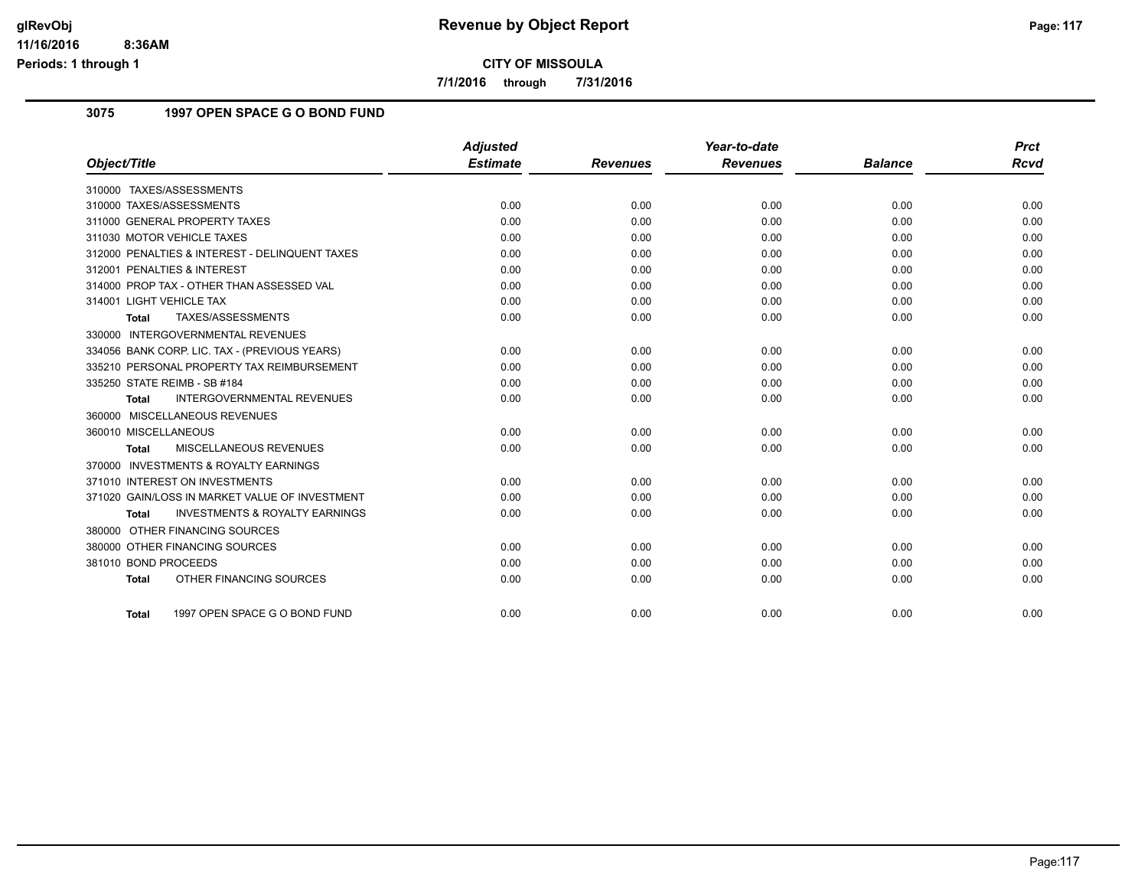**8:36AM**

**CITY OF MISSOULA**

**7/1/2016 through 7/31/2016**

#### **3075 1997 OPEN SPACE G O BOND FUND**

|                                                           | <b>Adjusted</b> |                 | Year-to-date    |                | <b>Prct</b> |
|-----------------------------------------------------------|-----------------|-----------------|-----------------|----------------|-------------|
| Object/Title                                              | <b>Estimate</b> | <b>Revenues</b> | <b>Revenues</b> | <b>Balance</b> | <b>Rcvd</b> |
| 310000 TAXES/ASSESSMENTS                                  |                 |                 |                 |                |             |
| 310000 TAXES/ASSESSMENTS                                  | 0.00            | 0.00            | 0.00            | 0.00           | 0.00        |
| 311000 GENERAL PROPERTY TAXES                             | 0.00            | 0.00            | 0.00            | 0.00           | 0.00        |
| 311030 MOTOR VEHICLE TAXES                                | 0.00            | 0.00            | 0.00            | 0.00           | 0.00        |
| 312000 PENALTIES & INTEREST - DELINQUENT TAXES            | 0.00            | 0.00            | 0.00            | 0.00           | 0.00        |
| 312001 PENALTIES & INTEREST                               | 0.00            | 0.00            | 0.00            | 0.00           | 0.00        |
| 314000 PROP TAX - OTHER THAN ASSESSED VAL                 | 0.00            | 0.00            | 0.00            | 0.00           | 0.00        |
| 314001 LIGHT VEHICLE TAX                                  | 0.00            | 0.00            | 0.00            | 0.00           | 0.00        |
| TAXES/ASSESSMENTS<br><b>Total</b>                         | 0.00            | 0.00            | 0.00            | 0.00           | 0.00        |
| 330000 INTERGOVERNMENTAL REVENUES                         |                 |                 |                 |                |             |
| 334056 BANK CORP. LIC. TAX - (PREVIOUS YEARS)             | 0.00            | 0.00            | 0.00            | 0.00           | 0.00        |
| 335210 PERSONAL PROPERTY TAX REIMBURSEMENT                | 0.00            | 0.00            | 0.00            | 0.00           | 0.00        |
| 335250 STATE REIMB - SB #184                              | 0.00            | 0.00            | 0.00            | 0.00           | 0.00        |
| <b>INTERGOVERNMENTAL REVENUES</b><br><b>Total</b>         | 0.00            | 0.00            | 0.00            | 0.00           | 0.00        |
| 360000 MISCELLANEOUS REVENUES                             |                 |                 |                 |                |             |
| 360010 MISCELLANEOUS                                      | 0.00            | 0.00            | 0.00            | 0.00           | 0.00        |
| MISCELLANEOUS REVENUES<br><b>Total</b>                    | 0.00            | 0.00            | 0.00            | 0.00           | 0.00        |
| 370000 INVESTMENTS & ROYALTY EARNINGS                     |                 |                 |                 |                |             |
| 371010 INTEREST ON INVESTMENTS                            | 0.00            | 0.00            | 0.00            | 0.00           | 0.00        |
| 371020 GAIN/LOSS IN MARKET VALUE OF INVESTMENT            | 0.00            | 0.00            | 0.00            | 0.00           | 0.00        |
| <b>INVESTMENTS &amp; ROYALTY EARNINGS</b><br><b>Total</b> | 0.00            | 0.00            | 0.00            | 0.00           | 0.00        |
| 380000 OTHER FINANCING SOURCES                            |                 |                 |                 |                |             |
| 380000 OTHER FINANCING SOURCES                            | 0.00            | 0.00            | 0.00            | 0.00           | 0.00        |
| 381010 BOND PROCEEDS                                      | 0.00            | 0.00            | 0.00            | 0.00           | 0.00        |
| OTHER FINANCING SOURCES<br><b>Total</b>                   | 0.00            | 0.00            | 0.00            | 0.00           | 0.00        |
| 1997 OPEN SPACE G O BOND FUND<br><b>Total</b>             | 0.00            | 0.00            | 0.00            | 0.00           | 0.00        |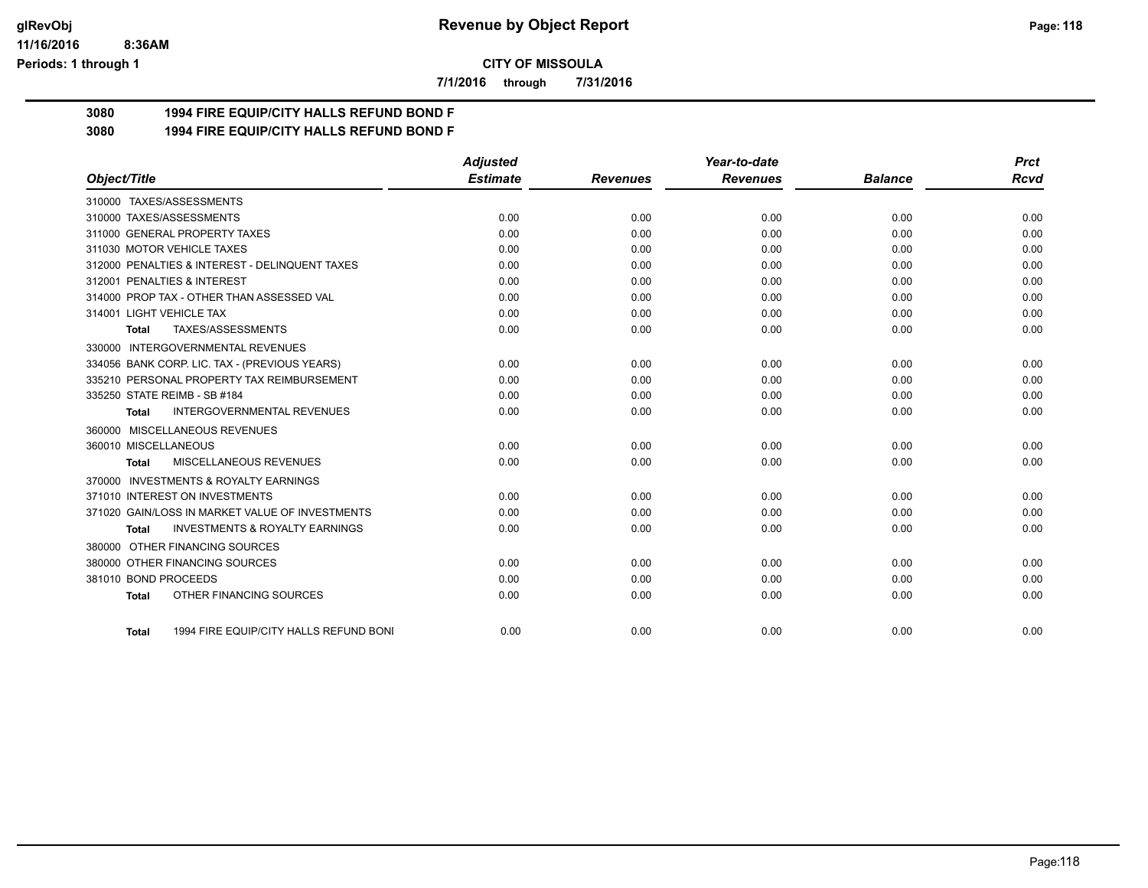**CITY OF MISSOULA**

**7/1/2016 through 7/31/2016**

## **3080 1994 FIRE EQUIP/CITY HALLS REFUND BOND F**

**3080 1994 FIRE EQUIP/CITY HALLS REFUND BOND F**

|                                                           | <b>Adjusted</b> |                 | Year-to-date    |                | <b>Prct</b> |
|-----------------------------------------------------------|-----------------|-----------------|-----------------|----------------|-------------|
| Object/Title                                              | <b>Estimate</b> | <b>Revenues</b> | <b>Revenues</b> | <b>Balance</b> | <b>Rcvd</b> |
| 310000 TAXES/ASSESSMENTS                                  |                 |                 |                 |                |             |
| 310000 TAXES/ASSESSMENTS                                  | 0.00            | 0.00            | 0.00            | 0.00           | 0.00        |
| 311000 GENERAL PROPERTY TAXES                             | 0.00            | 0.00            | 0.00            | 0.00           | 0.00        |
| 311030 MOTOR VEHICLE TAXES                                | 0.00            | 0.00            | 0.00            | 0.00           | 0.00        |
| 312000 PENALTIES & INTEREST - DELINQUENT TAXES            | 0.00            | 0.00            | 0.00            | 0.00           | 0.00        |
| 312001 PENALTIES & INTEREST                               | 0.00            | 0.00            | 0.00            | 0.00           | 0.00        |
| 314000 PROP TAX - OTHER THAN ASSESSED VAL                 | 0.00            | 0.00            | 0.00            | 0.00           | 0.00        |
| 314001 LIGHT VEHICLE TAX                                  | 0.00            | 0.00            | 0.00            | 0.00           | 0.00        |
| TAXES/ASSESSMENTS<br><b>Total</b>                         | 0.00            | 0.00            | 0.00            | 0.00           | 0.00        |
| 330000 INTERGOVERNMENTAL REVENUES                         |                 |                 |                 |                |             |
| 334056 BANK CORP. LIC. TAX - (PREVIOUS YEARS)             | 0.00            | 0.00            | 0.00            | 0.00           | 0.00        |
| 335210 PERSONAL PROPERTY TAX REIMBURSEMENT                | 0.00            | 0.00            | 0.00            | 0.00           | 0.00        |
| 335250 STATE REIMB - SB #184                              | 0.00            | 0.00            | 0.00            | 0.00           | 0.00        |
| <b>INTERGOVERNMENTAL REVENUES</b><br>Total                | 0.00            | 0.00            | 0.00            | 0.00           | 0.00        |
| 360000 MISCELLANEOUS REVENUES                             |                 |                 |                 |                |             |
| 360010 MISCELLANEOUS                                      | 0.00            | 0.00            | 0.00            | 0.00           | 0.00        |
| MISCELLANEOUS REVENUES<br>Total                           | 0.00            | 0.00            | 0.00            | 0.00           | 0.00        |
| 370000 INVESTMENTS & ROYALTY EARNINGS                     |                 |                 |                 |                |             |
| 371010 INTEREST ON INVESTMENTS                            | 0.00            | 0.00            | 0.00            | 0.00           | 0.00        |
| 371020 GAIN/LOSS IN MARKET VALUE OF INVESTMENTS           | 0.00            | 0.00            | 0.00            | 0.00           | 0.00        |
| <b>INVESTMENTS &amp; ROYALTY EARNINGS</b><br><b>Total</b> | 0.00            | 0.00            | 0.00            | 0.00           | 0.00        |
| 380000 OTHER FINANCING SOURCES                            |                 |                 |                 |                |             |
| 380000 OTHER FINANCING SOURCES                            | 0.00            | 0.00            | 0.00            | 0.00           | 0.00        |
| 381010 BOND PROCEEDS                                      | 0.00            | 0.00            | 0.00            | 0.00           | 0.00        |
| OTHER FINANCING SOURCES<br><b>Total</b>                   | 0.00            | 0.00            | 0.00            | 0.00           | 0.00        |
|                                                           |                 |                 |                 |                |             |
| 1994 FIRE EQUIP/CITY HALLS REFUND BONI<br>Total           | 0.00            | 0.00            | 0.00            | 0.00           | 0.00        |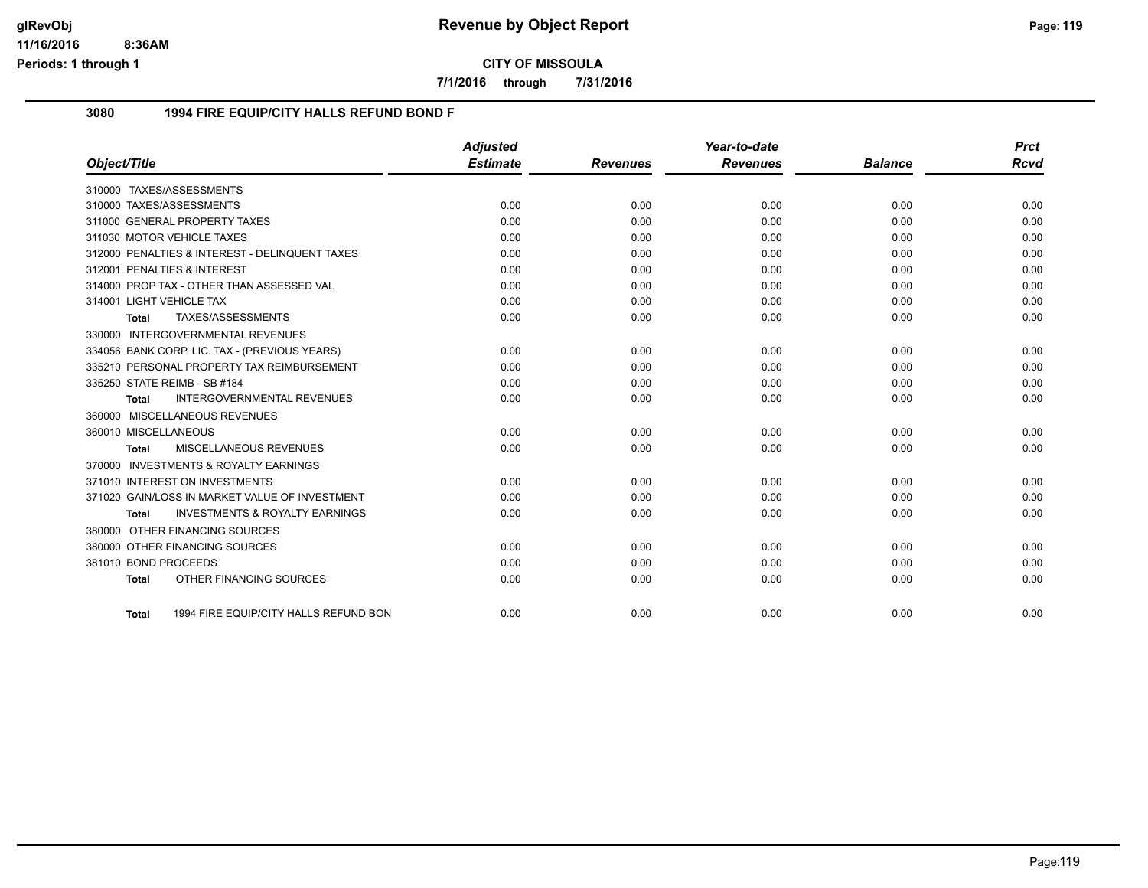**8:36AM**

**CITY OF MISSOULA**

**7/1/2016 through 7/31/2016**

#### **3080 1994 FIRE EQUIP/CITY HALLS REFUND BOND F**

|                                                           | <b>Adjusted</b> |                 | Year-to-date    |                | <b>Prct</b> |
|-----------------------------------------------------------|-----------------|-----------------|-----------------|----------------|-------------|
| Object/Title                                              | <b>Estimate</b> | <b>Revenues</b> | <b>Revenues</b> | <b>Balance</b> | <b>Rcvd</b> |
| 310000 TAXES/ASSESSMENTS                                  |                 |                 |                 |                |             |
| 310000 TAXES/ASSESSMENTS                                  | 0.00            | 0.00            | 0.00            | 0.00           | 0.00        |
| 311000 GENERAL PROPERTY TAXES                             | 0.00            | 0.00            | 0.00            | 0.00           | 0.00        |
| 311030 MOTOR VEHICLE TAXES                                | 0.00            | 0.00            | 0.00            | 0.00           | 0.00        |
| 312000 PENALTIES & INTEREST - DELINQUENT TAXES            | 0.00            | 0.00            | 0.00            | 0.00           | 0.00        |
| 312001 PENALTIES & INTEREST                               | 0.00            | 0.00            | 0.00            | 0.00           | 0.00        |
| 314000 PROP TAX - OTHER THAN ASSESSED VAL                 | 0.00            | 0.00            | 0.00            | 0.00           | 0.00        |
| 314001 LIGHT VEHICLE TAX                                  | 0.00            | 0.00            | 0.00            | 0.00           | 0.00        |
| TAXES/ASSESSMENTS<br><b>Total</b>                         | 0.00            | 0.00            | 0.00            | 0.00           | 0.00        |
| 330000 INTERGOVERNMENTAL REVENUES                         |                 |                 |                 |                |             |
| 334056 BANK CORP. LIC. TAX - (PREVIOUS YEARS)             | 0.00            | 0.00            | 0.00            | 0.00           | 0.00        |
| 335210 PERSONAL PROPERTY TAX REIMBURSEMENT                | 0.00            | 0.00            | 0.00            | 0.00           | 0.00        |
| 335250 STATE REIMB - SB #184                              | 0.00            | 0.00            | 0.00            | 0.00           | 0.00        |
| <b>INTERGOVERNMENTAL REVENUES</b><br><b>Total</b>         | 0.00            | 0.00            | 0.00            | 0.00           | 0.00        |
| 360000 MISCELLANEOUS REVENUES                             |                 |                 |                 |                |             |
| 360010 MISCELLANEOUS                                      | 0.00            | 0.00            | 0.00            | 0.00           | 0.00        |
| <b>MISCELLANEOUS REVENUES</b><br><b>Total</b>             | 0.00            | 0.00            | 0.00            | 0.00           | 0.00        |
| 370000 INVESTMENTS & ROYALTY EARNINGS                     |                 |                 |                 |                |             |
| 371010 INTEREST ON INVESTMENTS                            | 0.00            | 0.00            | 0.00            | 0.00           | 0.00        |
| 371020 GAIN/LOSS IN MARKET VALUE OF INVESTMENT            | 0.00            | 0.00            | 0.00            | 0.00           | 0.00        |
| <b>INVESTMENTS &amp; ROYALTY EARNINGS</b><br><b>Total</b> | 0.00            | 0.00            | 0.00            | 0.00           | 0.00        |
| 380000 OTHER FINANCING SOURCES                            |                 |                 |                 |                |             |
| 380000 OTHER FINANCING SOURCES                            | 0.00            | 0.00            | 0.00            | 0.00           | 0.00        |
| 381010 BOND PROCEEDS                                      | 0.00            | 0.00            | 0.00            | 0.00           | 0.00        |
| OTHER FINANCING SOURCES<br><b>Total</b>                   | 0.00            | 0.00            | 0.00            | 0.00           | 0.00        |
| 1994 FIRE EQUIP/CITY HALLS REFUND BON<br>Total            | 0.00            | 0.00            | 0.00            | 0.00           | 0.00        |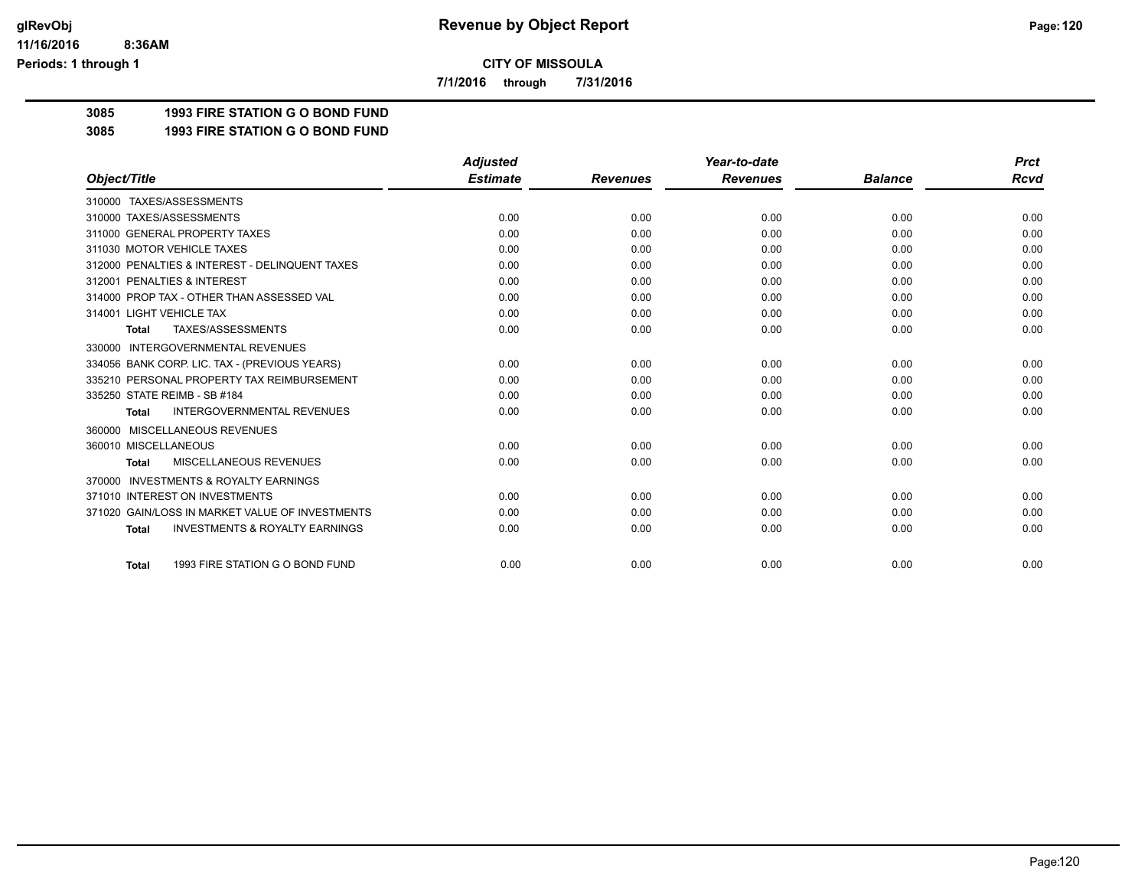**CITY OF MISSOULA**

**7/1/2016 through 7/31/2016**

**3085 1993 FIRE STATION G O BOND FUND**

**3085 1993 FIRE STATION G O BOND FUND**

|                                                           | <b>Adjusted</b> |                 | Year-to-date    |                | <b>Prct</b> |
|-----------------------------------------------------------|-----------------|-----------------|-----------------|----------------|-------------|
| Object/Title                                              | <b>Estimate</b> | <b>Revenues</b> | <b>Revenues</b> | <b>Balance</b> | Rcvd        |
| 310000 TAXES/ASSESSMENTS                                  |                 |                 |                 |                |             |
| 310000 TAXES/ASSESSMENTS                                  | 0.00            | 0.00            | 0.00            | 0.00           | 0.00        |
| 311000 GENERAL PROPERTY TAXES                             | 0.00            | 0.00            | 0.00            | 0.00           | 0.00        |
| 311030 MOTOR VEHICLE TAXES                                | 0.00            | 0.00            | 0.00            | 0.00           | 0.00        |
| 312000 PENALTIES & INTEREST - DELINQUENT TAXES            | 0.00            | 0.00            | 0.00            | 0.00           | 0.00        |
| 312001 PENALTIES & INTEREST                               | 0.00            | 0.00            | 0.00            | 0.00           | 0.00        |
| 314000 PROP TAX - OTHER THAN ASSESSED VAL                 | 0.00            | 0.00            | 0.00            | 0.00           | 0.00        |
| 314001 LIGHT VEHICLE TAX                                  | 0.00            | 0.00            | 0.00            | 0.00           | 0.00        |
| TAXES/ASSESSMENTS<br><b>Total</b>                         | 0.00            | 0.00            | 0.00            | 0.00           | 0.00        |
| <b>INTERGOVERNMENTAL REVENUES</b><br>330000               |                 |                 |                 |                |             |
| 334056 BANK CORP. LIC. TAX - (PREVIOUS YEARS)             | 0.00            | 0.00            | 0.00            | 0.00           | 0.00        |
| 335210 PERSONAL PROPERTY TAX REIMBURSEMENT                | 0.00            | 0.00            | 0.00            | 0.00           | 0.00        |
| 335250 STATE REIMB - SB #184                              | 0.00            | 0.00            | 0.00            | 0.00           | 0.00        |
| <b>INTERGOVERNMENTAL REVENUES</b><br><b>Total</b>         | 0.00            | 0.00            | 0.00            | 0.00           | 0.00        |
| MISCELLANEOUS REVENUES<br>360000                          |                 |                 |                 |                |             |
| 360010 MISCELLANEOUS                                      | 0.00            | 0.00            | 0.00            | 0.00           | 0.00        |
| MISCELLANEOUS REVENUES<br><b>Total</b>                    | 0.00            | 0.00            | 0.00            | 0.00           | 0.00        |
| <b>INVESTMENTS &amp; ROYALTY EARNINGS</b><br>370000       |                 |                 |                 |                |             |
| 371010 INTEREST ON INVESTMENTS                            | 0.00            | 0.00            | 0.00            | 0.00           | 0.00        |
| 371020 GAIN/LOSS IN MARKET VALUE OF INVESTMENTS           | 0.00            | 0.00            | 0.00            | 0.00           | 0.00        |
| <b>INVESTMENTS &amp; ROYALTY EARNINGS</b><br><b>Total</b> | 0.00            | 0.00            | 0.00            | 0.00           | 0.00        |
| 1993 FIRE STATION G O BOND FUND<br><b>Total</b>           | 0.00            | 0.00            | 0.00            | 0.00           | 0.00        |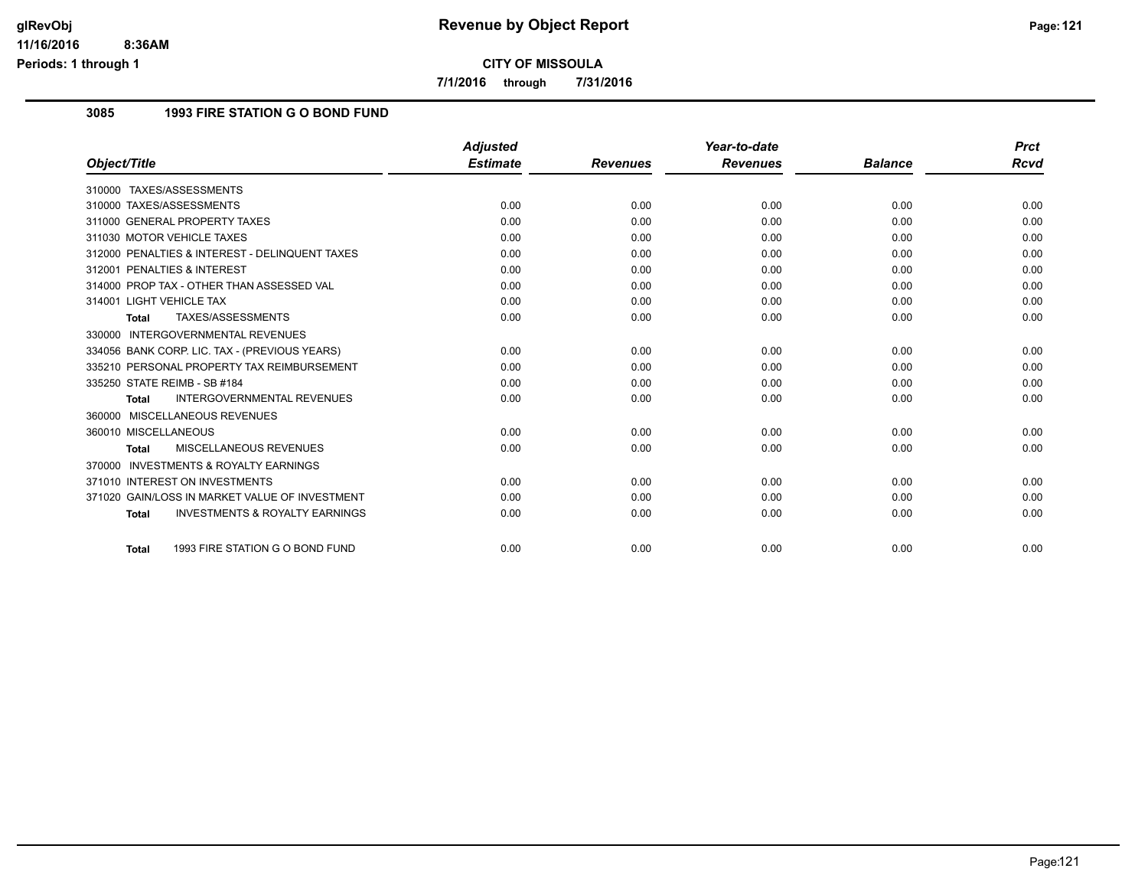**8:36AM**

**CITY OF MISSOULA**

**7/1/2016 through 7/31/2016**

#### **3085 1993 FIRE STATION G O BOND FUND**

|                                                           | <b>Adjusted</b> |                 | Year-to-date    |                | <b>Prct</b> |
|-----------------------------------------------------------|-----------------|-----------------|-----------------|----------------|-------------|
| Object/Title                                              | <b>Estimate</b> | <b>Revenues</b> | <b>Revenues</b> | <b>Balance</b> | Rcvd        |
| 310000 TAXES/ASSESSMENTS                                  |                 |                 |                 |                |             |
| 310000 TAXES/ASSESSMENTS                                  | 0.00            | 0.00            | 0.00            | 0.00           | 0.00        |
| 311000 GENERAL PROPERTY TAXES                             | 0.00            | 0.00            | 0.00            | 0.00           | 0.00        |
| 311030 MOTOR VEHICLE TAXES                                | 0.00            | 0.00            | 0.00            | 0.00           | 0.00        |
| 312000 PENALTIES & INTEREST - DELINQUENT TAXES            | 0.00            | 0.00            | 0.00            | 0.00           | 0.00        |
| 312001 PENALTIES & INTEREST                               | 0.00            | 0.00            | 0.00            | 0.00           | 0.00        |
| 314000 PROP TAX - OTHER THAN ASSESSED VAL                 | 0.00            | 0.00            | 0.00            | 0.00           | 0.00        |
| 314001 LIGHT VEHICLE TAX                                  | 0.00            | 0.00            | 0.00            | 0.00           | 0.00        |
| TAXES/ASSESSMENTS<br>Total                                | 0.00            | 0.00            | 0.00            | 0.00           | 0.00        |
| 330000 INTERGOVERNMENTAL REVENUES                         |                 |                 |                 |                |             |
| 334056 BANK CORP. LIC. TAX - (PREVIOUS YEARS)             | 0.00            | 0.00            | 0.00            | 0.00           | 0.00        |
| 335210 PERSONAL PROPERTY TAX REIMBURSEMENT                | 0.00            | 0.00            | 0.00            | 0.00           | 0.00        |
| 335250 STATE REIMB - SB #184                              | 0.00            | 0.00            | 0.00            | 0.00           | 0.00        |
| <b>INTERGOVERNMENTAL REVENUES</b><br><b>Total</b>         | 0.00            | 0.00            | 0.00            | 0.00           | 0.00        |
| 360000 MISCELLANEOUS REVENUES                             |                 |                 |                 |                |             |
| 360010 MISCELLANEOUS                                      | 0.00            | 0.00            | 0.00            | 0.00           | 0.00        |
| MISCELLANEOUS REVENUES<br><b>Total</b>                    | 0.00            | 0.00            | 0.00            | 0.00           | 0.00        |
| 370000 INVESTMENTS & ROYALTY EARNINGS                     |                 |                 |                 |                |             |
| 371010 INTEREST ON INVESTMENTS                            | 0.00            | 0.00            | 0.00            | 0.00           | 0.00        |
| 371020 GAIN/LOSS IN MARKET VALUE OF INVESTMENT            | 0.00            | 0.00            | 0.00            | 0.00           | 0.00        |
| <b>INVESTMENTS &amp; ROYALTY EARNINGS</b><br><b>Total</b> | 0.00            | 0.00            | 0.00            | 0.00           | 0.00        |
| 1993 FIRE STATION G O BOND FUND<br>Total                  | 0.00            | 0.00            | 0.00            | 0.00           | 0.00        |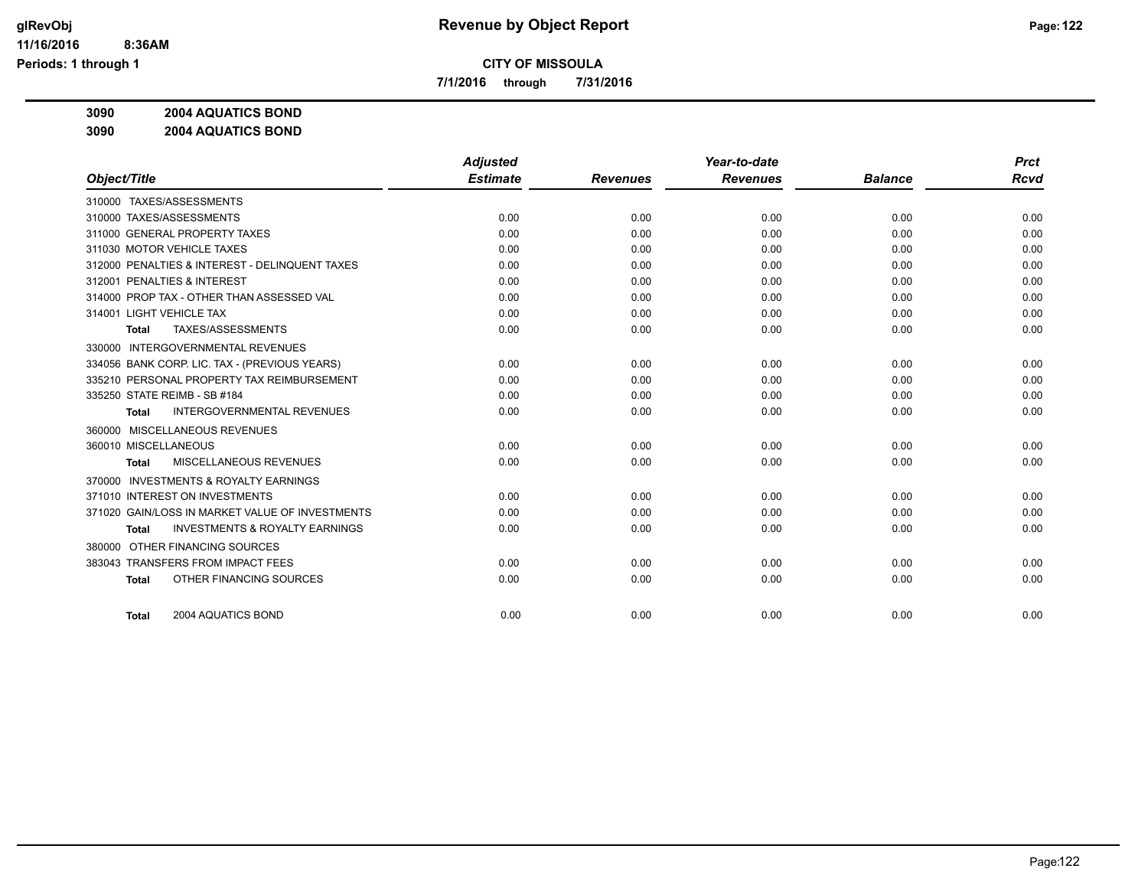**CITY OF MISSOULA**

**7/1/2016 through 7/31/2016**

**3090 2004 AQUATICS BOND**

**3090 2004 AQUATICS BOND**

|                                                           | <b>Adjusted</b> |                 | Year-to-date    |                | <b>Prct</b> |
|-----------------------------------------------------------|-----------------|-----------------|-----------------|----------------|-------------|
| Object/Title                                              | <b>Estimate</b> | <b>Revenues</b> | <b>Revenues</b> | <b>Balance</b> | <b>Rcvd</b> |
| 310000 TAXES/ASSESSMENTS                                  |                 |                 |                 |                |             |
| 310000 TAXES/ASSESSMENTS                                  | 0.00            | 0.00            | 0.00            | 0.00           | 0.00        |
| 311000 GENERAL PROPERTY TAXES                             | 0.00            | 0.00            | 0.00            | 0.00           | 0.00        |
| 311030 MOTOR VEHICLE TAXES                                | 0.00            | 0.00            | 0.00            | 0.00           | 0.00        |
| 312000 PENALTIES & INTEREST - DELINQUENT TAXES            | 0.00            | 0.00            | 0.00            | 0.00           | 0.00        |
| 312001 PENALTIES & INTEREST                               | 0.00            | 0.00            | 0.00            | 0.00           | 0.00        |
| 314000 PROP TAX - OTHER THAN ASSESSED VAL                 | 0.00            | 0.00            | 0.00            | 0.00           | 0.00        |
| 314001 LIGHT VEHICLE TAX                                  | 0.00            | 0.00            | 0.00            | 0.00           | 0.00        |
| TAXES/ASSESSMENTS<br><b>Total</b>                         | 0.00            | 0.00            | 0.00            | 0.00           | 0.00        |
| 330000 INTERGOVERNMENTAL REVENUES                         |                 |                 |                 |                |             |
| 334056 BANK CORP. LIC. TAX - (PREVIOUS YEARS)             | 0.00            | 0.00            | 0.00            | 0.00           | 0.00        |
| 335210 PERSONAL PROPERTY TAX REIMBURSEMENT                | 0.00            | 0.00            | 0.00            | 0.00           | 0.00        |
| 335250 STATE REIMB - SB #184                              | 0.00            | 0.00            | 0.00            | 0.00           | 0.00        |
| <b>INTERGOVERNMENTAL REVENUES</b><br>Total                | 0.00            | 0.00            | 0.00            | 0.00           | 0.00        |
| MISCELLANEOUS REVENUES<br>360000                          |                 |                 |                 |                |             |
| 360010 MISCELLANEOUS                                      | 0.00            | 0.00            | 0.00            | 0.00           | 0.00        |
| <b>MISCELLANEOUS REVENUES</b><br><b>Total</b>             | 0.00            | 0.00            | 0.00            | 0.00           | 0.00        |
| <b>INVESTMENTS &amp; ROYALTY EARNINGS</b><br>370000       |                 |                 |                 |                |             |
| 371010 INTEREST ON INVESTMENTS                            | 0.00            | 0.00            | 0.00            | 0.00           | 0.00        |
| 371020 GAIN/LOSS IN MARKET VALUE OF INVESTMENTS           | 0.00            | 0.00            | 0.00            | 0.00           | 0.00        |
| <b>INVESTMENTS &amp; ROYALTY EARNINGS</b><br><b>Total</b> | 0.00            | 0.00            | 0.00            | 0.00           | 0.00        |
| 380000 OTHER FINANCING SOURCES                            |                 |                 |                 |                |             |
| 383043 TRANSFERS FROM IMPACT FEES                         | 0.00            | 0.00            | 0.00            | 0.00           | 0.00        |
| OTHER FINANCING SOURCES<br><b>Total</b>                   | 0.00            | 0.00            | 0.00            | 0.00           | 0.00        |
| 2004 AQUATICS BOND<br><b>Total</b>                        | 0.00            | 0.00            | 0.00            | 0.00           | 0.00        |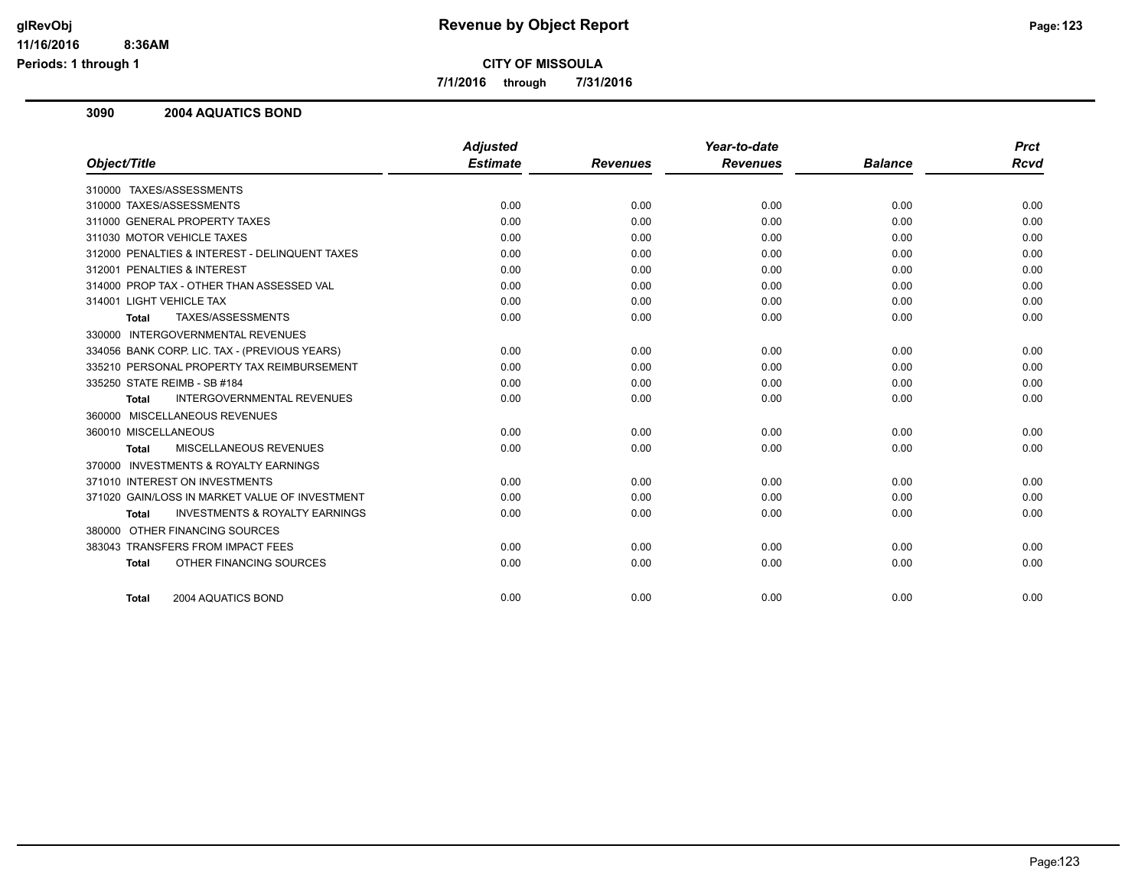**CITY OF MISSOULA**

**7/1/2016 through 7/31/2016**

#### **3090 2004 AQUATICS BOND**

 **8:36AM**

|                                                           | <b>Adjusted</b> |                 | Year-to-date    |                | <b>Prct</b> |
|-----------------------------------------------------------|-----------------|-----------------|-----------------|----------------|-------------|
| Object/Title                                              | <b>Estimate</b> | <b>Revenues</b> | <b>Revenues</b> | <b>Balance</b> | <b>Rcvd</b> |
| 310000 TAXES/ASSESSMENTS                                  |                 |                 |                 |                |             |
| 310000 TAXES/ASSESSMENTS                                  | 0.00            | 0.00            | 0.00            | 0.00           | 0.00        |
| 311000 GENERAL PROPERTY TAXES                             | 0.00            | 0.00            | 0.00            | 0.00           | 0.00        |
| 311030 MOTOR VEHICLE TAXES                                | 0.00            | 0.00            | 0.00            | 0.00           | 0.00        |
| 312000 PENALTIES & INTEREST - DELINQUENT TAXES            | 0.00            | 0.00            | 0.00            | 0.00           | 0.00        |
| 312001 PENALTIES & INTEREST                               | 0.00            | 0.00            | 0.00            | 0.00           | 0.00        |
| 314000 PROP TAX - OTHER THAN ASSESSED VAL                 | 0.00            | 0.00            | 0.00            | 0.00           | 0.00        |
| 314001 LIGHT VEHICLE TAX                                  | 0.00            | 0.00            | 0.00            | 0.00           | 0.00        |
| TAXES/ASSESSMENTS<br><b>Total</b>                         | 0.00            | 0.00            | 0.00            | 0.00           | 0.00        |
| 330000 INTERGOVERNMENTAL REVENUES                         |                 |                 |                 |                |             |
| 334056 BANK CORP. LIC. TAX - (PREVIOUS YEARS)             | 0.00            | 0.00            | 0.00            | 0.00           | 0.00        |
| 335210 PERSONAL PROPERTY TAX REIMBURSEMENT                | 0.00            | 0.00            | 0.00            | 0.00           | 0.00        |
| 335250 STATE REIMB - SB #184                              | 0.00            | 0.00            | 0.00            | 0.00           | 0.00        |
| <b>INTERGOVERNMENTAL REVENUES</b><br><b>Total</b>         | 0.00            | 0.00            | 0.00            | 0.00           | 0.00        |
| 360000 MISCELLANEOUS REVENUES                             |                 |                 |                 |                |             |
| 360010 MISCELLANEOUS                                      | 0.00            | 0.00            | 0.00            | 0.00           | 0.00        |
| MISCELLANEOUS REVENUES<br><b>Total</b>                    | 0.00            | 0.00            | 0.00            | 0.00           | 0.00        |
| 370000 INVESTMENTS & ROYALTY EARNINGS                     |                 |                 |                 |                |             |
| 371010 INTEREST ON INVESTMENTS                            | 0.00            | 0.00            | 0.00            | 0.00           | 0.00        |
| 371020 GAIN/LOSS IN MARKET VALUE OF INVESTMENT            | 0.00            | 0.00            | 0.00            | 0.00           | 0.00        |
| <b>INVESTMENTS &amp; ROYALTY EARNINGS</b><br><b>Total</b> | 0.00            | 0.00            | 0.00            | 0.00           | 0.00        |
| 380000 OTHER FINANCING SOURCES                            |                 |                 |                 |                |             |
| 383043 TRANSFERS FROM IMPACT FEES                         | 0.00            | 0.00            | 0.00            | 0.00           | 0.00        |
| OTHER FINANCING SOURCES<br><b>Total</b>                   | 0.00            | 0.00            | 0.00            | 0.00           | 0.00        |
| 2004 AQUATICS BOND<br><b>Total</b>                        | 0.00            | 0.00            | 0.00            | 0.00           | 0.00        |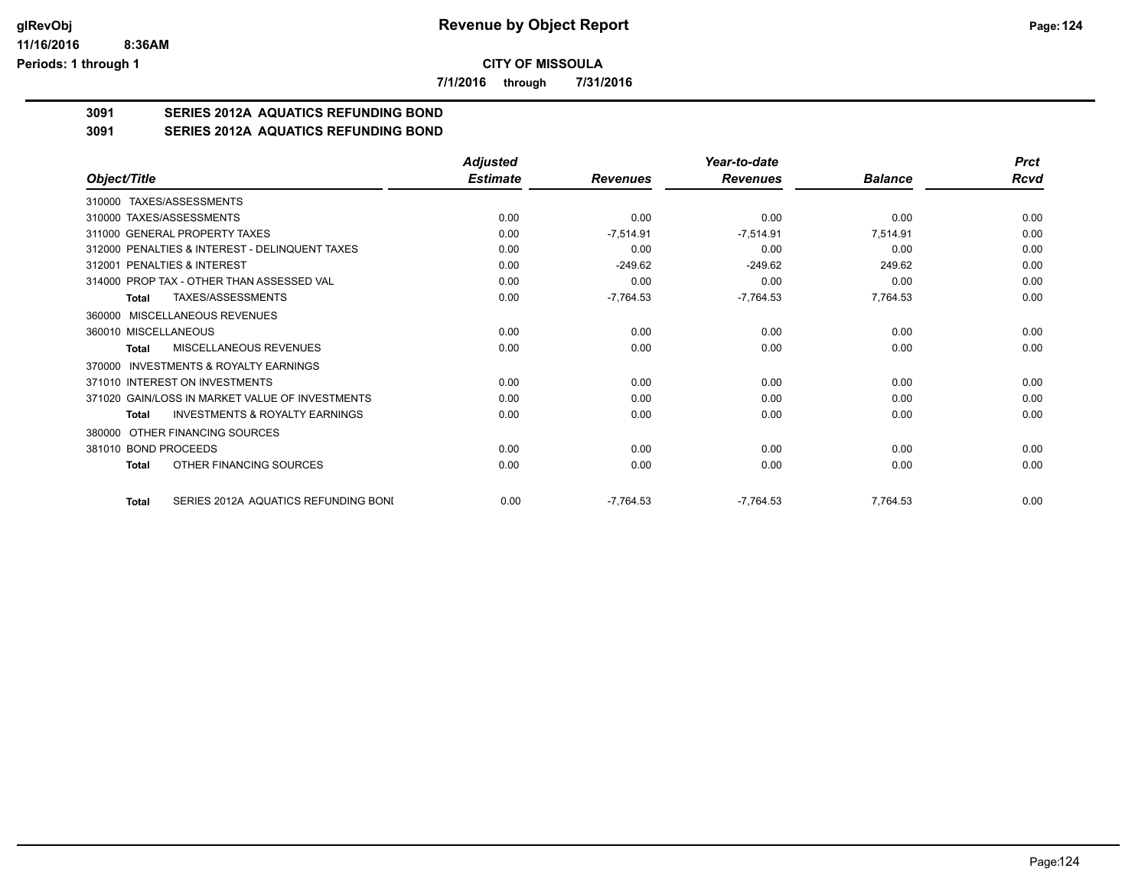**CITY OF MISSOULA**

**7/1/2016 through 7/31/2016**

# **3091 SERIES 2012A AQUATICS REFUNDING BOND**

## **3091 SERIES 2012A AQUATICS REFUNDING BOND**

|                                                           | <b>Adjusted</b> |                 | Year-to-date    |                | <b>Prct</b> |
|-----------------------------------------------------------|-----------------|-----------------|-----------------|----------------|-------------|
| Object/Title                                              | <b>Estimate</b> | <b>Revenues</b> | <b>Revenues</b> | <b>Balance</b> | Rcvd        |
| 310000 TAXES/ASSESSMENTS                                  |                 |                 |                 |                |             |
| 310000 TAXES/ASSESSMENTS                                  | 0.00            | 0.00            | 0.00            | 0.00           | 0.00        |
| 311000 GENERAL PROPERTY TAXES                             | 0.00            | $-7,514.91$     | $-7,514.91$     | 7,514.91       | 0.00        |
| 312000 PENALTIES & INTEREST - DELINQUENT TAXES            | 0.00            | 0.00            | 0.00            | 0.00           | 0.00        |
| 312001 PENALTIES & INTEREST                               | 0.00            | $-249.62$       | $-249.62$       | 249.62         | 0.00        |
| 314000 PROP TAX - OTHER THAN ASSESSED VAL                 | 0.00            | 0.00            | 0.00            | 0.00           | 0.00        |
| TAXES/ASSESSMENTS<br>Total                                | 0.00            | $-7,764.53$     | $-7,764.53$     | 7,764.53       | 0.00        |
| 360000 MISCELLANEOUS REVENUES                             |                 |                 |                 |                |             |
| 360010 MISCELLANEOUS                                      | 0.00            | 0.00            | 0.00            | 0.00           | 0.00        |
| <b>MISCELLANEOUS REVENUES</b><br>Total                    | 0.00            | 0.00            | 0.00            | 0.00           | 0.00        |
| <b>INVESTMENTS &amp; ROYALTY EARNINGS</b><br>370000       |                 |                 |                 |                |             |
| 371010 INTEREST ON INVESTMENTS                            | 0.00            | 0.00            | 0.00            | 0.00           | 0.00        |
| 371020 GAIN/LOSS IN MARKET VALUE OF INVESTMENTS           | 0.00            | 0.00            | 0.00            | 0.00           | 0.00        |
| <b>INVESTMENTS &amp; ROYALTY EARNINGS</b><br><b>Total</b> | 0.00            | 0.00            | 0.00            | 0.00           | 0.00        |
| OTHER FINANCING SOURCES<br>380000                         |                 |                 |                 |                |             |
| 381010 BOND PROCEEDS                                      | 0.00            | 0.00            | 0.00            | 0.00           | 0.00        |
| OTHER FINANCING SOURCES<br>Total                          | 0.00            | 0.00            | 0.00            | 0.00           | 0.00        |
| SERIES 2012A AQUATICS REFUNDING BONI<br>Total             | 0.00            | $-7,764.53$     | $-7,764.53$     | 7,764.53       | 0.00        |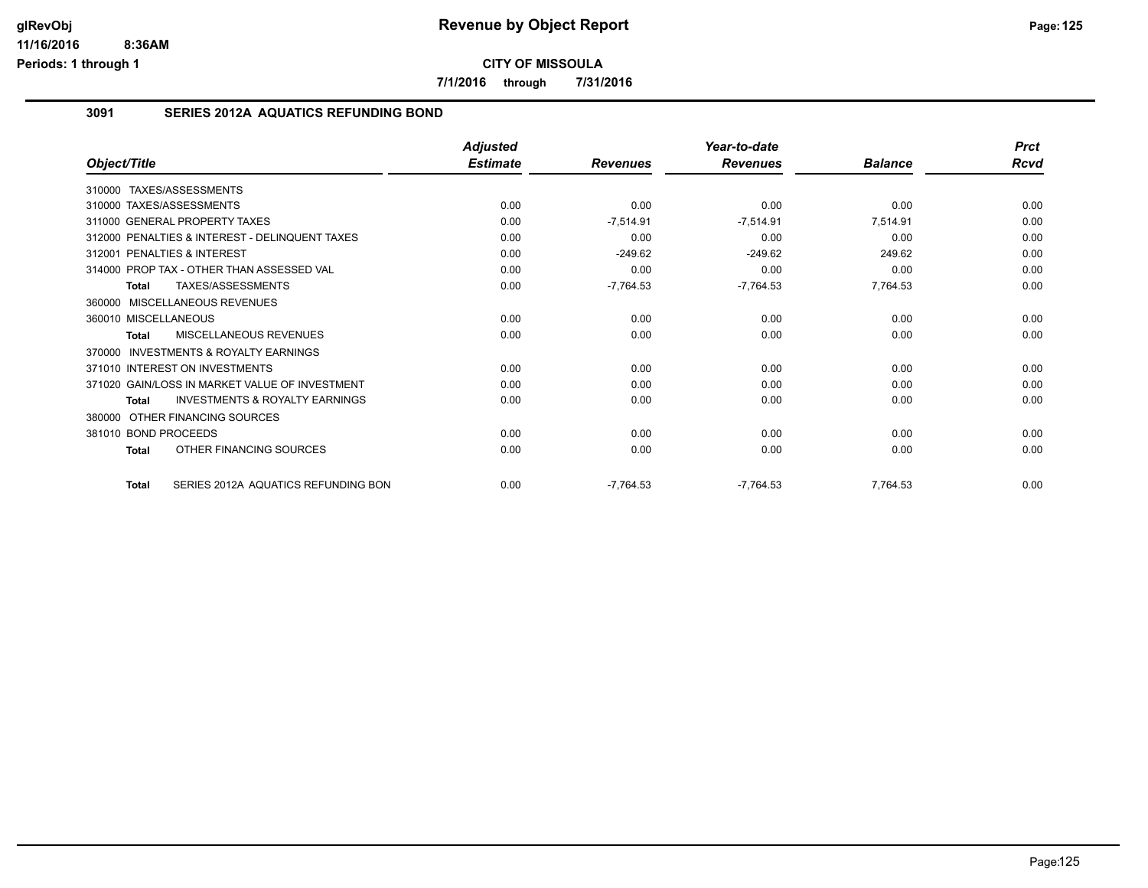**8:36AM**

**CITY OF MISSOULA**

**7/1/2016 through 7/31/2016**

#### **3091 SERIES 2012A AQUATICS REFUNDING BOND**

|                                                           | <b>Adjusted</b> |                 | Year-to-date    |                | <b>Prct</b> |
|-----------------------------------------------------------|-----------------|-----------------|-----------------|----------------|-------------|
| Object/Title                                              | <b>Estimate</b> | <b>Revenues</b> | <b>Revenues</b> | <b>Balance</b> | Rcvd        |
| TAXES/ASSESSMENTS<br>310000                               |                 |                 |                 |                |             |
| 310000 TAXES/ASSESSMENTS                                  | 0.00            | 0.00            | 0.00            | 0.00           | 0.00        |
| 311000 GENERAL PROPERTY TAXES                             | 0.00            | $-7,514.91$     | $-7,514.91$     | 7,514.91       | 0.00        |
| 312000 PENALTIES & INTEREST - DELINQUENT TAXES            | 0.00            | 0.00            | 0.00            | 0.00           | 0.00        |
| 312001 PENALTIES & INTEREST                               | 0.00            | $-249.62$       | $-249.62$       | 249.62         | 0.00        |
| 314000 PROP TAX - OTHER THAN ASSESSED VAL                 | 0.00            | 0.00            | 0.00            | 0.00           | 0.00        |
| TAXES/ASSESSMENTS<br><b>Total</b>                         | 0.00            | $-7,764.53$     | $-7,764.53$     | 7,764.53       | 0.00        |
| MISCELLANEOUS REVENUES<br>360000                          |                 |                 |                 |                |             |
| 360010 MISCELLANEOUS                                      | 0.00            | 0.00            | 0.00            | 0.00           | 0.00        |
| <b>MISCELLANEOUS REVENUES</b><br><b>Total</b>             | 0.00            | 0.00            | 0.00            | 0.00           | 0.00        |
| <b>INVESTMENTS &amp; ROYALTY EARNINGS</b><br>370000       |                 |                 |                 |                |             |
| 371010 INTEREST ON INVESTMENTS                            | 0.00            | 0.00            | 0.00            | 0.00           | 0.00        |
| 371020 GAIN/LOSS IN MARKET VALUE OF INVESTMENT            | 0.00            | 0.00            | 0.00            | 0.00           | 0.00        |
| <b>INVESTMENTS &amp; ROYALTY EARNINGS</b><br><b>Total</b> | 0.00            | 0.00            | 0.00            | 0.00           | 0.00        |
| OTHER FINANCING SOURCES<br>380000                         |                 |                 |                 |                |             |
| 381010 BOND PROCEEDS                                      | 0.00            | 0.00            | 0.00            | 0.00           | 0.00        |
| OTHER FINANCING SOURCES<br><b>Total</b>                   | 0.00            | 0.00            | 0.00            | 0.00           | 0.00        |
| SERIES 2012A AQUATICS REFUNDING BON<br><b>Total</b>       | 0.00            | $-7,764.53$     | $-7,764.53$     | 7,764.53       | 0.00        |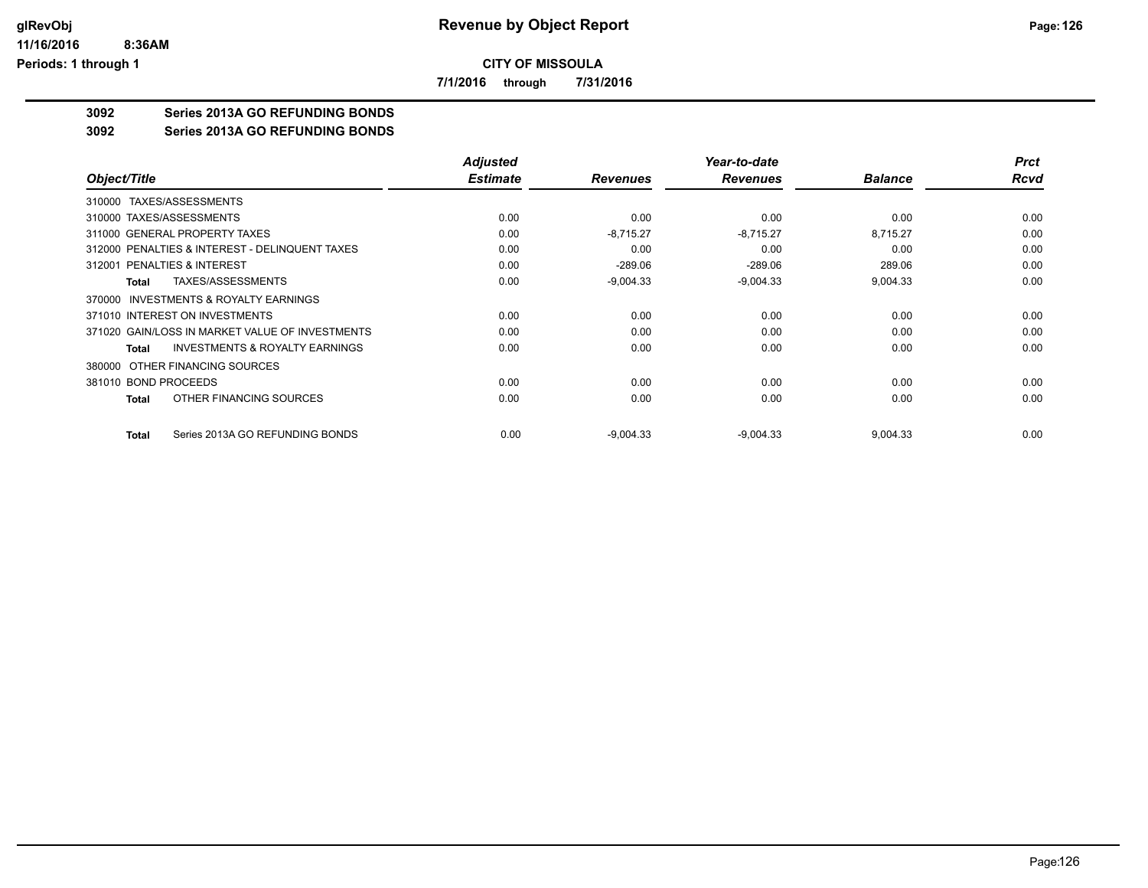**CITY OF MISSOULA**

**7/1/2016 through 7/31/2016**

**3092 Series 2013A GO REFUNDING BONDS**

**3092 Series 2013A GO REFUNDING BONDS**

|                                                    | <b>Adjusted</b> |                 | Year-to-date    |                | <b>Prct</b> |
|----------------------------------------------------|-----------------|-----------------|-----------------|----------------|-------------|
| Object/Title                                       | <b>Estimate</b> | <b>Revenues</b> | <b>Revenues</b> | <b>Balance</b> | <b>Rcvd</b> |
| 310000 TAXES/ASSESSMENTS                           |                 |                 |                 |                |             |
| 310000 TAXES/ASSESSMENTS                           | 0.00            | 0.00            | 0.00            | 0.00           | 0.00        |
| 311000 GENERAL PROPERTY TAXES                      | 0.00            | $-8,715.27$     | $-8,715.27$     | 8,715.27       | 0.00        |
| 312000 PENALTIES & INTEREST - DELINQUENT TAXES     | 0.00            | 0.00            | 0.00            | 0.00           | 0.00        |
| 312001 PENALTIES & INTEREST                        | 0.00            | $-289.06$       | $-289.06$       | 289.06         | 0.00        |
| TAXES/ASSESSMENTS<br>Total                         | 0.00            | $-9,004.33$     | $-9,004.33$     | 9,004.33       | 0.00        |
| 370000 INVESTMENTS & ROYALTY EARNINGS              |                 |                 |                 |                |             |
| 371010 INTEREST ON INVESTMENTS                     | 0.00            | 0.00            | 0.00            | 0.00           | 0.00        |
| 371020 GAIN/LOSS IN MARKET VALUE OF INVESTMENTS    | 0.00            | 0.00            | 0.00            | 0.00           | 0.00        |
| <b>INVESTMENTS &amp; ROYALTY EARNINGS</b><br>Total | 0.00            | 0.00            | 0.00            | 0.00           | 0.00        |
| OTHER FINANCING SOURCES<br>380000                  |                 |                 |                 |                |             |
| 381010 BOND PROCEEDS                               | 0.00            | 0.00            | 0.00            | 0.00           | 0.00        |
| OTHER FINANCING SOURCES<br>Total                   | 0.00            | 0.00            | 0.00            | 0.00           | 0.00        |
| Series 2013A GO REFUNDING BONDS<br><b>Total</b>    | 0.00            | $-9,004.33$     | $-9,004.33$     | 9,004.33       | 0.00        |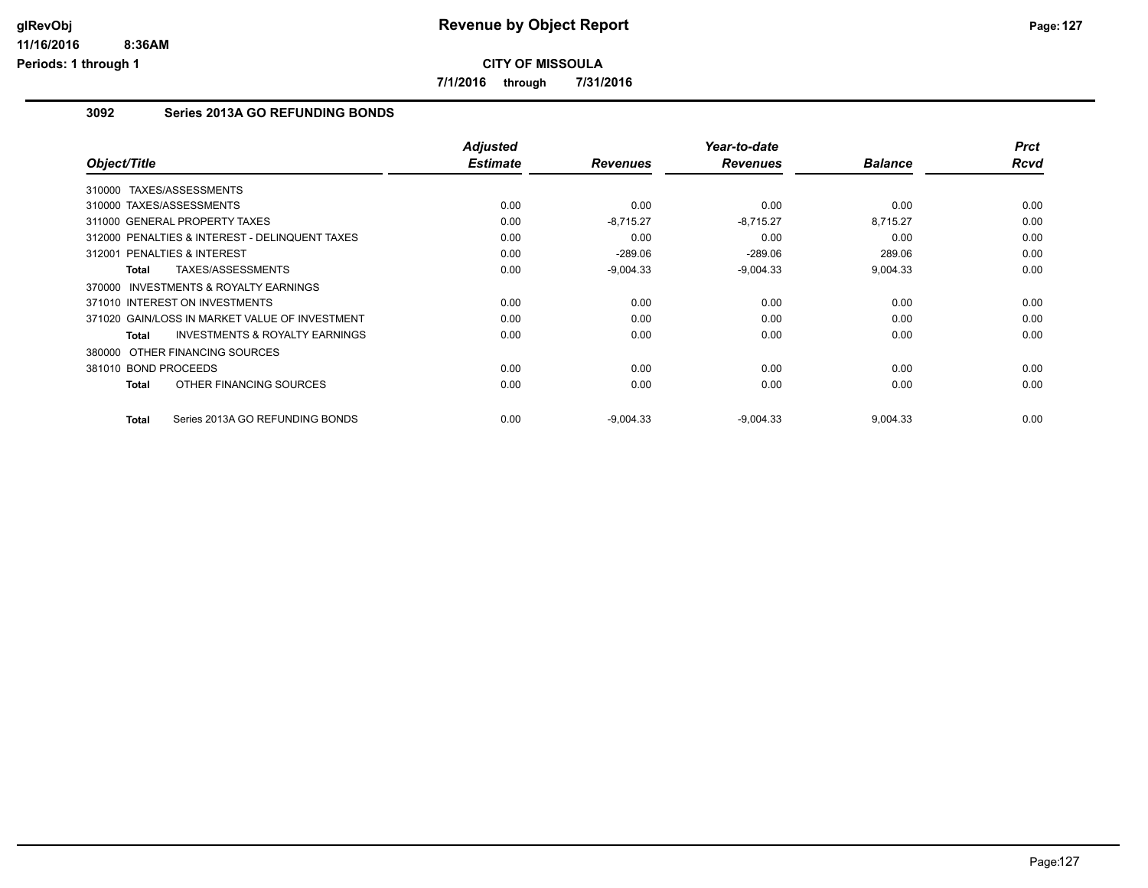**8:36AM**

**CITY OF MISSOULA**

**7/1/2016 through 7/31/2016**

#### **3092 Series 2013A GO REFUNDING BONDS**

| Object/Title                                              | <b>Adjusted</b><br><b>Estimate</b> | <b>Revenues</b> | Year-to-date<br><b>Revenues</b> | <b>Balance</b> | <b>Prct</b><br><b>Rcvd</b> |
|-----------------------------------------------------------|------------------------------------|-----------------|---------------------------------|----------------|----------------------------|
| 310000 TAXES/ASSESSMENTS                                  |                                    |                 |                                 |                |                            |
| 310000 TAXES/ASSESSMENTS                                  | 0.00                               | 0.00            | 0.00                            | 0.00           | 0.00                       |
| 311000 GENERAL PROPERTY TAXES                             | 0.00                               | $-8,715.27$     | $-8,715.27$                     | 8,715.27       | 0.00                       |
| 312000 PENALTIES & INTEREST - DELINQUENT TAXES            | 0.00                               | 0.00            | 0.00                            | 0.00           | 0.00                       |
| 312001 PENALTIES & INTEREST                               | 0.00                               | $-289.06$       | $-289.06$                       | 289.06         | 0.00                       |
| TAXES/ASSESSMENTS<br><b>Total</b>                         | 0.00                               | $-9,004.33$     | $-9,004.33$                     | 9,004.33       | 0.00                       |
| <b>INVESTMENTS &amp; ROYALTY EARNINGS</b><br>370000       |                                    |                 |                                 |                |                            |
| 371010 INTEREST ON INVESTMENTS                            | 0.00                               | 0.00            | 0.00                            | 0.00           | 0.00                       |
| 371020 GAIN/LOSS IN MARKET VALUE OF INVESTMENT            | 0.00                               | 0.00            | 0.00                            | 0.00           | 0.00                       |
| <b>INVESTMENTS &amp; ROYALTY EARNINGS</b><br><b>Total</b> | 0.00                               | 0.00            | 0.00                            | 0.00           | 0.00                       |
| 380000 OTHER FINANCING SOURCES                            |                                    |                 |                                 |                |                            |
| 381010 BOND PROCEEDS                                      | 0.00                               | 0.00            | 0.00                            | 0.00           | 0.00                       |
| OTHER FINANCING SOURCES<br><b>Total</b>                   | 0.00                               | 0.00            | 0.00                            | 0.00           | 0.00                       |
| Series 2013A GO REFUNDING BONDS<br><b>Total</b>           | 0.00                               | $-9,004.33$     | $-9,004.33$                     | 9,004.33       | 0.00                       |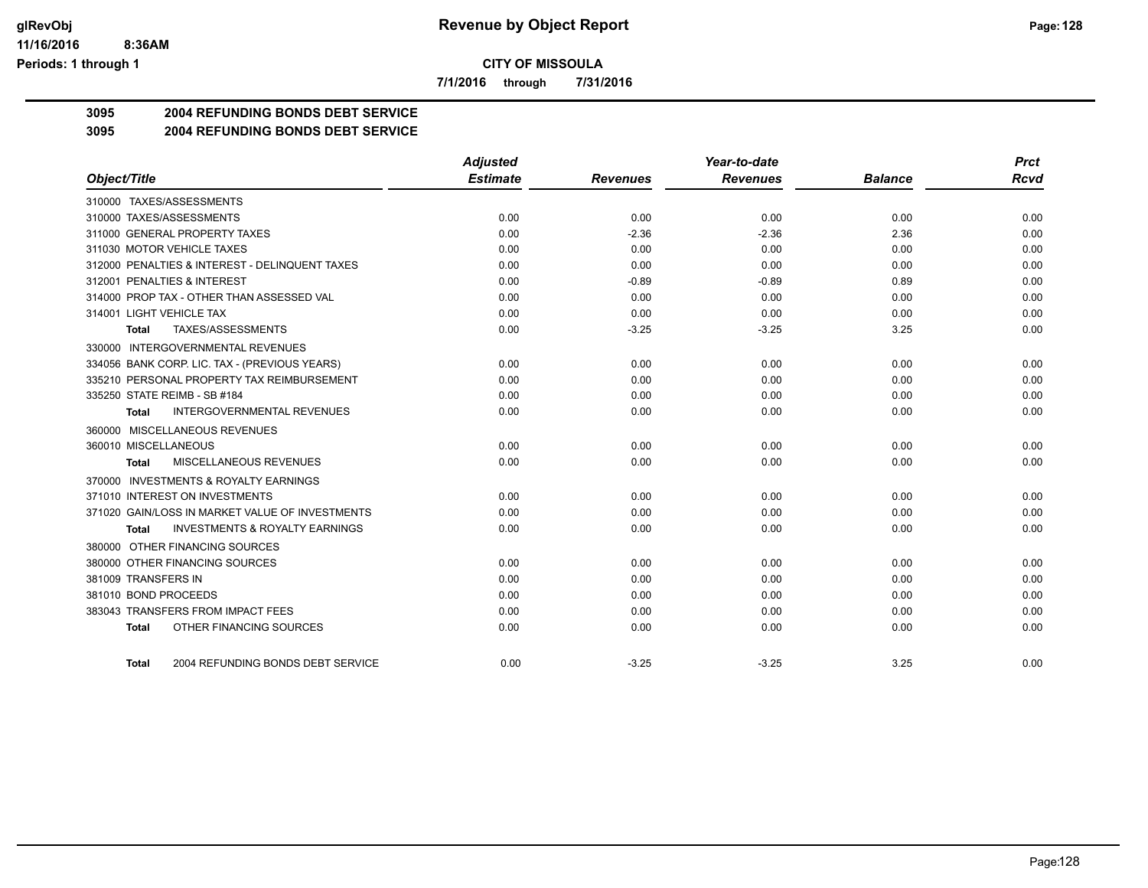**glRevObj Revenue by Object Report Page:128** 

**11/16/2016 8:36AM Periods: 1 through 1**

**CITY OF MISSOULA**

**7/1/2016 through 7/31/2016**

# **3095 2004 REFUNDING BONDS DEBT SERVICE**

## **3095 2004 REFUNDING BONDS DEBT SERVICE**

|                                                    | <b>Adjusted</b> |                 | Year-to-date    |                | <b>Prct</b> |
|----------------------------------------------------|-----------------|-----------------|-----------------|----------------|-------------|
| Object/Title                                       | <b>Estimate</b> | <b>Revenues</b> | <b>Revenues</b> | <b>Balance</b> | Rcvd        |
| 310000 TAXES/ASSESSMENTS                           |                 |                 |                 |                |             |
| 310000 TAXES/ASSESSMENTS                           | 0.00            | 0.00            | 0.00            | 0.00           | 0.00        |
| 311000 GENERAL PROPERTY TAXES                      | 0.00            | $-2.36$         | $-2.36$         | 2.36           | 0.00        |
| 311030 MOTOR VEHICLE TAXES                         | 0.00            | 0.00            | 0.00            | 0.00           | 0.00        |
| 312000 PENALTIES & INTEREST - DELINQUENT TAXES     | 0.00            | 0.00            | 0.00            | 0.00           | 0.00        |
| 312001 PENALTIES & INTEREST                        | 0.00            | $-0.89$         | $-0.89$         | 0.89           | 0.00        |
| 314000 PROP TAX - OTHER THAN ASSESSED VAL          | 0.00            | 0.00            | 0.00            | 0.00           | 0.00        |
| 314001 LIGHT VEHICLE TAX                           | 0.00            | 0.00            | 0.00            | 0.00           | 0.00        |
| TAXES/ASSESSMENTS<br>Total                         | 0.00            | $-3.25$         | $-3.25$         | 3.25           | 0.00        |
| 330000 INTERGOVERNMENTAL REVENUES                  |                 |                 |                 |                |             |
| 334056 BANK CORP. LIC. TAX - (PREVIOUS YEARS)      | 0.00            | 0.00            | 0.00            | 0.00           | 0.00        |
| 335210 PERSONAL PROPERTY TAX REIMBURSEMENT         | 0.00            | 0.00            | 0.00            | 0.00           | 0.00        |
| 335250 STATE REIMB - SB #184                       | 0.00            | 0.00            | 0.00            | 0.00           | 0.00        |
| <b>INTERGOVERNMENTAL REVENUES</b><br>Total         | 0.00            | 0.00            | 0.00            | 0.00           | 0.00        |
| 360000 MISCELLANEOUS REVENUES                      |                 |                 |                 |                |             |
| 360010 MISCELLANEOUS                               | 0.00            | 0.00            | 0.00            | 0.00           | 0.00        |
| MISCELLANEOUS REVENUES<br>Total                    | 0.00            | 0.00            | 0.00            | 0.00           | 0.00        |
| 370000 INVESTMENTS & ROYALTY EARNINGS              |                 |                 |                 |                |             |
| 371010 INTEREST ON INVESTMENTS                     | 0.00            | 0.00            | 0.00            | 0.00           | 0.00        |
| 371020 GAIN/LOSS IN MARKET VALUE OF INVESTMENTS    | 0.00            | 0.00            | 0.00            | 0.00           | 0.00        |
| <b>INVESTMENTS &amp; ROYALTY EARNINGS</b><br>Total | 0.00            | 0.00            | 0.00            | 0.00           | 0.00        |
| 380000 OTHER FINANCING SOURCES                     |                 |                 |                 |                |             |
| 380000 OTHER FINANCING SOURCES                     | 0.00            | 0.00            | 0.00            | 0.00           | 0.00        |
| 381009 TRANSFERS IN                                | 0.00            | 0.00            | 0.00            | 0.00           | 0.00        |
| 381010 BOND PROCEEDS                               | 0.00            | 0.00            | 0.00            | 0.00           | 0.00        |
| 383043 TRANSFERS FROM IMPACT FEES                  | 0.00            | 0.00            | 0.00            | 0.00           | 0.00        |
| OTHER FINANCING SOURCES<br><b>Total</b>            | 0.00            | 0.00            | 0.00            | 0.00           | 0.00        |
| 2004 REFUNDING BONDS DEBT SERVICE<br>Total         | 0.00            | $-3.25$         | $-3.25$         | 3.25           | 0.00        |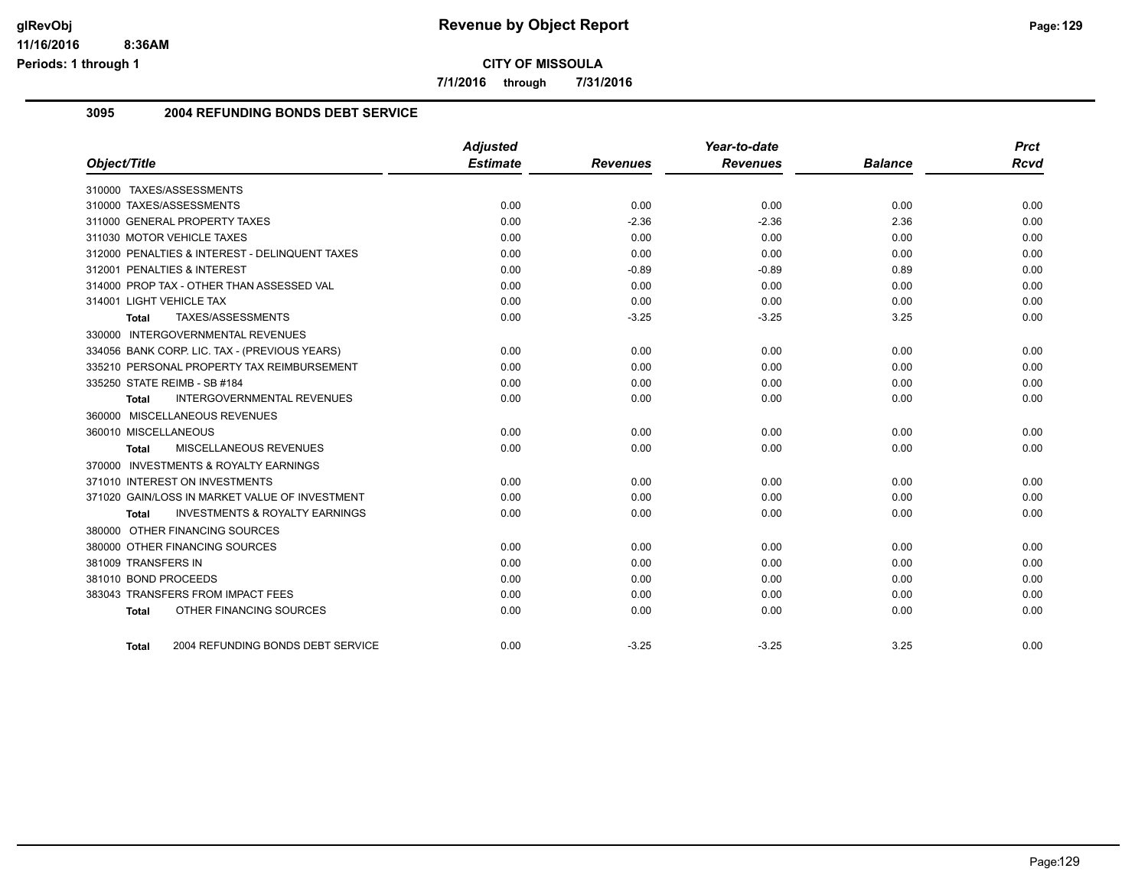**8:36AM**

**CITY OF MISSOULA**

**7/1/2016 through 7/31/2016**

### **3095 2004 REFUNDING BONDS DEBT SERVICE**

| Object/Title                                              | <b>Adjusted</b><br><b>Estimate</b> | <b>Revenues</b> | Year-to-date<br><b>Revenues</b> | <b>Balance</b> | <b>Prct</b><br>Rcvd |
|-----------------------------------------------------------|------------------------------------|-----------------|---------------------------------|----------------|---------------------|
| 310000 TAXES/ASSESSMENTS                                  |                                    |                 |                                 |                |                     |
| 310000 TAXES/ASSESSMENTS                                  | 0.00                               | 0.00            | 0.00                            | 0.00           | 0.00                |
| 311000 GENERAL PROPERTY TAXES                             | 0.00                               | $-2.36$         | $-2.36$                         | 2.36           | 0.00                |
| 311030 MOTOR VEHICLE TAXES                                | 0.00                               | 0.00            | 0.00                            | 0.00           | 0.00                |
| 312000 PENALTIES & INTEREST - DELINQUENT TAXES            | 0.00                               | 0.00            | 0.00                            | 0.00           | 0.00                |
| 312001 PENALTIES & INTEREST                               | 0.00                               | $-0.89$         | $-0.89$                         | 0.89           | 0.00                |
| 314000 PROP TAX - OTHER THAN ASSESSED VAL                 | 0.00                               | 0.00            | 0.00                            | 0.00           | 0.00                |
| 314001 LIGHT VEHICLE TAX                                  | 0.00                               | 0.00            | 0.00                            | 0.00           | 0.00                |
| TAXES/ASSESSMENTS<br><b>Total</b>                         | 0.00                               | $-3.25$         | $-3.25$                         | 3.25           | 0.00                |
| 330000 INTERGOVERNMENTAL REVENUES                         |                                    |                 |                                 |                |                     |
| 334056 BANK CORP. LIC. TAX - (PREVIOUS YEARS)             | 0.00                               | 0.00            | 0.00                            | 0.00           | 0.00                |
| 335210 PERSONAL PROPERTY TAX REIMBURSEMENT                | 0.00                               | 0.00            | 0.00                            | 0.00           | 0.00                |
| 335250 STATE REIMB - SB #184                              | 0.00                               | 0.00            | 0.00                            | 0.00           | 0.00                |
| <b>INTERGOVERNMENTAL REVENUES</b><br><b>Total</b>         | 0.00                               | 0.00            | 0.00                            | 0.00           | 0.00                |
| 360000 MISCELLANEOUS REVENUES                             |                                    |                 |                                 |                |                     |
| 360010 MISCELLANEOUS                                      | 0.00                               | 0.00            | 0.00                            | 0.00           | 0.00                |
| <b>MISCELLANEOUS REVENUES</b><br><b>Total</b>             | 0.00                               | 0.00            | 0.00                            | 0.00           | 0.00                |
| 370000 INVESTMENTS & ROYALTY EARNINGS                     |                                    |                 |                                 |                |                     |
| 371010 INTEREST ON INVESTMENTS                            | 0.00                               | 0.00            | 0.00                            | 0.00           | 0.00                |
| 371020 GAIN/LOSS IN MARKET VALUE OF INVESTMENT            | 0.00                               | 0.00            | 0.00                            | 0.00           | 0.00                |
| <b>INVESTMENTS &amp; ROYALTY EARNINGS</b><br><b>Total</b> | 0.00                               | 0.00            | 0.00                            | 0.00           | 0.00                |
| 380000 OTHER FINANCING SOURCES                            |                                    |                 |                                 |                |                     |
| 380000 OTHER FINANCING SOURCES                            | 0.00                               | 0.00            | 0.00                            | 0.00           | 0.00                |
| 381009 TRANSFERS IN                                       | 0.00                               | 0.00            | 0.00                            | 0.00           | 0.00                |
| 381010 BOND PROCEEDS                                      | 0.00                               | 0.00            | 0.00                            | 0.00           | 0.00                |
| 383043 TRANSFERS FROM IMPACT FEES                         | 0.00                               | 0.00            | 0.00                            | 0.00           | 0.00                |
| OTHER FINANCING SOURCES<br><b>Total</b>                   | 0.00                               | 0.00            | 0.00                            | 0.00           | 0.00                |
| 2004 REFUNDING BONDS DEBT SERVICE<br><b>Total</b>         | 0.00                               | $-3.25$         | $-3.25$                         | 3.25           | 0.00                |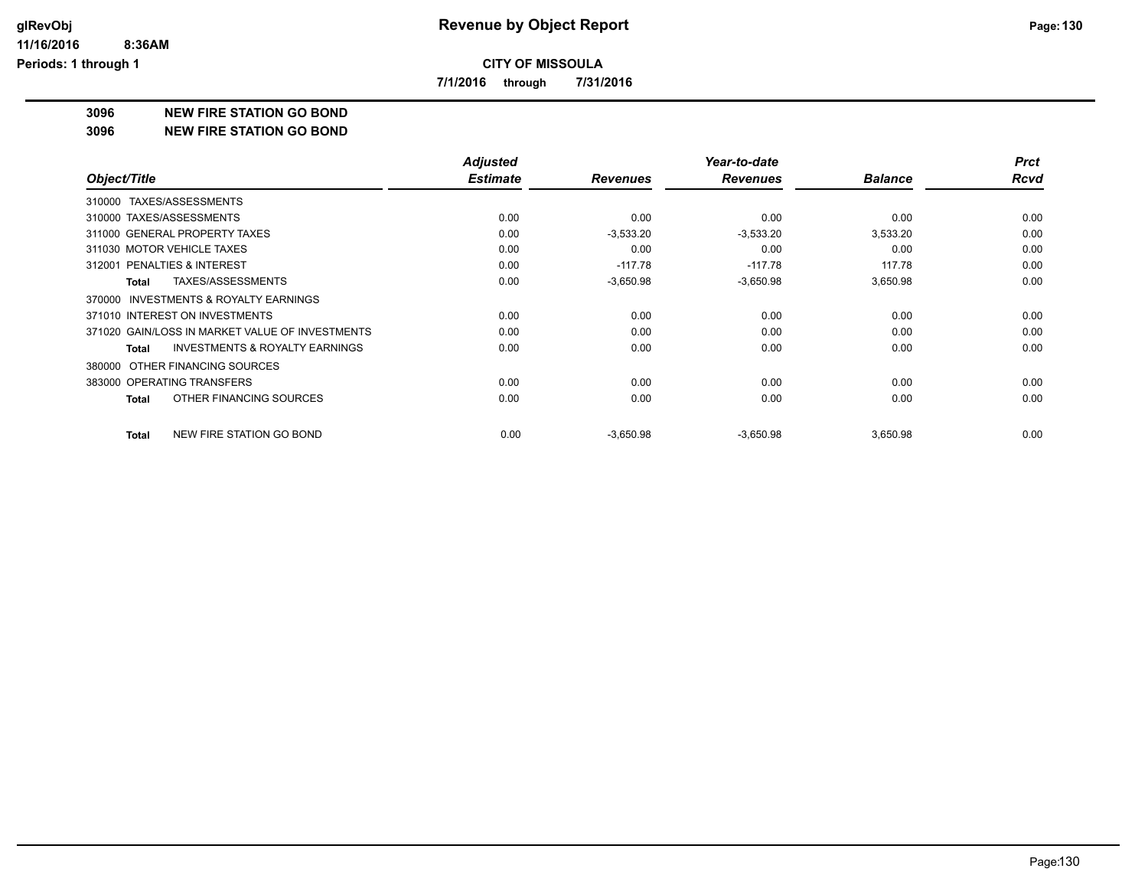**CITY OF MISSOULA**

**7/1/2016 through 7/31/2016**

**3096 NEW FIRE STATION GO BOND**

 **8:36AM**

**3096 NEW FIRE STATION GO BOND**

|                                                     | <b>Adjusted</b> |                 | Year-to-date    |                | <b>Prct</b> |
|-----------------------------------------------------|-----------------|-----------------|-----------------|----------------|-------------|
| Object/Title                                        | <b>Estimate</b> | <b>Revenues</b> | <b>Revenues</b> | <b>Balance</b> | <b>Rcvd</b> |
| TAXES/ASSESSMENTS<br>310000                         |                 |                 |                 |                |             |
| 310000 TAXES/ASSESSMENTS                            | 0.00            | 0.00            | 0.00            | 0.00           | 0.00        |
| 311000 GENERAL PROPERTY TAXES                       | 0.00            | $-3,533.20$     | $-3,533.20$     | 3,533.20       | 0.00        |
| 311030 MOTOR VEHICLE TAXES                          | 0.00            | 0.00            | 0.00            | 0.00           | 0.00        |
| 312001 PENALTIES & INTEREST                         | 0.00            | $-117.78$       | $-117.78$       | 117.78         | 0.00        |
| TAXES/ASSESSMENTS<br>Total                          | 0.00            | $-3,650.98$     | $-3,650.98$     | 3,650.98       | 0.00        |
| <b>INVESTMENTS &amp; ROYALTY EARNINGS</b><br>370000 |                 |                 |                 |                |             |
| 371010 INTEREST ON INVESTMENTS                      | 0.00            | 0.00            | 0.00            | 0.00           | 0.00        |
| 371020 GAIN/LOSS IN MARKET VALUE OF INVESTMENTS     | 0.00            | 0.00            | 0.00            | 0.00           | 0.00        |
| <b>INVESTMENTS &amp; ROYALTY EARNINGS</b><br>Total  | 0.00            | 0.00            | 0.00            | 0.00           | 0.00        |
| OTHER FINANCING SOURCES<br>380000                   |                 |                 |                 |                |             |
| 383000 OPERATING TRANSFERS                          | 0.00            | 0.00            | 0.00            | 0.00           | 0.00        |
| OTHER FINANCING SOURCES<br>Total                    | 0.00            | 0.00            | 0.00            | 0.00           | 0.00        |
| NEW FIRE STATION GO BOND<br><b>Total</b>            | 0.00            | $-3,650.98$     | $-3,650.98$     | 3,650.98       | 0.00        |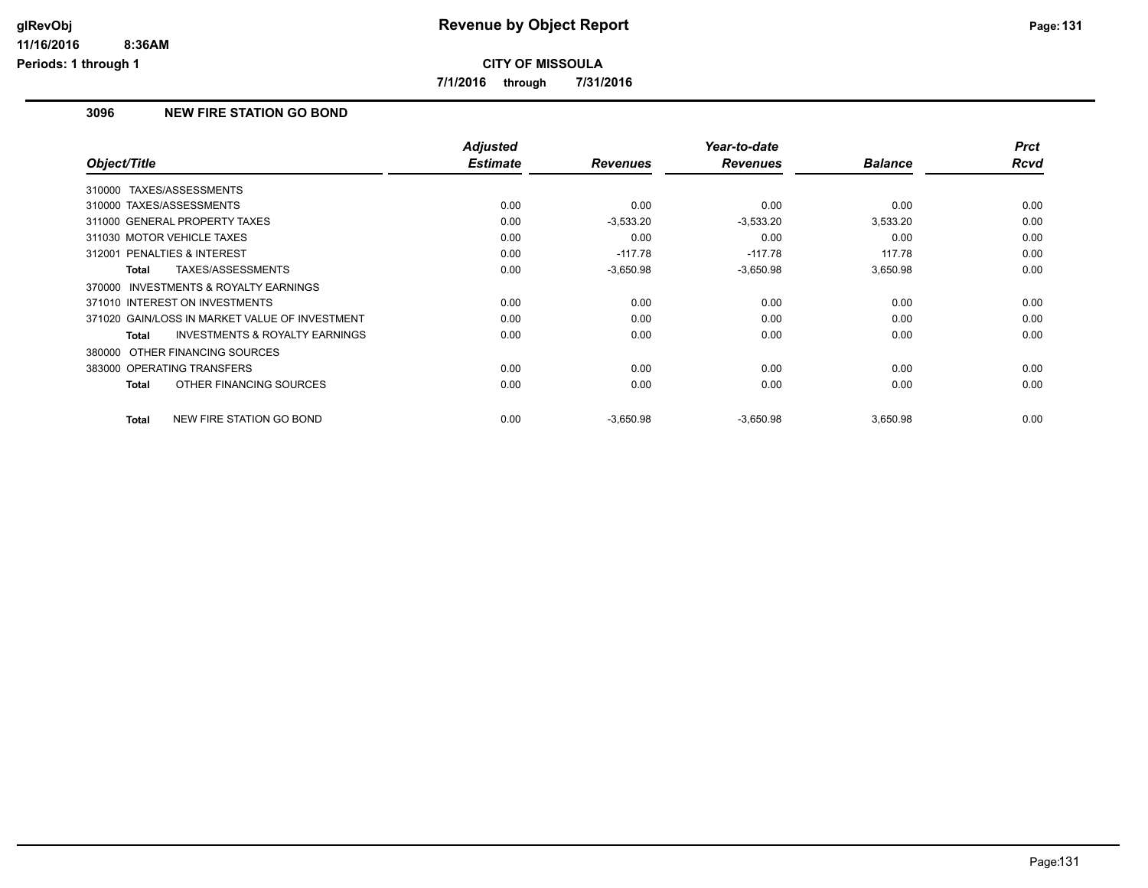**CITY OF MISSOULA**

**7/1/2016 through 7/31/2016**

### **3096 NEW FIRE STATION GO BOND**

 **8:36AM**

| Object/Title                                       | <b>Adjusted</b><br><b>Estimate</b> | <b>Revenues</b> | Year-to-date<br><b>Revenues</b> | <b>Balance</b> | <b>Prct</b><br><b>Rcvd</b> |
|----------------------------------------------------|------------------------------------|-----------------|---------------------------------|----------------|----------------------------|
|                                                    |                                    |                 |                                 |                |                            |
| 310000 TAXES/ASSESSMENTS                           |                                    |                 |                                 |                |                            |
| 310000 TAXES/ASSESSMENTS                           | 0.00                               | 0.00            | 0.00                            | 0.00           | 0.00                       |
| 311000 GENERAL PROPERTY TAXES                      | 0.00                               | $-3,533.20$     | $-3,533.20$                     | 3,533.20       | 0.00                       |
| 311030 MOTOR VEHICLE TAXES                         | 0.00                               | 0.00            | 0.00                            | 0.00           | 0.00                       |
| 312001 PENALTIES & INTEREST                        | 0.00                               | $-117.78$       | $-117.78$                       | 117.78         | 0.00                       |
| TAXES/ASSESSMENTS<br>Total                         | 0.00                               | $-3,650.98$     | $-3,650.98$                     | 3,650.98       | 0.00                       |
| 370000 INVESTMENTS & ROYALTY EARNINGS              |                                    |                 |                                 |                |                            |
| 371010 INTEREST ON INVESTMENTS                     | 0.00                               | 0.00            | 0.00                            | 0.00           | 0.00                       |
| 371020 GAIN/LOSS IN MARKET VALUE OF INVESTMENT     | 0.00                               | 0.00            | 0.00                            | 0.00           | 0.00                       |
| <b>INVESTMENTS &amp; ROYALTY EARNINGS</b><br>Total | 0.00                               | 0.00            | 0.00                            | 0.00           | 0.00                       |
| 380000 OTHER FINANCING SOURCES                     |                                    |                 |                                 |                |                            |
| 383000 OPERATING TRANSFERS                         | 0.00                               | 0.00            | 0.00                            | 0.00           | 0.00                       |
| OTHER FINANCING SOURCES<br>Total                   | 0.00                               | 0.00            | 0.00                            | 0.00           | 0.00                       |
|                                                    |                                    |                 |                                 |                |                            |
| NEW FIRE STATION GO BOND<br>Total                  | 0.00                               | $-3,650.98$     | $-3,650.98$                     | 3,650.98       | 0.00                       |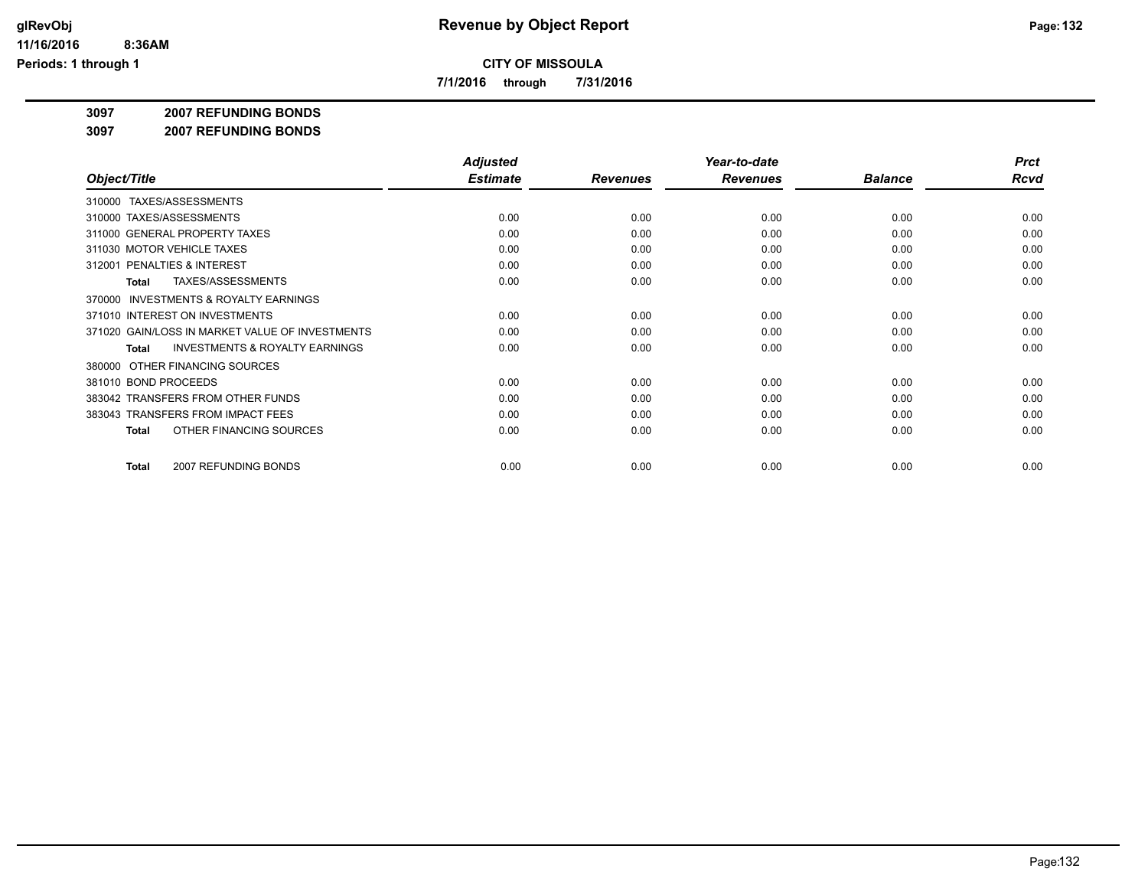**CITY OF MISSOULA**

**7/1/2016 through 7/31/2016**

**3097 2007 REFUNDING BONDS**

**3097 2007 REFUNDING BONDS**

|                                                           | <b>Adjusted</b> |                 | Year-to-date    |                | <b>Prct</b> |
|-----------------------------------------------------------|-----------------|-----------------|-----------------|----------------|-------------|
| Object/Title                                              | <b>Estimate</b> | <b>Revenues</b> | <b>Revenues</b> | <b>Balance</b> | Rcvd        |
| 310000 TAXES/ASSESSMENTS                                  |                 |                 |                 |                |             |
| 310000 TAXES/ASSESSMENTS                                  | 0.00            | 0.00            | 0.00            | 0.00           | 0.00        |
| 311000 GENERAL PROPERTY TAXES                             | 0.00            | 0.00            | 0.00            | 0.00           | 0.00        |
| 311030 MOTOR VEHICLE TAXES                                | 0.00            | 0.00            | 0.00            | 0.00           | 0.00        |
| 312001 PENALTIES & INTEREST                               | 0.00            | 0.00            | 0.00            | 0.00           | 0.00        |
| TAXES/ASSESSMENTS<br><b>Total</b>                         | 0.00            | 0.00            | 0.00            | 0.00           | 0.00        |
| <b>INVESTMENTS &amp; ROYALTY EARNINGS</b><br>370000       |                 |                 |                 |                |             |
| 371010 INTEREST ON INVESTMENTS                            | 0.00            | 0.00            | 0.00            | 0.00           | 0.00        |
| 371020 GAIN/LOSS IN MARKET VALUE OF INVESTMENTS           | 0.00            | 0.00            | 0.00            | 0.00           | 0.00        |
| <b>INVESTMENTS &amp; ROYALTY EARNINGS</b><br><b>Total</b> | 0.00            | 0.00            | 0.00            | 0.00           | 0.00        |
| OTHER FINANCING SOURCES<br>380000                         |                 |                 |                 |                |             |
| 381010 BOND PROCEEDS                                      | 0.00            | 0.00            | 0.00            | 0.00           | 0.00        |
| 383042 TRANSFERS FROM OTHER FUNDS                         | 0.00            | 0.00            | 0.00            | 0.00           | 0.00        |
| 383043 TRANSFERS FROM IMPACT FEES                         | 0.00            | 0.00            | 0.00            | 0.00           | 0.00        |
| OTHER FINANCING SOURCES<br>Total                          | 0.00            | 0.00            | 0.00            | 0.00           | 0.00        |
| 2007 REFUNDING BONDS<br>Total                             | 0.00            | 0.00            | 0.00            | 0.00           | 0.00        |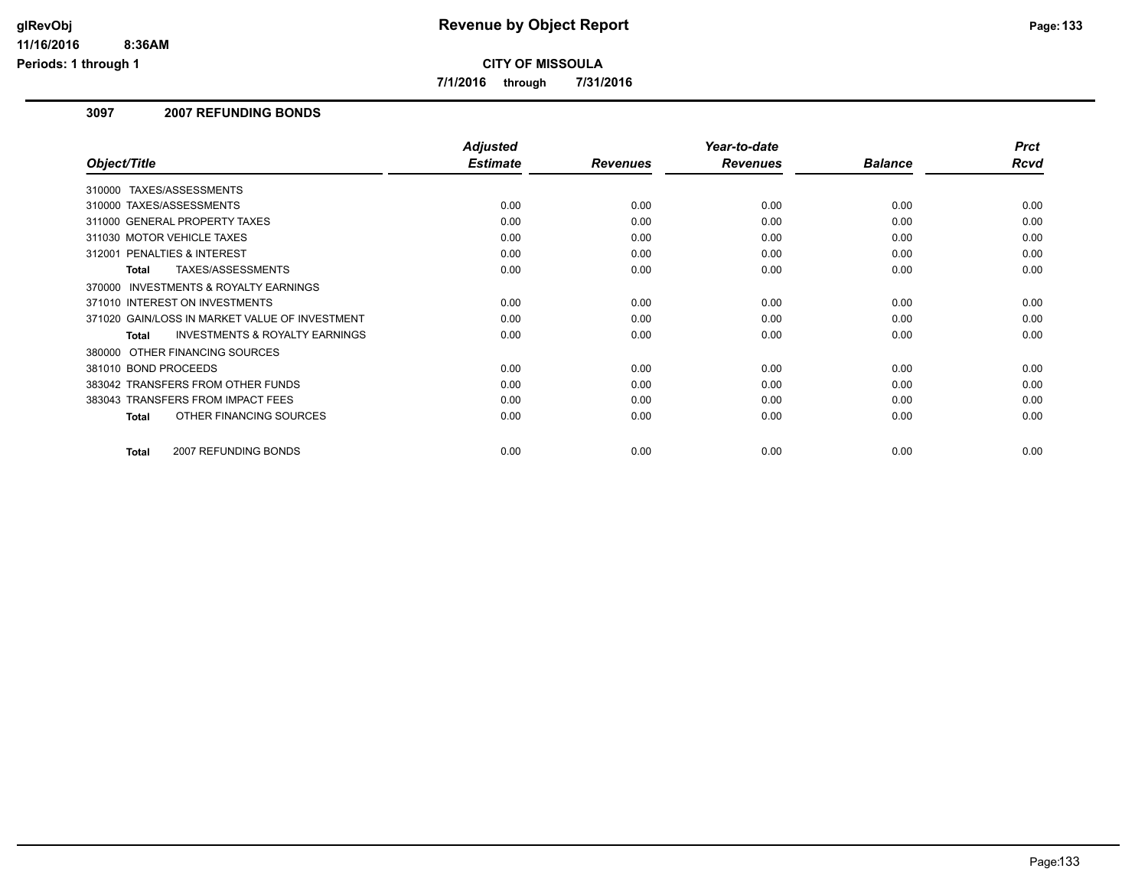**CITY OF MISSOULA**

**7/1/2016 through 7/31/2016**

#### **3097 2007 REFUNDING BONDS**

 **8:36AM**

|                                                           | <b>Adjusted</b> |                 | Year-to-date    |                | <b>Prct</b> |
|-----------------------------------------------------------|-----------------|-----------------|-----------------|----------------|-------------|
| Object/Title                                              | <b>Estimate</b> | <b>Revenues</b> | <b>Revenues</b> | <b>Balance</b> | <b>Rcvd</b> |
| 310000 TAXES/ASSESSMENTS                                  |                 |                 |                 |                |             |
| 310000 TAXES/ASSESSMENTS                                  | 0.00            | 0.00            | 0.00            | 0.00           | 0.00        |
| 311000 GENERAL PROPERTY TAXES                             | 0.00            | 0.00            | 0.00            | 0.00           | 0.00        |
| 311030 MOTOR VEHICLE TAXES                                | 0.00            | 0.00            | 0.00            | 0.00           | 0.00        |
| 312001 PENALTIES & INTEREST                               | 0.00            | 0.00            | 0.00            | 0.00           | 0.00        |
| TAXES/ASSESSMENTS<br><b>Total</b>                         | 0.00            | 0.00            | 0.00            | 0.00           | 0.00        |
| 370000 INVESTMENTS & ROYALTY EARNINGS                     |                 |                 |                 |                |             |
| 371010 INTEREST ON INVESTMENTS                            | 0.00            | 0.00            | 0.00            | 0.00           | 0.00        |
| 371020 GAIN/LOSS IN MARKET VALUE OF INVESTMENT            | 0.00            | 0.00            | 0.00            | 0.00           | 0.00        |
| <b>INVESTMENTS &amp; ROYALTY EARNINGS</b><br><b>Total</b> | 0.00            | 0.00            | 0.00            | 0.00           | 0.00        |
| 380000 OTHER FINANCING SOURCES                            |                 |                 |                 |                |             |
| 381010 BOND PROCEEDS                                      | 0.00            | 0.00            | 0.00            | 0.00           | 0.00        |
| 383042 TRANSFERS FROM OTHER FUNDS                         | 0.00            | 0.00            | 0.00            | 0.00           | 0.00        |
| 383043 TRANSFERS FROM IMPACT FEES                         | 0.00            | 0.00            | 0.00            | 0.00           | 0.00        |
| OTHER FINANCING SOURCES<br><b>Total</b>                   | 0.00            | 0.00            | 0.00            | 0.00           | 0.00        |
|                                                           |                 |                 |                 |                |             |
| 2007 REFUNDING BONDS<br>Total                             | 0.00            | 0.00            | 0.00            | 0.00           | 0.00        |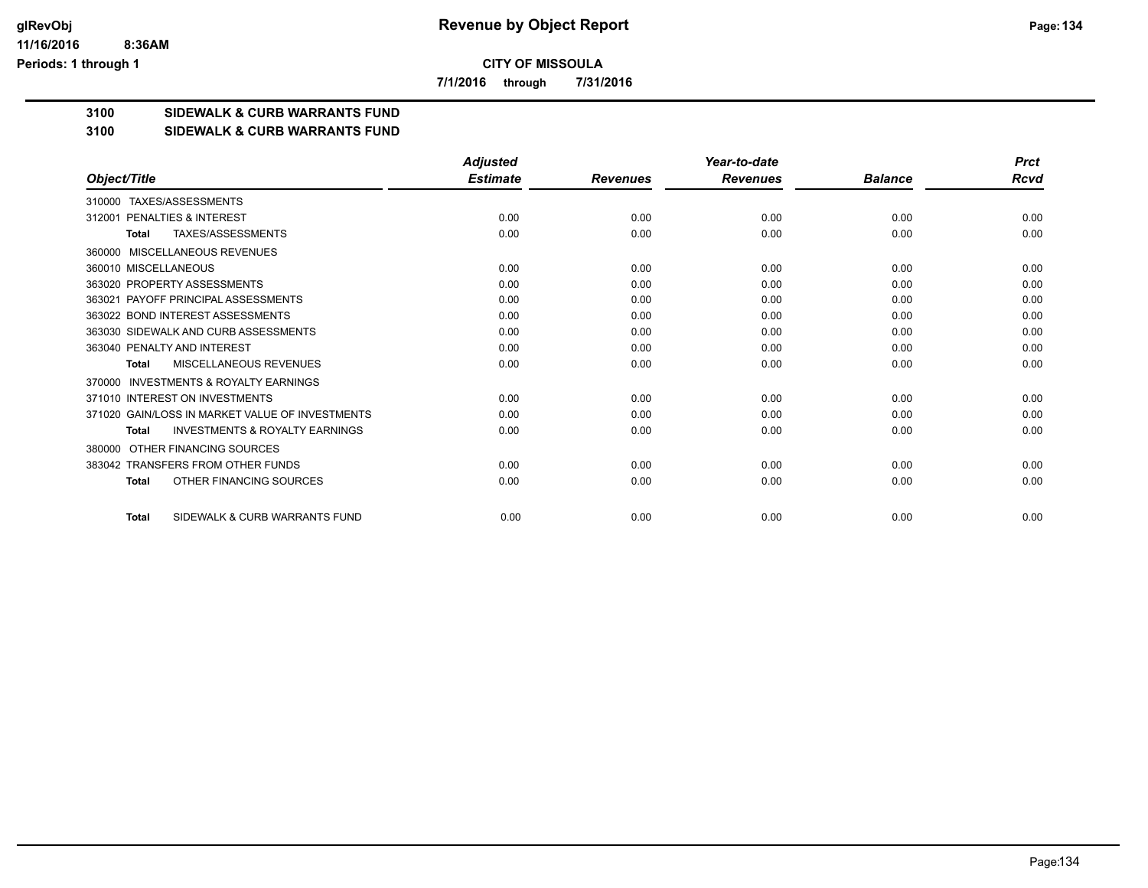**CITY OF MISSOULA**

**7/1/2016 through 7/31/2016**

## **3100 SIDEWALK & CURB WARRANTS FUND**

#### **3100 SIDEWALK & CURB WARRANTS FUND**

|                                                           | <b>Adjusted</b> |                 | Year-to-date    |                | <b>Prct</b> |
|-----------------------------------------------------------|-----------------|-----------------|-----------------|----------------|-------------|
| Object/Title                                              | <b>Estimate</b> | <b>Revenues</b> | <b>Revenues</b> | <b>Balance</b> | Rcvd        |
| TAXES/ASSESSMENTS<br>310000                               |                 |                 |                 |                |             |
| 312001 PENALTIES & INTEREST                               | 0.00            | 0.00            | 0.00            | 0.00           | 0.00        |
| <b>TAXES/ASSESSMENTS</b><br><b>Total</b>                  | 0.00            | 0.00            | 0.00            | 0.00           | 0.00        |
| MISCELLANEOUS REVENUES<br>360000                          |                 |                 |                 |                |             |
| 360010 MISCELLANEOUS                                      | 0.00            | 0.00            | 0.00            | 0.00           | 0.00        |
| 363020 PROPERTY ASSESSMENTS                               | 0.00            | 0.00            | 0.00            | 0.00           | 0.00        |
| 363021 PAYOFF PRINCIPAL ASSESSMENTS                       | 0.00            | 0.00            | 0.00            | 0.00           | 0.00        |
| 363022 BOND INTEREST ASSESSMENTS                          | 0.00            | 0.00            | 0.00            | 0.00           | 0.00        |
| 363030 SIDEWALK AND CURB ASSESSMENTS                      | 0.00            | 0.00            | 0.00            | 0.00           | 0.00        |
| 363040 PENALTY AND INTEREST                               | 0.00            | 0.00            | 0.00            | 0.00           | 0.00        |
| <b>MISCELLANEOUS REVENUES</b><br>Total                    | 0.00            | 0.00            | 0.00            | 0.00           | 0.00        |
| <b>INVESTMENTS &amp; ROYALTY EARNINGS</b><br>370000       |                 |                 |                 |                |             |
| 371010 INTEREST ON INVESTMENTS                            | 0.00            | 0.00            | 0.00            | 0.00           | 0.00        |
| 371020 GAIN/LOSS IN MARKET VALUE OF INVESTMENTS           | 0.00            | 0.00            | 0.00            | 0.00           | 0.00        |
| <b>INVESTMENTS &amp; ROYALTY EARNINGS</b><br><b>Total</b> | 0.00            | 0.00            | 0.00            | 0.00           | 0.00        |
| OTHER FINANCING SOURCES<br>380000                         |                 |                 |                 |                |             |
| 383042 TRANSFERS FROM OTHER FUNDS                         | 0.00            | 0.00            | 0.00            | 0.00           | 0.00        |
| OTHER FINANCING SOURCES<br><b>Total</b>                   | 0.00            | 0.00            | 0.00            | 0.00           | 0.00        |
|                                                           |                 |                 |                 |                |             |
| SIDEWALK & CURB WARRANTS FUND<br><b>Total</b>             | 0.00            | 0.00            | 0.00            | 0.00           | 0.00        |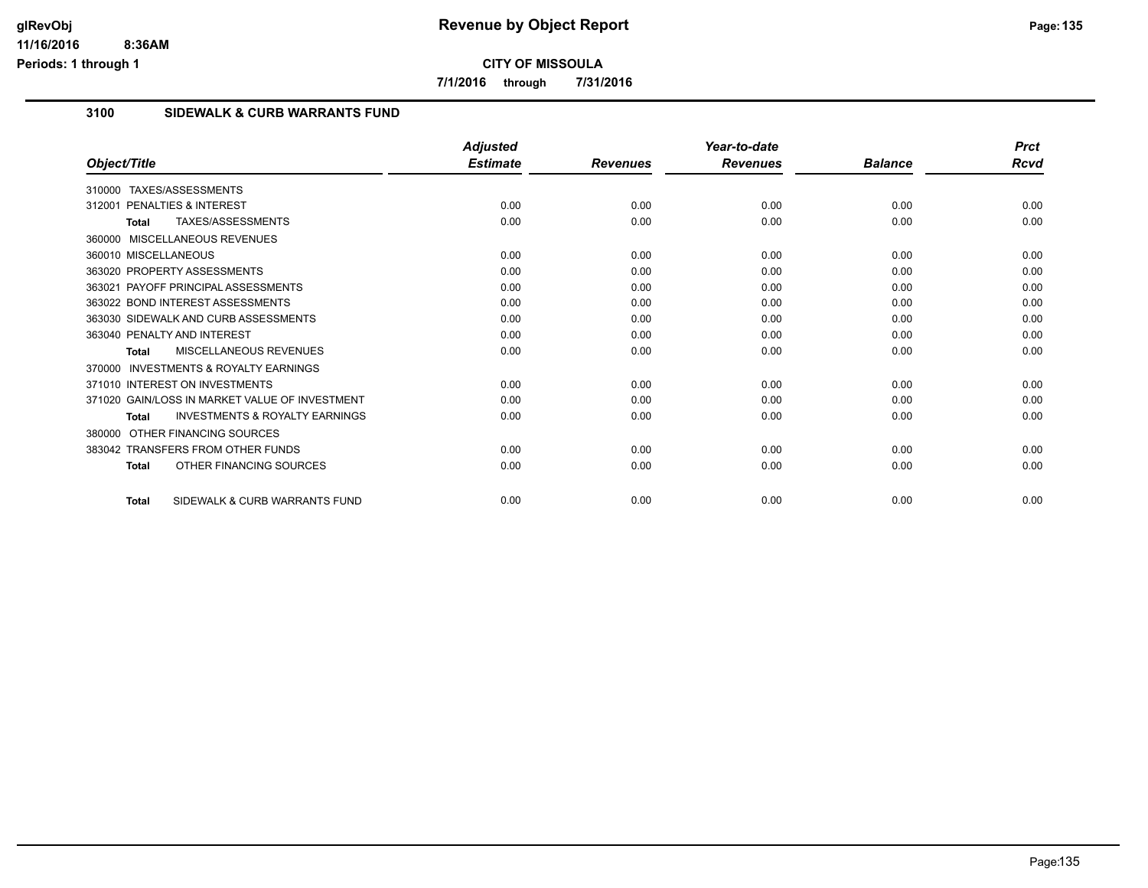**8:36AM**

**CITY OF MISSOULA**

**7/1/2016 through 7/31/2016**

### **3100 SIDEWALK & CURB WARRANTS FUND**

|                                                           | <b>Adjusted</b> |                 | Year-to-date    |                | <b>Prct</b> |
|-----------------------------------------------------------|-----------------|-----------------|-----------------|----------------|-------------|
| Object/Title                                              | <b>Estimate</b> | <b>Revenues</b> | <b>Revenues</b> | <b>Balance</b> | <b>Rcvd</b> |
| TAXES/ASSESSMENTS<br>310000                               |                 |                 |                 |                |             |
| <b>PENALTIES &amp; INTEREST</b><br>312001                 | 0.00            | 0.00            | 0.00            | 0.00           | 0.00        |
| TAXES/ASSESSMENTS<br><b>Total</b>                         | 0.00            | 0.00            | 0.00            | 0.00           | 0.00        |
| MISCELLANEOUS REVENUES<br>360000                          |                 |                 |                 |                |             |
| 360010 MISCELLANEOUS                                      | 0.00            | 0.00            | 0.00            | 0.00           | 0.00        |
| 363020 PROPERTY ASSESSMENTS                               | 0.00            | 0.00            | 0.00            | 0.00           | 0.00        |
| 363021 PAYOFF PRINCIPAL ASSESSMENTS                       | 0.00            | 0.00            | 0.00            | 0.00           | 0.00        |
| 363022 BOND INTEREST ASSESSMENTS                          | 0.00            | 0.00            | 0.00            | 0.00           | 0.00        |
| 363030 SIDEWALK AND CURB ASSESSMENTS                      | 0.00            | 0.00            | 0.00            | 0.00           | 0.00        |
| 363040 PENALTY AND INTEREST                               | 0.00            | 0.00            | 0.00            | 0.00           | 0.00        |
| MISCELLANEOUS REVENUES<br><b>Total</b>                    | 0.00            | 0.00            | 0.00            | 0.00           | 0.00        |
| <b>INVESTMENTS &amp; ROYALTY EARNINGS</b><br>370000       |                 |                 |                 |                |             |
| 371010 INTEREST ON INVESTMENTS                            | 0.00            | 0.00            | 0.00            | 0.00           | 0.00        |
| 371020 GAIN/LOSS IN MARKET VALUE OF INVESTMENT            | 0.00            | 0.00            | 0.00            | 0.00           | 0.00        |
| <b>INVESTMENTS &amp; ROYALTY EARNINGS</b><br><b>Total</b> | 0.00            | 0.00            | 0.00            | 0.00           | 0.00        |
| OTHER FINANCING SOURCES<br>380000                         |                 |                 |                 |                |             |
| 383042 TRANSFERS FROM OTHER FUNDS                         | 0.00            | 0.00            | 0.00            | 0.00           | 0.00        |
| OTHER FINANCING SOURCES<br><b>Total</b>                   | 0.00            | 0.00            | 0.00            | 0.00           | 0.00        |
| SIDEWALK & CURB WARRANTS FUND<br><b>Total</b>             | 0.00            | 0.00            | 0.00            | 0.00           | 0.00        |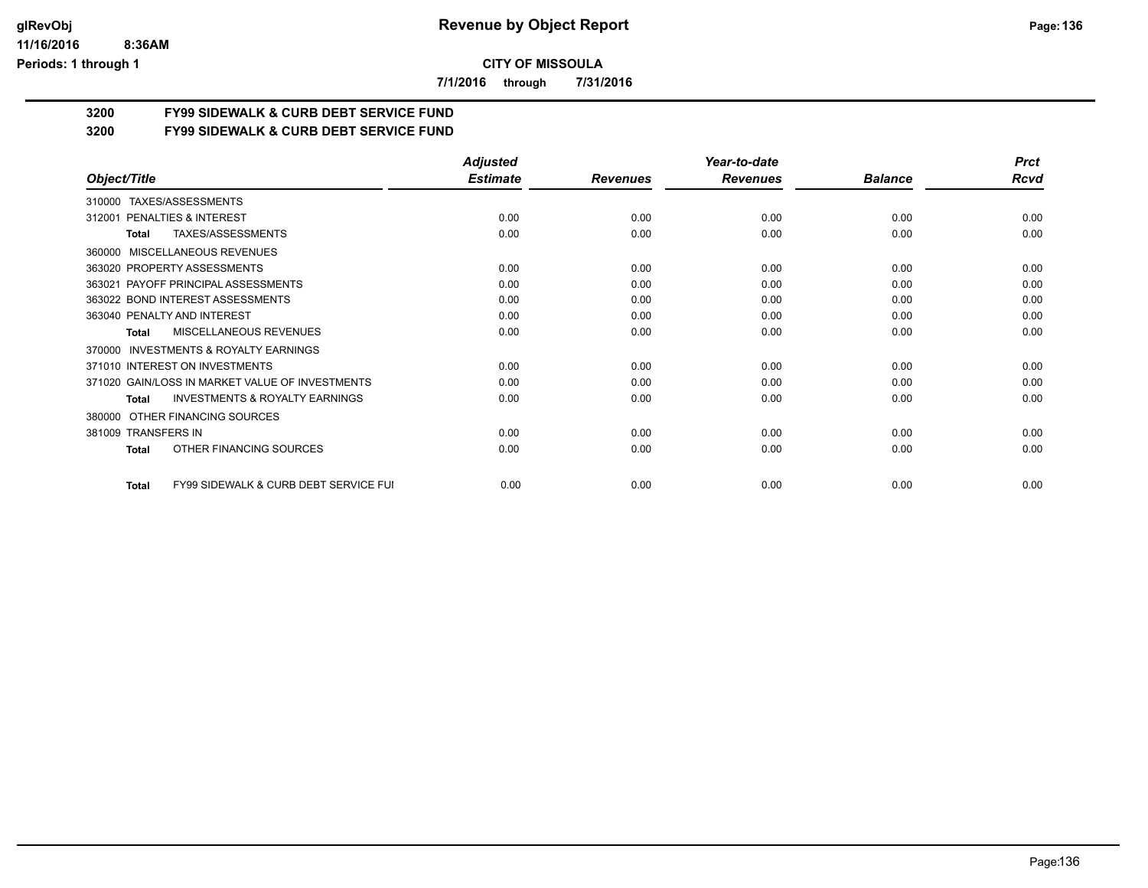**CITY OF MISSOULA**

**7/1/2016 through 7/31/2016**

# **3200 FY99 SIDEWALK & CURB DEBT SERVICE FUND**

## **3200 FY99 SIDEWALK & CURB DEBT SERVICE FUND**

|                                                                  | <b>Adjusted</b> |                 | Year-to-date    |                | <b>Prct</b> |
|------------------------------------------------------------------|-----------------|-----------------|-----------------|----------------|-------------|
| Object/Title                                                     | <b>Estimate</b> | <b>Revenues</b> | <b>Revenues</b> | <b>Balance</b> | Rcvd        |
| TAXES/ASSESSMENTS<br>310000                                      |                 |                 |                 |                |             |
| PENALTIES & INTEREST<br>312001                                   | 0.00            | 0.00            | 0.00            | 0.00           | 0.00        |
| TAXES/ASSESSMENTS<br><b>Total</b>                                | 0.00            | 0.00            | 0.00            | 0.00           | 0.00        |
| <b>MISCELLANEOUS REVENUES</b><br>360000                          |                 |                 |                 |                |             |
| 363020 PROPERTY ASSESSMENTS                                      | 0.00            | 0.00            | 0.00            | 0.00           | 0.00        |
| PAYOFF PRINCIPAL ASSESSMENTS<br>363021                           | 0.00            | 0.00            | 0.00            | 0.00           | 0.00        |
| 363022 BOND INTEREST ASSESSMENTS                                 | 0.00            | 0.00            | 0.00            | 0.00           | 0.00        |
| 363040 PENALTY AND INTEREST                                      | 0.00            | 0.00            | 0.00            | 0.00           | 0.00        |
| MISCELLANEOUS REVENUES<br><b>Total</b>                           | 0.00            | 0.00            | 0.00            | 0.00           | 0.00        |
| <b>INVESTMENTS &amp; ROYALTY EARNINGS</b><br>370000              |                 |                 |                 |                |             |
| 371010 INTEREST ON INVESTMENTS                                   | 0.00            | 0.00            | 0.00            | 0.00           | 0.00        |
| 371020 GAIN/LOSS IN MARKET VALUE OF INVESTMENTS                  | 0.00            | 0.00            | 0.00            | 0.00           | 0.00        |
| <b>INVESTMENTS &amp; ROYALTY EARNINGS</b><br><b>Total</b>        | 0.00            | 0.00            | 0.00            | 0.00           | 0.00        |
| OTHER FINANCING SOURCES<br>380000                                |                 |                 |                 |                |             |
| 381009 TRANSFERS IN                                              | 0.00            | 0.00            | 0.00            | 0.00           | 0.00        |
| OTHER FINANCING SOURCES<br><b>Total</b>                          | 0.00            | 0.00            | 0.00            | 0.00           | 0.00        |
| <b>FY99 SIDEWALK &amp; CURB DEBT SERVICE FUI</b><br><b>Total</b> | 0.00            | 0.00            | 0.00            | 0.00           | 0.00        |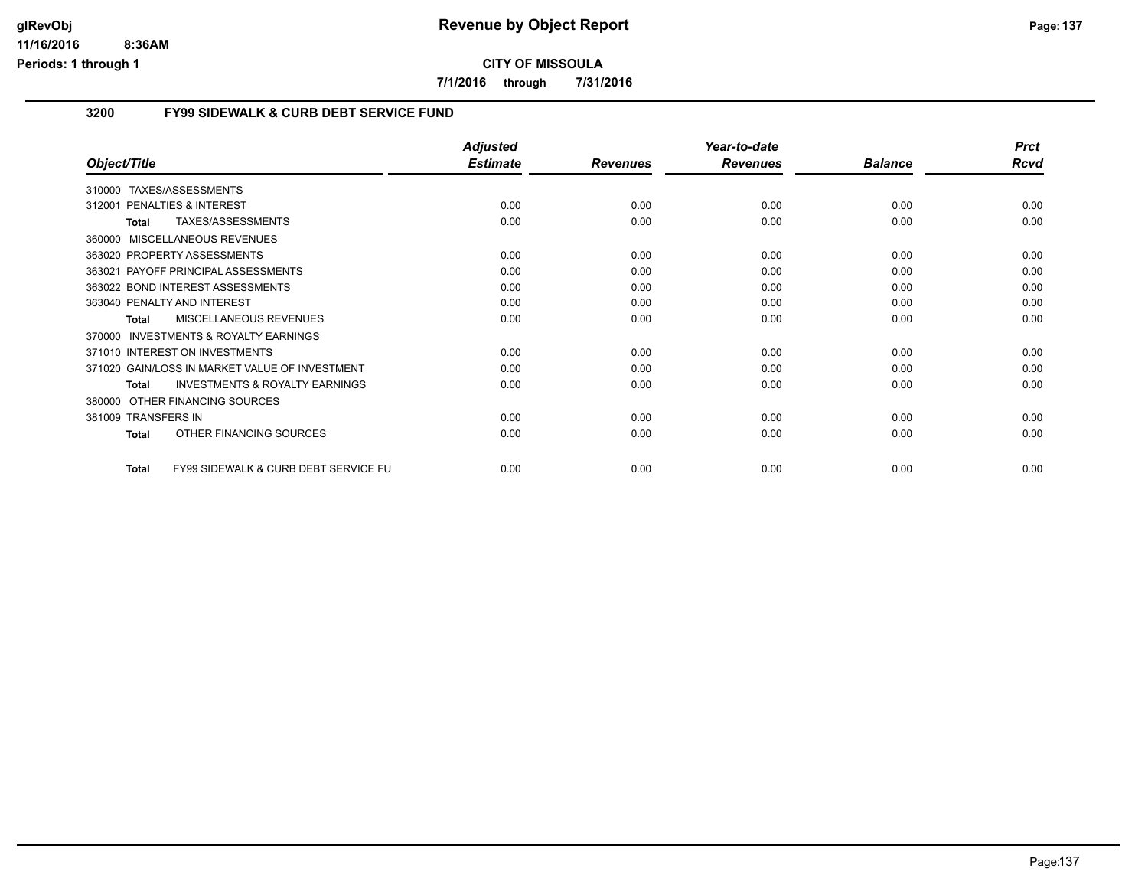**CITY OF MISSOULA**

**7/1/2016 through 7/31/2016**

### **3200 FY99 SIDEWALK & CURB DEBT SERVICE FUND**

|                                                                 | <b>Adjusted</b> |                 | Year-to-date    |                | <b>Prct</b> |
|-----------------------------------------------------------------|-----------------|-----------------|-----------------|----------------|-------------|
| Object/Title                                                    | <b>Estimate</b> | <b>Revenues</b> | <b>Revenues</b> | <b>Balance</b> | <b>Rcvd</b> |
| TAXES/ASSESSMENTS<br>310000                                     |                 |                 |                 |                |             |
| <b>PENALTIES &amp; INTEREST</b><br>312001                       | 0.00            | 0.00            | 0.00            | 0.00           | 0.00        |
| TAXES/ASSESSMENTS<br><b>Total</b>                               | 0.00            | 0.00            | 0.00            | 0.00           | 0.00        |
| <b>MISCELLANEOUS REVENUES</b><br>360000                         |                 |                 |                 |                |             |
| 363020 PROPERTY ASSESSMENTS                                     | 0.00            | 0.00            | 0.00            | 0.00           | 0.00        |
| 363021 PAYOFF PRINCIPAL ASSESSMENTS                             | 0.00            | 0.00            | 0.00            | 0.00           | 0.00        |
| 363022 BOND INTEREST ASSESSMENTS                                | 0.00            | 0.00            | 0.00            | 0.00           | 0.00        |
| 363040 PENALTY AND INTEREST                                     | 0.00            | 0.00            | 0.00            | 0.00           | 0.00        |
| MISCELLANEOUS REVENUES<br><b>Total</b>                          | 0.00            | 0.00            | 0.00            | 0.00           | 0.00        |
| <b>INVESTMENTS &amp; ROYALTY EARNINGS</b><br>370000             |                 |                 |                 |                |             |
| 371010 INTEREST ON INVESTMENTS                                  | 0.00            | 0.00            | 0.00            | 0.00           | 0.00        |
| 371020 GAIN/LOSS IN MARKET VALUE OF INVESTMENT                  | 0.00            | 0.00            | 0.00            | 0.00           | 0.00        |
| <b>INVESTMENTS &amp; ROYALTY EARNINGS</b><br><b>Total</b>       | 0.00            | 0.00            | 0.00            | 0.00           | 0.00        |
| OTHER FINANCING SOURCES<br>380000                               |                 |                 |                 |                |             |
| 381009 TRANSFERS IN                                             | 0.00            | 0.00            | 0.00            | 0.00           | 0.00        |
| OTHER FINANCING SOURCES<br><b>Total</b>                         | 0.00            | 0.00            | 0.00            | 0.00           | 0.00        |
| <b>FY99 SIDEWALK &amp; CURB DEBT SERVICE FU</b><br><b>Total</b> | 0.00            | 0.00            | 0.00            | 0.00           | 0.00        |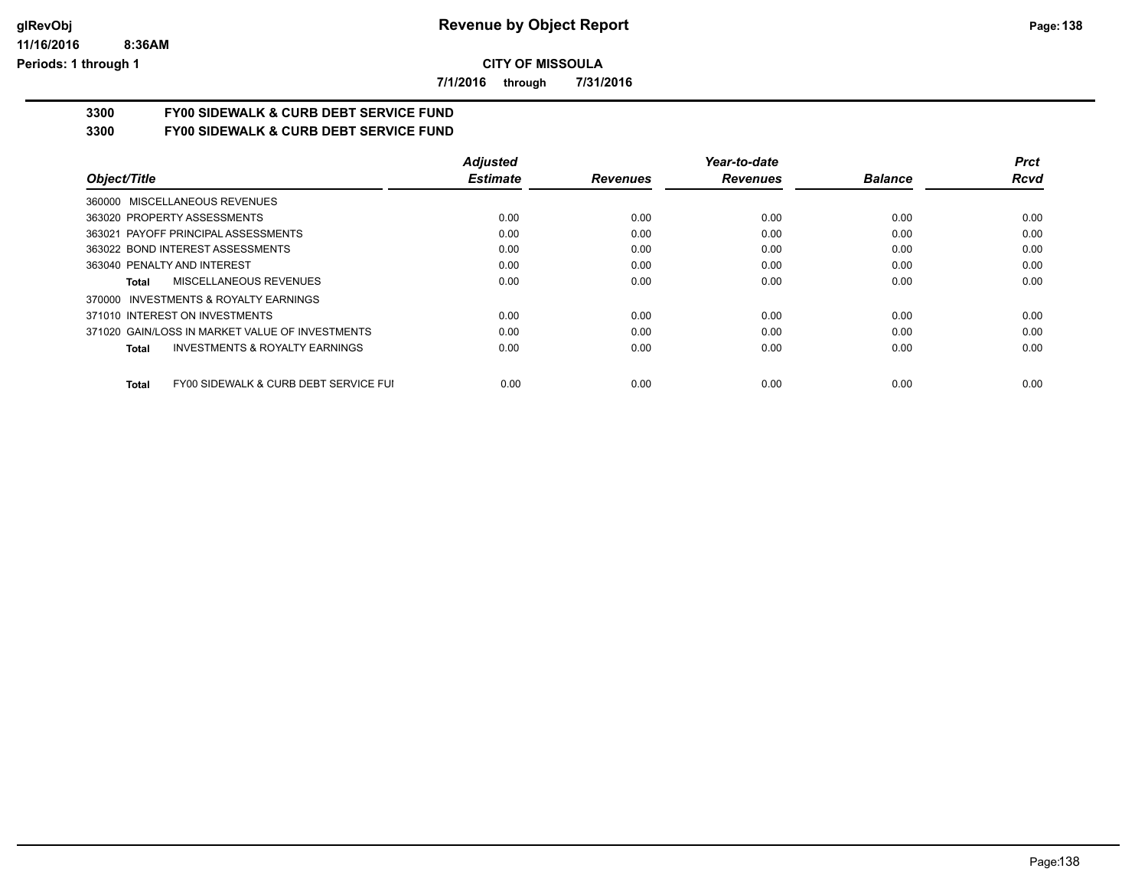#### **CITY OF MISSOULA**

**7/1/2016 through 7/31/2016**

# **3300 FY00 SIDEWALK & CURB DEBT SERVICE FUND**

# **3300 FY00 SIDEWALK & CURB DEBT SERVICE FUND**

|                                                           | <b>Adjusted</b> |                 | Year-to-date    |                | <b>Prct</b> |
|-----------------------------------------------------------|-----------------|-----------------|-----------------|----------------|-------------|
| Object/Title                                              | <b>Estimate</b> | <b>Revenues</b> | <b>Revenues</b> | <b>Balance</b> | <b>Rcvd</b> |
| 360000 MISCELLANEOUS REVENUES                             |                 |                 |                 |                |             |
| 363020 PROPERTY ASSESSMENTS                               | 0.00            | 0.00            | 0.00            | 0.00           | 0.00        |
| 363021 PAYOFF PRINCIPAL ASSESSMENTS                       | 0.00            | 0.00            | 0.00            | 0.00           | 0.00        |
| 363022 BOND INTEREST ASSESSMENTS                          | 0.00            | 0.00            | 0.00            | 0.00           | 0.00        |
| 363040 PENALTY AND INTEREST                               | 0.00            | 0.00            | 0.00            | 0.00           | 0.00        |
| MISCELLANEOUS REVENUES<br>Total                           | 0.00            | 0.00            | 0.00            | 0.00           | 0.00        |
| 370000 INVESTMENTS & ROYALTY EARNINGS                     |                 |                 |                 |                |             |
| 371010 INTEREST ON INVESTMENTS                            | 0.00            | 0.00            | 0.00            | 0.00           | 0.00        |
| 371020 GAIN/LOSS IN MARKET VALUE OF INVESTMENTS           | 0.00            | 0.00            | 0.00            | 0.00           | 0.00        |
| <b>INVESTMENTS &amp; ROYALTY EARNINGS</b><br>Total        | 0.00            | 0.00            | 0.00            | 0.00           | 0.00        |
| <b>FY00 SIDEWALK &amp; CURB DEBT SERVICE FUI</b><br>Total | 0.00            | 0.00            | 0.00            | 0.00           | 0.00        |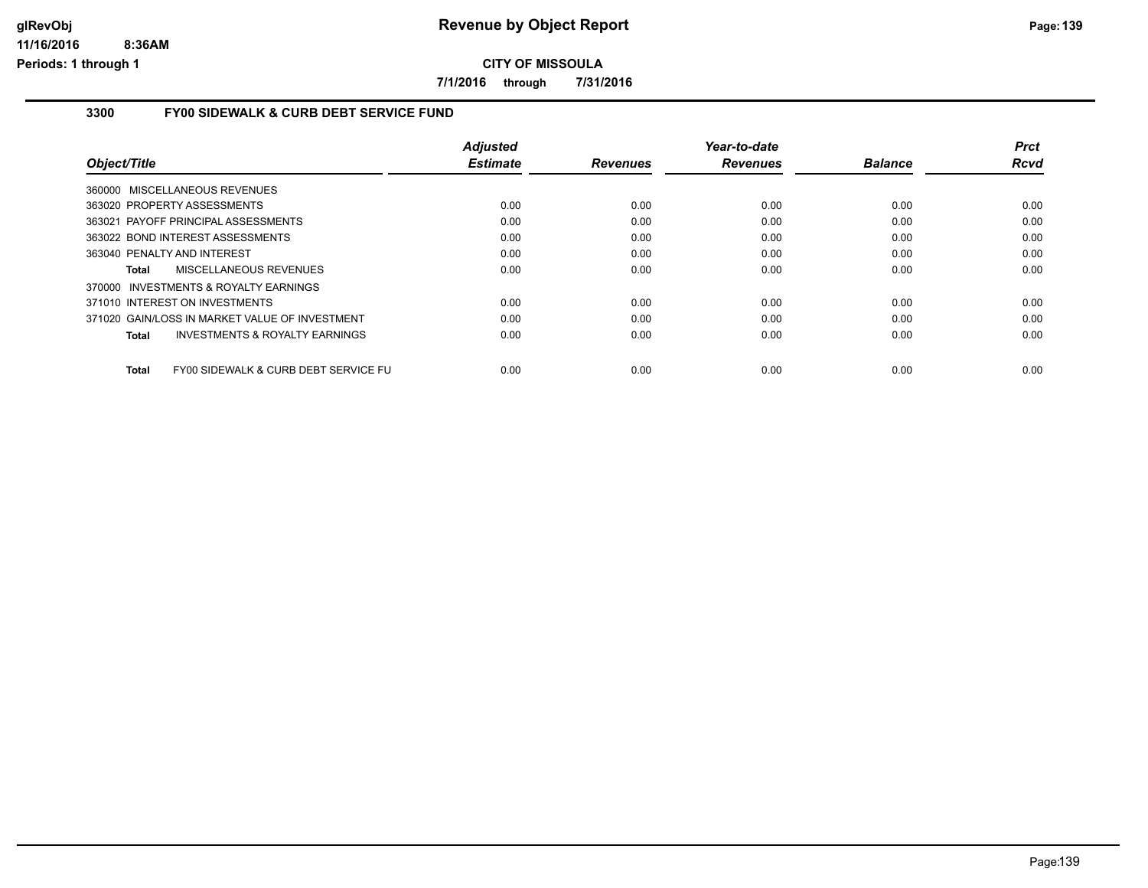**8:36AM**

**CITY OF MISSOULA**

**7/1/2016 through 7/31/2016**

### **3300 FY00 SIDEWALK & CURB DEBT SERVICE FUND**

|                                                    | <b>Adjusted</b> |                 | Year-to-date    |                | <b>Prct</b> |
|----------------------------------------------------|-----------------|-----------------|-----------------|----------------|-------------|
| Object/Title                                       | <b>Estimate</b> | <b>Revenues</b> | <b>Revenues</b> | <b>Balance</b> | Rcvd        |
| 360000 MISCELLANEOUS REVENUES                      |                 |                 |                 |                |             |
| 363020 PROPERTY ASSESSMENTS                        | 0.00            | 0.00            | 0.00            | 0.00           | 0.00        |
| 363021 PAYOFF PRINCIPAL ASSESSMENTS                | 0.00            | 0.00            | 0.00            | 0.00           | 0.00        |
| 363022 BOND INTEREST ASSESSMENTS                   | 0.00            | 0.00            | 0.00            | 0.00           | 0.00        |
| 363040 PENALTY AND INTEREST                        | 0.00            | 0.00            | 0.00            | 0.00           | 0.00        |
| <b>MISCELLANEOUS REVENUES</b><br>Total             | 0.00            | 0.00            | 0.00            | 0.00           | 0.00        |
| 370000 INVESTMENTS & ROYALTY EARNINGS              |                 |                 |                 |                |             |
| 371010 INTEREST ON INVESTMENTS                     | 0.00            | 0.00            | 0.00            | 0.00           | 0.00        |
| 371020 GAIN/LOSS IN MARKET VALUE OF INVESTMENT     | 0.00            | 0.00            | 0.00            | 0.00           | 0.00        |
| <b>INVESTMENTS &amp; ROYALTY EARNINGS</b><br>Total | 0.00            | 0.00            | 0.00            | 0.00           | 0.00        |
| FY00 SIDEWALK & CURB DEBT SERVICE FU<br>Total      | 0.00            | 0.00            | 0.00            | 0.00           | 0.00        |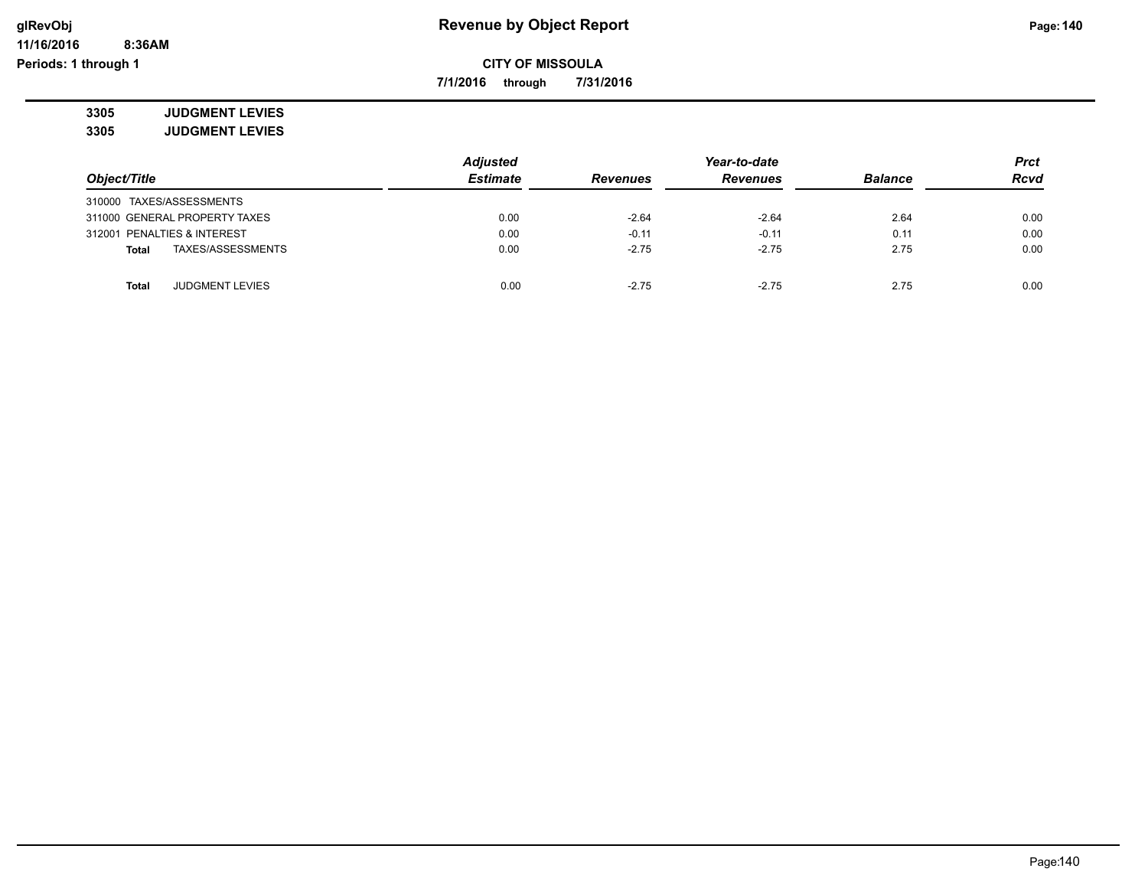**11/16/2016**

**Periods: 1 through 1**

**CITY OF MISSOULA**

**7/1/2016 through 7/31/2016**

**3305 JUDGMENT LEVIES**

 **8:36AM**

**3305 JUDGMENT LEVIES**

|                                 | <b>Adjusted</b> |                 | Year-to-date    |                | <b>Prct</b> |
|---------------------------------|-----------------|-----------------|-----------------|----------------|-------------|
| Object/Title                    | <b>Estimate</b> | <b>Revenues</b> | <b>Revenues</b> | <b>Balance</b> | <b>Rcvd</b> |
| 310000 TAXES/ASSESSMENTS        |                 |                 |                 |                |             |
| 311000 GENERAL PROPERTY TAXES   | 0.00            | $-2.64$         | $-2.64$         | 2.64           | 0.00        |
| 312001 PENALTIES & INTEREST     | 0.00            | $-0.11$         | $-0.11$         | 0.11           | 0.00        |
| TAXES/ASSESSMENTS<br>Total      | 0.00            | $-2.75$         | $-2.75$         | 2.75           | 0.00        |
| <b>JUDGMENT LEVIES</b><br>Total | 0.00            | $-2.75$         | $-2.75$         | 2.75           | 0.00        |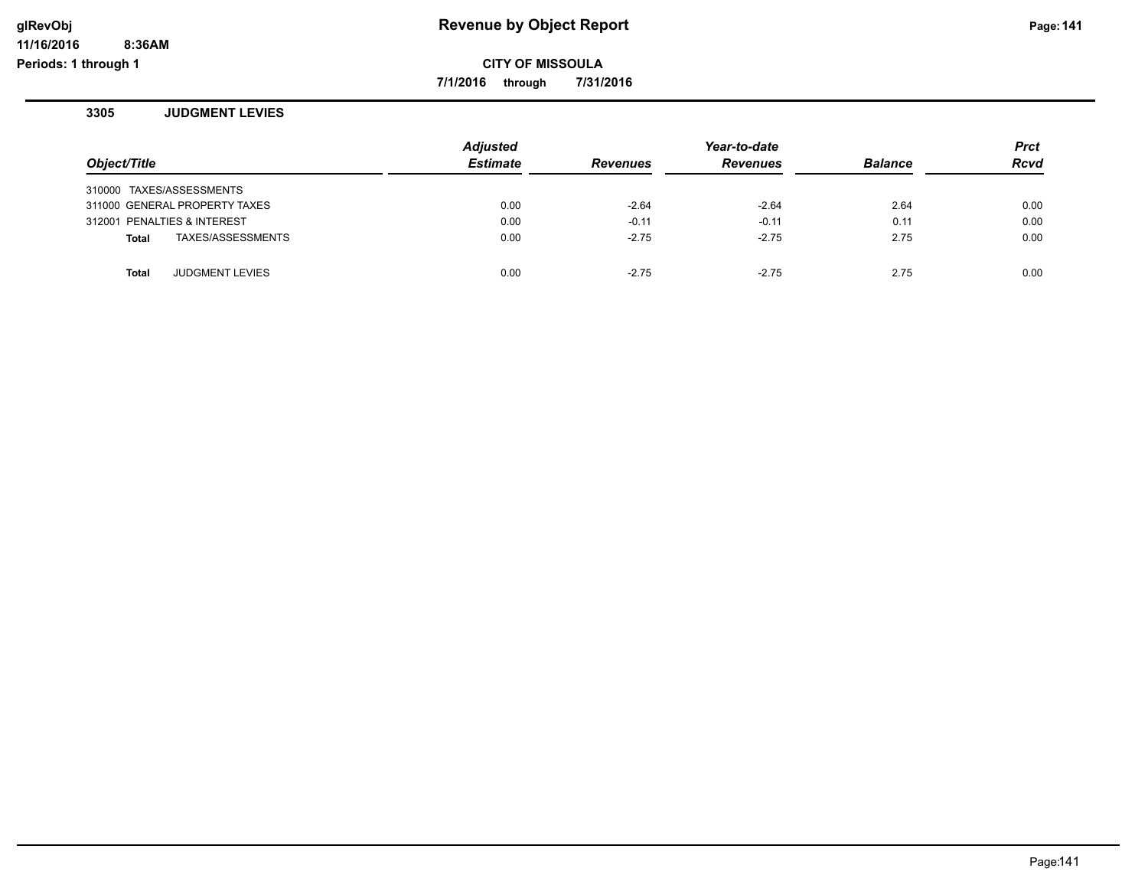**glRevObj Revenue by Object Report Page:141** 

**11/16/2016 8:36AM Periods: 1 through 1**

#### **CITY OF MISSOULA**

**7/1/2016 through 7/31/2016**

#### **3305 JUDGMENT LEVIES**

| Object/Title                           | <b>Adjusted</b><br><b>Estimate</b> | <b>Revenues</b> | Year-to-date<br><b>Revenues</b> | <b>Balance</b> | <b>Prct</b><br><b>Rcvd</b> |
|----------------------------------------|------------------------------------|-----------------|---------------------------------|----------------|----------------------------|
| 310000 TAXES/ASSESSMENTS               |                                    |                 |                                 |                |                            |
| 311000 GENERAL PROPERTY TAXES          | 0.00                               | $-2.64$         | $-2.64$                         | 2.64           | 0.00                       |
| 312001 PENALTIES & INTEREST            | 0.00                               | $-0.11$         | $-0.11$                         | 0.11           | 0.00                       |
| TAXES/ASSESSMENTS<br>Total             | 0.00                               | $-2.75$         | $-2.75$                         | 2.75           | 0.00                       |
|                                        |                                    |                 |                                 |                |                            |
| <b>JUDGMENT LEVIES</b><br><b>Total</b> | 0.00                               | $-2.75$         | $-2.75$                         | 2.75           | 0.00                       |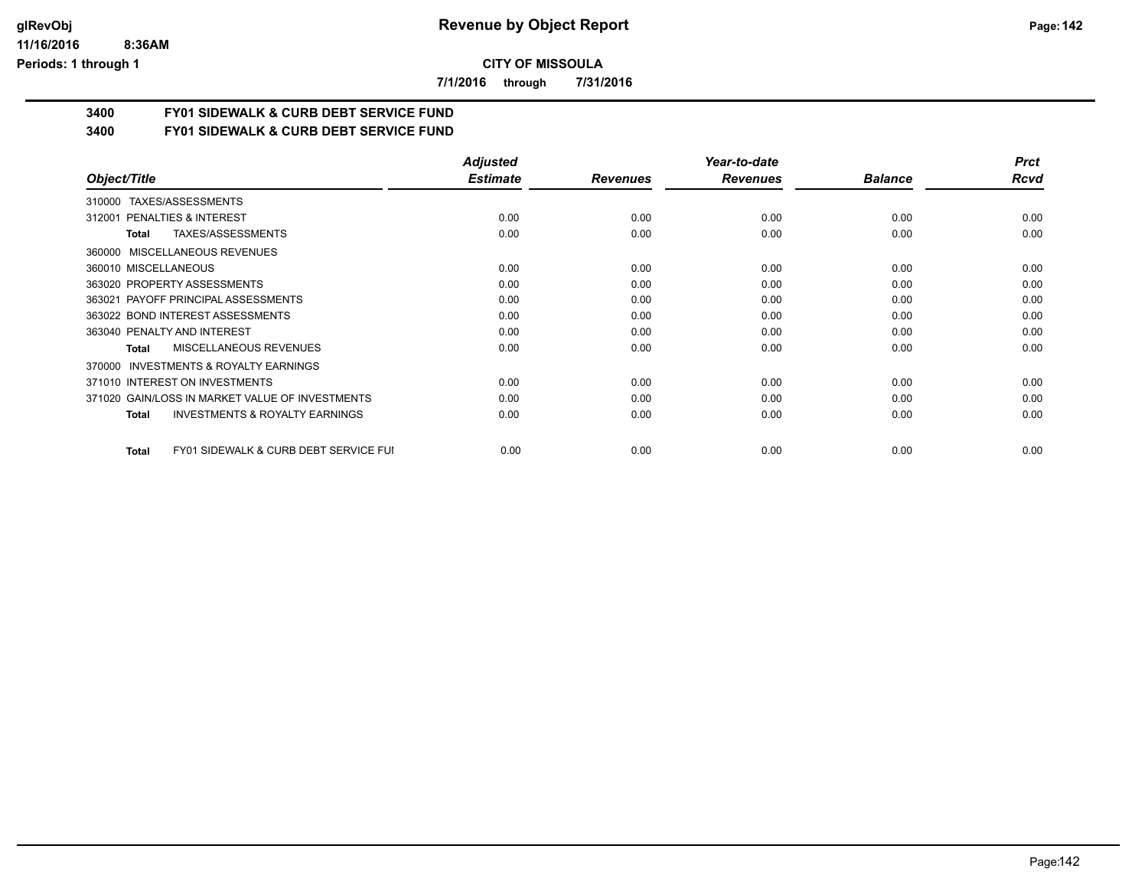**CITY OF MISSOULA**

**7/1/2016 through 7/31/2016**

# **3400 FY01 SIDEWALK & CURB DEBT SERVICE FUND**

# **3400 FY01 SIDEWALK & CURB DEBT SERVICE FUND**

|                                                     | <b>Adjusted</b> |                 | Year-to-date    |                | <b>Prct</b> |
|-----------------------------------------------------|-----------------|-----------------|-----------------|----------------|-------------|
| Object/Title                                        | <b>Estimate</b> | <b>Revenues</b> | <b>Revenues</b> | <b>Balance</b> | Rcvd        |
| TAXES/ASSESSMENTS<br>310000                         |                 |                 |                 |                |             |
| 312001 PENALTIES & INTEREST                         | 0.00            | 0.00            | 0.00            | 0.00           | 0.00        |
| TAXES/ASSESSMENTS<br>Total                          | 0.00            | 0.00            | 0.00            | 0.00           | 0.00        |
| MISCELLANEOUS REVENUES<br>360000                    |                 |                 |                 |                |             |
| 360010 MISCELLANEOUS                                | 0.00            | 0.00            | 0.00            | 0.00           | 0.00        |
| 363020 PROPERTY ASSESSMENTS                         | 0.00            | 0.00            | 0.00            | 0.00           | 0.00        |
| 363021 PAYOFF PRINCIPAL ASSESSMENTS                 | 0.00            | 0.00            | 0.00            | 0.00           | 0.00        |
| 363022 BOND INTEREST ASSESSMENTS                    | 0.00            | 0.00            | 0.00            | 0.00           | 0.00        |
| 363040 PENALTY AND INTEREST                         | 0.00            | 0.00            | 0.00            | 0.00           | 0.00        |
| MISCELLANEOUS REVENUES<br>Total                     | 0.00            | 0.00            | 0.00            | 0.00           | 0.00        |
| <b>INVESTMENTS &amp; ROYALTY EARNINGS</b><br>370000 |                 |                 |                 |                |             |
| 371010 INTEREST ON INVESTMENTS                      | 0.00            | 0.00            | 0.00            | 0.00           | 0.00        |
| 371020 GAIN/LOSS IN MARKET VALUE OF INVESTMENTS     | 0.00            | 0.00            | 0.00            | 0.00           | 0.00        |
| <b>INVESTMENTS &amp; ROYALTY EARNINGS</b><br>Total  | 0.00            | 0.00            | 0.00            | 0.00           | 0.00        |
| FY01 SIDEWALK & CURB DEBT SERVICE FUI<br>Total      | 0.00            | 0.00            | 0.00            | 0.00           | 0.00        |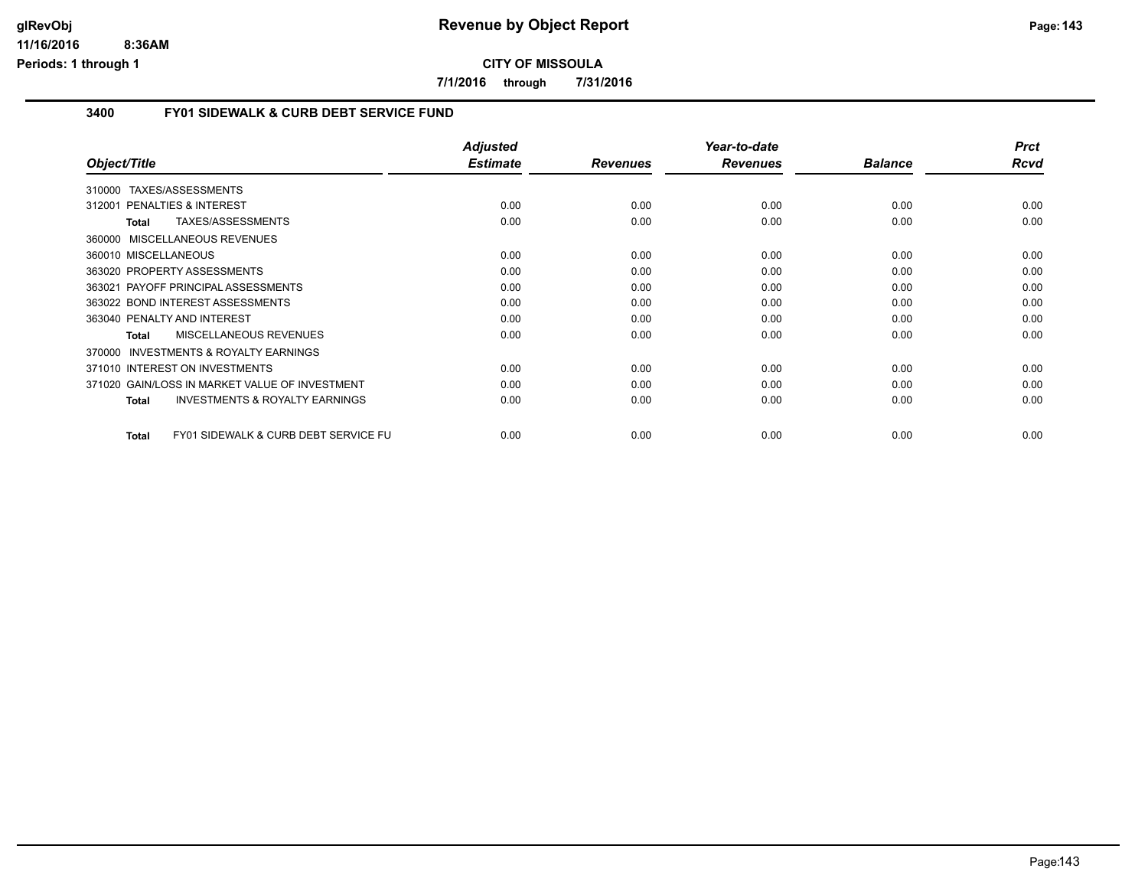**8:36AM**

**CITY OF MISSOULA**

**7/1/2016 through 7/31/2016**

#### **3400 FY01 SIDEWALK & CURB DEBT SERVICE FUND**

| Object/Title                                              | <b>Adjusted</b><br><b>Estimate</b> | <b>Revenues</b> | Year-to-date<br><b>Revenues</b> | <b>Balance</b> | <b>Prct</b><br>Rcvd |
|-----------------------------------------------------------|------------------------------------|-----------------|---------------------------------|----------------|---------------------|
|                                                           |                                    |                 |                                 |                |                     |
| 310000 TAXES/ASSESSMENTS                                  |                                    |                 |                                 |                |                     |
| <b>PENALTIES &amp; INTEREST</b><br>312001                 | 0.00                               | 0.00            | 0.00                            | 0.00           | 0.00                |
| TAXES/ASSESSMENTS<br><b>Total</b>                         | 0.00                               | 0.00            | 0.00                            | 0.00           | 0.00                |
| 360000 MISCELLANEOUS REVENUES                             |                                    |                 |                                 |                |                     |
| 360010 MISCELLANEOUS                                      | 0.00                               | 0.00            | 0.00                            | 0.00           | 0.00                |
| 363020 PROPERTY ASSESSMENTS                               | 0.00                               | 0.00            | 0.00                            | 0.00           | 0.00                |
| PAYOFF PRINCIPAL ASSESSMENTS<br>363021                    | 0.00                               | 0.00            | 0.00                            | 0.00           | 0.00                |
| 363022 BOND INTEREST ASSESSMENTS                          | 0.00                               | 0.00            | 0.00                            | 0.00           | 0.00                |
| 363040 PENALTY AND INTEREST                               | 0.00                               | 0.00            | 0.00                            | 0.00           | 0.00                |
| <b>MISCELLANEOUS REVENUES</b><br><b>Total</b>             | 0.00                               | 0.00            | 0.00                            | 0.00           | 0.00                |
| INVESTMENTS & ROYALTY EARNINGS<br>370000                  |                                    |                 |                                 |                |                     |
| 371010 INTEREST ON INVESTMENTS                            | 0.00                               | 0.00            | 0.00                            | 0.00           | 0.00                |
| 371020 GAIN/LOSS IN MARKET VALUE OF INVESTMENT            | 0.00                               | 0.00            | 0.00                            | 0.00           | 0.00                |
| <b>INVESTMENTS &amp; ROYALTY EARNINGS</b><br><b>Total</b> | 0.00                               | 0.00            | 0.00                            | 0.00           | 0.00                |
| FY01 SIDEWALK & CURB DEBT SERVICE FU<br><b>Total</b>      | 0.00                               | 0.00            | 0.00                            | 0.00           | 0.00                |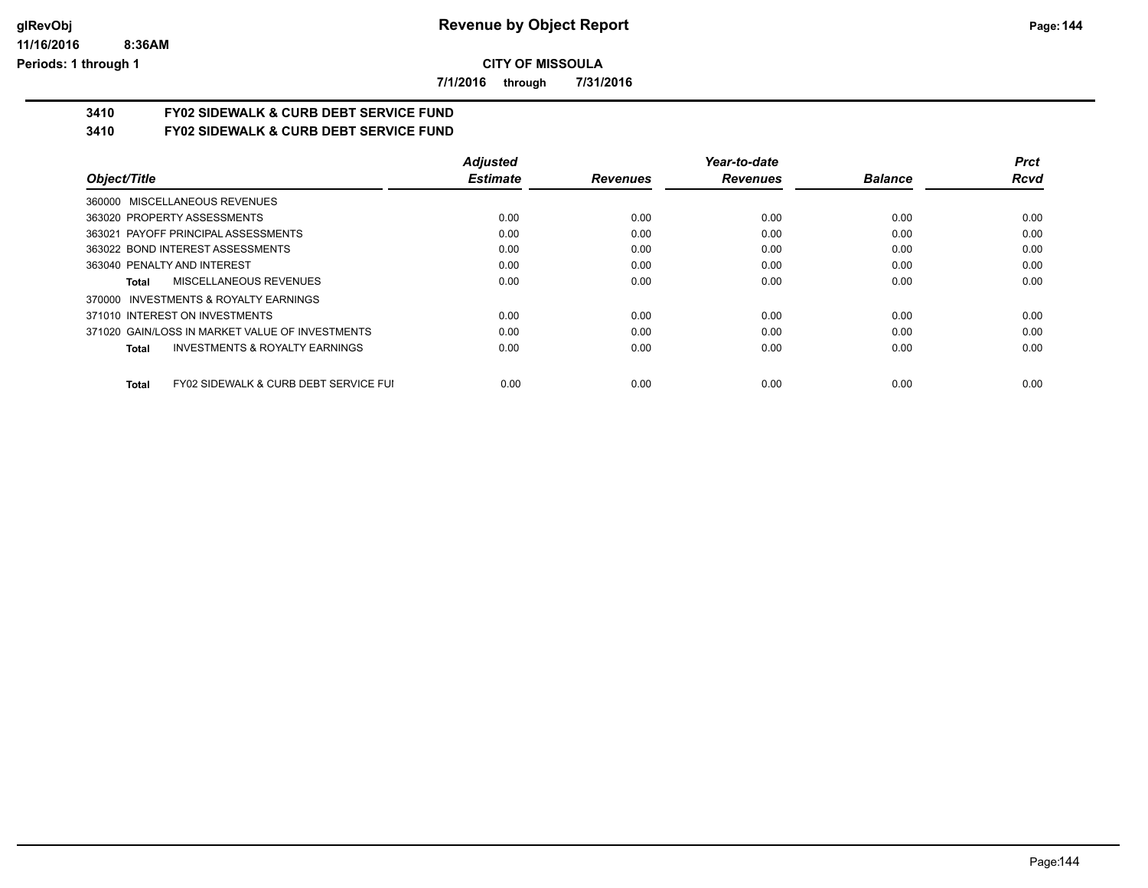#### **CITY OF MISSOULA**

**7/1/2016 through 7/31/2016**

# **3410 FY02 SIDEWALK & CURB DEBT SERVICE FUND**

# **3410 FY02 SIDEWALK & CURB DEBT SERVICE FUND**

|                                                           | <b>Adjusted</b> |                 | Year-to-date    |                | <b>Prct</b> |
|-----------------------------------------------------------|-----------------|-----------------|-----------------|----------------|-------------|
| Object/Title                                              | <b>Estimate</b> | <b>Revenues</b> | <b>Revenues</b> | <b>Balance</b> | <b>Rcvd</b> |
| 360000 MISCELLANEOUS REVENUES                             |                 |                 |                 |                |             |
| 363020 PROPERTY ASSESSMENTS                               | 0.00            | 0.00            | 0.00            | 0.00           | 0.00        |
| 363021 PAYOFF PRINCIPAL ASSESSMENTS                       | 0.00            | 0.00            | 0.00            | 0.00           | 0.00        |
| 363022 BOND INTEREST ASSESSMENTS                          | 0.00            | 0.00            | 0.00            | 0.00           | 0.00        |
| 363040 PENALTY AND INTEREST                               | 0.00            | 0.00            | 0.00            | 0.00           | 0.00        |
| MISCELLANEOUS REVENUES<br>Total                           | 0.00            | 0.00            | 0.00            | 0.00           | 0.00        |
| 370000 INVESTMENTS & ROYALTY EARNINGS                     |                 |                 |                 |                |             |
| 371010 INTEREST ON INVESTMENTS                            | 0.00            | 0.00            | 0.00            | 0.00           | 0.00        |
| 371020 GAIN/LOSS IN MARKET VALUE OF INVESTMENTS           | 0.00            | 0.00            | 0.00            | 0.00           | 0.00        |
| <b>INVESTMENTS &amp; ROYALTY EARNINGS</b><br>Total        | 0.00            | 0.00            | 0.00            | 0.00           | 0.00        |
| <b>FY02 SIDEWALK &amp; CURB DEBT SERVICE FUI</b><br>Total | 0.00            | 0.00            | 0.00            | 0.00           | 0.00        |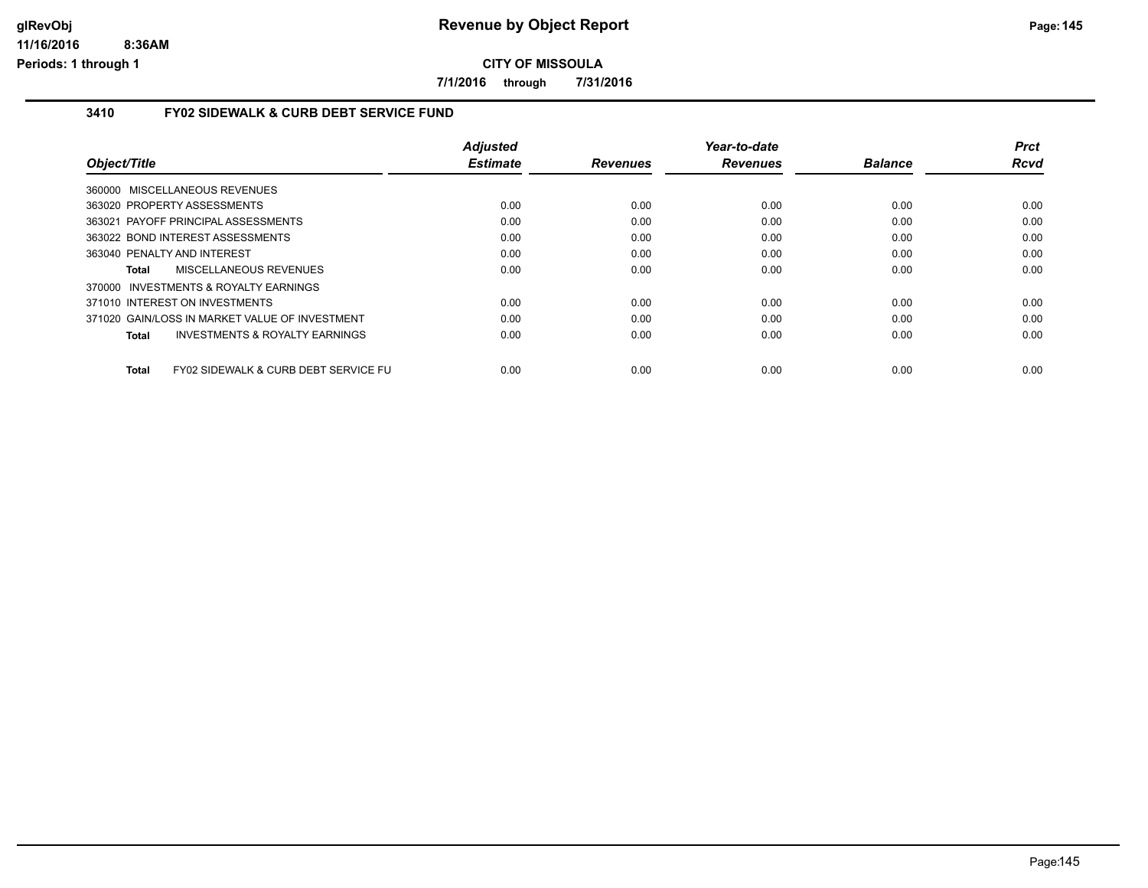**8:36AM**

**CITY OF MISSOULA**

**7/1/2016 through 7/31/2016**

# **3410 FY02 SIDEWALK & CURB DEBT SERVICE FUND**

|                                                      | <b>Adjusted</b> |                 | Year-to-date    |                | <b>Prct</b> |
|------------------------------------------------------|-----------------|-----------------|-----------------|----------------|-------------|
| Object/Title                                         | <b>Estimate</b> | <b>Revenues</b> | <b>Revenues</b> | <b>Balance</b> | <b>Rcvd</b> |
| 360000 MISCELLANEOUS REVENUES                        |                 |                 |                 |                |             |
| 363020 PROPERTY ASSESSMENTS                          | 0.00            | 0.00            | 0.00            | 0.00           | 0.00        |
| 363021 PAYOFF PRINCIPAL ASSESSMENTS                  | 0.00            | 0.00            | 0.00            | 0.00           | 0.00        |
| 363022 BOND INTEREST ASSESSMENTS                     | 0.00            | 0.00            | 0.00            | 0.00           | 0.00        |
| 363040 PENALTY AND INTEREST                          | 0.00            | 0.00            | 0.00            | 0.00           | 0.00        |
| MISCELLANEOUS REVENUES<br>Total                      | 0.00            | 0.00            | 0.00            | 0.00           | 0.00        |
| 370000 INVESTMENTS & ROYALTY EARNINGS                |                 |                 |                 |                |             |
| 371010 INTEREST ON INVESTMENTS                       | 0.00            | 0.00            | 0.00            | 0.00           | 0.00        |
| 371020 GAIN/LOSS IN MARKET VALUE OF INVESTMENT       | 0.00            | 0.00            | 0.00            | 0.00           | 0.00        |
| <b>INVESTMENTS &amp; ROYALTY EARNINGS</b><br>Total   | 0.00            | 0.00            | 0.00            | 0.00           | 0.00        |
| FY02 SIDEWALK & CURB DEBT SERVICE FU<br><b>Total</b> | 0.00            | 0.00            | 0.00            | 0.00           | 0.00        |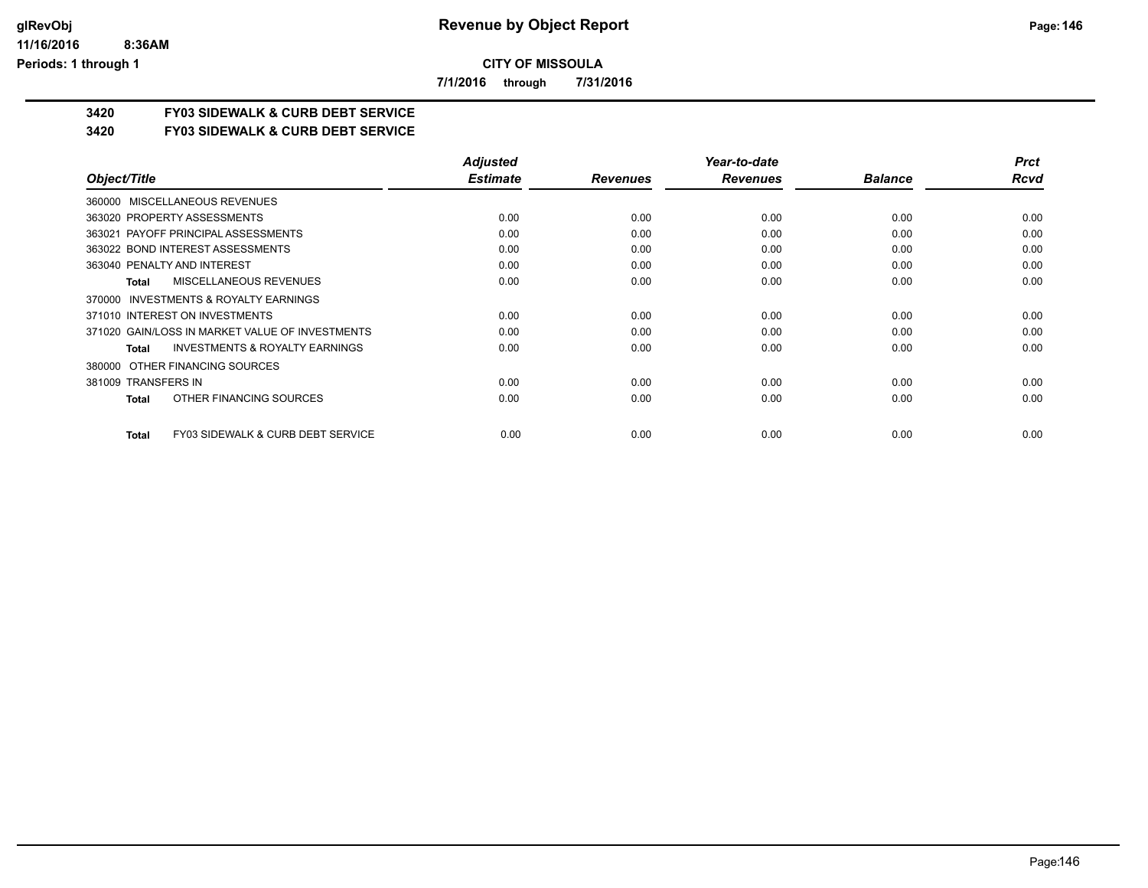**11/16/2016 8:36AM Periods: 1 through 1**

**CITY OF MISSOULA**

**7/1/2016 through 7/31/2016**

# **3420 FY03 SIDEWALK & CURB DEBT SERVICE**

# **3420 FY03 SIDEWALK & CURB DEBT SERVICE**

|                                                    | <b>Adjusted</b> |                 | Year-to-date    |                | <b>Prct</b> |
|----------------------------------------------------|-----------------|-----------------|-----------------|----------------|-------------|
| Object/Title                                       | <b>Estimate</b> | <b>Revenues</b> | <b>Revenues</b> | <b>Balance</b> | Rcvd        |
| 360000 MISCELLANEOUS REVENUES                      |                 |                 |                 |                |             |
| 363020 PROPERTY ASSESSMENTS                        | 0.00            | 0.00            | 0.00            | 0.00           | 0.00        |
| 363021 PAYOFF PRINCIPAL ASSESSMENTS                | 0.00            | 0.00            | 0.00            | 0.00           | 0.00        |
| 363022 BOND INTEREST ASSESSMENTS                   | 0.00            | 0.00            | 0.00            | 0.00           | 0.00        |
| 363040 PENALTY AND INTEREST                        | 0.00            | 0.00            | 0.00            | 0.00           | 0.00        |
| MISCELLANEOUS REVENUES<br>Total                    | 0.00            | 0.00            | 0.00            | 0.00           | 0.00        |
| 370000 INVESTMENTS & ROYALTY EARNINGS              |                 |                 |                 |                |             |
| 371010 INTEREST ON INVESTMENTS                     | 0.00            | 0.00            | 0.00            | 0.00           | 0.00        |
| 371020 GAIN/LOSS IN MARKET VALUE OF INVESTMENTS    | 0.00            | 0.00            | 0.00            | 0.00           | 0.00        |
| <b>INVESTMENTS &amp; ROYALTY EARNINGS</b><br>Total | 0.00            | 0.00            | 0.00            | 0.00           | 0.00        |
| OTHER FINANCING SOURCES<br>380000                  |                 |                 |                 |                |             |
| 381009 TRANSFERS IN                                | 0.00            | 0.00            | 0.00            | 0.00           | 0.00        |
| OTHER FINANCING SOURCES<br>Total                   | 0.00            | 0.00            | 0.00            | 0.00           | 0.00        |
| FY03 SIDEWALK & CURB DEBT SERVICE<br><b>Total</b>  | 0.00            | 0.00            | 0.00            | 0.00           | 0.00        |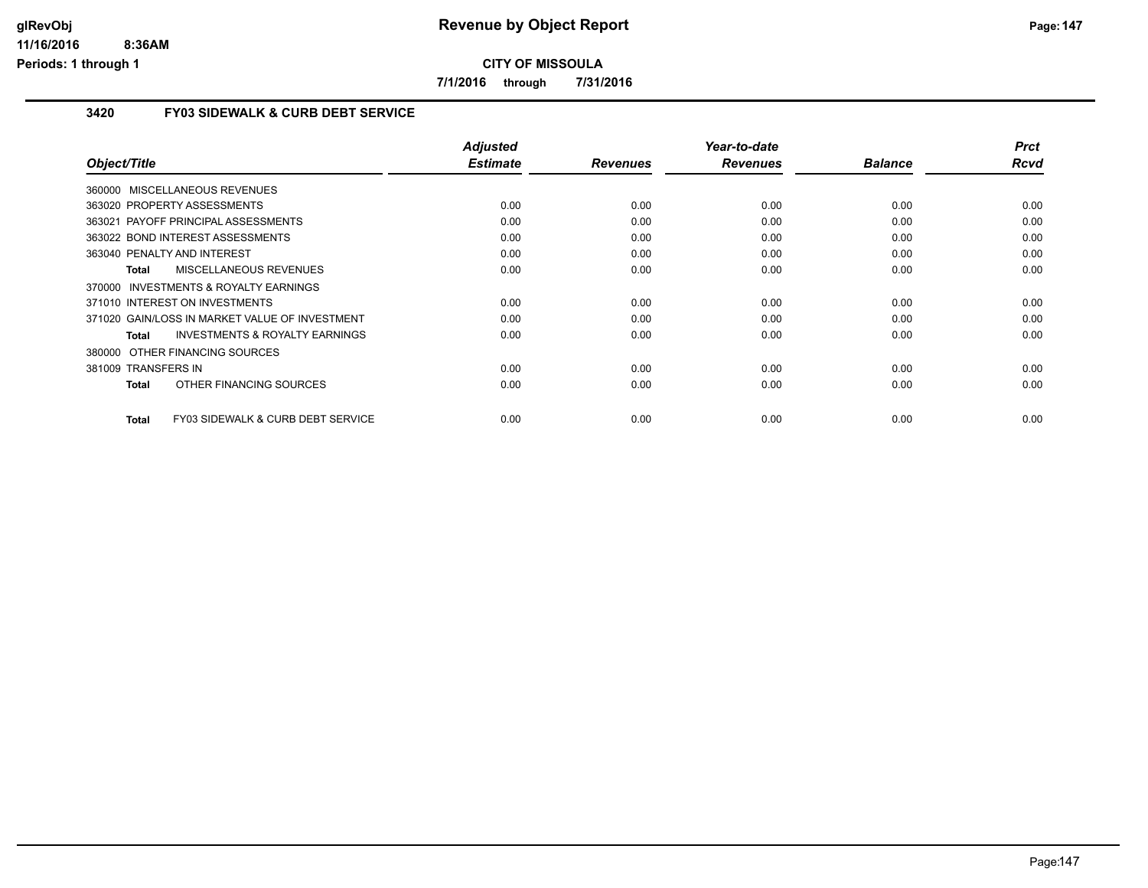**8:36AM**

**CITY OF MISSOULA**

**7/1/2016 through 7/31/2016**

# **3420 FY03 SIDEWALK & CURB DEBT SERVICE**

| Object/Title                                       | <b>Adjusted</b><br><b>Estimate</b> | <b>Revenues</b> | Year-to-date<br><b>Revenues</b> | <b>Balance</b> | <b>Prct</b><br>Rcvd |
|----------------------------------------------------|------------------------------------|-----------------|---------------------------------|----------------|---------------------|
| 360000 MISCELLANEOUS REVENUES                      |                                    |                 |                                 |                |                     |
|                                                    |                                    |                 |                                 |                |                     |
| 363020 PROPERTY ASSESSMENTS                        | 0.00                               | 0.00            | 0.00                            | 0.00           | 0.00                |
| 363021 PAYOFF PRINCIPAL ASSESSMENTS                | 0.00                               | 0.00            | 0.00                            | 0.00           | 0.00                |
| 363022 BOND INTEREST ASSESSMENTS                   | 0.00                               | 0.00            | 0.00                            | 0.00           | 0.00                |
| 363040 PENALTY AND INTEREST                        | 0.00                               | 0.00            | 0.00                            | 0.00           | 0.00                |
| MISCELLANEOUS REVENUES<br>Total                    | 0.00                               | 0.00            | 0.00                            | 0.00           | 0.00                |
| 370000 INVESTMENTS & ROYALTY EARNINGS              |                                    |                 |                                 |                |                     |
| 371010 INTEREST ON INVESTMENTS                     | 0.00                               | 0.00            | 0.00                            | 0.00           | 0.00                |
| 371020 GAIN/LOSS IN MARKET VALUE OF INVESTMENT     | 0.00                               | 0.00            | 0.00                            | 0.00           | 0.00                |
| <b>INVESTMENTS &amp; ROYALTY EARNINGS</b><br>Total | 0.00                               | 0.00            | 0.00                            | 0.00           | 0.00                |
| 380000 OTHER FINANCING SOURCES                     |                                    |                 |                                 |                |                     |
| 381009 TRANSFERS IN                                | 0.00                               | 0.00            | 0.00                            | 0.00           | 0.00                |
| OTHER FINANCING SOURCES<br>Total                   | 0.00                               | 0.00            | 0.00                            | 0.00           | 0.00                |
| FY03 SIDEWALK & CURB DEBT SERVICE<br>Total         | 0.00                               | 0.00            | 0.00                            | 0.00           | 0.00                |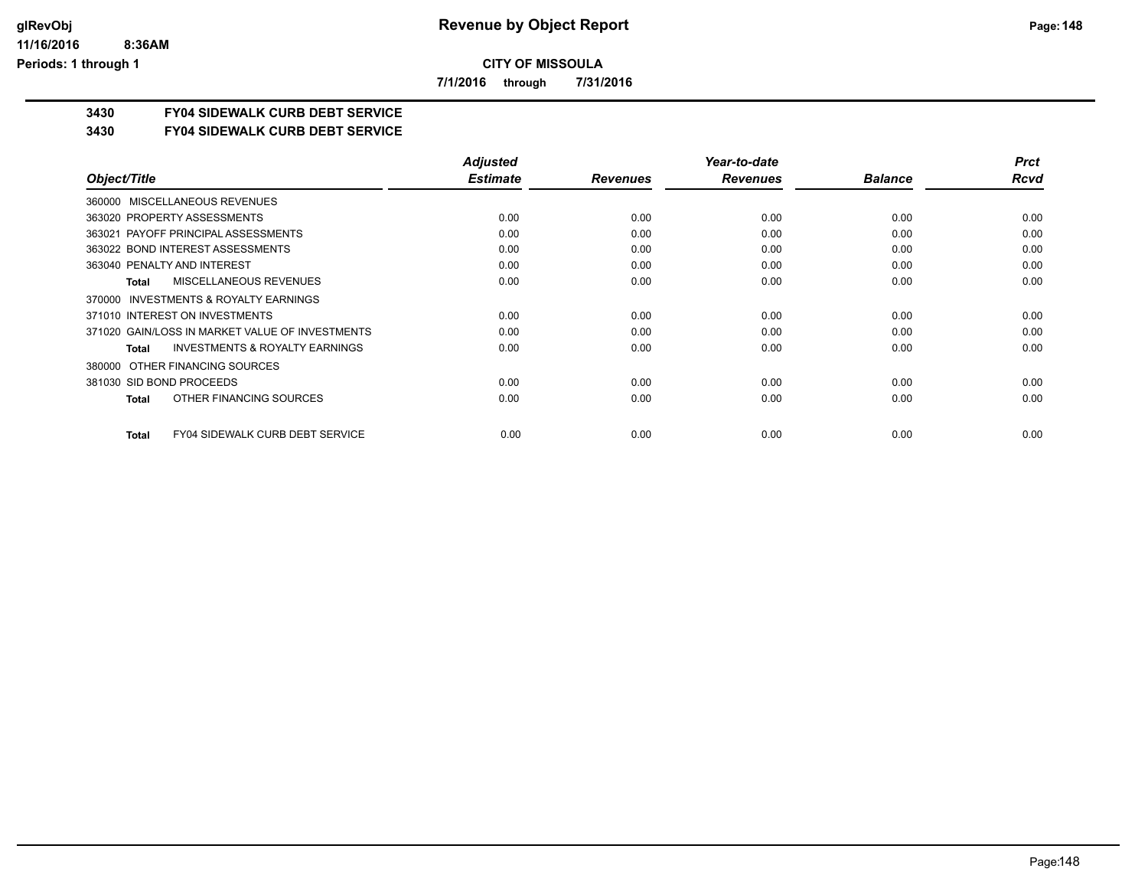**11/16/2016 8:36AM Periods: 1 through 1**

**CITY OF MISSOULA**

**7/1/2016 through 7/31/2016**

# **3430 FY04 SIDEWALK CURB DEBT SERVICE**

# **3430 FY04 SIDEWALK CURB DEBT SERVICE**

|                                                    | <b>Adjusted</b> |                 | Year-to-date    |                | <b>Prct</b> |
|----------------------------------------------------|-----------------|-----------------|-----------------|----------------|-------------|
| Object/Title                                       | <b>Estimate</b> | <b>Revenues</b> | <b>Revenues</b> | <b>Balance</b> | Rcvd        |
| 360000 MISCELLANEOUS REVENUES                      |                 |                 |                 |                |             |
| 363020 PROPERTY ASSESSMENTS                        | 0.00            | 0.00            | 0.00            | 0.00           | 0.00        |
| 363021 PAYOFF PRINCIPAL ASSESSMENTS                | 0.00            | 0.00            | 0.00            | 0.00           | 0.00        |
| 363022 BOND INTEREST ASSESSMENTS                   | 0.00            | 0.00            | 0.00            | 0.00           | 0.00        |
| 363040 PENALTY AND INTEREST                        | 0.00            | 0.00            | 0.00            | 0.00           | 0.00        |
| MISCELLANEOUS REVENUES<br>Total                    | 0.00            | 0.00            | 0.00            | 0.00           | 0.00        |
| 370000 INVESTMENTS & ROYALTY EARNINGS              |                 |                 |                 |                |             |
| 371010 INTEREST ON INVESTMENTS                     | 0.00            | 0.00            | 0.00            | 0.00           | 0.00        |
| 371020 GAIN/LOSS IN MARKET VALUE OF INVESTMENTS    | 0.00            | 0.00            | 0.00            | 0.00           | 0.00        |
| <b>INVESTMENTS &amp; ROYALTY EARNINGS</b><br>Total | 0.00            | 0.00            | 0.00            | 0.00           | 0.00        |
| OTHER FINANCING SOURCES<br>380000                  |                 |                 |                 |                |             |
| 381030 SID BOND PROCEEDS                           | 0.00            | 0.00            | 0.00            | 0.00           | 0.00        |
| OTHER FINANCING SOURCES<br>Total                   | 0.00            | 0.00            | 0.00            | 0.00           | 0.00        |
| FY04 SIDEWALK CURB DEBT SERVICE<br><b>Total</b>    | 0.00            | 0.00            | 0.00            | 0.00           | 0.00        |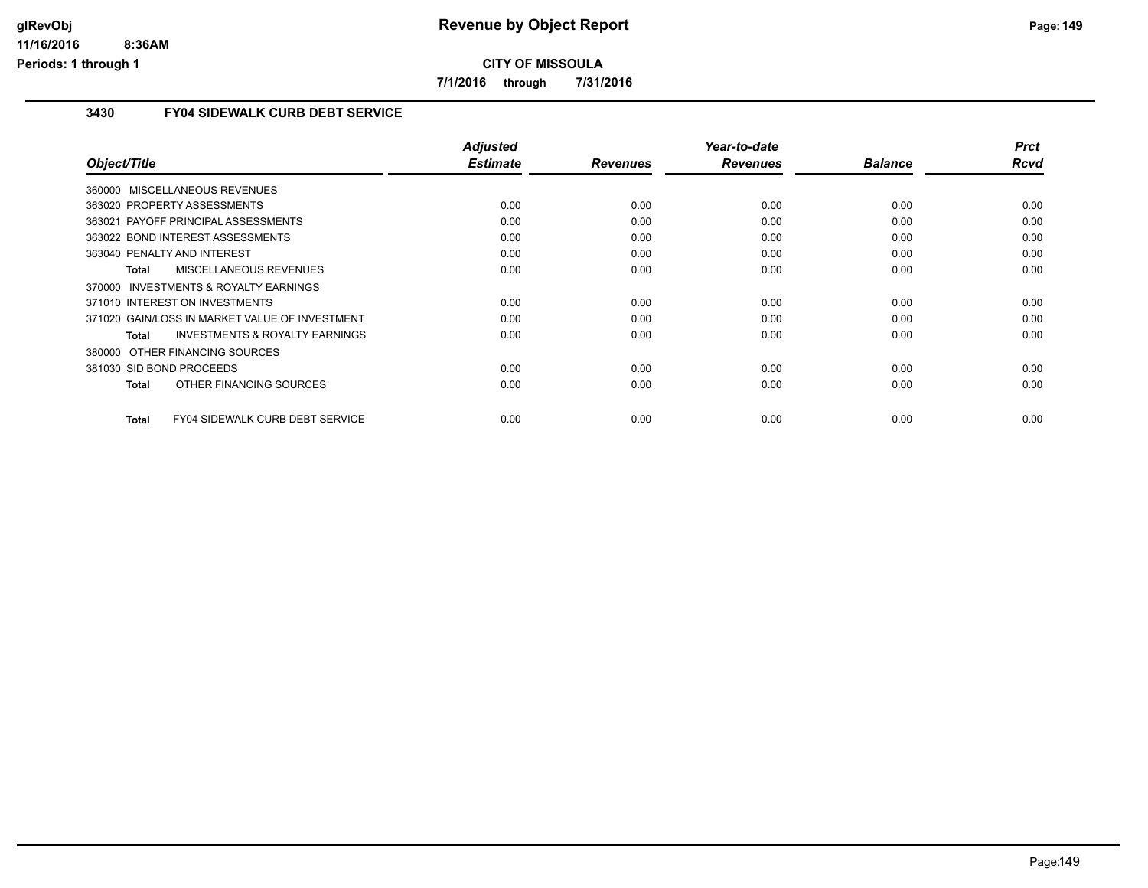**8:36AM**

**CITY OF MISSOULA**

**7/1/2016 through 7/31/2016**

# **3430 FY04 SIDEWALK CURB DEBT SERVICE**

| Object/Title                                       | <b>Adjusted</b><br><b>Estimate</b> | <b>Revenues</b> | Year-to-date<br><b>Revenues</b> | <b>Balance</b> | <b>Prct</b><br><b>Rcvd</b> |
|----------------------------------------------------|------------------------------------|-----------------|---------------------------------|----------------|----------------------------|
|                                                    |                                    |                 |                                 |                |                            |
| 360000 MISCELLANEOUS REVENUES                      |                                    |                 |                                 |                |                            |
| 363020 PROPERTY ASSESSMENTS                        | 0.00                               | 0.00            | 0.00                            | 0.00           | 0.00                       |
| 363021 PAYOFF PRINCIPAL ASSESSMENTS                | 0.00                               | 0.00            | 0.00                            | 0.00           | 0.00                       |
| 363022 BOND INTEREST ASSESSMENTS                   | 0.00                               | 0.00            | 0.00                            | 0.00           | 0.00                       |
| 363040 PENALTY AND INTEREST                        | 0.00                               | 0.00            | 0.00                            | 0.00           | 0.00                       |
| <b>MISCELLANEOUS REVENUES</b><br>Total             | 0.00                               | 0.00            | 0.00                            | 0.00           | 0.00                       |
| 370000 INVESTMENTS & ROYALTY EARNINGS              |                                    |                 |                                 |                |                            |
| 371010 INTEREST ON INVESTMENTS                     | 0.00                               | 0.00            | 0.00                            | 0.00           | 0.00                       |
| 371020 GAIN/LOSS IN MARKET VALUE OF INVESTMENT     | 0.00                               | 0.00            | 0.00                            | 0.00           | 0.00                       |
| <b>INVESTMENTS &amp; ROYALTY EARNINGS</b><br>Total | 0.00                               | 0.00            | 0.00                            | 0.00           | 0.00                       |
| 380000 OTHER FINANCING SOURCES                     |                                    |                 |                                 |                |                            |
| 381030 SID BOND PROCEEDS                           | 0.00                               | 0.00            | 0.00                            | 0.00           | 0.00                       |
| OTHER FINANCING SOURCES<br><b>Total</b>            | 0.00                               | 0.00            | 0.00                            | 0.00           | 0.00                       |
|                                                    |                                    |                 |                                 |                |                            |
| FY04 SIDEWALK CURB DEBT SERVICE<br><b>Total</b>    | 0.00                               | 0.00            | 0.00                            | 0.00           | 0.00                       |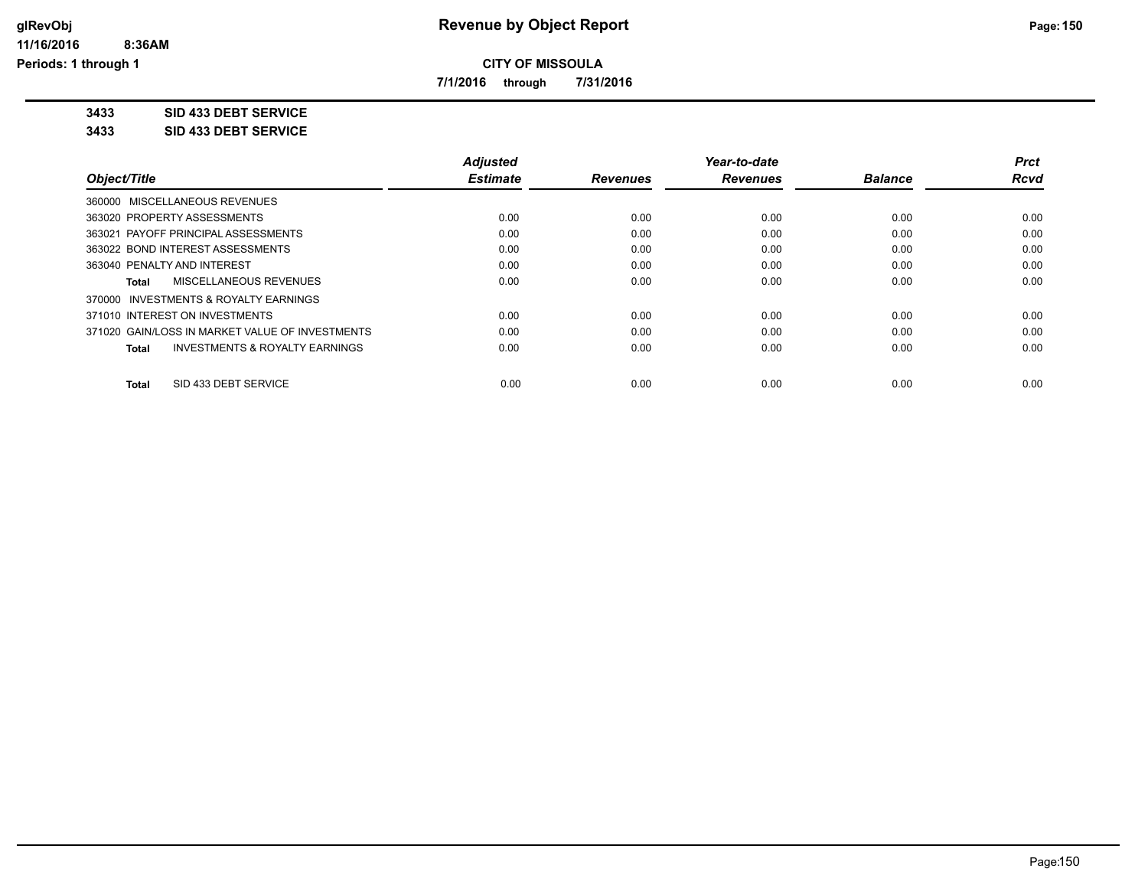**CITY OF MISSOULA**

**7/1/2016 through 7/31/2016**

**3433 SID 433 DEBT SERVICE**

**3433 SID 433 DEBT SERVICE**

|                                                           | <b>Adjusted</b> |                 | Year-to-date    |                | <b>Prct</b> |
|-----------------------------------------------------------|-----------------|-----------------|-----------------|----------------|-------------|
| Object/Title                                              | <b>Estimate</b> | <b>Revenues</b> | <b>Revenues</b> | <b>Balance</b> | Rcvd        |
| 360000 MISCELLANEOUS REVENUES                             |                 |                 |                 |                |             |
| 363020 PROPERTY ASSESSMENTS                               | 0.00            | 0.00            | 0.00            | 0.00           | 0.00        |
| 363021 PAYOFF PRINCIPAL ASSESSMENTS                       | 0.00            | 0.00            | 0.00            | 0.00           | 0.00        |
| 363022 BOND INTEREST ASSESSMENTS                          | 0.00            | 0.00            | 0.00            | 0.00           | 0.00        |
| 363040 PENALTY AND INTEREST                               | 0.00            | 0.00            | 0.00            | 0.00           | 0.00        |
| MISCELLANEOUS REVENUES<br>Total                           | 0.00            | 0.00            | 0.00            | 0.00           | 0.00        |
| 370000 INVESTMENTS & ROYALTY EARNINGS                     |                 |                 |                 |                |             |
| 371010 INTEREST ON INVESTMENTS                            | 0.00            | 0.00            | 0.00            | 0.00           | 0.00        |
| 371020 GAIN/LOSS IN MARKET VALUE OF INVESTMENTS           | 0.00            | 0.00            | 0.00            | 0.00           | 0.00        |
| <b>INVESTMENTS &amp; ROYALTY EARNINGS</b><br><b>Total</b> | 0.00            | 0.00            | 0.00            | 0.00           | 0.00        |
| SID 433 DEBT SERVICE<br><b>Total</b>                      | 0.00            | 0.00            | 0.00            | 0.00           | 0.00        |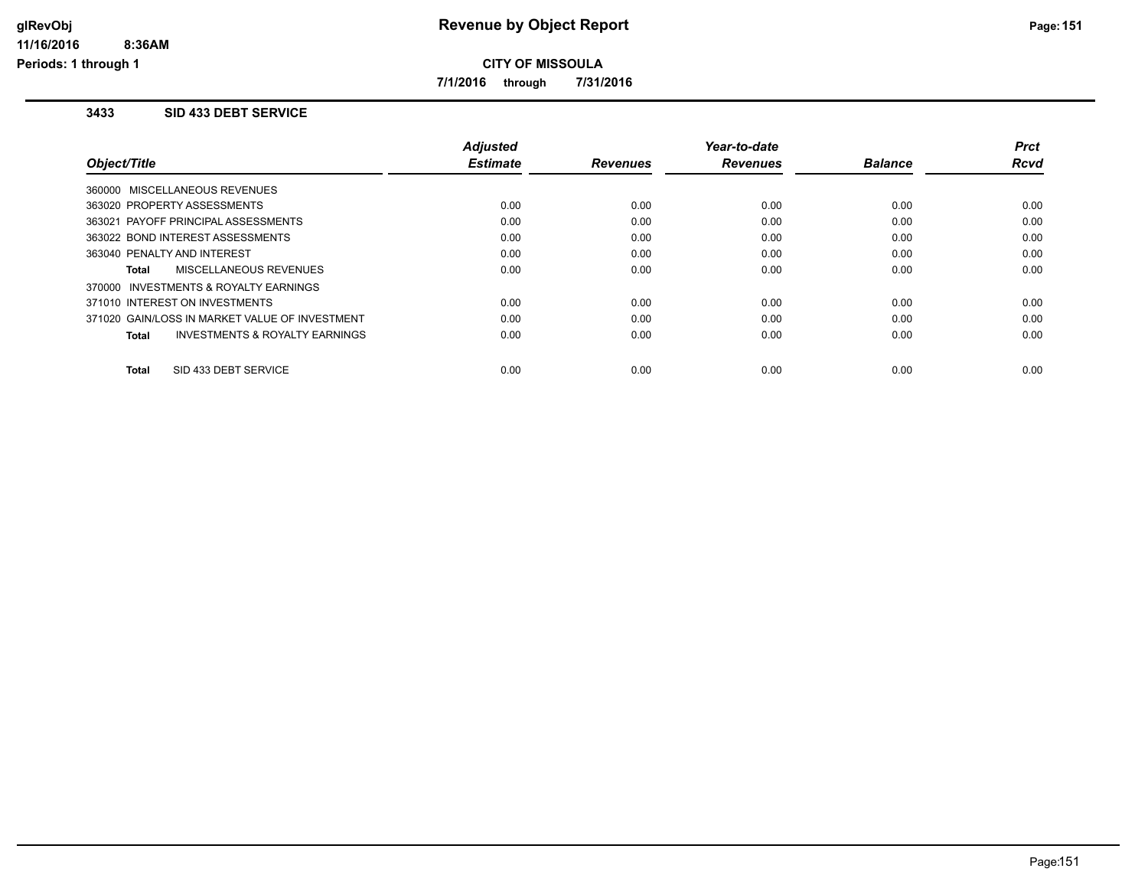**CITY OF MISSOULA**

**7/1/2016 through 7/31/2016**

#### **3433 SID 433 DEBT SERVICE**

|                                                    | <b>Adjusted</b> |                 | Year-to-date    |                | <b>Prct</b> |
|----------------------------------------------------|-----------------|-----------------|-----------------|----------------|-------------|
| Object/Title                                       | <b>Estimate</b> | <b>Revenues</b> | <b>Revenues</b> | <b>Balance</b> | <b>Rcvd</b> |
| 360000 MISCELLANEOUS REVENUES                      |                 |                 |                 |                |             |
| 363020 PROPERTY ASSESSMENTS                        | 0.00            | 0.00            | 0.00            | 0.00           | 0.00        |
| 363021 PAYOFF PRINCIPAL ASSESSMENTS                | 0.00            | 0.00            | 0.00            | 0.00           | 0.00        |
| 363022 BOND INTEREST ASSESSMENTS                   | 0.00            | 0.00            | 0.00            | 0.00           | 0.00        |
| 363040 PENALTY AND INTEREST                        | 0.00            | 0.00            | 0.00            | 0.00           | 0.00        |
| MISCELLANEOUS REVENUES<br>Total                    | 0.00            | 0.00            | 0.00            | 0.00           | 0.00        |
| 370000 INVESTMENTS & ROYALTY EARNINGS              |                 |                 |                 |                |             |
| 371010 INTEREST ON INVESTMENTS                     | 0.00            | 0.00            | 0.00            | 0.00           | 0.00        |
| 371020 GAIN/LOSS IN MARKET VALUE OF INVESTMENT     | 0.00            | 0.00            | 0.00            | 0.00           | 0.00        |
| <b>INVESTMENTS &amp; ROYALTY EARNINGS</b><br>Total | 0.00            | 0.00            | 0.00            | 0.00           | 0.00        |
|                                                    |                 |                 |                 |                |             |
| SID 433 DEBT SERVICE<br>Total                      | 0.00            | 0.00            | 0.00            | 0.00           | 0.00        |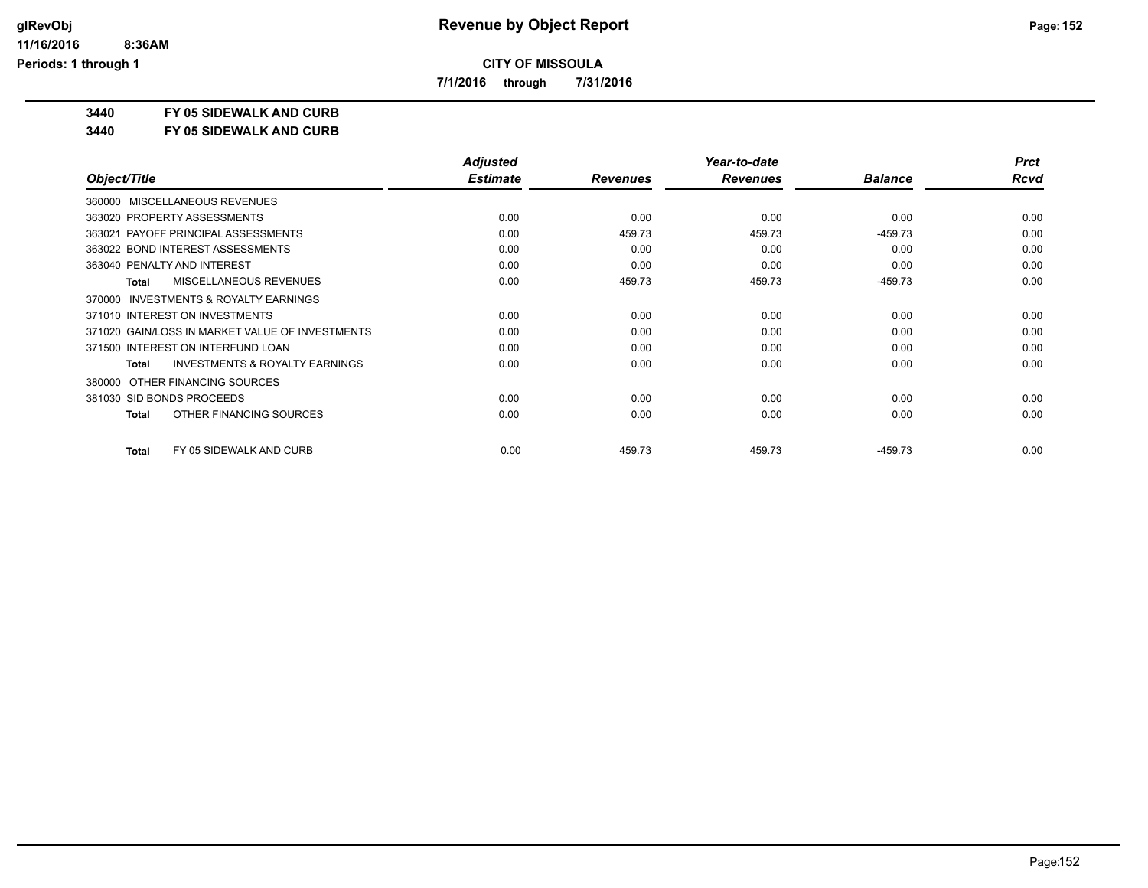**CITY OF MISSOULA**

**7/1/2016 through 7/31/2016**

**3440 FY 05 SIDEWALK AND CURB**

 **8:36AM**

**3440 FY 05 SIDEWALK AND CURB**

|                                                           | <b>Adjusted</b> |                 | Year-to-date    |                | <b>Prct</b> |
|-----------------------------------------------------------|-----------------|-----------------|-----------------|----------------|-------------|
| Object/Title                                              | <b>Estimate</b> | <b>Revenues</b> | <b>Revenues</b> | <b>Balance</b> | Rcvd        |
| 360000 MISCELLANEOUS REVENUES                             |                 |                 |                 |                |             |
| 363020 PROPERTY ASSESSMENTS                               | 0.00            | 0.00            | 0.00            | 0.00           | 0.00        |
| 363021 PAYOFF PRINCIPAL ASSESSMENTS                       | 0.00            | 459.73          | 459.73          | $-459.73$      | 0.00        |
| 363022 BOND INTEREST ASSESSMENTS                          | 0.00            | 0.00            | 0.00            | 0.00           | 0.00        |
| 363040 PENALTY AND INTEREST                               | 0.00            | 0.00            | 0.00            | 0.00           | 0.00        |
| <b>MISCELLANEOUS REVENUES</b><br><b>Total</b>             | 0.00            | 459.73          | 459.73          | $-459.73$      | 0.00        |
| 370000 INVESTMENTS & ROYALTY EARNINGS                     |                 |                 |                 |                |             |
| 371010 INTEREST ON INVESTMENTS                            | 0.00            | 0.00            | 0.00            | 0.00           | 0.00        |
| 371020 GAIN/LOSS IN MARKET VALUE OF INVESTMENTS           | 0.00            | 0.00            | 0.00            | 0.00           | 0.00        |
| 371500 INTEREST ON INTERFUND LOAN                         | 0.00            | 0.00            | 0.00            | 0.00           | 0.00        |
| <b>INVESTMENTS &amp; ROYALTY EARNINGS</b><br><b>Total</b> | 0.00            | 0.00            | 0.00            | 0.00           | 0.00        |
| OTHER FINANCING SOURCES<br>380000                         |                 |                 |                 |                |             |
| 381030 SID BONDS PROCEEDS                                 | 0.00            | 0.00            | 0.00            | 0.00           | 0.00        |
| OTHER FINANCING SOURCES<br><b>Total</b>                   | 0.00            | 0.00            | 0.00            | 0.00           | 0.00        |
| FY 05 SIDEWALK AND CURB<br><b>Total</b>                   | 0.00            | 459.73          | 459.73          | $-459.73$      | 0.00        |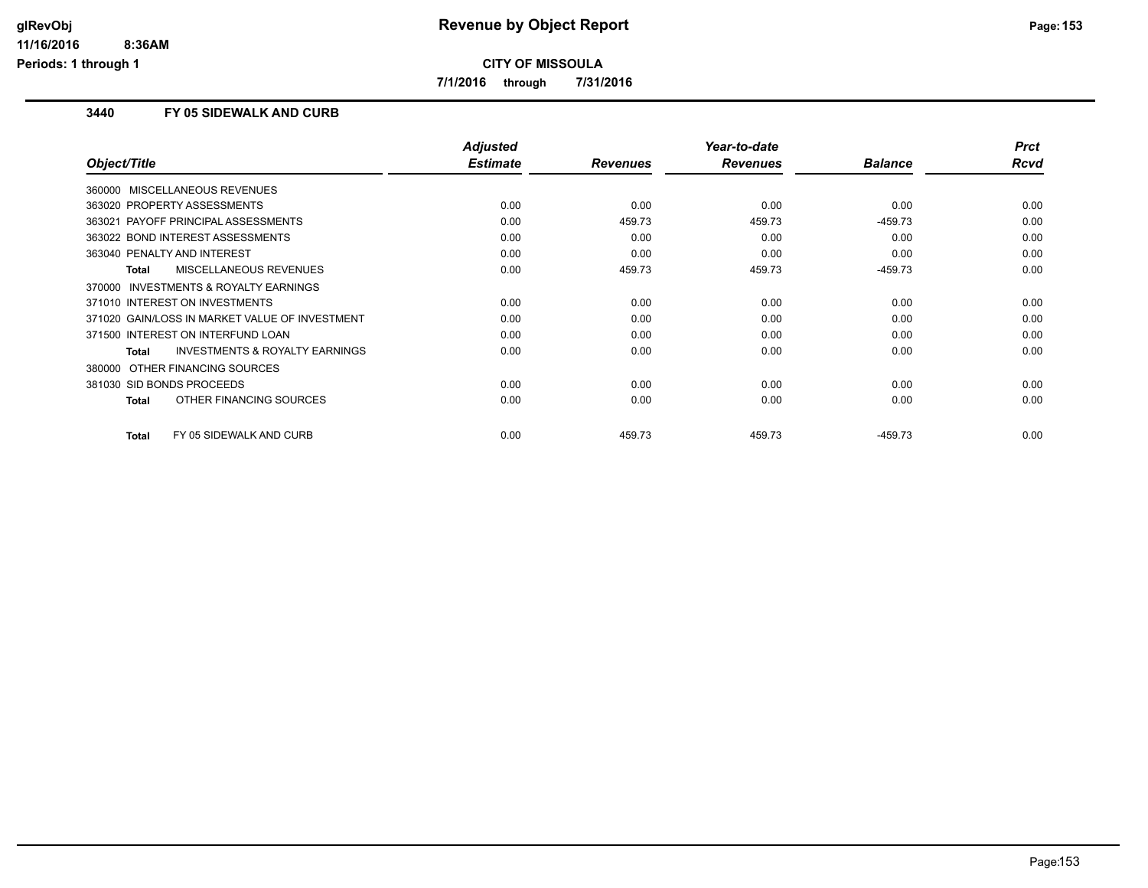**CITY OF MISSOULA**

**7/1/2016 through 7/31/2016**

# **3440 FY 05 SIDEWALK AND CURB**

 **8:36AM**

|                                                     | Adjusted        |                 | Year-to-date    |                | <b>Prct</b> |
|-----------------------------------------------------|-----------------|-----------------|-----------------|----------------|-------------|
| Object/Title                                        | <b>Estimate</b> | <b>Revenues</b> | <b>Revenues</b> | <b>Balance</b> | Rcvd        |
| 360000 MISCELLANEOUS REVENUES                       |                 |                 |                 |                |             |
| 363020 PROPERTY ASSESSMENTS                         | 0.00            | 0.00            | 0.00            | 0.00           | 0.00        |
| 363021 PAYOFF PRINCIPAL ASSESSMENTS                 | 0.00            | 459.73          | 459.73          | $-459.73$      | 0.00        |
| 363022 BOND INTEREST ASSESSMENTS                    | 0.00            | 0.00            | 0.00            | 0.00           | 0.00        |
| 363040 PENALTY AND INTEREST                         | 0.00            | 0.00            | 0.00            | 0.00           | 0.00        |
| MISCELLANEOUS REVENUES<br>Total                     | 0.00            | 459.73          | 459.73          | $-459.73$      | 0.00        |
| <b>INVESTMENTS &amp; ROYALTY EARNINGS</b><br>370000 |                 |                 |                 |                |             |
| 371010 INTEREST ON INVESTMENTS                      | 0.00            | 0.00            | 0.00            | 0.00           | 0.00        |
| 371020 GAIN/LOSS IN MARKET VALUE OF INVESTMENT      | 0.00            | 0.00            | 0.00            | 0.00           | 0.00        |
| 371500 INTEREST ON INTERFUND LOAN                   | 0.00            | 0.00            | 0.00            | 0.00           | 0.00        |
| <b>INVESTMENTS &amp; ROYALTY EARNINGS</b><br>Total  | 0.00            | 0.00            | 0.00            | 0.00           | 0.00        |
| 380000 OTHER FINANCING SOURCES                      |                 |                 |                 |                |             |
| 381030 SID BONDS PROCEEDS                           | 0.00            | 0.00            | 0.00            | 0.00           | 0.00        |
| OTHER FINANCING SOURCES<br>Total                    | 0.00            | 0.00            | 0.00            | 0.00           | 0.00        |
|                                                     |                 |                 |                 |                |             |
| FY 05 SIDEWALK AND CURB<br>Total                    | 0.00            | 459.73          | 459.73          | $-459.73$      | 0.00        |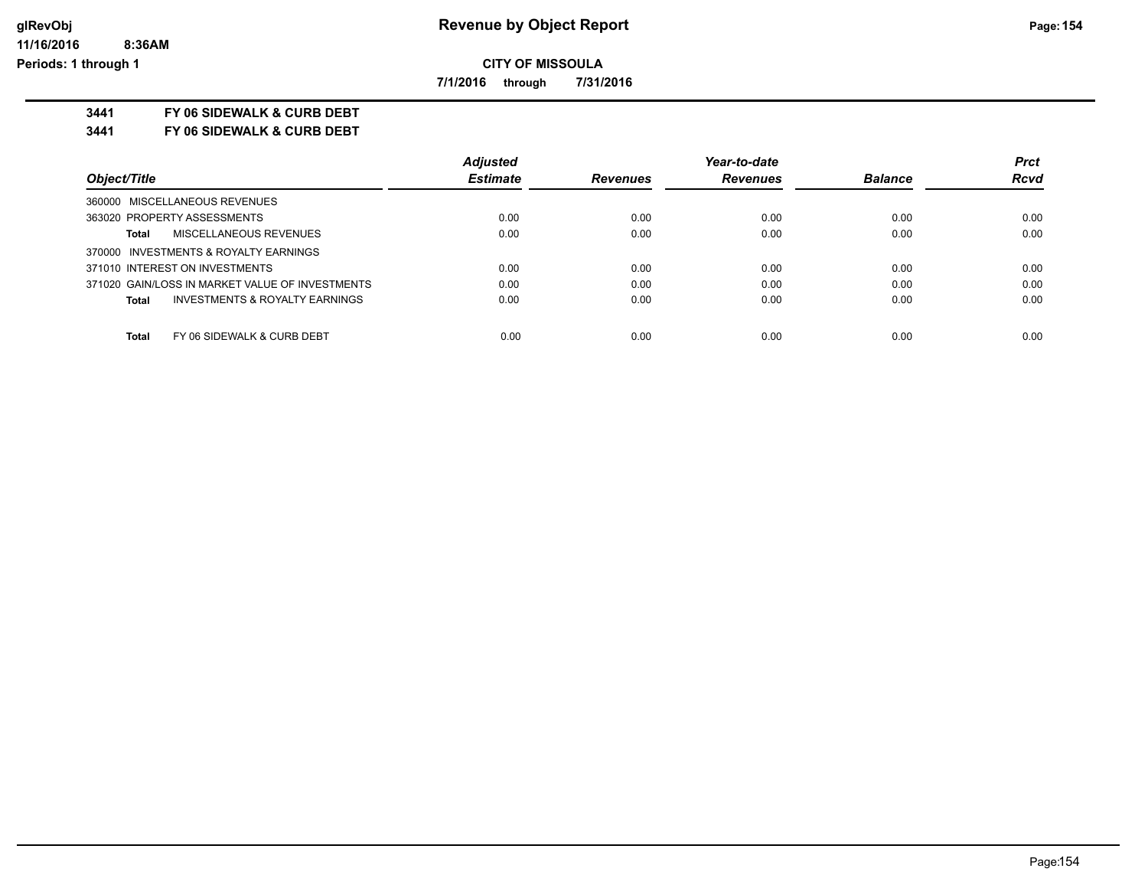**glRevObj Revenue by Object Report Page:154** 

**11/16/2016 8:36AM Periods: 1 through 1**

# **CITY OF MISSOULA**

**7/1/2016 through 7/31/2016**

### **3441 FY 06 SIDEWALK & CURB DEBT**

#### **3441 FY 06 SIDEWALK & CURB DEBT**

|                                                 | <b>Adjusted</b> |                 | Year-to-date    |                | <b>Prct</b> |
|-------------------------------------------------|-----------------|-----------------|-----------------|----------------|-------------|
| Object/Title                                    | <b>Estimate</b> | <b>Revenues</b> | <b>Revenues</b> | <b>Balance</b> | <b>Rcvd</b> |
| 360000 MISCELLANEOUS REVENUES                   |                 |                 |                 |                |             |
| 363020 PROPERTY ASSESSMENTS                     | 0.00            | 0.00            | 0.00            | 0.00           | 0.00        |
| MISCELLANEOUS REVENUES<br>Total                 | 0.00            | 0.00            | 0.00            | 0.00           | 0.00        |
| 370000 INVESTMENTS & ROYALTY EARNINGS           |                 |                 |                 |                |             |
| 371010 INTEREST ON INVESTMENTS                  | 0.00            | 0.00            | 0.00            | 0.00           | 0.00        |
| 371020 GAIN/LOSS IN MARKET VALUE OF INVESTMENTS | 0.00            | 0.00            | 0.00            | 0.00           | 0.00        |
| INVESTMENTS & ROYALTY EARNINGS<br>Total         | 0.00            | 0.00            | 0.00            | 0.00           | 0.00        |
|                                                 |                 |                 |                 |                |             |
| FY 06 SIDEWALK & CURB DEBT<br><b>Total</b>      | 0.00            | 0.00            | 0.00            | 0.00           | 0.00        |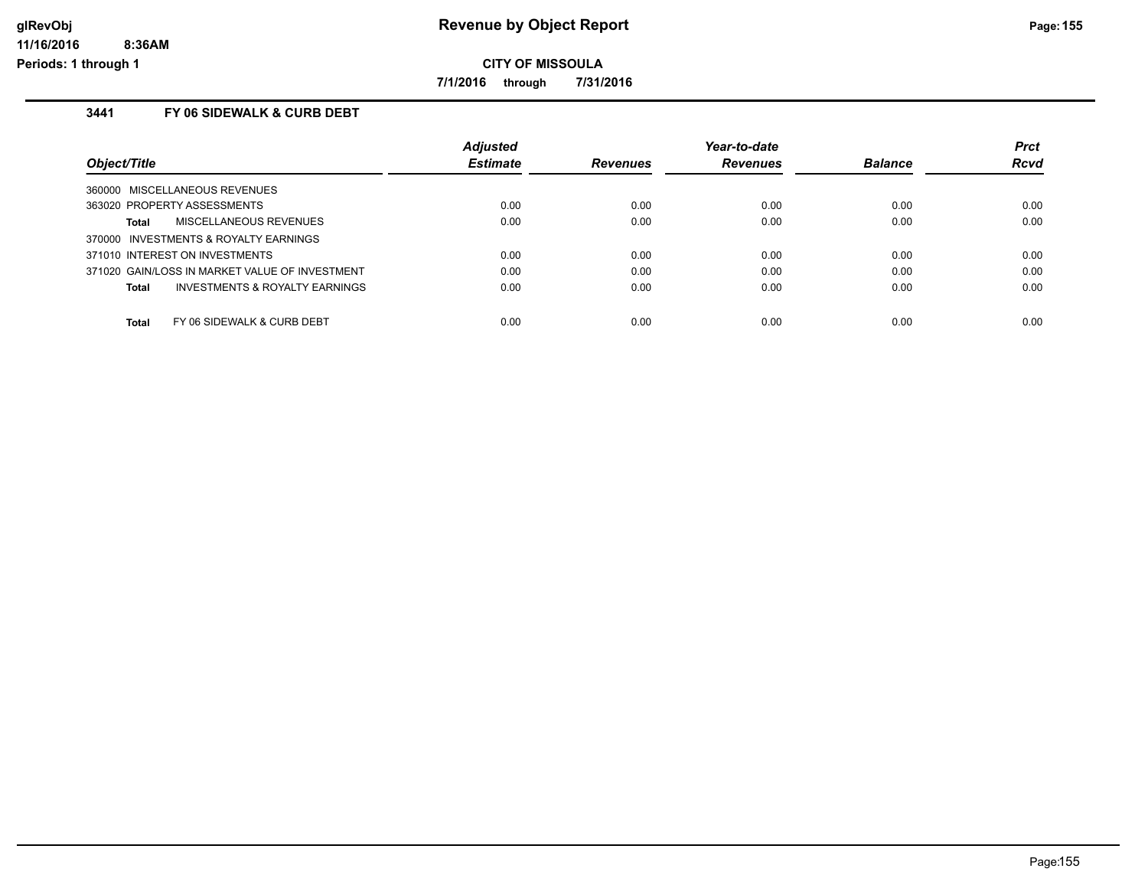**CITY OF MISSOULA**

**7/1/2016 through 7/31/2016**

# **3441 FY 06 SIDEWALK & CURB DEBT**

 **8:36AM**

|                                                           | <b>Adjusted</b> |                 | Year-to-date    |                | <b>Prct</b> |
|-----------------------------------------------------------|-----------------|-----------------|-----------------|----------------|-------------|
| Object/Title                                              | <b>Estimate</b> | <b>Revenues</b> | <b>Revenues</b> | <b>Balance</b> | <b>Rcvd</b> |
| 360000 MISCELLANEOUS REVENUES                             |                 |                 |                 |                |             |
| 363020 PROPERTY ASSESSMENTS                               | 0.00            | 0.00            | 0.00            | 0.00           | 0.00        |
| MISCELLANEOUS REVENUES<br>Total                           | 0.00            | 0.00            | 0.00            | 0.00           | 0.00        |
| 370000 INVESTMENTS & ROYALTY EARNINGS                     |                 |                 |                 |                |             |
| 371010 INTEREST ON INVESTMENTS                            | 0.00            | 0.00            | 0.00            | 0.00           | 0.00        |
| 371020 GAIN/LOSS IN MARKET VALUE OF INVESTMENT            | 0.00            | 0.00            | 0.00            | 0.00           | 0.00        |
| <b>INVESTMENTS &amp; ROYALTY EARNINGS</b><br><b>Total</b> | 0.00            | 0.00            | 0.00            | 0.00           | 0.00        |
| <b>Total</b><br>FY 06 SIDEWALK & CURB DEBT                | 0.00            | 0.00            | 0.00            | 0.00           | 0.00        |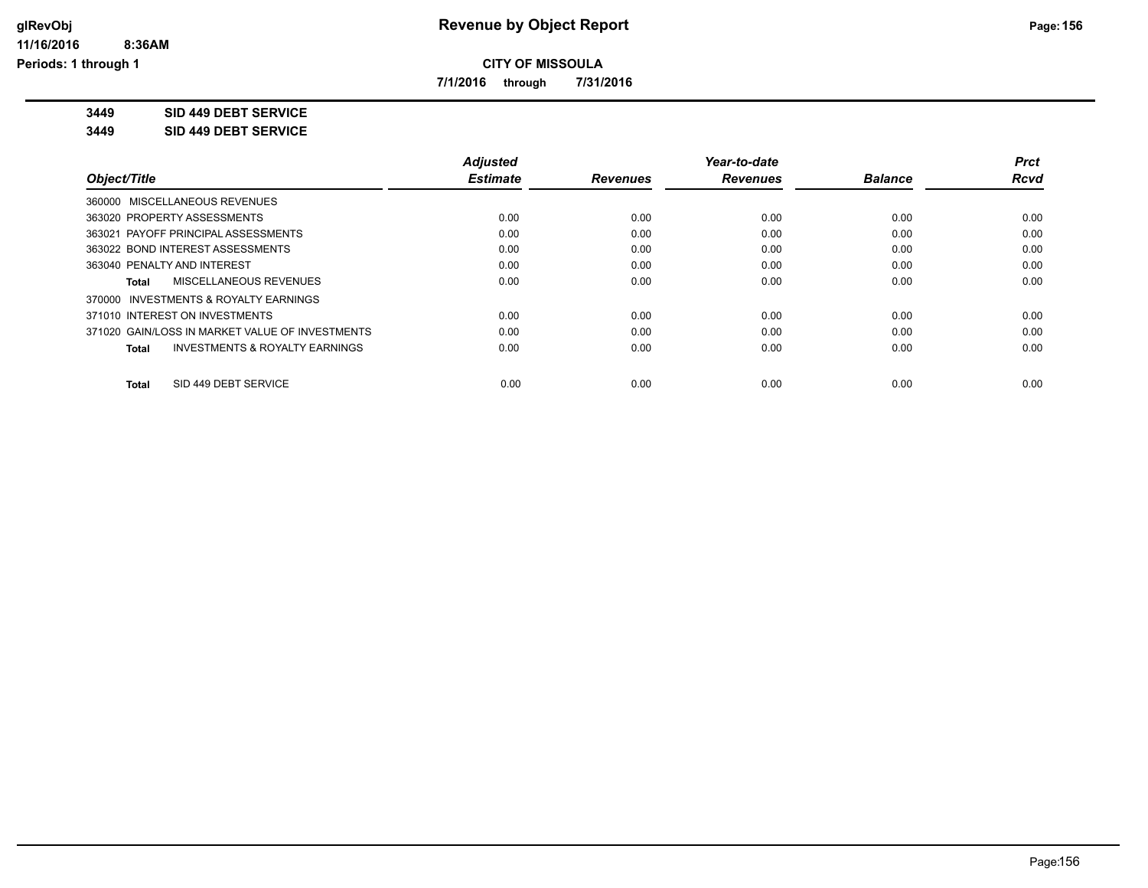**CITY OF MISSOULA**

**7/1/2016 through 7/31/2016**

**3449 SID 449 DEBT SERVICE**

**3449 SID 449 DEBT SERVICE**

|                                                           | <b>Adjusted</b> |                 | Year-to-date    |                | <b>Prct</b> |
|-----------------------------------------------------------|-----------------|-----------------|-----------------|----------------|-------------|
| Object/Title                                              | <b>Estimate</b> | <b>Revenues</b> | <b>Revenues</b> | <b>Balance</b> | Rcvd        |
| 360000 MISCELLANEOUS REVENUES                             |                 |                 |                 |                |             |
| 363020 PROPERTY ASSESSMENTS                               | 0.00            | 0.00            | 0.00            | 0.00           | 0.00        |
| 363021 PAYOFF PRINCIPAL ASSESSMENTS                       | 0.00            | 0.00            | 0.00            | 0.00           | 0.00        |
| 363022 BOND INTEREST ASSESSMENTS                          | 0.00            | 0.00            | 0.00            | 0.00           | 0.00        |
| 363040 PENALTY AND INTEREST                               | 0.00            | 0.00            | 0.00            | 0.00           | 0.00        |
| MISCELLANEOUS REVENUES<br>Total                           | 0.00            | 0.00            | 0.00            | 0.00           | 0.00        |
| 370000 INVESTMENTS & ROYALTY EARNINGS                     |                 |                 |                 |                |             |
| 371010 INTEREST ON INVESTMENTS                            | 0.00            | 0.00            | 0.00            | 0.00           | 0.00        |
| 371020 GAIN/LOSS IN MARKET VALUE OF INVESTMENTS           | 0.00            | 0.00            | 0.00            | 0.00           | 0.00        |
| <b>INVESTMENTS &amp; ROYALTY EARNINGS</b><br><b>Total</b> | 0.00            | 0.00            | 0.00            | 0.00           | 0.00        |
| SID 449 DEBT SERVICE<br><b>Total</b>                      | 0.00            | 0.00            | 0.00            | 0.00           | 0.00        |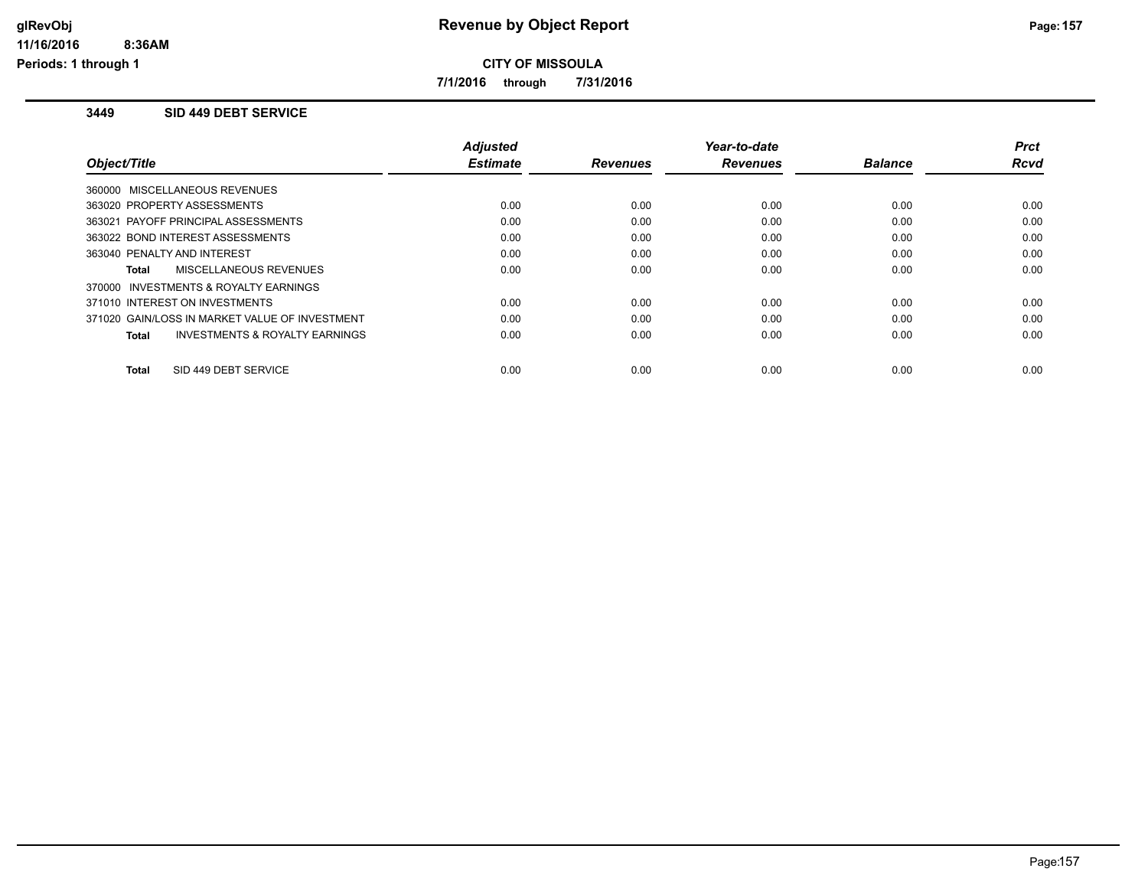**CITY OF MISSOULA**

**7/1/2016 through 7/31/2016**

#### **3449 SID 449 DEBT SERVICE**

|                                                     | <b>Adjusted</b> |                 | Year-to-date    |                | <b>Prct</b> |
|-----------------------------------------------------|-----------------|-----------------|-----------------|----------------|-------------|
| Object/Title                                        | <b>Estimate</b> | <b>Revenues</b> | <b>Revenues</b> | <b>Balance</b> | <b>Rcvd</b> |
| 360000 MISCELLANEOUS REVENUES                       |                 |                 |                 |                |             |
| 363020 PROPERTY ASSESSMENTS                         | 0.00            | 0.00            | 0.00            | 0.00           | 0.00        |
| 363021 PAYOFF PRINCIPAL ASSESSMENTS                 | 0.00            | 0.00            | 0.00            | 0.00           | 0.00        |
| 363022 BOND INTEREST ASSESSMENTS                    | 0.00            | 0.00            | 0.00            | 0.00           | 0.00        |
| 363040 PENALTY AND INTEREST                         | 0.00            | 0.00            | 0.00            | 0.00           | 0.00        |
| MISCELLANEOUS REVENUES<br>Total                     | 0.00            | 0.00            | 0.00            | 0.00           | 0.00        |
| <b>INVESTMENTS &amp; ROYALTY EARNINGS</b><br>370000 |                 |                 |                 |                |             |
| 371010 INTEREST ON INVESTMENTS                      | 0.00            | 0.00            | 0.00            | 0.00           | 0.00        |
| 371020 GAIN/LOSS IN MARKET VALUE OF INVESTMENT      | 0.00            | 0.00            | 0.00            | 0.00           | 0.00        |
| <b>INVESTMENTS &amp; ROYALTY EARNINGS</b><br>Total  | 0.00            | 0.00            | 0.00            | 0.00           | 0.00        |
|                                                     |                 |                 |                 |                |             |
| SID 449 DEBT SERVICE<br>Total                       | 0.00            | 0.00            | 0.00            | 0.00           | 0.00        |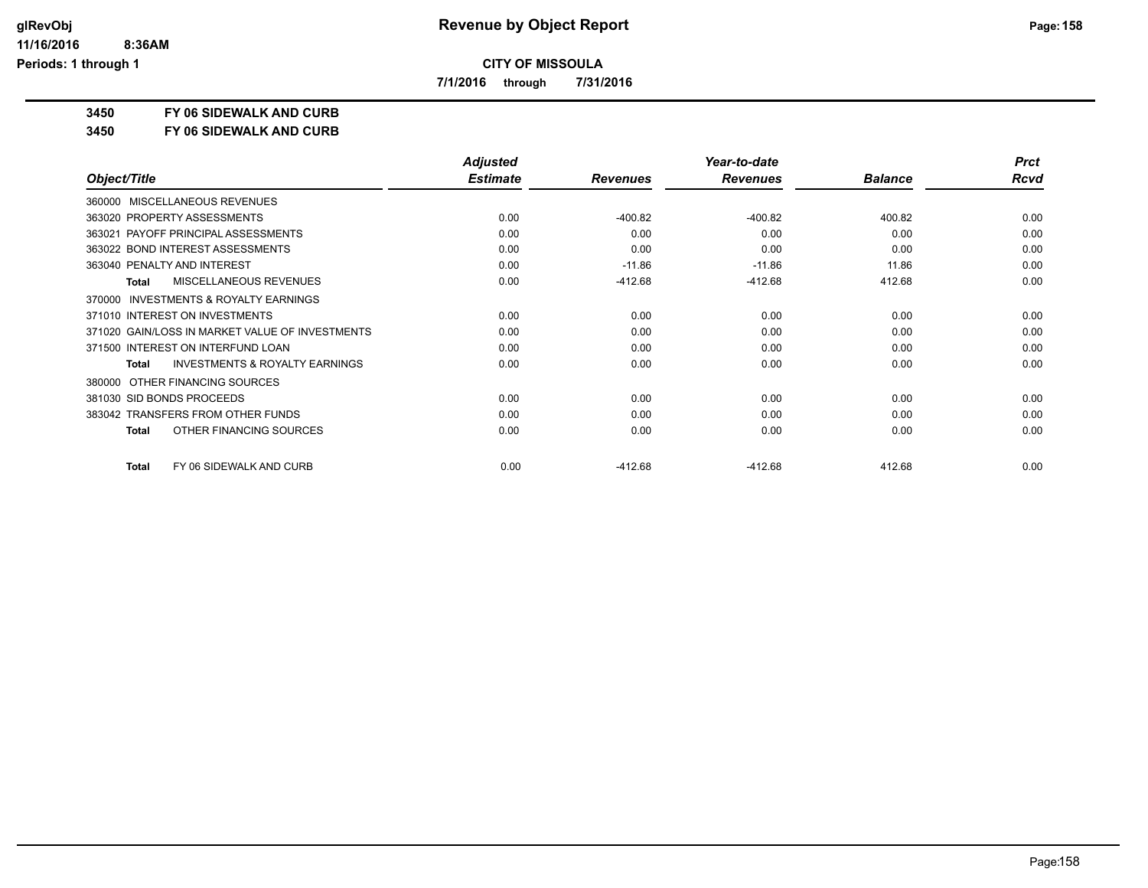**CITY OF MISSOULA**

**7/1/2016 through 7/31/2016**

**3450 FY 06 SIDEWALK AND CURB**

 **8:36AM**

**3450 FY 06 SIDEWALK AND CURB**

|                                                           | <b>Adjusted</b> |                 | Year-to-date    |                | <b>Prct</b> |
|-----------------------------------------------------------|-----------------|-----------------|-----------------|----------------|-------------|
| Object/Title                                              | <b>Estimate</b> | <b>Revenues</b> | <b>Revenues</b> | <b>Balance</b> | <b>Rcvd</b> |
| 360000 MISCELLANEOUS REVENUES                             |                 |                 |                 |                |             |
| 363020 PROPERTY ASSESSMENTS                               | 0.00            | $-400.82$       | $-400.82$       | 400.82         | 0.00        |
| PAYOFF PRINCIPAL ASSESSMENTS<br>363021                    | 0.00            | 0.00            | 0.00            | 0.00           | 0.00        |
| 363022 BOND INTEREST ASSESSMENTS                          | 0.00            | 0.00            | 0.00            | 0.00           | 0.00        |
| 363040 PENALTY AND INTEREST                               | 0.00            | $-11.86$        | $-11.86$        | 11.86          | 0.00        |
| MISCELLANEOUS REVENUES<br><b>Total</b>                    | 0.00            | $-412.68$       | $-412.68$       | 412.68         | 0.00        |
| INVESTMENTS & ROYALTY EARNINGS<br>370000                  |                 |                 |                 |                |             |
| 371010 INTEREST ON INVESTMENTS                            | 0.00            | 0.00            | 0.00            | 0.00           | 0.00        |
| 371020 GAIN/LOSS IN MARKET VALUE OF INVESTMENTS           | 0.00            | 0.00            | 0.00            | 0.00           | 0.00        |
| 371500 INTEREST ON INTERFUND LOAN                         | 0.00            | 0.00            | 0.00            | 0.00           | 0.00        |
| <b>INVESTMENTS &amp; ROYALTY EARNINGS</b><br><b>Total</b> | 0.00            | 0.00            | 0.00            | 0.00           | 0.00        |
| OTHER FINANCING SOURCES<br>380000                         |                 |                 |                 |                |             |
| 381030 SID BONDS PROCEEDS                                 | 0.00            | 0.00            | 0.00            | 0.00           | 0.00        |
| 383042 TRANSFERS FROM OTHER FUNDS                         | 0.00            | 0.00            | 0.00            | 0.00           | 0.00        |
| OTHER FINANCING SOURCES<br><b>Total</b>                   | 0.00            | 0.00            | 0.00            | 0.00           | 0.00        |
| FY 06 SIDEWALK AND CURB<br>Total                          | 0.00            | $-412.68$       | $-412.68$       | 412.68         | 0.00        |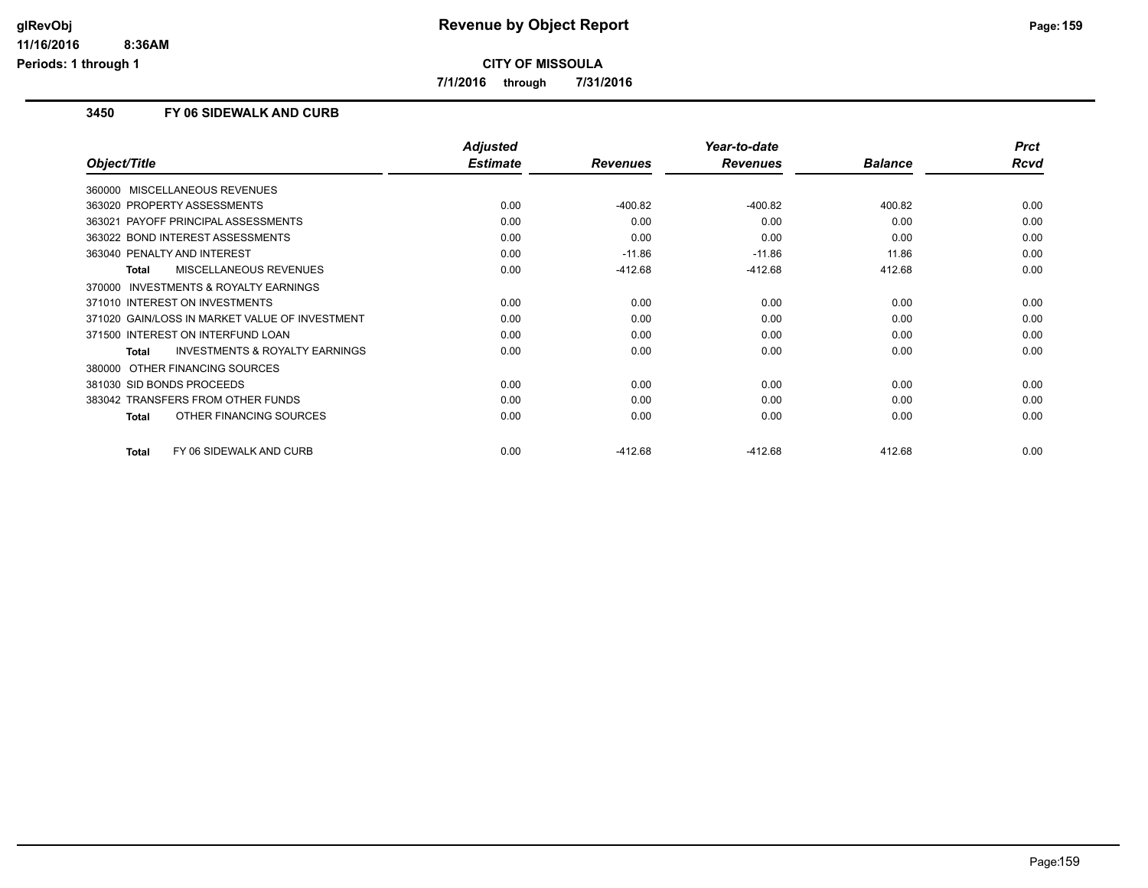**CITY OF MISSOULA**

**7/1/2016 through 7/31/2016**

# **3450 FY 06 SIDEWALK AND CURB**

 **8:36AM**

|                                                    | <b>Adjusted</b> |                 | Year-to-date    |                | <b>Prct</b> |
|----------------------------------------------------|-----------------|-----------------|-----------------|----------------|-------------|
| Object/Title                                       | <b>Estimate</b> | <b>Revenues</b> | <b>Revenues</b> | <b>Balance</b> | Rcvd        |
| 360000 MISCELLANEOUS REVENUES                      |                 |                 |                 |                |             |
| 363020 PROPERTY ASSESSMENTS                        | 0.00            | $-400.82$       | $-400.82$       | 400.82         | 0.00        |
| 363021 PAYOFF PRINCIPAL ASSESSMENTS                | 0.00            | 0.00            | 0.00            | 0.00           | 0.00        |
| 363022 BOND INTEREST ASSESSMENTS                   | 0.00            | 0.00            | 0.00            | 0.00           | 0.00        |
| 363040 PENALTY AND INTEREST                        | 0.00            | $-11.86$        | $-11.86$        | 11.86          | 0.00        |
| <b>MISCELLANEOUS REVENUES</b><br><b>Total</b>      | 0.00            | $-412.68$       | $-412.68$       | 412.68         | 0.00        |
| 370000 INVESTMENTS & ROYALTY EARNINGS              |                 |                 |                 |                |             |
| 371010 INTEREST ON INVESTMENTS                     | 0.00            | 0.00            | 0.00            | 0.00           | 0.00        |
| 371020 GAIN/LOSS IN MARKET VALUE OF INVESTMENT     | 0.00            | 0.00            | 0.00            | 0.00           | 0.00        |
| 371500 INTEREST ON INTERFUND LOAN                  | 0.00            | 0.00            | 0.00            | 0.00           | 0.00        |
| <b>INVESTMENTS &amp; ROYALTY EARNINGS</b><br>Total | 0.00            | 0.00            | 0.00            | 0.00           | 0.00        |
| 380000 OTHER FINANCING SOURCES                     |                 |                 |                 |                |             |
| 381030 SID BONDS PROCEEDS                          | 0.00            | 0.00            | 0.00            | 0.00           | 0.00        |
| 383042 TRANSFERS FROM OTHER FUNDS                  | 0.00            | 0.00            | 0.00            | 0.00           | 0.00        |
| OTHER FINANCING SOURCES<br><b>Total</b>            | 0.00            | 0.00            | 0.00            | 0.00           | 0.00        |
| FY 06 SIDEWALK AND CURB<br><b>Total</b>            | 0.00            | $-412.68$       | $-412.68$       | 412.68         | 0.00        |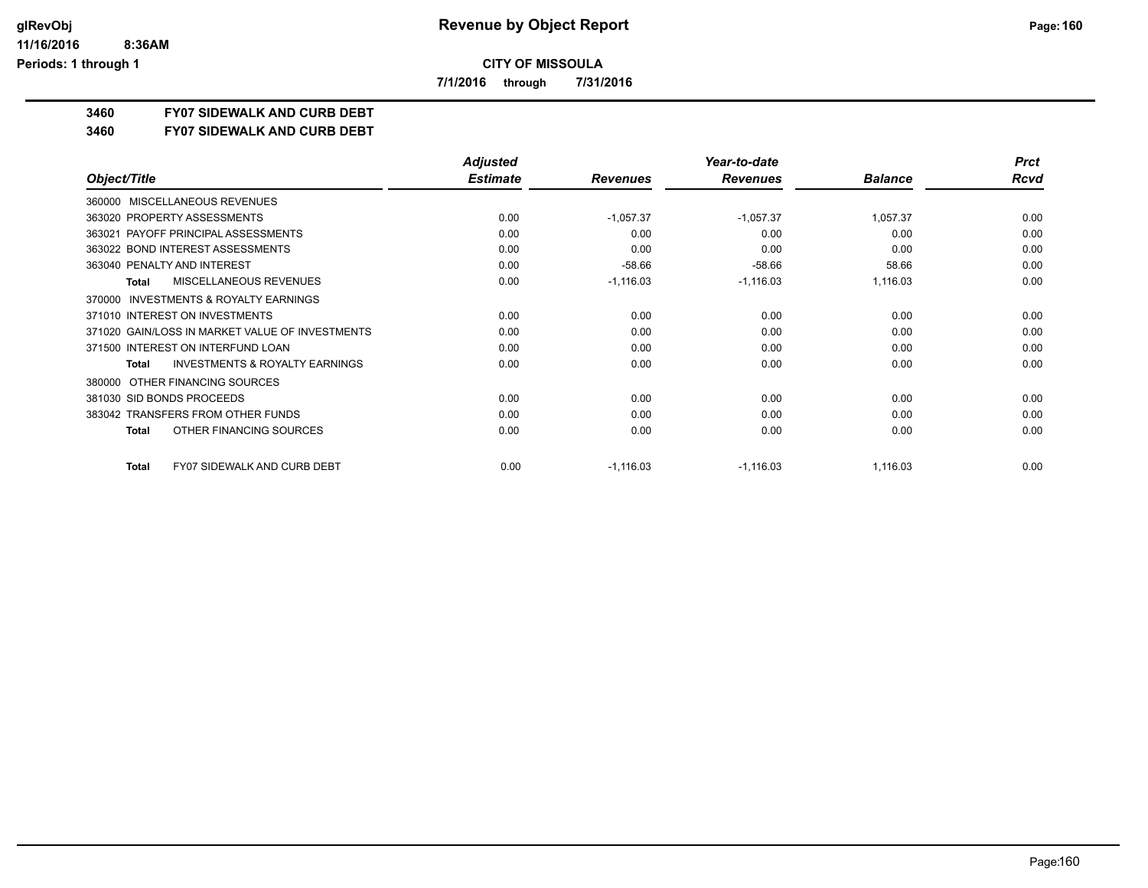**glRevObj Revenue by Object Report Page:160** 

**CITY OF MISSOULA**

**7/1/2016 through 7/31/2016**

**3460 FY07 SIDEWALK AND CURB DEBT**

 **8:36AM**

#### **3460 FY07 SIDEWALK AND CURB DEBT**

|                                                           | <b>Adjusted</b> |                 | Year-to-date    |                | <b>Prct</b> |
|-----------------------------------------------------------|-----------------|-----------------|-----------------|----------------|-------------|
| Object/Title                                              | <b>Estimate</b> | <b>Revenues</b> | <b>Revenues</b> | <b>Balance</b> | Rcvd        |
| 360000 MISCELLANEOUS REVENUES                             |                 |                 |                 |                |             |
| 363020 PROPERTY ASSESSMENTS                               | 0.00            | $-1,057.37$     | $-1,057.37$     | 1,057.37       | 0.00        |
| 363021 PAYOFF PRINCIPAL ASSESSMENTS                       | 0.00            | 0.00            | 0.00            | 0.00           | 0.00        |
| 363022 BOND INTEREST ASSESSMENTS                          | 0.00            | 0.00            | 0.00            | 0.00           | 0.00        |
| 363040 PENALTY AND INTEREST                               | 0.00            | $-58.66$        | $-58.66$        | 58.66          | 0.00        |
| <b>MISCELLANEOUS REVENUES</b><br><b>Total</b>             | 0.00            | $-1,116.03$     | $-1,116.03$     | 1,116.03       | 0.00        |
| <b>INVESTMENTS &amp; ROYALTY EARNINGS</b><br>370000       |                 |                 |                 |                |             |
| 371010 INTEREST ON INVESTMENTS                            | 0.00            | 0.00            | 0.00            | 0.00           | 0.00        |
| 371020 GAIN/LOSS IN MARKET VALUE OF INVESTMENTS           | 0.00            | 0.00            | 0.00            | 0.00           | 0.00        |
| 371500 INTEREST ON INTERFUND LOAN                         | 0.00            | 0.00            | 0.00            | 0.00           | 0.00        |
| <b>INVESTMENTS &amp; ROYALTY EARNINGS</b><br><b>Total</b> | 0.00            | 0.00            | 0.00            | 0.00           | 0.00        |
| OTHER FINANCING SOURCES<br>380000                         |                 |                 |                 |                |             |
| 381030 SID BONDS PROCEEDS                                 | 0.00            | 0.00            | 0.00            | 0.00           | 0.00        |
| 383042 TRANSFERS FROM OTHER FUNDS                         | 0.00            | 0.00            | 0.00            | 0.00           | 0.00        |
| OTHER FINANCING SOURCES<br>Total                          | 0.00            | 0.00            | 0.00            | 0.00           | 0.00        |
| <b>FY07 SIDEWALK AND CURB DEBT</b><br><b>Total</b>        | 0.00            | $-1,116.03$     | $-1,116.03$     | 1,116.03       | 0.00        |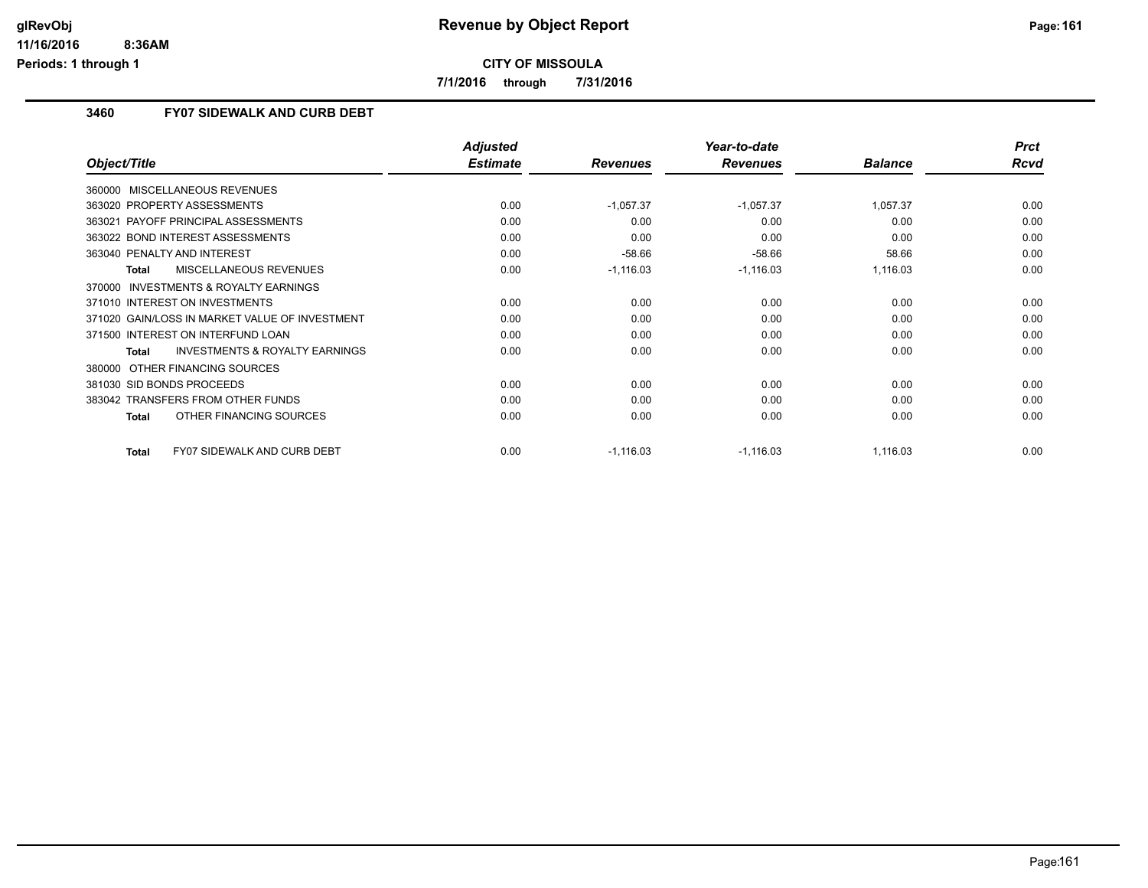**CITY OF MISSOULA**

**7/1/2016 through 7/31/2016**

### **3460 FY07 SIDEWALK AND CURB DEBT**

 **8:36AM**

|                                                           | <b>Adjusted</b> |                 | Year-to-date    |                | <b>Prct</b> |
|-----------------------------------------------------------|-----------------|-----------------|-----------------|----------------|-------------|
| Object/Title                                              | <b>Estimate</b> | <b>Revenues</b> | <b>Revenues</b> | <b>Balance</b> | Rcvd        |
| 360000 MISCELLANEOUS REVENUES                             |                 |                 |                 |                |             |
| 363020 PROPERTY ASSESSMENTS                               | 0.00            | $-1,057.37$     | $-1,057.37$     | 1,057.37       | 0.00        |
| 363021 PAYOFF PRINCIPAL ASSESSMENTS                       | 0.00            | 0.00            | 0.00            | 0.00           | 0.00        |
| 363022 BOND INTEREST ASSESSMENTS                          | 0.00            | 0.00            | 0.00            | 0.00           | 0.00        |
| 363040 PENALTY AND INTEREST                               | 0.00            | -58.66          | $-58.66$        | 58.66          | 0.00        |
| <b>MISCELLANEOUS REVENUES</b><br><b>Total</b>             | 0.00            | $-1,116.03$     | $-1,116.03$     | 1,116.03       | 0.00        |
| <b>INVESTMENTS &amp; ROYALTY EARNINGS</b><br>370000       |                 |                 |                 |                |             |
| 371010 INTEREST ON INVESTMENTS                            | 0.00            | 0.00            | 0.00            | 0.00           | 0.00        |
| 371020 GAIN/LOSS IN MARKET VALUE OF INVESTMENT            | 0.00            | 0.00            | 0.00            | 0.00           | 0.00        |
| 371500 INTEREST ON INTERFUND LOAN                         | 0.00            | 0.00            | 0.00            | 0.00           | 0.00        |
| <b>INVESTMENTS &amp; ROYALTY EARNINGS</b><br><b>Total</b> | 0.00            | 0.00            | 0.00            | 0.00           | 0.00        |
| 380000 OTHER FINANCING SOURCES                            |                 |                 |                 |                |             |
| 381030 SID BONDS PROCEEDS                                 | 0.00            | 0.00            | 0.00            | 0.00           | 0.00        |
| 383042 TRANSFERS FROM OTHER FUNDS                         | 0.00            | 0.00            | 0.00            | 0.00           | 0.00        |
| OTHER FINANCING SOURCES<br><b>Total</b>                   | 0.00            | 0.00            | 0.00            | 0.00           | 0.00        |
| <b>FY07 SIDEWALK AND CURB DEBT</b><br><b>Total</b>        | 0.00            | $-1,116.03$     | $-1,116.03$     | 1,116.03       | 0.00        |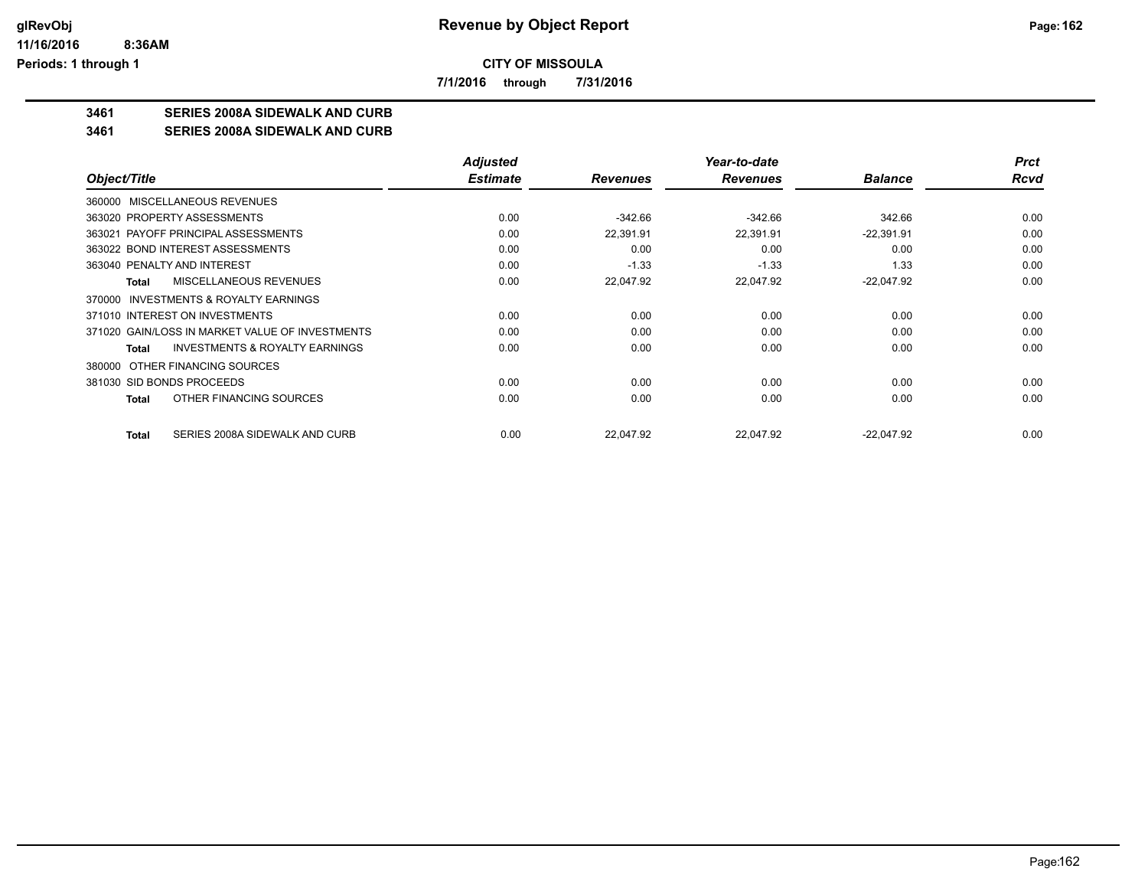**glRevObj Revenue by Object Report Page:162** 

**CITY OF MISSOULA**

**7/1/2016 through 7/31/2016**

# **3461 SERIES 2008A SIDEWALK AND CURB**

 **8:36AM**

#### **3461 SERIES 2008A SIDEWALK AND CURB**

|                                                           | <b>Adjusted</b> |                 | Year-to-date    |                | <b>Prct</b> |
|-----------------------------------------------------------|-----------------|-----------------|-----------------|----------------|-------------|
| Object/Title                                              | <b>Estimate</b> | <b>Revenues</b> | <b>Revenues</b> | <b>Balance</b> | Rcvd        |
| MISCELLANEOUS REVENUES<br>360000                          |                 |                 |                 |                |             |
| 363020 PROPERTY ASSESSMENTS                               | 0.00            | $-342.66$       | $-342.66$       | 342.66         | 0.00        |
| 363021 PAYOFF PRINCIPAL ASSESSMENTS                       | 0.00            | 22,391.91       | 22,391.91       | $-22,391.91$   | 0.00        |
| 363022 BOND INTEREST ASSESSMENTS                          | 0.00            | 0.00            | 0.00            | 0.00           | 0.00        |
| 363040 PENALTY AND INTEREST                               | 0.00            | $-1.33$         | $-1.33$         | 1.33           | 0.00        |
| <b>MISCELLANEOUS REVENUES</b><br><b>Total</b>             | 0.00            | 22,047.92       | 22,047.92       | $-22,047.92$   | 0.00        |
| INVESTMENTS & ROYALTY EARNINGS<br>370000                  |                 |                 |                 |                |             |
| 371010 INTEREST ON INVESTMENTS                            | 0.00            | 0.00            | 0.00            | 0.00           | 0.00        |
| 371020 GAIN/LOSS IN MARKET VALUE OF INVESTMENTS           | 0.00            | 0.00            | 0.00            | 0.00           | 0.00        |
| <b>INVESTMENTS &amp; ROYALTY EARNINGS</b><br><b>Total</b> | 0.00            | 0.00            | 0.00            | 0.00           | 0.00        |
| OTHER FINANCING SOURCES<br>380000                         |                 |                 |                 |                |             |
| 381030 SID BONDS PROCEEDS                                 | 0.00            | 0.00            | 0.00            | 0.00           | 0.00        |
| OTHER FINANCING SOURCES<br>Total                          | 0.00            | 0.00            | 0.00            | 0.00           | 0.00        |
| SERIES 2008A SIDEWALK AND CURB<br><b>Total</b>            | 0.00            | 22.047.92       | 22,047.92       | $-22,047.92$   | 0.00        |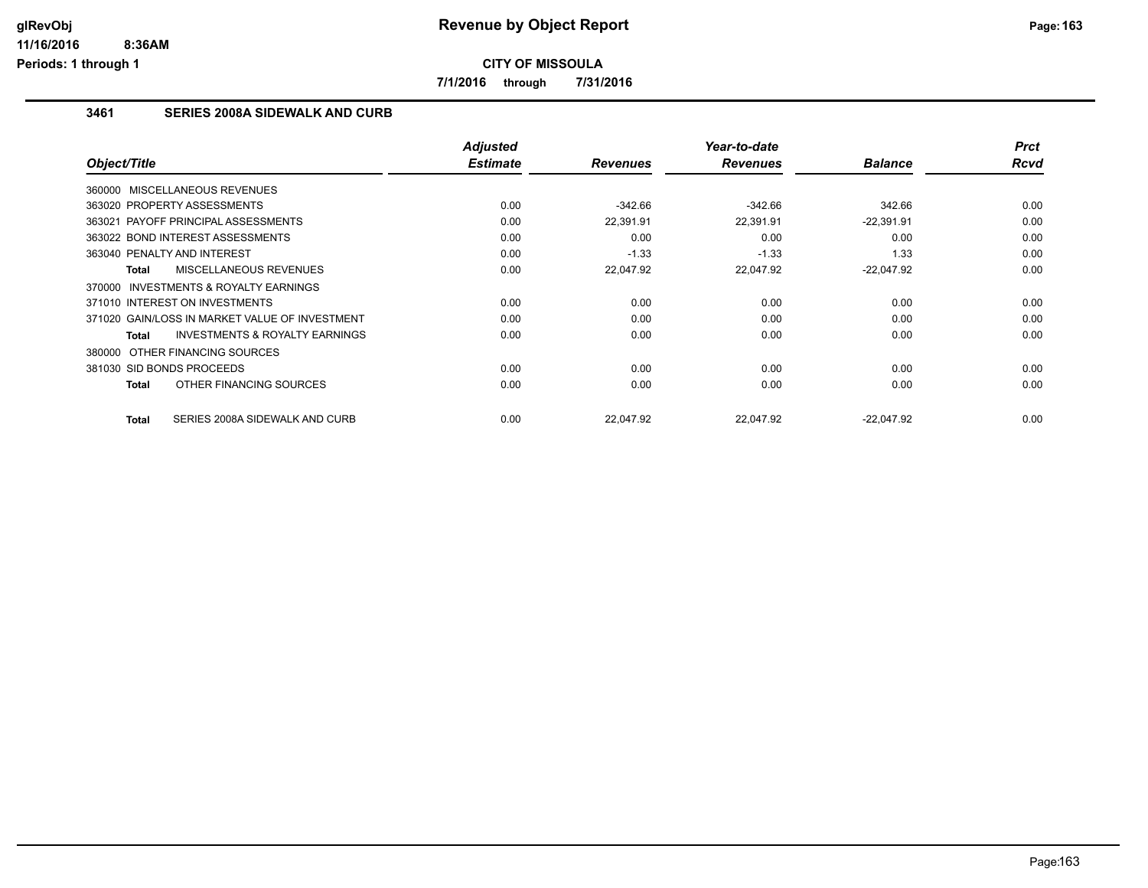**8:36AM**

**CITY OF MISSOULA**

**7/1/2016 through 7/31/2016**

## **3461 SERIES 2008A SIDEWALK AND CURB**

| Object/Title |                                                | <b>Adjusted</b><br><b>Estimate</b> | <b>Revenues</b> | Year-to-date<br><b>Revenues</b> | <b>Balance</b> | <b>Prct</b><br><b>Rcvd</b> |
|--------------|------------------------------------------------|------------------------------------|-----------------|---------------------------------|----------------|----------------------------|
|              | 360000 MISCELLANEOUS REVENUES                  |                                    |                 |                                 |                |                            |
|              | 363020 PROPERTY ASSESSMENTS                    | 0.00                               | $-342.66$       | $-342.66$                       | 342.66         | 0.00                       |
|              | 363021 PAYOFF PRINCIPAL ASSESSMENTS            | 0.00                               | 22,391.91       | 22,391.91                       | $-22,391.91$   | 0.00                       |
|              | 363022 BOND INTEREST ASSESSMENTS               | 0.00                               | 0.00            | 0.00                            | 0.00           | 0.00                       |
|              | 363040 PENALTY AND INTEREST                    | 0.00                               | $-1.33$         | $-1.33$                         | 1.33           | 0.00                       |
| Total        | <b>MISCELLANEOUS REVENUES</b>                  | 0.00                               | 22,047.92       | 22,047.92                       | $-22,047.92$   | 0.00                       |
| 370000       | <b>INVESTMENTS &amp; ROYALTY EARNINGS</b>      |                                    |                 |                                 |                |                            |
|              | 371010 INTEREST ON INVESTMENTS                 | 0.00                               | 0.00            | 0.00                            | 0.00           | 0.00                       |
|              | 371020 GAIN/LOSS IN MARKET VALUE OF INVESTMENT | 0.00                               | 0.00            | 0.00                            | 0.00           | 0.00                       |
| Total        | <b>INVESTMENTS &amp; ROYALTY EARNINGS</b>      | 0.00                               | 0.00            | 0.00                            | 0.00           | 0.00                       |
|              | 380000 OTHER FINANCING SOURCES                 |                                    |                 |                                 |                |                            |
|              | 381030 SID BONDS PROCEEDS                      | 0.00                               | 0.00            | 0.00                            | 0.00           | 0.00                       |
| Total        | OTHER FINANCING SOURCES                        | 0.00                               | 0.00            | 0.00                            | 0.00           | 0.00                       |
| Total        | SERIES 2008A SIDEWALK AND CURB                 | 0.00                               | 22.047.92       | 22.047.92                       | $-22.047.92$   | 0.00                       |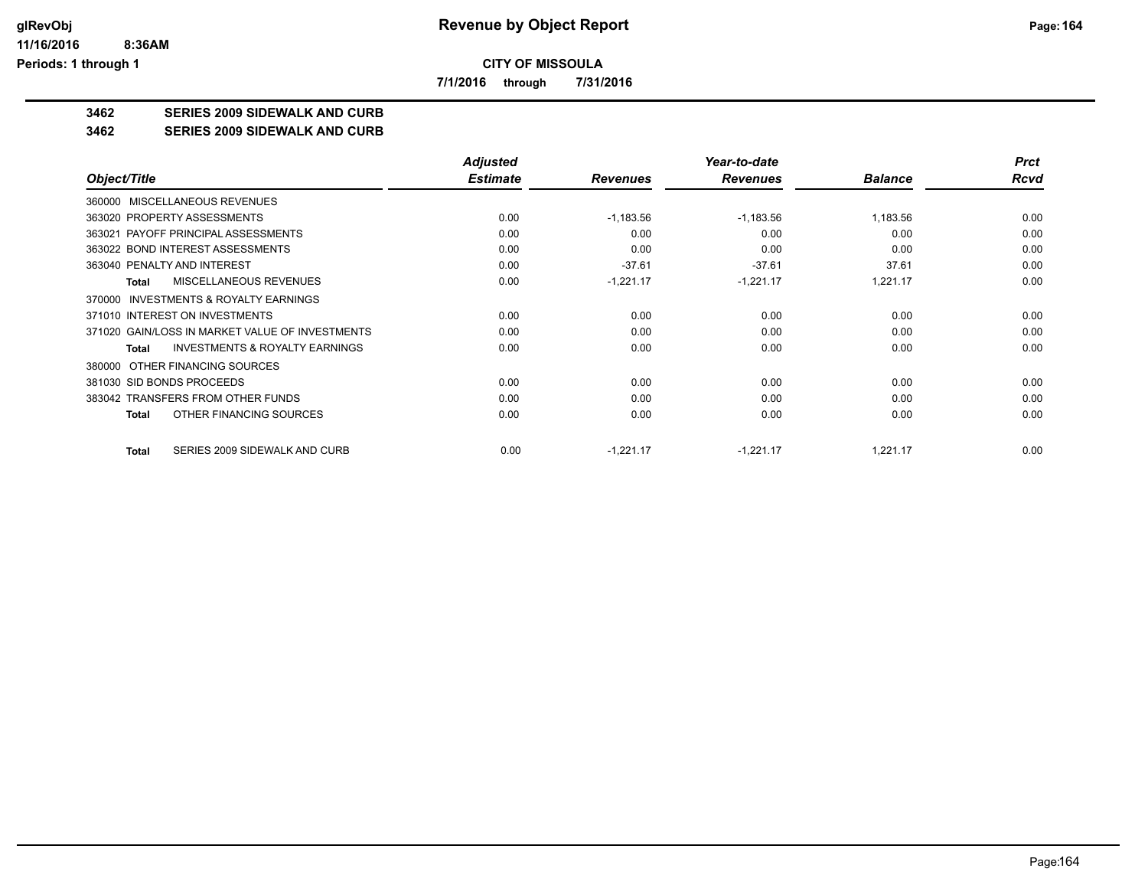**8:36AM**

**CITY OF MISSOULA**

**7/1/2016 through 7/31/2016**

# **3462 SERIES 2009 SIDEWALK AND CURB**

### **3462 SERIES 2009 SIDEWALK AND CURB**

|                                                           | <b>Adjusted</b> |                 | Year-to-date    |                | <b>Prct</b> |
|-----------------------------------------------------------|-----------------|-----------------|-----------------|----------------|-------------|
| Object/Title                                              | <b>Estimate</b> | <b>Revenues</b> | <b>Revenues</b> | <b>Balance</b> | Rcvd        |
| <b>MISCELLANEOUS REVENUES</b><br>360000                   |                 |                 |                 |                |             |
| 363020 PROPERTY ASSESSMENTS                               | 0.00            | $-1,183.56$     | $-1,183.56$     | 1,183.56       | 0.00        |
| 363021 PAYOFF PRINCIPAL ASSESSMENTS                       | 0.00            | 0.00            | 0.00            | 0.00           | 0.00        |
| 363022 BOND INTEREST ASSESSMENTS                          | 0.00            | 0.00            | 0.00            | 0.00           | 0.00        |
| 363040 PENALTY AND INTEREST                               | 0.00            | $-37.61$        | $-37.61$        | 37.61          | 0.00        |
| MISCELLANEOUS REVENUES<br><b>Total</b>                    | 0.00            | $-1,221.17$     | $-1,221.17$     | 1,221.17       | 0.00        |
| INVESTMENTS & ROYALTY EARNINGS<br>370000                  |                 |                 |                 |                |             |
| 371010 INTEREST ON INVESTMENTS                            | 0.00            | 0.00            | 0.00            | 0.00           | 0.00        |
| 371020 GAIN/LOSS IN MARKET VALUE OF INVESTMENTS           | 0.00            | 0.00            | 0.00            | 0.00           | 0.00        |
| <b>INVESTMENTS &amp; ROYALTY EARNINGS</b><br><b>Total</b> | 0.00            | 0.00            | 0.00            | 0.00           | 0.00        |
| OTHER FINANCING SOURCES<br>380000                         |                 |                 |                 |                |             |
| 381030 SID BONDS PROCEEDS                                 | 0.00            | 0.00            | 0.00            | 0.00           | 0.00        |
| 383042 TRANSFERS FROM OTHER FUNDS                         | 0.00            | 0.00            | 0.00            | 0.00           | 0.00        |
| OTHER FINANCING SOURCES<br><b>Total</b>                   | 0.00            | 0.00            | 0.00            | 0.00           | 0.00        |
| SERIES 2009 SIDEWALK AND CURB<br><b>Total</b>             | 0.00            | $-1,221.17$     | $-1,221.17$     | 1,221.17       | 0.00        |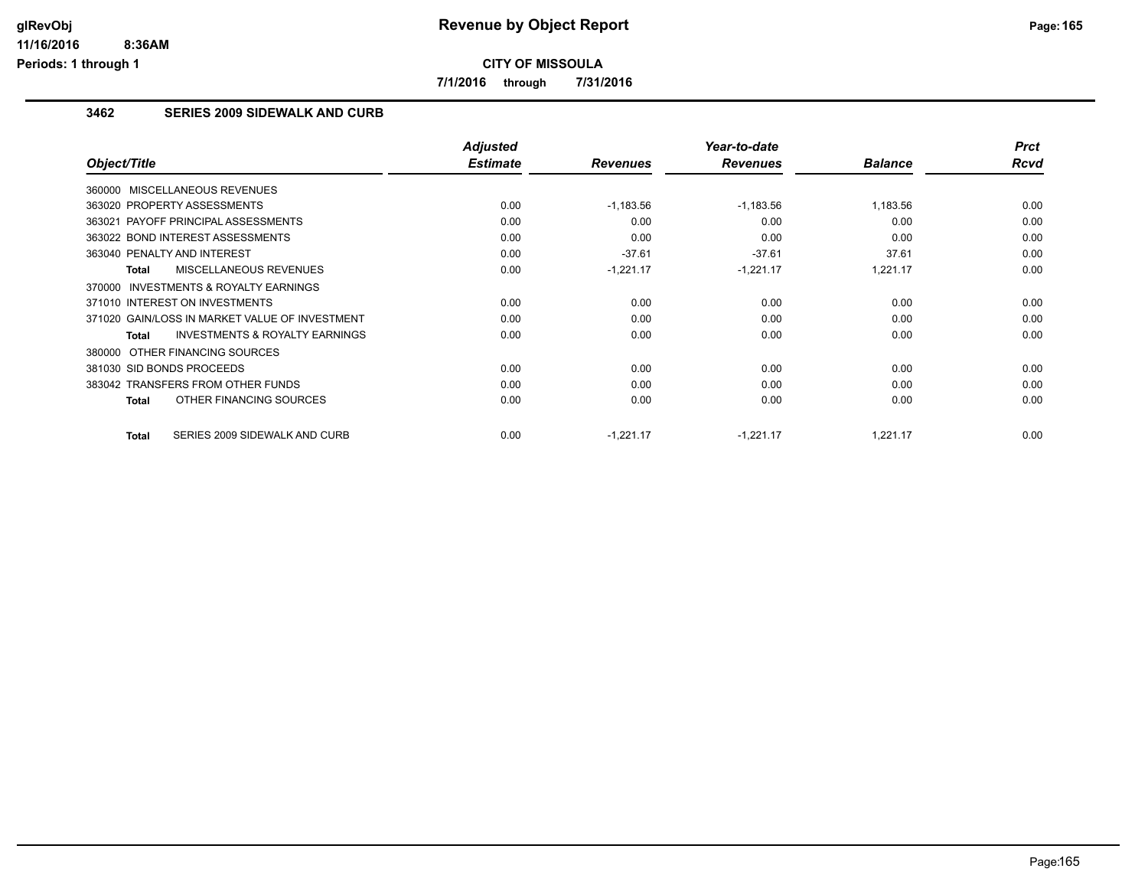**8:36AM**

**CITY OF MISSOULA**

**7/1/2016 through 7/31/2016**

# **3462 SERIES 2009 SIDEWALK AND CURB**

|                                                    | <b>Adjusted</b> |                 | Year-to-date    |                | <b>Prct</b> |
|----------------------------------------------------|-----------------|-----------------|-----------------|----------------|-------------|
| Object/Title                                       | <b>Estimate</b> | <b>Revenues</b> | <b>Revenues</b> | <b>Balance</b> | Rcvd        |
| 360000 MISCELLANEOUS REVENUES                      |                 |                 |                 |                |             |
| 363020 PROPERTY ASSESSMENTS                        | 0.00            | $-1,183.56$     | $-1,183.56$     | 1,183.56       | 0.00        |
| PAYOFF PRINCIPAL ASSESSMENTS<br>363021             | 0.00            | 0.00            | 0.00            | 0.00           | 0.00        |
| 363022 BOND INTEREST ASSESSMENTS                   | 0.00            | 0.00            | 0.00            | 0.00           | 0.00        |
| 363040 PENALTY AND INTEREST                        | 0.00            | $-37.61$        | $-37.61$        | 37.61          | 0.00        |
| <b>MISCELLANEOUS REVENUES</b><br>Total             | 0.00            | $-1,221.17$     | $-1,221.17$     | 1,221.17       | 0.00        |
| 370000 INVESTMENTS & ROYALTY EARNINGS              |                 |                 |                 |                |             |
| 371010 INTEREST ON INVESTMENTS                     | 0.00            | 0.00            | 0.00            | 0.00           | 0.00        |
| 371020 GAIN/LOSS IN MARKET VALUE OF INVESTMENT     | 0.00            | 0.00            | 0.00            | 0.00           | 0.00        |
| <b>INVESTMENTS &amp; ROYALTY EARNINGS</b><br>Total | 0.00            | 0.00            | 0.00            | 0.00           | 0.00        |
| OTHER FINANCING SOURCES<br>380000                  |                 |                 |                 |                |             |
| 381030 SID BONDS PROCEEDS                          | 0.00            | 0.00            | 0.00            | 0.00           | 0.00        |
| 383042 TRANSFERS FROM OTHER FUNDS                  | 0.00            | 0.00            | 0.00            | 0.00           | 0.00        |
| OTHER FINANCING SOURCES<br><b>Total</b>            | 0.00            | 0.00            | 0.00            | 0.00           | 0.00        |
|                                                    |                 |                 |                 |                |             |
| SERIES 2009 SIDEWALK AND CURB<br><b>Total</b>      | 0.00            | $-1,221.17$     | $-1,221.17$     | 1,221.17       | 0.00        |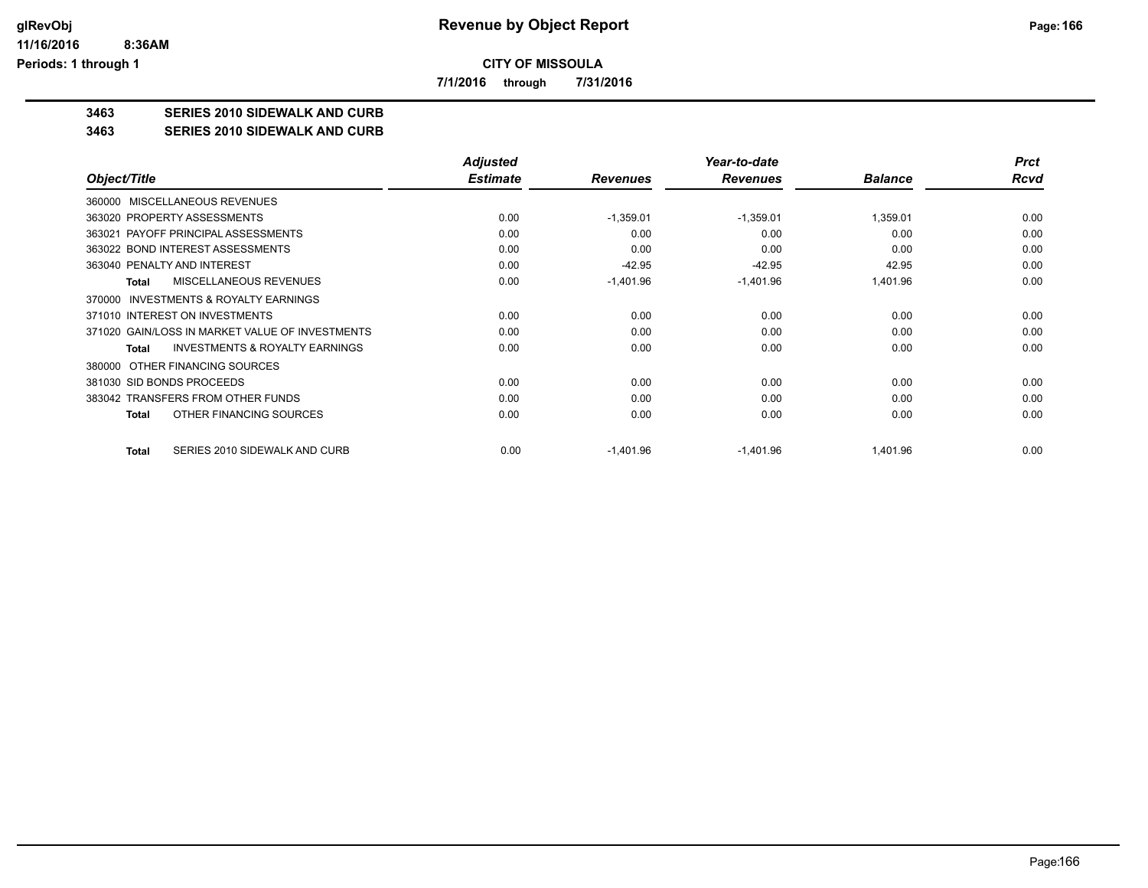**8:36AM**

**CITY OF MISSOULA**

**7/1/2016 through 7/31/2016**

# **3463 SERIES 2010 SIDEWALK AND CURB**

### **3463 SERIES 2010 SIDEWALK AND CURB**

|                                                           | <b>Adjusted</b> |                 | Year-to-date    |                | <b>Prct</b> |
|-----------------------------------------------------------|-----------------|-----------------|-----------------|----------------|-------------|
| Object/Title                                              | <b>Estimate</b> | <b>Revenues</b> | <b>Revenues</b> | <b>Balance</b> | Rcvd        |
| MISCELLANEOUS REVENUES<br>360000                          |                 |                 |                 |                |             |
| 363020 PROPERTY ASSESSMENTS                               | 0.00            | $-1,359.01$     | $-1,359.01$     | 1,359.01       | 0.00        |
| 363021 PAYOFF PRINCIPAL ASSESSMENTS                       | 0.00            | 0.00            | 0.00            | 0.00           | 0.00        |
| 363022 BOND INTEREST ASSESSMENTS                          | 0.00            | 0.00            | 0.00            | 0.00           | 0.00        |
| 363040 PENALTY AND INTEREST                               | 0.00            | $-42.95$        | $-42.95$        | 42.95          | 0.00        |
| MISCELLANEOUS REVENUES<br><b>Total</b>                    | 0.00            | $-1,401.96$     | $-1,401.96$     | 1,401.96       | 0.00        |
| INVESTMENTS & ROYALTY EARNINGS<br>370000                  |                 |                 |                 |                |             |
| 371010 INTEREST ON INVESTMENTS                            | 0.00            | 0.00            | 0.00            | 0.00           | 0.00        |
| 371020 GAIN/LOSS IN MARKET VALUE OF INVESTMENTS           | 0.00            | 0.00            | 0.00            | 0.00           | 0.00        |
| <b>INVESTMENTS &amp; ROYALTY EARNINGS</b><br><b>Total</b> | 0.00            | 0.00            | 0.00            | 0.00           | 0.00        |
| OTHER FINANCING SOURCES<br>380000                         |                 |                 |                 |                |             |
| 381030 SID BONDS PROCEEDS                                 | 0.00            | 0.00            | 0.00            | 0.00           | 0.00        |
| 383042 TRANSFERS FROM OTHER FUNDS                         | 0.00            | 0.00            | 0.00            | 0.00           | 0.00        |
| OTHER FINANCING SOURCES<br><b>Total</b>                   | 0.00            | 0.00            | 0.00            | 0.00           | 0.00        |
| SERIES 2010 SIDEWALK AND CURB<br><b>Total</b>             | 0.00            | $-1,401.96$     | $-1,401.96$     | 1,401.96       | 0.00        |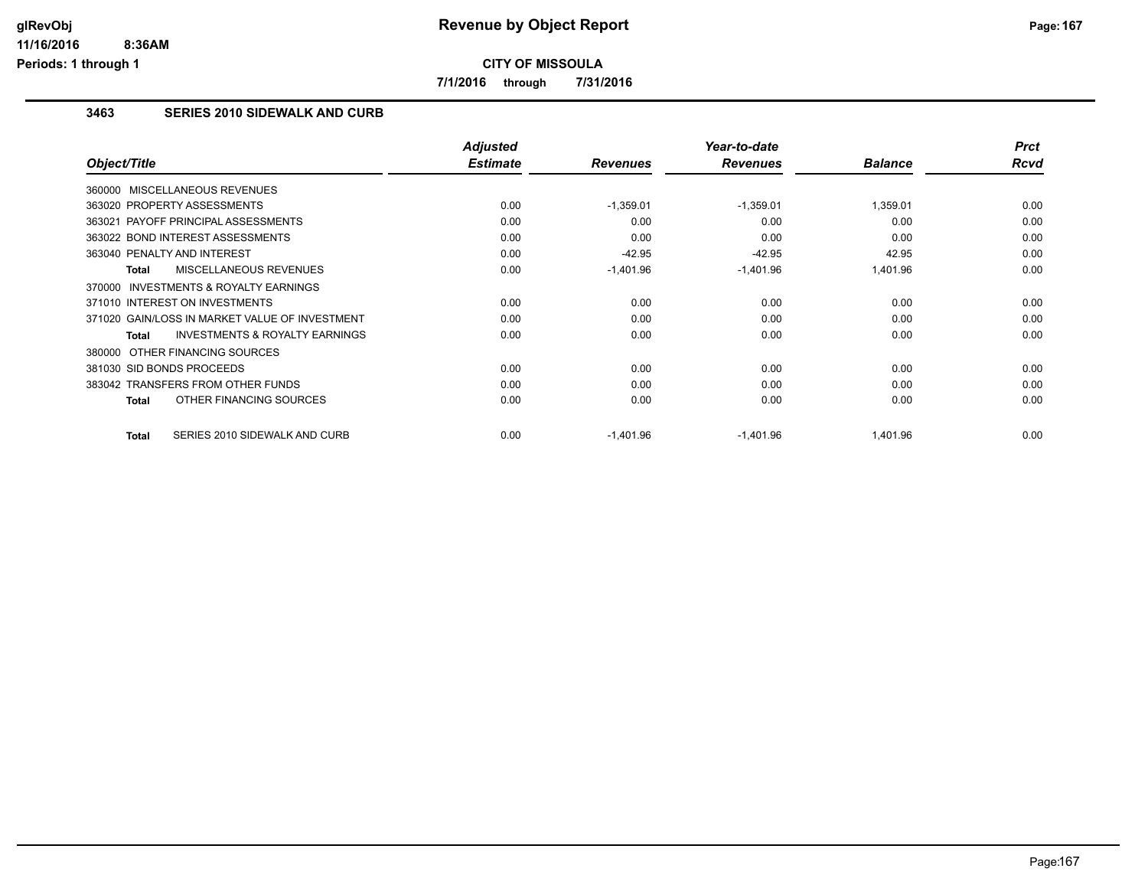**8:36AM**

**CITY OF MISSOULA**

**7/1/2016 through 7/31/2016**

# **3463 SERIES 2010 SIDEWALK AND CURB**

|                                                           | <b>Adjusted</b> |                 | Year-to-date    |                | <b>Prct</b> |
|-----------------------------------------------------------|-----------------|-----------------|-----------------|----------------|-------------|
| Object/Title                                              | <b>Estimate</b> | <b>Revenues</b> | <b>Revenues</b> | <b>Balance</b> | <b>Rcvd</b> |
| 360000 MISCELLANEOUS REVENUES                             |                 |                 |                 |                |             |
| 363020 PROPERTY ASSESSMENTS                               | 0.00            | $-1,359.01$     | $-1,359.01$     | 1,359.01       | 0.00        |
| 363021 PAYOFF PRINCIPAL ASSESSMENTS                       | 0.00            | 0.00            | 0.00            | 0.00           | 0.00        |
| 363022 BOND INTEREST ASSESSMENTS                          | 0.00            | 0.00            | 0.00            | 0.00           | 0.00        |
| 363040 PENALTY AND INTEREST                               | 0.00            | $-42.95$        | $-42.95$        | 42.95          | 0.00        |
| <b>MISCELLANEOUS REVENUES</b><br><b>Total</b>             | 0.00            | $-1,401.96$     | $-1,401.96$     | 1,401.96       | 0.00        |
| INVESTMENTS & ROYALTY EARNINGS<br>370000                  |                 |                 |                 |                |             |
| 371010 INTEREST ON INVESTMENTS                            | 0.00            | 0.00            | 0.00            | 0.00           | 0.00        |
| 371020 GAIN/LOSS IN MARKET VALUE OF INVESTMENT            | 0.00            | 0.00            | 0.00            | 0.00           | 0.00        |
| <b>INVESTMENTS &amp; ROYALTY EARNINGS</b><br><b>Total</b> | 0.00            | 0.00            | 0.00            | 0.00           | 0.00        |
| OTHER FINANCING SOURCES<br>380000                         |                 |                 |                 |                |             |
| 381030 SID BONDS PROCEEDS                                 | 0.00            | 0.00            | 0.00            | 0.00           | 0.00        |
| 383042 TRANSFERS FROM OTHER FUNDS                         | 0.00            | 0.00            | 0.00            | 0.00           | 0.00        |
| OTHER FINANCING SOURCES<br><b>Total</b>                   | 0.00            | 0.00            | 0.00            | 0.00           | 0.00        |
| SERIES 2010 SIDEWALK AND CURB<br><b>Total</b>             | 0.00            | $-1,401.96$     | $-1,401.96$     | 1,401.96       | 0.00        |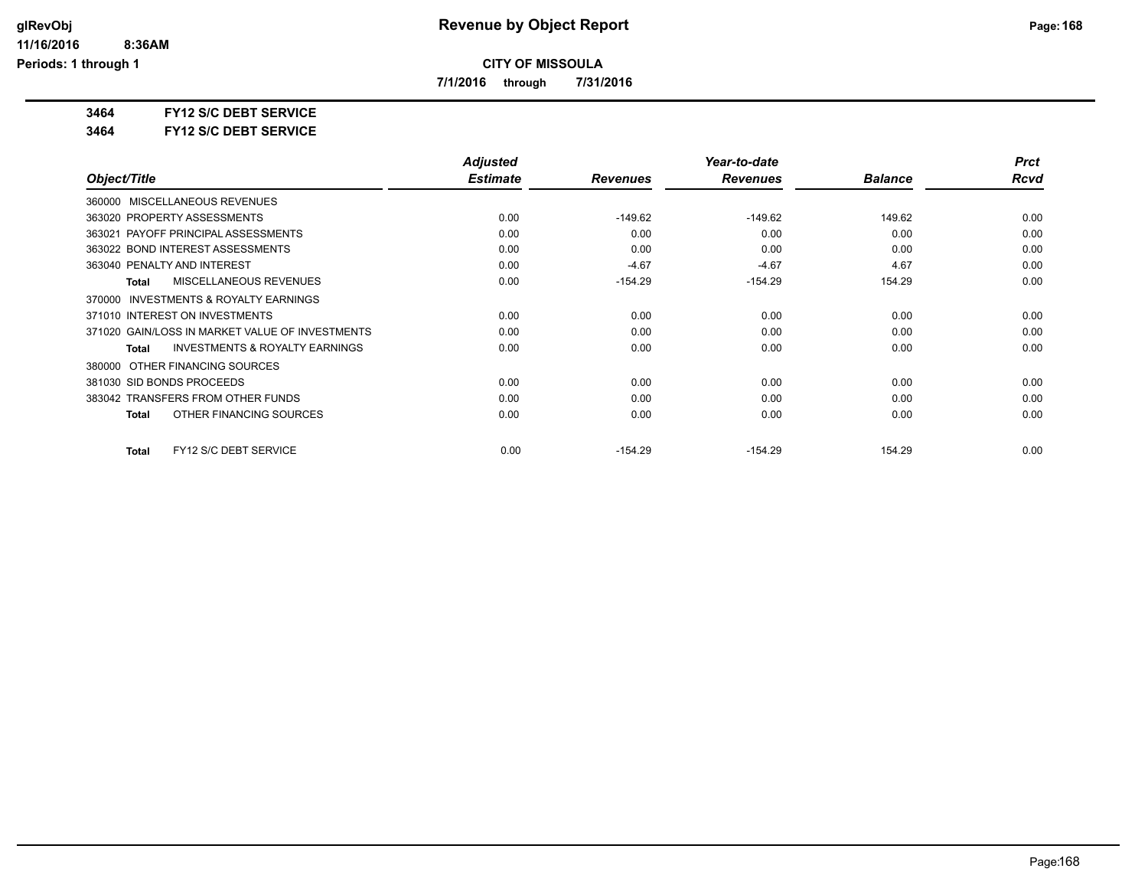**CITY OF MISSOULA**

**7/1/2016 through 7/31/2016**

**3464 FY12 S/C DEBT SERVICE**

**3464 FY12 S/C DEBT SERVICE**

|                                                    | <b>Adjusted</b> |                 | Year-to-date    |                | <b>Prct</b> |
|----------------------------------------------------|-----------------|-----------------|-----------------|----------------|-------------|
| Object/Title                                       | <b>Estimate</b> | <b>Revenues</b> | <b>Revenues</b> | <b>Balance</b> | Rcvd        |
| 360000 MISCELLANEOUS REVENUES                      |                 |                 |                 |                |             |
| 363020 PROPERTY ASSESSMENTS                        | 0.00            | $-149.62$       | $-149.62$       | 149.62         | 0.00        |
| 363021 PAYOFF PRINCIPAL ASSESSMENTS                | 0.00            | 0.00            | 0.00            | 0.00           | 0.00        |
| 363022 BOND INTEREST ASSESSMENTS                   | 0.00            | 0.00            | 0.00            | 0.00           | 0.00        |
| 363040 PENALTY AND INTEREST                        | 0.00            | $-4.67$         | $-4.67$         | 4.67           | 0.00        |
| MISCELLANEOUS REVENUES<br><b>Total</b>             | 0.00            | $-154.29$       | $-154.29$       | 154.29         | 0.00        |
| 370000 INVESTMENTS & ROYALTY EARNINGS              |                 |                 |                 |                |             |
| 371010 INTEREST ON INVESTMENTS                     | 0.00            | 0.00            | 0.00            | 0.00           | 0.00        |
| 371020 GAIN/LOSS IN MARKET VALUE OF INVESTMENTS    | 0.00            | 0.00            | 0.00            | 0.00           | 0.00        |
| <b>INVESTMENTS &amp; ROYALTY EARNINGS</b><br>Total | 0.00            | 0.00            | 0.00            | 0.00           | 0.00        |
| OTHER FINANCING SOURCES<br>380000                  |                 |                 |                 |                |             |
| 381030 SID BONDS PROCEEDS                          | 0.00            | 0.00            | 0.00            | 0.00           | 0.00        |
| 383042 TRANSFERS FROM OTHER FUNDS                  | 0.00            | 0.00            | 0.00            | 0.00           | 0.00        |
| OTHER FINANCING SOURCES<br>Total                   | 0.00            | 0.00            | 0.00            | 0.00           | 0.00        |
| FY12 S/C DEBT SERVICE<br><b>Total</b>              | 0.00            | $-154.29$       | $-154.29$       | 154.29         | 0.00        |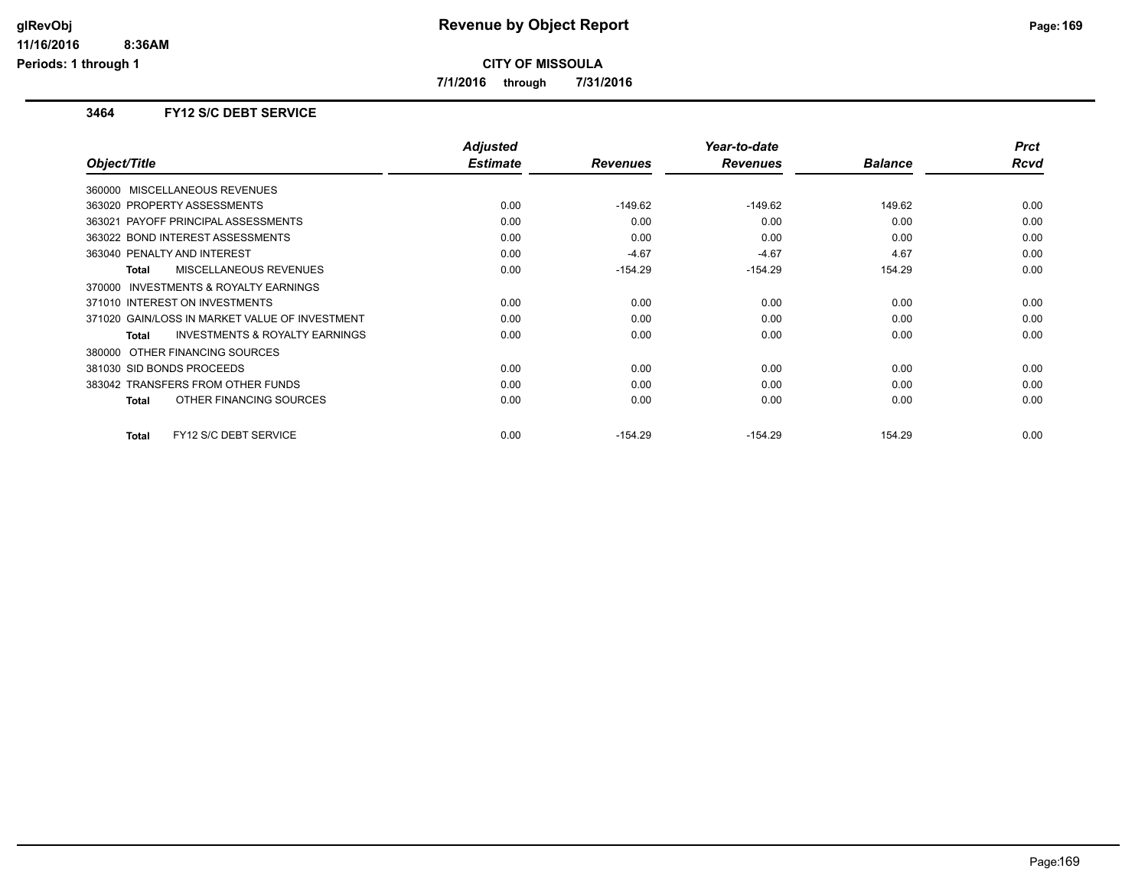**CITY OF MISSOULA**

**7/1/2016 through 7/31/2016**

## **3464 FY12 S/C DEBT SERVICE**

 **8:36AM**

|                                                     | <b>Adjusted</b> |                 | Year-to-date    |                | <b>Prct</b> |
|-----------------------------------------------------|-----------------|-----------------|-----------------|----------------|-------------|
| Object/Title                                        | <b>Estimate</b> | <b>Revenues</b> | <b>Revenues</b> | <b>Balance</b> | <b>Rcvd</b> |
| 360000 MISCELLANEOUS REVENUES                       |                 |                 |                 |                |             |
| 363020 PROPERTY ASSESSMENTS                         | 0.00            | $-149.62$       | $-149.62$       | 149.62         | 0.00        |
| 363021 PAYOFF PRINCIPAL ASSESSMENTS                 | 0.00            | 0.00            | 0.00            | 0.00           | 0.00        |
| 363022 BOND INTEREST ASSESSMENTS                    | 0.00            | 0.00            | 0.00            | 0.00           | 0.00        |
| 363040 PENALTY AND INTEREST                         | 0.00            | $-4.67$         | $-4.67$         | 4.67           | 0.00        |
| MISCELLANEOUS REVENUES<br>Total                     | 0.00            | $-154.29$       | $-154.29$       | 154.29         | 0.00        |
| <b>INVESTMENTS &amp; ROYALTY EARNINGS</b><br>370000 |                 |                 |                 |                |             |
| 371010 INTEREST ON INVESTMENTS                      | 0.00            | 0.00            | 0.00            | 0.00           | 0.00        |
| 371020 GAIN/LOSS IN MARKET VALUE OF INVESTMENT      | 0.00            | 0.00            | 0.00            | 0.00           | 0.00        |
| <b>INVESTMENTS &amp; ROYALTY EARNINGS</b><br>Total  | 0.00            | 0.00            | 0.00            | 0.00           | 0.00        |
| 380000 OTHER FINANCING SOURCES                      |                 |                 |                 |                |             |
| 381030 SID BONDS PROCEEDS                           | 0.00            | 0.00            | 0.00            | 0.00           | 0.00        |
| 383042 TRANSFERS FROM OTHER FUNDS                   | 0.00            | 0.00            | 0.00            | 0.00           | 0.00        |
| OTHER FINANCING SOURCES<br>Total                    | 0.00            | 0.00            | 0.00            | 0.00           | 0.00        |
| FY12 S/C DEBT SERVICE<br>Total                      | 0.00            | $-154.29$       | $-154.29$       | 154.29         | 0.00        |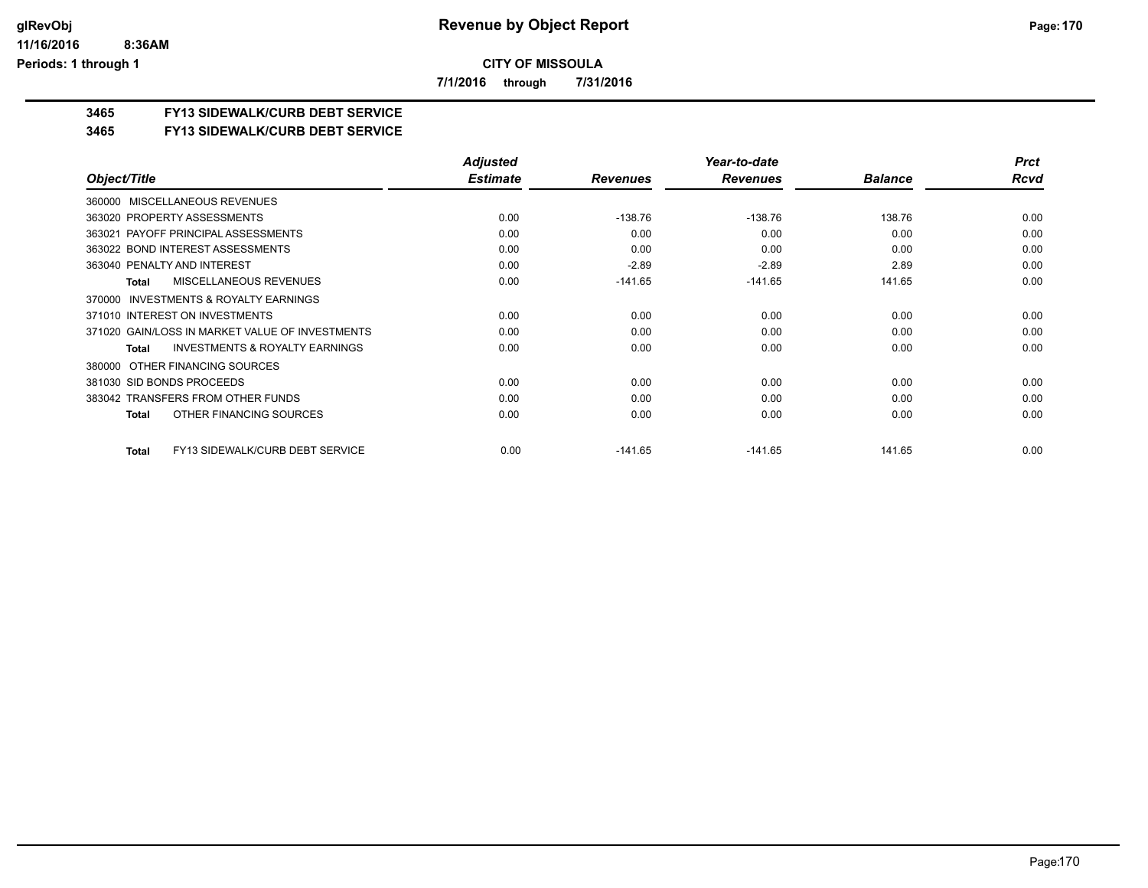**8:36AM**

**CITY OF MISSOULA**

**7/1/2016 through 7/31/2016**

# **3465 FY13 SIDEWALK/CURB DEBT SERVICE**

# **3465 FY13 SIDEWALK/CURB DEBT SERVICE**

|                                                     | <b>Adjusted</b> |                 | Year-to-date    |                | <b>Prct</b> |
|-----------------------------------------------------|-----------------|-----------------|-----------------|----------------|-------------|
| Object/Title                                        | <b>Estimate</b> | <b>Revenues</b> | <b>Revenues</b> | <b>Balance</b> | <b>Rcvd</b> |
| 360000 MISCELLANEOUS REVENUES                       |                 |                 |                 |                |             |
| 363020 PROPERTY ASSESSMENTS                         | 0.00            | $-138.76$       | $-138.76$       | 138.76         | 0.00        |
| 363021 PAYOFF PRINCIPAL ASSESSMENTS                 | 0.00            | 0.00            | 0.00            | 0.00           | 0.00        |
| 363022 BOND INTEREST ASSESSMENTS                    | 0.00            | 0.00            | 0.00            | 0.00           | 0.00        |
| 363040 PENALTY AND INTEREST                         | 0.00            | $-2.89$         | $-2.89$         | 2.89           | 0.00        |
| <b>MISCELLANEOUS REVENUES</b><br>Total              | 0.00            | $-141.65$       | $-141.65$       | 141.65         | 0.00        |
| <b>INVESTMENTS &amp; ROYALTY EARNINGS</b><br>370000 |                 |                 |                 |                |             |
| 371010 INTEREST ON INVESTMENTS                      | 0.00            | 0.00            | 0.00            | 0.00           | 0.00        |
| 371020 GAIN/LOSS IN MARKET VALUE OF INVESTMENTS     | 0.00            | 0.00            | 0.00            | 0.00           | 0.00        |
| <b>INVESTMENTS &amp; ROYALTY EARNINGS</b><br>Total  | 0.00            | 0.00            | 0.00            | 0.00           | 0.00        |
| 380000 OTHER FINANCING SOURCES                      |                 |                 |                 |                |             |
| 381030 SID BONDS PROCEEDS                           | 0.00            | 0.00            | 0.00            | 0.00           | 0.00        |
| 383042 TRANSFERS FROM OTHER FUNDS                   | 0.00            | 0.00            | 0.00            | 0.00           | 0.00        |
| OTHER FINANCING SOURCES<br>Total                    | 0.00            | 0.00            | 0.00            | 0.00           | 0.00        |
| FY13 SIDEWALK/CURB DEBT SERVICE<br>Total            | 0.00            | $-141.65$       | $-141.65$       | 141.65         | 0.00        |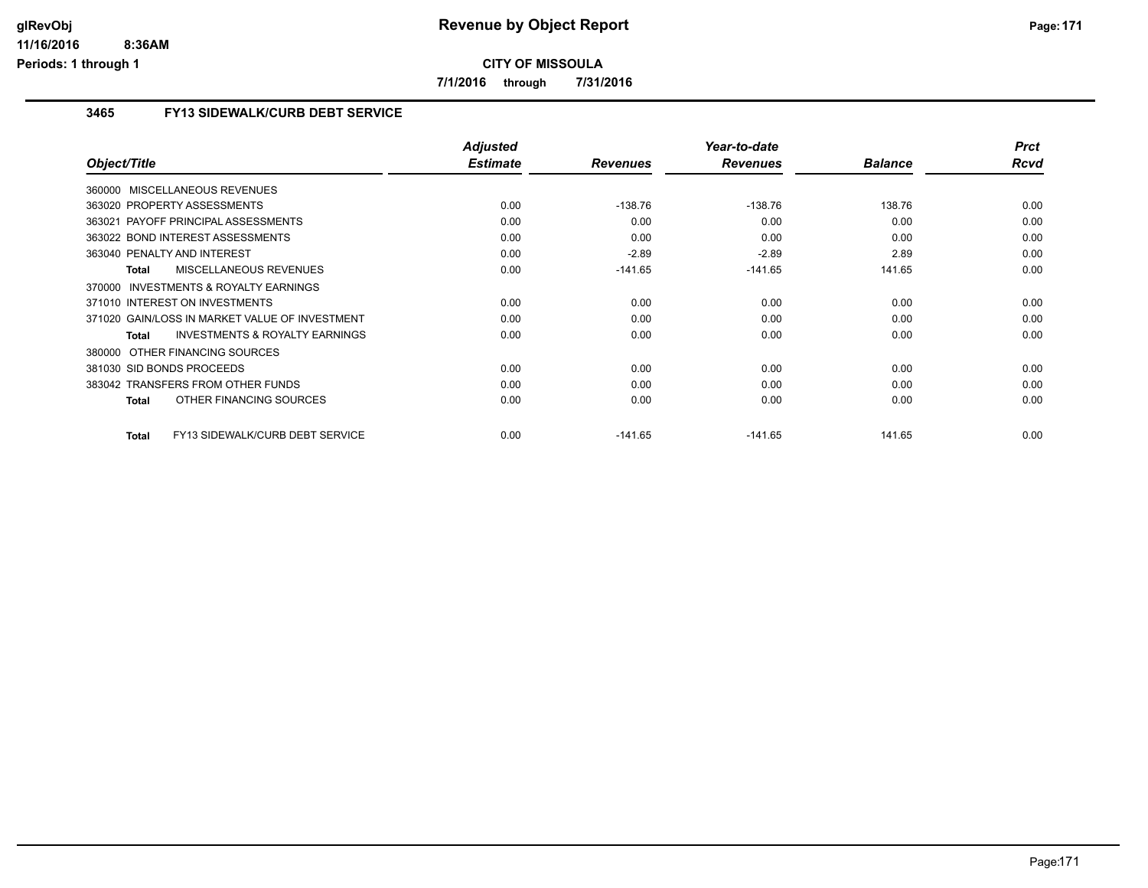**8:36AM**

**CITY OF MISSOULA**

**7/1/2016 through 7/31/2016**

# **3465 FY13 SIDEWALK/CURB DEBT SERVICE**

|                                                    | <b>Adjusted</b> |                 | Year-to-date    |                | <b>Prct</b> |
|----------------------------------------------------|-----------------|-----------------|-----------------|----------------|-------------|
| Object/Title                                       | <b>Estimate</b> | <b>Revenues</b> | <b>Revenues</b> | <b>Balance</b> | Rcvd        |
| 360000 MISCELLANEOUS REVENUES                      |                 |                 |                 |                |             |
| 363020 PROPERTY ASSESSMENTS                        | 0.00            | $-138.76$       | $-138.76$       | 138.76         | 0.00        |
| PAYOFF PRINCIPAL ASSESSMENTS<br>363021             | 0.00            | 0.00            | 0.00            | 0.00           | 0.00        |
| 363022 BOND INTEREST ASSESSMENTS                   | 0.00            | 0.00            | 0.00            | 0.00           | 0.00        |
| 363040 PENALTY AND INTEREST                        | 0.00            | $-2.89$         | $-2.89$         | 2.89           | 0.00        |
| <b>MISCELLANEOUS REVENUES</b><br>Total             | 0.00            | $-141.65$       | $-141.65$       | 141.65         | 0.00        |
| 370000 INVESTMENTS & ROYALTY EARNINGS              |                 |                 |                 |                |             |
| 371010 INTEREST ON INVESTMENTS                     | 0.00            | 0.00            | 0.00            | 0.00           | 0.00        |
| 371020 GAIN/LOSS IN MARKET VALUE OF INVESTMENT     | 0.00            | 0.00            | 0.00            | 0.00           | 0.00        |
| <b>INVESTMENTS &amp; ROYALTY EARNINGS</b><br>Total | 0.00            | 0.00            | 0.00            | 0.00           | 0.00        |
| OTHER FINANCING SOURCES<br>380000                  |                 |                 |                 |                |             |
| 381030 SID BONDS PROCEEDS                          | 0.00            | 0.00            | 0.00            | 0.00           | 0.00        |
| 383042 TRANSFERS FROM OTHER FUNDS                  | 0.00            | 0.00            | 0.00            | 0.00           | 0.00        |
| OTHER FINANCING SOURCES<br><b>Total</b>            | 0.00            | 0.00            | 0.00            | 0.00           | 0.00        |
|                                                    |                 |                 |                 |                |             |
| FY13 SIDEWALK/CURB DEBT SERVICE<br><b>Total</b>    | 0.00            | $-141.65$       | $-141.65$       | 141.65         | 0.00        |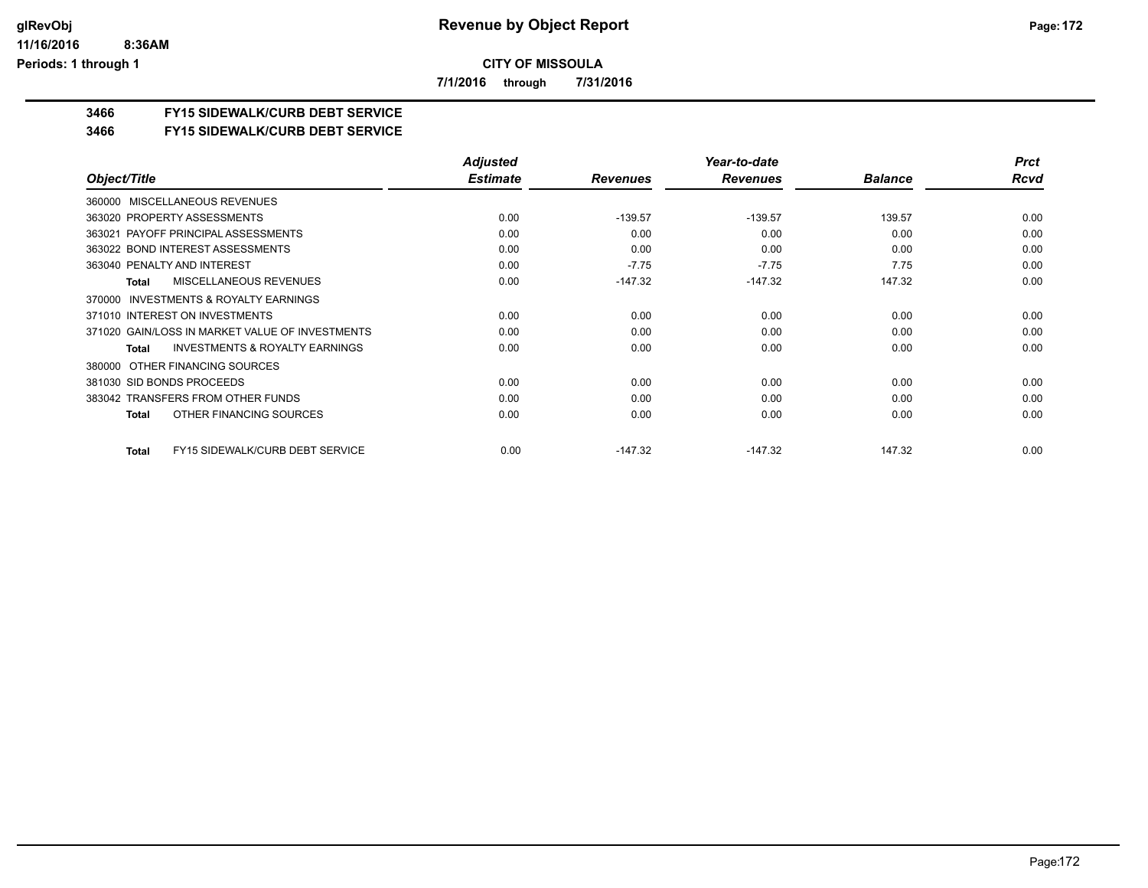**11/16/2016 8:36AM Periods: 1 through 1**

**CITY OF MISSOULA**

**7/1/2016 through 7/31/2016**

# **3466 FY15 SIDEWALK/CURB DEBT SERVICE**

# **3466 FY15 SIDEWALK/CURB DEBT SERVICE**

|                                                    | <b>Adjusted</b> |                 | Year-to-date    |                | <b>Prct</b> |
|----------------------------------------------------|-----------------|-----------------|-----------------|----------------|-------------|
| Object/Title                                       | <b>Estimate</b> | <b>Revenues</b> | <b>Revenues</b> | <b>Balance</b> | Rcvd        |
| 360000 MISCELLANEOUS REVENUES                      |                 |                 |                 |                |             |
| 363020 PROPERTY ASSESSMENTS                        | 0.00            | $-139.57$       | $-139.57$       | 139.57         | 0.00        |
| 363021 PAYOFF PRINCIPAL ASSESSMENTS                | 0.00            | 0.00            | 0.00            | 0.00           | 0.00        |
| 363022 BOND INTEREST ASSESSMENTS                   | 0.00            | 0.00            | 0.00            | 0.00           | 0.00        |
| 363040 PENALTY AND INTEREST                        | 0.00            | $-7.75$         | $-7.75$         | 7.75           | 0.00        |
| MISCELLANEOUS REVENUES<br>Total                    | 0.00            | $-147.32$       | $-147.32$       | 147.32         | 0.00        |
| 370000 INVESTMENTS & ROYALTY EARNINGS              |                 |                 |                 |                |             |
| 371010 INTEREST ON INVESTMENTS                     | 0.00            | 0.00            | 0.00            | 0.00           | 0.00        |
| 371020 GAIN/LOSS IN MARKET VALUE OF INVESTMENTS    | 0.00            | 0.00            | 0.00            | 0.00           | 0.00        |
| <b>INVESTMENTS &amp; ROYALTY EARNINGS</b><br>Total | 0.00            | 0.00            | 0.00            | 0.00           | 0.00        |
| OTHER FINANCING SOURCES<br>380000                  |                 |                 |                 |                |             |
| 381030 SID BONDS PROCEEDS                          | 0.00            | 0.00            | 0.00            | 0.00           | 0.00        |
| 383042 TRANSFERS FROM OTHER FUNDS                  | 0.00            | 0.00            | 0.00            | 0.00           | 0.00        |
| OTHER FINANCING SOURCES<br><b>Total</b>            | 0.00            | 0.00            | 0.00            | 0.00           | 0.00        |
| FY15 SIDEWALK/CURB DEBT SERVICE<br><b>Total</b>    | 0.00            | $-147.32$       | $-147.32$       | 147.32         | 0.00        |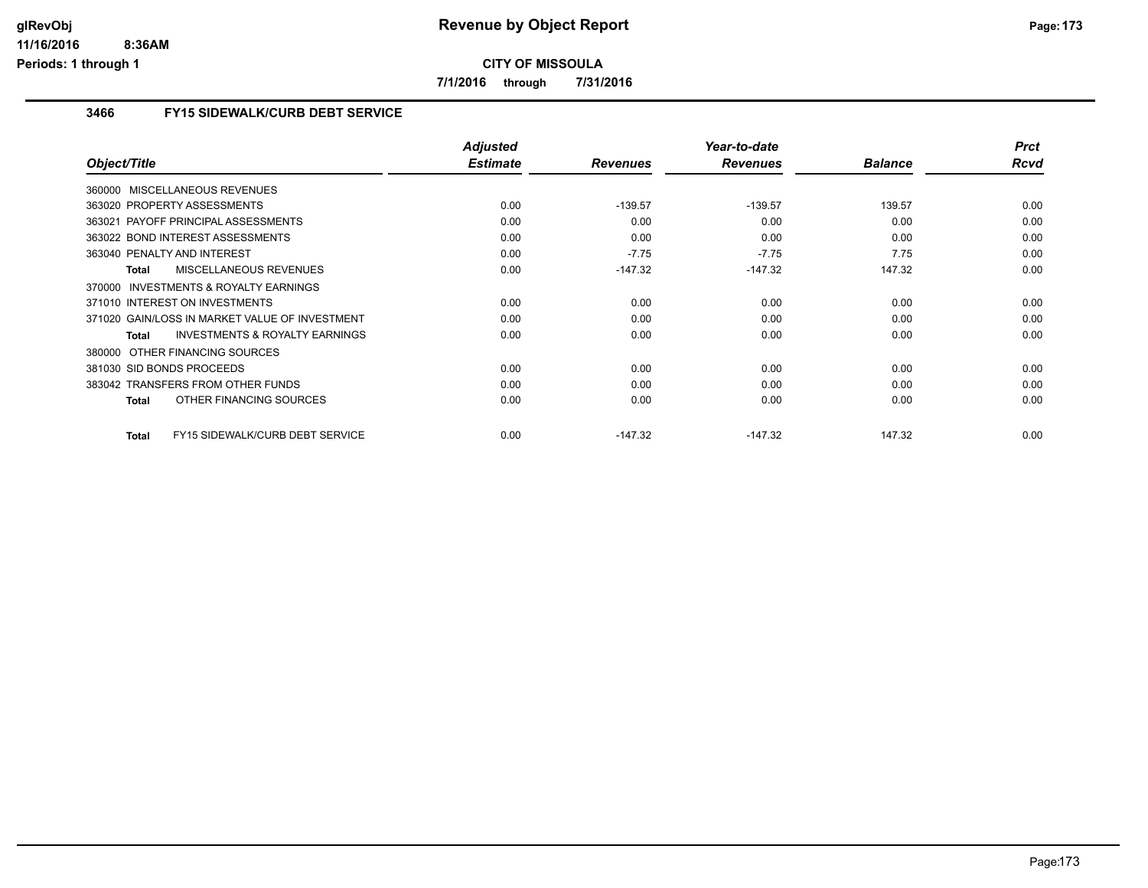**8:36AM**

**CITY OF MISSOULA**

**7/1/2016 through 7/31/2016**

# **3466 FY15 SIDEWALK/CURB DEBT SERVICE**

|                                                           | <b>Adjusted</b> |                 | Year-to-date    |                | <b>Prct</b> |
|-----------------------------------------------------------|-----------------|-----------------|-----------------|----------------|-------------|
| Object/Title                                              | <b>Estimate</b> | <b>Revenues</b> | <b>Revenues</b> | <b>Balance</b> | Rcvd        |
| 360000 MISCELLANEOUS REVENUES                             |                 |                 |                 |                |             |
| 363020 PROPERTY ASSESSMENTS                               | 0.00            | $-139.57$       | $-139.57$       | 139.57         | 0.00        |
| 363021 PAYOFF PRINCIPAL ASSESSMENTS                       | 0.00            | 0.00            | 0.00            | 0.00           | 0.00        |
| 363022 BOND INTEREST ASSESSMENTS                          | 0.00            | 0.00            | 0.00            | 0.00           | 0.00        |
| 363040 PENALTY AND INTEREST                               | 0.00            | $-7.75$         | $-7.75$         | 7.75           | 0.00        |
| <b>MISCELLANEOUS REVENUES</b><br><b>Total</b>             | 0.00            | $-147.32$       | $-147.32$       | 147.32         | 0.00        |
| INVESTMENTS & ROYALTY EARNINGS<br>370000                  |                 |                 |                 |                |             |
| 371010 INTEREST ON INVESTMENTS                            | 0.00            | 0.00            | 0.00            | 0.00           | 0.00        |
| 371020 GAIN/LOSS IN MARKET VALUE OF INVESTMENT            | 0.00            | 0.00            | 0.00            | 0.00           | 0.00        |
| <b>INVESTMENTS &amp; ROYALTY EARNINGS</b><br><b>Total</b> | 0.00            | 0.00            | 0.00            | 0.00           | 0.00        |
| OTHER FINANCING SOURCES<br>380000                         |                 |                 |                 |                |             |
| 381030 SID BONDS PROCEEDS                                 | 0.00            | 0.00            | 0.00            | 0.00           | 0.00        |
| 383042 TRANSFERS FROM OTHER FUNDS                         | 0.00            | 0.00            | 0.00            | 0.00           | 0.00        |
| OTHER FINANCING SOURCES<br><b>Total</b>                   | 0.00            | 0.00            | 0.00            | 0.00           | 0.00        |
| FY15 SIDEWALK/CURB DEBT SERVICE<br><b>Total</b>           | 0.00            | $-147.32$       | $-147.32$       | 147.32         | 0.00        |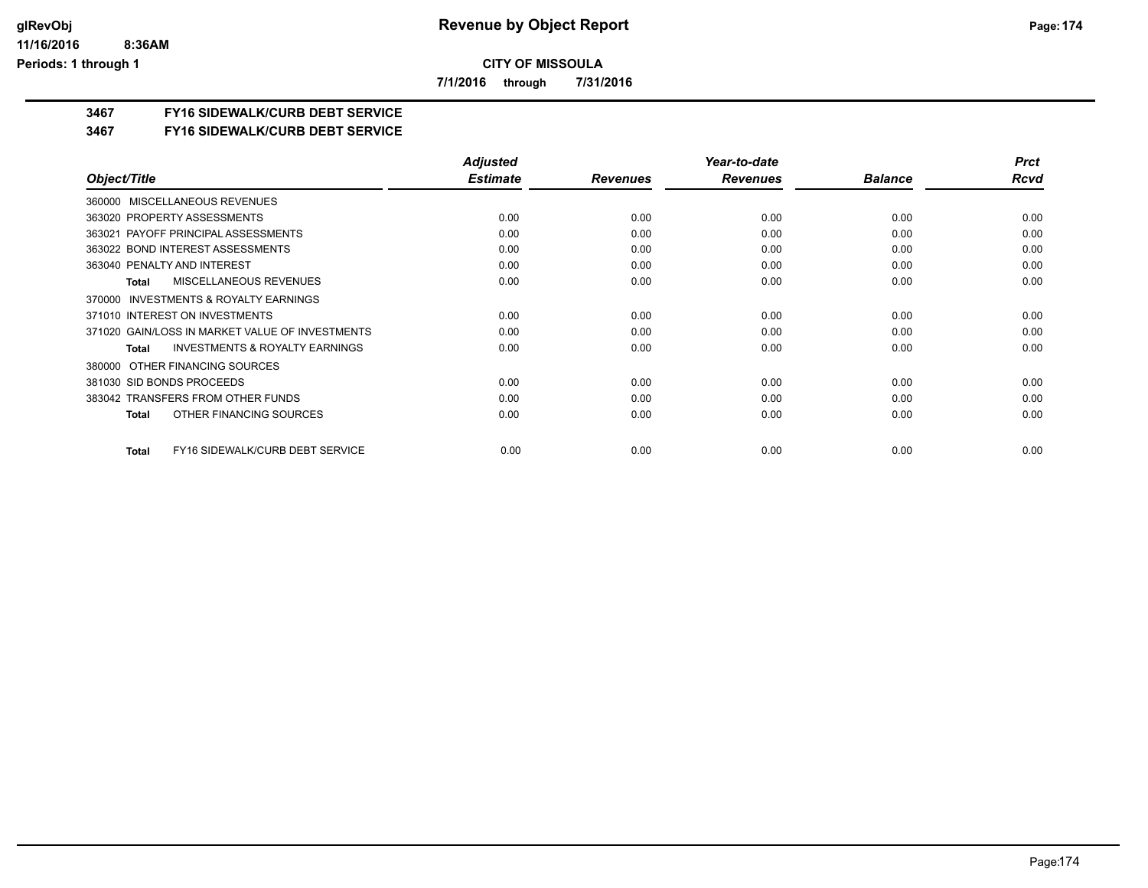**glRevObj Revenue by Object Report Page:174** 

**CITY OF MISSOULA**

**7/1/2016 through 7/31/2016**

# **3467 FY16 SIDEWALK/CURB DEBT SERVICE**

 **8:36AM**

### **3467 FY16 SIDEWALK/CURB DEBT SERVICE**

|                                                           | <b>Adjusted</b> |                 | Year-to-date    |                | <b>Prct</b> |
|-----------------------------------------------------------|-----------------|-----------------|-----------------|----------------|-------------|
| Object/Title                                              | <b>Estimate</b> | <b>Revenues</b> | <b>Revenues</b> | <b>Balance</b> | Rcvd        |
| 360000 MISCELLANEOUS REVENUES                             |                 |                 |                 |                |             |
| 363020 PROPERTY ASSESSMENTS                               | 0.00            | 0.00            | 0.00            | 0.00           | 0.00        |
| 363021 PAYOFF PRINCIPAL ASSESSMENTS                       | 0.00            | 0.00            | 0.00            | 0.00           | 0.00        |
| 363022 BOND INTEREST ASSESSMENTS                          | 0.00            | 0.00            | 0.00            | 0.00           | 0.00        |
| 363040 PENALTY AND INTEREST                               | 0.00            | 0.00            | 0.00            | 0.00           | 0.00        |
| <b>MISCELLANEOUS REVENUES</b><br><b>Total</b>             | 0.00            | 0.00            | 0.00            | 0.00           | 0.00        |
| INVESTMENTS & ROYALTY EARNINGS<br>370000                  |                 |                 |                 |                |             |
| 371010 INTEREST ON INVESTMENTS                            | 0.00            | 0.00            | 0.00            | 0.00           | 0.00        |
| 371020 GAIN/LOSS IN MARKET VALUE OF INVESTMENTS           | 0.00            | 0.00            | 0.00            | 0.00           | 0.00        |
| <b>INVESTMENTS &amp; ROYALTY EARNINGS</b><br><b>Total</b> | 0.00            | 0.00            | 0.00            | 0.00           | 0.00        |
| OTHER FINANCING SOURCES<br>380000                         |                 |                 |                 |                |             |
| 381030 SID BONDS PROCEEDS                                 | 0.00            | 0.00            | 0.00            | 0.00           | 0.00        |
| 383042 TRANSFERS FROM OTHER FUNDS                         | 0.00            | 0.00            | 0.00            | 0.00           | 0.00        |
| OTHER FINANCING SOURCES<br><b>Total</b>                   | 0.00            | 0.00            | 0.00            | 0.00           | 0.00        |
| FY16 SIDEWALK/CURB DEBT SERVICE<br><b>Total</b>           | 0.00            | 0.00            | 0.00            | 0.00           | 0.00        |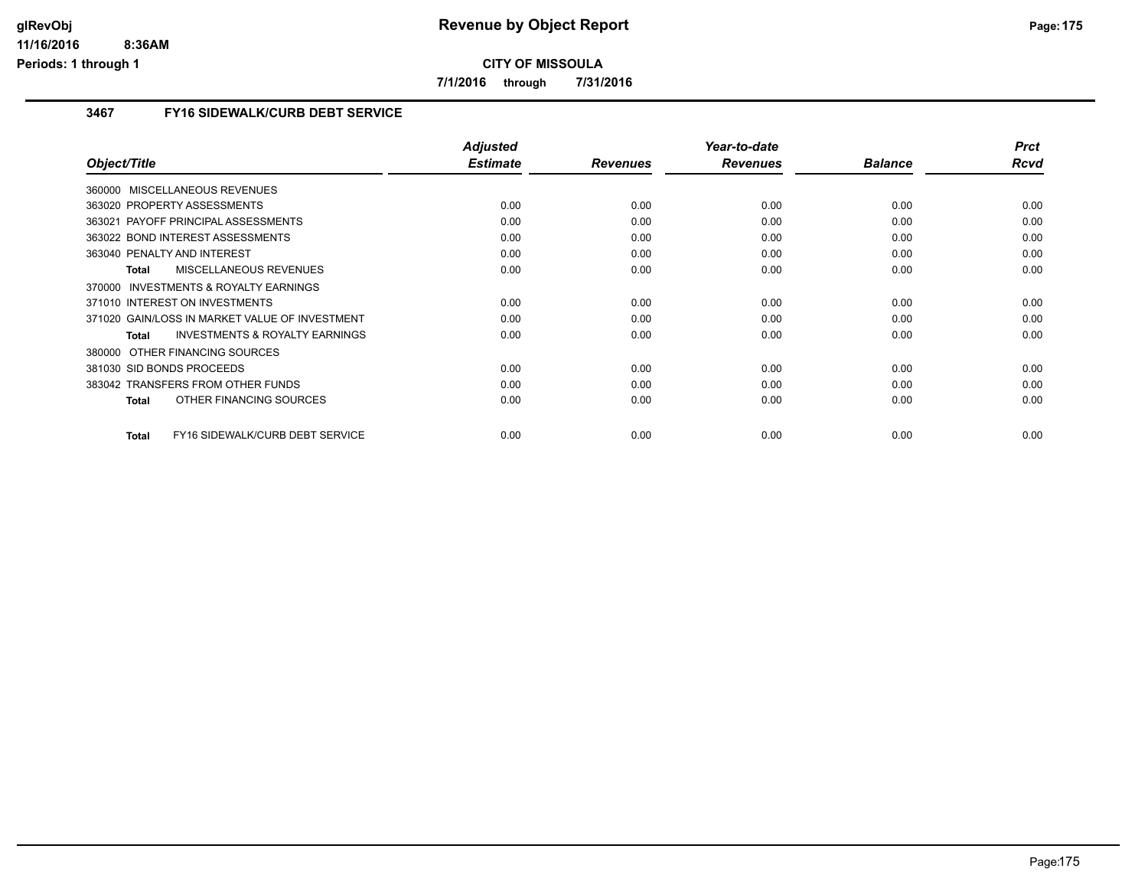**8:36AM**

**CITY OF MISSOULA**

**7/1/2016 through 7/31/2016**

# **3467 FY16 SIDEWALK/CURB DEBT SERVICE**

|                                                    | <b>Adjusted</b> |                 | Year-to-date    |                | <b>Prct</b> |
|----------------------------------------------------|-----------------|-----------------|-----------------|----------------|-------------|
| Object/Title                                       | <b>Estimate</b> | <b>Revenues</b> | <b>Revenues</b> | <b>Balance</b> | Rcvd        |
| 360000 MISCELLANEOUS REVENUES                      |                 |                 |                 |                |             |
| 363020 PROPERTY ASSESSMENTS                        | 0.00            | 0.00            | 0.00            | 0.00           | 0.00        |
| PAYOFF PRINCIPAL ASSESSMENTS<br>363021             | 0.00            | 0.00            | 0.00            | 0.00           | 0.00        |
| 363022 BOND INTEREST ASSESSMENTS                   | 0.00            | 0.00            | 0.00            | 0.00           | 0.00        |
| 363040 PENALTY AND INTEREST                        | 0.00            | 0.00            | 0.00            | 0.00           | 0.00        |
| <b>MISCELLANEOUS REVENUES</b><br>Total             | 0.00            | 0.00            | 0.00            | 0.00           | 0.00        |
| 370000 INVESTMENTS & ROYALTY EARNINGS              |                 |                 |                 |                |             |
| 371010 INTEREST ON INVESTMENTS                     | 0.00            | 0.00            | 0.00            | 0.00           | 0.00        |
| 371020 GAIN/LOSS IN MARKET VALUE OF INVESTMENT     | 0.00            | 0.00            | 0.00            | 0.00           | 0.00        |
| <b>INVESTMENTS &amp; ROYALTY EARNINGS</b><br>Total | 0.00            | 0.00            | 0.00            | 0.00           | 0.00        |
| OTHER FINANCING SOURCES<br>380000                  |                 |                 |                 |                |             |
| 381030 SID BONDS PROCEEDS                          | 0.00            | 0.00            | 0.00            | 0.00           | 0.00        |
| 383042 TRANSFERS FROM OTHER FUNDS                  | 0.00            | 0.00            | 0.00            | 0.00           | 0.00        |
| OTHER FINANCING SOURCES<br><b>Total</b>            | 0.00            | 0.00            | 0.00            | 0.00           | 0.00        |
|                                                    |                 |                 |                 |                |             |
| FY16 SIDEWALK/CURB DEBT SERVICE<br><b>Total</b>    | 0.00            | 0.00            | 0.00            | 0.00           | 0.00        |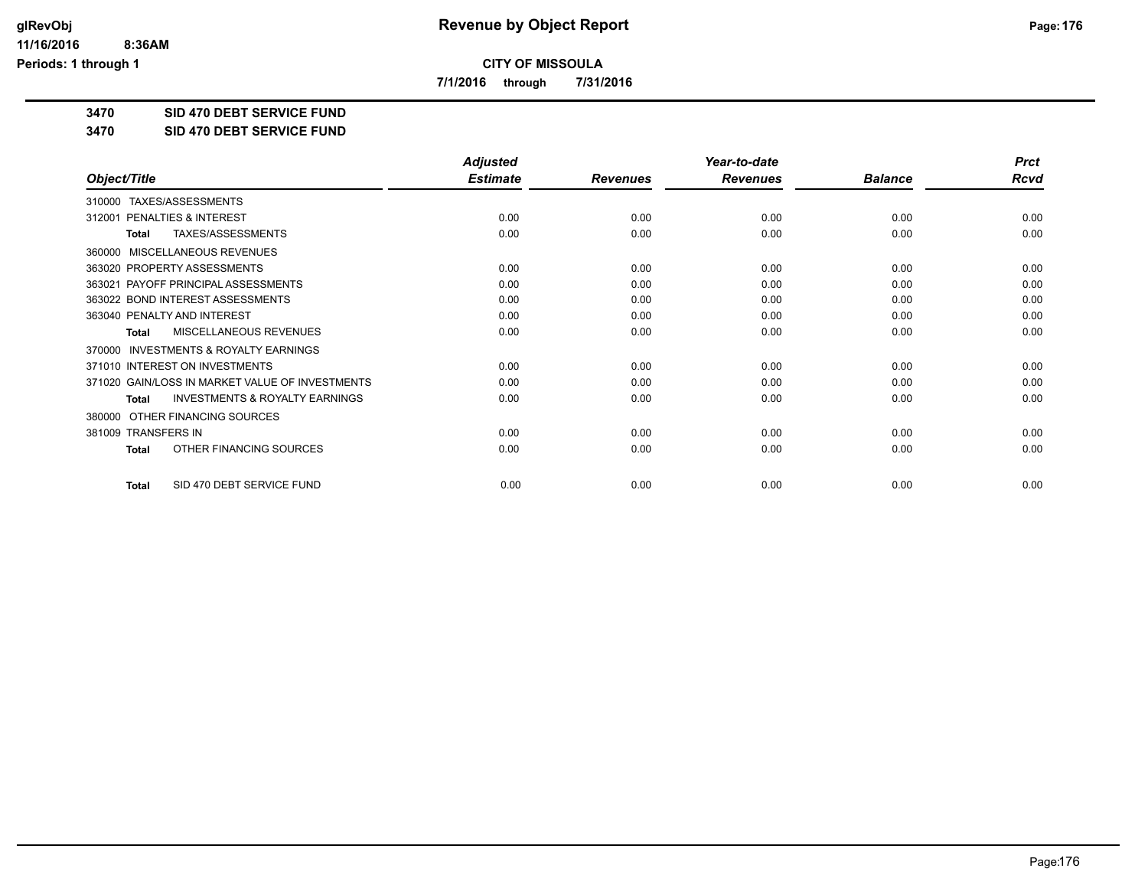**glRevObj Revenue by Object Report Page:176** 

**11/16/2016 8:36AM Periods: 1 through 1**

**CITY OF MISSOULA**

**7/1/2016 through 7/31/2016**

**3470 SID 470 DEBT SERVICE FUND**

**3470 SID 470 DEBT SERVICE FUND**

|                                                           | <b>Adjusted</b> |                 | Year-to-date    |                | <b>Prct</b> |
|-----------------------------------------------------------|-----------------|-----------------|-----------------|----------------|-------------|
| Object/Title                                              | <b>Estimate</b> | <b>Revenues</b> | <b>Revenues</b> | <b>Balance</b> | <b>Rcvd</b> |
| TAXES/ASSESSMENTS<br>310000                               |                 |                 |                 |                |             |
| PENALTIES & INTEREST<br>312001                            | 0.00            | 0.00            | 0.00            | 0.00           | 0.00        |
| TAXES/ASSESSMENTS<br><b>Total</b>                         | 0.00            | 0.00            | 0.00            | 0.00           | 0.00        |
| MISCELLANEOUS REVENUES<br>360000                          |                 |                 |                 |                |             |
| 363020 PROPERTY ASSESSMENTS                               | 0.00            | 0.00            | 0.00            | 0.00           | 0.00        |
| 363021 PAYOFF PRINCIPAL ASSESSMENTS                       | 0.00            | 0.00            | 0.00            | 0.00           | 0.00        |
| 363022 BOND INTEREST ASSESSMENTS                          | 0.00            | 0.00            | 0.00            | 0.00           | 0.00        |
| 363040 PENALTY AND INTEREST                               | 0.00            | 0.00            | 0.00            | 0.00           | 0.00        |
| MISCELLANEOUS REVENUES<br><b>Total</b>                    | 0.00            | 0.00            | 0.00            | 0.00           | 0.00        |
| <b>INVESTMENTS &amp; ROYALTY EARNINGS</b><br>370000       |                 |                 |                 |                |             |
| 371010 INTEREST ON INVESTMENTS                            | 0.00            | 0.00            | 0.00            | 0.00           | 0.00        |
| 371020 GAIN/LOSS IN MARKET VALUE OF INVESTMENTS           | 0.00            | 0.00            | 0.00            | 0.00           | 0.00        |
| <b>INVESTMENTS &amp; ROYALTY EARNINGS</b><br><b>Total</b> | 0.00            | 0.00            | 0.00            | 0.00           | 0.00        |
| OTHER FINANCING SOURCES<br>380000                         |                 |                 |                 |                |             |
| 381009 TRANSFERS IN                                       | 0.00            | 0.00            | 0.00            | 0.00           | 0.00        |
| OTHER FINANCING SOURCES<br><b>Total</b>                   | 0.00            | 0.00            | 0.00            | 0.00           | 0.00        |
| SID 470 DEBT SERVICE FUND<br><b>Total</b>                 | 0.00            | 0.00            | 0.00            | 0.00           | 0.00        |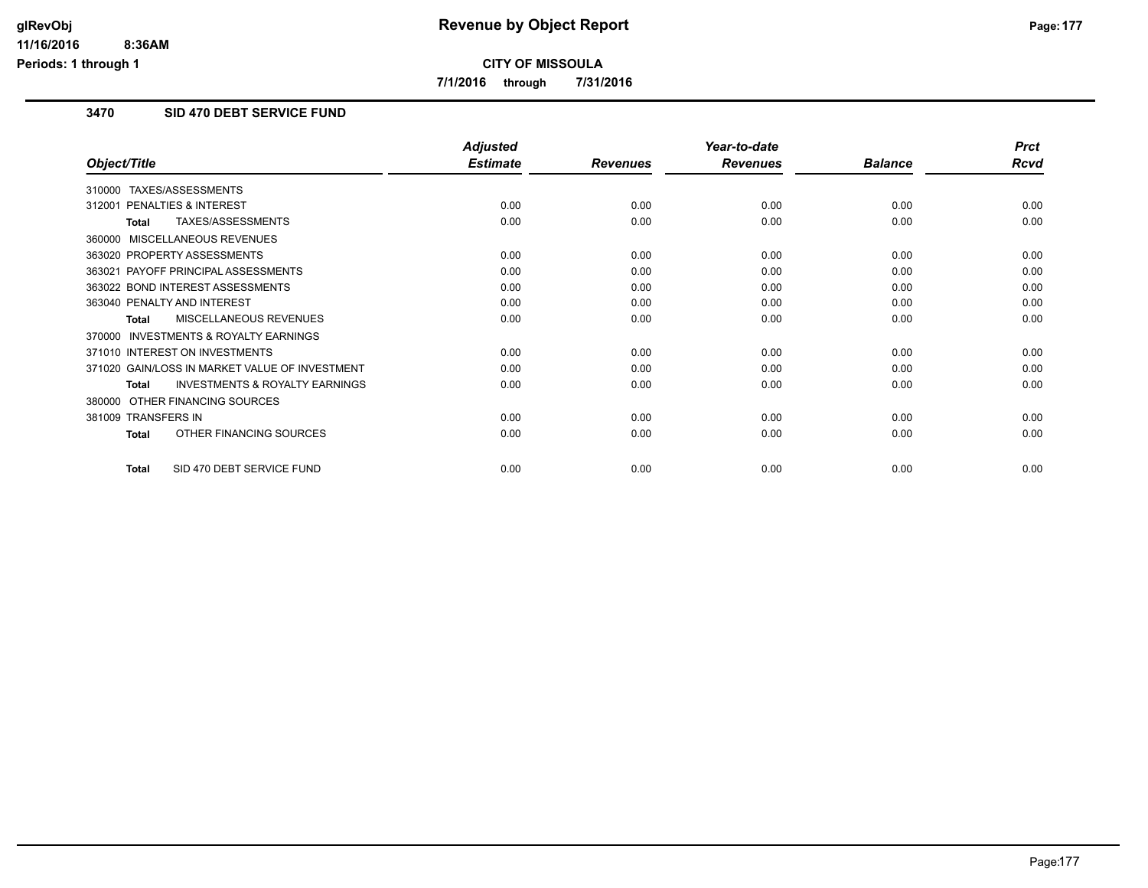**glRevObj Revenue by Object Report Page:177** 

**CITY OF MISSOULA**

**7/1/2016 through 7/31/2016**

# **3470 SID 470 DEBT SERVICE FUND**

 **8:36AM**

|                                                           | <b>Adjusted</b> |                 | Year-to-date    |                | <b>Prct</b> |
|-----------------------------------------------------------|-----------------|-----------------|-----------------|----------------|-------------|
| Object/Title                                              | <b>Estimate</b> | <b>Revenues</b> | <b>Revenues</b> | <b>Balance</b> | <b>Rcvd</b> |
| TAXES/ASSESSMENTS<br>310000                               |                 |                 |                 |                |             |
| 312001 PENALTIES & INTEREST                               | 0.00            | 0.00            | 0.00            | 0.00           | 0.00        |
| TAXES/ASSESSMENTS<br><b>Total</b>                         | 0.00            | 0.00            | 0.00            | 0.00           | 0.00        |
| 360000 MISCELLANEOUS REVENUES                             |                 |                 |                 |                |             |
| 363020 PROPERTY ASSESSMENTS                               | 0.00            | 0.00            | 0.00            | 0.00           | 0.00        |
| 363021 PAYOFF PRINCIPAL ASSESSMENTS                       | 0.00            | 0.00            | 0.00            | 0.00           | 0.00        |
| 363022 BOND INTEREST ASSESSMENTS                          | 0.00            | 0.00            | 0.00            | 0.00           | 0.00        |
| 363040 PENALTY AND INTEREST                               | 0.00            | 0.00            | 0.00            | 0.00           | 0.00        |
| MISCELLANEOUS REVENUES<br>Total                           | 0.00            | 0.00            | 0.00            | 0.00           | 0.00        |
| 370000 INVESTMENTS & ROYALTY EARNINGS                     |                 |                 |                 |                |             |
| 371010 INTEREST ON INVESTMENTS                            | 0.00            | 0.00            | 0.00            | 0.00           | 0.00        |
| 371020 GAIN/LOSS IN MARKET VALUE OF INVESTMENT            | 0.00            | 0.00            | 0.00            | 0.00           | 0.00        |
| <b>INVESTMENTS &amp; ROYALTY EARNINGS</b><br><b>Total</b> | 0.00            | 0.00            | 0.00            | 0.00           | 0.00        |
| 380000 OTHER FINANCING SOURCES                            |                 |                 |                 |                |             |
| 381009 TRANSFERS IN                                       | 0.00            | 0.00            | 0.00            | 0.00           | 0.00        |
| OTHER FINANCING SOURCES<br>Total                          | 0.00            | 0.00            | 0.00            | 0.00           | 0.00        |
| SID 470 DEBT SERVICE FUND<br><b>Total</b>                 | 0.00            | 0.00            | 0.00            | 0.00           | 0.00        |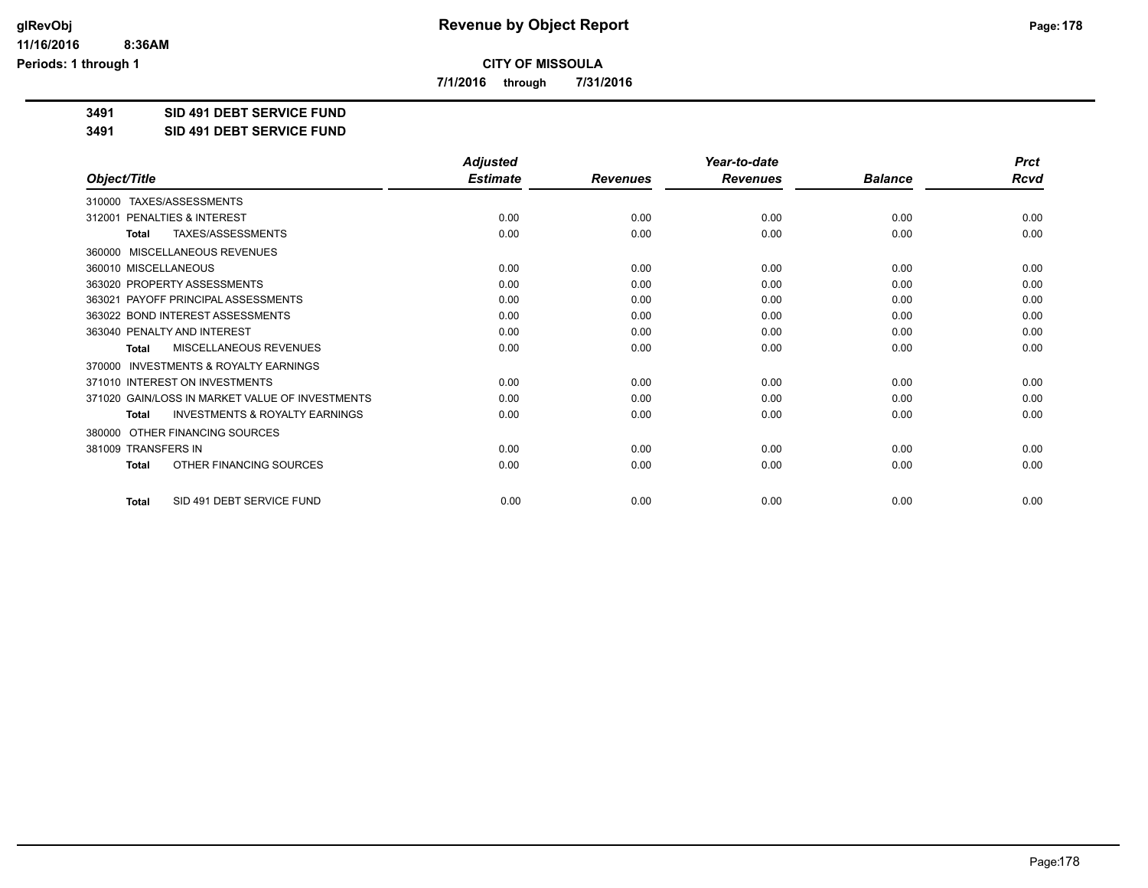**glRevObj Revenue by Object Report Page:178** 

**CITY OF MISSOULA**

**7/1/2016 through 7/31/2016**

**3491 SID 491 DEBT SERVICE FUND**

 **8:36AM**

**3491 SID 491 DEBT SERVICE FUND**

|                                                           | <b>Adjusted</b> |                 | Year-to-date    |                | <b>Prct</b> |
|-----------------------------------------------------------|-----------------|-----------------|-----------------|----------------|-------------|
| Object/Title                                              | <b>Estimate</b> | <b>Revenues</b> | <b>Revenues</b> | <b>Balance</b> | <b>Rcvd</b> |
| TAXES/ASSESSMENTS<br>310000                               |                 |                 |                 |                |             |
| PENALTIES & INTEREST<br>312001                            | 0.00            | 0.00            | 0.00            | 0.00           | 0.00        |
| TAXES/ASSESSMENTS<br>Total                                | 0.00            | 0.00            | 0.00            | 0.00           | 0.00        |
| MISCELLANEOUS REVENUES<br>360000                          |                 |                 |                 |                |             |
| 360010 MISCELLANEOUS                                      | 0.00            | 0.00            | 0.00            | 0.00           | 0.00        |
| 363020 PROPERTY ASSESSMENTS                               | 0.00            | 0.00            | 0.00            | 0.00           | 0.00        |
| 363021 PAYOFF PRINCIPAL ASSESSMENTS                       | 0.00            | 0.00            | 0.00            | 0.00           | 0.00        |
| 363022 BOND INTEREST ASSESSMENTS                          | 0.00            | 0.00            | 0.00            | 0.00           | 0.00        |
| 363040 PENALTY AND INTEREST                               | 0.00            | 0.00            | 0.00            | 0.00           | 0.00        |
| <b>MISCELLANEOUS REVENUES</b><br><b>Total</b>             | 0.00            | 0.00            | 0.00            | 0.00           | 0.00        |
| INVESTMENTS & ROYALTY EARNINGS<br>370000                  |                 |                 |                 |                |             |
| 371010 INTEREST ON INVESTMENTS                            | 0.00            | 0.00            | 0.00            | 0.00           | 0.00        |
| 371020 GAIN/LOSS IN MARKET VALUE OF INVESTMENTS           | 0.00            | 0.00            | 0.00            | 0.00           | 0.00        |
| <b>INVESTMENTS &amp; ROYALTY EARNINGS</b><br><b>Total</b> | 0.00            | 0.00            | 0.00            | 0.00           | 0.00        |
| OTHER FINANCING SOURCES<br>380000                         |                 |                 |                 |                |             |
| 381009 TRANSFERS IN                                       | 0.00            | 0.00            | 0.00            | 0.00           | 0.00        |
| OTHER FINANCING SOURCES<br><b>Total</b>                   | 0.00            | 0.00            | 0.00            | 0.00           | 0.00        |
| SID 491 DEBT SERVICE FUND<br><b>Total</b>                 | 0.00            | 0.00            | 0.00            | 0.00           | 0.00        |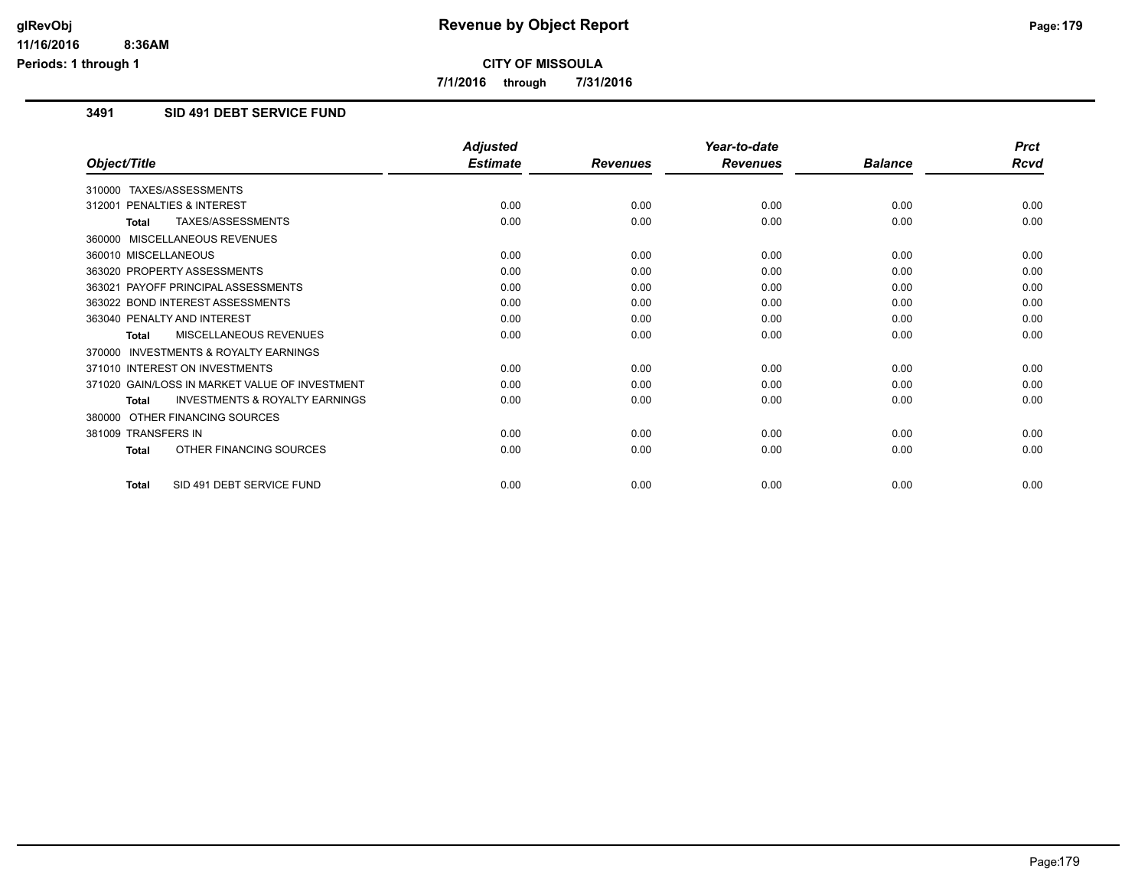**CITY OF MISSOULA**

**7/1/2016 through 7/31/2016**

# **3491 SID 491 DEBT SERVICE FUND**

 **8:36AM**

|                                                           | <b>Adjusted</b> |                 | Year-to-date    |                | <b>Prct</b> |
|-----------------------------------------------------------|-----------------|-----------------|-----------------|----------------|-------------|
| Object/Title                                              | <b>Estimate</b> | <b>Revenues</b> | <b>Revenues</b> | <b>Balance</b> | <b>Rcvd</b> |
| 310000 TAXES/ASSESSMENTS                                  |                 |                 |                 |                |             |
| PENALTIES & INTEREST<br>312001                            | 0.00            | 0.00            | 0.00            | 0.00           | 0.00        |
| TAXES/ASSESSMENTS<br><b>Total</b>                         | 0.00            | 0.00            | 0.00            | 0.00           | 0.00        |
| 360000 MISCELLANEOUS REVENUES                             |                 |                 |                 |                |             |
| 360010 MISCELLANEOUS                                      | 0.00            | 0.00            | 0.00            | 0.00           | 0.00        |
| 363020 PROPERTY ASSESSMENTS                               | 0.00            | 0.00            | 0.00            | 0.00           | 0.00        |
| 363021 PAYOFF PRINCIPAL ASSESSMENTS                       | 0.00            | 0.00            | 0.00            | 0.00           | 0.00        |
| 363022 BOND INTEREST ASSESSMENTS                          | 0.00            | 0.00            | 0.00            | 0.00           | 0.00        |
| 363040 PENALTY AND INTEREST                               | 0.00            | 0.00            | 0.00            | 0.00           | 0.00        |
| MISCELLANEOUS REVENUES<br><b>Total</b>                    | 0.00            | 0.00            | 0.00            | 0.00           | 0.00        |
| INVESTMENTS & ROYALTY EARNINGS<br>370000                  |                 |                 |                 |                |             |
| 371010 INTEREST ON INVESTMENTS                            | 0.00            | 0.00            | 0.00            | 0.00           | 0.00        |
| 371020 GAIN/LOSS IN MARKET VALUE OF INVESTMENT            | 0.00            | 0.00            | 0.00            | 0.00           | 0.00        |
| <b>INVESTMENTS &amp; ROYALTY EARNINGS</b><br><b>Total</b> | 0.00            | 0.00            | 0.00            | 0.00           | 0.00        |
| OTHER FINANCING SOURCES<br>380000                         |                 |                 |                 |                |             |
| 381009 TRANSFERS IN                                       | 0.00            | 0.00            | 0.00            | 0.00           | 0.00        |
| OTHER FINANCING SOURCES<br><b>Total</b>                   | 0.00            | 0.00            | 0.00            | 0.00           | 0.00        |
| SID 491 DEBT SERVICE FUND<br><b>Total</b>                 | 0.00            | 0.00            | 0.00            | 0.00           | 0.00        |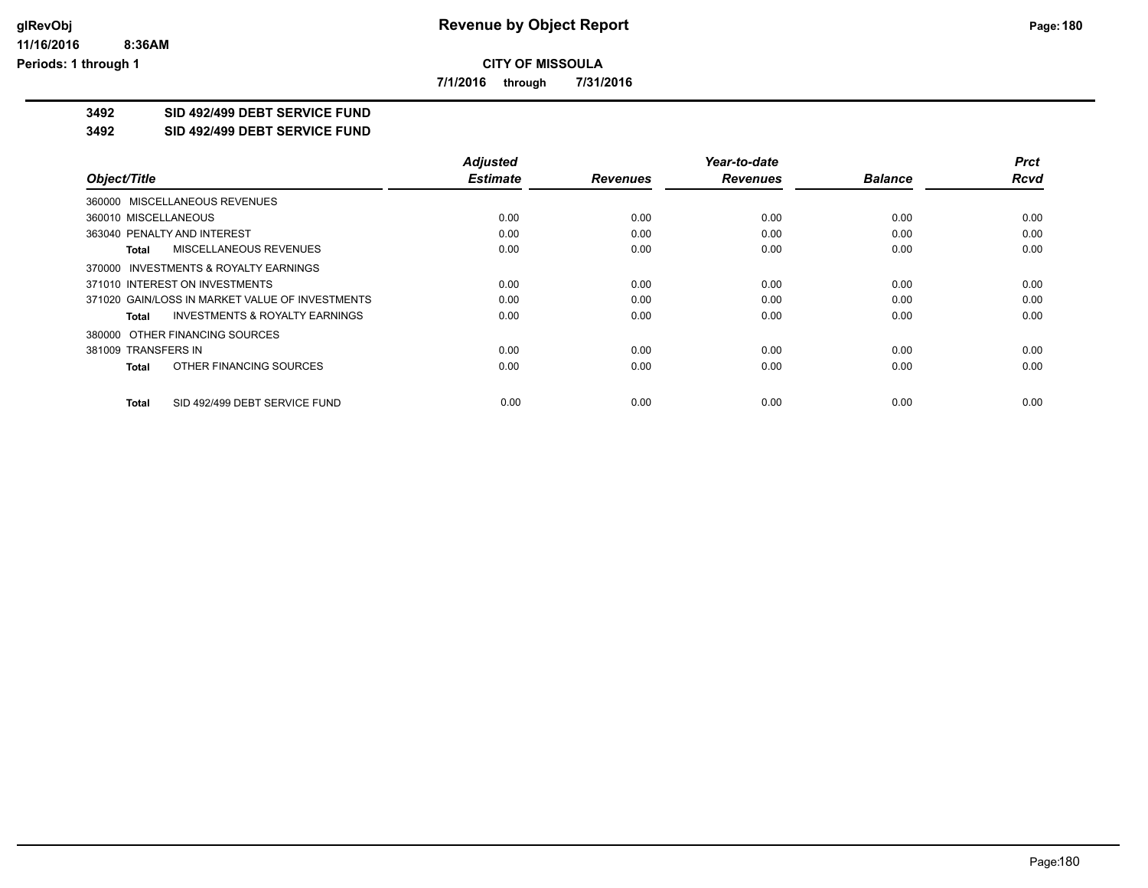**glRevObj Revenue by Object Report Page:180** 

**CITY OF MISSOULA**

**7/1/2016 through 7/31/2016**

**3492 SID 492/499 DEBT SERVICE FUND**

 **8:36AM**

**3492 SID 492/499 DEBT SERVICE FUND**

|                                                    | <b>Adjusted</b> |                 | Year-to-date    |                | <b>Prct</b> |
|----------------------------------------------------|-----------------|-----------------|-----------------|----------------|-------------|
| Object/Title                                       | <b>Estimate</b> | <b>Revenues</b> | <b>Revenues</b> | <b>Balance</b> | <b>Rcvd</b> |
| 360000 MISCELLANEOUS REVENUES                      |                 |                 |                 |                |             |
| 360010 MISCELLANEOUS                               | 0.00            | 0.00            | 0.00            | 0.00           | 0.00        |
| 363040 PENALTY AND INTEREST                        | 0.00            | 0.00            | 0.00            | 0.00           | 0.00        |
| <b>MISCELLANEOUS REVENUES</b><br>Total             | 0.00            | 0.00            | 0.00            | 0.00           | 0.00        |
| 370000 INVESTMENTS & ROYALTY EARNINGS              |                 |                 |                 |                |             |
| 371010 INTEREST ON INVESTMENTS                     | 0.00            | 0.00            | 0.00            | 0.00           | 0.00        |
| 371020 GAIN/LOSS IN MARKET VALUE OF INVESTMENTS    | 0.00            | 0.00            | 0.00            | 0.00           | 0.00        |
| <b>INVESTMENTS &amp; ROYALTY EARNINGS</b><br>Total | 0.00            | 0.00            | 0.00            | 0.00           | 0.00        |
| 380000 OTHER FINANCING SOURCES                     |                 |                 |                 |                |             |
| 381009 TRANSFERS IN                                | 0.00            | 0.00            | 0.00            | 0.00           | 0.00        |
| OTHER FINANCING SOURCES<br><b>Total</b>            | 0.00            | 0.00            | 0.00            | 0.00           | 0.00        |
| SID 492/499 DEBT SERVICE FUND<br><b>Total</b>      | 0.00            | 0.00            | 0.00            | 0.00           | 0.00        |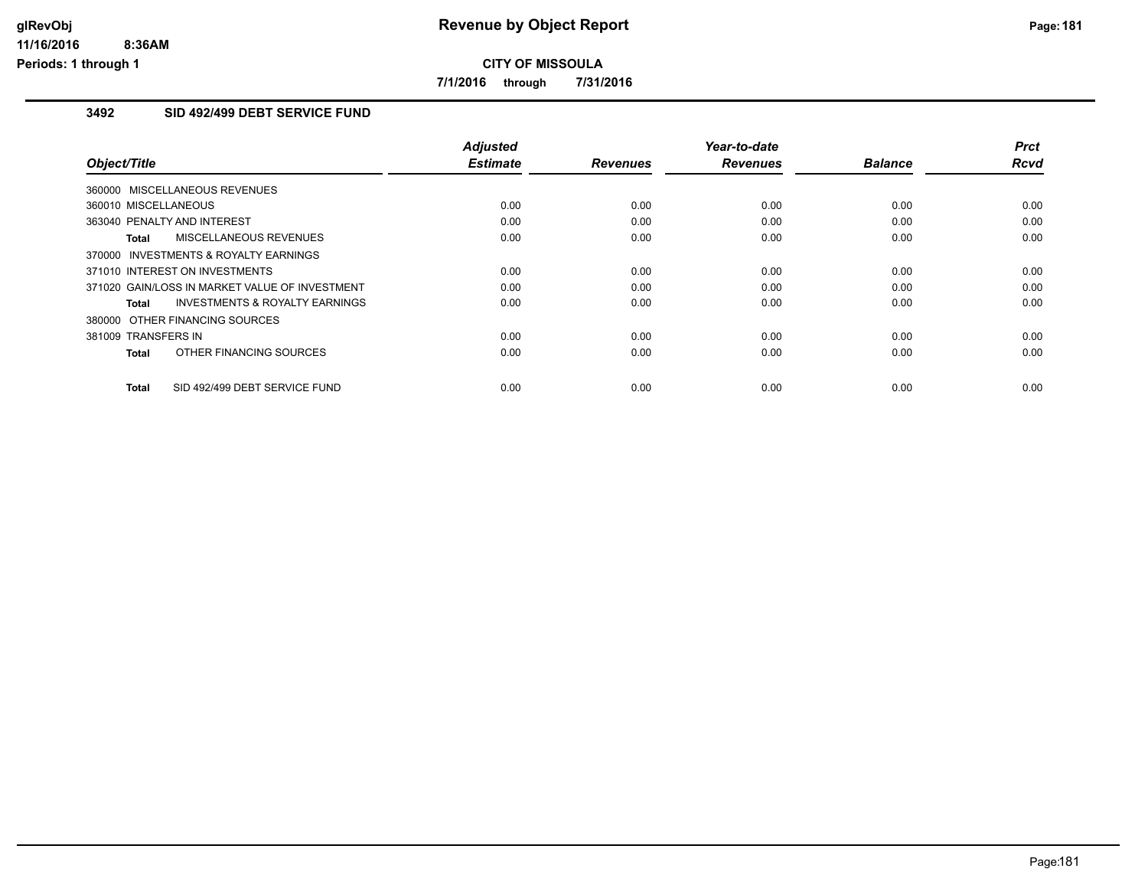**CITY OF MISSOULA**

**7/1/2016 through 7/31/2016**

#### **3492 SID 492/499 DEBT SERVICE FUND**

| Object/Title                                       | <b>Adjusted</b><br><b>Estimate</b> | <b>Revenues</b> | Year-to-date<br><b>Revenues</b> | <b>Balance</b> | <b>Prct</b><br><b>Rcvd</b> |
|----------------------------------------------------|------------------------------------|-----------------|---------------------------------|----------------|----------------------------|
| 360000 MISCELLANEOUS REVENUES                      |                                    |                 |                                 |                |                            |
| 360010 MISCELLANEOUS                               | 0.00                               | 0.00            | 0.00                            | 0.00           | 0.00                       |
| 363040 PENALTY AND INTEREST                        | 0.00                               | 0.00            | 0.00                            | 0.00           | 0.00                       |
| MISCELLANEOUS REVENUES<br>Total                    | 0.00                               | 0.00            | 0.00                            | 0.00           | 0.00                       |
| 370000 INVESTMENTS & ROYALTY EARNINGS              |                                    |                 |                                 |                |                            |
| 371010 INTEREST ON INVESTMENTS                     | 0.00                               | 0.00            | 0.00                            | 0.00           | 0.00                       |
| 371020 GAIN/LOSS IN MARKET VALUE OF INVESTMENT     | 0.00                               | 0.00            | 0.00                            | 0.00           | 0.00                       |
| <b>INVESTMENTS &amp; ROYALTY EARNINGS</b><br>Total | 0.00                               | 0.00            | 0.00                            | 0.00           | 0.00                       |
| 380000 OTHER FINANCING SOURCES                     |                                    |                 |                                 |                |                            |
| 381009 TRANSFERS IN                                | 0.00                               | 0.00            | 0.00                            | 0.00           | 0.00                       |
| OTHER FINANCING SOURCES<br><b>Total</b>            | 0.00                               | 0.00            | 0.00                            | 0.00           | 0.00                       |
| SID 492/499 DEBT SERVICE FUND<br><b>Total</b>      | 0.00                               | 0.00            | 0.00                            | 0.00           | 0.00                       |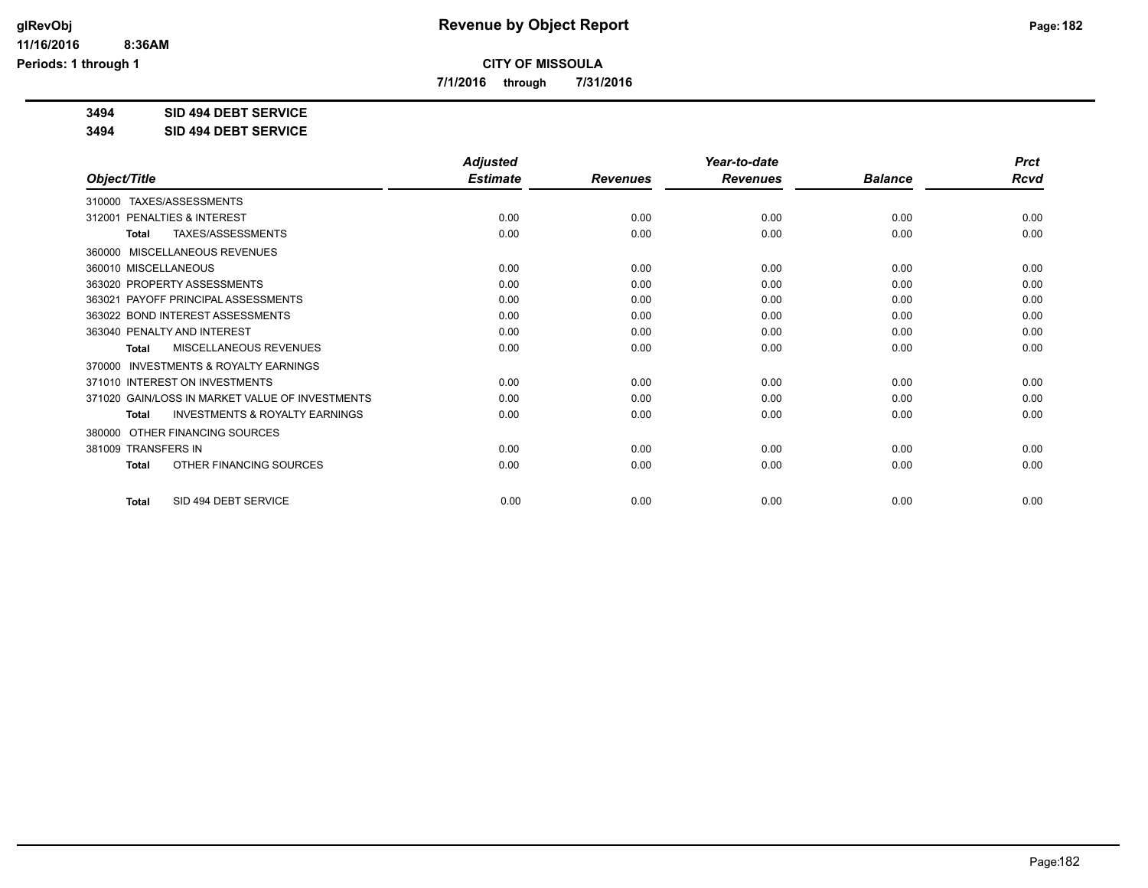**CITY OF MISSOULA**

**7/1/2016 through 7/31/2016**

 **8:36AM**

**3494 SID 494 DEBT SERVICE**

**3494 SID 494 DEBT SERVICE**

|                                                           | <b>Adjusted</b> |                 | Year-to-date    |                | <b>Prct</b> |
|-----------------------------------------------------------|-----------------|-----------------|-----------------|----------------|-------------|
| Object/Title                                              | <b>Estimate</b> | <b>Revenues</b> | <b>Revenues</b> | <b>Balance</b> | <b>Rcvd</b> |
| 310000 TAXES/ASSESSMENTS                                  |                 |                 |                 |                |             |
| PENALTIES & INTEREST<br>312001                            | 0.00            | 0.00            | 0.00            | 0.00           | 0.00        |
| TAXES/ASSESSMENTS<br><b>Total</b>                         | 0.00            | 0.00            | 0.00            | 0.00           | 0.00        |
| MISCELLANEOUS REVENUES<br>360000                          |                 |                 |                 |                |             |
| 360010 MISCELLANEOUS                                      | 0.00            | 0.00            | 0.00            | 0.00           | 0.00        |
| 363020 PROPERTY ASSESSMENTS                               | 0.00            | 0.00            | 0.00            | 0.00           | 0.00        |
| 363021 PAYOFF PRINCIPAL ASSESSMENTS                       | 0.00            | 0.00            | 0.00            | 0.00           | 0.00        |
| 363022 BOND INTEREST ASSESSMENTS                          | 0.00            | 0.00            | 0.00            | 0.00           | 0.00        |
| 363040 PENALTY AND INTEREST                               | 0.00            | 0.00            | 0.00            | 0.00           | 0.00        |
| MISCELLANEOUS REVENUES<br>Total                           | 0.00            | 0.00            | 0.00            | 0.00           | 0.00        |
| <b>INVESTMENTS &amp; ROYALTY EARNINGS</b><br>370000       |                 |                 |                 |                |             |
| 371010 INTEREST ON INVESTMENTS                            | 0.00            | 0.00            | 0.00            | 0.00           | 0.00        |
| 371020 GAIN/LOSS IN MARKET VALUE OF INVESTMENTS           | 0.00            | 0.00            | 0.00            | 0.00           | 0.00        |
| <b>INVESTMENTS &amp; ROYALTY EARNINGS</b><br><b>Total</b> | 0.00            | 0.00            | 0.00            | 0.00           | 0.00        |
| OTHER FINANCING SOURCES<br>380000                         |                 |                 |                 |                |             |
| 381009 TRANSFERS IN                                       | 0.00            | 0.00            | 0.00            | 0.00           | 0.00        |
| OTHER FINANCING SOURCES<br><b>Total</b>                   | 0.00            | 0.00            | 0.00            | 0.00           | 0.00        |
| SID 494 DEBT SERVICE<br><b>Total</b>                      | 0.00            | 0.00            | 0.00            | 0.00           | 0.00        |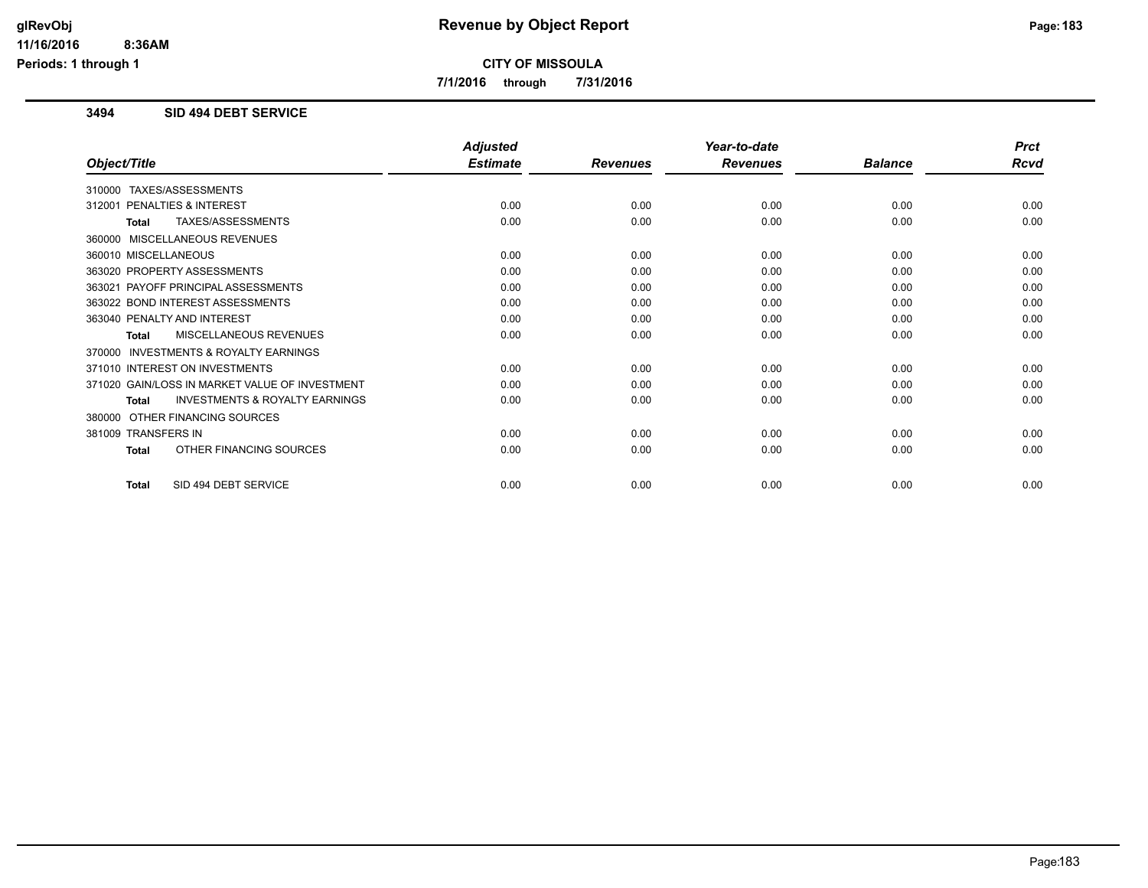**CITY OF MISSOULA**

**7/1/2016 through 7/31/2016**

#### **3494 SID 494 DEBT SERVICE**

|                                                           | <b>Adjusted</b> |                 | Year-to-date    |                | <b>Prct</b> |
|-----------------------------------------------------------|-----------------|-----------------|-----------------|----------------|-------------|
| Object/Title                                              | <b>Estimate</b> | <b>Revenues</b> | <b>Revenues</b> | <b>Balance</b> | <b>Rcvd</b> |
| 310000 TAXES/ASSESSMENTS                                  |                 |                 |                 |                |             |
| PENALTIES & INTEREST<br>312001                            | 0.00            | 0.00            | 0.00            | 0.00           | 0.00        |
| TAXES/ASSESSMENTS<br><b>Total</b>                         | 0.00            | 0.00            | 0.00            | 0.00           | 0.00        |
| 360000 MISCELLANEOUS REVENUES                             |                 |                 |                 |                |             |
| 360010 MISCELLANEOUS                                      | 0.00            | 0.00            | 0.00            | 0.00           | 0.00        |
| 363020 PROPERTY ASSESSMENTS                               | 0.00            | 0.00            | 0.00            | 0.00           | 0.00        |
| 363021 PAYOFF PRINCIPAL ASSESSMENTS                       | 0.00            | 0.00            | 0.00            | 0.00           | 0.00        |
| 363022 BOND INTEREST ASSESSMENTS                          | 0.00            | 0.00            | 0.00            | 0.00           | 0.00        |
| 363040 PENALTY AND INTEREST                               | 0.00            | 0.00            | 0.00            | 0.00           | 0.00        |
| MISCELLANEOUS REVENUES<br><b>Total</b>                    | 0.00            | 0.00            | 0.00            | 0.00           | 0.00        |
| <b>INVESTMENTS &amp; ROYALTY EARNINGS</b><br>370000       |                 |                 |                 |                |             |
| 371010 INTEREST ON INVESTMENTS                            | 0.00            | 0.00            | 0.00            | 0.00           | 0.00        |
| 371020 GAIN/LOSS IN MARKET VALUE OF INVESTMENT            | 0.00            | 0.00            | 0.00            | 0.00           | 0.00        |
| <b>INVESTMENTS &amp; ROYALTY EARNINGS</b><br><b>Total</b> | 0.00            | 0.00            | 0.00            | 0.00           | 0.00        |
| OTHER FINANCING SOURCES<br>380000                         |                 |                 |                 |                |             |
| 381009 TRANSFERS IN                                       | 0.00            | 0.00            | 0.00            | 0.00           | 0.00        |
| OTHER FINANCING SOURCES<br><b>Total</b>                   | 0.00            | 0.00            | 0.00            | 0.00           | 0.00        |
| SID 494 DEBT SERVICE<br><b>Total</b>                      | 0.00            | 0.00            | 0.00            | 0.00           | 0.00        |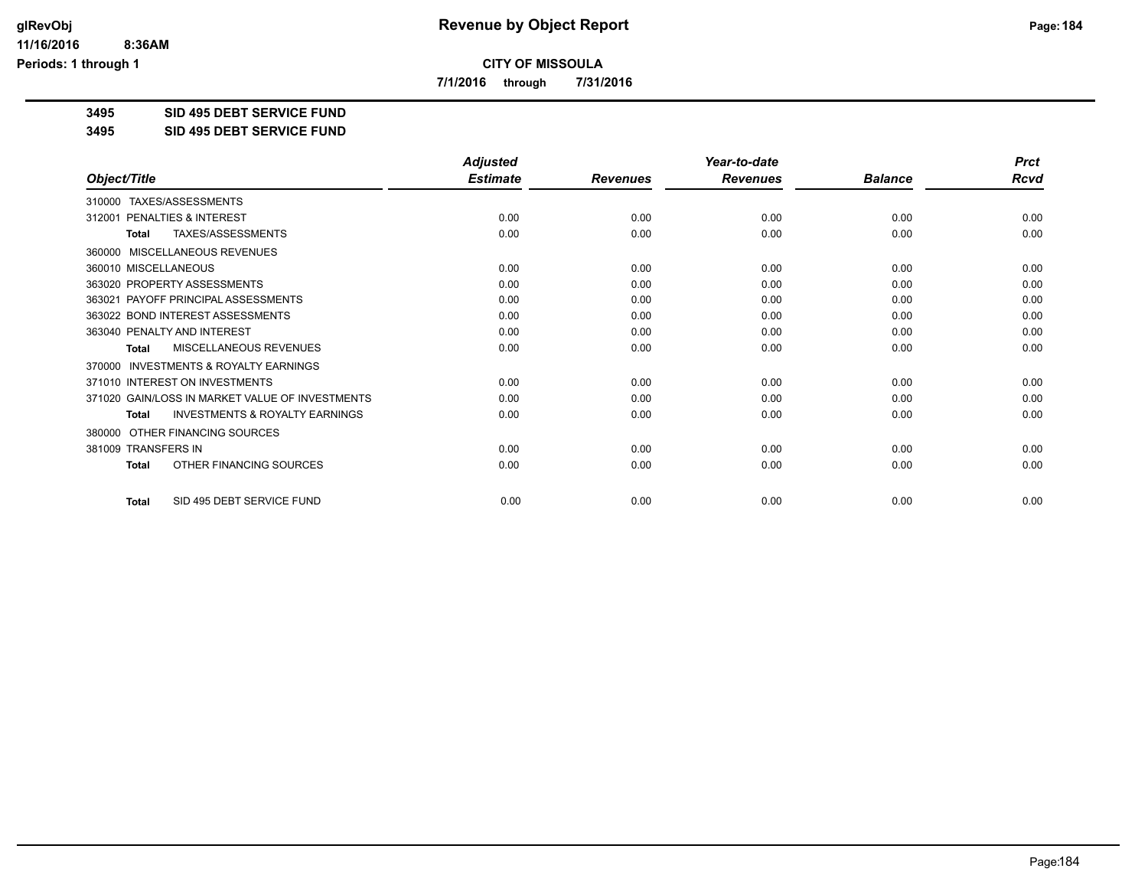**glRevObj Revenue by Object Report Page:184** 

**CITY OF MISSOULA**

**7/1/2016 through 7/31/2016**

**3495 SID 495 DEBT SERVICE FUND**

 **8:36AM**

**3495 SID 495 DEBT SERVICE FUND**

|                                                           | <b>Adjusted</b> |                 | Year-to-date    |                | <b>Prct</b> |
|-----------------------------------------------------------|-----------------|-----------------|-----------------|----------------|-------------|
| Object/Title                                              | <b>Estimate</b> | <b>Revenues</b> | <b>Revenues</b> | <b>Balance</b> | <b>Rcvd</b> |
| 310000 TAXES/ASSESSMENTS                                  |                 |                 |                 |                |             |
| PENALTIES & INTEREST<br>312001                            | 0.00            | 0.00            | 0.00            | 0.00           | 0.00        |
| TAXES/ASSESSMENTS<br>Total                                | 0.00            | 0.00            | 0.00            | 0.00           | 0.00        |
| MISCELLANEOUS REVENUES<br>360000                          |                 |                 |                 |                |             |
| 360010 MISCELLANEOUS                                      | 0.00            | 0.00            | 0.00            | 0.00           | 0.00        |
| 363020 PROPERTY ASSESSMENTS                               | 0.00            | 0.00            | 0.00            | 0.00           | 0.00        |
| 363021 PAYOFF PRINCIPAL ASSESSMENTS                       | 0.00            | 0.00            | 0.00            | 0.00           | 0.00        |
| 363022 BOND INTEREST ASSESSMENTS                          | 0.00            | 0.00            | 0.00            | 0.00           | 0.00        |
| 363040 PENALTY AND INTEREST                               | 0.00            | 0.00            | 0.00            | 0.00           | 0.00        |
| MISCELLANEOUS REVENUES<br>Total                           | 0.00            | 0.00            | 0.00            | 0.00           | 0.00        |
| INVESTMENTS & ROYALTY EARNINGS<br>370000                  |                 |                 |                 |                |             |
| 371010 INTEREST ON INVESTMENTS                            | 0.00            | 0.00            | 0.00            | 0.00           | 0.00        |
| 371020 GAIN/LOSS IN MARKET VALUE OF INVESTMENTS           | 0.00            | 0.00            | 0.00            | 0.00           | 0.00        |
| <b>INVESTMENTS &amp; ROYALTY EARNINGS</b><br><b>Total</b> | 0.00            | 0.00            | 0.00            | 0.00           | 0.00        |
| OTHER FINANCING SOURCES<br>380000                         |                 |                 |                 |                |             |
| 381009 TRANSFERS IN                                       | 0.00            | 0.00            | 0.00            | 0.00           | 0.00        |
| OTHER FINANCING SOURCES<br>Total                          | 0.00            | 0.00            | 0.00            | 0.00           | 0.00        |
| SID 495 DEBT SERVICE FUND<br><b>Total</b>                 | 0.00            | 0.00            | 0.00            | 0.00           | 0.00        |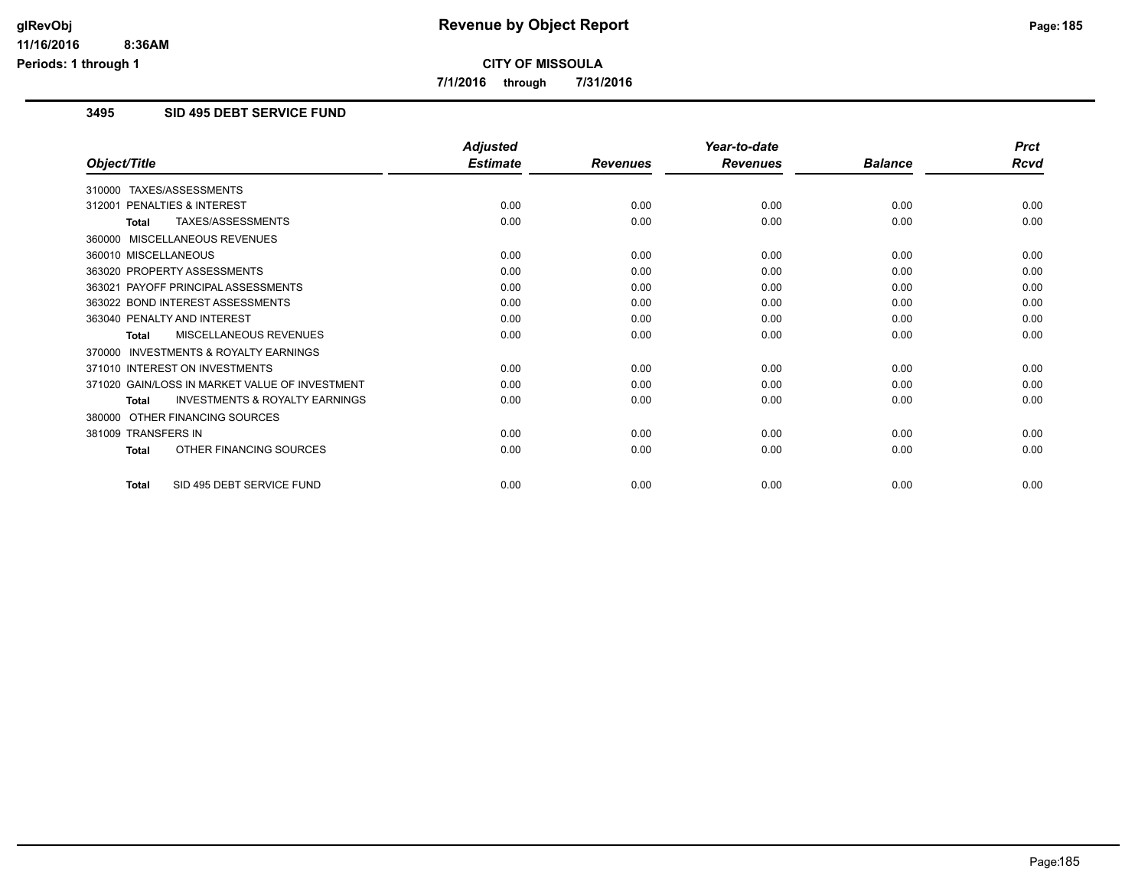**11/16/2016 8:36AM Periods: 1 through 1**

**CITY OF MISSOULA**

**7/1/2016 through 7/31/2016**

# **3495 SID 495 DEBT SERVICE FUND**

|                                                           | <b>Adjusted</b> |                 | Year-to-date    |                | <b>Prct</b> |
|-----------------------------------------------------------|-----------------|-----------------|-----------------|----------------|-------------|
| Object/Title                                              | <b>Estimate</b> | <b>Revenues</b> | <b>Revenues</b> | <b>Balance</b> | <b>Rcvd</b> |
| 310000 TAXES/ASSESSMENTS                                  |                 |                 |                 |                |             |
| PENALTIES & INTEREST<br>312001                            | 0.00            | 0.00            | 0.00            | 0.00           | 0.00        |
| <b>TAXES/ASSESSMENTS</b><br><b>Total</b>                  | 0.00            | 0.00            | 0.00            | 0.00           | 0.00        |
| 360000 MISCELLANEOUS REVENUES                             |                 |                 |                 |                |             |
| 360010 MISCELLANEOUS                                      | 0.00            | 0.00            | 0.00            | 0.00           | 0.00        |
| 363020 PROPERTY ASSESSMENTS                               | 0.00            | 0.00            | 0.00            | 0.00           | 0.00        |
| 363021 PAYOFF PRINCIPAL ASSESSMENTS                       | 0.00            | 0.00            | 0.00            | 0.00           | 0.00        |
| 363022 BOND INTEREST ASSESSMENTS                          | 0.00            | 0.00            | 0.00            | 0.00           | 0.00        |
| 363040 PENALTY AND INTEREST                               | 0.00            | 0.00            | 0.00            | 0.00           | 0.00        |
| <b>MISCELLANEOUS REVENUES</b><br><b>Total</b>             | 0.00            | 0.00            | 0.00            | 0.00           | 0.00        |
| <b>INVESTMENTS &amp; ROYALTY EARNINGS</b><br>370000       |                 |                 |                 |                |             |
| 371010 INTEREST ON INVESTMENTS                            | 0.00            | 0.00            | 0.00            | 0.00           | 0.00        |
| 371020 GAIN/LOSS IN MARKET VALUE OF INVESTMENT            | 0.00            | 0.00            | 0.00            | 0.00           | 0.00        |
| <b>INVESTMENTS &amp; ROYALTY EARNINGS</b><br><b>Total</b> | 0.00            | 0.00            | 0.00            | 0.00           | 0.00        |
| OTHER FINANCING SOURCES<br>380000                         |                 |                 |                 |                |             |
| 381009 TRANSFERS IN                                       | 0.00            | 0.00            | 0.00            | 0.00           | 0.00        |
| OTHER FINANCING SOURCES<br><b>Total</b>                   | 0.00            | 0.00            | 0.00            | 0.00           | 0.00        |
| SID 495 DEBT SERVICE FUND<br><b>Total</b>                 | 0.00            | 0.00            | 0.00            | 0.00           | 0.00        |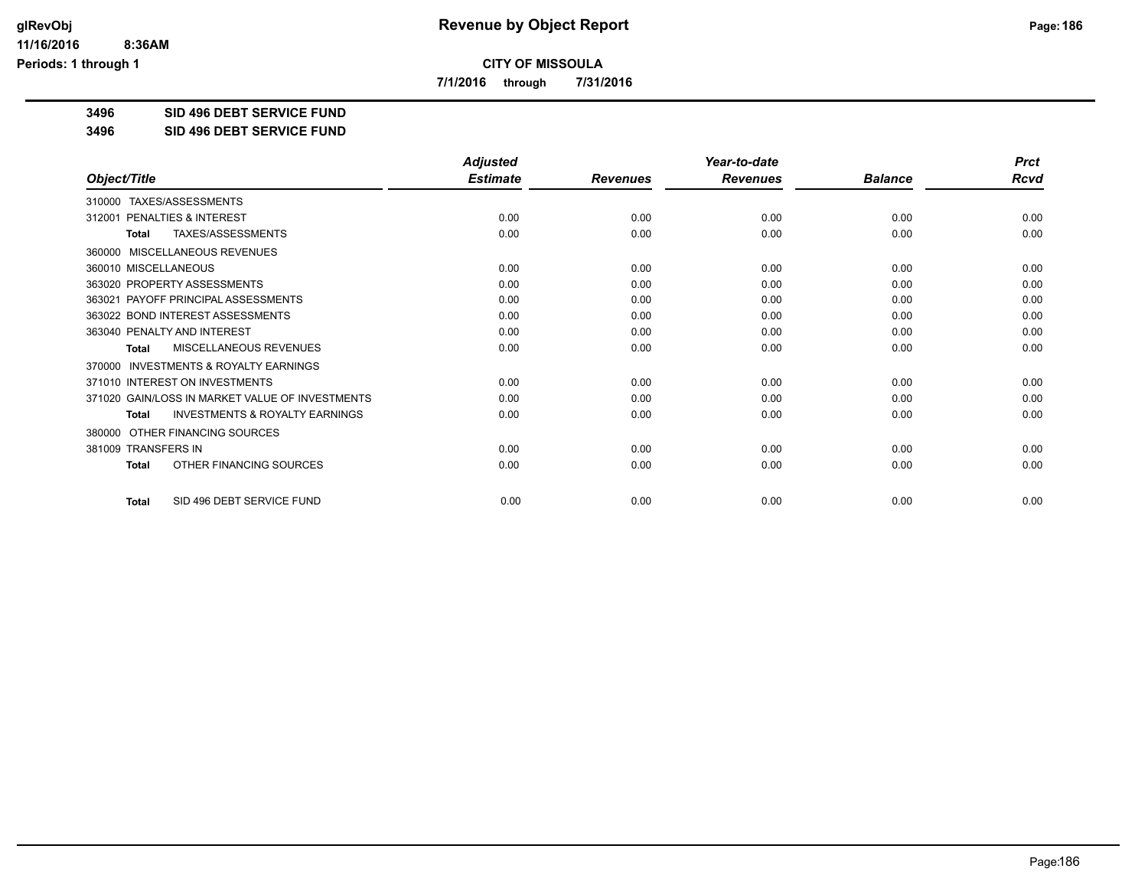**glRevObj Revenue by Object Report Page:186** 

**CITY OF MISSOULA**

**7/1/2016 through 7/31/2016**

**3496 SID 496 DEBT SERVICE FUND**

 **8:36AM**

**3496 SID 496 DEBT SERVICE FUND**

|                                                           | <b>Adjusted</b> |                 | Year-to-date    |                | <b>Prct</b> |
|-----------------------------------------------------------|-----------------|-----------------|-----------------|----------------|-------------|
| Object/Title                                              | <b>Estimate</b> | <b>Revenues</b> | <b>Revenues</b> | <b>Balance</b> | <b>Rcvd</b> |
| TAXES/ASSESSMENTS<br>310000                               |                 |                 |                 |                |             |
| PENALTIES & INTEREST<br>312001                            | 0.00            | 0.00            | 0.00            | 0.00           | 0.00        |
| TAXES/ASSESSMENTS<br>Total                                | 0.00            | 0.00            | 0.00            | 0.00           | 0.00        |
| MISCELLANEOUS REVENUES<br>360000                          |                 |                 |                 |                |             |
| 360010 MISCELLANEOUS                                      | 0.00            | 0.00            | 0.00            | 0.00           | 0.00        |
| 363020 PROPERTY ASSESSMENTS                               | 0.00            | 0.00            | 0.00            | 0.00           | 0.00        |
| 363021 PAYOFF PRINCIPAL ASSESSMENTS                       | 0.00            | 0.00            | 0.00            | 0.00           | 0.00        |
| 363022 BOND INTEREST ASSESSMENTS                          | 0.00            | 0.00            | 0.00            | 0.00           | 0.00        |
| 363040 PENALTY AND INTEREST                               | 0.00            | 0.00            | 0.00            | 0.00           | 0.00        |
| MISCELLANEOUS REVENUES<br>Total                           | 0.00            | 0.00            | 0.00            | 0.00           | 0.00        |
| <b>INVESTMENTS &amp; ROYALTY EARNINGS</b><br>370000       |                 |                 |                 |                |             |
| 371010 INTEREST ON INVESTMENTS                            | 0.00            | 0.00            | 0.00            | 0.00           | 0.00        |
| 371020 GAIN/LOSS IN MARKET VALUE OF INVESTMENTS           | 0.00            | 0.00            | 0.00            | 0.00           | 0.00        |
| <b>INVESTMENTS &amp; ROYALTY EARNINGS</b><br><b>Total</b> | 0.00            | 0.00            | 0.00            | 0.00           | 0.00        |
| OTHER FINANCING SOURCES<br>380000                         |                 |                 |                 |                |             |
| 381009 TRANSFERS IN                                       | 0.00            | 0.00            | 0.00            | 0.00           | 0.00        |
| OTHER FINANCING SOURCES<br><b>Total</b>                   | 0.00            | 0.00            | 0.00            | 0.00           | 0.00        |
| SID 496 DEBT SERVICE FUND<br><b>Total</b>                 | 0.00            | 0.00            | 0.00            | 0.00           | 0.00        |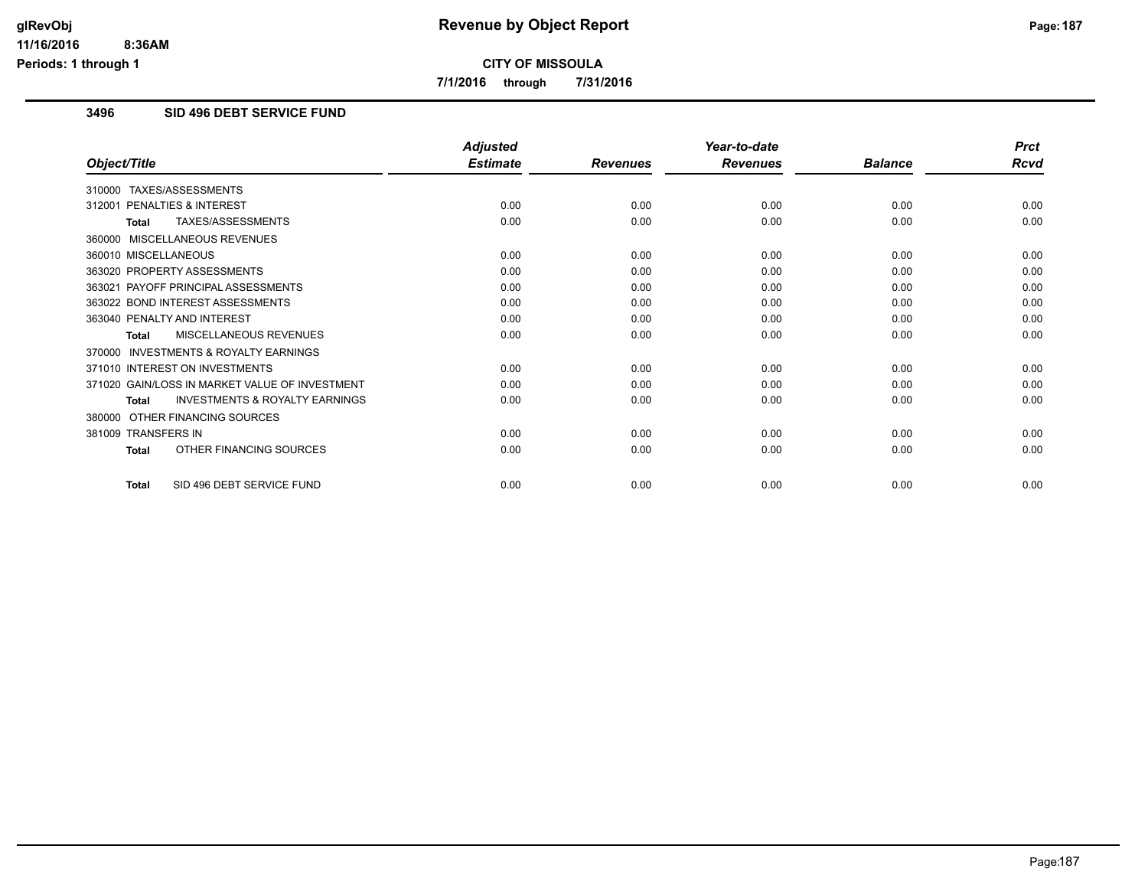**11/16/2016 8:36AM Periods: 1 through 1**

**CITY OF MISSOULA**

**7/1/2016 through 7/31/2016**

# **3496 SID 496 DEBT SERVICE FUND**

|                                                           | <b>Adjusted</b> |                 | Year-to-date    |                | <b>Prct</b> |
|-----------------------------------------------------------|-----------------|-----------------|-----------------|----------------|-------------|
| Object/Title                                              | <b>Estimate</b> | <b>Revenues</b> | <b>Revenues</b> | <b>Balance</b> | Rcvd        |
| 310000 TAXES/ASSESSMENTS                                  |                 |                 |                 |                |             |
| PENALTIES & INTEREST<br>312001                            | 0.00            | 0.00            | 0.00            | 0.00           | 0.00        |
| TAXES/ASSESSMENTS<br><b>Total</b>                         | 0.00            | 0.00            | 0.00            | 0.00           | 0.00        |
| 360000 MISCELLANEOUS REVENUES                             |                 |                 |                 |                |             |
| 360010 MISCELLANEOUS                                      | 0.00            | 0.00            | 0.00            | 0.00           | 0.00        |
| 363020 PROPERTY ASSESSMENTS                               | 0.00            | 0.00            | 0.00            | 0.00           | 0.00        |
| 363021 PAYOFF PRINCIPAL ASSESSMENTS                       | 0.00            | 0.00            | 0.00            | 0.00           | 0.00        |
| 363022 BOND INTEREST ASSESSMENTS                          | 0.00            | 0.00            | 0.00            | 0.00           | 0.00        |
| 363040 PENALTY AND INTEREST                               | 0.00            | 0.00            | 0.00            | 0.00           | 0.00        |
| <b>MISCELLANEOUS REVENUES</b><br><b>Total</b>             | 0.00            | 0.00            | 0.00            | 0.00           | 0.00        |
| <b>INVESTMENTS &amp; ROYALTY EARNINGS</b><br>370000       |                 |                 |                 |                |             |
| 371010 INTEREST ON INVESTMENTS                            | 0.00            | 0.00            | 0.00            | 0.00           | 0.00        |
| 371020 GAIN/LOSS IN MARKET VALUE OF INVESTMENT            | 0.00            | 0.00            | 0.00            | 0.00           | 0.00        |
| <b>INVESTMENTS &amp; ROYALTY EARNINGS</b><br><b>Total</b> | 0.00            | 0.00            | 0.00            | 0.00           | 0.00        |
| 380000 OTHER FINANCING SOURCES                            |                 |                 |                 |                |             |
| 381009 TRANSFERS IN                                       | 0.00            | 0.00            | 0.00            | 0.00           | 0.00        |
| OTHER FINANCING SOURCES<br><b>Total</b>                   | 0.00            | 0.00            | 0.00            | 0.00           | 0.00        |
| SID 496 DEBT SERVICE FUND<br><b>Total</b>                 | 0.00            | 0.00            | 0.00            | 0.00           | 0.00        |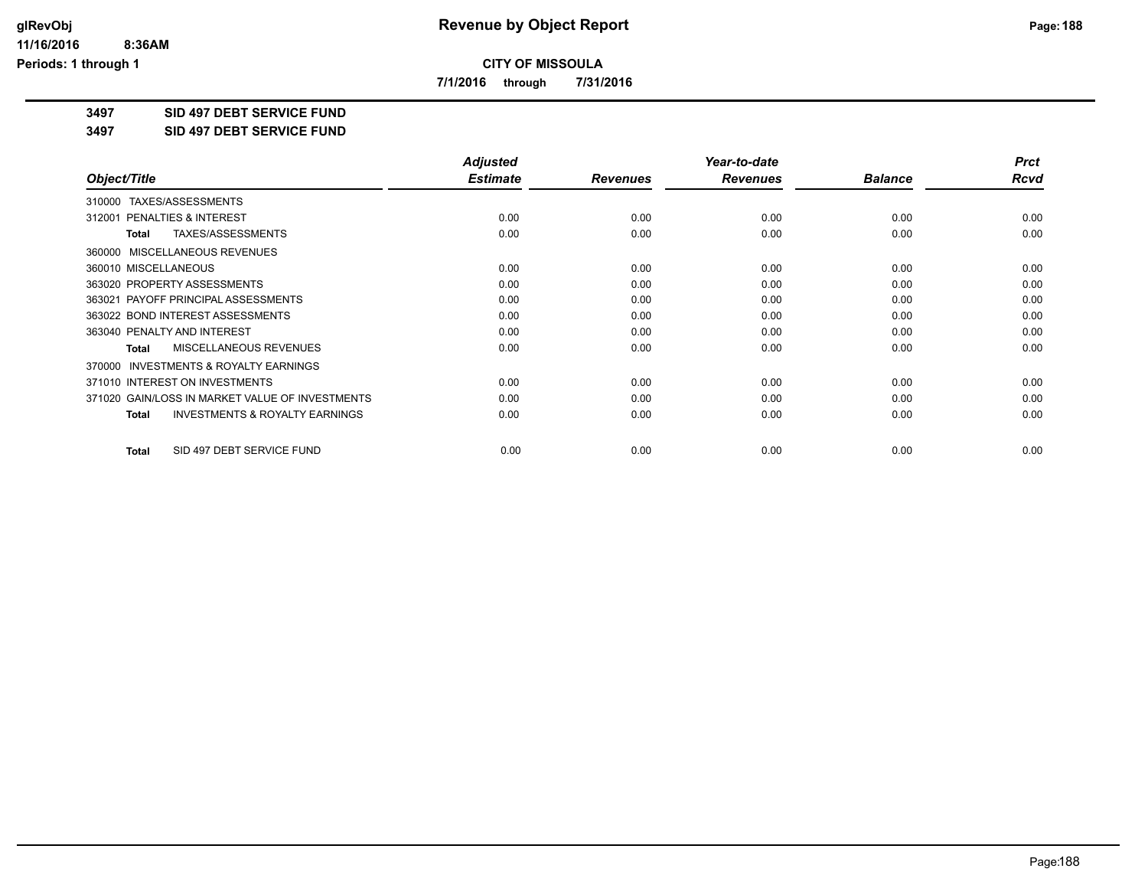**glRevObj Revenue by Object Report Page:188** 

**11/16/2016 8:36AM Periods: 1 through 1**

**CITY OF MISSOULA**

**7/1/2016 through 7/31/2016**

**3497 SID 497 DEBT SERVICE FUND**

**3497 SID 497 DEBT SERVICE FUND**

|                                                    | <b>Adjusted</b> |                 | Year-to-date    |                | <b>Prct</b> |
|----------------------------------------------------|-----------------|-----------------|-----------------|----------------|-------------|
| Object/Title                                       | <b>Estimate</b> | <b>Revenues</b> | <b>Revenues</b> | <b>Balance</b> | Rcvd        |
| 310000 TAXES/ASSESSMENTS                           |                 |                 |                 |                |             |
| <b>PENALTIES &amp; INTEREST</b><br>312001          | 0.00            | 0.00            | 0.00            | 0.00           | 0.00        |
| TAXES/ASSESSMENTS<br>Total                         | 0.00            | 0.00            | 0.00            | 0.00           | 0.00        |
| 360000 MISCELLANEOUS REVENUES                      |                 |                 |                 |                |             |
| 360010 MISCELLANEOUS                               | 0.00            | 0.00            | 0.00            | 0.00           | 0.00        |
| 363020 PROPERTY ASSESSMENTS                        | 0.00            | 0.00            | 0.00            | 0.00           | 0.00        |
| 363021 PAYOFF PRINCIPAL ASSESSMENTS                | 0.00            | 0.00            | 0.00            | 0.00           | 0.00        |
| 363022 BOND INTEREST ASSESSMENTS                   | 0.00            | 0.00            | 0.00            | 0.00           | 0.00        |
| 363040 PENALTY AND INTEREST                        | 0.00            | 0.00            | 0.00            | 0.00           | 0.00        |
| <b>MISCELLANEOUS REVENUES</b><br>Total             | 0.00            | 0.00            | 0.00            | 0.00           | 0.00        |
| INVESTMENTS & ROYALTY EARNINGS<br>370000           |                 |                 |                 |                |             |
| 371010 INTEREST ON INVESTMENTS                     | 0.00            | 0.00            | 0.00            | 0.00           | 0.00        |
| 371020 GAIN/LOSS IN MARKET VALUE OF INVESTMENTS    | 0.00            | 0.00            | 0.00            | 0.00           | 0.00        |
| <b>INVESTMENTS &amp; ROYALTY EARNINGS</b><br>Total | 0.00            | 0.00            | 0.00            | 0.00           | 0.00        |
| SID 497 DEBT SERVICE FUND<br><b>Total</b>          | 0.00            | 0.00            | 0.00            | 0.00           | 0.00        |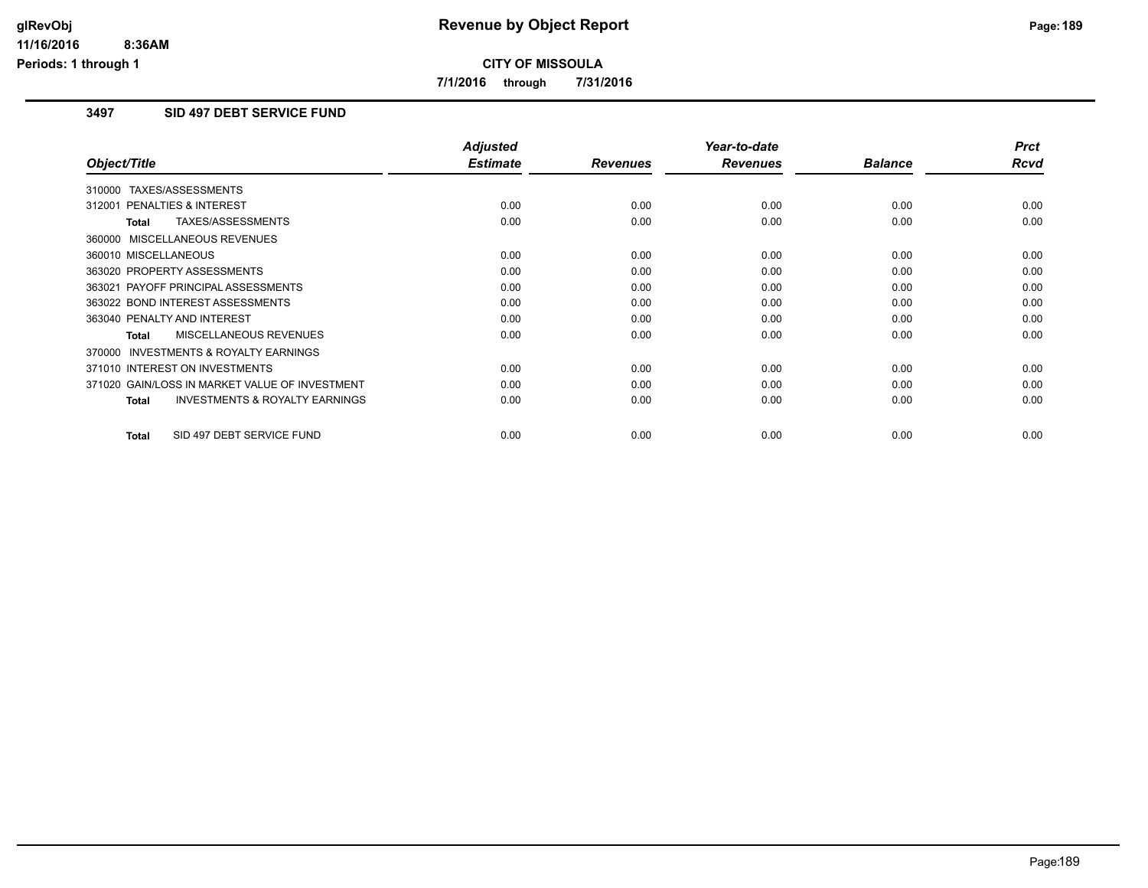**CITY OF MISSOULA**

**7/1/2016 through 7/31/2016**

# **3497 SID 497 DEBT SERVICE FUND**

| Object/Title                                       | <b>Adjusted</b><br><b>Estimate</b> | <b>Revenues</b> | Year-to-date<br><b>Revenues</b> | <b>Balance</b> | <b>Prct</b><br><b>Rcvd</b> |
|----------------------------------------------------|------------------------------------|-----------------|---------------------------------|----------------|----------------------------|
|                                                    |                                    |                 |                                 |                |                            |
| 310000 TAXES/ASSESSMENTS                           |                                    |                 |                                 |                |                            |
| 312001 PENALTIES & INTEREST                        | 0.00                               | 0.00            | 0.00                            | 0.00           | 0.00                       |
| TAXES/ASSESSMENTS<br>Total                         | 0.00                               | 0.00            | 0.00                            | 0.00           | 0.00                       |
| 360000 MISCELLANEOUS REVENUES                      |                                    |                 |                                 |                |                            |
| 360010 MISCELLANEOUS                               | 0.00                               | 0.00            | 0.00                            | 0.00           | 0.00                       |
| 363020 PROPERTY ASSESSMENTS                        | 0.00                               | 0.00            | 0.00                            | 0.00           | 0.00                       |
| 363021 PAYOFF PRINCIPAL ASSESSMENTS                | 0.00                               | 0.00            | 0.00                            | 0.00           | 0.00                       |
| 363022 BOND INTEREST ASSESSMENTS                   | 0.00                               | 0.00            | 0.00                            | 0.00           | 0.00                       |
| 363040 PENALTY AND INTEREST                        | 0.00                               | 0.00            | 0.00                            | 0.00           | 0.00                       |
| <b>MISCELLANEOUS REVENUES</b><br>Total             | 0.00                               | 0.00            | 0.00                            | 0.00           | 0.00                       |
| INVESTMENTS & ROYALTY EARNINGS<br>370000           |                                    |                 |                                 |                |                            |
| 371010 INTEREST ON INVESTMENTS                     | 0.00                               | 0.00            | 0.00                            | 0.00           | 0.00                       |
| 371020 GAIN/LOSS IN MARKET VALUE OF INVESTMENT     | 0.00                               | 0.00            | 0.00                            | 0.00           | 0.00                       |
| <b>INVESTMENTS &amp; ROYALTY EARNINGS</b><br>Total | 0.00                               | 0.00            | 0.00                            | 0.00           | 0.00                       |
| SID 497 DEBT SERVICE FUND<br><b>Total</b>          | 0.00                               | 0.00            | 0.00                            | 0.00           | 0.00                       |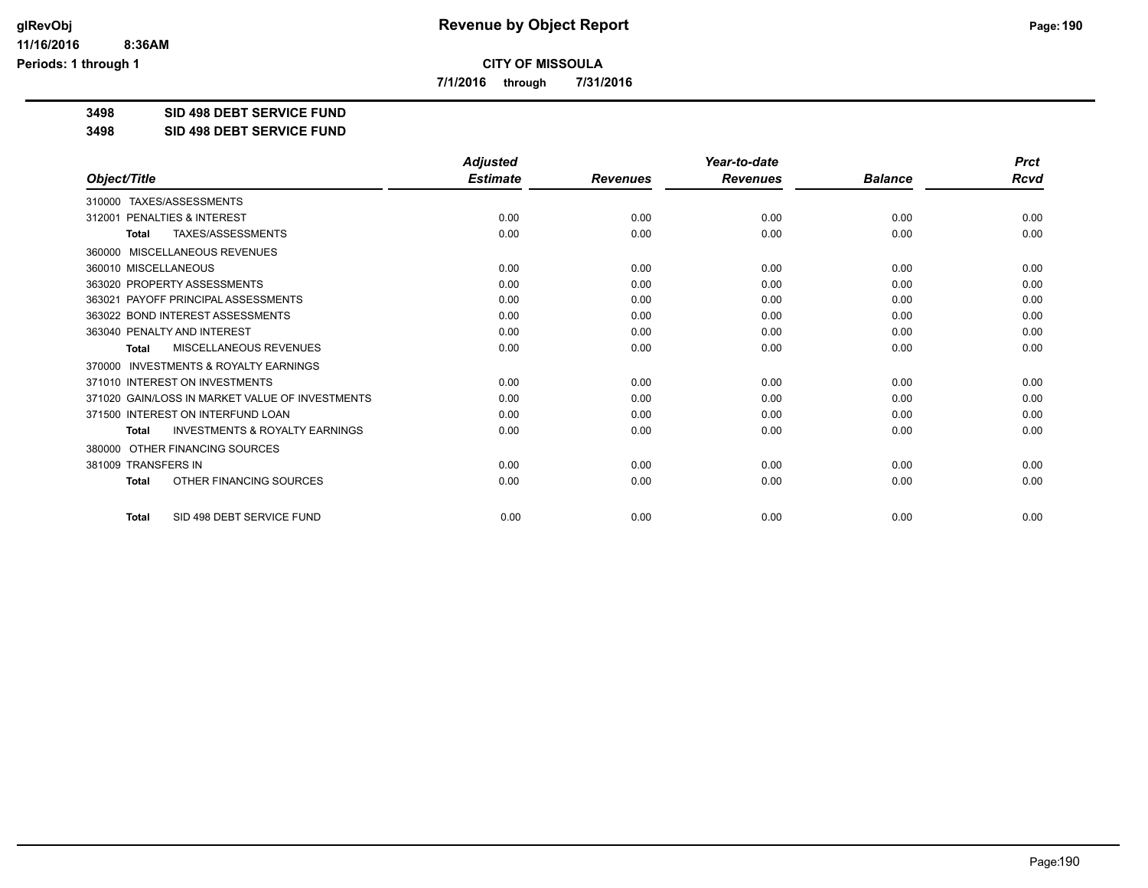**glRevObj Revenue by Object Report Page:190** 

**Periods: 1 through 1**

 **8:36AM**

**CITY OF MISSOULA**

**7/1/2016 through 7/31/2016**

**3498 SID 498 DEBT SERVICE FUND**

**3498 SID 498 DEBT SERVICE FUND**

|                                                           | <b>Adjusted</b> |                 | Year-to-date    |                | <b>Prct</b> |
|-----------------------------------------------------------|-----------------|-----------------|-----------------|----------------|-------------|
| Object/Title                                              | <b>Estimate</b> | <b>Revenues</b> | <b>Revenues</b> | <b>Balance</b> | <b>Rcvd</b> |
| TAXES/ASSESSMENTS<br>310000                               |                 |                 |                 |                |             |
| PENALTIES & INTEREST<br>312001                            | 0.00            | 0.00            | 0.00            | 0.00           | 0.00        |
| TAXES/ASSESSMENTS<br><b>Total</b>                         | 0.00            | 0.00            | 0.00            | 0.00           | 0.00        |
| 360000 MISCELLANEOUS REVENUES                             |                 |                 |                 |                |             |
| 360010 MISCELLANEOUS                                      | 0.00            | 0.00            | 0.00            | 0.00           | 0.00        |
| 363020 PROPERTY ASSESSMENTS                               | 0.00            | 0.00            | 0.00            | 0.00           | 0.00        |
| PAYOFF PRINCIPAL ASSESSMENTS<br>363021                    | 0.00            | 0.00            | 0.00            | 0.00           | 0.00        |
| 363022 BOND INTEREST ASSESSMENTS                          | 0.00            | 0.00            | 0.00            | 0.00           | 0.00        |
| 363040 PENALTY AND INTEREST                               | 0.00            | 0.00            | 0.00            | 0.00           | 0.00        |
| MISCELLANEOUS REVENUES<br><b>Total</b>                    | 0.00            | 0.00            | 0.00            | 0.00           | 0.00        |
| 370000 INVESTMENTS & ROYALTY EARNINGS                     |                 |                 |                 |                |             |
| 371010 INTEREST ON INVESTMENTS                            | 0.00            | 0.00            | 0.00            | 0.00           | 0.00        |
| 371020 GAIN/LOSS IN MARKET VALUE OF INVESTMENTS           | 0.00            | 0.00            | 0.00            | 0.00           | 0.00        |
| 371500 INTEREST ON INTERFUND LOAN                         | 0.00            | 0.00            | 0.00            | 0.00           | 0.00        |
| <b>INVESTMENTS &amp; ROYALTY EARNINGS</b><br><b>Total</b> | 0.00            | 0.00            | 0.00            | 0.00           | 0.00        |
| OTHER FINANCING SOURCES<br>380000                         |                 |                 |                 |                |             |
| 381009 TRANSFERS IN                                       | 0.00            | 0.00            | 0.00            | 0.00           | 0.00        |
| OTHER FINANCING SOURCES<br><b>Total</b>                   | 0.00            | 0.00            | 0.00            | 0.00           | 0.00        |
| SID 498 DEBT SERVICE FUND<br>Total                        | 0.00            | 0.00            | 0.00            | 0.00           | 0.00        |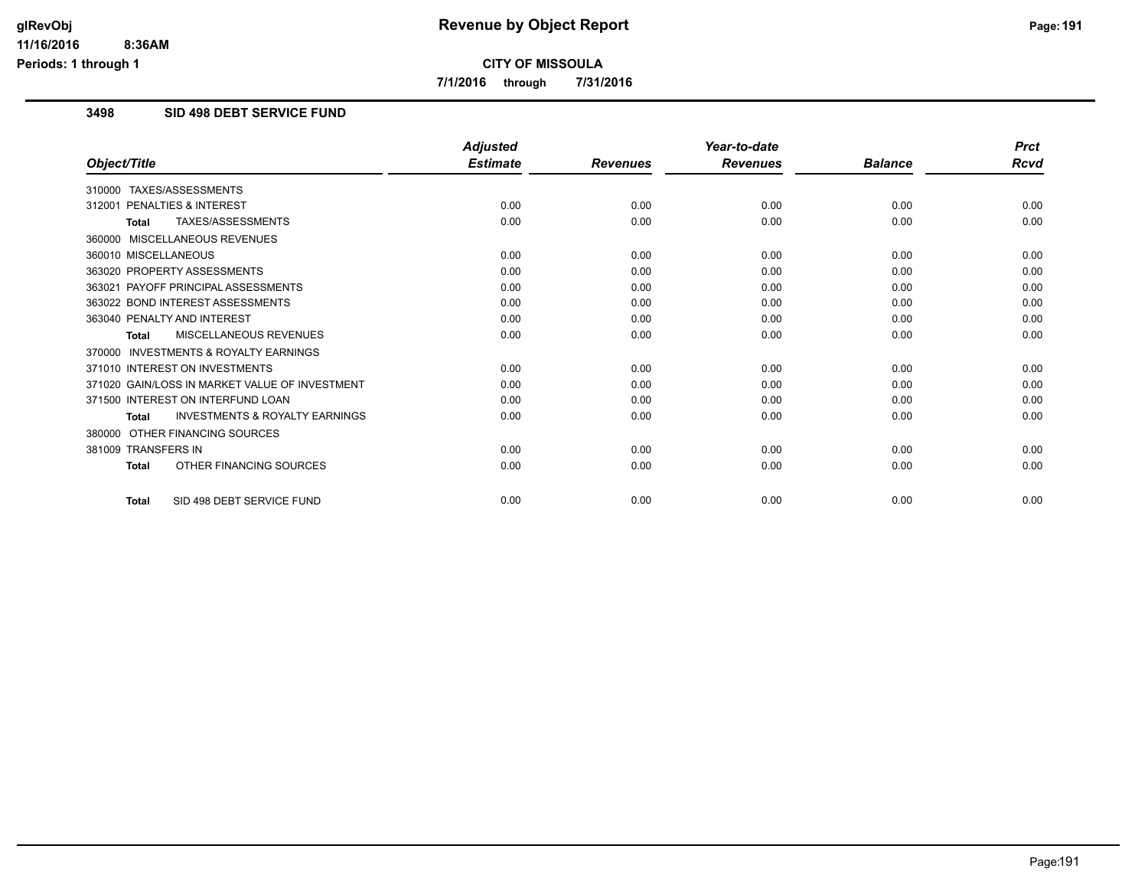**11/16/2016 8:36AM Periods: 1 through 1**

**CITY OF MISSOULA**

**7/1/2016 through 7/31/2016**

# **3498 SID 498 DEBT SERVICE FUND**

|                                                           | <b>Adjusted</b> |                 | Year-to-date    |                | <b>Prct</b> |
|-----------------------------------------------------------|-----------------|-----------------|-----------------|----------------|-------------|
| Object/Title                                              | <b>Estimate</b> | <b>Revenues</b> | <b>Revenues</b> | <b>Balance</b> | <b>Rcvd</b> |
| TAXES/ASSESSMENTS<br>310000                               |                 |                 |                 |                |             |
| PENALTIES & INTEREST<br>312001                            | 0.00            | 0.00            | 0.00            | 0.00           | 0.00        |
| TAXES/ASSESSMENTS<br>Total                                | 0.00            | 0.00            | 0.00            | 0.00           | 0.00        |
| 360000 MISCELLANEOUS REVENUES                             |                 |                 |                 |                |             |
| 360010 MISCELLANEOUS                                      | 0.00            | 0.00            | 0.00            | 0.00           | 0.00        |
| 363020 PROPERTY ASSESSMENTS                               | 0.00            | 0.00            | 0.00            | 0.00           | 0.00        |
| 363021 PAYOFF PRINCIPAL ASSESSMENTS                       | 0.00            | 0.00            | 0.00            | 0.00           | 0.00        |
| 363022 BOND INTEREST ASSESSMENTS                          | 0.00            | 0.00            | 0.00            | 0.00           | 0.00        |
| 363040 PENALTY AND INTEREST                               | 0.00            | 0.00            | 0.00            | 0.00           | 0.00        |
| MISCELLANEOUS REVENUES<br><b>Total</b>                    | 0.00            | 0.00            | 0.00            | 0.00           | 0.00        |
| 370000 INVESTMENTS & ROYALTY EARNINGS                     |                 |                 |                 |                |             |
| 371010 INTEREST ON INVESTMENTS                            | 0.00            | 0.00            | 0.00            | 0.00           | 0.00        |
| 371020 GAIN/LOSS IN MARKET VALUE OF INVESTMENT            | 0.00            | 0.00            | 0.00            | 0.00           | 0.00        |
| 371500 INTEREST ON INTERFUND LOAN                         | 0.00            | 0.00            | 0.00            | 0.00           | 0.00        |
| <b>INVESTMENTS &amp; ROYALTY EARNINGS</b><br><b>Total</b> | 0.00            | 0.00            | 0.00            | 0.00           | 0.00        |
| OTHER FINANCING SOURCES<br>380000                         |                 |                 |                 |                |             |
| 381009 TRANSFERS IN                                       | 0.00            | 0.00            | 0.00            | 0.00           | 0.00        |
| OTHER FINANCING SOURCES<br><b>Total</b>                   | 0.00            | 0.00            | 0.00            | 0.00           | 0.00        |
| SID 498 DEBT SERVICE FUND<br><b>Total</b>                 | 0.00            | 0.00            | 0.00            | 0.00           | 0.00        |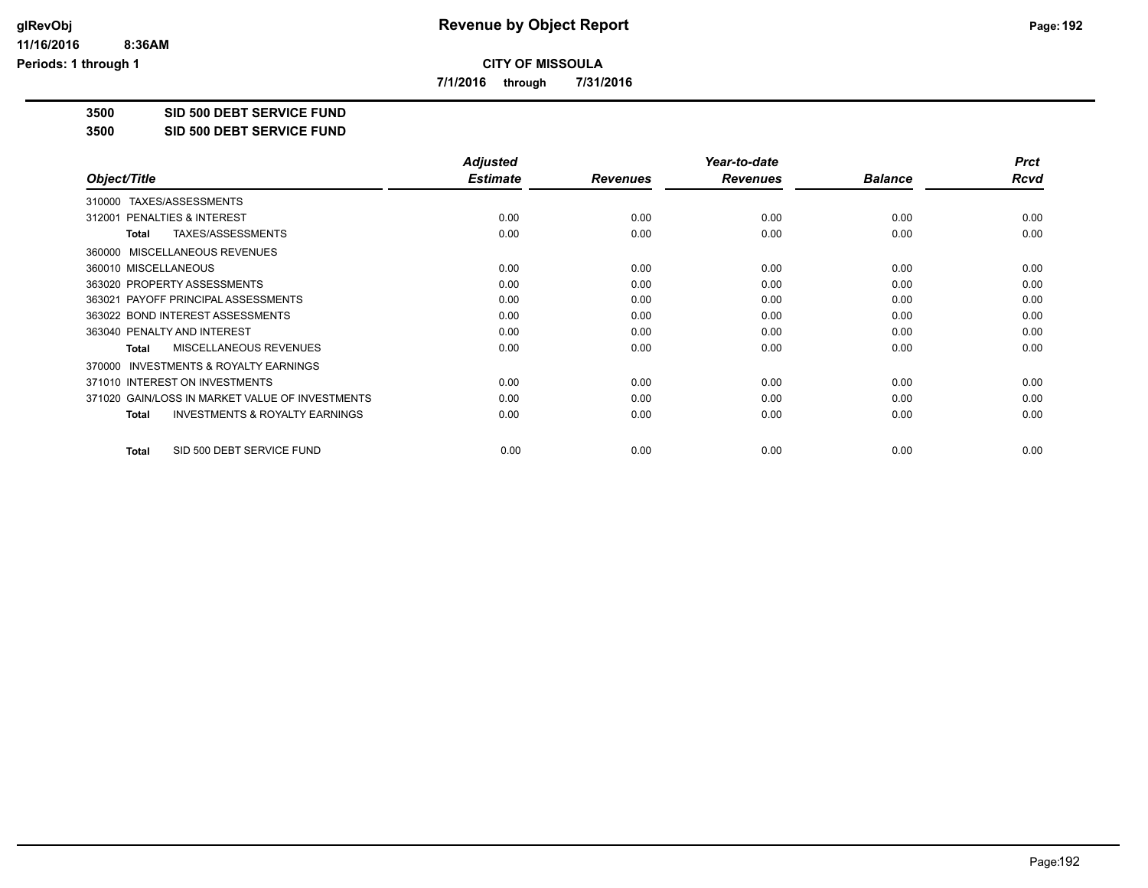**glRevObj Revenue by Object Report Page:192** 

**CITY OF MISSOULA**

**7/1/2016 through 7/31/2016**

**3500 SID 500 DEBT SERVICE FUND**

 **8:36AM**

**3500 SID 500 DEBT SERVICE FUND**

|                                                    | <b>Adjusted</b> |                 | Year-to-date    |                | <b>Prct</b> |
|----------------------------------------------------|-----------------|-----------------|-----------------|----------------|-------------|
| Object/Title                                       | <b>Estimate</b> | <b>Revenues</b> | <b>Revenues</b> | <b>Balance</b> | <b>Rcvd</b> |
| TAXES/ASSESSMENTS<br>310000                        |                 |                 |                 |                |             |
| 312001 PENALTIES & INTEREST                        | 0.00            | 0.00            | 0.00            | 0.00           | 0.00        |
| TAXES/ASSESSMENTS<br><b>Total</b>                  | 0.00            | 0.00            | 0.00            | 0.00           | 0.00        |
| MISCELLANEOUS REVENUES<br>360000                   |                 |                 |                 |                |             |
| 360010 MISCELLANEOUS                               | 0.00            | 0.00            | 0.00            | 0.00           | 0.00        |
| 363020 PROPERTY ASSESSMENTS                        | 0.00            | 0.00            | 0.00            | 0.00           | 0.00        |
| 363021 PAYOFF PRINCIPAL ASSESSMENTS                | 0.00            | 0.00            | 0.00            | 0.00           | 0.00        |
| 363022 BOND INTEREST ASSESSMENTS                   | 0.00            | 0.00            | 0.00            | 0.00           | 0.00        |
| 363040 PENALTY AND INTEREST                        | 0.00            | 0.00            | 0.00            | 0.00           | 0.00        |
| MISCELLANEOUS REVENUES<br><b>Total</b>             | 0.00            | 0.00            | 0.00            | 0.00           | 0.00        |
| 370000 INVESTMENTS & ROYALTY EARNINGS              |                 |                 |                 |                |             |
| 371010 INTEREST ON INVESTMENTS                     | 0.00            | 0.00            | 0.00            | 0.00           | 0.00        |
| 371020 GAIN/LOSS IN MARKET VALUE OF INVESTMENTS    | 0.00            | 0.00            | 0.00            | 0.00           | 0.00        |
| <b>INVESTMENTS &amp; ROYALTY EARNINGS</b><br>Total | 0.00            | 0.00            | 0.00            | 0.00           | 0.00        |
| SID 500 DEBT SERVICE FUND<br><b>Total</b>          | 0.00            | 0.00            | 0.00            | 0.00           | 0.00        |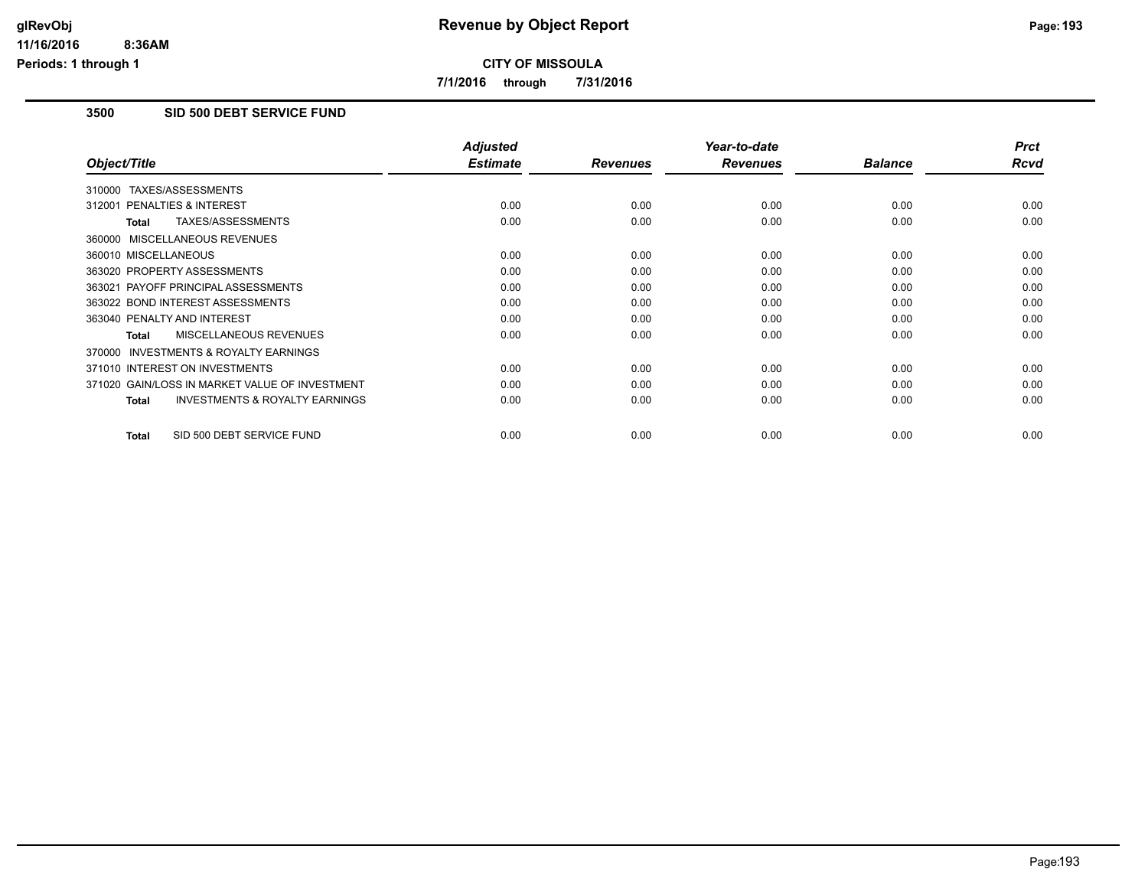**glRevObj Revenue by Object Report Page:193** 

**CITY OF MISSOULA**

**7/1/2016 through 7/31/2016**

#### **3500 SID 500 DEBT SERVICE FUND**

|                                                    | <b>Adjusted</b> |                 | Year-to-date    |                | <b>Prct</b> |
|----------------------------------------------------|-----------------|-----------------|-----------------|----------------|-------------|
| Object/Title                                       | <b>Estimate</b> | <b>Revenues</b> | <b>Revenues</b> | <b>Balance</b> | <b>Rcvd</b> |
| 310000 TAXES/ASSESSMENTS                           |                 |                 |                 |                |             |
| PENALTIES & INTEREST<br>312001                     | 0.00            | 0.00            | 0.00            | 0.00           | 0.00        |
| TAXES/ASSESSMENTS<br>Total                         | 0.00            | 0.00            | 0.00            | 0.00           | 0.00        |
| 360000 MISCELLANEOUS REVENUES                      |                 |                 |                 |                |             |
| 360010 MISCELLANEOUS                               | 0.00            | 0.00            | 0.00            | 0.00           | 0.00        |
| 363020 PROPERTY ASSESSMENTS                        | 0.00            | 0.00            | 0.00            | 0.00           | 0.00        |
| 363021 PAYOFF PRINCIPAL ASSESSMENTS                | 0.00            | 0.00            | 0.00            | 0.00           | 0.00        |
| 363022 BOND INTEREST ASSESSMENTS                   | 0.00            | 0.00            | 0.00            | 0.00           | 0.00        |
| 363040 PENALTY AND INTEREST                        | 0.00            | 0.00            | 0.00            | 0.00           | 0.00        |
| <b>MISCELLANEOUS REVENUES</b><br>Total             | 0.00            | 0.00            | 0.00            | 0.00           | 0.00        |
| 370000 INVESTMENTS & ROYALTY EARNINGS              |                 |                 |                 |                |             |
| 371010 INTEREST ON INVESTMENTS                     | 0.00            | 0.00            | 0.00            | 0.00           | 0.00        |
| 371020 GAIN/LOSS IN MARKET VALUE OF INVESTMENT     | 0.00            | 0.00            | 0.00            | 0.00           | 0.00        |
| <b>INVESTMENTS &amp; ROYALTY EARNINGS</b><br>Total | 0.00            | 0.00            | 0.00            | 0.00           | 0.00        |
| SID 500 DEBT SERVICE FUND<br>Total                 | 0.00            | 0.00            | 0.00            | 0.00           | 0.00        |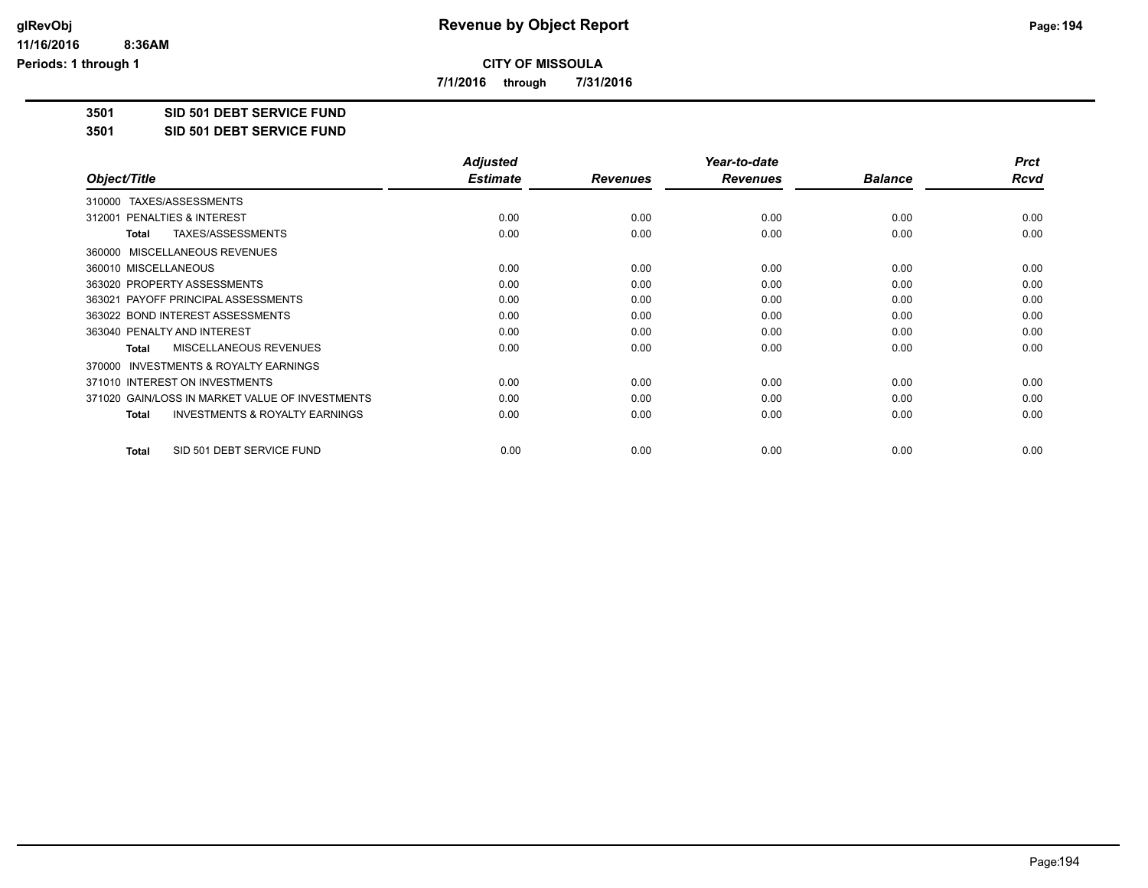**glRevObj Revenue by Object Report Page:194** 

**11/16/2016 8:36AM Periods: 1 through 1**

**CITY OF MISSOULA**

**7/1/2016 through 7/31/2016**

**3501 SID 501 DEBT SERVICE FUND**

**3501 SID 501 DEBT SERVICE FUND**

|                                                           | <b>Adjusted</b> |                 | Year-to-date    |                | <b>Prct</b> |
|-----------------------------------------------------------|-----------------|-----------------|-----------------|----------------|-------------|
| Object/Title                                              | <b>Estimate</b> | <b>Revenues</b> | <b>Revenues</b> | <b>Balance</b> | Rcvd        |
| 310000 TAXES/ASSESSMENTS                                  |                 |                 |                 |                |             |
| 312001 PENALTIES & INTEREST                               | 0.00            | 0.00            | 0.00            | 0.00           | 0.00        |
| TAXES/ASSESSMENTS<br><b>Total</b>                         | 0.00            | 0.00            | 0.00            | 0.00           | 0.00        |
| MISCELLANEOUS REVENUES<br>360000                          |                 |                 |                 |                |             |
| 360010 MISCELLANEOUS                                      | 0.00            | 0.00            | 0.00            | 0.00           | 0.00        |
| 363020 PROPERTY ASSESSMENTS                               | 0.00            | 0.00            | 0.00            | 0.00           | 0.00        |
| 363021 PAYOFF PRINCIPAL ASSESSMENTS                       | 0.00            | 0.00            | 0.00            | 0.00           | 0.00        |
| 363022 BOND INTEREST ASSESSMENTS                          | 0.00            | 0.00            | 0.00            | 0.00           | 0.00        |
| 363040 PENALTY AND INTEREST                               | 0.00            | 0.00            | 0.00            | 0.00           | 0.00        |
| <b>MISCELLANEOUS REVENUES</b><br>Total                    | 0.00            | 0.00            | 0.00            | 0.00           | 0.00        |
| 370000 INVESTMENTS & ROYALTY EARNINGS                     |                 |                 |                 |                |             |
| 371010 INTEREST ON INVESTMENTS                            | 0.00            | 0.00            | 0.00            | 0.00           | 0.00        |
| 371020 GAIN/LOSS IN MARKET VALUE OF INVESTMENTS           | 0.00            | 0.00            | 0.00            | 0.00           | 0.00        |
| <b>INVESTMENTS &amp; ROYALTY EARNINGS</b><br><b>Total</b> | 0.00            | 0.00            | 0.00            | 0.00           | 0.00        |
| SID 501 DEBT SERVICE FUND<br><b>Total</b>                 | 0.00            | 0.00            | 0.00            | 0.00           | 0.00        |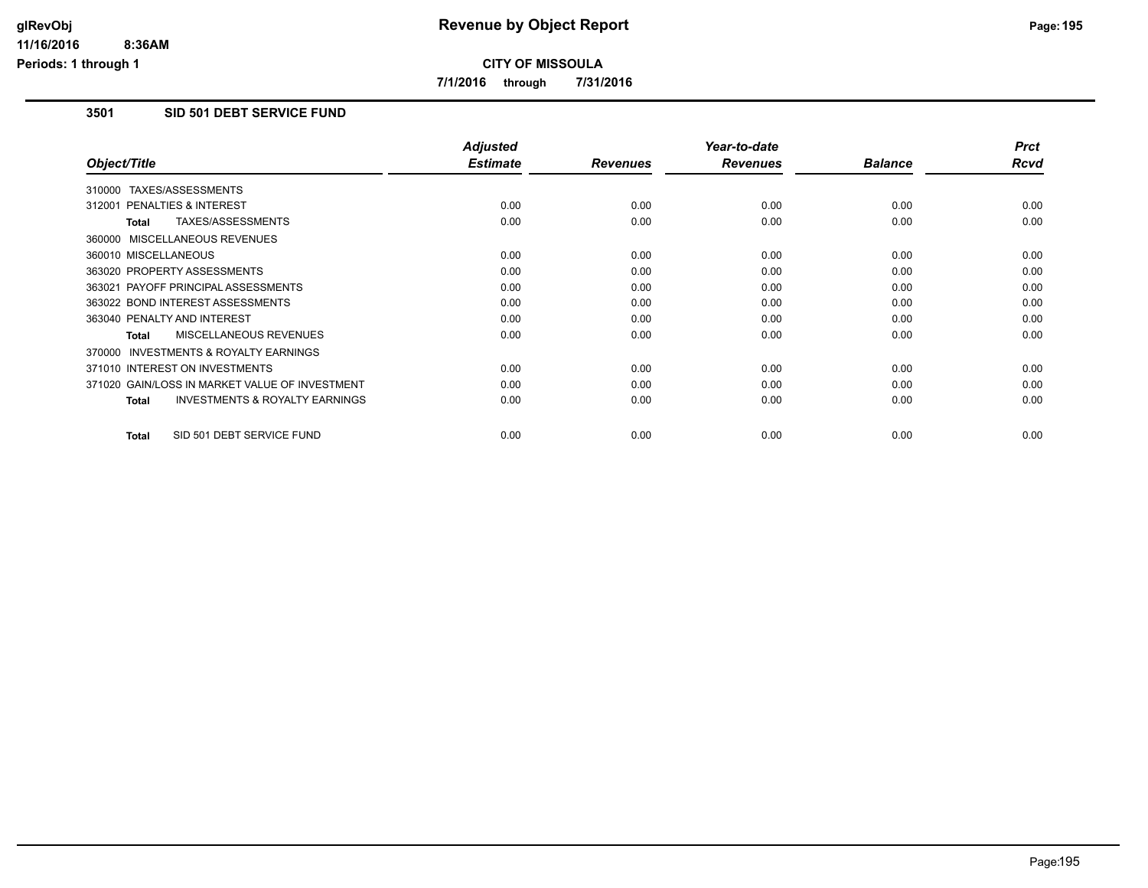**CITY OF MISSOULA**

**7/1/2016 through 7/31/2016**

#### **3501 SID 501 DEBT SERVICE FUND**

|                                                    | Adjusted        |                 | Year-to-date    |                | <b>Prct</b> |
|----------------------------------------------------|-----------------|-----------------|-----------------|----------------|-------------|
| Object/Title                                       | <b>Estimate</b> | <b>Revenues</b> | <b>Revenues</b> | <b>Balance</b> | Rcvd        |
| 310000 TAXES/ASSESSMENTS                           |                 |                 |                 |                |             |
| 312001 PENALTIES & INTEREST                        | 0.00            | 0.00            | 0.00            | 0.00           | 0.00        |
| TAXES/ASSESSMENTS<br>Total                         | 0.00            | 0.00            | 0.00            | 0.00           | 0.00        |
| 360000 MISCELLANEOUS REVENUES                      |                 |                 |                 |                |             |
| 360010 MISCELLANEOUS                               | 0.00            | 0.00            | 0.00            | 0.00           | 0.00        |
| 363020 PROPERTY ASSESSMENTS                        | 0.00            | 0.00            | 0.00            | 0.00           | 0.00        |
| 363021 PAYOFF PRINCIPAL ASSESSMENTS                | 0.00            | 0.00            | 0.00            | 0.00           | 0.00        |
| 363022 BOND INTEREST ASSESSMENTS                   | 0.00            | 0.00            | 0.00            | 0.00           | 0.00        |
| 363040 PENALTY AND INTEREST                        | 0.00            | 0.00            | 0.00            | 0.00           | 0.00        |
| <b>MISCELLANEOUS REVENUES</b><br>Total             | 0.00            | 0.00            | 0.00            | 0.00           | 0.00        |
| INVESTMENTS & ROYALTY EARNINGS<br>370000           |                 |                 |                 |                |             |
| 371010 INTEREST ON INVESTMENTS                     | 0.00            | 0.00            | 0.00            | 0.00           | 0.00        |
| 371020 GAIN/LOSS IN MARKET VALUE OF INVESTMENT     | 0.00            | 0.00            | 0.00            | 0.00           | 0.00        |
| <b>INVESTMENTS &amp; ROYALTY EARNINGS</b><br>Total | 0.00            | 0.00            | 0.00            | 0.00           | 0.00        |
| SID 501 DEBT SERVICE FUND<br><b>Total</b>          | 0.00            | 0.00            | 0.00            | 0.00           | 0.00        |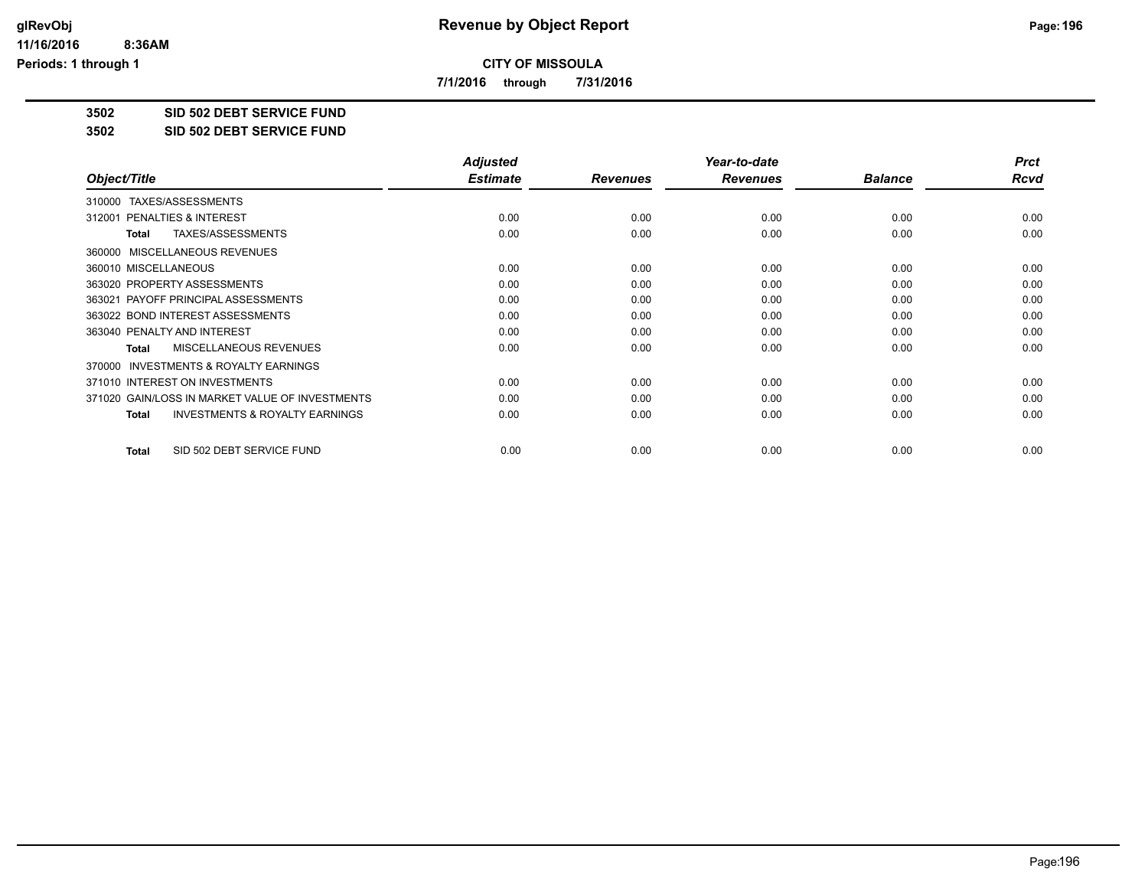**glRevObj Revenue by Object Report Page:196** 

**CITY OF MISSOULA**

**7/1/2016 through 7/31/2016**

**3502 SID 502 DEBT SERVICE FUND**

 **8:36AM**

**3502 SID 502 DEBT SERVICE FUND**

|                                                     | <b>Adjusted</b> |                 | Year-to-date    |                | <b>Prct</b> |
|-----------------------------------------------------|-----------------|-----------------|-----------------|----------------|-------------|
| Object/Title                                        | <b>Estimate</b> | <b>Revenues</b> | <b>Revenues</b> | <b>Balance</b> | <b>Rcvd</b> |
| 310000 TAXES/ASSESSMENTS                            |                 |                 |                 |                |             |
| 312001 PENALTIES & INTEREST                         | 0.00            | 0.00            | 0.00            | 0.00           | 0.00        |
| TAXES/ASSESSMENTS<br>Total                          | 0.00            | 0.00            | 0.00            | 0.00           | 0.00        |
| 360000 MISCELLANEOUS REVENUES                       |                 |                 |                 |                |             |
| 360010 MISCELLANEOUS                                | 0.00            | 0.00            | 0.00            | 0.00           | 0.00        |
| 363020 PROPERTY ASSESSMENTS                         | 0.00            | 0.00            | 0.00            | 0.00           | 0.00        |
| 363021 PAYOFF PRINCIPAL ASSESSMENTS                 | 0.00            | 0.00            | 0.00            | 0.00           | 0.00        |
| 363022 BOND INTEREST ASSESSMENTS                    | 0.00            | 0.00            | 0.00            | 0.00           | 0.00        |
| 363040 PENALTY AND INTEREST                         | 0.00            | 0.00            | 0.00            | 0.00           | 0.00        |
| <b>MISCELLANEOUS REVENUES</b><br>Total              | 0.00            | 0.00            | 0.00            | 0.00           | 0.00        |
| <b>INVESTMENTS &amp; ROYALTY EARNINGS</b><br>370000 |                 |                 |                 |                |             |
| 371010 INTEREST ON INVESTMENTS                      | 0.00            | 0.00            | 0.00            | 0.00           | 0.00        |
| 371020 GAIN/LOSS IN MARKET VALUE OF INVESTMENTS     | 0.00            | 0.00            | 0.00            | 0.00           | 0.00        |
| <b>INVESTMENTS &amp; ROYALTY EARNINGS</b><br>Total  | 0.00            | 0.00            | 0.00            | 0.00           | 0.00        |
| SID 502 DEBT SERVICE FUND<br><b>Total</b>           | 0.00            | 0.00            | 0.00            | 0.00           | 0.00        |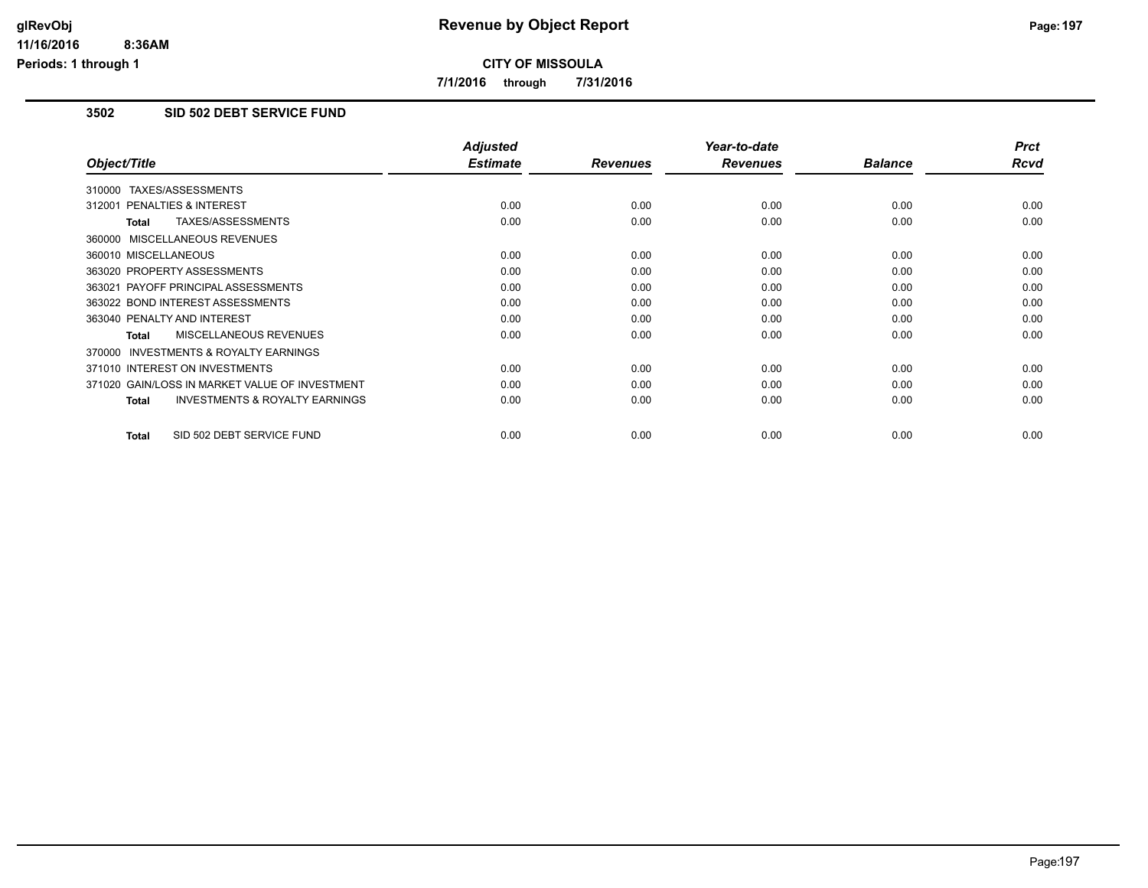**CITY OF MISSOULA**

**7/1/2016 through 7/31/2016**

## **3502 SID 502 DEBT SERVICE FUND**

|                                                           | <b>Adjusted</b> |                 | Year-to-date    |                | <b>Prct</b> |
|-----------------------------------------------------------|-----------------|-----------------|-----------------|----------------|-------------|
| Object/Title                                              | <b>Estimate</b> | <b>Revenues</b> | <b>Revenues</b> | <b>Balance</b> | Rcvd        |
| TAXES/ASSESSMENTS<br>310000                               |                 |                 |                 |                |             |
| 312001 PENALTIES & INTEREST                               | 0.00            | 0.00            | 0.00            | 0.00           | 0.00        |
| TAXES/ASSESSMENTS<br><b>Total</b>                         | 0.00            | 0.00            | 0.00            | 0.00           | 0.00        |
| 360000 MISCELLANEOUS REVENUES                             |                 |                 |                 |                |             |
| 360010 MISCELLANEOUS                                      | 0.00            | 0.00            | 0.00            | 0.00           | 0.00        |
| 363020 PROPERTY ASSESSMENTS                               | 0.00            | 0.00            | 0.00            | 0.00           | 0.00        |
| 363021 PAYOFF PRINCIPAL ASSESSMENTS                       | 0.00            | 0.00            | 0.00            | 0.00           | 0.00        |
| 363022 BOND INTEREST ASSESSMENTS                          | 0.00            | 0.00            | 0.00            | 0.00           | 0.00        |
| 363040 PENALTY AND INTEREST                               | 0.00            | 0.00            | 0.00            | 0.00           | 0.00        |
| MISCELLANEOUS REVENUES<br>Total                           | 0.00            | 0.00            | 0.00            | 0.00           | 0.00        |
| <b>INVESTMENTS &amp; ROYALTY EARNINGS</b><br>370000       |                 |                 |                 |                |             |
| 371010 INTEREST ON INVESTMENTS                            | 0.00            | 0.00            | 0.00            | 0.00           | 0.00        |
| 371020 GAIN/LOSS IN MARKET VALUE OF INVESTMENT            | 0.00            | 0.00            | 0.00            | 0.00           | 0.00        |
| <b>INVESTMENTS &amp; ROYALTY EARNINGS</b><br><b>Total</b> | 0.00            | 0.00            | 0.00            | 0.00           | 0.00        |
| SID 502 DEBT SERVICE FUND<br><b>Total</b>                 | 0.00            | 0.00            | 0.00            | 0.00           | 0.00        |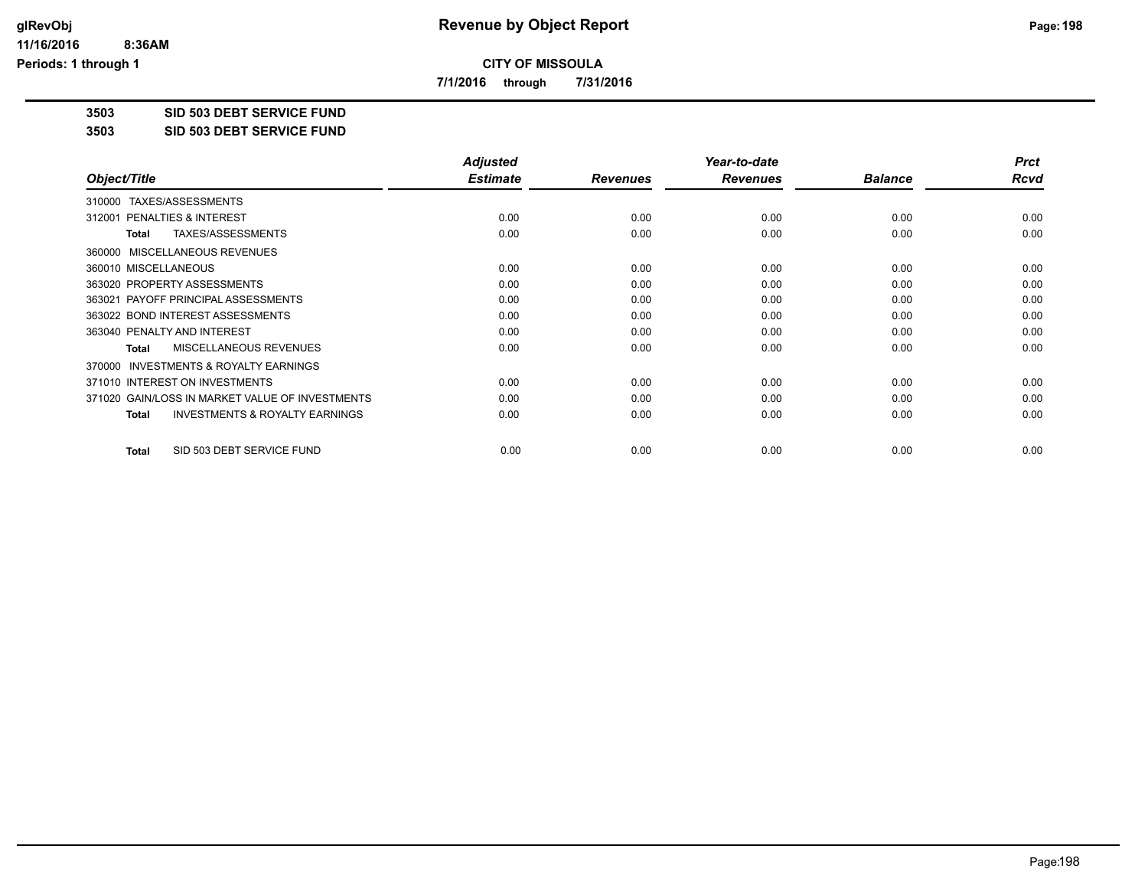**glRevObj Revenue by Object Report Page:198** 

**CITY OF MISSOULA**

**7/1/2016 through 7/31/2016**

**3503 SID 503 DEBT SERVICE FUND**

 **8:36AM**

**3503 SID 503 DEBT SERVICE FUND**

|                                                           | <b>Adjusted</b> |                 | Year-to-date    |                | <b>Prct</b> |
|-----------------------------------------------------------|-----------------|-----------------|-----------------|----------------|-------------|
| Object/Title                                              | <b>Estimate</b> | <b>Revenues</b> | <b>Revenues</b> | <b>Balance</b> | Rcvd        |
| 310000 TAXES/ASSESSMENTS                                  |                 |                 |                 |                |             |
| 312001 PENALTIES & INTEREST                               | 0.00            | 0.00            | 0.00            | 0.00           | 0.00        |
| TAXES/ASSESSMENTS<br><b>Total</b>                         | 0.00            | 0.00            | 0.00            | 0.00           | 0.00        |
| MISCELLANEOUS REVENUES<br>360000                          |                 |                 |                 |                |             |
| 360010 MISCELLANEOUS                                      | 0.00            | 0.00            | 0.00            | 0.00           | 0.00        |
| 363020 PROPERTY ASSESSMENTS                               | 0.00            | 0.00            | 0.00            | 0.00           | 0.00        |
| 363021 PAYOFF PRINCIPAL ASSESSMENTS                       | 0.00            | 0.00            | 0.00            | 0.00           | 0.00        |
| 363022 BOND INTEREST ASSESSMENTS                          | 0.00            | 0.00            | 0.00            | 0.00           | 0.00        |
| 363040 PENALTY AND INTEREST                               | 0.00            | 0.00            | 0.00            | 0.00           | 0.00        |
| <b>MISCELLANEOUS REVENUES</b><br>Total                    | 0.00            | 0.00            | 0.00            | 0.00           | 0.00        |
| 370000 INVESTMENTS & ROYALTY EARNINGS                     |                 |                 |                 |                |             |
| 371010 INTEREST ON INVESTMENTS                            | 0.00            | 0.00            | 0.00            | 0.00           | 0.00        |
| 371020 GAIN/LOSS IN MARKET VALUE OF INVESTMENTS           | 0.00            | 0.00            | 0.00            | 0.00           | 0.00        |
| <b>INVESTMENTS &amp; ROYALTY EARNINGS</b><br><b>Total</b> | 0.00            | 0.00            | 0.00            | 0.00           | 0.00        |
| SID 503 DEBT SERVICE FUND<br><b>Total</b>                 | 0.00            | 0.00            | 0.00            | 0.00           | 0.00        |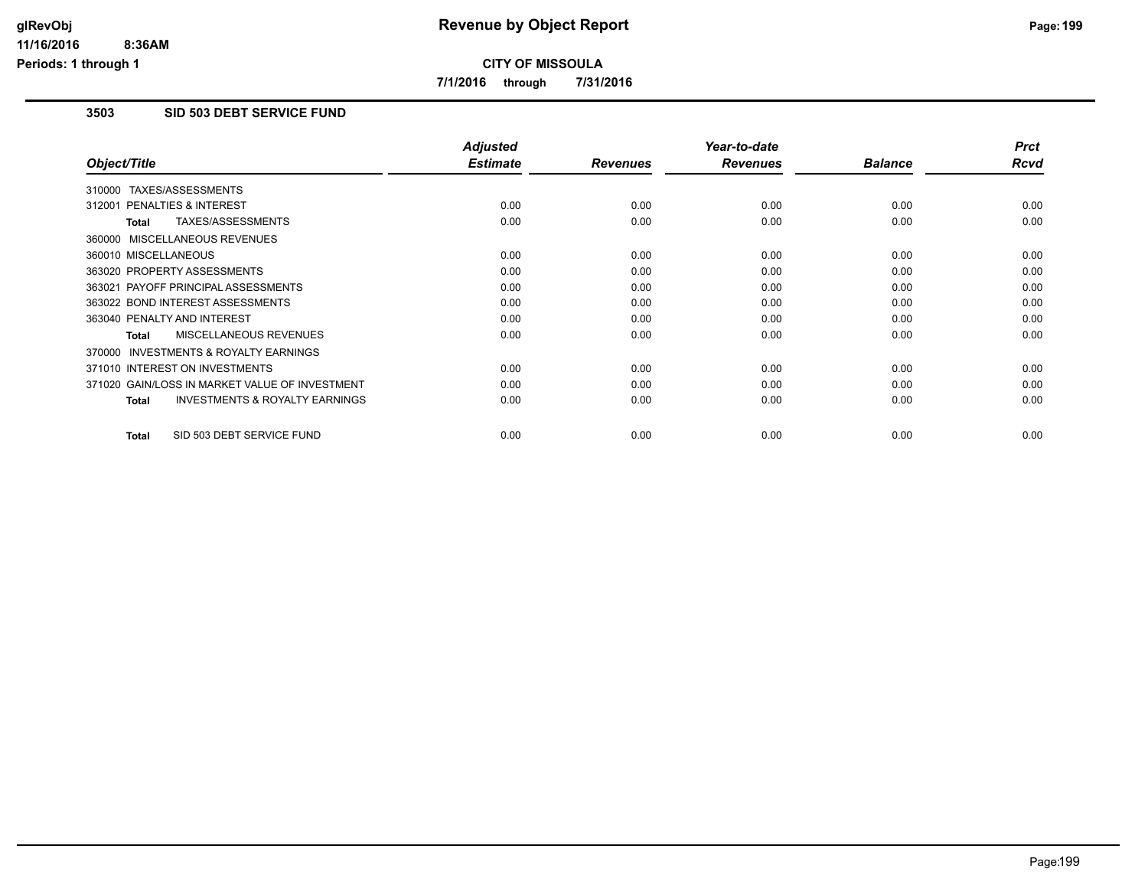**CITY OF MISSOULA**

**7/1/2016 through 7/31/2016**

## **3503 SID 503 DEBT SERVICE FUND**

| Object/Title                                              | <b>Adjusted</b><br><b>Estimate</b> | <b>Revenues</b> | Year-to-date<br><b>Revenues</b> | <b>Balance</b> | <b>Prct</b><br>Rcvd |
|-----------------------------------------------------------|------------------------------------|-----------------|---------------------------------|----------------|---------------------|
|                                                           |                                    |                 |                                 |                |                     |
| 310000 TAXES/ASSESSMENTS                                  |                                    |                 |                                 |                |                     |
| 312001 PENALTIES & INTEREST                               | 0.00                               | 0.00            | 0.00                            | 0.00           | 0.00                |
| TAXES/ASSESSMENTS<br><b>Total</b>                         | 0.00                               | 0.00            | 0.00                            | 0.00           | 0.00                |
| 360000 MISCELLANEOUS REVENUES                             |                                    |                 |                                 |                |                     |
| 360010 MISCELLANEOUS                                      | 0.00                               | 0.00            | 0.00                            | 0.00           | 0.00                |
| 363020 PROPERTY ASSESSMENTS                               | 0.00                               | 0.00            | 0.00                            | 0.00           | 0.00                |
| 363021 PAYOFF PRINCIPAL ASSESSMENTS                       | 0.00                               | 0.00            | 0.00                            | 0.00           | 0.00                |
| 363022 BOND INTEREST ASSESSMENTS                          | 0.00                               | 0.00            | 0.00                            | 0.00           | 0.00                |
| 363040 PENALTY AND INTEREST                               | 0.00                               | 0.00            | 0.00                            | 0.00           | 0.00                |
| MISCELLANEOUS REVENUES<br>Total                           | 0.00                               | 0.00            | 0.00                            | 0.00           | 0.00                |
| INVESTMENTS & ROYALTY EARNINGS<br>370000                  |                                    |                 |                                 |                |                     |
| 371010 INTEREST ON INVESTMENTS                            | 0.00                               | 0.00            | 0.00                            | 0.00           | 0.00                |
| 371020 GAIN/LOSS IN MARKET VALUE OF INVESTMENT            | 0.00                               | 0.00            | 0.00                            | 0.00           | 0.00                |
| <b>INVESTMENTS &amp; ROYALTY EARNINGS</b><br><b>Total</b> | 0.00                               | 0.00            | 0.00                            | 0.00           | 0.00                |
| SID 503 DEBT SERVICE FUND<br><b>Total</b>                 | 0.00                               | 0.00            | 0.00                            | 0.00           | 0.00                |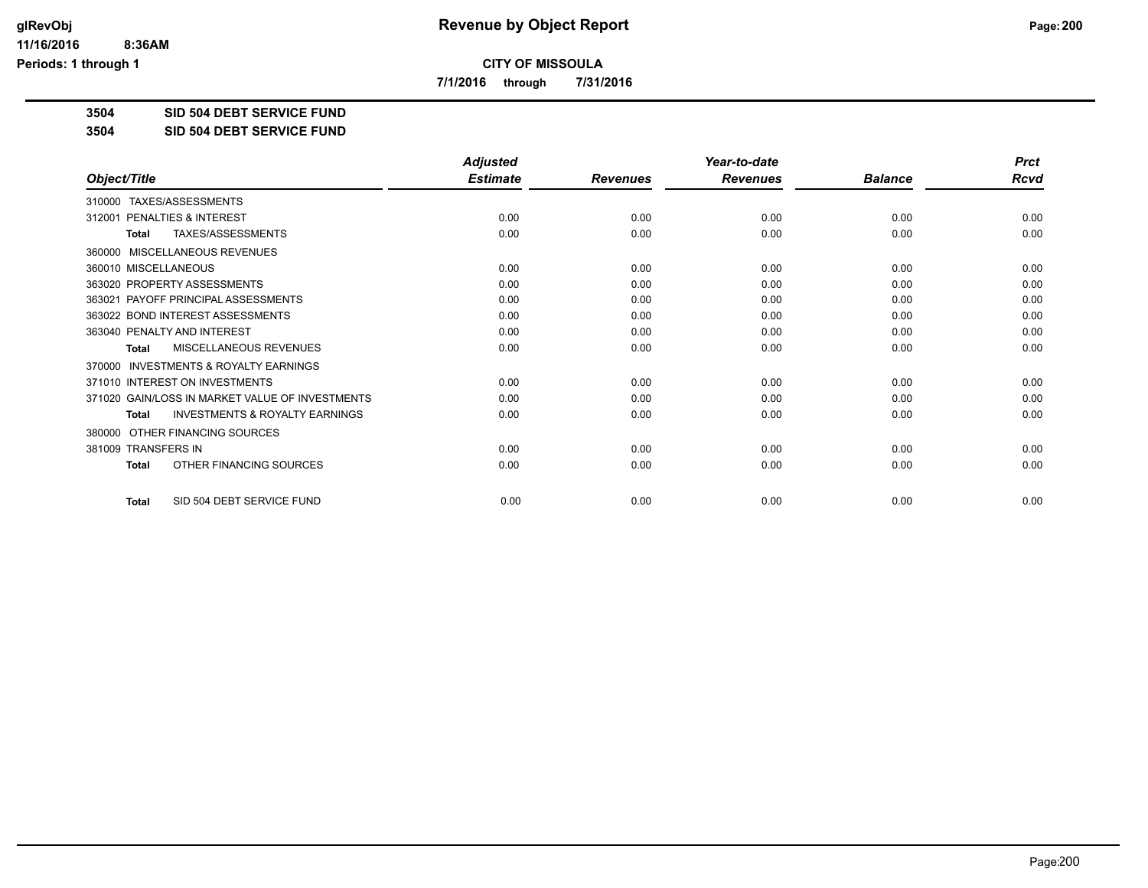**glRevObj Revenue by Object Report Page:200** 

**CITY OF MISSOULA**

**7/1/2016 through 7/31/2016**

**3504 SID 504 DEBT SERVICE FUND**

 **8:36AM**

**3504 SID 504 DEBT SERVICE FUND**

|                                                           | <b>Adjusted</b> |                 | Year-to-date    |                | <b>Prct</b> |
|-----------------------------------------------------------|-----------------|-----------------|-----------------|----------------|-------------|
| Object/Title                                              | <b>Estimate</b> | <b>Revenues</b> | <b>Revenues</b> | <b>Balance</b> | <b>Rcvd</b> |
| 310000 TAXES/ASSESSMENTS                                  |                 |                 |                 |                |             |
| PENALTIES & INTEREST<br>312001                            | 0.00            | 0.00            | 0.00            | 0.00           | 0.00        |
| TAXES/ASSESSMENTS<br><b>Total</b>                         | 0.00            | 0.00            | 0.00            | 0.00           | 0.00        |
| MISCELLANEOUS REVENUES<br>360000                          |                 |                 |                 |                |             |
| 360010 MISCELLANEOUS                                      | 0.00            | 0.00            | 0.00            | 0.00           | 0.00        |
| 363020 PROPERTY ASSESSMENTS                               | 0.00            | 0.00            | 0.00            | 0.00           | 0.00        |
| 363021 PAYOFF PRINCIPAL ASSESSMENTS                       | 0.00            | 0.00            | 0.00            | 0.00           | 0.00        |
| 363022 BOND INTEREST ASSESSMENTS                          | 0.00            | 0.00            | 0.00            | 0.00           | 0.00        |
| 363040 PENALTY AND INTEREST                               | 0.00            | 0.00            | 0.00            | 0.00           | 0.00        |
| MISCELLANEOUS REVENUES<br>Total                           | 0.00            | 0.00            | 0.00            | 0.00           | 0.00        |
| <b>INVESTMENTS &amp; ROYALTY EARNINGS</b><br>370000       |                 |                 |                 |                |             |
| 371010 INTEREST ON INVESTMENTS                            | 0.00            | 0.00            | 0.00            | 0.00           | 0.00        |
| 371020 GAIN/LOSS IN MARKET VALUE OF INVESTMENTS           | 0.00            | 0.00            | 0.00            | 0.00           | 0.00        |
| <b>INVESTMENTS &amp; ROYALTY EARNINGS</b><br><b>Total</b> | 0.00            | 0.00            | 0.00            | 0.00           | 0.00        |
| OTHER FINANCING SOURCES<br>380000                         |                 |                 |                 |                |             |
| 381009 TRANSFERS IN                                       | 0.00            | 0.00            | 0.00            | 0.00           | 0.00        |
| OTHER FINANCING SOURCES<br><b>Total</b>                   | 0.00            | 0.00            | 0.00            | 0.00           | 0.00        |
| SID 504 DEBT SERVICE FUND<br><b>Total</b>                 | 0.00            | 0.00            | 0.00            | 0.00           | 0.00        |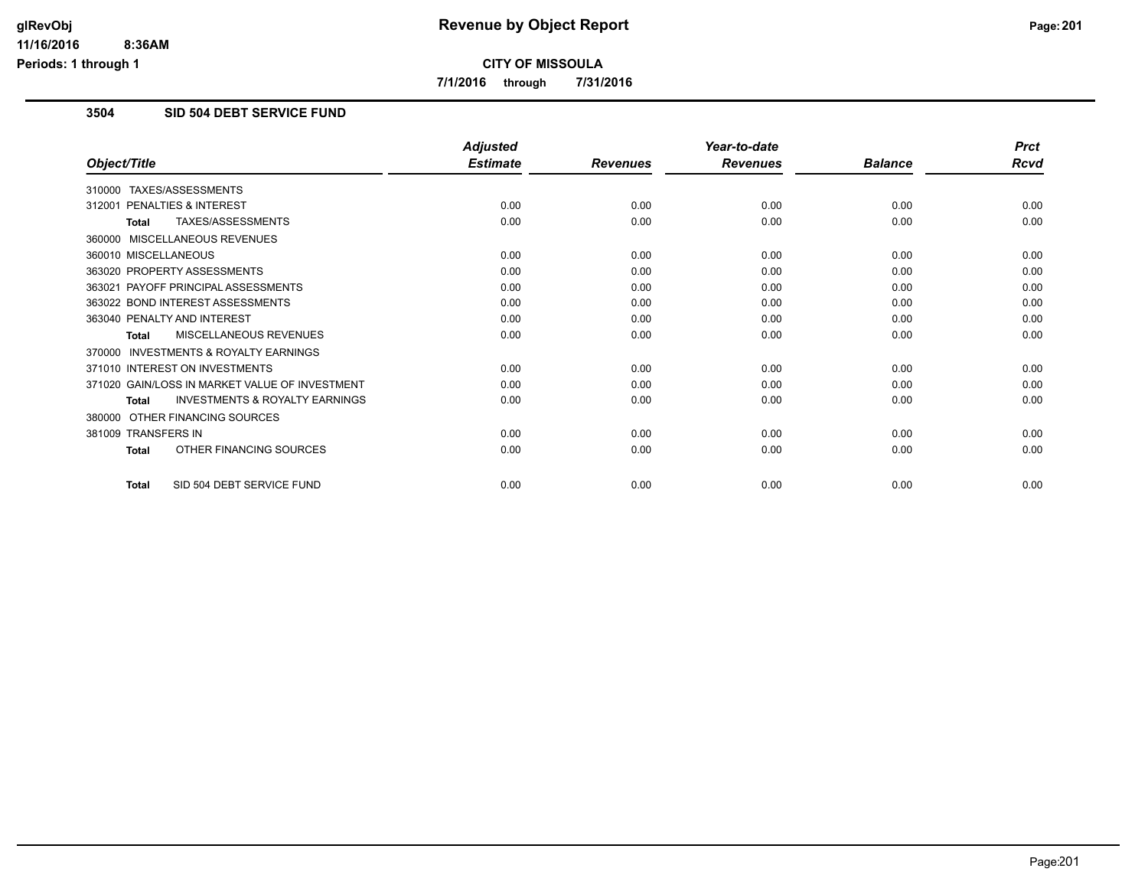**11/16/2016 8:36AM Periods: 1 through 1**

**CITY OF MISSOULA**

**7/1/2016 through 7/31/2016**

# **3504 SID 504 DEBT SERVICE FUND**

|                                                    | <b>Adjusted</b> |                 | Year-to-date    |                | <b>Prct</b> |
|----------------------------------------------------|-----------------|-----------------|-----------------|----------------|-------------|
| Object/Title                                       | <b>Estimate</b> | <b>Revenues</b> | <b>Revenues</b> | <b>Balance</b> | <b>Rcvd</b> |
| 310000 TAXES/ASSESSMENTS                           |                 |                 |                 |                |             |
| 312001 PENALTIES & INTEREST                        | 0.00            | 0.00            | 0.00            | 0.00           | 0.00        |
| TAXES/ASSESSMENTS<br>Total                         | 0.00            | 0.00            | 0.00            | 0.00           | 0.00        |
| 360000 MISCELLANEOUS REVENUES                      |                 |                 |                 |                |             |
| 360010 MISCELLANEOUS                               | 0.00            | 0.00            | 0.00            | 0.00           | 0.00        |
| 363020 PROPERTY ASSESSMENTS                        | 0.00            | 0.00            | 0.00            | 0.00           | 0.00        |
| 363021 PAYOFF PRINCIPAL ASSESSMENTS                | 0.00            | 0.00            | 0.00            | 0.00           | 0.00        |
| 363022 BOND INTEREST ASSESSMENTS                   | 0.00            | 0.00            | 0.00            | 0.00           | 0.00        |
| 363040 PENALTY AND INTEREST                        | 0.00            | 0.00            | 0.00            | 0.00           | 0.00        |
| MISCELLANEOUS REVENUES<br><b>Total</b>             | 0.00            | 0.00            | 0.00            | 0.00           | 0.00        |
| 370000 INVESTMENTS & ROYALTY EARNINGS              |                 |                 |                 |                |             |
| 371010 INTEREST ON INVESTMENTS                     | 0.00            | 0.00            | 0.00            | 0.00           | 0.00        |
| 371020 GAIN/LOSS IN MARKET VALUE OF INVESTMENT     | 0.00            | 0.00            | 0.00            | 0.00           | 0.00        |
| <b>INVESTMENTS &amp; ROYALTY EARNINGS</b><br>Total | 0.00            | 0.00            | 0.00            | 0.00           | 0.00        |
| 380000 OTHER FINANCING SOURCES                     |                 |                 |                 |                |             |
| 381009 TRANSFERS IN                                | 0.00            | 0.00            | 0.00            | 0.00           | 0.00        |
| OTHER FINANCING SOURCES<br>Total                   | 0.00            | 0.00            | 0.00            | 0.00           | 0.00        |
| SID 504 DEBT SERVICE FUND<br><b>Total</b>          | 0.00            | 0.00            | 0.00            | 0.00           | 0.00        |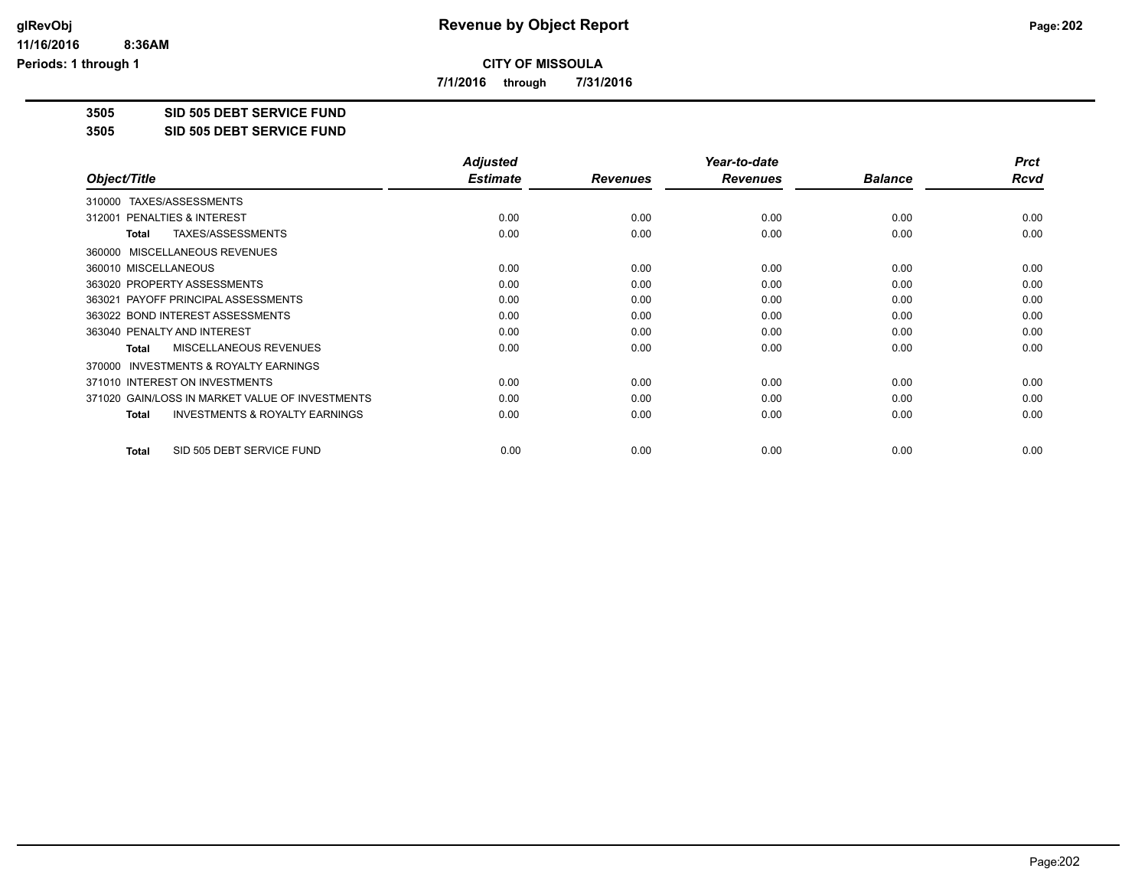**glRevObj Revenue by Object Report Page:202** 

**CITY OF MISSOULA**

**7/1/2016 through 7/31/2016**

**3505 SID 505 DEBT SERVICE FUND**

 **8:36AM**

**3505 SID 505 DEBT SERVICE FUND**

|                                                           | <b>Adjusted</b> |                 | Year-to-date    |                | <b>Prct</b> |
|-----------------------------------------------------------|-----------------|-----------------|-----------------|----------------|-------------|
| Object/Title                                              | <b>Estimate</b> | <b>Revenues</b> | <b>Revenues</b> | <b>Balance</b> | Rcvd        |
| 310000 TAXES/ASSESSMENTS                                  |                 |                 |                 |                |             |
| 312001 PENALTIES & INTEREST                               | 0.00            | 0.00            | 0.00            | 0.00           | 0.00        |
| TAXES/ASSESSMENTS<br><b>Total</b>                         | 0.00            | 0.00            | 0.00            | 0.00           | 0.00        |
| MISCELLANEOUS REVENUES<br>360000                          |                 |                 |                 |                |             |
| 360010 MISCELLANEOUS                                      | 0.00            | 0.00            | 0.00            | 0.00           | 0.00        |
| 363020 PROPERTY ASSESSMENTS                               | 0.00            | 0.00            | 0.00            | 0.00           | 0.00        |
| 363021 PAYOFF PRINCIPAL ASSESSMENTS                       | 0.00            | 0.00            | 0.00            | 0.00           | 0.00        |
| 363022 BOND INTEREST ASSESSMENTS                          | 0.00            | 0.00            | 0.00            | 0.00           | 0.00        |
| 363040 PENALTY AND INTEREST                               | 0.00            | 0.00            | 0.00            | 0.00           | 0.00        |
| <b>MISCELLANEOUS REVENUES</b><br>Total                    | 0.00            | 0.00            | 0.00            | 0.00           | 0.00        |
| 370000 INVESTMENTS & ROYALTY EARNINGS                     |                 |                 |                 |                |             |
| 371010 INTEREST ON INVESTMENTS                            | 0.00            | 0.00            | 0.00            | 0.00           | 0.00        |
| 371020 GAIN/LOSS IN MARKET VALUE OF INVESTMENTS           | 0.00            | 0.00            | 0.00            | 0.00           | 0.00        |
| <b>INVESTMENTS &amp; ROYALTY EARNINGS</b><br><b>Total</b> | 0.00            | 0.00            | 0.00            | 0.00           | 0.00        |
| SID 505 DEBT SERVICE FUND<br><b>Total</b>                 | 0.00            | 0.00            | 0.00            | 0.00           | 0.00        |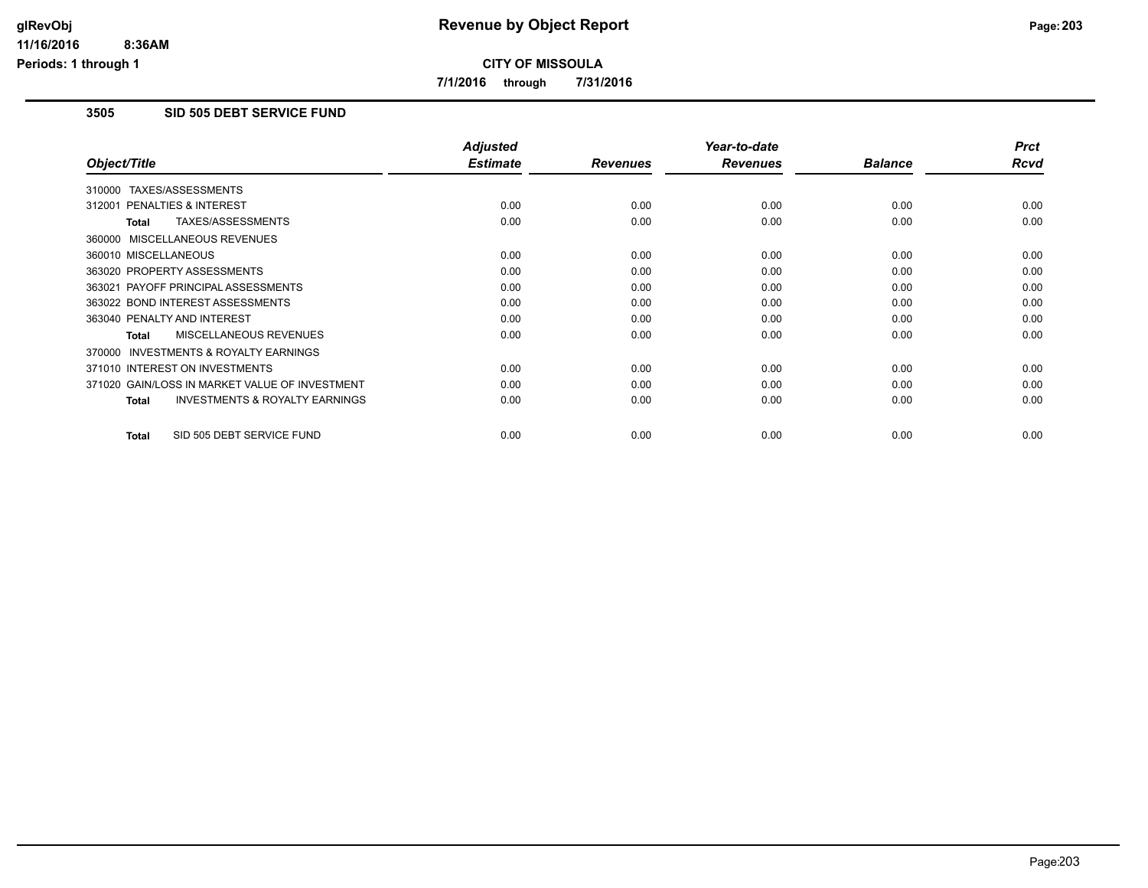**11/16/2016 8:36AM Periods: 1 through 1**

**CITY OF MISSOULA**

**7/1/2016 through 7/31/2016**

# **3505 SID 505 DEBT SERVICE FUND**

|                                                           | <b>Adjusted</b> |                 | Year-to-date    |                | <b>Prct</b> |
|-----------------------------------------------------------|-----------------|-----------------|-----------------|----------------|-------------|
| Object/Title                                              | <b>Estimate</b> | <b>Revenues</b> | <b>Revenues</b> | <b>Balance</b> | <b>Rcvd</b> |
| 310000 TAXES/ASSESSMENTS                                  |                 |                 |                 |                |             |
| 312001 PENALTIES & INTEREST                               | 0.00            | 0.00            | 0.00            | 0.00           | 0.00        |
| TAXES/ASSESSMENTS<br><b>Total</b>                         | 0.00            | 0.00            | 0.00            | 0.00           | 0.00        |
| 360000 MISCELLANEOUS REVENUES                             |                 |                 |                 |                |             |
| 360010 MISCELLANEOUS                                      | 0.00            | 0.00            | 0.00            | 0.00           | 0.00        |
| 363020 PROPERTY ASSESSMENTS                               | 0.00            | 0.00            | 0.00            | 0.00           | 0.00        |
| 363021 PAYOFF PRINCIPAL ASSESSMENTS                       | 0.00            | 0.00            | 0.00            | 0.00           | 0.00        |
| 363022 BOND INTEREST ASSESSMENTS                          | 0.00            | 0.00            | 0.00            | 0.00           | 0.00        |
| 363040 PENALTY AND INTEREST                               | 0.00            | 0.00            | 0.00            | 0.00           | 0.00        |
| <b>MISCELLANEOUS REVENUES</b><br><b>Total</b>             | 0.00            | 0.00            | 0.00            | 0.00           | 0.00        |
| <b>INVESTMENTS &amp; ROYALTY EARNINGS</b><br>370000       |                 |                 |                 |                |             |
| 371010 INTEREST ON INVESTMENTS                            | 0.00            | 0.00            | 0.00            | 0.00           | 0.00        |
| 371020 GAIN/LOSS IN MARKET VALUE OF INVESTMENT            | 0.00            | 0.00            | 0.00            | 0.00           | 0.00        |
| <b>INVESTMENTS &amp; ROYALTY EARNINGS</b><br><b>Total</b> | 0.00            | 0.00            | 0.00            | 0.00           | 0.00        |
| SID 505 DEBT SERVICE FUND<br><b>Total</b>                 | 0.00            | 0.00            | 0.00            | 0.00           | 0.00        |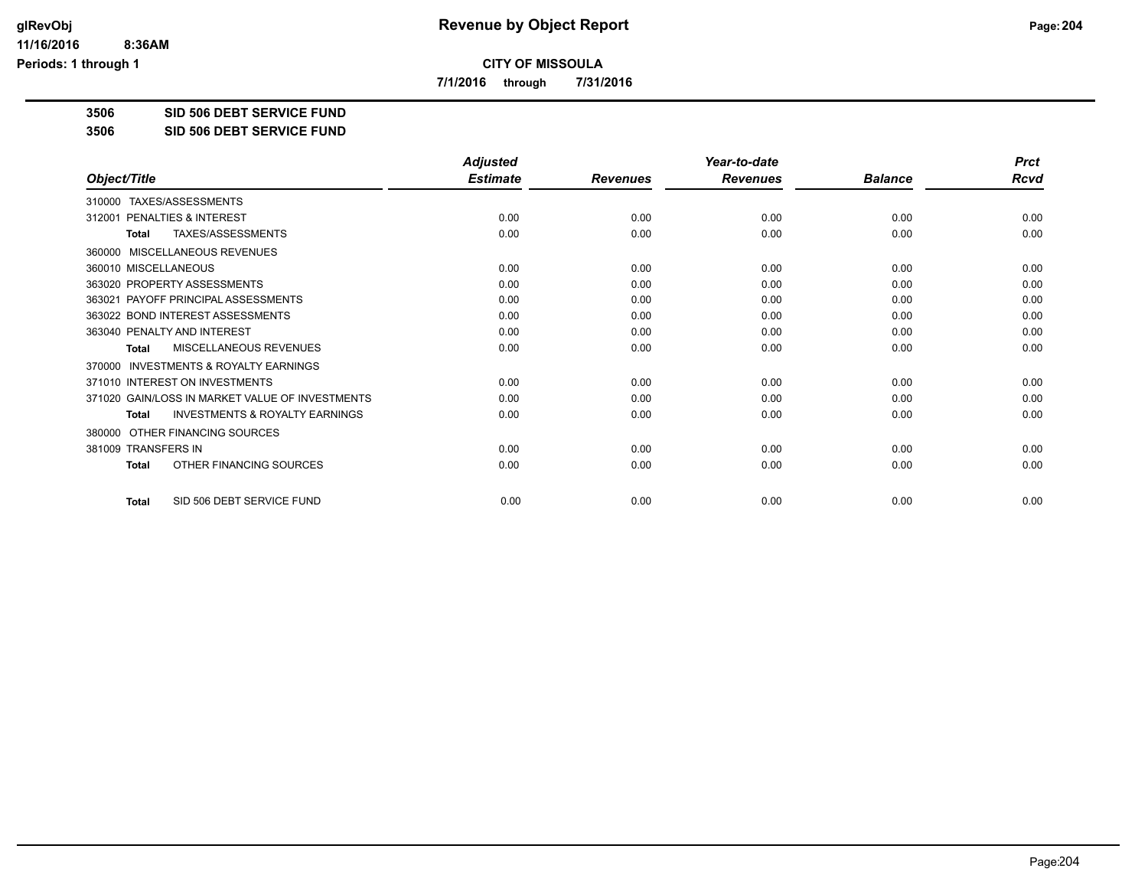**glRevObj Revenue by Object Report Page:204** 

**CITY OF MISSOULA**

**7/1/2016 through 7/31/2016**

**3506 SID 506 DEBT SERVICE FUND**

 **8:36AM**

**3506 SID 506 DEBT SERVICE FUND**

|                                                           | <b>Adjusted</b> |                 | Year-to-date    |                | <b>Prct</b> |
|-----------------------------------------------------------|-----------------|-----------------|-----------------|----------------|-------------|
| Object/Title                                              | <b>Estimate</b> | <b>Revenues</b> | <b>Revenues</b> | <b>Balance</b> | <b>Rcvd</b> |
| 310000 TAXES/ASSESSMENTS                                  |                 |                 |                 |                |             |
| PENALTIES & INTEREST<br>312001                            | 0.00            | 0.00            | 0.00            | 0.00           | 0.00        |
| TAXES/ASSESSMENTS<br><b>Total</b>                         | 0.00            | 0.00            | 0.00            | 0.00           | 0.00        |
| MISCELLANEOUS REVENUES<br>360000                          |                 |                 |                 |                |             |
| 360010 MISCELLANEOUS                                      | 0.00            | 0.00            | 0.00            | 0.00           | 0.00        |
| 363020 PROPERTY ASSESSMENTS                               | 0.00            | 0.00            | 0.00            | 0.00           | 0.00        |
| 363021 PAYOFF PRINCIPAL ASSESSMENTS                       | 0.00            | 0.00            | 0.00            | 0.00           | 0.00        |
| 363022 BOND INTEREST ASSESSMENTS                          | 0.00            | 0.00            | 0.00            | 0.00           | 0.00        |
| 363040 PENALTY AND INTEREST                               | 0.00            | 0.00            | 0.00            | 0.00           | 0.00        |
| MISCELLANEOUS REVENUES<br>Total                           | 0.00            | 0.00            | 0.00            | 0.00           | 0.00        |
| <b>INVESTMENTS &amp; ROYALTY EARNINGS</b><br>370000       |                 |                 |                 |                |             |
| 371010 INTEREST ON INVESTMENTS                            | 0.00            | 0.00            | 0.00            | 0.00           | 0.00        |
| 371020 GAIN/LOSS IN MARKET VALUE OF INVESTMENTS           | 0.00            | 0.00            | 0.00            | 0.00           | 0.00        |
| <b>INVESTMENTS &amp; ROYALTY EARNINGS</b><br><b>Total</b> | 0.00            | 0.00            | 0.00            | 0.00           | 0.00        |
| OTHER FINANCING SOURCES<br>380000                         |                 |                 |                 |                |             |
| 381009 TRANSFERS IN                                       | 0.00            | 0.00            | 0.00            | 0.00           | 0.00        |
| OTHER FINANCING SOURCES<br><b>Total</b>                   | 0.00            | 0.00            | 0.00            | 0.00           | 0.00        |
| SID 506 DEBT SERVICE FUND<br><b>Total</b>                 | 0.00            | 0.00            | 0.00            | 0.00           | 0.00        |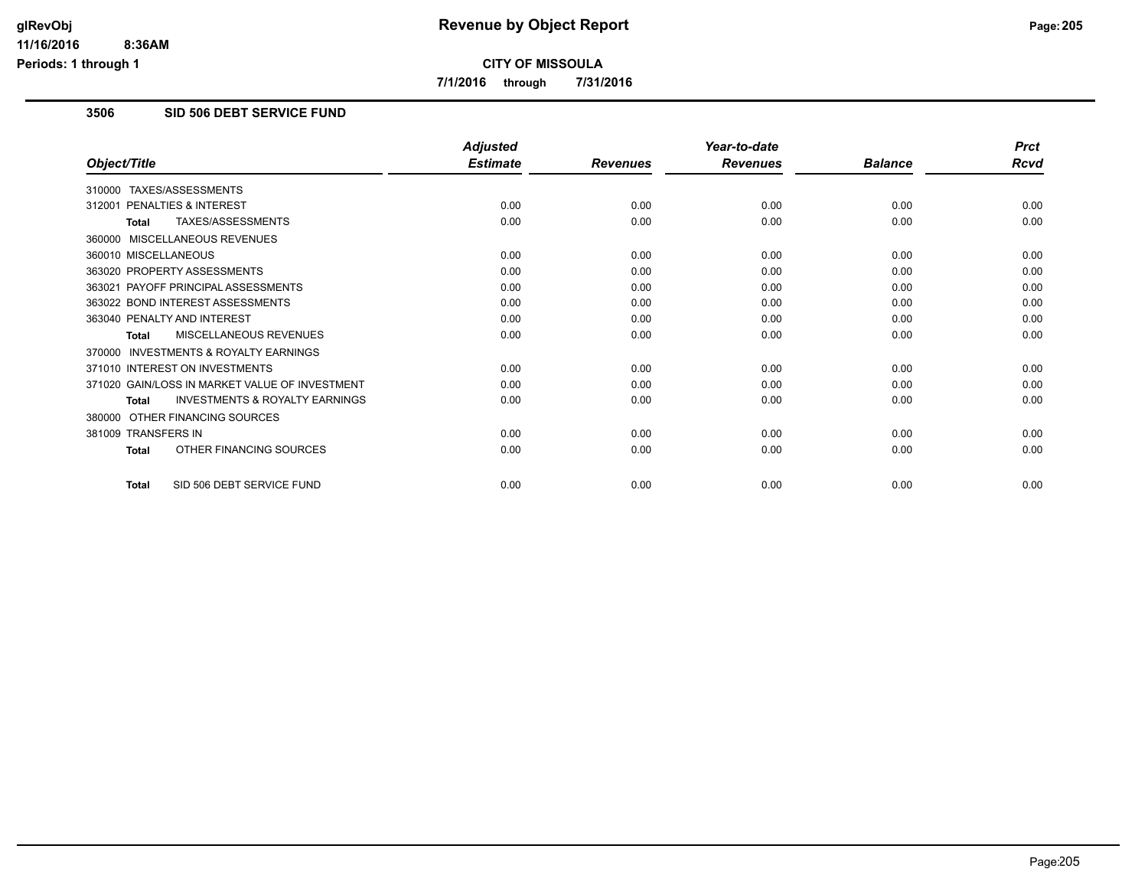**11/16/2016 8:36AM Periods: 1 through 1**

**CITY OF MISSOULA**

**7/1/2016 through 7/31/2016**

## **3506 SID 506 DEBT SERVICE FUND**

|                                                           | <b>Adjusted</b> |                 | Year-to-date    |                | <b>Prct</b> |
|-----------------------------------------------------------|-----------------|-----------------|-----------------|----------------|-------------|
| Object/Title                                              | <b>Estimate</b> | <b>Revenues</b> | <b>Revenues</b> | <b>Balance</b> | <b>Rcvd</b> |
| 310000 TAXES/ASSESSMENTS                                  |                 |                 |                 |                |             |
| PENALTIES & INTEREST<br>312001                            | 0.00            | 0.00            | 0.00            | 0.00           | 0.00        |
| TAXES/ASSESSMENTS<br><b>Total</b>                         | 0.00            | 0.00            | 0.00            | 0.00           | 0.00        |
| 360000 MISCELLANEOUS REVENUES                             |                 |                 |                 |                |             |
| 360010 MISCELLANEOUS                                      | 0.00            | 0.00            | 0.00            | 0.00           | 0.00        |
| 363020 PROPERTY ASSESSMENTS                               | 0.00            | 0.00            | 0.00            | 0.00           | 0.00        |
| 363021 PAYOFF PRINCIPAL ASSESSMENTS                       | 0.00            | 0.00            | 0.00            | 0.00           | 0.00        |
| 363022 BOND INTEREST ASSESSMENTS                          | 0.00            | 0.00            | 0.00            | 0.00           | 0.00        |
| 363040 PENALTY AND INTEREST                               | 0.00            | 0.00            | 0.00            | 0.00           | 0.00        |
| MISCELLANEOUS REVENUES<br><b>Total</b>                    | 0.00            | 0.00            | 0.00            | 0.00           | 0.00        |
| <b>INVESTMENTS &amp; ROYALTY EARNINGS</b><br>370000       |                 |                 |                 |                |             |
| 371010 INTEREST ON INVESTMENTS                            | 0.00            | 0.00            | 0.00            | 0.00           | 0.00        |
| 371020 GAIN/LOSS IN MARKET VALUE OF INVESTMENT            | 0.00            | 0.00            | 0.00            | 0.00           | 0.00        |
| <b>INVESTMENTS &amp; ROYALTY EARNINGS</b><br><b>Total</b> | 0.00            | 0.00            | 0.00            | 0.00           | 0.00        |
| OTHER FINANCING SOURCES<br>380000                         |                 |                 |                 |                |             |
| 381009 TRANSFERS IN                                       | 0.00            | 0.00            | 0.00            | 0.00           | 0.00        |
| OTHER FINANCING SOURCES<br><b>Total</b>                   | 0.00            | 0.00            | 0.00            | 0.00           | 0.00        |
| SID 506 DEBT SERVICE FUND<br><b>Total</b>                 | 0.00            | 0.00            | 0.00            | 0.00           | 0.00        |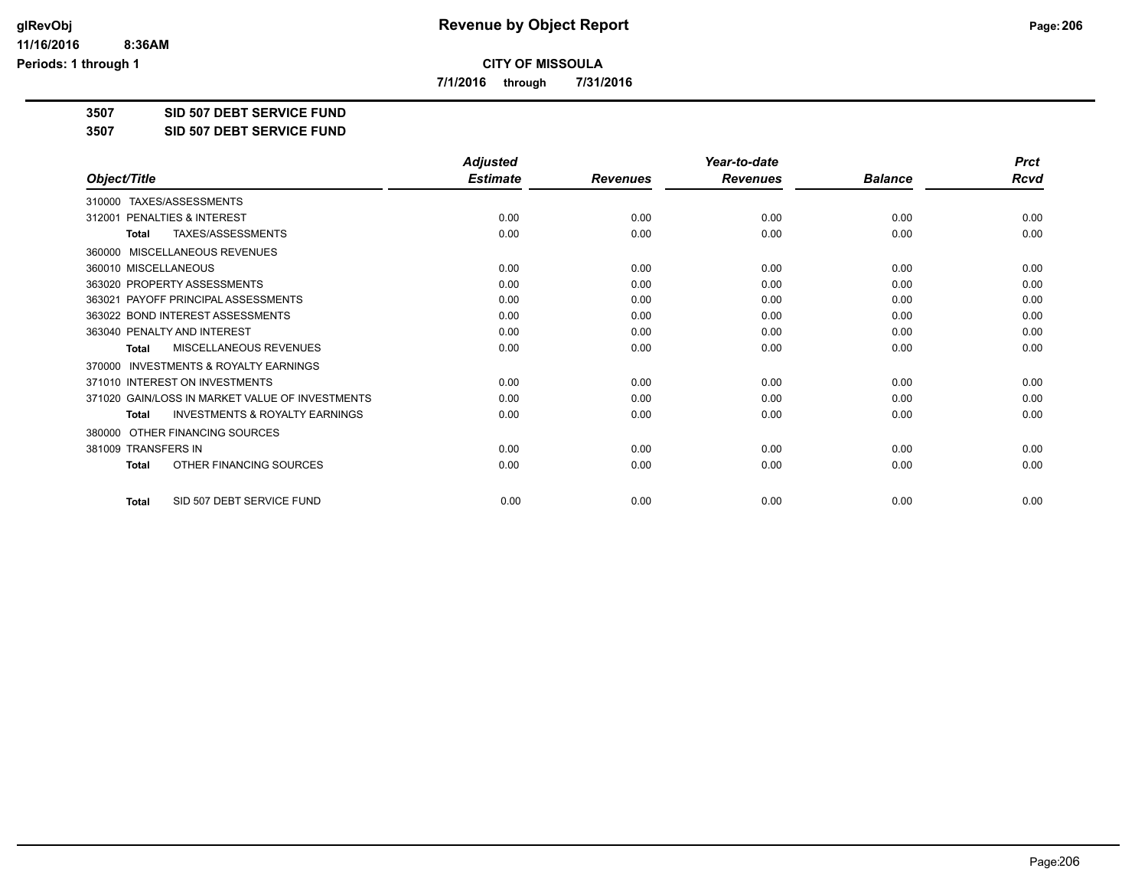**glRevObj Revenue by Object Report Page:206** 

**11/16/2016 8:36AM Periods: 1 through 1**

**CITY OF MISSOULA**

**7/1/2016 through 7/31/2016**

**3507 SID 507 DEBT SERVICE FUND**

**3507 SID 507 DEBT SERVICE FUND**

|                                                           | <b>Adjusted</b> |                 | Year-to-date    |                | <b>Prct</b> |
|-----------------------------------------------------------|-----------------|-----------------|-----------------|----------------|-------------|
| Object/Title                                              | <b>Estimate</b> | <b>Revenues</b> | <b>Revenues</b> | <b>Balance</b> | <b>Rcvd</b> |
| TAXES/ASSESSMENTS<br>310000                               |                 |                 |                 |                |             |
| PENALTIES & INTEREST<br>312001                            | 0.00            | 0.00            | 0.00            | 0.00           | 0.00        |
| <b>TAXES/ASSESSMENTS</b><br><b>Total</b>                  | 0.00            | 0.00            | 0.00            | 0.00           | 0.00        |
| <b>MISCELLANEOUS REVENUES</b><br>360000                   |                 |                 |                 |                |             |
| 360010 MISCELLANEOUS                                      | 0.00            | 0.00            | 0.00            | 0.00           | 0.00        |
| 363020 PROPERTY ASSESSMENTS                               | 0.00            | 0.00            | 0.00            | 0.00           | 0.00        |
| 363021 PAYOFF PRINCIPAL ASSESSMENTS                       | 0.00            | 0.00            | 0.00            | 0.00           | 0.00        |
| 363022 BOND INTEREST ASSESSMENTS                          | 0.00            | 0.00            | 0.00            | 0.00           | 0.00        |
| 363040 PENALTY AND INTEREST                               | 0.00            | 0.00            | 0.00            | 0.00           | 0.00        |
| <b>MISCELLANEOUS REVENUES</b><br><b>Total</b>             | 0.00            | 0.00            | 0.00            | 0.00           | 0.00        |
| <b>INVESTMENTS &amp; ROYALTY EARNINGS</b><br>370000       |                 |                 |                 |                |             |
| 371010 INTEREST ON INVESTMENTS                            | 0.00            | 0.00            | 0.00            | 0.00           | 0.00        |
| 371020 GAIN/LOSS IN MARKET VALUE OF INVESTMENTS           | 0.00            | 0.00            | 0.00            | 0.00           | 0.00        |
| <b>INVESTMENTS &amp; ROYALTY EARNINGS</b><br><b>Total</b> | 0.00            | 0.00            | 0.00            | 0.00           | 0.00        |
| OTHER FINANCING SOURCES<br>380000                         |                 |                 |                 |                |             |
| 381009 TRANSFERS IN                                       | 0.00            | 0.00            | 0.00            | 0.00           | 0.00        |
| OTHER FINANCING SOURCES<br><b>Total</b>                   | 0.00            | 0.00            | 0.00            | 0.00           | 0.00        |
| SID 507 DEBT SERVICE FUND<br><b>Total</b>                 | 0.00            | 0.00            | 0.00            | 0.00           | 0.00        |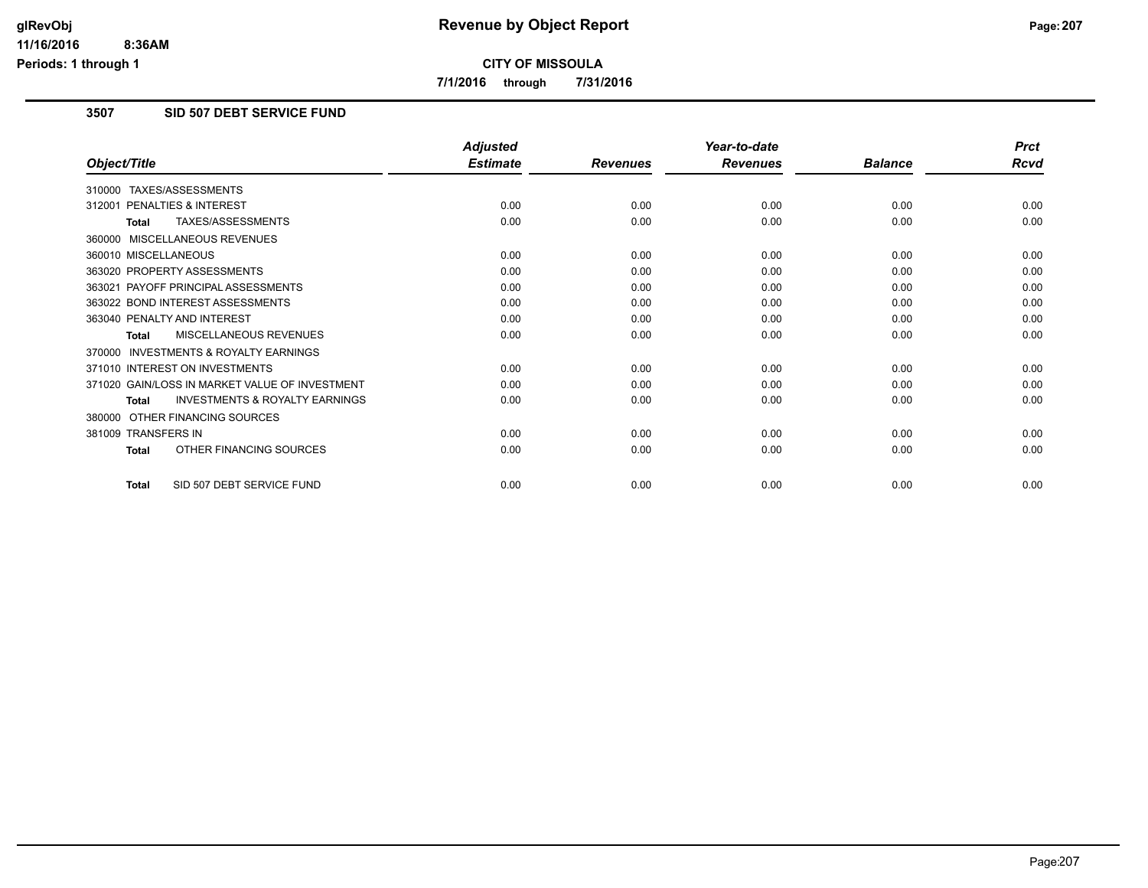**CITY OF MISSOULA**

**7/1/2016 through 7/31/2016**

### **3507 SID 507 DEBT SERVICE FUND**

|                                                           | <b>Adjusted</b> |                 | Year-to-date    |                | <b>Prct</b> |
|-----------------------------------------------------------|-----------------|-----------------|-----------------|----------------|-------------|
| Object/Title                                              | <b>Estimate</b> | <b>Revenues</b> | <b>Revenues</b> | <b>Balance</b> | <b>Rcvd</b> |
| 310000 TAXES/ASSESSMENTS                                  |                 |                 |                 |                |             |
| PENALTIES & INTEREST<br>312001                            | 0.00            | 0.00            | 0.00            | 0.00           | 0.00        |
| TAXES/ASSESSMENTS<br><b>Total</b>                         | 0.00            | 0.00            | 0.00            | 0.00           | 0.00        |
| 360000 MISCELLANEOUS REVENUES                             |                 |                 |                 |                |             |
| 360010 MISCELLANEOUS                                      | 0.00            | 0.00            | 0.00            | 0.00           | 0.00        |
| 363020 PROPERTY ASSESSMENTS                               | 0.00            | 0.00            | 0.00            | 0.00           | 0.00        |
| 363021 PAYOFF PRINCIPAL ASSESSMENTS                       | 0.00            | 0.00            | 0.00            | 0.00           | 0.00        |
| 363022 BOND INTEREST ASSESSMENTS                          | 0.00            | 0.00            | 0.00            | 0.00           | 0.00        |
| 363040 PENALTY AND INTEREST                               | 0.00            | 0.00            | 0.00            | 0.00           | 0.00        |
| MISCELLANEOUS REVENUES<br><b>Total</b>                    | 0.00            | 0.00            | 0.00            | 0.00           | 0.00        |
| <b>INVESTMENTS &amp; ROYALTY EARNINGS</b><br>370000       |                 |                 |                 |                |             |
| 371010 INTEREST ON INVESTMENTS                            | 0.00            | 0.00            | 0.00            | 0.00           | 0.00        |
| 371020 GAIN/LOSS IN MARKET VALUE OF INVESTMENT            | 0.00            | 0.00            | 0.00            | 0.00           | 0.00        |
| <b>INVESTMENTS &amp; ROYALTY EARNINGS</b><br><b>Total</b> | 0.00            | 0.00            | 0.00            | 0.00           | 0.00        |
| OTHER FINANCING SOURCES<br>380000                         |                 |                 |                 |                |             |
| 381009 TRANSFERS IN                                       | 0.00            | 0.00            | 0.00            | 0.00           | 0.00        |
| OTHER FINANCING SOURCES<br><b>Total</b>                   | 0.00            | 0.00            | 0.00            | 0.00           | 0.00        |
| SID 507 DEBT SERVICE FUND<br><b>Total</b>                 | 0.00            | 0.00            | 0.00            | 0.00           | 0.00        |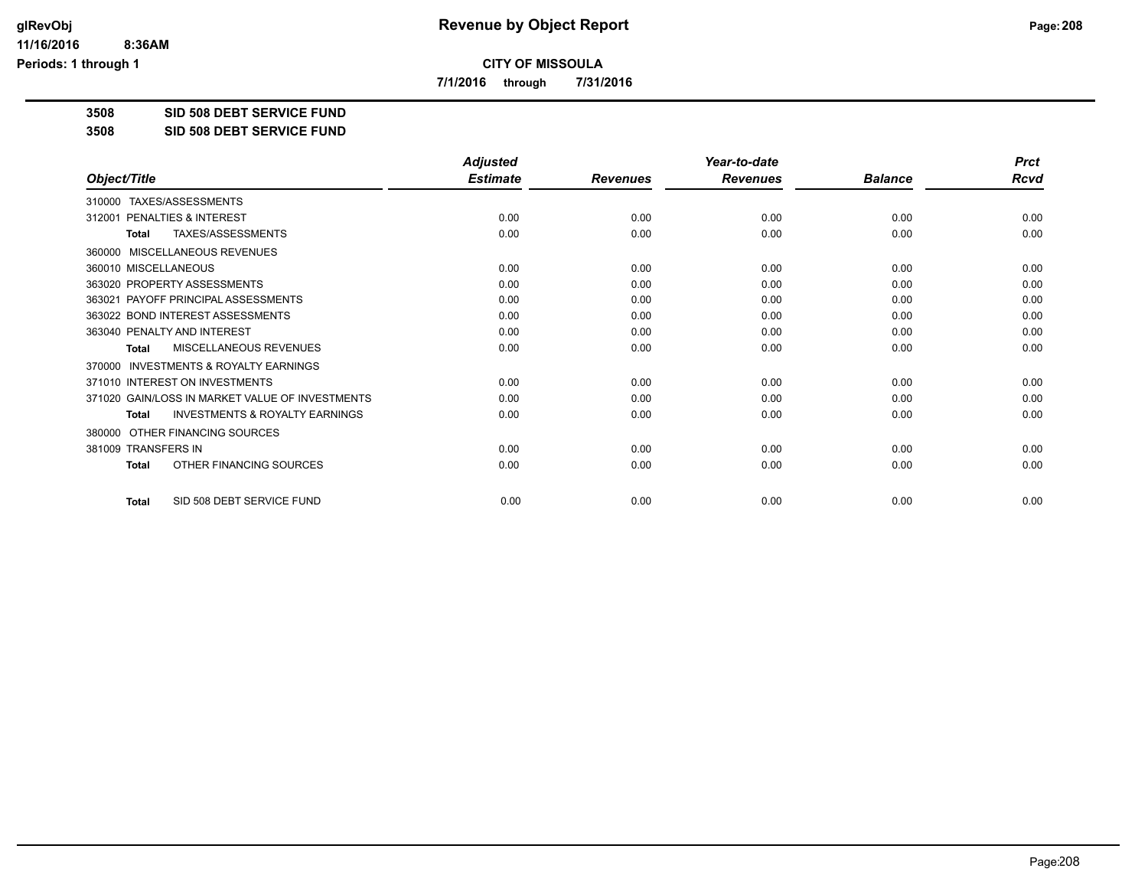**glRevObj Revenue by Object Report Page:208** 

**CITY OF MISSOULA**

**7/1/2016 through 7/31/2016**

**3508 SID 508 DEBT SERVICE FUND**

 **8:36AM**

**3508 SID 508 DEBT SERVICE FUND**

|                                                           | <b>Adjusted</b> |                 | Year-to-date    |                | <b>Prct</b> |
|-----------------------------------------------------------|-----------------|-----------------|-----------------|----------------|-------------|
| Object/Title                                              | <b>Estimate</b> | <b>Revenues</b> | <b>Revenues</b> | <b>Balance</b> | <b>Rcvd</b> |
| TAXES/ASSESSMENTS<br>310000                               |                 |                 |                 |                |             |
| 312001 PENALTIES & INTEREST                               | 0.00            | 0.00            | 0.00            | 0.00           | 0.00        |
| <b>TAXES/ASSESSMENTS</b><br><b>Total</b>                  | 0.00            | 0.00            | 0.00            | 0.00           | 0.00        |
| <b>MISCELLANEOUS REVENUES</b><br>360000                   |                 |                 |                 |                |             |
| 360010 MISCELLANEOUS                                      | 0.00            | 0.00            | 0.00            | 0.00           | 0.00        |
| 363020 PROPERTY ASSESSMENTS                               | 0.00            | 0.00            | 0.00            | 0.00           | 0.00        |
| 363021 PAYOFF PRINCIPAL ASSESSMENTS                       | 0.00            | 0.00            | 0.00            | 0.00           | 0.00        |
| 363022 BOND INTEREST ASSESSMENTS                          | 0.00            | 0.00            | 0.00            | 0.00           | 0.00        |
| 363040 PENALTY AND INTEREST                               | 0.00            | 0.00            | 0.00            | 0.00           | 0.00        |
| <b>MISCELLANEOUS REVENUES</b><br>Total                    | 0.00            | 0.00            | 0.00            | 0.00           | 0.00        |
| <b>INVESTMENTS &amp; ROYALTY EARNINGS</b><br>370000       |                 |                 |                 |                |             |
| 371010 INTEREST ON INVESTMENTS                            | 0.00            | 0.00            | 0.00            | 0.00           | 0.00        |
| 371020 GAIN/LOSS IN MARKET VALUE OF INVESTMENTS           | 0.00            | 0.00            | 0.00            | 0.00           | 0.00        |
| <b>INVESTMENTS &amp; ROYALTY EARNINGS</b><br><b>Total</b> | 0.00            | 0.00            | 0.00            | 0.00           | 0.00        |
| OTHER FINANCING SOURCES<br>380000                         |                 |                 |                 |                |             |
| 381009 TRANSFERS IN                                       | 0.00            | 0.00            | 0.00            | 0.00           | 0.00        |
| OTHER FINANCING SOURCES<br><b>Total</b>                   | 0.00            | 0.00            | 0.00            | 0.00           | 0.00        |
| SID 508 DEBT SERVICE FUND<br><b>Total</b>                 | 0.00            | 0.00            | 0.00            | 0.00           | 0.00        |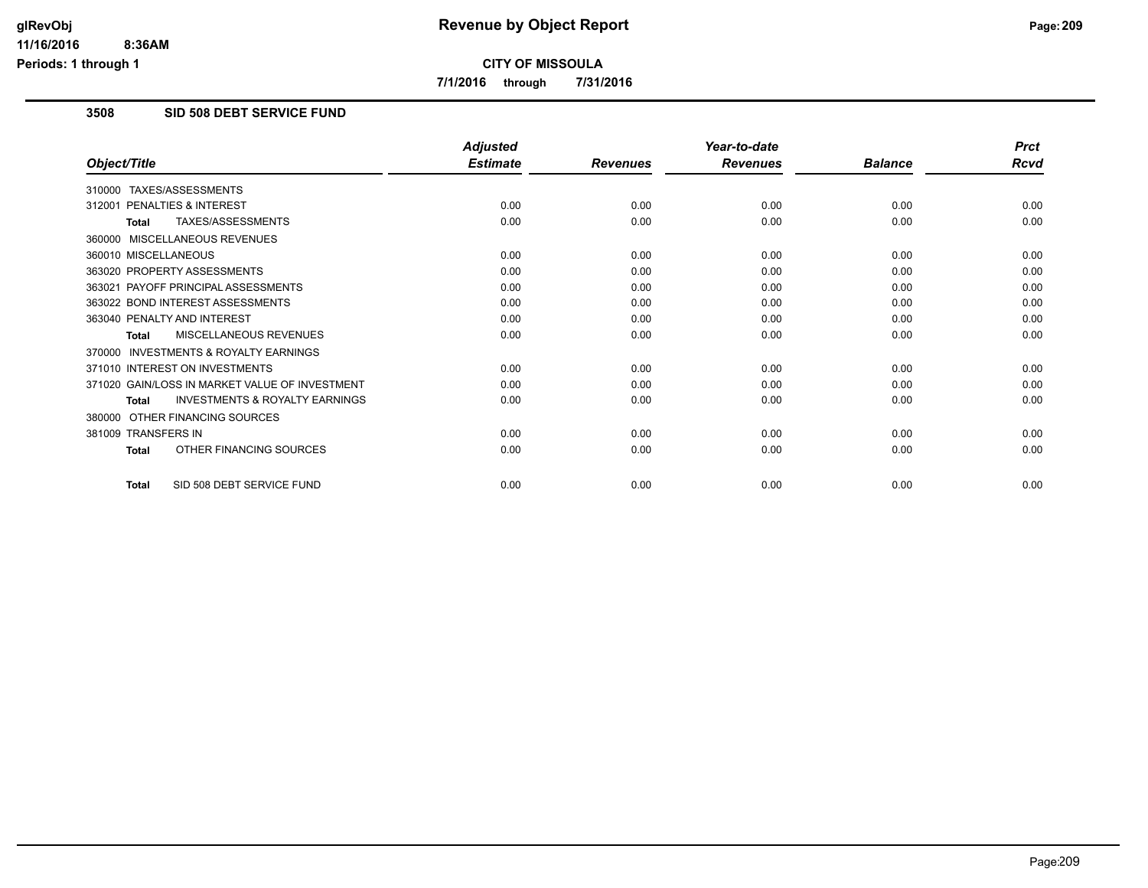**CITY OF MISSOULA**

**7/1/2016 through 7/31/2016**

### **3508 SID 508 DEBT SERVICE FUND**

|                                                    | <b>Adjusted</b> |                 | Year-to-date    |                | <b>Prct</b> |
|----------------------------------------------------|-----------------|-----------------|-----------------|----------------|-------------|
| Object/Title                                       | <b>Estimate</b> | <b>Revenues</b> | <b>Revenues</b> | <b>Balance</b> | Rcvd        |
| 310000 TAXES/ASSESSMENTS                           |                 |                 |                 |                |             |
| 312001 PENALTIES & INTEREST                        | 0.00            | 0.00            | 0.00            | 0.00           | 0.00        |
| TAXES/ASSESSMENTS<br><b>Total</b>                  | 0.00            | 0.00            | 0.00            | 0.00           | 0.00        |
| 360000 MISCELLANEOUS REVENUES                      |                 |                 |                 |                |             |
| 360010 MISCELLANEOUS                               | 0.00            | 0.00            | 0.00            | 0.00           | 0.00        |
| 363020 PROPERTY ASSESSMENTS                        | 0.00            | 0.00            | 0.00            | 0.00           | 0.00        |
| 363021 PAYOFF PRINCIPAL ASSESSMENTS                | 0.00            | 0.00            | 0.00            | 0.00           | 0.00        |
| 363022 BOND INTEREST ASSESSMENTS                   | 0.00            | 0.00            | 0.00            | 0.00           | 0.00        |
| 363040 PENALTY AND INTEREST                        | 0.00            | 0.00            | 0.00            | 0.00           | 0.00        |
| MISCELLANEOUS REVENUES<br><b>Total</b>             | 0.00            | 0.00            | 0.00            | 0.00           | 0.00        |
| 370000 INVESTMENTS & ROYALTY EARNINGS              |                 |                 |                 |                |             |
| 371010 INTEREST ON INVESTMENTS                     | 0.00            | 0.00            | 0.00            | 0.00           | 0.00        |
| 371020 GAIN/LOSS IN MARKET VALUE OF INVESTMENT     | 0.00            | 0.00            | 0.00            | 0.00           | 0.00        |
| <b>INVESTMENTS &amp; ROYALTY EARNINGS</b><br>Total | 0.00            | 0.00            | 0.00            | 0.00           | 0.00        |
| 380000 OTHER FINANCING SOURCES                     |                 |                 |                 |                |             |
| 381009 TRANSFERS IN                                | 0.00            | 0.00            | 0.00            | 0.00           | 0.00        |
| OTHER FINANCING SOURCES<br>Total                   | 0.00            | 0.00            | 0.00            | 0.00           | 0.00        |
| SID 508 DEBT SERVICE FUND<br><b>Total</b>          | 0.00            | 0.00            | 0.00            | 0.00           | 0.00        |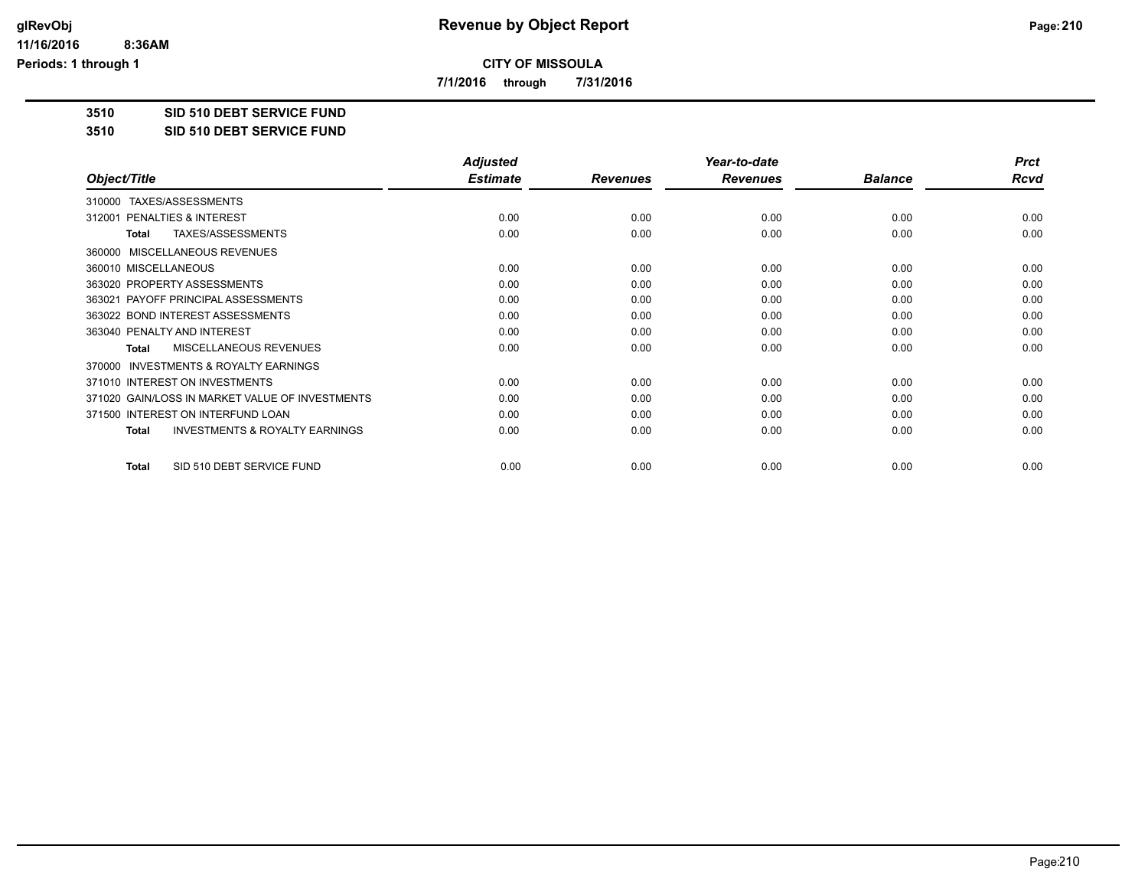**glRevObj Revenue by Object Report Page:210** 

**CITY OF MISSOULA**

**7/1/2016 through 7/31/2016**

**3510 SID 510 DEBT SERVICE FUND**

 **8:36AM**

**3510 SID 510 DEBT SERVICE FUND**

|                                                           | <b>Adjusted</b> |                 | Year-to-date    |                | <b>Prct</b> |
|-----------------------------------------------------------|-----------------|-----------------|-----------------|----------------|-------------|
| Object/Title                                              | <b>Estimate</b> | <b>Revenues</b> | <b>Revenues</b> | <b>Balance</b> | <b>Rcvd</b> |
| TAXES/ASSESSMENTS<br>310000                               |                 |                 |                 |                |             |
| 312001 PENALTIES & INTEREST                               | 0.00            | 0.00            | 0.00            | 0.00           | 0.00        |
| TAXES/ASSESSMENTS<br><b>Total</b>                         | 0.00            | 0.00            | 0.00            | 0.00           | 0.00        |
| MISCELLANEOUS REVENUES<br>360000                          |                 |                 |                 |                |             |
| 360010 MISCELLANEOUS                                      | 0.00            | 0.00            | 0.00            | 0.00           | 0.00        |
| 363020 PROPERTY ASSESSMENTS                               | 0.00            | 0.00            | 0.00            | 0.00           | 0.00        |
| 363021 PAYOFF PRINCIPAL ASSESSMENTS                       | 0.00            | 0.00            | 0.00            | 0.00           | 0.00        |
| 363022 BOND INTEREST ASSESSMENTS                          | 0.00            | 0.00            | 0.00            | 0.00           | 0.00        |
| 363040 PENALTY AND INTEREST                               | 0.00            | 0.00            | 0.00            | 0.00           | 0.00        |
| <b>MISCELLANEOUS REVENUES</b><br>Total                    | 0.00            | 0.00            | 0.00            | 0.00           | 0.00        |
| <b>INVESTMENTS &amp; ROYALTY EARNINGS</b><br>370000       |                 |                 |                 |                |             |
| 371010 INTEREST ON INVESTMENTS                            | 0.00            | 0.00            | 0.00            | 0.00           | 0.00        |
| 371020 GAIN/LOSS IN MARKET VALUE OF INVESTMENTS           | 0.00            | 0.00            | 0.00            | 0.00           | 0.00        |
| 371500 INTEREST ON INTERFUND LOAN                         | 0.00            | 0.00            | 0.00            | 0.00           | 0.00        |
| <b>INVESTMENTS &amp; ROYALTY EARNINGS</b><br><b>Total</b> | 0.00            | 0.00            | 0.00            | 0.00           | 0.00        |
| SID 510 DEBT SERVICE FUND<br>Total                        | 0.00            | 0.00            | 0.00            | 0.00           | 0.00        |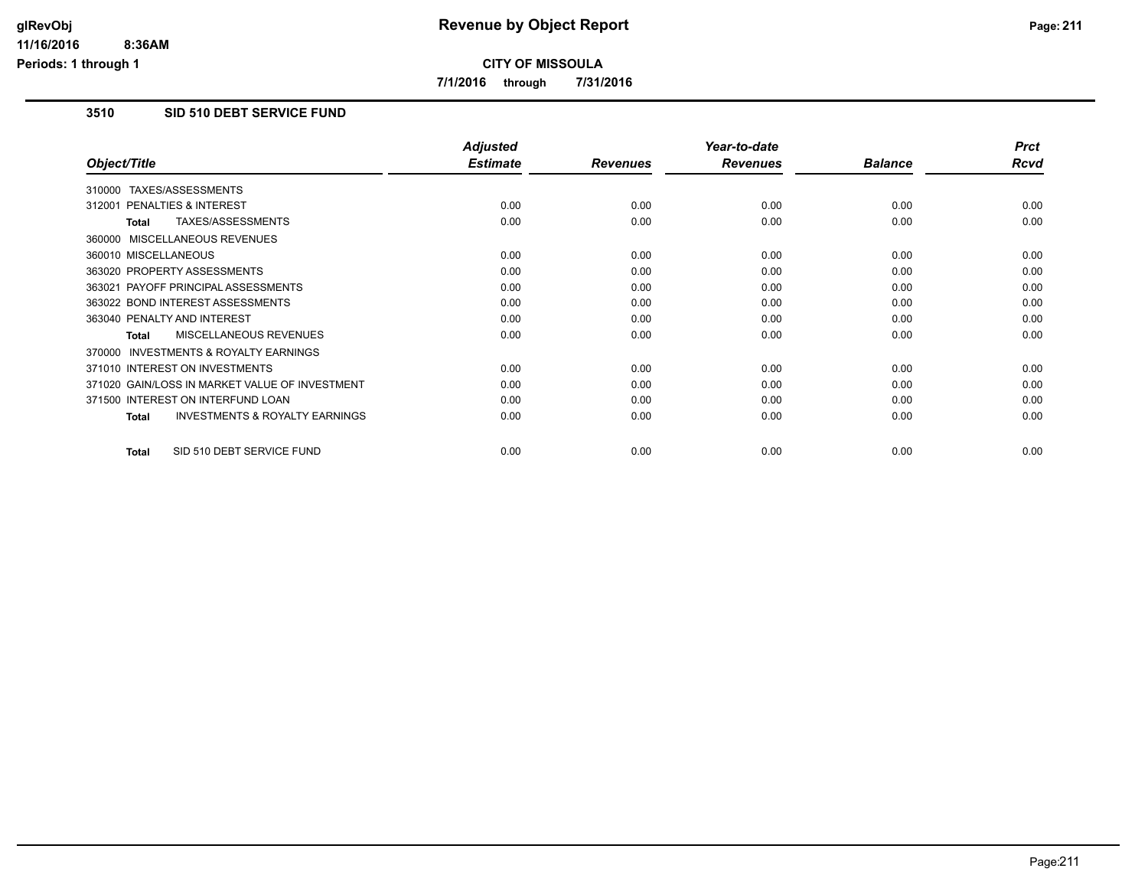**CITY OF MISSOULA**

**7/1/2016 through 7/31/2016**

#### **3510 SID 510 DEBT SERVICE FUND**

|                                                     | <b>Adjusted</b> |                 | Year-to-date    |                | <b>Prct</b> |
|-----------------------------------------------------|-----------------|-----------------|-----------------|----------------|-------------|
| Object/Title                                        | <b>Estimate</b> | <b>Revenues</b> | <b>Revenues</b> | <b>Balance</b> | Rcvd        |
| TAXES/ASSESSMENTS<br>310000                         |                 |                 |                 |                |             |
| 312001 PENALTIES & INTEREST                         | 0.00            | 0.00            | 0.00            | 0.00           | 0.00        |
| TAXES/ASSESSMENTS<br>Total                          | 0.00            | 0.00            | 0.00            | 0.00           | 0.00        |
| 360000 MISCELLANEOUS REVENUES                       |                 |                 |                 |                |             |
| 360010 MISCELLANEOUS                                | 0.00            | 0.00            | 0.00            | 0.00           | 0.00        |
| 363020 PROPERTY ASSESSMENTS                         | 0.00            | 0.00            | 0.00            | 0.00           | 0.00        |
| 363021 PAYOFF PRINCIPAL ASSESSMENTS                 | 0.00            | 0.00            | 0.00            | 0.00           | 0.00        |
| 363022 BOND INTEREST ASSESSMENTS                    | 0.00            | 0.00            | 0.00            | 0.00           | 0.00        |
| 363040 PENALTY AND INTEREST                         | 0.00            | 0.00            | 0.00            | 0.00           | 0.00        |
| <b>MISCELLANEOUS REVENUES</b><br>Total              | 0.00            | 0.00            | 0.00            | 0.00           | 0.00        |
| <b>INVESTMENTS &amp; ROYALTY EARNINGS</b><br>370000 |                 |                 |                 |                |             |
| 371010 INTEREST ON INVESTMENTS                      | 0.00            | 0.00            | 0.00            | 0.00           | 0.00        |
| 371020 GAIN/LOSS IN MARKET VALUE OF INVESTMENT      | 0.00            | 0.00            | 0.00            | 0.00           | 0.00        |
| 371500 INTEREST ON INTERFUND LOAN                   | 0.00            | 0.00            | 0.00            | 0.00           | 0.00        |
| <b>INVESTMENTS &amp; ROYALTY EARNINGS</b><br>Total  | 0.00            | 0.00            | 0.00            | 0.00           | 0.00        |
| SID 510 DEBT SERVICE FUND<br><b>Total</b>           | 0.00            | 0.00            | 0.00            | 0.00           | 0.00        |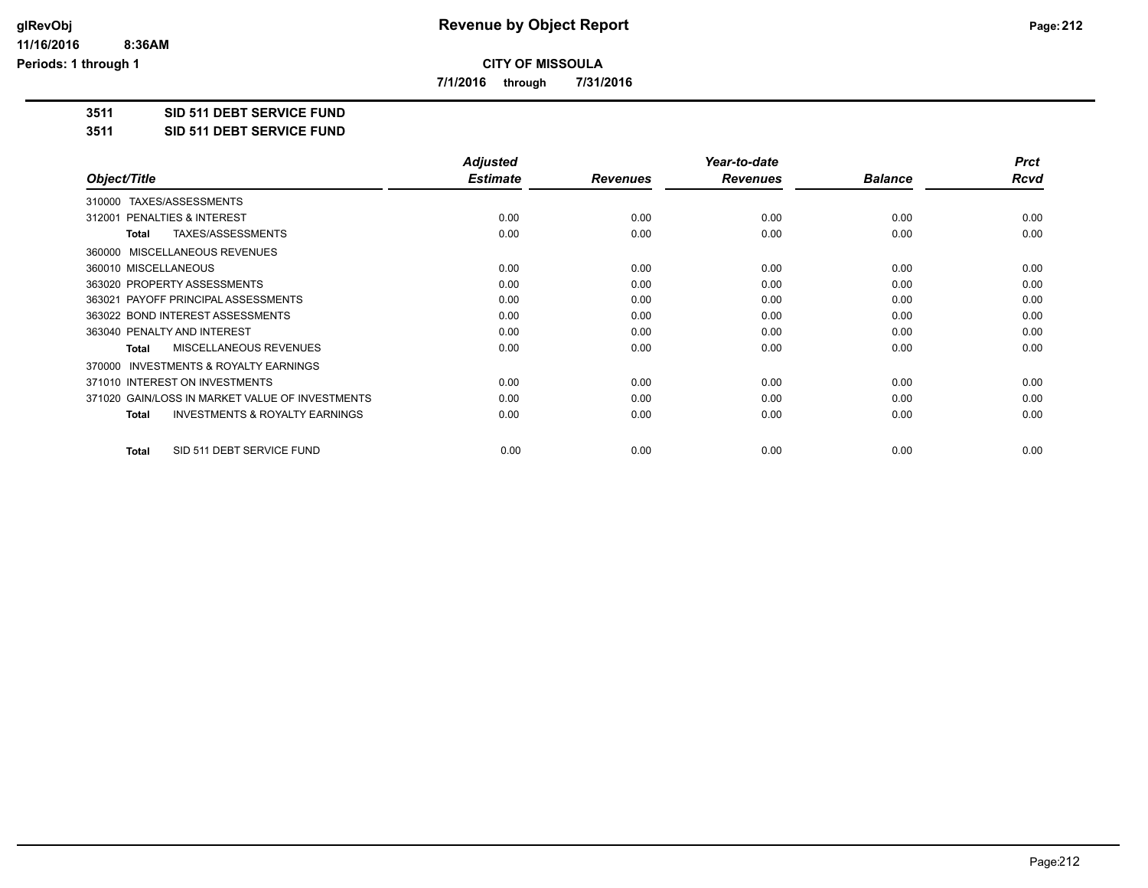**glRevObj Revenue by Object Report Page:212** 

**CITY OF MISSOULA**

**7/1/2016 through 7/31/2016**

**3511 SID 511 DEBT SERVICE FUND**

 **8:36AM**

**3511 SID 511 DEBT SERVICE FUND**

|                                                           | <b>Adjusted</b> |                 | Year-to-date    |                | <b>Prct</b> |
|-----------------------------------------------------------|-----------------|-----------------|-----------------|----------------|-------------|
| Object/Title                                              | <b>Estimate</b> | <b>Revenues</b> | <b>Revenues</b> | <b>Balance</b> | Rcvd        |
| 310000 TAXES/ASSESSMENTS                                  |                 |                 |                 |                |             |
| 312001 PENALTIES & INTEREST                               | 0.00            | 0.00            | 0.00            | 0.00           | 0.00        |
| TAXES/ASSESSMENTS<br>Total                                | 0.00            | 0.00            | 0.00            | 0.00           | 0.00        |
| MISCELLANEOUS REVENUES<br>360000                          |                 |                 |                 |                |             |
| 360010 MISCELLANEOUS                                      | 0.00            | 0.00            | 0.00            | 0.00           | 0.00        |
| 363020 PROPERTY ASSESSMENTS                               | 0.00            | 0.00            | 0.00            | 0.00           | 0.00        |
| 363021 PAYOFF PRINCIPAL ASSESSMENTS                       | 0.00            | 0.00            | 0.00            | 0.00           | 0.00        |
| 363022 BOND INTEREST ASSESSMENTS                          | 0.00            | 0.00            | 0.00            | 0.00           | 0.00        |
| 363040 PENALTY AND INTEREST                               | 0.00            | 0.00            | 0.00            | 0.00           | 0.00        |
| <b>MISCELLANEOUS REVENUES</b><br><b>Total</b>             | 0.00            | 0.00            | 0.00            | 0.00           | 0.00        |
| 370000 INVESTMENTS & ROYALTY EARNINGS                     |                 |                 |                 |                |             |
| 371010 INTEREST ON INVESTMENTS                            | 0.00            | 0.00            | 0.00            | 0.00           | 0.00        |
| 371020 GAIN/LOSS IN MARKET VALUE OF INVESTMENTS           | 0.00            | 0.00            | 0.00            | 0.00           | 0.00        |
| <b>INVESTMENTS &amp; ROYALTY EARNINGS</b><br><b>Total</b> | 0.00            | 0.00            | 0.00            | 0.00           | 0.00        |
| SID 511 DEBT SERVICE FUND<br><b>Total</b>                 | 0.00            | 0.00            | 0.00            | 0.00           | 0.00        |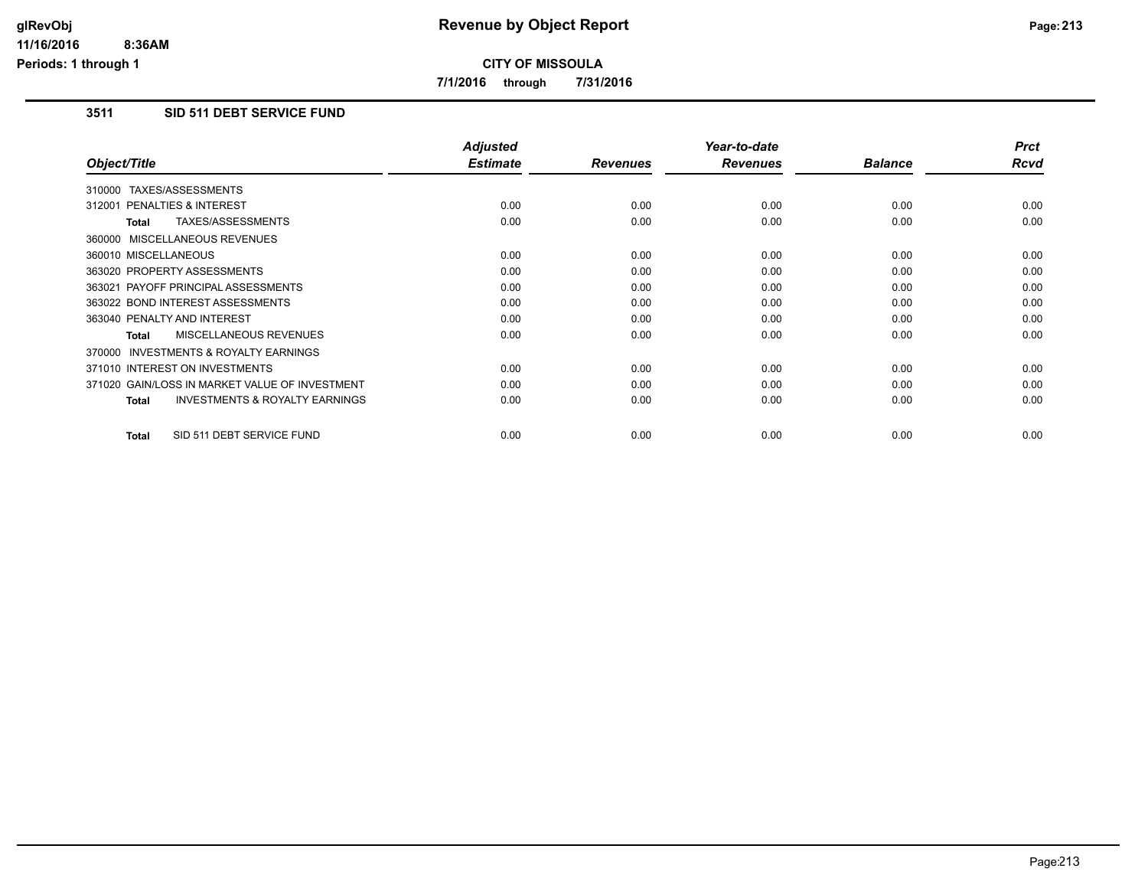**CITY OF MISSOULA**

**7/1/2016 through 7/31/2016**

# **3511 SID 511 DEBT SERVICE FUND**

|                                                           | <b>Adjusted</b> |                 | Year-to-date    |                | <b>Prct</b> |
|-----------------------------------------------------------|-----------------|-----------------|-----------------|----------------|-------------|
| Object/Title                                              | <b>Estimate</b> | <b>Revenues</b> | <b>Revenues</b> | <b>Balance</b> | <b>Rcvd</b> |
| 310000 TAXES/ASSESSMENTS                                  |                 |                 |                 |                |             |
| 312001 PENALTIES & INTEREST                               | 0.00            | 0.00            | 0.00            | 0.00           | 0.00        |
| TAXES/ASSESSMENTS<br><b>Total</b>                         | 0.00            | 0.00            | 0.00            | 0.00           | 0.00        |
| 360000 MISCELLANEOUS REVENUES                             |                 |                 |                 |                |             |
| 360010 MISCELLANEOUS                                      | 0.00            | 0.00            | 0.00            | 0.00           | 0.00        |
| 363020 PROPERTY ASSESSMENTS                               | 0.00            | 0.00            | 0.00            | 0.00           | 0.00        |
| 363021 PAYOFF PRINCIPAL ASSESSMENTS                       | 0.00            | 0.00            | 0.00            | 0.00           | 0.00        |
| 363022 BOND INTEREST ASSESSMENTS                          | 0.00            | 0.00            | 0.00            | 0.00           | 0.00        |
| 363040 PENALTY AND INTEREST                               | 0.00            | 0.00            | 0.00            | 0.00           | 0.00        |
| MISCELLANEOUS REVENUES<br><b>Total</b>                    | 0.00            | 0.00            | 0.00            | 0.00           | 0.00        |
| 370000 INVESTMENTS & ROYALTY EARNINGS                     |                 |                 |                 |                |             |
| 371010 INTEREST ON INVESTMENTS                            | 0.00            | 0.00            | 0.00            | 0.00           | 0.00        |
| 371020 GAIN/LOSS IN MARKET VALUE OF INVESTMENT            | 0.00            | 0.00            | 0.00            | 0.00           | 0.00        |
| <b>INVESTMENTS &amp; ROYALTY EARNINGS</b><br><b>Total</b> | 0.00            | 0.00            | 0.00            | 0.00           | 0.00        |
| SID 511 DEBT SERVICE FUND<br><b>Total</b>                 | 0.00            | 0.00            | 0.00            | 0.00           | 0.00        |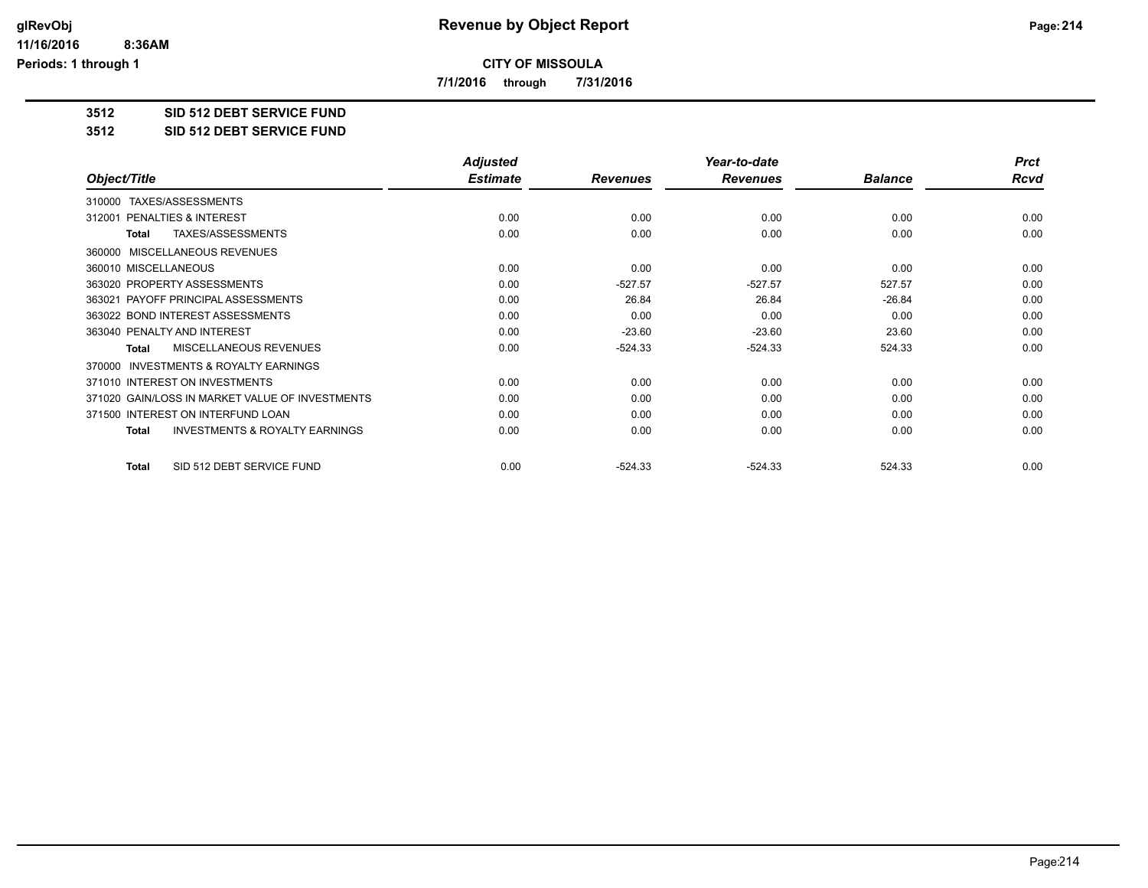**glRevObj Revenue by Object Report Page:214** 

**CITY OF MISSOULA**

**7/1/2016 through 7/31/2016**

**3512 SID 512 DEBT SERVICE FUND**

 **8:36AM**

**3512 SID 512 DEBT SERVICE FUND**

|                                                           | <b>Adjusted</b> |                 | Year-to-date    |                | <b>Prct</b> |
|-----------------------------------------------------------|-----------------|-----------------|-----------------|----------------|-------------|
| Object/Title                                              | <b>Estimate</b> | <b>Revenues</b> | <b>Revenues</b> | <b>Balance</b> | <b>Rcvd</b> |
| TAXES/ASSESSMENTS<br>310000                               |                 |                 |                 |                |             |
| PENALTIES & INTEREST<br>312001                            | 0.00            | 0.00            | 0.00            | 0.00           | 0.00        |
| TAXES/ASSESSMENTS<br>Total                                | 0.00            | 0.00            | 0.00            | 0.00           | 0.00        |
| MISCELLANEOUS REVENUES<br>360000                          |                 |                 |                 |                |             |
| 360010 MISCELLANEOUS                                      | 0.00            | 0.00            | 0.00            | 0.00           | 0.00        |
| 363020 PROPERTY ASSESSMENTS                               | 0.00            | $-527.57$       | $-527.57$       | 527.57         | 0.00        |
| 363021 PAYOFF PRINCIPAL ASSESSMENTS                       | 0.00            | 26.84           | 26.84           | $-26.84$       | 0.00        |
| 363022 BOND INTEREST ASSESSMENTS                          | 0.00            | 0.00            | 0.00            | 0.00           | 0.00        |
| 363040 PENALTY AND INTEREST                               | 0.00            | $-23.60$        | $-23.60$        | 23.60          | 0.00        |
| <b>MISCELLANEOUS REVENUES</b><br><b>Total</b>             | 0.00            | $-524.33$       | $-524.33$       | 524.33         | 0.00        |
| <b>INVESTMENTS &amp; ROYALTY EARNINGS</b><br>370000       |                 |                 |                 |                |             |
| 371010 INTEREST ON INVESTMENTS                            | 0.00            | 0.00            | 0.00            | 0.00           | 0.00        |
| 371020 GAIN/LOSS IN MARKET VALUE OF INVESTMENTS           | 0.00            | 0.00            | 0.00            | 0.00           | 0.00        |
| 371500 INTEREST ON INTERFUND LOAN                         | 0.00            | 0.00            | 0.00            | 0.00           | 0.00        |
| <b>INVESTMENTS &amp; ROYALTY EARNINGS</b><br><b>Total</b> | 0.00            | 0.00            | 0.00            | 0.00           | 0.00        |
| SID 512 DEBT SERVICE FUND<br><b>Total</b>                 | 0.00            | $-524.33$       | $-524.33$       | 524.33         | 0.00        |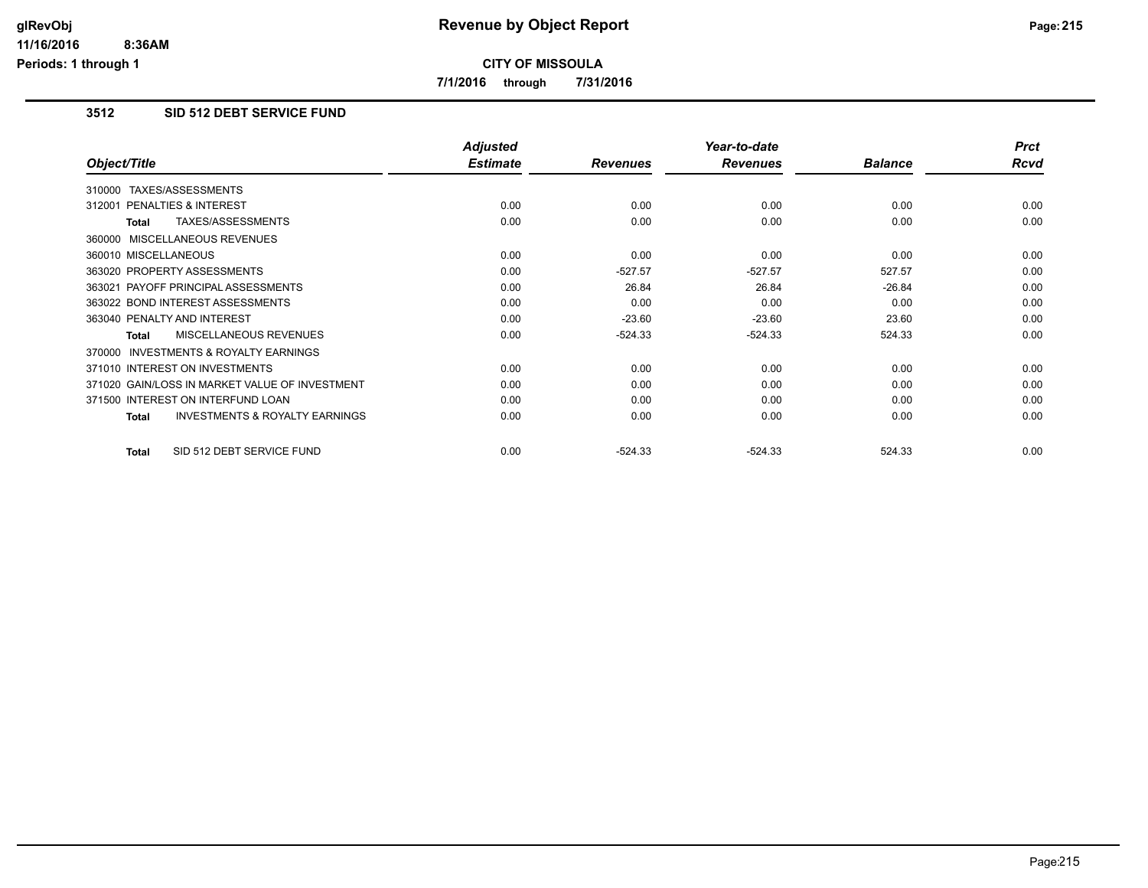**CITY OF MISSOULA**

**7/1/2016 through 7/31/2016**

## **3512 SID 512 DEBT SERVICE FUND**

|                                                           | <b>Adjusted</b> |                 | Year-to-date    |                | <b>Prct</b> |
|-----------------------------------------------------------|-----------------|-----------------|-----------------|----------------|-------------|
| Object/Title                                              | <b>Estimate</b> | <b>Revenues</b> | <b>Revenues</b> | <b>Balance</b> | <b>Rcvd</b> |
| TAXES/ASSESSMENTS<br>310000                               |                 |                 |                 |                |             |
| <b>PENALTIES &amp; INTEREST</b><br>312001                 | 0.00            | 0.00            | 0.00            | 0.00           | 0.00        |
| TAXES/ASSESSMENTS<br>Total                                | 0.00            | 0.00            | 0.00            | 0.00           | 0.00        |
| 360000 MISCELLANEOUS REVENUES                             |                 |                 |                 |                |             |
| 360010 MISCELLANEOUS                                      | 0.00            | 0.00            | 0.00            | 0.00           | 0.00        |
| 363020 PROPERTY ASSESSMENTS                               | 0.00            | $-527.57$       | $-527.57$       | 527.57         | 0.00        |
| 363021 PAYOFF PRINCIPAL ASSESSMENTS                       | 0.00            | 26.84           | 26.84           | $-26.84$       | 0.00        |
| 363022 BOND INTEREST ASSESSMENTS                          | 0.00            | 0.00            | 0.00            | 0.00           | 0.00        |
| 363040 PENALTY AND INTEREST                               | 0.00            | $-23.60$        | $-23.60$        | 23.60          | 0.00        |
| MISCELLANEOUS REVENUES<br>Total                           | 0.00            | $-524.33$       | $-524.33$       | 524.33         | 0.00        |
| 370000 INVESTMENTS & ROYALTY EARNINGS                     |                 |                 |                 |                |             |
| 371010 INTEREST ON INVESTMENTS                            | 0.00            | 0.00            | 0.00            | 0.00           | 0.00        |
| 371020 GAIN/LOSS IN MARKET VALUE OF INVESTMENT            | 0.00            | 0.00            | 0.00            | 0.00           | 0.00        |
| 371500 INTEREST ON INTERFUND LOAN                         | 0.00            | 0.00            | 0.00            | 0.00           | 0.00        |
| <b>INVESTMENTS &amp; ROYALTY EARNINGS</b><br><b>Total</b> | 0.00            | 0.00            | 0.00            | 0.00           | 0.00        |
| SID 512 DEBT SERVICE FUND<br>Total                        | 0.00            | $-524.33$       | $-524.33$       | 524.33         | 0.00        |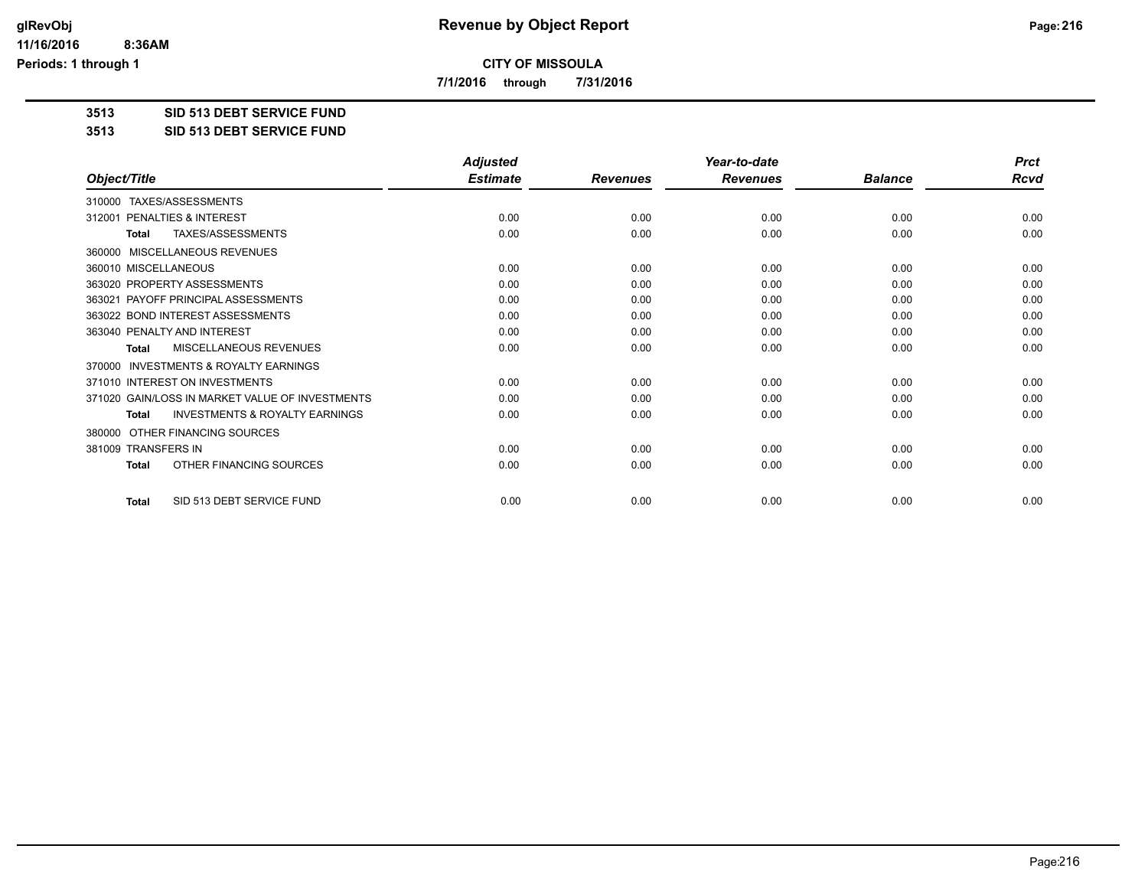**glRevObj Revenue by Object Report Page:216** 

**CITY OF MISSOULA**

**7/1/2016 through 7/31/2016**

**3513 SID 513 DEBT SERVICE FUND**

 **8:36AM**

**3513 SID 513 DEBT SERVICE FUND**

|                                                           | <b>Adjusted</b> |                 | Year-to-date    |                | <b>Prct</b> |
|-----------------------------------------------------------|-----------------|-----------------|-----------------|----------------|-------------|
| Object/Title                                              | <b>Estimate</b> | <b>Revenues</b> | <b>Revenues</b> | <b>Balance</b> | Rcvd        |
| TAXES/ASSESSMENTS<br>310000                               |                 |                 |                 |                |             |
| PENALTIES & INTEREST<br>312001                            | 0.00            | 0.00            | 0.00            | 0.00           | 0.00        |
| TAXES/ASSESSMENTS<br>Total                                | 0.00            | 0.00            | 0.00            | 0.00           | 0.00        |
| MISCELLANEOUS REVENUES<br>360000                          |                 |                 |                 |                |             |
| 360010 MISCELLANEOUS                                      | 0.00            | 0.00            | 0.00            | 0.00           | 0.00        |
| 363020 PROPERTY ASSESSMENTS                               | 0.00            | 0.00            | 0.00            | 0.00           | 0.00        |
| 363021 PAYOFF PRINCIPAL ASSESSMENTS                       | 0.00            | 0.00            | 0.00            | 0.00           | 0.00        |
| 363022 BOND INTEREST ASSESSMENTS                          | 0.00            | 0.00            | 0.00            | 0.00           | 0.00        |
| 363040 PENALTY AND INTEREST                               | 0.00            | 0.00            | 0.00            | 0.00           | 0.00        |
| MISCELLANEOUS REVENUES<br><b>Total</b>                    | 0.00            | 0.00            | 0.00            | 0.00           | 0.00        |
| <b>INVESTMENTS &amp; ROYALTY EARNINGS</b><br>370000       |                 |                 |                 |                |             |
| 371010 INTEREST ON INVESTMENTS                            | 0.00            | 0.00            | 0.00            | 0.00           | 0.00        |
| 371020 GAIN/LOSS IN MARKET VALUE OF INVESTMENTS           | 0.00            | 0.00            | 0.00            | 0.00           | 0.00        |
| <b>INVESTMENTS &amp; ROYALTY EARNINGS</b><br><b>Total</b> | 0.00            | 0.00            | 0.00            | 0.00           | 0.00        |
| OTHER FINANCING SOURCES<br>380000                         |                 |                 |                 |                |             |
| 381009 TRANSFERS IN                                       | 0.00            | 0.00            | 0.00            | 0.00           | 0.00        |
| OTHER FINANCING SOURCES<br><b>Total</b>                   | 0.00            | 0.00            | 0.00            | 0.00           | 0.00        |
| SID 513 DEBT SERVICE FUND<br><b>Total</b>                 | 0.00            | 0.00            | 0.00            | 0.00           | 0.00        |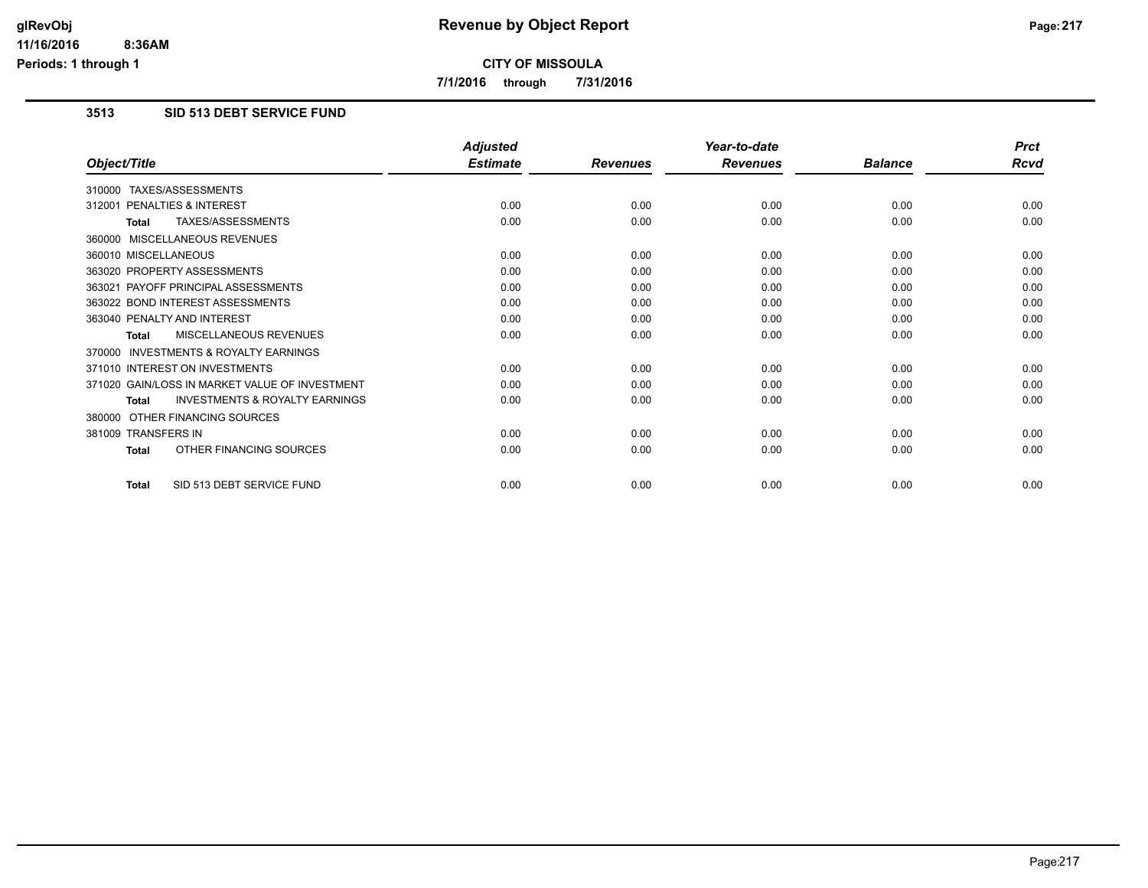**CITY OF MISSOULA**

**7/1/2016 through 7/31/2016**

# **3513 SID 513 DEBT SERVICE FUND**

|                                                           | <b>Adjusted</b> |                 | Year-to-date    |                | <b>Prct</b> |
|-----------------------------------------------------------|-----------------|-----------------|-----------------|----------------|-------------|
| Object/Title                                              | <b>Estimate</b> | <b>Revenues</b> | <b>Revenues</b> | <b>Balance</b> | <b>Rcvd</b> |
| 310000 TAXES/ASSESSMENTS                                  |                 |                 |                 |                |             |
| 312001 PENALTIES & INTEREST                               | 0.00            | 0.00            | 0.00            | 0.00           | 0.00        |
| TAXES/ASSESSMENTS<br>Total                                | 0.00            | 0.00            | 0.00            | 0.00           | 0.00        |
| 360000 MISCELLANEOUS REVENUES                             |                 |                 |                 |                |             |
| 360010 MISCELLANEOUS                                      | 0.00            | 0.00            | 0.00            | 0.00           | 0.00        |
| 363020 PROPERTY ASSESSMENTS                               | 0.00            | 0.00            | 0.00            | 0.00           | 0.00        |
| 363021 PAYOFF PRINCIPAL ASSESSMENTS                       | 0.00            | 0.00            | 0.00            | 0.00           | 0.00        |
| 363022 BOND INTEREST ASSESSMENTS                          | 0.00            | 0.00            | 0.00            | 0.00           | 0.00        |
| 363040 PENALTY AND INTEREST                               | 0.00            | 0.00            | 0.00            | 0.00           | 0.00        |
| <b>MISCELLANEOUS REVENUES</b><br><b>Total</b>             | 0.00            | 0.00            | 0.00            | 0.00           | 0.00        |
| <b>INVESTMENTS &amp; ROYALTY EARNINGS</b><br>370000       |                 |                 |                 |                |             |
| 371010 INTEREST ON INVESTMENTS                            | 0.00            | 0.00            | 0.00            | 0.00           | 0.00        |
| 371020 GAIN/LOSS IN MARKET VALUE OF INVESTMENT            | 0.00            | 0.00            | 0.00            | 0.00           | 0.00        |
| <b>INVESTMENTS &amp; ROYALTY EARNINGS</b><br><b>Total</b> | 0.00            | 0.00            | 0.00            | 0.00           | 0.00        |
| OTHER FINANCING SOURCES<br>380000                         |                 |                 |                 |                |             |
| 381009 TRANSFERS IN                                       | 0.00            | 0.00            | 0.00            | 0.00           | 0.00        |
| OTHER FINANCING SOURCES<br><b>Total</b>                   | 0.00            | 0.00            | 0.00            | 0.00           | 0.00        |
| SID 513 DEBT SERVICE FUND<br><b>Total</b>                 | 0.00            | 0.00            | 0.00            | 0.00           | 0.00        |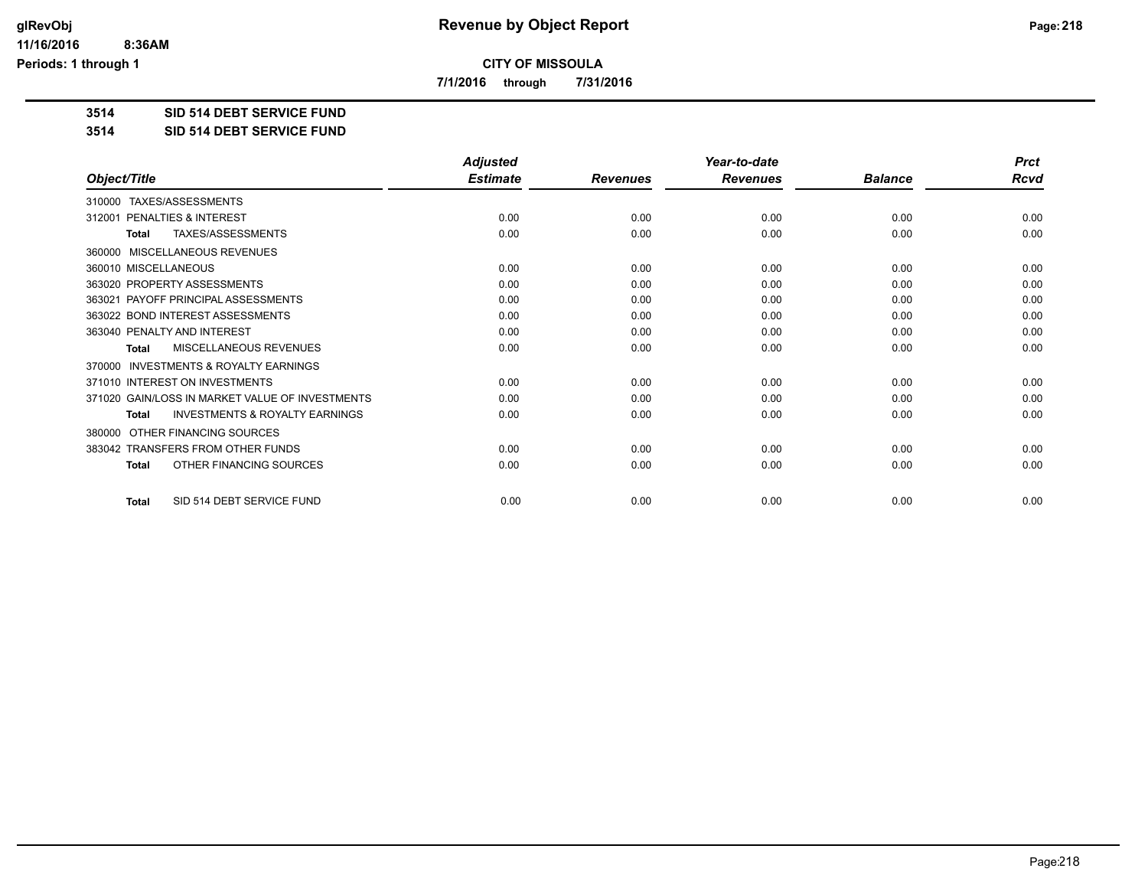**glRevObj Revenue by Object Report Page:218** 

**CITY OF MISSOULA**

**7/1/2016 through 7/31/2016**

**3514 SID 514 DEBT SERVICE FUND**

 **8:36AM**

**3514 SID 514 DEBT SERVICE FUND**

|                                                           | <b>Adjusted</b> |                 | Year-to-date    |                | <b>Prct</b> |
|-----------------------------------------------------------|-----------------|-----------------|-----------------|----------------|-------------|
| Object/Title                                              | <b>Estimate</b> | <b>Revenues</b> | <b>Revenues</b> | <b>Balance</b> | Rcvd        |
| TAXES/ASSESSMENTS<br>310000                               |                 |                 |                 |                |             |
| PENALTIES & INTEREST<br>312001                            | 0.00            | 0.00            | 0.00            | 0.00           | 0.00        |
| TAXES/ASSESSMENTS<br>Total                                | 0.00            | 0.00            | 0.00            | 0.00           | 0.00        |
| MISCELLANEOUS REVENUES<br>360000                          |                 |                 |                 |                |             |
| 360010 MISCELLANEOUS                                      | 0.00            | 0.00            | 0.00            | 0.00           | 0.00        |
| 363020 PROPERTY ASSESSMENTS                               | 0.00            | 0.00            | 0.00            | 0.00           | 0.00        |
| 363021 PAYOFF PRINCIPAL ASSESSMENTS                       | 0.00            | 0.00            | 0.00            | 0.00           | 0.00        |
| 363022 BOND INTEREST ASSESSMENTS                          | 0.00            | 0.00            | 0.00            | 0.00           | 0.00        |
| 363040 PENALTY AND INTEREST                               | 0.00            | 0.00            | 0.00            | 0.00           | 0.00        |
| <b>MISCELLANEOUS REVENUES</b><br>Total                    | 0.00            | 0.00            | 0.00            | 0.00           | 0.00        |
| INVESTMENTS & ROYALTY EARNINGS<br>370000                  |                 |                 |                 |                |             |
| 371010 INTEREST ON INVESTMENTS                            | 0.00            | 0.00            | 0.00            | 0.00           | 0.00        |
| 371020 GAIN/LOSS IN MARKET VALUE OF INVESTMENTS           | 0.00            | 0.00            | 0.00            | 0.00           | 0.00        |
| <b>INVESTMENTS &amp; ROYALTY EARNINGS</b><br><b>Total</b> | 0.00            | 0.00            | 0.00            | 0.00           | 0.00        |
| OTHER FINANCING SOURCES<br>380000                         |                 |                 |                 |                |             |
| 383042 TRANSFERS FROM OTHER FUNDS                         | 0.00            | 0.00            | 0.00            | 0.00           | 0.00        |
| OTHER FINANCING SOURCES<br><b>Total</b>                   | 0.00            | 0.00            | 0.00            | 0.00           | 0.00        |
| SID 514 DEBT SERVICE FUND<br><b>Total</b>                 | 0.00            | 0.00            | 0.00            | 0.00           | 0.00        |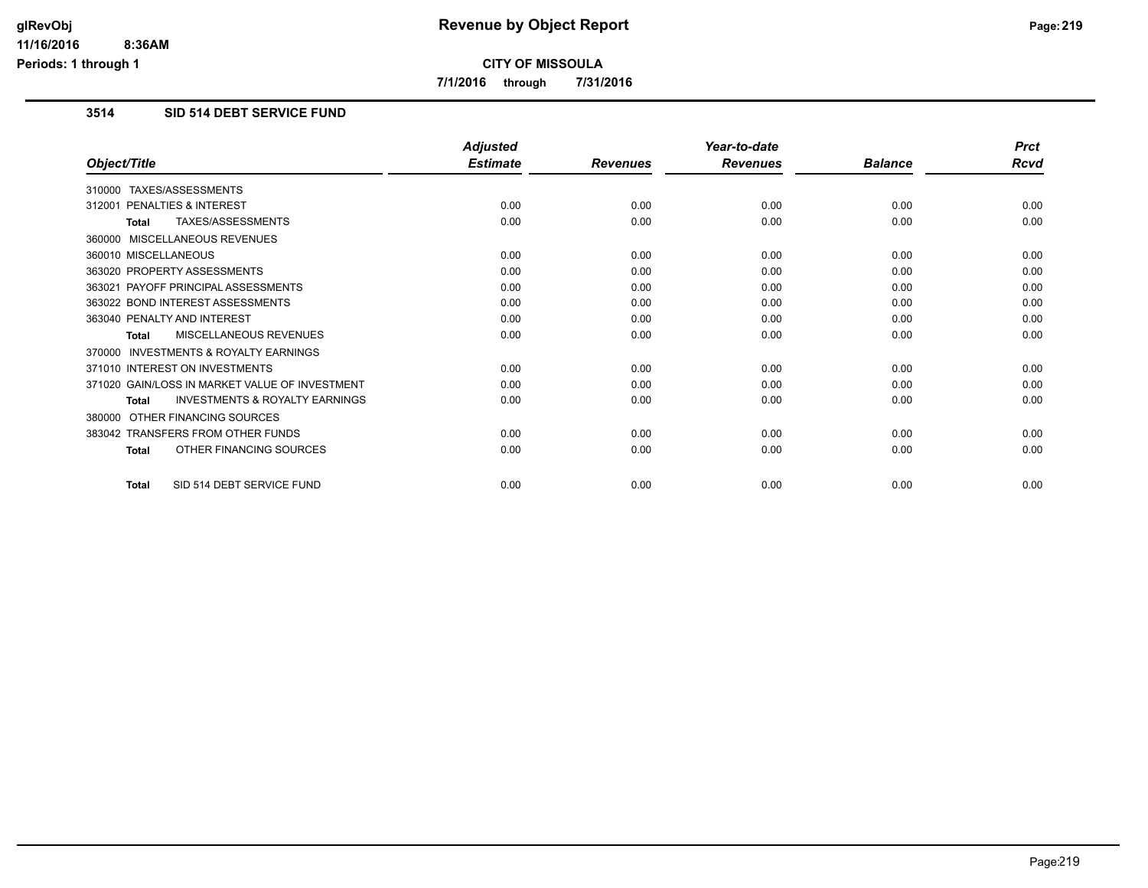**CITY OF MISSOULA**

**7/1/2016 through 7/31/2016**

# **3514 SID 514 DEBT SERVICE FUND**

|                                                           | <b>Adjusted</b> |                 | Year-to-date    |                | <b>Prct</b> |
|-----------------------------------------------------------|-----------------|-----------------|-----------------|----------------|-------------|
| Object/Title                                              | <b>Estimate</b> | <b>Revenues</b> | <b>Revenues</b> | <b>Balance</b> | <b>Rcvd</b> |
| 310000 TAXES/ASSESSMENTS                                  |                 |                 |                 |                |             |
| PENALTIES & INTEREST<br>312001                            | 0.00            | 0.00            | 0.00            | 0.00           | 0.00        |
| TAXES/ASSESSMENTS<br>Total                                | 0.00            | 0.00            | 0.00            | 0.00           | 0.00        |
| 360000 MISCELLANEOUS REVENUES                             |                 |                 |                 |                |             |
| 360010 MISCELLANEOUS                                      | 0.00            | 0.00            | 0.00            | 0.00           | 0.00        |
| 363020 PROPERTY ASSESSMENTS                               | 0.00            | 0.00            | 0.00            | 0.00           | 0.00        |
| 363021 PAYOFF PRINCIPAL ASSESSMENTS                       | 0.00            | 0.00            | 0.00            | 0.00           | 0.00        |
| 363022 BOND INTEREST ASSESSMENTS                          | 0.00            | 0.00            | 0.00            | 0.00           | 0.00        |
| 363040 PENALTY AND INTEREST                               | 0.00            | 0.00            | 0.00            | 0.00           | 0.00        |
| <b>MISCELLANEOUS REVENUES</b><br><b>Total</b>             | 0.00            | 0.00            | 0.00            | 0.00           | 0.00        |
| 370000 INVESTMENTS & ROYALTY EARNINGS                     |                 |                 |                 |                |             |
| 371010 INTEREST ON INVESTMENTS                            | 0.00            | 0.00            | 0.00            | 0.00           | 0.00        |
| 371020 GAIN/LOSS IN MARKET VALUE OF INVESTMENT            | 0.00            | 0.00            | 0.00            | 0.00           | 0.00        |
| <b>INVESTMENTS &amp; ROYALTY EARNINGS</b><br><b>Total</b> | 0.00            | 0.00            | 0.00            | 0.00           | 0.00        |
| 380000 OTHER FINANCING SOURCES                            |                 |                 |                 |                |             |
| 383042 TRANSFERS FROM OTHER FUNDS                         | 0.00            | 0.00            | 0.00            | 0.00           | 0.00        |
| OTHER FINANCING SOURCES<br><b>Total</b>                   | 0.00            | 0.00            | 0.00            | 0.00           | 0.00        |
| SID 514 DEBT SERVICE FUND<br><b>Total</b>                 | 0.00            | 0.00            | 0.00            | 0.00           | 0.00        |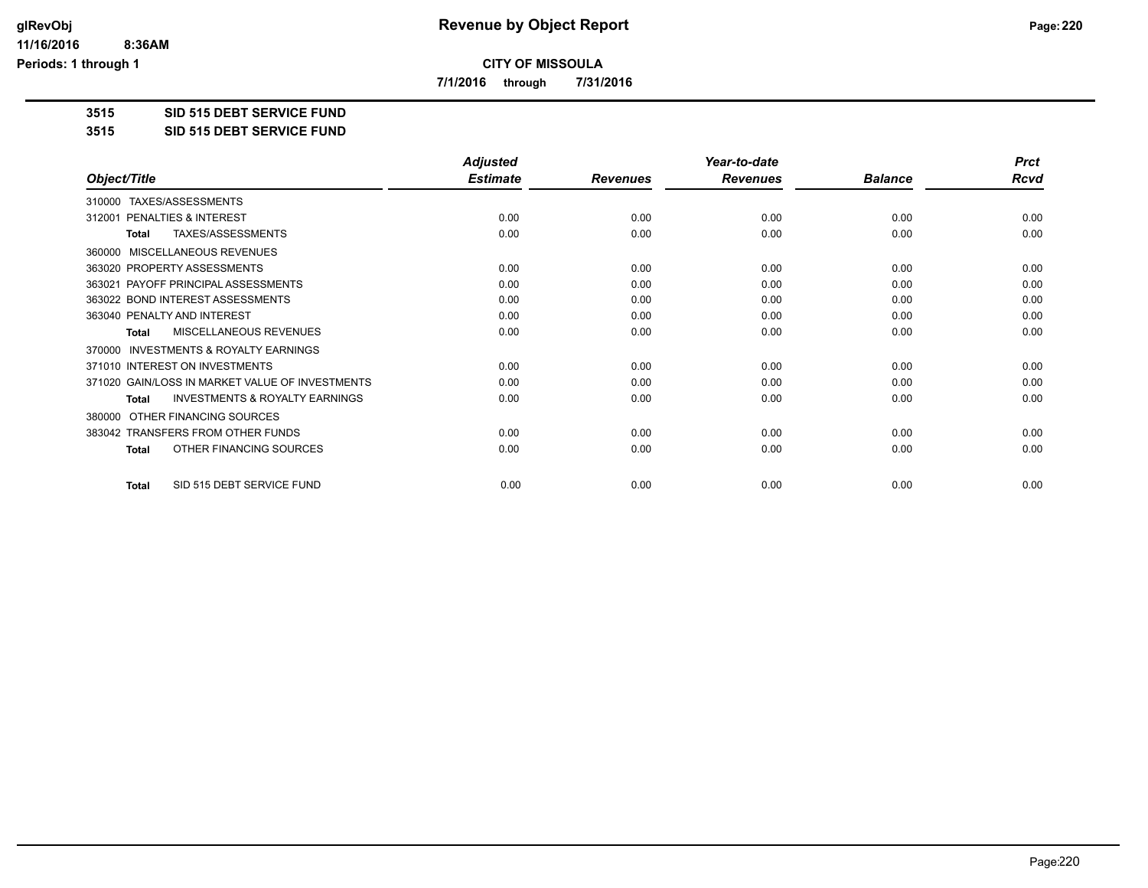**glRevObj Revenue by Object Report Page:220** 

**CITY OF MISSOULA**

**7/1/2016 through 7/31/2016**

**3515 SID 515 DEBT SERVICE FUND**

 **8:36AM**

**3515 SID 515 DEBT SERVICE FUND**

|                                                           | <b>Adjusted</b> |                 | Year-to-date    |                | <b>Prct</b> |
|-----------------------------------------------------------|-----------------|-----------------|-----------------|----------------|-------------|
| Object/Title                                              | <b>Estimate</b> | <b>Revenues</b> | <b>Revenues</b> | <b>Balance</b> | <b>Rcvd</b> |
| TAXES/ASSESSMENTS<br>310000                               |                 |                 |                 |                |             |
| PENALTIES & INTEREST<br>312001                            | 0.00            | 0.00            | 0.00            | 0.00           | 0.00        |
| TAXES/ASSESSMENTS<br><b>Total</b>                         | 0.00            | 0.00            | 0.00            | 0.00           | 0.00        |
| MISCELLANEOUS REVENUES<br>360000                          |                 |                 |                 |                |             |
| 363020 PROPERTY ASSESSMENTS                               | 0.00            | 0.00            | 0.00            | 0.00           | 0.00        |
| 363021 PAYOFF PRINCIPAL ASSESSMENTS                       | 0.00            | 0.00            | 0.00            | 0.00           | 0.00        |
| 363022 BOND INTEREST ASSESSMENTS                          | 0.00            | 0.00            | 0.00            | 0.00           | 0.00        |
| 363040 PENALTY AND INTEREST                               | 0.00            | 0.00            | 0.00            | 0.00           | 0.00        |
| MISCELLANEOUS REVENUES<br><b>Total</b>                    | 0.00            | 0.00            | 0.00            | 0.00           | 0.00        |
| <b>INVESTMENTS &amp; ROYALTY EARNINGS</b><br>370000       |                 |                 |                 |                |             |
| 371010 INTEREST ON INVESTMENTS                            | 0.00            | 0.00            | 0.00            | 0.00           | 0.00        |
| 371020 GAIN/LOSS IN MARKET VALUE OF INVESTMENTS           | 0.00            | 0.00            | 0.00            | 0.00           | 0.00        |
| <b>INVESTMENTS &amp; ROYALTY EARNINGS</b><br><b>Total</b> | 0.00            | 0.00            | 0.00            | 0.00           | 0.00        |
| OTHER FINANCING SOURCES<br>380000                         |                 |                 |                 |                |             |
| 383042 TRANSFERS FROM OTHER FUNDS                         | 0.00            | 0.00            | 0.00            | 0.00           | 0.00        |
| OTHER FINANCING SOURCES<br><b>Total</b>                   | 0.00            | 0.00            | 0.00            | 0.00           | 0.00        |
| SID 515 DEBT SERVICE FUND<br><b>Total</b>                 | 0.00            | 0.00            | 0.00            | 0.00           | 0.00        |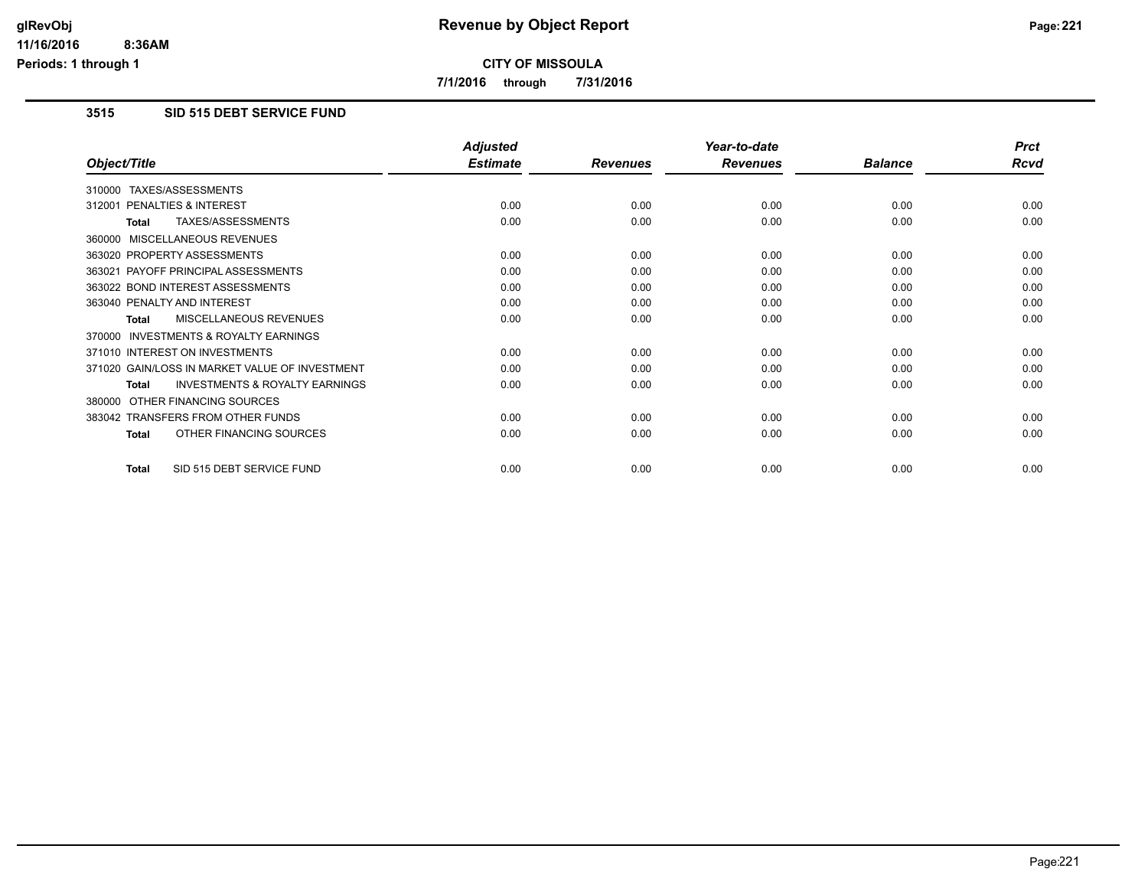**CITY OF MISSOULA**

**7/1/2016 through 7/31/2016**

# **3515 SID 515 DEBT SERVICE FUND**

|                                                           | <b>Adjusted</b> |                 | Year-to-date    |                | <b>Prct</b> |
|-----------------------------------------------------------|-----------------|-----------------|-----------------|----------------|-------------|
| Object/Title                                              | <b>Estimate</b> | <b>Revenues</b> | <b>Revenues</b> | <b>Balance</b> | <b>Rcvd</b> |
| TAXES/ASSESSMENTS<br>310000                               |                 |                 |                 |                |             |
| 312001 PENALTIES & INTEREST                               | 0.00            | 0.00            | 0.00            | 0.00           | 0.00        |
| TAXES/ASSESSMENTS<br><b>Total</b>                         | 0.00            | 0.00            | 0.00            | 0.00           | 0.00        |
| MISCELLANEOUS REVENUES<br>360000                          |                 |                 |                 |                |             |
| 363020 PROPERTY ASSESSMENTS                               | 0.00            | 0.00            | 0.00            | 0.00           | 0.00        |
| 363021 PAYOFF PRINCIPAL ASSESSMENTS                       | 0.00            | 0.00            | 0.00            | 0.00           | 0.00        |
| 363022 BOND INTEREST ASSESSMENTS                          | 0.00            | 0.00            | 0.00            | 0.00           | 0.00        |
| 363040 PENALTY AND INTEREST                               | 0.00            | 0.00            | 0.00            | 0.00           | 0.00        |
| MISCELLANEOUS REVENUES<br><b>Total</b>                    | 0.00            | 0.00            | 0.00            | 0.00           | 0.00        |
| <b>INVESTMENTS &amp; ROYALTY EARNINGS</b><br>370000       |                 |                 |                 |                |             |
| 371010 INTEREST ON INVESTMENTS                            | 0.00            | 0.00            | 0.00            | 0.00           | 0.00        |
| 371020 GAIN/LOSS IN MARKET VALUE OF INVESTMENT            | 0.00            | 0.00            | 0.00            | 0.00           | 0.00        |
| <b>INVESTMENTS &amp; ROYALTY EARNINGS</b><br><b>Total</b> | 0.00            | 0.00            | 0.00            | 0.00           | 0.00        |
| OTHER FINANCING SOURCES<br>380000                         |                 |                 |                 |                |             |
| 383042 TRANSFERS FROM OTHER FUNDS                         | 0.00            | 0.00            | 0.00            | 0.00           | 0.00        |
| OTHER FINANCING SOURCES<br><b>Total</b>                   | 0.00            | 0.00            | 0.00            | 0.00           | 0.00        |
| SID 515 DEBT SERVICE FUND<br><b>Total</b>                 | 0.00            | 0.00            | 0.00            | 0.00           | 0.00        |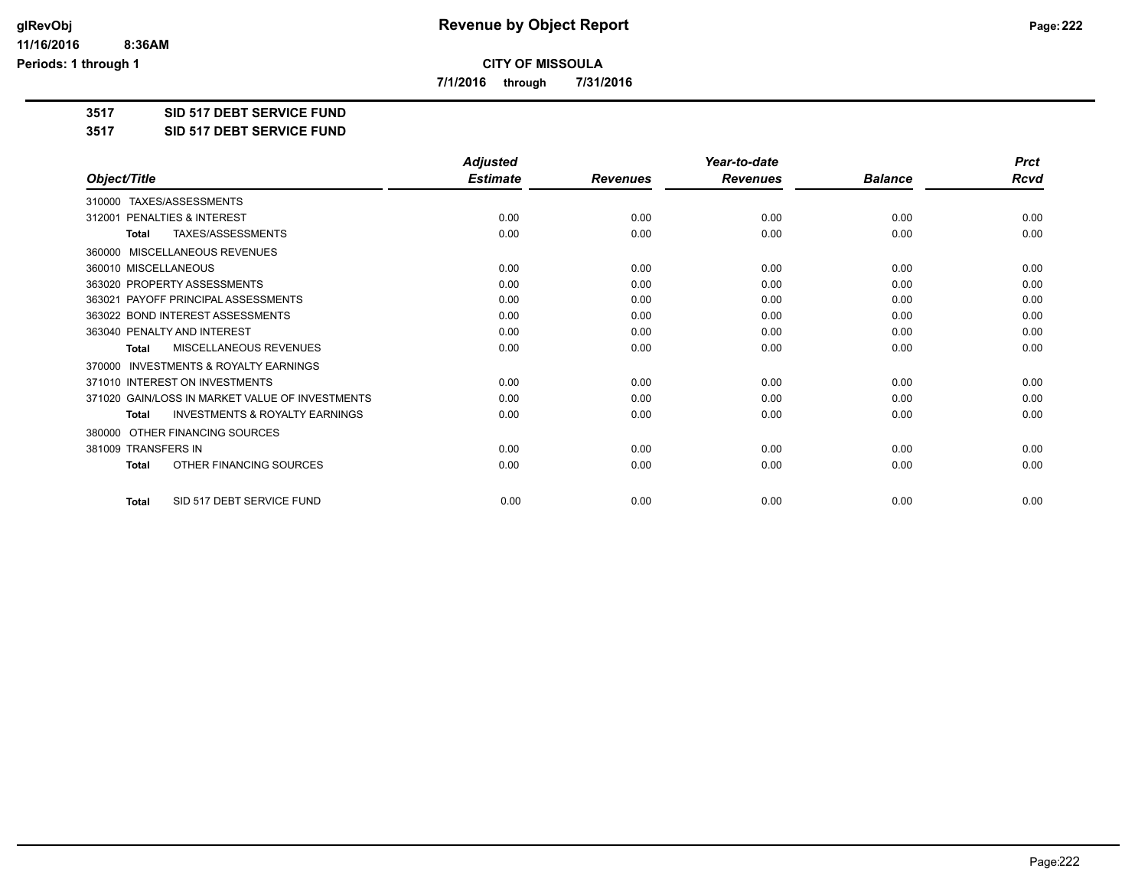**glRevObj Revenue by Object Report Page:222** 

**11/16/2016 8:36AM Periods: 1 through 1**

**CITY OF MISSOULA**

**7/1/2016 through 7/31/2016**

**3517 SID 517 DEBT SERVICE FUND**

**3517 SID 517 DEBT SERVICE FUND**

|                                                           | <b>Adjusted</b> |                 | Year-to-date    |                | <b>Prct</b> |
|-----------------------------------------------------------|-----------------|-----------------|-----------------|----------------|-------------|
| Object/Title                                              | <b>Estimate</b> | <b>Revenues</b> | <b>Revenues</b> | <b>Balance</b> | <b>Rcvd</b> |
| 310000 TAXES/ASSESSMENTS                                  |                 |                 |                 |                |             |
| PENALTIES & INTEREST<br>312001                            | 0.00            | 0.00            | 0.00            | 0.00           | 0.00        |
| <b>TAXES/ASSESSMENTS</b><br><b>Total</b>                  | 0.00            | 0.00            | 0.00            | 0.00           | 0.00        |
| MISCELLANEOUS REVENUES<br>360000                          |                 |                 |                 |                |             |
| 360010 MISCELLANEOUS                                      | 0.00            | 0.00            | 0.00            | 0.00           | 0.00        |
| 363020 PROPERTY ASSESSMENTS                               | 0.00            | 0.00            | 0.00            | 0.00           | 0.00        |
| PAYOFF PRINCIPAL ASSESSMENTS<br>363021                    | 0.00            | 0.00            | 0.00            | 0.00           | 0.00        |
| 363022 BOND INTEREST ASSESSMENTS                          | 0.00            | 0.00            | 0.00            | 0.00           | 0.00        |
| 363040 PENALTY AND INTEREST                               | 0.00            | 0.00            | 0.00            | 0.00           | 0.00        |
| MISCELLANEOUS REVENUES<br><b>Total</b>                    | 0.00            | 0.00            | 0.00            | 0.00           | 0.00        |
| <b>INVESTMENTS &amp; ROYALTY EARNINGS</b><br>370000       |                 |                 |                 |                |             |
| 371010 INTEREST ON INVESTMENTS                            | 0.00            | 0.00            | 0.00            | 0.00           | 0.00        |
| 371020 GAIN/LOSS IN MARKET VALUE OF INVESTMENTS           | 0.00            | 0.00            | 0.00            | 0.00           | 0.00        |
| <b>INVESTMENTS &amp; ROYALTY EARNINGS</b><br><b>Total</b> | 0.00            | 0.00            | 0.00            | 0.00           | 0.00        |
| OTHER FINANCING SOURCES<br>380000                         |                 |                 |                 |                |             |
| 381009 TRANSFERS IN                                       | 0.00            | 0.00            | 0.00            | 0.00           | 0.00        |
| OTHER FINANCING SOURCES<br><b>Total</b>                   | 0.00            | 0.00            | 0.00            | 0.00           | 0.00        |
| SID 517 DEBT SERVICE FUND<br><b>Total</b>                 | 0.00            | 0.00            | 0.00            | 0.00           | 0.00        |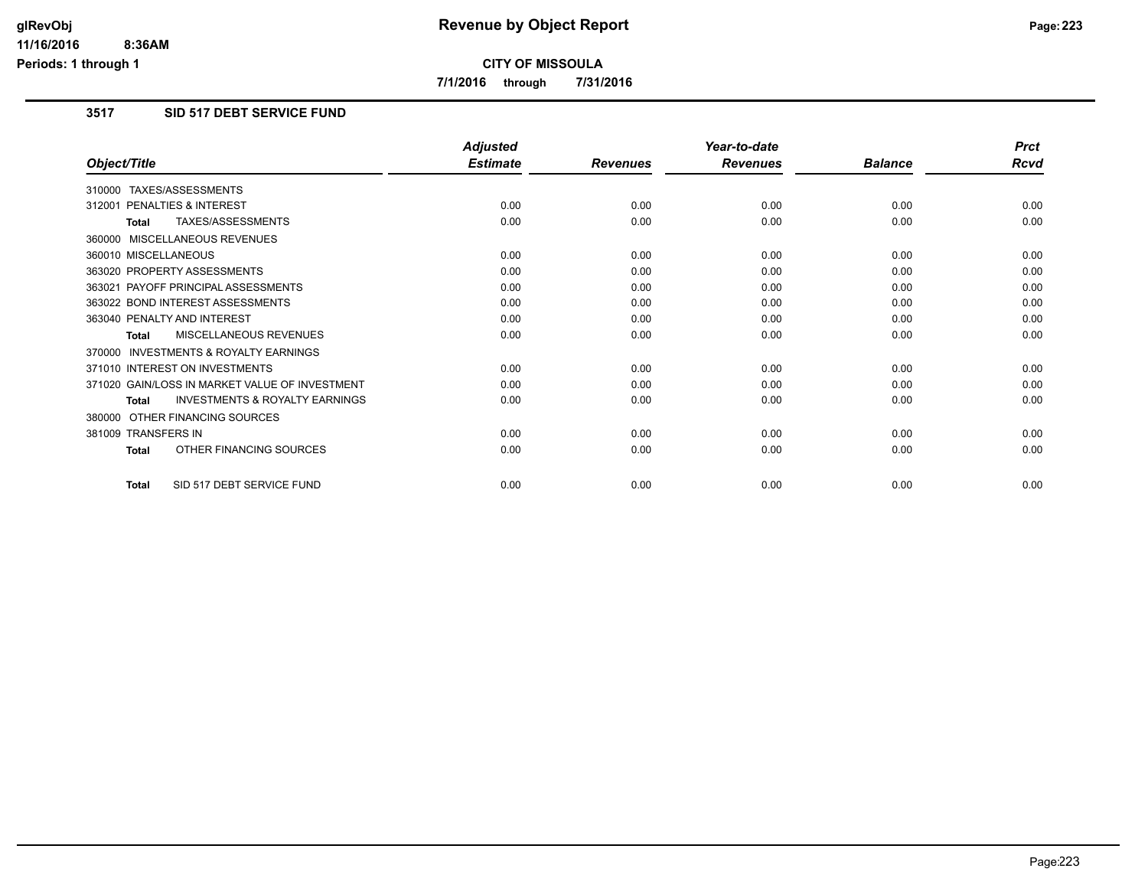**CITY OF MISSOULA**

**7/1/2016 through 7/31/2016**

#### **3517 SID 517 DEBT SERVICE FUND**

|                                                     | <b>Adjusted</b> |                 | Year-to-date    |                | <b>Prct</b> |
|-----------------------------------------------------|-----------------|-----------------|-----------------|----------------|-------------|
| Object/Title                                        | <b>Estimate</b> | <b>Revenues</b> | <b>Revenues</b> | <b>Balance</b> | <b>Rcvd</b> |
| 310000 TAXES/ASSESSMENTS                            |                 |                 |                 |                |             |
| 312001 PENALTIES & INTEREST                         | 0.00            | 0.00            | 0.00            | 0.00           | 0.00        |
| TAXES/ASSESSMENTS<br><b>Total</b>                   | 0.00            | 0.00            | 0.00            | 0.00           | 0.00        |
| 360000 MISCELLANEOUS REVENUES                       |                 |                 |                 |                |             |
| 360010 MISCELLANEOUS                                | 0.00            | 0.00            | 0.00            | 0.00           | 0.00        |
| 363020 PROPERTY ASSESSMENTS                         | 0.00            | 0.00            | 0.00            | 0.00           | 0.00        |
| 363021 PAYOFF PRINCIPAL ASSESSMENTS                 | 0.00            | 0.00            | 0.00            | 0.00           | 0.00        |
| 363022 BOND INTEREST ASSESSMENTS                    | 0.00            | 0.00            | 0.00            | 0.00           | 0.00        |
| 363040 PENALTY AND INTEREST                         | 0.00            | 0.00            | 0.00            | 0.00           | 0.00        |
| MISCELLANEOUS REVENUES<br><b>Total</b>              | 0.00            | 0.00            | 0.00            | 0.00           | 0.00        |
| <b>INVESTMENTS &amp; ROYALTY EARNINGS</b><br>370000 |                 |                 |                 |                |             |
| 371010 INTEREST ON INVESTMENTS                      | 0.00            | 0.00            | 0.00            | 0.00           | 0.00        |
| 371020 GAIN/LOSS IN MARKET VALUE OF INVESTMENT      | 0.00            | 0.00            | 0.00            | 0.00           | 0.00        |
| <b>INVESTMENTS &amp; ROYALTY EARNINGS</b><br>Total  | 0.00            | 0.00            | 0.00            | 0.00           | 0.00        |
| 380000 OTHER FINANCING SOURCES                      |                 |                 |                 |                |             |
| 381009 TRANSFERS IN                                 | 0.00            | 0.00            | 0.00            | 0.00           | 0.00        |
| OTHER FINANCING SOURCES<br><b>Total</b>             | 0.00            | 0.00            | 0.00            | 0.00           | 0.00        |
| SID 517 DEBT SERVICE FUND<br><b>Total</b>           | 0.00            | 0.00            | 0.00            | 0.00           | 0.00        |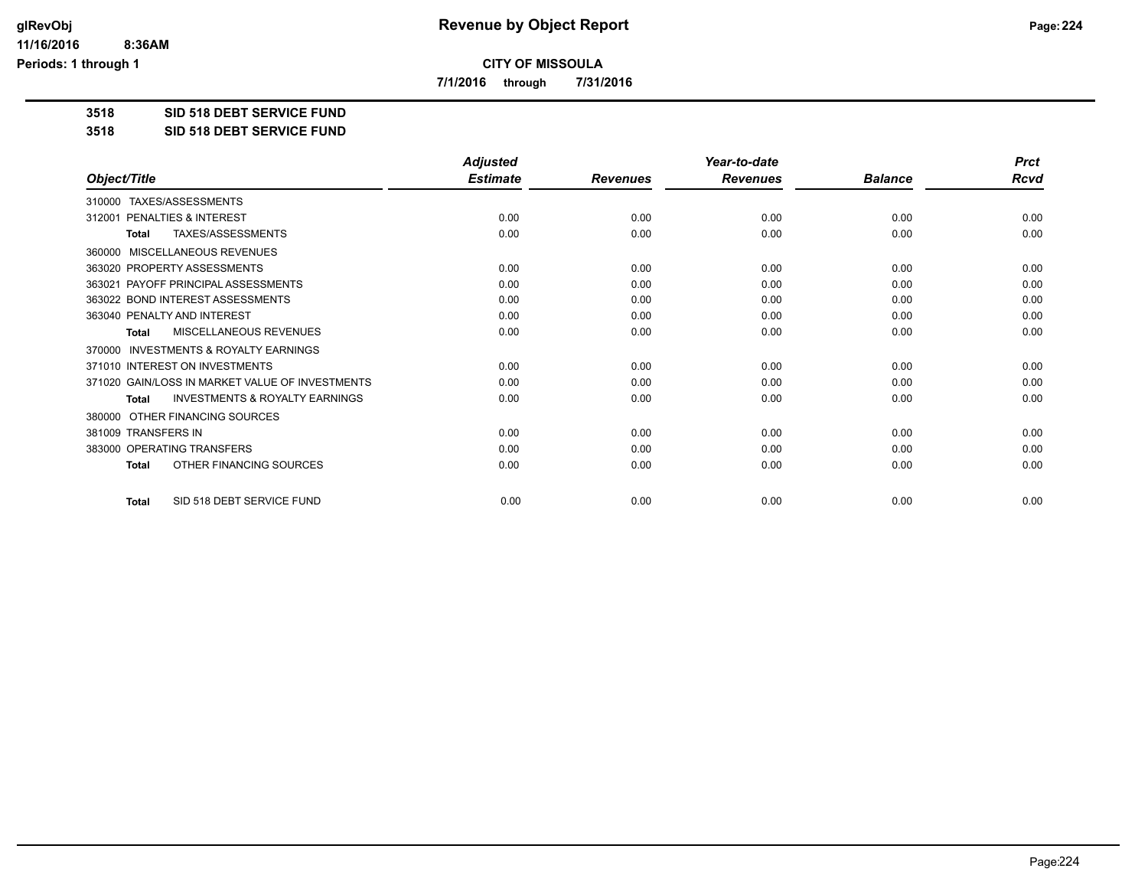**glRevObj Revenue by Object Report Page:224** 

**CITY OF MISSOULA**

**7/1/2016 through 7/31/2016**

**3518 SID 518 DEBT SERVICE FUND**

 **8:36AM**

**3518 SID 518 DEBT SERVICE FUND**

|                                                           | <b>Adjusted</b> |                 | Year-to-date    |                | <b>Prct</b> |
|-----------------------------------------------------------|-----------------|-----------------|-----------------|----------------|-------------|
| Object/Title                                              | <b>Estimate</b> | <b>Revenues</b> | <b>Revenues</b> | <b>Balance</b> | <b>Rcvd</b> |
| TAXES/ASSESSMENTS<br>310000                               |                 |                 |                 |                |             |
| PENALTIES & INTEREST<br>312001                            | 0.00            | 0.00            | 0.00            | 0.00           | 0.00        |
| <b>TAXES/ASSESSMENTS</b><br>Total                         | 0.00            | 0.00            | 0.00            | 0.00           | 0.00        |
| MISCELLANEOUS REVENUES<br>360000                          |                 |                 |                 |                |             |
| 363020 PROPERTY ASSESSMENTS                               | 0.00            | 0.00            | 0.00            | 0.00           | 0.00        |
| 363021 PAYOFF PRINCIPAL ASSESSMENTS                       | 0.00            | 0.00            | 0.00            | 0.00           | 0.00        |
| 363022 BOND INTEREST ASSESSMENTS                          | 0.00            | 0.00            | 0.00            | 0.00           | 0.00        |
| 363040 PENALTY AND INTEREST                               | 0.00            | 0.00            | 0.00            | 0.00           | 0.00        |
| MISCELLANEOUS REVENUES<br><b>Total</b>                    | 0.00            | 0.00            | 0.00            | 0.00           | 0.00        |
| <b>INVESTMENTS &amp; ROYALTY EARNINGS</b><br>370000       |                 |                 |                 |                |             |
| 371010 INTEREST ON INVESTMENTS                            | 0.00            | 0.00            | 0.00            | 0.00           | 0.00        |
| 371020 GAIN/LOSS IN MARKET VALUE OF INVESTMENTS           | 0.00            | 0.00            | 0.00            | 0.00           | 0.00        |
| <b>INVESTMENTS &amp; ROYALTY EARNINGS</b><br><b>Total</b> | 0.00            | 0.00            | 0.00            | 0.00           | 0.00        |
| OTHER FINANCING SOURCES<br>380000                         |                 |                 |                 |                |             |
| 381009 TRANSFERS IN                                       | 0.00            | 0.00            | 0.00            | 0.00           | 0.00        |
| 383000 OPERATING TRANSFERS                                | 0.00            | 0.00            | 0.00            | 0.00           | 0.00        |
| OTHER FINANCING SOURCES<br><b>Total</b>                   | 0.00            | 0.00            | 0.00            | 0.00           | 0.00        |
| SID 518 DEBT SERVICE FUND<br><b>Total</b>                 | 0.00            | 0.00            | 0.00            | 0.00           | 0.00        |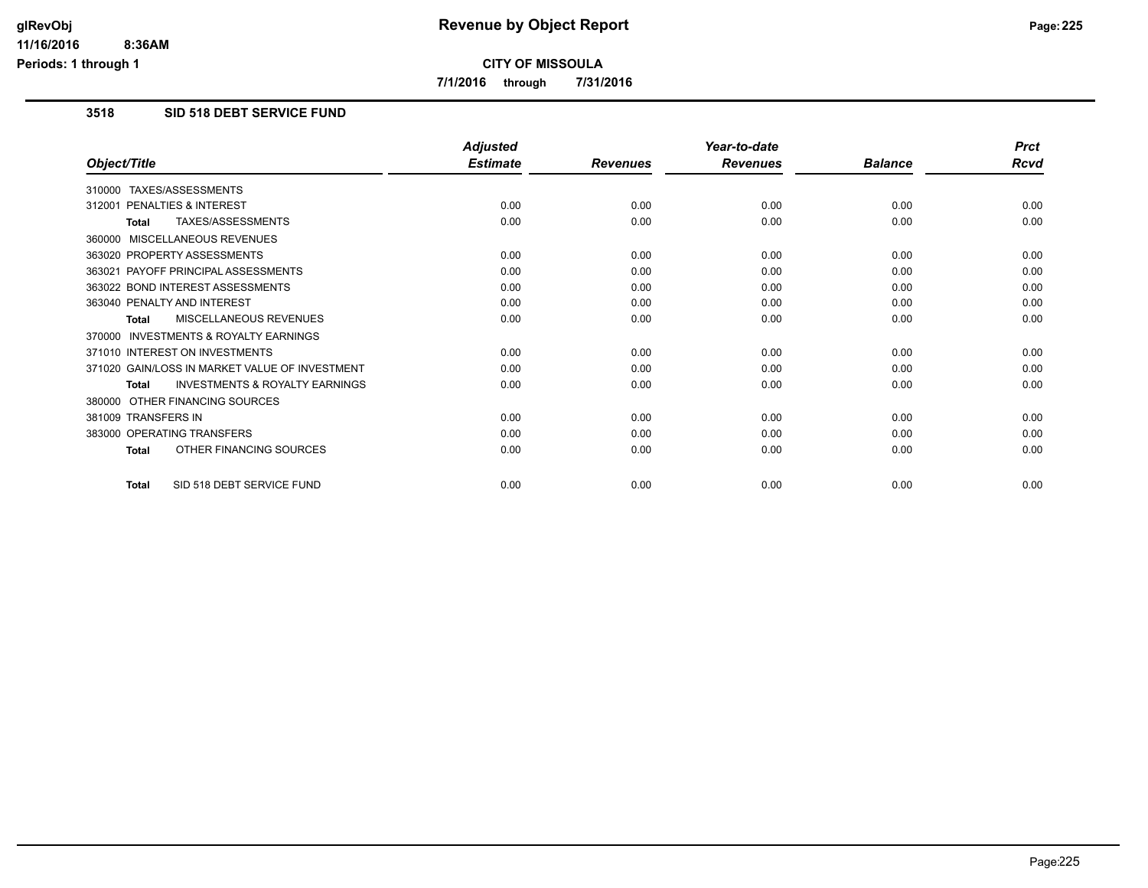**CITY OF MISSOULA**

**7/1/2016 through 7/31/2016**

### **3518 SID 518 DEBT SERVICE FUND**

|                                                           | <b>Adjusted</b> |                 | Year-to-date    |                | <b>Prct</b> |
|-----------------------------------------------------------|-----------------|-----------------|-----------------|----------------|-------------|
| Object/Title                                              | <b>Estimate</b> | <b>Revenues</b> | <b>Revenues</b> | <b>Balance</b> | <b>Rcvd</b> |
| 310000 TAXES/ASSESSMENTS                                  |                 |                 |                 |                |             |
| 312001 PENALTIES & INTEREST                               | 0.00            | 0.00            | 0.00            | 0.00           | 0.00        |
| <b>TAXES/ASSESSMENTS</b><br><b>Total</b>                  | 0.00            | 0.00            | 0.00            | 0.00           | 0.00        |
| 360000 MISCELLANEOUS REVENUES                             |                 |                 |                 |                |             |
| 363020 PROPERTY ASSESSMENTS                               | 0.00            | 0.00            | 0.00            | 0.00           | 0.00        |
| 363021 PAYOFF PRINCIPAL ASSESSMENTS                       | 0.00            | 0.00            | 0.00            | 0.00           | 0.00        |
| 363022 BOND INTEREST ASSESSMENTS                          | 0.00            | 0.00            | 0.00            | 0.00           | 0.00        |
| 363040 PENALTY AND INTEREST                               | 0.00            | 0.00            | 0.00            | 0.00           | 0.00        |
| MISCELLANEOUS REVENUES<br>Total                           | 0.00            | 0.00            | 0.00            | 0.00           | 0.00        |
| <b>INVESTMENTS &amp; ROYALTY EARNINGS</b><br>370000       |                 |                 |                 |                |             |
| 371010 INTEREST ON INVESTMENTS                            | 0.00            | 0.00            | 0.00            | 0.00           | 0.00        |
| 371020 GAIN/LOSS IN MARKET VALUE OF INVESTMENT            | 0.00            | 0.00            | 0.00            | 0.00           | 0.00        |
| <b>INVESTMENTS &amp; ROYALTY EARNINGS</b><br><b>Total</b> | 0.00            | 0.00            | 0.00            | 0.00           | 0.00        |
| 380000 OTHER FINANCING SOURCES                            |                 |                 |                 |                |             |
| 381009 TRANSFERS IN                                       | 0.00            | 0.00            | 0.00            | 0.00           | 0.00        |
| 383000 OPERATING TRANSFERS                                | 0.00            | 0.00            | 0.00            | 0.00           | 0.00        |
| OTHER FINANCING SOURCES<br><b>Total</b>                   | 0.00            | 0.00            | 0.00            | 0.00           | 0.00        |
| SID 518 DEBT SERVICE FUND<br><b>Total</b>                 | 0.00            | 0.00            | 0.00            | 0.00           | 0.00        |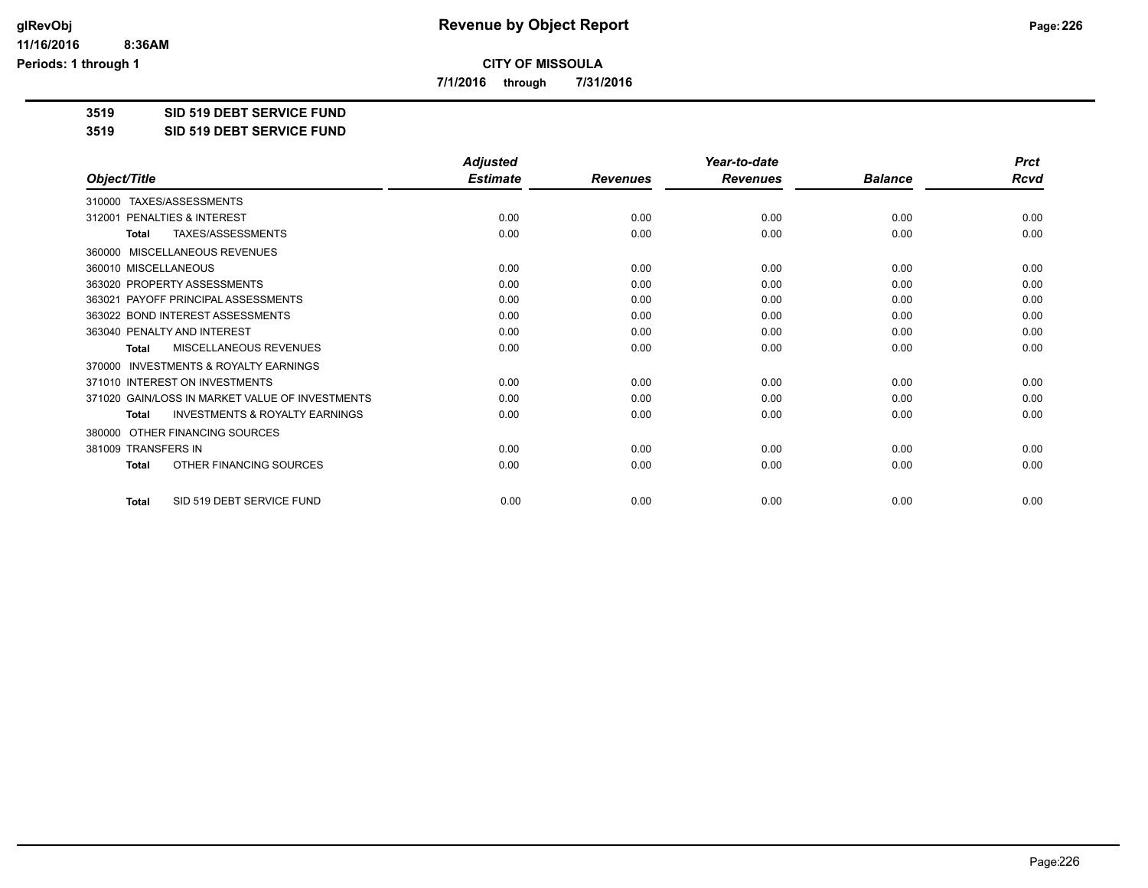**glRevObj Revenue by Object Report Page:226** 

**CITY OF MISSOULA**

**7/1/2016 through 7/31/2016**

**3519 SID 519 DEBT SERVICE FUND**

 **8:36AM**

**3519 SID 519 DEBT SERVICE FUND**

|                                                           | <b>Adjusted</b> |                 | Year-to-date    |                | <b>Prct</b> |
|-----------------------------------------------------------|-----------------|-----------------|-----------------|----------------|-------------|
| Object/Title                                              | <b>Estimate</b> | <b>Revenues</b> | <b>Revenues</b> | <b>Balance</b> | Rcvd        |
| TAXES/ASSESSMENTS<br>310000                               |                 |                 |                 |                |             |
| PENALTIES & INTEREST<br>312001                            | 0.00            | 0.00            | 0.00            | 0.00           | 0.00        |
| TAXES/ASSESSMENTS<br>Total                                | 0.00            | 0.00            | 0.00            | 0.00           | 0.00        |
| MISCELLANEOUS REVENUES<br>360000                          |                 |                 |                 |                |             |
| 360010 MISCELLANEOUS                                      | 0.00            | 0.00            | 0.00            | 0.00           | 0.00        |
| 363020 PROPERTY ASSESSMENTS                               | 0.00            | 0.00            | 0.00            | 0.00           | 0.00        |
| 363021 PAYOFF PRINCIPAL ASSESSMENTS                       | 0.00            | 0.00            | 0.00            | 0.00           | 0.00        |
| 363022 BOND INTEREST ASSESSMENTS                          | 0.00            | 0.00            | 0.00            | 0.00           | 0.00        |
| 363040 PENALTY AND INTEREST                               | 0.00            | 0.00            | 0.00            | 0.00           | 0.00        |
| MISCELLANEOUS REVENUES<br><b>Total</b>                    | 0.00            | 0.00            | 0.00            | 0.00           | 0.00        |
| <b>INVESTMENTS &amp; ROYALTY EARNINGS</b><br>370000       |                 |                 |                 |                |             |
| 371010 INTEREST ON INVESTMENTS                            | 0.00            | 0.00            | 0.00            | 0.00           | 0.00        |
| 371020 GAIN/LOSS IN MARKET VALUE OF INVESTMENTS           | 0.00            | 0.00            | 0.00            | 0.00           | 0.00        |
| <b>INVESTMENTS &amp; ROYALTY EARNINGS</b><br><b>Total</b> | 0.00            | 0.00            | 0.00            | 0.00           | 0.00        |
| OTHER FINANCING SOURCES<br>380000                         |                 |                 |                 |                |             |
| 381009 TRANSFERS IN                                       | 0.00            | 0.00            | 0.00            | 0.00           | 0.00        |
| OTHER FINANCING SOURCES<br><b>Total</b>                   | 0.00            | 0.00            | 0.00            | 0.00           | 0.00        |
| SID 519 DEBT SERVICE FUND<br><b>Total</b>                 | 0.00            | 0.00            | 0.00            | 0.00           | 0.00        |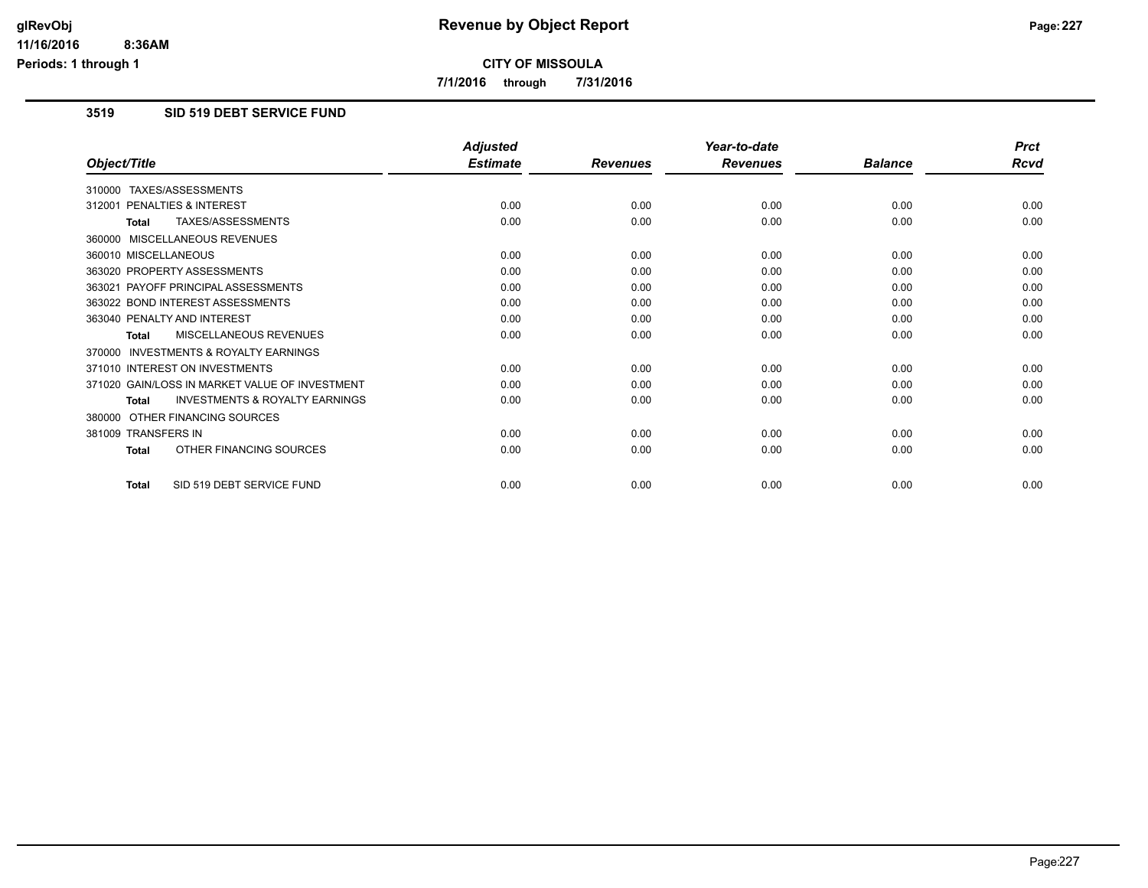**CITY OF MISSOULA**

**7/1/2016 through 7/31/2016**

# **3519 SID 519 DEBT SERVICE FUND**

|                                                           | <b>Adjusted</b> |                 | Year-to-date    |                | <b>Prct</b> |
|-----------------------------------------------------------|-----------------|-----------------|-----------------|----------------|-------------|
| Object/Title                                              | <b>Estimate</b> | <b>Revenues</b> | <b>Revenues</b> | <b>Balance</b> | <b>Rcvd</b> |
| 310000 TAXES/ASSESSMENTS                                  |                 |                 |                 |                |             |
| PENALTIES & INTEREST<br>312001                            | 0.00            | 0.00            | 0.00            | 0.00           | 0.00        |
| TAXES/ASSESSMENTS<br>Total                                | 0.00            | 0.00            | 0.00            | 0.00           | 0.00        |
| 360000 MISCELLANEOUS REVENUES                             |                 |                 |                 |                |             |
| 360010 MISCELLANEOUS                                      | 0.00            | 0.00            | 0.00            | 0.00           | 0.00        |
| 363020 PROPERTY ASSESSMENTS                               | 0.00            | 0.00            | 0.00            | 0.00           | 0.00        |
| 363021 PAYOFF PRINCIPAL ASSESSMENTS                       | 0.00            | 0.00            | 0.00            | 0.00           | 0.00        |
| 363022 BOND INTEREST ASSESSMENTS                          | 0.00            | 0.00            | 0.00            | 0.00           | 0.00        |
| 363040 PENALTY AND INTEREST                               | 0.00            | 0.00            | 0.00            | 0.00           | 0.00        |
| <b>MISCELLANEOUS REVENUES</b><br><b>Total</b>             | 0.00            | 0.00            | 0.00            | 0.00           | 0.00        |
| 370000 INVESTMENTS & ROYALTY EARNINGS                     |                 |                 |                 |                |             |
| 371010 INTEREST ON INVESTMENTS                            | 0.00            | 0.00            | 0.00            | 0.00           | 0.00        |
| 371020 GAIN/LOSS IN MARKET VALUE OF INVESTMENT            | 0.00            | 0.00            | 0.00            | 0.00           | 0.00        |
| <b>INVESTMENTS &amp; ROYALTY EARNINGS</b><br><b>Total</b> | 0.00            | 0.00            | 0.00            | 0.00           | 0.00        |
| 380000 OTHER FINANCING SOURCES                            |                 |                 |                 |                |             |
| 381009 TRANSFERS IN                                       | 0.00            | 0.00            | 0.00            | 0.00           | 0.00        |
| OTHER FINANCING SOURCES<br><b>Total</b>                   | 0.00            | 0.00            | 0.00            | 0.00           | 0.00        |
| SID 519 DEBT SERVICE FUND<br><b>Total</b>                 | 0.00            | 0.00            | 0.00            | 0.00           | 0.00        |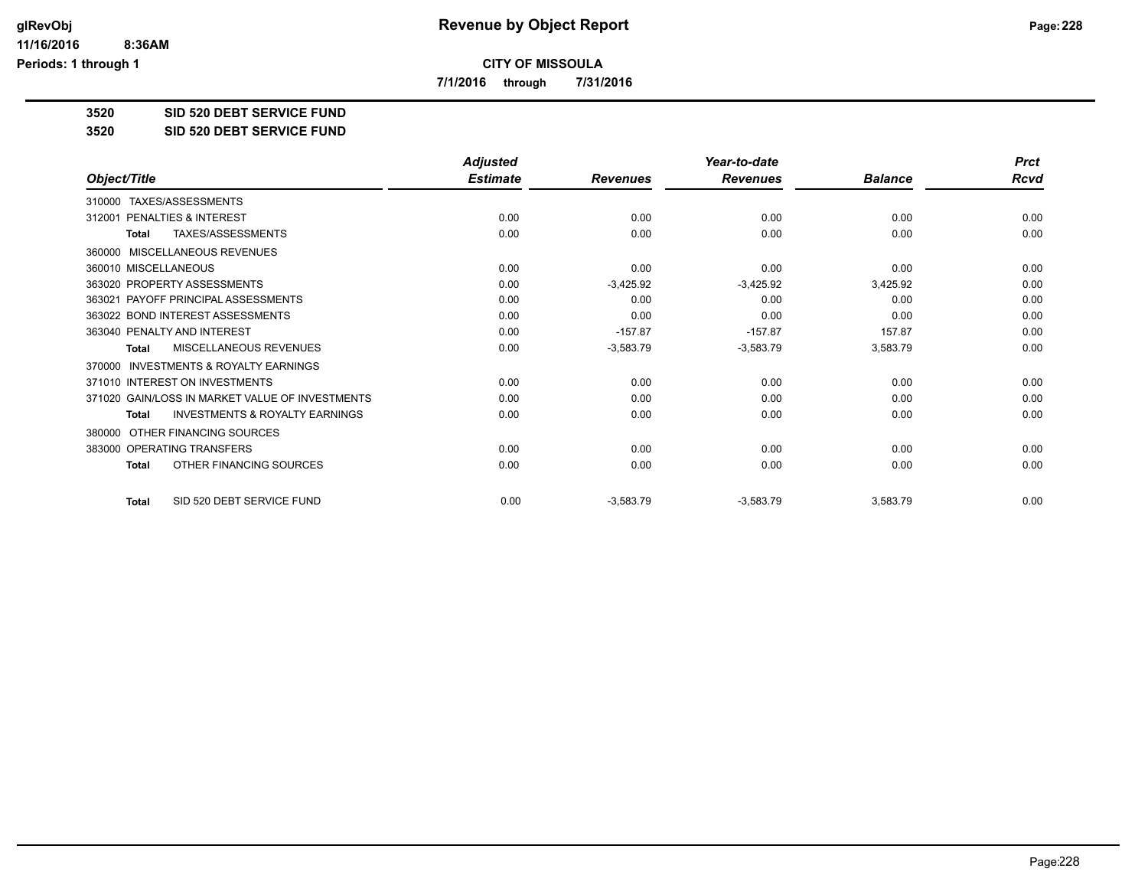**glRevObj Revenue by Object Report Page:228** 

**CITY OF MISSOULA**

**7/1/2016 through 7/31/2016**

**3520 SID 520 DEBT SERVICE FUND**

 **8:36AM**

**3520 SID 520 DEBT SERVICE FUND**

|                                                           | <b>Adjusted</b> |                 | Year-to-date    |                | <b>Prct</b> |
|-----------------------------------------------------------|-----------------|-----------------|-----------------|----------------|-------------|
| Object/Title                                              | <b>Estimate</b> | <b>Revenues</b> | <b>Revenues</b> | <b>Balance</b> | Rcvd        |
| <b>TAXES/ASSESSMENTS</b><br>310000                        |                 |                 |                 |                |             |
| PENALTIES & INTEREST<br>312001                            | 0.00            | 0.00            | 0.00            | 0.00           | 0.00        |
| TAXES/ASSESSMENTS<br><b>Total</b>                         | 0.00            | 0.00            | 0.00            | 0.00           | 0.00        |
| MISCELLANEOUS REVENUES<br>360000                          |                 |                 |                 |                |             |
| 360010 MISCELLANEOUS                                      | 0.00            | 0.00            | 0.00            | 0.00           | 0.00        |
| 363020 PROPERTY ASSESSMENTS                               | 0.00            | $-3,425.92$     | $-3,425.92$     | 3,425.92       | 0.00        |
| 363021 PAYOFF PRINCIPAL ASSESSMENTS                       | 0.00            | 0.00            | 0.00            | 0.00           | 0.00        |
| 363022 BOND INTEREST ASSESSMENTS                          | 0.00            | 0.00            | 0.00            | 0.00           | 0.00        |
| 363040 PENALTY AND INTEREST                               | 0.00            | $-157.87$       | $-157.87$       | 157.87         | 0.00        |
| <b>MISCELLANEOUS REVENUES</b><br>Total                    | 0.00            | $-3,583.79$     | $-3,583.79$     | 3,583.79       | 0.00        |
| <b>INVESTMENTS &amp; ROYALTY EARNINGS</b><br>370000       |                 |                 |                 |                |             |
| 371010 INTEREST ON INVESTMENTS                            | 0.00            | 0.00            | 0.00            | 0.00           | 0.00        |
| 371020 GAIN/LOSS IN MARKET VALUE OF INVESTMENTS           | 0.00            | 0.00            | 0.00            | 0.00           | 0.00        |
| <b>INVESTMENTS &amp; ROYALTY EARNINGS</b><br><b>Total</b> | 0.00            | 0.00            | 0.00            | 0.00           | 0.00        |
| OTHER FINANCING SOURCES<br>380000                         |                 |                 |                 |                |             |
| 383000 OPERATING TRANSFERS                                | 0.00            | 0.00            | 0.00            | 0.00           | 0.00        |
| OTHER FINANCING SOURCES<br><b>Total</b>                   | 0.00            | 0.00            | 0.00            | 0.00           | 0.00        |
| SID 520 DEBT SERVICE FUND<br><b>Total</b>                 | 0.00            | $-3,583.79$     | $-3,583.79$     | 3,583.79       | 0.00        |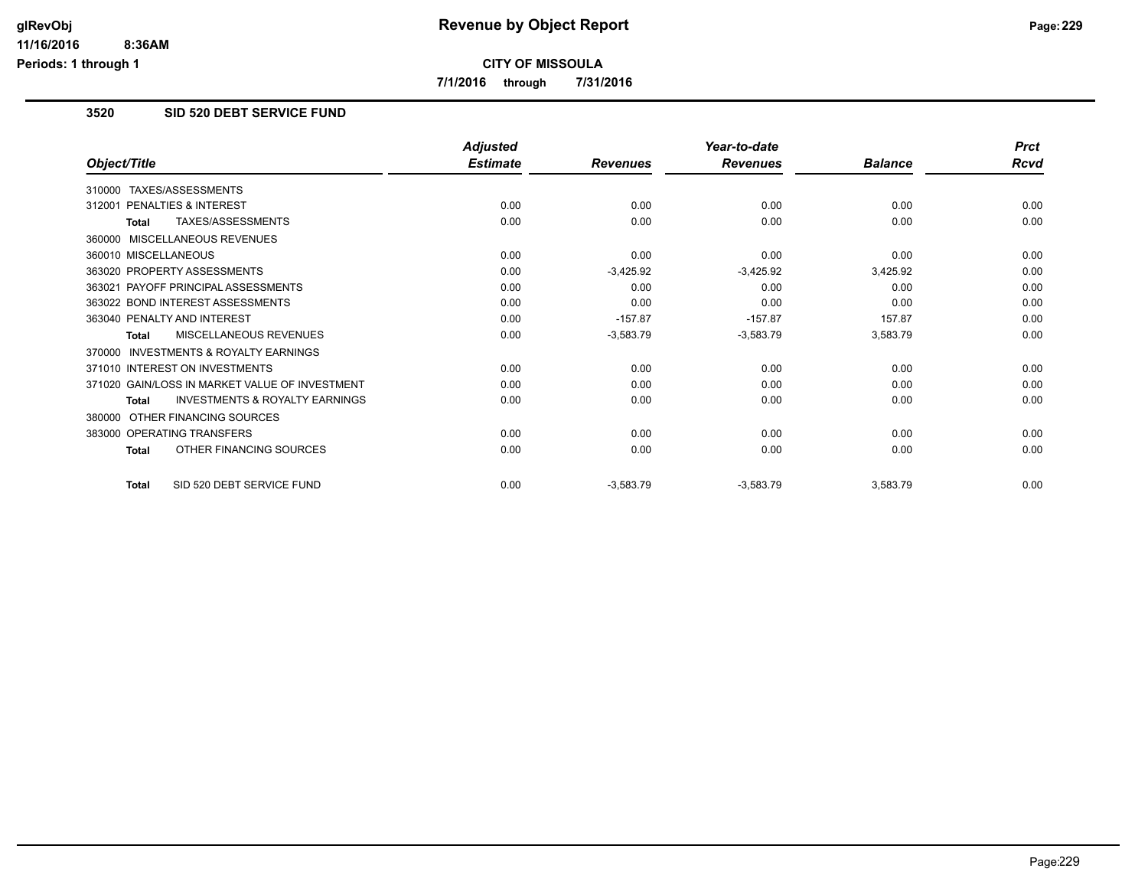**CITY OF MISSOULA**

**7/1/2016 through 7/31/2016**

#### **3520 SID 520 DEBT SERVICE FUND**

|                                                           | <b>Adjusted</b> |                 | Year-to-date    |                | <b>Prct</b> |
|-----------------------------------------------------------|-----------------|-----------------|-----------------|----------------|-------------|
| Object/Title                                              | <b>Estimate</b> | <b>Revenues</b> | <b>Revenues</b> | <b>Balance</b> | <b>Rcvd</b> |
| 310000 TAXES/ASSESSMENTS                                  |                 |                 |                 |                |             |
| PENALTIES & INTEREST<br>312001                            | 0.00            | 0.00            | 0.00            | 0.00           | 0.00        |
| <b>TAXES/ASSESSMENTS</b><br><b>Total</b>                  | 0.00            | 0.00            | 0.00            | 0.00           | 0.00        |
| 360000 MISCELLANEOUS REVENUES                             |                 |                 |                 |                |             |
| 360010 MISCELLANEOUS                                      | 0.00            | 0.00            | 0.00            | 0.00           | 0.00        |
| 363020 PROPERTY ASSESSMENTS                               | 0.00            | $-3,425.92$     | $-3,425.92$     | 3,425.92       | 0.00        |
| 363021 PAYOFF PRINCIPAL ASSESSMENTS                       | 0.00            | 0.00            | 0.00            | 0.00           | 0.00        |
| 363022 BOND INTEREST ASSESSMENTS                          | 0.00            | 0.00            | 0.00            | 0.00           | 0.00        |
| 363040 PENALTY AND INTEREST                               | 0.00            | $-157.87$       | $-157.87$       | 157.87         | 0.00        |
| MISCELLANEOUS REVENUES<br><b>Total</b>                    | 0.00            | $-3,583.79$     | $-3,583.79$     | 3,583.79       | 0.00        |
| <b>INVESTMENTS &amp; ROYALTY EARNINGS</b><br>370000       |                 |                 |                 |                |             |
| 371010 INTEREST ON INVESTMENTS                            | 0.00            | 0.00            | 0.00            | 0.00           | 0.00        |
| 371020 GAIN/LOSS IN MARKET VALUE OF INVESTMENT            | 0.00            | 0.00            | 0.00            | 0.00           | 0.00        |
| <b>INVESTMENTS &amp; ROYALTY EARNINGS</b><br><b>Total</b> | 0.00            | 0.00            | 0.00            | 0.00           | 0.00        |
| OTHER FINANCING SOURCES<br>380000                         |                 |                 |                 |                |             |
| 383000 OPERATING TRANSFERS                                | 0.00            | 0.00            | 0.00            | 0.00           | 0.00        |
| OTHER FINANCING SOURCES<br><b>Total</b>                   | 0.00            | 0.00            | 0.00            | 0.00           | 0.00        |
| SID 520 DEBT SERVICE FUND<br><b>Total</b>                 | 0.00            | $-3,583.79$     | $-3,583.79$     | 3,583.79       | 0.00        |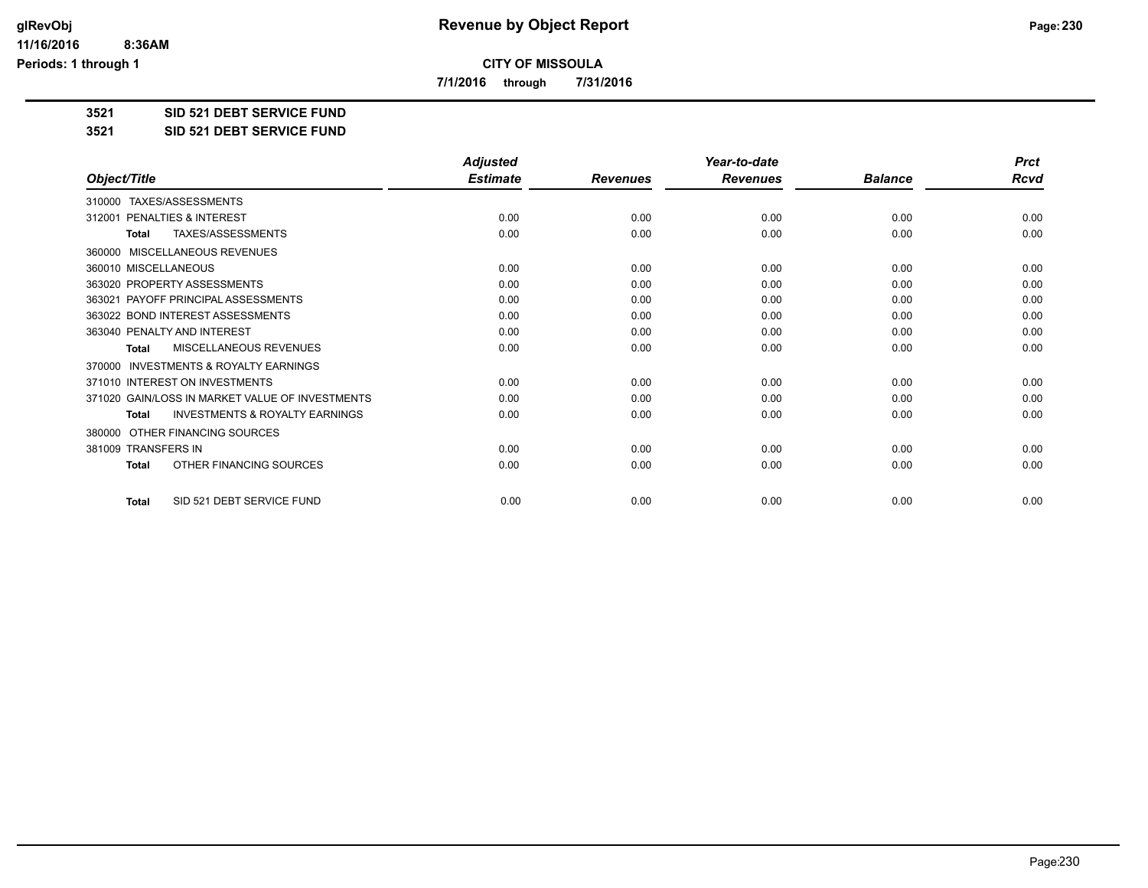**glRevObj Revenue by Object Report Page:230** 

**11/16/2016 8:36AM Periods: 1 through 1**

**CITY OF MISSOULA**

**7/1/2016 through 7/31/2016**

**3521 SID 521 DEBT SERVICE FUND**

**3521 SID 521 DEBT SERVICE FUND**

|                                                           | <b>Adjusted</b> |                 | Year-to-date    |                | <b>Prct</b><br><b>Rcvd</b> |
|-----------------------------------------------------------|-----------------|-----------------|-----------------|----------------|----------------------------|
| Object/Title                                              | <b>Estimate</b> | <b>Revenues</b> | <b>Revenues</b> | <b>Balance</b> |                            |
| TAXES/ASSESSMENTS<br>310000                               |                 |                 |                 |                |                            |
| PENALTIES & INTEREST<br>312001                            | 0.00            | 0.00            | 0.00            | 0.00           | 0.00                       |
| <b>TAXES/ASSESSMENTS</b><br><b>Total</b>                  | 0.00            | 0.00            | 0.00            | 0.00           | 0.00                       |
| <b>MISCELLANEOUS REVENUES</b><br>360000                   |                 |                 |                 |                |                            |
| 360010 MISCELLANEOUS                                      | 0.00            | 0.00            | 0.00            | 0.00           | 0.00                       |
| 363020 PROPERTY ASSESSMENTS                               | 0.00            | 0.00            | 0.00            | 0.00           | 0.00                       |
| 363021 PAYOFF PRINCIPAL ASSESSMENTS                       | 0.00            | 0.00            | 0.00            | 0.00           | 0.00                       |
| 363022 BOND INTEREST ASSESSMENTS                          | 0.00            | 0.00            | 0.00            | 0.00           | 0.00                       |
| 363040 PENALTY AND INTEREST                               | 0.00            | 0.00            | 0.00            | 0.00           | 0.00                       |
| <b>MISCELLANEOUS REVENUES</b><br><b>Total</b>             | 0.00            | 0.00            | 0.00            | 0.00           | 0.00                       |
| <b>INVESTMENTS &amp; ROYALTY EARNINGS</b><br>370000       |                 |                 |                 |                |                            |
| 371010 INTEREST ON INVESTMENTS                            | 0.00            | 0.00            | 0.00            | 0.00           | 0.00                       |
| 371020 GAIN/LOSS IN MARKET VALUE OF INVESTMENTS           | 0.00            | 0.00            | 0.00            | 0.00           | 0.00                       |
| <b>INVESTMENTS &amp; ROYALTY EARNINGS</b><br><b>Total</b> | 0.00            | 0.00            | 0.00            | 0.00           | 0.00                       |
| OTHER FINANCING SOURCES<br>380000                         |                 |                 |                 |                |                            |
| 381009 TRANSFERS IN                                       | 0.00            | 0.00            | 0.00            | 0.00           | 0.00                       |
| OTHER FINANCING SOURCES<br><b>Total</b>                   | 0.00            | 0.00            | 0.00            | 0.00           | 0.00                       |
| SID 521 DEBT SERVICE FUND<br><b>Total</b>                 | 0.00            | 0.00            | 0.00            | 0.00           | 0.00                       |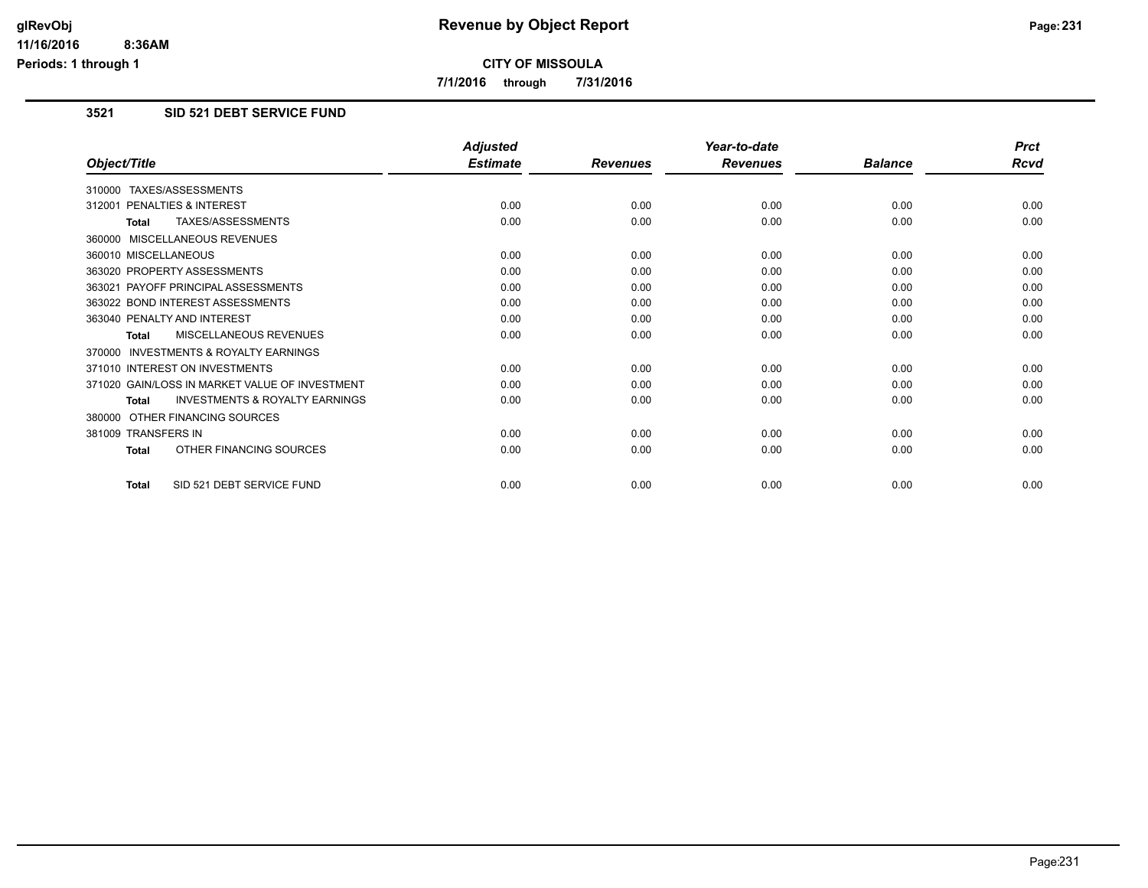**CITY OF MISSOULA**

**7/1/2016 through 7/31/2016**

# **3521 SID 521 DEBT SERVICE FUND**

|                                                           | <b>Adjusted</b> |                 | Year-to-date    |                | <b>Prct</b> |
|-----------------------------------------------------------|-----------------|-----------------|-----------------|----------------|-------------|
| Object/Title                                              | <b>Estimate</b> | <b>Revenues</b> | <b>Revenues</b> | <b>Balance</b> | <b>Rcvd</b> |
| 310000 TAXES/ASSESSMENTS                                  |                 |                 |                 |                |             |
| 312001 PENALTIES & INTEREST                               | 0.00            | 0.00            | 0.00            | 0.00           | 0.00        |
| TAXES/ASSESSMENTS<br><b>Total</b>                         | 0.00            | 0.00            | 0.00            | 0.00           | 0.00        |
| 360000 MISCELLANEOUS REVENUES                             |                 |                 |                 |                |             |
| 360010 MISCELLANEOUS                                      | 0.00            | 0.00            | 0.00            | 0.00           | 0.00        |
| 363020 PROPERTY ASSESSMENTS                               | 0.00            | 0.00            | 0.00            | 0.00           | 0.00        |
| 363021 PAYOFF PRINCIPAL ASSESSMENTS                       | 0.00            | 0.00            | 0.00            | 0.00           | 0.00        |
| 363022 BOND INTEREST ASSESSMENTS                          | 0.00            | 0.00            | 0.00            | 0.00           | 0.00        |
| 363040 PENALTY AND INTEREST                               | 0.00            | 0.00            | 0.00            | 0.00           | 0.00        |
| MISCELLANEOUS REVENUES<br><b>Total</b>                    | 0.00            | 0.00            | 0.00            | 0.00           | 0.00        |
| <b>INVESTMENTS &amp; ROYALTY EARNINGS</b><br>370000       |                 |                 |                 |                |             |
| 371010 INTEREST ON INVESTMENTS                            | 0.00            | 0.00            | 0.00            | 0.00           | 0.00        |
| 371020 GAIN/LOSS IN MARKET VALUE OF INVESTMENT            | 0.00            | 0.00            | 0.00            | 0.00           | 0.00        |
| <b>INVESTMENTS &amp; ROYALTY EARNINGS</b><br><b>Total</b> | 0.00            | 0.00            | 0.00            | 0.00           | 0.00        |
| 380000 OTHER FINANCING SOURCES                            |                 |                 |                 |                |             |
| 381009 TRANSFERS IN                                       | 0.00            | 0.00            | 0.00            | 0.00           | 0.00        |
| OTHER FINANCING SOURCES<br><b>Total</b>                   | 0.00            | 0.00            | 0.00            | 0.00           | 0.00        |
| SID 521 DEBT SERVICE FUND<br><b>Total</b>                 | 0.00            | 0.00            | 0.00            | 0.00           | 0.00        |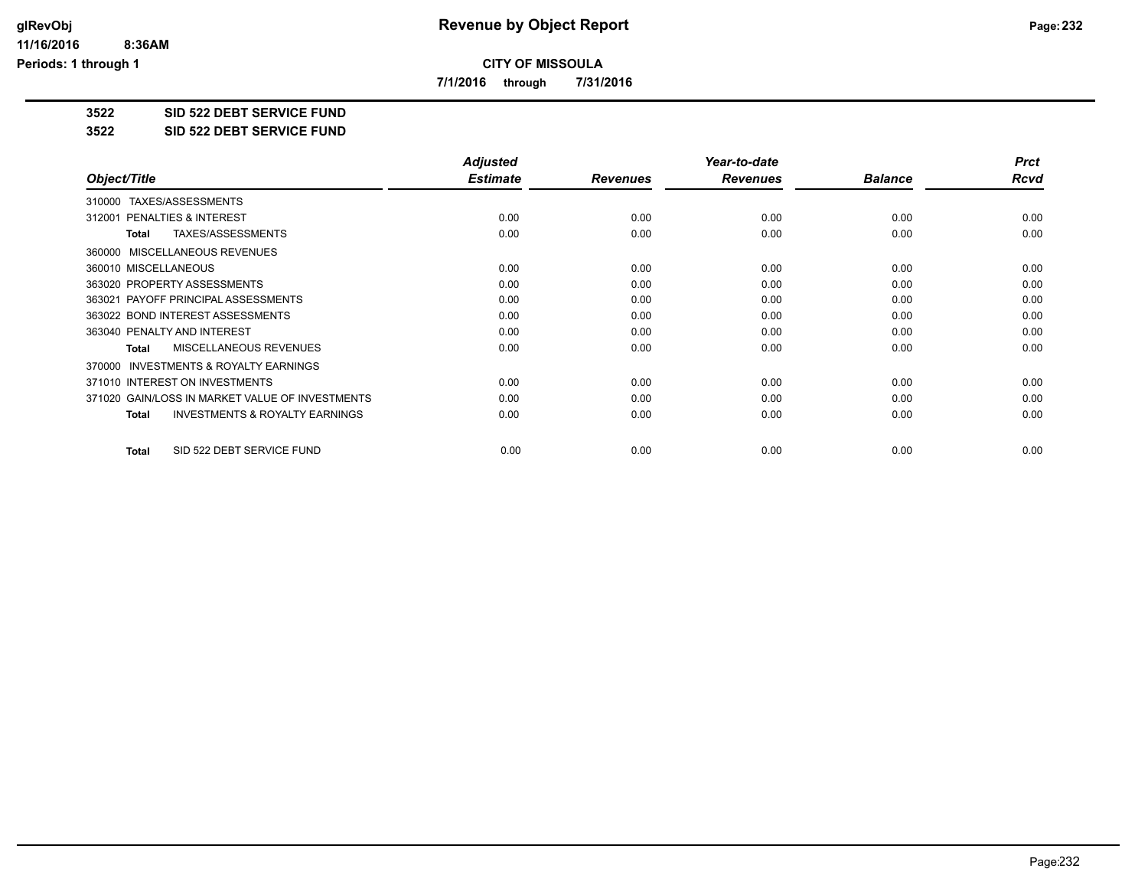**glRevObj Revenue by Object Report Page:232** 

**11/16/2016 8:36AM Periods: 1 through 1**

**CITY OF MISSOULA**

**7/1/2016 through 7/31/2016**

**3522 SID 522 DEBT SERVICE FUND**

**3522 SID 522 DEBT SERVICE FUND**

|                                                           | <b>Adjusted</b> |                 | Year-to-date    |                | <b>Prct</b> |
|-----------------------------------------------------------|-----------------|-----------------|-----------------|----------------|-------------|
| Object/Title                                              | <b>Estimate</b> | <b>Revenues</b> | <b>Revenues</b> | <b>Balance</b> | Rcvd        |
| 310000 TAXES/ASSESSMENTS                                  |                 |                 |                 |                |             |
| 312001 PENALTIES & INTEREST                               | 0.00            | 0.00            | 0.00            | 0.00           | 0.00        |
| TAXES/ASSESSMENTS<br><b>Total</b>                         | 0.00            | 0.00            | 0.00            | 0.00           | 0.00        |
| 360000 MISCELLANEOUS REVENUES                             |                 |                 |                 |                |             |
| 360010 MISCELLANEOUS                                      | 0.00            | 0.00            | 0.00            | 0.00           | 0.00        |
| 363020 PROPERTY ASSESSMENTS                               | 0.00            | 0.00            | 0.00            | 0.00           | 0.00        |
| 363021 PAYOFF PRINCIPAL ASSESSMENTS                       | 0.00            | 0.00            | 0.00            | 0.00           | 0.00        |
| 363022 BOND INTEREST ASSESSMENTS                          | 0.00            | 0.00            | 0.00            | 0.00           | 0.00        |
| 363040 PENALTY AND INTEREST                               | 0.00            | 0.00            | 0.00            | 0.00           | 0.00        |
| <b>MISCELLANEOUS REVENUES</b><br>Total                    | 0.00            | 0.00            | 0.00            | 0.00           | 0.00        |
| 370000 INVESTMENTS & ROYALTY EARNINGS                     |                 |                 |                 |                |             |
| 371010 INTEREST ON INVESTMENTS                            | 0.00            | 0.00            | 0.00            | 0.00           | 0.00        |
| 371020 GAIN/LOSS IN MARKET VALUE OF INVESTMENTS           | 0.00            | 0.00            | 0.00            | 0.00           | 0.00        |
| <b>INVESTMENTS &amp; ROYALTY EARNINGS</b><br><b>Total</b> | 0.00            | 0.00            | 0.00            | 0.00           | 0.00        |
| SID 522 DEBT SERVICE FUND<br><b>Total</b>                 | 0.00            | 0.00            | 0.00            | 0.00           | 0.00        |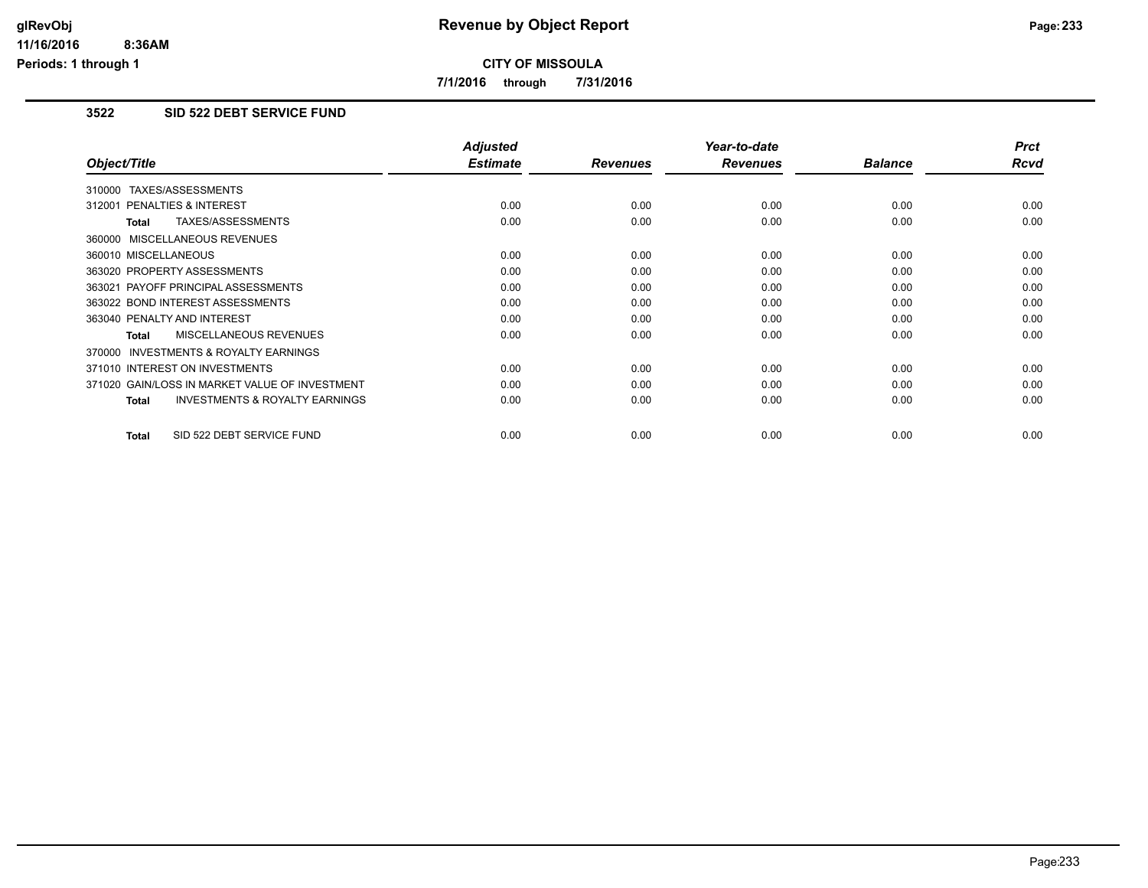**CITY OF MISSOULA**

**7/1/2016 through 7/31/2016**

# **3522 SID 522 DEBT SERVICE FUND**

| Object/Title                                              | <b>Adjusted</b><br><b>Estimate</b> | <b>Revenues</b> | Year-to-date<br><b>Revenues</b> | <b>Balance</b> | <b>Prct</b><br>Rcvd |
|-----------------------------------------------------------|------------------------------------|-----------------|---------------------------------|----------------|---------------------|
|                                                           |                                    |                 |                                 |                |                     |
| 310000 TAXES/ASSESSMENTS                                  |                                    |                 |                                 |                |                     |
| 312001 PENALTIES & INTEREST                               | 0.00                               | 0.00            | 0.00                            | 0.00           | 0.00                |
| TAXES/ASSESSMENTS<br><b>Total</b>                         | 0.00                               | 0.00            | 0.00                            | 0.00           | 0.00                |
| 360000 MISCELLANEOUS REVENUES                             |                                    |                 |                                 |                |                     |
| 360010 MISCELLANEOUS                                      | 0.00                               | 0.00            | 0.00                            | 0.00           | 0.00                |
| 363020 PROPERTY ASSESSMENTS                               | 0.00                               | 0.00            | 0.00                            | 0.00           | 0.00                |
| 363021 PAYOFF PRINCIPAL ASSESSMENTS                       | 0.00                               | 0.00            | 0.00                            | 0.00           | 0.00                |
| 363022 BOND INTEREST ASSESSMENTS                          | 0.00                               | 0.00            | 0.00                            | 0.00           | 0.00                |
| 363040 PENALTY AND INTEREST                               | 0.00                               | 0.00            | 0.00                            | 0.00           | 0.00                |
| <b>MISCELLANEOUS REVENUES</b><br><b>Total</b>             | 0.00                               | 0.00            | 0.00                            | 0.00           | 0.00                |
| INVESTMENTS & ROYALTY EARNINGS<br>370000                  |                                    |                 |                                 |                |                     |
| 371010 INTEREST ON INVESTMENTS                            | 0.00                               | 0.00            | 0.00                            | 0.00           | 0.00                |
| 371020 GAIN/LOSS IN MARKET VALUE OF INVESTMENT            | 0.00                               | 0.00            | 0.00                            | 0.00           | 0.00                |
| <b>INVESTMENTS &amp; ROYALTY EARNINGS</b><br><b>Total</b> | 0.00                               | 0.00            | 0.00                            | 0.00           | 0.00                |
| SID 522 DEBT SERVICE FUND<br><b>Total</b>                 | 0.00                               | 0.00            | 0.00                            | 0.00           | 0.00                |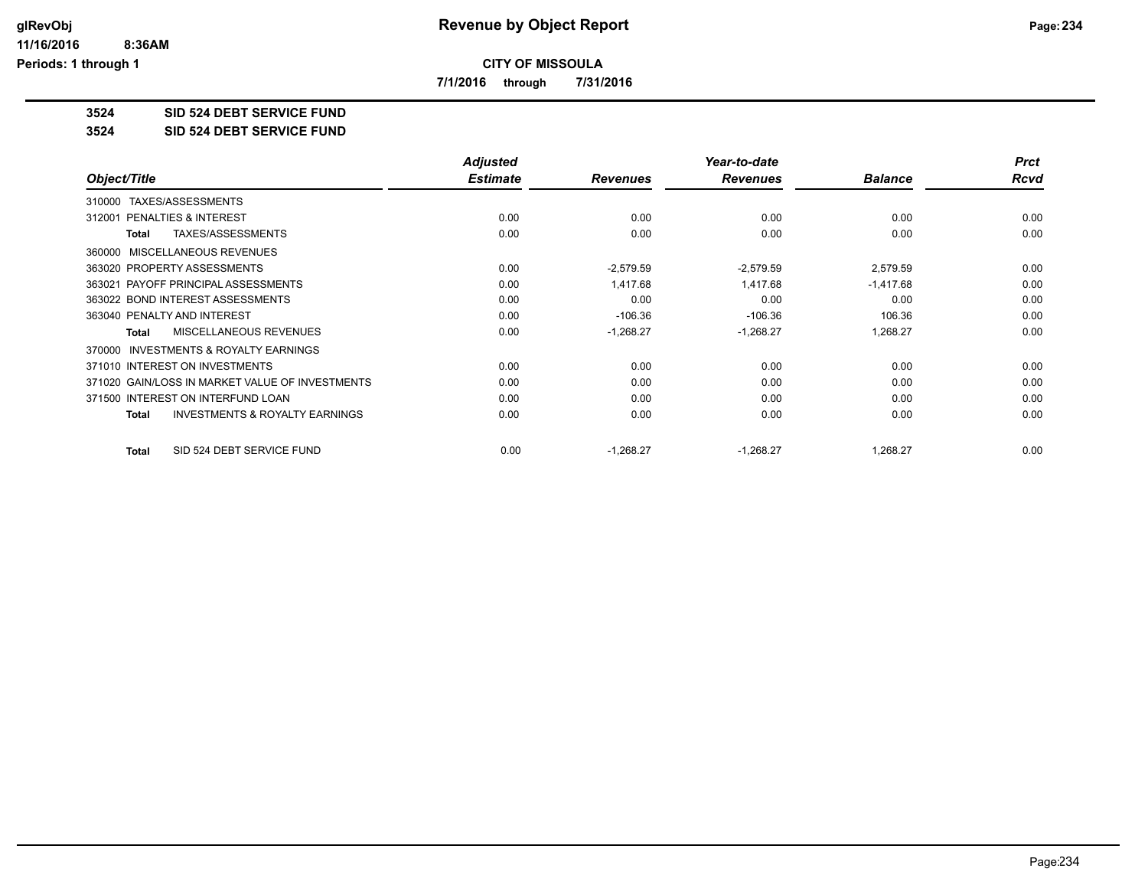**glRevObj Revenue by Object Report Page:234** 

**11/16/2016 8:36AM Periods: 1 through 1**

**CITY OF MISSOULA**

**7/1/2016 through 7/31/2016**

**3524 SID 524 DEBT SERVICE FUND**

**3524 SID 524 DEBT SERVICE FUND**

|                                                     | <b>Adjusted</b> |                 | Year-to-date    |                | <b>Prct</b> |
|-----------------------------------------------------|-----------------|-----------------|-----------------|----------------|-------------|
| Object/Title                                        | <b>Estimate</b> | <b>Revenues</b> | <b>Revenues</b> | <b>Balance</b> | Rcvd        |
| 310000 TAXES/ASSESSMENTS                            |                 |                 |                 |                |             |
| 312001 PENALTIES & INTEREST                         | 0.00            | 0.00            | 0.00            | 0.00           | 0.00        |
| TAXES/ASSESSMENTS<br>Total                          | 0.00            | 0.00            | 0.00            | 0.00           | 0.00        |
| MISCELLANEOUS REVENUES<br>360000                    |                 |                 |                 |                |             |
| 363020 PROPERTY ASSESSMENTS                         | 0.00            | $-2,579.59$     | $-2,579.59$     | 2,579.59       | 0.00        |
| 363021 PAYOFF PRINCIPAL ASSESSMENTS                 | 0.00            | 1,417.68        | 1,417.68        | $-1,417.68$    | 0.00        |
| 363022 BOND INTEREST ASSESSMENTS                    | 0.00            | 0.00            | 0.00            | 0.00           | 0.00        |
| 363040 PENALTY AND INTEREST                         | 0.00            | $-106.36$       | $-106.36$       | 106.36         | 0.00        |
| MISCELLANEOUS REVENUES<br>Total                     | 0.00            | $-1,268.27$     | $-1,268.27$     | 1,268.27       | 0.00        |
| <b>INVESTMENTS &amp; ROYALTY EARNINGS</b><br>370000 |                 |                 |                 |                |             |
| 371010 INTEREST ON INVESTMENTS                      | 0.00            | 0.00            | 0.00            | 0.00           | 0.00        |
| 371020 GAIN/LOSS IN MARKET VALUE OF INVESTMENTS     | 0.00            | 0.00            | 0.00            | 0.00           | 0.00        |
| 371500 INTEREST ON INTERFUND LOAN                   | 0.00            | 0.00            | 0.00            | 0.00           | 0.00        |
| <b>INVESTMENTS &amp; ROYALTY EARNINGS</b><br>Total  | 0.00            | 0.00            | 0.00            | 0.00           | 0.00        |
| SID 524 DEBT SERVICE FUND<br><b>Total</b>           | 0.00            | $-1,268.27$     | $-1,268.27$     | 1,268.27       | 0.00        |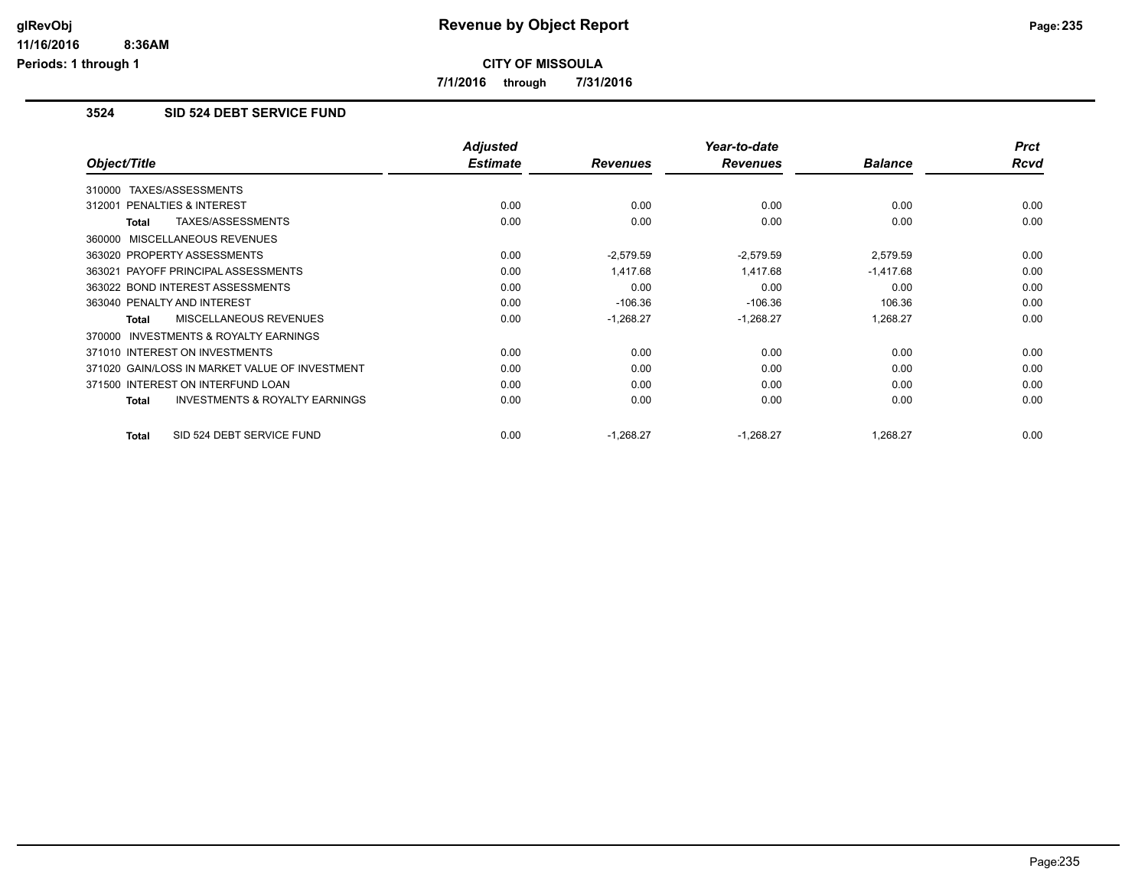**CITY OF MISSOULA**

**7/1/2016 through 7/31/2016**

# **3524 SID 524 DEBT SERVICE FUND**

|                                                    | <b>Adjusted</b> |                 | Year-to-date    |                | <b>Prct</b> |
|----------------------------------------------------|-----------------|-----------------|-----------------|----------------|-------------|
| Object/Title                                       | <b>Estimate</b> | <b>Revenues</b> | <b>Revenues</b> | <b>Balance</b> | Rcvd        |
| TAXES/ASSESSMENTS<br>310000                        |                 |                 |                 |                |             |
| 312001 PENALTIES & INTEREST                        | 0.00            | 0.00            | 0.00            | 0.00           | 0.00        |
| TAXES/ASSESSMENTS<br>Total                         | 0.00            | 0.00            | 0.00            | 0.00           | 0.00        |
| 360000 MISCELLANEOUS REVENUES                      |                 |                 |                 |                |             |
| 363020 PROPERTY ASSESSMENTS                        | 0.00            | $-2,579.59$     | $-2,579.59$     | 2,579.59       | 0.00        |
| 363021 PAYOFF PRINCIPAL ASSESSMENTS                | 0.00            | 1,417.68        | 1,417.68        | $-1,417.68$    | 0.00        |
| 363022 BOND INTEREST ASSESSMENTS                   | 0.00            | 0.00            | 0.00            | 0.00           | 0.00        |
| 363040 PENALTY AND INTEREST                        | 0.00            | $-106.36$       | $-106.36$       | 106.36         | 0.00        |
| <b>MISCELLANEOUS REVENUES</b><br>Total             | 0.00            | $-1,268.27$     | $-1,268.27$     | 1,268.27       | 0.00        |
| INVESTMENTS & ROYALTY EARNINGS<br>370000           |                 |                 |                 |                |             |
| 371010 INTEREST ON INVESTMENTS                     | 0.00            | 0.00            | 0.00            | 0.00           | 0.00        |
| 371020 GAIN/LOSS IN MARKET VALUE OF INVESTMENT     | 0.00            | 0.00            | 0.00            | 0.00           | 0.00        |
| 371500 INTEREST ON INTERFUND LOAN                  | 0.00            | 0.00            | 0.00            | 0.00           | 0.00        |
| <b>INVESTMENTS &amp; ROYALTY EARNINGS</b><br>Total | 0.00            | 0.00            | 0.00            | 0.00           | 0.00        |
| SID 524 DEBT SERVICE FUND<br>Total                 | 0.00            | $-1,268.27$     | $-1,268.27$     | 1,268.27       | 0.00        |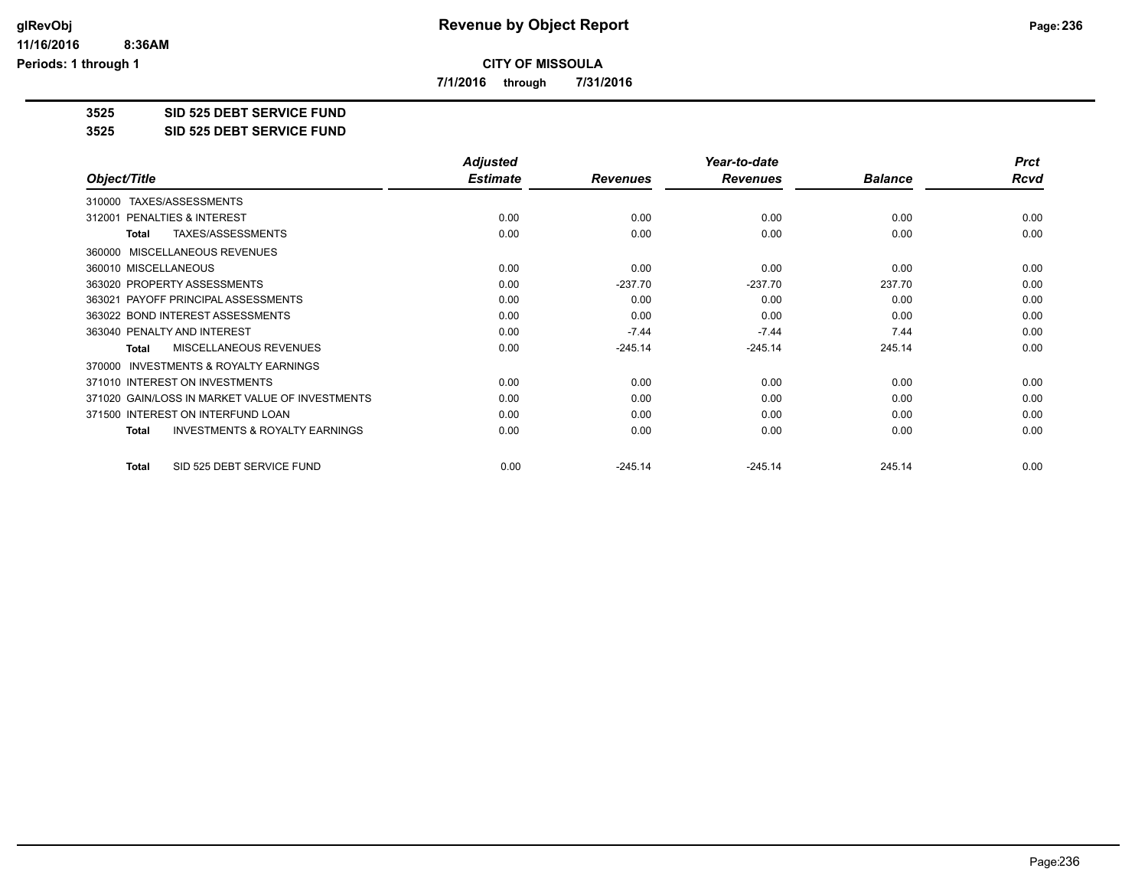**glRevObj Revenue by Object Report Page:236** 

**11/16/2016 8:36AM Periods: 1 through 1**

**CITY OF MISSOULA**

**7/1/2016 through 7/31/2016**

**3525 SID 525 DEBT SERVICE FUND**

**3525 SID 525 DEBT SERVICE FUND**

|                                                           | <b>Adjusted</b> |                 | Year-to-date    |                | <b>Prct</b> |
|-----------------------------------------------------------|-----------------|-----------------|-----------------|----------------|-------------|
| Object/Title                                              | <b>Estimate</b> | <b>Revenues</b> | <b>Revenues</b> | <b>Balance</b> | <b>Rcvd</b> |
| TAXES/ASSESSMENTS<br>310000                               |                 |                 |                 |                |             |
| PENALTIES & INTEREST<br>312001                            | 0.00            | 0.00            | 0.00            | 0.00           | 0.00        |
| TAXES/ASSESSMENTS<br><b>Total</b>                         | 0.00            | 0.00            | 0.00            | 0.00           | 0.00        |
| MISCELLANEOUS REVENUES<br>360000                          |                 |                 |                 |                |             |
| 360010 MISCELLANEOUS                                      | 0.00            | 0.00            | 0.00            | 0.00           | 0.00        |
| 363020 PROPERTY ASSESSMENTS                               | 0.00            | $-237.70$       | $-237.70$       | 237.70         | 0.00        |
| 363021 PAYOFF PRINCIPAL ASSESSMENTS                       | 0.00            | 0.00            | 0.00            | 0.00           | 0.00        |
| 363022 BOND INTEREST ASSESSMENTS                          | 0.00            | 0.00            | 0.00            | 0.00           | 0.00        |
| 363040 PENALTY AND INTEREST                               | 0.00            | $-7.44$         | $-7.44$         | 7.44           | 0.00        |
| <b>MISCELLANEOUS REVENUES</b><br><b>Total</b>             | 0.00            | $-245.14$       | $-245.14$       | 245.14         | 0.00        |
| <b>INVESTMENTS &amp; ROYALTY EARNINGS</b><br>370000       |                 |                 |                 |                |             |
| 371010 INTEREST ON INVESTMENTS                            | 0.00            | 0.00            | 0.00            | 0.00           | 0.00        |
| 371020 GAIN/LOSS IN MARKET VALUE OF INVESTMENTS           | 0.00            | 0.00            | 0.00            | 0.00           | 0.00        |
| 371500 INTEREST ON INTERFUND LOAN                         | 0.00            | 0.00            | 0.00            | 0.00           | 0.00        |
| <b>INVESTMENTS &amp; ROYALTY EARNINGS</b><br><b>Total</b> | 0.00            | 0.00            | 0.00            | 0.00           | 0.00        |
| SID 525 DEBT SERVICE FUND<br><b>Total</b>                 | 0.00            | $-245.14$       | $-245.14$       | 245.14         | 0.00        |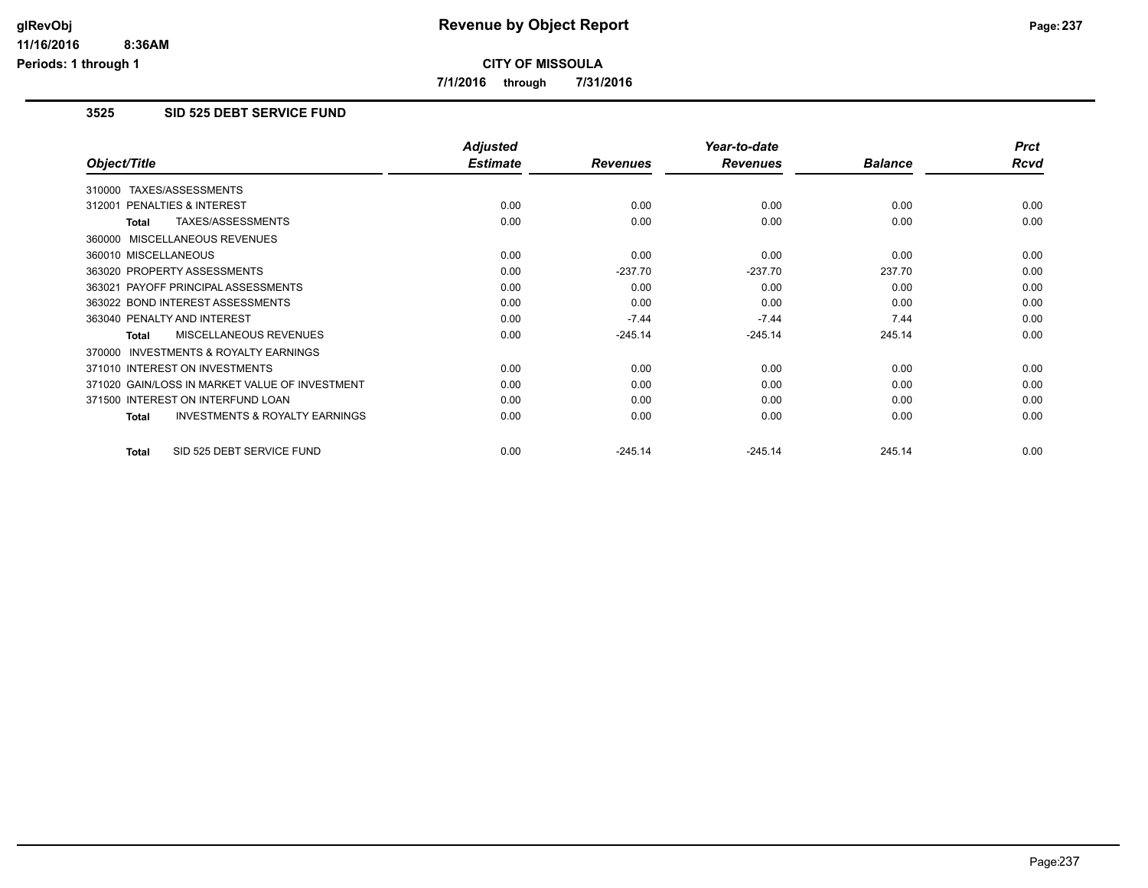**CITY OF MISSOULA**

**7/1/2016 through 7/31/2016**

#### **3525 SID 525 DEBT SERVICE FUND**

|                                                           | <b>Adjusted</b> |                 | Year-to-date    |                | <b>Prct</b> |
|-----------------------------------------------------------|-----------------|-----------------|-----------------|----------------|-------------|
| Object/Title                                              | <b>Estimate</b> | <b>Revenues</b> | <b>Revenues</b> | <b>Balance</b> | <b>Rcvd</b> |
| TAXES/ASSESSMENTS<br>310000                               |                 |                 |                 |                |             |
| PENALTIES & INTEREST<br>312001                            | 0.00            | 0.00            | 0.00            | 0.00           | 0.00        |
| TAXES/ASSESSMENTS<br>Total                                | 0.00            | 0.00            | 0.00            | 0.00           | 0.00        |
| 360000 MISCELLANEOUS REVENUES                             |                 |                 |                 |                |             |
| 360010 MISCELLANEOUS                                      | 0.00            | 0.00            | 0.00            | 0.00           | 0.00        |
| 363020 PROPERTY ASSESSMENTS                               | 0.00            | $-237.70$       | $-237.70$       | 237.70         | 0.00        |
| 363021 PAYOFF PRINCIPAL ASSESSMENTS                       | 0.00            | 0.00            | 0.00            | 0.00           | 0.00        |
| 363022 BOND INTEREST ASSESSMENTS                          | 0.00            | 0.00            | 0.00            | 0.00           | 0.00        |
| 363040 PENALTY AND INTEREST                               | 0.00            | $-7.44$         | $-7.44$         | 7.44           | 0.00        |
| MISCELLANEOUS REVENUES<br>Total                           | 0.00            | $-245.14$       | $-245.14$       | 245.14         | 0.00        |
| 370000 INVESTMENTS & ROYALTY EARNINGS                     |                 |                 |                 |                |             |
| 371010 INTEREST ON INVESTMENTS                            | 0.00            | 0.00            | 0.00            | 0.00           | 0.00        |
| 371020 GAIN/LOSS IN MARKET VALUE OF INVESTMENT            | 0.00            | 0.00            | 0.00            | 0.00           | 0.00        |
| 371500 INTEREST ON INTERFUND LOAN                         | 0.00            | 0.00            | 0.00            | 0.00           | 0.00        |
| <b>INVESTMENTS &amp; ROYALTY EARNINGS</b><br><b>Total</b> | 0.00            | 0.00            | 0.00            | 0.00           | 0.00        |
| SID 525 DEBT SERVICE FUND<br>Total                        | 0.00            | $-245.14$       | $-245.14$       | 245.14         | 0.00        |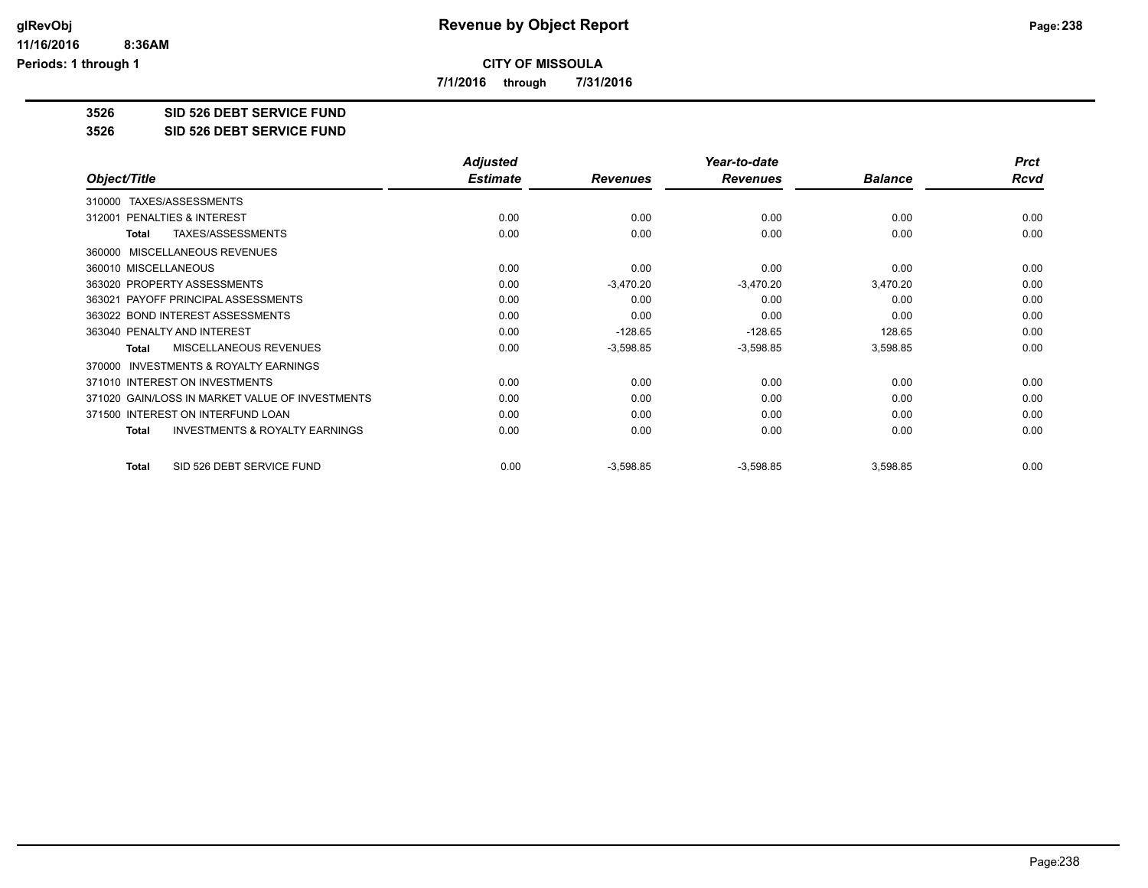**glRevObj Revenue by Object Report Page:238** 

**CITY OF MISSOULA**

**7/1/2016 through 7/31/2016**

**3526 SID 526 DEBT SERVICE FUND**

 **8:36AM**

**3526 SID 526 DEBT SERVICE FUND**

|                                                           | <b>Adjusted</b> |                 | Year-to-date    |                | <b>Prct</b> |
|-----------------------------------------------------------|-----------------|-----------------|-----------------|----------------|-------------|
| Object/Title                                              | <b>Estimate</b> | <b>Revenues</b> | <b>Revenues</b> | <b>Balance</b> | <b>Rcvd</b> |
| TAXES/ASSESSMENTS<br>310000                               |                 |                 |                 |                |             |
| <b>PENALTIES &amp; INTEREST</b><br>312001                 | 0.00            | 0.00            | 0.00            | 0.00           | 0.00        |
| TAXES/ASSESSMENTS<br>Total                                | 0.00            | 0.00            | 0.00            | 0.00           | 0.00        |
| MISCELLANEOUS REVENUES<br>360000                          |                 |                 |                 |                |             |
| 360010 MISCELLANEOUS                                      | 0.00            | 0.00            | 0.00            | 0.00           | 0.00        |
| 363020 PROPERTY ASSESSMENTS                               | 0.00            | $-3,470.20$     | $-3,470.20$     | 3,470.20       | 0.00        |
| 363021 PAYOFF PRINCIPAL ASSESSMENTS                       | 0.00            | 0.00            | 0.00            | 0.00           | 0.00        |
| 363022 BOND INTEREST ASSESSMENTS                          | 0.00            | 0.00            | 0.00            | 0.00           | 0.00        |
| 363040 PENALTY AND INTEREST                               | 0.00            | $-128.65$       | $-128.65$       | 128.65         | 0.00        |
| <b>MISCELLANEOUS REVENUES</b><br><b>Total</b>             | 0.00            | $-3,598.85$     | $-3,598.85$     | 3,598.85       | 0.00        |
| <b>INVESTMENTS &amp; ROYALTY EARNINGS</b><br>370000       |                 |                 |                 |                |             |
| 371010 INTEREST ON INVESTMENTS                            | 0.00            | 0.00            | 0.00            | 0.00           | 0.00        |
| 371020 GAIN/LOSS IN MARKET VALUE OF INVESTMENTS           | 0.00            | 0.00            | 0.00            | 0.00           | 0.00        |
| 371500 INTEREST ON INTERFUND LOAN                         | 0.00            | 0.00            | 0.00            | 0.00           | 0.00        |
| <b>INVESTMENTS &amp; ROYALTY EARNINGS</b><br><b>Total</b> | 0.00            | 0.00            | 0.00            | 0.00           | 0.00        |
| SID 526 DEBT SERVICE FUND<br><b>Total</b>                 | 0.00            | $-3,598.85$     | $-3,598.85$     | 3,598.85       | 0.00        |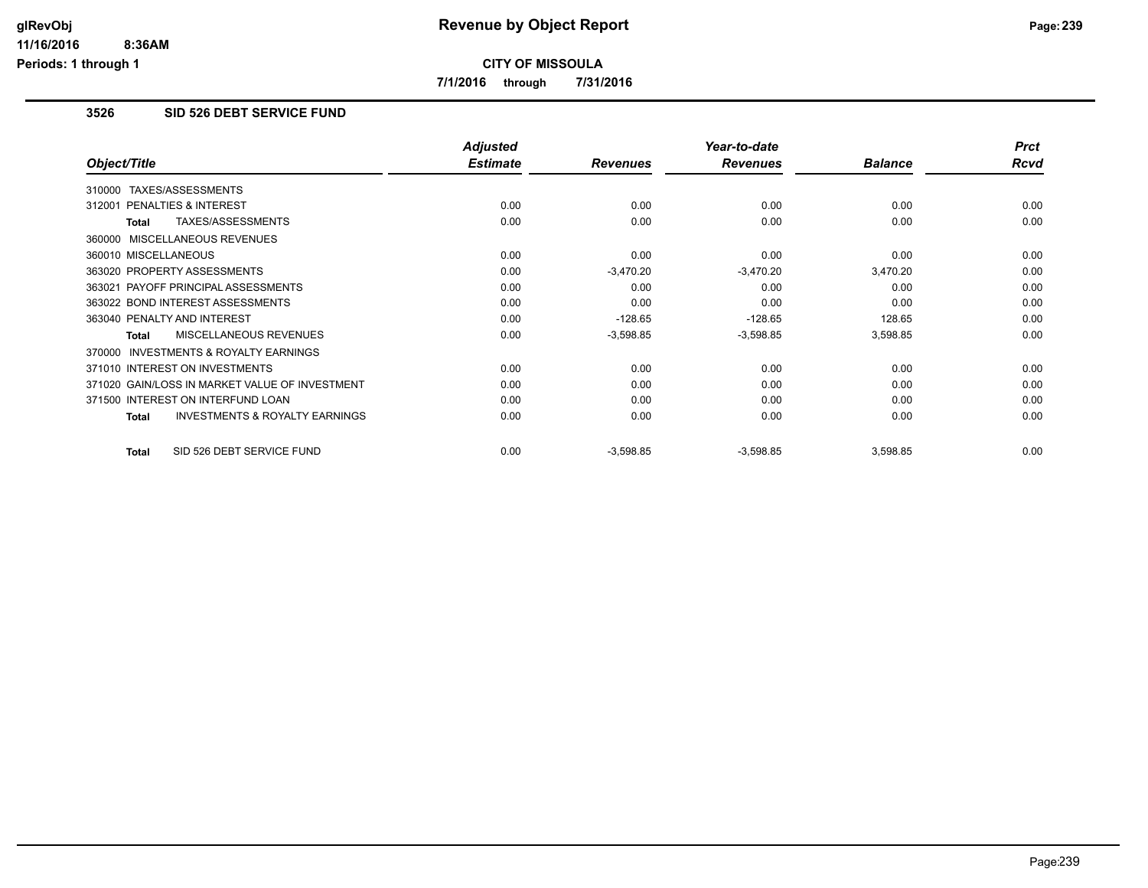**CITY OF MISSOULA**

**7/1/2016 through 7/31/2016**

### **3526 SID 526 DEBT SERVICE FUND**

|                                                           | <b>Adjusted</b> |                 | Year-to-date    |                | <b>Prct</b> |
|-----------------------------------------------------------|-----------------|-----------------|-----------------|----------------|-------------|
| Object/Title                                              | <b>Estimate</b> | <b>Revenues</b> | <b>Revenues</b> | <b>Balance</b> | <b>Rcvd</b> |
| TAXES/ASSESSMENTS<br>310000                               |                 |                 |                 |                |             |
| PENALTIES & INTEREST<br>312001                            | 0.00            | 0.00            | 0.00            | 0.00           | 0.00        |
| TAXES/ASSESSMENTS<br><b>Total</b>                         | 0.00            | 0.00            | 0.00            | 0.00           | 0.00        |
| 360000 MISCELLANEOUS REVENUES                             |                 |                 |                 |                |             |
| 360010 MISCELLANEOUS                                      | 0.00            | 0.00            | 0.00            | 0.00           | 0.00        |
| 363020 PROPERTY ASSESSMENTS                               | 0.00            | $-3,470.20$     | $-3,470.20$     | 3,470.20       | 0.00        |
| 363021 PAYOFF PRINCIPAL ASSESSMENTS                       | 0.00            | 0.00            | 0.00            | 0.00           | 0.00        |
| 363022 BOND INTEREST ASSESSMENTS                          | 0.00            | 0.00            | 0.00            | 0.00           | 0.00        |
| 363040 PENALTY AND INTEREST                               | 0.00            | $-128.65$       | $-128.65$       | 128.65         | 0.00        |
| <b>MISCELLANEOUS REVENUES</b><br><b>Total</b>             | 0.00            | $-3,598.85$     | $-3,598.85$     | 3,598.85       | 0.00        |
| <b>INVESTMENTS &amp; ROYALTY EARNINGS</b><br>370000       |                 |                 |                 |                |             |
| 371010 INTEREST ON INVESTMENTS                            | 0.00            | 0.00            | 0.00            | 0.00           | 0.00        |
| 371020 GAIN/LOSS IN MARKET VALUE OF INVESTMENT            | 0.00            | 0.00            | 0.00            | 0.00           | 0.00        |
| 371500 INTEREST ON INTERFUND LOAN                         | 0.00            | 0.00            | 0.00            | 0.00           | 0.00        |
| <b>INVESTMENTS &amp; ROYALTY EARNINGS</b><br><b>Total</b> | 0.00            | 0.00            | 0.00            | 0.00           | 0.00        |
| SID 526 DEBT SERVICE FUND<br><b>Total</b>                 | 0.00            | $-3,598.85$     | $-3,598.85$     | 3,598.85       | 0.00        |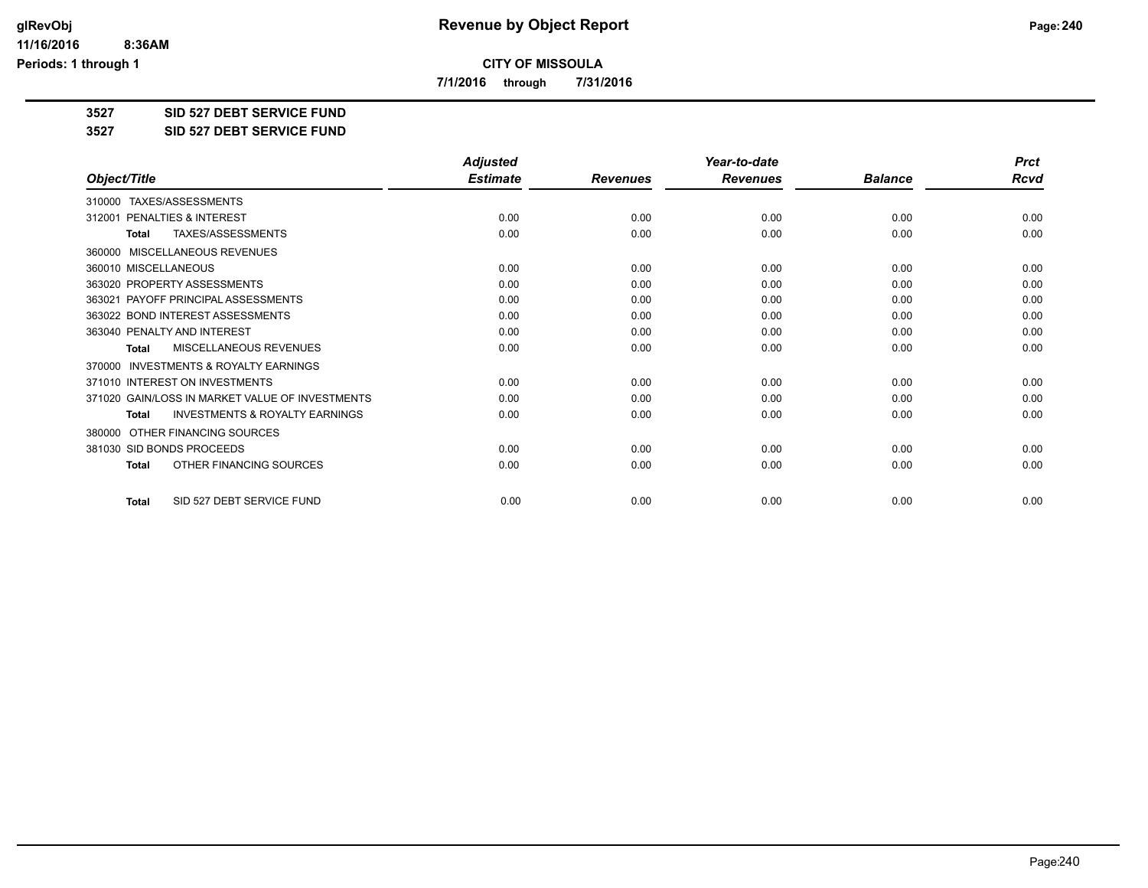**glRevObj Revenue by Object Report Page:240** 

**CITY OF MISSOULA**

**7/1/2016 through 7/31/2016**

**3527 SID 527 DEBT SERVICE FUND**

 **8:36AM**

**3527 SID 527 DEBT SERVICE FUND**

|                                                           | <b>Adjusted</b> |                 | Year-to-date    |                | <b>Prct</b> |
|-----------------------------------------------------------|-----------------|-----------------|-----------------|----------------|-------------|
| Object/Title                                              | <b>Estimate</b> | <b>Revenues</b> | <b>Revenues</b> | <b>Balance</b> | <b>Rcvd</b> |
| TAXES/ASSESSMENTS<br>310000                               |                 |                 |                 |                |             |
| PENALTIES & INTEREST<br>312001                            | 0.00            | 0.00            | 0.00            | 0.00           | 0.00        |
| TAXES/ASSESSMENTS<br><b>Total</b>                         | 0.00            | 0.00            | 0.00            | 0.00           | 0.00        |
| MISCELLANEOUS REVENUES<br>360000                          |                 |                 |                 |                |             |
| 360010 MISCELLANEOUS                                      | 0.00            | 0.00            | 0.00            | 0.00           | 0.00        |
| 363020 PROPERTY ASSESSMENTS                               | 0.00            | 0.00            | 0.00            | 0.00           | 0.00        |
| 363021 PAYOFF PRINCIPAL ASSESSMENTS                       | 0.00            | 0.00            | 0.00            | 0.00           | 0.00        |
| 363022 BOND INTEREST ASSESSMENTS                          | 0.00            | 0.00            | 0.00            | 0.00           | 0.00        |
| 363040 PENALTY AND INTEREST                               | 0.00            | 0.00            | 0.00            | 0.00           | 0.00        |
| MISCELLANEOUS REVENUES<br>Total                           | 0.00            | 0.00            | 0.00            | 0.00           | 0.00        |
| <b>INVESTMENTS &amp; ROYALTY EARNINGS</b><br>370000       |                 |                 |                 |                |             |
| 371010 INTEREST ON INVESTMENTS                            | 0.00            | 0.00            | 0.00            | 0.00           | 0.00        |
| 371020 GAIN/LOSS IN MARKET VALUE OF INVESTMENTS           | 0.00            | 0.00            | 0.00            | 0.00           | 0.00        |
| <b>INVESTMENTS &amp; ROYALTY EARNINGS</b><br><b>Total</b> | 0.00            | 0.00            | 0.00            | 0.00           | 0.00        |
| OTHER FINANCING SOURCES<br>380000                         |                 |                 |                 |                |             |
| 381030 SID BONDS PROCEEDS                                 | 0.00            | 0.00            | 0.00            | 0.00           | 0.00        |
| OTHER FINANCING SOURCES<br><b>Total</b>                   | 0.00            | 0.00            | 0.00            | 0.00           | 0.00        |
| SID 527 DEBT SERVICE FUND<br><b>Total</b>                 | 0.00            | 0.00            | 0.00            | 0.00           | 0.00        |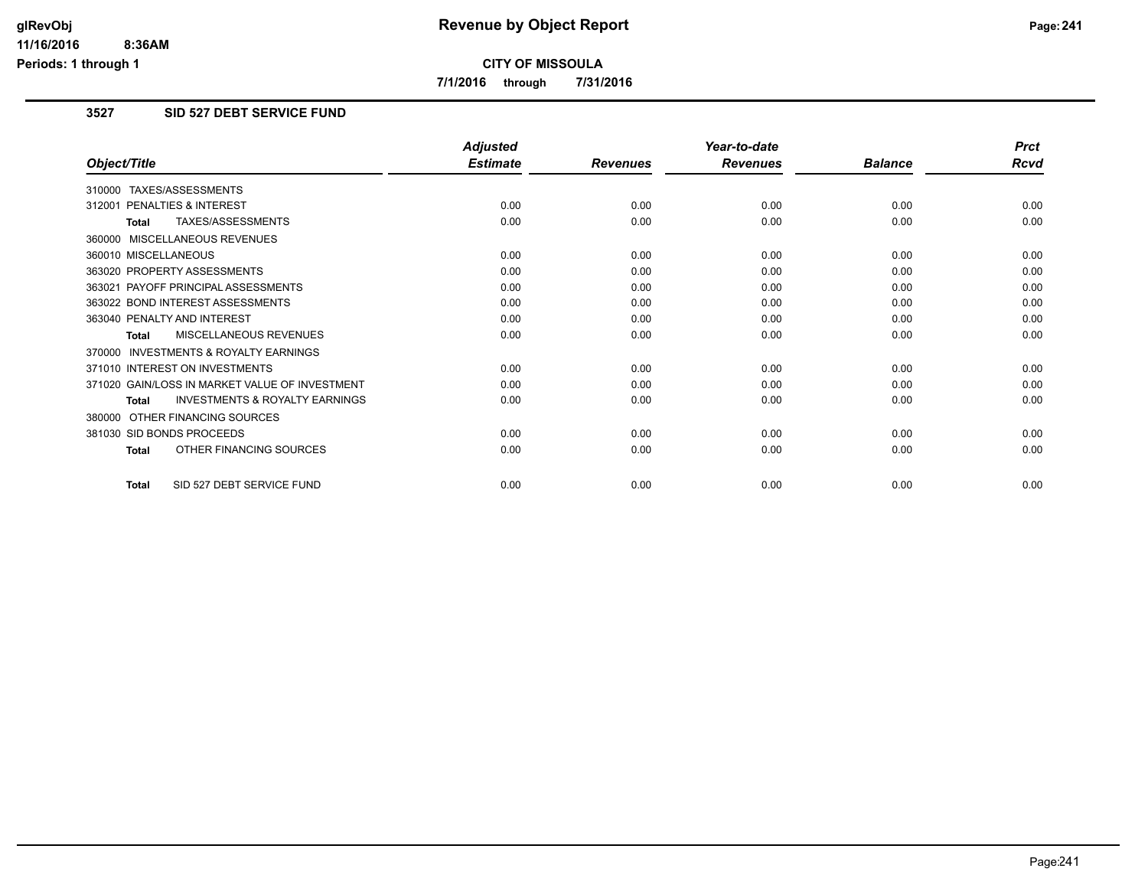**CITY OF MISSOULA**

**7/1/2016 through 7/31/2016**

# **3527 SID 527 DEBT SERVICE FUND**

|                                                           | <b>Adjusted</b> |                 | Year-to-date    |                | <b>Prct</b> |
|-----------------------------------------------------------|-----------------|-----------------|-----------------|----------------|-------------|
| Object/Title                                              | <b>Estimate</b> | <b>Revenues</b> | <b>Revenues</b> | <b>Balance</b> | <b>Rcvd</b> |
| 310000 TAXES/ASSESSMENTS                                  |                 |                 |                 |                |             |
| PENALTIES & INTEREST<br>312001                            | 0.00            | 0.00            | 0.00            | 0.00           | 0.00        |
| TAXES/ASSESSMENTS<br><b>Total</b>                         | 0.00            | 0.00            | 0.00            | 0.00           | 0.00        |
| 360000 MISCELLANEOUS REVENUES                             |                 |                 |                 |                |             |
| 360010 MISCELLANEOUS                                      | 0.00            | 0.00            | 0.00            | 0.00           | 0.00        |
| 363020 PROPERTY ASSESSMENTS                               | 0.00            | 0.00            | 0.00            | 0.00           | 0.00        |
| 363021 PAYOFF PRINCIPAL ASSESSMENTS                       | 0.00            | 0.00            | 0.00            | 0.00           | 0.00        |
| 363022 BOND INTEREST ASSESSMENTS                          | 0.00            | 0.00            | 0.00            | 0.00           | 0.00        |
| 363040 PENALTY AND INTEREST                               | 0.00            | 0.00            | 0.00            | 0.00           | 0.00        |
| MISCELLANEOUS REVENUES<br><b>Total</b>                    | 0.00            | 0.00            | 0.00            | 0.00           | 0.00        |
| 370000 INVESTMENTS & ROYALTY EARNINGS                     |                 |                 |                 |                |             |
| 371010 INTEREST ON INVESTMENTS                            | 0.00            | 0.00            | 0.00            | 0.00           | 0.00        |
| 371020 GAIN/LOSS IN MARKET VALUE OF INVESTMENT            | 0.00            | 0.00            | 0.00            | 0.00           | 0.00        |
| <b>INVESTMENTS &amp; ROYALTY EARNINGS</b><br><b>Total</b> | 0.00            | 0.00            | 0.00            | 0.00           | 0.00        |
| 380000 OTHER FINANCING SOURCES                            |                 |                 |                 |                |             |
| 381030 SID BONDS PROCEEDS                                 | 0.00            | 0.00            | 0.00            | 0.00           | 0.00        |
| OTHER FINANCING SOURCES<br><b>Total</b>                   | 0.00            | 0.00            | 0.00            | 0.00           | 0.00        |
| SID 527 DEBT SERVICE FUND<br><b>Total</b>                 | 0.00            | 0.00            | 0.00            | 0.00           | 0.00        |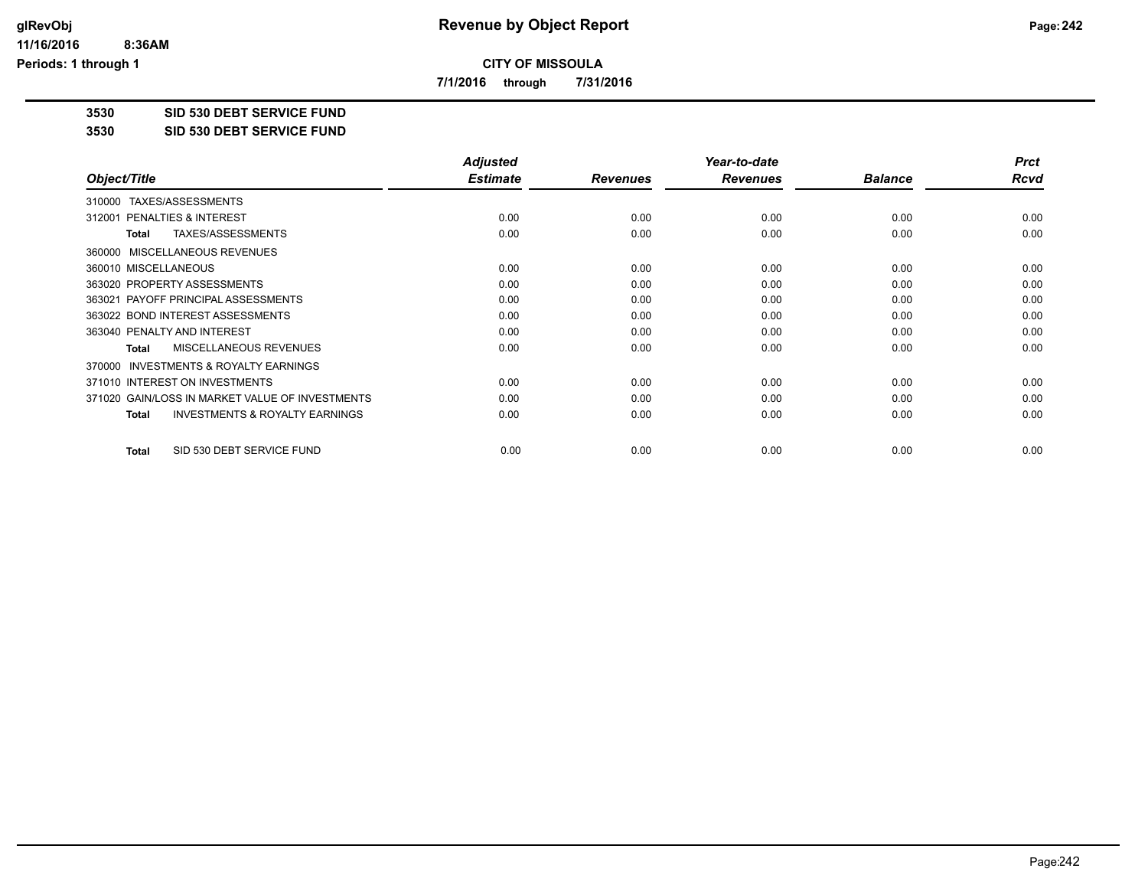**glRevObj Revenue by Object Report Page:242** 

**CITY OF MISSOULA**

**7/1/2016 through 7/31/2016**

**3530 SID 530 DEBT SERVICE FUND**

 **8:36AM**

**3530 SID 530 DEBT SERVICE FUND**

| <b>Adjusted</b> |                 | Year-to-date    |                | <b>Prct</b> |
|-----------------|-----------------|-----------------|----------------|-------------|
| <b>Estimate</b> | <b>Revenues</b> | <b>Revenues</b> | <b>Balance</b> | Rcvd        |
|                 |                 |                 |                |             |
| 0.00            | 0.00            | 0.00            | 0.00           | 0.00        |
| 0.00            | 0.00            | 0.00            | 0.00           | 0.00        |
|                 |                 |                 |                |             |
| 0.00            | 0.00            | 0.00            | 0.00           | 0.00        |
| 0.00            | 0.00            | 0.00            | 0.00           | 0.00        |
| 0.00            | 0.00            | 0.00            | 0.00           | 0.00        |
| 0.00            | 0.00            | 0.00            | 0.00           | 0.00        |
| 0.00            | 0.00            | 0.00            | 0.00           | 0.00        |
| 0.00            | 0.00            | 0.00            | 0.00           | 0.00        |
|                 |                 |                 |                |             |
| 0.00            | 0.00            | 0.00            | 0.00           | 0.00        |
| 0.00            | 0.00            | 0.00            | 0.00           | 0.00        |
| 0.00            | 0.00            | 0.00            | 0.00           | 0.00        |
| 0.00            | 0.00            | 0.00            | 0.00           | 0.00        |
|                 |                 |                 |                |             |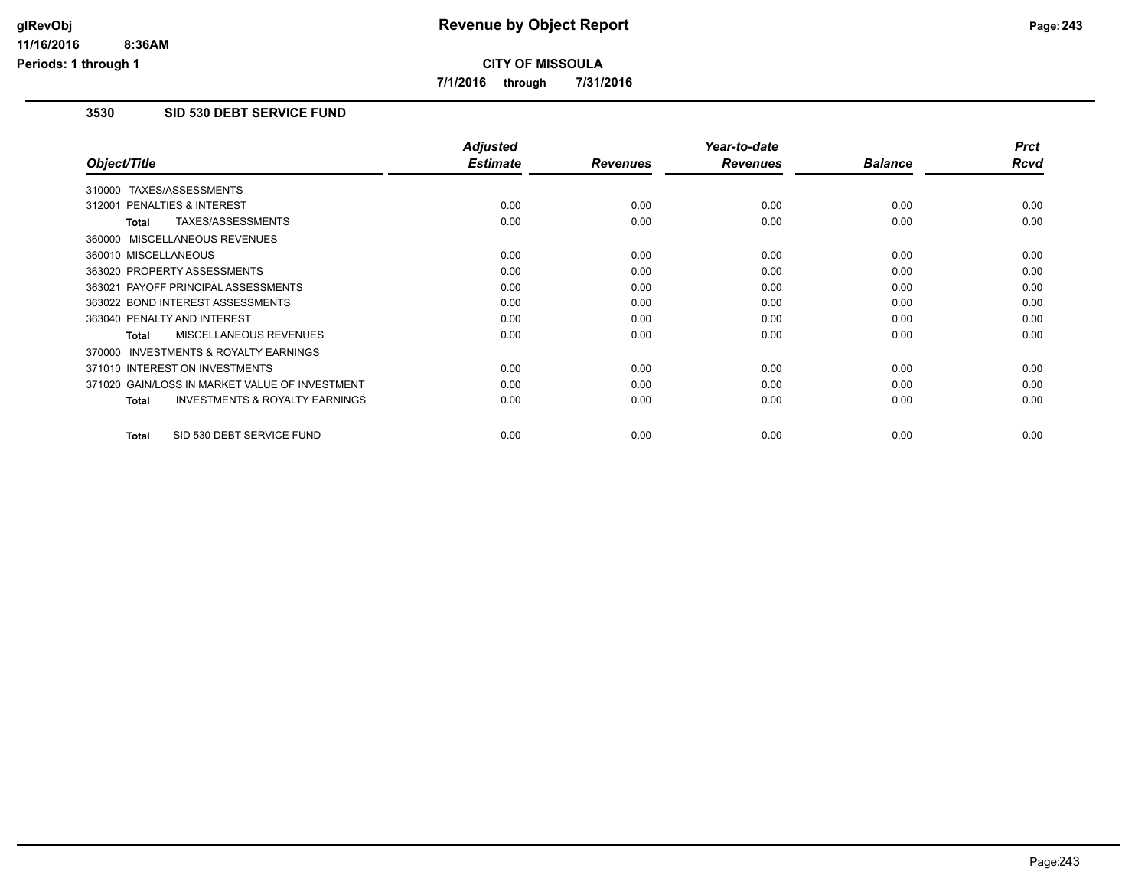**CITY OF MISSOULA**

**7/1/2016 through 7/31/2016**

### **3530 SID 530 DEBT SERVICE FUND**

|                                                           | <b>Adjusted</b> |                 | Year-to-date    |                | <b>Prct</b> |
|-----------------------------------------------------------|-----------------|-----------------|-----------------|----------------|-------------|
| Object/Title                                              | <b>Estimate</b> | <b>Revenues</b> | <b>Revenues</b> | <b>Balance</b> | <b>Rcvd</b> |
| 310000 TAXES/ASSESSMENTS                                  |                 |                 |                 |                |             |
| 312001 PENALTIES & INTEREST                               | 0.00            | 0.00            | 0.00            | 0.00           | 0.00        |
| <b>TAXES/ASSESSMENTS</b><br><b>Total</b>                  | 0.00            | 0.00            | 0.00            | 0.00           | 0.00        |
| 360000 MISCELLANEOUS REVENUES                             |                 |                 |                 |                |             |
| 360010 MISCELLANEOUS                                      | 0.00            | 0.00            | 0.00            | 0.00           | 0.00        |
| 363020 PROPERTY ASSESSMENTS                               | 0.00            | 0.00            | 0.00            | 0.00           | 0.00        |
| 363021 PAYOFF PRINCIPAL ASSESSMENTS                       | 0.00            | 0.00            | 0.00            | 0.00           | 0.00        |
| 363022 BOND INTEREST ASSESSMENTS                          | 0.00            | 0.00            | 0.00            | 0.00           | 0.00        |
| 363040 PENALTY AND INTEREST                               | 0.00            | 0.00            | 0.00            | 0.00           | 0.00        |
| MISCELLANEOUS REVENUES<br>Total                           | 0.00            | 0.00            | 0.00            | 0.00           | 0.00        |
| <b>INVESTMENTS &amp; ROYALTY EARNINGS</b><br>370000       |                 |                 |                 |                |             |
| 371010 INTEREST ON INVESTMENTS                            | 0.00            | 0.00            | 0.00            | 0.00           | 0.00        |
| 371020 GAIN/LOSS IN MARKET VALUE OF INVESTMENT            | 0.00            | 0.00            | 0.00            | 0.00           | 0.00        |
| <b>INVESTMENTS &amp; ROYALTY EARNINGS</b><br><b>Total</b> | 0.00            | 0.00            | 0.00            | 0.00           | 0.00        |
|                                                           |                 |                 |                 |                |             |
| SID 530 DEBT SERVICE FUND<br><b>Total</b>                 | 0.00            | 0.00            | 0.00            | 0.00           | 0.00        |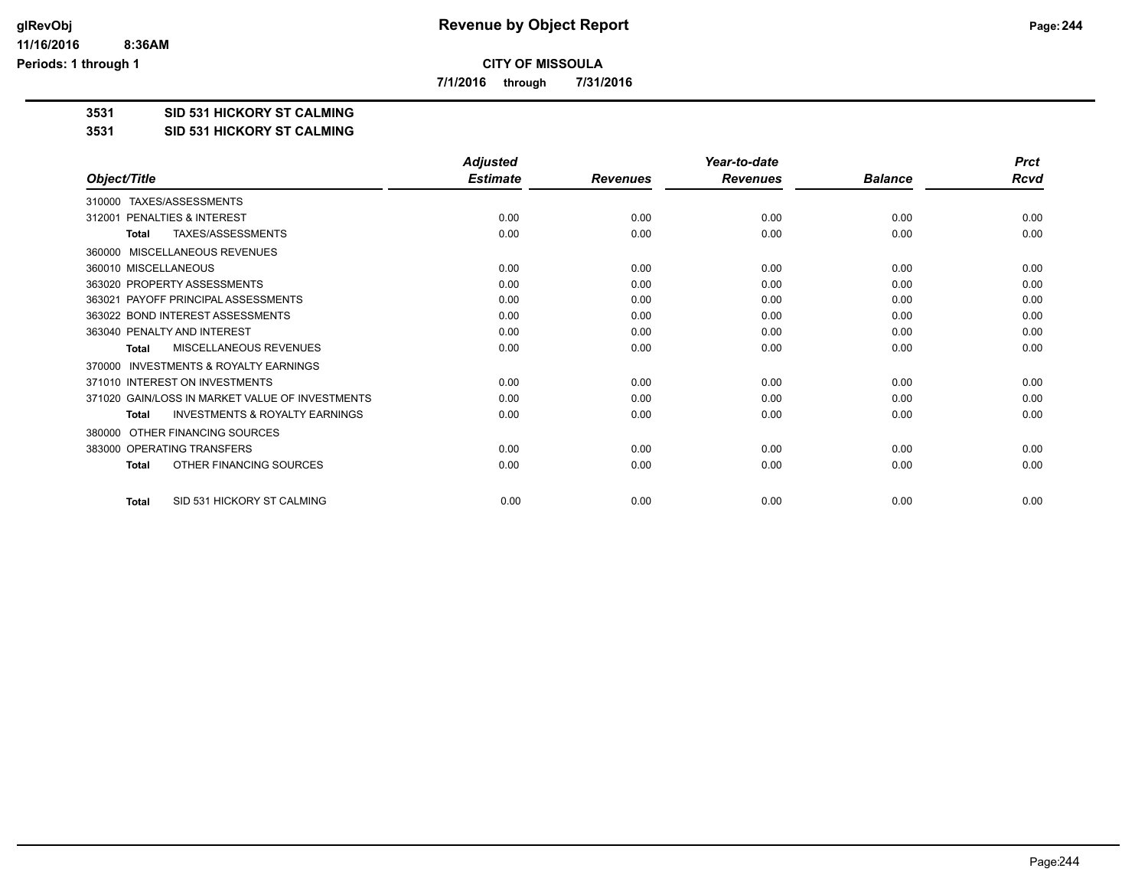**glRevObj Revenue by Object Report Page:244** 

**CITY OF MISSOULA**

**7/1/2016 through 7/31/2016**

**3531 SID 531 HICKORY ST CALMING**

 **8:36AM**

**3531 SID 531 HICKORY ST CALMING**

|                                                           | <b>Adjusted</b> |                 | Year-to-date    |                | <b>Prct</b> |
|-----------------------------------------------------------|-----------------|-----------------|-----------------|----------------|-------------|
| Object/Title                                              | <b>Estimate</b> | <b>Revenues</b> | <b>Revenues</b> | <b>Balance</b> | Rcvd        |
| TAXES/ASSESSMENTS<br>310000                               |                 |                 |                 |                |             |
| PENALTIES & INTEREST<br>312001                            | 0.00            | 0.00            | 0.00            | 0.00           | 0.00        |
| TAXES/ASSESSMENTS<br><b>Total</b>                         | 0.00            | 0.00            | 0.00            | 0.00           | 0.00        |
| MISCELLANEOUS REVENUES<br>360000                          |                 |                 |                 |                |             |
| 360010 MISCELLANEOUS                                      | 0.00            | 0.00            | 0.00            | 0.00           | 0.00        |
| 363020 PROPERTY ASSESSMENTS                               | 0.00            | 0.00            | 0.00            | 0.00           | 0.00        |
| 363021 PAYOFF PRINCIPAL ASSESSMENTS                       | 0.00            | 0.00            | 0.00            | 0.00           | 0.00        |
| 363022 BOND INTEREST ASSESSMENTS                          | 0.00            | 0.00            | 0.00            | 0.00           | 0.00        |
| 363040 PENALTY AND INTEREST                               | 0.00            | 0.00            | 0.00            | 0.00           | 0.00        |
| MISCELLANEOUS REVENUES<br><b>Total</b>                    | 0.00            | 0.00            | 0.00            | 0.00           | 0.00        |
| <b>INVESTMENTS &amp; ROYALTY EARNINGS</b><br>370000       |                 |                 |                 |                |             |
| 371010 INTEREST ON INVESTMENTS                            | 0.00            | 0.00            | 0.00            | 0.00           | 0.00        |
| 371020 GAIN/LOSS IN MARKET VALUE OF INVESTMENTS           | 0.00            | 0.00            | 0.00            | 0.00           | 0.00        |
| <b>INVESTMENTS &amp; ROYALTY EARNINGS</b><br><b>Total</b> | 0.00            | 0.00            | 0.00            | 0.00           | 0.00        |
| OTHER FINANCING SOURCES<br>380000                         |                 |                 |                 |                |             |
| 383000 OPERATING TRANSFERS                                | 0.00            | 0.00            | 0.00            | 0.00           | 0.00        |
| OTHER FINANCING SOURCES<br><b>Total</b>                   | 0.00            | 0.00            | 0.00            | 0.00           | 0.00        |
| SID 531 HICKORY ST CALMING<br><b>Total</b>                | 0.00            | 0.00            | 0.00            | 0.00           | 0.00        |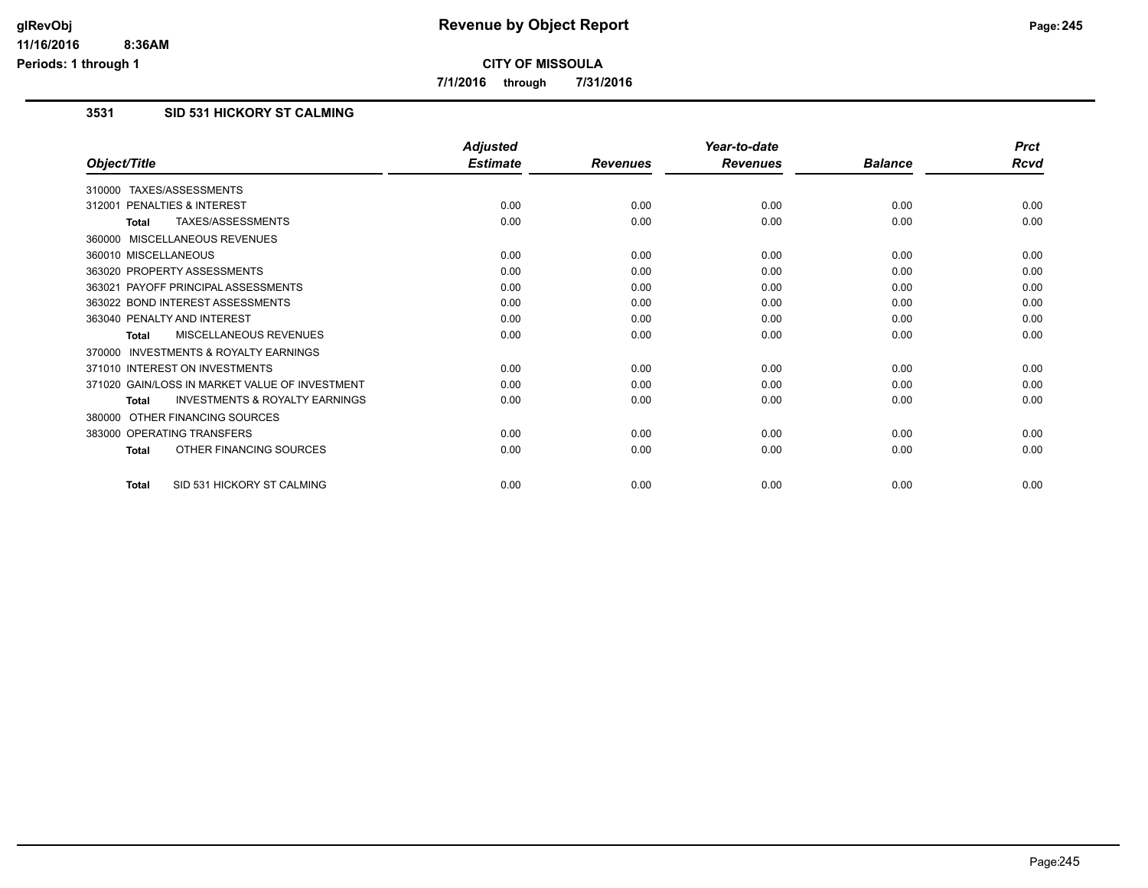**CITY OF MISSOULA**

**7/1/2016 through 7/31/2016**

# **3531 SID 531 HICKORY ST CALMING**

|                                                           | <b>Adjusted</b> |                 | Year-to-date    |                | <b>Prct</b> |
|-----------------------------------------------------------|-----------------|-----------------|-----------------|----------------|-------------|
| Object/Title                                              | <b>Estimate</b> | <b>Revenues</b> | <b>Revenues</b> | <b>Balance</b> | <b>Rcvd</b> |
| 310000 TAXES/ASSESSMENTS                                  |                 |                 |                 |                |             |
| PENALTIES & INTEREST<br>312001                            | 0.00            | 0.00            | 0.00            | 0.00           | 0.00        |
| TAXES/ASSESSMENTS<br><b>Total</b>                         | 0.00            | 0.00            | 0.00            | 0.00           | 0.00        |
| 360000 MISCELLANEOUS REVENUES                             |                 |                 |                 |                |             |
| 360010 MISCELLANEOUS                                      | 0.00            | 0.00            | 0.00            | 0.00           | 0.00        |
| 363020 PROPERTY ASSESSMENTS                               | 0.00            | 0.00            | 0.00            | 0.00           | 0.00        |
| 363021 PAYOFF PRINCIPAL ASSESSMENTS                       | 0.00            | 0.00            | 0.00            | 0.00           | 0.00        |
| 363022 BOND INTEREST ASSESSMENTS                          | 0.00            | 0.00            | 0.00            | 0.00           | 0.00        |
| 363040 PENALTY AND INTEREST                               | 0.00            | 0.00            | 0.00            | 0.00           | 0.00        |
| MISCELLANEOUS REVENUES<br><b>Total</b>                    | 0.00            | 0.00            | 0.00            | 0.00           | 0.00        |
| 370000 INVESTMENTS & ROYALTY EARNINGS                     |                 |                 |                 |                |             |
| 371010 INTEREST ON INVESTMENTS                            | 0.00            | 0.00            | 0.00            | 0.00           | 0.00        |
| 371020 GAIN/LOSS IN MARKET VALUE OF INVESTMENT            | 0.00            | 0.00            | 0.00            | 0.00           | 0.00        |
| <b>INVESTMENTS &amp; ROYALTY EARNINGS</b><br><b>Total</b> | 0.00            | 0.00            | 0.00            | 0.00           | 0.00        |
| 380000 OTHER FINANCING SOURCES                            |                 |                 |                 |                |             |
| 383000 OPERATING TRANSFERS                                | 0.00            | 0.00            | 0.00            | 0.00           | 0.00        |
| OTHER FINANCING SOURCES<br><b>Total</b>                   | 0.00            | 0.00            | 0.00            | 0.00           | 0.00        |
| SID 531 HICKORY ST CALMING<br><b>Total</b>                | 0.00            | 0.00            | 0.00            | 0.00           | 0.00        |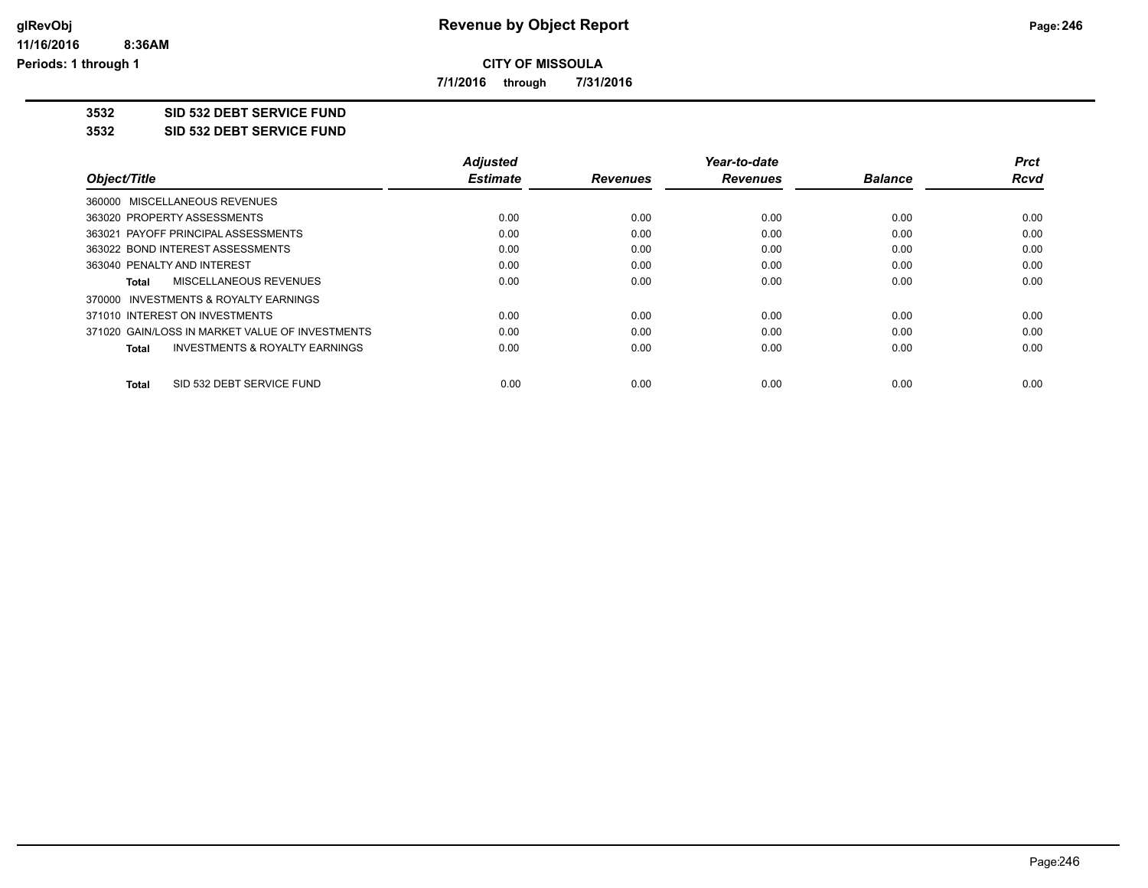**CITY OF MISSOULA**

**7/1/2016 through 7/31/2016**

**3532 SID 532 DEBT SERVICE FUND**

**3532 SID 532 DEBT SERVICE FUND**

|                                                           | <b>Adiusted</b> |                 | Year-to-date    |                | <b>Prct</b> |
|-----------------------------------------------------------|-----------------|-----------------|-----------------|----------------|-------------|
| Object/Title                                              | <b>Estimate</b> | <b>Revenues</b> | <b>Revenues</b> | <b>Balance</b> | Rcvd        |
| 360000 MISCELLANEOUS REVENUES                             |                 |                 |                 |                |             |
| 363020 PROPERTY ASSESSMENTS                               | 0.00            | 0.00            | 0.00            | 0.00           | 0.00        |
| 363021 PAYOFF PRINCIPAL ASSESSMENTS                       | 0.00            | 0.00            | 0.00            | 0.00           | 0.00        |
| 363022 BOND INTEREST ASSESSMENTS                          | 0.00            | 0.00            | 0.00            | 0.00           | 0.00        |
| 363040 PENALTY AND INTEREST                               | 0.00            | 0.00            | 0.00            | 0.00           | 0.00        |
| MISCELLANEOUS REVENUES<br>Total                           | 0.00            | 0.00            | 0.00            | 0.00           | 0.00        |
| 370000 INVESTMENTS & ROYALTY EARNINGS                     |                 |                 |                 |                |             |
| 371010 INTEREST ON INVESTMENTS                            | 0.00            | 0.00            | 0.00            | 0.00           | 0.00        |
| 371020 GAIN/LOSS IN MARKET VALUE OF INVESTMENTS           | 0.00            | 0.00            | 0.00            | 0.00           | 0.00        |
| <b>INVESTMENTS &amp; ROYALTY EARNINGS</b><br><b>Total</b> | 0.00            | 0.00            | 0.00            | 0.00           | 0.00        |
| SID 532 DEBT SERVICE FUND<br><b>Total</b>                 | 0.00            | 0.00            | 0.00            | 0.00           | 0.00        |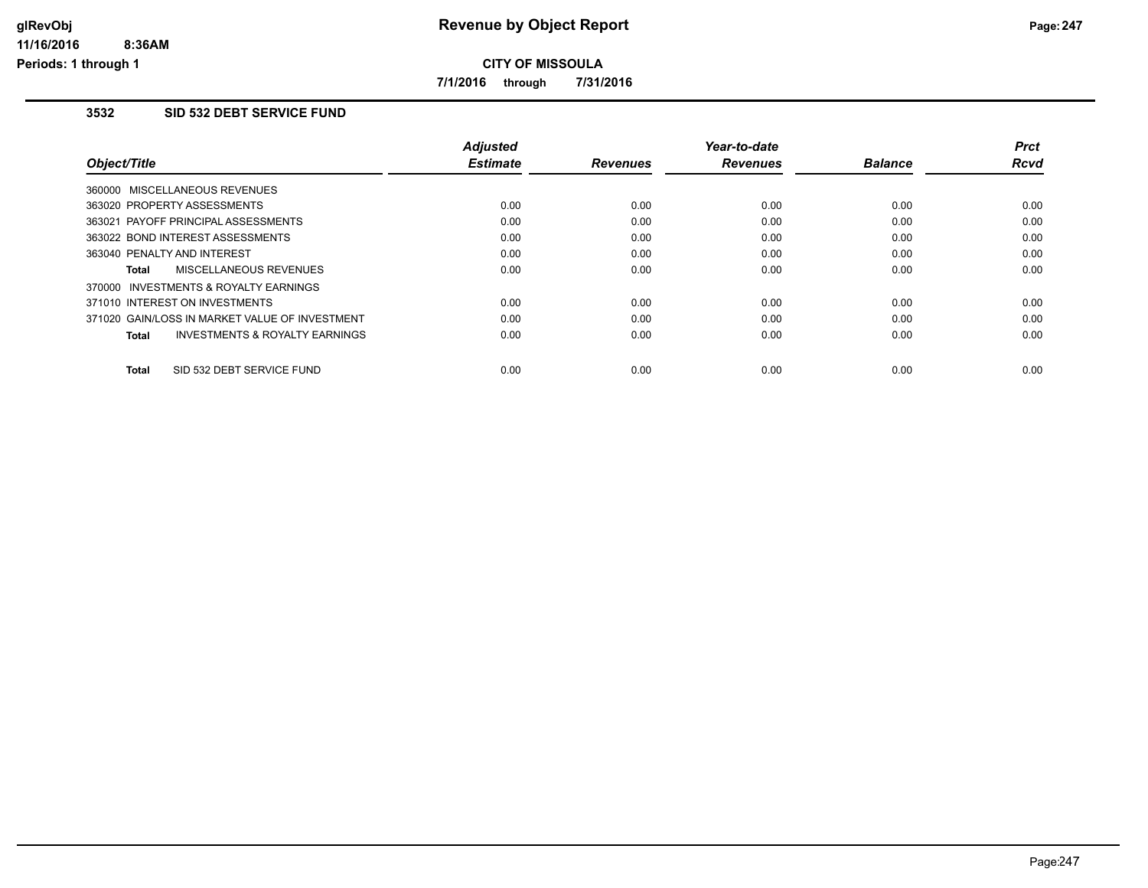**CITY OF MISSOULA**

**7/1/2016 through 7/31/2016**

# **3532 SID 532 DEBT SERVICE FUND**

|                                                | <b>Adjusted</b> |                 | Year-to-date    |                | <b>Prct</b> |
|------------------------------------------------|-----------------|-----------------|-----------------|----------------|-------------|
| Object/Title                                   | <b>Estimate</b> | <b>Revenues</b> | <b>Revenues</b> | <b>Balance</b> | Rcvd        |
| 360000 MISCELLANEOUS REVENUES                  |                 |                 |                 |                |             |
| 363020 PROPERTY ASSESSMENTS                    | 0.00            | 0.00            | 0.00            | 0.00           | 0.00        |
| 363021 PAYOFF PRINCIPAL ASSESSMENTS            | 0.00            | 0.00            | 0.00            | 0.00           | 0.00        |
| 363022 BOND INTEREST ASSESSMENTS               | 0.00            | 0.00            | 0.00            | 0.00           | 0.00        |
| 363040 PENALTY AND INTEREST                    | 0.00            | 0.00            | 0.00            | 0.00           | 0.00        |
| MISCELLANEOUS REVENUES<br><b>Total</b>         | 0.00            | 0.00            | 0.00            | 0.00           | 0.00        |
| 370000 INVESTMENTS & ROYALTY EARNINGS          |                 |                 |                 |                |             |
| 371010 INTEREST ON INVESTMENTS                 | 0.00            | 0.00            | 0.00            | 0.00           | 0.00        |
| 371020 GAIN/LOSS IN MARKET VALUE OF INVESTMENT | 0.00            | 0.00            | 0.00            | 0.00           | 0.00        |
| INVESTMENTS & ROYALTY EARNINGS<br><b>Total</b> | 0.00            | 0.00            | 0.00            | 0.00           | 0.00        |
|                                                |                 |                 |                 |                |             |
| SID 532 DEBT SERVICE FUND<br><b>Total</b>      | 0.00            | 0.00            | 0.00            | 0.00           | 0.00        |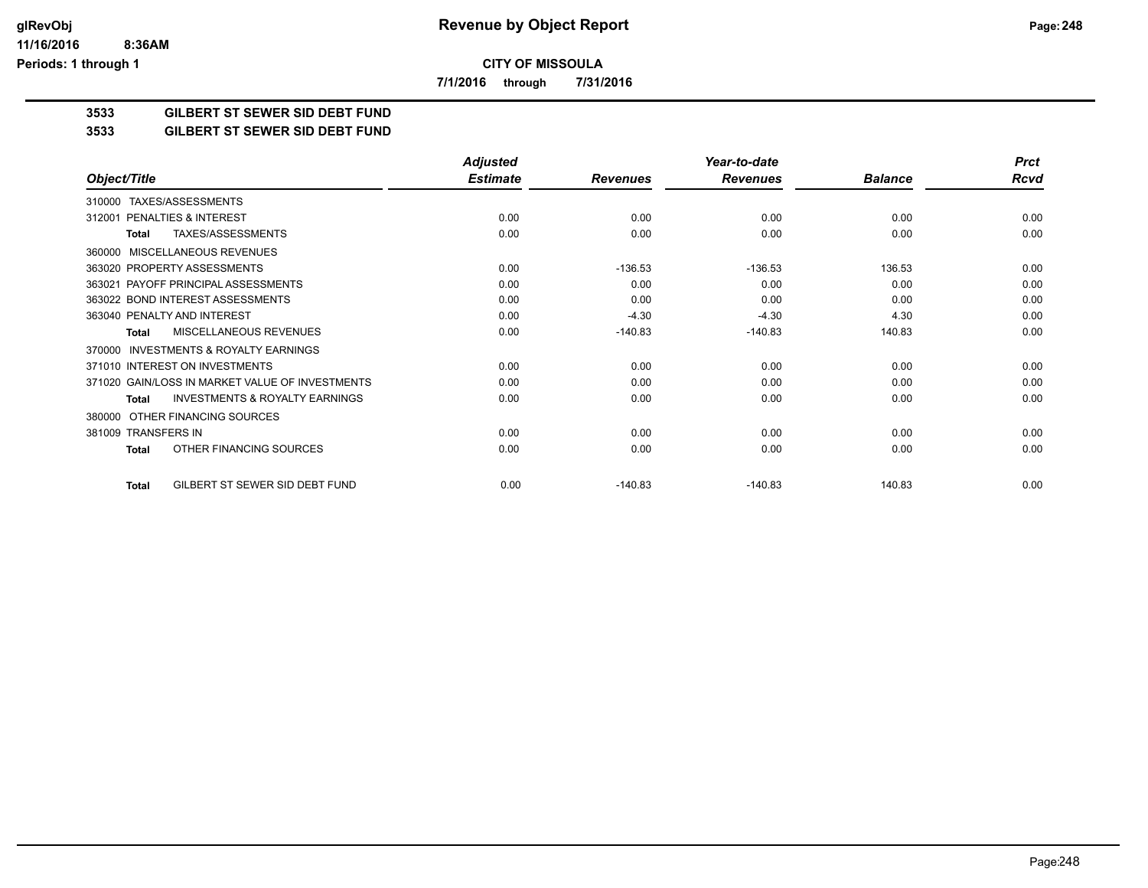**glRevObj Revenue by Object Report Page:248** 

**CITY OF MISSOULA**

**7/1/2016 through 7/31/2016**

# **3533 GILBERT ST SEWER SID DEBT FUND**

 **8:36AM**

#### **3533 GILBERT ST SEWER SID DEBT FUND**

|                                                     | <b>Adjusted</b> |                 | Year-to-date    |                | <b>Prct</b> |
|-----------------------------------------------------|-----------------|-----------------|-----------------|----------------|-------------|
| Object/Title                                        | <b>Estimate</b> | <b>Revenues</b> | <b>Revenues</b> | <b>Balance</b> | <b>Rcvd</b> |
| TAXES/ASSESSMENTS<br>310000                         |                 |                 |                 |                |             |
| PENALTIES & INTEREST<br>312001                      | 0.00            | 0.00            | 0.00            | 0.00           | 0.00        |
| TAXES/ASSESSMENTS<br>Total                          | 0.00            | 0.00            | 0.00            | 0.00           | 0.00        |
| MISCELLANEOUS REVENUES<br>360000                    |                 |                 |                 |                |             |
| 363020 PROPERTY ASSESSMENTS                         | 0.00            | $-136.53$       | $-136.53$       | 136.53         | 0.00        |
| 363021 PAYOFF PRINCIPAL ASSESSMENTS                 | 0.00            | 0.00            | 0.00            | 0.00           | 0.00        |
| 363022 BOND INTEREST ASSESSMENTS                    | 0.00            | 0.00            | 0.00            | 0.00           | 0.00        |
| 363040 PENALTY AND INTEREST                         | 0.00            | $-4.30$         | $-4.30$         | 4.30           | 0.00        |
| MISCELLANEOUS REVENUES<br><b>Total</b>              | 0.00            | $-140.83$       | $-140.83$       | 140.83         | 0.00        |
| <b>INVESTMENTS &amp; ROYALTY EARNINGS</b><br>370000 |                 |                 |                 |                |             |
| 371010 INTEREST ON INVESTMENTS                      | 0.00            | 0.00            | 0.00            | 0.00           | 0.00        |
| 371020 GAIN/LOSS IN MARKET VALUE OF INVESTMENTS     | 0.00            | 0.00            | 0.00            | 0.00           | 0.00        |
| <b>INVESTMENTS &amp; ROYALTY EARNINGS</b><br>Total  | 0.00            | 0.00            | 0.00            | 0.00           | 0.00        |
| OTHER FINANCING SOURCES<br>380000                   |                 |                 |                 |                |             |
| 381009 TRANSFERS IN                                 | 0.00            | 0.00            | 0.00            | 0.00           | 0.00        |
| OTHER FINANCING SOURCES<br><b>Total</b>             | 0.00            | 0.00            | 0.00            | 0.00           | 0.00        |
| GILBERT ST SEWER SID DEBT FUND<br><b>Total</b>      | 0.00            | $-140.83$       | $-140.83$       | 140.83         | 0.00        |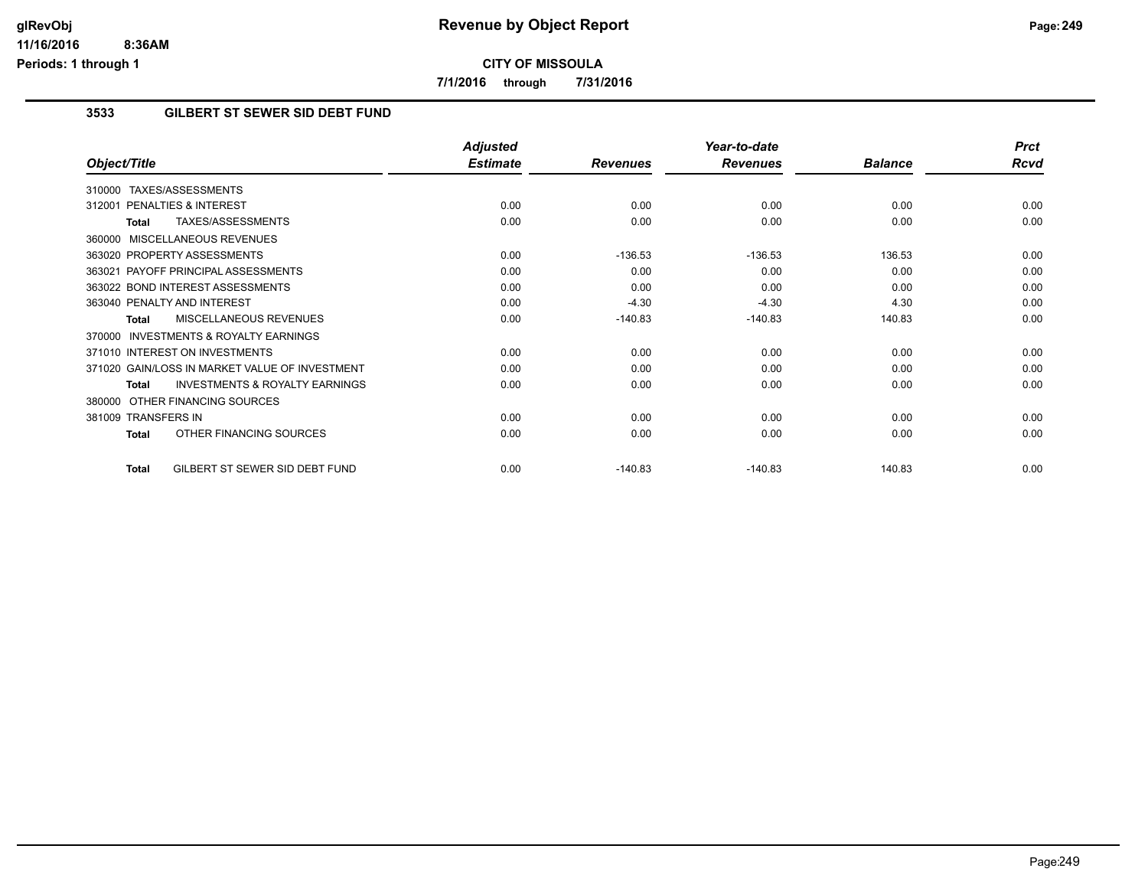**8:36AM**

**CITY OF MISSOULA**

**7/1/2016 through 7/31/2016**

# **3533 GILBERT ST SEWER SID DEBT FUND**

|                                                           | <b>Adjusted</b> |                 | Year-to-date    |                | <b>Prct</b> |
|-----------------------------------------------------------|-----------------|-----------------|-----------------|----------------|-------------|
| Object/Title                                              | <b>Estimate</b> | <b>Revenues</b> | <b>Revenues</b> | <b>Balance</b> | <b>Rcvd</b> |
| TAXES/ASSESSMENTS<br>310000                               |                 |                 |                 |                |             |
| PENALTIES & INTEREST<br>312001                            | 0.00            | 0.00            | 0.00            | 0.00           | 0.00        |
| TAXES/ASSESSMENTS<br><b>Total</b>                         | 0.00            | 0.00            | 0.00            | 0.00           | 0.00        |
| MISCELLANEOUS REVENUES<br>360000                          |                 |                 |                 |                |             |
| 363020 PROPERTY ASSESSMENTS                               | 0.00            | $-136.53$       | $-136.53$       | 136.53         | 0.00        |
| 363021 PAYOFF PRINCIPAL ASSESSMENTS                       | 0.00            | 0.00            | 0.00            | 0.00           | 0.00        |
| 363022 BOND INTEREST ASSESSMENTS                          | 0.00            | 0.00            | 0.00            | 0.00           | 0.00        |
| 363040 PENALTY AND INTEREST                               | 0.00            | $-4.30$         | $-4.30$         | 4.30           | 0.00        |
| <b>MISCELLANEOUS REVENUES</b><br><b>Total</b>             | 0.00            | $-140.83$       | $-140.83$       | 140.83         | 0.00        |
| <b>INVESTMENTS &amp; ROYALTY EARNINGS</b><br>370000       |                 |                 |                 |                |             |
| 371010 INTEREST ON INVESTMENTS                            | 0.00            | 0.00            | 0.00            | 0.00           | 0.00        |
| 371020 GAIN/LOSS IN MARKET VALUE OF INVESTMENT            | 0.00            | 0.00            | 0.00            | 0.00           | 0.00        |
| <b>INVESTMENTS &amp; ROYALTY EARNINGS</b><br><b>Total</b> | 0.00            | 0.00            | 0.00            | 0.00           | 0.00        |
| OTHER FINANCING SOURCES<br>380000                         |                 |                 |                 |                |             |
| 381009 TRANSFERS IN                                       | 0.00            | 0.00            | 0.00            | 0.00           | 0.00        |
| OTHER FINANCING SOURCES<br><b>Total</b>                   | 0.00            | 0.00            | 0.00            | 0.00           | 0.00        |
| GILBERT ST SEWER SID DEBT FUND<br>Total                   | 0.00            | $-140.83$       | $-140.83$       | 140.83         | 0.00        |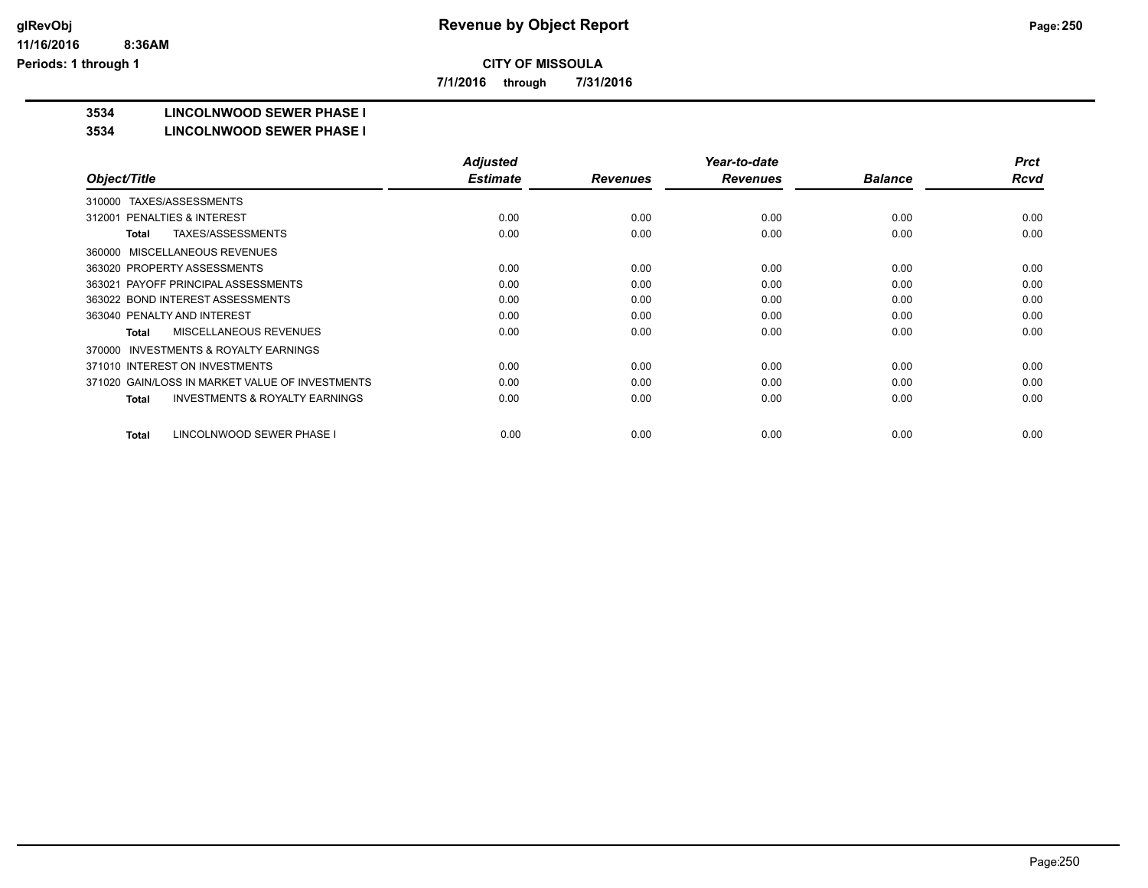**CITY OF MISSOULA**

**7/1/2016 through 7/31/2016**

# **3534 LINCOLNWOOD SEWER PHASE I**

 **8:36AM**

#### **3534 LINCOLNWOOD SEWER PHASE I**

|                                                     | <b>Adjusted</b> |                 | Year-to-date    |                | <b>Prct</b> |
|-----------------------------------------------------|-----------------|-----------------|-----------------|----------------|-------------|
| Object/Title                                        | <b>Estimate</b> | <b>Revenues</b> | <b>Revenues</b> | <b>Balance</b> | <b>Rcvd</b> |
| TAXES/ASSESSMENTS<br>310000                         |                 |                 |                 |                |             |
| PENALTIES & INTEREST<br>312001                      | 0.00            | 0.00            | 0.00            | 0.00           | 0.00        |
| TAXES/ASSESSMENTS<br>Total                          | 0.00            | 0.00            | 0.00            | 0.00           | 0.00        |
| MISCELLANEOUS REVENUES<br>360000                    |                 |                 |                 |                |             |
| 363020 PROPERTY ASSESSMENTS                         | 0.00            | 0.00            | 0.00            | 0.00           | 0.00        |
| 363021 PAYOFF PRINCIPAL ASSESSMENTS                 | 0.00            | 0.00            | 0.00            | 0.00           | 0.00        |
| 363022 BOND INTEREST ASSESSMENTS                    | 0.00            | 0.00            | 0.00            | 0.00           | 0.00        |
| 363040 PENALTY AND INTEREST                         | 0.00            | 0.00            | 0.00            | 0.00           | 0.00        |
| <b>MISCELLANEOUS REVENUES</b><br>Total              | 0.00            | 0.00            | 0.00            | 0.00           | 0.00        |
| <b>INVESTMENTS &amp; ROYALTY EARNINGS</b><br>370000 |                 |                 |                 |                |             |
| 371010 INTEREST ON INVESTMENTS                      | 0.00            | 0.00            | 0.00            | 0.00           | 0.00        |
| 371020 GAIN/LOSS IN MARKET VALUE OF INVESTMENTS     | 0.00            | 0.00            | 0.00            | 0.00           | 0.00        |
| <b>INVESTMENTS &amp; ROYALTY EARNINGS</b><br>Total  | 0.00            | 0.00            | 0.00            | 0.00           | 0.00        |
|                                                     |                 |                 |                 |                |             |
| LINCOLNWOOD SEWER PHASE I<br><b>Total</b>           | 0.00            | 0.00            | 0.00            | 0.00           | 0.00        |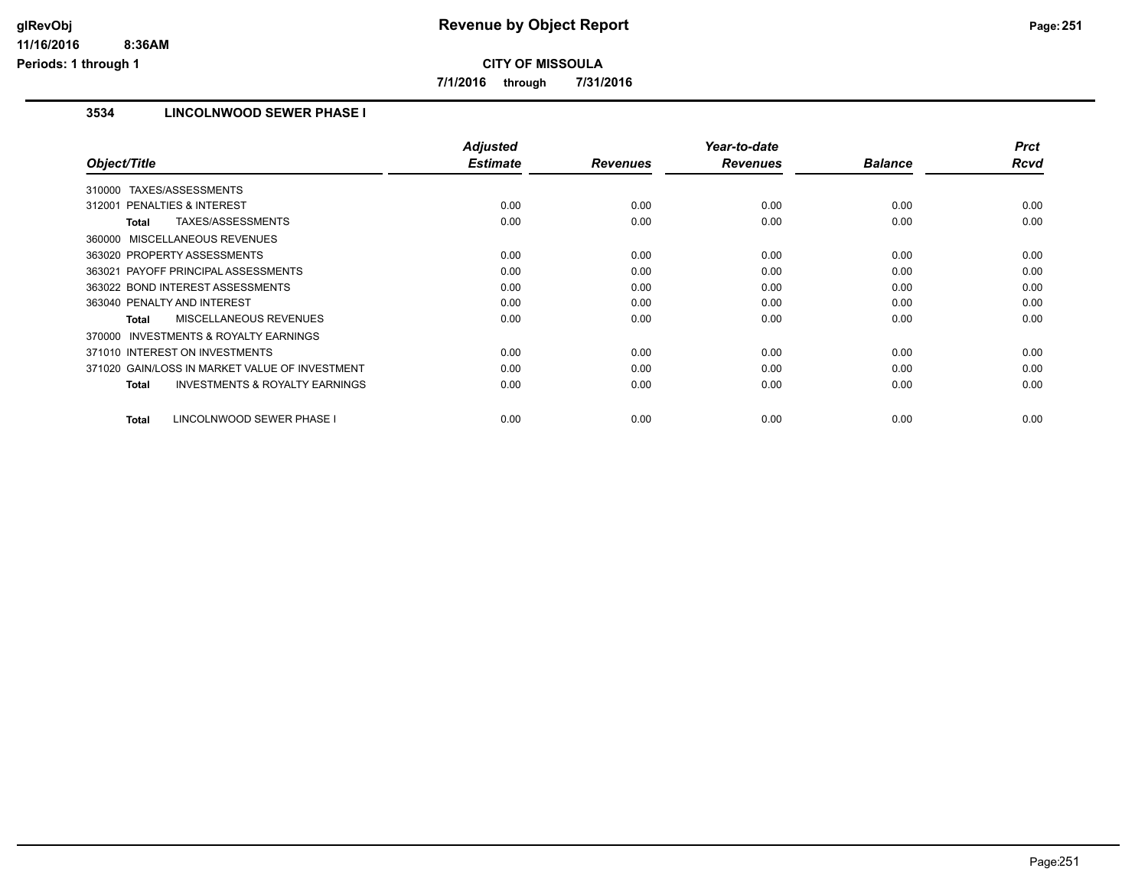**CITY OF MISSOULA**

**7/1/2016 through 7/31/2016**

# **3534 LINCOLNWOOD SEWER PHASE I**

| Object/Title                                        | <b>Adjusted</b><br><b>Estimate</b> | <b>Revenues</b> | Year-to-date<br><b>Revenues</b> | <b>Balance</b> | <b>Prct</b><br>Rcvd |
|-----------------------------------------------------|------------------------------------|-----------------|---------------------------------|----------------|---------------------|
|                                                     |                                    |                 |                                 |                |                     |
| TAXES/ASSESSMENTS<br>310000                         |                                    |                 |                                 |                |                     |
| 312001 PENALTIES & INTEREST                         | 0.00                               | 0.00            | 0.00                            | 0.00           | 0.00                |
| TAXES/ASSESSMENTS<br>Total                          | 0.00                               | 0.00            | 0.00                            | 0.00           | 0.00                |
| 360000 MISCELLANEOUS REVENUES                       |                                    |                 |                                 |                |                     |
| 363020 PROPERTY ASSESSMENTS                         | 0.00                               | 0.00            | 0.00                            | 0.00           | 0.00                |
| 363021 PAYOFF PRINCIPAL ASSESSMENTS                 | 0.00                               | 0.00            | 0.00                            | 0.00           | 0.00                |
| 363022 BOND INTEREST ASSESSMENTS                    | 0.00                               | 0.00            | 0.00                            | 0.00           | 0.00                |
| 363040 PENALTY AND INTEREST                         | 0.00                               | 0.00            | 0.00                            | 0.00           | 0.00                |
| MISCELLANEOUS REVENUES<br>Total                     | 0.00                               | 0.00            | 0.00                            | 0.00           | 0.00                |
| <b>INVESTMENTS &amp; ROYALTY EARNINGS</b><br>370000 |                                    |                 |                                 |                |                     |
| 371010 INTEREST ON INVESTMENTS                      | 0.00                               | 0.00            | 0.00                            | 0.00           | 0.00                |
| 371020 GAIN/LOSS IN MARKET VALUE OF INVESTMENT      | 0.00                               | 0.00            | 0.00                            | 0.00           | 0.00                |
| <b>INVESTMENTS &amp; ROYALTY EARNINGS</b><br>Total  | 0.00                               | 0.00            | 0.00                            | 0.00           | 0.00                |
| LINCOLNWOOD SEWER PHASE I<br>Total                  | 0.00                               | 0.00            | 0.00                            | 0.00           | 0.00                |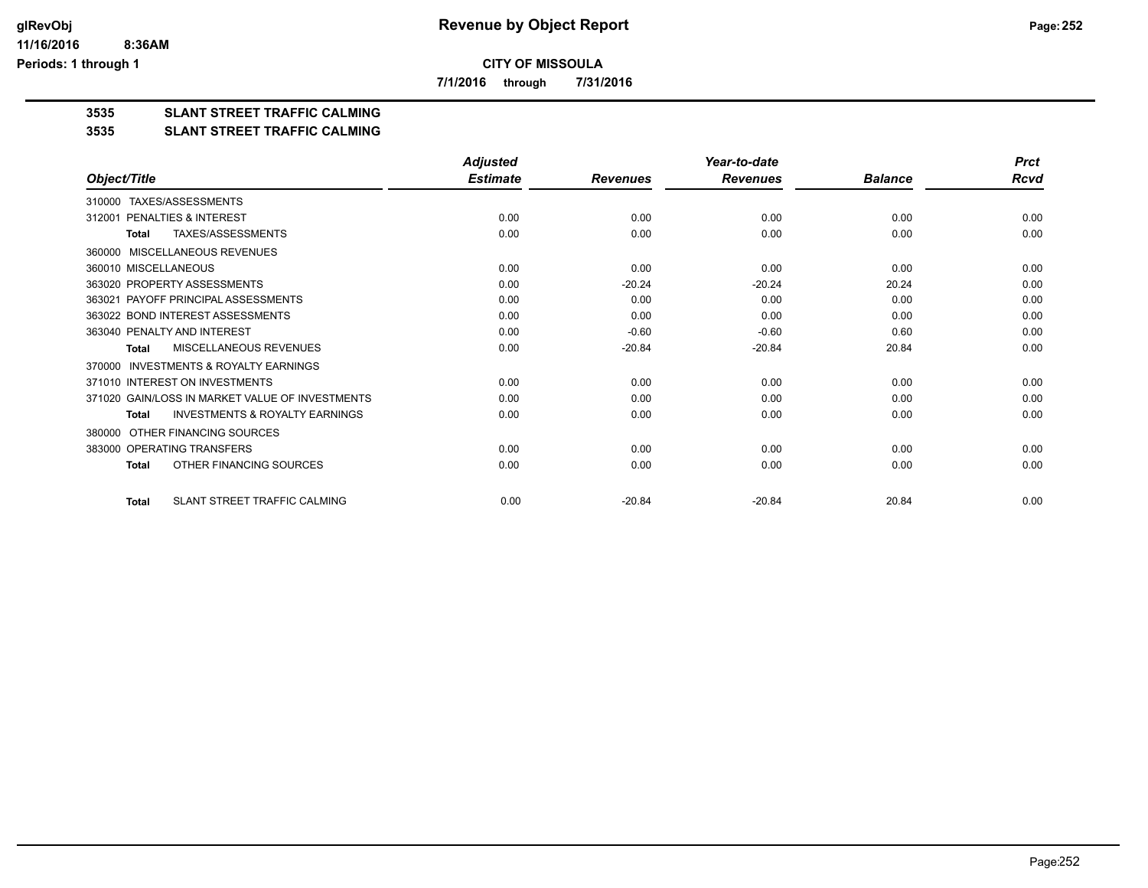**glRevObj Revenue by Object Report Page:252** 

**CITY OF MISSOULA**

**7/1/2016 through 7/31/2016**

#### **3535 SLANT STREET TRAFFIC CALMING**

 **8:36AM**

#### **3535 SLANT STREET TRAFFIC CALMING**

|                                                           | <b>Adjusted</b> |                 | Year-to-date    |                | <b>Prct</b> |
|-----------------------------------------------------------|-----------------|-----------------|-----------------|----------------|-------------|
| Object/Title                                              | <b>Estimate</b> | <b>Revenues</b> | <b>Revenues</b> | <b>Balance</b> | <b>Rcvd</b> |
| TAXES/ASSESSMENTS<br>310000                               |                 |                 |                 |                |             |
| PENALTIES & INTEREST<br>312001                            | 0.00            | 0.00            | 0.00            | 0.00           | 0.00        |
| TAXES/ASSESSMENTS<br><b>Total</b>                         | 0.00            | 0.00            | 0.00            | 0.00           | 0.00        |
| MISCELLANEOUS REVENUES<br>360000                          |                 |                 |                 |                |             |
| 360010 MISCELLANEOUS                                      | 0.00            | 0.00            | 0.00            | 0.00           | 0.00        |
| 363020 PROPERTY ASSESSMENTS                               | 0.00            | $-20.24$        | $-20.24$        | 20.24          | 0.00        |
| 363021 PAYOFF PRINCIPAL ASSESSMENTS                       | 0.00            | 0.00            | 0.00            | 0.00           | 0.00        |
| 363022 BOND INTEREST ASSESSMENTS                          | 0.00            | 0.00            | 0.00            | 0.00           | 0.00        |
| 363040 PENALTY AND INTEREST                               | 0.00            | $-0.60$         | $-0.60$         | 0.60           | 0.00        |
| MISCELLANEOUS REVENUES<br><b>Total</b>                    | 0.00            | $-20.84$        | $-20.84$        | 20.84          | 0.00        |
| INVESTMENTS & ROYALTY EARNINGS<br>370000                  |                 |                 |                 |                |             |
| 371010 INTEREST ON INVESTMENTS                            | 0.00            | 0.00            | 0.00            | 0.00           | 0.00        |
| 371020 GAIN/LOSS IN MARKET VALUE OF INVESTMENTS           | 0.00            | 0.00            | 0.00            | 0.00           | 0.00        |
| <b>INVESTMENTS &amp; ROYALTY EARNINGS</b><br><b>Total</b> | 0.00            | 0.00            | 0.00            | 0.00           | 0.00        |
| OTHER FINANCING SOURCES<br>380000                         |                 |                 |                 |                |             |
| 383000 OPERATING TRANSFERS                                | 0.00            | 0.00            | 0.00            | 0.00           | 0.00        |
| OTHER FINANCING SOURCES<br><b>Total</b>                   | 0.00            | 0.00            | 0.00            | 0.00           | 0.00        |
| SLANT STREET TRAFFIC CALMING<br><b>Total</b>              | 0.00            | $-20.84$        | $-20.84$        | 20.84          | 0.00        |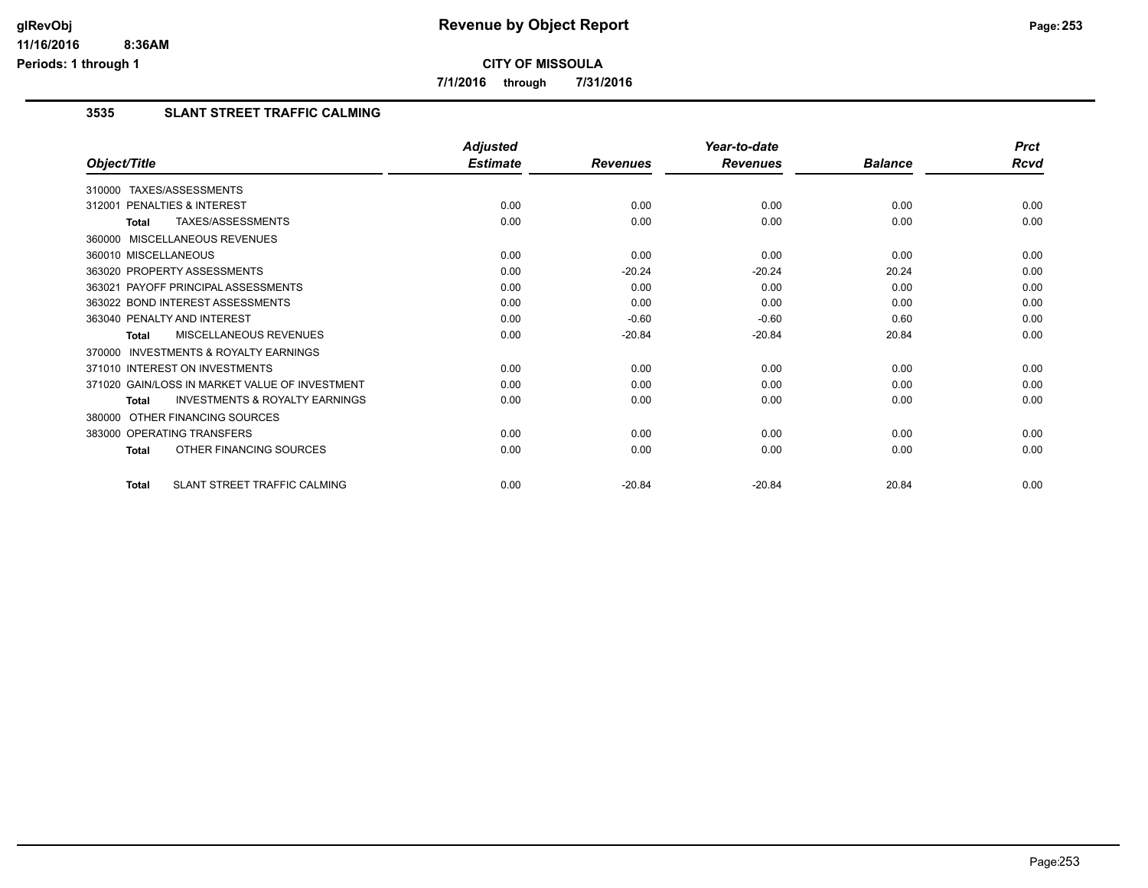**CITY OF MISSOULA**

**7/1/2016 through 7/31/2016**

## **3535 SLANT STREET TRAFFIC CALMING**

|                                                           | <b>Adjusted</b> |                 | Year-to-date    |                | <b>Prct</b> |
|-----------------------------------------------------------|-----------------|-----------------|-----------------|----------------|-------------|
| Object/Title                                              | <b>Estimate</b> | <b>Revenues</b> | <b>Revenues</b> | <b>Balance</b> | Rcvd        |
| 310000 TAXES/ASSESSMENTS                                  |                 |                 |                 |                |             |
| PENALTIES & INTEREST<br>312001                            | 0.00            | 0.00            | 0.00            | 0.00           | 0.00        |
| TAXES/ASSESSMENTS<br><b>Total</b>                         | 0.00            | 0.00            | 0.00            | 0.00           | 0.00        |
| 360000 MISCELLANEOUS REVENUES                             |                 |                 |                 |                |             |
| 360010 MISCELLANEOUS                                      | 0.00            | 0.00            | 0.00            | 0.00           | 0.00        |
| 363020 PROPERTY ASSESSMENTS                               | 0.00            | $-20.24$        | $-20.24$        | 20.24          | 0.00        |
| 363021 PAYOFF PRINCIPAL ASSESSMENTS                       | 0.00            | 0.00            | 0.00            | 0.00           | 0.00        |
| 363022 BOND INTEREST ASSESSMENTS                          | 0.00            | 0.00            | 0.00            | 0.00           | 0.00        |
| 363040 PENALTY AND INTEREST                               | 0.00            | $-0.60$         | $-0.60$         | 0.60           | 0.00        |
| MISCELLANEOUS REVENUES<br><b>Total</b>                    | 0.00            | $-20.84$        | $-20.84$        | 20.84          | 0.00        |
| 370000 INVESTMENTS & ROYALTY EARNINGS                     |                 |                 |                 |                |             |
| 371010 INTEREST ON INVESTMENTS                            | 0.00            | 0.00            | 0.00            | 0.00           | 0.00        |
| 371020 GAIN/LOSS IN MARKET VALUE OF INVESTMENT            | 0.00            | 0.00            | 0.00            | 0.00           | 0.00        |
| <b>INVESTMENTS &amp; ROYALTY EARNINGS</b><br><b>Total</b> | 0.00            | 0.00            | 0.00            | 0.00           | 0.00        |
| 380000 OTHER FINANCING SOURCES                            |                 |                 |                 |                |             |
| 383000 OPERATING TRANSFERS                                | 0.00            | 0.00            | 0.00            | 0.00           | 0.00        |
| OTHER FINANCING SOURCES<br><b>Total</b>                   | 0.00            | 0.00            | 0.00            | 0.00           | 0.00        |
| SLANT STREET TRAFFIC CALMING<br><b>Total</b>              | 0.00            | $-20.84$        | $-20.84$        | 20.84          | 0.00        |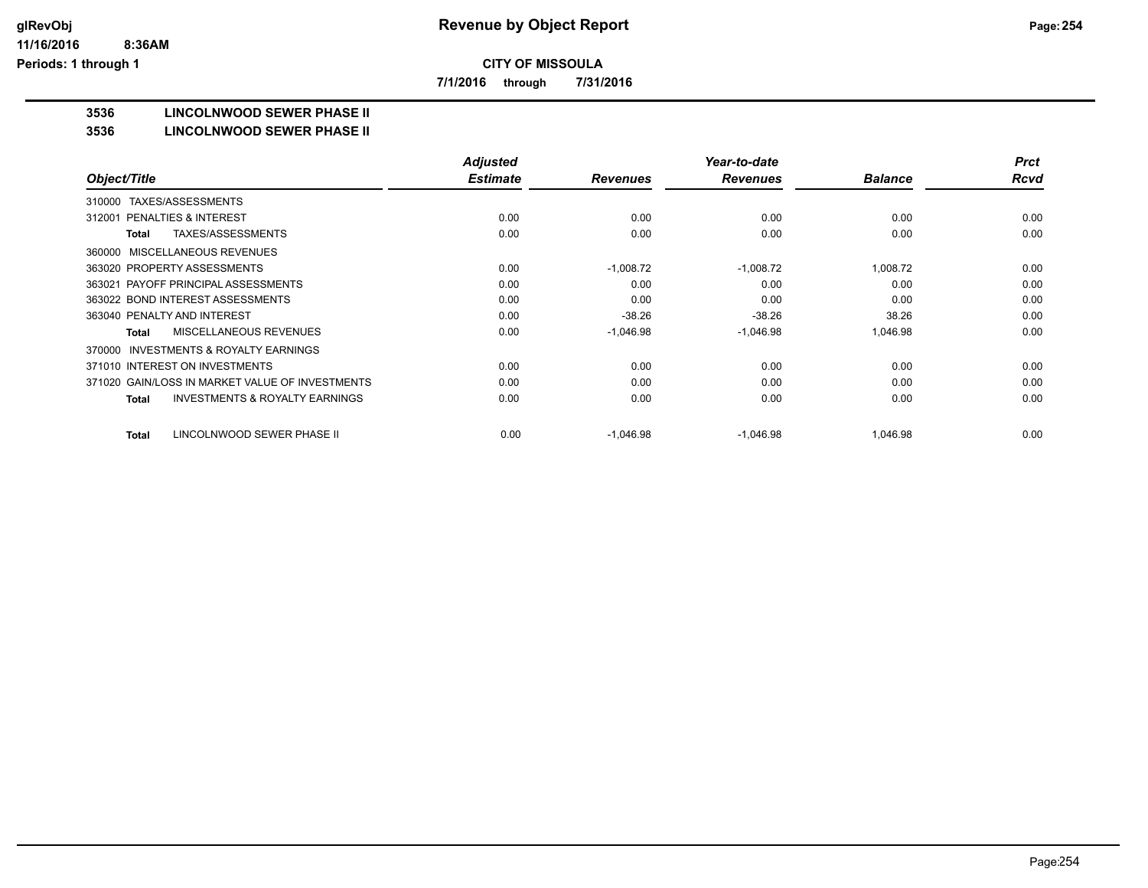**8:36AM**

**CITY OF MISSOULA**

**7/1/2016 through 7/31/2016**

## **3536 LINCOLNWOOD SEWER PHASE II**

#### **3536 LINCOLNWOOD SEWER PHASE II**

|                                                     | <b>Adjusted</b> |                 | Year-to-date    |                | <b>Prct</b> |
|-----------------------------------------------------|-----------------|-----------------|-----------------|----------------|-------------|
| Object/Title                                        | <b>Estimate</b> | <b>Revenues</b> | <b>Revenues</b> | <b>Balance</b> | <b>Rcvd</b> |
| 310000 TAXES/ASSESSMENTS                            |                 |                 |                 |                |             |
| PENALTIES & INTEREST<br>312001                      | 0.00            | 0.00            | 0.00            | 0.00           | 0.00        |
| TAXES/ASSESSMENTS<br>Total                          | 0.00            | 0.00            | 0.00            | 0.00           | 0.00        |
| MISCELLANEOUS REVENUES<br>360000                    |                 |                 |                 |                |             |
| 363020 PROPERTY ASSESSMENTS                         | 0.00            | $-1,008.72$     | $-1,008.72$     | 1,008.72       | 0.00        |
| 363021 PAYOFF PRINCIPAL ASSESSMENTS                 | 0.00            | 0.00            | 0.00            | 0.00           | 0.00        |
| 363022 BOND INTEREST ASSESSMENTS                    | 0.00            | 0.00            | 0.00            | 0.00           | 0.00        |
| 363040 PENALTY AND INTEREST                         | 0.00            | $-38.26$        | $-38.26$        | 38.26          | 0.00        |
| MISCELLANEOUS REVENUES<br>Total                     | 0.00            | $-1,046.98$     | $-1,046.98$     | 1,046.98       | 0.00        |
| <b>INVESTMENTS &amp; ROYALTY EARNINGS</b><br>370000 |                 |                 |                 |                |             |
| 371010 INTEREST ON INVESTMENTS                      | 0.00            | 0.00            | 0.00            | 0.00           | 0.00        |
| 371020 GAIN/LOSS IN MARKET VALUE OF INVESTMENTS     | 0.00            | 0.00            | 0.00            | 0.00           | 0.00        |
| <b>INVESTMENTS &amp; ROYALTY EARNINGS</b><br>Total  | 0.00            | 0.00            | 0.00            | 0.00           | 0.00        |
| LINCOLNWOOD SEWER PHASE II<br>Total                 | 0.00            | $-1,046.98$     | $-1,046.98$     | 1,046.98       | 0.00        |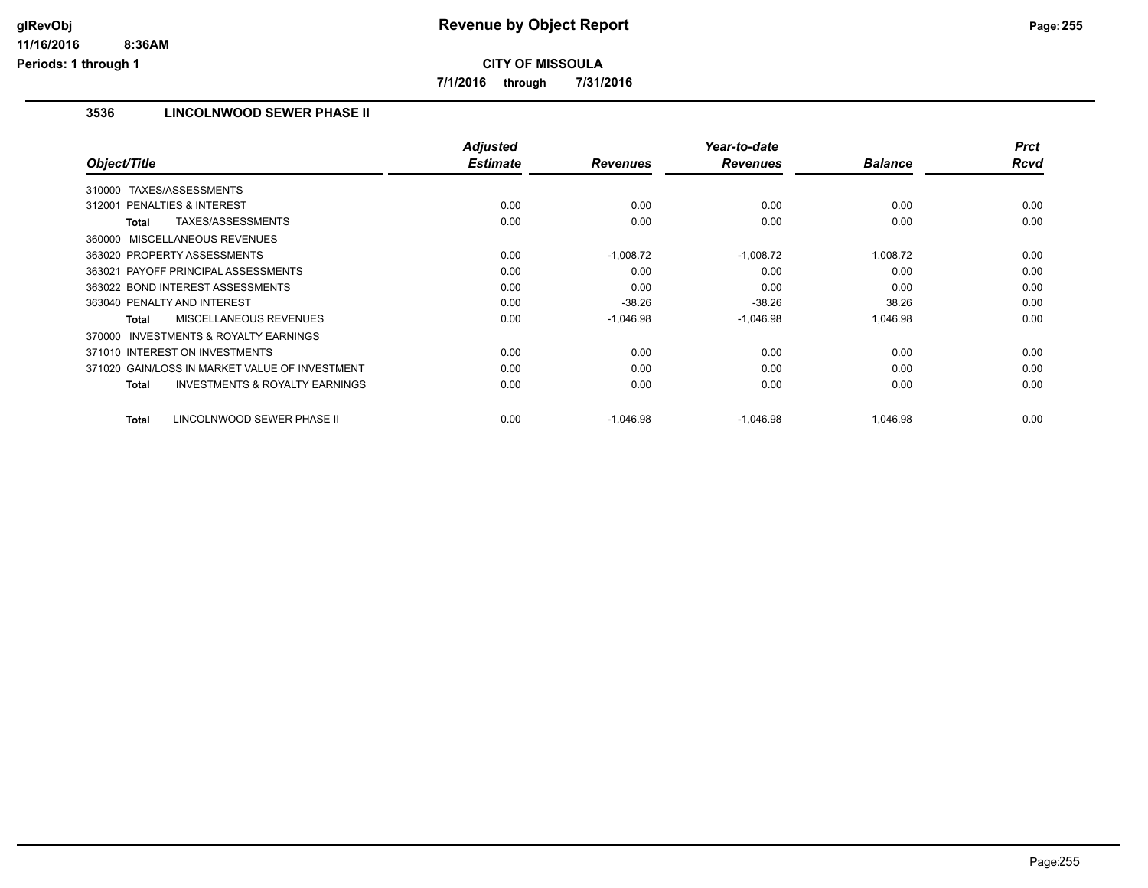**8:36AM**

**CITY OF MISSOULA**

**7/1/2016 through 7/31/2016**

## **3536 LINCOLNWOOD SEWER PHASE II**

| Object/Title                                              | <b>Adjusted</b><br><b>Estimate</b> | <b>Revenues</b> | Year-to-date<br><b>Revenues</b> | <b>Balance</b> | <b>Prct</b><br><b>Rcvd</b> |
|-----------------------------------------------------------|------------------------------------|-----------------|---------------------------------|----------------|----------------------------|
|                                                           |                                    |                 |                                 |                |                            |
| TAXES/ASSESSMENTS<br>310000                               |                                    |                 |                                 |                |                            |
| 312001 PENALTIES & INTEREST                               | 0.00                               | 0.00            | 0.00                            | 0.00           | 0.00                       |
| TAXES/ASSESSMENTS<br>Total                                | 0.00                               | 0.00            | 0.00                            | 0.00           | 0.00                       |
| 360000 MISCELLANEOUS REVENUES                             |                                    |                 |                                 |                |                            |
| 363020 PROPERTY ASSESSMENTS                               | 0.00                               | $-1,008.72$     | $-1,008.72$                     | 1,008.72       | 0.00                       |
| 363021 PAYOFF PRINCIPAL ASSESSMENTS                       | 0.00                               | 0.00            | 0.00                            | 0.00           | 0.00                       |
| 363022 BOND INTEREST ASSESSMENTS                          | 0.00                               | 0.00            | 0.00                            | 0.00           | 0.00                       |
| 363040 PENALTY AND INTEREST                               | 0.00                               | $-38.26$        | $-38.26$                        | 38.26          | 0.00                       |
| MISCELLANEOUS REVENUES<br>Total                           | 0.00                               | $-1,046.98$     | $-1,046.98$                     | 1,046.98       | 0.00                       |
| <b>INVESTMENTS &amp; ROYALTY EARNINGS</b><br>370000       |                                    |                 |                                 |                |                            |
| 371010 INTEREST ON INVESTMENTS                            | 0.00                               | 0.00            | 0.00                            | 0.00           | 0.00                       |
| 371020 GAIN/LOSS IN MARKET VALUE OF INVESTMENT            | 0.00                               | 0.00            | 0.00                            | 0.00           | 0.00                       |
| <b>INVESTMENTS &amp; ROYALTY EARNINGS</b><br><b>Total</b> | 0.00                               | 0.00            | 0.00                            | 0.00           | 0.00                       |
|                                                           |                                    |                 |                                 |                |                            |
| LINCOLNWOOD SEWER PHASE II<br><b>Total</b>                | 0.00                               | $-1.046.98$     | $-1,046.98$                     | 1.046.98       | 0.00                       |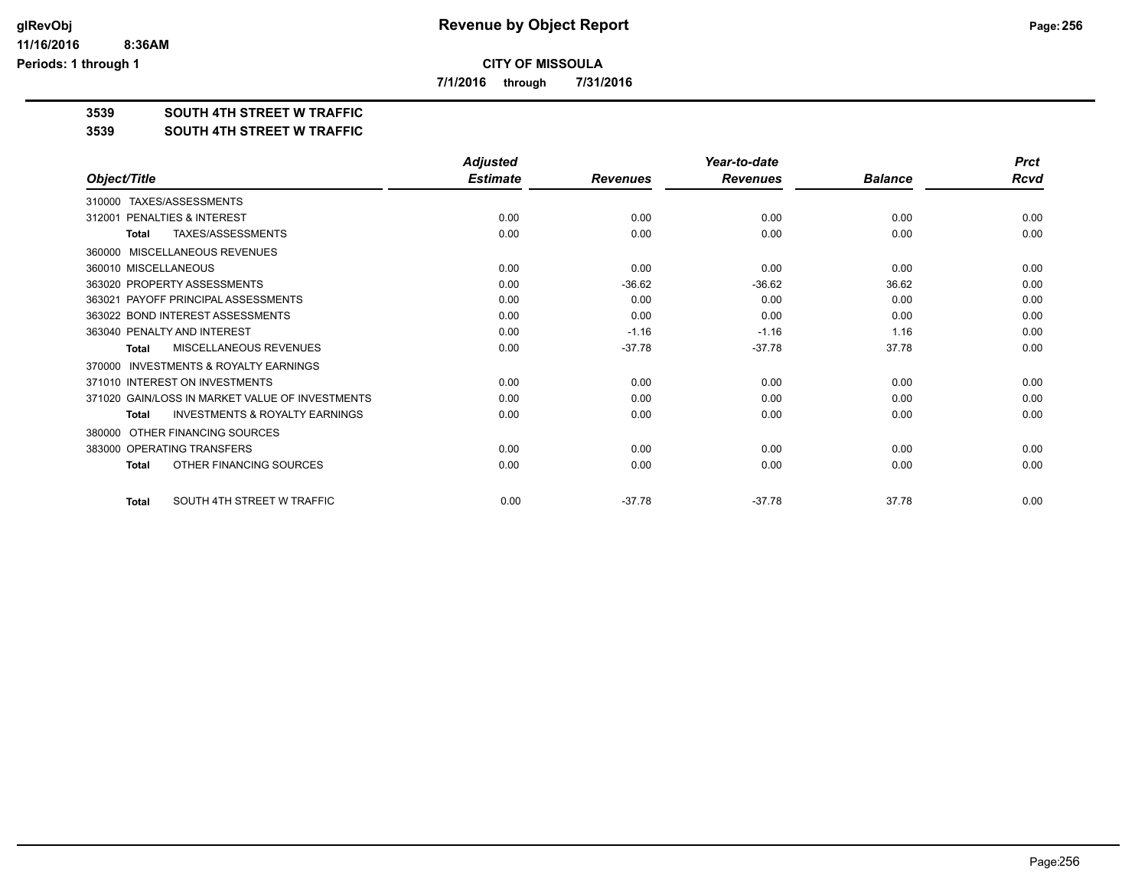**glRevObj Revenue by Object Report Page:256** 

**CITY OF MISSOULA**

**7/1/2016 through 7/31/2016**

#### **3539 SOUTH 4TH STREET W TRAFFIC**

 **8:36AM**

#### **3539 SOUTH 4TH STREET W TRAFFIC**

|                                                           | <b>Adjusted</b> |                 | Year-to-date    |                | <b>Prct</b> |
|-----------------------------------------------------------|-----------------|-----------------|-----------------|----------------|-------------|
| Object/Title                                              | <b>Estimate</b> | <b>Revenues</b> | <b>Revenues</b> | <b>Balance</b> | <b>Rcvd</b> |
| TAXES/ASSESSMENTS<br>310000                               |                 |                 |                 |                |             |
| PENALTIES & INTEREST<br>312001                            | 0.00            | 0.00            | 0.00            | 0.00           | 0.00        |
| TAXES/ASSESSMENTS<br><b>Total</b>                         | 0.00            | 0.00            | 0.00            | 0.00           | 0.00        |
| MISCELLANEOUS REVENUES<br>360000                          |                 |                 |                 |                |             |
| 360010 MISCELLANEOUS                                      | 0.00            | 0.00            | 0.00            | 0.00           | 0.00        |
| 363020 PROPERTY ASSESSMENTS                               | 0.00            | $-36.62$        | $-36.62$        | 36.62          | 0.00        |
| 363021 PAYOFF PRINCIPAL ASSESSMENTS                       | 0.00            | 0.00            | 0.00            | 0.00           | 0.00        |
| 363022 BOND INTEREST ASSESSMENTS                          | 0.00            | 0.00            | 0.00            | 0.00           | 0.00        |
| 363040 PENALTY AND INTEREST                               | 0.00            | $-1.16$         | $-1.16$         | 1.16           | 0.00        |
| MISCELLANEOUS REVENUES<br><b>Total</b>                    | 0.00            | $-37.78$        | $-37.78$        | 37.78          | 0.00        |
| <b>INVESTMENTS &amp; ROYALTY EARNINGS</b><br>370000       |                 |                 |                 |                |             |
| 371010 INTEREST ON INVESTMENTS                            | 0.00            | 0.00            | 0.00            | 0.00           | 0.00        |
| 371020 GAIN/LOSS IN MARKET VALUE OF INVESTMENTS           | 0.00            | 0.00            | 0.00            | 0.00           | 0.00        |
| <b>INVESTMENTS &amp; ROYALTY EARNINGS</b><br><b>Total</b> | 0.00            | 0.00            | 0.00            | 0.00           | 0.00        |
| OTHER FINANCING SOURCES<br>380000                         |                 |                 |                 |                |             |
| 383000 OPERATING TRANSFERS                                | 0.00            | 0.00            | 0.00            | 0.00           | 0.00        |
| OTHER FINANCING SOURCES<br><b>Total</b>                   | 0.00            | 0.00            | 0.00            | 0.00           | 0.00        |
| SOUTH 4TH STREET W TRAFFIC<br><b>Total</b>                | 0.00            | $-37.78$        | $-37.78$        | 37.78          | 0.00        |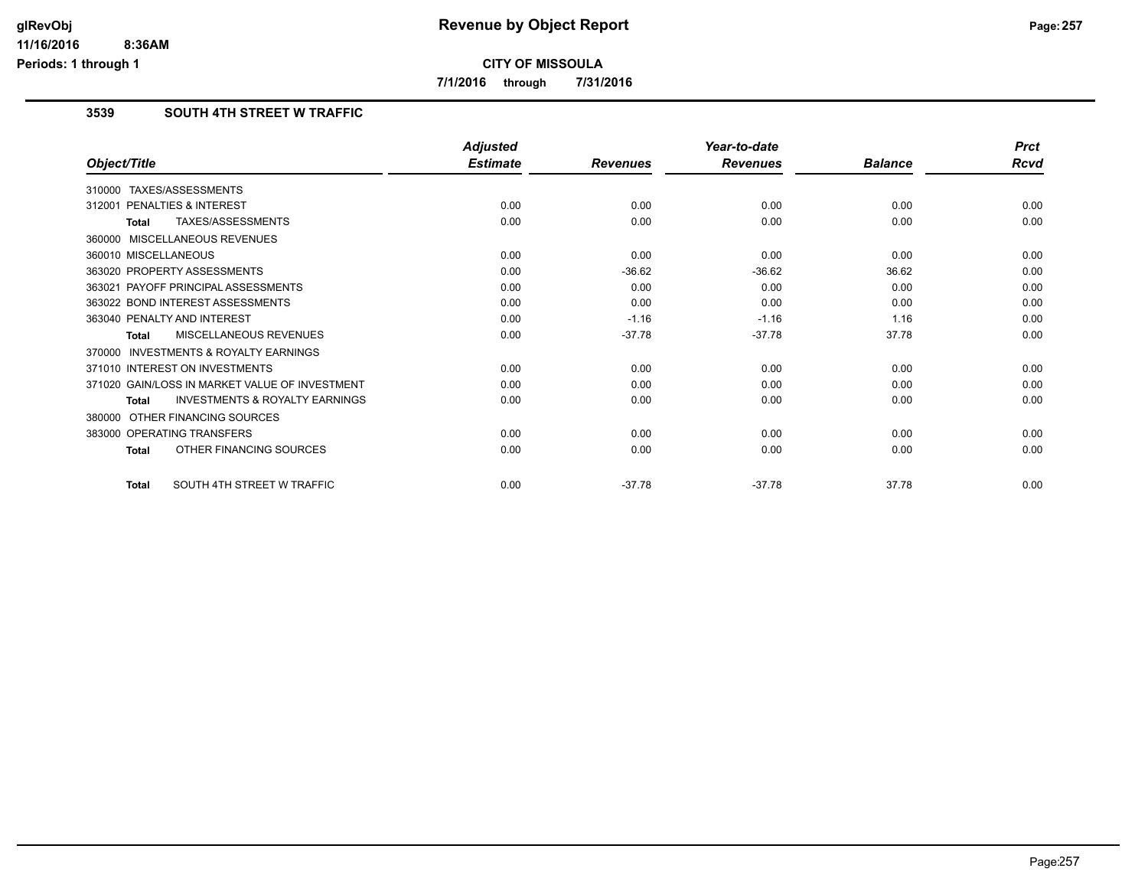**CITY OF MISSOULA**

**7/1/2016 through 7/31/2016**

## **3539 SOUTH 4TH STREET W TRAFFIC**

|                                                           | <b>Adjusted</b> |                 | Year-to-date    |                | <b>Prct</b> |
|-----------------------------------------------------------|-----------------|-----------------|-----------------|----------------|-------------|
| Object/Title                                              | <b>Estimate</b> | <b>Revenues</b> | <b>Revenues</b> | <b>Balance</b> | <b>Rcvd</b> |
| 310000 TAXES/ASSESSMENTS                                  |                 |                 |                 |                |             |
| 312001 PENALTIES & INTEREST                               | 0.00            | 0.00            | 0.00            | 0.00           | 0.00        |
| TAXES/ASSESSMENTS<br>Total                                | 0.00            | 0.00            | 0.00            | 0.00           | 0.00        |
| 360000 MISCELLANEOUS REVENUES                             |                 |                 |                 |                |             |
| 360010 MISCELLANEOUS                                      | 0.00            | 0.00            | 0.00            | 0.00           | 0.00        |
| 363020 PROPERTY ASSESSMENTS                               | 0.00            | $-36.62$        | $-36.62$        | 36.62          | 0.00        |
| 363021 PAYOFF PRINCIPAL ASSESSMENTS                       | 0.00            | 0.00            | 0.00            | 0.00           | 0.00        |
| 363022 BOND INTEREST ASSESSMENTS                          | 0.00            | 0.00            | 0.00            | 0.00           | 0.00        |
| 363040 PENALTY AND INTEREST                               | 0.00            | $-1.16$         | $-1.16$         | 1.16           | 0.00        |
| MISCELLANEOUS REVENUES<br><b>Total</b>                    | 0.00            | $-37.78$        | $-37.78$        | 37.78          | 0.00        |
| <b>INVESTMENTS &amp; ROYALTY EARNINGS</b><br>370000       |                 |                 |                 |                |             |
| 371010 INTEREST ON INVESTMENTS                            | 0.00            | 0.00            | 0.00            | 0.00           | 0.00        |
| 371020 GAIN/LOSS IN MARKET VALUE OF INVESTMENT            | 0.00            | 0.00            | 0.00            | 0.00           | 0.00        |
| <b>INVESTMENTS &amp; ROYALTY EARNINGS</b><br><b>Total</b> | 0.00            | 0.00            | 0.00            | 0.00           | 0.00        |
| OTHER FINANCING SOURCES<br>380000                         |                 |                 |                 |                |             |
| 383000 OPERATING TRANSFERS                                | 0.00            | 0.00            | 0.00            | 0.00           | 0.00        |
| OTHER FINANCING SOURCES<br><b>Total</b>                   | 0.00            | 0.00            | 0.00            | 0.00           | 0.00        |
| SOUTH 4TH STREET W TRAFFIC<br><b>Total</b>                | 0.00            | $-37.78$        | $-37.78$        | 37.78          | 0.00        |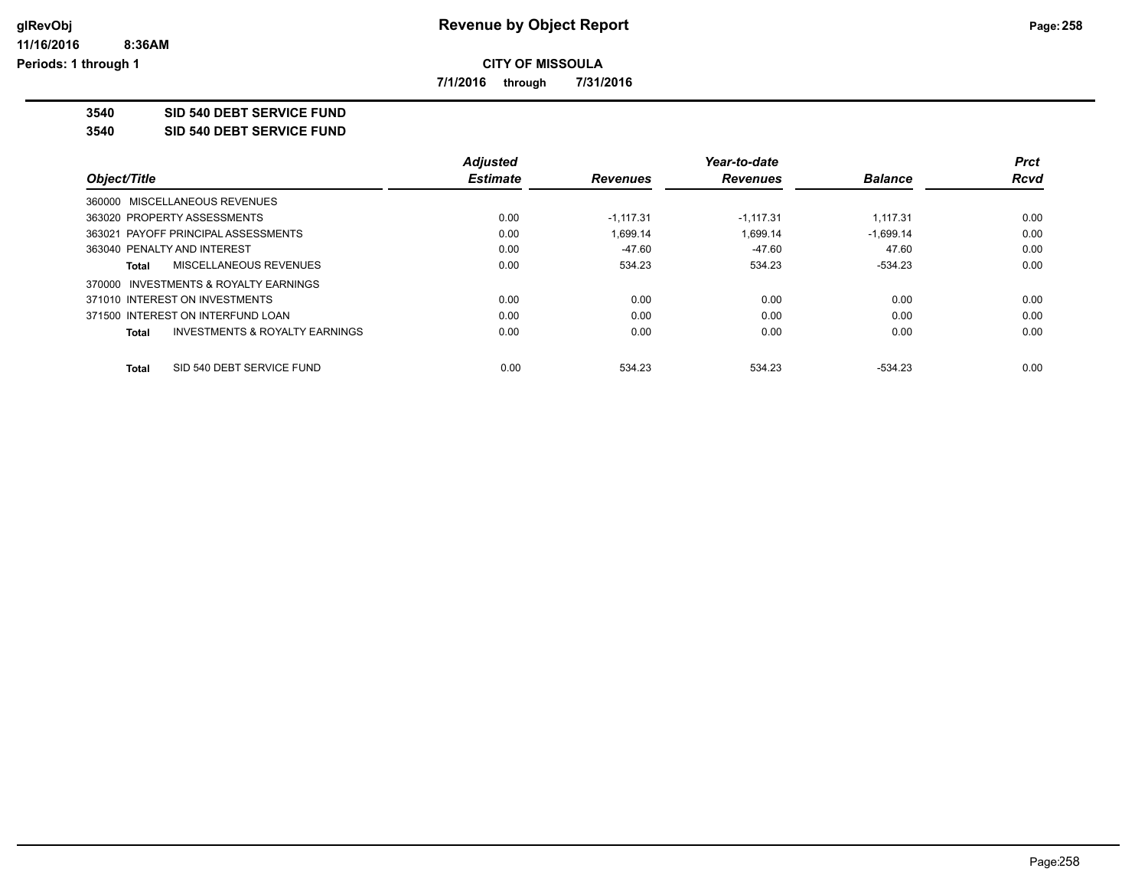**CITY OF MISSOULA**

**7/1/2016 through 7/31/2016**

**3540 SID 540 DEBT SERVICE FUND**

 **8:36AM**

**3540 SID 540 DEBT SERVICE FUND**

|                                         | <b>Adjusted</b> |                 | Year-to-date    |                | <b>Prct</b> |
|-----------------------------------------|-----------------|-----------------|-----------------|----------------|-------------|
| Object/Title                            | <b>Estimate</b> | <b>Revenues</b> | <b>Revenues</b> | <b>Balance</b> | <b>Rcvd</b> |
| 360000 MISCELLANEOUS REVENUES           |                 |                 |                 |                |             |
| 363020 PROPERTY ASSESSMENTS             | 0.00            | $-1.117.31$     | $-1.117.31$     | 1.117.31       | 0.00        |
| 363021 PAYOFF PRINCIPAL ASSESSMENTS     | 0.00            | 1.699.14        | 1.699.14        | $-1,699.14$    | 0.00        |
| 363040 PENALTY AND INTEREST             | 0.00            | $-47.60$        | -47.60          | 47.60          | 0.00        |
| MISCELLANEOUS REVENUES<br>Total         | 0.00            | 534.23          | 534.23          | $-534.23$      | 0.00        |
| 370000 INVESTMENTS & ROYALTY EARNINGS   |                 |                 |                 |                |             |
| 371010 INTEREST ON INVESTMENTS          | 0.00            | 0.00            | 0.00            | 0.00           | 0.00        |
| 371500 INTEREST ON INTERFUND LOAN       | 0.00            | 0.00            | 0.00            | 0.00           | 0.00        |
| INVESTMENTS & ROYALTY EARNINGS<br>Total | 0.00            | 0.00            | 0.00            | 0.00           | 0.00        |
| SID 540 DEBT SERVICE FUND<br>Total      | 0.00            | 534.23          | 534.23          | $-534.23$      | 0.00        |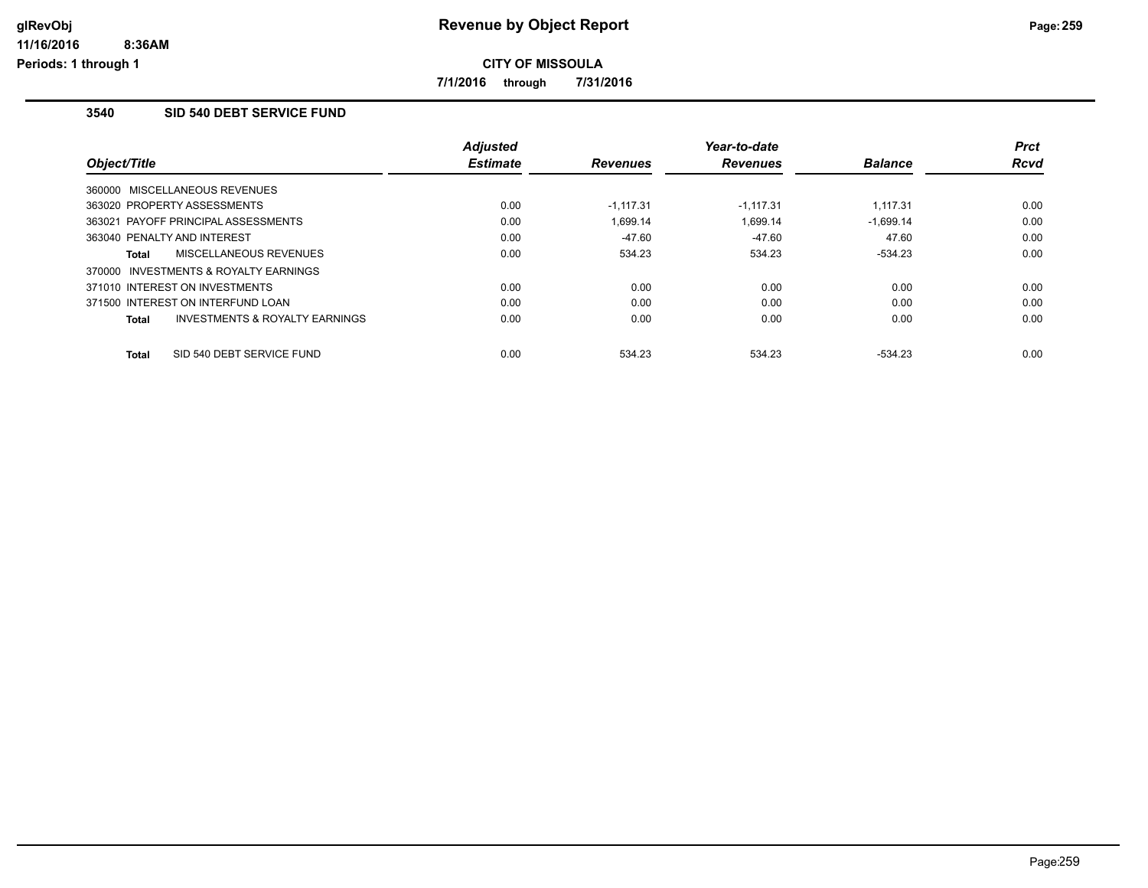**CITY OF MISSOULA**

**7/1/2016 through 7/31/2016**

## **3540 SID 540 DEBT SERVICE FUND**

| Object/Title                                   | <b>Adiusted</b><br><b>Estimate</b> | <b>Revenues</b> | Year-to-date<br><b>Revenues</b> | <b>Balance</b> | <b>Prct</b><br><b>Rcvd</b> |
|------------------------------------------------|------------------------------------|-----------------|---------------------------------|----------------|----------------------------|
| 360000 MISCELLANEOUS REVENUES                  |                                    |                 |                                 |                |                            |
| 363020 PROPERTY ASSESSMENTS                    | 0.00                               | $-1,117.31$     | $-1,117.31$                     | 1,117.31       | 0.00                       |
| 363021 PAYOFF PRINCIPAL ASSESSMENTS            | 0.00                               | 1.699.14        | 1.699.14                        | $-1,699.14$    | 0.00                       |
| 363040 PENALTY AND INTEREST                    | 0.00                               | $-47.60$        | $-47.60$                        | 47.60          | 0.00                       |
| <b>MISCELLANEOUS REVENUES</b><br>Total         | 0.00                               | 534.23          | 534.23                          | $-534.23$      | 0.00                       |
| 370000 INVESTMENTS & ROYALTY EARNINGS          |                                    |                 |                                 |                |                            |
| 371010 INTEREST ON INVESTMENTS                 | 0.00                               | 0.00            | 0.00                            | 0.00           | 0.00                       |
| 371500 INTEREST ON INTERFUND LOAN              | 0.00                               | 0.00            | 0.00                            | 0.00           | 0.00                       |
| INVESTMENTS & ROYALTY EARNINGS<br><b>Total</b> | 0.00                               | 0.00            | 0.00                            | 0.00           | 0.00                       |
| SID 540 DEBT SERVICE FUND<br><b>Total</b>      | 0.00                               | 534.23          | 534.23                          | $-534.23$      | 0.00                       |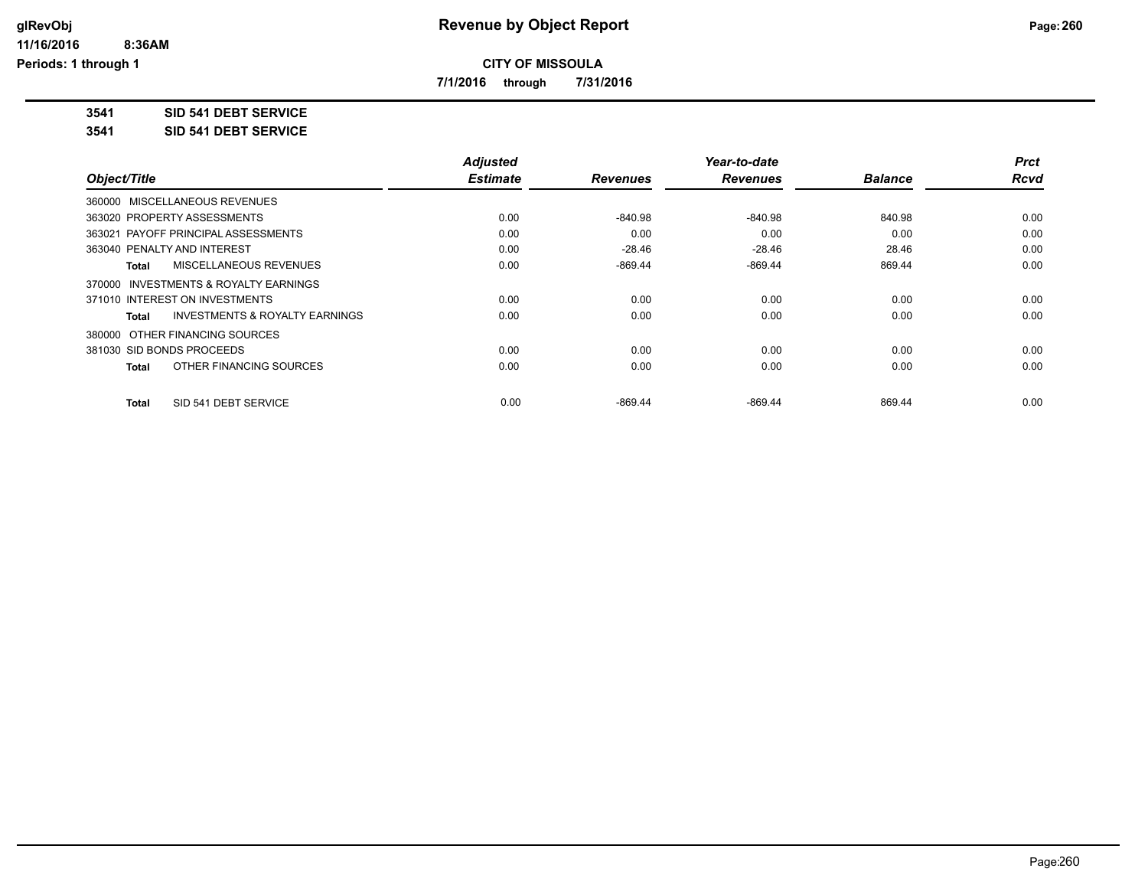**CITY OF MISSOULA**

**7/1/2016 through 7/31/2016**

**3541 SID 541 DEBT SERVICE**

**3541 SID 541 DEBT SERVICE**

|                                                     | <b>Adjusted</b> |                 | Year-to-date    |                | <b>Prct</b> |
|-----------------------------------------------------|-----------------|-----------------|-----------------|----------------|-------------|
| Object/Title                                        | <b>Estimate</b> | <b>Revenues</b> | <b>Revenues</b> | <b>Balance</b> | <b>Rcvd</b> |
| 360000 MISCELLANEOUS REVENUES                       |                 |                 |                 |                |             |
| 363020 PROPERTY ASSESSMENTS                         | 0.00            | $-840.98$       | $-840.98$       | 840.98         | 0.00        |
| 363021 PAYOFF PRINCIPAL ASSESSMENTS                 | 0.00            | 0.00            | 0.00            | 0.00           | 0.00        |
| 363040 PENALTY AND INTEREST                         | 0.00            | $-28.46$        | $-28.46$        | 28.46          | 0.00        |
| MISCELLANEOUS REVENUES<br>Total                     | 0.00            | $-869.44$       | $-869.44$       | 869.44         | 0.00        |
| <b>INVESTMENTS &amp; ROYALTY EARNINGS</b><br>370000 |                 |                 |                 |                |             |
| 371010 INTEREST ON INVESTMENTS                      | 0.00            | 0.00            | 0.00            | 0.00           | 0.00        |
| <b>INVESTMENTS &amp; ROYALTY EARNINGS</b><br>Total  | 0.00            | 0.00            | 0.00            | 0.00           | 0.00        |
| 380000 OTHER FINANCING SOURCES                      |                 |                 |                 |                |             |
| 381030 SID BONDS PROCEEDS                           | 0.00            | 0.00            | 0.00            | 0.00           | 0.00        |
| OTHER FINANCING SOURCES<br>Total                    | 0.00            | 0.00            | 0.00            | 0.00           | 0.00        |
| SID 541 DEBT SERVICE<br>Total                       | 0.00            | $-869.44$       | $-869.44$       | 869.44         | 0.00        |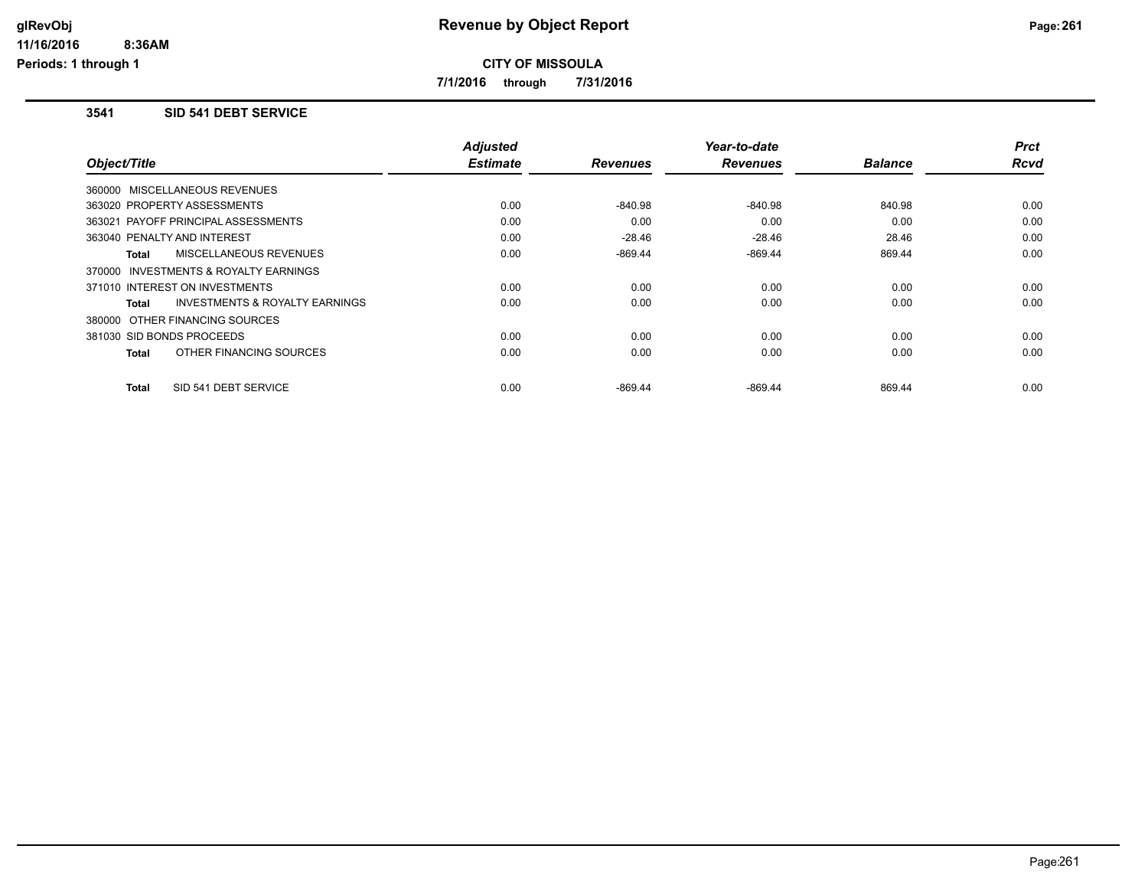**CITY OF MISSOULA**

**7/1/2016 through 7/31/2016**

#### **3541 SID 541 DEBT SERVICE**

| Object/Title                                       | <b>Adjusted</b><br><b>Estimate</b> | <b>Revenues</b> | Year-to-date<br><b>Revenues</b> | <b>Balance</b> | <b>Prct</b><br>Rcvd |
|----------------------------------------------------|------------------------------------|-----------------|---------------------------------|----------------|---------------------|
| 360000 MISCELLANEOUS REVENUES                      |                                    |                 |                                 |                |                     |
| 363020 PROPERTY ASSESSMENTS                        | 0.00                               | $-840.98$       | $-840.98$                       | 840.98         | 0.00                |
| 363021 PAYOFF PRINCIPAL ASSESSMENTS                | 0.00                               | 0.00            | 0.00                            | 0.00           | 0.00                |
| 363040 PENALTY AND INTEREST                        | 0.00                               | $-28.46$        | $-28.46$                        | 28.46          | 0.00                |
| <b>MISCELLANEOUS REVENUES</b><br>Total             | 0.00                               | $-869.44$       | $-869.44$                       | 869.44         | 0.00                |
| 370000 INVESTMENTS & ROYALTY EARNINGS              |                                    |                 |                                 |                |                     |
| 371010 INTEREST ON INVESTMENTS                     | 0.00                               | 0.00            | 0.00                            | 0.00           | 0.00                |
| <b>INVESTMENTS &amp; ROYALTY EARNINGS</b><br>Total | 0.00                               | 0.00            | 0.00                            | 0.00           | 0.00                |
| 380000 OTHER FINANCING SOURCES                     |                                    |                 |                                 |                |                     |
| 381030 SID BONDS PROCEEDS                          | 0.00                               | 0.00            | 0.00                            | 0.00           | 0.00                |
| OTHER FINANCING SOURCES<br><b>Total</b>            | 0.00                               | 0.00            | 0.00                            | 0.00           | 0.00                |
| SID 541 DEBT SERVICE<br><b>Total</b>               | 0.00                               | $-869.44$       | $-869.44$                       | 869.44         | 0.00                |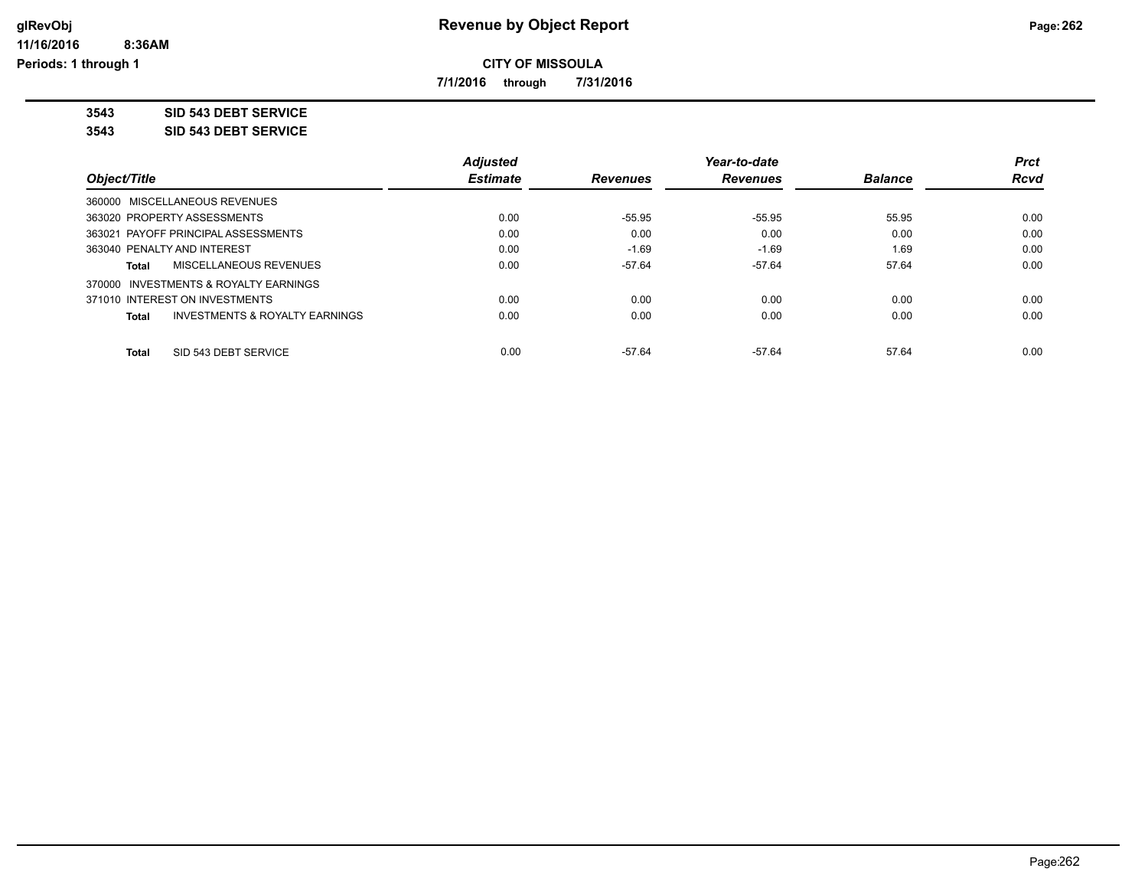**CITY OF MISSOULA**

**7/1/2016 through 7/31/2016**

**3543 SID 543 DEBT SERVICE**

**3543 SID 543 DEBT SERVICE**

|                                         | <b>Adjusted</b> |                 | Year-to-date    |                | <b>Prct</b> |
|-----------------------------------------|-----------------|-----------------|-----------------|----------------|-------------|
| Object/Title                            | <b>Estimate</b> | <b>Revenues</b> | <b>Revenues</b> | <b>Balance</b> | Rcvd        |
| 360000 MISCELLANEOUS REVENUES           |                 |                 |                 |                |             |
| 363020 PROPERTY ASSESSMENTS             | 0.00            | $-55.95$        | $-55.95$        | 55.95          | 0.00        |
| 363021 PAYOFF PRINCIPAL ASSESSMENTS     | 0.00            | 0.00            | 0.00            | 0.00           | 0.00        |
| 363040 PENALTY AND INTEREST             | 0.00            | $-1.69$         | $-1.69$         | 1.69           | 0.00        |
| MISCELLANEOUS REVENUES<br>Total         | 0.00            | $-57.64$        | $-57.64$        | 57.64          | 0.00        |
| 370000 INVESTMENTS & ROYALTY EARNINGS   |                 |                 |                 |                |             |
| 371010 INTEREST ON INVESTMENTS          | 0.00            | 0.00            | 0.00            | 0.00           | 0.00        |
| INVESTMENTS & ROYALTY EARNINGS<br>Total | 0.00            | 0.00            | 0.00            | 0.00           | 0.00        |
| SID 543 DEBT SERVICE<br><b>Total</b>    | 0.00            | $-57.64$        | $-57.64$        | 57.64          | 0.00        |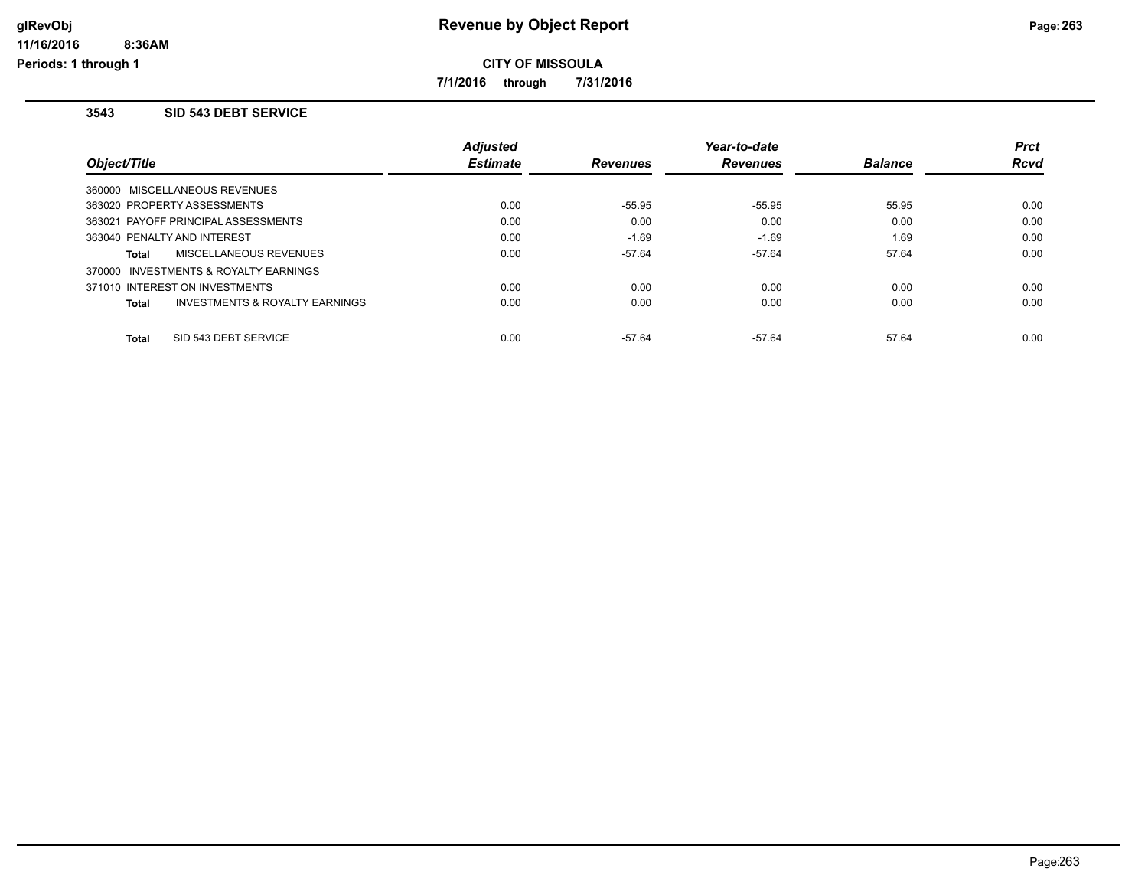**CITY OF MISSOULA**

**7/1/2016 through 7/31/2016**

#### **3543 SID 543 DEBT SERVICE**

|                                                | <b>Adiusted</b> |                 | Year-to-date    |                | <b>Prct</b> |
|------------------------------------------------|-----------------|-----------------|-----------------|----------------|-------------|
| Object/Title                                   | <b>Estimate</b> | <b>Revenues</b> | <b>Revenues</b> | <b>Balance</b> | Rcvd        |
| 360000 MISCELLANEOUS REVENUES                  |                 |                 |                 |                |             |
| 363020 PROPERTY ASSESSMENTS                    | 0.00            | $-55.95$        | $-55.95$        | 55.95          | 0.00        |
| 363021 PAYOFF PRINCIPAL ASSESSMENTS            | 0.00            | 0.00            | 0.00            | 0.00           | 0.00        |
| 363040 PENALTY AND INTEREST                    | 0.00            | $-1.69$         | $-1.69$         | 1.69           | 0.00        |
| MISCELLANEOUS REVENUES<br><b>Total</b>         | 0.00            | $-57.64$        | $-57.64$        | 57.64          | 0.00        |
| 370000 INVESTMENTS & ROYALTY EARNINGS          |                 |                 |                 |                |             |
| 371010 INTEREST ON INVESTMENTS                 | 0.00            | 0.00            | 0.00            | 0.00           | 0.00        |
| INVESTMENTS & ROYALTY EARNINGS<br><b>Total</b> | 0.00            | 0.00            | 0.00            | 0.00           | 0.00        |
| SID 543 DEBT SERVICE<br><b>Total</b>           | 0.00            | $-57.64$        | $-57.64$        | 57.64          | 0.00        |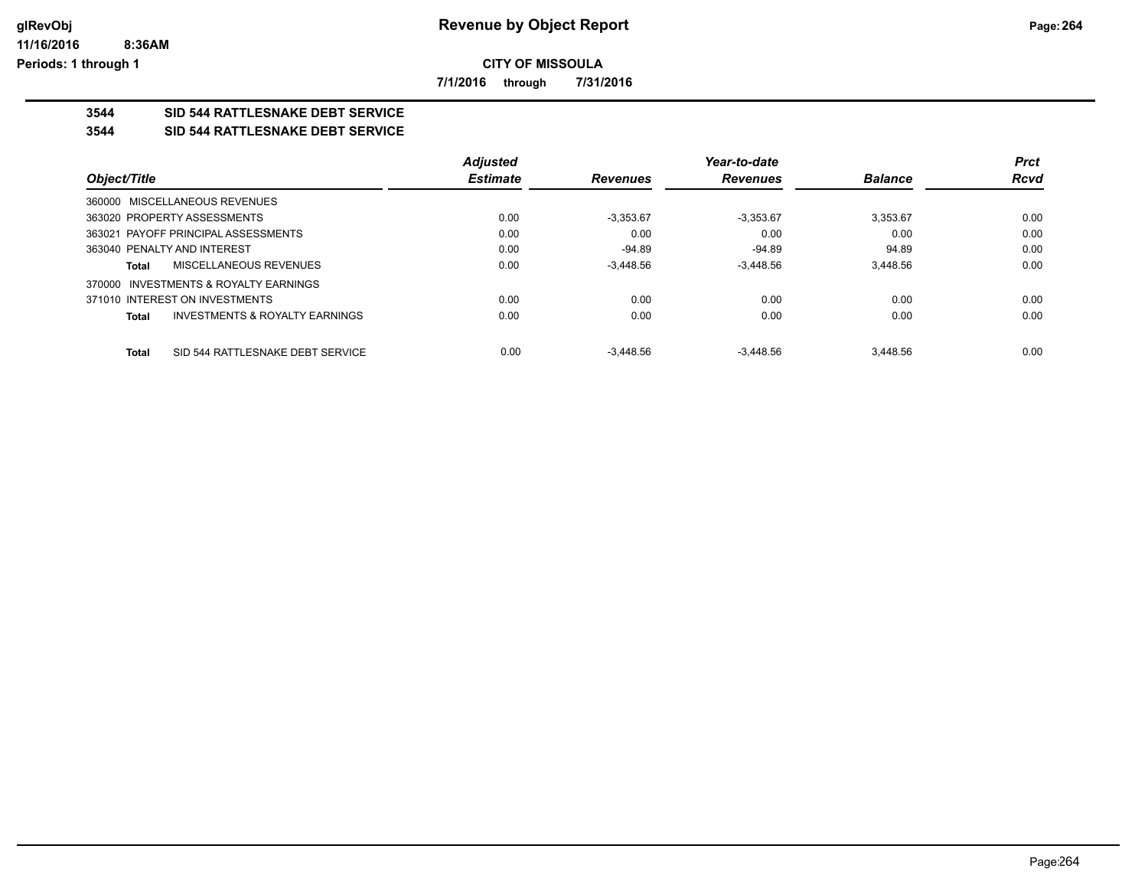**11/16/2016 8:36AM Periods: 1 through 1**

**CITY OF MISSOULA**

**7/1/2016 through 7/31/2016**

# **3544 SID 544 RATTLESNAKE DEBT SERVICE**

# **3544 SID 544 RATTLESNAKE DEBT SERVICE**

|                                                  | <b>Adjusted</b> |                 | Year-to-date    |                | <b>Prct</b> |
|--------------------------------------------------|-----------------|-----------------|-----------------|----------------|-------------|
| Object/Title                                     | <b>Estimate</b> | <b>Revenues</b> | <b>Revenues</b> | <b>Balance</b> | <b>Rcvd</b> |
| 360000 MISCELLANEOUS REVENUES                    |                 |                 |                 |                |             |
| 363020 PROPERTY ASSESSMENTS                      | 0.00            | $-3,353.67$     | $-3,353.67$     | 3,353.67       | 0.00        |
| 363021 PAYOFF PRINCIPAL ASSESSMENTS              | 0.00            | 0.00            | 0.00            | 0.00           | 0.00        |
| 363040 PENALTY AND INTEREST                      | 0.00            | $-94.89$        | $-94.89$        | 94.89          | 0.00        |
| MISCELLANEOUS REVENUES<br>Total                  | 0.00            | $-3.448.56$     | $-3.448.56$     | 3.448.56       | 0.00        |
| 370000 INVESTMENTS & ROYALTY EARNINGS            |                 |                 |                 |                |             |
| 371010 INTEREST ON INVESTMENTS                   | 0.00            | 0.00            | 0.00            | 0.00           | 0.00        |
| INVESTMENTS & ROYALTY EARNINGS<br>Total          | 0.00            | 0.00            | 0.00            | 0.00           | 0.00        |
| SID 544 RATTLESNAKE DEBT SERVICE<br><b>Total</b> | 0.00            | $-3.448.56$     | $-3.448.56$     | 3.448.56       | 0.00        |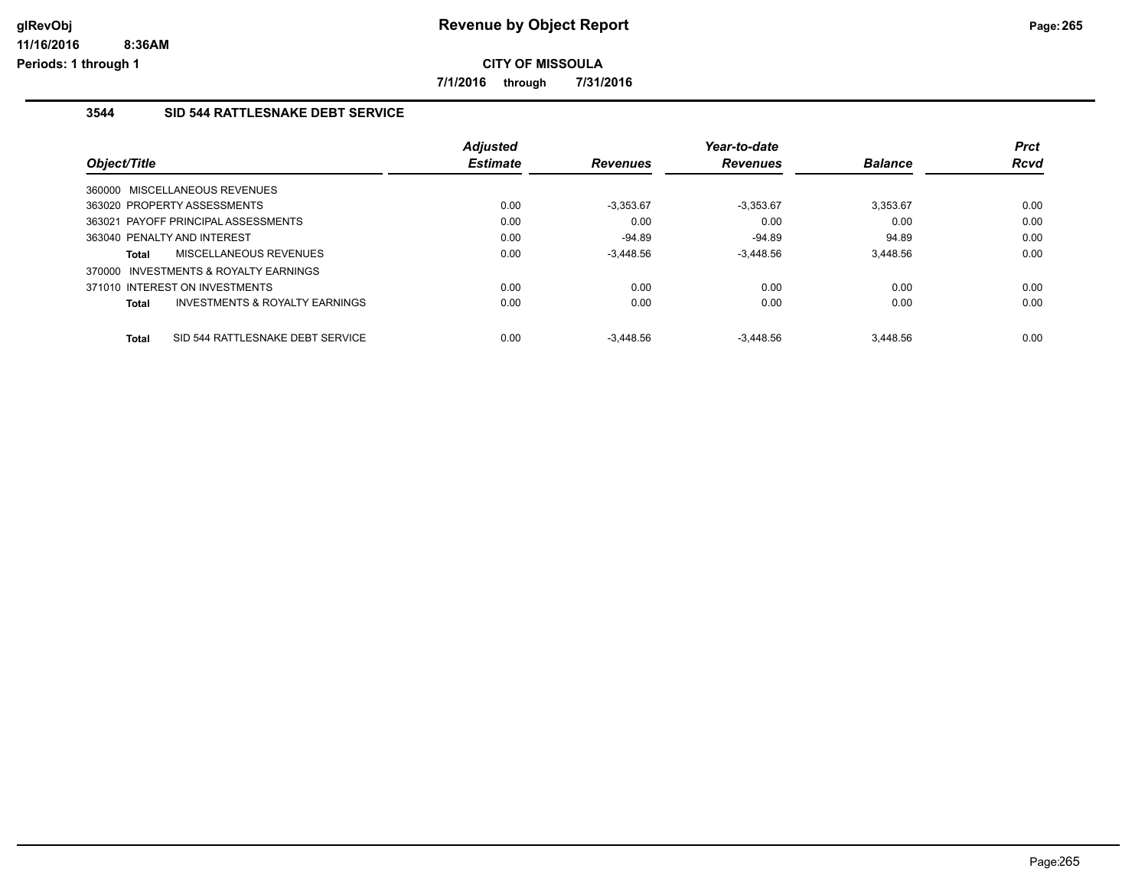**8:36AM**

**CITY OF MISSOULA**

**7/1/2016 through 7/31/2016**

## **3544 SID 544 RATTLESNAKE DEBT SERVICE**

|                                                  | <b>Adjusted</b> |                 | Year-to-date    |                | <b>Prct</b> |
|--------------------------------------------------|-----------------|-----------------|-----------------|----------------|-------------|
| Object/Title                                     | <b>Estimate</b> | <b>Revenues</b> | <b>Revenues</b> | <b>Balance</b> | Rcvd        |
| 360000 MISCELLANEOUS REVENUES                    |                 |                 |                 |                |             |
| 363020 PROPERTY ASSESSMENTS                      | 0.00            | $-3,353.67$     | $-3,353.67$     | 3.353.67       | 0.00        |
| 363021 PAYOFF PRINCIPAL ASSESSMENTS              | 0.00            | 0.00            | 0.00            | 0.00           | 0.00        |
| 363040 PENALTY AND INTEREST                      | 0.00            | $-94.89$        | $-94.89$        | 94.89          | 0.00        |
| MISCELLANEOUS REVENUES<br><b>Total</b>           | 0.00            | $-3.448.56$     | $-3.448.56$     | 3.448.56       | 0.00        |
| INVESTMENTS & ROYALTY EARNINGS<br>370000         |                 |                 |                 |                |             |
| 371010 INTEREST ON INVESTMENTS                   | 0.00            | 0.00            | 0.00            | 0.00           | 0.00        |
| INVESTMENTS & ROYALTY EARNINGS<br><b>Total</b>   | 0.00            | 0.00            | 0.00            | 0.00           | 0.00        |
| SID 544 RATTLESNAKE DEBT SERVICE<br><b>Total</b> | 0.00            | $-3.448.56$     | $-3.448.56$     | 3.448.56       | 0.00        |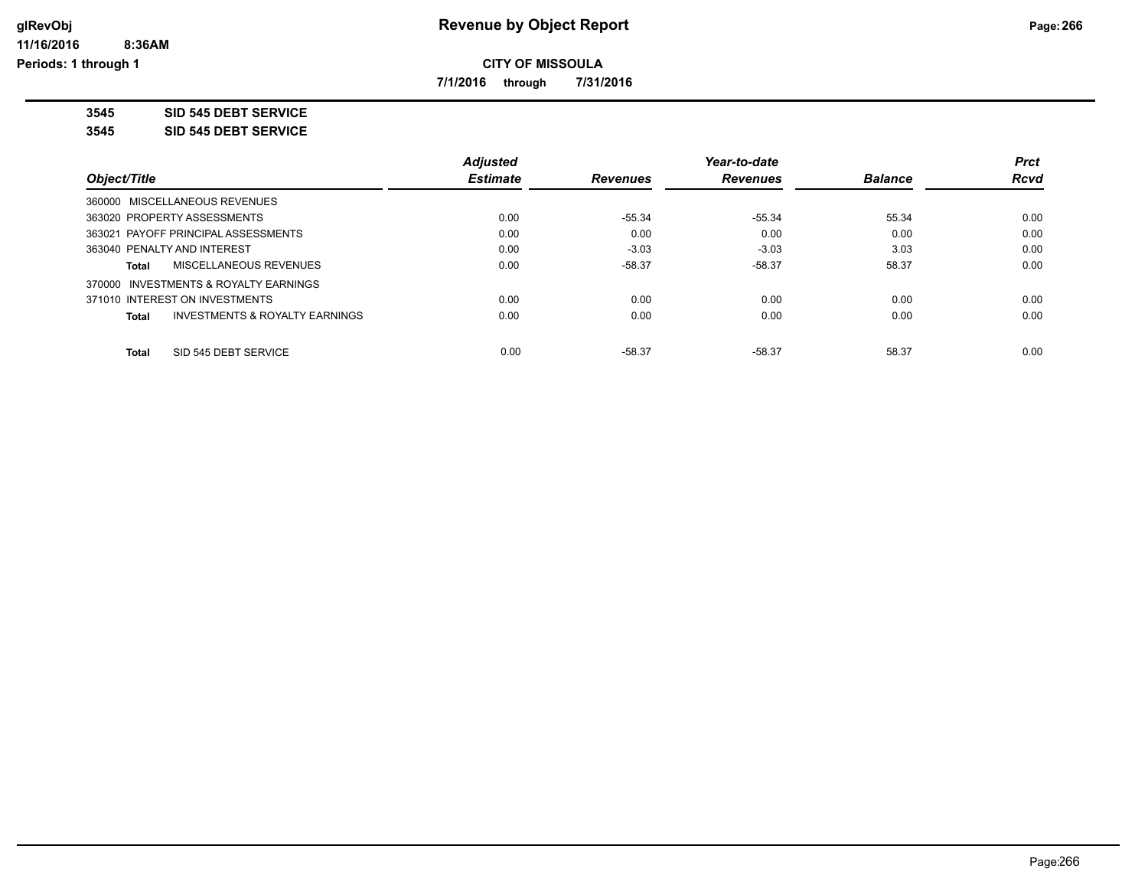**CITY OF MISSOULA**

**7/1/2016 through 7/31/2016**

**3545 SID 545 DEBT SERVICE**

**3545 SID 545 DEBT SERVICE**

|                                                    | <b>Adjusted</b> |                 | Year-to-date    |                | <b>Prct</b> |
|----------------------------------------------------|-----------------|-----------------|-----------------|----------------|-------------|
| Object/Title                                       | <b>Estimate</b> | <b>Revenues</b> | <b>Revenues</b> | <b>Balance</b> | Rcvd        |
| 360000 MISCELLANEOUS REVENUES                      |                 |                 |                 |                |             |
| 363020 PROPERTY ASSESSMENTS                        | 0.00            | $-55.34$        | $-55.34$        | 55.34          | 0.00        |
| 363021 PAYOFF PRINCIPAL ASSESSMENTS                | 0.00            | 0.00            | 0.00            | 0.00           | 0.00        |
| 363040 PENALTY AND INTEREST                        | 0.00            | $-3.03$         | $-3.03$         | 3.03           | 0.00        |
| MISCELLANEOUS REVENUES<br>Total                    | 0.00            | $-58.37$        | $-58.37$        | 58.37          | 0.00        |
| 370000 INVESTMENTS & ROYALTY EARNINGS              |                 |                 |                 |                |             |
| 371010 INTEREST ON INVESTMENTS                     | 0.00            | 0.00            | 0.00            | 0.00           | 0.00        |
| <b>INVESTMENTS &amp; ROYALTY EARNINGS</b><br>Total | 0.00            | 0.00            | 0.00            | 0.00           | 0.00        |
| SID 545 DEBT SERVICE<br><b>Total</b>               | 0.00            | $-58.37$        | $-58.37$        | 58.37          | 0.00        |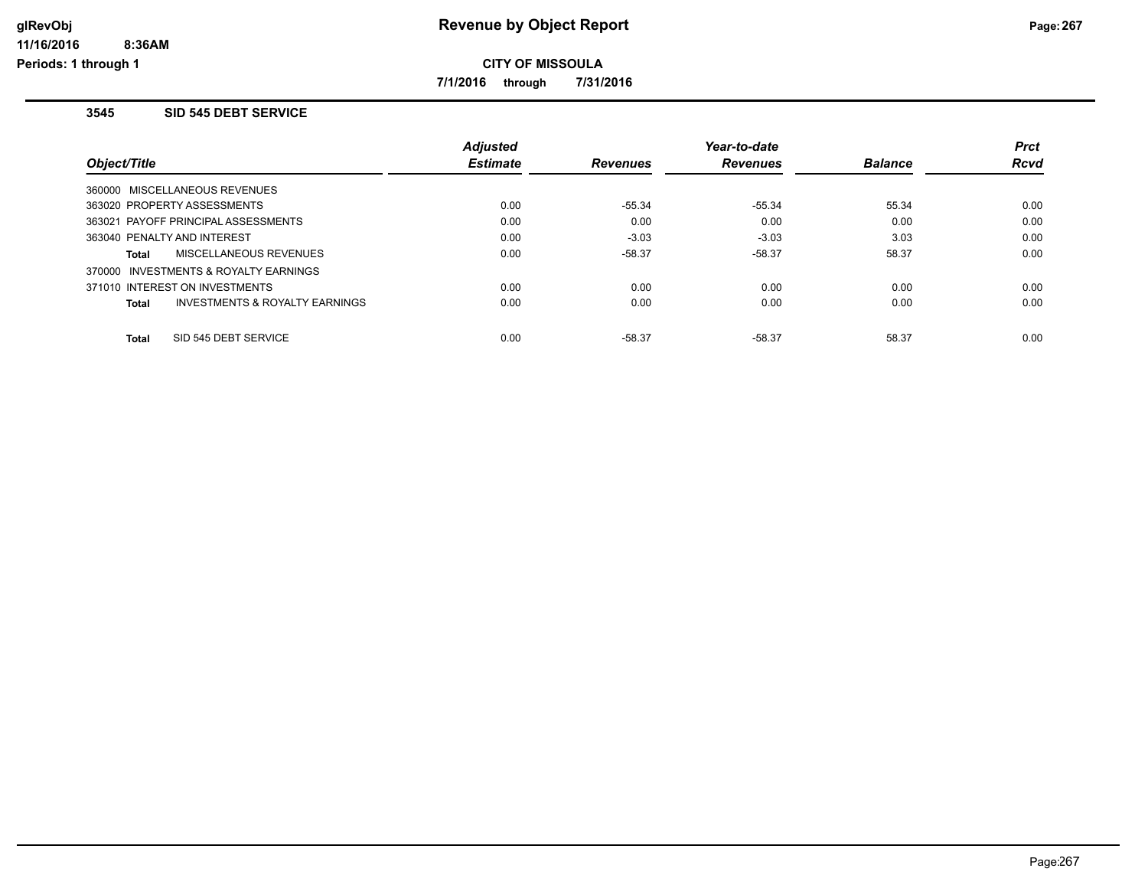**CITY OF MISSOULA**

**7/1/2016 through 7/31/2016**

#### **3545 SID 545 DEBT SERVICE**

|                                                    | <b>Adiusted</b> |                 | Year-to-date    |                | <b>Prct</b> |
|----------------------------------------------------|-----------------|-----------------|-----------------|----------------|-------------|
| Object/Title                                       | <b>Estimate</b> | <b>Revenues</b> | <b>Revenues</b> | <b>Balance</b> | Rcvd        |
| 360000 MISCELLANEOUS REVENUES                      |                 |                 |                 |                |             |
| 363020 PROPERTY ASSESSMENTS                        | 0.00            | $-55.34$        | $-55.34$        | 55.34          | 0.00        |
| 363021 PAYOFF PRINCIPAL ASSESSMENTS                | 0.00            | 0.00            | 0.00            | 0.00           | 0.00        |
| 363040 PENALTY AND INTEREST                        | 0.00            | $-3.03$         | $-3.03$         | 3.03           | 0.00        |
| MISCELLANEOUS REVENUES<br>Total                    | 0.00            | $-58.37$        | $-58.37$        | 58.37          | 0.00        |
| 370000 INVESTMENTS & ROYALTY EARNINGS              |                 |                 |                 |                |             |
| 371010 INTEREST ON INVESTMENTS                     | 0.00            | 0.00            | 0.00            | 0.00           | 0.00        |
| <b>INVESTMENTS &amp; ROYALTY EARNINGS</b><br>Total | 0.00            | 0.00            | 0.00            | 0.00           | 0.00        |
| SID 545 DEBT SERVICE<br>Total                      | 0.00            | $-58.37$        | $-58.37$        | 58.37          | 0.00        |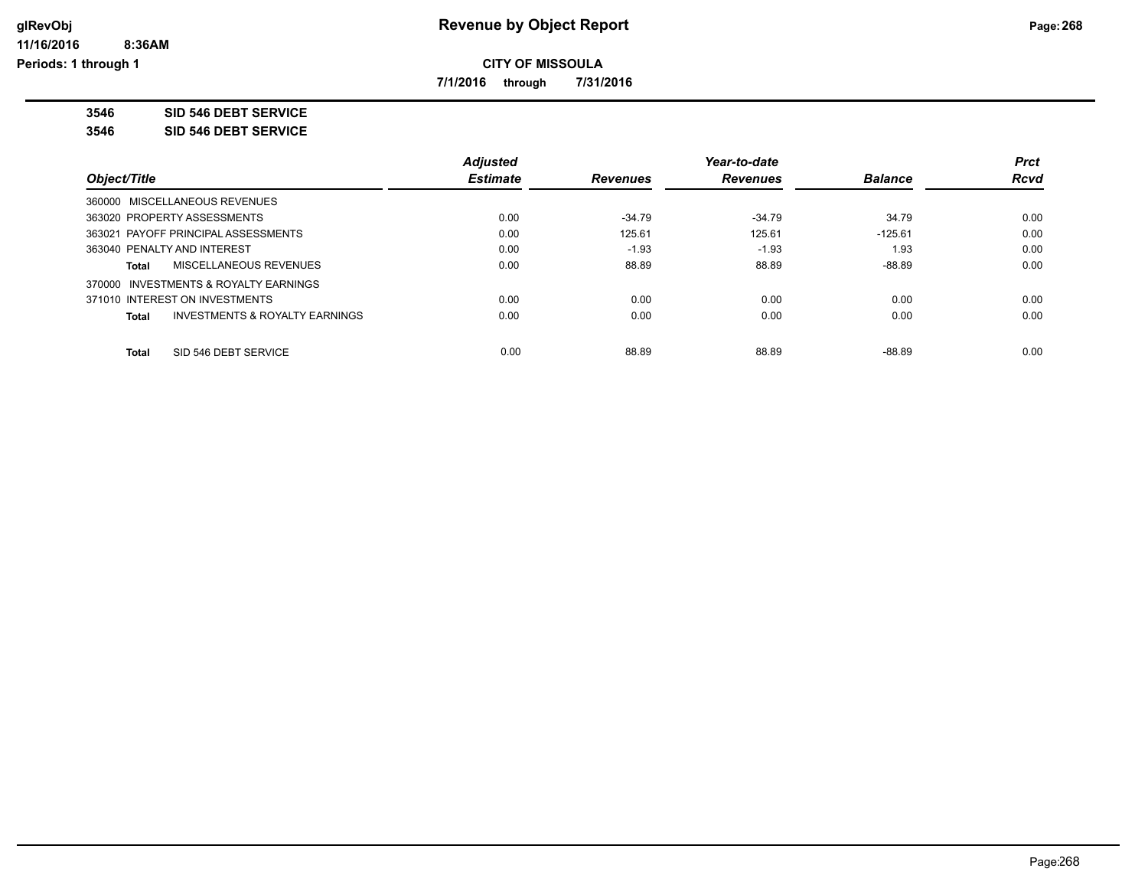**CITY OF MISSOULA**

**7/1/2016 through 7/31/2016**

**3546 SID 546 DEBT SERVICE**

**3546 SID 546 DEBT SERVICE**

|                                                    | <b>Adjusted</b> |                 | Year-to-date    |                | <b>Prct</b> |
|----------------------------------------------------|-----------------|-----------------|-----------------|----------------|-------------|
| Object/Title                                       | <b>Estimate</b> | <b>Revenues</b> | <b>Revenues</b> | <b>Balance</b> | <b>Rcvd</b> |
| 360000 MISCELLANEOUS REVENUES                      |                 |                 |                 |                |             |
| 363020 PROPERTY ASSESSMENTS                        | 0.00            | $-34.79$        | $-34.79$        | 34.79          | 0.00        |
| 363021 PAYOFF PRINCIPAL ASSESSMENTS                | 0.00            | 125.61          | 125.61          | $-125.61$      | 0.00        |
| 363040 PENALTY AND INTEREST                        | 0.00            | $-1.93$         | $-1.93$         | 1.93           | 0.00        |
| MISCELLANEOUS REVENUES<br>Total                    | 0.00            | 88.89           | 88.89           | $-88.89$       | 0.00        |
| 370000 INVESTMENTS & ROYALTY EARNINGS              |                 |                 |                 |                |             |
| 371010 INTEREST ON INVESTMENTS                     | 0.00            | 0.00            | 0.00            | 0.00           | 0.00        |
| <b>INVESTMENTS &amp; ROYALTY EARNINGS</b><br>Total | 0.00            | 0.00            | 0.00            | 0.00           | 0.00        |
| SID 546 DEBT SERVICE<br><b>Total</b>               | 0.00            | 88.89           | 88.89           | $-88.89$       | 0.00        |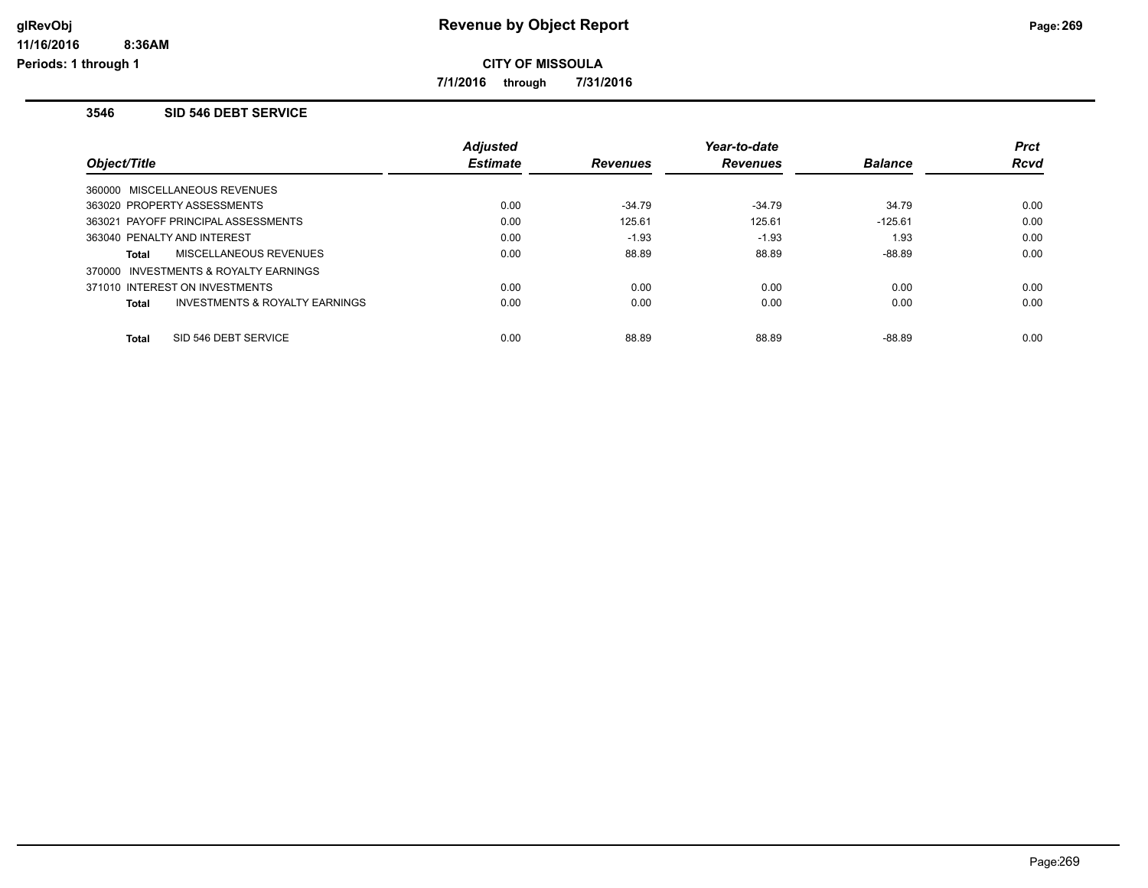**CITY OF MISSOULA**

**7/1/2016 through 7/31/2016**

#### **3546 SID 546 DEBT SERVICE**

|                                                     | <b>Adjusted</b> |                 | Year-to-date    |                | <b>Prct</b> |
|-----------------------------------------------------|-----------------|-----------------|-----------------|----------------|-------------|
| Object/Title                                        | <b>Estimate</b> | <b>Revenues</b> | <b>Revenues</b> | <b>Balance</b> | <b>Rcvd</b> |
| 360000 MISCELLANEOUS REVENUES                       |                 |                 |                 |                |             |
| 363020 PROPERTY ASSESSMENTS                         | 0.00            | $-34.79$        | -34.79          | 34.79          | 0.00        |
| 363021 PAYOFF PRINCIPAL ASSESSMENTS                 | 0.00            | 125.61          | 125.61          | $-125.61$      | 0.00        |
| 363040 PENALTY AND INTEREST                         | 0.00            | $-1.93$         | $-1.93$         | 1.93           | 0.00        |
| MISCELLANEOUS REVENUES<br>Total                     | 0.00            | 88.89           | 88.89           | $-88.89$       | 0.00        |
| <b>INVESTMENTS &amp; ROYALTY EARNINGS</b><br>370000 |                 |                 |                 |                |             |
| 371010 INTEREST ON INVESTMENTS                      | 0.00            | 0.00            | 0.00            | 0.00           | 0.00        |
| INVESTMENTS & ROYALTY EARNINGS<br>Total             | 0.00            | 0.00            | 0.00            | 0.00           | 0.00        |
| SID 546 DEBT SERVICE<br><b>Total</b>                | 0.00            | 88.89           | 88.89           | $-88.89$       | 0.00        |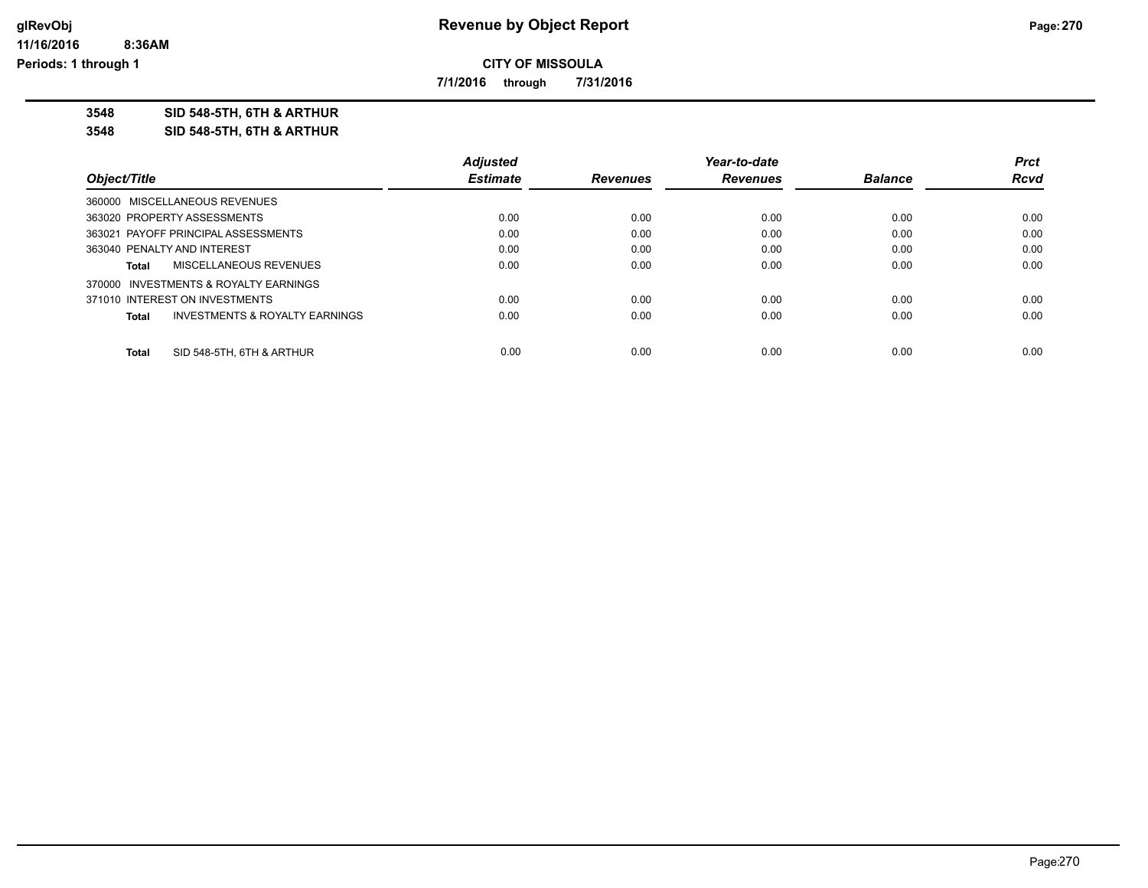**CITY OF MISSOULA**

**7/1/2016 through 7/31/2016**

**3548 SID 548-5TH, 6TH & ARTHUR**

 **8:36AM**

**3548 SID 548-5TH, 6TH & ARTHUR**

|                                                    | <b>Adjusted</b> |                 | Year-to-date    |                | <b>Prct</b> |
|----------------------------------------------------|-----------------|-----------------|-----------------|----------------|-------------|
| Object/Title                                       | <b>Estimate</b> | <b>Revenues</b> | <b>Revenues</b> | <b>Balance</b> | <b>Rcvd</b> |
| 360000 MISCELLANEOUS REVENUES                      |                 |                 |                 |                |             |
| 363020 PROPERTY ASSESSMENTS                        | 0.00            | 0.00            | 0.00            | 0.00           | 0.00        |
| 363021 PAYOFF PRINCIPAL ASSESSMENTS                | 0.00            | 0.00            | 0.00            | 0.00           | 0.00        |
| 363040 PENALTY AND INTEREST                        | 0.00            | 0.00            | 0.00            | 0.00           | 0.00        |
| MISCELLANEOUS REVENUES<br>Total                    | 0.00            | 0.00            | 0.00            | 0.00           | 0.00        |
| 370000 INVESTMENTS & ROYALTY EARNINGS              |                 |                 |                 |                |             |
| 371010 INTEREST ON INVESTMENTS                     | 0.00            | 0.00            | 0.00            | 0.00           | 0.00        |
| <b>INVESTMENTS &amp; ROYALTY EARNINGS</b><br>Total | 0.00            | 0.00            | 0.00            | 0.00           | 0.00        |
| SID 548-5TH, 6TH & ARTHUR<br>Total                 | 0.00            | 0.00            | 0.00            | 0.00           | 0.00        |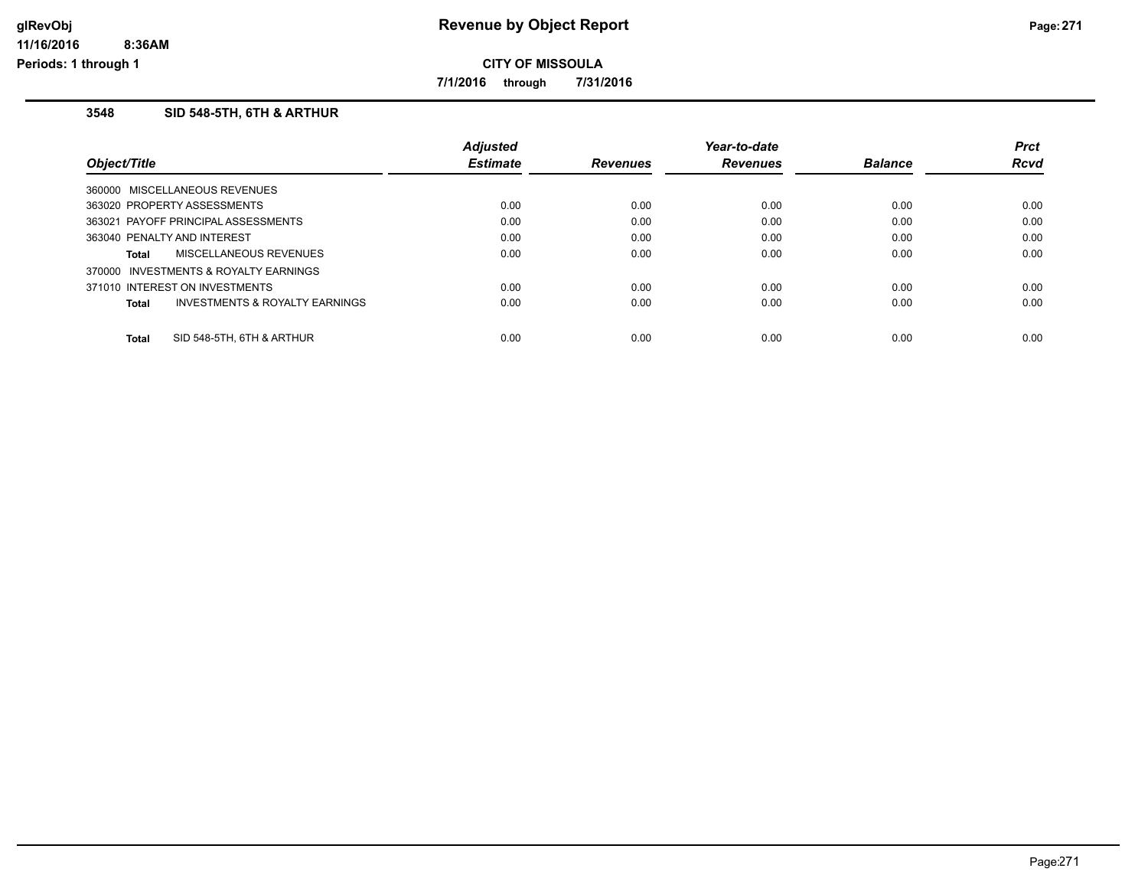**CITY OF MISSOULA**

**7/1/2016 through 7/31/2016**

## **3548 SID 548-5TH, 6TH & ARTHUR**

|              |                                       | <b>Adjusted</b> |                 | Year-to-date   |             | <b>Prct</b> |
|--------------|---------------------------------------|-----------------|-----------------|----------------|-------------|-------------|
| Object/Title | <b>Estimate</b>                       | <b>Revenues</b> | <b>Revenues</b> | <b>Balance</b> | <b>Rcvd</b> |             |
|              | 360000 MISCELLANEOUS REVENUES         |                 |                 |                |             |             |
|              | 363020 PROPERTY ASSESSMENTS           | 0.00            | 0.00            | 0.00           | 0.00        | 0.00        |
|              | 363021 PAYOFF PRINCIPAL ASSESSMENTS   | 0.00            | 0.00            | 0.00           | 0.00        | 0.00        |
|              | 363040 PENALTY AND INTEREST           | 0.00            | 0.00            | 0.00           | 0.00        | 0.00        |
| Total        | MISCELLANEOUS REVENUES                | 0.00            | 0.00            | 0.00           | 0.00        | 0.00        |
|              | 370000 INVESTMENTS & ROYALTY EARNINGS |                 |                 |                |             |             |
|              | 371010 INTEREST ON INVESTMENTS        | 0.00            | 0.00            | 0.00           | 0.00        | 0.00        |
| Total        | INVESTMENTS & ROYALTY EARNINGS        | 0.00            | 0.00            | 0.00           | 0.00        | 0.00        |
| <b>Total</b> | SID 548-5TH, 6TH & ARTHUR             | 0.00            | 0.00            | 0.00           | 0.00        | 0.00        |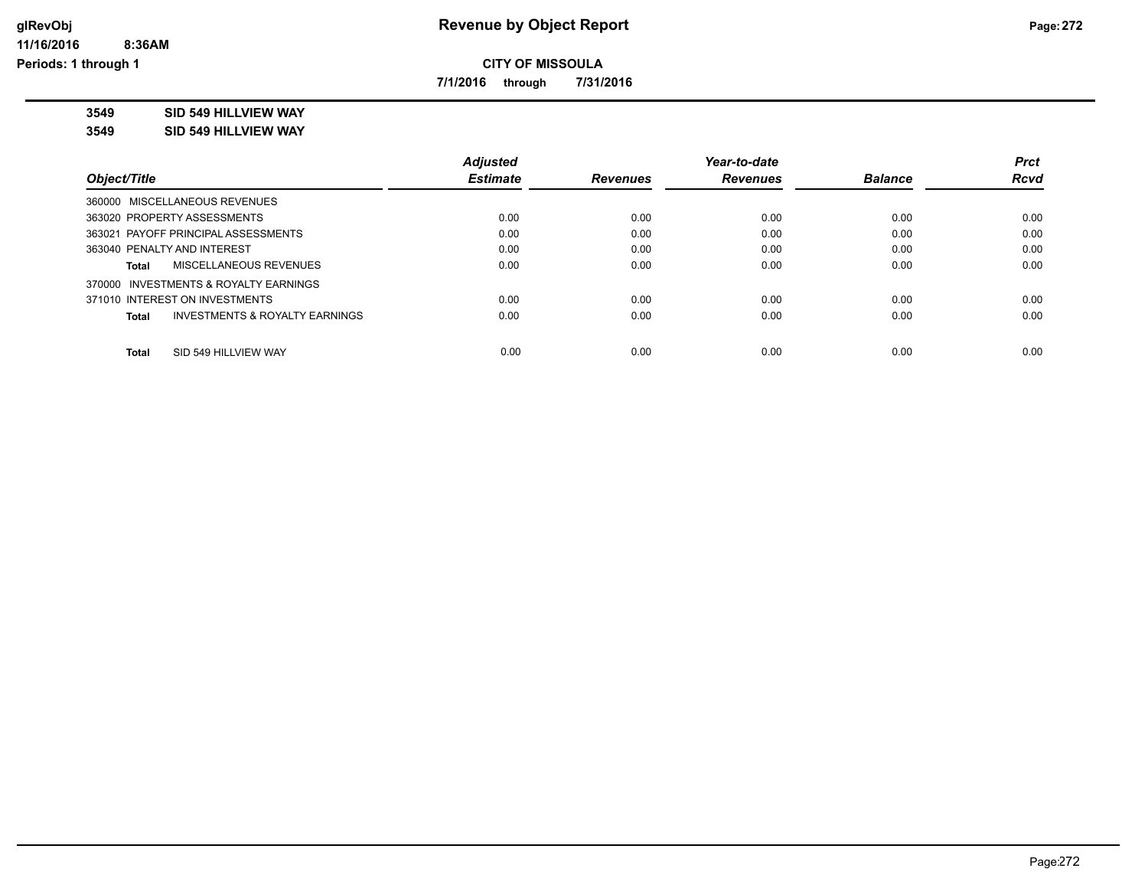**CITY OF MISSOULA**

**7/1/2016 through 7/31/2016**

**3549 SID 549 HILLVIEW WAY**

**3549 SID 549 HILLVIEW WAY**

|                                                    | <b>Adjusted</b> |                 | Year-to-date    |                | <b>Prct</b> |
|----------------------------------------------------|-----------------|-----------------|-----------------|----------------|-------------|
| Object/Title                                       | <b>Estimate</b> | <b>Revenues</b> | <b>Revenues</b> | <b>Balance</b> | <b>Rcvd</b> |
| 360000 MISCELLANEOUS REVENUES                      |                 |                 |                 |                |             |
| 363020 PROPERTY ASSESSMENTS                        | 0.00            | 0.00            | 0.00            | 0.00           | 0.00        |
| 363021 PAYOFF PRINCIPAL ASSESSMENTS                | 0.00            | 0.00            | 0.00            | 0.00           | 0.00        |
| 363040 PENALTY AND INTEREST                        | 0.00            | 0.00            | 0.00            | 0.00           | 0.00        |
| MISCELLANEOUS REVENUES<br>Total                    | 0.00            | 0.00            | 0.00            | 0.00           | 0.00        |
| 370000 INVESTMENTS & ROYALTY EARNINGS              |                 |                 |                 |                |             |
| 371010 INTEREST ON INVESTMENTS                     | 0.00            | 0.00            | 0.00            | 0.00           | 0.00        |
| <b>INVESTMENTS &amp; ROYALTY EARNINGS</b><br>Total | 0.00            | 0.00            | 0.00            | 0.00           | 0.00        |
| SID 549 HILLVIEW WAY<br>Total                      | 0.00            | 0.00            | 0.00            | 0.00           | 0.00        |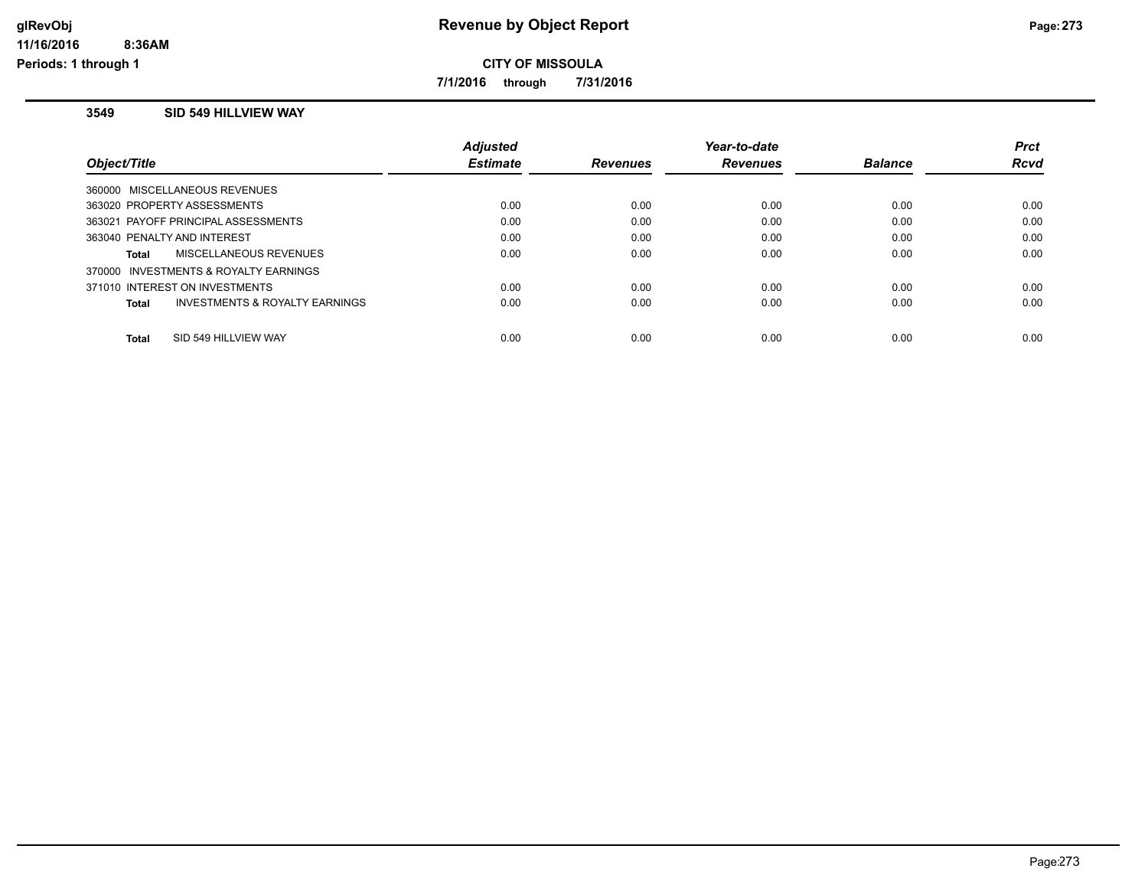**CITY OF MISSOULA**

**7/1/2016 through 7/31/2016**

#### **3549 SID 549 HILLVIEW WAY**

|                                                | <b>Adiusted</b> |                 | Year-to-date    |                | <b>Prct</b> |
|------------------------------------------------|-----------------|-----------------|-----------------|----------------|-------------|
| Obiect/Title                                   | <b>Estimate</b> | <b>Revenues</b> | <b>Revenues</b> | <b>Balance</b> | Rcvd        |
| 360000 MISCELLANEOUS REVENUES                  |                 |                 |                 |                |             |
| 363020 PROPERTY ASSESSMENTS                    | 0.00            | 0.00            | 0.00            | 0.00           | 0.00        |
| 363021 PAYOFF PRINCIPAL ASSESSMENTS            | 0.00            | 0.00            | 0.00            | 0.00           | 0.00        |
| 363040 PENALTY AND INTEREST                    | 0.00            | 0.00            | 0.00            | 0.00           | 0.00        |
| MISCELLANEOUS REVENUES<br><b>Total</b>         | 0.00            | 0.00            | 0.00            | 0.00           | 0.00        |
| 370000 INVESTMENTS & ROYALTY EARNINGS          |                 |                 |                 |                |             |
| 371010 INTEREST ON INVESTMENTS                 | 0.00            | 0.00            | 0.00            | 0.00           | 0.00        |
| INVESTMENTS & ROYALTY EARNINGS<br><b>Total</b> | 0.00            | 0.00            | 0.00            | 0.00           | 0.00        |
| SID 549 HILLVIEW WAY<br><b>Total</b>           | 0.00            | 0.00            | 0.00            | 0.00           | 0.00        |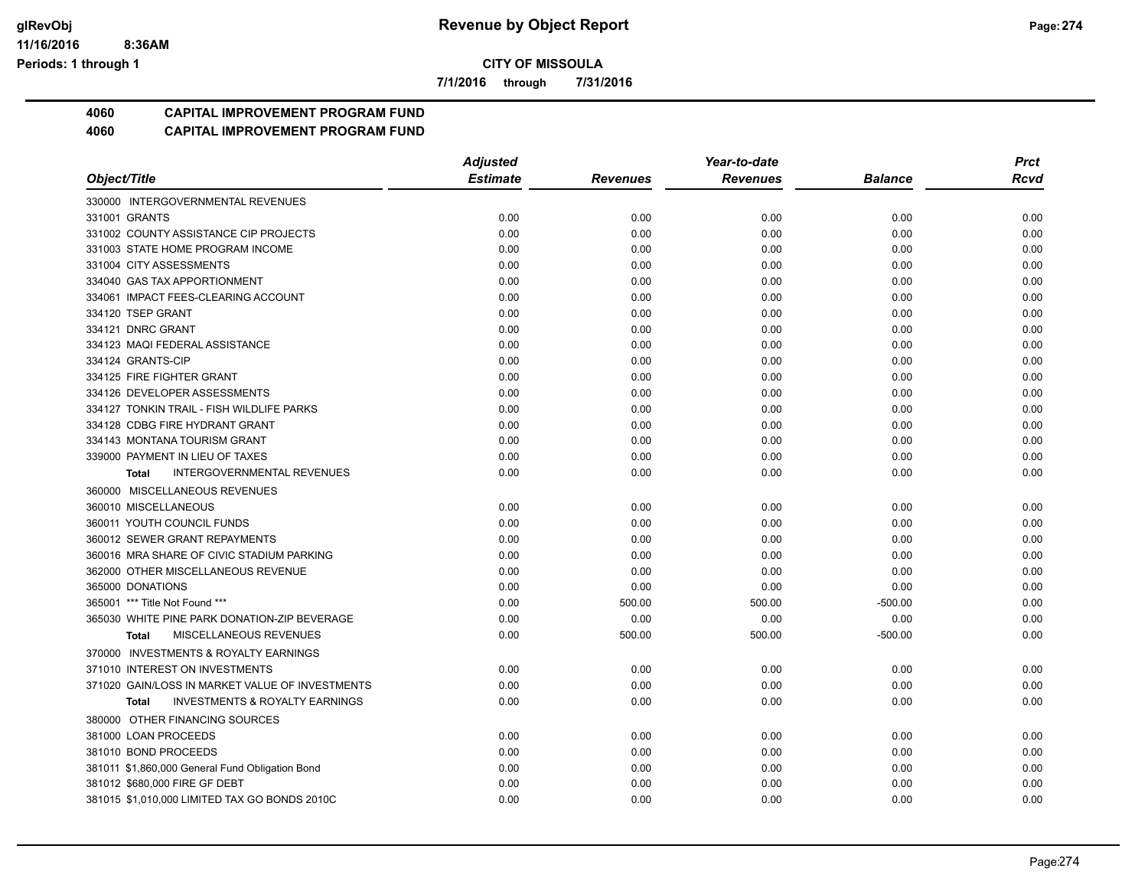**11/16/2016 8:36AM Periods: 1 through 1**

**CITY OF MISSOULA**

**7/1/2016 through 7/31/2016**

# **4060 CAPITAL IMPROVEMENT PROGRAM FUND**

|                                                           | <b>Adjusted</b> | Year-to-date    |                 |                | <b>Prct</b> |
|-----------------------------------------------------------|-----------------|-----------------|-----------------|----------------|-------------|
| Object/Title                                              | <b>Estimate</b> | <b>Revenues</b> | <b>Revenues</b> | <b>Balance</b> | <b>Rcvd</b> |
| 330000 INTERGOVERNMENTAL REVENUES                         |                 |                 |                 |                |             |
| 331001 GRANTS                                             | 0.00            | 0.00            | 0.00            | 0.00           | 0.00        |
| 331002 COUNTY ASSISTANCE CIP PROJECTS                     | 0.00            | 0.00            | 0.00            | 0.00           | 0.00        |
| 331003 STATE HOME PROGRAM INCOME                          | 0.00            | 0.00            | 0.00            | 0.00           | 0.00        |
| 331004 CITY ASSESSMENTS                                   | 0.00            | 0.00            | 0.00            | 0.00           | 0.00        |
| 334040 GAS TAX APPORTIONMENT                              | 0.00            | 0.00            | 0.00            | 0.00           | 0.00        |
| 334061 IMPACT FEES-CLEARING ACCOUNT                       | 0.00            | 0.00            | 0.00            | 0.00           | 0.00        |
| 334120 TSEP GRANT                                         | 0.00            | 0.00            | 0.00            | 0.00           | 0.00        |
| 334121 DNRC GRANT                                         | 0.00            | 0.00            | 0.00            | 0.00           | 0.00        |
| 334123 MAQI FEDERAL ASSISTANCE                            | 0.00            | 0.00            | 0.00            | 0.00           | 0.00        |
| 334124 GRANTS-CIP                                         | 0.00            | 0.00            | 0.00            | 0.00           | 0.00        |
| 334125 FIRE FIGHTER GRANT                                 | 0.00            | 0.00            | 0.00            | 0.00           | 0.00        |
| 334126 DEVELOPER ASSESSMENTS                              | 0.00            | 0.00            | 0.00            | 0.00           | 0.00        |
| 334127 TONKIN TRAIL - FISH WILDLIFE PARKS                 | 0.00            | 0.00            | 0.00            | 0.00           | 0.00        |
| 334128 CDBG FIRE HYDRANT GRANT                            | 0.00            | 0.00            | 0.00            | 0.00           | 0.00        |
| 334143 MONTANA TOURISM GRANT                              | 0.00            | 0.00            | 0.00            | 0.00           | 0.00        |
| 339000 PAYMENT IN LIEU OF TAXES                           | 0.00            | 0.00            | 0.00            | 0.00           | 0.00        |
| <b>INTERGOVERNMENTAL REVENUES</b><br><b>Total</b>         | 0.00            | 0.00            | 0.00            | 0.00           | 0.00        |
| 360000 MISCELLANEOUS REVENUES                             |                 |                 |                 |                |             |
| 360010 MISCELLANEOUS                                      | 0.00            | 0.00            | 0.00            | 0.00           | 0.00        |
| 360011 YOUTH COUNCIL FUNDS                                | 0.00            | 0.00            | 0.00            | 0.00           | 0.00        |
| 360012 SEWER GRANT REPAYMENTS                             | 0.00            | 0.00            | 0.00            | 0.00           | 0.00        |
| 360016 MRA SHARE OF CIVIC STADIUM PARKING                 | 0.00            | 0.00            | 0.00            | 0.00           | 0.00        |
| 362000 OTHER MISCELLANEOUS REVENUE                        | 0.00            | 0.00            | 0.00            | 0.00           | 0.00        |
| 365000 DONATIONS                                          | 0.00            | 0.00            | 0.00            | 0.00           | 0.00        |
| 365001 *** Title Not Found ***                            | 0.00            | 500.00          | 500.00          | $-500.00$      | 0.00        |
| 365030 WHITE PINE PARK DONATION-ZIP BEVERAGE              | 0.00            | 0.00            | 0.00            | 0.00           | 0.00        |
| MISCELLANEOUS REVENUES<br>Total                           | 0.00            | 500.00          | 500.00          | $-500.00$      | 0.00        |
| 370000 INVESTMENTS & ROYALTY EARNINGS                     |                 |                 |                 |                |             |
| 371010 INTEREST ON INVESTMENTS                            | 0.00            | 0.00            | 0.00            | 0.00           | 0.00        |
| 371020 GAIN/LOSS IN MARKET VALUE OF INVESTMENTS           | 0.00            | 0.00            | 0.00            | 0.00           | 0.00        |
| <b>INVESTMENTS &amp; ROYALTY EARNINGS</b><br><b>Total</b> | 0.00            | 0.00            | 0.00            | 0.00           | 0.00        |
| 380000 OTHER FINANCING SOURCES                            |                 |                 |                 |                |             |
| 381000 LOAN PROCEEDS                                      | 0.00            | 0.00            | 0.00            | 0.00           | 0.00        |
| 381010 BOND PROCEEDS                                      | 0.00            | 0.00            | 0.00            | 0.00           | 0.00        |
| 381011 \$1,860,000 General Fund Obligation Bond           | 0.00            | 0.00            | 0.00            | 0.00           | 0.00        |
| 381012 \$680,000 FIRE GF DEBT                             | 0.00            | 0.00            | 0.00            | 0.00           | 0.00        |
| 381015 \$1,010,000 LIMITED TAX GO BONDS 2010C             | 0.00            | 0.00            | 0.00            | 0.00           | 0.00        |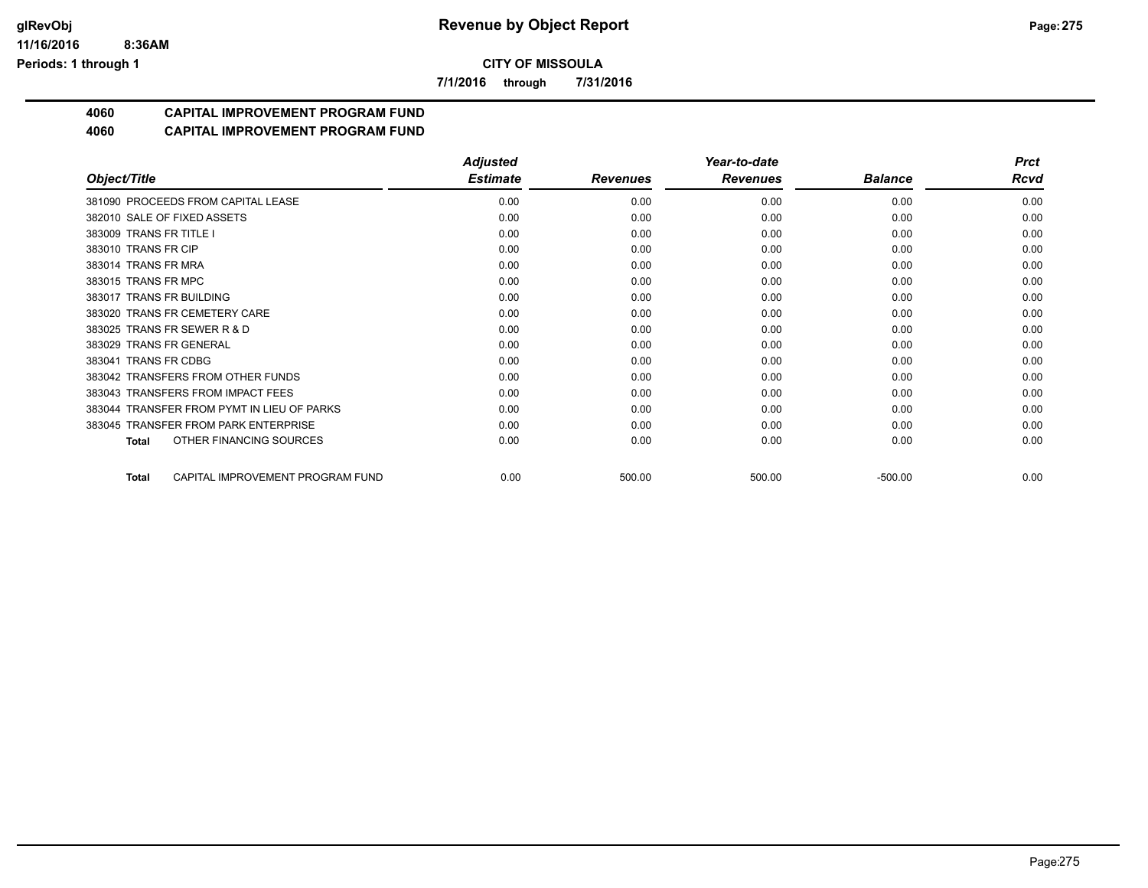**11/16/2016**

**CITY OF MISSOULA**

**7/1/2016 through 7/31/2016**

# **4060 CAPITAL IMPROVEMENT PROGRAM FUND**

|                                            | <b>Adjusted</b> |                 | Year-to-date    |                | Prct        |
|--------------------------------------------|-----------------|-----------------|-----------------|----------------|-------------|
| Object/Title                               | <b>Estimate</b> | <b>Revenues</b> | <b>Revenues</b> | <b>Balance</b> | <b>Rcvd</b> |
| 381090 PROCEEDS FROM CAPITAL LEASE         | 0.00            | 0.00            | 0.00            | 0.00           | 0.00        |
| 382010 SALE OF FIXED ASSETS                | 0.00            | 0.00            | 0.00            | 0.00           | 0.00        |
| 383009 TRANS FR TITLE I                    | 0.00            | 0.00            | 0.00            | 0.00           | 0.00        |
| 383010 TRANS FR CIP                        | 0.00            | 0.00            | 0.00            | 0.00           | 0.00        |
| 383014 TRANS FR MRA                        | 0.00            | 0.00            | 0.00            | 0.00           | 0.00        |
| 383015 TRANS FR MPC                        | 0.00            | 0.00            | 0.00            | 0.00           | 0.00        |
| 383017 TRANS FR BUILDING                   | 0.00            | 0.00            | 0.00            | 0.00           | 0.00        |
| 383020 TRANS FR CEMETERY CARE              | 0.00            | 0.00            | 0.00            | 0.00           | 0.00        |
| 383025 TRANS FR SEWER R & D                | 0.00            | 0.00            | 0.00            | 0.00           | 0.00        |
| 383029 TRANS FR GENERAL                    | 0.00            | 0.00            | 0.00            | 0.00           | 0.00        |
| 383041 TRANS FR CDBG                       | 0.00            | 0.00            | 0.00            | 0.00           | 0.00        |
| 383042 TRANSFERS FROM OTHER FUNDS          | 0.00            | 0.00            | 0.00            | 0.00           | 0.00        |
| 383043 TRANSFERS FROM IMPACT FEES          | 0.00            | 0.00            | 0.00            | 0.00           | 0.00        |
| 383044 TRANSFER FROM PYMT IN LIEU OF PARKS | 0.00            | 0.00            | 0.00            | 0.00           | 0.00        |
| 383045 TRANSFER FROM PARK ENTERPRISE       | 0.00            | 0.00            | 0.00            | 0.00           | 0.00        |
| OTHER FINANCING SOURCES<br><b>Total</b>    | 0.00            | 0.00            | 0.00            | 0.00           | 0.00        |
| CAPITAL IMPROVEMENT PROGRAM FUND<br>Total  | 0.00            | 500.00          | 500.00          | $-500.00$      | 0.00        |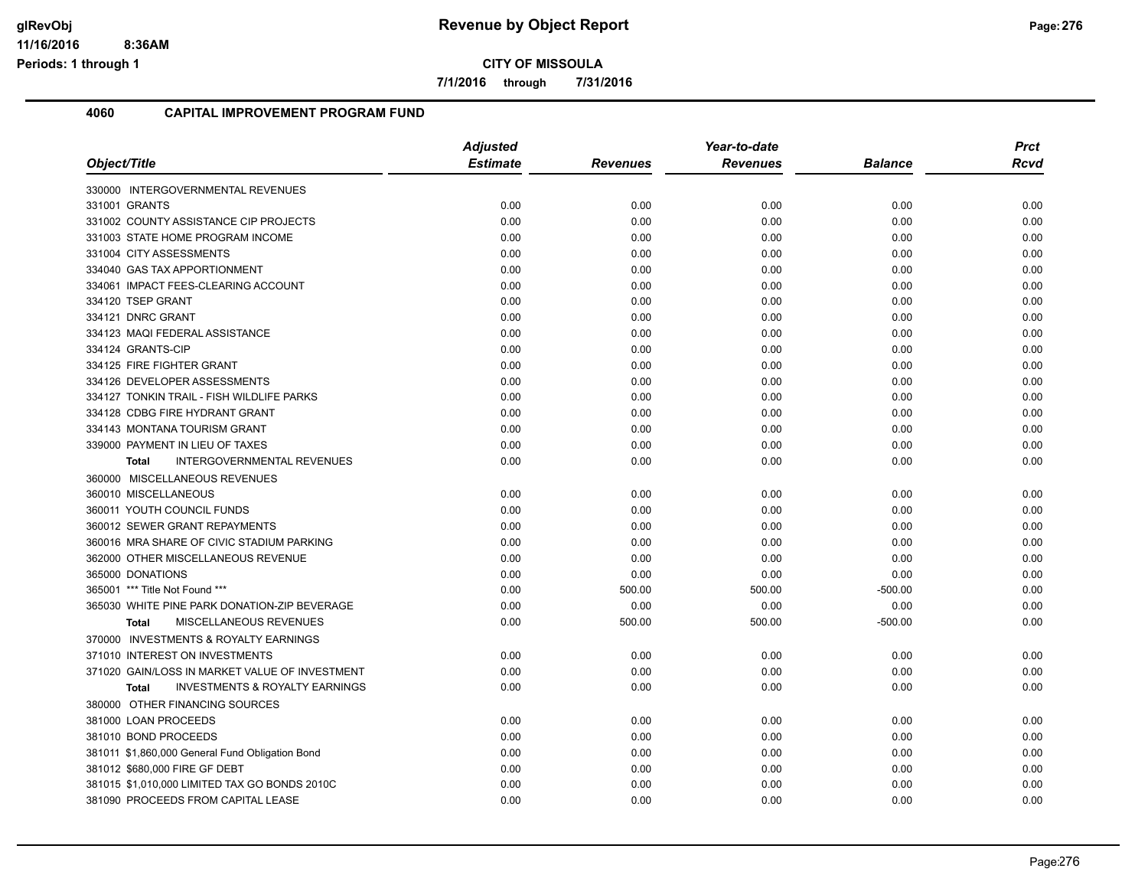**11/16/2016 8:36AM Periods: 1 through 1**

**CITY OF MISSOULA**

**7/1/2016 through 7/31/2016**

|                                                    | <b>Adjusted</b> |                 | Year-to-date    | <b>Prct</b>    |             |
|----------------------------------------------------|-----------------|-----------------|-----------------|----------------|-------------|
| Object/Title                                       | <b>Estimate</b> | <b>Revenues</b> | <b>Revenues</b> | <b>Balance</b> | <b>Rcvd</b> |
| 330000 INTERGOVERNMENTAL REVENUES                  |                 |                 |                 |                |             |
| 331001 GRANTS                                      | 0.00            | 0.00            | 0.00            | 0.00           | 0.00        |
| 331002 COUNTY ASSISTANCE CIP PROJECTS              | 0.00            | 0.00            | 0.00            | 0.00           | 0.00        |
| 331003 STATE HOME PROGRAM INCOME                   | 0.00            | 0.00            | 0.00            | 0.00           | 0.00        |
| 331004 CITY ASSESSMENTS                            | 0.00            | 0.00            | 0.00            | 0.00           | 0.00        |
| 334040 GAS TAX APPORTIONMENT                       | 0.00            | 0.00            | 0.00            | 0.00           | 0.00        |
| 334061 IMPACT FEES-CLEARING ACCOUNT                | 0.00            | 0.00            | 0.00            | 0.00           | 0.00        |
| 334120 TSEP GRANT                                  | 0.00            | 0.00            | 0.00            | 0.00           | 0.00        |
| 334121 DNRC GRANT                                  | 0.00            | 0.00            | 0.00            | 0.00           | 0.00        |
| 334123 MAQI FEDERAL ASSISTANCE                     | 0.00            | 0.00            | 0.00            | 0.00           | 0.00        |
| 334124 GRANTS-CIP                                  | 0.00            | 0.00            | 0.00            | 0.00           | 0.00        |
| 334125 FIRE FIGHTER GRANT                          | 0.00            | 0.00            | 0.00            | 0.00           | 0.00        |
| 334126 DEVELOPER ASSESSMENTS                       | 0.00            | 0.00            | 0.00            | 0.00           | 0.00        |
| 334127 TONKIN TRAIL - FISH WILDLIFE PARKS          | 0.00            | 0.00            | 0.00            | 0.00           | 0.00        |
| 334128 CDBG FIRE HYDRANT GRANT                     | 0.00            | 0.00            | 0.00            | 0.00           | 0.00        |
| 334143 MONTANA TOURISM GRANT                       | 0.00            | 0.00            | 0.00            | 0.00           | 0.00        |
| 339000 PAYMENT IN LIEU OF TAXES                    | 0.00            | 0.00            | 0.00            | 0.00           | 0.00        |
| <b>INTERGOVERNMENTAL REVENUES</b><br><b>Total</b>  | 0.00            | 0.00            | 0.00            | 0.00           | 0.00        |
| 360000 MISCELLANEOUS REVENUES                      |                 |                 |                 |                |             |
| 360010 MISCELLANEOUS                               | 0.00            | 0.00            | 0.00            | 0.00           | 0.00        |
| 360011 YOUTH COUNCIL FUNDS                         | 0.00            | 0.00            | 0.00            | 0.00           | 0.00        |
| 360012 SEWER GRANT REPAYMENTS                      | 0.00            | 0.00            | 0.00            | 0.00           | 0.00        |
| 360016 MRA SHARE OF CIVIC STADIUM PARKING          | 0.00            | 0.00            | 0.00            | 0.00           | 0.00        |
| 362000 OTHER MISCELLANEOUS REVENUE                 | 0.00            | 0.00            | 0.00            | 0.00           | 0.00        |
| 365000 DONATIONS                                   | 0.00            | 0.00            | 0.00            | 0.00           | 0.00        |
| 365001 *** Title Not Found ***                     | 0.00            | 500.00          | 500.00          | $-500.00$      | 0.00        |
| 365030 WHITE PINE PARK DONATION-ZIP BEVERAGE       | 0.00            | 0.00            | 0.00            | 0.00           | 0.00        |
| MISCELLANEOUS REVENUES<br><b>Total</b>             | 0.00            | 500.00          | 500.00          | $-500.00$      | 0.00        |
| 370000 INVESTMENTS & ROYALTY EARNINGS              |                 |                 |                 |                |             |
| 371010 INTEREST ON INVESTMENTS                     | 0.00            | 0.00            | 0.00            | 0.00           | 0.00        |
| 371020 GAIN/LOSS IN MARKET VALUE OF INVESTMENT     | 0.00            | 0.00            | 0.00            | 0.00           | 0.00        |
| <b>INVESTMENTS &amp; ROYALTY EARNINGS</b><br>Total | 0.00            | 0.00            | 0.00            | 0.00           | 0.00        |
| 380000 OTHER FINANCING SOURCES                     |                 |                 |                 |                |             |
| 381000 LOAN PROCEEDS                               | 0.00            | 0.00            | 0.00            | 0.00           | 0.00        |
| 381010 BOND PROCEEDS                               | 0.00            | 0.00            | 0.00            | 0.00           | 0.00        |
| 381011 \$1,860,000 General Fund Obligation Bond    | 0.00            | 0.00            | 0.00            | 0.00           | 0.00        |
| 381012 \$680,000 FIRE GF DEBT                      | 0.00            | 0.00            | 0.00            | 0.00           | 0.00        |
| 381015 \$1,010,000 LIMITED TAX GO BONDS 2010C      | 0.00            | 0.00            | 0.00            | 0.00           | 0.00        |
| 381090 PROCEEDS FROM CAPITAL LEASE                 | 0.00            | 0.00            | 0.00            | 0.00           | 0.00        |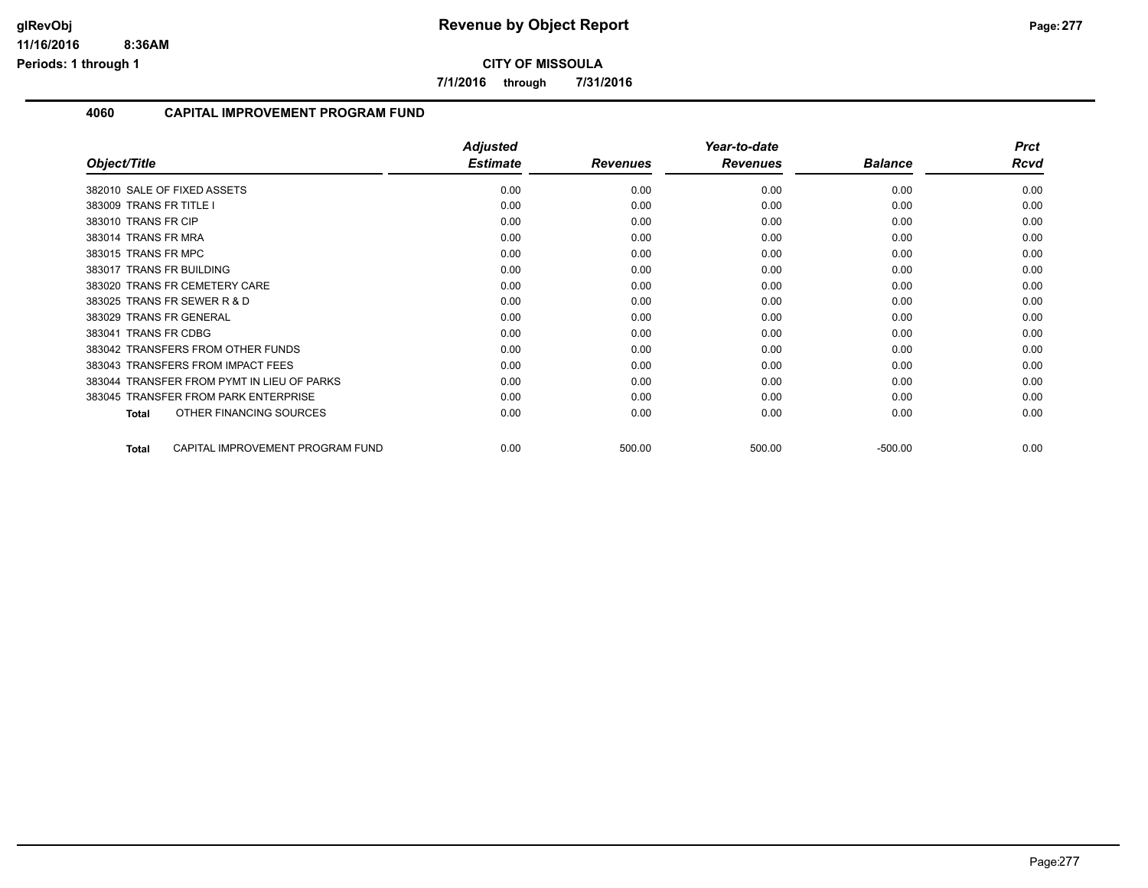**8:36AM**

**CITY OF MISSOULA**

**7/1/2016 through 7/31/2016**

|                                                  | <b>Adjusted</b> |                 | Year-to-date    |                | <b>Prct</b> |
|--------------------------------------------------|-----------------|-----------------|-----------------|----------------|-------------|
| Object/Title                                     | <b>Estimate</b> | <b>Revenues</b> | <b>Revenues</b> | <b>Balance</b> | Rcvd        |
| 382010 SALE OF FIXED ASSETS                      | 0.00            | 0.00            | 0.00            | 0.00           | 0.00        |
| 383009 TRANS FR TITLE I                          | 0.00            | 0.00            | 0.00            | 0.00           | 0.00        |
| 383010 TRANS FR CIP                              | 0.00            | 0.00            | 0.00            | 0.00           | 0.00        |
| 383014 TRANS FR MRA                              | 0.00            | 0.00            | 0.00            | 0.00           | 0.00        |
| 383015 TRANS FR MPC                              | 0.00            | 0.00            | 0.00            | 0.00           | 0.00        |
| 383017 TRANS FR BUILDING                         | 0.00            | 0.00            | 0.00            | 0.00           | 0.00        |
| 383020 TRANS FR CEMETERY CARE                    | 0.00            | 0.00            | 0.00            | 0.00           | 0.00        |
| 383025 TRANS FR SEWER R & D                      | 0.00            | 0.00            | 0.00            | 0.00           | 0.00        |
| 383029 TRANS FR GENERAL                          | 0.00            | 0.00            | 0.00            | 0.00           | 0.00        |
| 383041 TRANS FR CDBG                             | 0.00            | 0.00            | 0.00            | 0.00           | 0.00        |
| 383042 TRANSFERS FROM OTHER FUNDS                | 0.00            | 0.00            | 0.00            | 0.00           | 0.00        |
| 383043 TRANSFERS FROM IMPACT FEES                | 0.00            | 0.00            | 0.00            | 0.00           | 0.00        |
| 383044 TRANSFER FROM PYMT IN LIEU OF PARKS       | 0.00            | 0.00            | 0.00            | 0.00           | 0.00        |
| 383045 TRANSFER FROM PARK ENTERPRISE             | 0.00            | 0.00            | 0.00            | 0.00           | 0.00        |
| OTHER FINANCING SOURCES<br><b>Total</b>          | 0.00            | 0.00            | 0.00            | 0.00           | 0.00        |
| CAPITAL IMPROVEMENT PROGRAM FUND<br><b>Total</b> | 0.00            | 500.00          | 500.00          | $-500.00$      | 0.00        |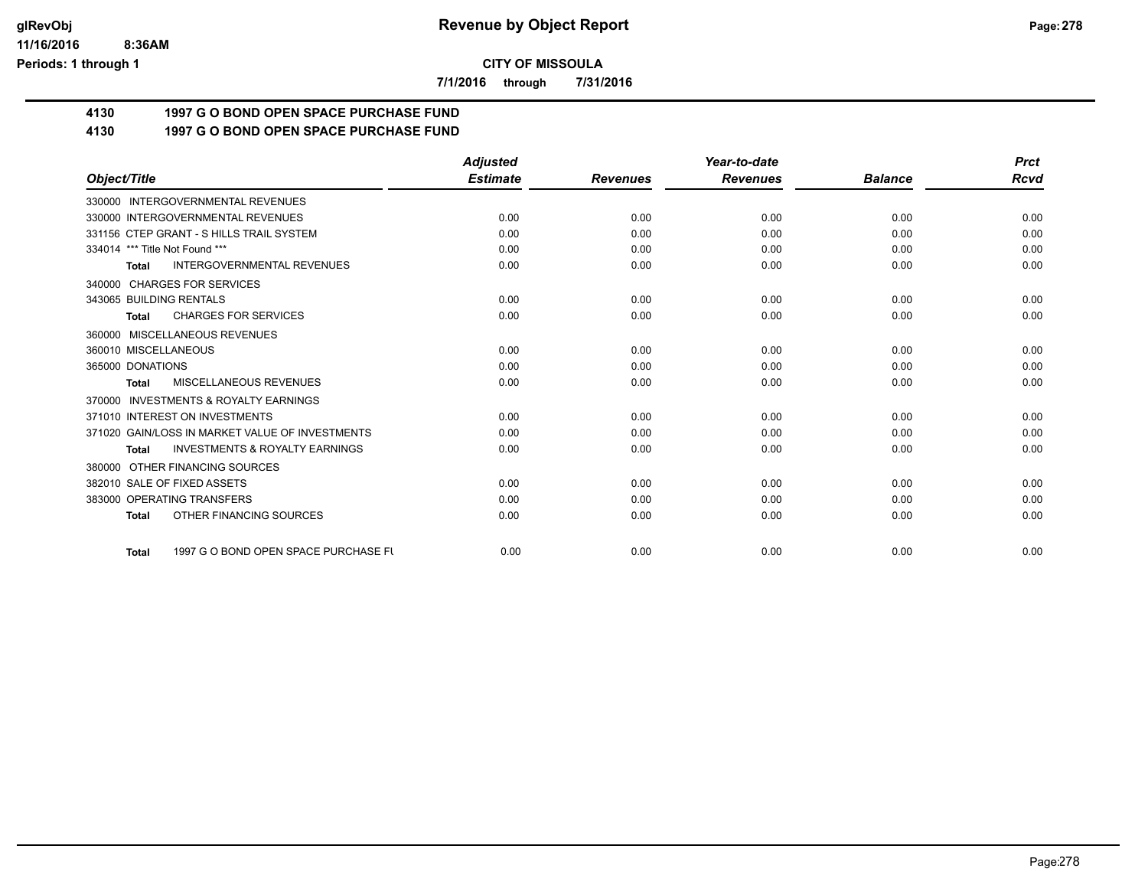**11/16/2016**

**CITY OF MISSOULA**

**7/1/2016 through 7/31/2016**

# **4130 1997 G O BOND OPEN SPACE PURCHASE FUND**

# **4130 1997 G O BOND OPEN SPACE PURCHASE FUND**

|                                                           | <b>Adjusted</b> |                 | Year-to-date    |                | <b>Prct</b> |
|-----------------------------------------------------------|-----------------|-----------------|-----------------|----------------|-------------|
| Object/Title                                              | <b>Estimate</b> | <b>Revenues</b> | <b>Revenues</b> | <b>Balance</b> | Rcvd        |
| 330000 INTERGOVERNMENTAL REVENUES                         |                 |                 |                 |                |             |
| 330000 INTERGOVERNMENTAL REVENUES                         | 0.00            | 0.00            | 0.00            | 0.00           | 0.00        |
| 331156 CTEP GRANT - S HILLS TRAIL SYSTEM                  | 0.00            | 0.00            | 0.00            | 0.00           | 0.00        |
| 334014 *** Title Not Found ***                            | 0.00            | 0.00            | 0.00            | 0.00           | 0.00        |
| <b>INTERGOVERNMENTAL REVENUES</b><br><b>Total</b>         | 0.00            | 0.00            | 0.00            | 0.00           | 0.00        |
| 340000 CHARGES FOR SERVICES                               |                 |                 |                 |                |             |
| 343065 BUILDING RENTALS                                   | 0.00            | 0.00            | 0.00            | 0.00           | 0.00        |
| <b>CHARGES FOR SERVICES</b><br><b>Total</b>               | 0.00            | 0.00            | 0.00            | 0.00           | 0.00        |
| 360000 MISCELLANEOUS REVENUES                             |                 |                 |                 |                |             |
| 360010 MISCELLANEOUS                                      | 0.00            | 0.00            | 0.00            | 0.00           | 0.00        |
| 365000 DONATIONS                                          | 0.00            | 0.00            | 0.00            | 0.00           | 0.00        |
| <b>MISCELLANEOUS REVENUES</b><br><b>Total</b>             | 0.00            | 0.00            | 0.00            | 0.00           | 0.00        |
| <b>INVESTMENTS &amp; ROYALTY EARNINGS</b><br>370000       |                 |                 |                 |                |             |
| 371010 INTEREST ON INVESTMENTS                            | 0.00            | 0.00            | 0.00            | 0.00           | 0.00        |
| 371020 GAIN/LOSS IN MARKET VALUE OF INVESTMENTS           | 0.00            | 0.00            | 0.00            | 0.00           | 0.00        |
| <b>INVESTMENTS &amp; ROYALTY EARNINGS</b><br><b>Total</b> | 0.00            | 0.00            | 0.00            | 0.00           | 0.00        |
| 380000 OTHER FINANCING SOURCES                            |                 |                 |                 |                |             |
| 382010 SALE OF FIXED ASSETS                               | 0.00            | 0.00            | 0.00            | 0.00           | 0.00        |
| 383000 OPERATING TRANSFERS                                | 0.00            | 0.00            | 0.00            | 0.00           | 0.00        |
| OTHER FINANCING SOURCES<br><b>Total</b>                   | 0.00            | 0.00            | 0.00            | 0.00           | 0.00        |
| 1997 G O BOND OPEN SPACE PURCHASE FI<br><b>Total</b>      | 0.00            | 0.00            | 0.00            | 0.00           | 0.00        |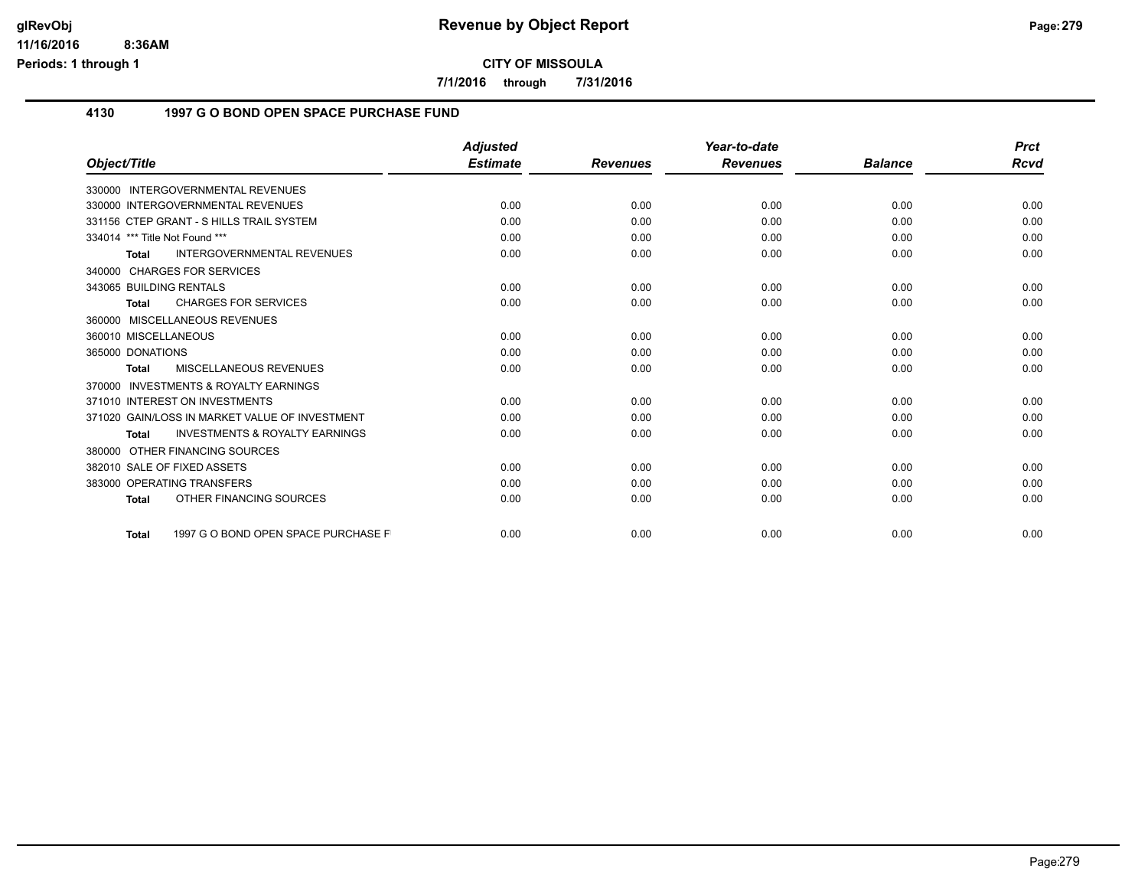**CITY OF MISSOULA**

**7/1/2016 through 7/31/2016**

#### **4130 1997 G O BOND OPEN SPACE PURCHASE FUND**

|                                                     | <b>Adjusted</b> |                 | Year-to-date    |                | <b>Prct</b> |
|-----------------------------------------------------|-----------------|-----------------|-----------------|----------------|-------------|
| Object/Title                                        | <b>Estimate</b> | <b>Revenues</b> | <b>Revenues</b> | <b>Balance</b> | Rcvd        |
| 330000 INTERGOVERNMENTAL REVENUES                   |                 |                 |                 |                |             |
| 330000 INTERGOVERNMENTAL REVENUES                   | 0.00            | 0.00            | 0.00            | 0.00           | 0.00        |
| 331156 CTEP GRANT - S HILLS TRAIL SYSTEM            | 0.00            | 0.00            | 0.00            | 0.00           | 0.00        |
| 334014 *** Title Not Found ***                      | 0.00            | 0.00            | 0.00            | 0.00           | 0.00        |
| <b>INTERGOVERNMENTAL REVENUES</b><br><b>Total</b>   | 0.00            | 0.00            | 0.00            | 0.00           | 0.00        |
| 340000 CHARGES FOR SERVICES                         |                 |                 |                 |                |             |
| 343065 BUILDING RENTALS                             | 0.00            | 0.00            | 0.00            | 0.00           | 0.00        |
| <b>CHARGES FOR SERVICES</b><br><b>Total</b>         | 0.00            | 0.00            | 0.00            | 0.00           | 0.00        |
| 360000 MISCELLANEOUS REVENUES                       |                 |                 |                 |                |             |
| 360010 MISCELLANEOUS                                | 0.00            | 0.00            | 0.00            | 0.00           | 0.00        |
| 365000 DONATIONS                                    | 0.00            | 0.00            | 0.00            | 0.00           | 0.00        |
| MISCELLANEOUS REVENUES<br><b>Total</b>              | 0.00            | 0.00            | 0.00            | 0.00           | 0.00        |
| 370000 INVESTMENTS & ROYALTY EARNINGS               |                 |                 |                 |                |             |
| 371010 INTEREST ON INVESTMENTS                      | 0.00            | 0.00            | 0.00            | 0.00           | 0.00        |
| 371020 GAIN/LOSS IN MARKET VALUE OF INVESTMENT      | 0.00            | 0.00            | 0.00            | 0.00           | 0.00        |
| <b>INVESTMENTS &amp; ROYALTY EARNINGS</b><br>Total  | 0.00            | 0.00            | 0.00            | 0.00           | 0.00        |
| 380000 OTHER FINANCING SOURCES                      |                 |                 |                 |                |             |
| 382010 SALE OF FIXED ASSETS                         | 0.00            | 0.00            | 0.00            | 0.00           | 0.00        |
| 383000 OPERATING TRANSFERS                          | 0.00            | 0.00            | 0.00            | 0.00           | 0.00        |
| OTHER FINANCING SOURCES<br>Total                    | 0.00            | 0.00            | 0.00            | 0.00           | 0.00        |
| 1997 G O BOND OPEN SPACE PURCHASE F<br><b>Total</b> | 0.00            | 0.00            | 0.00            | 0.00           | 0.00        |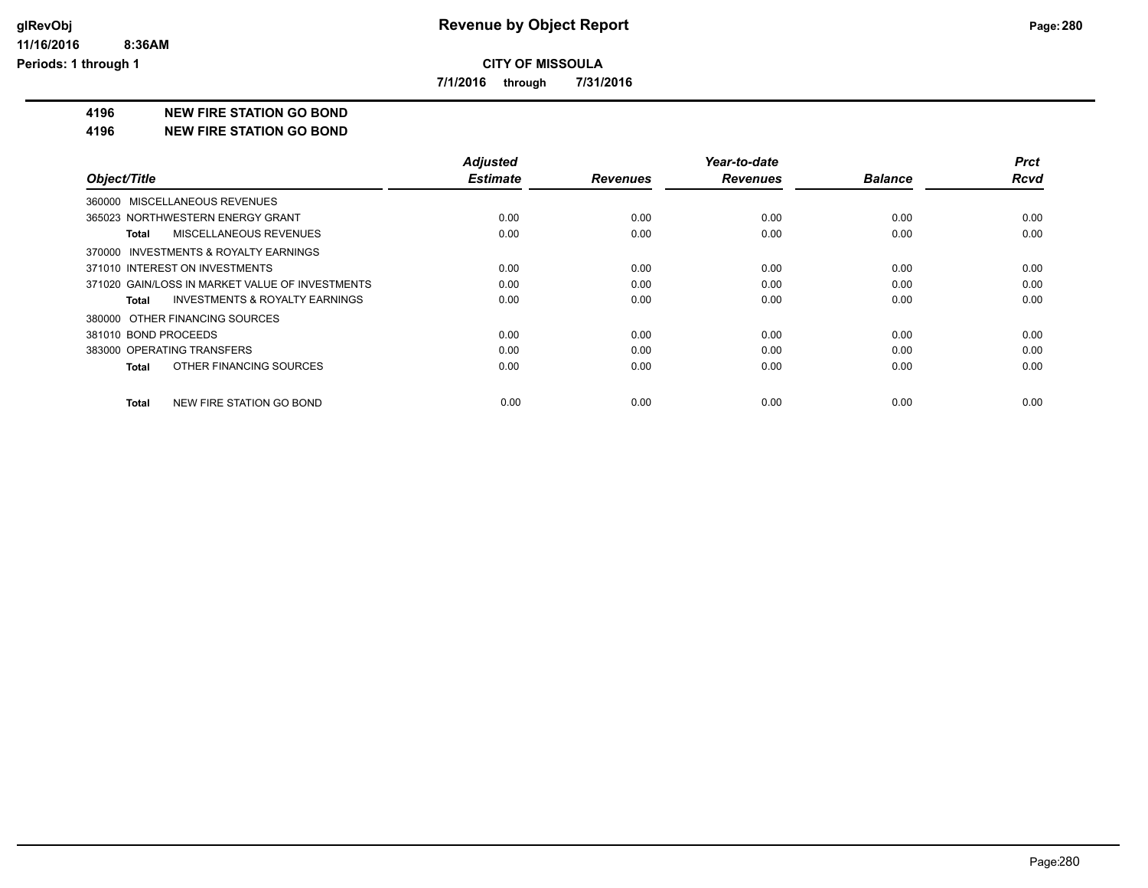**glRevObj Revenue by Object Report Page:280** 

**CITY OF MISSOULA**

**7/1/2016 through 7/31/2016**

**4196 NEW FIRE STATION GO BOND**

 **8:36AM**

#### **4196 NEW FIRE STATION GO BOND**

| Object/Title                                       | <b>Adjusted</b><br><b>Estimate</b> | <b>Revenues</b> | Year-to-date<br><b>Revenues</b> | <b>Balance</b> | <b>Prct</b><br><b>Rcvd</b> |
|----------------------------------------------------|------------------------------------|-----------------|---------------------------------|----------------|----------------------------|
|                                                    |                                    |                 |                                 |                |                            |
| 360000 MISCELLANEOUS REVENUES                      |                                    |                 |                                 |                |                            |
| 365023 NORTHWESTERN ENERGY GRANT                   | 0.00                               | 0.00            | 0.00                            | 0.00           | 0.00                       |
| <b>MISCELLANEOUS REVENUES</b><br>Total             | 0.00                               | 0.00            | 0.00                            | 0.00           | 0.00                       |
| 370000 INVESTMENTS & ROYALTY EARNINGS              |                                    |                 |                                 |                |                            |
| 371010 INTEREST ON INVESTMENTS                     | 0.00                               | 0.00            | 0.00                            | 0.00           | 0.00                       |
| 371020 GAIN/LOSS IN MARKET VALUE OF INVESTMENTS    | 0.00                               | 0.00            | 0.00                            | 0.00           | 0.00                       |
| <b>INVESTMENTS &amp; ROYALTY EARNINGS</b><br>Total | 0.00                               | 0.00            | 0.00                            | 0.00           | 0.00                       |
| 380000 OTHER FINANCING SOURCES                     |                                    |                 |                                 |                |                            |
| 381010 BOND PROCEEDS                               | 0.00                               | 0.00            | 0.00                            | 0.00           | 0.00                       |
| 383000 OPERATING TRANSFERS                         | 0.00                               | 0.00            | 0.00                            | 0.00           | 0.00                       |
| OTHER FINANCING SOURCES<br>Total                   | 0.00                               | 0.00            | 0.00                            | 0.00           | 0.00                       |
| NEW FIRE STATION GO BOND<br>Total                  | 0.00                               | 0.00            | 0.00                            | 0.00           | 0.00                       |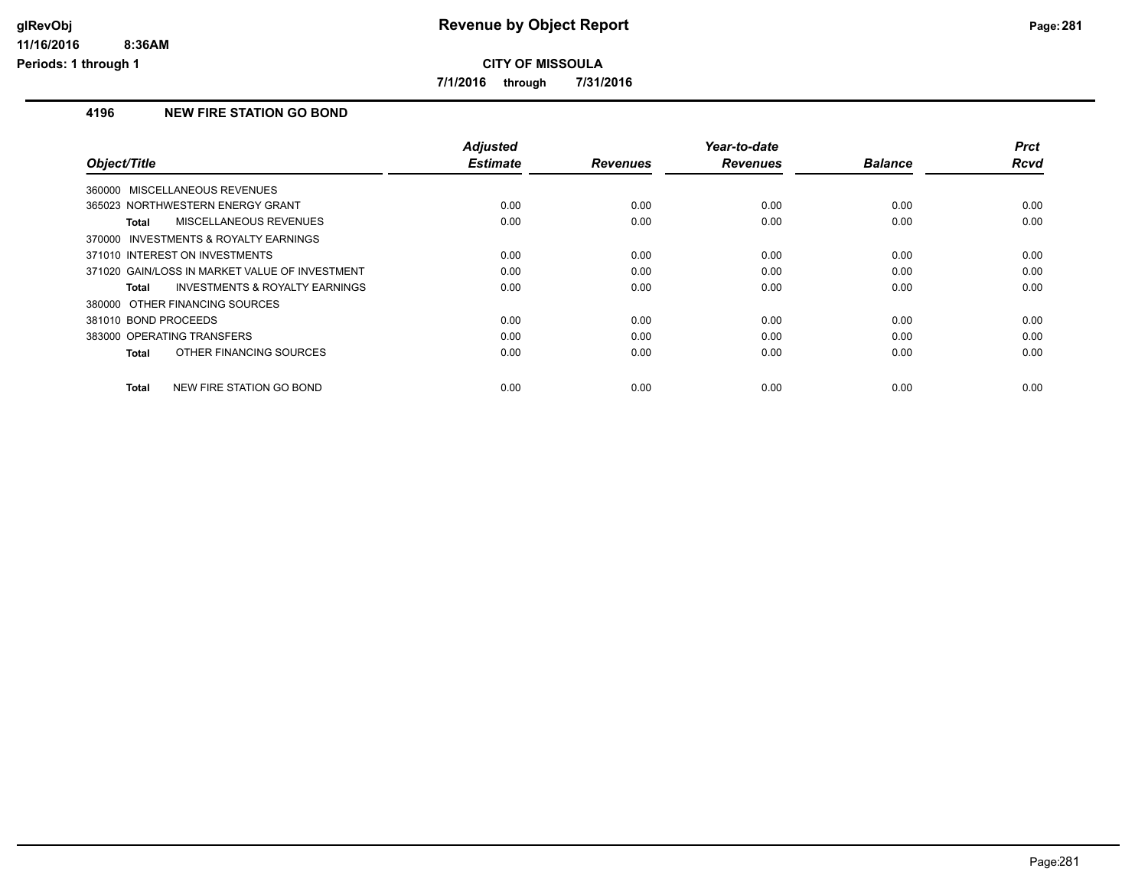**CITY OF MISSOULA**

**7/1/2016 through 7/31/2016**

## **4196 NEW FIRE STATION GO BOND**

| Object/Title                                    | <b>Adjusted</b><br><b>Estimate</b> | <b>Revenues</b> | Year-to-date<br><b>Revenues</b> | <b>Balance</b> | <b>Prct</b><br><b>Rcvd</b> |
|-------------------------------------------------|------------------------------------|-----------------|---------------------------------|----------------|----------------------------|
|                                                 |                                    |                 |                                 |                |                            |
| 360000 MISCELLANEOUS REVENUES                   |                                    |                 |                                 |                |                            |
| 365023 NORTHWESTERN ENERGY GRANT                | 0.00                               | 0.00            | 0.00                            | 0.00           | 0.00                       |
| MISCELLANEOUS REVENUES<br><b>Total</b>          | 0.00                               | 0.00            | 0.00                            | 0.00           | 0.00                       |
| 370000 INVESTMENTS & ROYALTY EARNINGS           |                                    |                 |                                 |                |                            |
| 371010 INTEREST ON INVESTMENTS                  | 0.00                               | 0.00            | 0.00                            | 0.00           | 0.00                       |
| 371020 GAIN/LOSS IN MARKET VALUE OF INVESTMENT  | 0.00                               | 0.00            | 0.00                            | 0.00           | 0.00                       |
| INVESTMENTS & ROYALTY EARNINGS<br>Total         | 0.00                               | 0.00            | 0.00                            | 0.00           | 0.00                       |
| 380000 OTHER FINANCING SOURCES                  |                                    |                 |                                 |                |                            |
| 381010 BOND PROCEEDS                            | 0.00                               | 0.00            | 0.00                            | 0.00           | 0.00                       |
| 383000 OPERATING TRANSFERS                      | 0.00                               | 0.00            | 0.00                            | 0.00           | 0.00                       |
| OTHER FINANCING SOURCES<br><b>Total</b>         | 0.00                               | 0.00            | 0.00                            | 0.00           | 0.00                       |
| <b>NEW FIRE STATION GO BOND</b><br><b>Total</b> | 0.00                               | 0.00            | 0.00                            | 0.00           | 0.00                       |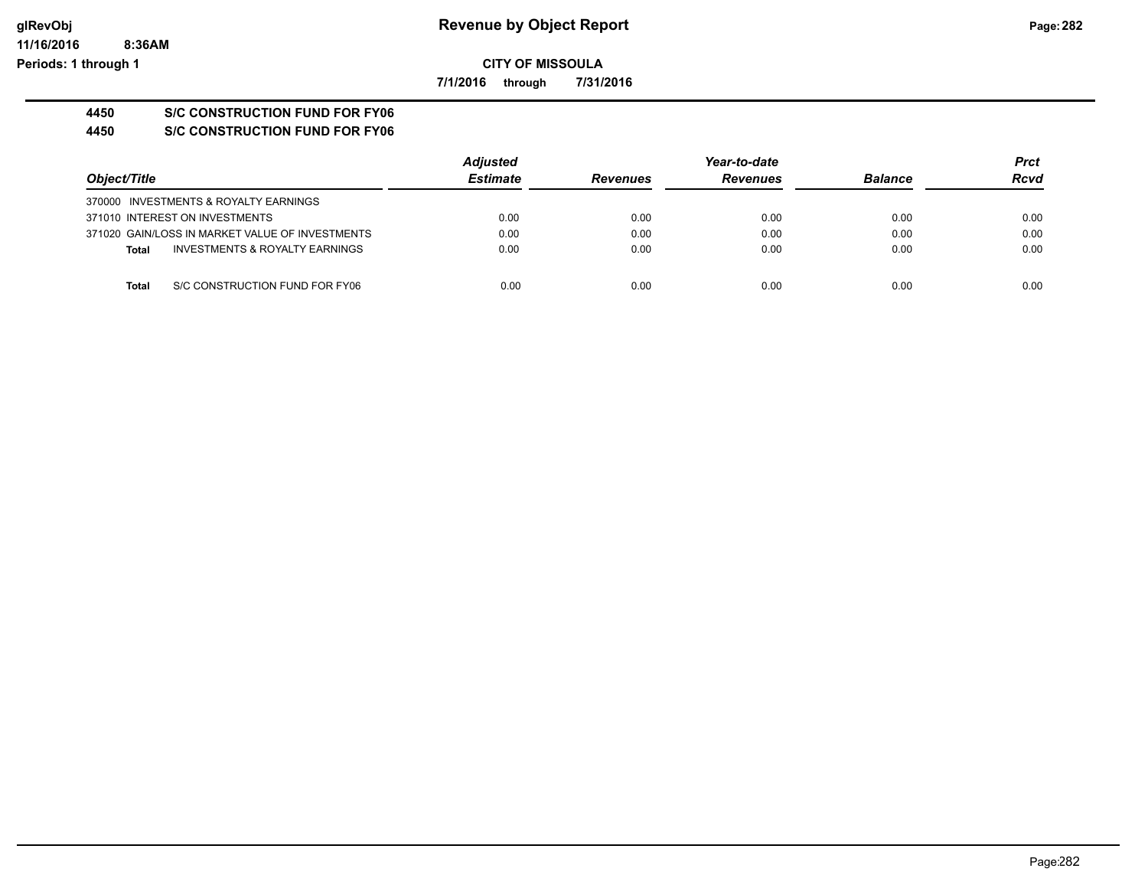**11/16/2016 8:36AM Periods: 1 through 1**

**CITY OF MISSOULA**

**7/1/2016 through 7/31/2016**

# **4450 S/C CONSTRUCTION FUND FOR FY06**

# **4450 S/C CONSTRUCTION FUND FOR FY06**

|                                                           | <b>Adjusted</b> |                 | Year-to-date    |                |             |
|-----------------------------------------------------------|-----------------|-----------------|-----------------|----------------|-------------|
| Object/Title                                              | <b>Estimate</b> | <b>Revenues</b> | <b>Revenues</b> | <b>Balance</b> | <b>Rcvd</b> |
| 370000 INVESTMENTS & ROYALTY EARNINGS                     |                 |                 |                 |                |             |
| 371010 INTEREST ON INVESTMENTS                            | 0.00            | 0.00            | 0.00            | 0.00           | 0.00        |
| 371020 GAIN/LOSS IN MARKET VALUE OF INVESTMENTS           | 0.00            | 0.00            | 0.00            | 0.00           | 0.00        |
| <b>INVESTMENTS &amp; ROYALTY EARNINGS</b><br><b>Total</b> | 0.00            | 0.00            | 0.00            | 0.00           | 0.00        |
| S/C CONSTRUCTION FUND FOR FY06<br>Total                   | 0.00            | 0.00            | 0.00            | 0.00           | 0.00        |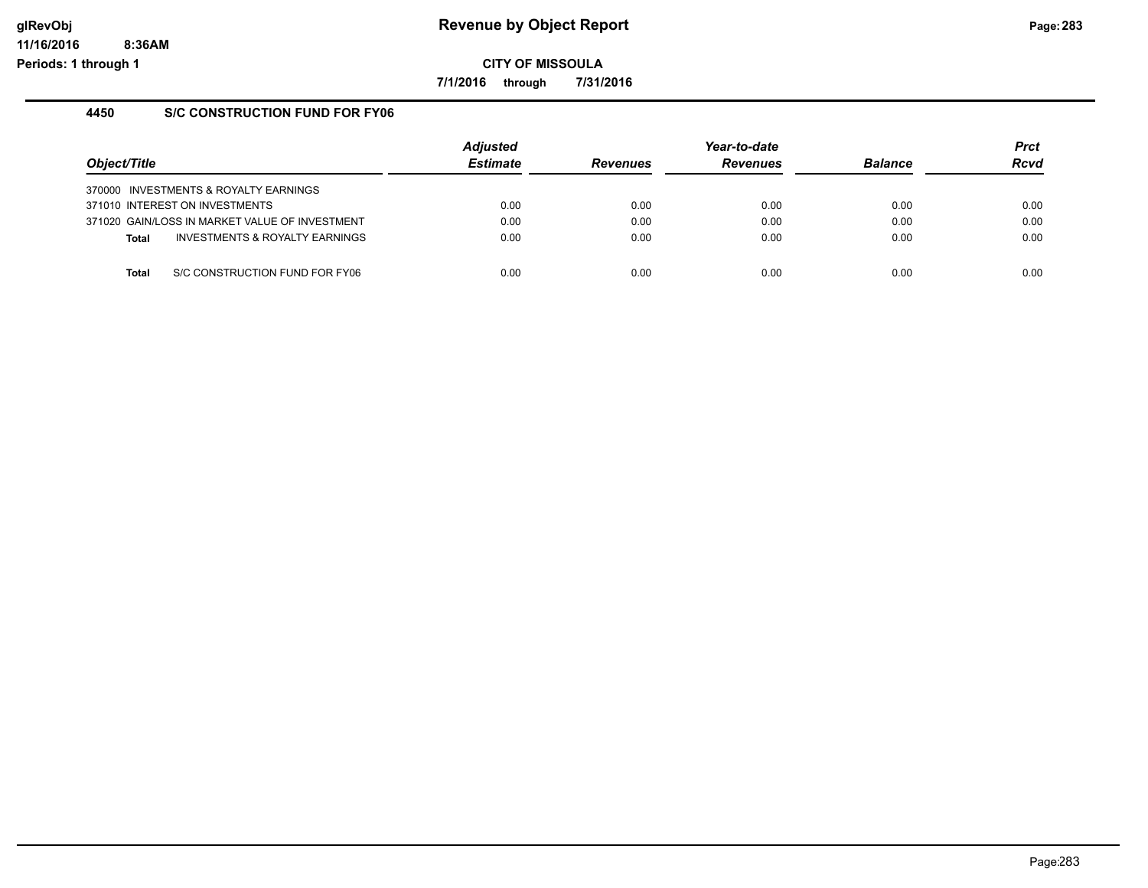**8:36AM**

**CITY OF MISSOULA**

**7/1/2016 through 7/31/2016**

## **4450 S/C CONSTRUCTION FUND FOR FY06**

| Object/Title |                                                | <b>Adjusted</b><br><b>Estimate</b> | <b>Revenues</b> | Year-to-date<br><b>Revenues</b> | <b>Balance</b> | <b>Prct</b><br><b>Rcvd</b> |
|--------------|------------------------------------------------|------------------------------------|-----------------|---------------------------------|----------------|----------------------------|
|              | 370000 INVESTMENTS & ROYALTY EARNINGS          |                                    |                 |                                 |                |                            |
|              | 371010 INTEREST ON INVESTMENTS                 | 0.00                               | 0.00            | 0.00                            | 0.00           | 0.00                       |
|              | 371020 GAIN/LOSS IN MARKET VALUE OF INVESTMENT | 0.00                               | 0.00            | 0.00                            | 0.00           | 0.00                       |
| <b>Total</b> | INVESTMENTS & ROYALTY EARNINGS                 | 0.00                               | 0.00            | 0.00                            | 0.00           | 0.00                       |
|              |                                                |                                    |                 |                                 |                |                            |
| Total        | S/C CONSTRUCTION FUND FOR FY06                 | 0.00                               | 0.00            | 0.00                            | 0.00           | 0.00                       |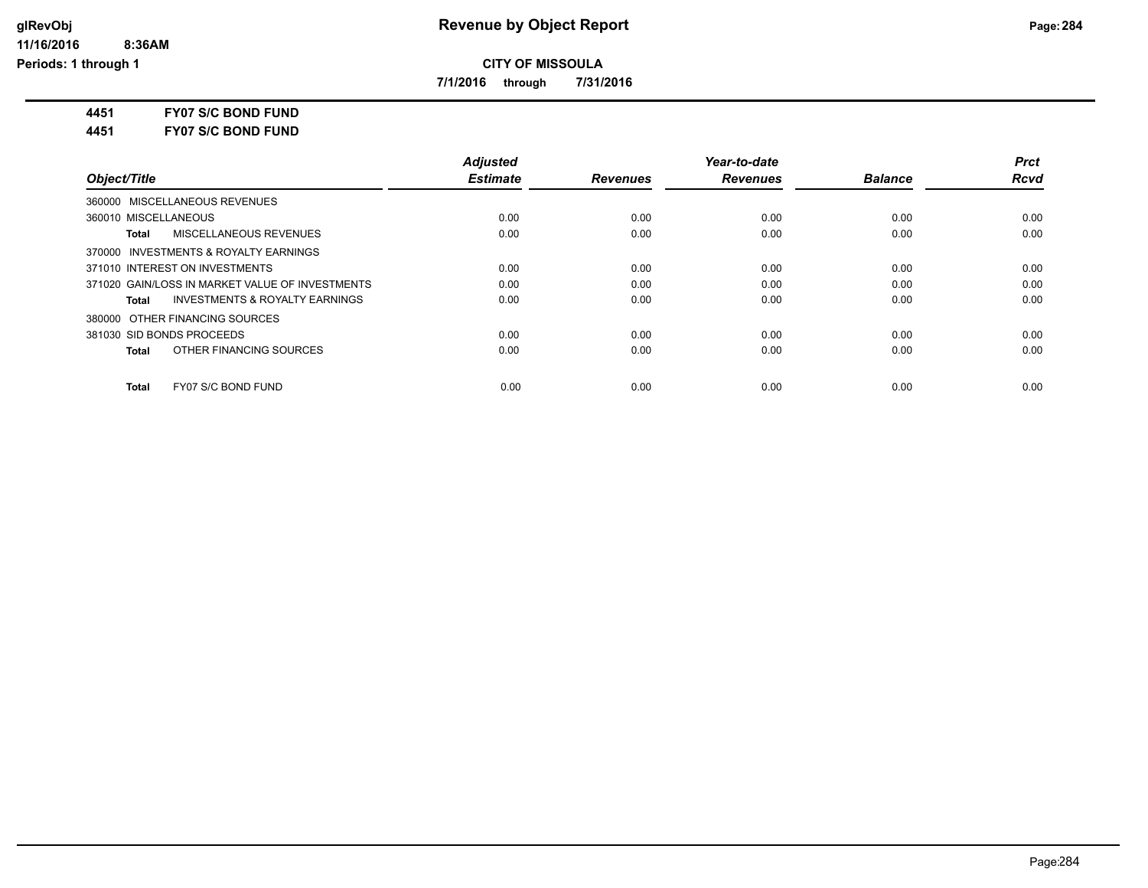**CITY OF MISSOULA**

**7/1/2016 through 7/31/2016**

**4451 FY07 S/C BOND FUND**

**4451 FY07 S/C BOND FUND**

|                                                    | <b>Adjusted</b> |                 | Year-to-date    |                | <b>Prct</b> |
|----------------------------------------------------|-----------------|-----------------|-----------------|----------------|-------------|
| Object/Title                                       | <b>Estimate</b> | <b>Revenues</b> | <b>Revenues</b> | <b>Balance</b> | <b>Rcvd</b> |
| 360000 MISCELLANEOUS REVENUES                      |                 |                 |                 |                |             |
| 360010 MISCELLANEOUS                               | 0.00            | 0.00            | 0.00            | 0.00           | 0.00        |
| MISCELLANEOUS REVENUES<br><b>Total</b>             | 0.00            | 0.00            | 0.00            | 0.00           | 0.00        |
| 370000 INVESTMENTS & ROYALTY EARNINGS              |                 |                 |                 |                |             |
| 371010 INTEREST ON INVESTMENTS                     | 0.00            | 0.00            | 0.00            | 0.00           | 0.00        |
| 371020 GAIN/LOSS IN MARKET VALUE OF INVESTMENTS    | 0.00            | 0.00            | 0.00            | 0.00           | 0.00        |
| <b>INVESTMENTS &amp; ROYALTY EARNINGS</b><br>Total | 0.00            | 0.00            | 0.00            | 0.00           | 0.00        |
| 380000 OTHER FINANCING SOURCES                     |                 |                 |                 |                |             |
| 381030 SID BONDS PROCEEDS                          | 0.00            | 0.00            | 0.00            | 0.00           | 0.00        |
| OTHER FINANCING SOURCES<br><b>Total</b>            | 0.00            | 0.00            | 0.00            | 0.00           | 0.00        |
| FY07 S/C BOND FUND<br><b>Total</b>                 | 0.00            | 0.00            | 0.00            | 0.00           | 0.00        |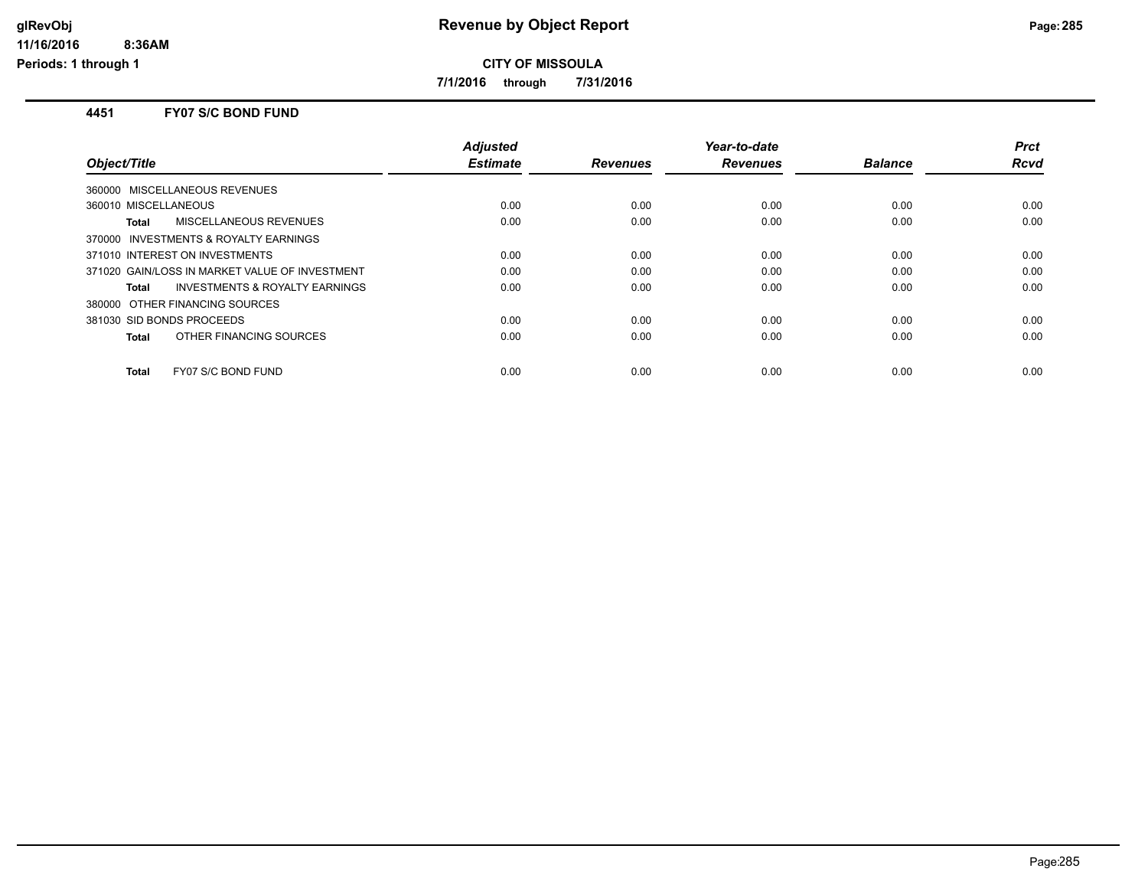**CITY OF MISSOULA**

**7/1/2016 through 7/31/2016**

#### **4451 FY07 S/C BOND FUND**

| Object/Title                                       | <b>Adjusted</b><br><b>Estimate</b> | <b>Revenues</b> | Year-to-date<br><b>Revenues</b> | <b>Balance</b> | <b>Prct</b><br><b>Rcvd</b> |
|----------------------------------------------------|------------------------------------|-----------------|---------------------------------|----------------|----------------------------|
| 360000 MISCELLANEOUS REVENUES                      |                                    |                 |                                 |                |                            |
| 360010 MISCELLANEOUS                               | 0.00                               | 0.00            | 0.00                            | 0.00           | 0.00                       |
| MISCELLANEOUS REVENUES<br>Total                    | 0.00                               | 0.00            | 0.00                            | 0.00           | 0.00                       |
| 370000 INVESTMENTS & ROYALTY EARNINGS              |                                    |                 |                                 |                |                            |
| 371010 INTEREST ON INVESTMENTS                     | 0.00                               | 0.00            | 0.00                            | 0.00           | 0.00                       |
| 371020 GAIN/LOSS IN MARKET VALUE OF INVESTMENT     | 0.00                               | 0.00            | 0.00                            | 0.00           | 0.00                       |
| <b>INVESTMENTS &amp; ROYALTY EARNINGS</b><br>Total | 0.00                               | 0.00            | 0.00                            | 0.00           | 0.00                       |
| 380000 OTHER FINANCING SOURCES                     |                                    |                 |                                 |                |                            |
| 381030 SID BONDS PROCEEDS                          | 0.00                               | 0.00            | 0.00                            | 0.00           | 0.00                       |
| OTHER FINANCING SOURCES<br>Total                   | 0.00                               | 0.00            | 0.00                            | 0.00           | 0.00                       |
| FY07 S/C BOND FUND<br><b>Total</b>                 | 0.00                               | 0.00            | 0.00                            | 0.00           | 0.00                       |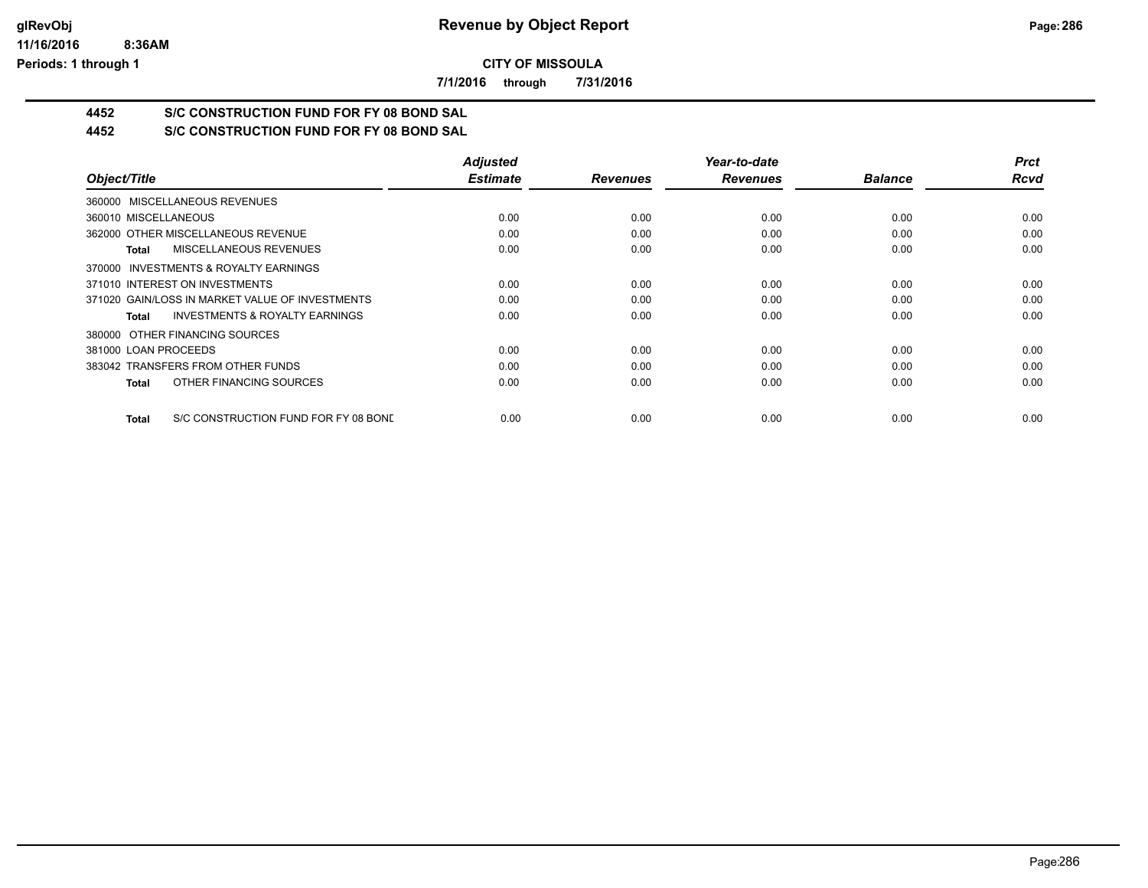**11/16/2016 8:36AM Periods: 1 through 1**

**CITY OF MISSOULA**

**7/1/2016 through 7/31/2016**

# **4452 S/C CONSTRUCTION FUND FOR FY 08 BOND SAL**

# **4452 S/C CONSTRUCTION FUND FOR FY 08 BOND SAL**

|                                                      | <b>Adjusted</b> |                 | Year-to-date    |                | <b>Prct</b> |
|------------------------------------------------------|-----------------|-----------------|-----------------|----------------|-------------|
| Object/Title                                         | <b>Estimate</b> | <b>Revenues</b> | <b>Revenues</b> | <b>Balance</b> | <b>Rcvd</b> |
| 360000 MISCELLANEOUS REVENUES                        |                 |                 |                 |                |             |
| 360010 MISCELLANEOUS                                 | 0.00            | 0.00            | 0.00            | 0.00           | 0.00        |
| 362000 OTHER MISCELLANEOUS REVENUE                   | 0.00            | 0.00            | 0.00            | 0.00           | 0.00        |
| MISCELLANEOUS REVENUES<br><b>Total</b>               | 0.00            | 0.00            | 0.00            | 0.00           | 0.00        |
| INVESTMENTS & ROYALTY EARNINGS<br>370000             |                 |                 |                 |                |             |
| 371010 INTEREST ON INVESTMENTS                       | 0.00            | 0.00            | 0.00            | 0.00           | 0.00        |
| 371020 GAIN/LOSS IN MARKET VALUE OF INVESTMENTS      | 0.00            | 0.00            | 0.00            | 0.00           | 0.00        |
| <b>INVESTMENTS &amp; ROYALTY EARNINGS</b><br>Total   | 0.00            | 0.00            | 0.00            | 0.00           | 0.00        |
| 380000 OTHER FINANCING SOURCES                       |                 |                 |                 |                |             |
| 381000 LOAN PROCEEDS                                 | 0.00            | 0.00            | 0.00            | 0.00           | 0.00        |
| 383042 TRANSFERS FROM OTHER FUNDS                    | 0.00            | 0.00            | 0.00            | 0.00           | 0.00        |
| OTHER FINANCING SOURCES<br>Total                     | 0.00            | 0.00            | 0.00            | 0.00           | 0.00        |
| S/C CONSTRUCTION FUND FOR FY 08 BOND<br><b>Total</b> | 0.00            | 0.00            | 0.00            | 0.00           | 0.00        |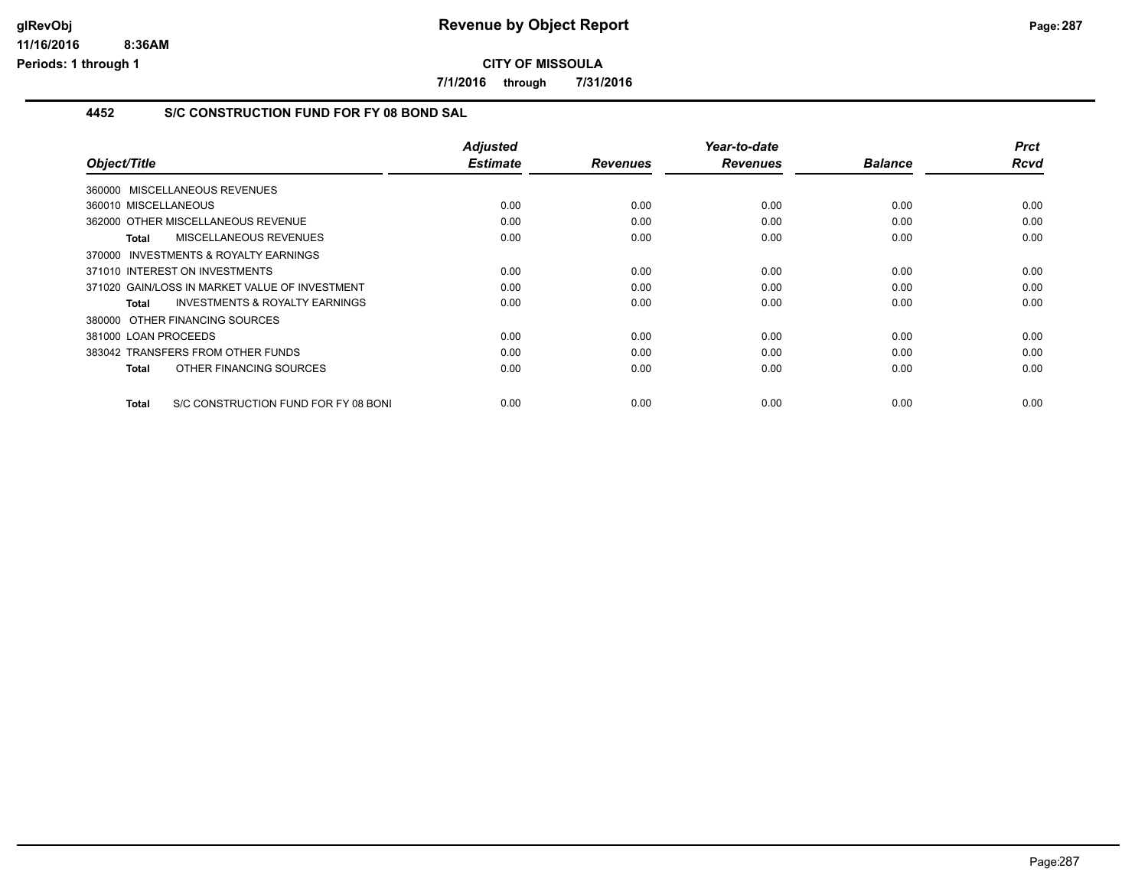**8:36AM**

**CITY OF MISSOULA**

**7/1/2016 through 7/31/2016**

## **4452 S/C CONSTRUCTION FUND FOR FY 08 BOND SAL**

| Object/Title                                         | <b>Adjusted</b><br><b>Estimate</b> | <b>Revenues</b> | Year-to-date<br><b>Revenues</b> | <b>Balance</b> | <b>Prct</b><br><b>Rcvd</b> |
|------------------------------------------------------|------------------------------------|-----------------|---------------------------------|----------------|----------------------------|
|                                                      |                                    |                 |                                 |                |                            |
| 360000 MISCELLANEOUS REVENUES                        |                                    |                 |                                 |                |                            |
| 360010 MISCELLANEOUS                                 | 0.00                               | 0.00            | 0.00                            | 0.00           | 0.00                       |
| 362000 OTHER MISCELLANEOUS REVENUE                   | 0.00                               | 0.00            | 0.00                            | 0.00           | 0.00                       |
| MISCELLANEOUS REVENUES<br>Total                      | 0.00                               | 0.00            | 0.00                            | 0.00           | 0.00                       |
| 370000 INVESTMENTS & ROYALTY EARNINGS                |                                    |                 |                                 |                |                            |
| 371010 INTEREST ON INVESTMENTS                       | 0.00                               | 0.00            | 0.00                            | 0.00           | 0.00                       |
| 371020 GAIN/LOSS IN MARKET VALUE OF INVESTMENT       | 0.00                               | 0.00            | 0.00                            | 0.00           | 0.00                       |
| <b>INVESTMENTS &amp; ROYALTY EARNINGS</b><br>Total   | 0.00                               | 0.00            | 0.00                            | 0.00           | 0.00                       |
| 380000 OTHER FINANCING SOURCES                       |                                    |                 |                                 |                |                            |
| 381000 LOAN PROCEEDS                                 | 0.00                               | 0.00            | 0.00                            | 0.00           | 0.00                       |
| 383042 TRANSFERS FROM OTHER FUNDS                    | 0.00                               | 0.00            | 0.00                            | 0.00           | 0.00                       |
| OTHER FINANCING SOURCES<br>Total                     | 0.00                               | 0.00            | 0.00                            | 0.00           | 0.00                       |
|                                                      |                                    |                 |                                 |                |                            |
| S/C CONSTRUCTION FUND FOR FY 08 BONI<br><b>Total</b> | 0.00                               | 0.00            | 0.00                            | 0.00           | 0.00                       |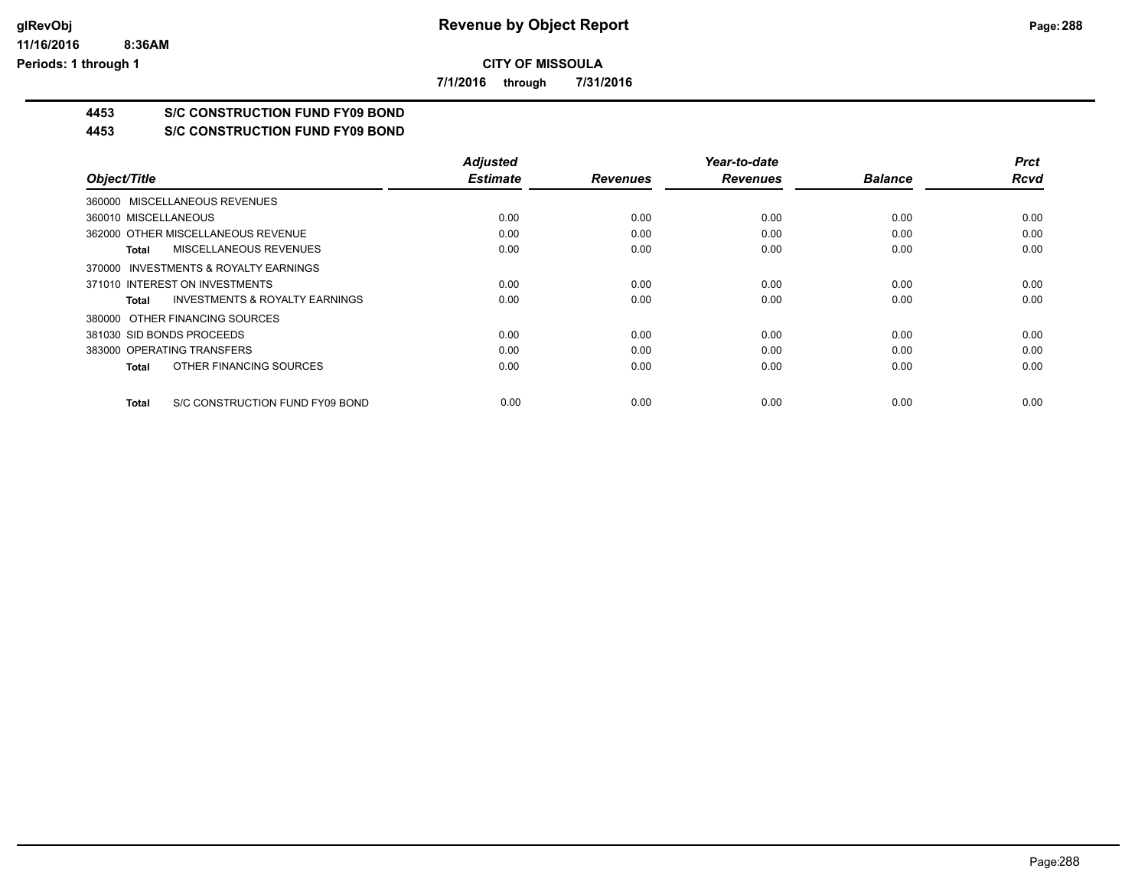**glRevObj Revenue by Object Report Page:288** 

**CITY OF MISSOULA**

**7/1/2016 through 7/31/2016**

# **4453 S/C CONSTRUCTION FUND FY09 BOND**

 **8:36AM**

#### **4453 S/C CONSTRUCTION FUND FY09 BOND**

|                                                 | <b>Adjusted</b> |                 | Year-to-date    |                | <b>Prct</b> |
|-------------------------------------------------|-----------------|-----------------|-----------------|----------------|-------------|
| Object/Title                                    | <b>Estimate</b> | <b>Revenues</b> | <b>Revenues</b> | <b>Balance</b> | <b>Rcvd</b> |
| 360000 MISCELLANEOUS REVENUES                   |                 |                 |                 |                |             |
| 360010 MISCELLANEOUS                            | 0.00            | 0.00            | 0.00            | 0.00           | 0.00        |
| 362000 OTHER MISCELLANEOUS REVENUE              | 0.00            | 0.00            | 0.00            | 0.00           | 0.00        |
| MISCELLANEOUS REVENUES<br>Total                 | 0.00            | 0.00            | 0.00            | 0.00           | 0.00        |
| 370000 INVESTMENTS & ROYALTY EARNINGS           |                 |                 |                 |                |             |
| 371010 INTEREST ON INVESTMENTS                  | 0.00            | 0.00            | 0.00            | 0.00           | 0.00        |
| INVESTMENTS & ROYALTY EARNINGS<br>Total         | 0.00            | 0.00            | 0.00            | 0.00           | 0.00        |
| 380000 OTHER FINANCING SOURCES                  |                 |                 |                 |                |             |
| 381030 SID BONDS PROCEEDS                       | 0.00            | 0.00            | 0.00            | 0.00           | 0.00        |
| 383000 OPERATING TRANSFERS                      | 0.00            | 0.00            | 0.00            | 0.00           | 0.00        |
| OTHER FINANCING SOURCES<br>Total                | 0.00            | 0.00            | 0.00            | 0.00           | 0.00        |
| S/C CONSTRUCTION FUND FY09 BOND<br><b>Total</b> | 0.00            | 0.00            | 0.00            | 0.00           | 0.00        |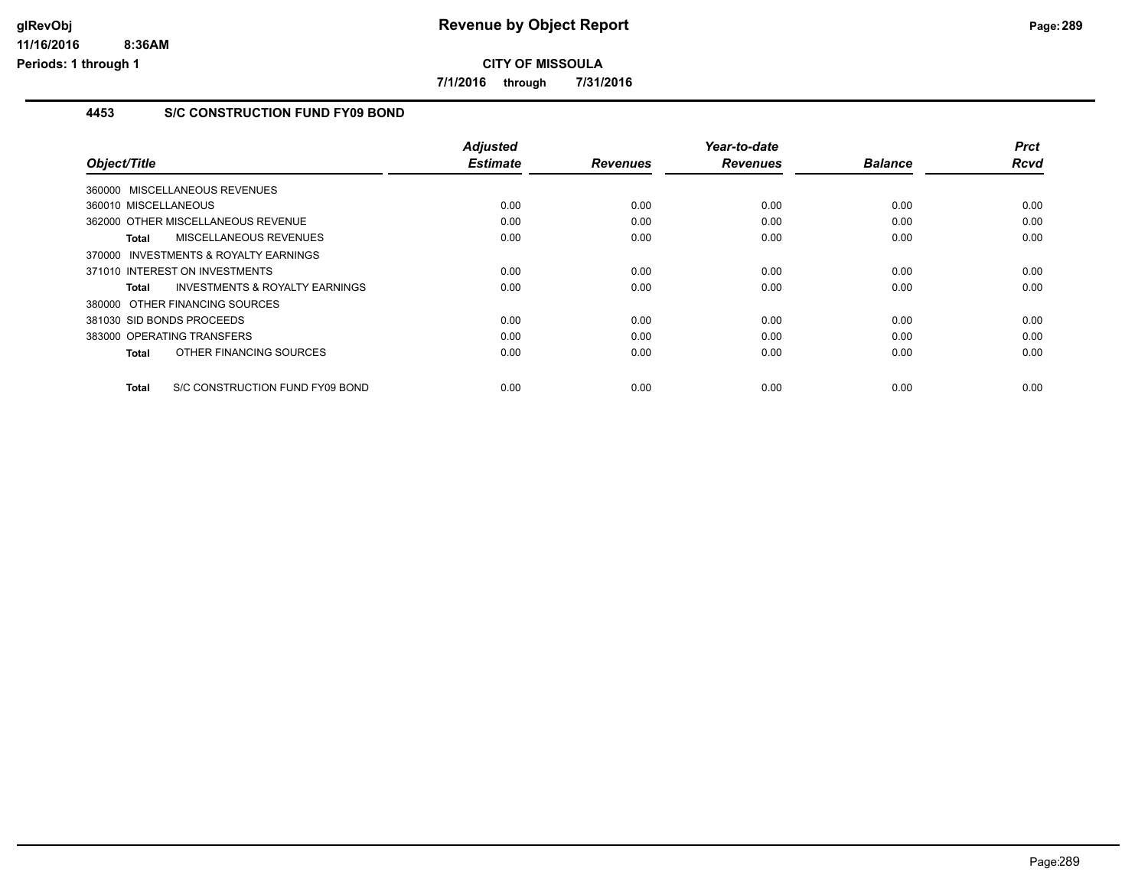**8:36AM**

**CITY OF MISSOULA**

**7/1/2016 through 7/31/2016**

#### **4453 S/C CONSTRUCTION FUND FY09 BOND**

| Object/Title                                       | <b>Adjusted</b><br><b>Estimate</b> | <b>Revenues</b> | Year-to-date<br><b>Revenues</b> | <b>Balance</b> | <b>Prct</b><br>Rcvd |
|----------------------------------------------------|------------------------------------|-----------------|---------------------------------|----------------|---------------------|
| 360000 MISCELLANEOUS REVENUES                      |                                    |                 |                                 |                |                     |
| 360010 MISCELLANEOUS                               | 0.00                               | 0.00            | 0.00                            | 0.00           | 0.00                |
| 362000 OTHER MISCELLANEOUS REVENUE                 | 0.00                               | 0.00            | 0.00                            | 0.00           | 0.00                |
| MISCELLANEOUS REVENUES<br>Total                    | 0.00                               | 0.00            | 0.00                            | 0.00           | 0.00                |
| 370000 INVESTMENTS & ROYALTY EARNINGS              |                                    |                 |                                 |                |                     |
| 371010 INTEREST ON INVESTMENTS                     | 0.00                               | 0.00            | 0.00                            | 0.00           | 0.00                |
| <b>INVESTMENTS &amp; ROYALTY EARNINGS</b><br>Total | 0.00                               | 0.00            | 0.00                            | 0.00           | 0.00                |
| 380000 OTHER FINANCING SOURCES                     |                                    |                 |                                 |                |                     |
| 381030 SID BONDS PROCEEDS                          | 0.00                               | 0.00            | 0.00                            | 0.00           | 0.00                |
| 383000 OPERATING TRANSFERS                         | 0.00                               | 0.00            | 0.00                            | 0.00           | 0.00                |
| OTHER FINANCING SOURCES<br>Total                   | 0.00                               | 0.00            | 0.00                            | 0.00           | 0.00                |
| S/C CONSTRUCTION FUND FY09 BOND<br>Total           | 0.00                               | 0.00            | 0.00                            | 0.00           | 0.00                |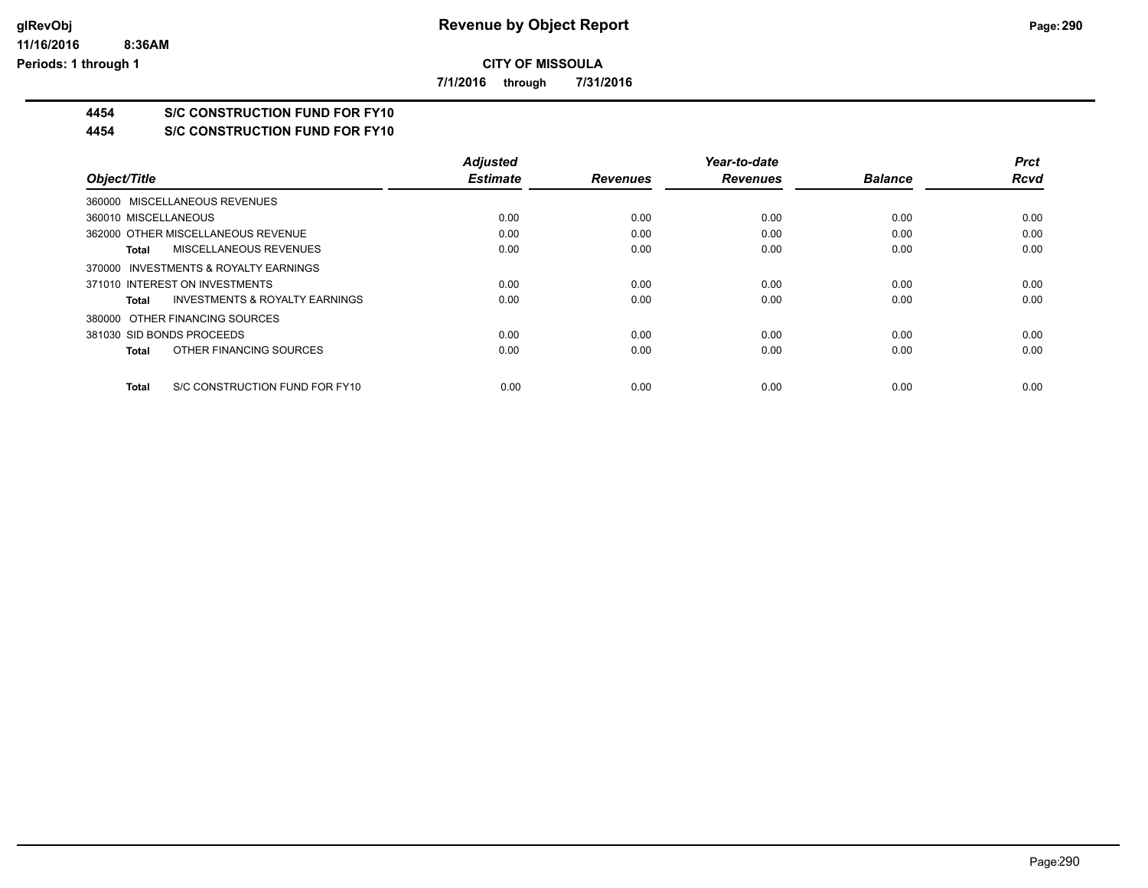**glRevObj Revenue by Object Report Page:290** 

**CITY OF MISSOULA**

**7/1/2016 through 7/31/2016**

### **4454 S/C CONSTRUCTION FUND FOR FY10**

 **8:36AM**

**4454 S/C CONSTRUCTION FUND FOR FY10**

|                                                    | <b>Adjusted</b> |                 | Year-to-date    |                | <b>Prct</b> |
|----------------------------------------------------|-----------------|-----------------|-----------------|----------------|-------------|
| Object/Title                                       | <b>Estimate</b> | <b>Revenues</b> | <b>Revenues</b> | <b>Balance</b> | Rcvd        |
| 360000 MISCELLANEOUS REVENUES                      |                 |                 |                 |                |             |
| 360010 MISCELLANEOUS                               | 0.00            | 0.00            | 0.00            | 0.00           | 0.00        |
| 362000 OTHER MISCELLANEOUS REVENUE                 | 0.00            | 0.00            | 0.00            | 0.00           | 0.00        |
| MISCELLANEOUS REVENUES<br>Total                    | 0.00            | 0.00            | 0.00            | 0.00           | 0.00        |
| 370000 INVESTMENTS & ROYALTY EARNINGS              |                 |                 |                 |                |             |
| 371010 INTEREST ON INVESTMENTS                     | 0.00            | 0.00            | 0.00            | 0.00           | 0.00        |
| <b>INVESTMENTS &amp; ROYALTY EARNINGS</b><br>Total | 0.00            | 0.00            | 0.00            | 0.00           | 0.00        |
| 380000 OTHER FINANCING SOURCES                     |                 |                 |                 |                |             |
| 381030 SID BONDS PROCEEDS                          | 0.00            | 0.00            | 0.00            | 0.00           | 0.00        |
| OTHER FINANCING SOURCES<br><b>Total</b>            | 0.00            | 0.00            | 0.00            | 0.00           | 0.00        |
| S/C CONSTRUCTION FUND FOR FY10<br><b>Total</b>     | 0.00            | 0.00            | 0.00            | 0.00           | 0.00        |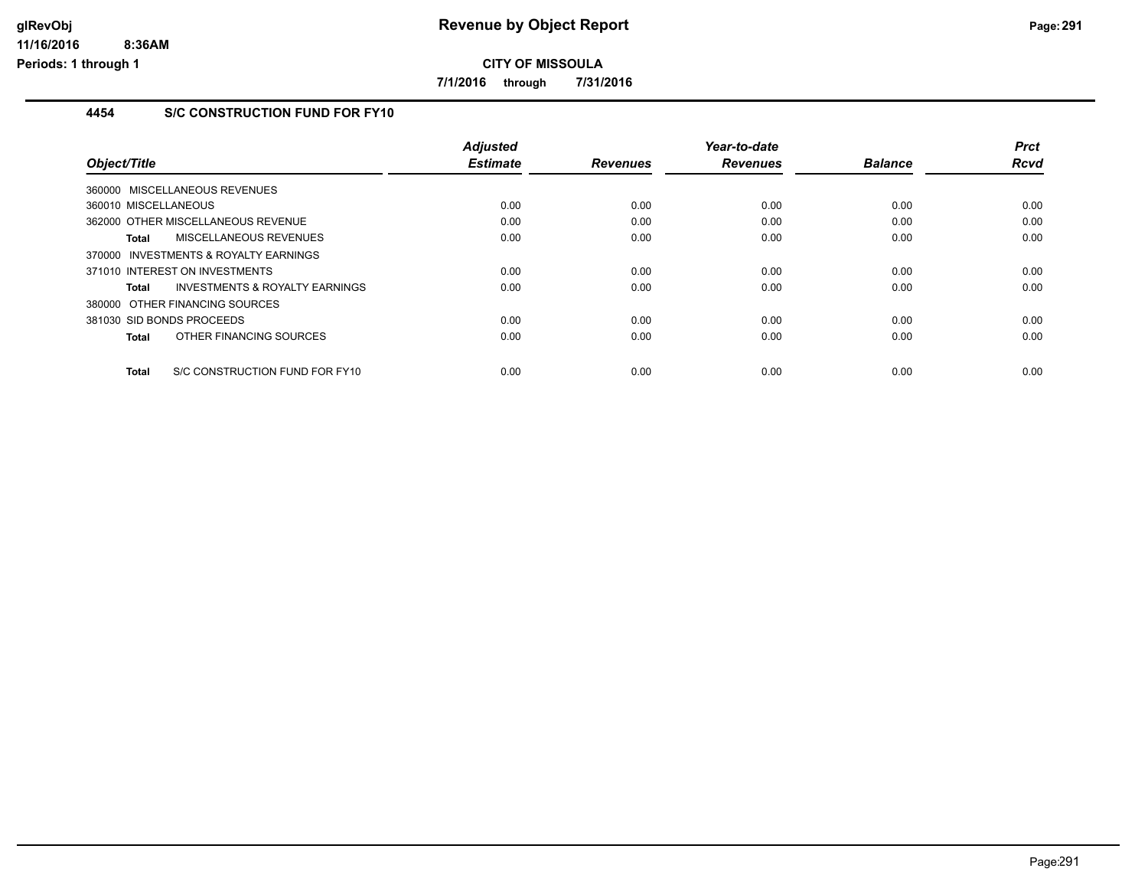**8:36AM**

**CITY OF MISSOULA**

**7/1/2016 through 7/31/2016**

#### **4454 S/C CONSTRUCTION FUND FOR FY10**

| Object/Title                                              | <b>Adjusted</b><br><b>Estimate</b> | <b>Revenues</b> | Year-to-date<br><b>Revenues</b> | <b>Balance</b> | <b>Prct</b><br><b>Rcvd</b> |
|-----------------------------------------------------------|------------------------------------|-----------------|---------------------------------|----------------|----------------------------|
|                                                           |                                    |                 |                                 |                |                            |
| 360000 MISCELLANEOUS REVENUES                             |                                    |                 |                                 |                |                            |
| 360010 MISCELLANEOUS                                      | 0.00                               | 0.00            | 0.00                            | 0.00           | 0.00                       |
| 362000 OTHER MISCELLANEOUS REVENUE                        | 0.00                               | 0.00            | 0.00                            | 0.00           | 0.00                       |
| MISCELLANEOUS REVENUES<br><b>Total</b>                    | 0.00                               | 0.00            | 0.00                            | 0.00           | 0.00                       |
| 370000 INVESTMENTS & ROYALTY EARNINGS                     |                                    |                 |                                 |                |                            |
| 371010 INTEREST ON INVESTMENTS                            | 0.00                               | 0.00            | 0.00                            | 0.00           | 0.00                       |
| <b>INVESTMENTS &amp; ROYALTY EARNINGS</b><br><b>Total</b> | 0.00                               | 0.00            | 0.00                            | 0.00           | 0.00                       |
| 380000 OTHER FINANCING SOURCES                            |                                    |                 |                                 |                |                            |
| 381030 SID BONDS PROCEEDS                                 | 0.00                               | 0.00            | 0.00                            | 0.00           | 0.00                       |
| OTHER FINANCING SOURCES<br><b>Total</b>                   | 0.00                               | 0.00            | 0.00                            | 0.00           | 0.00                       |
| S/C CONSTRUCTION FUND FOR FY10<br><b>Total</b>            | 0.00                               | 0.00            | 0.00                            | 0.00           | 0.00                       |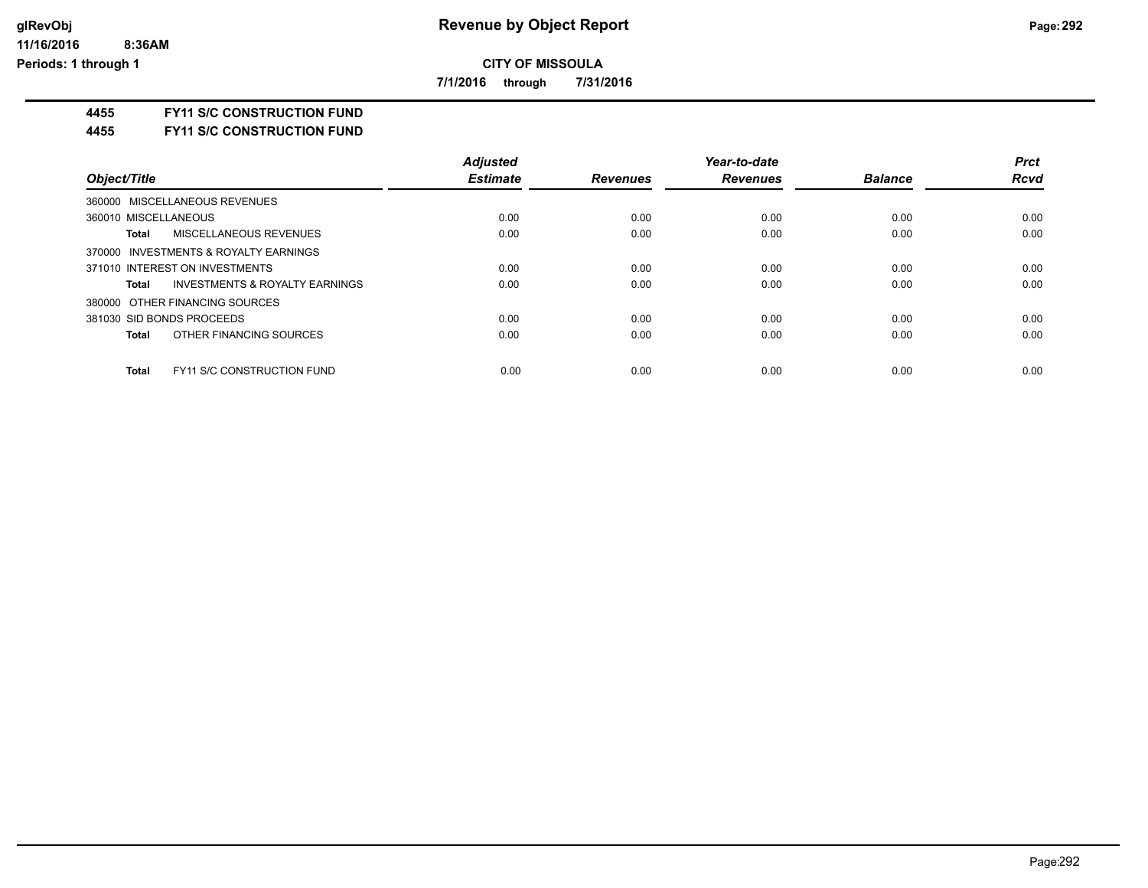**glRevObj Revenue by Object Report Page:292** 

**CITY OF MISSOULA**

**7/1/2016 through 7/31/2016**

#### **4455 FY11 S/C CONSTRUCTION FUND**

 **8:36AM**

#### **4455 FY11 S/C CONSTRUCTION FUND**

| <b>Adjusted</b> |                 | Year-to-date    |                | <b>Prct</b> |
|-----------------|-----------------|-----------------|----------------|-------------|
| <b>Estimate</b> | <b>Revenues</b> | <b>Revenues</b> | <b>Balance</b> | <b>Rcvd</b> |
|                 |                 |                 |                |             |
| 0.00            | 0.00            | 0.00            | 0.00           | 0.00        |
| 0.00            | 0.00            | 0.00            | 0.00           | 0.00        |
|                 |                 |                 |                |             |
| 0.00            | 0.00            | 0.00            | 0.00           | 0.00        |
| 0.00            | 0.00            | 0.00            | 0.00           | 0.00        |
|                 |                 |                 |                |             |
| 0.00            | 0.00            | 0.00            | 0.00           | 0.00        |
| 0.00            | 0.00            | 0.00            | 0.00           | 0.00        |
|                 |                 |                 |                | 0.00        |
|                 | 0.00            | 0.00            | 0.00           | 0.00        |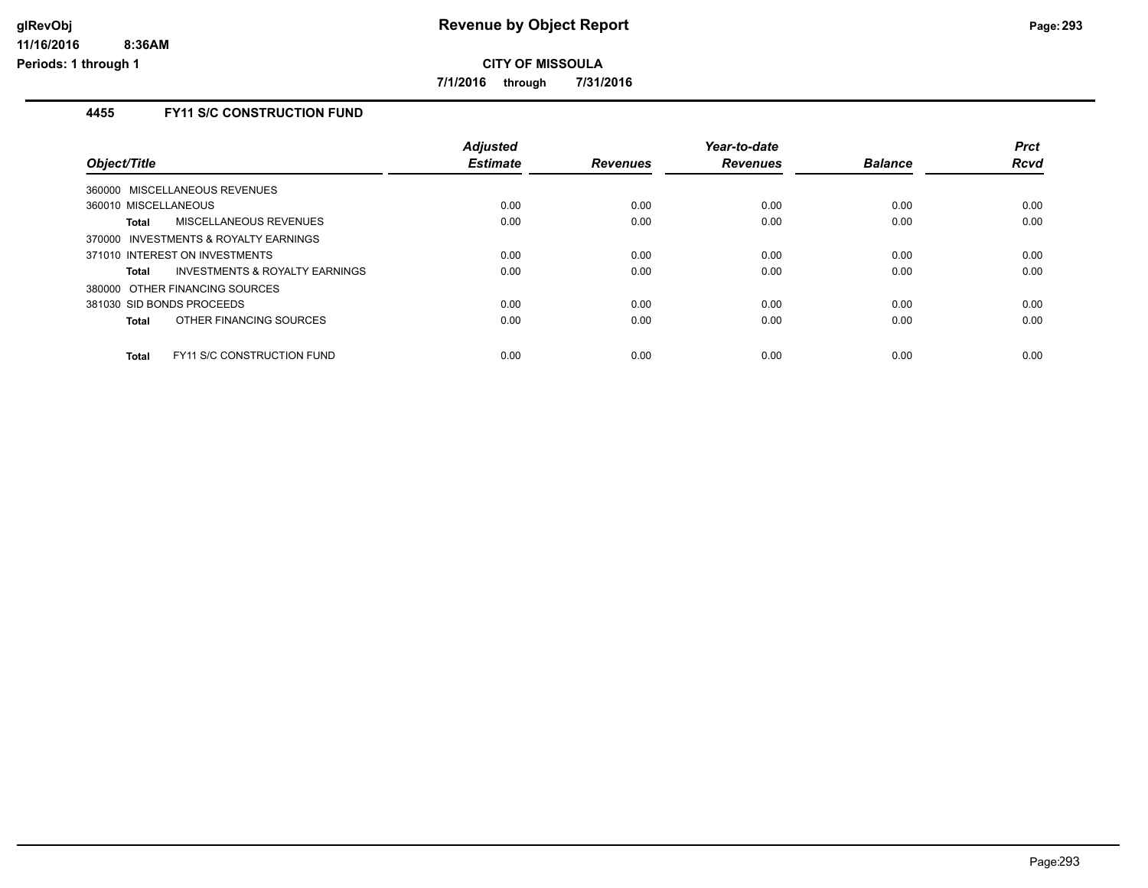**CITY OF MISSOULA**

**7/1/2016 through 7/31/2016**

### **4455 FY11 S/C CONSTRUCTION FUND**

| Object/Title                                      | <b>Adiusted</b><br><b>Estimate</b> | <b>Revenues</b> | Year-to-date<br><b>Revenues</b> | <b>Balance</b> | <b>Prct</b><br><b>Rcvd</b> |
|---------------------------------------------------|------------------------------------|-----------------|---------------------------------|----------------|----------------------------|
| 360000 MISCELLANEOUS REVENUES                     |                                    |                 |                                 |                |                            |
| 360010 MISCELLANEOUS                              | 0.00                               | 0.00            | 0.00                            | 0.00           | 0.00                       |
| MISCELLANEOUS REVENUES<br>Total                   | 0.00                               | 0.00            | 0.00                            | 0.00           | 0.00                       |
| 370000 INVESTMENTS & ROYALTY EARNINGS             |                                    |                 |                                 |                |                            |
| 371010 INTEREST ON INVESTMENTS                    | 0.00                               | 0.00            | 0.00                            | 0.00           | 0.00                       |
| INVESTMENTS & ROYALTY EARNINGS<br>Total           | 0.00                               | 0.00            | 0.00                            | 0.00           | 0.00                       |
| 380000 OTHER FINANCING SOURCES                    |                                    |                 |                                 |                |                            |
| 381030 SID BONDS PROCEEDS                         | 0.00                               | 0.00            | 0.00                            | 0.00           | 0.00                       |
| OTHER FINANCING SOURCES<br><b>Total</b>           | 0.00                               | 0.00            | 0.00                            | 0.00           | 0.00                       |
| <b>FY11 S/C CONSTRUCTION FUND</b><br><b>Total</b> | 0.00                               | 0.00            | 0.00                            | 0.00           | 0.00                       |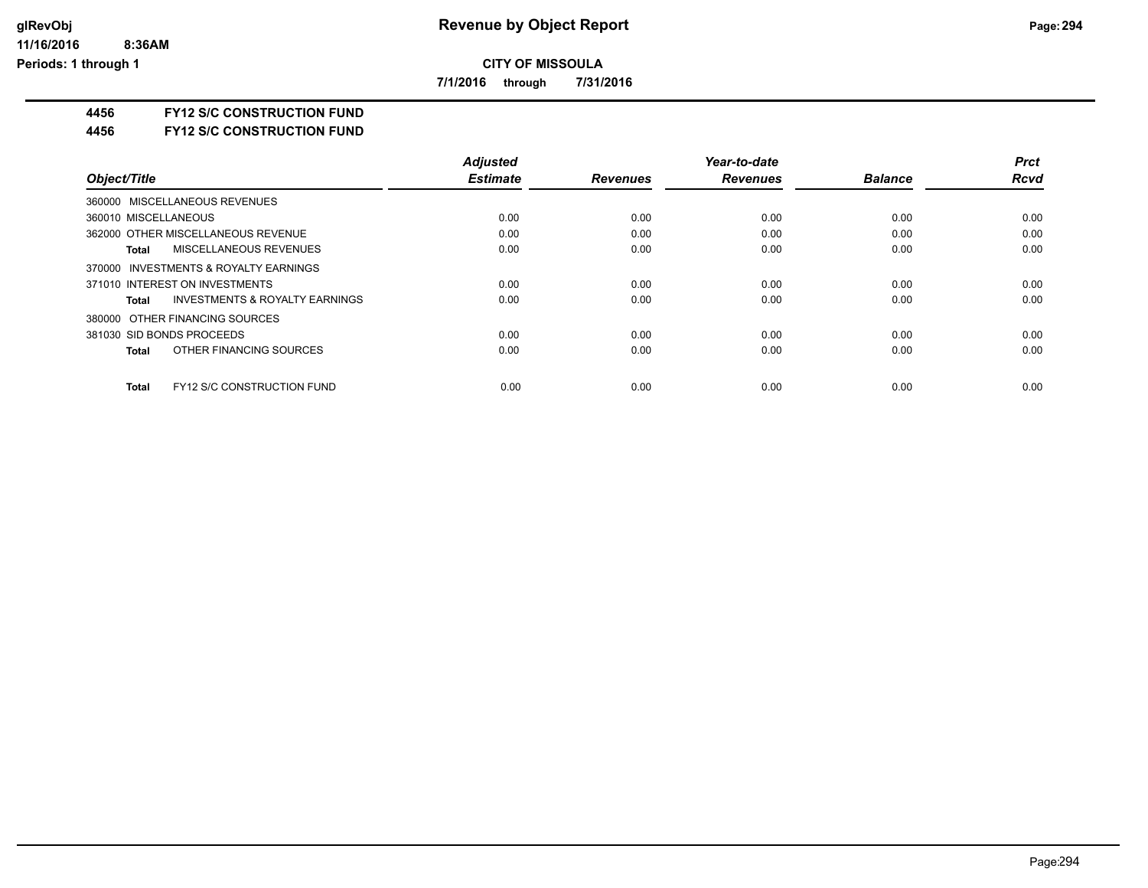**glRevObj Revenue by Object Report Page:294** 

**CITY OF MISSOULA**

**7/1/2016 through 7/31/2016**

#### **4456 FY12 S/C CONSTRUCTION FUND**

 **8:36AM**

#### **4456 FY12 S/C CONSTRUCTION FUND**

|                                                    | <b>Adjusted</b> |                 | Year-to-date    |                | <b>Prct</b> |
|----------------------------------------------------|-----------------|-----------------|-----------------|----------------|-------------|
| Object/Title                                       | <b>Estimate</b> | <b>Revenues</b> | <b>Revenues</b> | <b>Balance</b> | <b>Rcvd</b> |
| 360000 MISCELLANEOUS REVENUES                      |                 |                 |                 |                |             |
| 360010 MISCELLANEOUS                               | 0.00            | 0.00            | 0.00            | 0.00           | 0.00        |
| 362000 OTHER MISCELLANEOUS REVENUE                 | 0.00            | 0.00            | 0.00            | 0.00           | 0.00        |
| <b>MISCELLANEOUS REVENUES</b><br>Total             | 0.00            | 0.00            | 0.00            | 0.00           | 0.00        |
| 370000 INVESTMENTS & ROYALTY EARNINGS              |                 |                 |                 |                |             |
| 371010 INTEREST ON INVESTMENTS                     | 0.00            | 0.00            | 0.00            | 0.00           | 0.00        |
| <b>INVESTMENTS &amp; ROYALTY EARNINGS</b><br>Total | 0.00            | 0.00            | 0.00            | 0.00           | 0.00        |
| 380000 OTHER FINANCING SOURCES                     |                 |                 |                 |                |             |
| 381030 SID BONDS PROCEEDS                          | 0.00            | 0.00            | 0.00            | 0.00           | 0.00        |
| OTHER FINANCING SOURCES<br>Total                   | 0.00            | 0.00            | 0.00            | 0.00           | 0.00        |
| <b>FY12 S/C CONSTRUCTION FUND</b><br>Total         | 0.00            | 0.00            | 0.00            | 0.00           | 0.00        |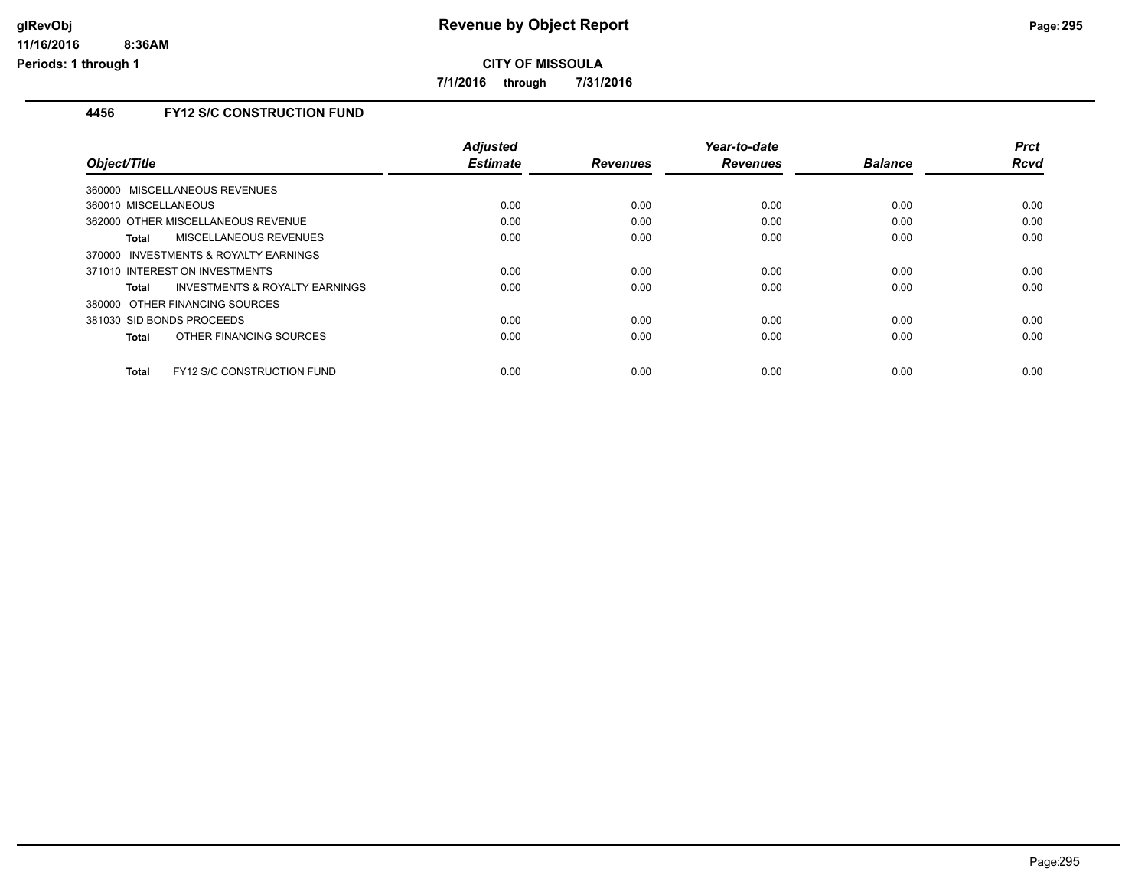**CITY OF MISSOULA**

**7/1/2016 through 7/31/2016**

### **4456 FY12 S/C CONSTRUCTION FUND**

| Object/Title                                       | <b>Adjusted</b><br><b>Estimate</b> | <b>Revenues</b> | Year-to-date<br><b>Revenues</b> | <b>Balance</b> | <b>Prct</b><br><b>Rcvd</b> |
|----------------------------------------------------|------------------------------------|-----------------|---------------------------------|----------------|----------------------------|
| 360000 MISCELLANEOUS REVENUES                      |                                    |                 |                                 |                |                            |
| 360010 MISCELLANEOUS                               | 0.00                               | 0.00            | 0.00                            | 0.00           | 0.00                       |
| 362000 OTHER MISCELLANEOUS REVENUE                 | 0.00                               | 0.00            | 0.00                            | 0.00           | 0.00                       |
| MISCELLANEOUS REVENUES<br>Total                    | 0.00                               | 0.00            | 0.00                            | 0.00           | 0.00                       |
| INVESTMENTS & ROYALTY EARNINGS<br>370000           |                                    |                 |                                 |                |                            |
| 371010 INTEREST ON INVESTMENTS                     | 0.00                               | 0.00            | 0.00                            | 0.00           | 0.00                       |
| <b>INVESTMENTS &amp; ROYALTY EARNINGS</b><br>Total | 0.00                               | 0.00            | 0.00                            | 0.00           | 0.00                       |
| 380000 OTHER FINANCING SOURCES                     |                                    |                 |                                 |                |                            |
| 381030 SID BONDS PROCEEDS                          | 0.00                               | 0.00            | 0.00                            | 0.00           | 0.00                       |
| OTHER FINANCING SOURCES<br>Total                   | 0.00                               | 0.00            | 0.00                            | 0.00           | 0.00                       |
| <b>FY12 S/C CONSTRUCTION FUND</b><br><b>Total</b>  | 0.00                               | 0.00            | 0.00                            | 0.00           | 0.00                       |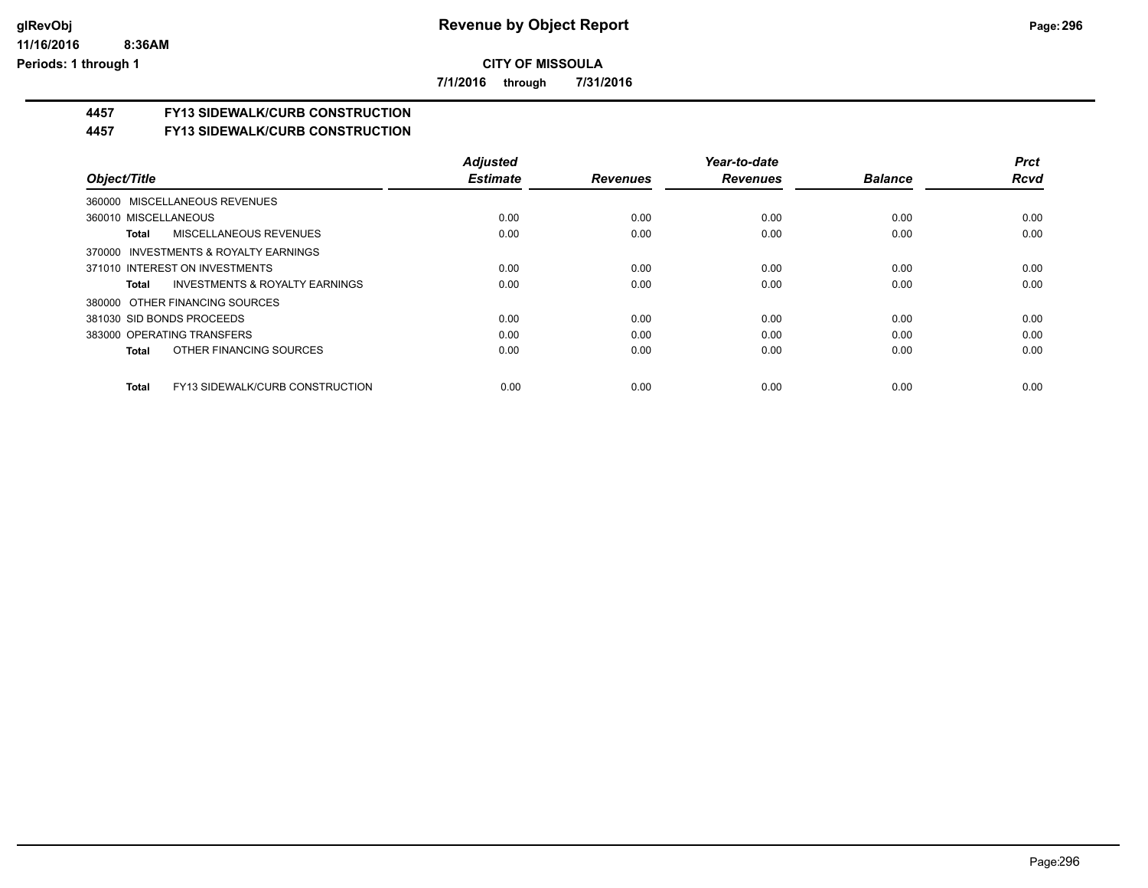**CITY OF MISSOULA**

**7/1/2016 through 7/31/2016**

## **4457 FY13 SIDEWALK/CURB CONSTRUCTION**

**4457 FY13 SIDEWALK/CURB CONSTRUCTION**

|                                          | <b>Adjusted</b> |                 | Year-to-date    |                | <b>Prct</b> |
|------------------------------------------|-----------------|-----------------|-----------------|----------------|-------------|
| Object/Title                             | <b>Estimate</b> | <b>Revenues</b> | <b>Revenues</b> | <b>Balance</b> | <b>Rcvd</b> |
| 360000 MISCELLANEOUS REVENUES            |                 |                 |                 |                |             |
| 360010 MISCELLANEOUS                     | 0.00            | 0.00            | 0.00            | 0.00           | 0.00        |
| MISCELLANEOUS REVENUES<br>Total          | 0.00            | 0.00            | 0.00            | 0.00           | 0.00        |
| 370000 INVESTMENTS & ROYALTY EARNINGS    |                 |                 |                 |                |             |
| 371010 INTEREST ON INVESTMENTS           | 0.00            | 0.00            | 0.00            | 0.00           | 0.00        |
| INVESTMENTS & ROYALTY EARNINGS<br>Total  | 0.00            | 0.00            | 0.00            | 0.00           | 0.00        |
| 380000 OTHER FINANCING SOURCES           |                 |                 |                 |                |             |
| 381030 SID BONDS PROCEEDS                | 0.00            | 0.00            | 0.00            | 0.00           | 0.00        |
| 383000 OPERATING TRANSFERS               | 0.00            | 0.00            | 0.00            | 0.00           | 0.00        |
| OTHER FINANCING SOURCES<br>Total         | 0.00            | 0.00            | 0.00            | 0.00           | 0.00        |
| FY13 SIDEWALK/CURB CONSTRUCTION<br>Total | 0.00            | 0.00            | 0.00            | 0.00           | 0.00        |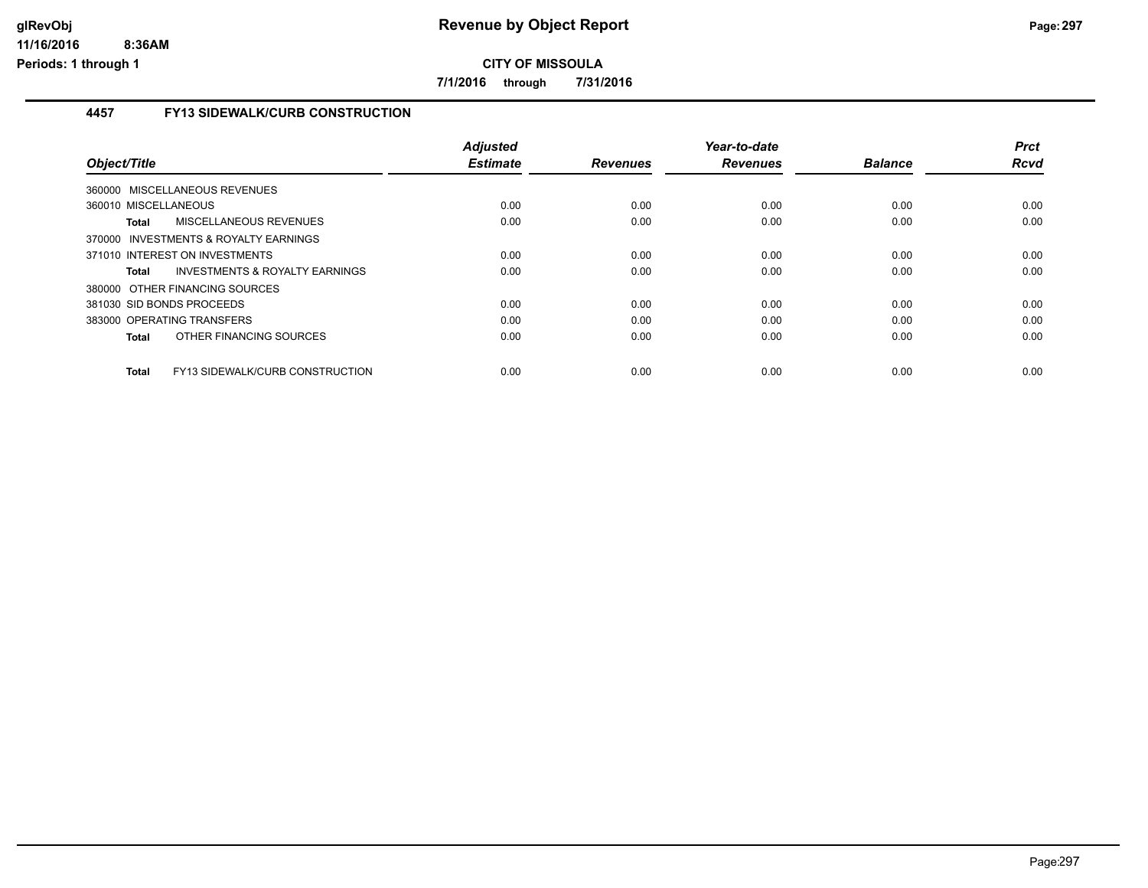**8:36AM**

**CITY OF MISSOULA**

**7/1/2016 through 7/31/2016**

#### **4457 FY13 SIDEWALK/CURB CONSTRUCTION**

|                                                    | <b>Adjusted</b> |                 | Year-to-date    |                | <b>Prct</b> |
|----------------------------------------------------|-----------------|-----------------|-----------------|----------------|-------------|
| Object/Title                                       | <b>Estimate</b> | <b>Revenues</b> | <b>Revenues</b> | <b>Balance</b> | <b>Rcvd</b> |
| 360000 MISCELLANEOUS REVENUES                      |                 |                 |                 |                |             |
| 360010 MISCELLANEOUS                               | 0.00            | 0.00            | 0.00            | 0.00           | 0.00        |
| MISCELLANEOUS REVENUES<br><b>Total</b>             | 0.00            | 0.00            | 0.00            | 0.00           | 0.00        |
| 370000 INVESTMENTS & ROYALTY EARNINGS              |                 |                 |                 |                |             |
| 371010 INTEREST ON INVESTMENTS                     | 0.00            | 0.00            | 0.00            | 0.00           | 0.00        |
| <b>INVESTMENTS &amp; ROYALTY EARNINGS</b><br>Total | 0.00            | 0.00            | 0.00            | 0.00           | 0.00        |
| 380000 OTHER FINANCING SOURCES                     |                 |                 |                 |                |             |
| 381030 SID BONDS PROCEEDS                          | 0.00            | 0.00            | 0.00            | 0.00           | 0.00        |
| 383000 OPERATING TRANSFERS                         | 0.00            | 0.00            | 0.00            | 0.00           | 0.00        |
| OTHER FINANCING SOURCES<br><b>Total</b>            | 0.00            | 0.00            | 0.00            | 0.00           | 0.00        |
| <b>Total</b><br>FY13 SIDEWALK/CURB CONSTRUCTION    | 0.00            | 0.00            | 0.00            | 0.00           | 0.00        |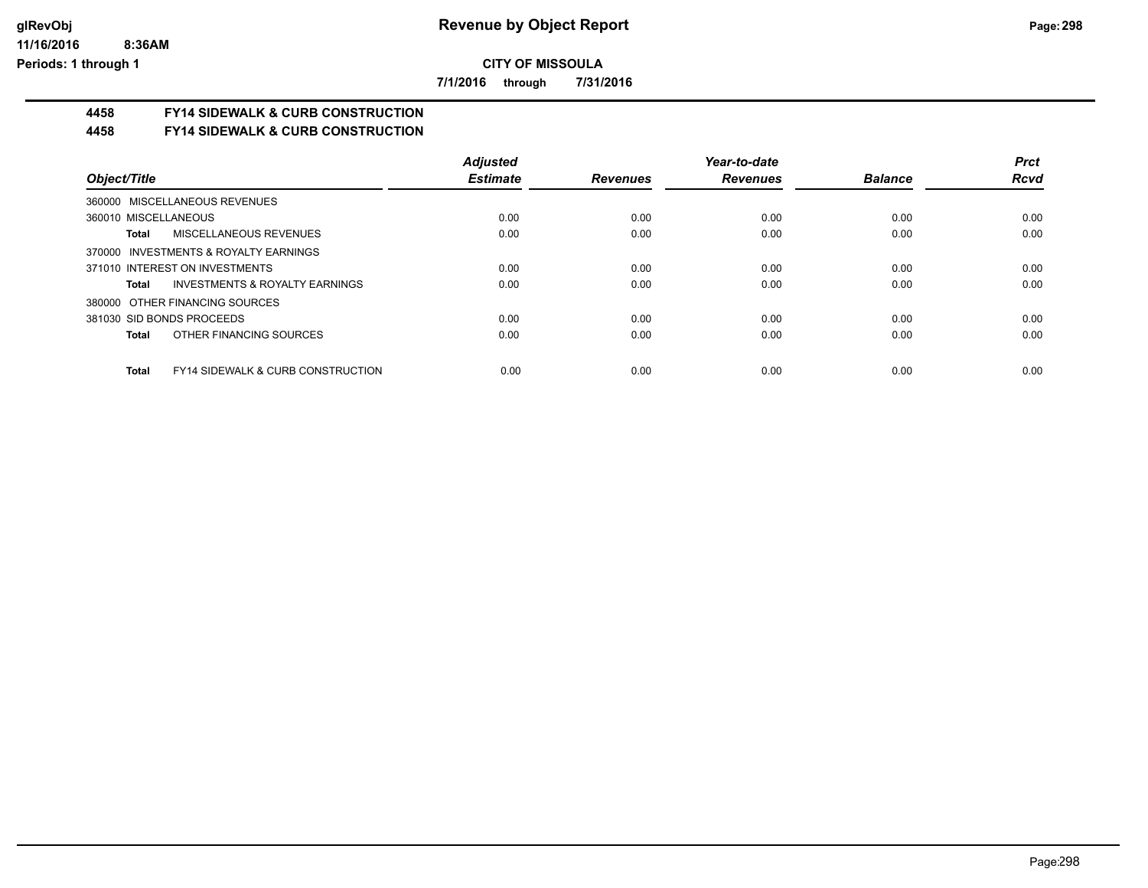**CITY OF MISSOULA**

**7/1/2016 through 7/31/2016**

# **4458 FY14 SIDEWALK & CURB CONSTRUCTION**

## **4458 FY14 SIDEWALK & CURB CONSTRUCTION**

|                                                              | <b>Adjusted</b> |                 | Year-to-date    |                | <b>Prct</b> |
|--------------------------------------------------------------|-----------------|-----------------|-----------------|----------------|-------------|
| Object/Title                                                 | <b>Estimate</b> | <b>Revenues</b> | <b>Revenues</b> | <b>Balance</b> | <b>Rcvd</b> |
| 360000 MISCELLANEOUS REVENUES                                |                 |                 |                 |                |             |
| 360010 MISCELLANEOUS                                         | 0.00            | 0.00            | 0.00            | 0.00           | 0.00        |
| MISCELLANEOUS REVENUES<br>Total                              | 0.00            | 0.00            | 0.00            | 0.00           | 0.00        |
| 370000 INVESTMENTS & ROYALTY EARNINGS                        |                 |                 |                 |                |             |
| 371010 INTEREST ON INVESTMENTS                               | 0.00            | 0.00            | 0.00            | 0.00           | 0.00        |
| <b>INVESTMENTS &amp; ROYALTY EARNINGS</b><br>Total           | 0.00            | 0.00            | 0.00            | 0.00           | 0.00        |
| 380000 OTHER FINANCING SOURCES                               |                 |                 |                 |                |             |
| 381030 SID BONDS PROCEEDS                                    | 0.00            | 0.00            | 0.00            | 0.00           | 0.00        |
| OTHER FINANCING SOURCES<br>Total                             | 0.00            | 0.00            | 0.00            | 0.00           | 0.00        |
| <b>FY14 SIDEWALK &amp; CURB CONSTRUCTION</b><br><b>Total</b> | 0.00            | 0.00            | 0.00            | 0.00           | 0.00        |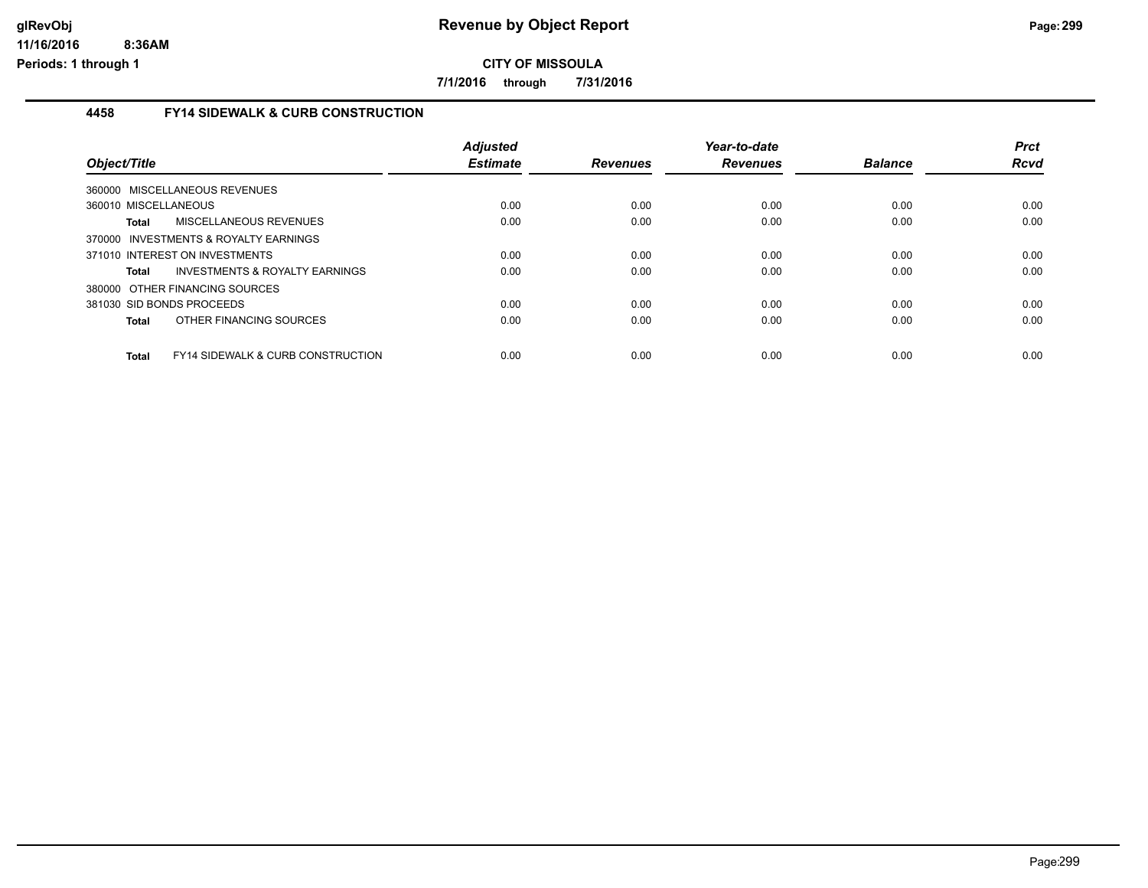**8:36AM**

**CITY OF MISSOULA**

**7/1/2016 through 7/31/2016**

#### **4458 FY14 SIDEWALK & CURB CONSTRUCTION**

| Object/Title                          |                                              | <b>Adjusted</b><br><b>Estimate</b> | <b>Revenues</b> | Year-to-date<br><b>Revenues</b> | <b>Balance</b> | <b>Prct</b><br>Rcvd |
|---------------------------------------|----------------------------------------------|------------------------------------|-----------------|---------------------------------|----------------|---------------------|
| 360000 MISCELLANEOUS REVENUES         |                                              |                                    |                 |                                 |                |                     |
| 360010 MISCELLANEOUS                  |                                              | 0.00                               | 0.00            | 0.00                            | 0.00           | 0.00                |
| <b>Total</b>                          | <b>MISCELLANEOUS REVENUES</b>                | 0.00                               | 0.00            | 0.00                            | 0.00           | 0.00                |
| 370000 INVESTMENTS & ROYALTY EARNINGS |                                              |                                    |                 |                                 |                |                     |
| 371010 INTEREST ON INVESTMENTS        |                                              | 0.00                               | 0.00            | 0.00                            | 0.00           | 0.00                |
| <b>Total</b>                          | <b>INVESTMENTS &amp; ROYALTY EARNINGS</b>    | 0.00                               | 0.00            | 0.00                            | 0.00           | 0.00                |
| 380000 OTHER FINANCING SOURCES        |                                              |                                    |                 |                                 |                |                     |
| 381030 SID BONDS PROCEEDS             |                                              | 0.00                               | 0.00            | 0.00                            | 0.00           | 0.00                |
| <b>Total</b>                          | OTHER FINANCING SOURCES                      | 0.00                               | 0.00            | 0.00                            | 0.00           | 0.00                |
| <b>Total</b>                          | <b>FY14 SIDEWALK &amp; CURB CONSTRUCTION</b> | 0.00                               | 0.00            | 0.00                            | 0.00           | 0.00                |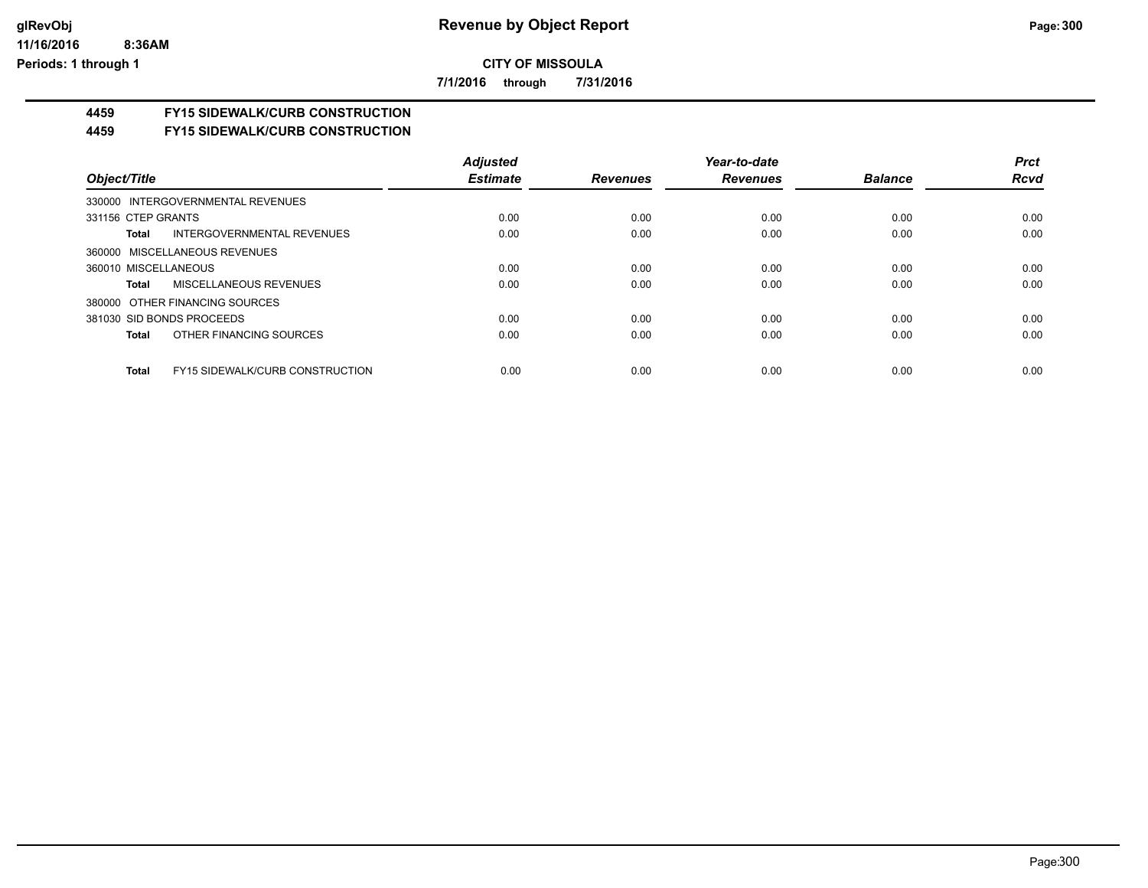**CITY OF MISSOULA**

**7/1/2016 through 7/31/2016**

# **4459 FY15 SIDEWALK/CURB CONSTRUCTION**

**4459 FY15 SIDEWALK/CURB CONSTRUCTION**

|                                                 | <b>Adjusted</b> |                 | Year-to-date    |                | <b>Prct</b> |
|-------------------------------------------------|-----------------|-----------------|-----------------|----------------|-------------|
| Object/Title                                    | <b>Estimate</b> | <b>Revenues</b> | <b>Revenues</b> | <b>Balance</b> | <b>Rcvd</b> |
| 330000 INTERGOVERNMENTAL REVENUES               |                 |                 |                 |                |             |
| 331156 CTEP GRANTS                              | 0.00            | 0.00            | 0.00            | 0.00           | 0.00        |
| INTERGOVERNMENTAL REVENUES<br>Total             | 0.00            | 0.00            | 0.00            | 0.00           | 0.00        |
| 360000 MISCELLANEOUS REVENUES                   |                 |                 |                 |                |             |
| 360010 MISCELLANEOUS                            | 0.00            | 0.00            | 0.00            | 0.00           | 0.00        |
| MISCELLANEOUS REVENUES<br>Total                 | 0.00            | 0.00            | 0.00            | 0.00           | 0.00        |
| 380000 OTHER FINANCING SOURCES                  |                 |                 |                 |                |             |
| 381030 SID BONDS PROCEEDS                       | 0.00            | 0.00            | 0.00            | 0.00           | 0.00        |
| OTHER FINANCING SOURCES<br>Total                | 0.00            | 0.00            | 0.00            | 0.00           | 0.00        |
| <b>FY15 SIDEWALK/CURB CONSTRUCTION</b><br>Total | 0.00            | 0.00            | 0.00            | 0.00           | 0.00        |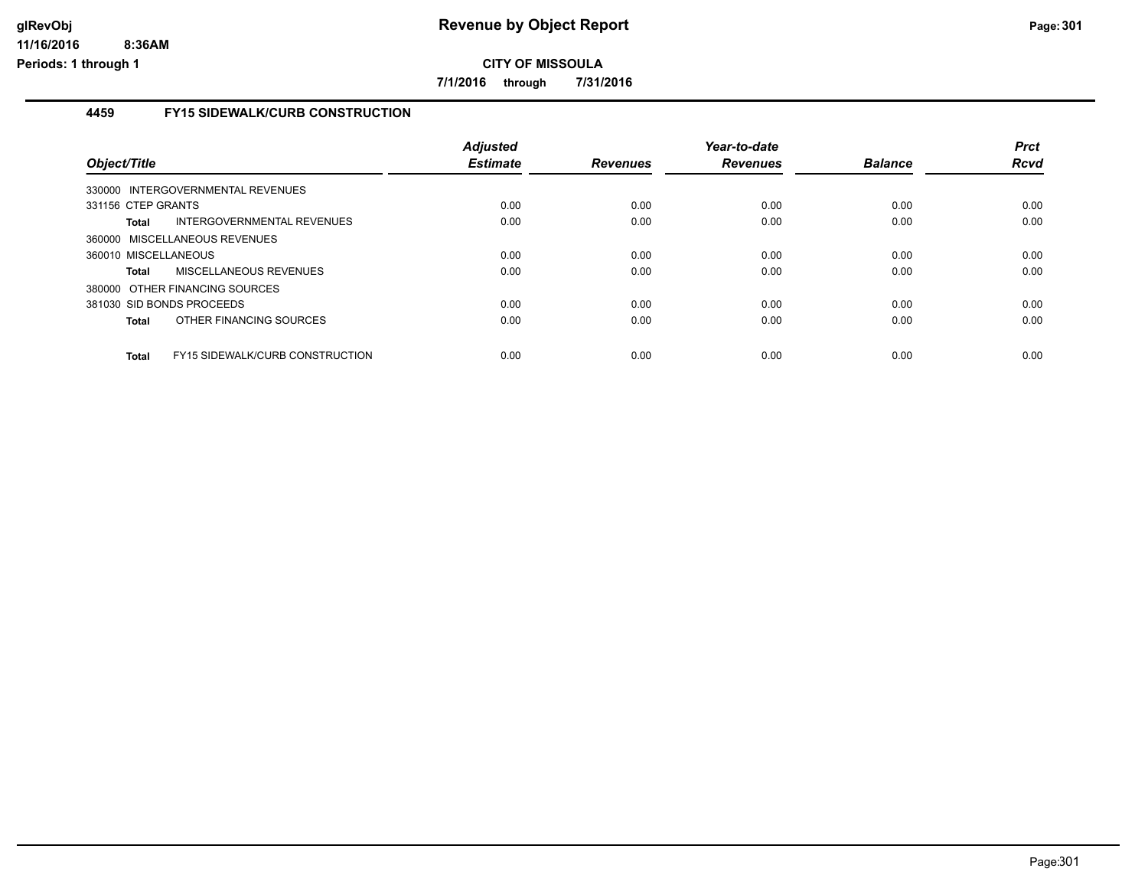**8:36AM**

**CITY OF MISSOULA**

**7/1/2016 through 7/31/2016**

#### **4459 FY15 SIDEWALK/CURB CONSTRUCTION**

| Object/Title                                    | <b>Adjusted</b><br><b>Estimate</b> | <b>Revenues</b> | Year-to-date<br><b>Revenues</b> | <b>Balance</b> | <b>Prct</b><br><b>Rcvd</b> |
|-------------------------------------------------|------------------------------------|-----------------|---------------------------------|----------------|----------------------------|
| 330000 INTERGOVERNMENTAL REVENUES               |                                    |                 |                                 |                |                            |
| 331156 CTEP GRANTS                              | 0.00                               | 0.00            | 0.00                            | 0.00           | 0.00                       |
| INTERGOVERNMENTAL REVENUES<br><b>Total</b>      | 0.00                               | 0.00            | 0.00                            | 0.00           | 0.00                       |
| 360000 MISCELLANEOUS REVENUES                   |                                    |                 |                                 |                |                            |
| 360010 MISCELLANEOUS                            | 0.00                               | 0.00            | 0.00                            | 0.00           | 0.00                       |
| MISCELLANEOUS REVENUES<br><b>Total</b>          | 0.00                               | 0.00            | 0.00                            | 0.00           | 0.00                       |
| 380000 OTHER FINANCING SOURCES                  |                                    |                 |                                 |                |                            |
| 381030 SID BONDS PROCEEDS                       | 0.00                               | 0.00            | 0.00                            | 0.00           | 0.00                       |
| OTHER FINANCING SOURCES<br><b>Total</b>         | 0.00                               | 0.00            | 0.00                            | 0.00           | 0.00                       |
| FY15 SIDEWALK/CURB CONSTRUCTION<br><b>Total</b> | 0.00                               | 0.00            | 0.00                            | 0.00           | 0.00                       |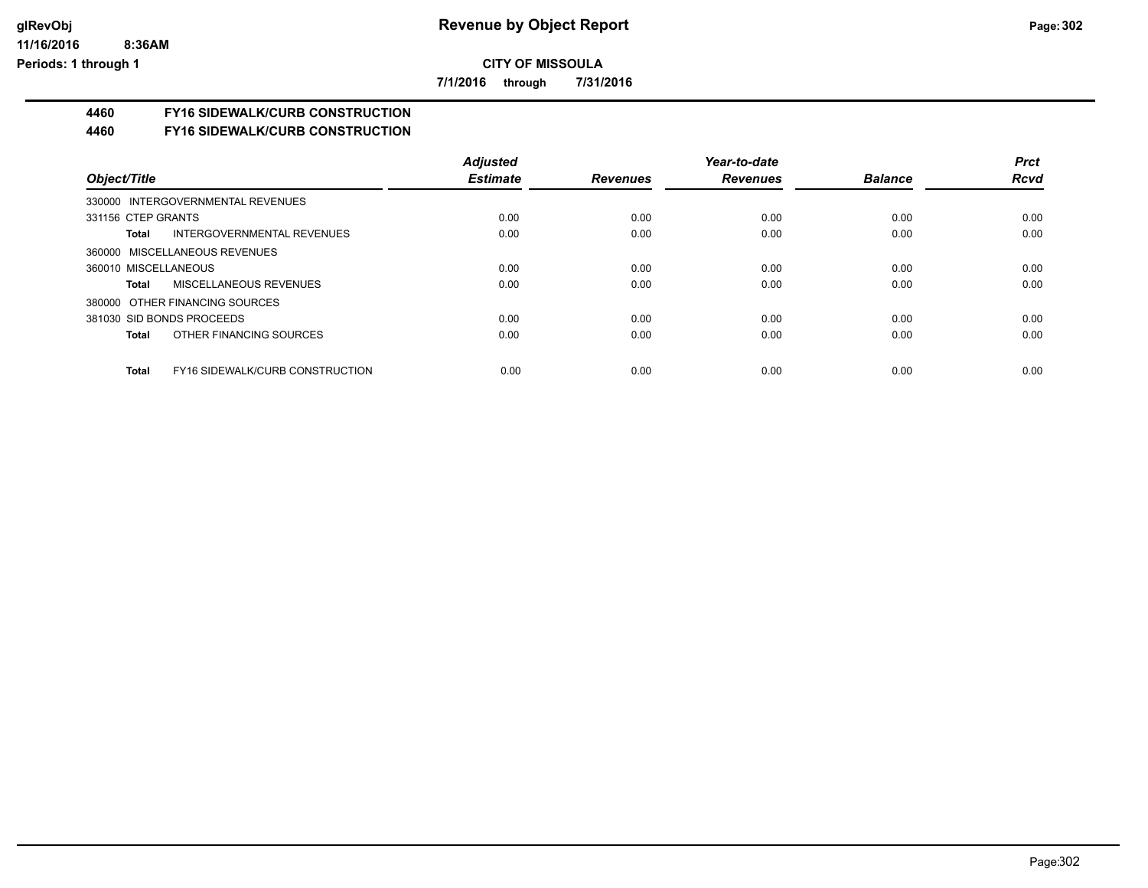**CITY OF MISSOULA**

**7/1/2016 through 7/31/2016**

# **4460 FY16 SIDEWALK/CURB CONSTRUCTION**

**4460 FY16 SIDEWALK/CURB CONSTRUCTION**

|                                          | <b>Adjusted</b> |                 | Year-to-date    |                | <b>Prct</b> |
|------------------------------------------|-----------------|-----------------|-----------------|----------------|-------------|
| Object/Title                             | <b>Estimate</b> | <b>Revenues</b> | <b>Revenues</b> | <b>Balance</b> | <b>Rcvd</b> |
| 330000 INTERGOVERNMENTAL REVENUES        |                 |                 |                 |                |             |
| 331156 CTEP GRANTS                       | 0.00            | 0.00            | 0.00            | 0.00           | 0.00        |
| INTERGOVERNMENTAL REVENUES<br>Total      | 0.00            | 0.00            | 0.00            | 0.00           | 0.00        |
| 360000 MISCELLANEOUS REVENUES            |                 |                 |                 |                |             |
| 360010 MISCELLANEOUS                     | 0.00            | 0.00            | 0.00            | 0.00           | 0.00        |
| MISCELLANEOUS REVENUES<br>Total          | 0.00            | 0.00            | 0.00            | 0.00           | 0.00        |
| 380000 OTHER FINANCING SOURCES           |                 |                 |                 |                |             |
| 381030 SID BONDS PROCEEDS                | 0.00            | 0.00            | 0.00            | 0.00           | 0.00        |
| OTHER FINANCING SOURCES<br>Total         | 0.00            | 0.00            | 0.00            | 0.00           | 0.00        |
| FY16 SIDEWALK/CURB CONSTRUCTION<br>Total | 0.00            | 0.00            | 0.00            | 0.00           | 0.00        |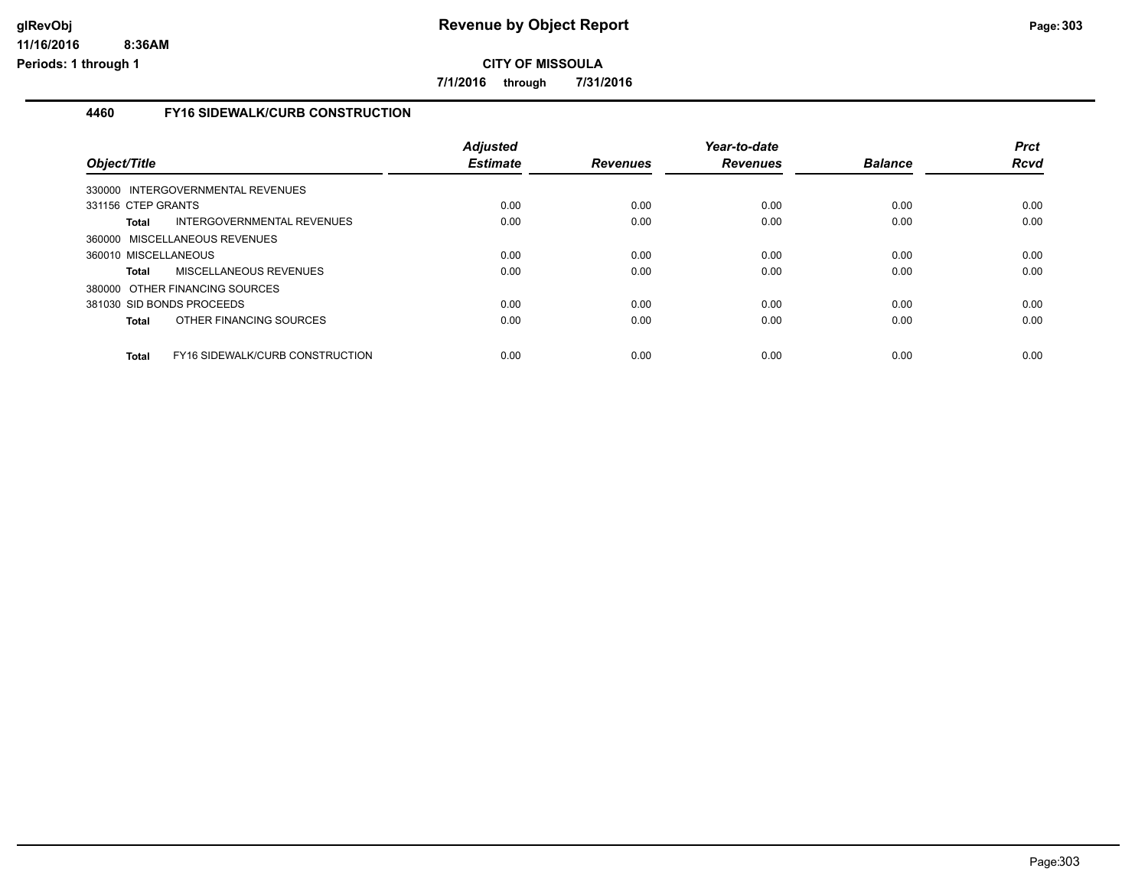**8:36AM**

**CITY OF MISSOULA**

**7/1/2016 through 7/31/2016**

#### **4460 FY16 SIDEWALK/CURB CONSTRUCTION**

| Object/Title                                    | <b>Adjusted</b><br><b>Estimate</b> | <b>Revenues</b> | Year-to-date<br><b>Revenues</b> | <b>Balance</b> | <b>Prct</b><br><b>Rcvd</b> |
|-------------------------------------------------|------------------------------------|-----------------|---------------------------------|----------------|----------------------------|
| 330000 INTERGOVERNMENTAL REVENUES               |                                    |                 |                                 |                |                            |
| 331156 CTEP GRANTS                              | 0.00                               | 0.00            | 0.00                            | 0.00           | 0.00                       |
| INTERGOVERNMENTAL REVENUES<br><b>Total</b>      | 0.00                               | 0.00            | 0.00                            | 0.00           | 0.00                       |
| 360000 MISCELLANEOUS REVENUES                   |                                    |                 |                                 |                |                            |
| 360010 MISCELLANEOUS                            | 0.00                               | 0.00            | 0.00                            | 0.00           | 0.00                       |
| MISCELLANEOUS REVENUES<br><b>Total</b>          | 0.00                               | 0.00            | 0.00                            | 0.00           | 0.00                       |
| 380000 OTHER FINANCING SOURCES                  |                                    |                 |                                 |                |                            |
| 381030 SID BONDS PROCEEDS                       | 0.00                               | 0.00            | 0.00                            | 0.00           | 0.00                       |
| OTHER FINANCING SOURCES<br><b>Total</b>         | 0.00                               | 0.00            | 0.00                            | 0.00           | 0.00                       |
| FY16 SIDEWALK/CURB CONSTRUCTION<br><b>Total</b> | 0.00                               | 0.00            | 0.00                            | 0.00           | 0.00                       |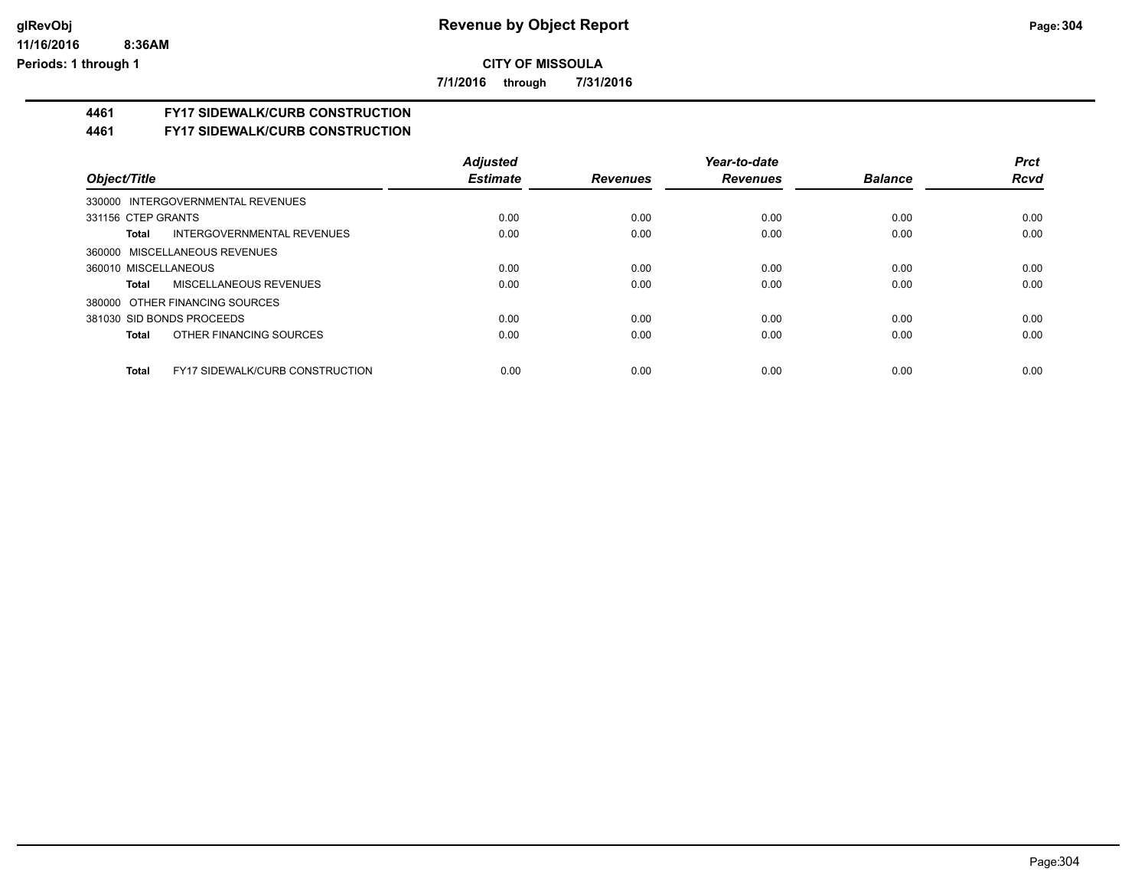**CITY OF MISSOULA**

**7/1/2016 through 7/31/2016**

# **4461 FY17 SIDEWALK/CURB CONSTRUCTION**

**4461 FY17 SIDEWALK/CURB CONSTRUCTION**

|                                                 | <b>Adjusted</b> |                 | Year-to-date    |                | <b>Prct</b> |
|-------------------------------------------------|-----------------|-----------------|-----------------|----------------|-------------|
| Object/Title                                    | <b>Estimate</b> | <b>Revenues</b> | <b>Revenues</b> | <b>Balance</b> | <b>Rcvd</b> |
| 330000 INTERGOVERNMENTAL REVENUES               |                 |                 |                 |                |             |
| 331156 CTEP GRANTS                              | 0.00            | 0.00            | 0.00            | 0.00           | 0.00        |
| INTERGOVERNMENTAL REVENUES<br>Total             | 0.00            | 0.00            | 0.00            | 0.00           | 0.00        |
| 360000 MISCELLANEOUS REVENUES                   |                 |                 |                 |                |             |
| 360010 MISCELLANEOUS                            | 0.00            | 0.00            | 0.00            | 0.00           | 0.00        |
| MISCELLANEOUS REVENUES<br>Total                 | 0.00            | 0.00            | 0.00            | 0.00           | 0.00        |
| 380000 OTHER FINANCING SOURCES                  |                 |                 |                 |                |             |
| 381030 SID BONDS PROCEEDS                       | 0.00            | 0.00            | 0.00            | 0.00           | 0.00        |
| OTHER FINANCING SOURCES<br>Total                | 0.00            | 0.00            | 0.00            | 0.00           | 0.00        |
| <b>FY17 SIDEWALK/CURB CONSTRUCTION</b><br>Total | 0.00            | 0.00            | 0.00            | 0.00           | 0.00        |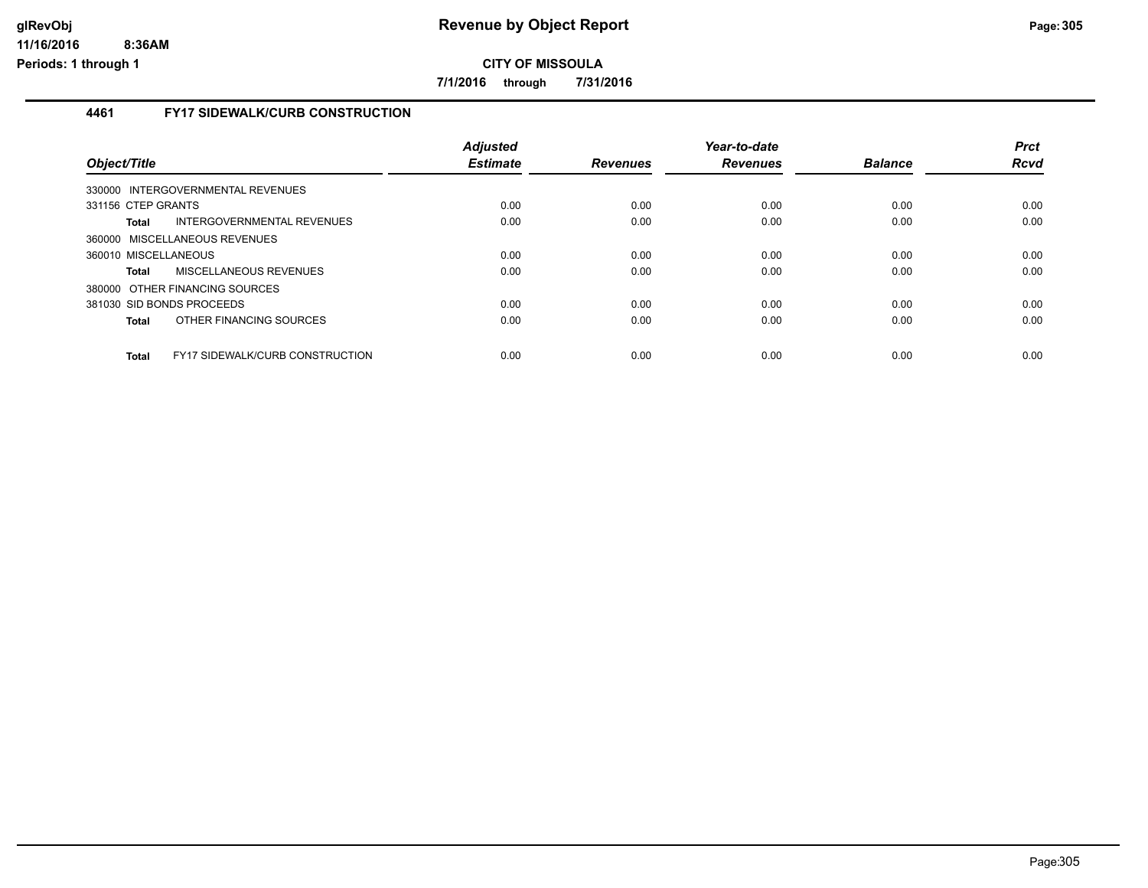**8:36AM**

**CITY OF MISSOULA**

**7/1/2016 through 7/31/2016**

#### **4461 FY17 SIDEWALK/CURB CONSTRUCTION**

| Object/Title                                    | <b>Adjusted</b><br><b>Estimate</b> | <b>Revenues</b> | Year-to-date<br><b>Revenues</b> | <b>Balance</b> | <b>Prct</b><br><b>Rcvd</b> |
|-------------------------------------------------|------------------------------------|-----------------|---------------------------------|----------------|----------------------------|
| 330000 INTERGOVERNMENTAL REVENUES               |                                    |                 |                                 |                |                            |
| 331156 CTEP GRANTS                              | 0.00                               | 0.00            | 0.00                            | 0.00           | 0.00                       |
| INTERGOVERNMENTAL REVENUES<br><b>Total</b>      | 0.00                               | 0.00            | 0.00                            | 0.00           | 0.00                       |
| 360000 MISCELLANEOUS REVENUES                   |                                    |                 |                                 |                |                            |
| 360010 MISCELLANEOUS                            | 0.00                               | 0.00            | 0.00                            | 0.00           | 0.00                       |
| MISCELLANEOUS REVENUES<br><b>Total</b>          | 0.00                               | 0.00            | 0.00                            | 0.00           | 0.00                       |
| 380000 OTHER FINANCING SOURCES                  |                                    |                 |                                 |                |                            |
| 381030 SID BONDS PROCEEDS                       | 0.00                               | 0.00            | 0.00                            | 0.00           | 0.00                       |
| OTHER FINANCING SOURCES<br><b>Total</b>         | 0.00                               | 0.00            | 0.00                            | 0.00           | 0.00                       |
| FY17 SIDEWALK/CURB CONSTRUCTION<br><b>Total</b> | 0.00                               | 0.00            | 0.00                            | 0.00           | 0.00                       |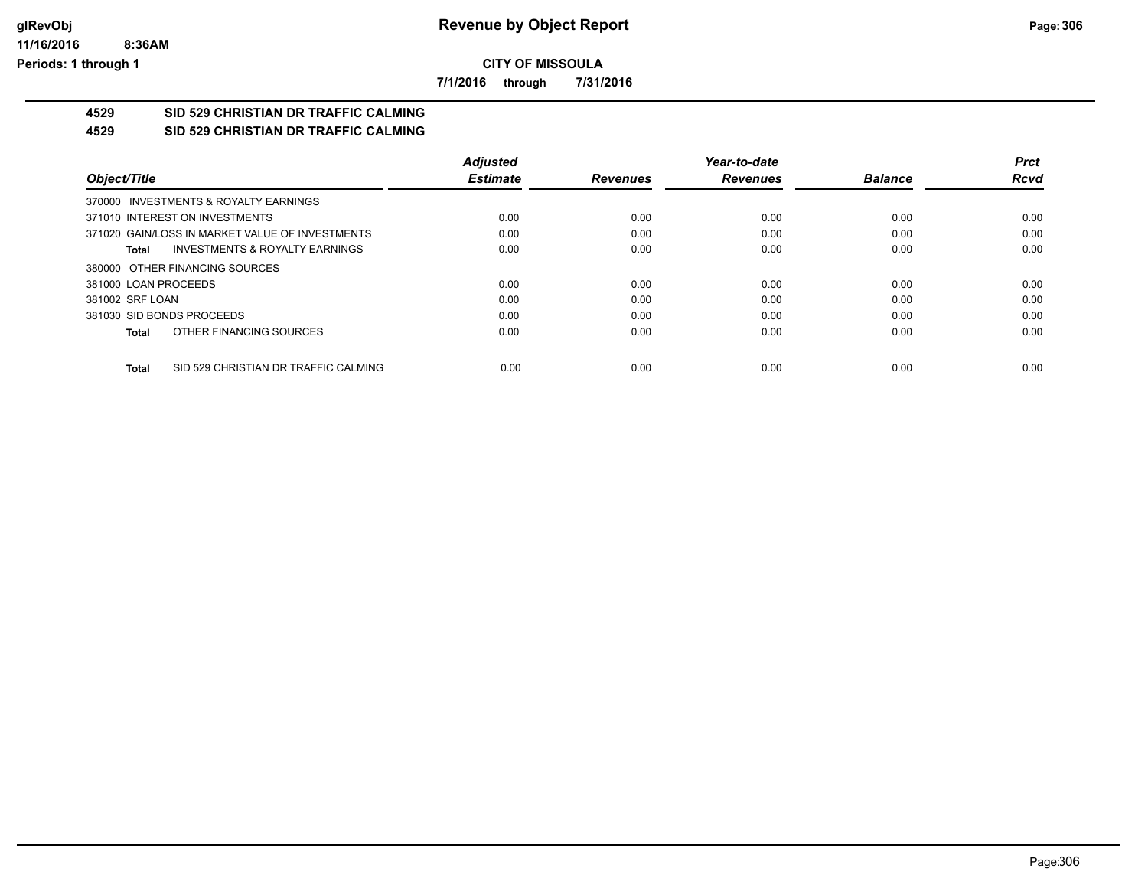**CITY OF MISSOULA**

**7/1/2016 through 7/31/2016**

#### **4529 SID 529 CHRISTIAN DR TRAFFIC CALMING 4529 SID 529 CHRISTIAN DR TRAFFIC CALMING**

|                      |                                                 | <b>Adjusted</b> |                 | Year-to-date    |                | <b>Prct</b> |
|----------------------|-------------------------------------------------|-----------------|-----------------|-----------------|----------------|-------------|
| Object/Title         |                                                 | <b>Estimate</b> | <b>Revenues</b> | <b>Revenues</b> | <b>Balance</b> | <b>Rcvd</b> |
|                      | 370000 INVESTMENTS & ROYALTY EARNINGS           |                 |                 |                 |                |             |
|                      | 371010 INTEREST ON INVESTMENTS                  | 0.00            | 0.00            | 0.00            | 0.00           | 0.00        |
|                      | 371020 GAIN/LOSS IN MARKET VALUE OF INVESTMENTS | 0.00            | 0.00            | 0.00            | 0.00           | 0.00        |
| Total                | <b>INVESTMENTS &amp; ROYALTY EARNINGS</b>       | 0.00            | 0.00            | 0.00            | 0.00           | 0.00        |
|                      | 380000 OTHER FINANCING SOURCES                  |                 |                 |                 |                |             |
| 381000 LOAN PROCEEDS |                                                 | 0.00            | 0.00            | 0.00            | 0.00           | 0.00        |
| 381002 SRF LOAN      |                                                 | 0.00            | 0.00            | 0.00            | 0.00           | 0.00        |
|                      | 381030 SID BONDS PROCEEDS                       | 0.00            | 0.00            | 0.00            | 0.00           | 0.00        |
| Total                | OTHER FINANCING SOURCES                         | 0.00            | 0.00            | 0.00            | 0.00           | 0.00        |
| <b>Total</b>         | SID 529 CHRISTIAN DR TRAFFIC CALMING            | 0.00            | 0.00            | 0.00            | 0.00           | 0.00        |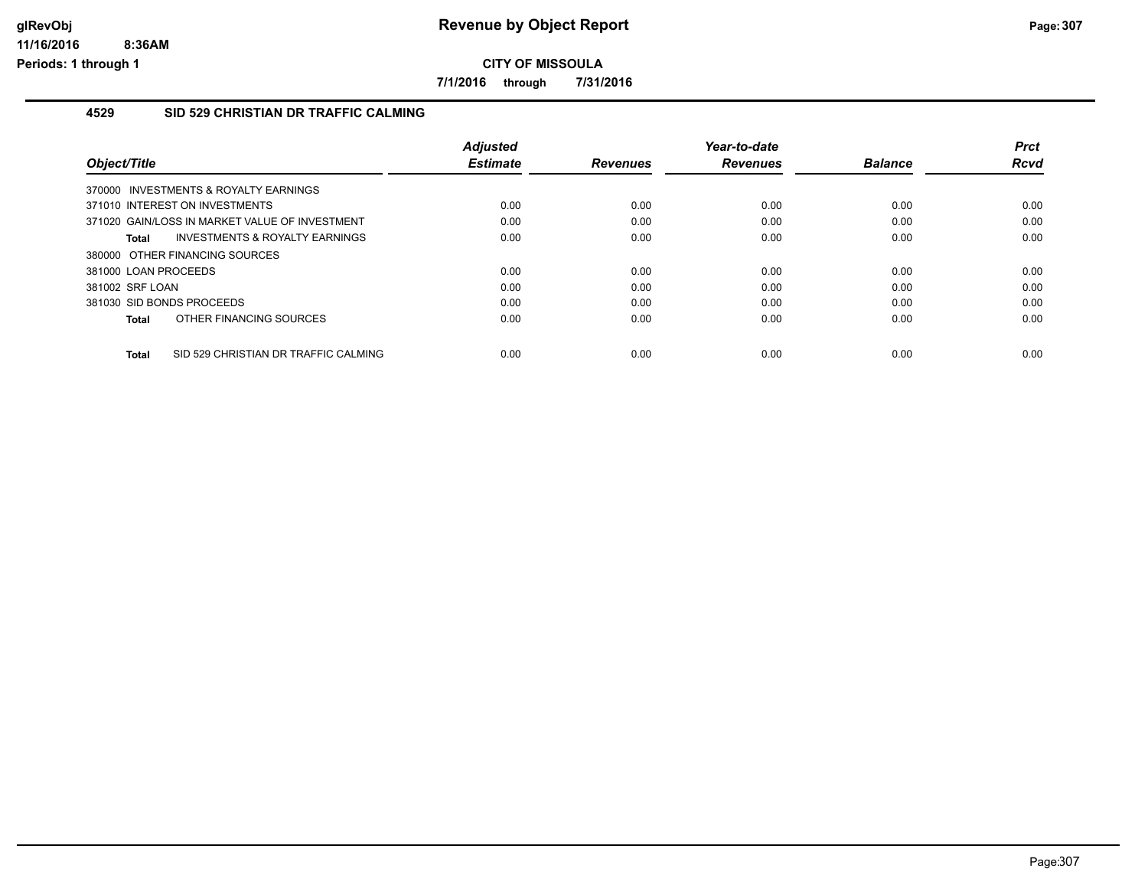**8:36AM**

**CITY OF MISSOULA**

**7/1/2016 through 7/31/2016**

#### **4529 SID 529 CHRISTIAN DR TRAFFIC CALMING**

| Object/Title                                       | <b>Adjusted</b><br><b>Estimate</b> | <b>Revenues</b> | Year-to-date<br><b>Revenues</b> | <b>Balance</b> | <b>Prct</b><br>Rcvd |
|----------------------------------------------------|------------------------------------|-----------------|---------------------------------|----------------|---------------------|
| 370000 INVESTMENTS & ROYALTY EARNINGS              |                                    |                 |                                 |                |                     |
| 371010 INTEREST ON INVESTMENTS                     | 0.00                               | 0.00            | 0.00                            | 0.00           | 0.00                |
| 371020 GAIN/LOSS IN MARKET VALUE OF INVESTMENT     | 0.00                               | 0.00            | 0.00                            | 0.00           | 0.00                |
| <b>INVESTMENTS &amp; ROYALTY EARNINGS</b><br>Total | 0.00                               | 0.00            | 0.00                            | 0.00           | 0.00                |
| 380000 OTHER FINANCING SOURCES                     |                                    |                 |                                 |                |                     |
| 381000 LOAN PROCEEDS                               | 0.00                               | 0.00            | 0.00                            | 0.00           | 0.00                |
| 381002 SRF LOAN                                    | 0.00                               | 0.00            | 0.00                            | 0.00           | 0.00                |
| 381030 SID BONDS PROCEEDS                          | 0.00                               | 0.00            | 0.00                            | 0.00           | 0.00                |
| OTHER FINANCING SOURCES<br>Total                   | 0.00                               | 0.00            | 0.00                            | 0.00           | 0.00                |
| SID 529 CHRISTIAN DR TRAFFIC CALMING<br>Total      | 0.00                               | 0.00            | 0.00                            | 0.00           | 0.00                |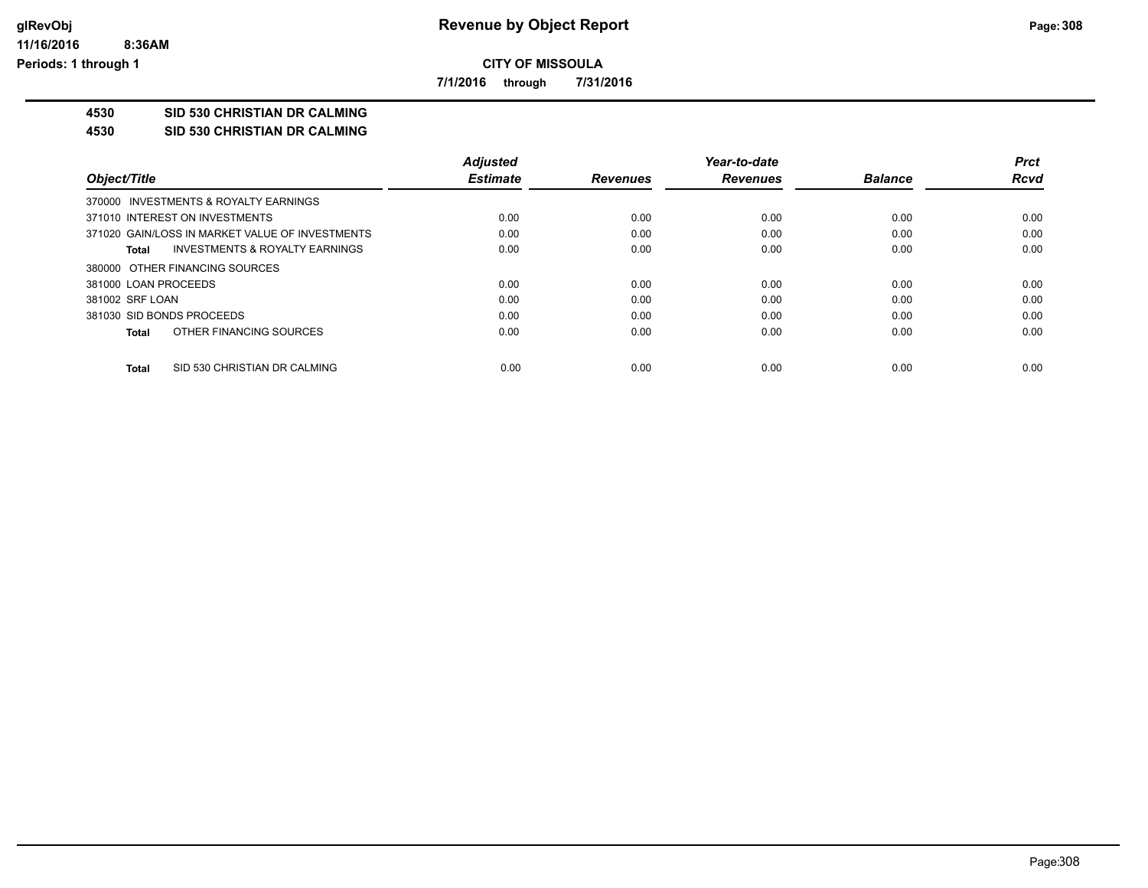**glRevObj Revenue by Object Report Page:308** 

**CITY OF MISSOULA**

**7/1/2016 through 7/31/2016**

### **4530 SID 530 CHRISTIAN DR CALMING**

 **8:36AM**

#### **4530 SID 530 CHRISTIAN DR CALMING**

|                                                 | <b>Adjusted</b> |                 | Year-to-date    |                | <b>Prct</b> |
|-------------------------------------------------|-----------------|-----------------|-----------------|----------------|-------------|
| Object/Title                                    | <b>Estimate</b> | <b>Revenues</b> | <b>Revenues</b> | <b>Balance</b> | <b>Rcvd</b> |
| 370000 INVESTMENTS & ROYALTY EARNINGS           |                 |                 |                 |                |             |
| 371010 INTEREST ON INVESTMENTS                  | 0.00            | 0.00            | 0.00            | 0.00           | 0.00        |
| 371020 GAIN/LOSS IN MARKET VALUE OF INVESTMENTS | 0.00            | 0.00            | 0.00            | 0.00           | 0.00        |
| INVESTMENTS & ROYALTY EARNINGS<br>Total         | 0.00            | 0.00            | 0.00            | 0.00           | 0.00        |
| 380000 OTHER FINANCING SOURCES                  |                 |                 |                 |                |             |
| 381000 LOAN PROCEEDS                            | 0.00            | 0.00            | 0.00            | 0.00           | 0.00        |
| 381002 SRF LOAN                                 | 0.00            | 0.00            | 0.00            | 0.00           | 0.00        |
| 381030 SID BONDS PROCEEDS                       | 0.00            | 0.00            | 0.00            | 0.00           | 0.00        |
| OTHER FINANCING SOURCES<br>Total                | 0.00            | 0.00            | 0.00            | 0.00           | 0.00        |
|                                                 |                 |                 |                 |                |             |
| SID 530 CHRISTIAN DR CALMING<br>Total           | 0.00            | 0.00            | 0.00            | 0.00           | 0.00        |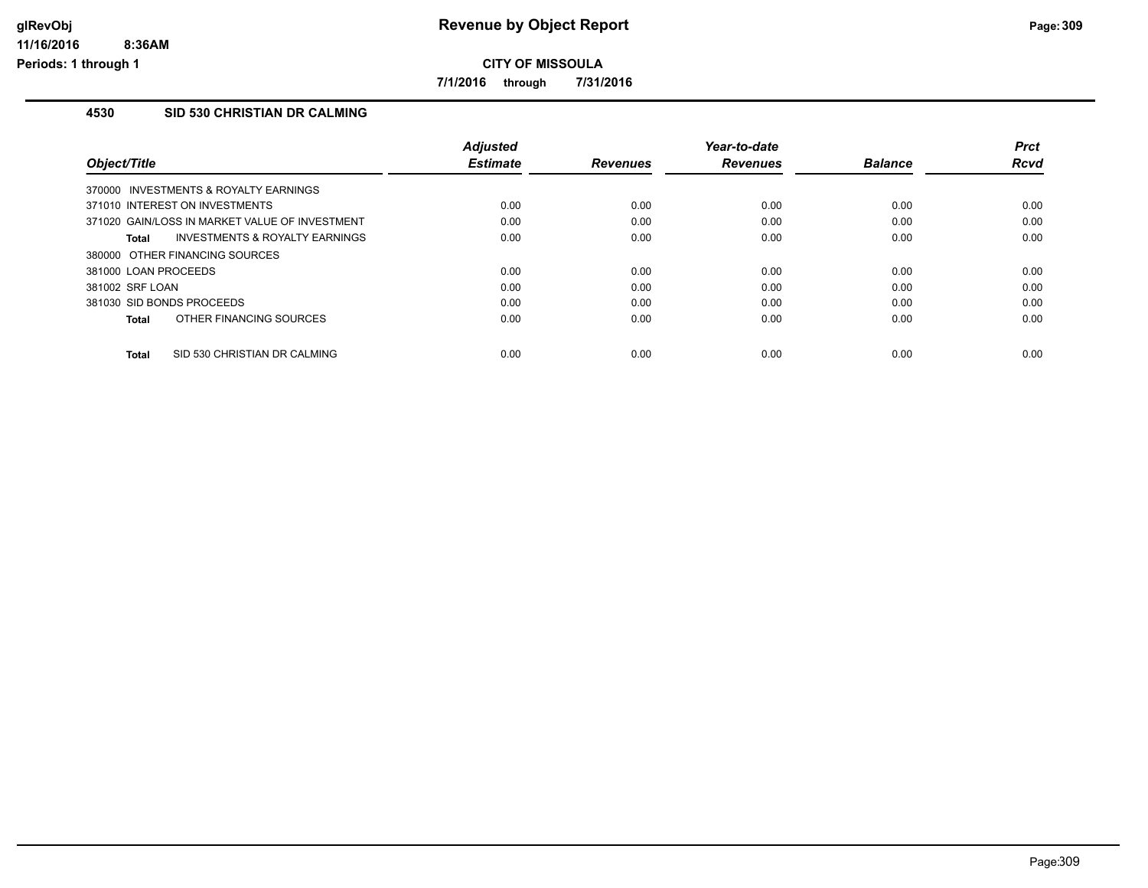**CITY OF MISSOULA**

**7/1/2016 through 7/31/2016**

#### **4530 SID 530 CHRISTIAN DR CALMING**

| Object/Title                                   | <b>Adjusted</b><br><b>Estimate</b> | <b>Revenues</b> | Year-to-date<br><b>Revenues</b> | <b>Balance</b> | <b>Prct</b><br>Rcvd |
|------------------------------------------------|------------------------------------|-----------------|---------------------------------|----------------|---------------------|
| 370000 INVESTMENTS & ROYALTY EARNINGS          |                                    |                 |                                 |                |                     |
| 371010 INTEREST ON INVESTMENTS                 | 0.00                               | 0.00            | 0.00                            | 0.00           | 0.00                |
| 371020 GAIN/LOSS IN MARKET VALUE OF INVESTMENT | 0.00                               | 0.00            | 0.00                            | 0.00           | 0.00                |
| INVESTMENTS & ROYALTY EARNINGS<br>Total        | 0.00                               | 0.00            | 0.00                            | 0.00           | 0.00                |
| 380000 OTHER FINANCING SOURCES                 |                                    |                 |                                 |                |                     |
| 381000 LOAN PROCEEDS                           | 0.00                               | 0.00            | 0.00                            | 0.00           | 0.00                |
| 381002 SRF LOAN                                | 0.00                               | 0.00            | 0.00                            | 0.00           | 0.00                |
| 381030 SID BONDS PROCEEDS                      | 0.00                               | 0.00            | 0.00                            | 0.00           | 0.00                |
| OTHER FINANCING SOURCES<br><b>Total</b>        | 0.00                               | 0.00            | 0.00                            | 0.00           | 0.00                |
| SID 530 CHRISTIAN DR CALMING<br><b>Total</b>   | 0.00                               | 0.00            | 0.00                            | 0.00           | 0.00                |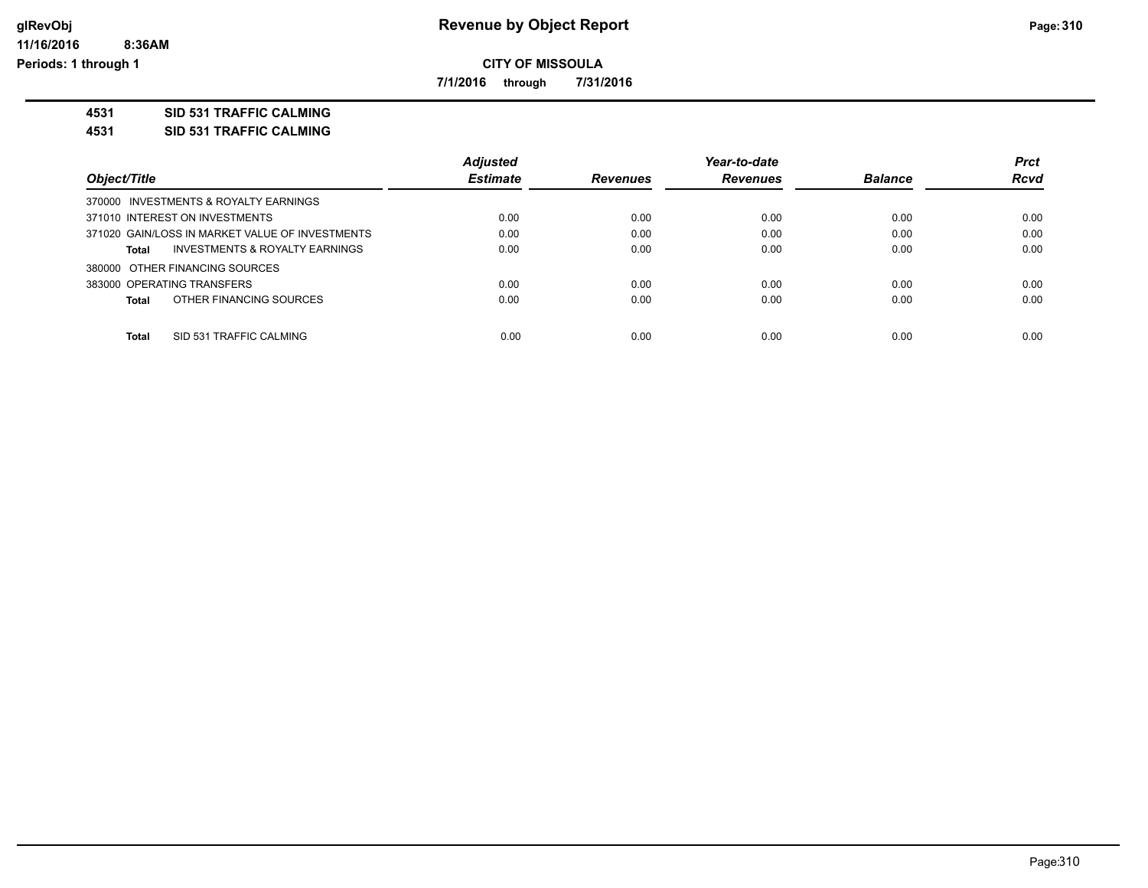**CITY OF MISSOULA**

**7/1/2016 through 7/31/2016**

#### **4531 SID 531 TRAFFIC CALMING**

**4531 SID 531 TRAFFIC CALMING**

|                                                 | <b>Adjusted</b> |                 | Year-to-date    |                | <b>Prct</b> |
|-------------------------------------------------|-----------------|-----------------|-----------------|----------------|-------------|
| Object/Title                                    | <b>Estimate</b> | <b>Revenues</b> | <b>Revenues</b> | <b>Balance</b> | <b>Rcvd</b> |
| 370000 INVESTMENTS & ROYALTY EARNINGS           |                 |                 |                 |                |             |
| 371010 INTEREST ON INVESTMENTS                  | 0.00            | 0.00            | 0.00            | 0.00           | 0.00        |
| 371020 GAIN/LOSS IN MARKET VALUE OF INVESTMENTS | 0.00            | 0.00            | 0.00            | 0.00           | 0.00        |
| INVESTMENTS & ROYALTY EARNINGS<br>Total         | 0.00            | 0.00            | 0.00            | 0.00           | 0.00        |
| 380000 OTHER FINANCING SOURCES                  |                 |                 |                 |                |             |
| 383000 OPERATING TRANSFERS                      | 0.00            | 0.00            | 0.00            | 0.00           | 0.00        |
| OTHER FINANCING SOURCES<br>Total                | 0.00            | 0.00            | 0.00            | 0.00           | 0.00        |
|                                                 |                 |                 |                 |                |             |
| <b>Total</b><br>SID 531 TRAFFIC CALMING         | 0.00            | 0.00            | 0.00            | 0.00           | 0.00        |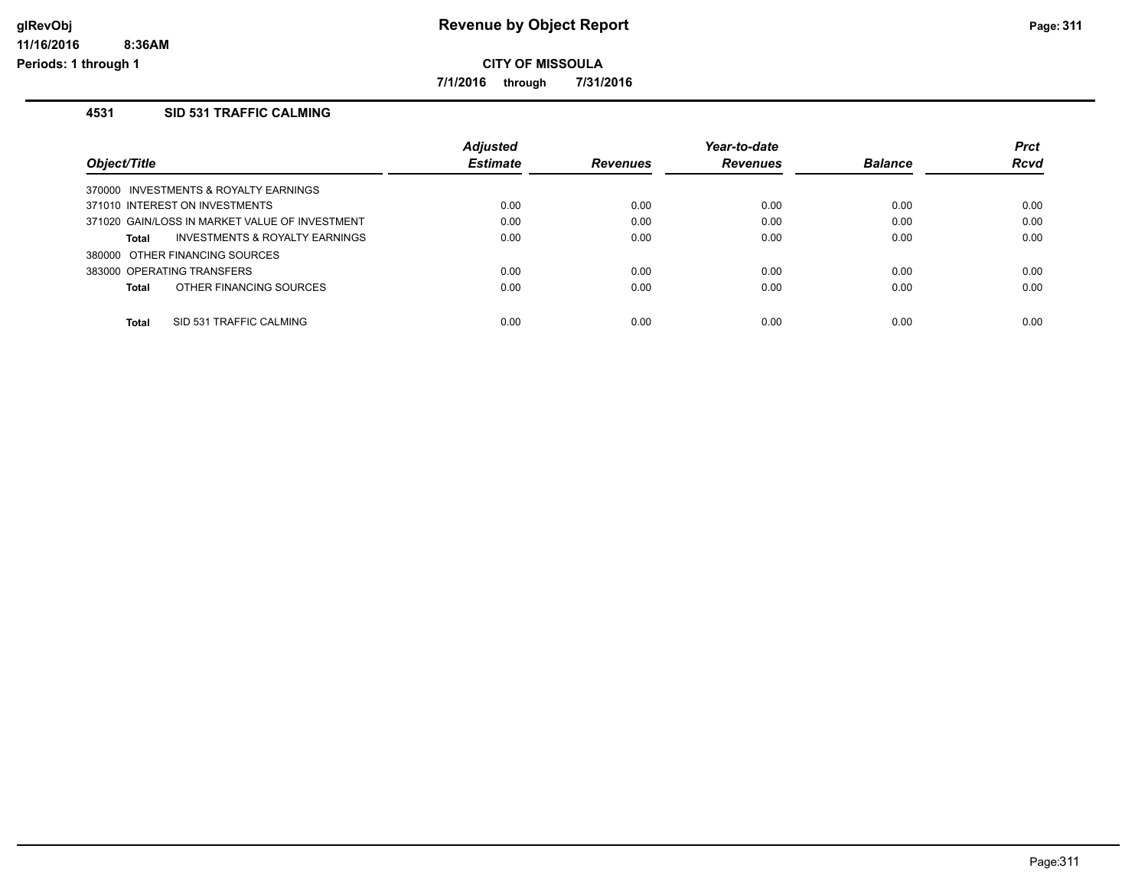**CITY OF MISSOULA**

**7/1/2016 through 7/31/2016**

#### **4531 SID 531 TRAFFIC CALMING**

|                                                | <b>Adjusted</b> |                 | Year-to-date    |                | <b>Prct</b> |
|------------------------------------------------|-----------------|-----------------|-----------------|----------------|-------------|
| Object/Title                                   | <b>Estimate</b> | <b>Revenues</b> | <b>Revenues</b> | <b>Balance</b> | <b>Rcvd</b> |
| 370000 INVESTMENTS & ROYALTY EARNINGS          |                 |                 |                 |                |             |
| 371010 INTEREST ON INVESTMENTS                 | 0.00            | 0.00            | 0.00            | 0.00           | 0.00        |
| 371020 GAIN/LOSS IN MARKET VALUE OF INVESTMENT | 0.00            | 0.00            | 0.00            | 0.00           | 0.00        |
| INVESTMENTS & ROYALTY EARNINGS<br>Total        | 0.00            | 0.00            | 0.00            | 0.00           | 0.00        |
| 380000 OTHER FINANCING SOURCES                 |                 |                 |                 |                |             |
| 383000 OPERATING TRANSFERS                     | 0.00            | 0.00            | 0.00            | 0.00           | 0.00        |
| OTHER FINANCING SOURCES<br>Total               | 0.00            | 0.00            | 0.00            | 0.00           | 0.00        |
| <b>Total</b><br>SID 531 TRAFFIC CALMING        | 0.00            | 0.00            | 0.00            | 0.00           | 0.00        |
|                                                |                 |                 |                 |                |             |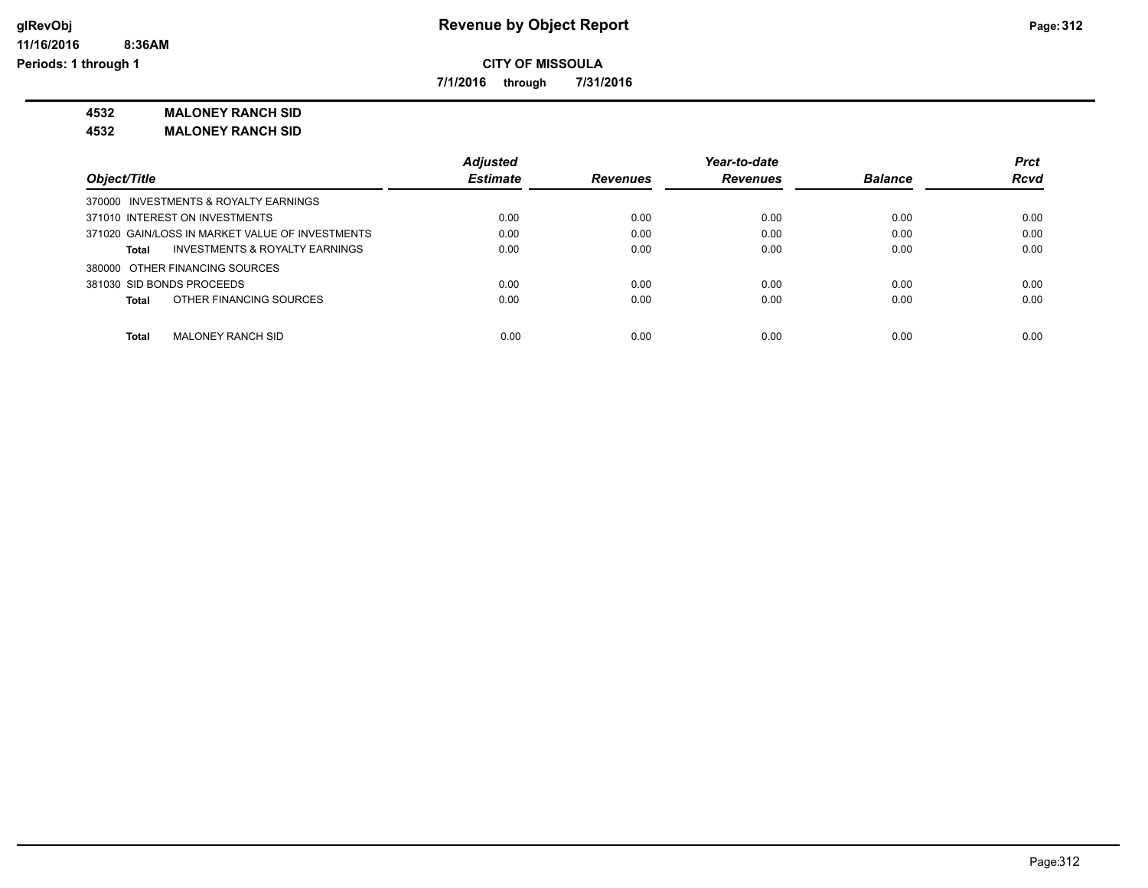**CITY OF MISSOULA**

**7/1/2016 through 7/31/2016**

**4532 MALONEY RANCH SID**

**4532 MALONEY RANCH SID**

|                                                    | <b>Adjusted</b> |                 | Year-to-date    |                | <b>Prct</b> |
|----------------------------------------------------|-----------------|-----------------|-----------------|----------------|-------------|
| Object/Title                                       | <b>Estimate</b> | <b>Revenues</b> | <b>Revenues</b> | <b>Balance</b> | <b>Rcvd</b> |
| 370000 INVESTMENTS & ROYALTY EARNINGS              |                 |                 |                 |                |             |
| 371010 INTEREST ON INVESTMENTS                     | 0.00            | 0.00            | 0.00            | 0.00           | 0.00        |
| 371020 GAIN/LOSS IN MARKET VALUE OF INVESTMENTS    | 0.00            | 0.00            | 0.00            | 0.00           | 0.00        |
| <b>INVESTMENTS &amp; ROYALTY EARNINGS</b><br>Total | 0.00            | 0.00            | 0.00            | 0.00           | 0.00        |
| 380000 OTHER FINANCING SOURCES                     |                 |                 |                 |                |             |
| 381030 SID BONDS PROCEEDS                          | 0.00            | 0.00            | 0.00            | 0.00           | 0.00        |
| OTHER FINANCING SOURCES<br><b>Total</b>            | 0.00            | 0.00            | 0.00            | 0.00           | 0.00        |
|                                                    |                 |                 |                 |                |             |
| <b>Total</b><br>MALONEY RANCH SID                  | 0.00            | 0.00            | 0.00            | 0.00           | 0.00        |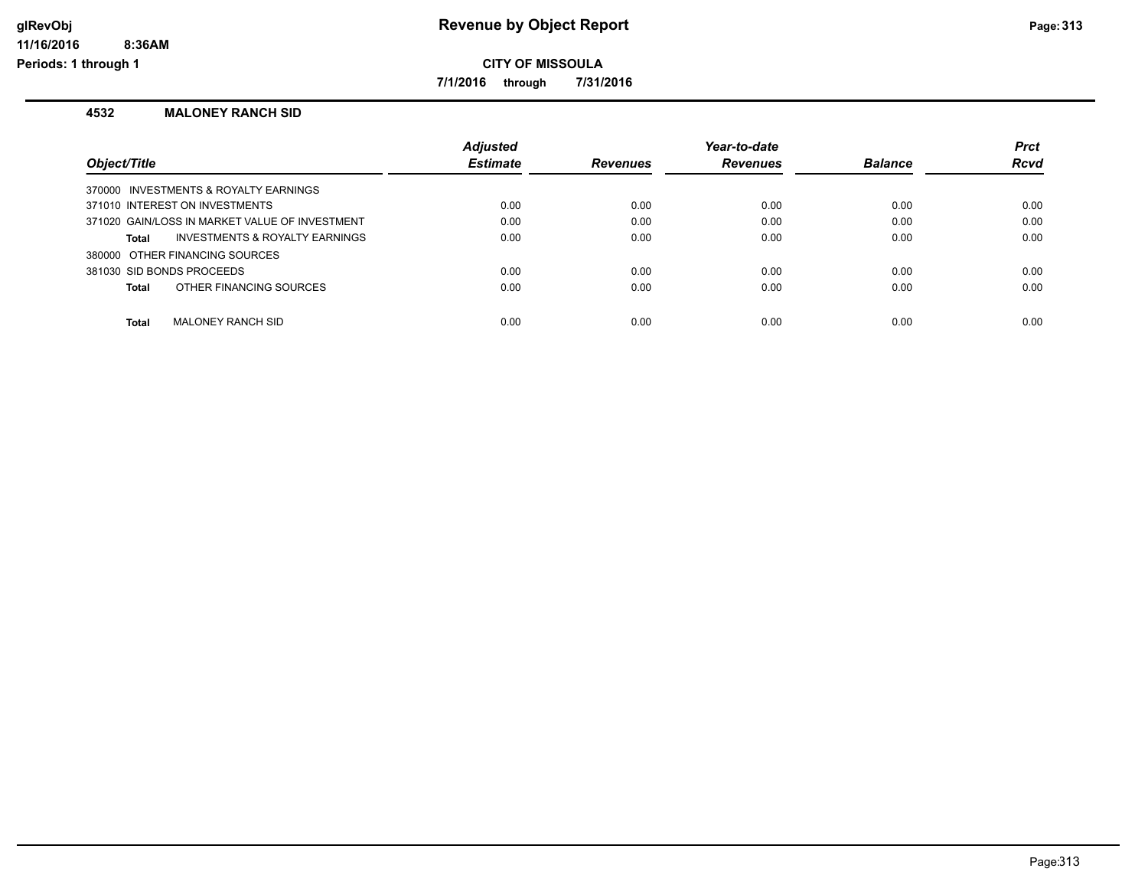**CITY OF MISSOULA**

**7/1/2016 through 7/31/2016**

#### **4532 MALONEY RANCH SID**

|                                                | <b>Adjusted</b> |                 | Year-to-date    |                | <b>Prct</b> |
|------------------------------------------------|-----------------|-----------------|-----------------|----------------|-------------|
| Object/Title                                   | <b>Estimate</b> | <b>Revenues</b> | <b>Revenues</b> | <b>Balance</b> | <b>Rcvd</b> |
| 370000 INVESTMENTS & ROYALTY EARNINGS          |                 |                 |                 |                |             |
| 371010 INTEREST ON INVESTMENTS                 | 0.00            | 0.00            | 0.00            | 0.00           | 0.00        |
| 371020 GAIN/LOSS IN MARKET VALUE OF INVESTMENT | 0.00            | 0.00            | 0.00            | 0.00           | 0.00        |
| INVESTMENTS & ROYALTY EARNINGS<br>Total        | 0.00            | 0.00            | 0.00            | 0.00           | 0.00        |
| 380000 OTHER FINANCING SOURCES                 |                 |                 |                 |                |             |
| 381030 SID BONDS PROCEEDS                      | 0.00            | 0.00            | 0.00            | 0.00           | 0.00        |
| OTHER FINANCING SOURCES<br>Total               | 0.00            | 0.00            | 0.00            | 0.00           | 0.00        |
|                                                |                 |                 |                 |                |             |
| Total<br>MALONEY RANCH SID                     | 0.00            | 0.00            | 0.00            | 0.00           | 0.00        |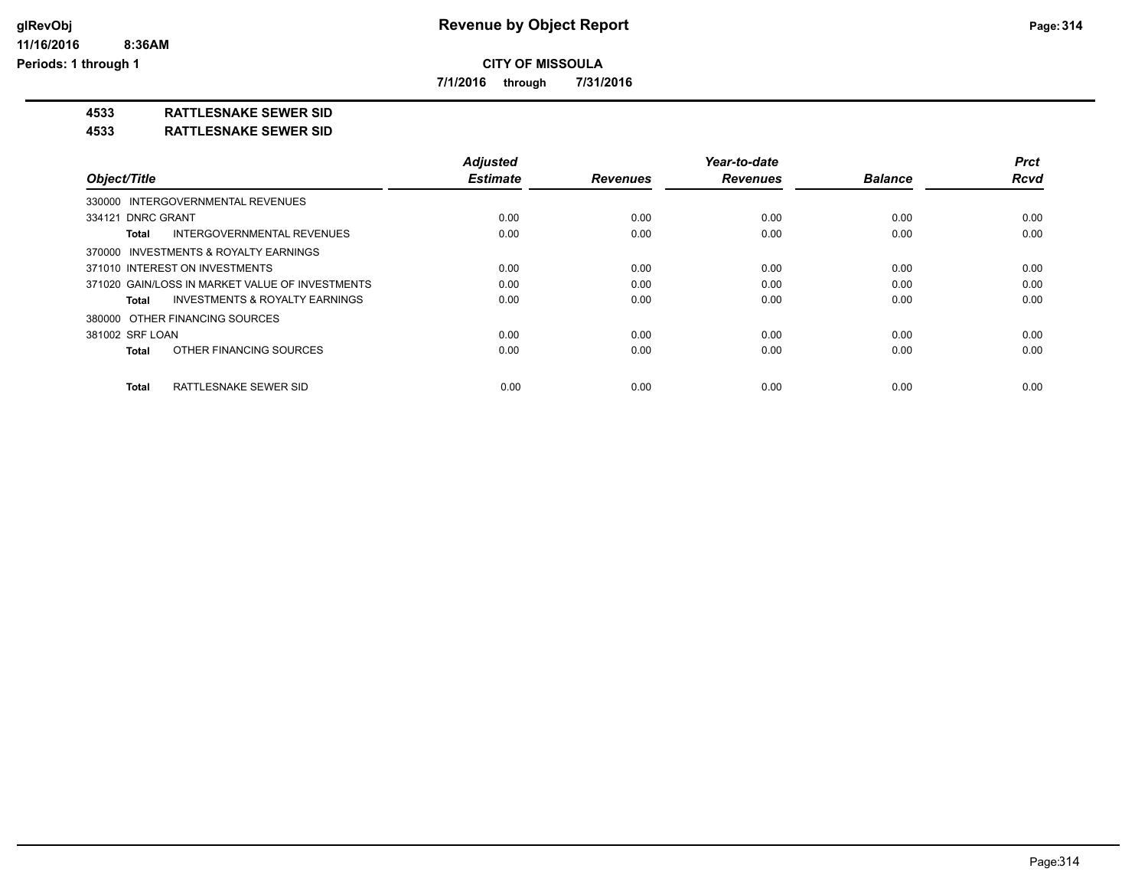**CITY OF MISSOULA**

**7/1/2016 through 7/31/2016**

**4533 RATTLESNAKE SEWER SID**

**4533 RATTLESNAKE SEWER SID**

|                                                    | <b>Adjusted</b> |                 | Year-to-date    |                | <b>Prct</b> |
|----------------------------------------------------|-----------------|-----------------|-----------------|----------------|-------------|
| Object/Title                                       | <b>Estimate</b> | <b>Revenues</b> | <b>Revenues</b> | <b>Balance</b> | <b>Rcvd</b> |
| 330000 INTERGOVERNMENTAL REVENUES                  |                 |                 |                 |                |             |
| 334121 DNRC GRANT                                  | 0.00            | 0.00            | 0.00            | 0.00           | 0.00        |
| INTERGOVERNMENTAL REVENUES<br>Total                | 0.00            | 0.00            | 0.00            | 0.00           | 0.00        |
| 370000 INVESTMENTS & ROYALTY EARNINGS              |                 |                 |                 |                |             |
| 371010 INTEREST ON INVESTMENTS                     | 0.00            | 0.00            | 0.00            | 0.00           | 0.00        |
| 371020 GAIN/LOSS IN MARKET VALUE OF INVESTMENTS    | 0.00            | 0.00            | 0.00            | 0.00           | 0.00        |
| <b>INVESTMENTS &amp; ROYALTY EARNINGS</b><br>Total | 0.00            | 0.00            | 0.00            | 0.00           | 0.00        |
| 380000 OTHER FINANCING SOURCES                     |                 |                 |                 |                |             |
| 381002 SRF LOAN                                    | 0.00            | 0.00            | 0.00            | 0.00           | 0.00        |
| OTHER FINANCING SOURCES<br>Total                   | 0.00            | 0.00            | 0.00            | 0.00           | 0.00        |
| RATTLESNAKE SEWER SID<br><b>Total</b>              | 0.00            | 0.00            | 0.00            | 0.00           | 0.00        |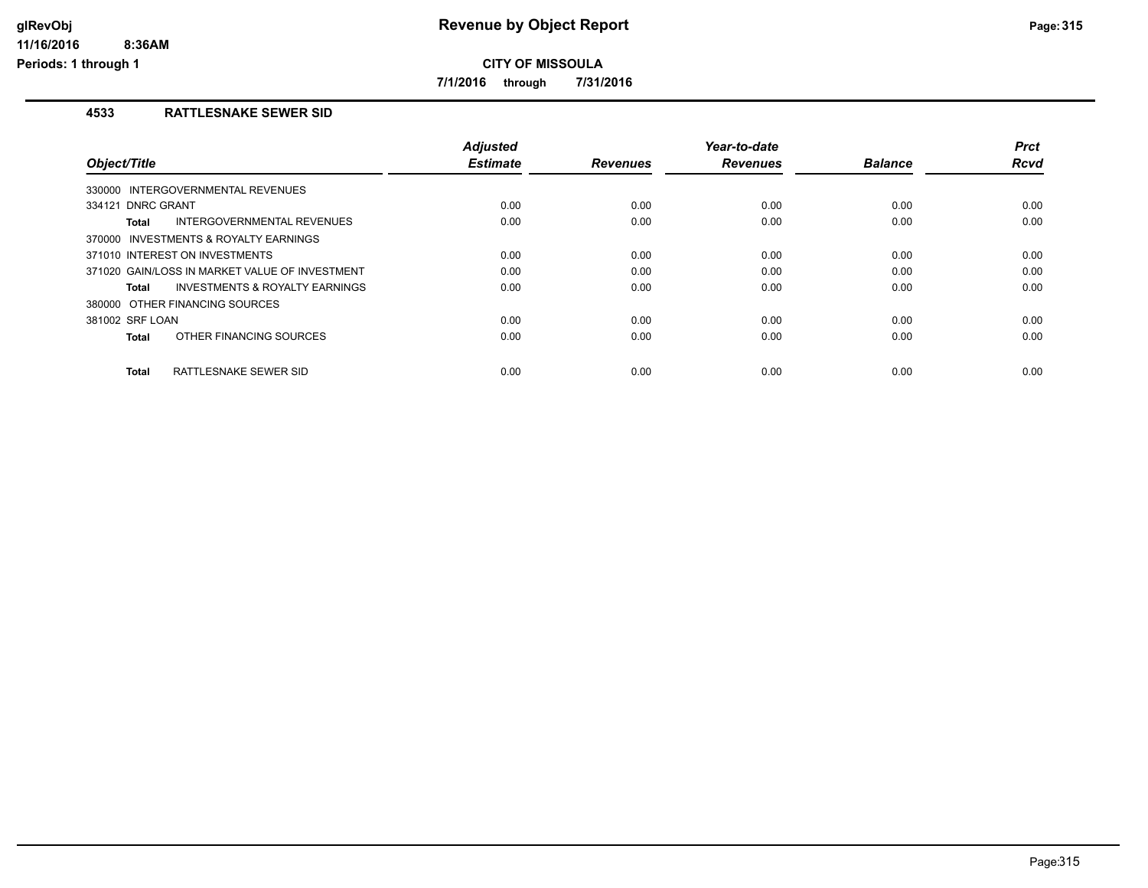**CITY OF MISSOULA**

**7/1/2016 through 7/31/2016**

#### **4533 RATTLESNAKE SEWER SID**

| Object/Title                                       | <b>Adjusted</b><br><b>Estimate</b> | <b>Revenues</b> | Year-to-date<br><b>Revenues</b> | <b>Balance</b> | <b>Prct</b><br><b>Rcvd</b> |
|----------------------------------------------------|------------------------------------|-----------------|---------------------------------|----------------|----------------------------|
|                                                    |                                    |                 |                                 |                |                            |
| 330000 INTERGOVERNMENTAL REVENUES                  |                                    |                 |                                 |                |                            |
| 334121 DNRC GRANT                                  | 0.00                               | 0.00            | 0.00                            | 0.00           | 0.00                       |
| INTERGOVERNMENTAL REVENUES<br>Total                | 0.00                               | 0.00            | 0.00                            | 0.00           | 0.00                       |
| 370000 INVESTMENTS & ROYALTY EARNINGS              |                                    |                 |                                 |                |                            |
| 371010 INTEREST ON INVESTMENTS                     | 0.00                               | 0.00            | 0.00                            | 0.00           | 0.00                       |
| 371020 GAIN/LOSS IN MARKET VALUE OF INVESTMENT     | 0.00                               | 0.00            | 0.00                            | 0.00           | 0.00                       |
| <b>INVESTMENTS &amp; ROYALTY EARNINGS</b><br>Total | 0.00                               | 0.00            | 0.00                            | 0.00           | 0.00                       |
| 380000 OTHER FINANCING SOURCES                     |                                    |                 |                                 |                |                            |
| 381002 SRF LOAN                                    | 0.00                               | 0.00            | 0.00                            | 0.00           | 0.00                       |
| OTHER FINANCING SOURCES<br>Total                   | 0.00                               | 0.00            | 0.00                            | 0.00           | 0.00                       |
| RATTLESNAKE SEWER SID<br>Total                     | 0.00                               | 0.00            | 0.00                            | 0.00           | 0.00                       |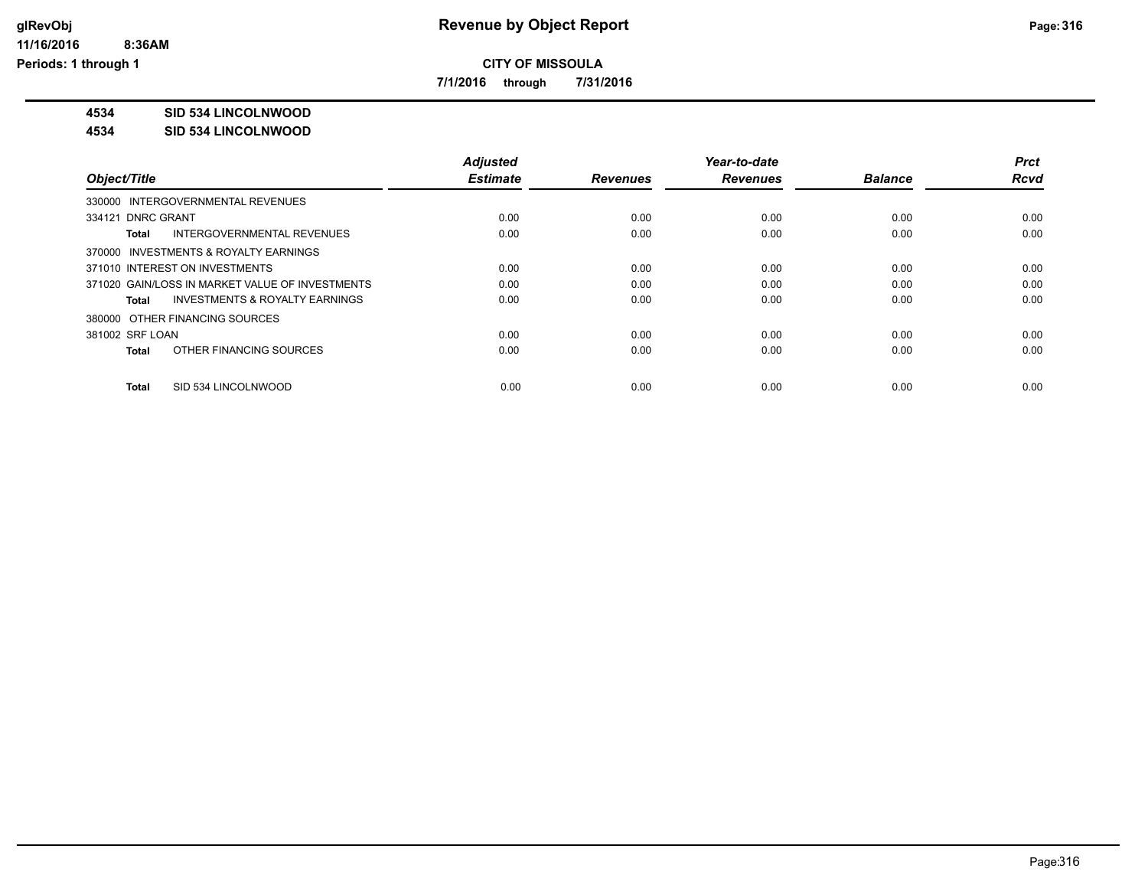**CITY OF MISSOULA**

**7/1/2016 through 7/31/2016**

#### **4534 SID 534 LINCOLNWOOD**

#### **4534 SID 534 LINCOLNWOOD**

|                                                    | <b>Adjusted</b> |                 | Year-to-date    |                | <b>Prct</b> |
|----------------------------------------------------|-----------------|-----------------|-----------------|----------------|-------------|
| Object/Title                                       | <b>Estimate</b> | <b>Revenues</b> | <b>Revenues</b> | <b>Balance</b> | <b>Rcvd</b> |
| 330000 INTERGOVERNMENTAL REVENUES                  |                 |                 |                 |                |             |
| 334121 DNRC GRANT                                  | 0.00            | 0.00            | 0.00            | 0.00           | 0.00        |
| INTERGOVERNMENTAL REVENUES<br>Total                | 0.00            | 0.00            | 0.00            | 0.00           | 0.00        |
| 370000 INVESTMENTS & ROYALTY EARNINGS              |                 |                 |                 |                |             |
| 371010 INTEREST ON INVESTMENTS                     | 0.00            | 0.00            | 0.00            | 0.00           | 0.00        |
| 371020 GAIN/LOSS IN MARKET VALUE OF INVESTMENTS    | 0.00            | 0.00            | 0.00            | 0.00           | 0.00        |
| <b>INVESTMENTS &amp; ROYALTY EARNINGS</b><br>Total | 0.00            | 0.00            | 0.00            | 0.00           | 0.00        |
| 380000 OTHER FINANCING SOURCES                     |                 |                 |                 |                |             |
| 381002 SRF LOAN                                    | 0.00            | 0.00            | 0.00            | 0.00           | 0.00        |
| OTHER FINANCING SOURCES<br>Total                   | 0.00            | 0.00            | 0.00            | 0.00           | 0.00        |
| SID 534 LINCOLNWOOD<br>Total                       | 0.00            | 0.00            | 0.00            | 0.00           | 0.00        |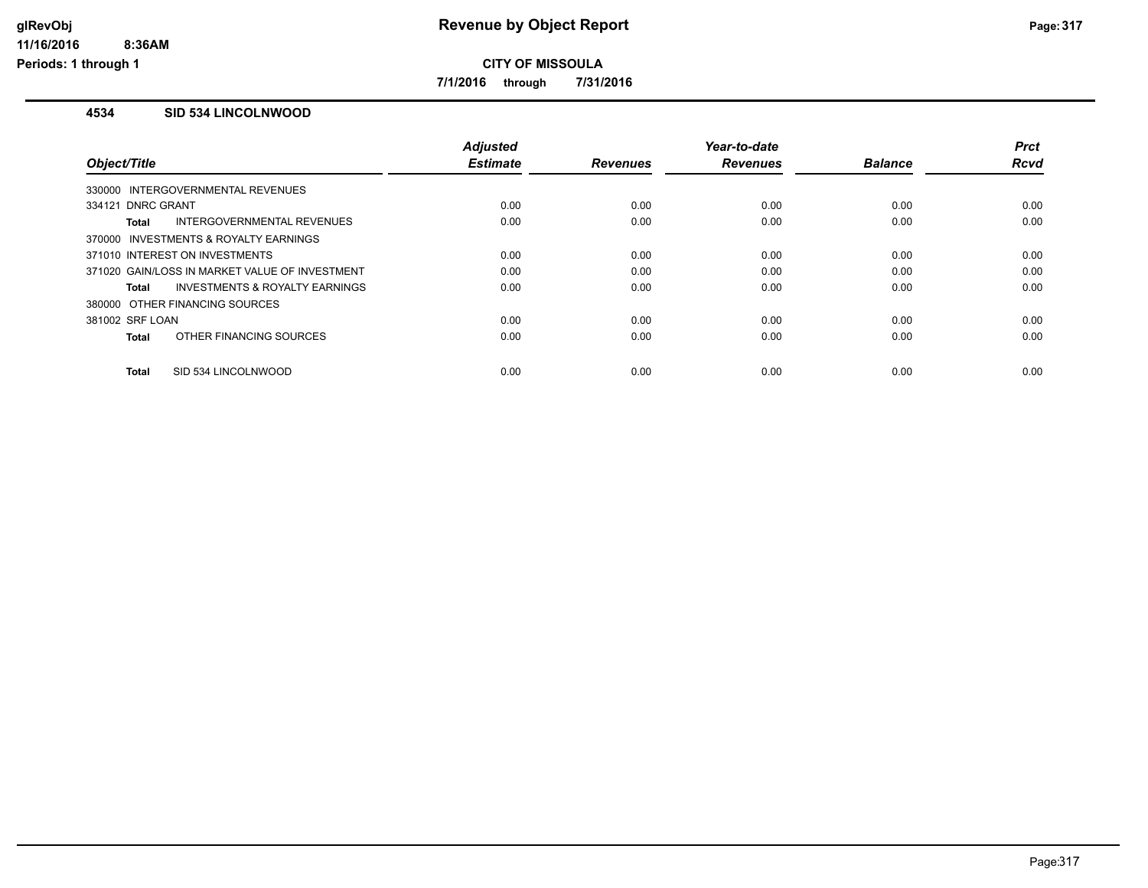**CITY OF MISSOULA**

**7/1/2016 through 7/31/2016**

#### **4534 SID 534 LINCOLNWOOD**

|                                                    | <b>Adjusted</b> |                 | Year-to-date    |                | <b>Prct</b> |
|----------------------------------------------------|-----------------|-----------------|-----------------|----------------|-------------|
| Object/Title                                       | <b>Estimate</b> | <b>Revenues</b> | <b>Revenues</b> | <b>Balance</b> | <b>Rcvd</b> |
| 330000 INTERGOVERNMENTAL REVENUES                  |                 |                 |                 |                |             |
| 334121 DNRC GRANT                                  | 0.00            | 0.00            | 0.00            | 0.00           | 0.00        |
| INTERGOVERNMENTAL REVENUES<br><b>Total</b>         | 0.00            | 0.00            | 0.00            | 0.00           | 0.00        |
| 370000 INVESTMENTS & ROYALTY EARNINGS              |                 |                 |                 |                |             |
| 371010 INTEREST ON INVESTMENTS                     | 0.00            | 0.00            | 0.00            | 0.00           | 0.00        |
| 371020 GAIN/LOSS IN MARKET VALUE OF INVESTMENT     | 0.00            | 0.00            | 0.00            | 0.00           | 0.00        |
| <b>INVESTMENTS &amp; ROYALTY EARNINGS</b><br>Total | 0.00            | 0.00            | 0.00            | 0.00           | 0.00        |
| 380000 OTHER FINANCING SOURCES                     |                 |                 |                 |                |             |
| 381002 SRF LOAN                                    | 0.00            | 0.00            | 0.00            | 0.00           | 0.00        |
| OTHER FINANCING SOURCES<br><b>Total</b>            | 0.00            | 0.00            | 0.00            | 0.00           | 0.00        |
| SID 534 LINCOLNWOOD<br><b>Total</b>                | 0.00            | 0.00            | 0.00            | 0.00           | 0.00        |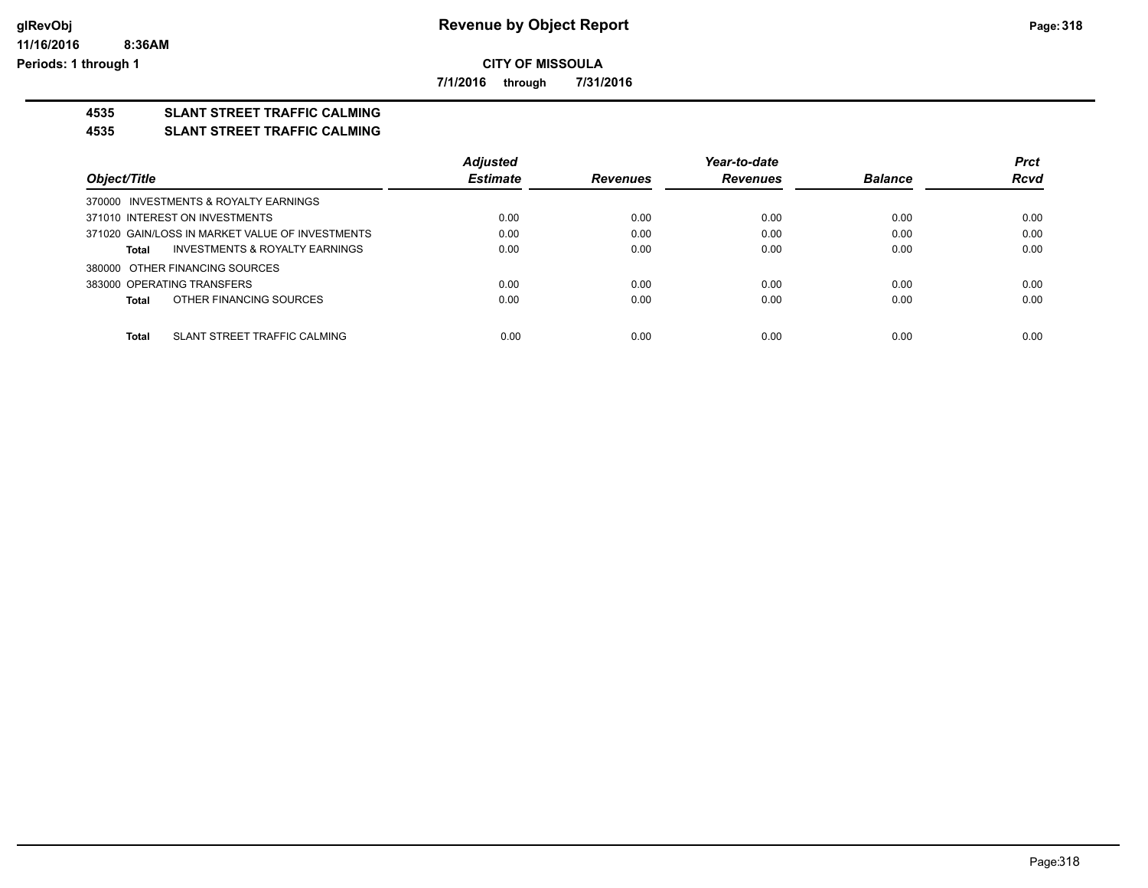**CITY OF MISSOULA**

**7/1/2016 through 7/31/2016**

# **4535 SLANT STREET TRAFFIC CALMING**

#### **4535 SLANT STREET TRAFFIC CALMING**

|                                                 | <b>Adjusted</b> |                 | Year-to-date    |                | <b>Prct</b> |
|-------------------------------------------------|-----------------|-----------------|-----------------|----------------|-------------|
| Object/Title                                    | <b>Estimate</b> | <b>Revenues</b> | <b>Revenues</b> | <b>Balance</b> | <b>Rcvd</b> |
| 370000 INVESTMENTS & ROYALTY EARNINGS           |                 |                 |                 |                |             |
| 371010 INTEREST ON INVESTMENTS                  | 0.00            | 0.00            | 0.00            | 0.00           | 0.00        |
| 371020 GAIN/LOSS IN MARKET VALUE OF INVESTMENTS | 0.00            | 0.00            | 0.00            | 0.00           | 0.00        |
| INVESTMENTS & ROYALTY EARNINGS<br>Total         | 0.00            | 0.00            | 0.00            | 0.00           | 0.00        |
| 380000 OTHER FINANCING SOURCES                  |                 |                 |                 |                |             |
| 383000 OPERATING TRANSFERS                      | 0.00            | 0.00            | 0.00            | 0.00           | 0.00        |
| OTHER FINANCING SOURCES<br>Total                | 0.00            | 0.00            | 0.00            | 0.00           | 0.00        |
|                                                 |                 |                 |                 |                |             |
| Total<br>SLANT STREET TRAFFIC CALMING           | 0.00            | 0.00            | 0.00            | 0.00           | 0.00        |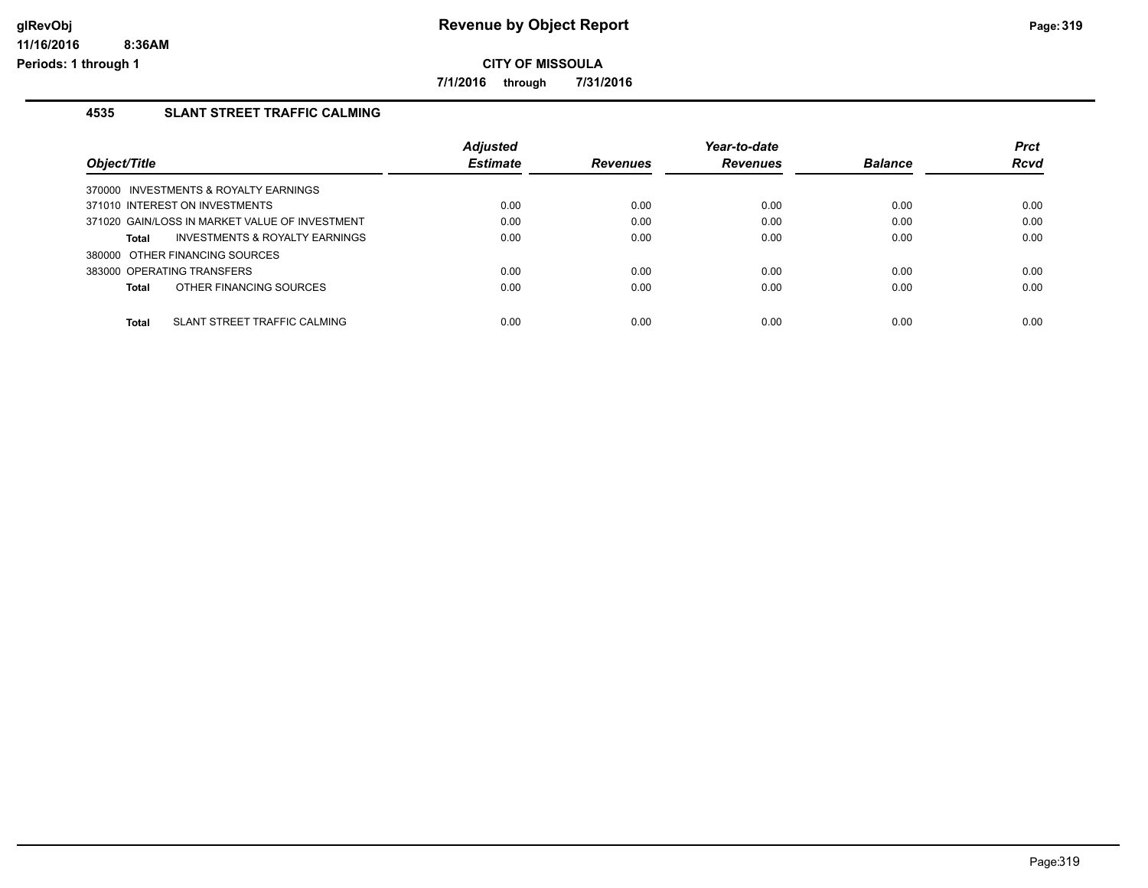**CITY OF MISSOULA**

**7/1/2016 through 7/31/2016**

#### **4535 SLANT STREET TRAFFIC CALMING**

|                                                | <b>Adjusted</b> |                 | Year-to-date    |                | <b>Prct</b> |
|------------------------------------------------|-----------------|-----------------|-----------------|----------------|-------------|
| <b>Object/Title</b>                            | <b>Estimate</b> | <b>Revenues</b> | <b>Revenues</b> | <b>Balance</b> | <b>Rcvd</b> |
| 370000 INVESTMENTS & ROYALTY EARNINGS          |                 |                 |                 |                |             |
| 371010 INTEREST ON INVESTMENTS                 | 0.00            | 0.00            | 0.00            | 0.00           | 0.00        |
| 371020 GAIN/LOSS IN MARKET VALUE OF INVESTMENT | 0.00            | 0.00            | 0.00            | 0.00           | 0.00        |
| INVESTMENTS & ROYALTY EARNINGS<br>Total        | 0.00            | 0.00            | 0.00            | 0.00           | 0.00        |
| 380000 OTHER FINANCING SOURCES                 |                 |                 |                 |                |             |
| 383000 OPERATING TRANSFERS                     | 0.00            | 0.00            | 0.00            | 0.00           | 0.00        |
| OTHER FINANCING SOURCES<br>Total               | 0.00            | 0.00            | 0.00            | 0.00           | 0.00        |
|                                                |                 |                 |                 |                |             |
| Total<br>SLANT STREET TRAFFIC CALMING          | 0.00            | 0.00            | 0.00            | 0.00           | 0.00        |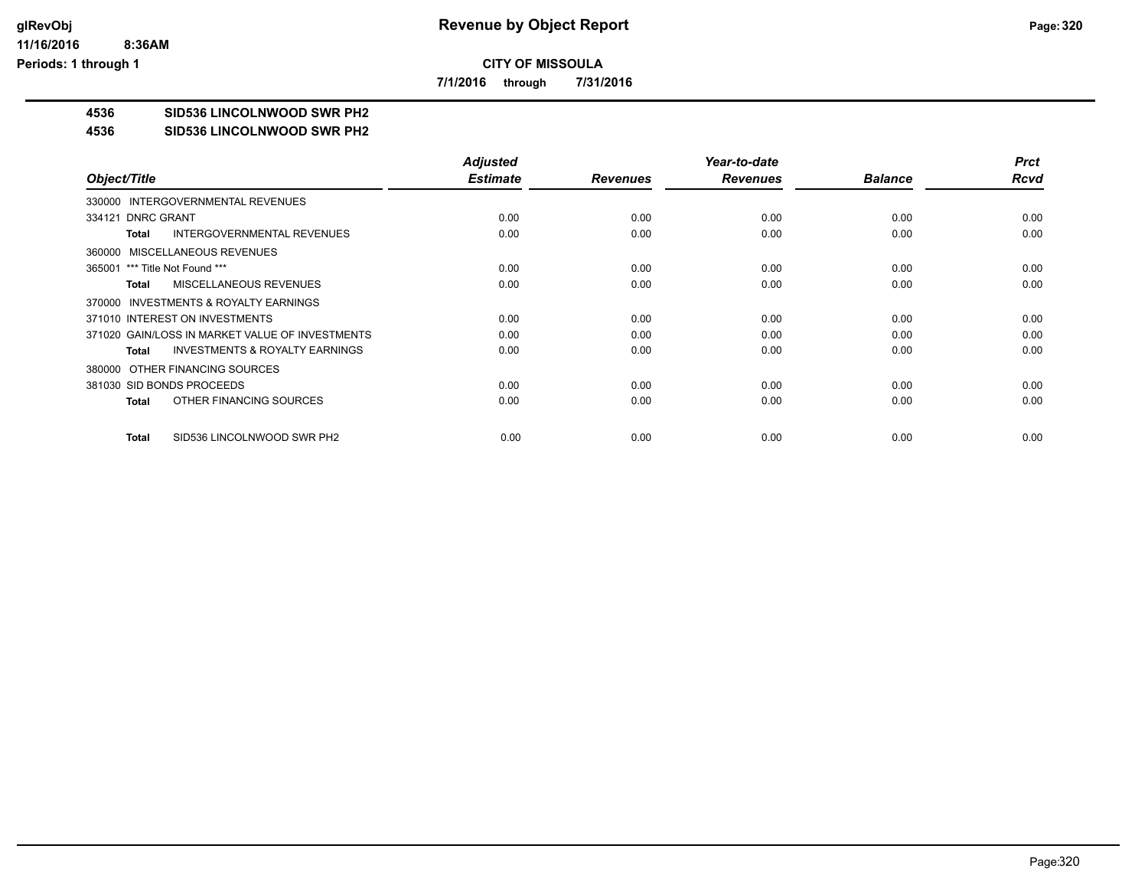**glRevObj Revenue by Object Report Page:320** 

**CITY OF MISSOULA**

**7/1/2016 through 7/31/2016**

#### **4536 SID536 LINCOLNWOOD SWR PH2**

 **8:36AM**

#### **4536 SID536 LINCOLNWOOD SWR PH2**

|                                                    | <b>Adjusted</b> |                 | Year-to-date    |                | <b>Prct</b> |
|----------------------------------------------------|-----------------|-----------------|-----------------|----------------|-------------|
| Object/Title                                       | <b>Estimate</b> | <b>Revenues</b> | <b>Revenues</b> | <b>Balance</b> | <b>Rcvd</b> |
| 330000 INTERGOVERNMENTAL REVENUES                  |                 |                 |                 |                |             |
| 334121 DNRC GRANT                                  | 0.00            | 0.00            | 0.00            | 0.00           | 0.00        |
| <b>INTERGOVERNMENTAL REVENUES</b><br>Total         | 0.00            | 0.00            | 0.00            | 0.00           | 0.00        |
| 360000 MISCELLANEOUS REVENUES                      |                 |                 |                 |                |             |
| 365001 *** Title Not Found ***                     | 0.00            | 0.00            | 0.00            | 0.00           | 0.00        |
| MISCELLANEOUS REVENUES<br>Total                    | 0.00            | 0.00            | 0.00            | 0.00           | 0.00        |
| 370000 INVESTMENTS & ROYALTY EARNINGS              |                 |                 |                 |                |             |
| 371010 INTEREST ON INVESTMENTS                     | 0.00            | 0.00            | 0.00            | 0.00           | 0.00        |
| 371020 GAIN/LOSS IN MARKET VALUE OF INVESTMENTS    | 0.00            | 0.00            | 0.00            | 0.00           | 0.00        |
| <b>INVESTMENTS &amp; ROYALTY EARNINGS</b><br>Total | 0.00            | 0.00            | 0.00            | 0.00           | 0.00        |
| 380000 OTHER FINANCING SOURCES                     |                 |                 |                 |                |             |
| 381030 SID BONDS PROCEEDS                          | 0.00            | 0.00            | 0.00            | 0.00           | 0.00        |
| OTHER FINANCING SOURCES<br>Total                   | 0.00            | 0.00            | 0.00            | 0.00           | 0.00        |
|                                                    |                 |                 |                 |                |             |
| SID536 LINCOLNWOOD SWR PH2<br>Total                | 0.00            | 0.00            | 0.00            | 0.00           | 0.00        |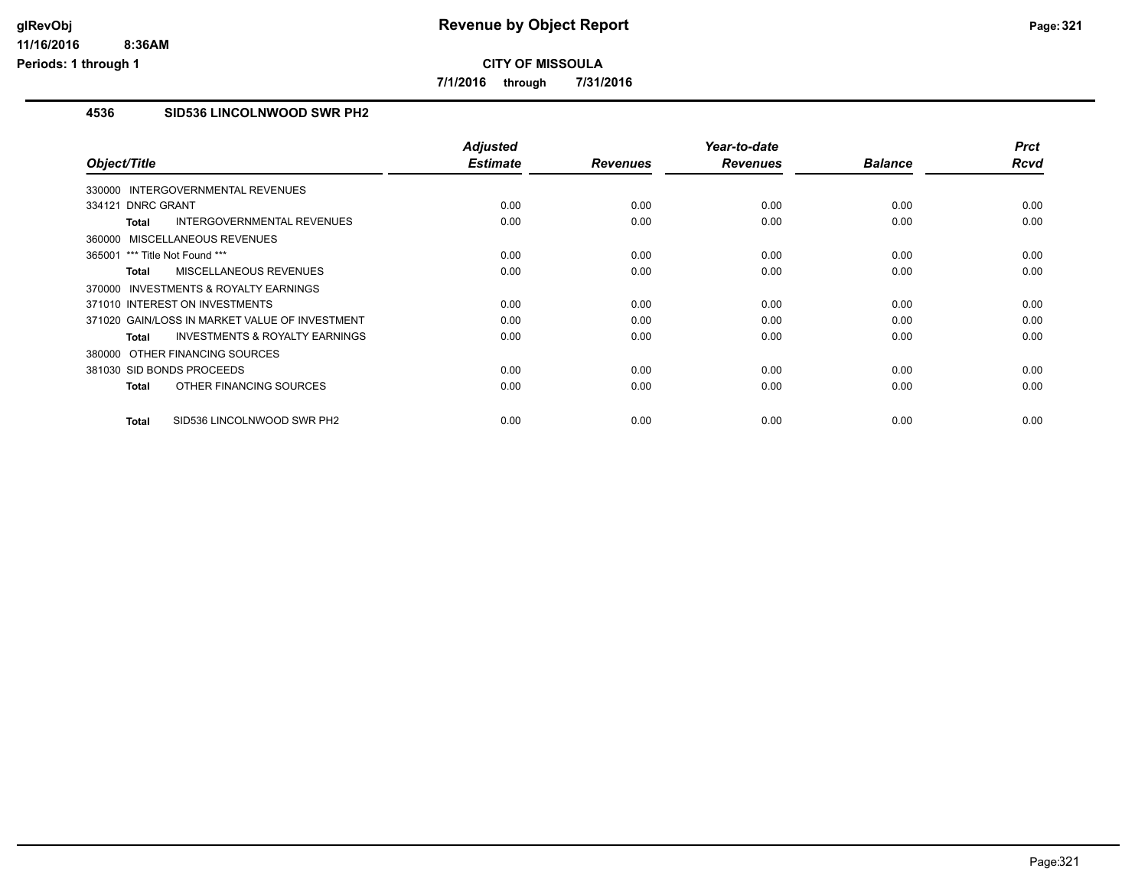**CITY OF MISSOULA**

**7/1/2016 through 7/31/2016**

#### **4536 SID536 LINCOLNWOOD SWR PH2**

| Object/Title                                              | <b>Adjusted</b><br><b>Estimate</b> | <b>Revenues</b> | Year-to-date<br><b>Revenues</b> | <b>Balance</b> | <b>Prct</b><br><b>Rcvd</b> |
|-----------------------------------------------------------|------------------------------------|-----------------|---------------------------------|----------------|----------------------------|
|                                                           |                                    |                 |                                 |                |                            |
| 330000 INTERGOVERNMENTAL REVENUES                         |                                    |                 |                                 |                |                            |
| 334121 DNRC GRANT                                         | 0.00                               | 0.00            | 0.00                            | 0.00           | 0.00                       |
| INTERGOVERNMENTAL REVENUES<br><b>Total</b>                | 0.00                               | 0.00            | 0.00                            | 0.00           | 0.00                       |
| 360000 MISCELLANEOUS REVENUES                             |                                    |                 |                                 |                |                            |
| 365001 *** Title Not Found ***                            | 0.00                               | 0.00            | 0.00                            | 0.00           | 0.00                       |
| MISCELLANEOUS REVENUES<br><b>Total</b>                    | 0.00                               | 0.00            | 0.00                            | 0.00           | 0.00                       |
| 370000 INVESTMENTS & ROYALTY EARNINGS                     |                                    |                 |                                 |                |                            |
| 371010 INTEREST ON INVESTMENTS                            | 0.00                               | 0.00            | 0.00                            | 0.00           | 0.00                       |
| 371020 GAIN/LOSS IN MARKET VALUE OF INVESTMENT            | 0.00                               | 0.00            | 0.00                            | 0.00           | 0.00                       |
| <b>INVESTMENTS &amp; ROYALTY EARNINGS</b><br><b>Total</b> | 0.00                               | 0.00            | 0.00                            | 0.00           | 0.00                       |
| 380000 OTHER FINANCING SOURCES                            |                                    |                 |                                 |                |                            |
| 381030 SID BONDS PROCEEDS                                 | 0.00                               | 0.00            | 0.00                            | 0.00           | 0.00                       |
| OTHER FINANCING SOURCES<br>Total                          | 0.00                               | 0.00            | 0.00                            | 0.00           | 0.00                       |
| SID536 LINCOLNWOOD SWR PH2<br><b>Total</b>                | 0.00                               | 0.00            | 0.00                            | 0.00           | 0.00                       |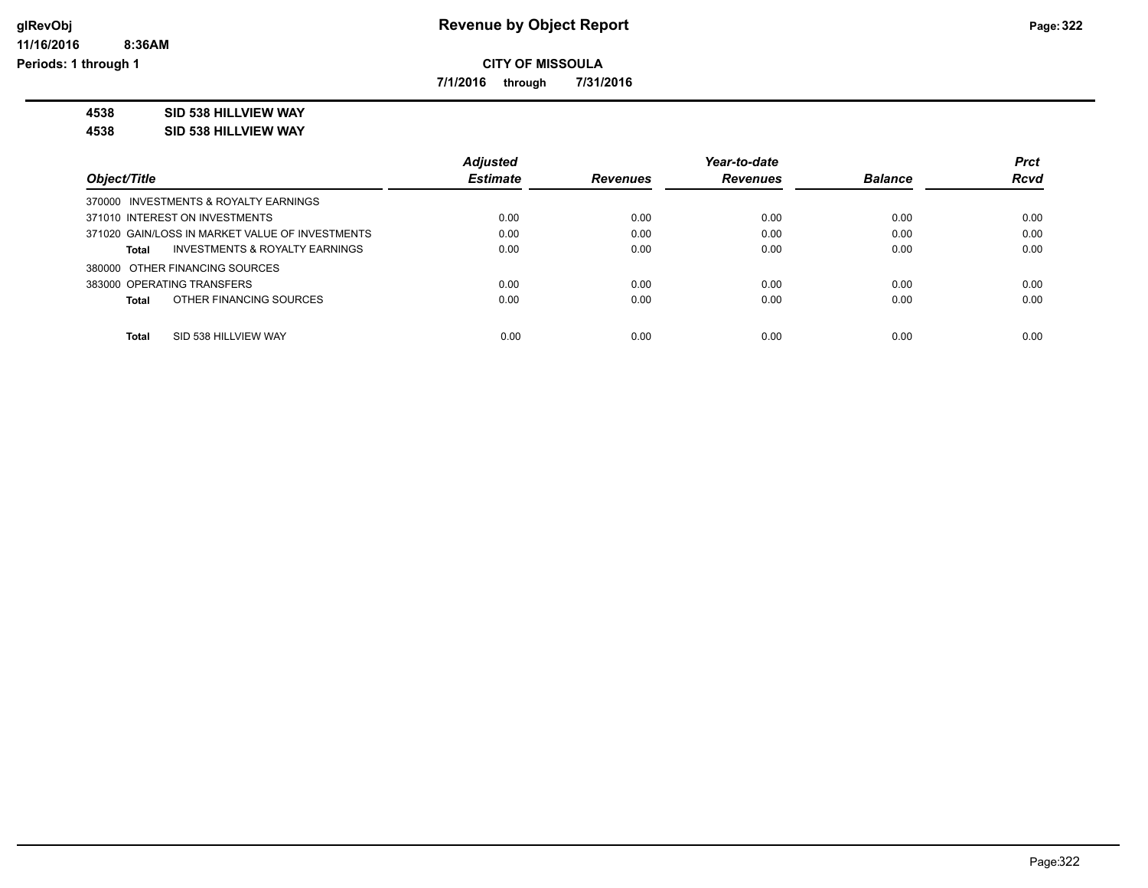**CITY OF MISSOULA**

**7/1/2016 through 7/31/2016**

#### **4538 SID 538 HILLVIEW WAY**

**4538 SID 538 HILLVIEW WAY**

|                                                    | <b>Adjusted</b> |                 | Year-to-date    |                | <b>Prct</b> |
|----------------------------------------------------|-----------------|-----------------|-----------------|----------------|-------------|
| Object/Title                                       | <b>Estimate</b> | <b>Revenues</b> | <b>Revenues</b> | <b>Balance</b> | <b>Rcvd</b> |
| 370000 INVESTMENTS & ROYALTY EARNINGS              |                 |                 |                 |                |             |
| 371010 INTEREST ON INVESTMENTS                     | 0.00            | 0.00            | 0.00            | 0.00           | 0.00        |
| 371020 GAIN/LOSS IN MARKET VALUE OF INVESTMENTS    | 0.00            | 0.00            | 0.00            | 0.00           | 0.00        |
| <b>INVESTMENTS &amp; ROYALTY EARNINGS</b><br>Total | 0.00            | 0.00            | 0.00            | 0.00           | 0.00        |
| 380000 OTHER FINANCING SOURCES                     |                 |                 |                 |                |             |
| 383000 OPERATING TRANSFERS                         | 0.00            | 0.00            | 0.00            | 0.00           | 0.00        |
| OTHER FINANCING SOURCES<br>Total                   | 0.00            | 0.00            | 0.00            | 0.00           | 0.00        |
|                                                    |                 |                 |                 |                |             |
| Total<br>SID 538 HILLVIEW WAY                      | 0.00            | 0.00            | 0.00            | 0.00           | 0.00        |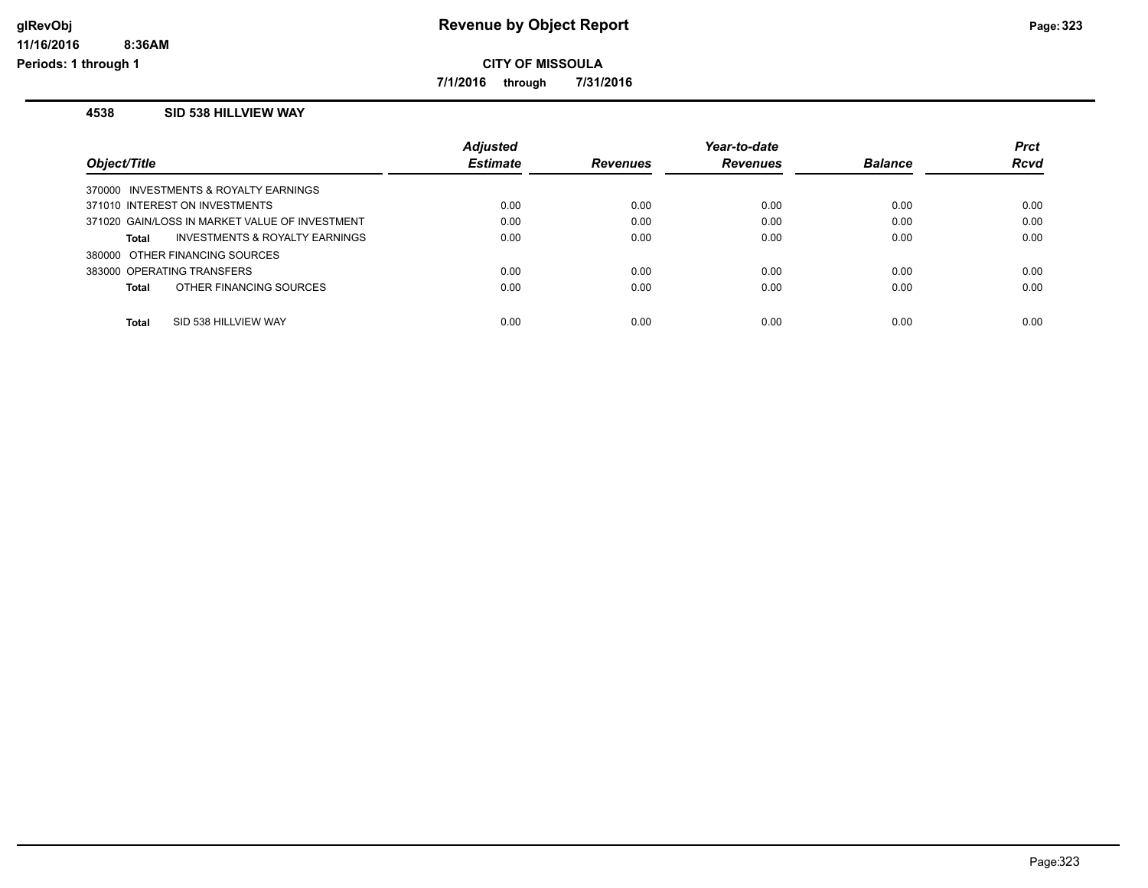**CITY OF MISSOULA**

**7/1/2016 through 7/31/2016**

#### **4538 SID 538 HILLVIEW WAY**

|                                                | <b>Adjusted</b> |                 | Year-to-date    |                | <b>Prct</b> |
|------------------------------------------------|-----------------|-----------------|-----------------|----------------|-------------|
| Object/Title                                   | <b>Estimate</b> | <b>Revenues</b> | <b>Revenues</b> | <b>Balance</b> | <b>Rcvd</b> |
| 370000 INVESTMENTS & ROYALTY EARNINGS          |                 |                 |                 |                |             |
| 371010 INTEREST ON INVESTMENTS                 | 0.00            | 0.00            | 0.00            | 0.00           | 0.00        |
| 371020 GAIN/LOSS IN MARKET VALUE OF INVESTMENT | 0.00            | 0.00            | 0.00            | 0.00           | 0.00        |
| INVESTMENTS & ROYALTY EARNINGS<br>Total        | 0.00            | 0.00            | 0.00            | 0.00           | 0.00        |
| 380000 OTHER FINANCING SOURCES                 |                 |                 |                 |                |             |
| 383000 OPERATING TRANSFERS                     | 0.00            | 0.00            | 0.00            | 0.00           | 0.00        |
| OTHER FINANCING SOURCES<br>Total               | 0.00            | 0.00            | 0.00            | 0.00           | 0.00        |
|                                                |                 |                 |                 |                |             |
| <b>Total</b><br>SID 538 HILLVIEW WAY           | 0.00            | 0.00            | 0.00            | 0.00           | 0.00        |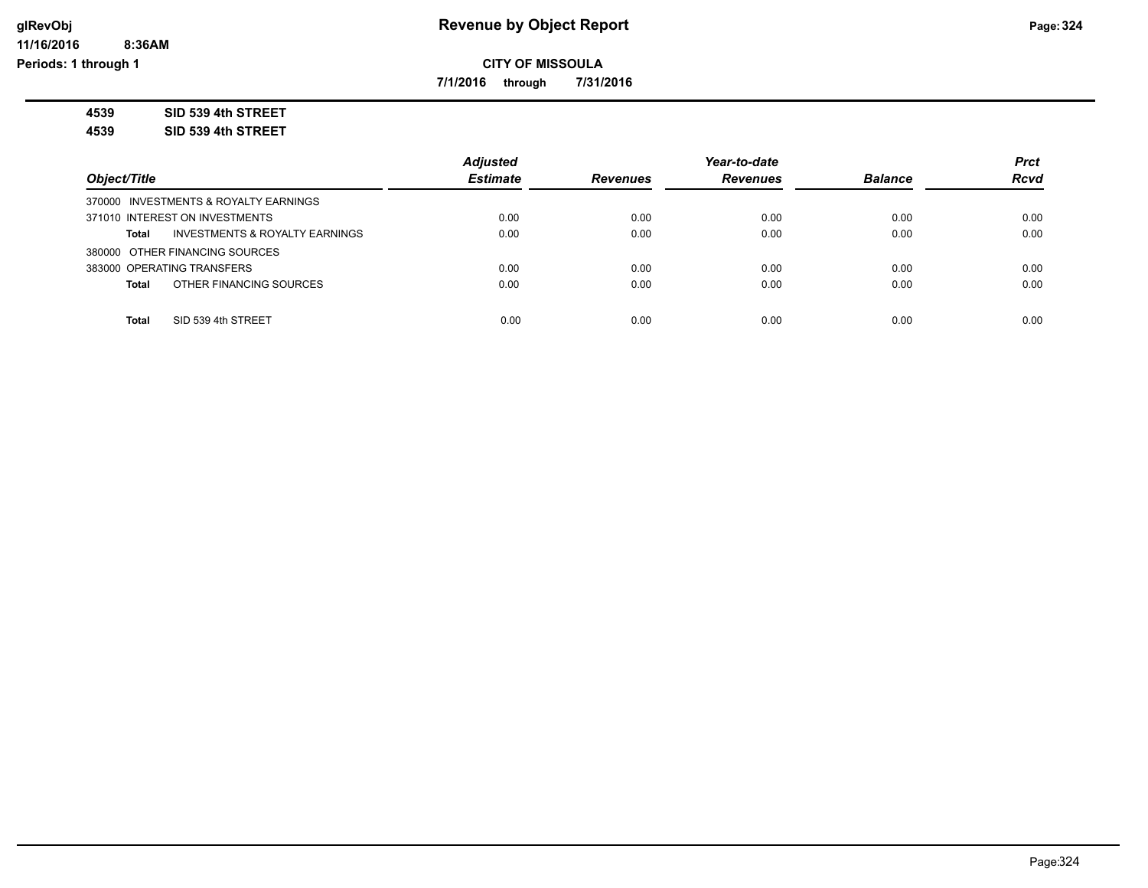**CITY OF MISSOULA**

**7/1/2016 through 7/31/2016**

**4539 SID 539 4th STREET**

 **8:36AM**

**4539 SID 539 4th STREET**

|                                                | <b>Adjusted</b> |                 | Year-to-date    | <b>Prct</b>    |             |
|------------------------------------------------|-----------------|-----------------|-----------------|----------------|-------------|
| Object/Title                                   | <b>Estimate</b> | <b>Revenues</b> | <b>Revenues</b> | <b>Balance</b> | <b>Rcvd</b> |
| 370000 INVESTMENTS & ROYALTY EARNINGS          |                 |                 |                 |                |             |
| 371010 INTEREST ON INVESTMENTS                 | 0.00            | 0.00            | 0.00            | 0.00           | 0.00        |
| INVESTMENTS & ROYALTY EARNINGS<br><b>Total</b> | 0.00            | 0.00            | 0.00            | 0.00           | 0.00        |
| 380000 OTHER FINANCING SOURCES                 |                 |                 |                 |                |             |
| 383000 OPERATING TRANSFERS                     | 0.00            | 0.00            | 0.00            | 0.00           | 0.00        |
| OTHER FINANCING SOURCES<br><b>Total</b>        | 0.00            | 0.00            | 0.00            | 0.00           | 0.00        |
| SID 539 4th STREET<br><b>Total</b>             | 0.00            | 0.00            | 0.00            | 0.00           | 0.00        |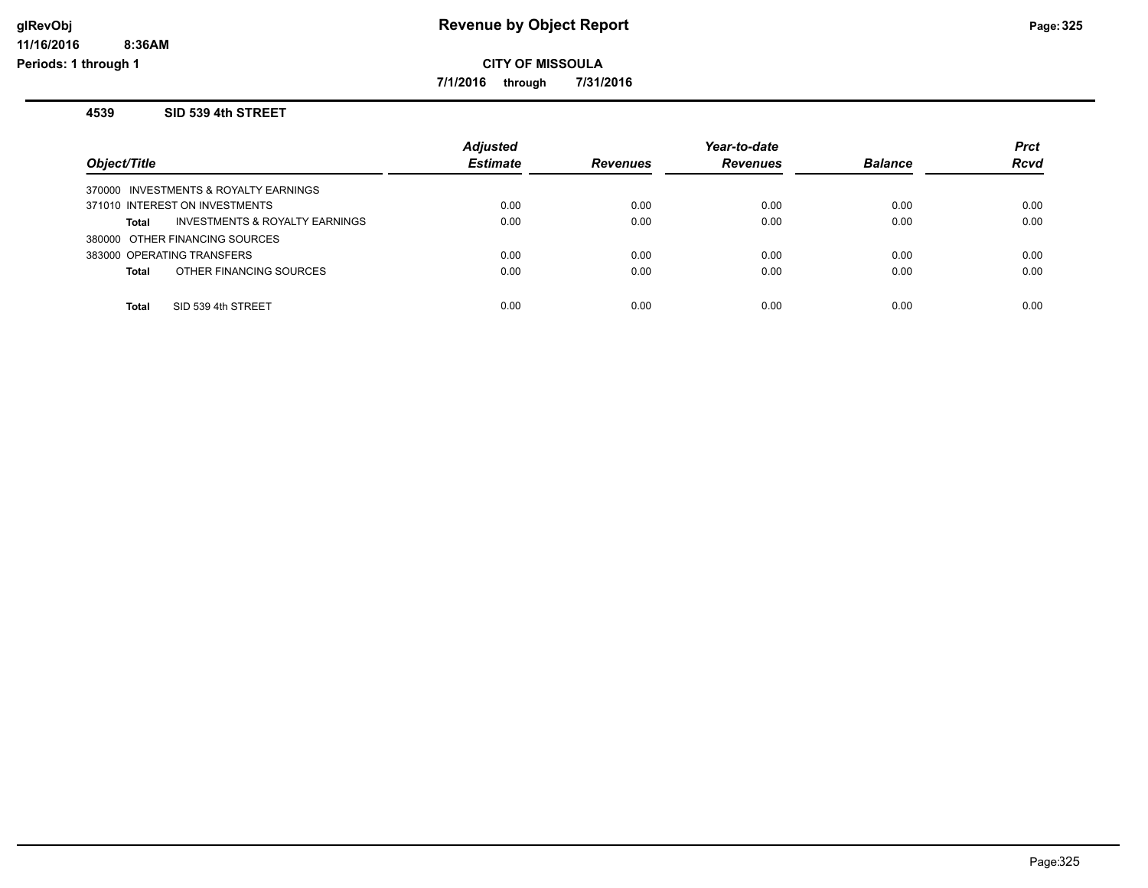**glRevObj Revenue by Object Report Page:325** 

**CITY OF MISSOULA**

**7/1/2016 through 7/31/2016**

#### **4539 SID 539 4th STREET**

| Object/Title                            | <b>Adjusted</b><br><b>Estimate</b> | <b>Revenues</b> | Year-to-date<br><b>Revenues</b> | <b>Balance</b> | <b>Prct</b><br><b>Rcvd</b> |
|-----------------------------------------|------------------------------------|-----------------|---------------------------------|----------------|----------------------------|
| 370000 INVESTMENTS & ROYALTY EARNINGS   |                                    |                 |                                 |                |                            |
| 371010 INTEREST ON INVESTMENTS          | 0.00                               | 0.00            | 0.00                            | 0.00           | 0.00                       |
| INVESTMENTS & ROYALTY EARNINGS<br>Total | 0.00                               | 0.00            | 0.00                            | 0.00           | 0.00                       |
| 380000 OTHER FINANCING SOURCES          |                                    |                 |                                 |                |                            |
| 383000 OPERATING TRANSFERS              | 0.00                               | 0.00            | 0.00                            | 0.00           | 0.00                       |
| OTHER FINANCING SOURCES<br>Total        | 0.00                               | 0.00            | 0.00                            | 0.00           | 0.00                       |
|                                         |                                    |                 |                                 |                |                            |
| SID 539 4th STREET<br><b>Total</b>      | 0.00                               | 0.00            | 0.00                            | 0.00           | 0.00                       |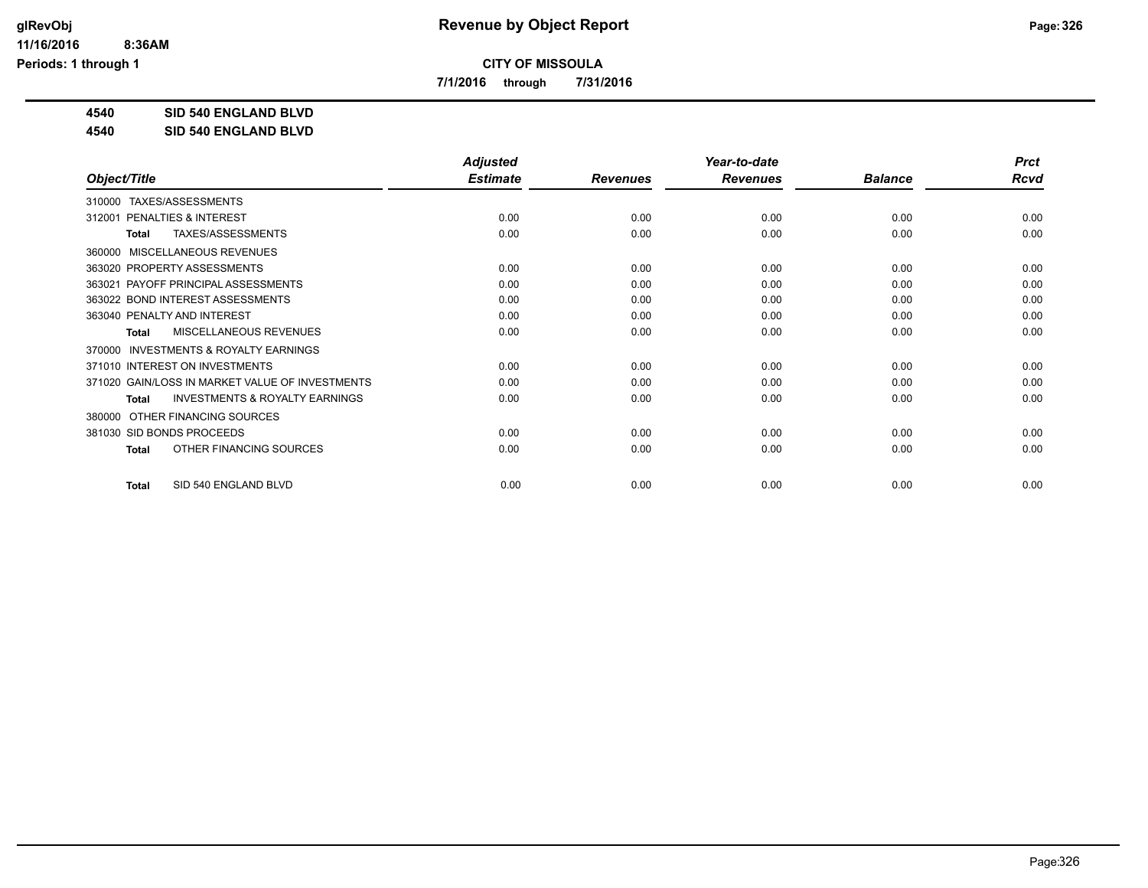**CITY OF MISSOULA**

**7/1/2016 through 7/31/2016**

 **8:36AM**

## **4540 SID 540 ENGLAND BLVD**

**4540 SID 540 ENGLAND BLVD**

|                                                           | <b>Adjusted</b> |                 | Year-to-date    |                | <b>Prct</b> |
|-----------------------------------------------------------|-----------------|-----------------|-----------------|----------------|-------------|
| Object/Title                                              | <b>Estimate</b> | <b>Revenues</b> | <b>Revenues</b> | <b>Balance</b> | <b>Rcvd</b> |
| TAXES/ASSESSMENTS<br>310000                               |                 |                 |                 |                |             |
| <b>PENALTIES &amp; INTEREST</b><br>312001                 | 0.00            | 0.00            | 0.00            | 0.00           | 0.00        |
| TAXES/ASSESSMENTS<br><b>Total</b>                         | 0.00            | 0.00            | 0.00            | 0.00           | 0.00        |
| MISCELLANEOUS REVENUES<br>360000                          |                 |                 |                 |                |             |
| 363020 PROPERTY ASSESSMENTS                               | 0.00            | 0.00            | 0.00            | 0.00           | 0.00        |
| PAYOFF PRINCIPAL ASSESSMENTS<br>363021                    | 0.00            | 0.00            | 0.00            | 0.00           | 0.00        |
| 363022 BOND INTEREST ASSESSMENTS                          | 0.00            | 0.00            | 0.00            | 0.00           | 0.00        |
| 363040 PENALTY AND INTEREST                               | 0.00            | 0.00            | 0.00            | 0.00           | 0.00        |
| <b>MISCELLANEOUS REVENUES</b><br>Total                    | 0.00            | 0.00            | 0.00            | 0.00           | 0.00        |
| <b>INVESTMENTS &amp; ROYALTY EARNINGS</b><br>370000       |                 |                 |                 |                |             |
| 371010 INTEREST ON INVESTMENTS                            | 0.00            | 0.00            | 0.00            | 0.00           | 0.00        |
| 371020 GAIN/LOSS IN MARKET VALUE OF INVESTMENTS           | 0.00            | 0.00            | 0.00            | 0.00           | 0.00        |
| <b>INVESTMENTS &amp; ROYALTY EARNINGS</b><br><b>Total</b> | 0.00            | 0.00            | 0.00            | 0.00           | 0.00        |
| OTHER FINANCING SOURCES<br>380000                         |                 |                 |                 |                |             |
| 381030 SID BONDS PROCEEDS                                 | 0.00            | 0.00            | 0.00            | 0.00           | 0.00        |
| OTHER FINANCING SOURCES<br>Total                          | 0.00            | 0.00            | 0.00            | 0.00           | 0.00        |
| SID 540 ENGLAND BLVD<br><b>Total</b>                      | 0.00            | 0.00            | 0.00            | 0.00           | 0.00        |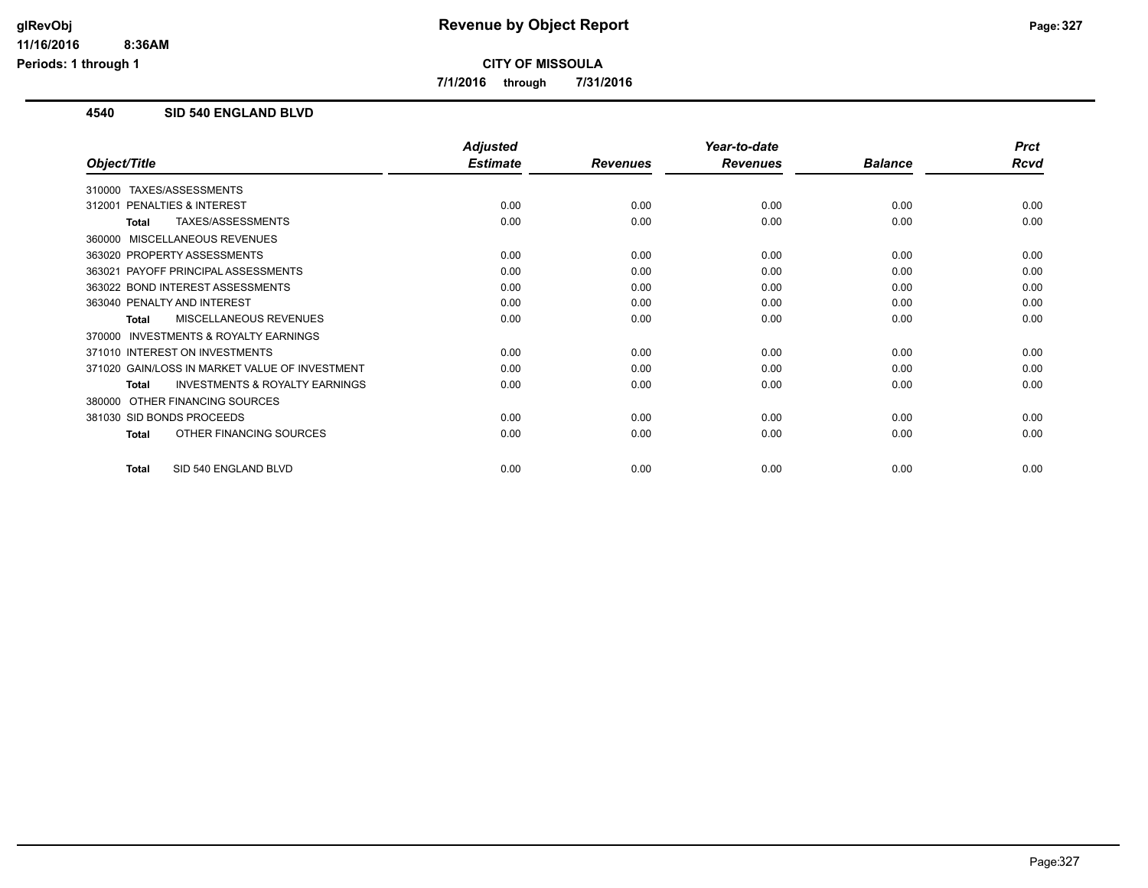**CITY OF MISSOULA**

**7/1/2016 through 7/31/2016**

#### **4540 SID 540 ENGLAND BLVD**

|                                                     | <b>Adjusted</b> |                 | Year-to-date    |                | <b>Prct</b> |
|-----------------------------------------------------|-----------------|-----------------|-----------------|----------------|-------------|
| Object/Title                                        | <b>Estimate</b> | <b>Revenues</b> | <b>Revenues</b> | <b>Balance</b> | <b>Rcvd</b> |
| <b>TAXES/ASSESSMENTS</b><br>310000                  |                 |                 |                 |                |             |
| 312001 PENALTIES & INTEREST                         | 0.00            | 0.00            | 0.00            | 0.00           | 0.00        |
| TAXES/ASSESSMENTS<br><b>Total</b>                   | 0.00            | 0.00            | 0.00            | 0.00           | 0.00        |
| MISCELLANEOUS REVENUES<br>360000                    |                 |                 |                 |                |             |
| 363020 PROPERTY ASSESSMENTS                         | 0.00            | 0.00            | 0.00            | 0.00           | 0.00        |
| 363021 PAYOFF PRINCIPAL ASSESSMENTS                 | 0.00            | 0.00            | 0.00            | 0.00           | 0.00        |
| 363022 BOND INTEREST ASSESSMENTS                    | 0.00            | 0.00            | 0.00            | 0.00           | 0.00        |
| 363040 PENALTY AND INTEREST                         | 0.00            | 0.00            | 0.00            | 0.00           | 0.00        |
| <b>MISCELLANEOUS REVENUES</b><br>Total              | 0.00            | 0.00            | 0.00            | 0.00           | 0.00        |
| <b>INVESTMENTS &amp; ROYALTY EARNINGS</b><br>370000 |                 |                 |                 |                |             |
| 371010 INTEREST ON INVESTMENTS                      | 0.00            | 0.00            | 0.00            | 0.00           | 0.00        |
| 371020 GAIN/LOSS IN MARKET VALUE OF INVESTMENT      | 0.00            | 0.00            | 0.00            | 0.00           | 0.00        |
| <b>INVESTMENTS &amp; ROYALTY EARNINGS</b><br>Total  | 0.00            | 0.00            | 0.00            | 0.00           | 0.00        |
| OTHER FINANCING SOURCES<br>380000                   |                 |                 |                 |                |             |
| 381030 SID BONDS PROCEEDS                           | 0.00            | 0.00            | 0.00            | 0.00           | 0.00        |
| OTHER FINANCING SOURCES<br><b>Total</b>             | 0.00            | 0.00            | 0.00            | 0.00           | 0.00        |
| SID 540 ENGLAND BLVD<br><b>Total</b>                | 0.00            | 0.00            | 0.00            | 0.00           | 0.00        |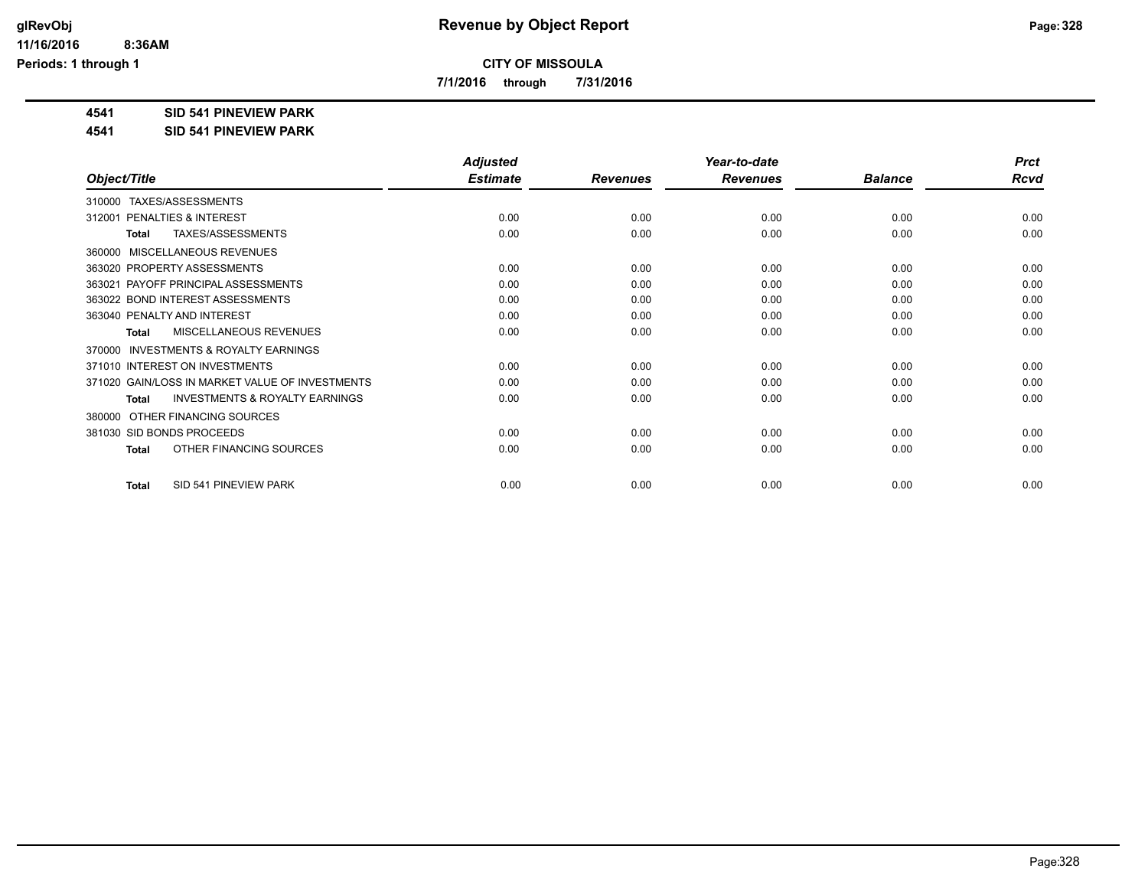**CITY OF MISSOULA**

**7/1/2016 through 7/31/2016**

**4541 SID 541 PINEVIEW PARK**

**4541 SID 541 PINEVIEW PARK**

|                                                           | <b>Adjusted</b> |                 | Year-to-date    |                | <b>Prct</b> |
|-----------------------------------------------------------|-----------------|-----------------|-----------------|----------------|-------------|
| Object/Title                                              | <b>Estimate</b> | <b>Revenues</b> | <b>Revenues</b> | <b>Balance</b> | <b>Rcvd</b> |
| TAXES/ASSESSMENTS<br>310000                               |                 |                 |                 |                |             |
| <b>PENALTIES &amp; INTEREST</b><br>312001                 | 0.00            | 0.00            | 0.00            | 0.00           | 0.00        |
| TAXES/ASSESSMENTS<br><b>Total</b>                         | 0.00            | 0.00            | 0.00            | 0.00           | 0.00        |
| MISCELLANEOUS REVENUES<br>360000                          |                 |                 |                 |                |             |
| 363020 PROPERTY ASSESSMENTS                               | 0.00            | 0.00            | 0.00            | 0.00           | 0.00        |
| PAYOFF PRINCIPAL ASSESSMENTS<br>363021                    | 0.00            | 0.00            | 0.00            | 0.00           | 0.00        |
| 363022 BOND INTEREST ASSESSMENTS                          | 0.00            | 0.00            | 0.00            | 0.00           | 0.00        |
| 363040 PENALTY AND INTEREST                               | 0.00            | 0.00            | 0.00            | 0.00           | 0.00        |
| <b>MISCELLANEOUS REVENUES</b><br><b>Total</b>             | 0.00            | 0.00            | 0.00            | 0.00           | 0.00        |
| <b>INVESTMENTS &amp; ROYALTY EARNINGS</b><br>370000       |                 |                 |                 |                |             |
| 371010 INTEREST ON INVESTMENTS                            | 0.00            | 0.00            | 0.00            | 0.00           | 0.00        |
| 371020 GAIN/LOSS IN MARKET VALUE OF INVESTMENTS           | 0.00            | 0.00            | 0.00            | 0.00           | 0.00        |
| <b>INVESTMENTS &amp; ROYALTY EARNINGS</b><br><b>Total</b> | 0.00            | 0.00            | 0.00            | 0.00           | 0.00        |
| OTHER FINANCING SOURCES<br>380000                         |                 |                 |                 |                |             |
| 381030 SID BONDS PROCEEDS                                 | 0.00            | 0.00            | 0.00            | 0.00           | 0.00        |
| OTHER FINANCING SOURCES<br><b>Total</b>                   | 0.00            | 0.00            | 0.00            | 0.00           | 0.00        |
|                                                           |                 |                 |                 |                |             |
| SID 541 PINEVIEW PARK<br><b>Total</b>                     | 0.00            | 0.00            | 0.00            | 0.00           | 0.00        |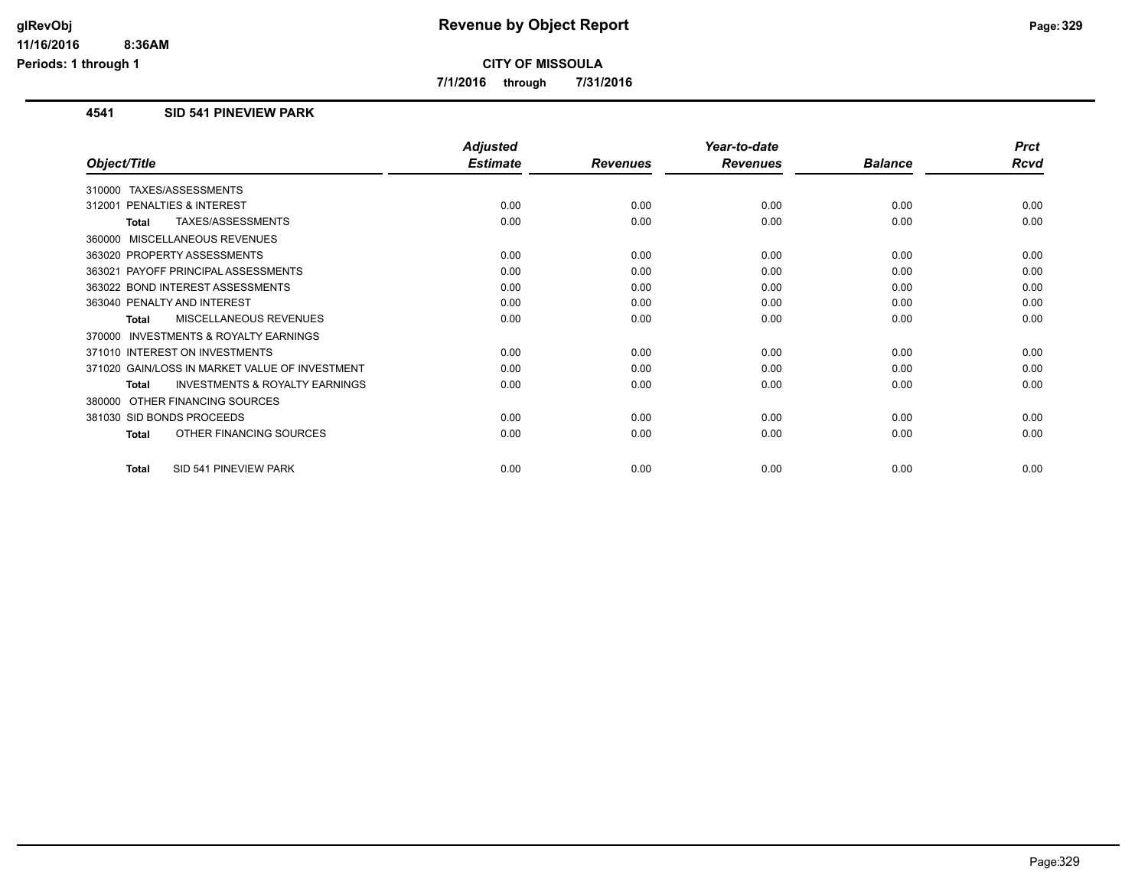**CITY OF MISSOULA**

**7/1/2016 through 7/31/2016**

#### **4541 SID 541 PINEVIEW PARK**

|                                                           | <b>Adjusted</b> |                 | Year-to-date    |                | <b>Prct</b> |
|-----------------------------------------------------------|-----------------|-----------------|-----------------|----------------|-------------|
| Object/Title                                              | <b>Estimate</b> | <b>Revenues</b> | <b>Revenues</b> | <b>Balance</b> | <b>Rcvd</b> |
| <b>TAXES/ASSESSMENTS</b><br>310000                        |                 |                 |                 |                |             |
| 312001 PENALTIES & INTEREST                               | 0.00            | 0.00            | 0.00            | 0.00           | 0.00        |
| TAXES/ASSESSMENTS<br><b>Total</b>                         | 0.00            | 0.00            | 0.00            | 0.00           | 0.00        |
| MISCELLANEOUS REVENUES<br>360000                          |                 |                 |                 |                |             |
| 363020 PROPERTY ASSESSMENTS                               | 0.00            | 0.00            | 0.00            | 0.00           | 0.00        |
| 363021 PAYOFF PRINCIPAL ASSESSMENTS                       | 0.00            | 0.00            | 0.00            | 0.00           | 0.00        |
| 363022 BOND INTEREST ASSESSMENTS                          | 0.00            | 0.00            | 0.00            | 0.00           | 0.00        |
| 363040 PENALTY AND INTEREST                               | 0.00            | 0.00            | 0.00            | 0.00           | 0.00        |
| <b>MISCELLANEOUS REVENUES</b><br><b>Total</b>             | 0.00            | 0.00            | 0.00            | 0.00           | 0.00        |
| <b>INVESTMENTS &amp; ROYALTY EARNINGS</b><br>370000       |                 |                 |                 |                |             |
| 371010 INTEREST ON INVESTMENTS                            | 0.00            | 0.00            | 0.00            | 0.00           | 0.00        |
| 371020 GAIN/LOSS IN MARKET VALUE OF INVESTMENT            | 0.00            | 0.00            | 0.00            | 0.00           | 0.00        |
| <b>INVESTMENTS &amp; ROYALTY EARNINGS</b><br><b>Total</b> | 0.00            | 0.00            | 0.00            | 0.00           | 0.00        |
| OTHER FINANCING SOURCES<br>380000                         |                 |                 |                 |                |             |
| 381030 SID BONDS PROCEEDS                                 | 0.00            | 0.00            | 0.00            | 0.00           | 0.00        |
| OTHER FINANCING SOURCES<br><b>Total</b>                   | 0.00            | 0.00            | 0.00            | 0.00           | 0.00        |
| SID 541 PINEVIEW PARK<br><b>Total</b>                     | 0.00            | 0.00            | 0.00            | 0.00           | 0.00        |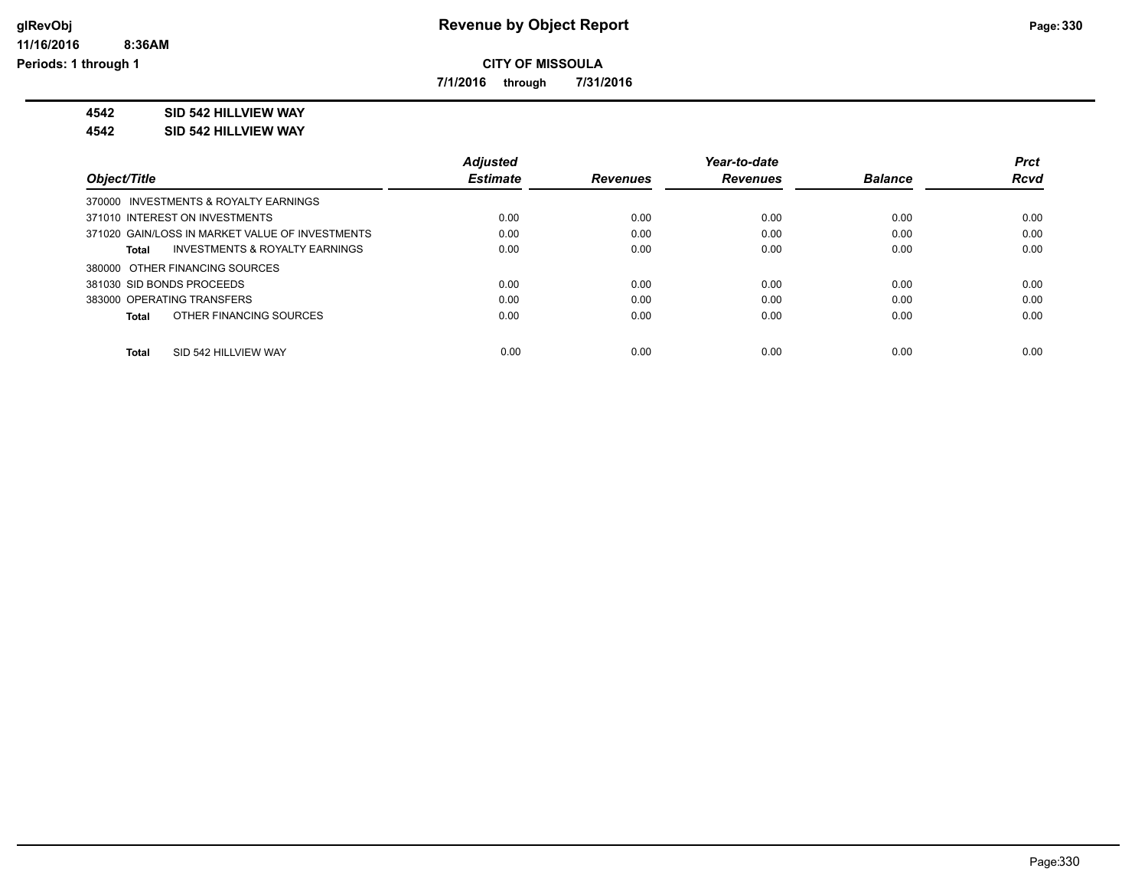**CITY OF MISSOULA**

**7/1/2016 through 7/31/2016**

#### **4542 SID 542 HILLVIEW WAY**

**4542 SID 542 HILLVIEW WAY**

|                                                    | <b>Adjusted</b> |                 | Year-to-date    |                | <b>Prct</b> |
|----------------------------------------------------|-----------------|-----------------|-----------------|----------------|-------------|
| Object/Title                                       | <b>Estimate</b> | <b>Revenues</b> | <b>Revenues</b> | <b>Balance</b> | <b>Rcvd</b> |
| 370000 INVESTMENTS & ROYALTY EARNINGS              |                 |                 |                 |                |             |
| 371010 INTEREST ON INVESTMENTS                     | 0.00            | 0.00            | 0.00            | 0.00           | 0.00        |
| 371020 GAIN/LOSS IN MARKET VALUE OF INVESTMENTS    | 0.00            | 0.00            | 0.00            | 0.00           | 0.00        |
| <b>INVESTMENTS &amp; ROYALTY EARNINGS</b><br>Total | 0.00            | 0.00            | 0.00            | 0.00           | 0.00        |
| 380000 OTHER FINANCING SOURCES                     |                 |                 |                 |                |             |
| 381030 SID BONDS PROCEEDS                          | 0.00            | 0.00            | 0.00            | 0.00           | 0.00        |
| 383000 OPERATING TRANSFERS                         | 0.00            | 0.00            | 0.00            | 0.00           | 0.00        |
| OTHER FINANCING SOURCES<br><b>Total</b>            | 0.00            | 0.00            | 0.00            | 0.00           | 0.00        |
|                                                    |                 |                 |                 |                |             |
| SID 542 HILLVIEW WAY<br>Total                      | 0.00            | 0.00            | 0.00            | 0.00           | 0.00        |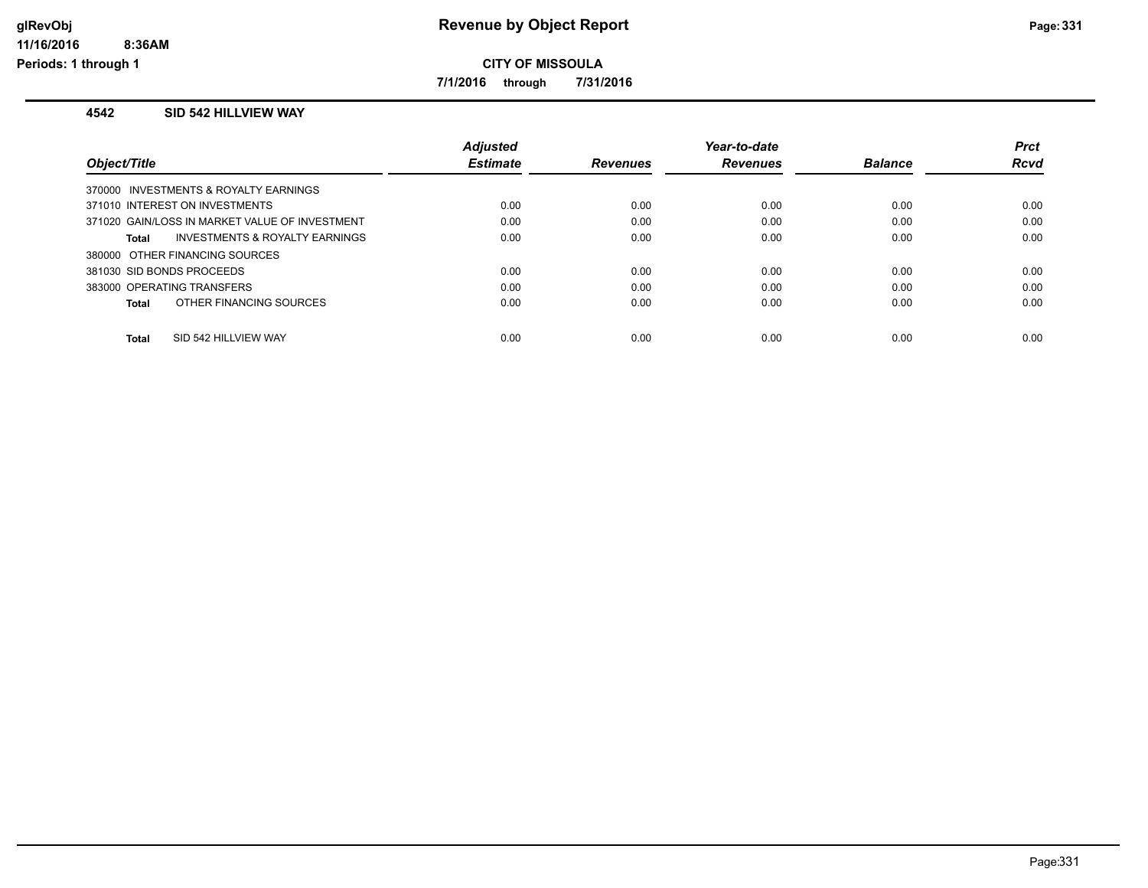**CITY OF MISSOULA**

**7/1/2016 through 7/31/2016**

#### **4542 SID 542 HILLVIEW WAY**

|                                                | <b>Adiusted</b> |                 | Year-to-date    |                | <b>Prct</b> |
|------------------------------------------------|-----------------|-----------------|-----------------|----------------|-------------|
| Object/Title                                   | <b>Estimate</b> | <b>Revenues</b> | <b>Revenues</b> | <b>Balance</b> | <b>Rcvd</b> |
| 370000 INVESTMENTS & ROYALTY EARNINGS          |                 |                 |                 |                |             |
| 371010 INTEREST ON INVESTMENTS                 | 0.00            | 0.00            | 0.00            | 0.00           | 0.00        |
| 371020 GAIN/LOSS IN MARKET VALUE OF INVESTMENT | 0.00            | 0.00            | 0.00            | 0.00           | 0.00        |
| INVESTMENTS & ROYALTY EARNINGS<br><b>Total</b> | 0.00            | 0.00            | 0.00            | 0.00           | 0.00        |
| 380000 OTHER FINANCING SOURCES                 |                 |                 |                 |                |             |
| 381030 SID BONDS PROCEEDS                      | 0.00            | 0.00            | 0.00            | 0.00           | 0.00        |
| 383000 OPERATING TRANSFERS                     | 0.00            | 0.00            | 0.00            | 0.00           | 0.00        |
| Total<br>OTHER FINANCING SOURCES               | 0.00            | 0.00            | 0.00            | 0.00           | 0.00        |
| SID 542 HILLVIEW WAY<br>Total                  | 0.00            | 0.00            | 0.00            | 0.00           | 0.00        |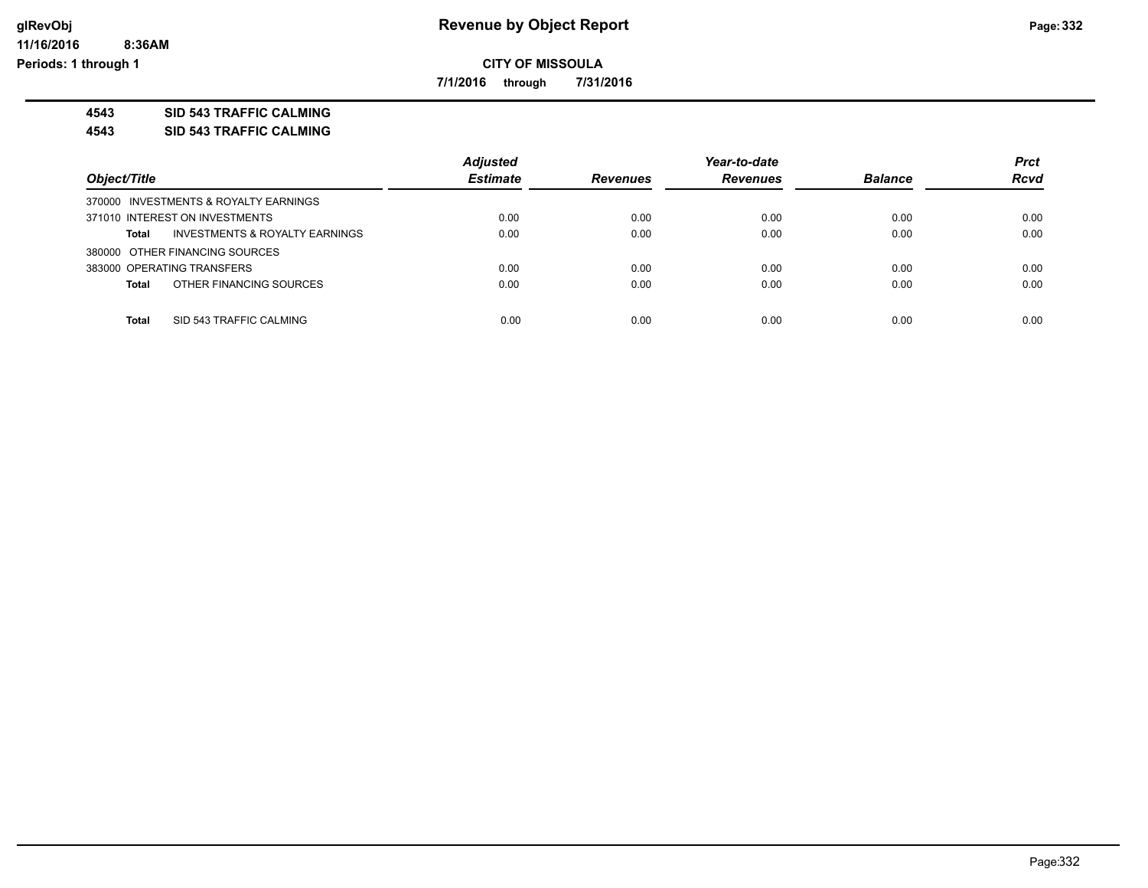**CITY OF MISSOULA**

**7/1/2016 through 7/31/2016**

#### **4543 SID 543 TRAFFIC CALMING**

 **8:36AM**

#### **4543 SID 543 TRAFFIC CALMING**

|                                                           | <b>Adjusted</b> |                 | Year-to-date    |                | <b>Prct</b> |
|-----------------------------------------------------------|-----------------|-----------------|-----------------|----------------|-------------|
| Object/Title                                              | <b>Estimate</b> | <b>Revenues</b> | <b>Revenues</b> | <b>Balance</b> | <b>Rcvd</b> |
| 370000 INVESTMENTS & ROYALTY EARNINGS                     |                 |                 |                 |                |             |
| 371010 INTEREST ON INVESTMENTS                            | 0.00            | 0.00            | 0.00            | 0.00           | 0.00        |
| <b>INVESTMENTS &amp; ROYALTY EARNINGS</b><br><b>Total</b> | 0.00            | 0.00            | 0.00            | 0.00           | 0.00        |
| 380000 OTHER FINANCING SOURCES                            |                 |                 |                 |                |             |
| 383000 OPERATING TRANSFERS                                | 0.00            | 0.00            | 0.00            | 0.00           | 0.00        |
| OTHER FINANCING SOURCES<br>Total                          | 0.00            | 0.00            | 0.00            | 0.00           | 0.00        |
|                                                           |                 |                 |                 |                |             |
| SID 543 TRAFFIC CALMING<br><b>Total</b>                   | 0.00            | 0.00            | 0.00            | 0.00           | 0.00        |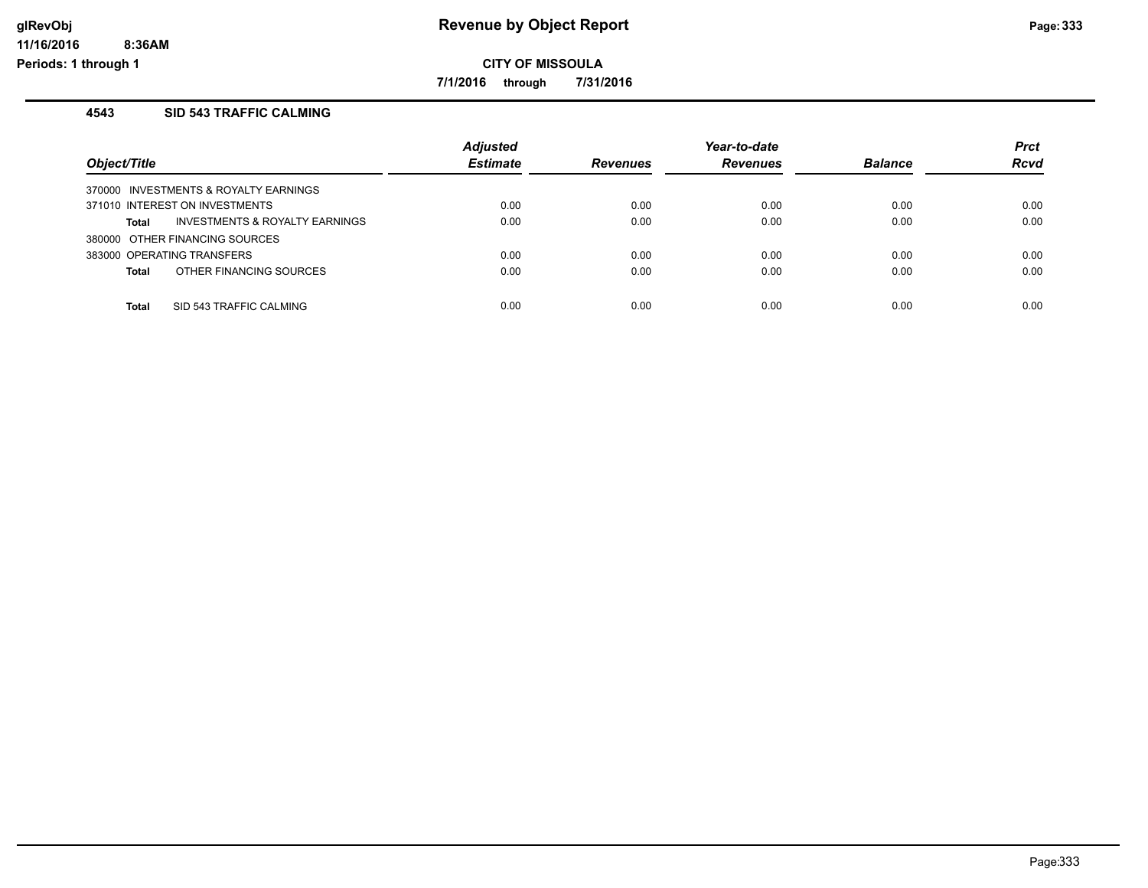**CITY OF MISSOULA**

**7/1/2016 through 7/31/2016**

#### **4543 SID 543 TRAFFIC CALMING**

| Object/Title                                       | Adjusted<br><b>Estimate</b> | <b>Revenues</b> | Year-to-date<br><b>Revenues</b> | <b>Balance</b> | <b>Prct</b><br><b>Rcvd</b> |
|----------------------------------------------------|-----------------------------|-----------------|---------------------------------|----------------|----------------------------|
| 370000 INVESTMENTS & ROYALTY EARNINGS              |                             |                 |                                 |                |                            |
| 371010 INTEREST ON INVESTMENTS                     | 0.00                        | 0.00            | 0.00                            | 0.00           | 0.00                       |
| <b>INVESTMENTS &amp; ROYALTY EARNINGS</b><br>Total | 0.00                        | 0.00            | 0.00                            | 0.00           | 0.00                       |
| 380000 OTHER FINANCING SOURCES                     |                             |                 |                                 |                |                            |
| 383000 OPERATING TRANSFERS                         | 0.00                        | 0.00            | 0.00                            | 0.00           | 0.00                       |
| OTHER FINANCING SOURCES<br><b>Total</b>            | 0.00                        | 0.00            | 0.00                            | 0.00           | 0.00                       |
|                                                    |                             |                 |                                 |                |                            |
| SID 543 TRAFFIC CALMING<br><b>Total</b>            | 0.00                        | 0.00            | 0.00                            | 0.00           | 0.00                       |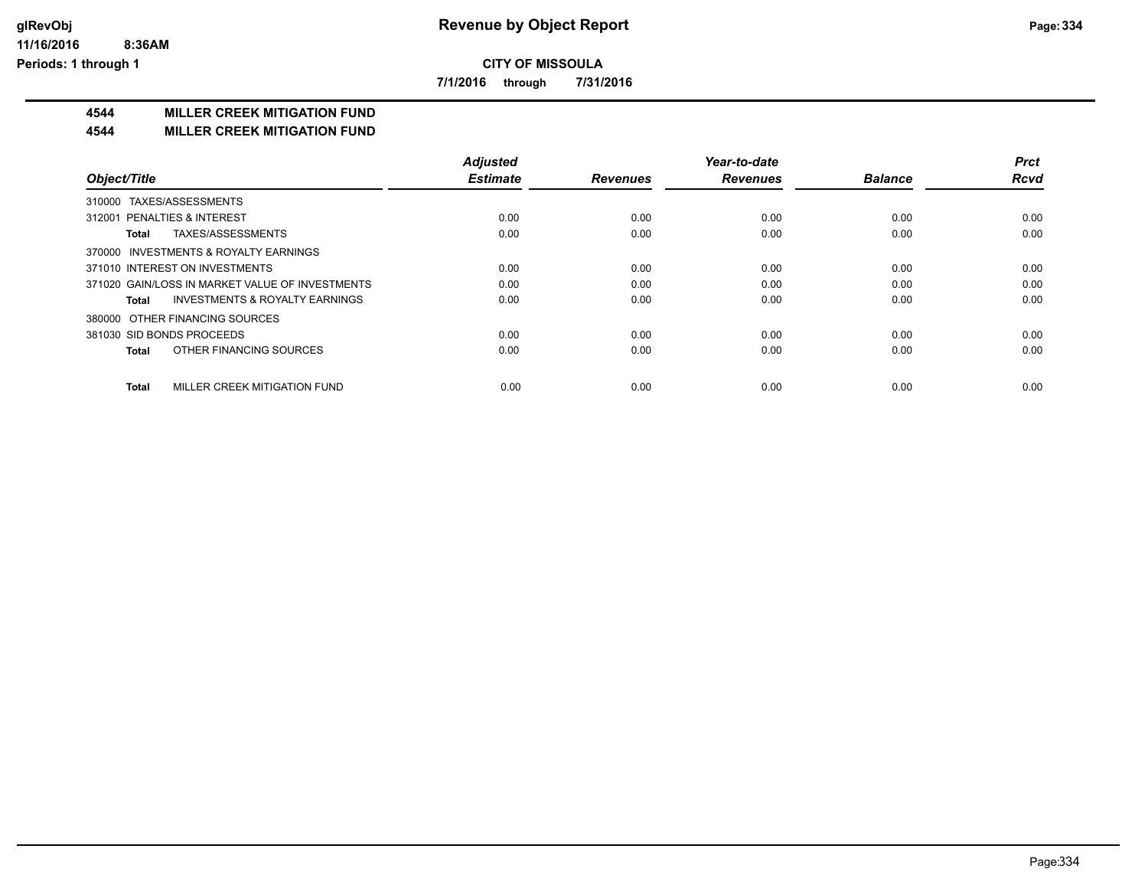**CITY OF MISSOULA**

**7/1/2016 through 7/31/2016**

#### **4544 MILLER CREEK MITIGATION FUND**

#### **4544 MILLER CREEK MITIGATION FUND**

|                                                    | <b>Adjusted</b> |                 | Year-to-date    |                | <b>Prct</b> |
|----------------------------------------------------|-----------------|-----------------|-----------------|----------------|-------------|
| Object/Title                                       | <b>Estimate</b> | <b>Revenues</b> | <b>Revenues</b> | <b>Balance</b> | <b>Rcvd</b> |
| 310000 TAXES/ASSESSMENTS                           |                 |                 |                 |                |             |
| 312001 PENALTIES & INTEREST                        | 0.00            | 0.00            | 0.00            | 0.00           | 0.00        |
| TAXES/ASSESSMENTS<br>Total                         | 0.00            | 0.00            | 0.00            | 0.00           | 0.00        |
| 370000 INVESTMENTS & ROYALTY EARNINGS              |                 |                 |                 |                |             |
| 371010 INTEREST ON INVESTMENTS                     | 0.00            | 0.00            | 0.00            | 0.00           | 0.00        |
| 371020 GAIN/LOSS IN MARKET VALUE OF INVESTMENTS    | 0.00            | 0.00            | 0.00            | 0.00           | 0.00        |
| <b>INVESTMENTS &amp; ROYALTY EARNINGS</b><br>Total | 0.00            | 0.00            | 0.00            | 0.00           | 0.00        |
| 380000 OTHER FINANCING SOURCES                     |                 |                 |                 |                |             |
| 381030 SID BONDS PROCEEDS                          | 0.00            | 0.00            | 0.00            | 0.00           | 0.00        |
| OTHER FINANCING SOURCES<br>Total                   | 0.00            | 0.00            | 0.00            | 0.00           | 0.00        |
| MILLER CREEK MITIGATION FUND<br><b>Total</b>       | 0.00            | 0.00            | 0.00            | 0.00           | 0.00        |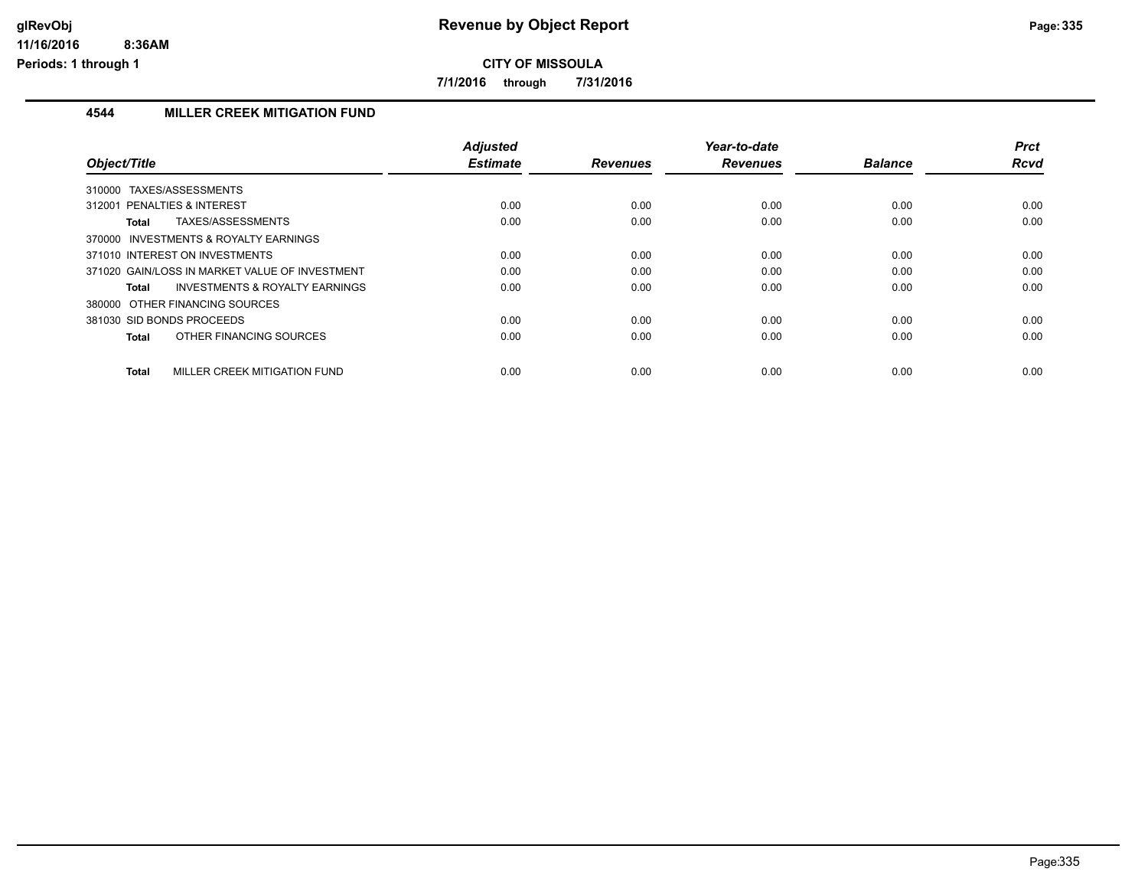**CITY OF MISSOULA**

**7/1/2016 through 7/31/2016**

#### **4544 MILLER CREEK MITIGATION FUND**

|                                                           | <b>Adjusted</b> |                 | Year-to-date    |                | <b>Prct</b> |
|-----------------------------------------------------------|-----------------|-----------------|-----------------|----------------|-------------|
| Object/Title                                              | <b>Estimate</b> | <b>Revenues</b> | <b>Revenues</b> | <b>Balance</b> | <b>Rcvd</b> |
| TAXES/ASSESSMENTS<br>310000                               |                 |                 |                 |                |             |
| 312001 PENALTIES & INTEREST                               | 0.00            | 0.00            | 0.00            | 0.00           | 0.00        |
| TAXES/ASSESSMENTS<br><b>Total</b>                         | 0.00            | 0.00            | 0.00            | 0.00           | 0.00        |
| 370000 INVESTMENTS & ROYALTY EARNINGS                     |                 |                 |                 |                |             |
| 371010 INTEREST ON INVESTMENTS                            | 0.00            | 0.00            | 0.00            | 0.00           | 0.00        |
| 371020 GAIN/LOSS IN MARKET VALUE OF INVESTMENT            | 0.00            | 0.00            | 0.00            | 0.00           | 0.00        |
| <b>INVESTMENTS &amp; ROYALTY EARNINGS</b><br><b>Total</b> | 0.00            | 0.00            | 0.00            | 0.00           | 0.00        |
| 380000 OTHER FINANCING SOURCES                            |                 |                 |                 |                |             |
| 381030 SID BONDS PROCEEDS                                 | 0.00            | 0.00            | 0.00            | 0.00           | 0.00        |
| OTHER FINANCING SOURCES<br><b>Total</b>                   | 0.00            | 0.00            | 0.00            | 0.00           | 0.00        |
| <b>Total</b><br>MILLER CREEK MITIGATION FUND              | 0.00            | 0.00            | 0.00            | 0.00           | 0.00        |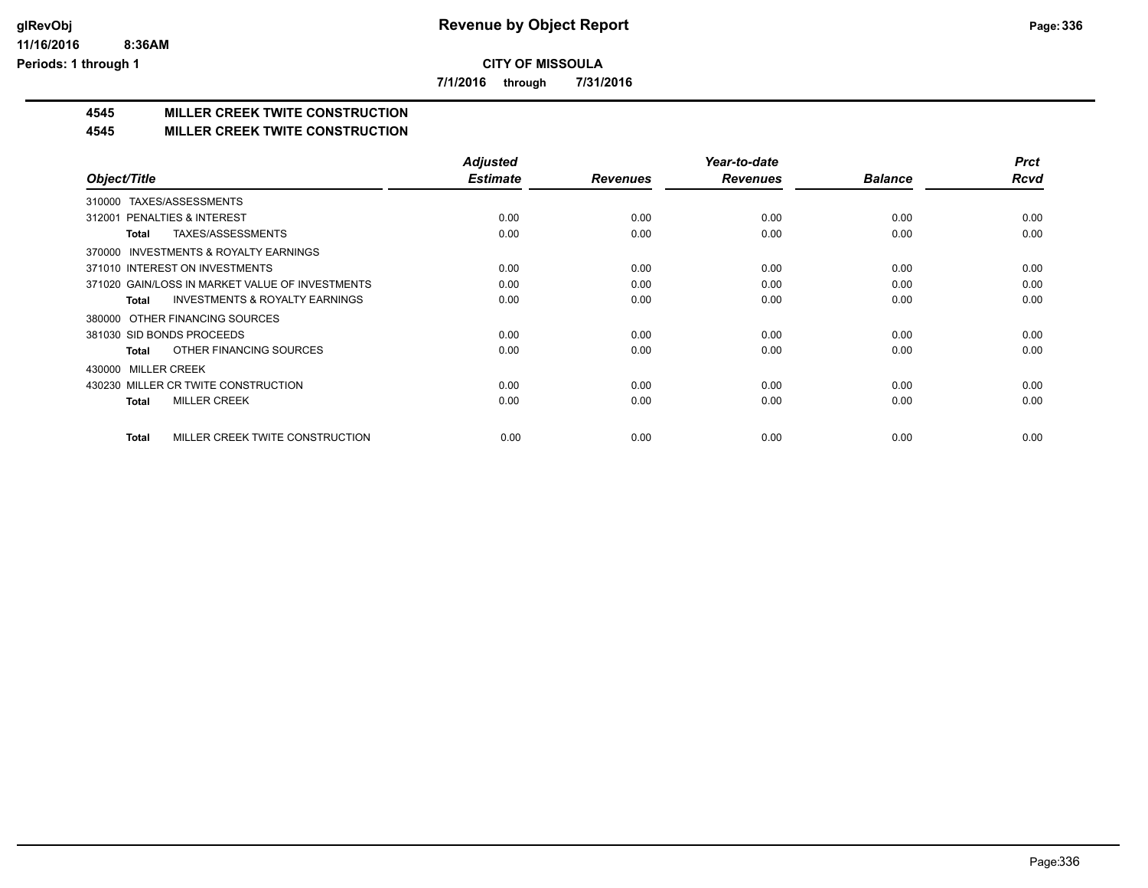**CITY OF MISSOULA**

**7/1/2016 through 7/31/2016**

## **4545 MILLER CREEK TWITE CONSTRUCTION**

#### **4545 MILLER CREEK TWITE CONSTRUCTION**

|                                                     | Adjusted        |                 | Year-to-date    |                | <b>Prct</b> |
|-----------------------------------------------------|-----------------|-----------------|-----------------|----------------|-------------|
| Object/Title                                        | <b>Estimate</b> | <b>Revenues</b> | <b>Revenues</b> | <b>Balance</b> | Rcvd        |
| TAXES/ASSESSMENTS<br>310000                         |                 |                 |                 |                |             |
| 312001 PENALTIES & INTEREST                         | 0.00            | 0.00            | 0.00            | 0.00           | 0.00        |
| <b>TAXES/ASSESSMENTS</b><br>Total                   | 0.00            | 0.00            | 0.00            | 0.00           | 0.00        |
| <b>INVESTMENTS &amp; ROYALTY EARNINGS</b><br>370000 |                 |                 |                 |                |             |
| 371010 INTEREST ON INVESTMENTS                      | 0.00            | 0.00            | 0.00            | 0.00           | 0.00        |
| 371020 GAIN/LOSS IN MARKET VALUE OF INVESTMENTS     | 0.00            | 0.00            | 0.00            | 0.00           | 0.00        |
| <b>INVESTMENTS &amp; ROYALTY EARNINGS</b><br>Total  | 0.00            | 0.00            | 0.00            | 0.00           | 0.00        |
| OTHER FINANCING SOURCES<br>380000                   |                 |                 |                 |                |             |
| 381030 SID BONDS PROCEEDS                           | 0.00            | 0.00            | 0.00            | 0.00           | 0.00        |
| OTHER FINANCING SOURCES<br>Total                    | 0.00            | 0.00            | 0.00            | 0.00           | 0.00        |
| <b>MILLER CREEK</b><br>430000                       |                 |                 |                 |                |             |
| 430230 MILLER CR TWITE CONSTRUCTION                 | 0.00            | 0.00            | 0.00            | 0.00           | 0.00        |
| <b>MILLER CREEK</b><br>Total                        | 0.00            | 0.00            | 0.00            | 0.00           | 0.00        |
|                                                     |                 |                 |                 |                |             |
| MILLER CREEK TWITE CONSTRUCTION<br>Total            | 0.00            | 0.00            | 0.00            | 0.00           | 0.00        |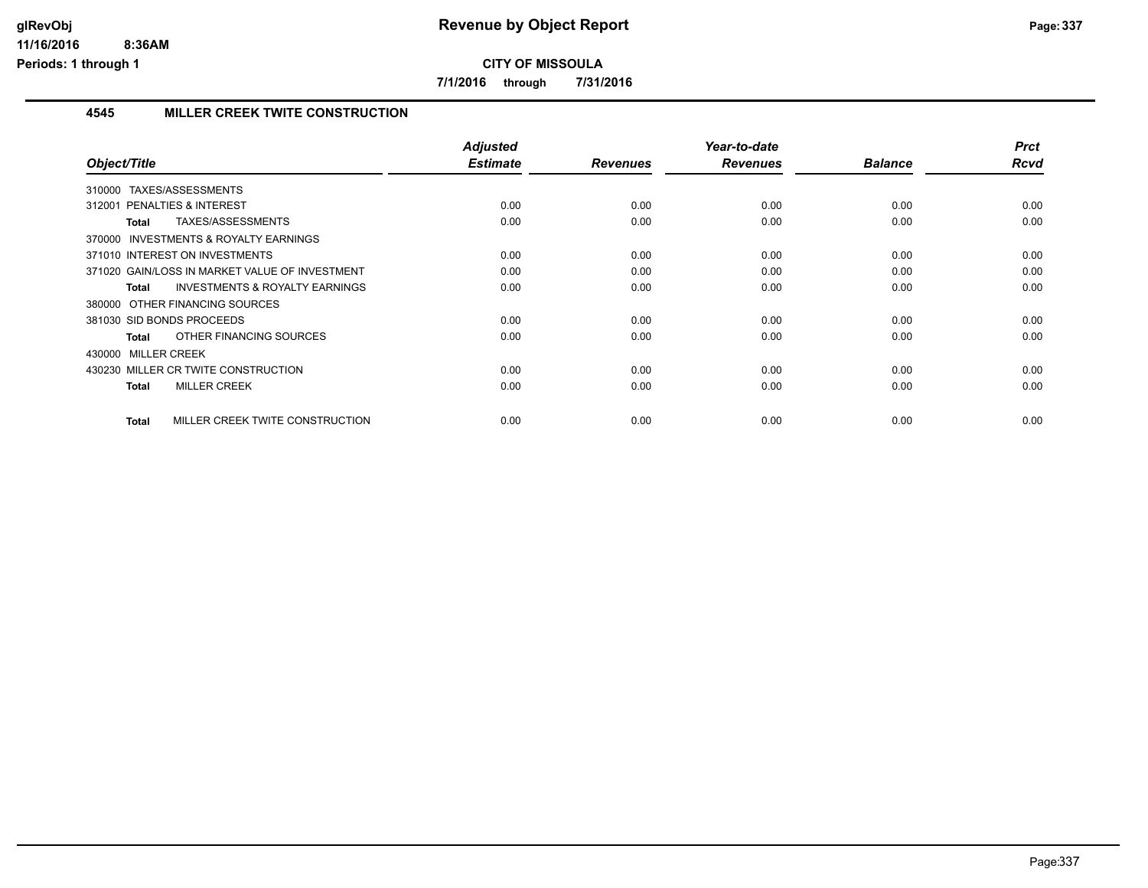**8:36AM**

**CITY OF MISSOULA**

**7/1/2016 through 7/31/2016**

#### **4545 MILLER CREEK TWITE CONSTRUCTION**

| Object/Title                                              | <b>Adjusted</b><br><b>Estimate</b> | <b>Revenues</b> | Year-to-date<br><b>Revenues</b> | <b>Balance</b> | <b>Prct</b><br><b>Rcvd</b> |
|-----------------------------------------------------------|------------------------------------|-----------------|---------------------------------|----------------|----------------------------|
| 310000 TAXES/ASSESSMENTS                                  |                                    |                 |                                 |                |                            |
| PENALTIES & INTEREST<br>312001                            | 0.00                               | 0.00            | 0.00                            | 0.00           | 0.00                       |
| TAXES/ASSESSMENTS<br>Total                                | 0.00                               | 0.00            | 0.00                            | 0.00           | 0.00                       |
| 370000 INVESTMENTS & ROYALTY EARNINGS                     |                                    |                 |                                 |                |                            |
| 371010 INTEREST ON INVESTMENTS                            | 0.00                               | 0.00            | 0.00                            | 0.00           | 0.00                       |
| 371020 GAIN/LOSS IN MARKET VALUE OF INVESTMENT            | 0.00                               | 0.00            | 0.00                            | 0.00           | 0.00                       |
| <b>INVESTMENTS &amp; ROYALTY EARNINGS</b><br><b>Total</b> | 0.00                               | 0.00            | 0.00                            | 0.00           | 0.00                       |
| 380000 OTHER FINANCING SOURCES                            |                                    |                 |                                 |                |                            |
| 381030 SID BONDS PROCEEDS                                 | 0.00                               | 0.00            | 0.00                            | 0.00           | 0.00                       |
| OTHER FINANCING SOURCES<br>Total                          | 0.00                               | 0.00            | 0.00                            | 0.00           | 0.00                       |
| 430000 MILLER CREEK                                       |                                    |                 |                                 |                |                            |
| 430230 MILLER CR TWITE CONSTRUCTION                       | 0.00                               | 0.00            | 0.00                            | 0.00           | 0.00                       |
| <b>MILLER CREEK</b><br><b>Total</b>                       | 0.00                               | 0.00            | 0.00                            | 0.00           | 0.00                       |
| MILLER CREEK TWITE CONSTRUCTION<br><b>Total</b>           | 0.00                               | 0.00            | 0.00                            | 0.00           | 0.00                       |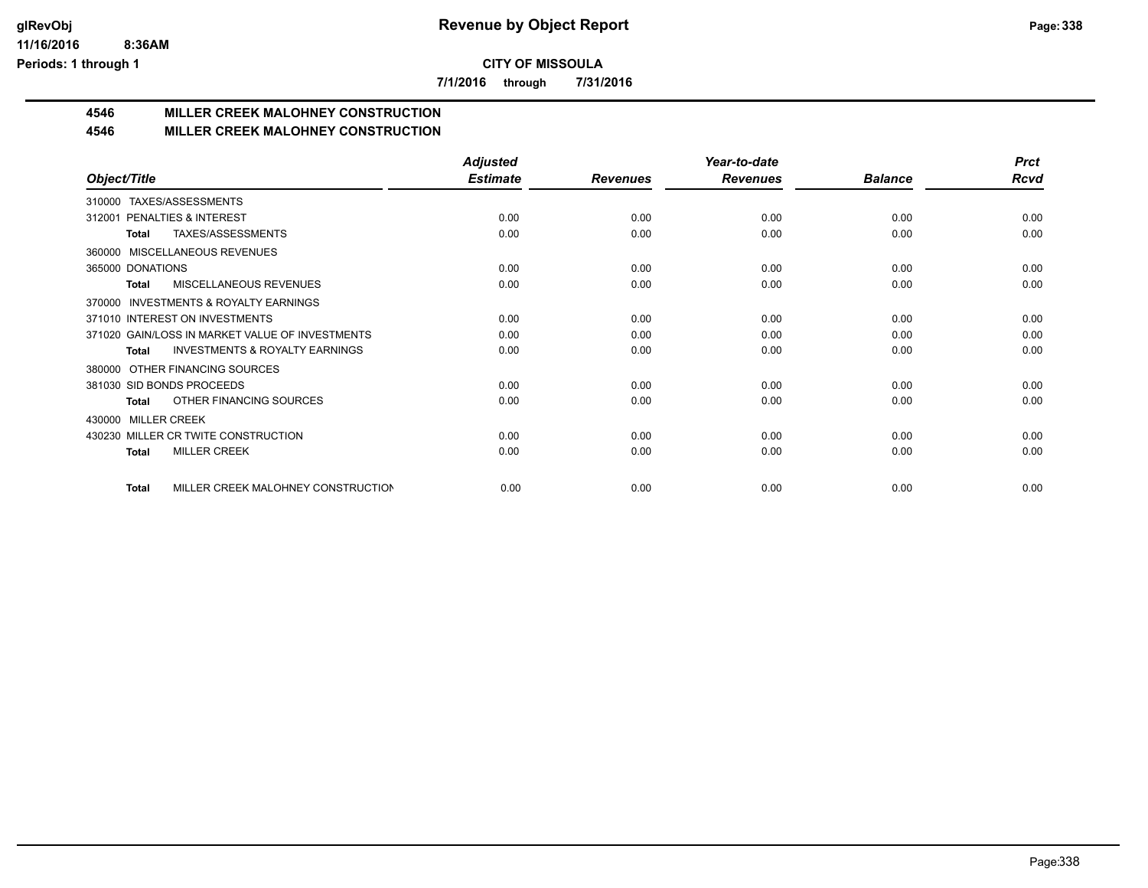**CITY OF MISSOULA**

**7/1/2016 through 7/31/2016**

## **4546 MILLER CREEK MALOHNEY CONSTRUCTION**

#### **4546 MILLER CREEK MALOHNEY CONSTRUCTION**

|                                                     | <b>Adjusted</b> |                 | Year-to-date    |                | <b>Prct</b> |
|-----------------------------------------------------|-----------------|-----------------|-----------------|----------------|-------------|
| Object/Title                                        | <b>Estimate</b> | <b>Revenues</b> | <b>Revenues</b> | <b>Balance</b> | Rcvd        |
| TAXES/ASSESSMENTS<br>310000                         |                 |                 |                 |                |             |
| PENALTIES & INTEREST<br>312001                      | 0.00            | 0.00            | 0.00            | 0.00           | 0.00        |
| TAXES/ASSESSMENTS<br>Total                          | 0.00            | 0.00            | 0.00            | 0.00           | 0.00        |
| MISCELLANEOUS REVENUES<br>360000                    |                 |                 |                 |                |             |
| 365000 DONATIONS                                    | 0.00            | 0.00            | 0.00            | 0.00           | 0.00        |
| MISCELLANEOUS REVENUES<br><b>Total</b>              | 0.00            | 0.00            | 0.00            | 0.00           | 0.00        |
| <b>INVESTMENTS &amp; ROYALTY EARNINGS</b><br>370000 |                 |                 |                 |                |             |
| 371010 INTEREST ON INVESTMENTS                      | 0.00            | 0.00            | 0.00            | 0.00           | 0.00        |
| 371020 GAIN/LOSS IN MARKET VALUE OF INVESTMENTS     | 0.00            | 0.00            | 0.00            | 0.00           | 0.00        |
| <b>INVESTMENTS &amp; ROYALTY EARNINGS</b><br>Total  | 0.00            | 0.00            | 0.00            | 0.00           | 0.00        |
| 380000 OTHER FINANCING SOURCES                      |                 |                 |                 |                |             |
| 381030 SID BONDS PROCEEDS                           | 0.00            | 0.00            | 0.00            | 0.00           | 0.00        |
| OTHER FINANCING SOURCES<br>Total                    | 0.00            | 0.00            | 0.00            | 0.00           | 0.00        |
| <b>MILLER CREEK</b><br>430000                       |                 |                 |                 |                |             |
| 430230 MILLER CR TWITE CONSTRUCTION                 | 0.00            | 0.00            | 0.00            | 0.00           | 0.00        |
| <b>MILLER CREEK</b><br><b>Total</b>                 | 0.00            | 0.00            | 0.00            | 0.00           | 0.00        |
| MILLER CREEK MALOHNEY CONSTRUCTION<br><b>Total</b>  | 0.00            | 0.00            | 0.00            | 0.00           | 0.00        |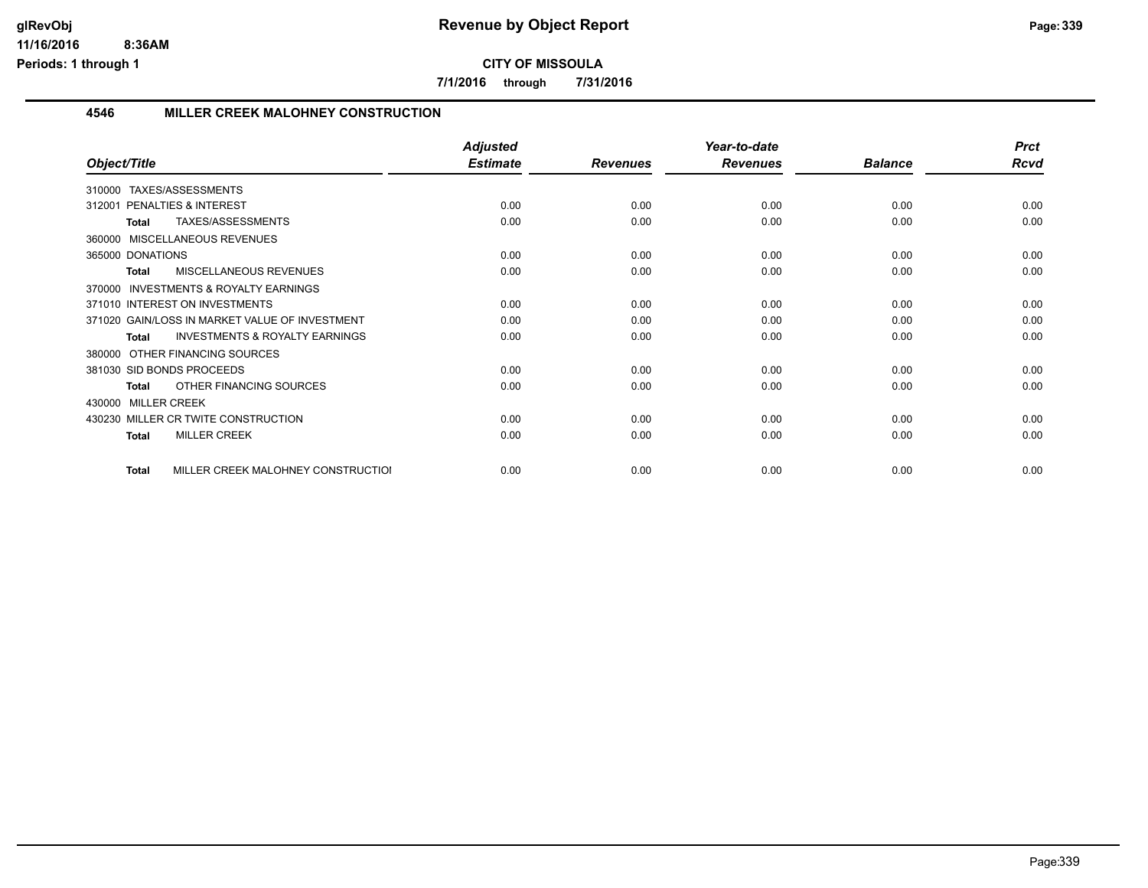**CITY OF MISSOULA**

**7/1/2016 through 7/31/2016**

#### **4546 MILLER CREEK MALOHNEY CONSTRUCTION**

|                                                           | <b>Adjusted</b> |                 | Year-to-date    |                | <b>Prct</b> |
|-----------------------------------------------------------|-----------------|-----------------|-----------------|----------------|-------------|
| Object/Title                                              | <b>Estimate</b> | <b>Revenues</b> | <b>Revenues</b> | <b>Balance</b> | <b>Rcvd</b> |
| TAXES/ASSESSMENTS<br>310000                               |                 |                 |                 |                |             |
| PENALTIES & INTEREST<br>312001                            | 0.00            | 0.00            | 0.00            | 0.00           | 0.00        |
| TAXES/ASSESSMENTS<br><b>Total</b>                         | 0.00            | 0.00            | 0.00            | 0.00           | 0.00        |
| 360000 MISCELLANEOUS REVENUES                             |                 |                 |                 |                |             |
| 365000 DONATIONS                                          | 0.00            | 0.00            | 0.00            | 0.00           | 0.00        |
| <b>MISCELLANEOUS REVENUES</b><br>Total                    | 0.00            | 0.00            | 0.00            | 0.00           | 0.00        |
| INVESTMENTS & ROYALTY EARNINGS<br>370000                  |                 |                 |                 |                |             |
| 371010 INTEREST ON INVESTMENTS                            | 0.00            | 0.00            | 0.00            | 0.00           | 0.00        |
| 371020 GAIN/LOSS IN MARKET VALUE OF INVESTMENT            | 0.00            | 0.00            | 0.00            | 0.00           | 0.00        |
| <b>INVESTMENTS &amp; ROYALTY EARNINGS</b><br><b>Total</b> | 0.00            | 0.00            | 0.00            | 0.00           | 0.00        |
| OTHER FINANCING SOURCES<br>380000                         |                 |                 |                 |                |             |
| 381030 SID BONDS PROCEEDS                                 | 0.00            | 0.00            | 0.00            | 0.00           | 0.00        |
| OTHER FINANCING SOURCES<br>Total                          | 0.00            | 0.00            | 0.00            | 0.00           | 0.00        |
| <b>MILLER CREEK</b><br>430000                             |                 |                 |                 |                |             |
| 430230 MILLER CR TWITE CONSTRUCTION                       | 0.00            | 0.00            | 0.00            | 0.00           | 0.00        |
| <b>MILLER CREEK</b><br><b>Total</b>                       | 0.00            | 0.00            | 0.00            | 0.00           | 0.00        |
| MILLER CREEK MALOHNEY CONSTRUCTIOI<br><b>Total</b>        | 0.00            | 0.00            | 0.00            | 0.00           | 0.00        |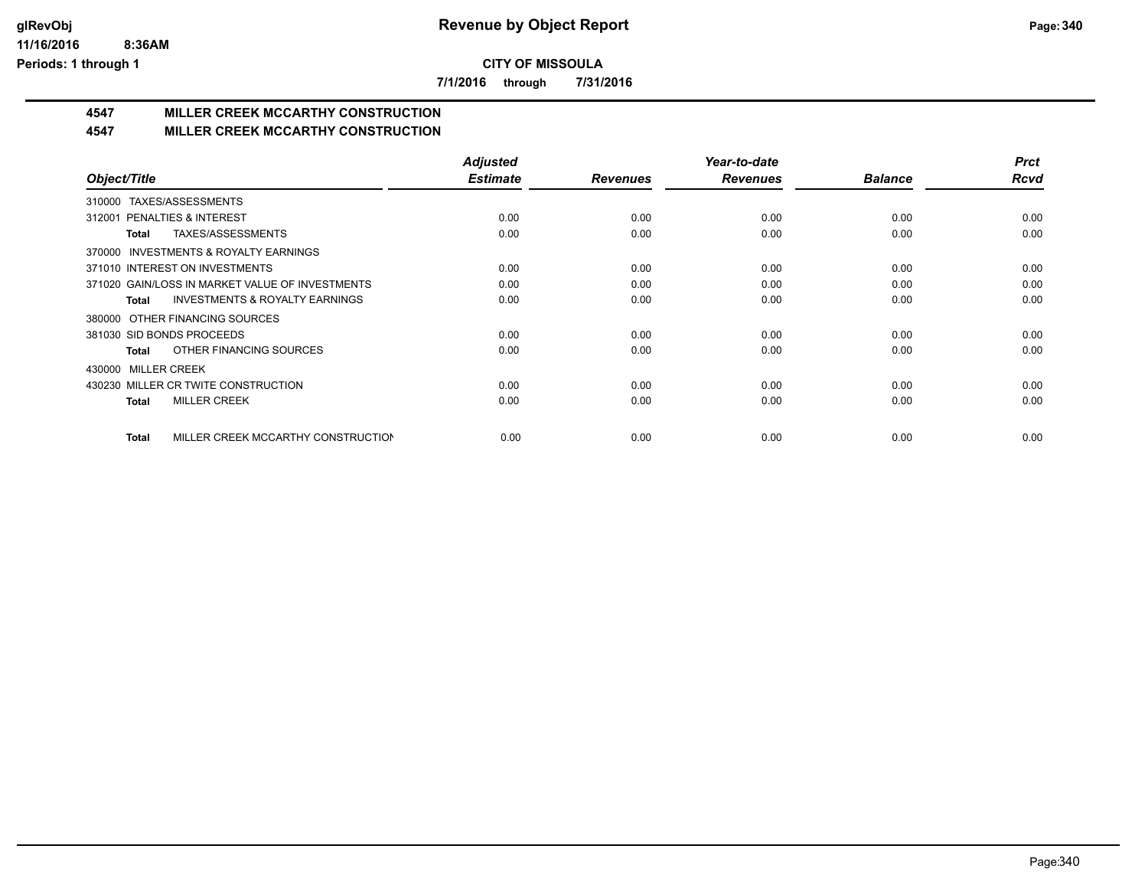**CITY OF MISSOULA**

**7/1/2016 through 7/31/2016**

## **4547 MILLER CREEK MCCARTHY CONSTRUCTION**

#### **4547 MILLER CREEK MCCARTHY CONSTRUCTION**

|                                                     | <b>Adjusted</b> |                 | Year-to-date    |                | <b>Prct</b> |
|-----------------------------------------------------|-----------------|-----------------|-----------------|----------------|-------------|
| Object/Title                                        | <b>Estimate</b> | <b>Revenues</b> | <b>Revenues</b> | <b>Balance</b> | <b>Rcvd</b> |
| TAXES/ASSESSMENTS<br>310000                         |                 |                 |                 |                |             |
| <b>PENALTIES &amp; INTEREST</b><br>312001           | 0.00            | 0.00            | 0.00            | 0.00           | 0.00        |
| TAXES/ASSESSMENTS<br>Total                          | 0.00            | 0.00            | 0.00            | 0.00           | 0.00        |
| <b>INVESTMENTS &amp; ROYALTY EARNINGS</b><br>370000 |                 |                 |                 |                |             |
| 371010 INTEREST ON INVESTMENTS                      | 0.00            | 0.00            | 0.00            | 0.00           | 0.00        |
| 371020 GAIN/LOSS IN MARKET VALUE OF INVESTMENTS     | 0.00            | 0.00            | 0.00            | 0.00           | 0.00        |
| <b>INVESTMENTS &amp; ROYALTY EARNINGS</b><br>Total  | 0.00            | 0.00            | 0.00            | 0.00           | 0.00        |
| OTHER FINANCING SOURCES<br>380000                   |                 |                 |                 |                |             |
| 381030 SID BONDS PROCEEDS                           | 0.00            | 0.00            | 0.00            | 0.00           | 0.00        |
| OTHER FINANCING SOURCES<br>Total                    | 0.00            | 0.00            | 0.00            | 0.00           | 0.00        |
| <b>MILLER CREEK</b><br>430000                       |                 |                 |                 |                |             |
| 430230 MILLER CR TWITE CONSTRUCTION                 | 0.00            | 0.00            | 0.00            | 0.00           | 0.00        |
| <b>MILLER CREEK</b><br><b>Total</b>                 | 0.00            | 0.00            | 0.00            | 0.00           | 0.00        |
|                                                     |                 |                 |                 |                |             |
| MILLER CREEK MCCARTHY CONSTRUCTION<br><b>Total</b>  | 0.00            | 0.00            | 0.00            | 0.00           | 0.00        |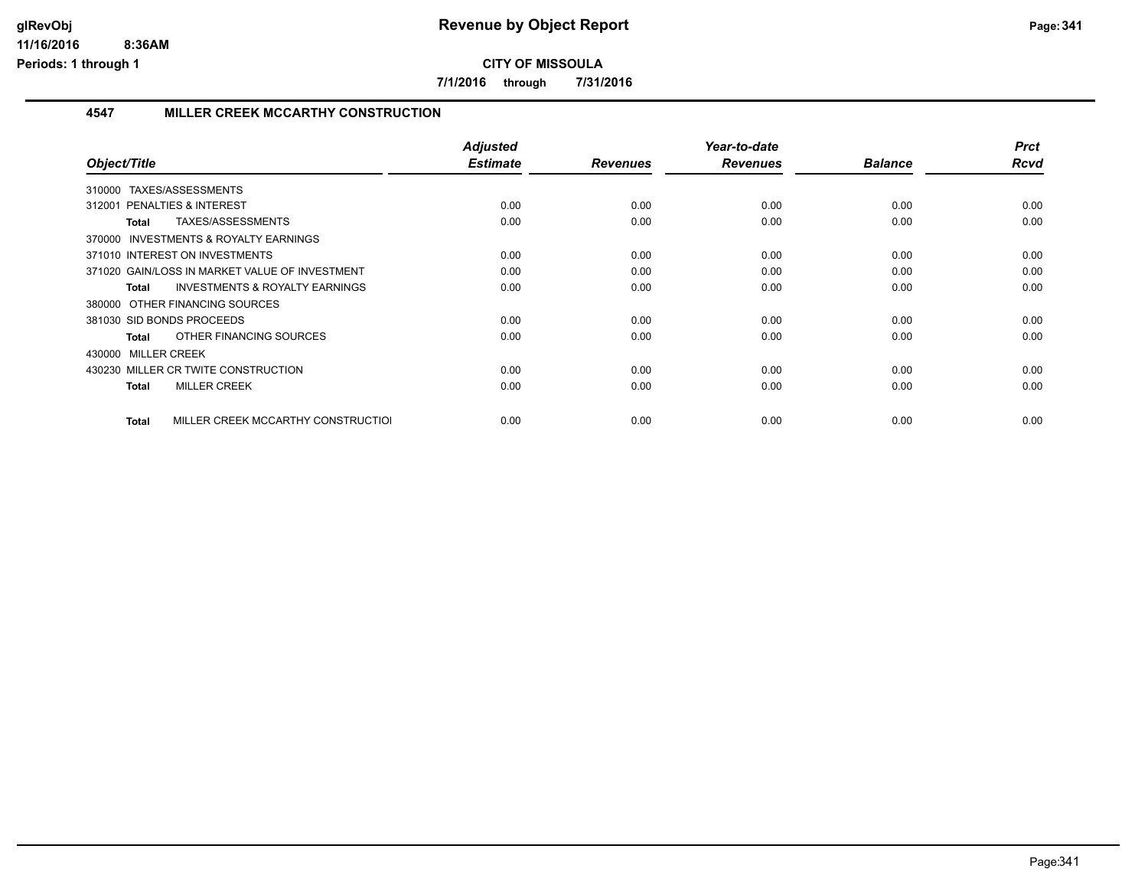**8:36AM**

**CITY OF MISSOULA**

**7/1/2016 through 7/31/2016**

#### **4547 MILLER CREEK MCCARTHY CONSTRUCTION**

| Object/Title                                              | <b>Adjusted</b><br><b>Estimate</b> | <b>Revenues</b> | Year-to-date<br><b>Revenues</b> | <b>Balance</b> | <b>Prct</b><br><b>Rcvd</b> |
|-----------------------------------------------------------|------------------------------------|-----------------|---------------------------------|----------------|----------------------------|
| 310000 TAXES/ASSESSMENTS                                  |                                    |                 |                                 |                |                            |
| <b>PENALTIES &amp; INTEREST</b><br>312001                 | 0.00                               | 0.00            | 0.00                            | 0.00           | 0.00                       |
| TAXES/ASSESSMENTS<br><b>Total</b>                         | 0.00                               | 0.00            | 0.00                            | 0.00           | 0.00                       |
| 370000 INVESTMENTS & ROYALTY EARNINGS                     |                                    |                 |                                 |                |                            |
| 371010 INTEREST ON INVESTMENTS                            | 0.00                               | 0.00            | 0.00                            | 0.00           | 0.00                       |
| 371020 GAIN/LOSS IN MARKET VALUE OF INVESTMENT            | 0.00                               | 0.00            | 0.00                            | 0.00           | 0.00                       |
| <b>INVESTMENTS &amp; ROYALTY EARNINGS</b><br><b>Total</b> | 0.00                               | 0.00            | 0.00                            | 0.00           | 0.00                       |
| 380000 OTHER FINANCING SOURCES                            |                                    |                 |                                 |                |                            |
| 381030 SID BONDS PROCEEDS                                 | 0.00                               | 0.00            | 0.00                            | 0.00           | 0.00                       |
| OTHER FINANCING SOURCES<br>Total                          | 0.00                               | 0.00            | 0.00                            | 0.00           | 0.00                       |
| 430000 MILLER CREEK                                       |                                    |                 |                                 |                |                            |
| 430230 MILLER CR TWITE CONSTRUCTION                       | 0.00                               | 0.00            | 0.00                            | 0.00           | 0.00                       |
| <b>MILLER CREEK</b><br>Total                              | 0.00                               | 0.00            | 0.00                            | 0.00           | 0.00                       |
| MILLER CREEK MCCARTHY CONSTRUCTION<br><b>Total</b>        | 0.00                               | 0.00            | 0.00                            | 0.00           | 0.00                       |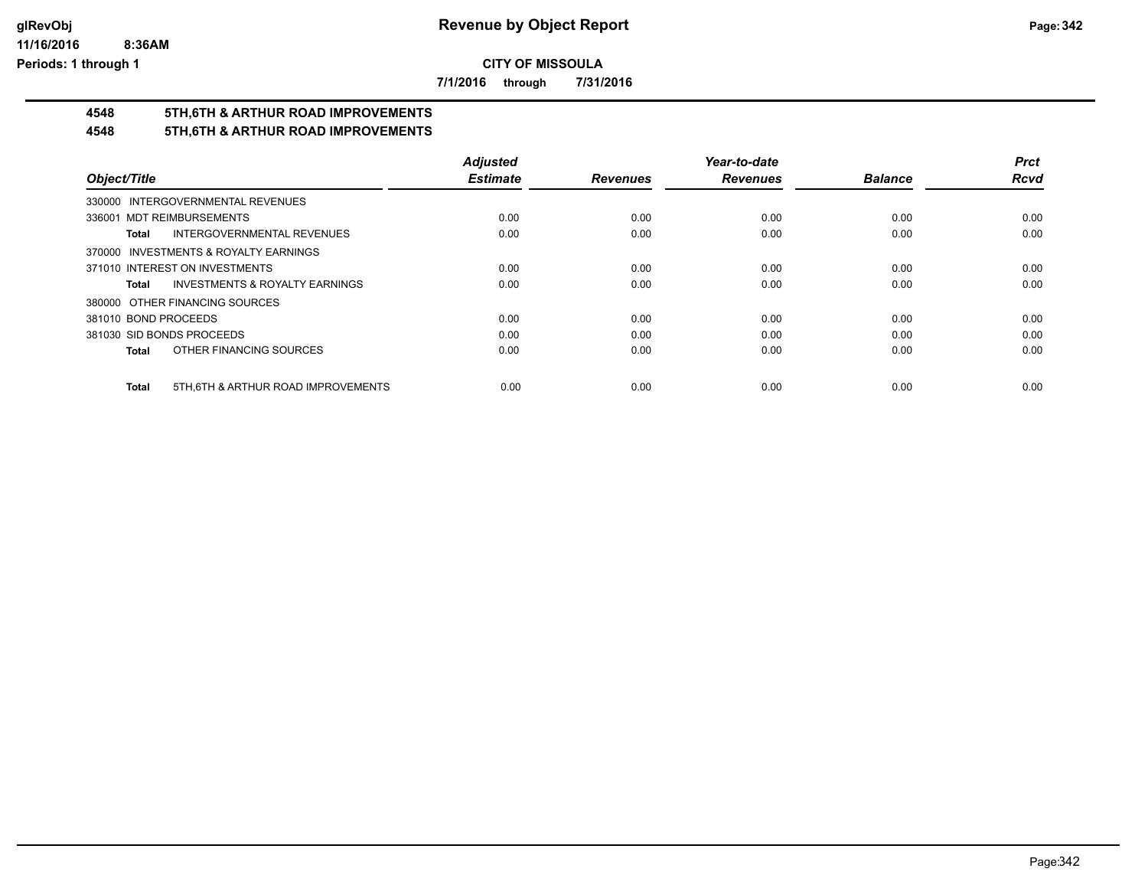**CITY OF MISSOULA**

**7/1/2016 through 7/31/2016**

# **4548 5TH,6TH & ARTHUR ROAD IMPROVEMENTS**

## **4548 5TH,6TH & ARTHUR ROAD IMPROVEMENTS**

|                                             | <b>Adjusted</b> |                 | Year-to-date    |                | <b>Prct</b> |
|---------------------------------------------|-----------------|-----------------|-----------------|----------------|-------------|
| Object/Title                                | <b>Estimate</b> | <b>Revenues</b> | <b>Revenues</b> | <b>Balance</b> | <b>Rcvd</b> |
| 330000 INTERGOVERNMENTAL REVENUES           |                 |                 |                 |                |             |
| 336001 MDT REIMBURSEMENTS                   | 0.00            | 0.00            | 0.00            | 0.00           | 0.00        |
| INTERGOVERNMENTAL REVENUES<br>Total         | 0.00            | 0.00            | 0.00            | 0.00           | 0.00        |
| 370000 INVESTMENTS & ROYALTY EARNINGS       |                 |                 |                 |                |             |
| 371010 INTEREST ON INVESTMENTS              | 0.00            | 0.00            | 0.00            | 0.00           | 0.00        |
| INVESTMENTS & ROYALTY EARNINGS<br>Total     | 0.00            | 0.00            | 0.00            | 0.00           | 0.00        |
| 380000 OTHER FINANCING SOURCES              |                 |                 |                 |                |             |
| 381010 BOND PROCEEDS                        | 0.00            | 0.00            | 0.00            | 0.00           | 0.00        |
| 381030 SID BONDS PROCEEDS                   | 0.00            | 0.00            | 0.00            | 0.00           | 0.00        |
| OTHER FINANCING SOURCES<br>Total            | 0.00            | 0.00            | 0.00            | 0.00           | 0.00        |
| 5TH.6TH & ARTHUR ROAD IMPROVEMENTS<br>Total | 0.00            | 0.00            | 0.00            | 0.00           | 0.00        |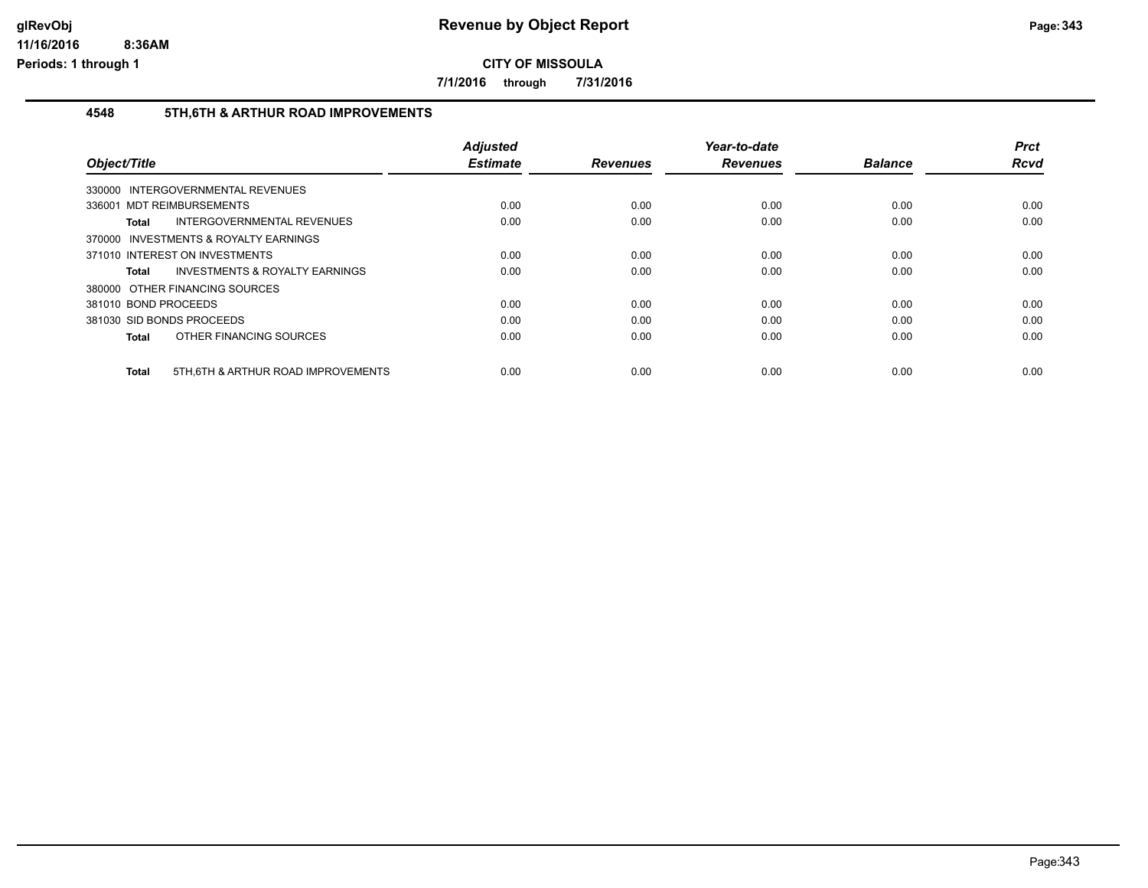**8:36AM**

**CITY OF MISSOULA**

**7/1/2016 through 7/31/2016**

#### **4548 5TH,6TH & ARTHUR ROAD IMPROVEMENTS**

|                                                     | <b>Adjusted</b> |                 | Year-to-date    |                | <b>Prct</b> |
|-----------------------------------------------------|-----------------|-----------------|-----------------|----------------|-------------|
| Object/Title                                        | <b>Estimate</b> | <b>Revenues</b> | <b>Revenues</b> | <b>Balance</b> | <b>Rcvd</b> |
| 330000 INTERGOVERNMENTAL REVENUES                   |                 |                 |                 |                |             |
| 336001 MDT REIMBURSEMENTS                           | 0.00            | 0.00            | 0.00            | 0.00           | 0.00        |
| INTERGOVERNMENTAL REVENUES<br><b>Total</b>          | 0.00            | 0.00            | 0.00            | 0.00           | 0.00        |
| 370000 INVESTMENTS & ROYALTY EARNINGS               |                 |                 |                 |                |             |
| 371010 INTEREST ON INVESTMENTS                      | 0.00            | 0.00            | 0.00            | 0.00           | 0.00        |
| INVESTMENTS & ROYALTY EARNINGS<br>Total             | 0.00            | 0.00            | 0.00            | 0.00           | 0.00        |
| 380000 OTHER FINANCING SOURCES                      |                 |                 |                 |                |             |
| 381010 BOND PROCEEDS                                | 0.00            | 0.00            | 0.00            | 0.00           | 0.00        |
| 381030 SID BONDS PROCEEDS                           | 0.00            | 0.00            | 0.00            | 0.00           | 0.00        |
| OTHER FINANCING SOURCES<br>Total                    | 0.00            | 0.00            | 0.00            | 0.00           | 0.00        |
| <b>Total</b><br>5TH, 6TH & ARTHUR ROAD IMPROVEMENTS | 0.00            | 0.00            | 0.00            | 0.00           | 0.00        |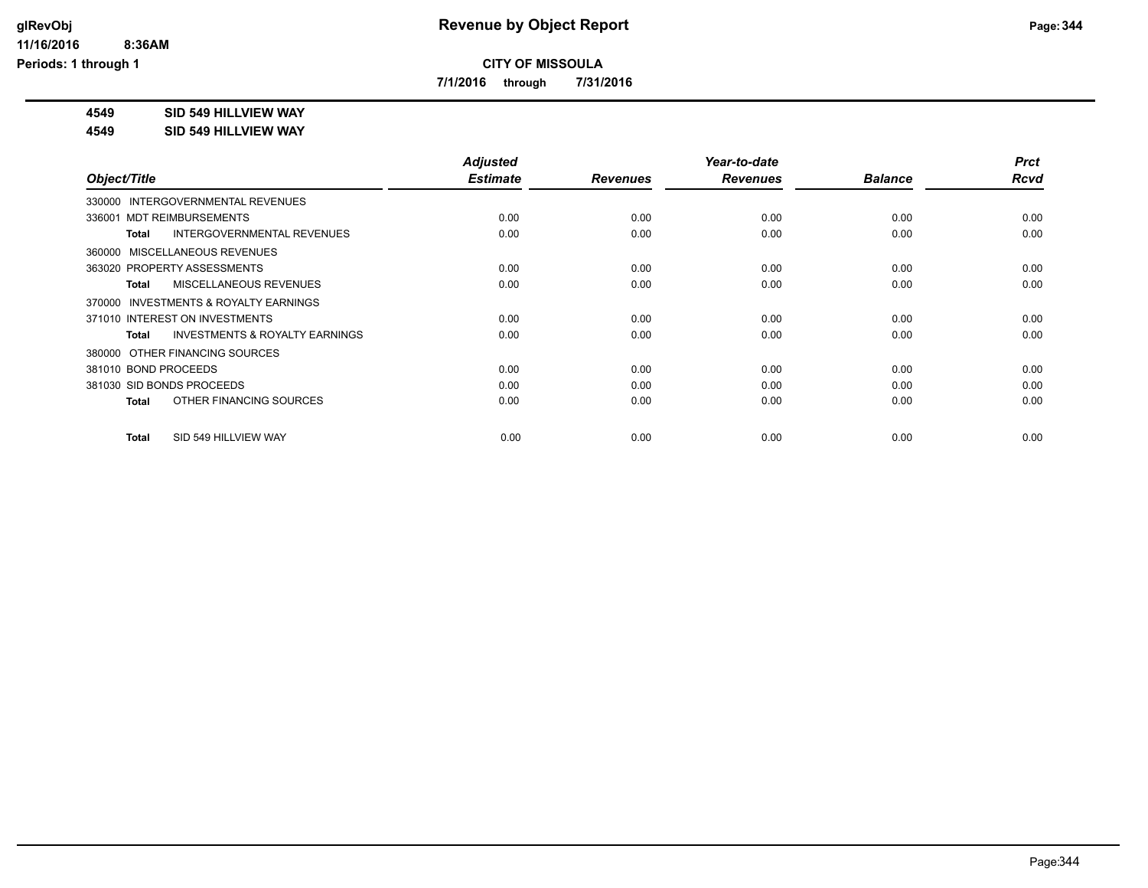**CITY OF MISSOULA**

**7/1/2016 through 7/31/2016**

**4549 SID 549 HILLVIEW WAY**

**4549 SID 549 HILLVIEW WAY**

|                                                    | <b>Adjusted</b> |                 | Year-to-date    |                | <b>Prct</b> |
|----------------------------------------------------|-----------------|-----------------|-----------------|----------------|-------------|
| Object/Title                                       | <b>Estimate</b> | <b>Revenues</b> | <b>Revenues</b> | <b>Balance</b> | <b>Rcvd</b> |
| INTERGOVERNMENTAL REVENUES<br>330000               |                 |                 |                 |                |             |
| <b>MDT REIMBURSEMENTS</b><br>336001                | 0.00            | 0.00            | 0.00            | 0.00           | 0.00        |
| <b>INTERGOVERNMENTAL REVENUES</b><br>Total         | 0.00            | 0.00            | 0.00            | 0.00           | 0.00        |
| 360000 MISCELLANEOUS REVENUES                      |                 |                 |                 |                |             |
| 363020 PROPERTY ASSESSMENTS                        | 0.00            | 0.00            | 0.00            | 0.00           | 0.00        |
| <b>MISCELLANEOUS REVENUES</b><br>Total             | 0.00            | 0.00            | 0.00            | 0.00           | 0.00        |
| 370000 INVESTMENTS & ROYALTY EARNINGS              |                 |                 |                 |                |             |
| 371010 INTEREST ON INVESTMENTS                     | 0.00            | 0.00            | 0.00            | 0.00           | 0.00        |
| <b>INVESTMENTS &amp; ROYALTY EARNINGS</b><br>Total | 0.00            | 0.00            | 0.00            | 0.00           | 0.00        |
| 380000 OTHER FINANCING SOURCES                     |                 |                 |                 |                |             |
| 381010 BOND PROCEEDS                               | 0.00            | 0.00            | 0.00            | 0.00           | 0.00        |
| 381030 SID BONDS PROCEEDS                          | 0.00            | 0.00            | 0.00            | 0.00           | 0.00        |
| OTHER FINANCING SOURCES<br>Total                   | 0.00            | 0.00            | 0.00            | 0.00           | 0.00        |
|                                                    |                 |                 |                 |                |             |
| SID 549 HILLVIEW WAY<br>Total                      | 0.00            | 0.00            | 0.00            | 0.00           | 0.00        |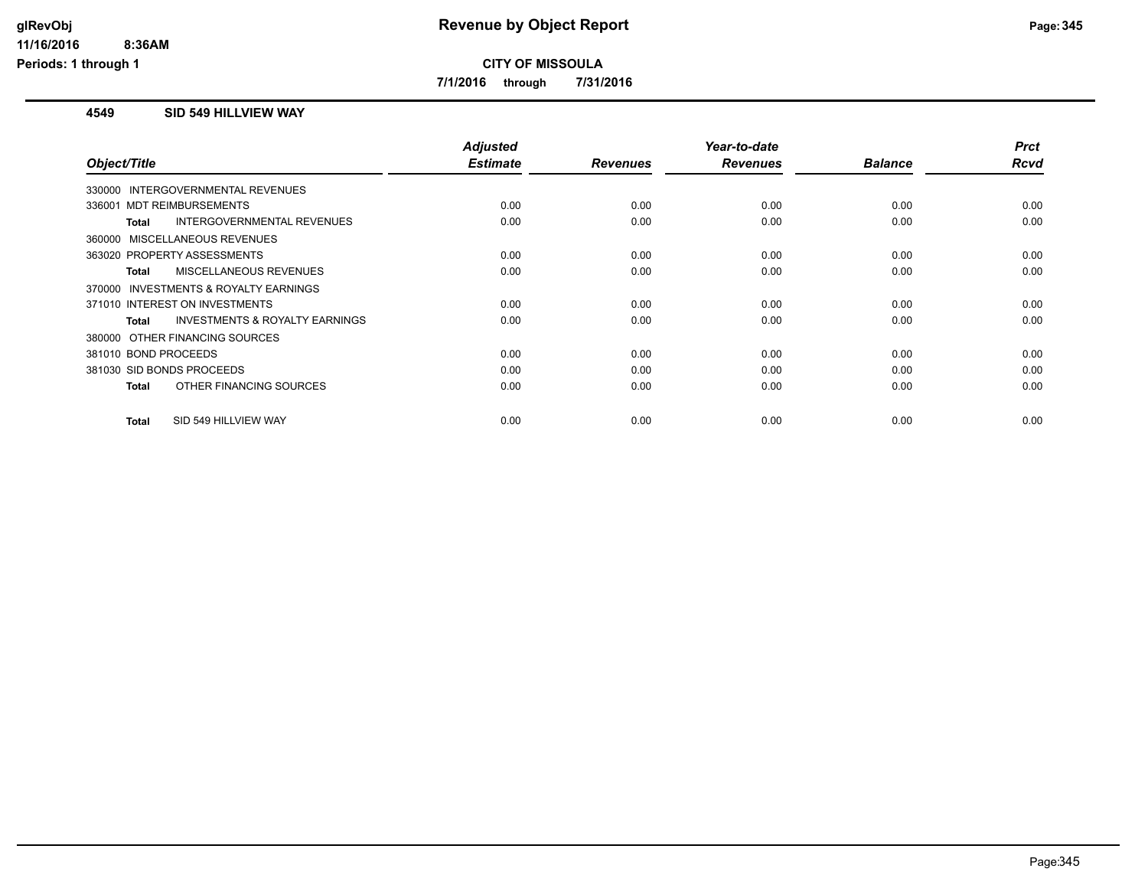**CITY OF MISSOULA**

**7/1/2016 through 7/31/2016**

#### **4549 SID 549 HILLVIEW WAY**

| Object/Title                                              | <b>Adjusted</b><br><b>Estimate</b> | <b>Revenues</b> | Year-to-date<br><b>Revenues</b> | <b>Balance</b> | <b>Prct</b><br><b>Rcvd</b> |
|-----------------------------------------------------------|------------------------------------|-----------------|---------------------------------|----------------|----------------------------|
| 330000 INTERGOVERNMENTAL REVENUES                         |                                    |                 |                                 |                |                            |
| 336001 MDT REIMBURSEMENTS                                 | 0.00                               | 0.00            | 0.00                            | 0.00           | 0.00                       |
| INTERGOVERNMENTAL REVENUES<br><b>Total</b>                | 0.00                               | 0.00            | 0.00                            | 0.00           | 0.00                       |
| MISCELLANEOUS REVENUES<br>360000                          |                                    |                 |                                 |                |                            |
| 363020 PROPERTY ASSESSMENTS                               | 0.00                               | 0.00            | 0.00                            | 0.00           | 0.00                       |
| MISCELLANEOUS REVENUES<br><b>Total</b>                    | 0.00                               | 0.00            | 0.00                            | 0.00           | 0.00                       |
| 370000 INVESTMENTS & ROYALTY EARNINGS                     |                                    |                 |                                 |                |                            |
| 371010 INTEREST ON INVESTMENTS                            | 0.00                               | 0.00            | 0.00                            | 0.00           | 0.00                       |
| <b>INVESTMENTS &amp; ROYALTY EARNINGS</b><br><b>Total</b> | 0.00                               | 0.00            | 0.00                            | 0.00           | 0.00                       |
| 380000 OTHER FINANCING SOURCES                            |                                    |                 |                                 |                |                            |
| 381010 BOND PROCEEDS                                      | 0.00                               | 0.00            | 0.00                            | 0.00           | 0.00                       |
| 381030 SID BONDS PROCEEDS                                 | 0.00                               | 0.00            | 0.00                            | 0.00           | 0.00                       |
| OTHER FINANCING SOURCES<br><b>Total</b>                   | 0.00                               | 0.00            | 0.00                            | 0.00           | 0.00                       |
| SID 549 HILLVIEW WAY<br><b>Total</b>                      | 0.00                               | 0.00            | 0.00                            | 0.00           | 0.00                       |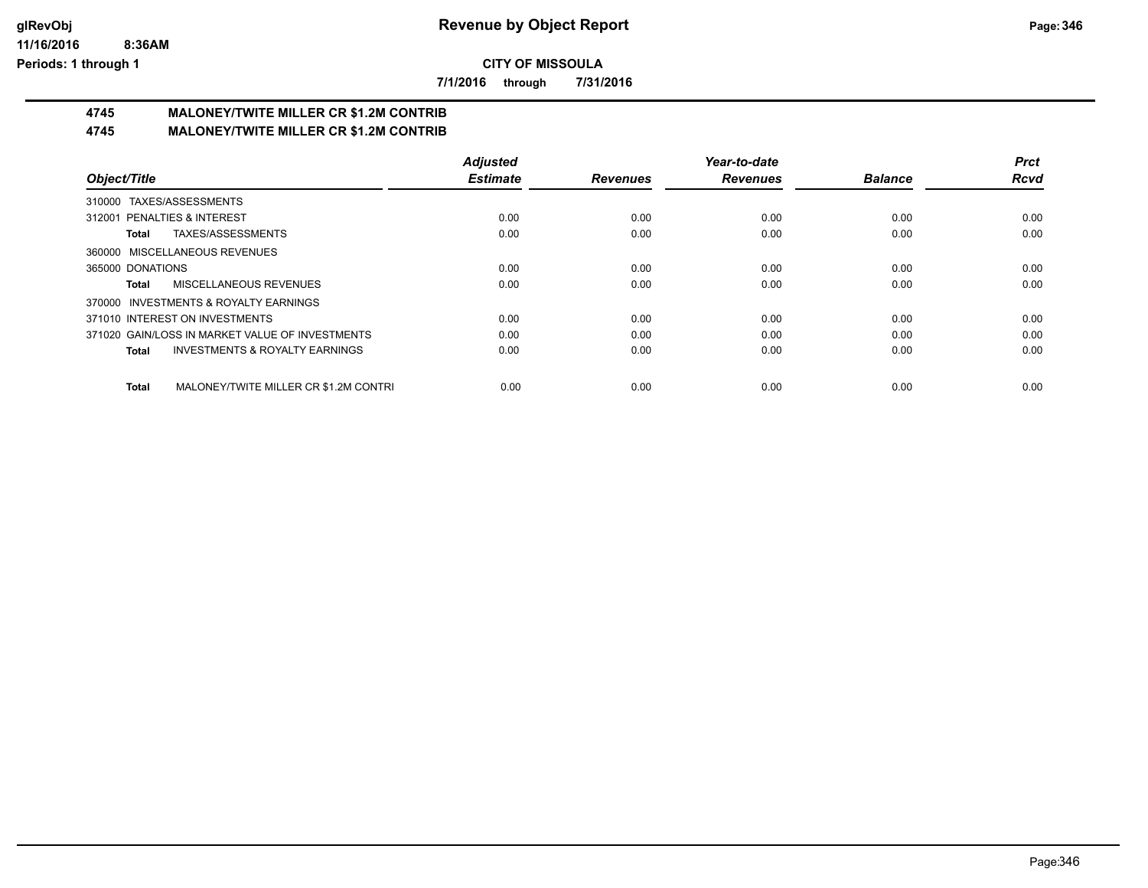**11/16/2016**

 **8:36AM Periods: 1 through 1**

**CITY OF MISSOULA**

**7/1/2016 through 7/31/2016**

# **4745 MALONEY/TWITE MILLER CR \$1.2M CONTRIB**

## **4745 MALONEY/TWITE MILLER CR \$1.2M CONTRIB**

|                                                    | <b>Adjusted</b> |                 | Year-to-date    |                | <b>Prct</b> |
|----------------------------------------------------|-----------------|-----------------|-----------------|----------------|-------------|
| Object/Title                                       | <b>Estimate</b> | <b>Revenues</b> | <b>Revenues</b> | <b>Balance</b> | <b>Rcvd</b> |
| 310000 TAXES/ASSESSMENTS                           |                 |                 |                 |                |             |
| 312001 PENALTIES & INTEREST                        | 0.00            | 0.00            | 0.00            | 0.00           | 0.00        |
| TAXES/ASSESSMENTS<br>Total                         | 0.00            | 0.00            | 0.00            | 0.00           | 0.00        |
| 360000 MISCELLANEOUS REVENUES                      |                 |                 |                 |                |             |
| 365000 DONATIONS                                   | 0.00            | 0.00            | 0.00            | 0.00           | 0.00        |
| MISCELLANEOUS REVENUES<br>Total                    | 0.00            | 0.00            | 0.00            | 0.00           | 0.00        |
| 370000 INVESTMENTS & ROYALTY EARNINGS              |                 |                 |                 |                |             |
| 371010 INTEREST ON INVESTMENTS                     | 0.00            | 0.00            | 0.00            | 0.00           | 0.00        |
| 371020 GAIN/LOSS IN MARKET VALUE OF INVESTMENTS    | 0.00            | 0.00            | 0.00            | 0.00           | 0.00        |
| <b>INVESTMENTS &amp; ROYALTY EARNINGS</b><br>Total | 0.00            | 0.00            | 0.00            | 0.00           | 0.00        |
| MALONEY/TWITE MILLER CR \$1.2M CONTRI<br>Total     | 0.00            | 0.00            | 0.00            | 0.00           | 0.00        |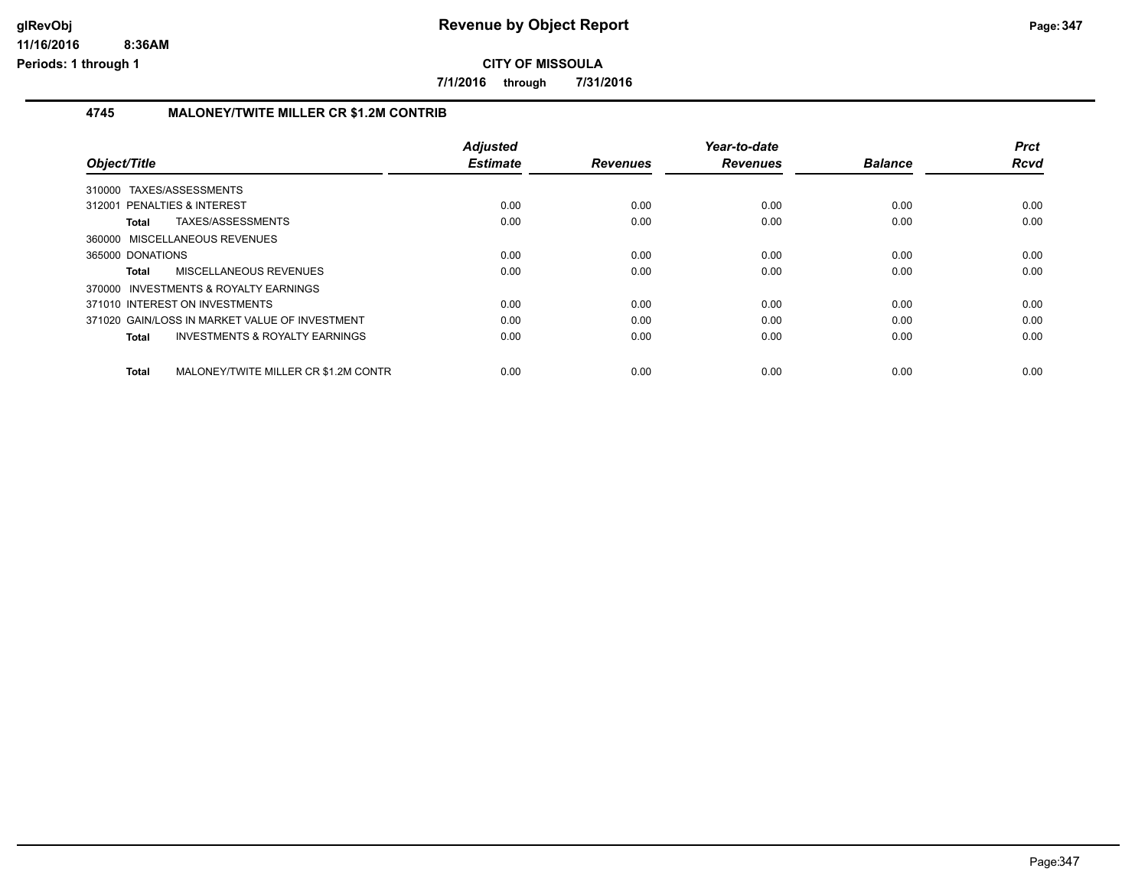**8:36AM**

**CITY OF MISSOULA**

**7/1/2016 through 7/31/2016**

#### **4745 MALONEY/TWITE MILLER CR \$1.2M CONTRIB**

|                                                    | <b>Adjusted</b> |                 | Year-to-date    |                | <b>Prct</b> |
|----------------------------------------------------|-----------------|-----------------|-----------------|----------------|-------------|
| Object/Title                                       | <b>Estimate</b> | <b>Revenues</b> | <b>Revenues</b> | <b>Balance</b> | <b>Rcvd</b> |
| 310000 TAXES/ASSESSMENTS                           |                 |                 |                 |                |             |
| 312001 PENALTIES & INTEREST                        | 0.00            | 0.00            | 0.00            | 0.00           | 0.00        |
| TAXES/ASSESSMENTS<br>Total                         | 0.00            | 0.00            | 0.00            | 0.00           | 0.00        |
| 360000 MISCELLANEOUS REVENUES                      |                 |                 |                 |                |             |
| 365000 DONATIONS                                   | 0.00            | 0.00            | 0.00            | 0.00           | 0.00        |
| MISCELLANEOUS REVENUES<br>Total                    | 0.00            | 0.00            | 0.00            | 0.00           | 0.00        |
| 370000 INVESTMENTS & ROYALTY EARNINGS              |                 |                 |                 |                |             |
| 371010 INTEREST ON INVESTMENTS                     | 0.00            | 0.00            | 0.00            | 0.00           | 0.00        |
| 371020 GAIN/LOSS IN MARKET VALUE OF INVESTMENT     | 0.00            | 0.00            | 0.00            | 0.00           | 0.00        |
| <b>INVESTMENTS &amp; ROYALTY EARNINGS</b><br>Total | 0.00            | 0.00            | 0.00            | 0.00           | 0.00        |
|                                                    |                 |                 |                 |                |             |
| MALONEY/TWITE MILLER CR \$1.2M CONTR<br>Total      | 0.00            | 0.00            | 0.00            | 0.00           | 0.00        |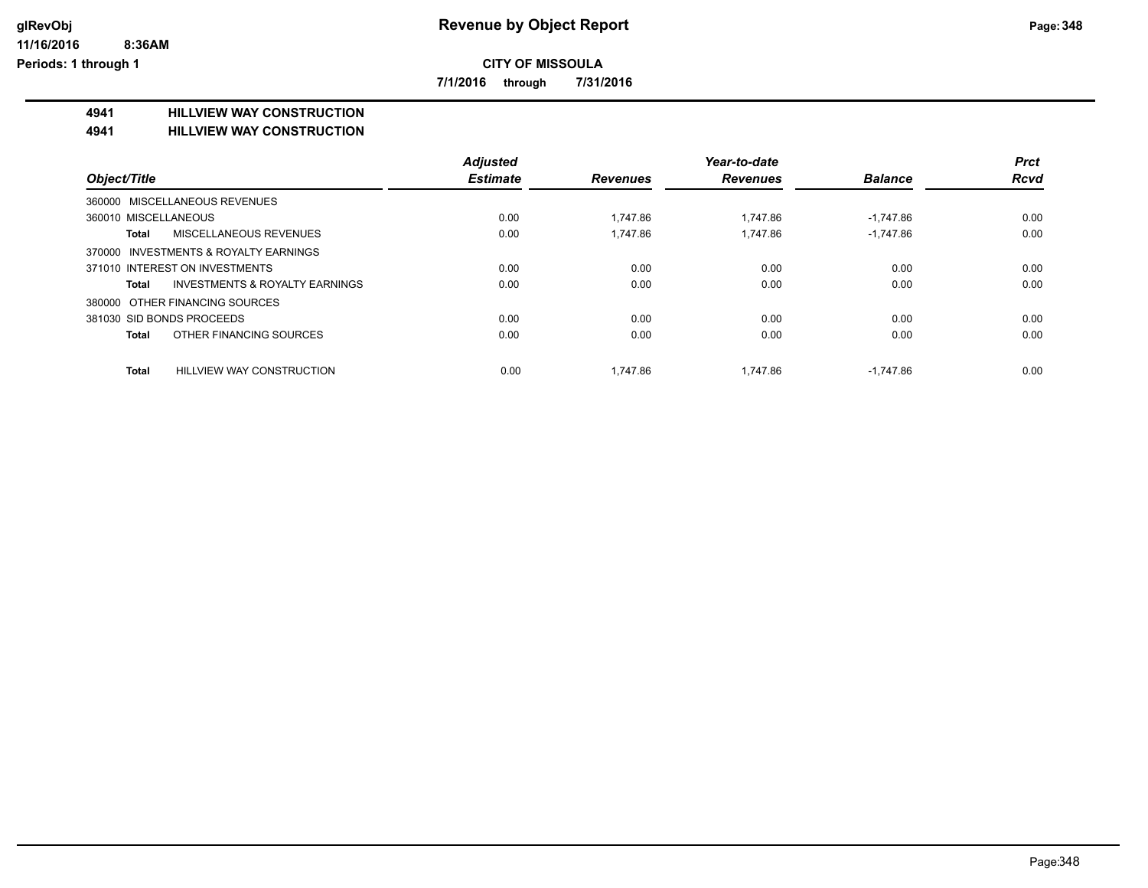**glRevObj Revenue by Object Report Page:348** 

**11/16/2016 8:36AM Periods: 1 through 1**

#### **CITY OF MISSOULA**

**7/1/2016 through 7/31/2016**

#### **4941 HILLVIEW WAY CONSTRUCTION**

#### **4941 HILLVIEW WAY CONSTRUCTION**

|                                                    | <b>Adjusted</b> |                 | Year-to-date    |                | <b>Prct</b> |
|----------------------------------------------------|-----------------|-----------------|-----------------|----------------|-------------|
| Object/Title                                       | <b>Estimate</b> | <b>Revenues</b> | <b>Revenues</b> | <b>Balance</b> | <b>Rcvd</b> |
| 360000 MISCELLANEOUS REVENUES                      |                 |                 |                 |                |             |
| 360010 MISCELLANEOUS                               | 0.00            | 1.747.86        | 1.747.86        | $-1.747.86$    | 0.00        |
| MISCELLANEOUS REVENUES<br>Total                    | 0.00            | 1,747.86        | 1.747.86        | $-1.747.86$    | 0.00        |
| 370000 INVESTMENTS & ROYALTY EARNINGS              |                 |                 |                 |                |             |
| 371010 INTEREST ON INVESTMENTS                     | 0.00            | 0.00            | 0.00            | 0.00           | 0.00        |
| <b>INVESTMENTS &amp; ROYALTY EARNINGS</b><br>Total | 0.00            | 0.00            | 0.00            | 0.00           | 0.00        |
| 380000 OTHER FINANCING SOURCES                     |                 |                 |                 |                |             |
| 381030 SID BONDS PROCEEDS                          | 0.00            | 0.00            | 0.00            | 0.00           | 0.00        |
| OTHER FINANCING SOURCES<br>Total                   | 0.00            | 0.00            | 0.00            | 0.00           | 0.00        |
| <b>HILLVIEW WAY CONSTRUCTION</b><br>Total          | 0.00            | 1.747.86        | 1.747.86        | $-1.747.86$    | 0.00        |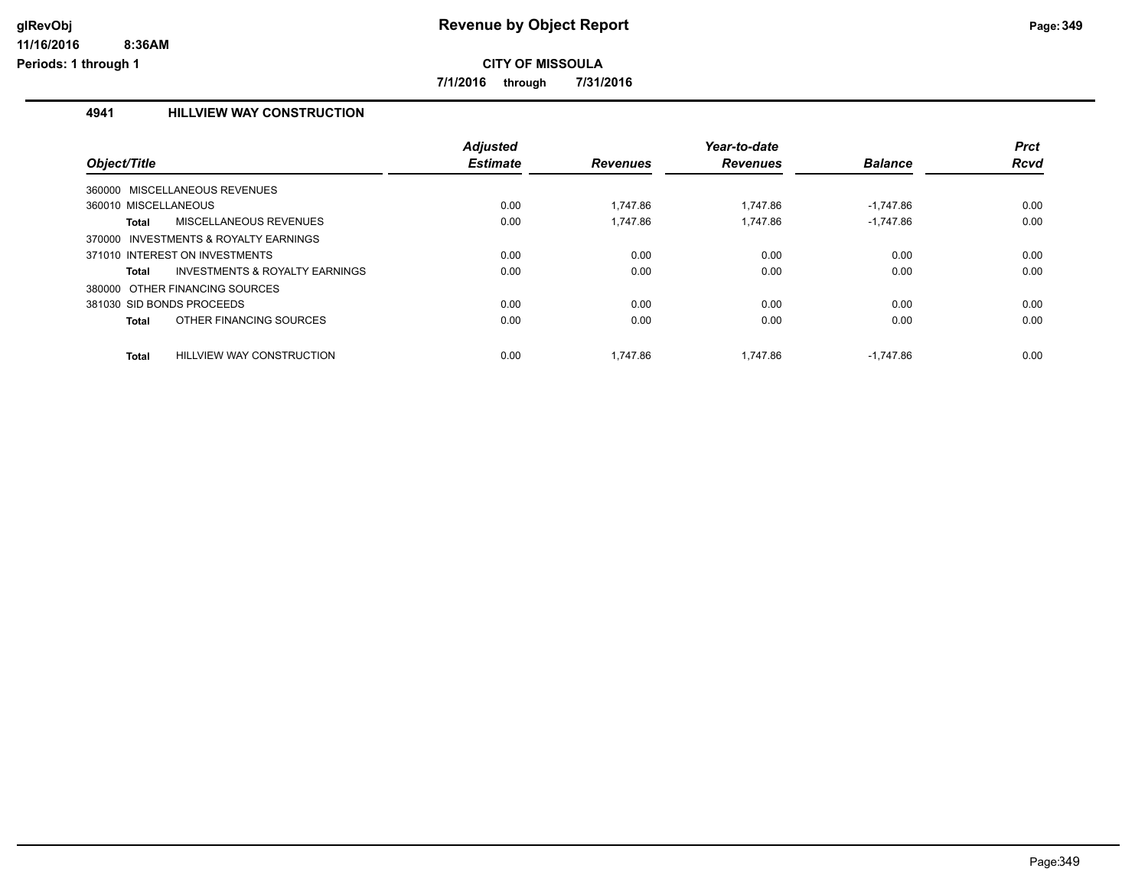**CITY OF MISSOULA**

**7/1/2016 through 7/31/2016**

#### **4941 HILLVIEW WAY CONSTRUCTION**

| Object/Title                                       | <b>Adjusted</b><br><b>Estimate</b> | <b>Revenues</b> | Year-to-date<br><b>Revenues</b> | <b>Balance</b> | <b>Prct</b><br><b>Rcvd</b> |
|----------------------------------------------------|------------------------------------|-----------------|---------------------------------|----------------|----------------------------|
| 360000 MISCELLANEOUS REVENUES                      |                                    |                 |                                 |                |                            |
| 360010 MISCELLANEOUS                               | 0.00                               | 1.747.86        | 1.747.86                        | $-1.747.86$    | 0.00                       |
| <b>MISCELLANEOUS REVENUES</b><br>Total             | 0.00                               | 1.747.86        | 1.747.86                        | $-1.747.86$    | 0.00                       |
| 370000 INVESTMENTS & ROYALTY EARNINGS              |                                    |                 |                                 |                |                            |
| 371010 INTEREST ON INVESTMENTS                     | 0.00                               | 0.00            | 0.00                            | 0.00           | 0.00                       |
| <b>INVESTMENTS &amp; ROYALTY EARNINGS</b><br>Total | 0.00                               | 0.00            | 0.00                            | 0.00           | 0.00                       |
| 380000 OTHER FINANCING SOURCES                     |                                    |                 |                                 |                |                            |
| 381030 SID BONDS PROCEEDS                          | 0.00                               | 0.00            | 0.00                            | 0.00           | 0.00                       |
| OTHER FINANCING SOURCES<br><b>Total</b>            | 0.00                               | 0.00            | 0.00                            | 0.00           | 0.00                       |
| HILLVIEW WAY CONSTRUCTION<br><b>Total</b>          | 0.00                               | 1.747.86        | 1.747.86                        | $-1.747.86$    | 0.00                       |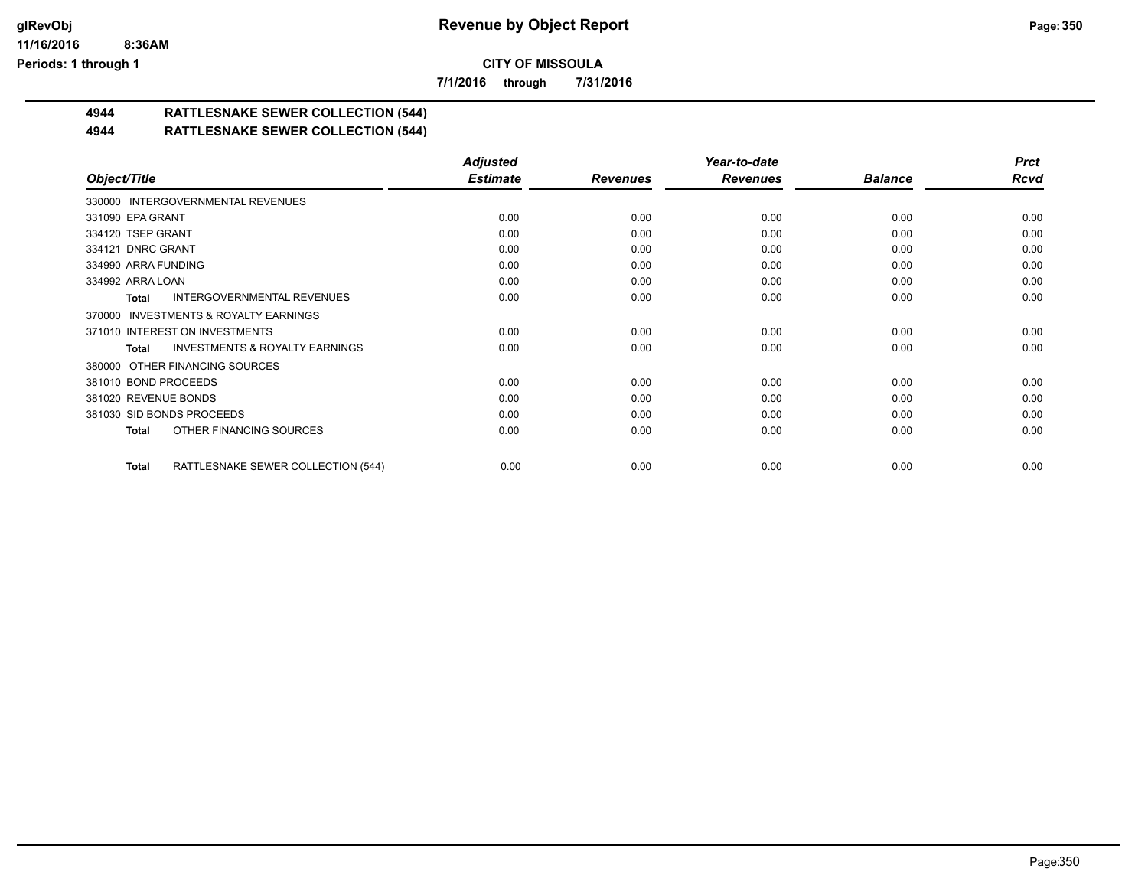**CITY OF MISSOULA**

**7/1/2016 through 7/31/2016**

## **4944 RATTLESNAKE SEWER COLLECTION (544)**

## **4944 RATTLESNAKE SEWER COLLECTION (544)**

|                                                     | <b>Adjusted</b> |                 | Year-to-date    |                | <b>Prct</b> |
|-----------------------------------------------------|-----------------|-----------------|-----------------|----------------|-------------|
| Object/Title                                        | <b>Estimate</b> | <b>Revenues</b> | <b>Revenues</b> | <b>Balance</b> | <b>Rcvd</b> |
| 330000 INTERGOVERNMENTAL REVENUES                   |                 |                 |                 |                |             |
| 331090 EPA GRANT                                    | 0.00            | 0.00            | 0.00            | 0.00           | 0.00        |
| 334120 TSEP GRANT                                   | 0.00            | 0.00            | 0.00            | 0.00           | 0.00        |
| 334121 DNRC GRANT                                   | 0.00            | 0.00            | 0.00            | 0.00           | 0.00        |
| 334990 ARRA FUNDING                                 | 0.00            | 0.00            | 0.00            | 0.00           | 0.00        |
| 334992 ARRA LOAN                                    | 0.00            | 0.00            | 0.00            | 0.00           | 0.00        |
| <b>INTERGOVERNMENTAL REVENUES</b><br>Total          | 0.00            | 0.00            | 0.00            | 0.00           | 0.00        |
| <b>INVESTMENTS &amp; ROYALTY EARNINGS</b><br>370000 |                 |                 |                 |                |             |
| 371010 INTEREST ON INVESTMENTS                      | 0.00            | 0.00            | 0.00            | 0.00           | 0.00        |
| <b>INVESTMENTS &amp; ROYALTY EARNINGS</b><br>Total  | 0.00            | 0.00            | 0.00            | 0.00           | 0.00        |
| 380000 OTHER FINANCING SOURCES                      |                 |                 |                 |                |             |
| 381010 BOND PROCEEDS                                | 0.00            | 0.00            | 0.00            | 0.00           | 0.00        |
| 381020 REVENUE BONDS                                | 0.00            | 0.00            | 0.00            | 0.00           | 0.00        |
| 381030 SID BONDS PROCEEDS                           | 0.00            | 0.00            | 0.00            | 0.00           | 0.00        |
| OTHER FINANCING SOURCES<br><b>Total</b>             | 0.00            | 0.00            | 0.00            | 0.00           | 0.00        |
| RATTLESNAKE SEWER COLLECTION (544)<br>Total         | 0.00            | 0.00            | 0.00            | 0.00           | 0.00        |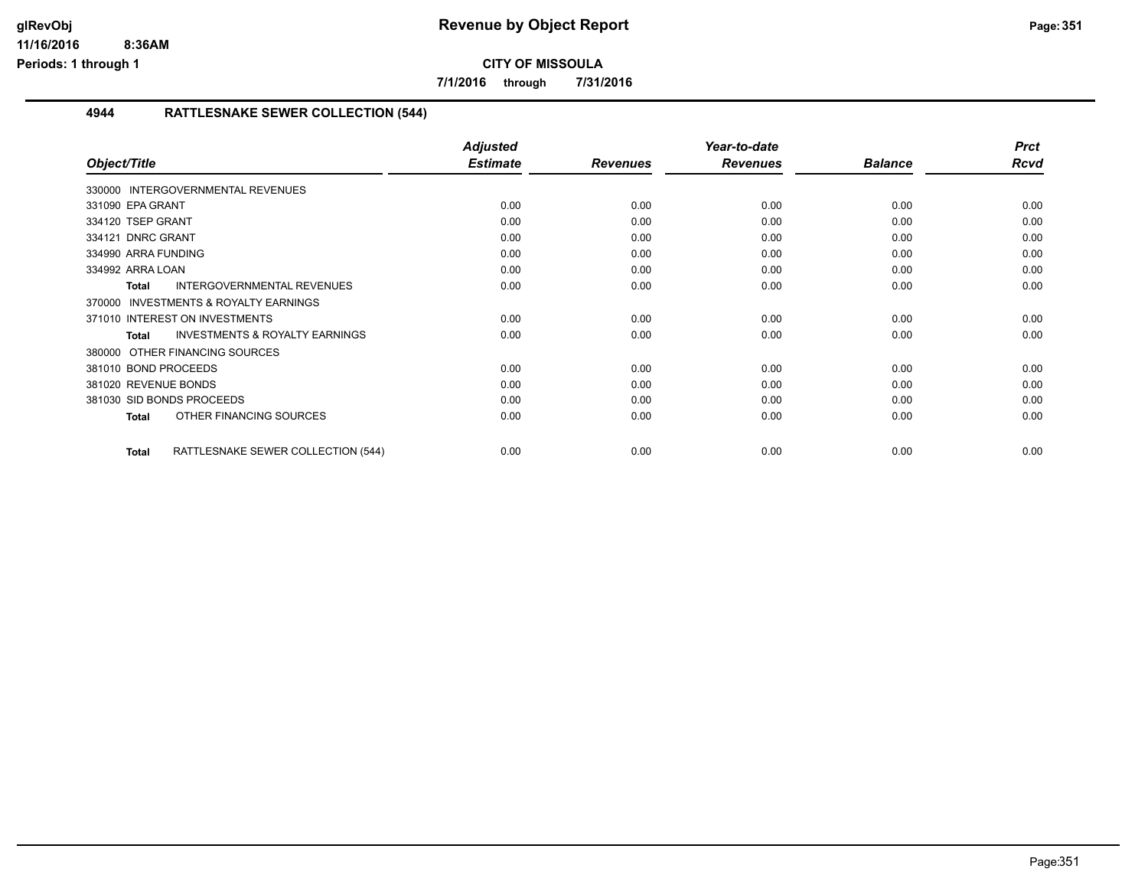**8:36AM**

**CITY OF MISSOULA**

**7/1/2016 through 7/31/2016**

#### **4944 RATTLESNAKE SEWER COLLECTION (544)**

|                                                     | <b>Adjusted</b> |                 | Year-to-date    |                | <b>Prct</b> |
|-----------------------------------------------------|-----------------|-----------------|-----------------|----------------|-------------|
| Object/Title                                        | <b>Estimate</b> | <b>Revenues</b> | <b>Revenues</b> | <b>Balance</b> | Rcvd        |
| 330000 INTERGOVERNMENTAL REVENUES                   |                 |                 |                 |                |             |
| 331090 EPA GRANT                                    | 0.00            | 0.00            | 0.00            | 0.00           | 0.00        |
| 334120 TSEP GRANT                                   | 0.00            | 0.00            | 0.00            | 0.00           | 0.00        |
| 334121 DNRC GRANT                                   | 0.00            | 0.00            | 0.00            | 0.00           | 0.00        |
| 334990 ARRA FUNDING                                 | 0.00            | 0.00            | 0.00            | 0.00           | 0.00        |
| 334992 ARRA LOAN                                    | 0.00            | 0.00            | 0.00            | 0.00           | 0.00        |
| <b>INTERGOVERNMENTAL REVENUES</b><br>Total          | 0.00            | 0.00            | 0.00            | 0.00           | 0.00        |
| <b>INVESTMENTS &amp; ROYALTY EARNINGS</b><br>370000 |                 |                 |                 |                |             |
| 371010 INTEREST ON INVESTMENTS                      | 0.00            | 0.00            | 0.00            | 0.00           | 0.00        |
| <b>INVESTMENTS &amp; ROYALTY EARNINGS</b><br>Total  | 0.00            | 0.00            | 0.00            | 0.00           | 0.00        |
| 380000 OTHER FINANCING SOURCES                      |                 |                 |                 |                |             |
| 381010 BOND PROCEEDS                                | 0.00            | 0.00            | 0.00            | 0.00           | 0.00        |
| 381020 REVENUE BONDS                                | 0.00            | 0.00            | 0.00            | 0.00           | 0.00        |
| 381030 SID BONDS PROCEEDS                           | 0.00            | 0.00            | 0.00            | 0.00           | 0.00        |
| OTHER FINANCING SOURCES<br><b>Total</b>             | 0.00            | 0.00            | 0.00            | 0.00           | 0.00        |
| RATTLESNAKE SEWER COLLECTION (544)<br><b>Total</b>  | 0.00            | 0.00            | 0.00            | 0.00           | 0.00        |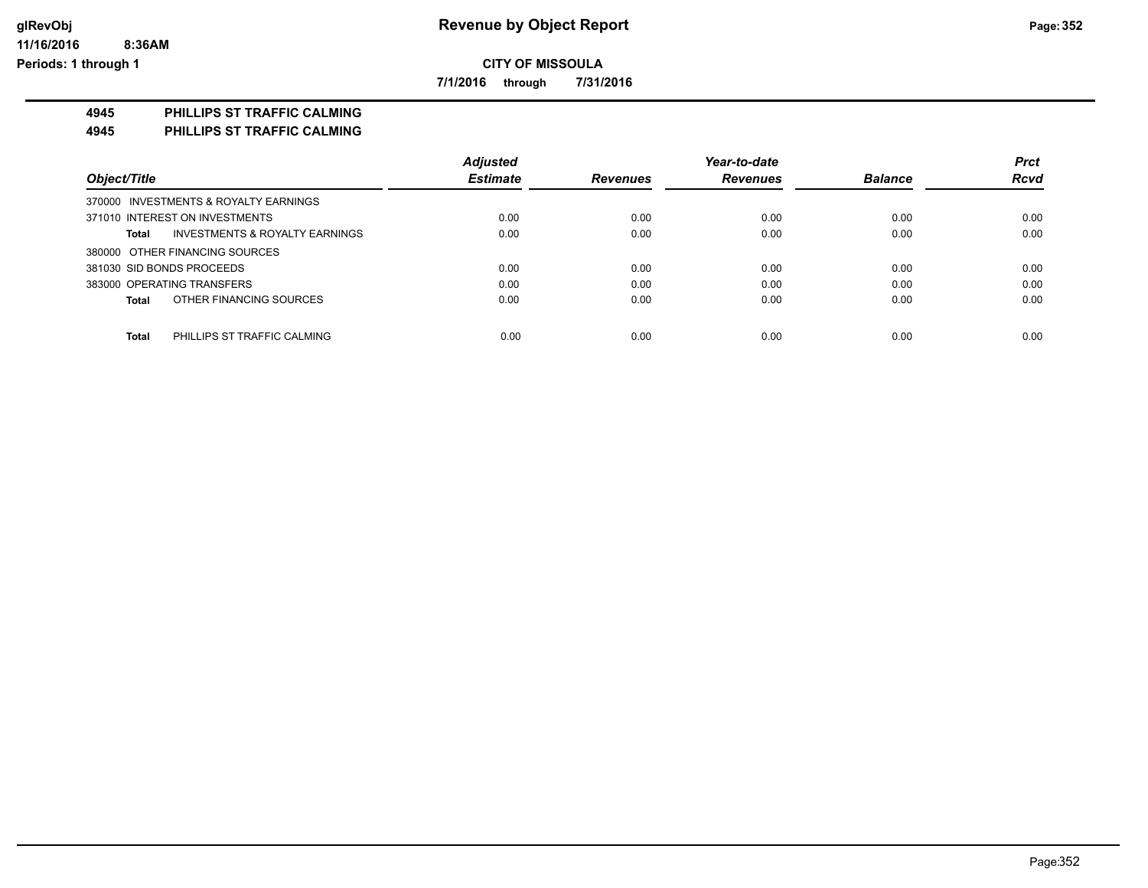**glRevObj Revenue by Object Report Page:352** 

**CITY OF MISSOULA**

**7/1/2016 through 7/31/2016**

#### **4945 PHILLIPS ST TRAFFIC CALMING**

 **8:36AM**

**4945 PHILLIPS ST TRAFFIC CALMING**

|                                                    | <b>Adjusted</b> |                 | Year-to-date    |                | <b>Prct</b> |
|----------------------------------------------------|-----------------|-----------------|-----------------|----------------|-------------|
| Object/Title                                       | <b>Estimate</b> | <b>Revenues</b> | <b>Revenues</b> | <b>Balance</b> | <b>Rcvd</b> |
| 370000 INVESTMENTS & ROYALTY EARNINGS              |                 |                 |                 |                |             |
| 371010 INTEREST ON INVESTMENTS                     | 0.00            | 0.00            | 0.00            | 0.00           | 0.00        |
| <b>INVESTMENTS &amp; ROYALTY EARNINGS</b><br>Total | 0.00            | 0.00            | 0.00            | 0.00           | 0.00        |
| 380000 OTHER FINANCING SOURCES                     |                 |                 |                 |                |             |
| 381030 SID BONDS PROCEEDS                          | 0.00            | 0.00            | 0.00            | 0.00           | 0.00        |
| 383000 OPERATING TRANSFERS                         | 0.00            | 0.00            | 0.00            | 0.00           | 0.00        |
| OTHER FINANCING SOURCES<br>Total                   | 0.00            | 0.00            | 0.00            | 0.00           | 0.00        |
|                                                    |                 |                 |                 |                |             |
| <b>Total</b><br>PHILLIPS ST TRAFFIC CALMING        | 0.00            | 0.00            | 0.00            | 0.00           | 0.00        |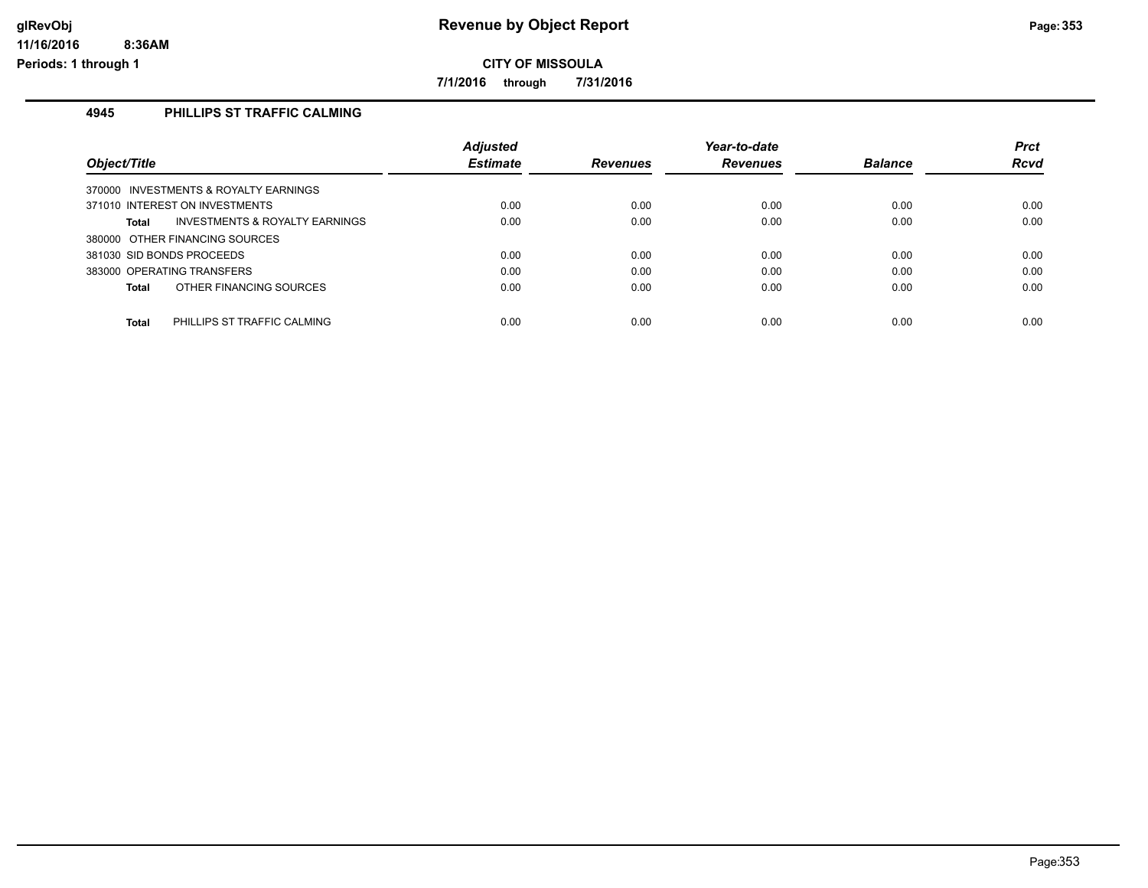**glRevObj Revenue by Object Report Page:353** 

**11/16/2016 8:36AM**

**Periods: 1 through 1**

**CITY OF MISSOULA**

**7/1/2016 through 7/31/2016**

#### **4945 PHILLIPS ST TRAFFIC CALMING**

|                                         | <b>Adjusted</b> |                 | Year-to-date    |                | <b>Prct</b> |
|-----------------------------------------|-----------------|-----------------|-----------------|----------------|-------------|
| Object/Title                            | <b>Estimate</b> | <b>Revenues</b> | <b>Revenues</b> | <b>Balance</b> | <b>Rcvd</b> |
| 370000 INVESTMENTS & ROYALTY EARNINGS   |                 |                 |                 |                |             |
| 371010 INTEREST ON INVESTMENTS          | 0.00            | 0.00            | 0.00            | 0.00           | 0.00        |
| INVESTMENTS & ROYALTY EARNINGS<br>Total | 0.00            | 0.00            | 0.00            | 0.00           | 0.00        |
| 380000 OTHER FINANCING SOURCES          |                 |                 |                 |                |             |
| 381030 SID BONDS PROCEEDS               | 0.00            | 0.00            | 0.00            | 0.00           | 0.00        |
| 383000 OPERATING TRANSFERS              | 0.00            | 0.00            | 0.00            | 0.00           | 0.00        |
| OTHER FINANCING SOURCES<br>Total        | 0.00            | 0.00            | 0.00            | 0.00           | 0.00        |
|                                         |                 |                 |                 |                |             |
| Total<br>PHILLIPS ST TRAFFIC CALMING    | 0.00            | 0.00            | 0.00            | 0.00           | 0.00        |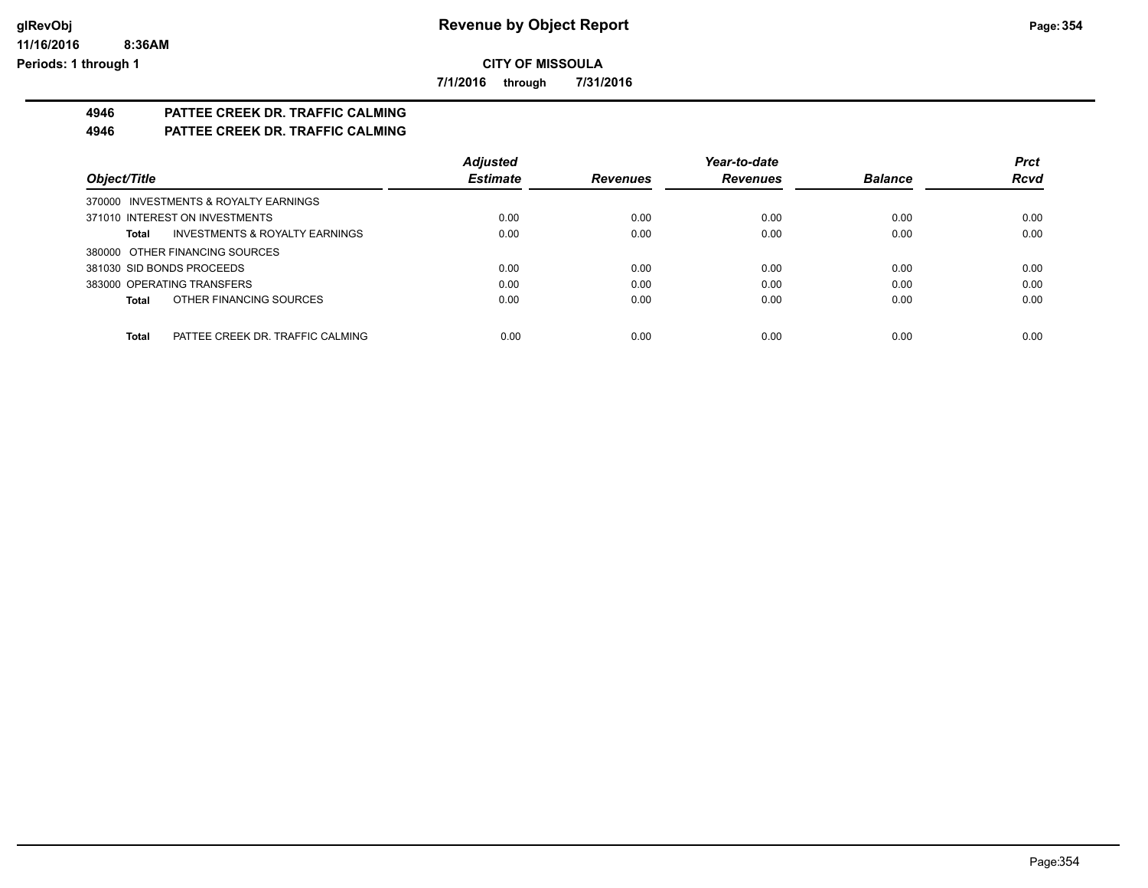**CITY OF MISSOULA**

**7/1/2016 through 7/31/2016**

# **4946 PATTEE CREEK DR. TRAFFIC CALMING**

## **4946 PATTEE CREEK DR. TRAFFIC CALMING**

|                                           | <b>Adjusted</b> |                 | Year-to-date    |                | <b>Prct</b> |
|-------------------------------------------|-----------------|-----------------|-----------------|----------------|-------------|
| Object/Title                              | <b>Estimate</b> | <b>Revenues</b> | <b>Revenues</b> | <b>Balance</b> | <b>Rcvd</b> |
| 370000 INVESTMENTS & ROYALTY EARNINGS     |                 |                 |                 |                |             |
| 371010 INTEREST ON INVESTMENTS            | 0.00            | 0.00            | 0.00            | 0.00           | 0.00        |
| INVESTMENTS & ROYALTY EARNINGS<br>Total   | 0.00            | 0.00            | 0.00            | 0.00           | 0.00        |
| 380000 OTHER FINANCING SOURCES            |                 |                 |                 |                |             |
| 381030 SID BONDS PROCEEDS                 | 0.00            | 0.00            | 0.00            | 0.00           | 0.00        |
| 383000 OPERATING TRANSFERS                | 0.00            | 0.00            | 0.00            | 0.00           | 0.00        |
| OTHER FINANCING SOURCES<br>Total          | 0.00            | 0.00            | 0.00            | 0.00           | 0.00        |
|                                           |                 |                 |                 |                |             |
| Total<br>PATTEE CREEK DR. TRAFFIC CALMING | 0.00            | 0.00            | 0.00            | 0.00           | 0.00        |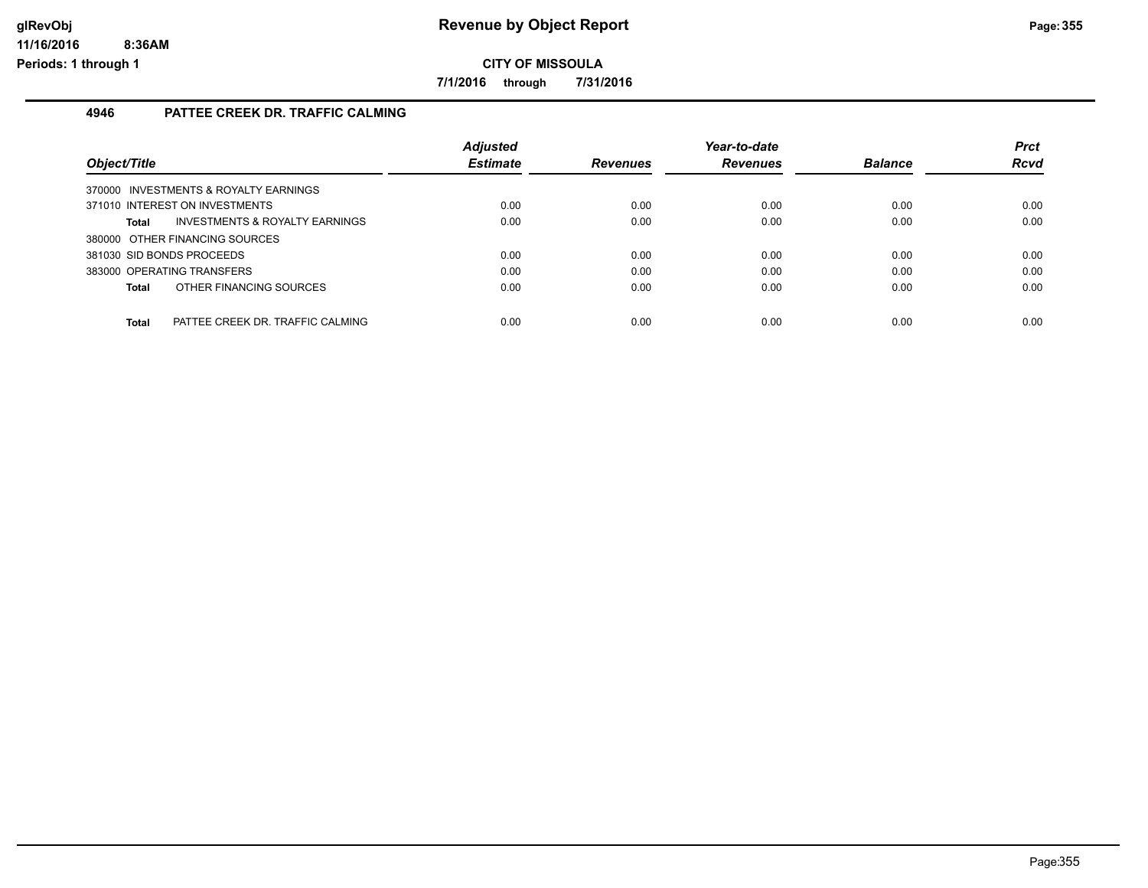**8:36AM**

**CITY OF MISSOULA**

**7/1/2016 through 7/31/2016**

#### **4946 PATTEE CREEK DR. TRAFFIC CALMING**

|                                                  | <b>Adjusted</b> |                 | Year-to-date    |                | <b>Prct</b> |
|--------------------------------------------------|-----------------|-----------------|-----------------|----------------|-------------|
| Object/Title                                     | <b>Estimate</b> | <b>Revenues</b> | <b>Revenues</b> | <b>Balance</b> | <b>Rcvd</b> |
| 370000 INVESTMENTS & ROYALTY EARNINGS            |                 |                 |                 |                |             |
| 371010 INTEREST ON INVESTMENTS                   | 0.00            | 0.00            | 0.00            | 0.00           | 0.00        |
| INVESTMENTS & ROYALTY EARNINGS<br>Total          | 0.00            | 0.00            | 0.00            | 0.00           | 0.00        |
| 380000 OTHER FINANCING SOURCES                   |                 |                 |                 |                |             |
| 381030 SID BONDS PROCEEDS                        | 0.00            | 0.00            | 0.00            | 0.00           | 0.00        |
| 383000 OPERATING TRANSFERS                       | 0.00            | 0.00            | 0.00            | 0.00           | 0.00        |
| OTHER FINANCING SOURCES<br><b>Total</b>          | 0.00            | 0.00            | 0.00            | 0.00           | 0.00        |
|                                                  |                 |                 |                 |                |             |
| <b>Total</b><br>PATTEE CREEK DR. TRAFFIC CALMING | 0.00            | 0.00            | 0.00            | 0.00           | 0.00        |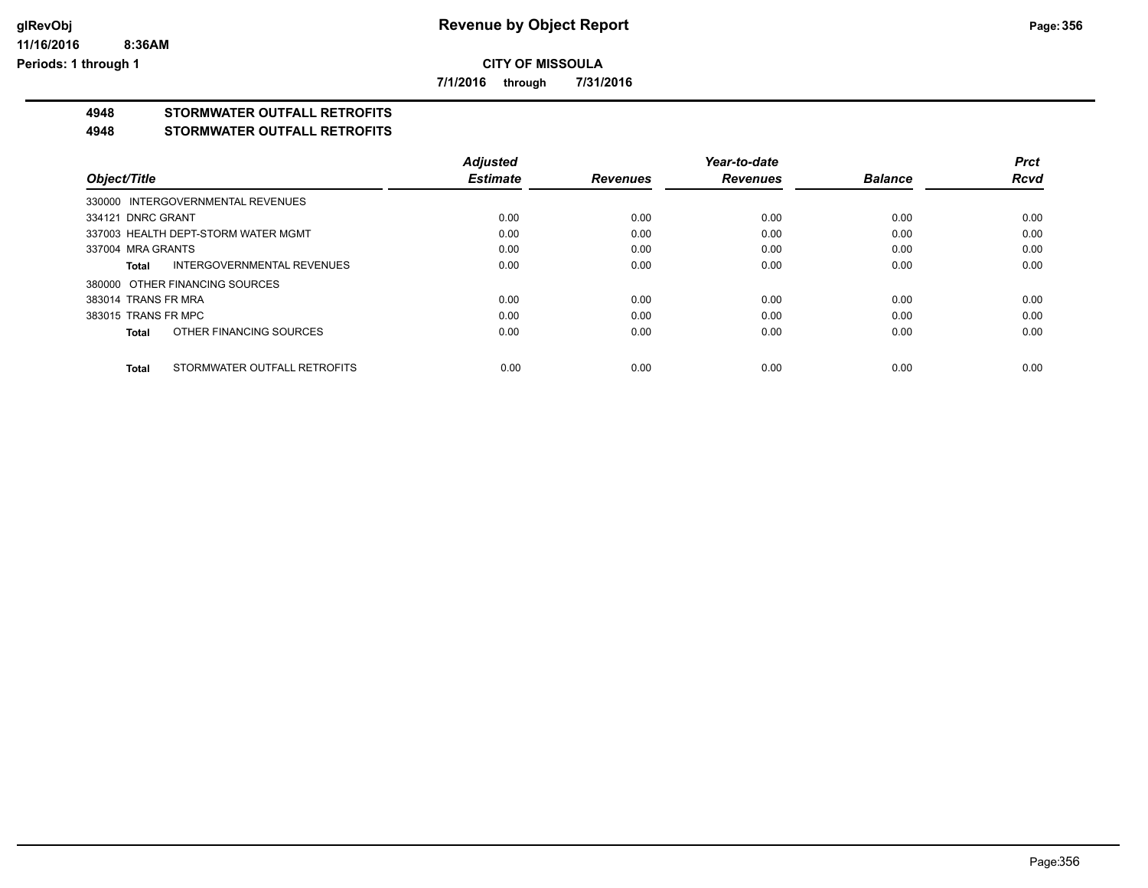**CITY OF MISSOULA**

**7/1/2016 through 7/31/2016**

## **4948 STORMWATER OUTFALL RETROFITS**

 **8:36AM**

#### **4948 STORMWATER OUTFALL RETROFITS**

|                     |                                     | <b>Adjusted</b> |                 | Year-to-date    |                | <b>Prct</b> |
|---------------------|-------------------------------------|-----------------|-----------------|-----------------|----------------|-------------|
| Object/Title        |                                     | <b>Estimate</b> | <b>Revenues</b> | <b>Revenues</b> | <b>Balance</b> | <b>Rcvd</b> |
|                     | 330000 INTERGOVERNMENTAL REVENUES   |                 |                 |                 |                |             |
| 334121 DNRC GRANT   |                                     | 0.00            | 0.00            | 0.00            | 0.00           | 0.00        |
|                     | 337003 HEALTH DEPT-STORM WATER MGMT | 0.00            | 0.00            | 0.00            | 0.00           | 0.00        |
| 337004 MRA GRANTS   |                                     | 0.00            | 0.00            | 0.00            | 0.00           | 0.00        |
| Total               | <b>INTERGOVERNMENTAL REVENUES</b>   | 0.00            | 0.00            | 0.00            | 0.00           | 0.00        |
|                     | 380000 OTHER FINANCING SOURCES      |                 |                 |                 |                |             |
| 383014 TRANS FR MRA |                                     | 0.00            | 0.00            | 0.00            | 0.00           | 0.00        |
| 383015 TRANS FR MPC |                                     | 0.00            | 0.00            | 0.00            | 0.00           | 0.00        |
| Total               | OTHER FINANCING SOURCES             | 0.00            | 0.00            | 0.00            | 0.00           | 0.00        |
| <b>Total</b>        | STORMWATER OUTFALL RETROFITS        | 0.00            | 0.00            | 0.00            | 0.00           | 0.00        |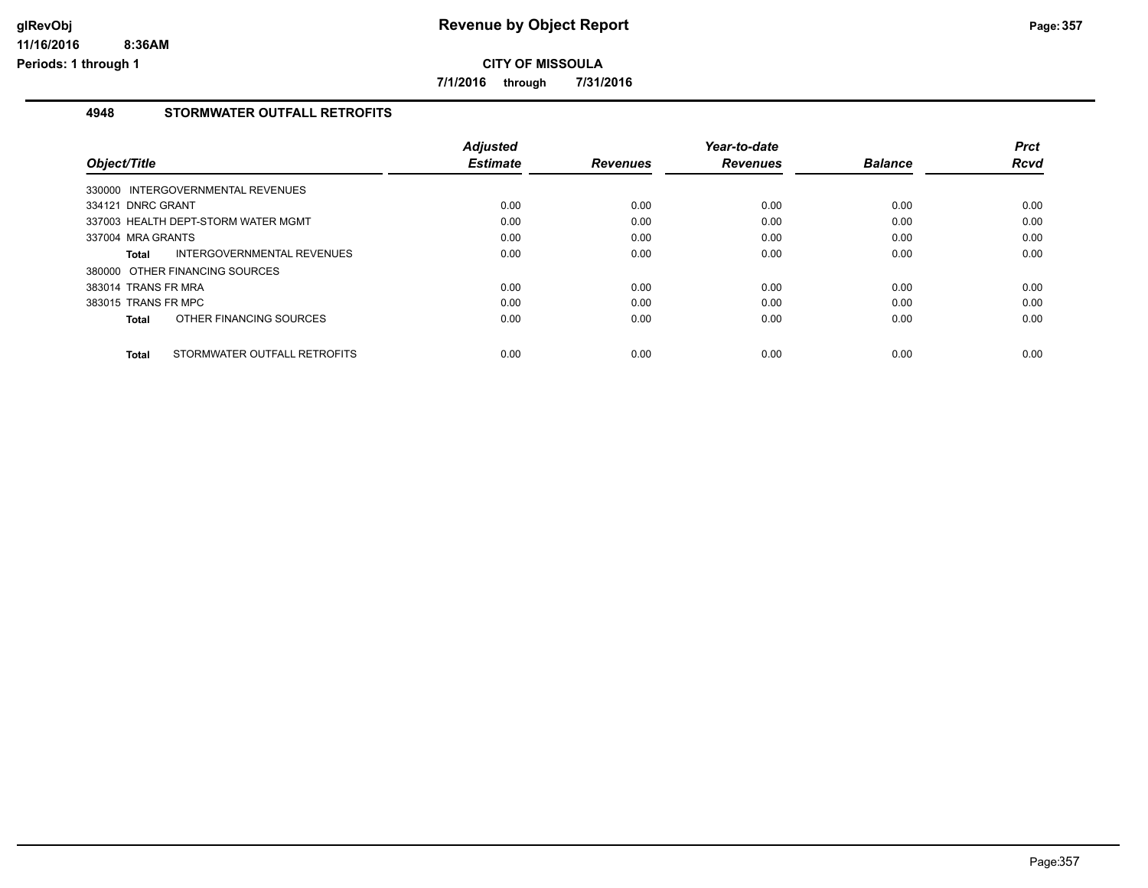**8:36AM**

**CITY OF MISSOULA**

**7/1/2016 through 7/31/2016**

#### **4948 STORMWATER OUTFALL RETROFITS**

| Object/Title                                 | <b>Adjusted</b><br><b>Estimate</b> | <b>Revenues</b> | Year-to-date<br><b>Revenues</b> | <b>Balance</b> | <b>Prct</b><br><b>Rcvd</b> |
|----------------------------------------------|------------------------------------|-----------------|---------------------------------|----------------|----------------------------|
| 330000 INTERGOVERNMENTAL REVENUES            |                                    |                 |                                 |                |                            |
| 334121 DNRC GRANT                            | 0.00                               | 0.00            | 0.00                            | 0.00           | 0.00                       |
| 337003 HEALTH DEPT-STORM WATER MGMT          | 0.00                               | 0.00            | 0.00                            | 0.00           | 0.00                       |
| 337004 MRA GRANTS                            | 0.00                               | 0.00            | 0.00                            | 0.00           | 0.00                       |
| INTERGOVERNMENTAL REVENUES<br>Total          | 0.00                               | 0.00            | 0.00                            | 0.00           | 0.00                       |
| 380000 OTHER FINANCING SOURCES               |                                    |                 |                                 |                |                            |
| 383014 TRANS FR MRA                          | 0.00                               | 0.00            | 0.00                            | 0.00           | 0.00                       |
| 383015 TRANS FR MPC                          | 0.00                               | 0.00            | 0.00                            | 0.00           | 0.00                       |
| OTHER FINANCING SOURCES<br><b>Total</b>      | 0.00                               | 0.00            | 0.00                            | 0.00           | 0.00                       |
| STORMWATER OUTFALL RETROFITS<br><b>Total</b> | 0.00                               | 0.00            | 0.00                            | 0.00           | 0.00                       |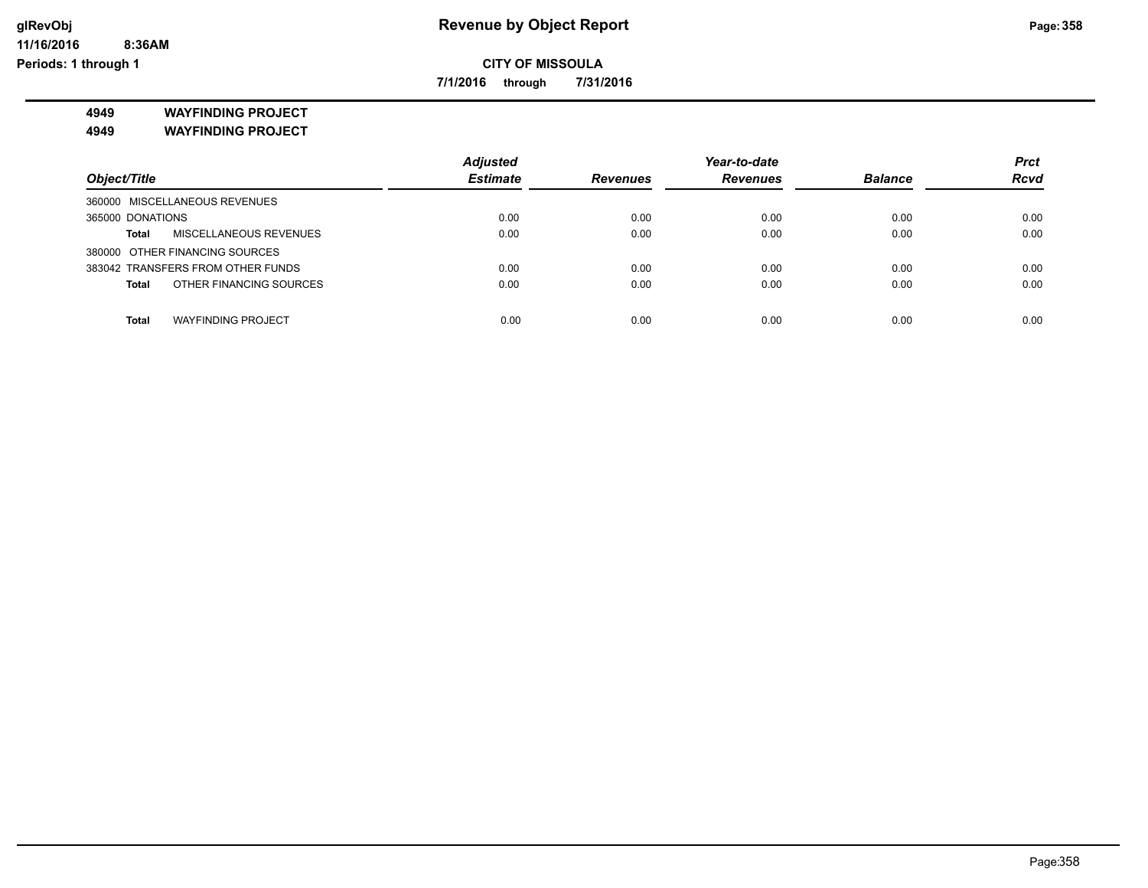**CITY OF MISSOULA**

**7/1/2016 through 7/31/2016**

**4949 WAYFINDING PROJECT**

**4949 WAYFINDING PROJECT**

|                                           | <b>Adjusted</b> |                 | Year-to-date    |                | <b>Prct</b> |
|-------------------------------------------|-----------------|-----------------|-----------------|----------------|-------------|
| Object/Title                              | <b>Estimate</b> | <b>Revenues</b> | <b>Revenues</b> | <b>Balance</b> | <b>Rcvd</b> |
| 360000 MISCELLANEOUS REVENUES             |                 |                 |                 |                |             |
| 365000 DONATIONS                          | 0.00            | 0.00            | 0.00            | 0.00           | 0.00        |
| MISCELLANEOUS REVENUES<br>Total           | 0.00            | 0.00            | 0.00            | 0.00           | 0.00        |
| 380000 OTHER FINANCING SOURCES            |                 |                 |                 |                |             |
| 383042 TRANSFERS FROM OTHER FUNDS         | 0.00            | 0.00            | 0.00            | 0.00           | 0.00        |
| OTHER FINANCING SOURCES<br>Total          | 0.00            | 0.00            | 0.00            | 0.00           | 0.00        |
|                                           |                 |                 |                 |                |             |
| <b>WAYFINDING PROJECT</b><br><b>Total</b> | 0.00            | 0.00            | 0.00            | 0.00           | 0.00        |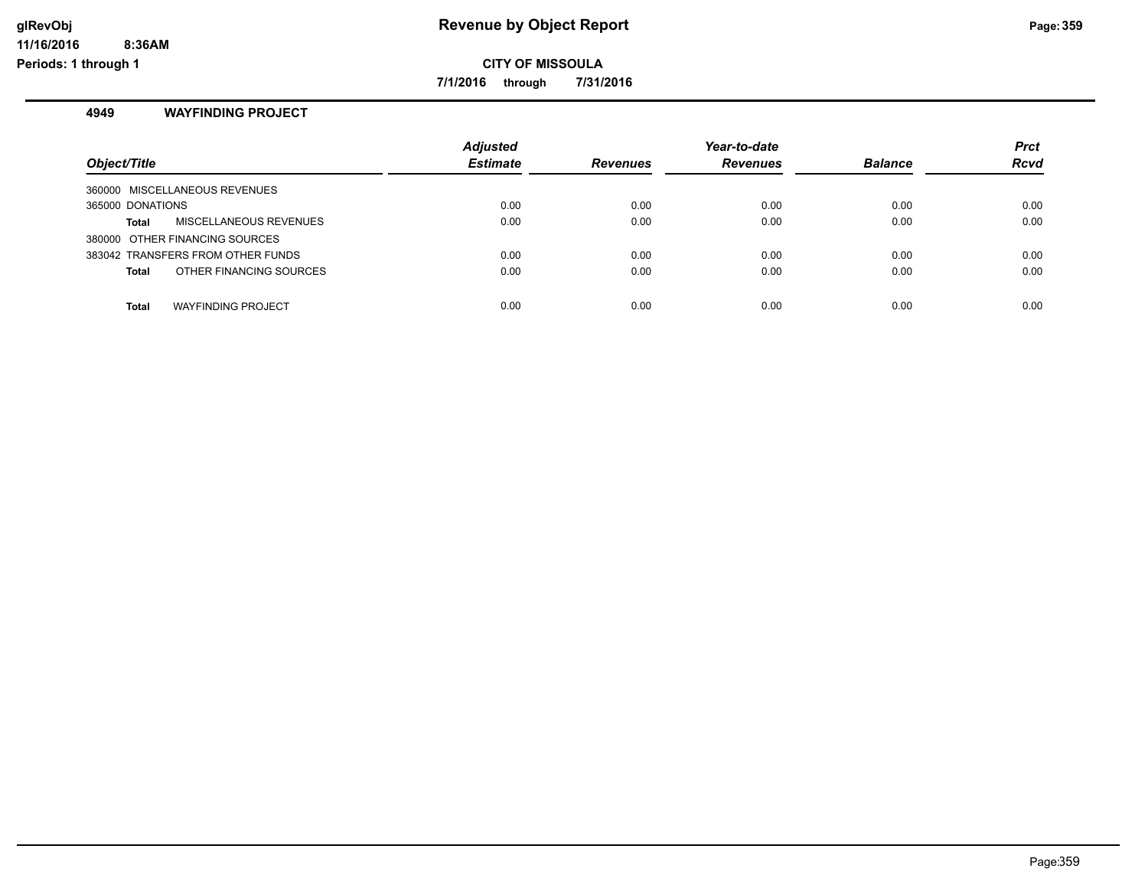**CITY OF MISSOULA**

**7/1/2016 through 7/31/2016**

#### **4949 WAYFINDING PROJECT**

| Object/Title                              | <b>Adjusted</b><br><b>Estimate</b> | <b>Revenues</b> | Year-to-date<br><b>Revenues</b> | <b>Balance</b> | <b>Prct</b><br><b>Rcvd</b> |
|-------------------------------------------|------------------------------------|-----------------|---------------------------------|----------------|----------------------------|
| 360000 MISCELLANEOUS REVENUES             |                                    |                 |                                 |                |                            |
| 365000 DONATIONS                          | 0.00                               | 0.00            | 0.00                            | 0.00           | 0.00                       |
| MISCELLANEOUS REVENUES<br>Total           | 0.00                               | 0.00            | 0.00                            | 0.00           | 0.00                       |
| 380000 OTHER FINANCING SOURCES            |                                    |                 |                                 |                |                            |
| 383042 TRANSFERS FROM OTHER FUNDS         | 0.00                               | 0.00            | 0.00                            | 0.00           | 0.00                       |
| OTHER FINANCING SOURCES<br><b>Total</b>   | 0.00                               | 0.00            | 0.00                            | 0.00           | 0.00                       |
|                                           |                                    |                 |                                 |                |                            |
| <b>WAYFINDING PROJECT</b><br><b>Total</b> | 0.00                               | 0.00            | 0.00                            | 0.00           | 0.00                       |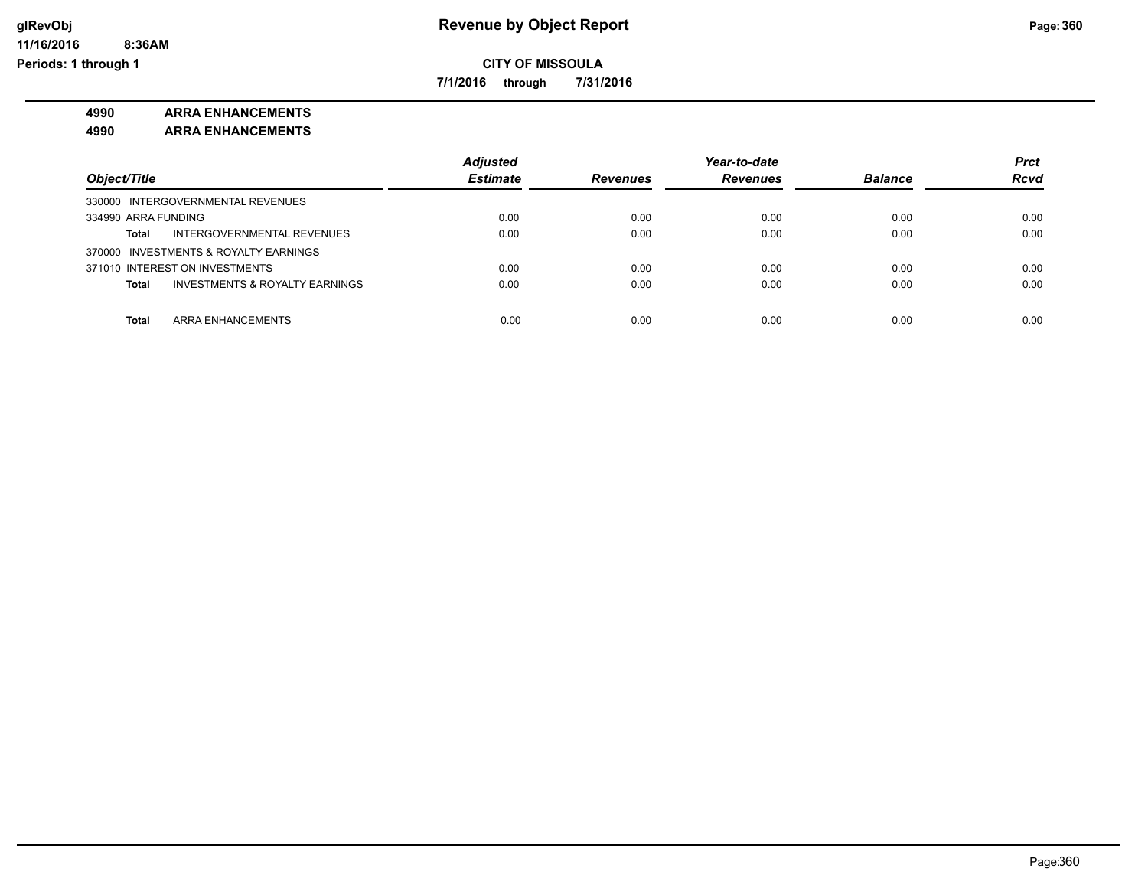**CITY OF MISSOULA**

**7/1/2016 through 7/31/2016**

**4990 ARRA ENHANCEMENTS**

 **8:36AM**

**4990 ARRA ENHANCEMENTS**

|                                                | <b>Adjusted</b> |                 | Year-to-date    |                | <b>Prct</b> |
|------------------------------------------------|-----------------|-----------------|-----------------|----------------|-------------|
| Object/Title                                   | <b>Estimate</b> | <b>Revenues</b> | <b>Revenues</b> | <b>Balance</b> | <b>Rcvd</b> |
| 330000 INTERGOVERNMENTAL REVENUES              |                 |                 |                 |                |             |
| 334990 ARRA FUNDING                            | 0.00            | 0.00            | 0.00            | 0.00           | 0.00        |
| INTERGOVERNMENTAL REVENUES<br><b>Total</b>     | 0.00            | 0.00            | 0.00            | 0.00           | 0.00        |
| 370000 INVESTMENTS & ROYALTY EARNINGS          |                 |                 |                 |                |             |
| 371010 INTEREST ON INVESTMENTS                 | 0.00            | 0.00            | 0.00            | 0.00           | 0.00        |
| INVESTMENTS & ROYALTY EARNINGS<br><b>Total</b> | 0.00            | 0.00            | 0.00            | 0.00           | 0.00        |
|                                                |                 |                 |                 |                |             |
| ARRA ENHANCEMENTS<br><b>Total</b>              | 0.00            | 0.00            | 0.00            | 0.00           | 0.00        |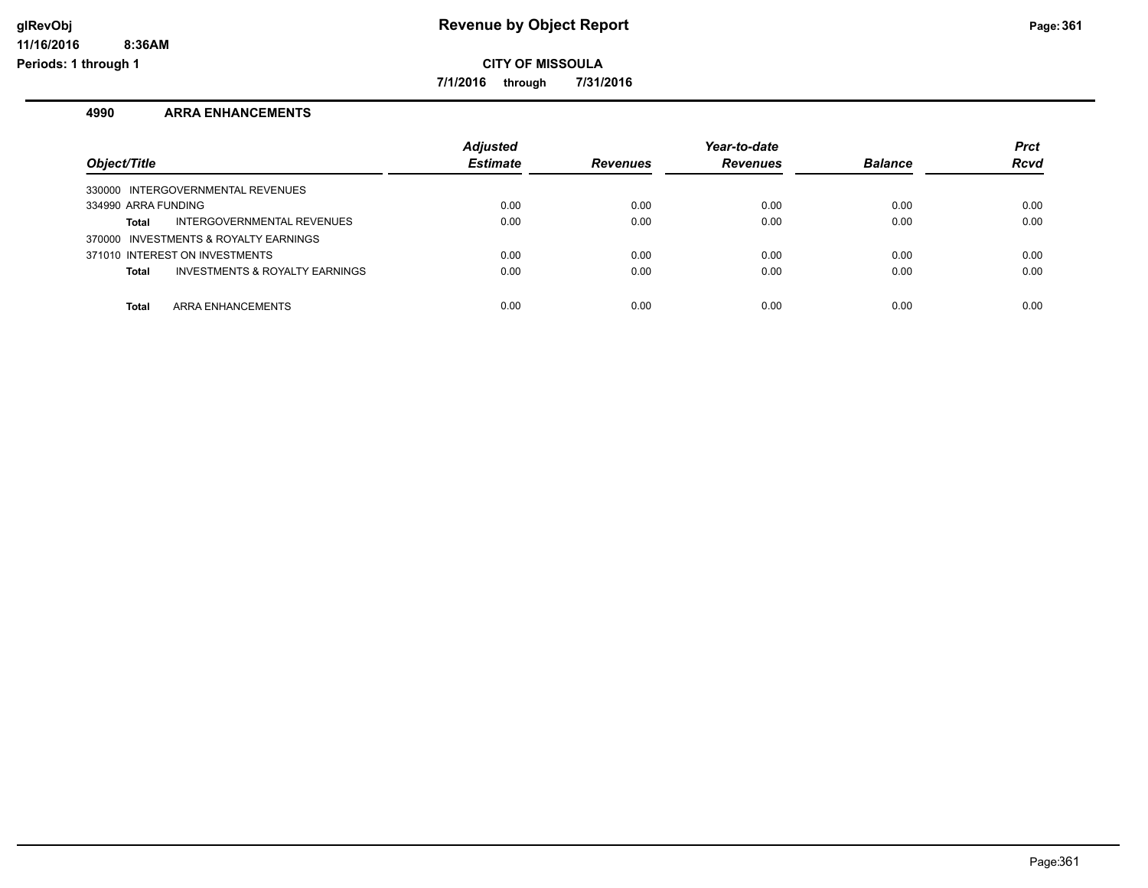**CITY OF MISSOULA**

**7/1/2016 through 7/31/2016**

#### **4990 ARRA ENHANCEMENTS**

| Object/Title                                              | Adjusted<br><b>Estimate</b> | <b>Revenues</b> | Year-to-date<br><b>Revenues</b> | <b>Balance</b> | <b>Prct</b><br><b>Rcvd</b> |
|-----------------------------------------------------------|-----------------------------|-----------------|---------------------------------|----------------|----------------------------|
| 330000 INTERGOVERNMENTAL REVENUES                         |                             |                 |                                 |                |                            |
| 334990 ARRA FUNDING                                       | 0.00                        | 0.00            | 0.00                            | 0.00           | 0.00                       |
| INTERGOVERNMENTAL REVENUES<br>Total                       | 0.00                        | 0.00            | 0.00                            | 0.00           | 0.00                       |
| 370000 INVESTMENTS & ROYALTY EARNINGS                     |                             |                 |                                 |                |                            |
| 371010 INTEREST ON INVESTMENTS                            | 0.00                        | 0.00            | 0.00                            | 0.00           | 0.00                       |
| <b>INVESTMENTS &amp; ROYALTY EARNINGS</b><br><b>Total</b> | 0.00                        | 0.00            | 0.00                            | 0.00           | 0.00                       |
|                                                           |                             |                 |                                 |                |                            |
| ARRA ENHANCEMENTS<br><b>Total</b>                         | 0.00                        | 0.00            | 0.00                            | 0.00           | 0.00                       |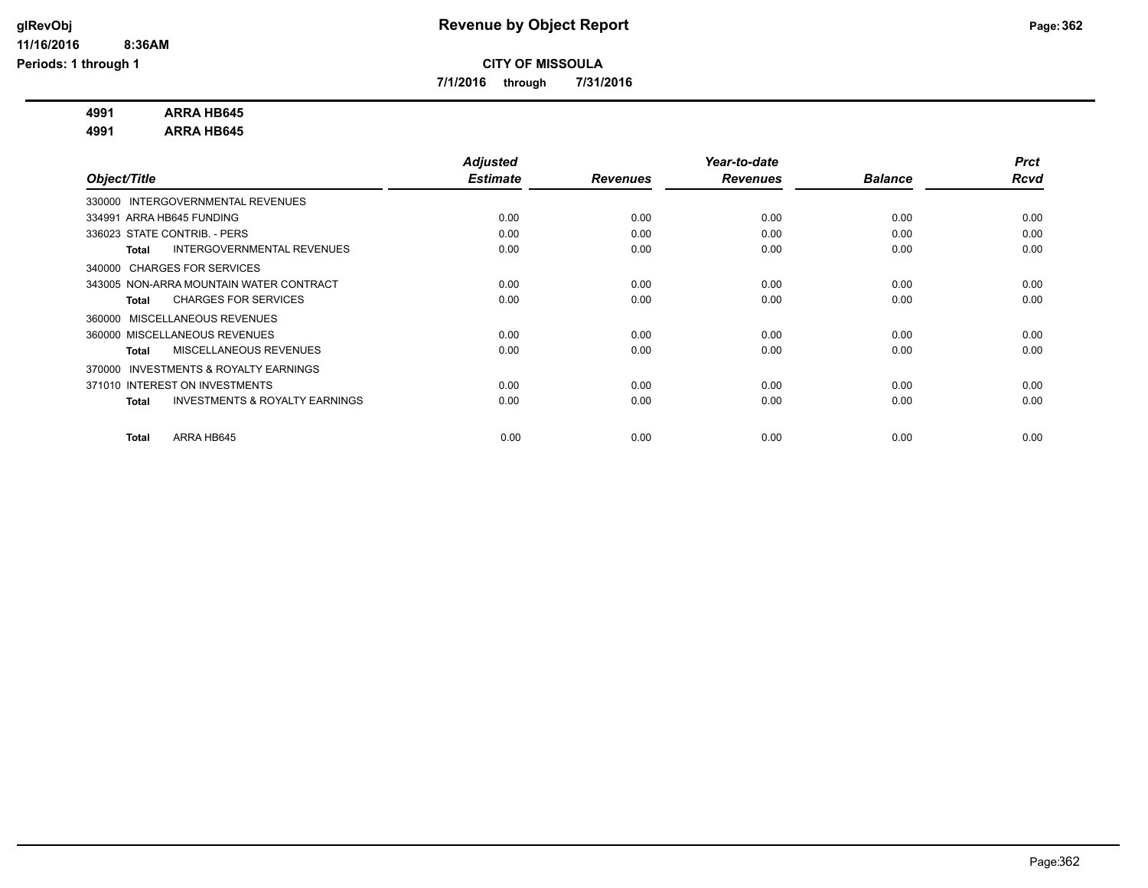**CITY OF MISSOULA**

**7/1/2016 through 7/31/2016**

## **4991 ARRA HB645**

 **8:36AM**

**4991 ARRA HB645**

|                                                    | <b>Adjusted</b> |                 | Year-to-date    |                | <b>Prct</b> |
|----------------------------------------------------|-----------------|-----------------|-----------------|----------------|-------------|
| Object/Title                                       | <b>Estimate</b> | <b>Revenues</b> | <b>Revenues</b> | <b>Balance</b> | <b>Rcvd</b> |
| 330000 INTERGOVERNMENTAL REVENUES                  |                 |                 |                 |                |             |
| 334991 ARRA HB645 FUNDING                          | 0.00            | 0.00            | 0.00            | 0.00           | 0.00        |
| 336023 STATE CONTRIB. - PERS                       | 0.00            | 0.00            | 0.00            | 0.00           | 0.00        |
| <b>INTERGOVERNMENTAL REVENUES</b><br>Total         | 0.00            | 0.00            | 0.00            | 0.00           | 0.00        |
| 340000 CHARGES FOR SERVICES                        |                 |                 |                 |                |             |
| 343005 NON-ARRA MOUNTAIN WATER CONTRACT            | 0.00            | 0.00            | 0.00            | 0.00           | 0.00        |
| <b>CHARGES FOR SERVICES</b><br><b>Total</b>        | 0.00            | 0.00            | 0.00            | 0.00           | 0.00        |
| 360000 MISCELLANEOUS REVENUES                      |                 |                 |                 |                |             |
| 360000 MISCELLANEOUS REVENUES                      | 0.00            | 0.00            | 0.00            | 0.00           | 0.00        |
| MISCELLANEOUS REVENUES<br>Total                    | 0.00            | 0.00            | 0.00            | 0.00           | 0.00        |
| 370000 INVESTMENTS & ROYALTY EARNINGS              |                 |                 |                 |                |             |
| 371010 INTEREST ON INVESTMENTS                     | 0.00            | 0.00            | 0.00            | 0.00           | 0.00        |
| <b>INVESTMENTS &amp; ROYALTY EARNINGS</b><br>Total | 0.00            | 0.00            | 0.00            | 0.00           | 0.00        |
|                                                    |                 |                 |                 |                |             |
| ARRA HB645<br><b>Total</b>                         | 0.00            | 0.00            | 0.00            | 0.00           | 0.00        |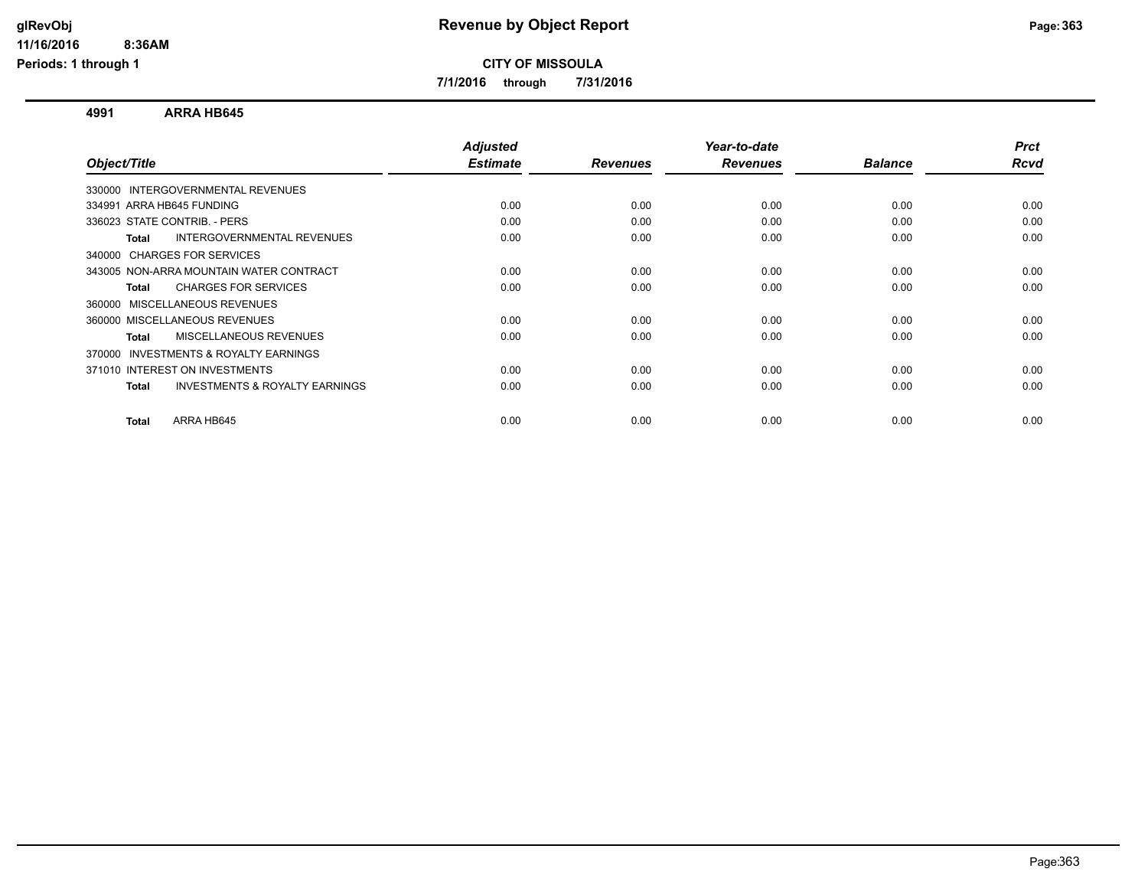**11/16/2016**

 **8:36AM Periods: 1 through 1**

**CITY OF MISSOULA**

**7/1/2016 through 7/31/2016**

**4991 ARRA HB645**

| Object/Title                                              | <b>Adjusted</b><br><b>Estimate</b> | <b>Revenues</b> | Year-to-date<br><b>Revenues</b> | <b>Balance</b> | <b>Prct</b><br><b>Rcvd</b> |
|-----------------------------------------------------------|------------------------------------|-----------------|---------------------------------|----------------|----------------------------|
|                                                           |                                    |                 |                                 |                |                            |
| 330000 INTERGOVERNMENTAL REVENUES                         |                                    |                 |                                 |                |                            |
| 334991 ARRA HB645 FUNDING                                 | 0.00                               | 0.00            | 0.00                            | 0.00           | 0.00                       |
| 336023 STATE CONTRIB. - PERS                              | 0.00                               | 0.00            | 0.00                            | 0.00           | 0.00                       |
| <b>INTERGOVERNMENTAL REVENUES</b><br>Total                | 0.00                               | 0.00            | 0.00                            | 0.00           | 0.00                       |
| 340000 CHARGES FOR SERVICES                               |                                    |                 |                                 |                |                            |
| 343005 NON-ARRA MOUNTAIN WATER CONTRACT                   | 0.00                               | 0.00            | 0.00                            | 0.00           | 0.00                       |
| <b>CHARGES FOR SERVICES</b><br>Total                      | 0.00                               | 0.00            | 0.00                            | 0.00           | 0.00                       |
| 360000 MISCELLANEOUS REVENUES                             |                                    |                 |                                 |                |                            |
| 360000 MISCELLANEOUS REVENUES                             | 0.00                               | 0.00            | 0.00                            | 0.00           | 0.00                       |
| MISCELLANEOUS REVENUES<br>Total                           | 0.00                               | 0.00            | 0.00                            | 0.00           | 0.00                       |
| INVESTMENTS & ROYALTY EARNINGS<br>370000                  |                                    |                 |                                 |                |                            |
| 371010 INTEREST ON INVESTMENTS                            | 0.00                               | 0.00            | 0.00                            | 0.00           | 0.00                       |
| <b>INVESTMENTS &amp; ROYALTY EARNINGS</b><br><b>Total</b> | 0.00                               | 0.00            | 0.00                            | 0.00           | 0.00                       |
|                                                           |                                    |                 |                                 |                |                            |
| ARRA HB645<br>Total                                       | 0.00                               | 0.00            | 0.00                            | 0.00           | 0.00                       |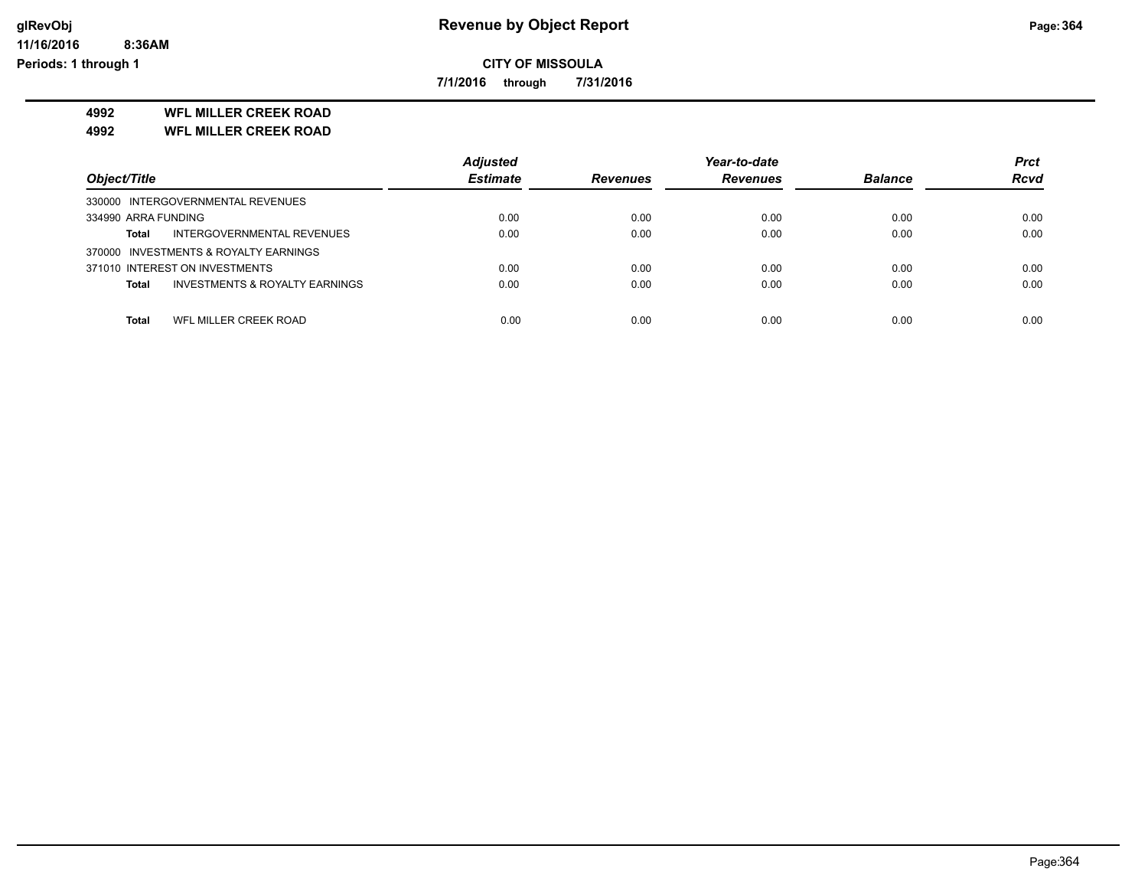**CITY OF MISSOULA**

**7/1/2016 through 7/31/2016**

**4992 WFL MILLER CREEK ROAD**

 **8:36AM**

**4992 WFL MILLER CREEK ROAD**

|                                                           | <b>Adiusted</b> |                 | Year-to-date    |                | <b>Prct</b> |
|-----------------------------------------------------------|-----------------|-----------------|-----------------|----------------|-------------|
| Object/Title                                              | <b>Estimate</b> | <b>Revenues</b> | <b>Revenues</b> | <b>Balance</b> | <b>Rcvd</b> |
| 330000 INTERGOVERNMENTAL REVENUES                         |                 |                 |                 |                |             |
| 334990 ARRA FUNDING                                       | 0.00            | 0.00            | 0.00            | 0.00           | 0.00        |
| INTERGOVERNMENTAL REVENUES<br>Total                       | 0.00            | 0.00            | 0.00            | 0.00           | 0.00        |
| 370000 INVESTMENTS & ROYALTY EARNINGS                     |                 |                 |                 |                |             |
| 371010 INTEREST ON INVESTMENTS                            | 0.00            | 0.00            | 0.00            | 0.00           | 0.00        |
| <b>INVESTMENTS &amp; ROYALTY EARNINGS</b><br><b>Total</b> | 0.00            | 0.00            | 0.00            | 0.00           | 0.00        |
|                                                           |                 |                 |                 |                |             |
| WFL MILLER CREEK ROAD<br>Total                            | 0.00            | 0.00            | 0.00            | 0.00           | 0.00        |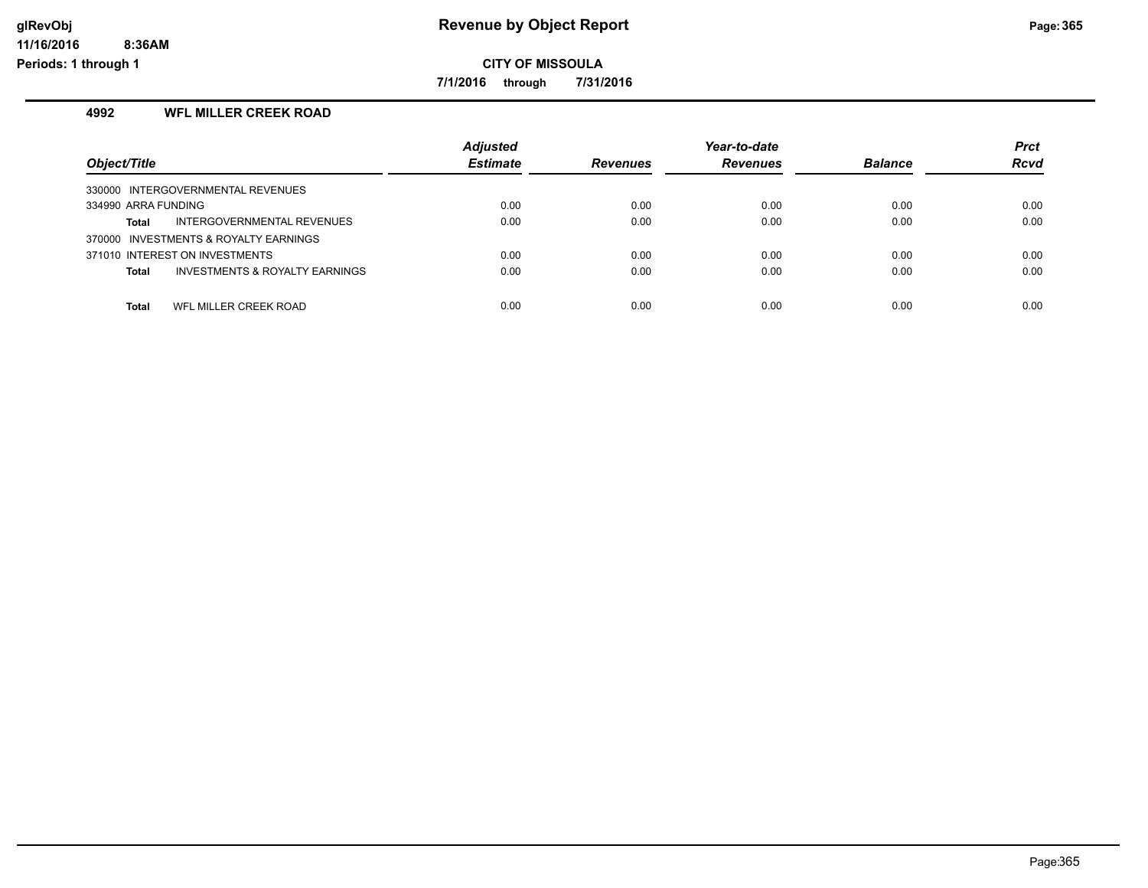**CITY OF MISSOULA**

**7/1/2016 through 7/31/2016**

#### **4992 WFL MILLER CREEK ROAD**

| Object/Title                                              | <b>Adjusted</b><br><b>Estimate</b> | <b>Revenues</b> | Year-to-date<br><b>Revenues</b> | <b>Balance</b> | <b>Prct</b><br><b>Rcvd</b> |
|-----------------------------------------------------------|------------------------------------|-----------------|---------------------------------|----------------|----------------------------|
| 330000 INTERGOVERNMENTAL REVENUES                         |                                    |                 |                                 |                |                            |
| 334990 ARRA FUNDING                                       | 0.00                               | 0.00            | 0.00                            | 0.00           | 0.00                       |
| INTERGOVERNMENTAL REVENUES<br>Total                       | 0.00                               | 0.00            | 0.00                            | 0.00           | 0.00                       |
| 370000 INVESTMENTS & ROYALTY EARNINGS                     |                                    |                 |                                 |                |                            |
| 371010 INTEREST ON INVESTMENTS                            | 0.00                               | 0.00            | 0.00                            | 0.00           | 0.00                       |
| <b>INVESTMENTS &amp; ROYALTY EARNINGS</b><br><b>Total</b> | 0.00                               | 0.00            | 0.00                            | 0.00           | 0.00                       |
|                                                           |                                    |                 |                                 |                |                            |
| WFL MILLER CREEK ROAD<br>Total                            | 0.00                               | 0.00            | 0.00                            | 0.00           | 0.00                       |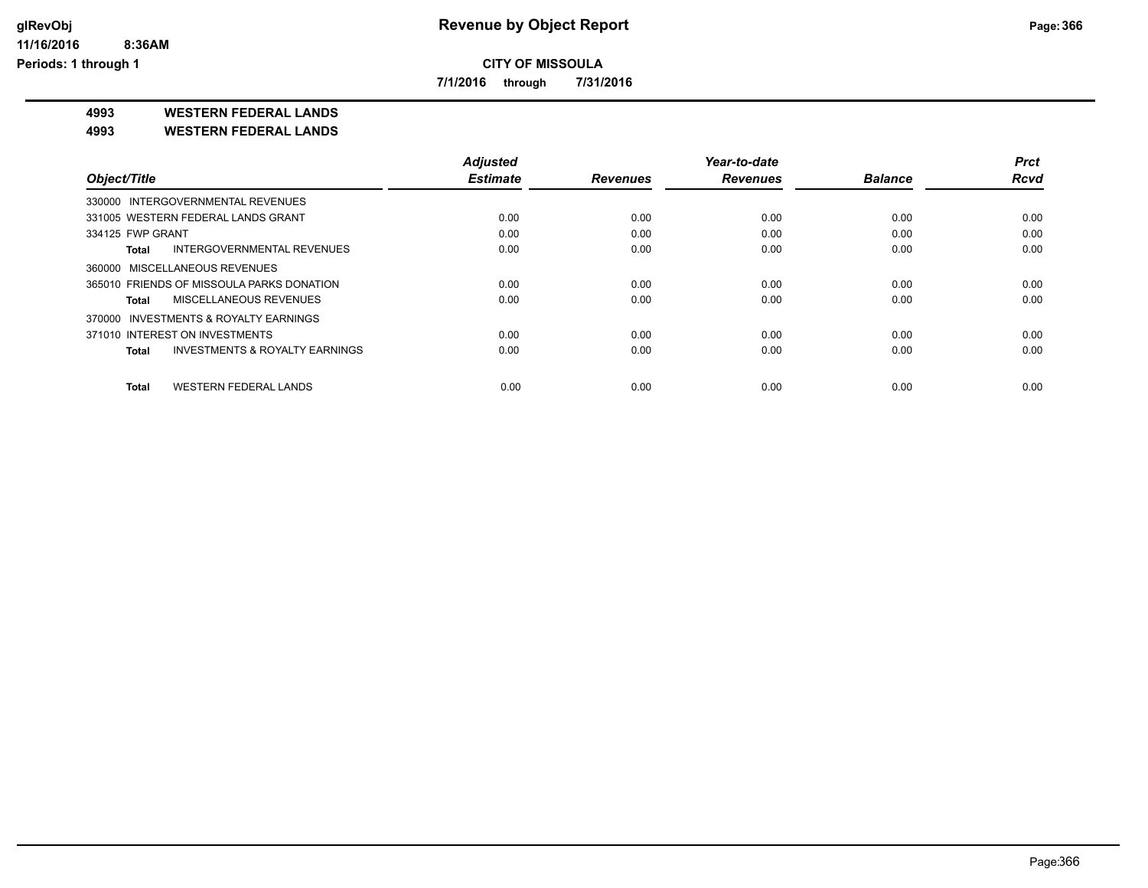**7/1/2016 through 7/31/2016**

**4993 WESTERN FEDERAL LANDS**

**4993 WESTERN FEDERAL LANDS**

|                                                           | <b>Adjusted</b> |                 | Year-to-date    |                | <b>Prct</b> |
|-----------------------------------------------------------|-----------------|-----------------|-----------------|----------------|-------------|
| Object/Title                                              | <b>Estimate</b> | <b>Revenues</b> | <b>Revenues</b> | <b>Balance</b> | <b>Rcvd</b> |
| 330000 INTERGOVERNMENTAL REVENUES                         |                 |                 |                 |                |             |
| 331005 WESTERN FEDERAL LANDS GRANT                        | 0.00            | 0.00            | 0.00            | 0.00           | 0.00        |
| 334125 FWP GRANT                                          | 0.00            | 0.00            | 0.00            | 0.00           | 0.00        |
| INTERGOVERNMENTAL REVENUES<br>Total                       | 0.00            | 0.00            | 0.00            | 0.00           | 0.00        |
| 360000 MISCELLANEOUS REVENUES                             |                 |                 |                 |                |             |
| 365010 FRIENDS OF MISSOULA PARKS DONATION                 | 0.00            | 0.00            | 0.00            | 0.00           | 0.00        |
| MISCELLANEOUS REVENUES<br>Total                           | 0.00            | 0.00            | 0.00            | 0.00           | 0.00        |
| 370000 INVESTMENTS & ROYALTY EARNINGS                     |                 |                 |                 |                |             |
| 371010 INTEREST ON INVESTMENTS                            | 0.00            | 0.00            | 0.00            | 0.00           | 0.00        |
| <b>INVESTMENTS &amp; ROYALTY EARNINGS</b><br><b>Total</b> | 0.00            | 0.00            | 0.00            | 0.00           | 0.00        |
| <b>WESTERN FEDERAL LANDS</b><br><b>Total</b>              | 0.00            | 0.00            | 0.00            | 0.00           | 0.00        |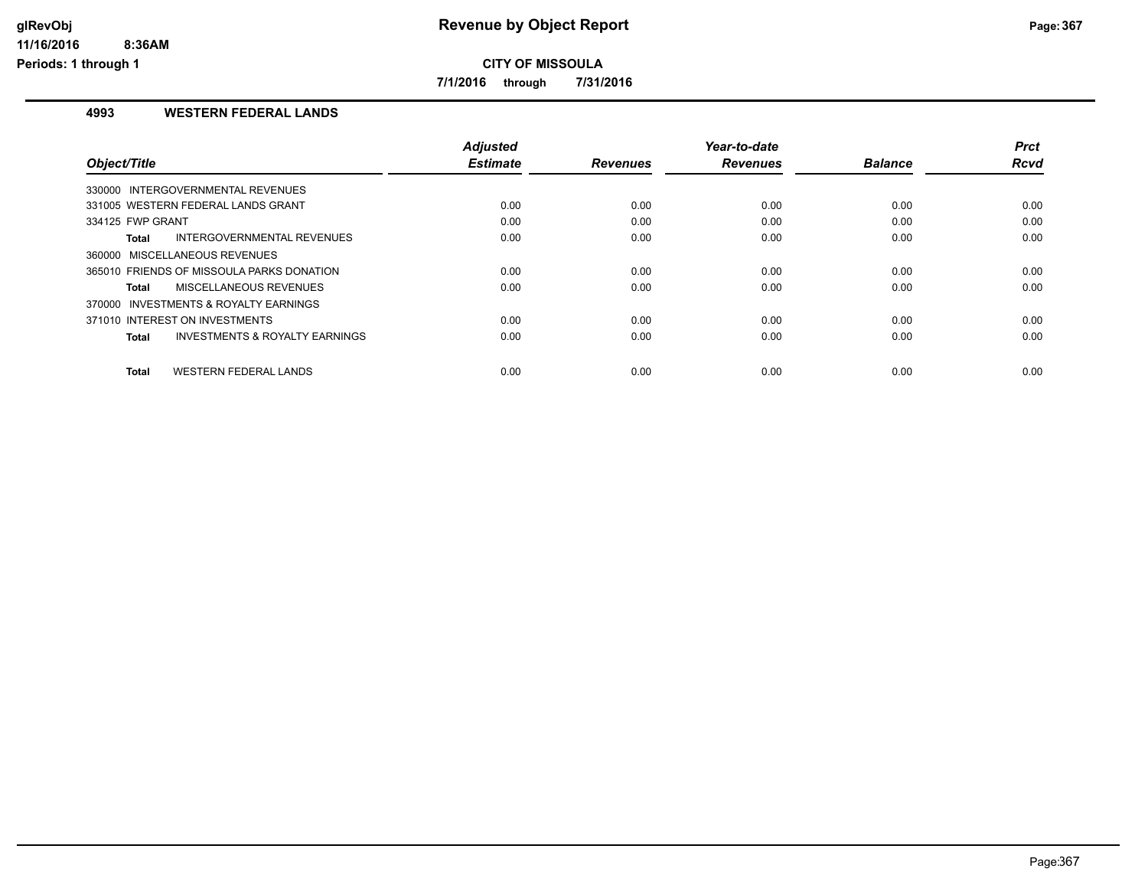**CITY OF MISSOULA**

**7/1/2016 through 7/31/2016**

#### **4993 WESTERN FEDERAL LANDS**

|                                                    | <b>Adiusted</b> |                 | Year-to-date    |                | <b>Prct</b> |
|----------------------------------------------------|-----------------|-----------------|-----------------|----------------|-------------|
| Object/Title                                       | <b>Estimate</b> | <b>Revenues</b> | <b>Revenues</b> | <b>Balance</b> | <b>Rcvd</b> |
| 330000 INTERGOVERNMENTAL REVENUES                  |                 |                 |                 |                |             |
| 331005 WESTERN FEDERAL LANDS GRANT                 | 0.00            | 0.00            | 0.00            | 0.00           | 0.00        |
| 334125 FWP GRANT                                   | 0.00            | 0.00            | 0.00            | 0.00           | 0.00        |
| INTERGOVERNMENTAL REVENUES<br>Total                | 0.00            | 0.00            | 0.00            | 0.00           | 0.00        |
| 360000 MISCELLANEOUS REVENUES                      |                 |                 |                 |                |             |
| 365010 FRIENDS OF MISSOULA PARKS DONATION          | 0.00            | 0.00            | 0.00            | 0.00           | 0.00        |
| <b>MISCELLANEOUS REVENUES</b><br>Total             | 0.00            | 0.00            | 0.00            | 0.00           | 0.00        |
| 370000 INVESTMENTS & ROYALTY EARNINGS              |                 |                 |                 |                |             |
| 371010 INTEREST ON INVESTMENTS                     | 0.00            | 0.00            | 0.00            | 0.00           | 0.00        |
| <b>INVESTMENTS &amp; ROYALTY EARNINGS</b><br>Total | 0.00            | 0.00            | 0.00            | 0.00           | 0.00        |
|                                                    |                 |                 |                 |                |             |
| <b>WESTERN FEDERAL LANDS</b><br><b>Total</b>       | 0.00            | 0.00            | 0.00            | 0.00           | 0.00        |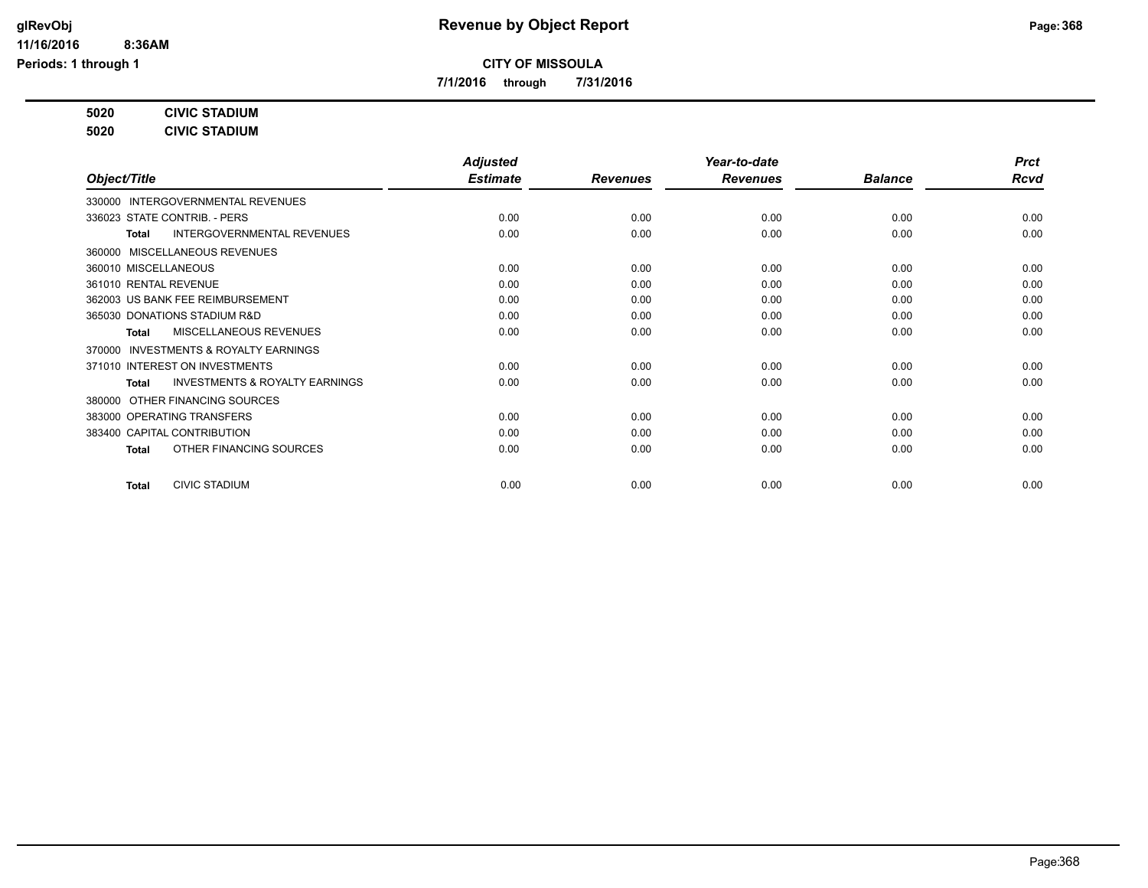**7/1/2016 through 7/31/2016**

**Periods: 1 through 1**

#### **5020 CIVIC STADIUM**

 **8:36AM**

**5020 CIVIC STADIUM**

|                                                           | <b>Adjusted</b> |                 | Year-to-date    |                | <b>Prct</b> |
|-----------------------------------------------------------|-----------------|-----------------|-----------------|----------------|-------------|
| Object/Title                                              | <b>Estimate</b> | <b>Revenues</b> | <b>Revenues</b> | <b>Balance</b> | <b>Rcvd</b> |
| <b>INTERGOVERNMENTAL REVENUES</b><br>330000               |                 |                 |                 |                |             |
| 336023 STATE CONTRIB. - PERS                              | 0.00            | 0.00            | 0.00            | 0.00           | 0.00        |
| <b>INTERGOVERNMENTAL REVENUES</b><br><b>Total</b>         | 0.00            | 0.00            | 0.00            | 0.00           | 0.00        |
| MISCELLANEOUS REVENUES<br>360000                          |                 |                 |                 |                |             |
| 360010 MISCELLANEOUS                                      | 0.00            | 0.00            | 0.00            | 0.00           | 0.00        |
| 361010 RENTAL REVENUE                                     | 0.00            | 0.00            | 0.00            | 0.00           | 0.00        |
| 362003 US BANK FEE REIMBURSEMENT                          | 0.00            | 0.00            | 0.00            | 0.00           | 0.00        |
| 365030 DONATIONS STADIUM R&D                              | 0.00            | 0.00            | 0.00            | 0.00           | 0.00        |
| MISCELLANEOUS REVENUES<br><b>Total</b>                    | 0.00            | 0.00            | 0.00            | 0.00           | 0.00        |
| <b>INVESTMENTS &amp; ROYALTY EARNINGS</b><br>370000       |                 |                 |                 |                |             |
| 371010 INTEREST ON INVESTMENTS                            | 0.00            | 0.00            | 0.00            | 0.00           | 0.00        |
| <b>INVESTMENTS &amp; ROYALTY EARNINGS</b><br><b>Total</b> | 0.00            | 0.00            | 0.00            | 0.00           | 0.00        |
| OTHER FINANCING SOURCES<br>380000                         |                 |                 |                 |                |             |
| 383000 OPERATING TRANSFERS                                | 0.00            | 0.00            | 0.00            | 0.00           | 0.00        |
| 383400 CAPITAL CONTRIBUTION                               | 0.00            | 0.00            | 0.00            | 0.00           | 0.00        |
| OTHER FINANCING SOURCES<br><b>Total</b>                   | 0.00            | 0.00            | 0.00            | 0.00           | 0.00        |
|                                                           |                 |                 |                 |                |             |
| <b>CIVIC STADIUM</b><br><b>Total</b>                      | 0.00            | 0.00            | 0.00            | 0.00           | 0.00        |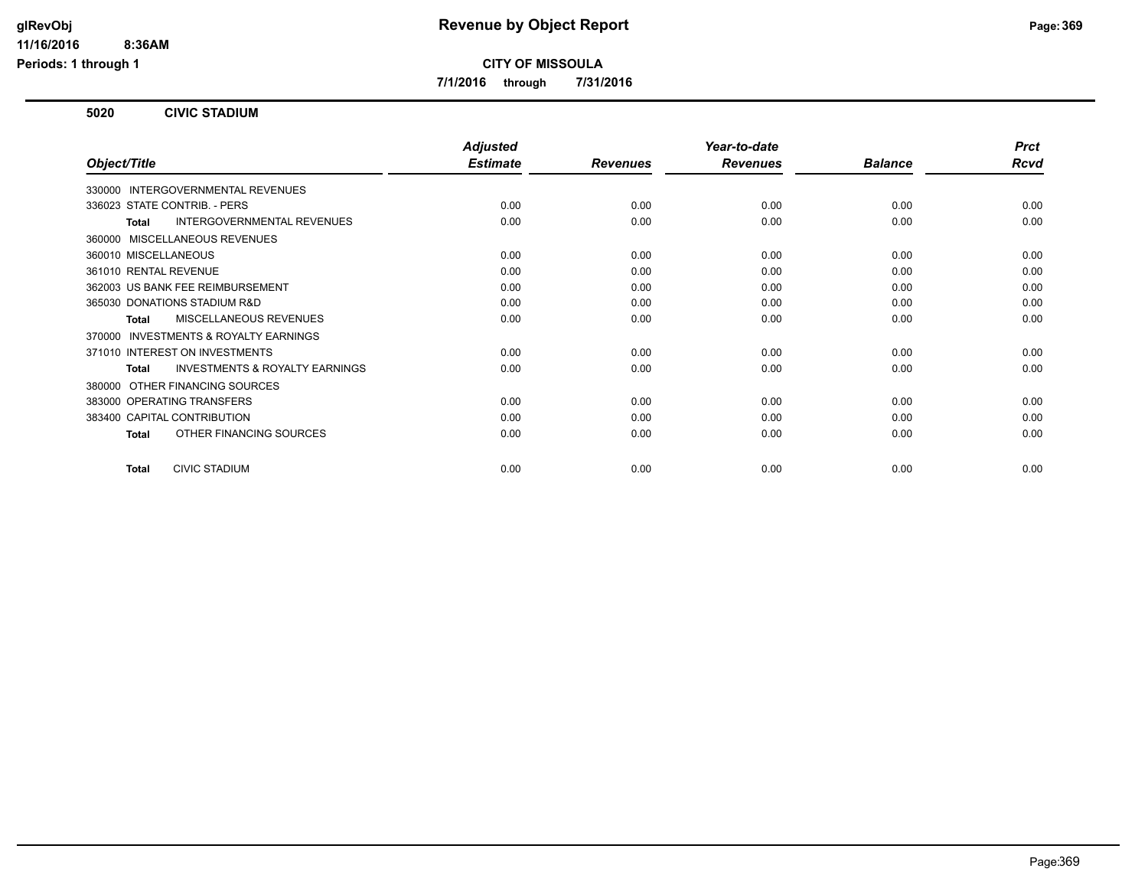**7/1/2016 through 7/31/2016**

#### **5020 CIVIC STADIUM**

|                                                           | <b>Adjusted</b> |                 | Year-to-date    |                | <b>Prct</b> |
|-----------------------------------------------------------|-----------------|-----------------|-----------------|----------------|-------------|
| Object/Title                                              | <b>Estimate</b> | <b>Revenues</b> | <b>Revenues</b> | <b>Balance</b> | <b>Rcvd</b> |
| 330000 INTERGOVERNMENTAL REVENUES                         |                 |                 |                 |                |             |
| 336023 STATE CONTRIB. - PERS                              | 0.00            | 0.00            | 0.00            | 0.00           | 0.00        |
| <b>INTERGOVERNMENTAL REVENUES</b><br>Total                | 0.00            | 0.00            | 0.00            | 0.00           | 0.00        |
| 360000 MISCELLANEOUS REVENUES                             |                 |                 |                 |                |             |
| 360010 MISCELLANEOUS                                      | 0.00            | 0.00            | 0.00            | 0.00           | 0.00        |
| 361010 RENTAL REVENUE                                     | 0.00            | 0.00            | 0.00            | 0.00           | 0.00        |
| 362003 US BANK FEE REIMBURSEMENT                          | 0.00            | 0.00            | 0.00            | 0.00           | 0.00        |
| 365030 DONATIONS STADIUM R&D                              | 0.00            | 0.00            | 0.00            | 0.00           | 0.00        |
| <b>MISCELLANEOUS REVENUES</b><br><b>Total</b>             | 0.00            | 0.00            | 0.00            | 0.00           | 0.00        |
| <b>INVESTMENTS &amp; ROYALTY EARNINGS</b><br>370000       |                 |                 |                 |                |             |
| 371010 INTEREST ON INVESTMENTS                            | 0.00            | 0.00            | 0.00            | 0.00           | 0.00        |
| <b>INVESTMENTS &amp; ROYALTY EARNINGS</b><br><b>Total</b> | 0.00            | 0.00            | 0.00            | 0.00           | 0.00        |
| OTHER FINANCING SOURCES<br>380000                         |                 |                 |                 |                |             |
| 383000 OPERATING TRANSFERS                                | 0.00            | 0.00            | 0.00            | 0.00           | 0.00        |
| 383400 CAPITAL CONTRIBUTION                               | 0.00            | 0.00            | 0.00            | 0.00           | 0.00        |
| OTHER FINANCING SOURCES<br><b>Total</b>                   | 0.00            | 0.00            | 0.00            | 0.00           | 0.00        |
|                                                           |                 |                 |                 |                |             |
| <b>CIVIC STADIUM</b><br><b>Total</b>                      | 0.00            | 0.00            | 0.00            | 0.00           | 0.00        |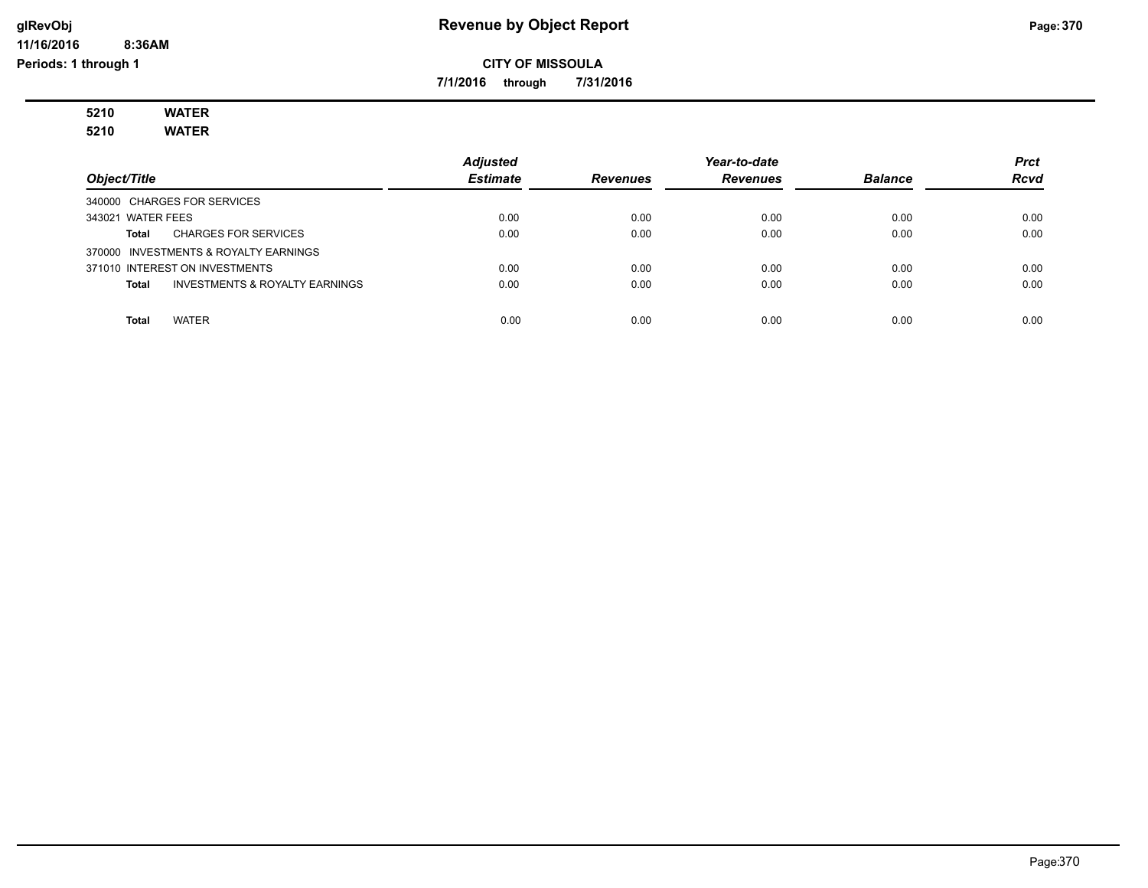**7/1/2016 through 7/31/2016**

# **5210 WATER**

**5210 WATER**

|                                         | <b>Adjusted</b> |                 | Year-to-date    |                | <b>Prct</b> |
|-----------------------------------------|-----------------|-----------------|-----------------|----------------|-------------|
| Object/Title                            | <b>Estimate</b> | <b>Revenues</b> | <b>Revenues</b> | <b>Balance</b> | <b>Rcvd</b> |
| 340000 CHARGES FOR SERVICES             |                 |                 |                 |                |             |
| 343021 WATER FEES                       | 0.00            | 0.00            | 0.00            | 0.00           | 0.00        |
| <b>CHARGES FOR SERVICES</b><br>Total    | 0.00            | 0.00            | 0.00            | 0.00           | 0.00        |
| 370000 INVESTMENTS & ROYALTY EARNINGS   |                 |                 |                 |                |             |
| 371010 INTEREST ON INVESTMENTS          | 0.00            | 0.00            | 0.00            | 0.00           | 0.00        |
| INVESTMENTS & ROYALTY EARNINGS<br>Total | 0.00            | 0.00            | 0.00            | 0.00           | 0.00        |
|                                         |                 |                 |                 |                |             |
| <b>WATER</b><br>Total                   | 0.00            | 0.00            | 0.00            | 0.00           | 0.00        |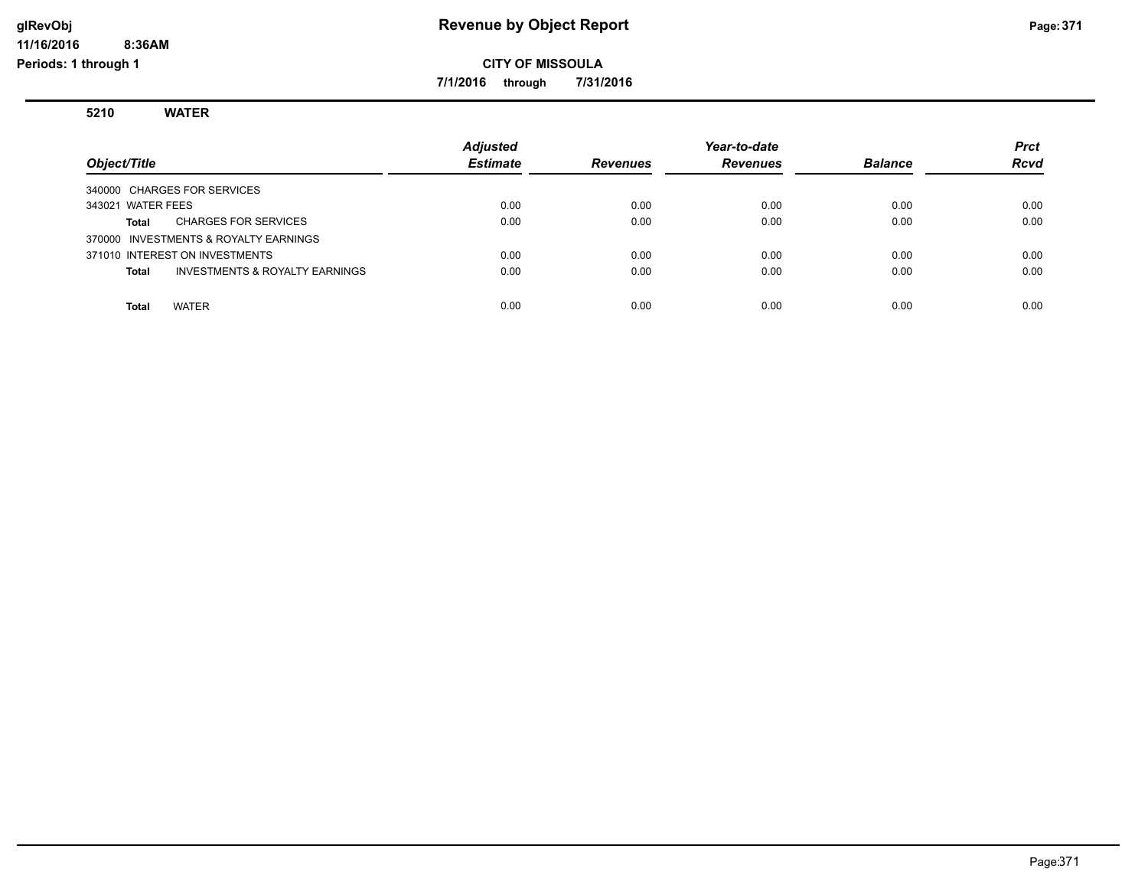**CITY OF MISSOULA**

**7/1/2016 through 7/31/2016**

**5210 WATER**

| Object/Title                                       | <b>Adjusted</b><br><b>Estimate</b> | <b>Revenues</b> | Year-to-date<br><b>Revenues</b> | <b>Balance</b> | <b>Prct</b><br><b>Rcvd</b> |
|----------------------------------------------------|------------------------------------|-----------------|---------------------------------|----------------|----------------------------|
| 340000 CHARGES FOR SERVICES                        |                                    |                 |                                 |                |                            |
| 343021 WATER FEES                                  | 0.00                               | 0.00            | 0.00                            | 0.00           | 0.00                       |
| <b>CHARGES FOR SERVICES</b><br>Total               | 0.00                               | 0.00            | 0.00                            | 0.00           | 0.00                       |
| 370000 INVESTMENTS & ROYALTY EARNINGS              |                                    |                 |                                 |                |                            |
| 371010 INTEREST ON INVESTMENTS                     | 0.00                               | 0.00            | 0.00                            | 0.00           | 0.00                       |
| <b>INVESTMENTS &amp; ROYALTY EARNINGS</b><br>Total | 0.00                               | 0.00            | 0.00                            | 0.00           | 0.00                       |
|                                                    |                                    |                 |                                 |                |                            |
| <b>WATER</b><br>Total                              | 0.00                               | 0.00            | 0.00                            | 0.00           | 0.00                       |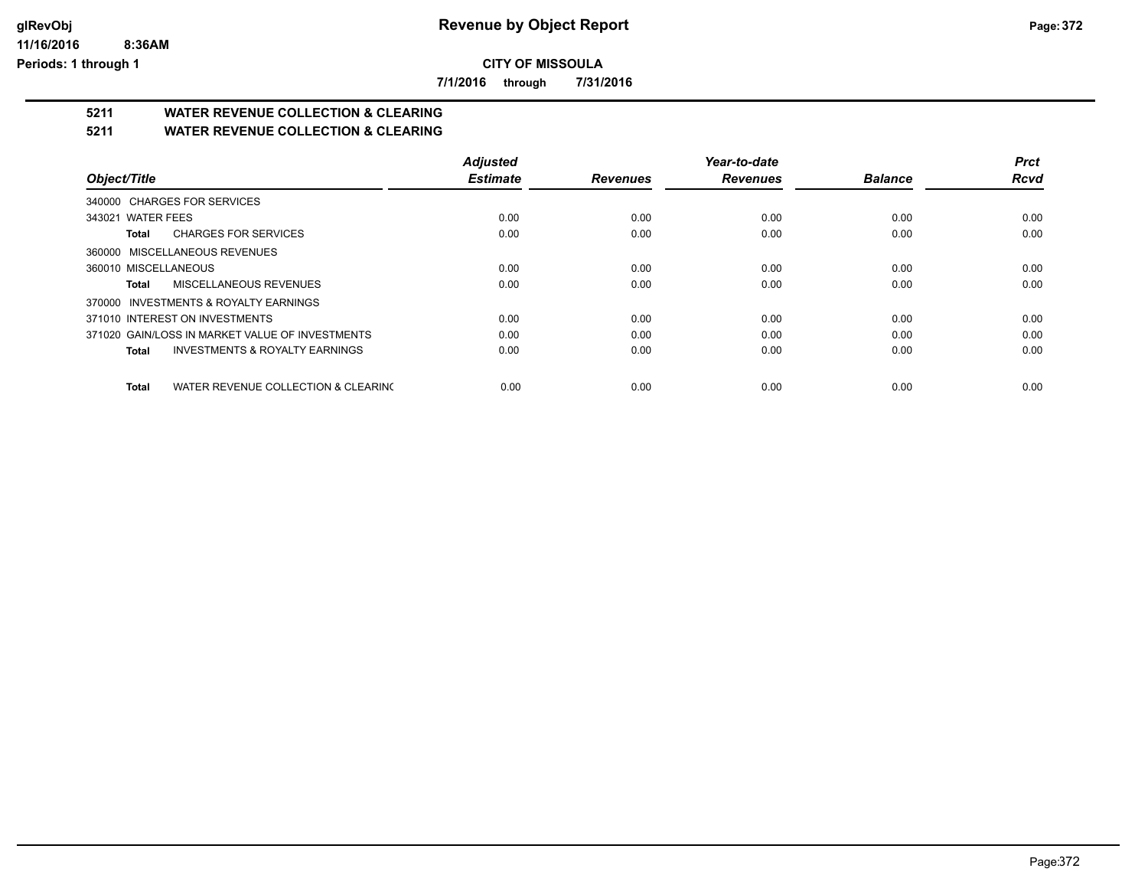**11/16/2016**

 **8:36AM Periods: 1 through 1**

**CITY OF MISSOULA**

**7/1/2016 through 7/31/2016**

# **5211 WATER REVENUE COLLECTION & CLEARING**

**5211 WATER REVENUE COLLECTION & CLEARING**

|                                                    | <b>Adjusted</b> |                 | Year-to-date    |                | <b>Prct</b> |
|----------------------------------------------------|-----------------|-----------------|-----------------|----------------|-------------|
| Object/Title                                       | <b>Estimate</b> | <b>Revenues</b> | <b>Revenues</b> | <b>Balance</b> | <b>Rcvd</b> |
| 340000 CHARGES FOR SERVICES                        |                 |                 |                 |                |             |
| 343021 WATER FEES                                  | 0.00            | 0.00            | 0.00            | 0.00           | 0.00        |
| <b>CHARGES FOR SERVICES</b><br>Total               | 0.00            | 0.00            | 0.00            | 0.00           | 0.00        |
| 360000 MISCELLANEOUS REVENUES                      |                 |                 |                 |                |             |
| 360010 MISCELLANEOUS                               | 0.00            | 0.00            | 0.00            | 0.00           | 0.00        |
| MISCELLANEOUS REVENUES<br>Total                    | 0.00            | 0.00            | 0.00            | 0.00           | 0.00        |
| 370000 INVESTMENTS & ROYALTY EARNINGS              |                 |                 |                 |                |             |
| 371010 INTEREST ON INVESTMENTS                     | 0.00            | 0.00            | 0.00            | 0.00           | 0.00        |
| 371020 GAIN/LOSS IN MARKET VALUE OF INVESTMENTS    | 0.00            | 0.00            | 0.00            | 0.00           | 0.00        |
| <b>INVESTMENTS &amp; ROYALTY EARNINGS</b><br>Total | 0.00            | 0.00            | 0.00            | 0.00           | 0.00        |
| WATER REVENUE COLLECTION & CLEARING<br>Total       | 0.00            | 0.00            | 0.00            | 0.00           | 0.00        |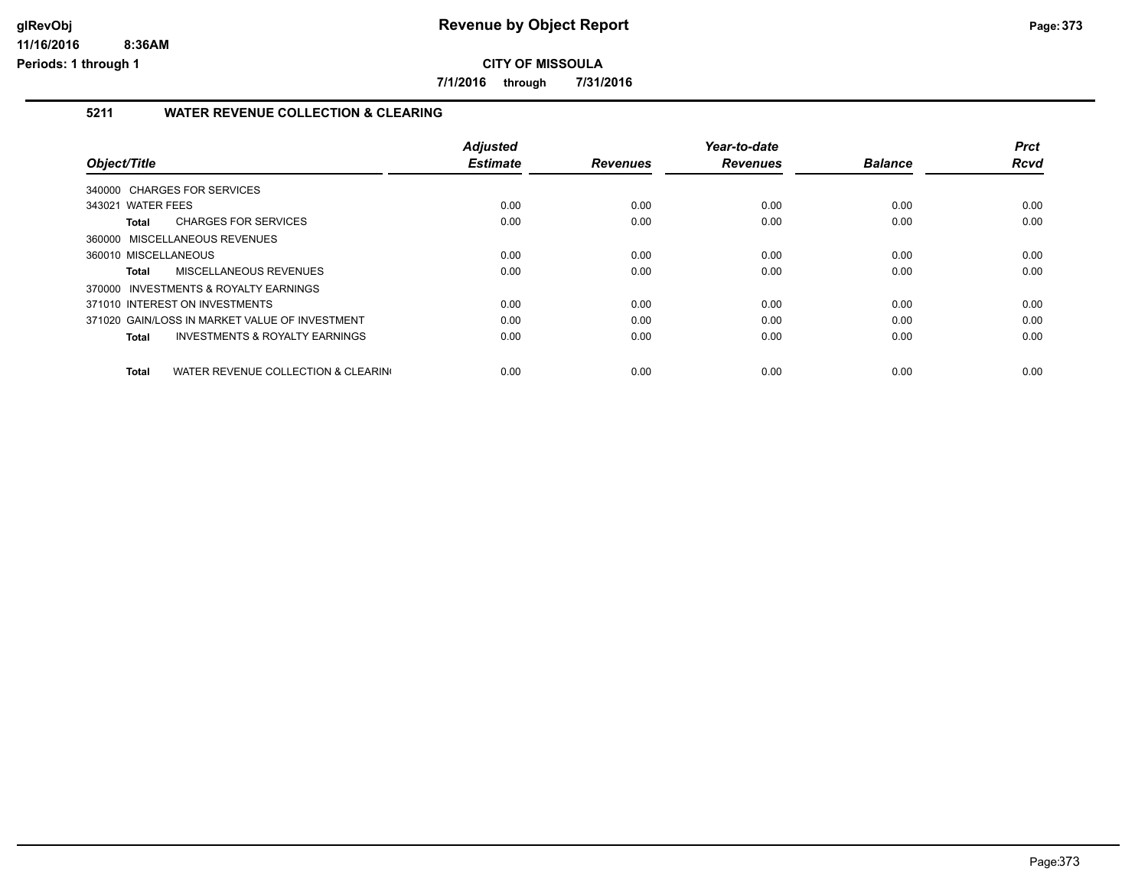**8:36AM**

**CITY OF MISSOULA**

**7/1/2016 through 7/31/2016**

#### **5211 WATER REVENUE COLLECTION & CLEARING**

|                                                     | <b>Adjusted</b> |                 | Year-to-date    |                | <b>Prct</b> |
|-----------------------------------------------------|-----------------|-----------------|-----------------|----------------|-------------|
| Object/Title                                        | <b>Estimate</b> | <b>Revenues</b> | <b>Revenues</b> | <b>Balance</b> | <b>Rcvd</b> |
| 340000 CHARGES FOR SERVICES                         |                 |                 |                 |                |             |
| 343021 WATER FEES                                   | 0.00            | 0.00            | 0.00            | 0.00           | 0.00        |
| <b>CHARGES FOR SERVICES</b><br>Total                | 0.00            | 0.00            | 0.00            | 0.00           | 0.00        |
| 360000 MISCELLANEOUS REVENUES                       |                 |                 |                 |                |             |
| 360010 MISCELLANEOUS                                | 0.00            | 0.00            | 0.00            | 0.00           | 0.00        |
| <b>MISCELLANEOUS REVENUES</b><br>Total              | 0.00            | 0.00            | 0.00            | 0.00           | 0.00        |
| 370000 INVESTMENTS & ROYALTY EARNINGS               |                 |                 |                 |                |             |
| 371010 INTEREST ON INVESTMENTS                      | 0.00            | 0.00            | 0.00            | 0.00           | 0.00        |
| 371020 GAIN/LOSS IN MARKET VALUE OF INVESTMENT      | 0.00            | 0.00            | 0.00            | 0.00           | 0.00        |
| <b>INVESTMENTS &amp; ROYALTY EARNINGS</b><br>Total  | 0.00            | 0.00            | 0.00            | 0.00           | 0.00        |
| WATER REVENUE COLLECTION & CLEARING<br><b>Total</b> | 0.00            | 0.00            | 0.00            | 0.00           | 0.00        |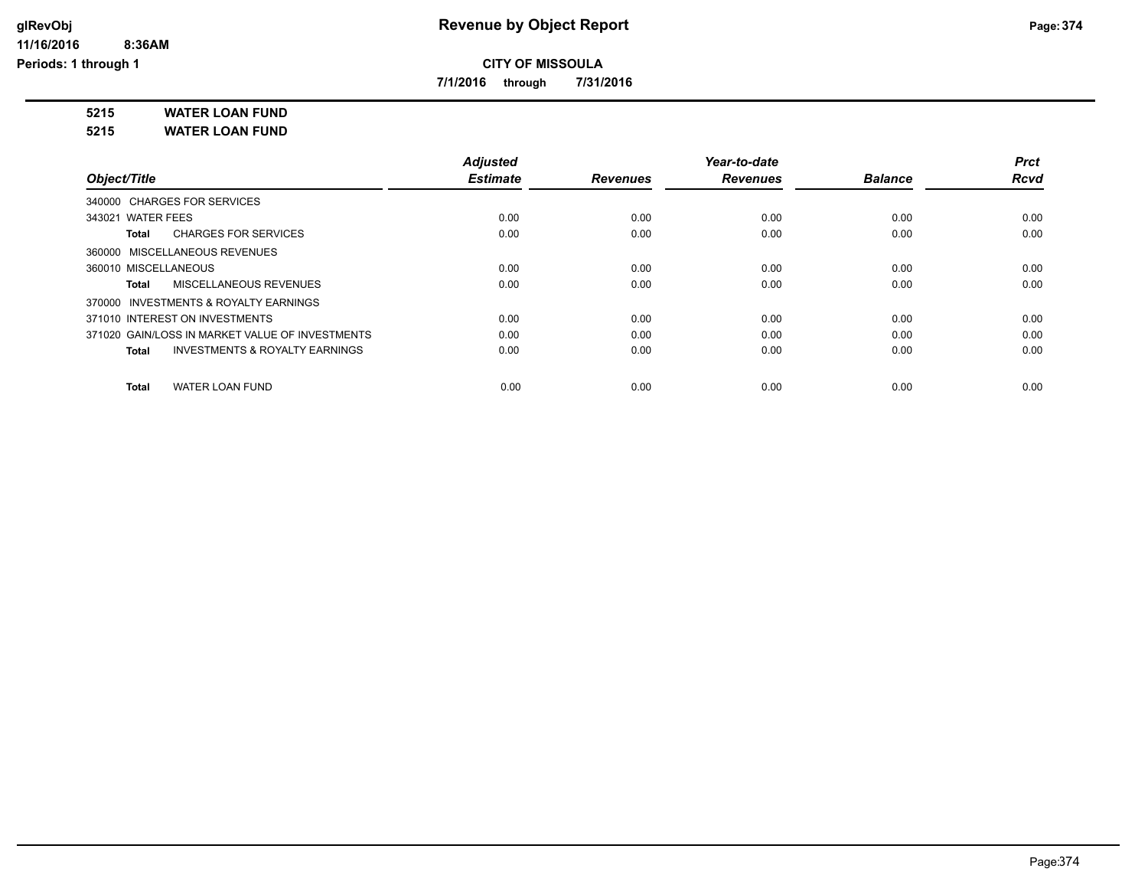**7/1/2016 through 7/31/2016**

**5215 WATER LOAN FUND**

**5215 WATER LOAN FUND**

|                                                 | <b>Adjusted</b> |                 | Year-to-date    |                | <b>Prct</b> |
|-------------------------------------------------|-----------------|-----------------|-----------------|----------------|-------------|
| Object/Title                                    | <b>Estimate</b> | <b>Revenues</b> | <b>Revenues</b> | <b>Balance</b> | <b>Rcvd</b> |
| 340000 CHARGES FOR SERVICES                     |                 |                 |                 |                |             |
| 343021 WATER FEES                               | 0.00            | 0.00            | 0.00            | 0.00           | 0.00        |
| <b>CHARGES FOR SERVICES</b><br>Total            | 0.00            | 0.00            | 0.00            | 0.00           | 0.00        |
| 360000 MISCELLANEOUS REVENUES                   |                 |                 |                 |                |             |
| 360010 MISCELLANEOUS                            | 0.00            | 0.00            | 0.00            | 0.00           | 0.00        |
| <b>MISCELLANEOUS REVENUES</b><br>Total          | 0.00            | 0.00            | 0.00            | 0.00           | 0.00        |
| 370000 INVESTMENTS & ROYALTY EARNINGS           |                 |                 |                 |                |             |
| 371010 INTEREST ON INVESTMENTS                  | 0.00            | 0.00            | 0.00            | 0.00           | 0.00        |
| 371020 GAIN/LOSS IN MARKET VALUE OF INVESTMENTS | 0.00            | 0.00            | 0.00            | 0.00           | 0.00        |
| INVESTMENTS & ROYALTY EARNINGS<br>Total         | 0.00            | 0.00            | 0.00            | 0.00           | 0.00        |
| <b>WATER LOAN FUND</b><br>Total                 | 0.00            | 0.00            | 0.00            | 0.00           | 0.00        |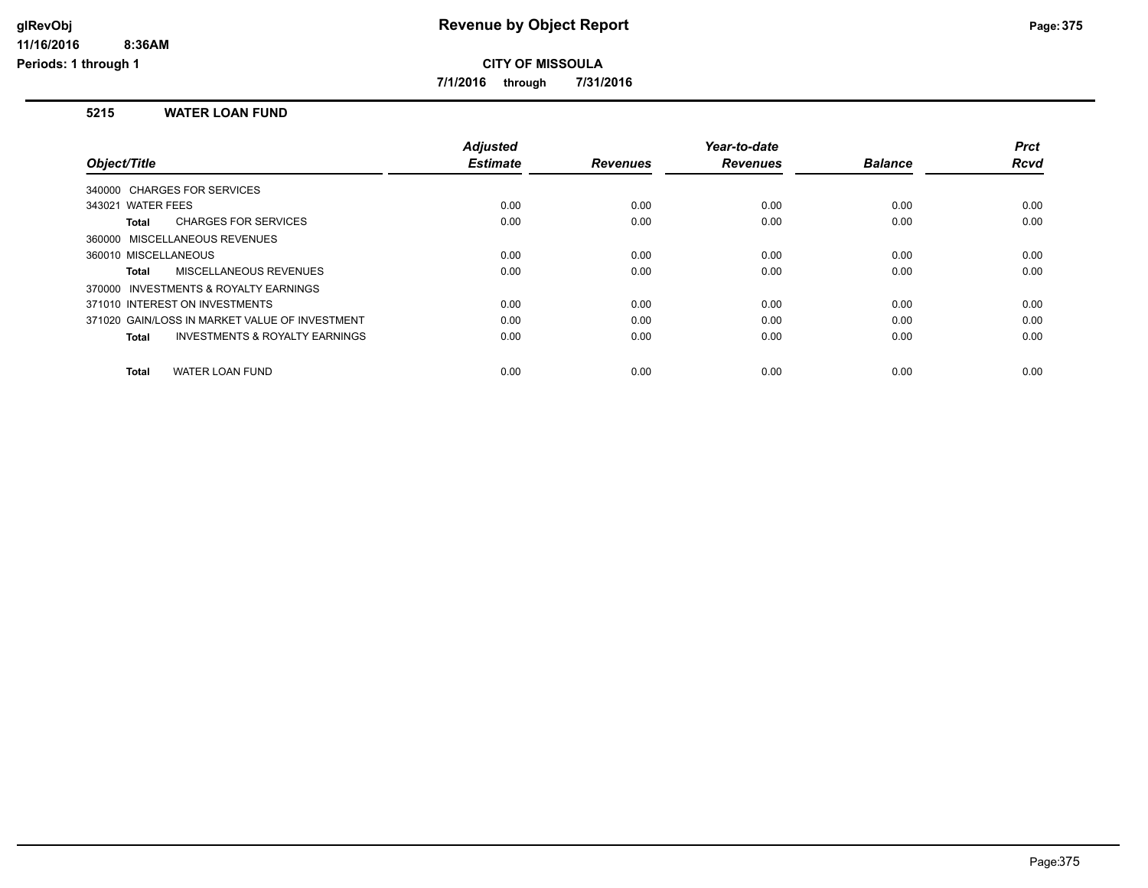**CITY OF MISSOULA**

**7/1/2016 through 7/31/2016**

#### **5215 WATER LOAN FUND**

|                                                | <b>Adjusted</b> |                 | Year-to-date    |                | <b>Prct</b> |
|------------------------------------------------|-----------------|-----------------|-----------------|----------------|-------------|
| Object/Title                                   | <b>Estimate</b> | <b>Revenues</b> | <b>Revenues</b> | <b>Balance</b> | <b>Rcvd</b> |
| 340000 CHARGES FOR SERVICES                    |                 |                 |                 |                |             |
| 343021 WATER FEES                              | 0.00            | 0.00            | 0.00            | 0.00           | 0.00        |
| <b>CHARGES FOR SERVICES</b><br>Total           | 0.00            | 0.00            | 0.00            | 0.00           | 0.00        |
| 360000 MISCELLANEOUS REVENUES                  |                 |                 |                 |                |             |
| 360010 MISCELLANEOUS                           | 0.00            | 0.00            | 0.00            | 0.00           | 0.00        |
| MISCELLANEOUS REVENUES<br>Total                | 0.00            | 0.00            | 0.00            | 0.00           | 0.00        |
| 370000 INVESTMENTS & ROYALTY EARNINGS          |                 |                 |                 |                |             |
| 371010 INTEREST ON INVESTMENTS                 | 0.00            | 0.00            | 0.00            | 0.00           | 0.00        |
| 371020 GAIN/LOSS IN MARKET VALUE OF INVESTMENT | 0.00            | 0.00            | 0.00            | 0.00           | 0.00        |
| INVESTMENTS & ROYALTY EARNINGS<br><b>Total</b> | 0.00            | 0.00            | 0.00            | 0.00           | 0.00        |
|                                                |                 |                 |                 |                |             |
| <b>WATER LOAN FUND</b><br><b>Total</b>         | 0.00            | 0.00            | 0.00            | 0.00           | 0.00        |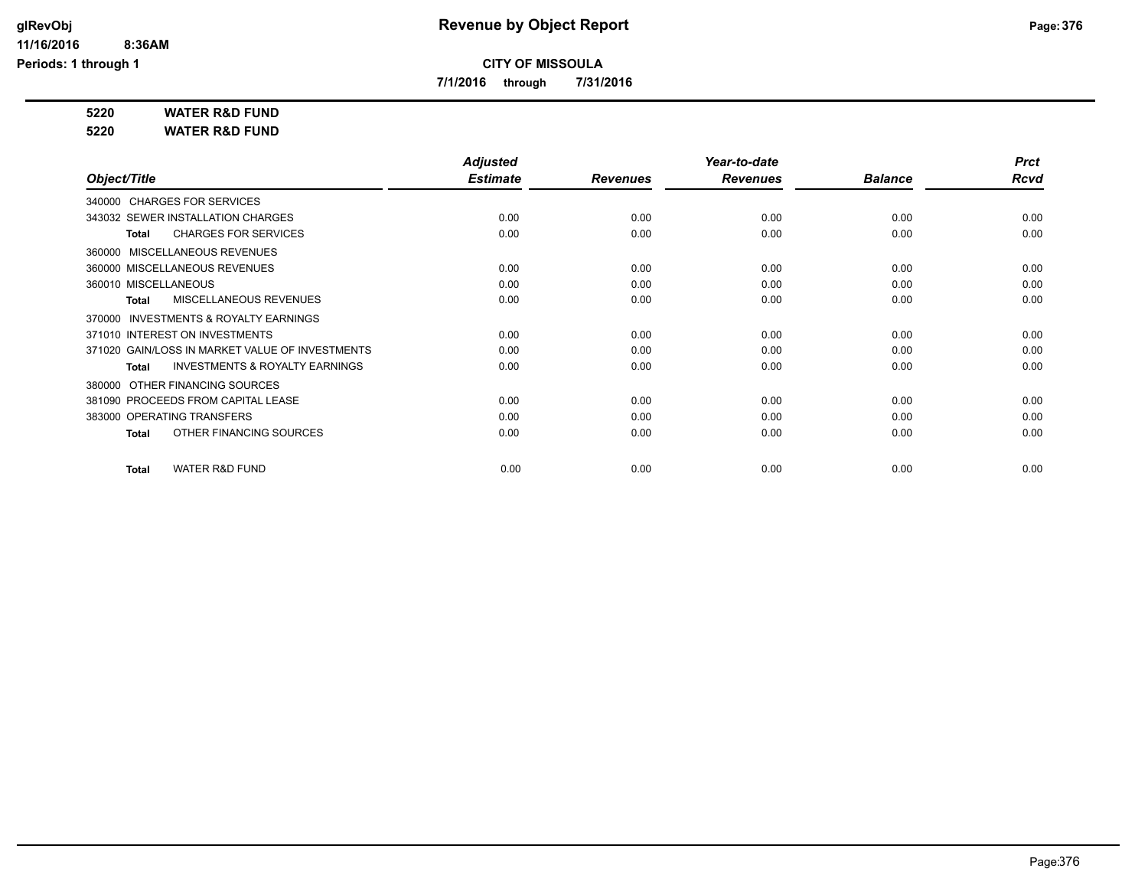**CITY OF MISSOULA**

**7/1/2016 through 7/31/2016**

**5220 WATER R&D FUND**

**5220 WATER R&D FUND**

|                                                    | <b>Adjusted</b> |                 | Year-to-date    |                | <b>Prct</b> |
|----------------------------------------------------|-----------------|-----------------|-----------------|----------------|-------------|
| Object/Title                                       | <b>Estimate</b> | <b>Revenues</b> | <b>Revenues</b> | <b>Balance</b> | <b>Rcvd</b> |
| 340000 CHARGES FOR SERVICES                        |                 |                 |                 |                |             |
| 343032 SEWER INSTALLATION CHARGES                  | 0.00            | 0.00            | 0.00            | 0.00           | 0.00        |
| <b>CHARGES FOR SERVICES</b><br><b>Total</b>        | 0.00            | 0.00            | 0.00            | 0.00           | 0.00        |
| 360000 MISCELLANEOUS REVENUES                      |                 |                 |                 |                |             |
| 360000 MISCELLANEOUS REVENUES                      | 0.00            | 0.00            | 0.00            | 0.00           | 0.00        |
| 360010 MISCELLANEOUS                               | 0.00            | 0.00            | 0.00            | 0.00           | 0.00        |
| MISCELLANEOUS REVENUES<br><b>Total</b>             | 0.00            | 0.00            | 0.00            | 0.00           | 0.00        |
| 370000 INVESTMENTS & ROYALTY EARNINGS              |                 |                 |                 |                |             |
| 371010 INTEREST ON INVESTMENTS                     | 0.00            | 0.00            | 0.00            | 0.00           | 0.00        |
| 371020 GAIN/LOSS IN MARKET VALUE OF INVESTMENTS    | 0.00            | 0.00            | 0.00            | 0.00           | 0.00        |
| <b>INVESTMENTS &amp; ROYALTY EARNINGS</b><br>Total | 0.00            | 0.00            | 0.00            | 0.00           | 0.00        |
| OTHER FINANCING SOURCES<br>380000                  |                 |                 |                 |                |             |
| 381090 PROCEEDS FROM CAPITAL LEASE                 | 0.00            | 0.00            | 0.00            | 0.00           | 0.00        |
| 383000 OPERATING TRANSFERS                         | 0.00            | 0.00            | 0.00            | 0.00           | 0.00        |
| OTHER FINANCING SOURCES<br><b>Total</b>            | 0.00            | 0.00            | 0.00            | 0.00           | 0.00        |
| <b>WATER R&amp;D FUND</b><br><b>Total</b>          | 0.00            | 0.00            | 0.00            | 0.00           | 0.00        |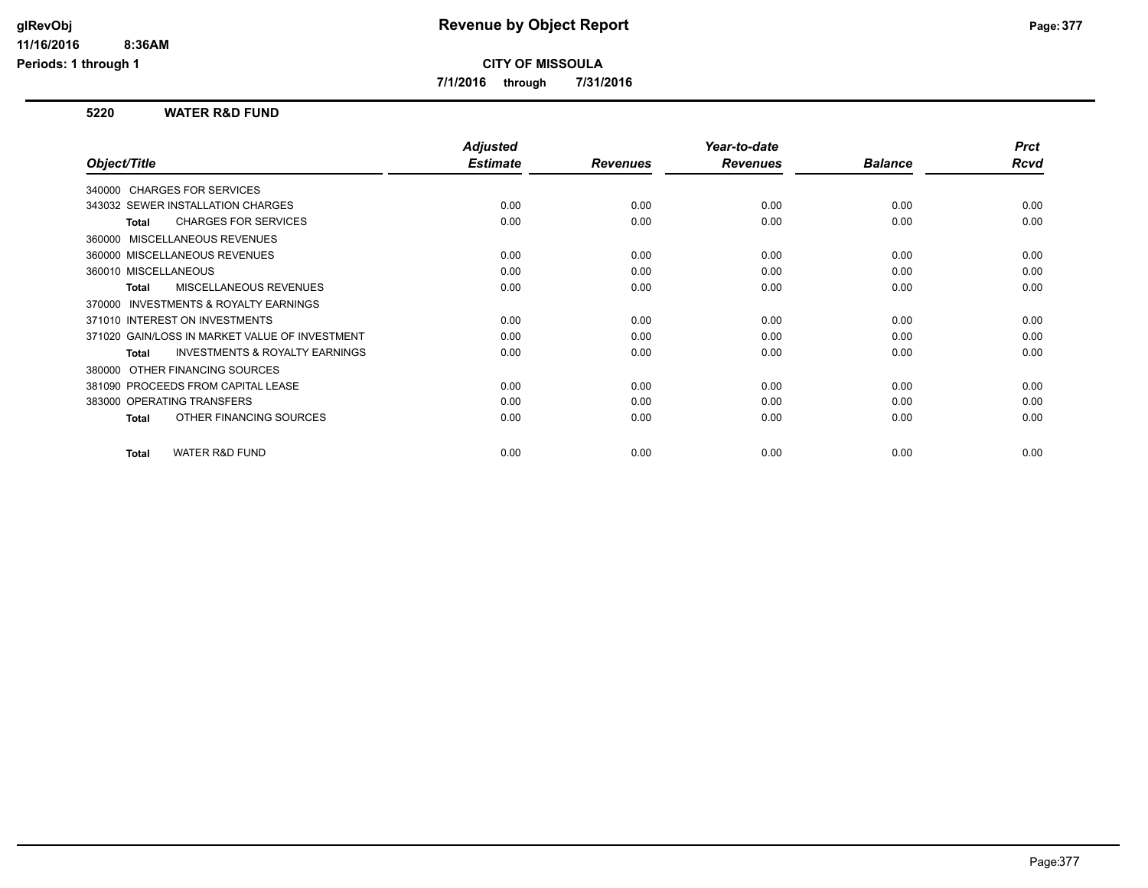**CITY OF MISSOULA**

**7/1/2016 through 7/31/2016**

#### **5220 WATER R&D FUND**

|                                                           | <b>Adjusted</b> |                 | Year-to-date    |                | <b>Prct</b> |
|-----------------------------------------------------------|-----------------|-----------------|-----------------|----------------|-------------|
| Object/Title                                              | <b>Estimate</b> | <b>Revenues</b> | <b>Revenues</b> | <b>Balance</b> | <b>Rcvd</b> |
| 340000 CHARGES FOR SERVICES                               |                 |                 |                 |                |             |
| 343032 SEWER INSTALLATION CHARGES                         | 0.00            | 0.00            | 0.00            | 0.00           | 0.00        |
| <b>CHARGES FOR SERVICES</b><br>Total                      | 0.00            | 0.00            | 0.00            | 0.00           | 0.00        |
| 360000 MISCELLANEOUS REVENUES                             |                 |                 |                 |                |             |
| 360000 MISCELLANEOUS REVENUES                             | 0.00            | 0.00            | 0.00            | 0.00           | 0.00        |
| 360010 MISCELLANEOUS                                      | 0.00            | 0.00            | 0.00            | 0.00           | 0.00        |
| MISCELLANEOUS REVENUES<br><b>Total</b>                    | 0.00            | 0.00            | 0.00            | 0.00           | 0.00        |
| <b>INVESTMENTS &amp; ROYALTY EARNINGS</b><br>370000       |                 |                 |                 |                |             |
| 371010 INTEREST ON INVESTMENTS                            | 0.00            | 0.00            | 0.00            | 0.00           | 0.00        |
| 371020 GAIN/LOSS IN MARKET VALUE OF INVESTMENT            | 0.00            | 0.00            | 0.00            | 0.00           | 0.00        |
| <b>INVESTMENTS &amp; ROYALTY EARNINGS</b><br><b>Total</b> | 0.00            | 0.00            | 0.00            | 0.00           | 0.00        |
| 380000 OTHER FINANCING SOURCES                            |                 |                 |                 |                |             |
| 381090 PROCEEDS FROM CAPITAL LEASE                        | 0.00            | 0.00            | 0.00            | 0.00           | 0.00        |
| 383000 OPERATING TRANSFERS                                | 0.00            | 0.00            | 0.00            | 0.00           | 0.00        |
| OTHER FINANCING SOURCES<br>Total                          | 0.00            | 0.00            | 0.00            | 0.00           | 0.00        |
|                                                           |                 |                 |                 |                |             |
| <b>WATER R&amp;D FUND</b><br>Total                        | 0.00            | 0.00            | 0.00            | 0.00           | 0.00        |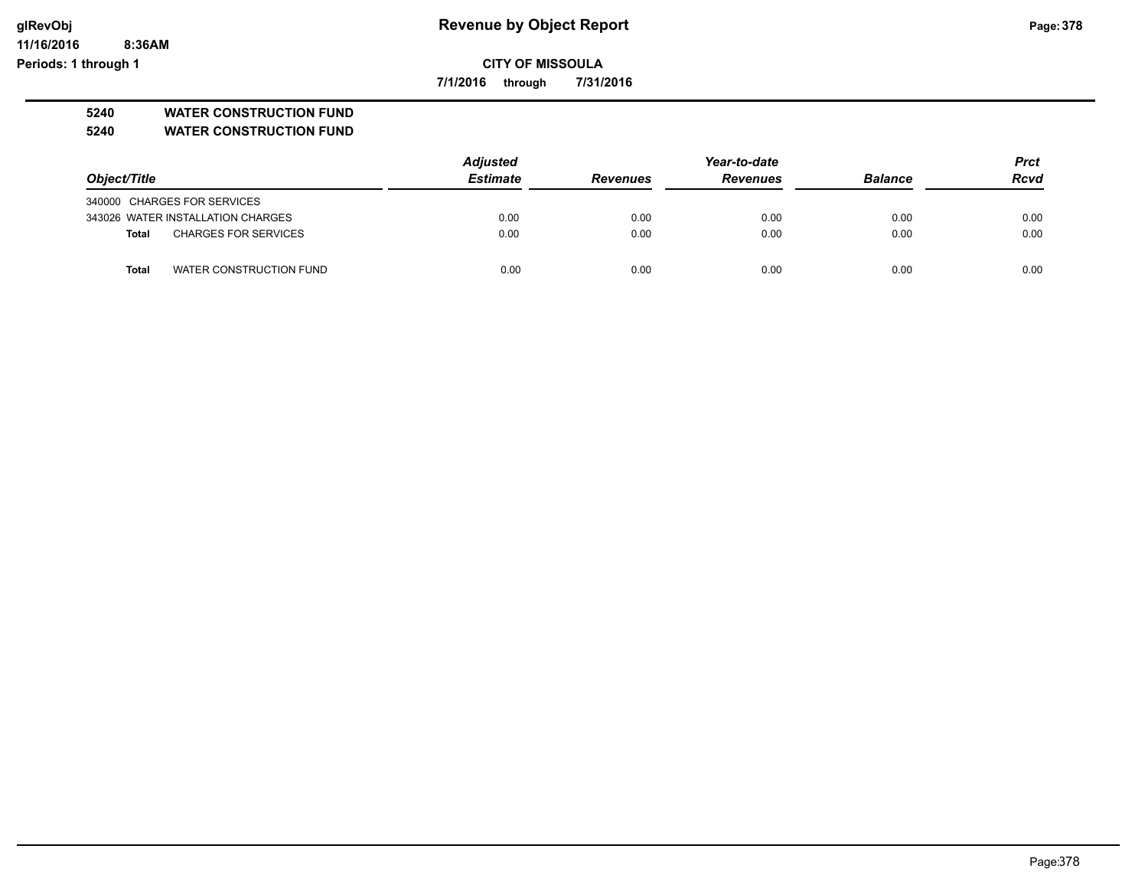**glRevObj Revenue by Object Report Page:378** 

**11/16/2016 8:36AM Periods: 1 through 1**

# **CITY OF MISSOULA**

**7/1/2016 through 7/31/2016**

### **5240 WATER CONSTRUCTION FUND**

**5240 WATER CONSTRUCTION FUND**

|                                             | <b>Adjusted</b> |                 |                 | Prct           |             |
|---------------------------------------------|-----------------|-----------------|-----------------|----------------|-------------|
| Object/Title                                | <b>Estimate</b> | <b>Revenues</b> | <b>Revenues</b> | <b>Balance</b> | <b>Rcvd</b> |
| 340000 CHARGES FOR SERVICES                 |                 |                 |                 |                |             |
| 343026 WATER INSTALLATION CHARGES           | 0.00            | 0.00            | 0.00            | 0.00           | 0.00        |
| <b>CHARGES FOR SERVICES</b><br><b>Total</b> | 0.00            | 0.00            | 0.00            | 0.00           | 0.00        |
| WATER CONSTRUCTION FUND<br><b>Total</b>     | 0.00            | 0.00            | 0.00            | 0.00           | 0.00        |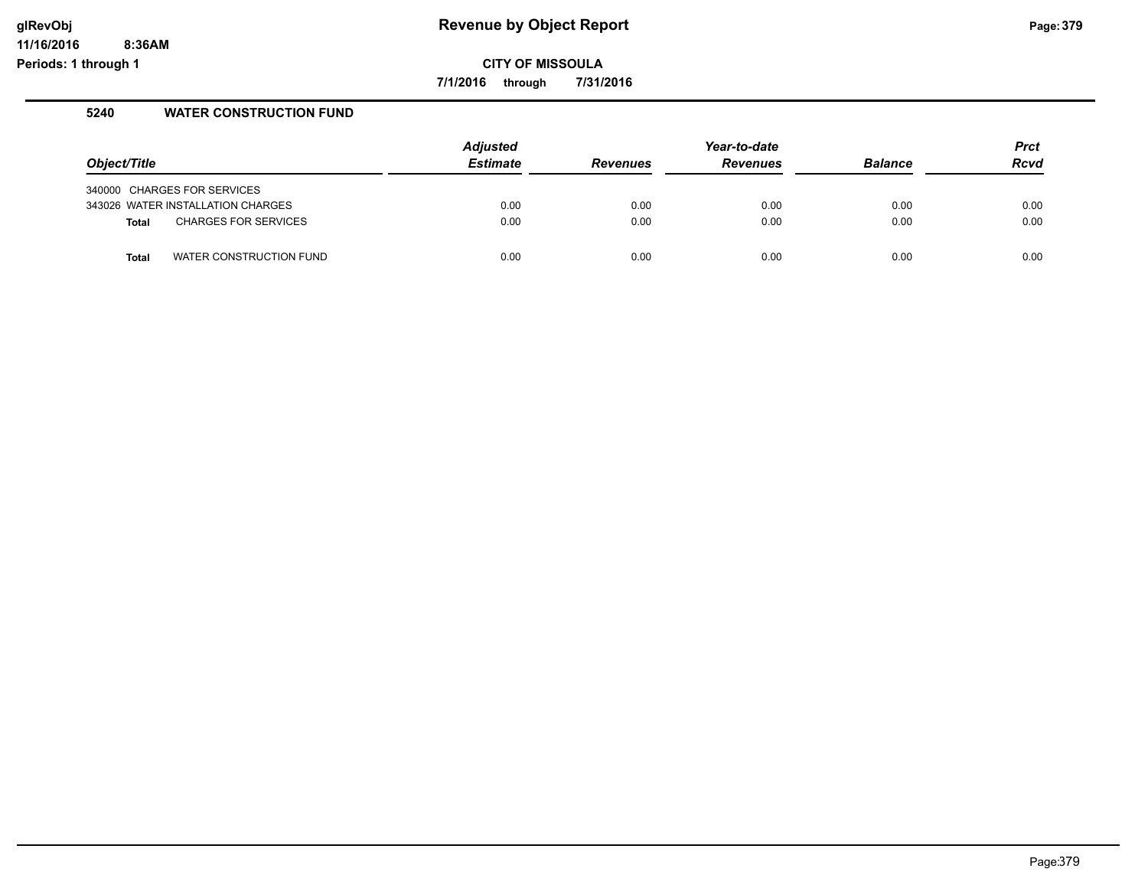**glRevObj Revenue by Object Report Page:379** 

**CITY OF MISSOULA**

**7/1/2016 through 7/31/2016**

#### **5240 WATER CONSTRUCTION FUND**

|                                             | <b>Adjusted</b> |                 | <b>Prct</b>     |                |             |
|---------------------------------------------|-----------------|-----------------|-----------------|----------------|-------------|
| Object/Title                                | <b>Estimate</b> | <b>Revenues</b> | <b>Revenues</b> | <b>Balance</b> | <b>Rcvd</b> |
| 340000 CHARGES FOR SERVICES                 |                 |                 |                 |                |             |
| 343026 WATER INSTALLATION CHARGES           | 0.00            | 0.00            | 0.00            | 0.00           | 0.00        |
| <b>CHARGES FOR SERVICES</b><br><b>Total</b> | 0.00            | 0.00            | 0.00            | 0.00           | 0.00        |
|                                             |                 |                 |                 |                |             |
| WATER CONSTRUCTION FUND<br><b>Total</b>     | 0.00            | 0.00            | 0.00            | 0.00           | 0.00        |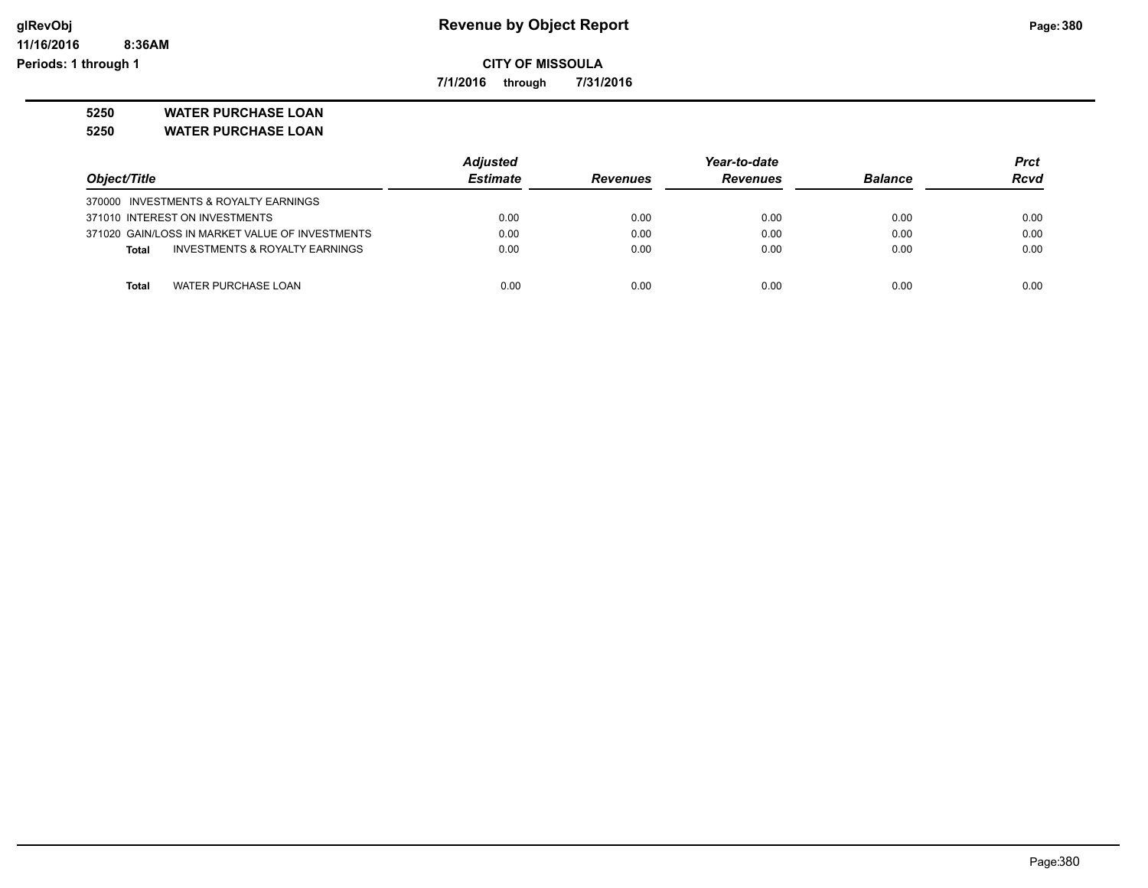**7/1/2016 through 7/31/2016**

**5250 WATER PURCHASE LOAN**

**5250 WATER PURCHASE LOAN**

|                                                           | <b>Adjusted</b> |                 | Year-to-date    |                |      |
|-----------------------------------------------------------|-----------------|-----------------|-----------------|----------------|------|
| Object/Title                                              | <b>Estimate</b> | <b>Revenues</b> | <b>Revenues</b> | <b>Balance</b> | Rcvd |
| 370000 INVESTMENTS & ROYALTY EARNINGS                     |                 |                 |                 |                |      |
| 371010 INTEREST ON INVESTMENTS                            | 0.00            | 0.00            | 0.00            | 0.00           | 0.00 |
| 371020 GAIN/LOSS IN MARKET VALUE OF INVESTMENTS           | 0.00            | 0.00            | 0.00            | 0.00           | 0.00 |
| <b>INVESTMENTS &amp; ROYALTY EARNINGS</b><br><b>Total</b> | 0.00            | 0.00            | 0.00            | 0.00           | 0.00 |
|                                                           |                 |                 |                 |                |      |
| Total<br>WATER PURCHASE LOAN                              | 0.00            | 0.00            | 0.00            | 0.00           | 0.00 |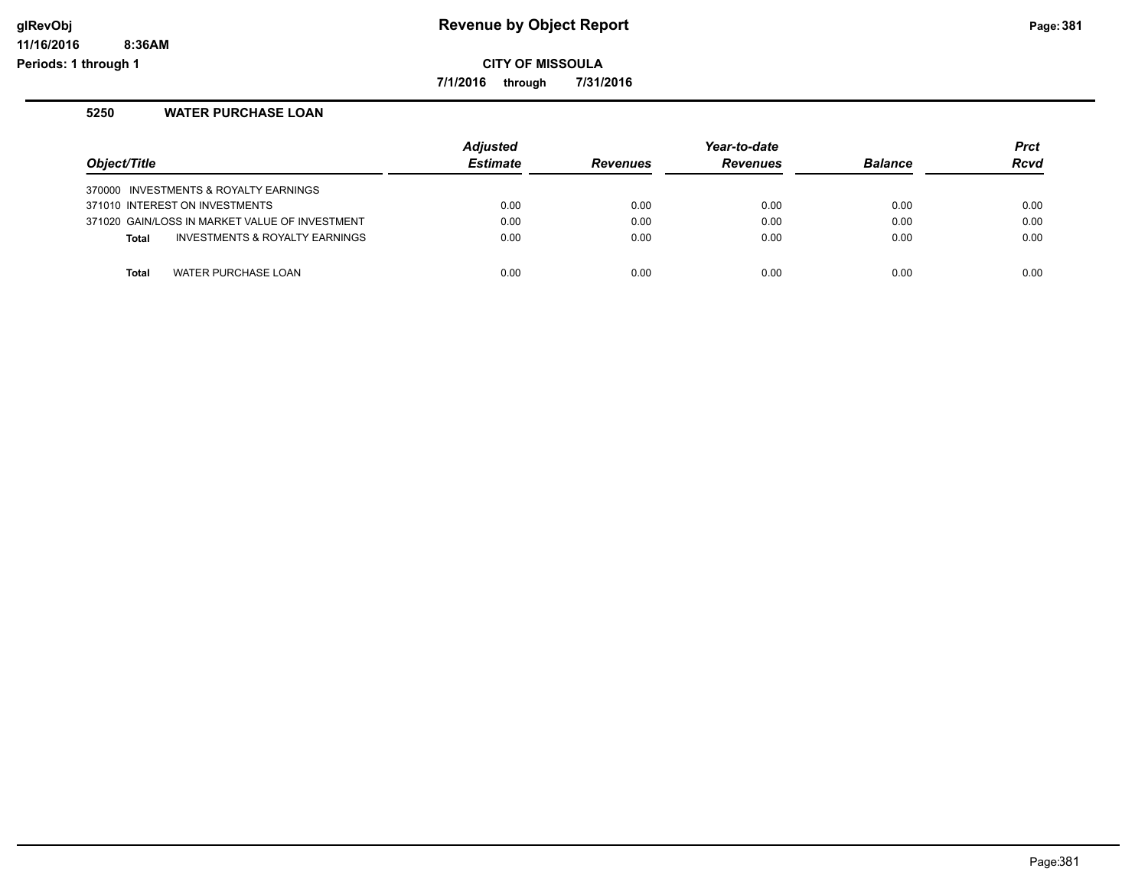**CITY OF MISSOULA**

**7/1/2016 through 7/31/2016**

#### **5250 WATER PURCHASE LOAN**

| Object/Title                   |                                                | <b>Adjusted</b><br><b>Estimate</b> | <b>Revenues</b> | Year-to-date<br><b>Revenues</b> | <b>Balance</b> | <b>Prct</b><br>Rcvd |
|--------------------------------|------------------------------------------------|------------------------------------|-----------------|---------------------------------|----------------|---------------------|
|                                | 370000 INVESTMENTS & ROYALTY EARNINGS          |                                    |                 |                                 |                |                     |
| 371010 INTEREST ON INVESTMENTS |                                                | 0.00                               | 0.00            | 0.00                            | 0.00           | 0.00                |
|                                | 371020 GAIN/LOSS IN MARKET VALUE OF INVESTMENT | 0.00                               | 0.00            | 0.00                            | 0.00           | 0.00                |
| <b>Total</b>                   | <b>INVESTMENTS &amp; ROYALTY EARNINGS</b>      | 0.00                               | 0.00            | 0.00                            | 0.00           | 0.00                |
|                                |                                                |                                    |                 |                                 |                |                     |
| Total                          | WATER PURCHASE LOAN                            | 0.00                               | 0.00            | 0.00                            | 0.00           | 0.00                |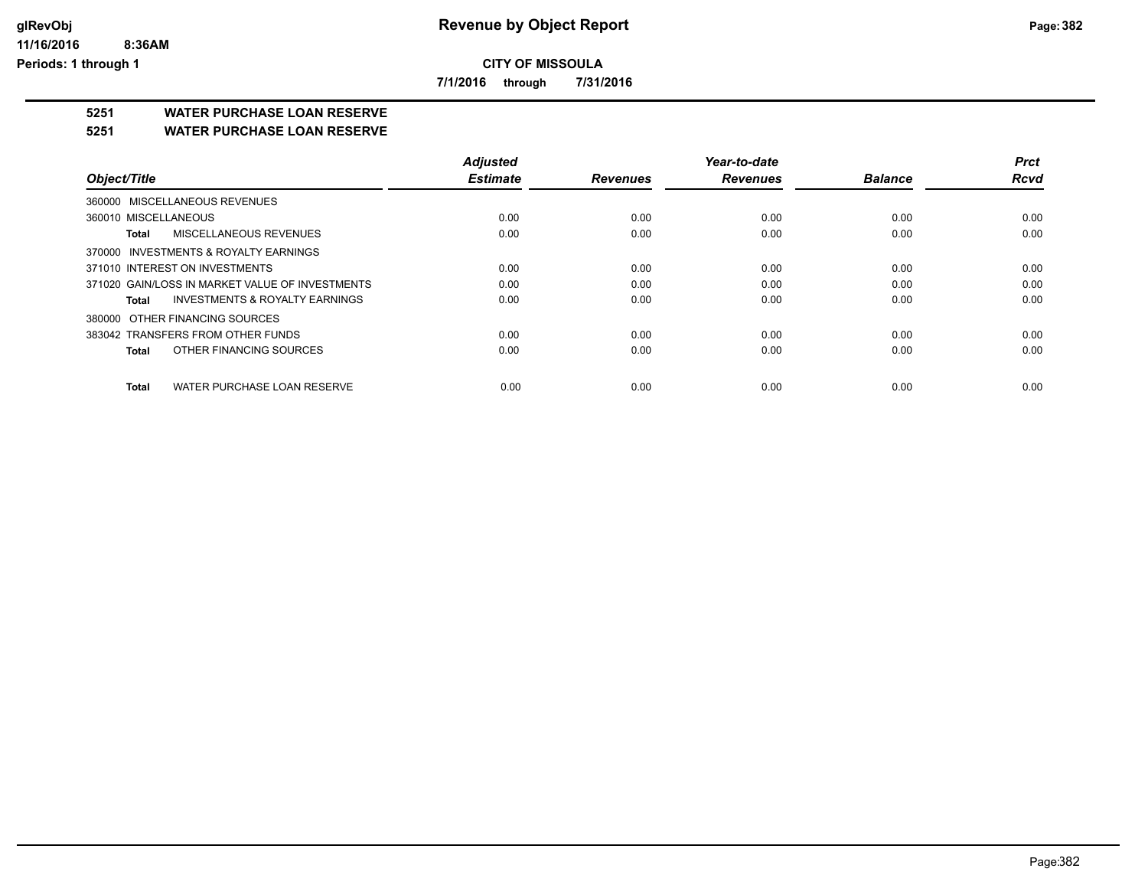**CITY OF MISSOULA**

**7/1/2016 through 7/31/2016**

#### **5251 WATER PURCHASE LOAN RESERVE**

#### **5251 WATER PURCHASE LOAN RESERVE**

| Object/Title                                       | <b>Adjusted</b><br><b>Estimate</b> | <b>Revenues</b> | Year-to-date<br><b>Revenues</b> | <b>Balance</b> | <b>Prct</b><br><b>Rcvd</b> |
|----------------------------------------------------|------------------------------------|-----------------|---------------------------------|----------------|----------------------------|
| 360000 MISCELLANEOUS REVENUES                      |                                    |                 |                                 |                |                            |
| 360010 MISCELLANEOUS                               | 0.00                               | 0.00            | 0.00                            | 0.00           | 0.00                       |
| MISCELLANEOUS REVENUES<br><b>Total</b>             | 0.00                               | 0.00            | 0.00                            | 0.00           | 0.00                       |
| 370000 INVESTMENTS & ROYALTY EARNINGS              |                                    |                 |                                 |                |                            |
| 371010 INTEREST ON INVESTMENTS                     | 0.00                               | 0.00            | 0.00                            | 0.00           | 0.00                       |
| 371020 GAIN/LOSS IN MARKET VALUE OF INVESTMENTS    | 0.00                               | 0.00            | 0.00                            | 0.00           | 0.00                       |
| <b>INVESTMENTS &amp; ROYALTY EARNINGS</b><br>Total | 0.00                               | 0.00            | 0.00                            | 0.00           | 0.00                       |
| 380000 OTHER FINANCING SOURCES                     |                                    |                 |                                 |                |                            |
| 383042 TRANSFERS FROM OTHER FUNDS                  | 0.00                               | 0.00            | 0.00                            | 0.00           | 0.00                       |
| OTHER FINANCING SOURCES<br>Total                   | 0.00                               | 0.00            | 0.00                            | 0.00           | 0.00                       |
| WATER PURCHASE LOAN RESERVE<br><b>Total</b>        | 0.00                               | 0.00            | 0.00                            | 0.00           | 0.00                       |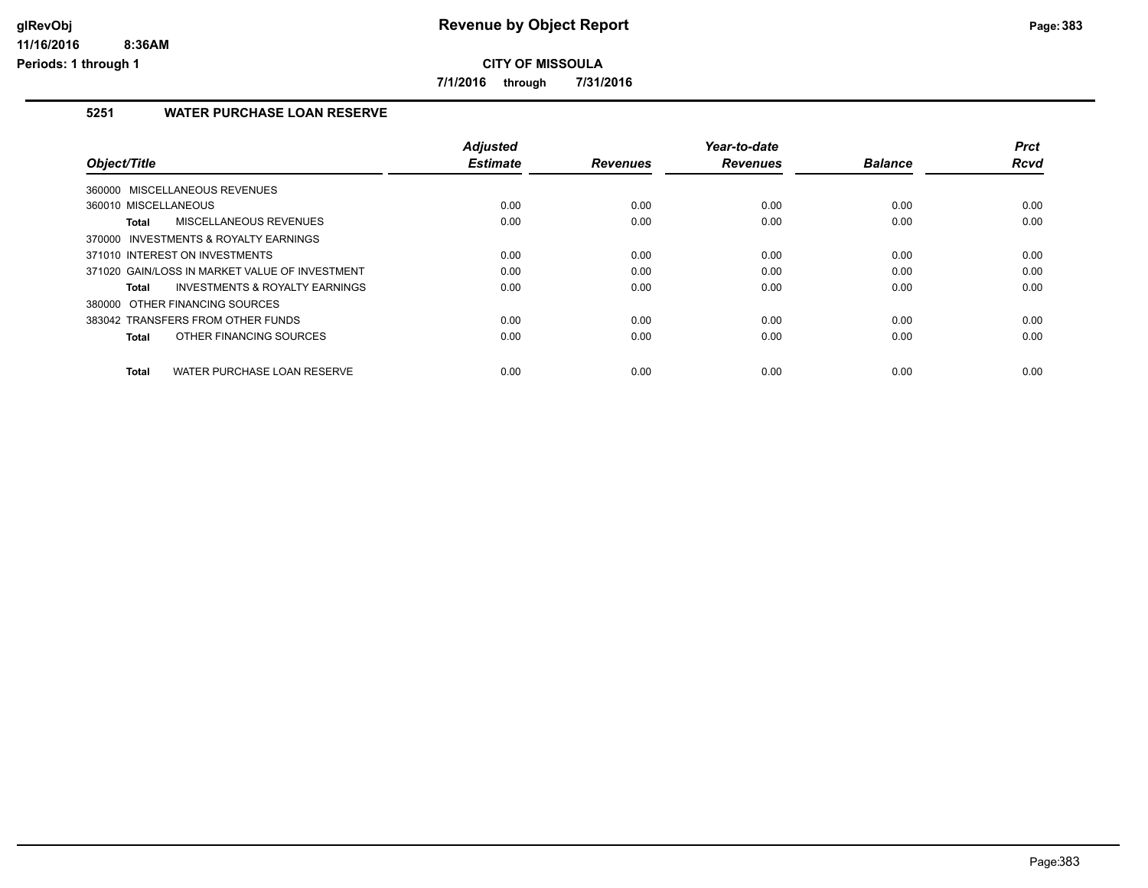**8:36AM**

**CITY OF MISSOULA**

**7/1/2016 through 7/31/2016**

#### **5251 WATER PURCHASE LOAN RESERVE**

| Object/Title                                       | <b>Adjusted</b><br><b>Estimate</b> | <b>Revenues</b> | Year-to-date<br><b>Revenues</b> | <b>Balance</b> | <b>Prct</b><br><b>Rcvd</b> |
|----------------------------------------------------|------------------------------------|-----------------|---------------------------------|----------------|----------------------------|
| MISCELLANEOUS REVENUES<br>360000                   |                                    |                 |                                 |                |                            |
| 360010 MISCELLANEOUS                               | 0.00                               | 0.00            | 0.00                            | 0.00           | 0.00                       |
| <b>MISCELLANEOUS REVENUES</b><br>Total             | 0.00                               | 0.00            | 0.00                            | 0.00           | 0.00                       |
| 370000 INVESTMENTS & ROYALTY EARNINGS              |                                    |                 |                                 |                |                            |
| 371010 INTEREST ON INVESTMENTS                     | 0.00                               | 0.00            | 0.00                            | 0.00           | 0.00                       |
| 371020 GAIN/LOSS IN MARKET VALUE OF INVESTMENT     | 0.00                               | 0.00            | 0.00                            | 0.00           | 0.00                       |
| <b>INVESTMENTS &amp; ROYALTY EARNINGS</b><br>Total | 0.00                               | 0.00            | 0.00                            | 0.00           | 0.00                       |
| 380000 OTHER FINANCING SOURCES                     |                                    |                 |                                 |                |                            |
| 383042 TRANSFERS FROM OTHER FUNDS                  | 0.00                               | 0.00            | 0.00                            | 0.00           | 0.00                       |
| OTHER FINANCING SOURCES<br>Total                   | 0.00                               | 0.00            | 0.00                            | 0.00           | 0.00                       |
| WATER PURCHASE LOAN RESERVE<br><b>Total</b>        | 0.00                               | 0.00            | 0.00                            | 0.00           | 0.00                       |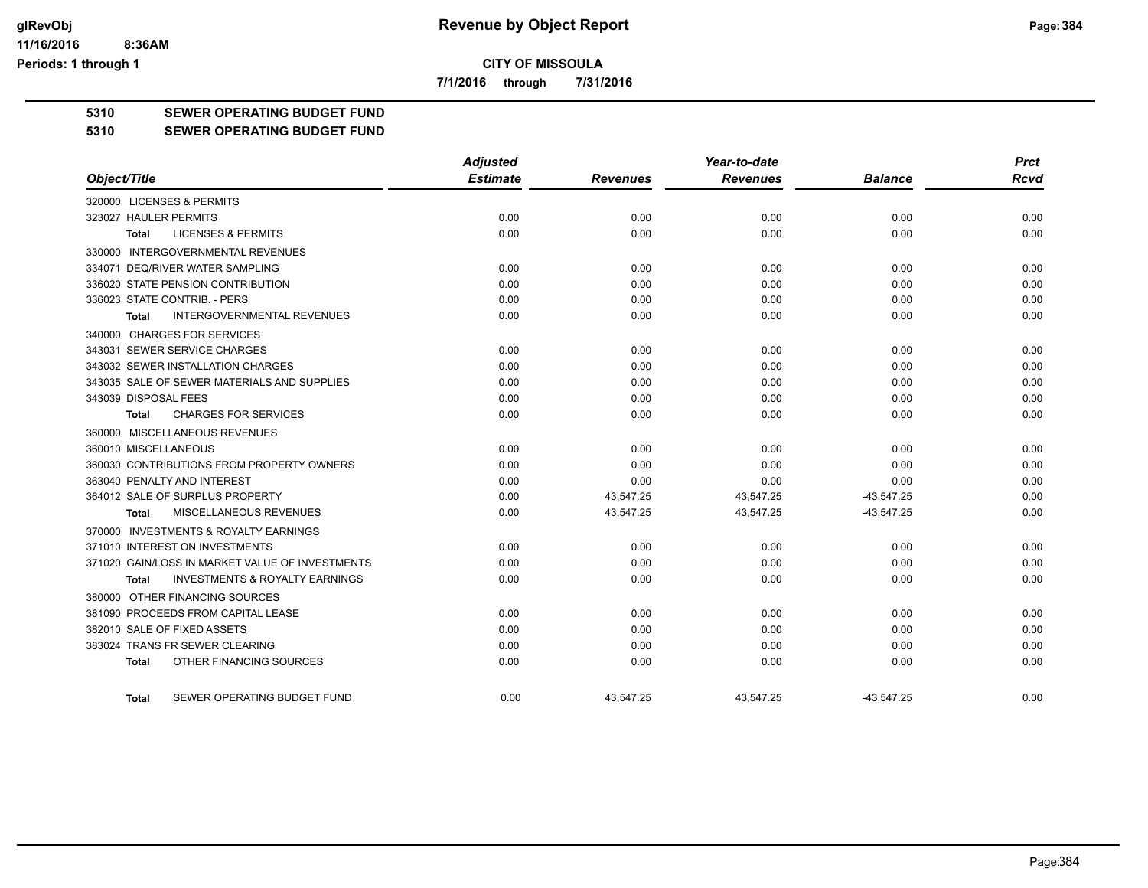**CITY OF MISSOULA**

**7/1/2016 through 7/31/2016**

**5310 SEWER OPERATING BUDGET FUND**

#### **5310 SEWER OPERATING BUDGET FUND**

|                                                    | <b>Adjusted</b> |                 | Year-to-date    |                | <b>Prct</b> |
|----------------------------------------------------|-----------------|-----------------|-----------------|----------------|-------------|
| Object/Title                                       | <b>Estimate</b> | <b>Revenues</b> | <b>Revenues</b> | <b>Balance</b> | <b>Rcvd</b> |
| 320000 LICENSES & PERMITS                          |                 |                 |                 |                |             |
| 323027 HAULER PERMITS                              | 0.00            | 0.00            | 0.00            | 0.00           | 0.00        |
| <b>LICENSES &amp; PERMITS</b><br><b>Total</b>      | 0.00            | 0.00            | 0.00            | 0.00           | 0.00        |
| 330000 INTERGOVERNMENTAL REVENUES                  |                 |                 |                 |                |             |
| 334071 DEQ/RIVER WATER SAMPLING                    | 0.00            | 0.00            | 0.00            | 0.00           | 0.00        |
| 336020 STATE PENSION CONTRIBUTION                  | 0.00            | 0.00            | 0.00            | 0.00           | 0.00        |
| 336023 STATE CONTRIB. - PERS                       | 0.00            | 0.00            | 0.00            | 0.00           | 0.00        |
| <b>INTERGOVERNMENTAL REVENUES</b><br><b>Total</b>  | 0.00            | 0.00            | 0.00            | 0.00           | 0.00        |
| 340000 CHARGES FOR SERVICES                        |                 |                 |                 |                |             |
| 343031 SEWER SERVICE CHARGES                       | 0.00            | 0.00            | 0.00            | 0.00           | 0.00        |
| 343032 SEWER INSTALLATION CHARGES                  | 0.00            | 0.00            | 0.00            | 0.00           | 0.00        |
| 343035 SALE OF SEWER MATERIALS AND SUPPLIES        | 0.00            | 0.00            | 0.00            | 0.00           | 0.00        |
| 343039 DISPOSAL FEES                               | 0.00            | 0.00            | 0.00            | 0.00           | 0.00        |
| <b>CHARGES FOR SERVICES</b><br>Total               | 0.00            | 0.00            | 0.00            | 0.00           | 0.00        |
| 360000 MISCELLANEOUS REVENUES                      |                 |                 |                 |                |             |
| 360010 MISCELLANEOUS                               | 0.00            | 0.00            | 0.00            | 0.00           | 0.00        |
| 360030 CONTRIBUTIONS FROM PROPERTY OWNERS          | 0.00            | 0.00            | 0.00            | 0.00           | 0.00        |
| 363040 PENALTY AND INTEREST                        | 0.00            | 0.00            | 0.00            | 0.00           | 0.00        |
| 364012 SALE OF SURPLUS PROPERTY                    | 0.00            | 43,547.25       | 43,547.25       | $-43,547.25$   | 0.00        |
| MISCELLANEOUS REVENUES<br><b>Total</b>             | 0.00            | 43,547.25       | 43,547.25       | $-43,547.25$   | 0.00        |
| 370000 INVESTMENTS & ROYALTY EARNINGS              |                 |                 |                 |                |             |
| 371010 INTEREST ON INVESTMENTS                     | 0.00            | 0.00            | 0.00            | 0.00           | 0.00        |
| 371020 GAIN/LOSS IN MARKET VALUE OF INVESTMENTS    | 0.00            | 0.00            | 0.00            | 0.00           | 0.00        |
| <b>INVESTMENTS &amp; ROYALTY EARNINGS</b><br>Total | 0.00            | 0.00            | 0.00            | 0.00           | 0.00        |
| 380000 OTHER FINANCING SOURCES                     |                 |                 |                 |                |             |
| 381090 PROCEEDS FROM CAPITAL LEASE                 | 0.00            | 0.00            | 0.00            | 0.00           | 0.00        |
| 382010 SALE OF FIXED ASSETS                        | 0.00            | 0.00            | 0.00            | 0.00           | 0.00        |
| 383024 TRANS FR SEWER CLEARING                     | 0.00            | 0.00            | 0.00            | 0.00           | 0.00        |
| OTHER FINANCING SOURCES<br><b>Total</b>            | 0.00            | 0.00            | 0.00            | 0.00           | 0.00        |
| SEWER OPERATING BUDGET FUND<br>Total               | 0.00            | 43,547.25       | 43,547.25       | $-43.547.25$   | 0.00        |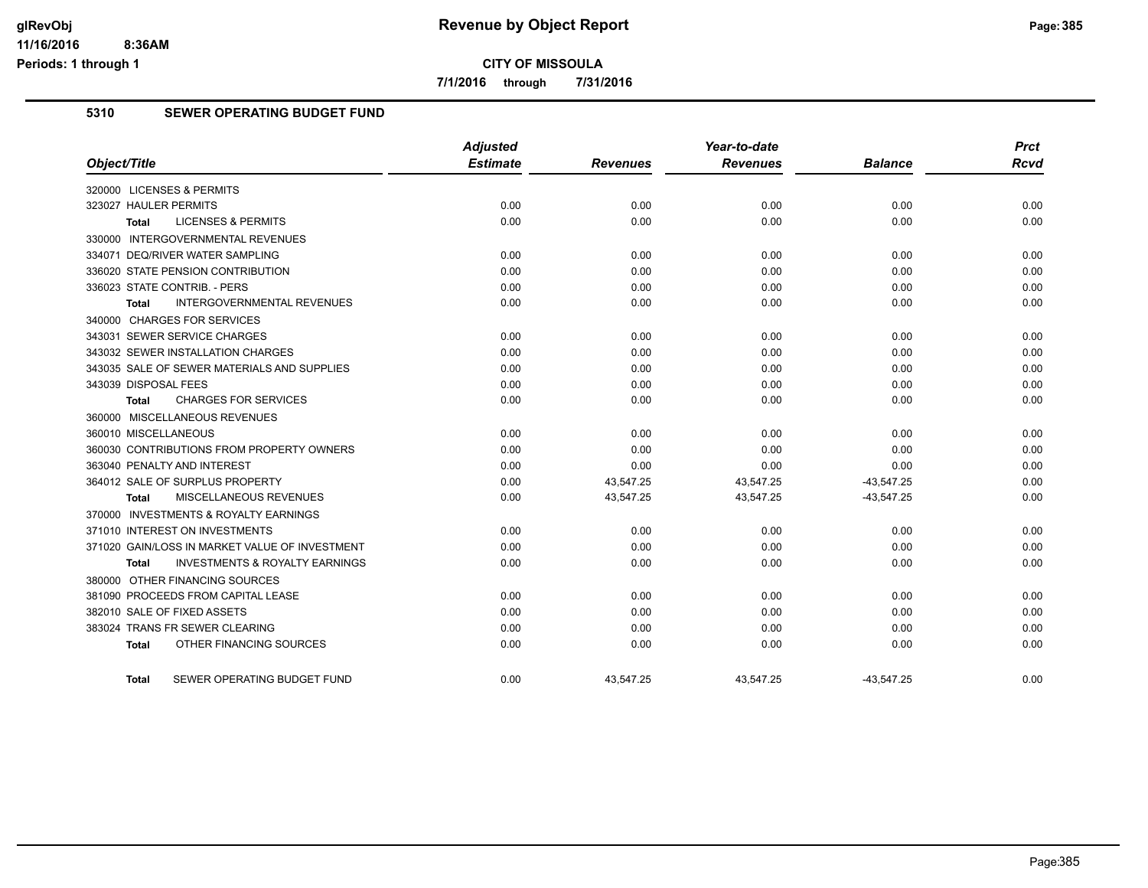**glRevObj Revenue by Object Report Page:385** 

**11/16/2016 8:36AM Periods: 1 through 1**

**CITY OF MISSOULA**

**7/1/2016 through 7/31/2016**

#### **5310 SEWER OPERATING BUDGET FUND**

|                                                    | <b>Adjusted</b> |                 | Year-to-date    |                | <b>Prct</b> |
|----------------------------------------------------|-----------------|-----------------|-----------------|----------------|-------------|
| Object/Title                                       | <b>Estimate</b> | <b>Revenues</b> | <b>Revenues</b> | <b>Balance</b> | <b>Rcvd</b> |
| 320000 LICENSES & PERMITS                          |                 |                 |                 |                |             |
| 323027 HAULER PERMITS                              | 0.00            | 0.00            | 0.00            | 0.00           | 0.00        |
| <b>LICENSES &amp; PERMITS</b><br>Total             | 0.00            | 0.00            | 0.00            | 0.00           | 0.00        |
| 330000 INTERGOVERNMENTAL REVENUES                  |                 |                 |                 |                |             |
| 334071 DEQ/RIVER WATER SAMPLING                    | 0.00            | 0.00            | 0.00            | 0.00           | 0.00        |
| 336020 STATE PENSION CONTRIBUTION                  | 0.00            | 0.00            | 0.00            | 0.00           | 0.00        |
| 336023 STATE CONTRIB. - PERS                       | 0.00            | 0.00            | 0.00            | 0.00           | 0.00        |
| <b>INTERGOVERNMENTAL REVENUES</b><br><b>Total</b>  | 0.00            | 0.00            | 0.00            | 0.00           | 0.00        |
| 340000 CHARGES FOR SERVICES                        |                 |                 |                 |                |             |
| 343031 SEWER SERVICE CHARGES                       | 0.00            | 0.00            | 0.00            | 0.00           | 0.00        |
| 343032 SEWER INSTALLATION CHARGES                  | 0.00            | 0.00            | 0.00            | 0.00           | 0.00        |
| 343035 SALE OF SEWER MATERIALS AND SUPPLIES        | 0.00            | 0.00            | 0.00            | 0.00           | 0.00        |
| 343039 DISPOSAL FEES                               | 0.00            | 0.00            | 0.00            | 0.00           | 0.00        |
| <b>CHARGES FOR SERVICES</b><br><b>Total</b>        | 0.00            | 0.00            | 0.00            | 0.00           | 0.00        |
| 360000 MISCELLANEOUS REVENUES                      |                 |                 |                 |                |             |
| 360010 MISCELLANEOUS                               | 0.00            | 0.00            | 0.00            | 0.00           | 0.00        |
| 360030 CONTRIBUTIONS FROM PROPERTY OWNERS          | 0.00            | 0.00            | 0.00            | 0.00           | 0.00        |
| 363040 PENALTY AND INTEREST                        | 0.00            | 0.00            | 0.00            | 0.00           | 0.00        |
| 364012 SALE OF SURPLUS PROPERTY                    | 0.00            | 43,547.25       | 43,547.25       | $-43,547.25$   | 0.00        |
| <b>MISCELLANEOUS REVENUES</b><br>Total             | 0.00            | 43,547.25       | 43,547.25       | $-43,547.25$   | 0.00        |
| 370000 INVESTMENTS & ROYALTY EARNINGS              |                 |                 |                 |                |             |
| 371010 INTEREST ON INVESTMENTS                     | 0.00            | 0.00            | 0.00            | 0.00           | 0.00        |
| 371020 GAIN/LOSS IN MARKET VALUE OF INVESTMENT     | 0.00            | 0.00            | 0.00            | 0.00           | 0.00        |
| <b>INVESTMENTS &amp; ROYALTY EARNINGS</b><br>Total | 0.00            | 0.00            | 0.00            | 0.00           | 0.00        |
| 380000 OTHER FINANCING SOURCES                     |                 |                 |                 |                |             |
| 381090 PROCEEDS FROM CAPITAL LEASE                 | 0.00            | 0.00            | 0.00            | 0.00           | 0.00        |
| 382010 SALE OF FIXED ASSETS                        | 0.00            | 0.00            | 0.00            | 0.00           | 0.00        |
| 383024 TRANS FR SEWER CLEARING                     | 0.00            | 0.00            | 0.00            | 0.00           | 0.00        |
| OTHER FINANCING SOURCES<br><b>Total</b>            | 0.00            | 0.00            | 0.00            | 0.00           | 0.00        |
| SEWER OPERATING BUDGET FUND<br><b>Total</b>        | 0.00            | 43,547.25       | 43,547.25       | $-43.547.25$   | 0.00        |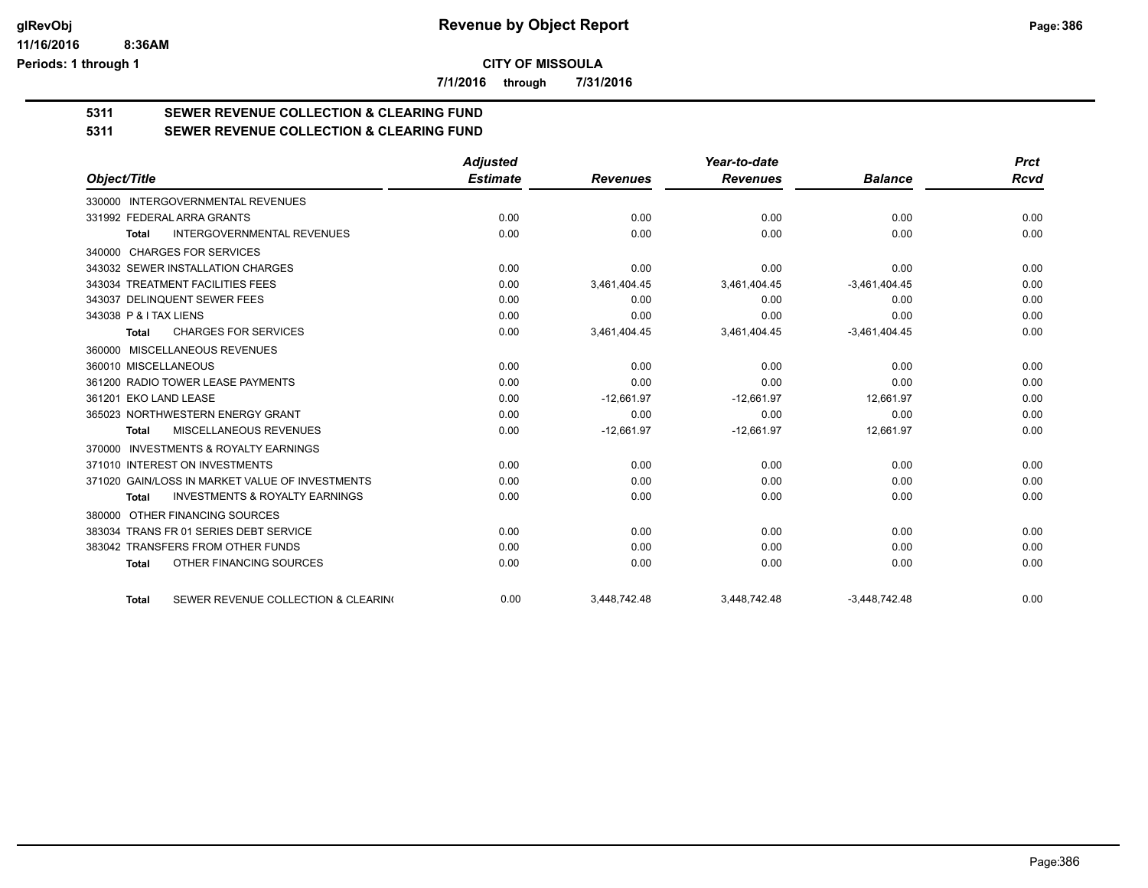**CITY OF MISSOULA**

**7/1/2016 through 7/31/2016**

# **5311 SEWER REVENUE COLLECTION & CLEARING FUND**

| 5311 | <b>SEWER REVENUE COLLECTION &amp; CLEARING FUND</b> |
|------|-----------------------------------------------------|
|      |                                                     |

|                                                     | Adjusted        |                 | Year-to-date    |                 | <b>Prct</b> |
|-----------------------------------------------------|-----------------|-----------------|-----------------|-----------------|-------------|
| Object/Title                                        | <b>Estimate</b> | <b>Revenues</b> | <b>Revenues</b> | <b>Balance</b>  | <b>Rcvd</b> |
| 330000 INTERGOVERNMENTAL REVENUES                   |                 |                 |                 |                 |             |
| 331992 FEDERAL ARRA GRANTS                          | 0.00            | 0.00            | 0.00            | 0.00            | 0.00        |
| <b>INTERGOVERNMENTAL REVENUES</b><br><b>Total</b>   | 0.00            | 0.00            | 0.00            | 0.00            | 0.00        |
| 340000 CHARGES FOR SERVICES                         |                 |                 |                 |                 |             |
| 343032 SEWER INSTALLATION CHARGES                   | 0.00            | 0.00            | 0.00            | 0.00            | 0.00        |
| 343034 TREATMENT FACILITIES FEES                    | 0.00            | 3,461,404.45    | 3,461,404.45    | $-3,461,404.45$ | 0.00        |
| 343037 DELINQUENT SEWER FEES                        | 0.00            | 0.00            | 0.00            | 0.00            | 0.00        |
| 343038 P & I TAX LIENS                              | 0.00            | 0.00            | 0.00            | 0.00            | 0.00        |
| <b>CHARGES FOR SERVICES</b><br><b>Total</b>         | 0.00            | 3,461,404.45    | 3,461,404.45    | $-3,461,404.45$ | 0.00        |
| 360000 MISCELLANEOUS REVENUES                       |                 |                 |                 |                 |             |
| 360010 MISCELLANEOUS                                | 0.00            | 0.00            | 0.00            | 0.00            | 0.00        |
| 361200 RADIO TOWER LEASE PAYMENTS                   | 0.00            | 0.00            | 0.00            | 0.00            | 0.00        |
| 361201 EKO LAND LEASE                               | 0.00            | $-12.661.97$    | $-12,661.97$    | 12.661.97       | 0.00        |
| 365023 NORTHWESTERN ENERGY GRANT                    | 0.00            | 0.00            | 0.00            | 0.00            | 0.00        |
| MISCELLANEOUS REVENUES<br><b>Total</b>              | 0.00            | $-12,661.97$    | $-12,661.97$    | 12,661.97       | 0.00        |
| <b>INVESTMENTS &amp; ROYALTY EARNINGS</b><br>370000 |                 |                 |                 |                 |             |
| 371010 INTEREST ON INVESTMENTS                      | 0.00            | 0.00            | 0.00            | 0.00            | 0.00        |
| 371020 GAIN/LOSS IN MARKET VALUE OF INVESTMENTS     | 0.00            | 0.00            | 0.00            | 0.00            | 0.00        |
| <b>INVESTMENTS &amp; ROYALTY EARNINGS</b><br>Total  | 0.00            | 0.00            | 0.00            | 0.00            | 0.00        |
| OTHER FINANCING SOURCES<br>380000                   |                 |                 |                 |                 |             |
| 383034 TRANS FR 01 SERIES DEBT SERVICE              | 0.00            | 0.00            | 0.00            | 0.00            | 0.00        |
| 383042 TRANSFERS FROM OTHER FUNDS                   | 0.00            | 0.00            | 0.00            | 0.00            | 0.00        |
| OTHER FINANCING SOURCES<br><b>Total</b>             | 0.00            | 0.00            | 0.00            | 0.00            | 0.00        |
| SEWER REVENUE COLLECTION & CLEARING<br><b>Total</b> | 0.00            | 3.448.742.48    | 3,448,742.48    | $-3.448.742.48$ | 0.00        |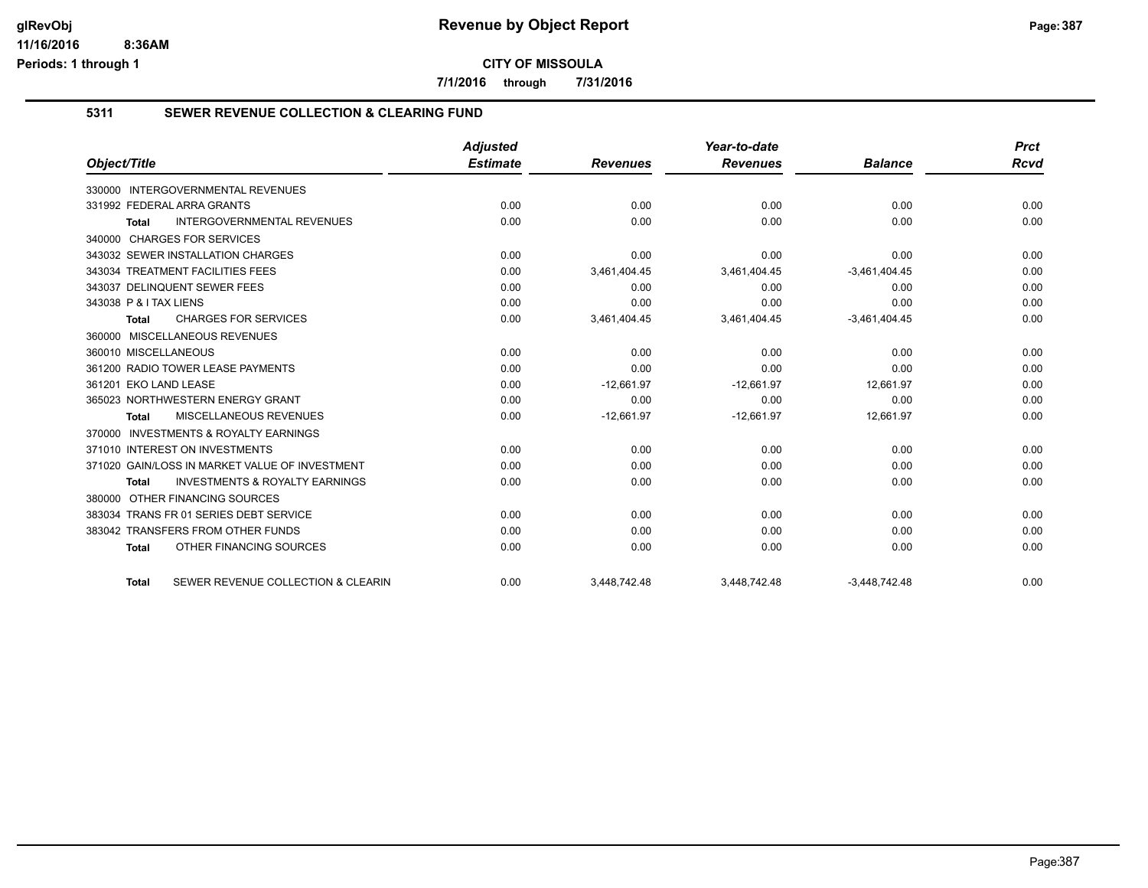**CITY OF MISSOULA**

**7/1/2016 through 7/31/2016**

#### **5311 SEWER REVENUE COLLECTION & CLEARING FUND**

|                                                           | <b>Adjusted</b> |                 | Year-to-date    |                 | <b>Prct</b> |
|-----------------------------------------------------------|-----------------|-----------------|-----------------|-----------------|-------------|
| Object/Title                                              | <b>Estimate</b> | <b>Revenues</b> | <b>Revenues</b> | <b>Balance</b>  | <b>Rcvd</b> |
| <b>INTERGOVERNMENTAL REVENUES</b><br>330000               |                 |                 |                 |                 |             |
| 331992 FEDERAL ARRA GRANTS                                | 0.00            | 0.00            | 0.00            | 0.00            | 0.00        |
| <b>INTERGOVERNMENTAL REVENUES</b><br><b>Total</b>         | 0.00            | 0.00            | 0.00            | 0.00            | 0.00        |
| 340000 CHARGES FOR SERVICES                               |                 |                 |                 |                 |             |
| 343032 SEWER INSTALLATION CHARGES                         | 0.00            | 0.00            | 0.00            | 0.00            | 0.00        |
| 343034 TREATMENT FACILITIES FEES                          | 0.00            | 3,461,404.45    | 3,461,404.45    | $-3,461,404.45$ | 0.00        |
| 343037 DELINQUENT SEWER FEES                              | 0.00            | 0.00            | 0.00            | 0.00            | 0.00        |
| 343038 P & I TAX LIENS                                    | 0.00            | 0.00            | 0.00            | 0.00            | 0.00        |
| <b>CHARGES FOR SERVICES</b><br><b>Total</b>               | 0.00            | 3,461,404.45    | 3,461,404.45    | $-3,461,404.45$ | 0.00        |
| 360000 MISCELLANEOUS REVENUES                             |                 |                 |                 |                 |             |
| 360010 MISCELLANEOUS                                      | 0.00            | 0.00            | 0.00            | 0.00            | 0.00        |
| 361200 RADIO TOWER LEASE PAYMENTS                         | 0.00            | 0.00            | 0.00            | 0.00            | 0.00        |
| 361201 EKO LAND LEASE                                     | 0.00            | $-12.661.97$    | $-12.661.97$    | 12,661.97       | 0.00        |
| 365023 NORTHWESTERN ENERGY GRANT                          | 0.00            | 0.00            | 0.00            | 0.00            | 0.00        |
| MISCELLANEOUS REVENUES<br><b>Total</b>                    | 0.00            | $-12,661.97$    | $-12,661.97$    | 12,661.97       | 0.00        |
| 370000 INVESTMENTS & ROYALTY EARNINGS                     |                 |                 |                 |                 |             |
| 371010 INTEREST ON INVESTMENTS                            | 0.00            | 0.00            | 0.00            | 0.00            | 0.00        |
| 371020 GAIN/LOSS IN MARKET VALUE OF INVESTMENT            | 0.00            | 0.00            | 0.00            | 0.00            | 0.00        |
| <b>INVESTMENTS &amp; ROYALTY EARNINGS</b><br><b>Total</b> | 0.00            | 0.00            | 0.00            | 0.00            | 0.00        |
| OTHER FINANCING SOURCES<br>380000                         |                 |                 |                 |                 |             |
| 383034 TRANS FR 01 SERIES DEBT SERVICE                    | 0.00            | 0.00            | 0.00            | 0.00            | 0.00        |
| 383042 TRANSFERS FROM OTHER FUNDS                         | 0.00            | 0.00            | 0.00            | 0.00            | 0.00        |
| OTHER FINANCING SOURCES<br><b>Total</b>                   | 0.00            | 0.00            | 0.00            | 0.00            | 0.00        |
| SEWER REVENUE COLLECTION & CLEARIN<br><b>Total</b>        | 0.00            | 3,448,742.48    | 3,448,742.48    | $-3,448,742.48$ | 0.00        |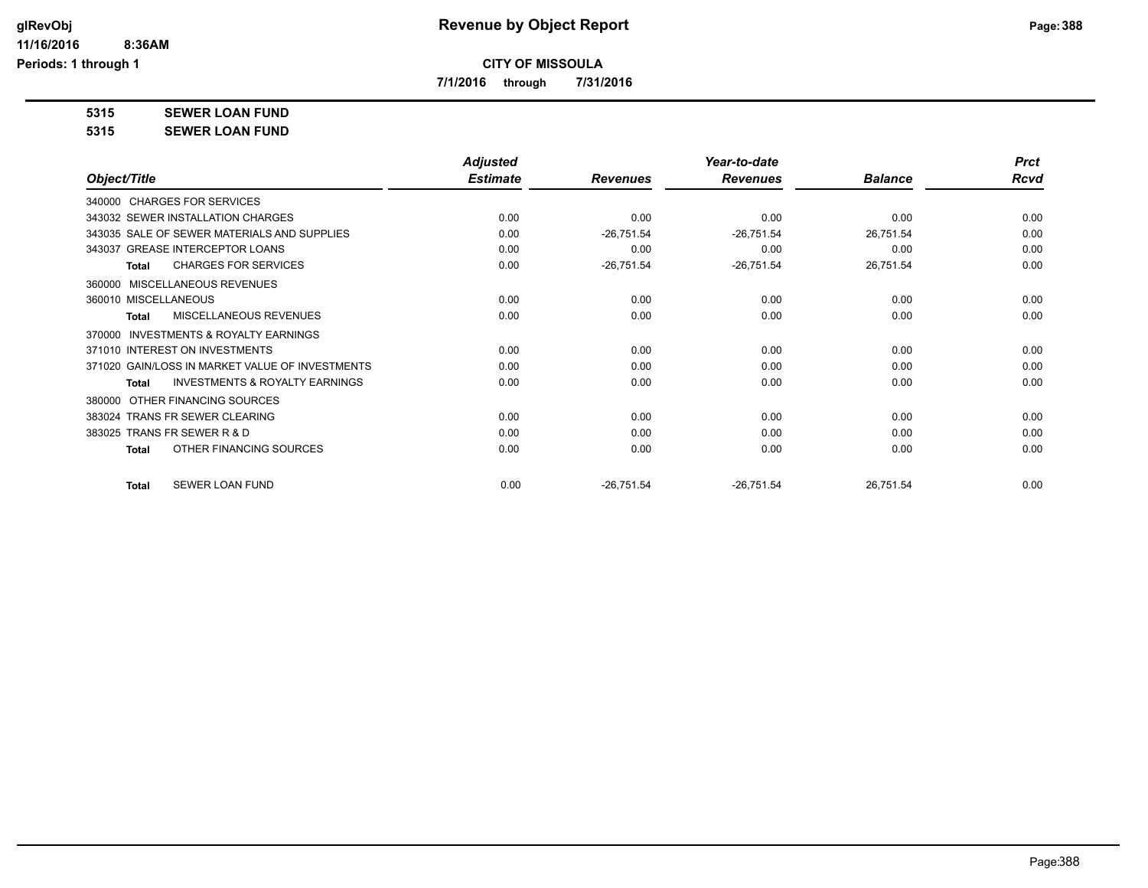**7/1/2016 through 7/31/2016**

**5315 SEWER LOAN FUND**

**5315 SEWER LOAN FUND**

|                                                           | <b>Adjusted</b> |                 | Year-to-date    |                | <b>Prct</b> |
|-----------------------------------------------------------|-----------------|-----------------|-----------------|----------------|-------------|
| Object/Title                                              | <b>Estimate</b> | <b>Revenues</b> | <b>Revenues</b> | <b>Balance</b> | Rcvd        |
| 340000 CHARGES FOR SERVICES                               |                 |                 |                 |                |             |
| 343032 SEWER INSTALLATION CHARGES                         | 0.00            | 0.00            | 0.00            | 0.00           | 0.00        |
| 343035 SALE OF SEWER MATERIALS AND SUPPLIES               | 0.00            | $-26,751.54$    | $-26,751.54$    | 26,751.54      | 0.00        |
| 343037 GREASE INTERCEPTOR LOANS                           | 0.00            | 0.00            | 0.00            | 0.00           | 0.00        |
| <b>CHARGES FOR SERVICES</b><br><b>Total</b>               | 0.00            | $-26,751.54$    | $-26,751.54$    | 26,751.54      | 0.00        |
| MISCELLANEOUS REVENUES<br>360000                          |                 |                 |                 |                |             |
| 360010 MISCELLANEOUS                                      | 0.00            | 0.00            | 0.00            | 0.00           | 0.00        |
| <b>MISCELLANEOUS REVENUES</b><br><b>Total</b>             | 0.00            | 0.00            | 0.00            | 0.00           | 0.00        |
| INVESTMENTS & ROYALTY EARNINGS<br>370000                  |                 |                 |                 |                |             |
| 371010 INTEREST ON INVESTMENTS                            | 0.00            | 0.00            | 0.00            | 0.00           | 0.00        |
| 371020 GAIN/LOSS IN MARKET VALUE OF INVESTMENTS           | 0.00            | 0.00            | 0.00            | 0.00           | 0.00        |
| <b>INVESTMENTS &amp; ROYALTY EARNINGS</b><br><b>Total</b> | 0.00            | 0.00            | 0.00            | 0.00           | 0.00        |
| OTHER FINANCING SOURCES<br>380000                         |                 |                 |                 |                |             |
| 383024 TRANS FR SEWER CLEARING                            | 0.00            | 0.00            | 0.00            | 0.00           | 0.00        |
| 383025 TRANS FR SEWER R & D                               | 0.00            | 0.00            | 0.00            | 0.00           | 0.00        |
| OTHER FINANCING SOURCES<br><b>Total</b>                   | 0.00            | 0.00            | 0.00            | 0.00           | 0.00        |
| <b>SEWER LOAN FUND</b><br><b>Total</b>                    | 0.00            | $-26,751.54$    | $-26,751.54$    | 26,751.54      | 0.00        |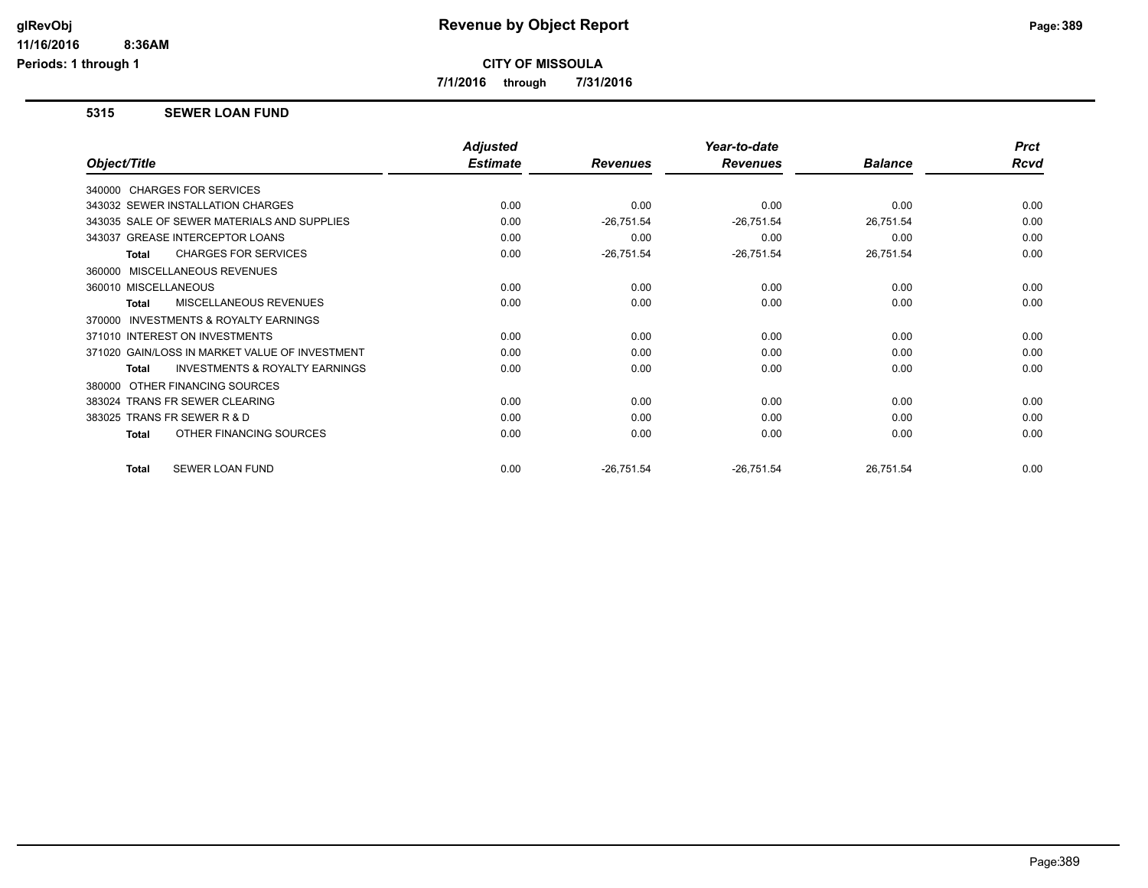**CITY OF MISSOULA**

**7/1/2016 through 7/31/2016**

#### **5315 SEWER LOAN FUND**

|                                                           | <b>Adjusted</b> |                 | Year-to-date    |                | <b>Prct</b> |
|-----------------------------------------------------------|-----------------|-----------------|-----------------|----------------|-------------|
| Object/Title                                              | <b>Estimate</b> | <b>Revenues</b> | <b>Revenues</b> | <b>Balance</b> | <b>Rcvd</b> |
| 340000 CHARGES FOR SERVICES                               |                 |                 |                 |                |             |
| 343032 SEWER INSTALLATION CHARGES                         | 0.00            | 0.00            | 0.00            | 0.00           | 0.00        |
| 343035 SALE OF SEWER MATERIALS AND SUPPLIES               | 0.00            | $-26,751.54$    | $-26,751.54$    | 26,751.54      | 0.00        |
| 343037 GREASE INTERCEPTOR LOANS                           | 0.00            | 0.00            | 0.00            | 0.00           | 0.00        |
| <b>CHARGES FOR SERVICES</b><br><b>Total</b>               | 0.00            | $-26,751.54$    | $-26,751.54$    | 26,751.54      | 0.00        |
| 360000 MISCELLANEOUS REVENUES                             |                 |                 |                 |                |             |
| 360010 MISCELLANEOUS                                      | 0.00            | 0.00            | 0.00            | 0.00           | 0.00        |
| <b>MISCELLANEOUS REVENUES</b><br><b>Total</b>             | 0.00            | 0.00            | 0.00            | 0.00           | 0.00        |
| <b>INVESTMENTS &amp; ROYALTY EARNINGS</b><br>370000       |                 |                 |                 |                |             |
| 371010 INTEREST ON INVESTMENTS                            | 0.00            | 0.00            | 0.00            | 0.00           | 0.00        |
| 371020 GAIN/LOSS IN MARKET VALUE OF INVESTMENT            | 0.00            | 0.00            | 0.00            | 0.00           | 0.00        |
| <b>INVESTMENTS &amp; ROYALTY EARNINGS</b><br><b>Total</b> | 0.00            | 0.00            | 0.00            | 0.00           | 0.00        |
| OTHER FINANCING SOURCES<br>380000                         |                 |                 |                 |                |             |
| 383024 TRANS FR SEWER CLEARING                            | 0.00            | 0.00            | 0.00            | 0.00           | 0.00        |
| 383025 TRANS FR SEWER R & D                               | 0.00            | 0.00            | 0.00            | 0.00           | 0.00        |
| OTHER FINANCING SOURCES<br><b>Total</b>                   | 0.00            | 0.00            | 0.00            | 0.00           | 0.00        |
| SEWER LOAN FUND<br><b>Total</b>                           | 0.00            | $-26,751.54$    | $-26,751.54$    | 26,751.54      | 0.00        |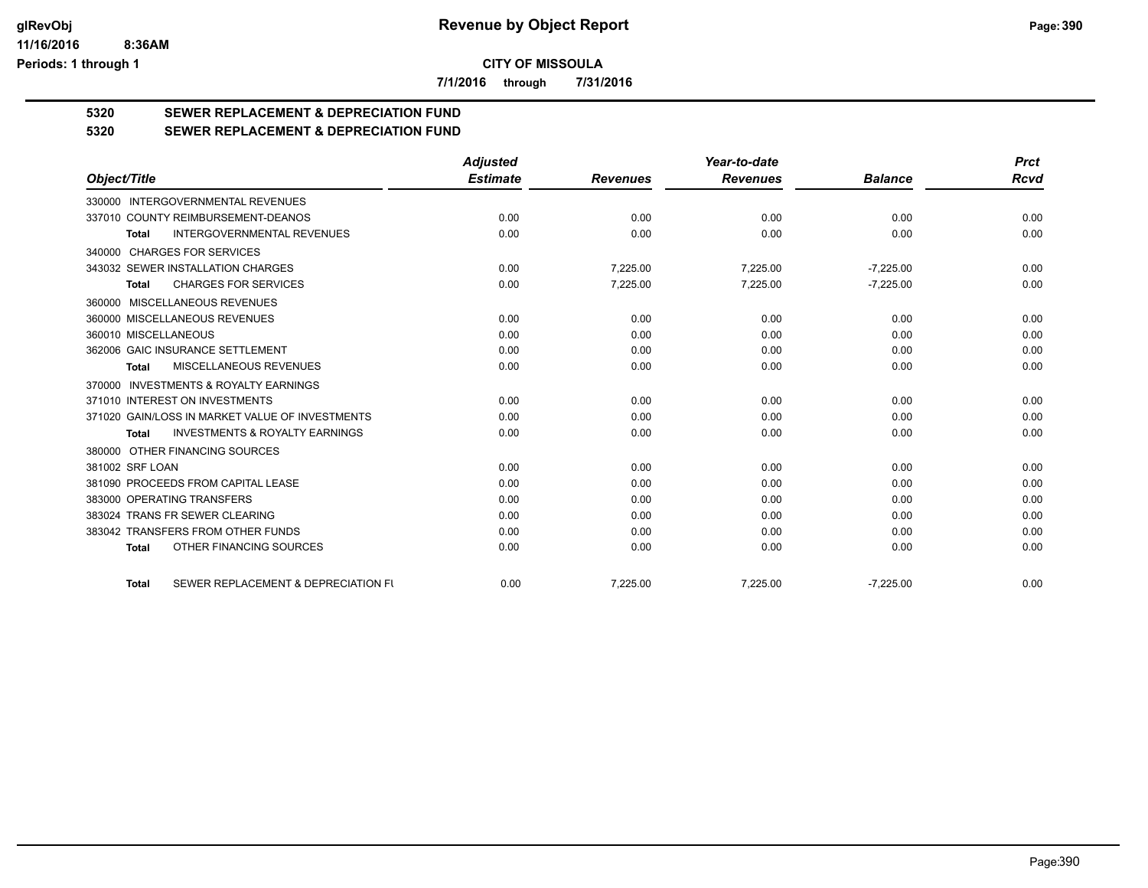**11/16/2016**

 **8:36AM Periods: 1 through 1**

**CITY OF MISSOULA**

**7/1/2016 through 7/31/2016**

# **5320 SEWER REPLACEMENT & DEPRECIATION FUND**

## **5320 SEWER REPLACEMENT & DEPRECIATION FUND**

|                                                           | <b>Adjusted</b> |                 | Year-to-date    |                | <b>Prct</b> |
|-----------------------------------------------------------|-----------------|-----------------|-----------------|----------------|-------------|
| Object/Title                                              | <b>Estimate</b> | <b>Revenues</b> | <b>Revenues</b> | <b>Balance</b> | <b>Rcvd</b> |
| 330000 INTERGOVERNMENTAL REVENUES                         |                 |                 |                 |                |             |
| 337010 COUNTY REIMBURSEMENT-DEANOS                        | 0.00            | 0.00            | 0.00            | 0.00           | 0.00        |
| <b>INTERGOVERNMENTAL REVENUES</b><br><b>Total</b>         | 0.00            | 0.00            | 0.00            | 0.00           | 0.00        |
| 340000 CHARGES FOR SERVICES                               |                 |                 |                 |                |             |
| 343032 SEWER INSTALLATION CHARGES                         | 0.00            | 7,225.00        | 7,225.00        | $-7,225.00$    | 0.00        |
| <b>CHARGES FOR SERVICES</b><br><b>Total</b>               | 0.00            | 7,225.00        | 7,225.00        | $-7,225.00$    | 0.00        |
| 360000 MISCELLANEOUS REVENUES                             |                 |                 |                 |                |             |
| 360000 MISCELLANEOUS REVENUES                             | 0.00            | 0.00            | 0.00            | 0.00           | 0.00        |
| 360010 MISCELLANEOUS                                      | 0.00            | 0.00            | 0.00            | 0.00           | 0.00        |
| 362006 GAIC INSURANCE SETTLEMENT                          | 0.00            | 0.00            | 0.00            | 0.00           | 0.00        |
| <b>MISCELLANEOUS REVENUES</b><br>Total                    | 0.00            | 0.00            | 0.00            | 0.00           | 0.00        |
| 370000 INVESTMENTS & ROYALTY EARNINGS                     |                 |                 |                 |                |             |
| 371010 INTEREST ON INVESTMENTS                            | 0.00            | 0.00            | 0.00            | 0.00           | 0.00        |
| 371020 GAIN/LOSS IN MARKET VALUE OF INVESTMENTS           | 0.00            | 0.00            | 0.00            | 0.00           | 0.00        |
| <b>INVESTMENTS &amp; ROYALTY EARNINGS</b><br><b>Total</b> | 0.00            | 0.00            | 0.00            | 0.00           | 0.00        |
| 380000 OTHER FINANCING SOURCES                            |                 |                 |                 |                |             |
| 381002 SRF LOAN                                           | 0.00            | 0.00            | 0.00            | 0.00           | 0.00        |
| 381090 PROCEEDS FROM CAPITAL LEASE                        | 0.00            | 0.00            | 0.00            | 0.00           | 0.00        |
| 383000 OPERATING TRANSFERS                                | 0.00            | 0.00            | 0.00            | 0.00           | 0.00        |
| 383024 TRANS FR SEWER CLEARING                            | 0.00            | 0.00            | 0.00            | 0.00           | 0.00        |
| 383042 TRANSFERS FROM OTHER FUNDS                         | 0.00            | 0.00            | 0.00            | 0.00           | 0.00        |
| OTHER FINANCING SOURCES<br><b>Total</b>                   | 0.00            | 0.00            | 0.00            | 0.00           | 0.00        |
| SEWER REPLACEMENT & DEPRECIATION FU<br><b>Total</b>       | 0.00            | 7,225.00        | 7,225.00        | $-7,225.00$    | 0.00        |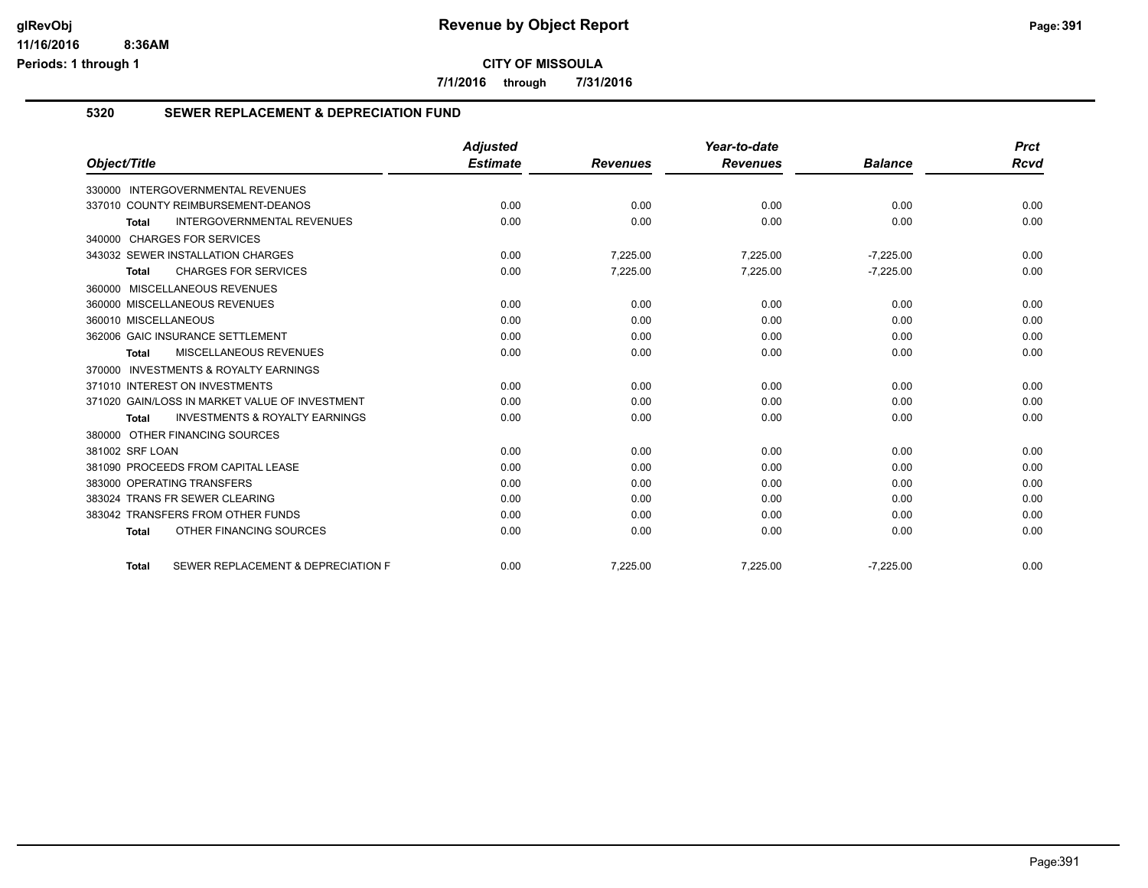**8:36AM Periods: 1 through 1**

**CITY OF MISSOULA**

**7/1/2016 through 7/31/2016**

#### **5320 SEWER REPLACEMENT & DEPRECIATION FUND**

|                                                           | <b>Adjusted</b> |                 | Year-to-date    |                | <b>Prct</b> |
|-----------------------------------------------------------|-----------------|-----------------|-----------------|----------------|-------------|
| Object/Title                                              | <b>Estimate</b> | <b>Revenues</b> | <b>Revenues</b> | <b>Balance</b> | Rcvd        |
| 330000 INTERGOVERNMENTAL REVENUES                         |                 |                 |                 |                |             |
| 337010 COUNTY REIMBURSEMENT-DEANOS                        | 0.00            | 0.00            | 0.00            | 0.00           | 0.00        |
| <b>INTERGOVERNMENTAL REVENUES</b><br><b>Total</b>         | 0.00            | 0.00            | 0.00            | 0.00           | 0.00        |
| 340000 CHARGES FOR SERVICES                               |                 |                 |                 |                |             |
| 343032 SEWER INSTALLATION CHARGES                         | 0.00            | 7,225.00        | 7,225.00        | $-7,225.00$    | 0.00        |
| <b>CHARGES FOR SERVICES</b><br><b>Total</b>               | 0.00            | 7,225.00        | 7,225.00        | $-7,225.00$    | 0.00        |
| 360000 MISCELLANEOUS REVENUES                             |                 |                 |                 |                |             |
| 360000 MISCELLANEOUS REVENUES                             | 0.00            | 0.00            | 0.00            | 0.00           | 0.00        |
| 360010 MISCELLANEOUS                                      | 0.00            | 0.00            | 0.00            | 0.00           | 0.00        |
| 362006 GAIC INSURANCE SETTLEMENT                          | 0.00            | 0.00            | 0.00            | 0.00           | 0.00        |
| <b>MISCELLANEOUS REVENUES</b><br><b>Total</b>             | 0.00            | 0.00            | 0.00            | 0.00           | 0.00        |
| 370000 INVESTMENTS & ROYALTY EARNINGS                     |                 |                 |                 |                |             |
| 371010 INTEREST ON INVESTMENTS                            | 0.00            | 0.00            | 0.00            | 0.00           | 0.00        |
| 371020 GAIN/LOSS IN MARKET VALUE OF INVESTMENT            | 0.00            | 0.00            | 0.00            | 0.00           | 0.00        |
| <b>INVESTMENTS &amp; ROYALTY EARNINGS</b><br><b>Total</b> | 0.00            | 0.00            | 0.00            | 0.00           | 0.00        |
| 380000 OTHER FINANCING SOURCES                            |                 |                 |                 |                |             |
| 381002 SRF LOAN                                           | 0.00            | 0.00            | 0.00            | 0.00           | 0.00        |
| 381090 PROCEEDS FROM CAPITAL LEASE                        | 0.00            | 0.00            | 0.00            | 0.00           | 0.00        |
| 383000 OPERATING TRANSFERS                                | 0.00            | 0.00            | 0.00            | 0.00           | 0.00        |
| 383024 TRANS FR SEWER CLEARING                            | 0.00            | 0.00            | 0.00            | 0.00           | 0.00        |
| 383042 TRANSFERS FROM OTHER FUNDS                         | 0.00            | 0.00            | 0.00            | 0.00           | 0.00        |
| OTHER FINANCING SOURCES<br><b>Total</b>                   | 0.00            | 0.00            | 0.00            | 0.00           | 0.00        |
| SEWER REPLACEMENT & DEPRECIATION F<br><b>Total</b>        | 0.00            | 7.225.00        | 7.225.00        | $-7.225.00$    | 0.00        |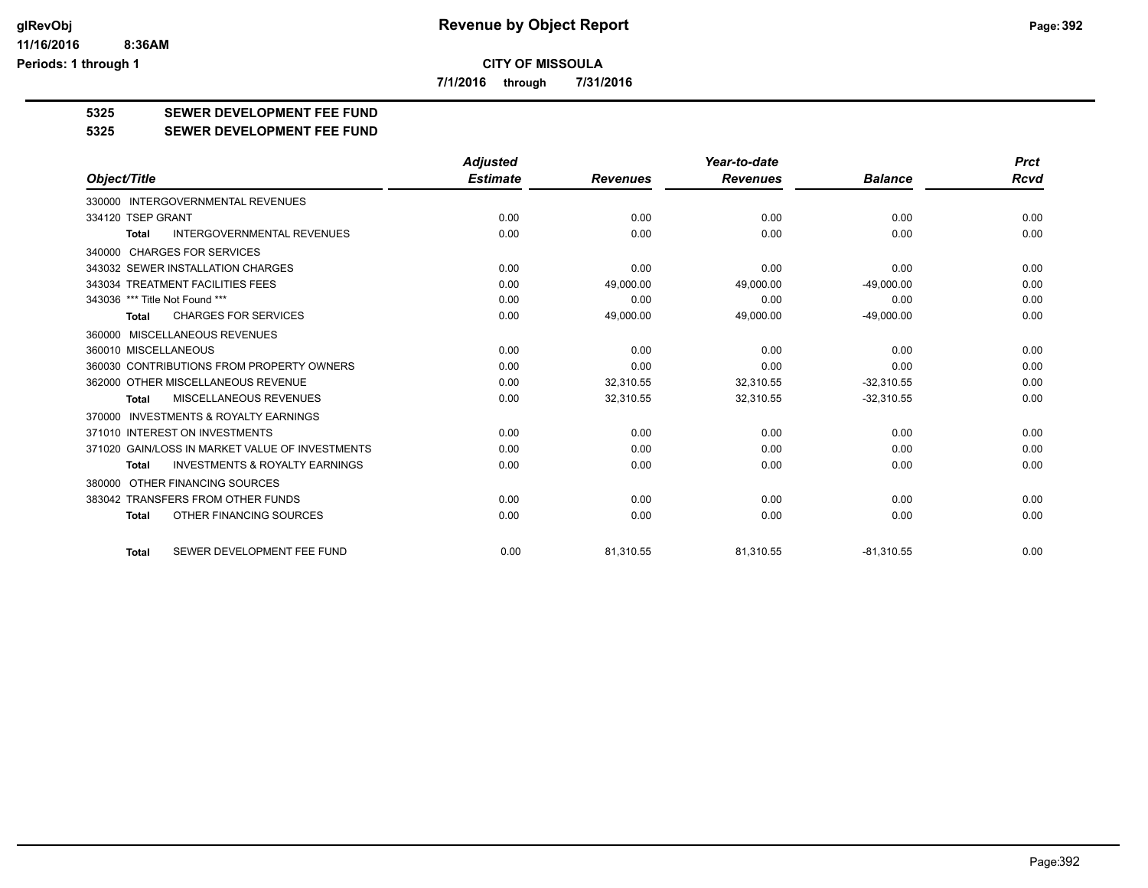**CITY OF MISSOULA**

**7/1/2016 through 7/31/2016**

**5325 SEWER DEVELOPMENT FEE FUND**

**5325 SEWER DEVELOPMENT FEE FUND**

|                                                           | <b>Adjusted</b> |                 | Year-to-date    |                | <b>Prct</b><br>Rcvd |
|-----------------------------------------------------------|-----------------|-----------------|-----------------|----------------|---------------------|
| Object/Title                                              | <b>Estimate</b> | <b>Revenues</b> | <b>Revenues</b> | <b>Balance</b> |                     |
| 330000 INTERGOVERNMENTAL REVENUES                         |                 |                 |                 |                |                     |
| 334120 TSEP GRANT                                         | 0.00            | 0.00            | 0.00            | 0.00           | 0.00                |
| <b>INTERGOVERNMENTAL REVENUES</b><br><b>Total</b>         | 0.00            | 0.00            | 0.00            | 0.00           | 0.00                |
| 340000 CHARGES FOR SERVICES                               |                 |                 |                 |                |                     |
| 343032 SEWER INSTALLATION CHARGES                         | 0.00            | 0.00            | 0.00            | 0.00           | 0.00                |
| 343034 TREATMENT FACILITIES FEES                          | 0.00            | 49,000.00       | 49,000.00       | $-49,000.00$   | 0.00                |
| 343036 *** Title Not Found ***                            | 0.00            | 0.00            | 0.00            | 0.00           | 0.00                |
| <b>CHARGES FOR SERVICES</b><br><b>Total</b>               | 0.00            | 49,000.00       | 49,000.00       | $-49,000.00$   | 0.00                |
| 360000 MISCELLANEOUS REVENUES                             |                 |                 |                 |                |                     |
| 360010 MISCELLANEOUS                                      | 0.00            | 0.00            | 0.00            | 0.00           | 0.00                |
| 360030 CONTRIBUTIONS FROM PROPERTY OWNERS                 | 0.00            | 0.00            | 0.00            | 0.00           | 0.00                |
| 362000 OTHER MISCELLANEOUS REVENUE                        | 0.00            | 32,310.55       | 32,310.55       | $-32,310.55$   | 0.00                |
| MISCELLANEOUS REVENUES<br><b>Total</b>                    | 0.00            | 32,310.55       | 32,310.55       | $-32,310.55$   | 0.00                |
| <b>INVESTMENTS &amp; ROYALTY EARNINGS</b><br>370000       |                 |                 |                 |                |                     |
| 371010 INTEREST ON INVESTMENTS                            | 0.00            | 0.00            | 0.00            | 0.00           | 0.00                |
| 371020 GAIN/LOSS IN MARKET VALUE OF INVESTMENTS           | 0.00            | 0.00            | 0.00            | 0.00           | 0.00                |
| <b>INVESTMENTS &amp; ROYALTY EARNINGS</b><br><b>Total</b> | 0.00            | 0.00            | 0.00            | 0.00           | 0.00                |
| 380000 OTHER FINANCING SOURCES                            |                 |                 |                 |                |                     |
| 383042 TRANSFERS FROM OTHER FUNDS                         | 0.00            | 0.00            | 0.00            | 0.00           | 0.00                |
| OTHER FINANCING SOURCES<br>Total                          | 0.00            | 0.00            | 0.00            | 0.00           | 0.00                |
| SEWER DEVELOPMENT FEE FUND<br><b>Total</b>                | 0.00            | 81,310.55       | 81,310.55       | $-81,310.55$   | 0.00                |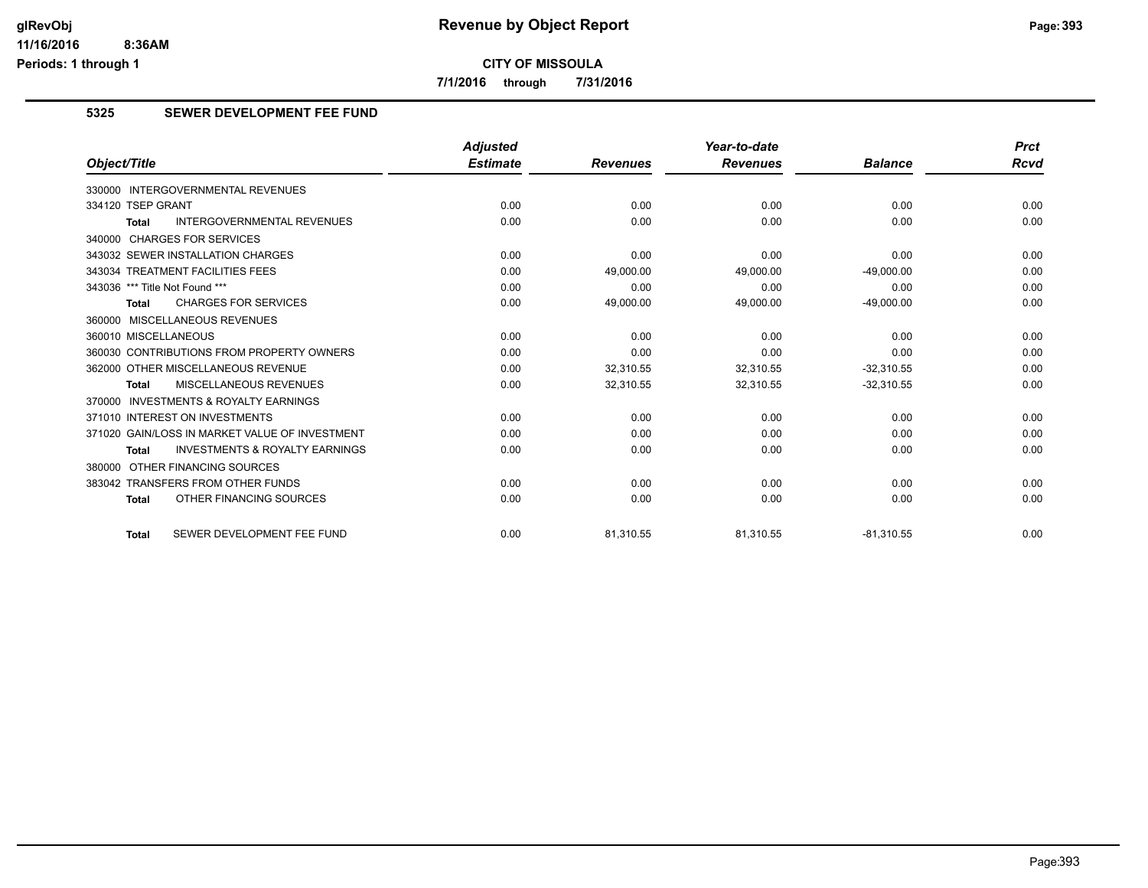**CITY OF MISSOULA**

**7/1/2016 through 7/31/2016**

#### **5325 SEWER DEVELOPMENT FEE FUND**

|                                                           | <b>Adjusted</b> |                 | Year-to-date    |                | <b>Prct</b> |
|-----------------------------------------------------------|-----------------|-----------------|-----------------|----------------|-------------|
| Object/Title                                              | <b>Estimate</b> | <b>Revenues</b> | <b>Revenues</b> | <b>Balance</b> | <b>Rcvd</b> |
| 330000 INTERGOVERNMENTAL REVENUES                         |                 |                 |                 |                |             |
| 334120 TSEP GRANT                                         | 0.00            | 0.00            | 0.00            | 0.00           | 0.00        |
| <b>INTERGOVERNMENTAL REVENUES</b><br><b>Total</b>         | 0.00            | 0.00            | 0.00            | 0.00           | 0.00        |
| 340000 CHARGES FOR SERVICES                               |                 |                 |                 |                |             |
| 343032 SEWER INSTALLATION CHARGES                         | 0.00            | 0.00            | 0.00            | 0.00           | 0.00        |
| 343034 TREATMENT FACILITIES FEES                          | 0.00            | 49,000.00       | 49,000.00       | $-49,000.00$   | 0.00        |
| 343036 *** Title Not Found ***                            | 0.00            | 0.00            | 0.00            | 0.00           | 0.00        |
| <b>CHARGES FOR SERVICES</b><br><b>Total</b>               | 0.00            | 49,000.00       | 49,000.00       | $-49,000.00$   | 0.00        |
| 360000 MISCELLANEOUS REVENUES                             |                 |                 |                 |                |             |
| 360010 MISCELLANEOUS                                      | 0.00            | 0.00            | 0.00            | 0.00           | 0.00        |
| 360030 CONTRIBUTIONS FROM PROPERTY OWNERS                 | 0.00            | 0.00            | 0.00            | 0.00           | 0.00        |
| 362000 OTHER MISCELLANEOUS REVENUE                        | 0.00            | 32.310.55       | 32.310.55       | $-32,310.55$   | 0.00        |
| <b>MISCELLANEOUS REVENUES</b><br><b>Total</b>             | 0.00            | 32,310.55       | 32,310.55       | $-32,310.55$   | 0.00        |
| 370000 INVESTMENTS & ROYALTY EARNINGS                     |                 |                 |                 |                |             |
| 371010 INTEREST ON INVESTMENTS                            | 0.00            | 0.00            | 0.00            | 0.00           | 0.00        |
| 371020 GAIN/LOSS IN MARKET VALUE OF INVESTMENT            | 0.00            | 0.00            | 0.00            | 0.00           | 0.00        |
| <b>INVESTMENTS &amp; ROYALTY EARNINGS</b><br><b>Total</b> | 0.00            | 0.00            | 0.00            | 0.00           | 0.00        |
| 380000 OTHER FINANCING SOURCES                            |                 |                 |                 |                |             |
| 383042 TRANSFERS FROM OTHER FUNDS                         | 0.00            | 0.00            | 0.00            | 0.00           | 0.00        |
| OTHER FINANCING SOURCES<br><b>Total</b>                   | 0.00            | 0.00            | 0.00            | 0.00           | 0.00        |
| SEWER DEVELOPMENT FEE FUND<br><b>Total</b>                | 0.00            | 81,310.55       | 81,310.55       | $-81,310.55$   | 0.00        |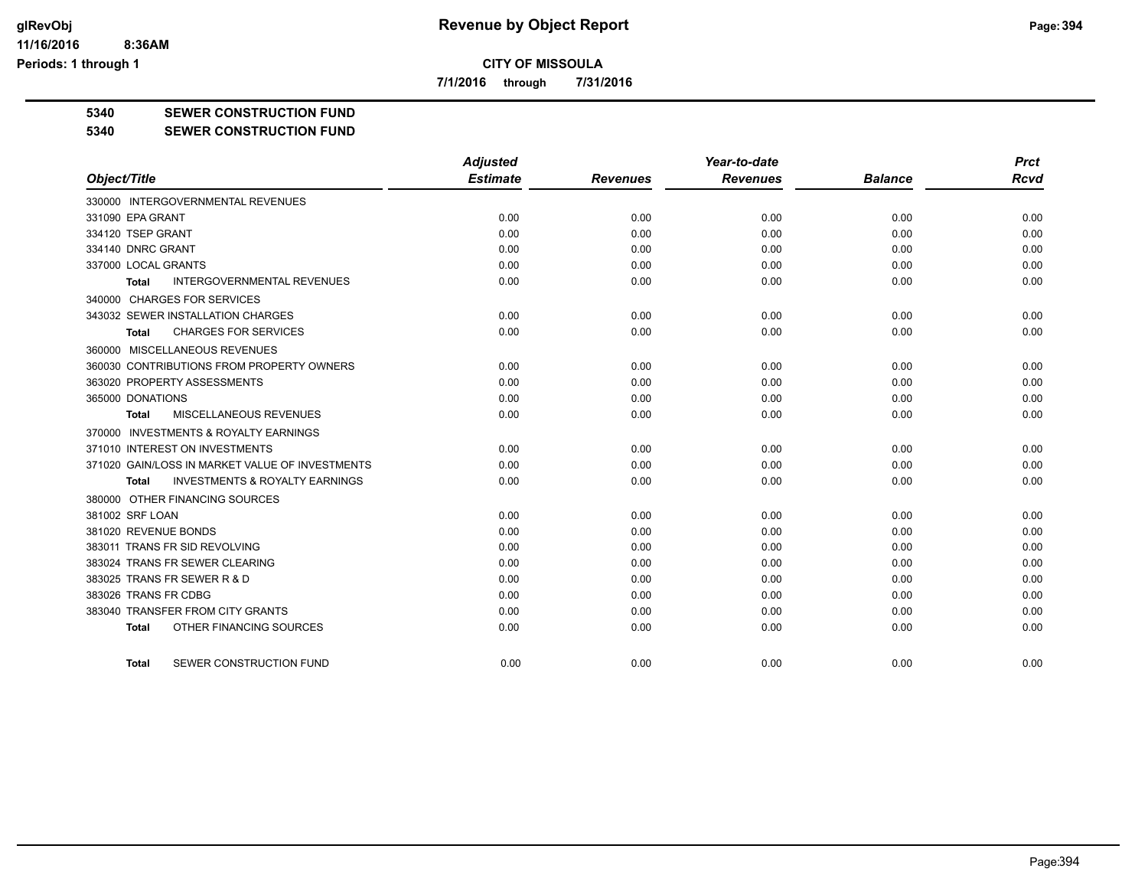**11/16/2016**

**Periods: 1 through 1**

 **8:36AM**

**CITY OF MISSOULA**

**7/1/2016 through 7/31/2016**

**5340 SEWER CONSTRUCTION FUND**

**5340 SEWER CONSTRUCTION FUND**

|                                                    | <b>Adjusted</b> |                 | Year-to-date    |                | <b>Prct</b> |
|----------------------------------------------------|-----------------|-----------------|-----------------|----------------|-------------|
| Object/Title                                       | <b>Estimate</b> | <b>Revenues</b> | <b>Revenues</b> | <b>Balance</b> | <b>Rcvd</b> |
| 330000 INTERGOVERNMENTAL REVENUES                  |                 |                 |                 |                |             |
| 331090 EPA GRANT                                   | 0.00            | 0.00            | 0.00            | 0.00           | 0.00        |
| 334120 TSEP GRANT                                  | 0.00            | 0.00            | 0.00            | 0.00           | 0.00        |
| 334140 DNRC GRANT                                  | 0.00            | 0.00            | 0.00            | 0.00           | 0.00        |
| 337000 LOCAL GRANTS                                | 0.00            | 0.00            | 0.00            | 0.00           | 0.00        |
| <b>INTERGOVERNMENTAL REVENUES</b><br><b>Total</b>  | 0.00            | 0.00            | 0.00            | 0.00           | 0.00        |
| 340000 CHARGES FOR SERVICES                        |                 |                 |                 |                |             |
| 343032 SEWER INSTALLATION CHARGES                  | 0.00            | 0.00            | 0.00            | 0.00           | 0.00        |
| <b>CHARGES FOR SERVICES</b><br>Total               | 0.00            | 0.00            | 0.00            | 0.00           | 0.00        |
| 360000 MISCELLANEOUS REVENUES                      |                 |                 |                 |                |             |
| 360030 CONTRIBUTIONS FROM PROPERTY OWNERS          | 0.00            | 0.00            | 0.00            | 0.00           | 0.00        |
| 363020 PROPERTY ASSESSMENTS                        | 0.00            | 0.00            | 0.00            | 0.00           | 0.00        |
| 365000 DONATIONS                                   | 0.00            | 0.00            | 0.00            | 0.00           | 0.00        |
| <b>MISCELLANEOUS REVENUES</b><br><b>Total</b>      | 0.00            | 0.00            | 0.00            | 0.00           | 0.00        |
| 370000 INVESTMENTS & ROYALTY EARNINGS              |                 |                 |                 |                |             |
| 371010 INTEREST ON INVESTMENTS                     | 0.00            | 0.00            | 0.00            | 0.00           | 0.00        |
| 371020 GAIN/LOSS IN MARKET VALUE OF INVESTMENTS    | 0.00            | 0.00            | 0.00            | 0.00           | 0.00        |
| <b>INVESTMENTS &amp; ROYALTY EARNINGS</b><br>Total | 0.00            | 0.00            | 0.00            | 0.00           | 0.00        |
| 380000 OTHER FINANCING SOURCES                     |                 |                 |                 |                |             |
| 381002 SRF LOAN                                    | 0.00            | 0.00            | 0.00            | 0.00           | 0.00        |
| 381020 REVENUE BONDS                               | 0.00            | 0.00            | 0.00            | 0.00           | 0.00        |
| 383011 TRANS FR SID REVOLVING                      | 0.00            | 0.00            | 0.00            | 0.00           | 0.00        |
| 383024 TRANS FR SEWER CLEARING                     | 0.00            | 0.00            | 0.00            | 0.00           | 0.00        |
| 383025 TRANS FR SEWER R & D                        | 0.00            | 0.00            | 0.00            | 0.00           | 0.00        |
| 383026 TRANS FR CDBG                               | 0.00            | 0.00            | 0.00            | 0.00           | 0.00        |
| 383040 TRANSFER FROM CITY GRANTS                   | 0.00            | 0.00            | 0.00            | 0.00           | 0.00        |
| OTHER FINANCING SOURCES<br><b>Total</b>            | 0.00            | 0.00            | 0.00            | 0.00           | 0.00        |
| SEWER CONSTRUCTION FUND<br>Total                   | 0.00            | 0.00            | 0.00            | 0.00           | 0.00        |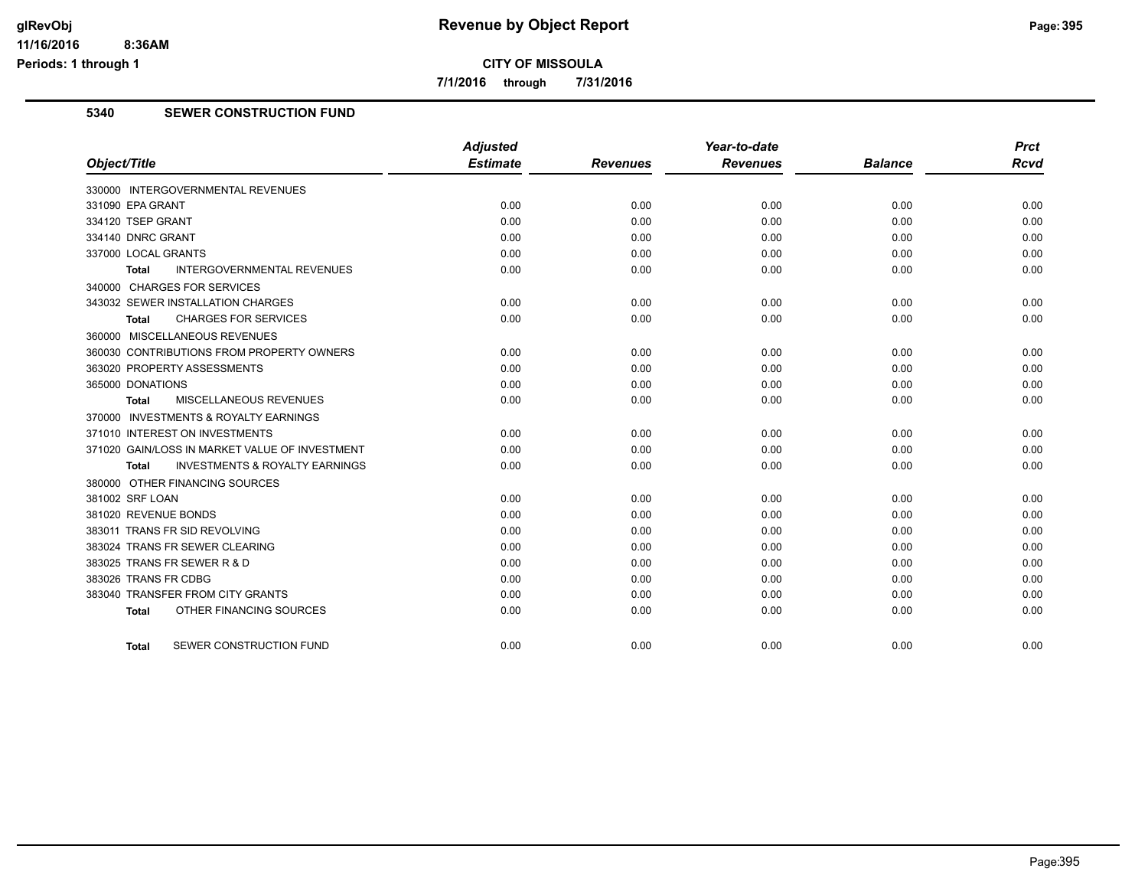**glRevObj Revenue by Object Report Page:395** 

**CITY OF MISSOULA**

**7/1/2016 through 7/31/2016**

#### **5340 SEWER CONSTRUCTION FUND**

|                                                    | <b>Adjusted</b><br><b>Estimate</b> |                 | Year-to-date    |                | <b>Prct</b> |
|----------------------------------------------------|------------------------------------|-----------------|-----------------|----------------|-------------|
| Object/Title                                       |                                    | <b>Revenues</b> | <b>Revenues</b> | <b>Balance</b> | <b>Rcvd</b> |
| 330000 INTERGOVERNMENTAL REVENUES                  |                                    |                 |                 |                |             |
| 331090 EPA GRANT                                   | 0.00                               | 0.00            | 0.00            | 0.00           | 0.00        |
| 334120 TSEP GRANT                                  | 0.00                               | 0.00            | 0.00            | 0.00           | 0.00        |
| 334140 DNRC GRANT                                  | 0.00                               | 0.00            | 0.00            | 0.00           | 0.00        |
| 337000 LOCAL GRANTS                                | 0.00                               | 0.00            | 0.00            | 0.00           | 0.00        |
| <b>INTERGOVERNMENTAL REVENUES</b><br>Total         | 0.00                               | 0.00            | 0.00            | 0.00           | 0.00        |
| 340000 CHARGES FOR SERVICES                        |                                    |                 |                 |                |             |
| 343032 SEWER INSTALLATION CHARGES                  | 0.00                               | 0.00            | 0.00            | 0.00           | 0.00        |
| <b>CHARGES FOR SERVICES</b><br><b>Total</b>        | 0.00                               | 0.00            | 0.00            | 0.00           | 0.00        |
| 360000 MISCELLANEOUS REVENUES                      |                                    |                 |                 |                |             |
| 360030 CONTRIBUTIONS FROM PROPERTY OWNERS          | 0.00                               | 0.00            | 0.00            | 0.00           | 0.00        |
| 363020 PROPERTY ASSESSMENTS                        | 0.00                               | 0.00            | 0.00            | 0.00           | 0.00        |
| 365000 DONATIONS                                   | 0.00                               | 0.00            | 0.00            | 0.00           | 0.00        |
| MISCELLANEOUS REVENUES<br>Total                    | 0.00                               | 0.00            | 0.00            | 0.00           | 0.00        |
| 370000 INVESTMENTS & ROYALTY EARNINGS              |                                    |                 |                 |                |             |
| 371010 INTEREST ON INVESTMENTS                     | 0.00                               | 0.00            | 0.00            | 0.00           | 0.00        |
| 371020 GAIN/LOSS IN MARKET VALUE OF INVESTMENT     | 0.00                               | 0.00            | 0.00            | 0.00           | 0.00        |
| <b>INVESTMENTS &amp; ROYALTY EARNINGS</b><br>Total | 0.00                               | 0.00            | 0.00            | 0.00           | 0.00        |
| 380000 OTHER FINANCING SOURCES                     |                                    |                 |                 |                |             |
| 381002 SRF LOAN                                    | 0.00                               | 0.00            | 0.00            | 0.00           | 0.00        |
| 381020 REVENUE BONDS                               | 0.00                               | 0.00            | 0.00            | 0.00           | 0.00        |
| 383011 TRANS FR SID REVOLVING                      | 0.00                               | 0.00            | 0.00            | 0.00           | 0.00        |
| 383024 TRANS FR SEWER CLEARING                     | 0.00                               | 0.00            | 0.00            | 0.00           | 0.00        |
| 383025 TRANS FR SEWER R & D                        | 0.00                               | 0.00            | 0.00            | 0.00           | 0.00        |
| 383026 TRANS FR CDBG                               | 0.00                               | 0.00            | 0.00            | 0.00           | 0.00        |
| 383040 TRANSFER FROM CITY GRANTS                   | 0.00                               | 0.00            | 0.00            | 0.00           | 0.00        |
| OTHER FINANCING SOURCES<br><b>Total</b>            | 0.00                               | 0.00            | 0.00            | 0.00           | 0.00        |
| SEWER CONSTRUCTION FUND<br><b>Total</b>            | 0.00                               | 0.00            | 0.00            | 0.00           | 0.00        |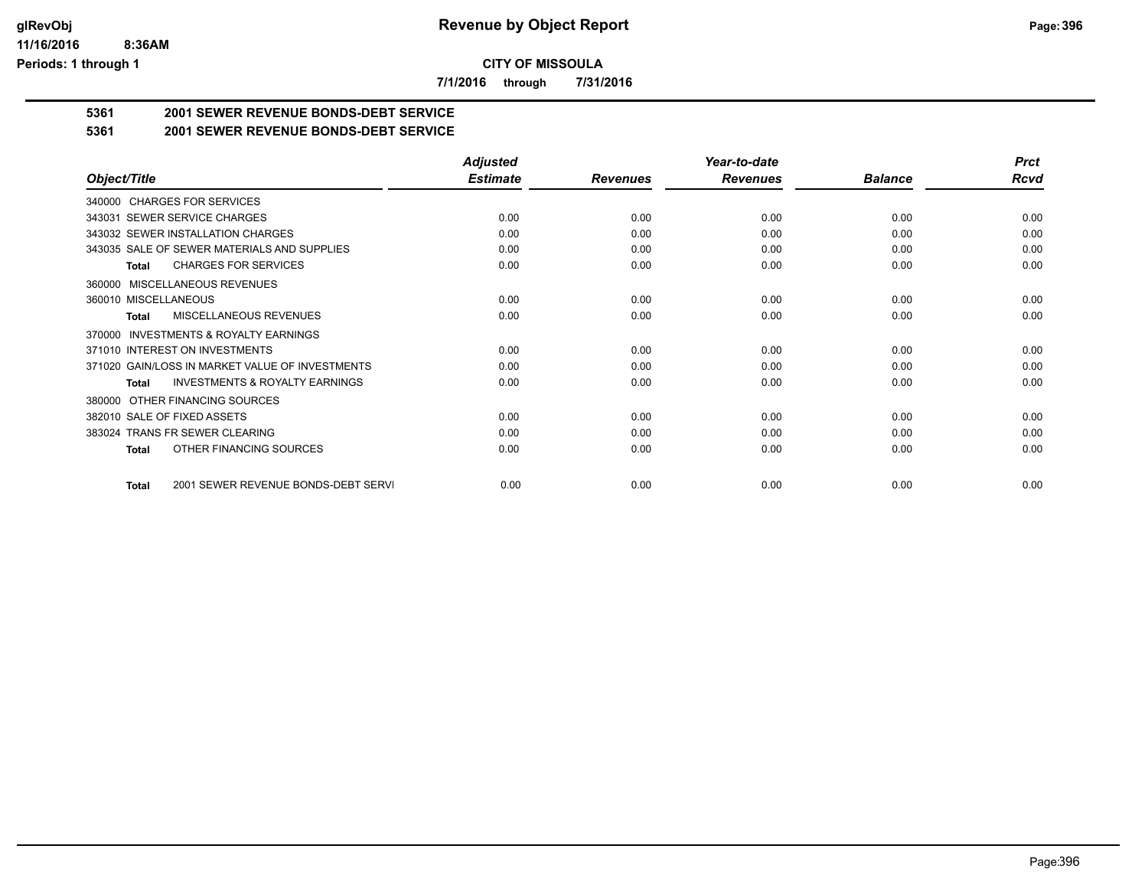**CITY OF MISSOULA**

**7/1/2016 through 7/31/2016**

## **5361 2001 SEWER REVENUE BONDS-DEBT SERVICE**

### **5361 2001 SEWER REVENUE BONDS-DEBT SERVICE**

|                                                     | <b>Adjusted</b><br><b>Estimate</b> |                 | Year-to-date<br><b>Revenues</b> | <b>Balance</b> | <b>Prct</b><br><b>Rcvd</b> |
|-----------------------------------------------------|------------------------------------|-----------------|---------------------------------|----------------|----------------------------|
| Object/Title                                        |                                    | <b>Revenues</b> |                                 |                |                            |
| 340000 CHARGES FOR SERVICES                         |                                    |                 |                                 |                |                            |
| 343031 SEWER SERVICE CHARGES                        | 0.00                               | 0.00            | 0.00                            | 0.00           | 0.00                       |
| 343032 SEWER INSTALLATION CHARGES                   | 0.00                               | 0.00            | 0.00                            | 0.00           | 0.00                       |
| 343035 SALE OF SEWER MATERIALS AND SUPPLIES         | 0.00                               | 0.00            | 0.00                            | 0.00           | 0.00                       |
| <b>CHARGES FOR SERVICES</b><br>Total                | 0.00                               | 0.00            | 0.00                            | 0.00           | 0.00                       |
| MISCELLANEOUS REVENUES<br>360000                    |                                    |                 |                                 |                |                            |
| 360010 MISCELLANEOUS                                | 0.00                               | 0.00            | 0.00                            | 0.00           | 0.00                       |
| <b>MISCELLANEOUS REVENUES</b><br><b>Total</b>       | 0.00                               | 0.00            | 0.00                            | 0.00           | 0.00                       |
| <b>INVESTMENTS &amp; ROYALTY EARNINGS</b><br>370000 |                                    |                 |                                 |                |                            |
| 371010 INTEREST ON INVESTMENTS                      | 0.00                               | 0.00            | 0.00                            | 0.00           | 0.00                       |
| 371020 GAIN/LOSS IN MARKET VALUE OF INVESTMENTS     | 0.00                               | 0.00            | 0.00                            | 0.00           | 0.00                       |
| <b>INVESTMENTS &amp; ROYALTY EARNINGS</b><br>Total  | 0.00                               | 0.00            | 0.00                            | 0.00           | 0.00                       |
| OTHER FINANCING SOURCES<br>380000                   |                                    |                 |                                 |                |                            |
| 382010 SALE OF FIXED ASSETS                         | 0.00                               | 0.00            | 0.00                            | 0.00           | 0.00                       |
| 383024 TRANS FR SEWER CLEARING                      | 0.00                               | 0.00            | 0.00                            | 0.00           | 0.00                       |
| OTHER FINANCING SOURCES<br><b>Total</b>             | 0.00                               | 0.00            | 0.00                            | 0.00           | 0.00                       |
| 2001 SEWER REVENUE BONDS-DEBT SERVI<br><b>Total</b> | 0.00                               | 0.00            | 0.00                            | 0.00           | 0.00                       |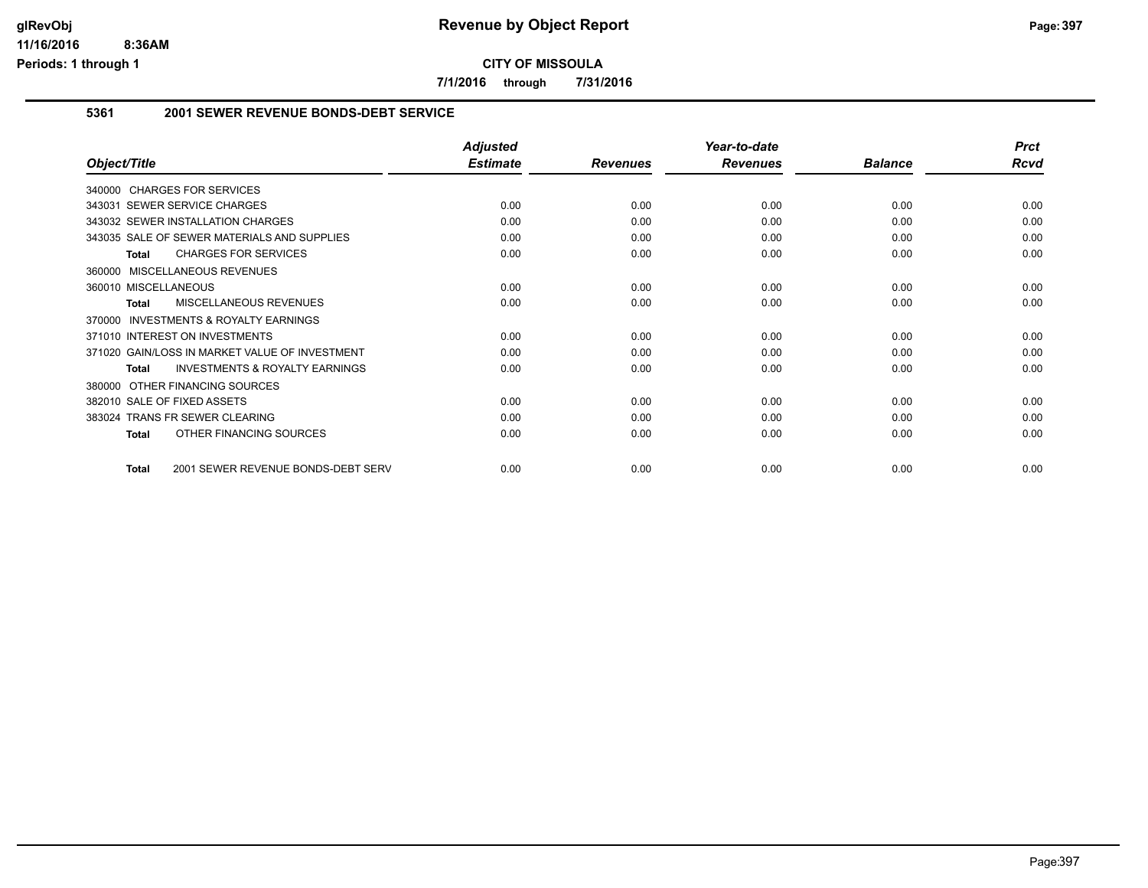**CITY OF MISSOULA**

**7/1/2016 through 7/31/2016**

#### **5361 2001 SEWER REVENUE BONDS-DEBT SERVICE**

|                                                           | <b>Adjusted</b> |                 | Year-to-date    |                | <b>Prct</b> |
|-----------------------------------------------------------|-----------------|-----------------|-----------------|----------------|-------------|
| Object/Title                                              | <b>Estimate</b> | <b>Revenues</b> | <b>Revenues</b> | <b>Balance</b> | <b>Rcvd</b> |
| 340000 CHARGES FOR SERVICES                               |                 |                 |                 |                |             |
| 343031 SEWER SERVICE CHARGES                              | 0.00            | 0.00            | 0.00            | 0.00           | 0.00        |
| 343032 SEWER INSTALLATION CHARGES                         | 0.00            | 0.00            | 0.00            | 0.00           | 0.00        |
| 343035 SALE OF SEWER MATERIALS AND SUPPLIES               | 0.00            | 0.00            | 0.00            | 0.00           | 0.00        |
| <b>CHARGES FOR SERVICES</b><br>Total                      | 0.00            | 0.00            | 0.00            | 0.00           | 0.00        |
| 360000 MISCELLANEOUS REVENUES                             |                 |                 |                 |                |             |
| 360010 MISCELLANEOUS                                      | 0.00            | 0.00            | 0.00            | 0.00           | 0.00        |
| <b>MISCELLANEOUS REVENUES</b><br><b>Total</b>             | 0.00            | 0.00            | 0.00            | 0.00           | 0.00        |
| <b>INVESTMENTS &amp; ROYALTY EARNINGS</b><br>370000       |                 |                 |                 |                |             |
| 371010 INTEREST ON INVESTMENTS                            | 0.00            | 0.00            | 0.00            | 0.00           | 0.00        |
| 371020 GAIN/LOSS IN MARKET VALUE OF INVESTMENT            | 0.00            | 0.00            | 0.00            | 0.00           | 0.00        |
| <b>INVESTMENTS &amp; ROYALTY EARNINGS</b><br><b>Total</b> | 0.00            | 0.00            | 0.00            | 0.00           | 0.00        |
| OTHER FINANCING SOURCES<br>380000                         |                 |                 |                 |                |             |
| 382010 SALE OF FIXED ASSETS                               | 0.00            | 0.00            | 0.00            | 0.00           | 0.00        |
| <b>TRANS FR SEWER CLEARING</b><br>383024                  | 0.00            | 0.00            | 0.00            | 0.00           | 0.00        |
| OTHER FINANCING SOURCES<br><b>Total</b>                   | 0.00            | 0.00            | 0.00            | 0.00           | 0.00        |
|                                                           |                 |                 |                 |                |             |
| 2001 SEWER REVENUE BONDS-DEBT SERV<br><b>Total</b>        | 0.00            | 0.00            | 0.00            | 0.00           | 0.00        |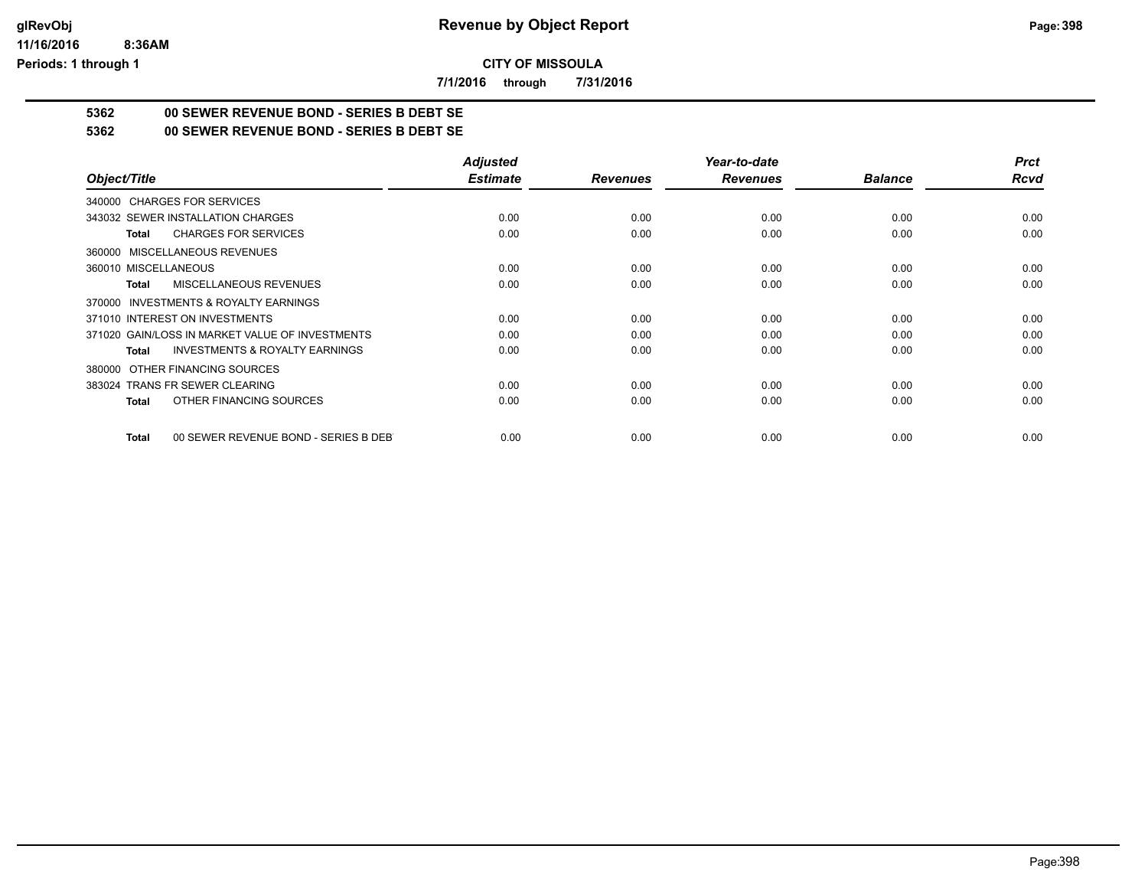**CITY OF MISSOULA**

**7/1/2016 through 7/31/2016**

## **5362 00 SEWER REVENUE BOND - SERIES B DEBT SE**

**5362 00 SEWER REVENUE BOND - SERIES B DEBT SE**

|                                                      | <b>Adjusted</b> |                 | Year-to-date    |                | <b>Prct</b> |
|------------------------------------------------------|-----------------|-----------------|-----------------|----------------|-------------|
| Object/Title                                         | <b>Estimate</b> | <b>Revenues</b> | <b>Revenues</b> | <b>Balance</b> | <b>Rcvd</b> |
| 340000 CHARGES FOR SERVICES                          |                 |                 |                 |                |             |
| 343032 SEWER INSTALLATION CHARGES                    | 0.00            | 0.00            | 0.00            | 0.00           | 0.00        |
| <b>CHARGES FOR SERVICES</b><br><b>Total</b>          | 0.00            | 0.00            | 0.00            | 0.00           | 0.00        |
| 360000 MISCELLANEOUS REVENUES                        |                 |                 |                 |                |             |
| 360010 MISCELLANEOUS                                 | 0.00            | 0.00            | 0.00            | 0.00           | 0.00        |
| <b>MISCELLANEOUS REVENUES</b><br><b>Total</b>        | 0.00            | 0.00            | 0.00            | 0.00           | 0.00        |
| 370000 INVESTMENTS & ROYALTY EARNINGS                |                 |                 |                 |                |             |
| 371010 INTEREST ON INVESTMENTS                       | 0.00            | 0.00            | 0.00            | 0.00           | 0.00        |
| 371020 GAIN/LOSS IN MARKET VALUE OF INVESTMENTS      | 0.00            | 0.00            | 0.00            | 0.00           | 0.00        |
| <b>INVESTMENTS &amp; ROYALTY EARNINGS</b><br>Total   | 0.00            | 0.00            | 0.00            | 0.00           | 0.00        |
| 380000 OTHER FINANCING SOURCES                       |                 |                 |                 |                |             |
| 383024 TRANS FR SEWER CLEARING                       | 0.00            | 0.00            | 0.00            | 0.00           | 0.00        |
| OTHER FINANCING SOURCES<br>Total                     | 0.00            | 0.00            | 0.00            | 0.00           | 0.00        |
|                                                      |                 |                 |                 |                |             |
| 00 SEWER REVENUE BOND - SERIES B DEB<br><b>Total</b> | 0.00            | 0.00            | 0.00            | 0.00           | 0.00        |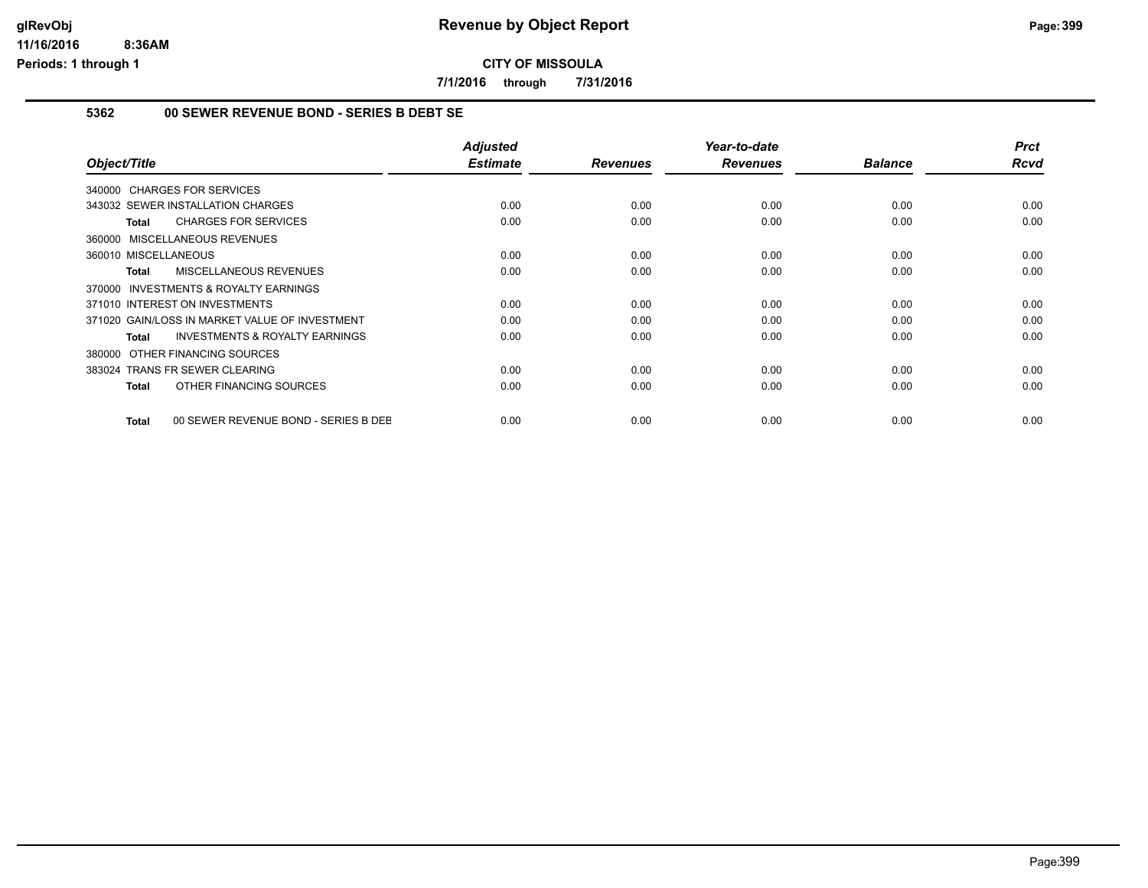**CITY OF MISSOULA**

**7/1/2016 through 7/31/2016**

#### **5362 00 SEWER REVENUE BOND - SERIES B DEBT SE**

| Object/Title                                         | <b>Adjusted</b><br><b>Estimate</b> | <b>Revenues</b> | Year-to-date<br><b>Revenues</b> | <b>Balance</b> | <b>Prct</b><br><b>Rcvd</b> |
|------------------------------------------------------|------------------------------------|-----------------|---------------------------------|----------------|----------------------------|
|                                                      |                                    |                 |                                 |                |                            |
| 340000 CHARGES FOR SERVICES                          |                                    |                 |                                 |                |                            |
| 343032 SEWER INSTALLATION CHARGES                    | 0.00                               | 0.00            | 0.00                            | 0.00           | 0.00                       |
| <b>CHARGES FOR SERVICES</b><br>Total                 | 0.00                               | 0.00            | 0.00                            | 0.00           | 0.00                       |
| 360000 MISCELLANEOUS REVENUES                        |                                    |                 |                                 |                |                            |
| 360010 MISCELLANEOUS                                 | 0.00                               | 0.00            | 0.00                            | 0.00           | 0.00                       |
| MISCELLANEOUS REVENUES<br><b>Total</b>               | 0.00                               | 0.00            | 0.00                            | 0.00           | 0.00                       |
| <b>INVESTMENTS &amp; ROYALTY EARNINGS</b><br>370000  |                                    |                 |                                 |                |                            |
| 371010 INTEREST ON INVESTMENTS                       | 0.00                               | 0.00            | 0.00                            | 0.00           | 0.00                       |
| 371020 GAIN/LOSS IN MARKET VALUE OF INVESTMENT       | 0.00                               | 0.00            | 0.00                            | 0.00           | 0.00                       |
| <b>INVESTMENTS &amp; ROYALTY EARNINGS</b><br>Total   | 0.00                               | 0.00            | 0.00                            | 0.00           | 0.00                       |
| 380000 OTHER FINANCING SOURCES                       |                                    |                 |                                 |                |                            |
| 383024 TRANS FR SEWER CLEARING                       | 0.00                               | 0.00            | 0.00                            | 0.00           | 0.00                       |
| OTHER FINANCING SOURCES<br><b>Total</b>              | 0.00                               | 0.00            | 0.00                            | 0.00           | 0.00                       |
| 00 SEWER REVENUE BOND - SERIES B DEE<br><b>Total</b> | 0.00                               | 0.00            | 0.00                            | 0.00           | 0.00                       |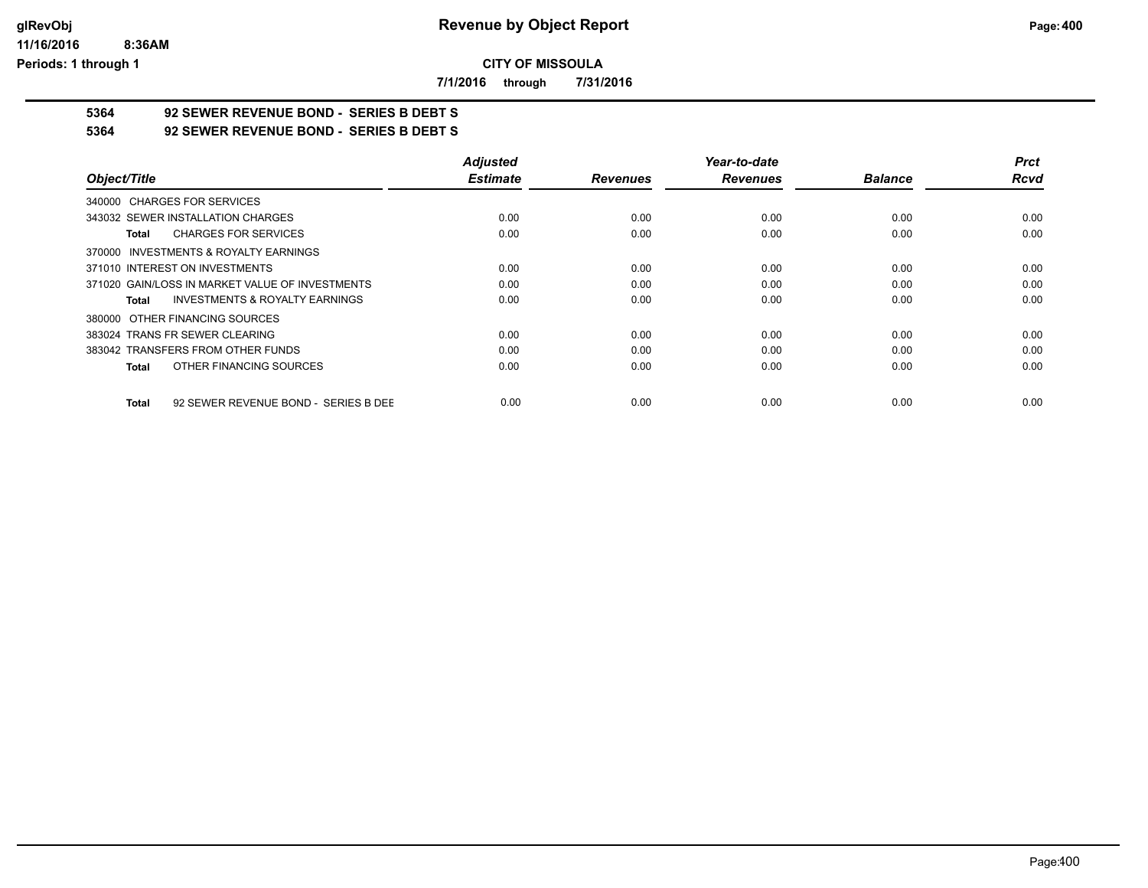**CITY OF MISSOULA**

**7/1/2016 through 7/31/2016**

## **5364 92 SEWER REVENUE BOND - SERIES B DEBT S**

### **5364 92 SEWER REVENUE BOND - SERIES B DEBT S**

|                                                      | <b>Adjusted</b> |                 | Year-to-date    |                | <b>Prct</b> |
|------------------------------------------------------|-----------------|-----------------|-----------------|----------------|-------------|
| Object/Title                                         | <b>Estimate</b> | <b>Revenues</b> | <b>Revenues</b> | <b>Balance</b> | <b>Rcvd</b> |
| 340000 CHARGES FOR SERVICES                          |                 |                 |                 |                |             |
| 343032 SEWER INSTALLATION CHARGES                    | 0.00            | 0.00            | 0.00            | 0.00           | 0.00        |
| <b>CHARGES FOR SERVICES</b><br><b>Total</b>          | 0.00            | 0.00            | 0.00            | 0.00           | 0.00        |
| 370000 INVESTMENTS & ROYALTY EARNINGS                |                 |                 |                 |                |             |
| 371010 INTEREST ON INVESTMENTS                       | 0.00            | 0.00            | 0.00            | 0.00           | 0.00        |
| 371020 GAIN/LOSS IN MARKET VALUE OF INVESTMENTS      | 0.00            | 0.00            | 0.00            | 0.00           | 0.00        |
| <b>INVESTMENTS &amp; ROYALTY EARNINGS</b><br>Total   | 0.00            | 0.00            | 0.00            | 0.00           | 0.00        |
| OTHER FINANCING SOURCES<br>380000                    |                 |                 |                 |                |             |
| 383024 TRANS FR SEWER CLEARING                       | 0.00            | 0.00            | 0.00            | 0.00           | 0.00        |
| 383042 TRANSFERS FROM OTHER FUNDS                    | 0.00            | 0.00            | 0.00            | 0.00           | 0.00        |
| OTHER FINANCING SOURCES<br>Total                     | 0.00            | 0.00            | 0.00            | 0.00           | 0.00        |
| 92 SEWER REVENUE BOND - SERIES B DEE<br><b>Total</b> | 0.00            | 0.00            | 0.00            | 0.00           | 0.00        |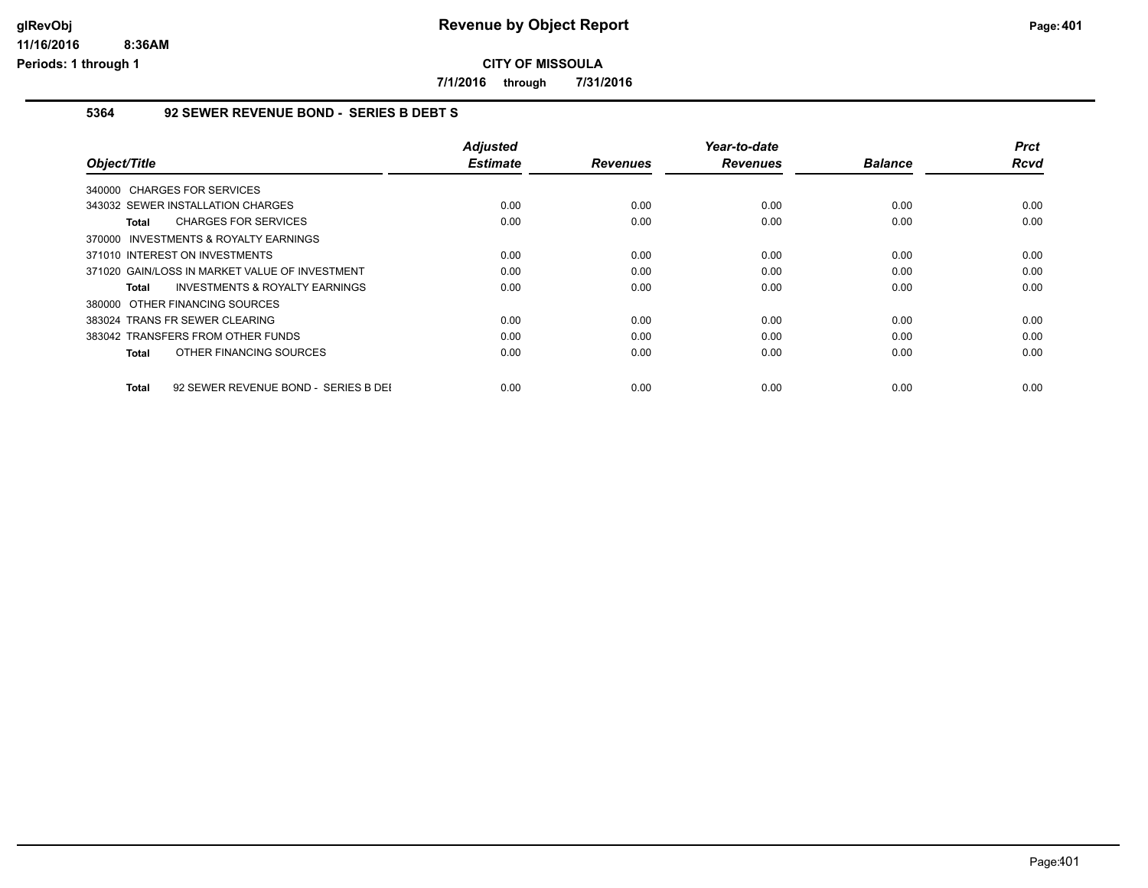**CITY OF MISSOULA**

**7/1/2016 through 7/31/2016**

#### **5364 92 SEWER REVENUE BOND - SERIES B DEBT S**

| Object/Title                                         | <b>Adjusted</b><br><b>Estimate</b> | <b>Revenues</b> | Year-to-date<br><b>Revenues</b> | <b>Balance</b> | <b>Prct</b><br>Rcvd |
|------------------------------------------------------|------------------------------------|-----------------|---------------------------------|----------------|---------------------|
| 340000 CHARGES FOR SERVICES                          |                                    |                 |                                 |                |                     |
| 343032 SEWER INSTALLATION CHARGES                    | 0.00                               | 0.00            | 0.00                            | 0.00           | 0.00                |
| <b>CHARGES FOR SERVICES</b><br>Total                 | 0.00                               | 0.00            | 0.00                            | 0.00           | 0.00                |
| 370000 INVESTMENTS & ROYALTY EARNINGS                |                                    |                 |                                 |                |                     |
| 371010 INTEREST ON INVESTMENTS                       | 0.00                               | 0.00            | 0.00                            | 0.00           | 0.00                |
| 371020 GAIN/LOSS IN MARKET VALUE OF INVESTMENT       | 0.00                               | 0.00            | 0.00                            | 0.00           | 0.00                |
| <b>INVESTMENTS &amp; ROYALTY EARNINGS</b><br>Total   | 0.00                               | 0.00            | 0.00                            | 0.00           | 0.00                |
| 380000 OTHER FINANCING SOURCES                       |                                    |                 |                                 |                |                     |
| 383024 TRANS FR SEWER CLEARING                       | 0.00                               | 0.00            | 0.00                            | 0.00           | 0.00                |
| 383042 TRANSFERS FROM OTHER FUNDS                    | 0.00                               | 0.00            | 0.00                            | 0.00           | 0.00                |
| OTHER FINANCING SOURCES<br><b>Total</b>              | 0.00                               | 0.00            | 0.00                            | 0.00           | 0.00                |
| 92 SEWER REVENUE BOND - SERIES B DEI<br><b>Total</b> | 0.00                               | 0.00            | 0.00                            | 0.00           | 0.00                |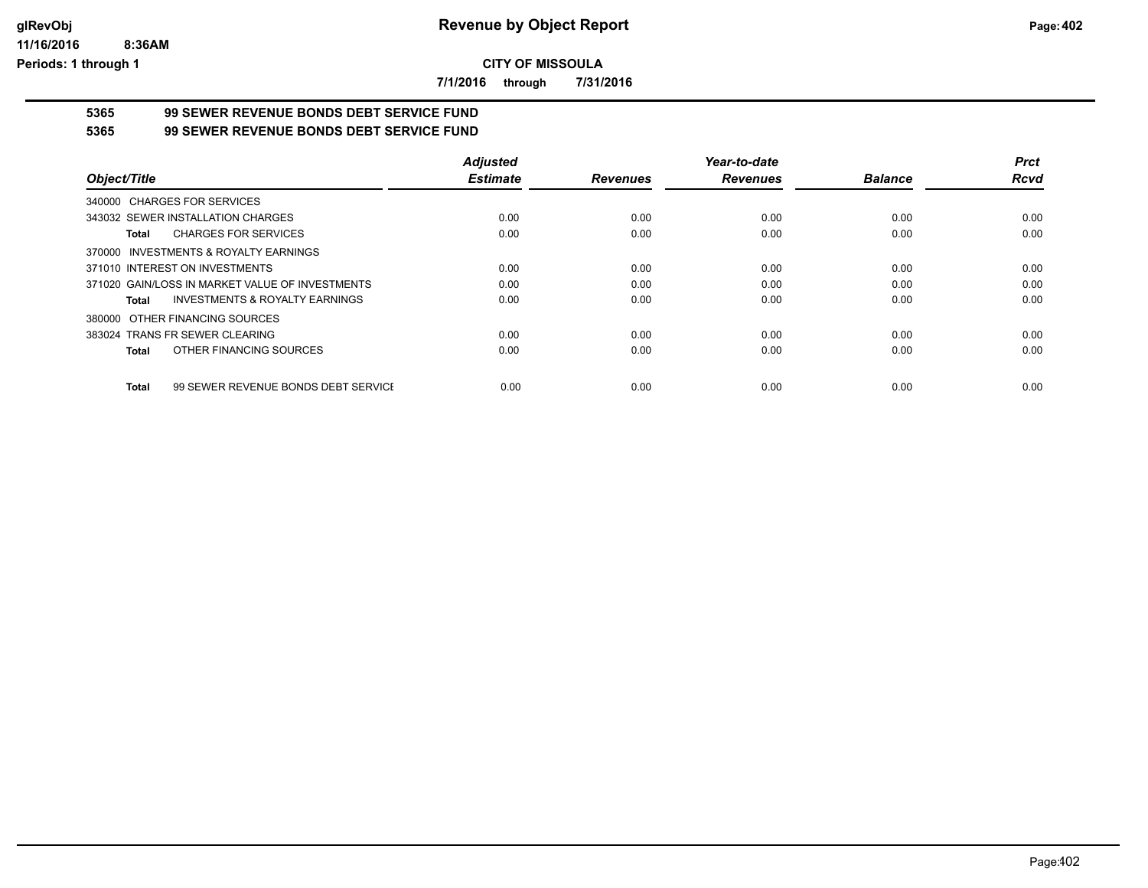**11/16/2016**

#### **CITY OF MISSOULA**

**7/1/2016 through 7/31/2016**

# **5365 99 SEWER REVENUE BONDS DEBT SERVICE FUND**

## **5365 99 SEWER REVENUE BONDS DEBT SERVICE FUND**

|                                                     | <b>Adjusted</b> |                 | Year-to-date    |                | <b>Prct</b> |
|-----------------------------------------------------|-----------------|-----------------|-----------------|----------------|-------------|
| Object/Title                                        | <b>Estimate</b> | <b>Revenues</b> | <b>Revenues</b> | <b>Balance</b> | <b>Rcvd</b> |
| 340000 CHARGES FOR SERVICES                         |                 |                 |                 |                |             |
| 343032 SEWER INSTALLATION CHARGES                   | 0.00            | 0.00            | 0.00            | 0.00           | 0.00        |
| <b>CHARGES FOR SERVICES</b><br>Total                | 0.00            | 0.00            | 0.00            | 0.00           | 0.00        |
| 370000 INVESTMENTS & ROYALTY EARNINGS               |                 |                 |                 |                |             |
| 371010 INTEREST ON INVESTMENTS                      | 0.00            | 0.00            | 0.00            | 0.00           | 0.00        |
| 371020 GAIN/LOSS IN MARKET VALUE OF INVESTMENTS     | 0.00            | 0.00            | 0.00            | 0.00           | 0.00        |
| <b>INVESTMENTS &amp; ROYALTY EARNINGS</b><br>Total  | 0.00            | 0.00            | 0.00            | 0.00           | 0.00        |
| 380000 OTHER FINANCING SOURCES                      |                 |                 |                 |                |             |
| 383024 TRANS FR SEWER CLEARING                      | 0.00            | 0.00            | 0.00            | 0.00           | 0.00        |
| OTHER FINANCING SOURCES<br>Total                    | 0.00            | 0.00            | 0.00            | 0.00           | 0.00        |
| 99 SEWER REVENUE BONDS DEBT SERVICE<br><b>Total</b> | 0.00            | 0.00            | 0.00            | 0.00           | 0.00        |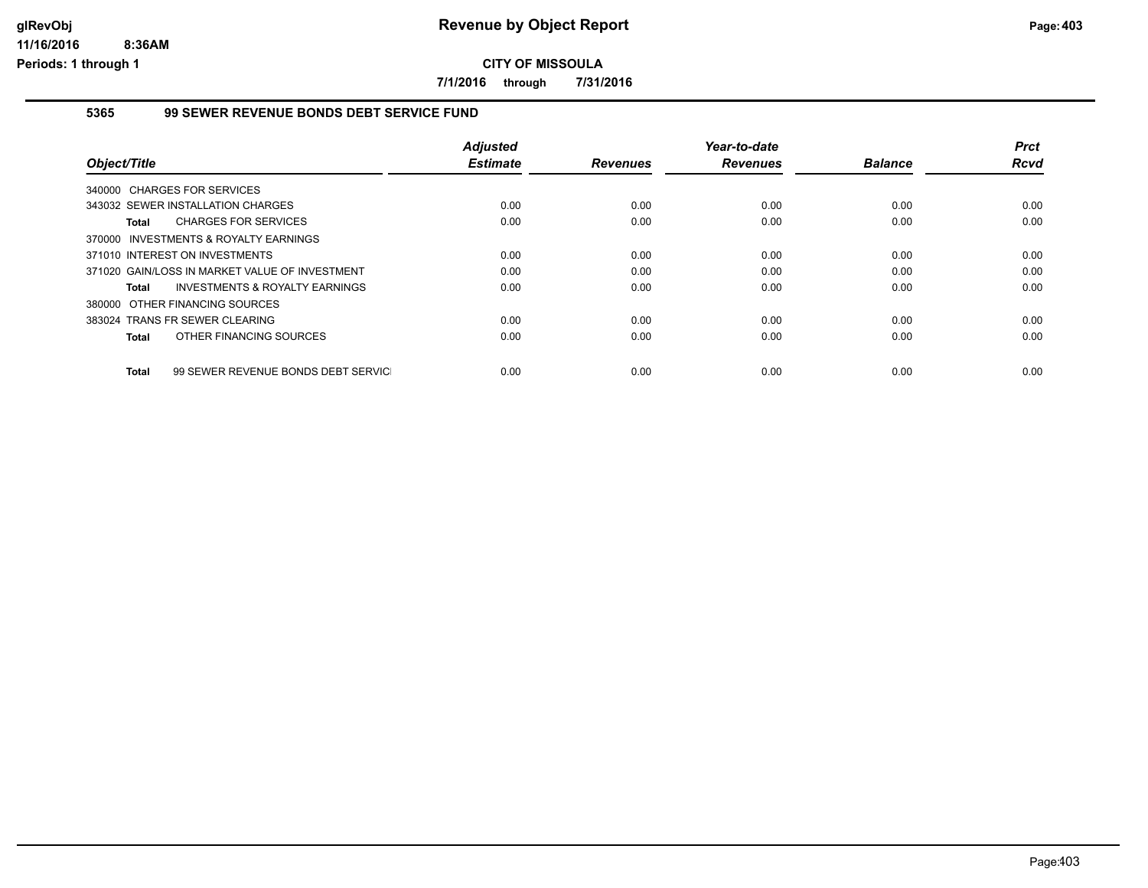**CITY OF MISSOULA**

**7/1/2016 through 7/31/2016**

#### **5365 99 SEWER REVENUE BONDS DEBT SERVICE FUND**

| Object/Title                                       | <b>Adiusted</b><br><b>Estimate</b> | <b>Revenues</b> | Year-to-date<br><b>Revenues</b> | <b>Balance</b> | <b>Prct</b><br><b>Rcvd</b> |
|----------------------------------------------------|------------------------------------|-----------------|---------------------------------|----------------|----------------------------|
| 340000 CHARGES FOR SERVICES                        |                                    |                 |                                 |                |                            |
| 343032 SEWER INSTALLATION CHARGES                  | 0.00                               | 0.00            | 0.00                            | 0.00           | 0.00                       |
| <b>CHARGES FOR SERVICES</b><br><b>Total</b>        | 0.00                               | 0.00            | 0.00                            | 0.00           | 0.00                       |
| 370000 INVESTMENTS & ROYALTY EARNINGS              |                                    |                 |                                 |                |                            |
| 371010 INTEREST ON INVESTMENTS                     | 0.00                               | 0.00            | 0.00                            | 0.00           | 0.00                       |
| 371020 GAIN/LOSS IN MARKET VALUE OF INVESTMENT     | 0.00                               | 0.00            | 0.00                            | 0.00           | 0.00                       |
| INVESTMENTS & ROYALTY EARNINGS<br><b>Total</b>     | 0.00                               | 0.00            | 0.00                            | 0.00           | 0.00                       |
| 380000 OTHER FINANCING SOURCES                     |                                    |                 |                                 |                |                            |
| 383024 TRANS FR SEWER CLEARING                     | 0.00                               | 0.00            | 0.00                            | 0.00           | 0.00                       |
| OTHER FINANCING SOURCES<br><b>Total</b>            | 0.00                               | 0.00            | 0.00                            | 0.00           | 0.00                       |
| 99 SEWER REVENUE BONDS DEBT SERVIC<br><b>Total</b> | 0.00                               | 0.00            | 0.00                            | 0.00           | 0.00                       |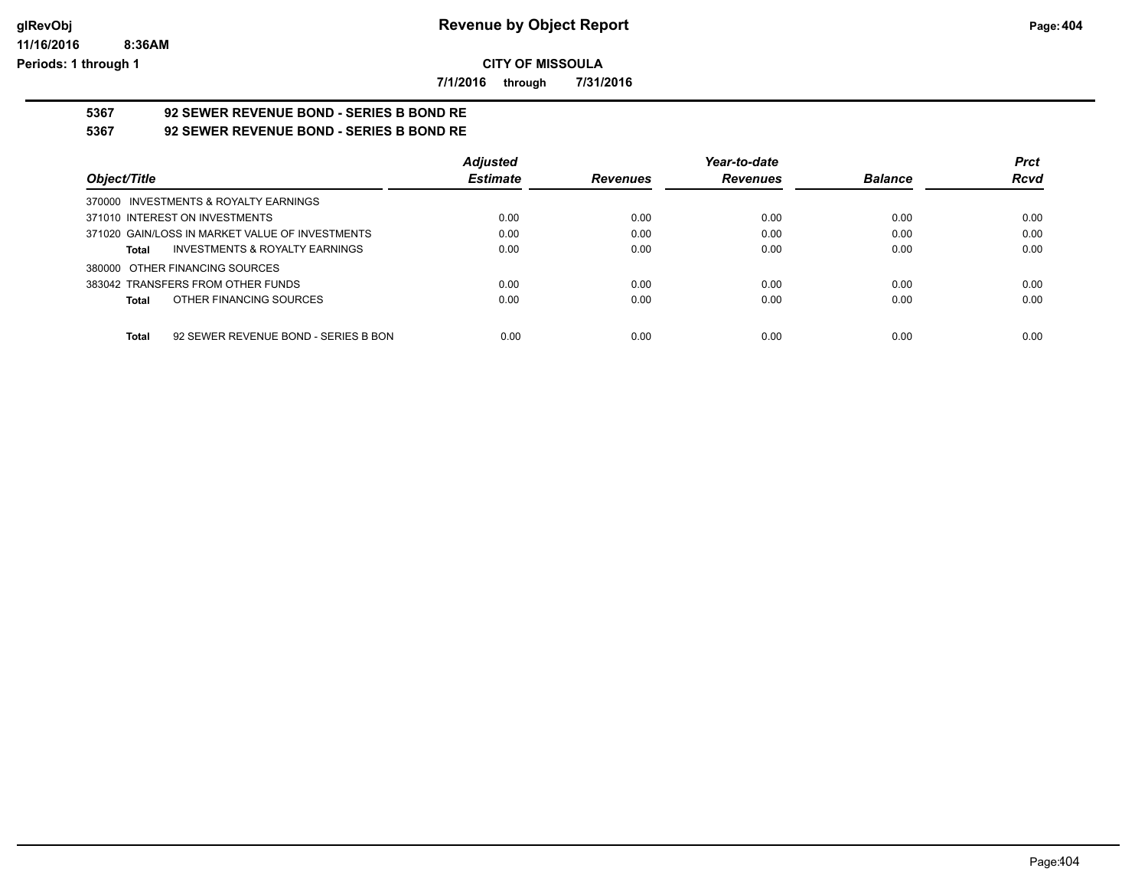**CITY OF MISSOULA**

**7/1/2016 through 7/31/2016**

## **5367 92 SEWER REVENUE BOND - SERIES B BOND RE**

**5367 92 SEWER REVENUE BOND - SERIES B BOND RE**

|                                                 | <b>Adjusted</b> |                 | Year-to-date    |                | <b>Prct</b> |
|-------------------------------------------------|-----------------|-----------------|-----------------|----------------|-------------|
| Object/Title                                    | <b>Estimate</b> | <b>Revenues</b> | <b>Revenues</b> | <b>Balance</b> | <b>Rcvd</b> |
| 370000 INVESTMENTS & ROYALTY EARNINGS           |                 |                 |                 |                |             |
| 371010 INTEREST ON INVESTMENTS                  | 0.00            | 0.00            | 0.00            | 0.00           | 0.00        |
| 371020 GAIN/LOSS IN MARKET VALUE OF INVESTMENTS | 0.00            | 0.00            | 0.00            | 0.00           | 0.00        |
| INVESTMENTS & ROYALTY EARNINGS<br>Total         | 0.00            | 0.00            | 0.00            | 0.00           | 0.00        |
| 380000 OTHER FINANCING SOURCES                  |                 |                 |                 |                |             |
| 383042 TRANSFERS FROM OTHER FUNDS               | 0.00            | 0.00            | 0.00            | 0.00           | 0.00        |
| OTHER FINANCING SOURCES<br>Total                | 0.00            | 0.00            | 0.00            | 0.00           | 0.00        |
| 92 SEWER REVENUE BOND - SERIES B BON            | 0.00            | 0.00            | 0.00            | 0.00           | 0.00        |
| Total                                           |                 |                 |                 |                |             |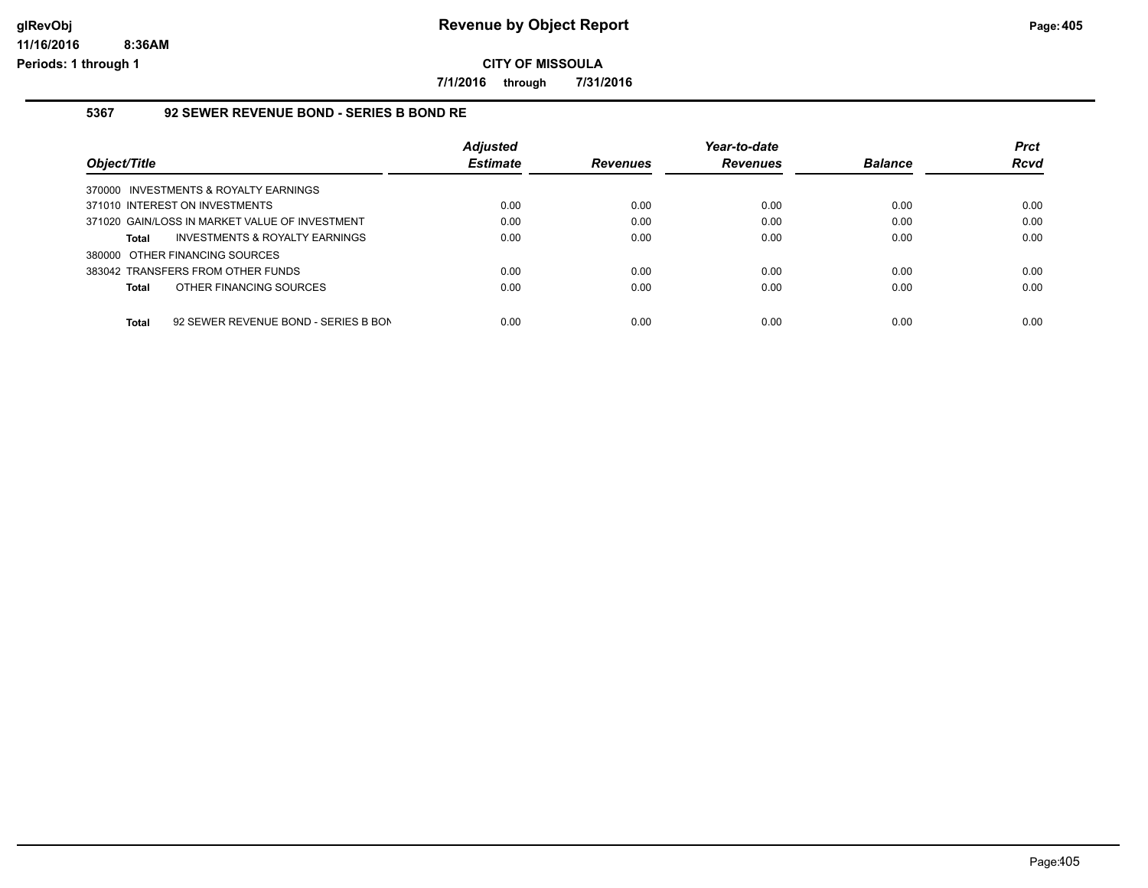**CITY OF MISSOULA**

**7/1/2016 through 7/31/2016**

#### **5367 92 SEWER REVENUE BOND - SERIES B BOND RE**

|                                                | <b>Adjusted</b> |                 | Year-to-date    |                | <b>Prct</b> |
|------------------------------------------------|-----------------|-----------------|-----------------|----------------|-------------|
| Object/Title                                   | <b>Estimate</b> | <b>Revenues</b> | <b>Revenues</b> | <b>Balance</b> | <b>Rcvd</b> |
| 370000 INVESTMENTS & ROYALTY EARNINGS          |                 |                 |                 |                |             |
| 371010 INTEREST ON INVESTMENTS                 | 0.00            | 0.00            | 0.00            | 0.00           | 0.00        |
| 371020 GAIN/LOSS IN MARKET VALUE OF INVESTMENT | 0.00            | 0.00            | 0.00            | 0.00           | 0.00        |
| INVESTMENTS & ROYALTY EARNINGS<br>Total        | 0.00            | 0.00            | 0.00            | 0.00           | 0.00        |
| 380000 OTHER FINANCING SOURCES                 |                 |                 |                 |                |             |
| 383042 TRANSFERS FROM OTHER FUNDS              | 0.00            | 0.00            | 0.00            | 0.00           | 0.00        |
| OTHER FINANCING SOURCES<br>Total               | 0.00            | 0.00            | 0.00            | 0.00           | 0.00        |
|                                                |                 |                 |                 |                |             |
| Total<br>92 SEWER REVENUE BOND - SERIES B BON  | 0.00            | 0.00            | 0.00            | 0.00           | 0.00        |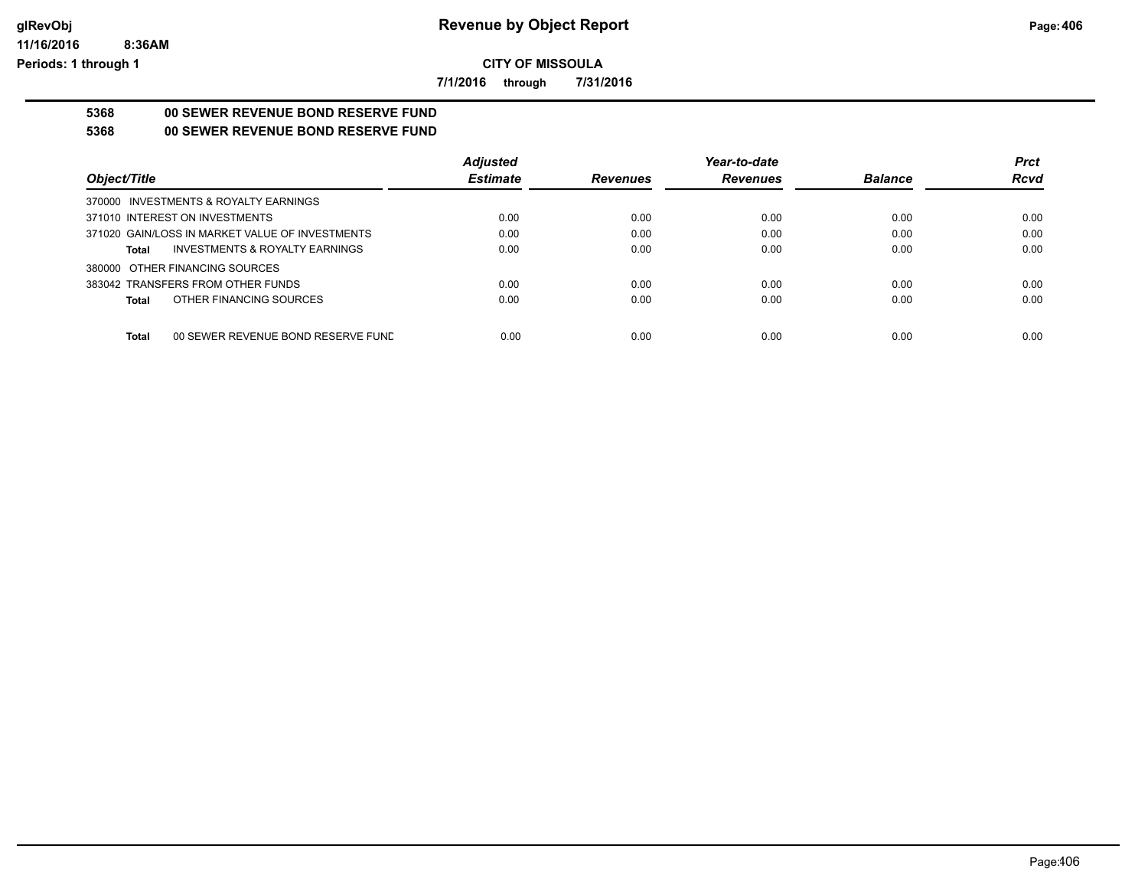**CITY OF MISSOULA**

**7/1/2016 through 7/31/2016**

# **5368 00 SEWER REVENUE BOND RESERVE FUND**

## **5368 00 SEWER REVENUE BOND RESERVE FUND**

|                                                    | <b>Adjusted</b> |          | Year-to-date    |                | <b>Prct</b> |
|----------------------------------------------------|-----------------|----------|-----------------|----------------|-------------|
| Object/Title                                       | <b>Estimate</b> | Revenues | <b>Revenues</b> | <b>Balance</b> | <b>Rcvd</b> |
| 370000 INVESTMENTS & ROYALTY EARNINGS              |                 |          |                 |                |             |
| 371010 INTEREST ON INVESTMENTS                     | 0.00            | 0.00     | 0.00            | 0.00           | 0.00        |
| 371020 GAIN/LOSS IN MARKET VALUE OF INVESTMENTS    | 0.00            | 0.00     | 0.00            | 0.00           | 0.00        |
| <b>INVESTMENTS &amp; ROYALTY EARNINGS</b><br>Total | 0.00            | 0.00     | 0.00            | 0.00           | 0.00        |
| 380000 OTHER FINANCING SOURCES                     |                 |          |                 |                |             |
| 383042 TRANSFERS FROM OTHER FUNDS                  | 0.00            | 0.00     | 0.00            | 0.00           | 0.00        |
| OTHER FINANCING SOURCES<br>Total                   | 0.00            | 0.00     | 0.00            | 0.00           | 0.00        |
|                                                    |                 |          |                 |                |             |
| 00 SEWER REVENUE BOND RESERVE FUND<br><b>Total</b> | 0.00            | 0.00     | 0.00            | 0.00           | 0.00        |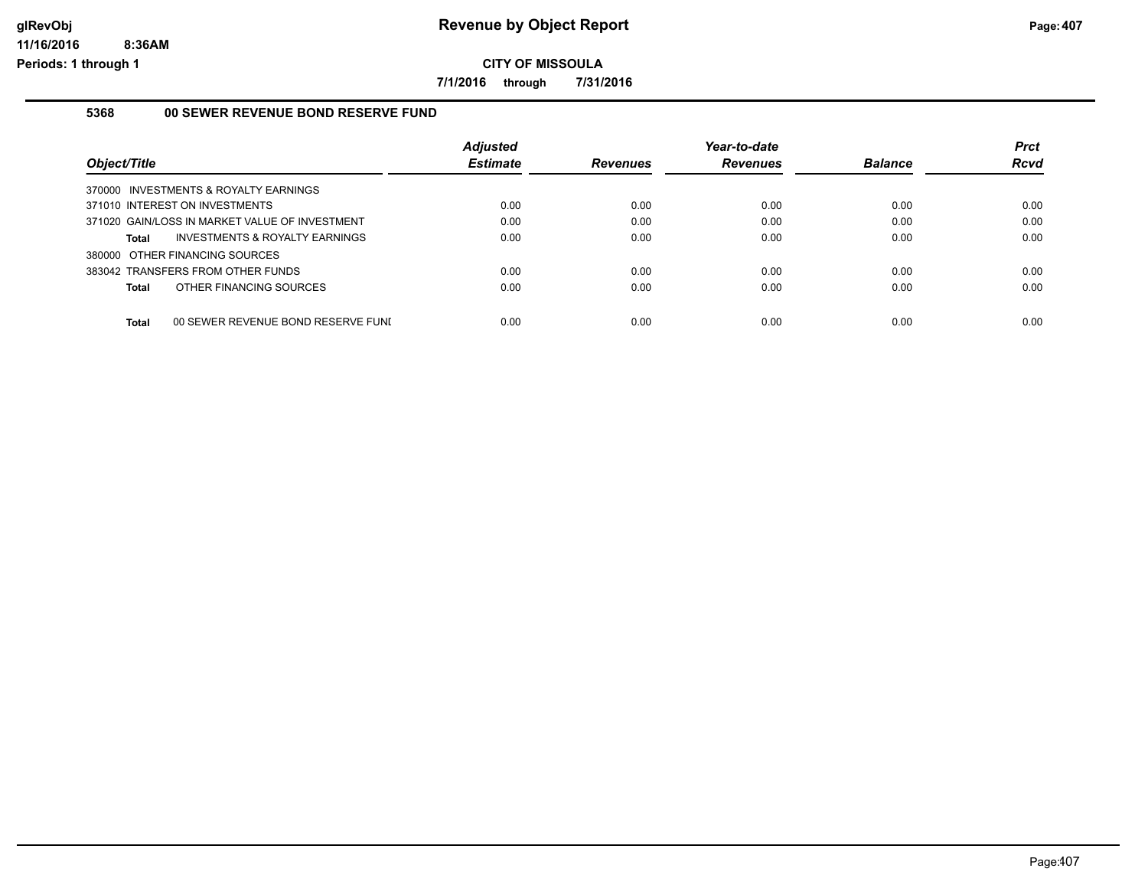**8:36AM**

**CITY OF MISSOULA**

**7/1/2016 through 7/31/2016**

#### **5368 00 SEWER REVENUE BOND RESERVE FUND**

|                                                    | <b>Adjusted</b> |                 | Year-to-date    |                | <b>Prct</b> |
|----------------------------------------------------|-----------------|-----------------|-----------------|----------------|-------------|
| Object/Title                                       | <b>Estimate</b> | <b>Revenues</b> | <b>Revenues</b> | <b>Balance</b> | <b>Rcvd</b> |
| 370000 INVESTMENTS & ROYALTY EARNINGS              |                 |                 |                 |                |             |
| 371010 INTEREST ON INVESTMENTS                     | 0.00            | 0.00            | 0.00            | 0.00           | 0.00        |
| 371020 GAIN/LOSS IN MARKET VALUE OF INVESTMENT     | 0.00            | 0.00            | 0.00            | 0.00           | 0.00        |
| INVESTMENTS & ROYALTY EARNINGS<br><b>Total</b>     | 0.00            | 0.00            | 0.00            | 0.00           | 0.00        |
| 380000 OTHER FINANCING SOURCES                     |                 |                 |                 |                |             |
| 383042 TRANSFERS FROM OTHER FUNDS                  | 0.00            | 0.00            | 0.00            | 0.00           | 0.00        |
| OTHER FINANCING SOURCES<br>Total                   | 0.00            | 0.00            | 0.00            | 0.00           | 0.00        |
|                                                    |                 |                 |                 |                |             |
| <b>Total</b><br>00 SEWER REVENUE BOND RESERVE FUNI | 0.00            | 0.00            | 0.00            | 0.00           | 0.00        |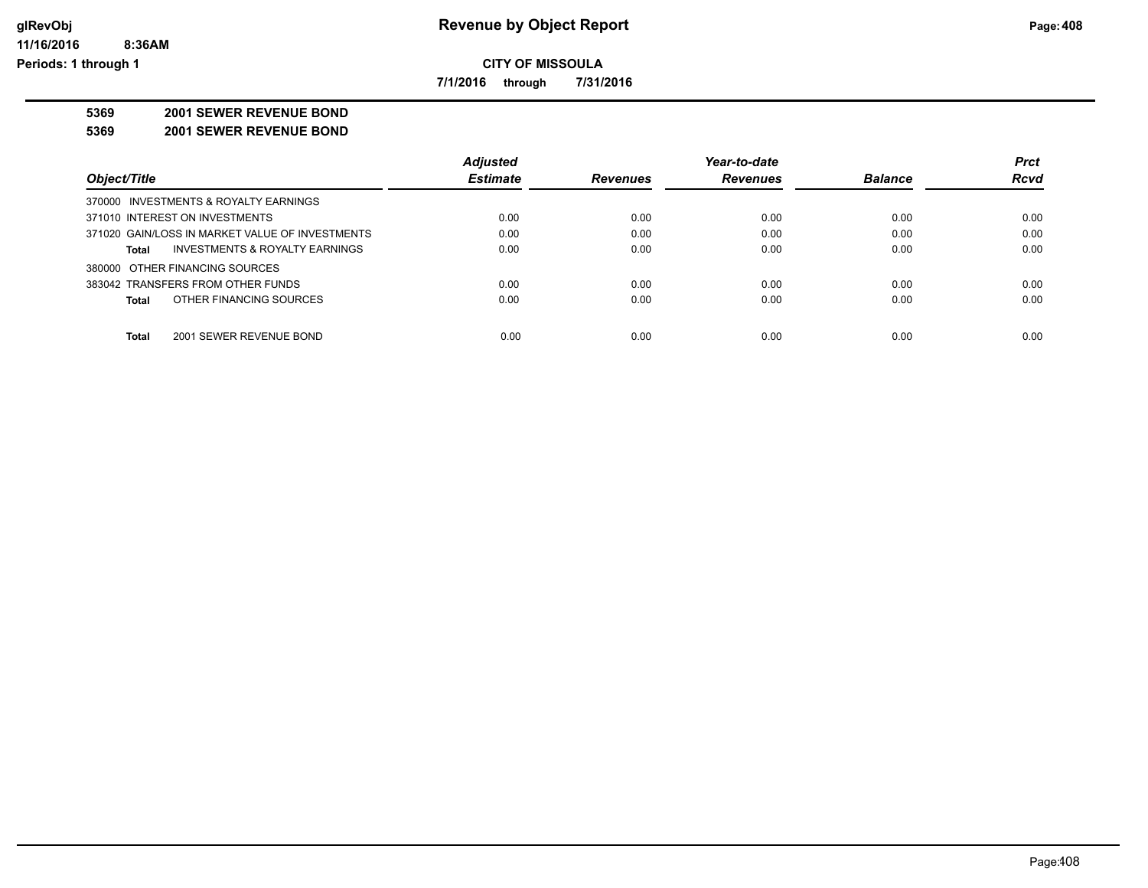**glRevObj Revenue by Object Report Page:408** 

**Periods: 1 through 1**

 **8:36AM**

### **CITY OF MISSOULA**

**7/1/2016 through 7/31/2016**

#### **5369 2001 SEWER REVENUE BOND**

**5369 2001 SEWER REVENUE BOND**

|                                                 | <b>Adjusted</b> |                 | Year-to-date    |                | <b>Prct</b> |
|-------------------------------------------------|-----------------|-----------------|-----------------|----------------|-------------|
| Object/Title                                    | <b>Estimate</b> | <b>Revenues</b> | <b>Revenues</b> | <b>Balance</b> | <b>Rcvd</b> |
| 370000 INVESTMENTS & ROYALTY EARNINGS           |                 |                 |                 |                |             |
| 371010 INTEREST ON INVESTMENTS                  | 0.00            | 0.00            | 0.00            | 0.00           | 0.00        |
| 371020 GAIN/LOSS IN MARKET VALUE OF INVESTMENTS | 0.00            | 0.00            | 0.00            | 0.00           | 0.00        |
| INVESTMENTS & ROYALTY EARNINGS<br>Total         | 0.00            | 0.00            | 0.00            | 0.00           | 0.00        |
| 380000 OTHER FINANCING SOURCES                  |                 |                 |                 |                |             |
| 383042 TRANSFERS FROM OTHER FUNDS               | 0.00            | 0.00            | 0.00            | 0.00           | 0.00        |
| OTHER FINANCING SOURCES<br>Total                | 0.00            | 0.00            | 0.00            | 0.00           | 0.00        |
|                                                 |                 |                 |                 |                |             |
| <b>Total</b><br>2001 SEWER REVENUE BOND         | 0.00            | 0.00            | 0.00            | 0.00           | 0.00        |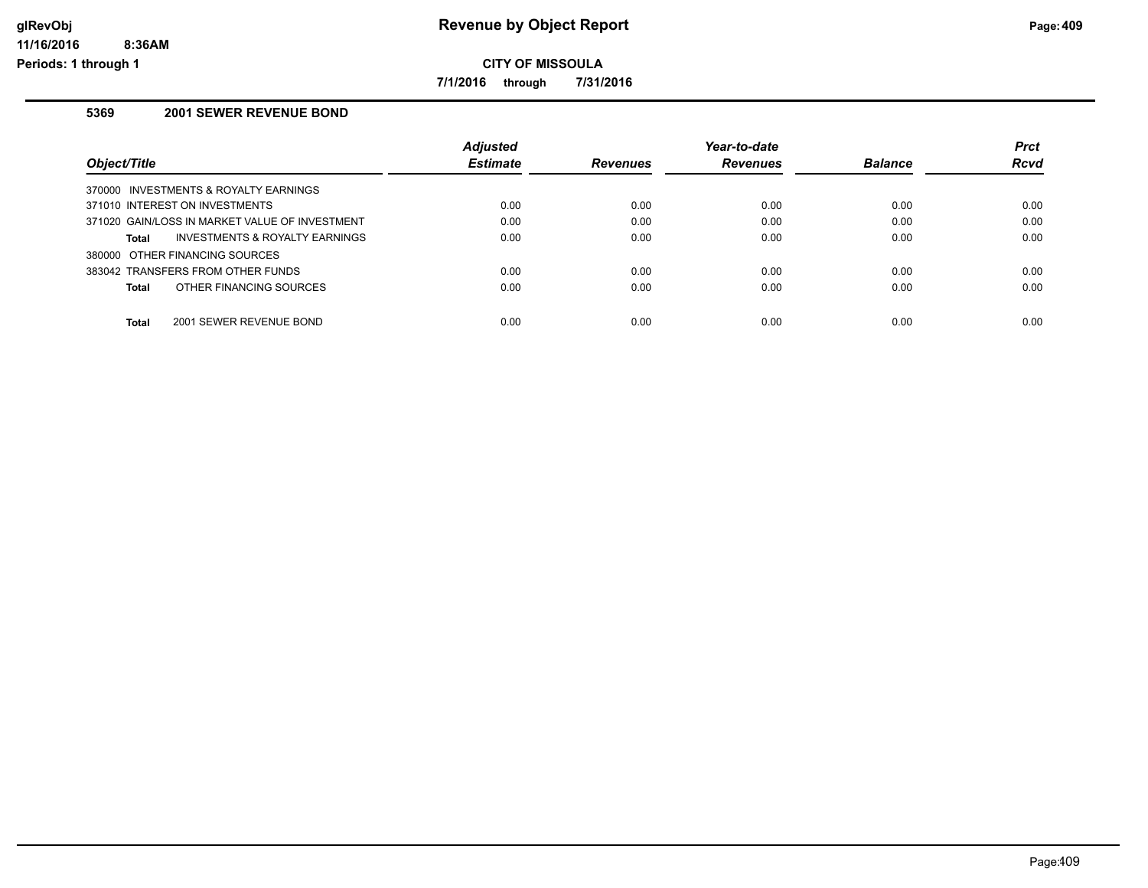**CITY OF MISSOULA**

**7/1/2016 through 7/31/2016**

#### **5369 2001 SEWER REVENUE BOND**

|                                                    | Adjusted        |                 | Year-to-date    |                | <b>Prct</b> |
|----------------------------------------------------|-----------------|-----------------|-----------------|----------------|-------------|
| Object/Title                                       | <b>Estimate</b> | <b>Revenues</b> | <b>Revenues</b> | <b>Balance</b> | <b>Rcvd</b> |
| 370000 INVESTMENTS & ROYALTY EARNINGS              |                 |                 |                 |                |             |
| 371010 INTEREST ON INVESTMENTS                     | 0.00            | 0.00            | 0.00            | 0.00           | 0.00        |
| 371020 GAIN/LOSS IN MARKET VALUE OF INVESTMENT     | 0.00            | 0.00            | 0.00            | 0.00           | 0.00        |
| <b>INVESTMENTS &amp; ROYALTY EARNINGS</b><br>Total | 0.00            | 0.00            | 0.00            | 0.00           | 0.00        |
| 380000 OTHER FINANCING SOURCES                     |                 |                 |                 |                |             |
| 383042 TRANSFERS FROM OTHER FUNDS                  | 0.00            | 0.00            | 0.00            | 0.00           | 0.00        |
| OTHER FINANCING SOURCES<br><b>Total</b>            | 0.00            | 0.00            | 0.00            | 0.00           | 0.00        |
| <b>Total</b><br>2001 SEWER REVENUE BOND            | 0.00            | 0.00            | 0.00            | 0.00           | 0.00        |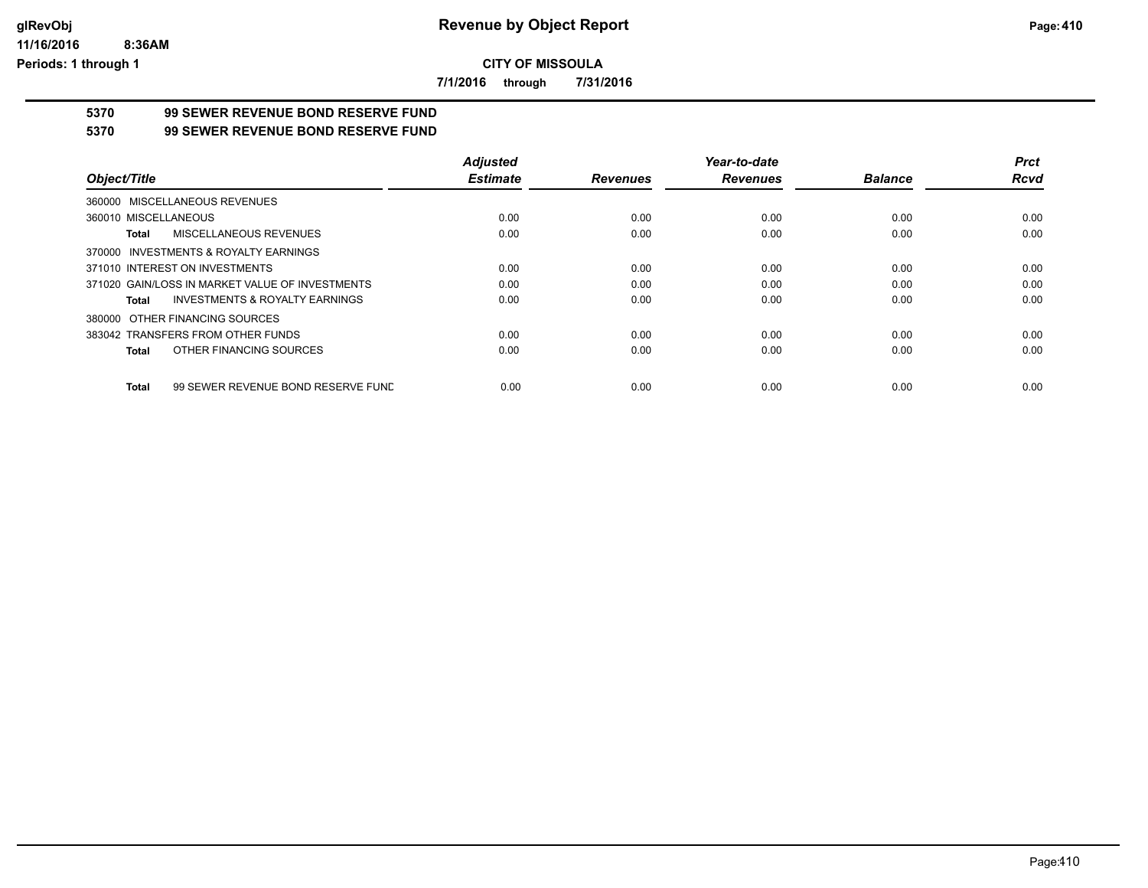**CITY OF MISSOULA**

**7/1/2016 through 7/31/2016**

## **5370 99 SEWER REVENUE BOND RESERVE FUND**

#### **5370 99 SEWER REVENUE BOND RESERVE FUND**

|                                                    | <b>Adjusted</b> |                 | Year-to-date    |                | <b>Prct</b> |
|----------------------------------------------------|-----------------|-----------------|-----------------|----------------|-------------|
| Object/Title                                       | <b>Estimate</b> | <b>Revenues</b> | <b>Revenues</b> | <b>Balance</b> | <b>Rcvd</b> |
| 360000 MISCELLANEOUS REVENUES                      |                 |                 |                 |                |             |
| 360010 MISCELLANEOUS                               | 0.00            | 0.00            | 0.00            | 0.00           | 0.00        |
| <b>MISCELLANEOUS REVENUES</b><br>Total             | 0.00            | 0.00            | 0.00            | 0.00           | 0.00        |
| 370000 INVESTMENTS & ROYALTY EARNINGS              |                 |                 |                 |                |             |
| 371010 INTEREST ON INVESTMENTS                     | 0.00            | 0.00            | 0.00            | 0.00           | 0.00        |
| 371020 GAIN/LOSS IN MARKET VALUE OF INVESTMENTS    | 0.00            | 0.00            | 0.00            | 0.00           | 0.00        |
| <b>INVESTMENTS &amp; ROYALTY EARNINGS</b><br>Total | 0.00            | 0.00            | 0.00            | 0.00           | 0.00        |
| 380000 OTHER FINANCING SOURCES                     |                 |                 |                 |                |             |
| 383042 TRANSFERS FROM OTHER FUNDS                  | 0.00            | 0.00            | 0.00            | 0.00           | 0.00        |
| OTHER FINANCING SOURCES<br>Total                   | 0.00            | 0.00            | 0.00            | 0.00           | 0.00        |
| 99 SEWER REVENUE BOND RESERVE FUND<br><b>Total</b> | 0.00            | 0.00            | 0.00            | 0.00           | 0.00        |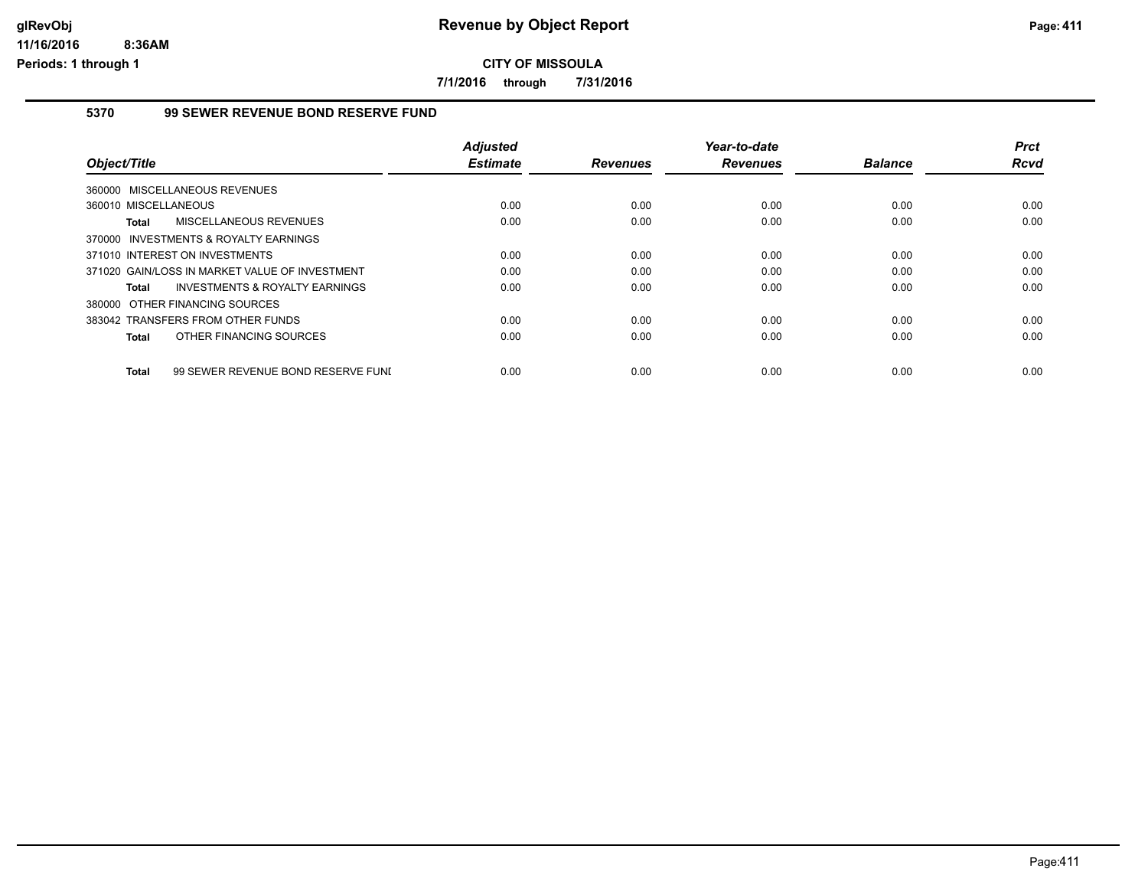**8:36AM**

**CITY OF MISSOULA**

**7/1/2016 through 7/31/2016**

#### **5370 99 SEWER REVENUE BOND RESERVE FUND**

|                                                    | <b>Adjusted</b> |                 | Year-to-date    |                | <b>Prct</b> |
|----------------------------------------------------|-----------------|-----------------|-----------------|----------------|-------------|
| Object/Title                                       | <b>Estimate</b> | <b>Revenues</b> | <b>Revenues</b> | <b>Balance</b> | Rcvd        |
| 360000 MISCELLANEOUS REVENUES                      |                 |                 |                 |                |             |
| 360010 MISCELLANEOUS                               | 0.00            | 0.00            | 0.00            | 0.00           | 0.00        |
| MISCELLANEOUS REVENUES<br><b>Total</b>             | 0.00            | 0.00            | 0.00            | 0.00           | 0.00        |
| 370000 INVESTMENTS & ROYALTY EARNINGS              |                 |                 |                 |                |             |
| 371010 INTEREST ON INVESTMENTS                     | 0.00            | 0.00            | 0.00            | 0.00           | 0.00        |
| 371020 GAIN/LOSS IN MARKET VALUE OF INVESTMENT     | 0.00            | 0.00            | 0.00            | 0.00           | 0.00        |
| <b>INVESTMENTS &amp; ROYALTY EARNINGS</b><br>Total | 0.00            | 0.00            | 0.00            | 0.00           | 0.00        |
| 380000 OTHER FINANCING SOURCES                     |                 |                 |                 |                |             |
| 383042 TRANSFERS FROM OTHER FUNDS                  | 0.00            | 0.00            | 0.00            | 0.00           | 0.00        |
| OTHER FINANCING SOURCES<br><b>Total</b>            | 0.00            | 0.00            | 0.00            | 0.00           | 0.00        |
|                                                    |                 |                 |                 |                |             |
| <b>Total</b><br>99 SEWER REVENUE BOND RESERVE FUNI | 0.00            | 0.00            | 0.00            | 0.00           | 0.00        |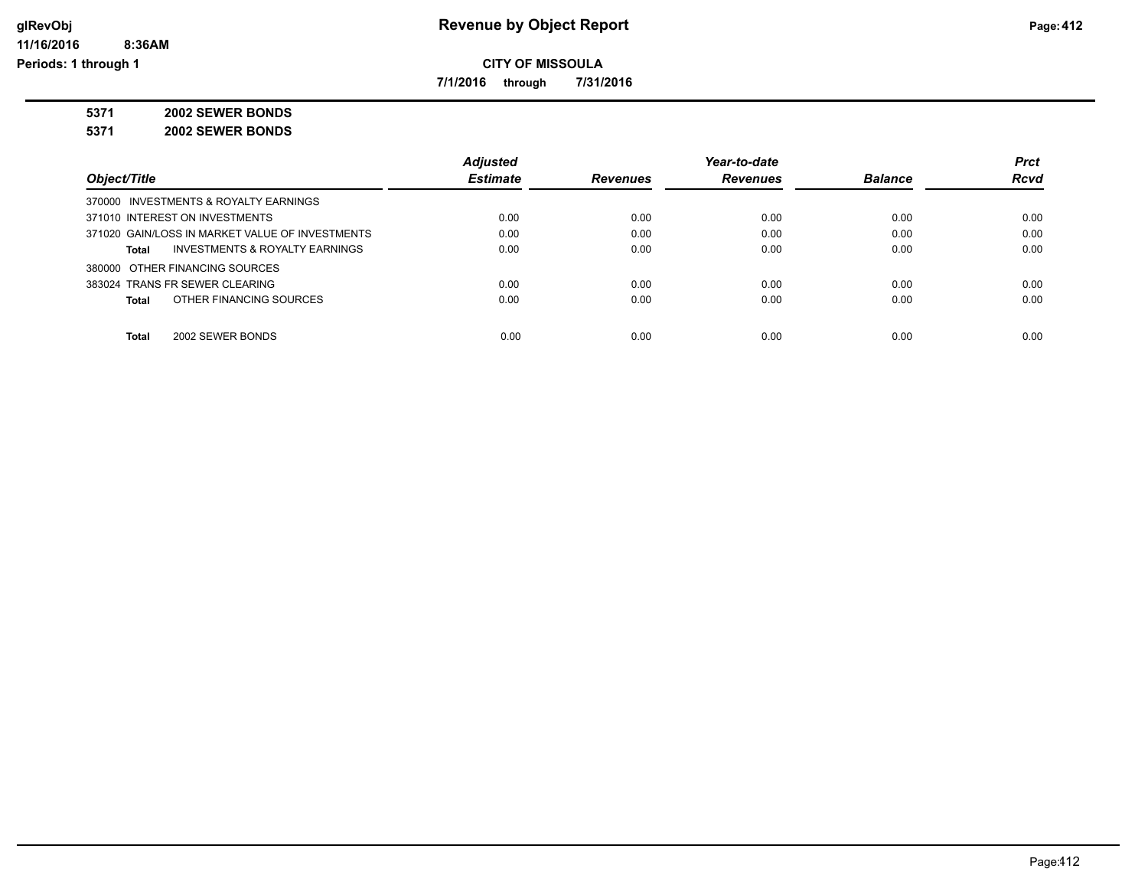**CITY OF MISSOULA**

**7/1/2016 through 7/31/2016**

**5371 2002 SEWER BONDS**

**5371 2002 SEWER BONDS**

|                                                    | <b>Adjusted</b> |                 | Year-to-date    |                | <b>Prct</b> |
|----------------------------------------------------|-----------------|-----------------|-----------------|----------------|-------------|
| Object/Title                                       | <b>Estimate</b> | <b>Revenues</b> | <b>Revenues</b> | <b>Balance</b> | <b>Rcvd</b> |
| 370000 INVESTMENTS & ROYALTY EARNINGS              |                 |                 |                 |                |             |
| 371010 INTEREST ON INVESTMENTS                     | 0.00            | 0.00            | 0.00            | 0.00           | 0.00        |
| 371020 GAIN/LOSS IN MARKET VALUE OF INVESTMENTS    | 0.00            | 0.00            | 0.00            | 0.00           | 0.00        |
| <b>INVESTMENTS &amp; ROYALTY EARNINGS</b><br>Total | 0.00            | 0.00            | 0.00            | 0.00           | 0.00        |
| 380000 OTHER FINANCING SOURCES                     |                 |                 |                 |                |             |
| 383024 TRANS FR SEWER CLEARING                     | 0.00            | 0.00            | 0.00            | 0.00           | 0.00        |
| OTHER FINANCING SOURCES<br>Total                   | 0.00            | 0.00            | 0.00            | 0.00           | 0.00        |
|                                                    |                 |                 |                 |                |             |
| 2002 SEWER BONDS<br>Total                          | 0.00            | 0.00            | 0.00            | 0.00           | 0.00        |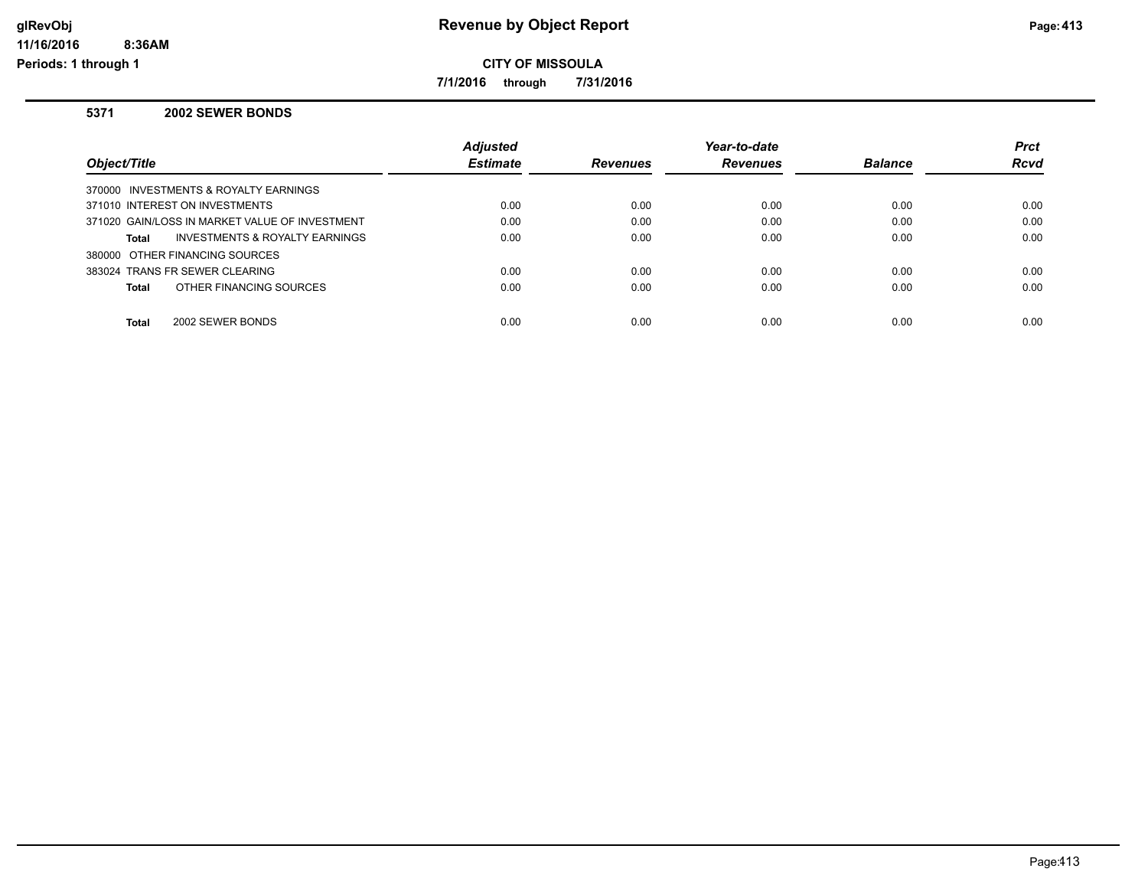**CITY OF MISSOULA**

**7/1/2016 through 7/31/2016**

#### **5371 2002 SEWER BONDS**

 **8:36AM**

| Object/Title                                   | <b>Adjusted</b><br><b>Estimate</b> | <b>Revenues</b> | Year-to-date<br><b>Revenues</b> | <b>Balance</b> | <b>Prct</b><br><b>Rcvd</b> |
|------------------------------------------------|------------------------------------|-----------------|---------------------------------|----------------|----------------------------|
|                                                |                                    |                 |                                 |                |                            |
| 370000 INVESTMENTS & ROYALTY EARNINGS          |                                    |                 |                                 |                |                            |
| 371010 INTEREST ON INVESTMENTS                 | 0.00                               | 0.00            | 0.00                            | 0.00           | 0.00                       |
| 371020 GAIN/LOSS IN MARKET VALUE OF INVESTMENT | 0.00                               | 0.00            | 0.00                            | 0.00           | 0.00                       |
| INVESTMENTS & ROYALTY EARNINGS<br><b>Total</b> | 0.00                               | 0.00            | 0.00                            | 0.00           | 0.00                       |
| 380000 OTHER FINANCING SOURCES                 |                                    |                 |                                 |                |                            |
| 383024 TRANS FR SEWER CLEARING                 | 0.00                               | 0.00            | 0.00                            | 0.00           | 0.00                       |
| OTHER FINANCING SOURCES<br>Total               | 0.00                               | 0.00            | 0.00                            | 0.00           | 0.00                       |
|                                                |                                    |                 |                                 |                |                            |
| 2002 SEWER BONDS<br>Total                      | 0.00                               | 0.00            | 0.00                            | 0.00           | 0.00                       |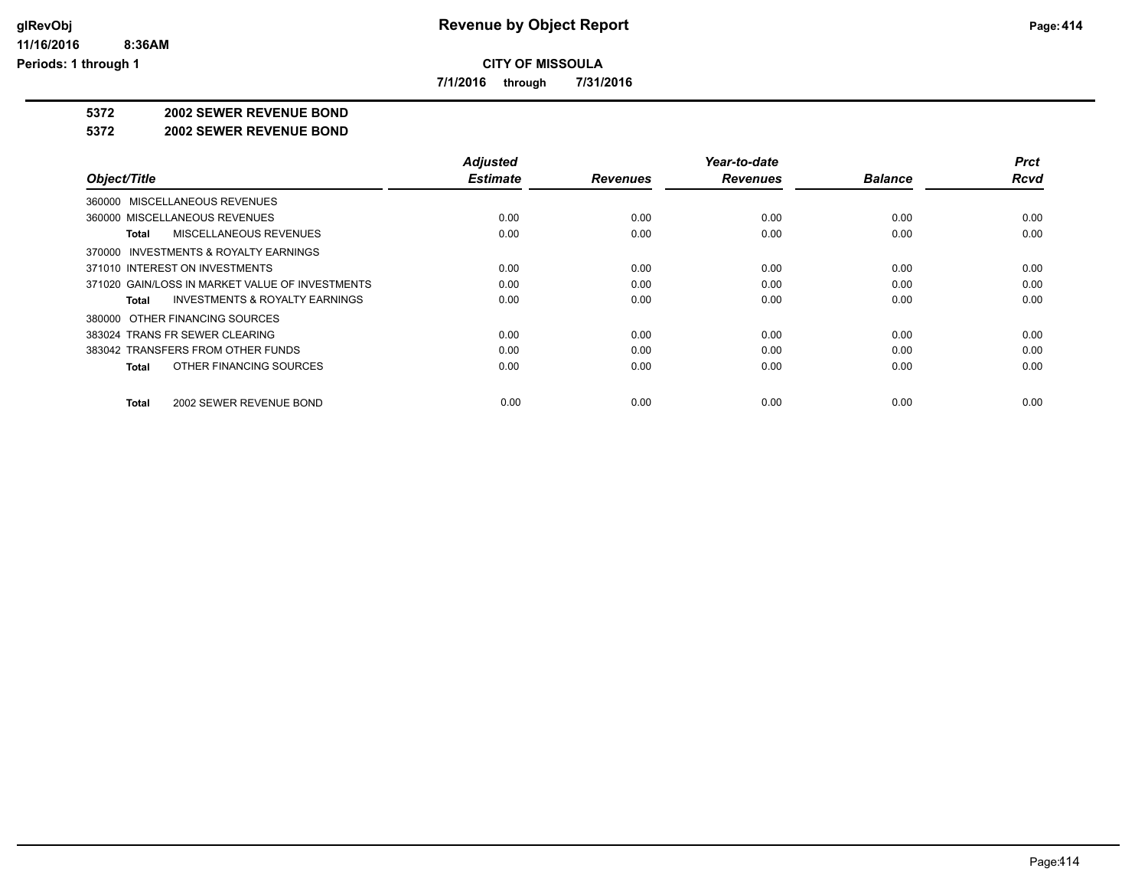**CITY OF MISSOULA**

**7/1/2016 through 7/31/2016**

#### **5372 2002 SEWER REVENUE BOND**

 **8:36AM**

#### **5372 2002 SEWER REVENUE BOND**

| Object/Title                                       | <b>Adjusted</b><br><b>Estimate</b> | <b>Revenues</b> | Year-to-date<br><b>Revenues</b> | <b>Balance</b> | <b>Prct</b><br><b>Rcvd</b> |
|----------------------------------------------------|------------------------------------|-----------------|---------------------------------|----------------|----------------------------|
|                                                    |                                    |                 |                                 |                |                            |
| 360000 MISCELLANEOUS REVENUES                      |                                    |                 |                                 |                |                            |
| 360000 MISCELLANEOUS REVENUES                      | 0.00                               | 0.00            | 0.00                            | 0.00           | 0.00                       |
| <b>MISCELLANEOUS REVENUES</b><br>Total             | 0.00                               | 0.00            | 0.00                            | 0.00           | 0.00                       |
| 370000 INVESTMENTS & ROYALTY EARNINGS              |                                    |                 |                                 |                |                            |
| 371010 INTEREST ON INVESTMENTS                     | 0.00                               | 0.00            | 0.00                            | 0.00           | 0.00                       |
| 371020 GAIN/LOSS IN MARKET VALUE OF INVESTMENTS    | 0.00                               | 0.00            | 0.00                            | 0.00           | 0.00                       |
| <b>INVESTMENTS &amp; ROYALTY EARNINGS</b><br>Total | 0.00                               | 0.00            | 0.00                            | 0.00           | 0.00                       |
| 380000 OTHER FINANCING SOURCES                     |                                    |                 |                                 |                |                            |
| 383024 TRANS FR SEWER CLEARING                     | 0.00                               | 0.00            | 0.00                            | 0.00           | 0.00                       |
| 383042 TRANSFERS FROM OTHER FUNDS                  | 0.00                               | 0.00            | 0.00                            | 0.00           | 0.00                       |
| OTHER FINANCING SOURCES<br>Total                   | 0.00                               | 0.00            | 0.00                            | 0.00           | 0.00                       |
| 2002 SEWER REVENUE BOND<br>Total                   | 0.00                               | 0.00            | 0.00                            | 0.00           | 0.00                       |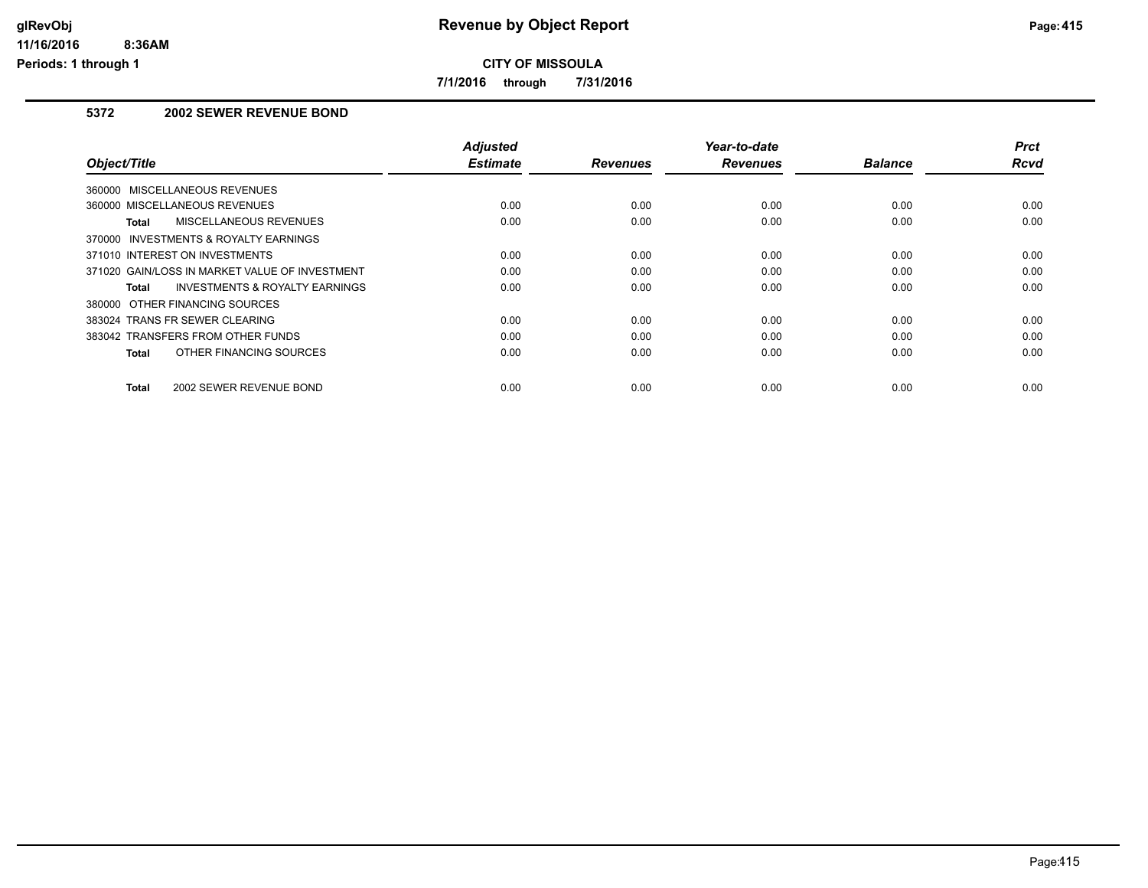**CITY OF MISSOULA**

**7/1/2016 through 7/31/2016**

#### **5372 2002 SEWER REVENUE BOND**

 **8:36AM**

| Object/Title                                       | <b>Adjusted</b><br><b>Estimate</b> | <b>Revenues</b> | Year-to-date<br><b>Revenues</b> | <b>Balance</b> | <b>Prct</b><br><b>Rcvd</b> |
|----------------------------------------------------|------------------------------------|-----------------|---------------------------------|----------------|----------------------------|
| 360000 MISCELLANEOUS REVENUES                      |                                    |                 |                                 |                |                            |
| 360000 MISCELLANEOUS REVENUES                      | 0.00                               | 0.00            | 0.00                            | 0.00           | 0.00                       |
| MISCELLANEOUS REVENUES<br>Total                    | 0.00                               | 0.00            | 0.00                            | 0.00           | 0.00                       |
| 370000 INVESTMENTS & ROYALTY EARNINGS              |                                    |                 |                                 |                |                            |
| 371010 INTEREST ON INVESTMENTS                     | 0.00                               | 0.00            | 0.00                            | 0.00           | 0.00                       |
| 371020 GAIN/LOSS IN MARKET VALUE OF INVESTMENT     | 0.00                               | 0.00            | 0.00                            | 0.00           | 0.00                       |
| <b>INVESTMENTS &amp; ROYALTY EARNINGS</b><br>Total | 0.00                               | 0.00            | 0.00                            | 0.00           | 0.00                       |
| 380000 OTHER FINANCING SOURCES                     |                                    |                 |                                 |                |                            |
| 383024 TRANS FR SEWER CLEARING                     | 0.00                               | 0.00            | 0.00                            | 0.00           | 0.00                       |
| 383042 TRANSFERS FROM OTHER FUNDS                  | 0.00                               | 0.00            | 0.00                            | 0.00           | 0.00                       |
| OTHER FINANCING SOURCES<br>Total                   | 0.00                               | 0.00            | 0.00                            | 0.00           | 0.00                       |
| 2002 SEWER REVENUE BOND<br><b>Total</b>            | 0.00                               | 0.00            | 0.00                            | 0.00           | 0.00                       |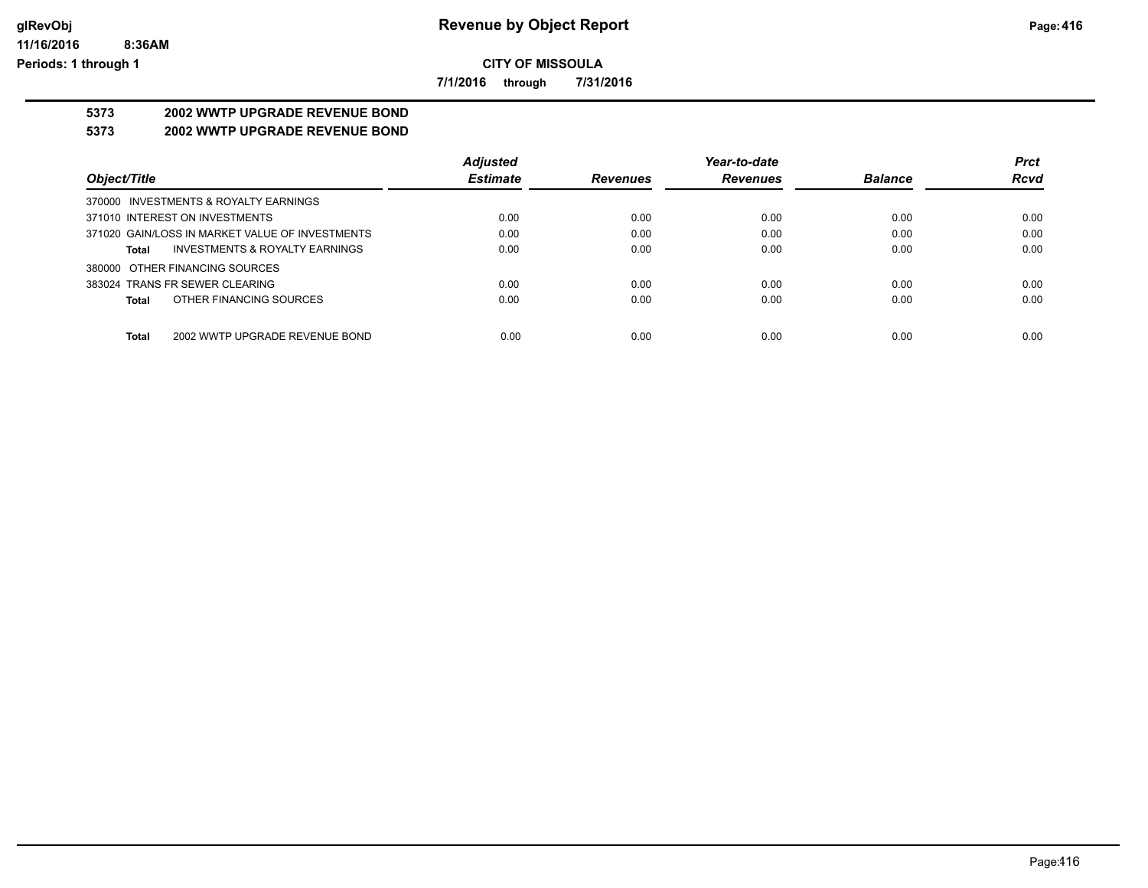**8:36AM**

**glRevObj Revenue by Object Report Page:416** 

**CITY OF MISSOULA**

**7/1/2016 through 7/31/2016**

## **5373 2002 WWTP UPGRADE REVENUE BOND**

### **5373 2002 WWTP UPGRADE REVENUE BOND**

|                                                 | <b>Adjusted</b> |                 | Year-to-date    |                | <b>Prct</b> |
|-------------------------------------------------|-----------------|-----------------|-----------------|----------------|-------------|
| Object/Title                                    | <b>Estimate</b> | <b>Revenues</b> | <b>Revenues</b> | <b>Balance</b> | <b>Rcvd</b> |
| 370000 INVESTMENTS & ROYALTY EARNINGS           |                 |                 |                 |                |             |
| 371010 INTEREST ON INVESTMENTS                  | 0.00            | 0.00            | 0.00            | 0.00           | 0.00        |
| 371020 GAIN/LOSS IN MARKET VALUE OF INVESTMENTS | 0.00            | 0.00            | 0.00            | 0.00           | 0.00        |
| INVESTMENTS & ROYALTY EARNINGS<br>Total         | 0.00            | 0.00            | 0.00            | 0.00           | 0.00        |
| 380000 OTHER FINANCING SOURCES                  |                 |                 |                 |                |             |
| 383024 TRANS FR SEWER CLEARING                  | 0.00            | 0.00            | 0.00            | 0.00           | 0.00        |
| OTHER FINANCING SOURCES<br>Total                | 0.00            | 0.00            | 0.00            | 0.00           | 0.00        |
|                                                 |                 |                 |                 |                |             |
| Total<br>2002 WWTP UPGRADE REVENUE BOND         | 0.00            | 0.00            | 0.00            | 0.00           | 0.00        |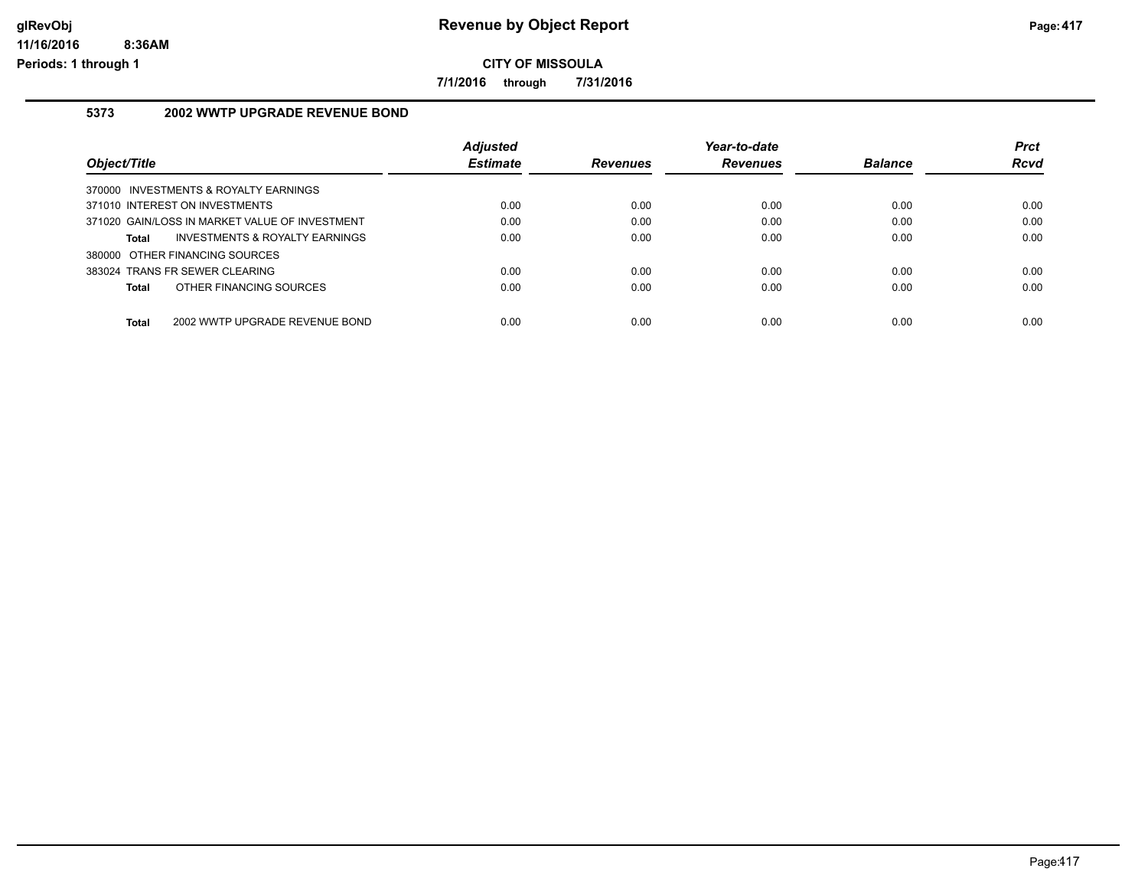**8:36AM**

**CITY OF MISSOULA**

**7/1/2016 through 7/31/2016**

#### **5373 2002 WWTP UPGRADE REVENUE BOND**

|                                                | <b>Adjusted</b> |                 | Year-to-date    |                | <b>Prct</b> |
|------------------------------------------------|-----------------|-----------------|-----------------|----------------|-------------|
| Object/Title                                   | <b>Estimate</b> | <b>Revenues</b> | <b>Revenues</b> | <b>Balance</b> | <b>Rcvd</b> |
| 370000 INVESTMENTS & ROYALTY EARNINGS          |                 |                 |                 |                |             |
| 371010 INTEREST ON INVESTMENTS                 | 0.00            | 0.00            | 0.00            | 0.00           | 0.00        |
| 371020 GAIN/LOSS IN MARKET VALUE OF INVESTMENT | 0.00            | 0.00            | 0.00            | 0.00           | 0.00        |
| INVESTMENTS & ROYALTY EARNINGS<br>Total        | 0.00            | 0.00            | 0.00            | 0.00           | 0.00        |
| 380000 OTHER FINANCING SOURCES                 |                 |                 |                 |                |             |
| 383024 TRANS FR SEWER CLEARING                 | 0.00            | 0.00            | 0.00            | 0.00           | 0.00        |
| OTHER FINANCING SOURCES<br>Total               | 0.00            | 0.00            | 0.00            | 0.00           | 0.00        |
|                                                |                 |                 |                 |                |             |
| Total<br>2002 WWTP UPGRADE REVENUE BOND        | 0.00            | 0.00            | 0.00            | 0.00           | 0.00        |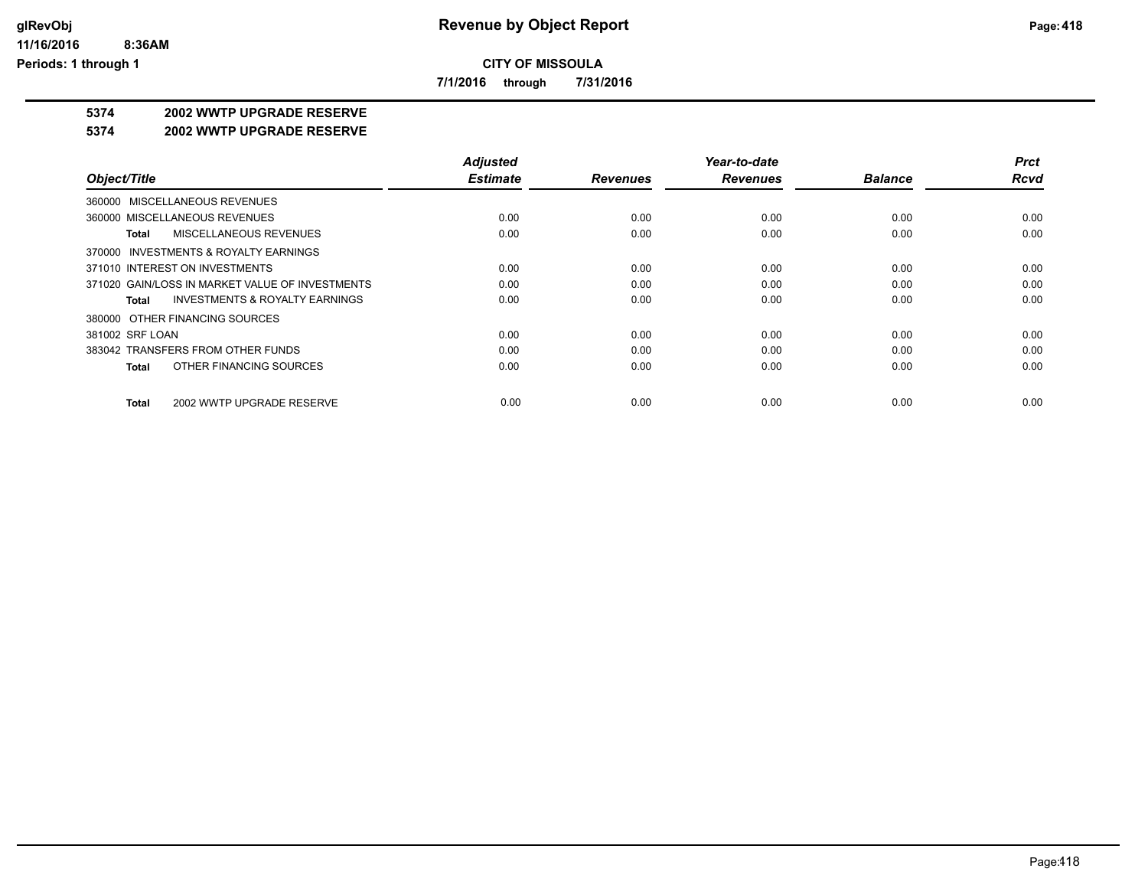**glRevObj Revenue by Object Report Page:418** 

**11/16/2016 8:36AM Periods: 1 through 1**

**CITY OF MISSOULA**

**7/1/2016 through 7/31/2016**

#### **5374 2002 WWTP UPGRADE RESERVE**

#### **5374 2002 WWTP UPGRADE RESERVE**

|                                                    | <b>Adjusted</b> |                 | Year-to-date    |                | <b>Prct</b> |
|----------------------------------------------------|-----------------|-----------------|-----------------|----------------|-------------|
| Object/Title                                       | <b>Estimate</b> | <b>Revenues</b> | <b>Revenues</b> | <b>Balance</b> | <b>Rcvd</b> |
| 360000 MISCELLANEOUS REVENUES                      |                 |                 |                 |                |             |
| 360000 MISCELLANEOUS REVENUES                      | 0.00            | 0.00            | 0.00            | 0.00           | 0.00        |
| MISCELLANEOUS REVENUES<br>Total                    | 0.00            | 0.00            | 0.00            | 0.00           | 0.00        |
| 370000 INVESTMENTS & ROYALTY EARNINGS              |                 |                 |                 |                |             |
| 371010 INTEREST ON INVESTMENTS                     | 0.00            | 0.00            | 0.00            | 0.00           | 0.00        |
| 371020 GAIN/LOSS IN MARKET VALUE OF INVESTMENTS    | 0.00            | 0.00            | 0.00            | 0.00           | 0.00        |
| <b>INVESTMENTS &amp; ROYALTY EARNINGS</b><br>Total | 0.00            | 0.00            | 0.00            | 0.00           | 0.00        |
| 380000 OTHER FINANCING SOURCES                     |                 |                 |                 |                |             |
| 381002 SRF LOAN                                    | 0.00            | 0.00            | 0.00            | 0.00           | 0.00        |
| 383042 TRANSFERS FROM OTHER FUNDS                  | 0.00            | 0.00            | 0.00            | 0.00           | 0.00        |
| OTHER FINANCING SOURCES<br>Total                   | 0.00            | 0.00            | 0.00            | 0.00           | 0.00        |
| 2002 WWTP UPGRADE RESERVE<br>Total                 | 0.00            | 0.00            | 0.00            | 0.00           | 0.00        |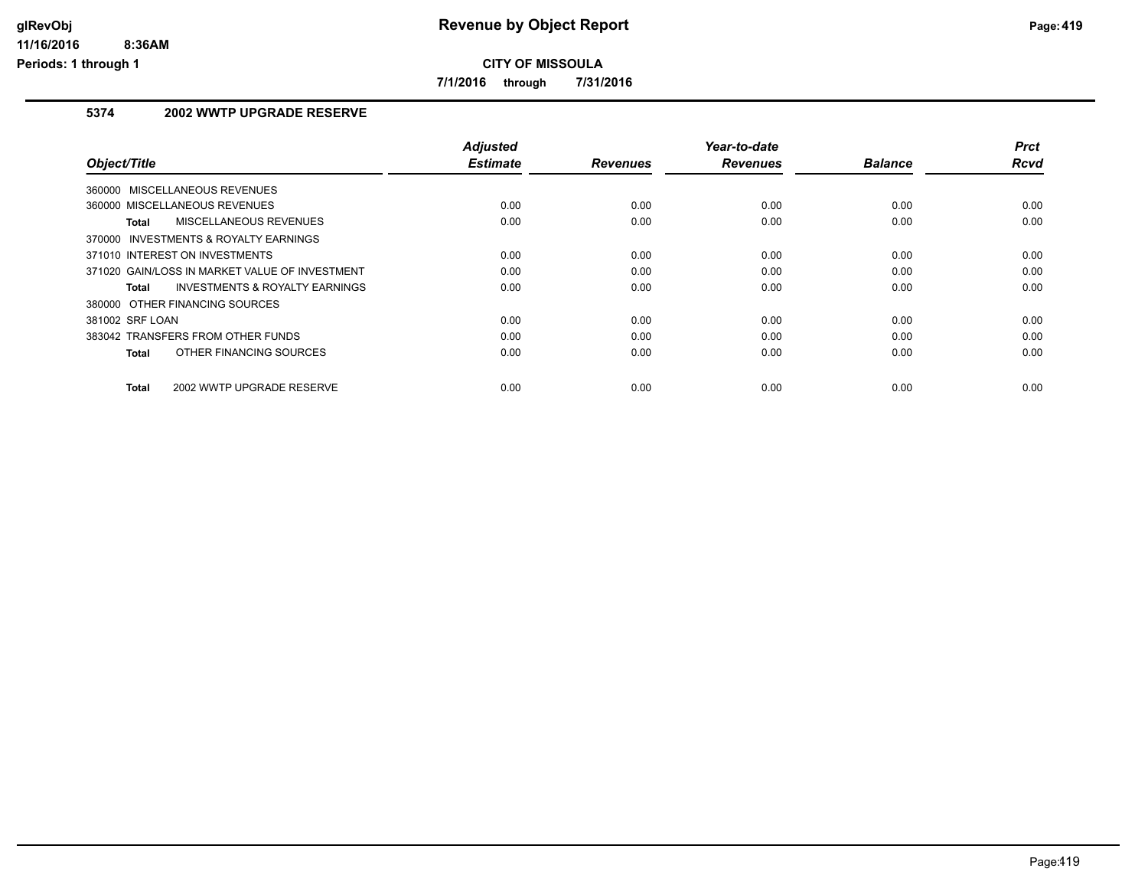**CITY OF MISSOULA**

**7/1/2016 through 7/31/2016**

#### **5374 2002 WWTP UPGRADE RESERVE**

 **8:36AM**

| Object/Title                                   | <b>Adjusted</b><br><b>Estimate</b> | <b>Revenues</b> | Year-to-date<br><b>Revenues</b> | <b>Balance</b> | <b>Prct</b><br><b>Rcvd</b> |
|------------------------------------------------|------------------------------------|-----------------|---------------------------------|----------------|----------------------------|
| 360000 MISCELLANEOUS REVENUES                  |                                    |                 |                                 |                |                            |
| 360000 MISCELLANEOUS REVENUES                  | 0.00                               | 0.00            | 0.00                            | 0.00           | 0.00                       |
| <b>MISCELLANEOUS REVENUES</b><br>Total         | 0.00                               | 0.00            | 0.00                            | 0.00           | 0.00                       |
| 370000 INVESTMENTS & ROYALTY EARNINGS          |                                    |                 |                                 |                |                            |
| 371010 INTEREST ON INVESTMENTS                 | 0.00                               | 0.00            | 0.00                            | 0.00           | 0.00                       |
| 371020 GAIN/LOSS IN MARKET VALUE OF INVESTMENT | 0.00                               | 0.00            | 0.00                            | 0.00           | 0.00                       |
| INVESTMENTS & ROYALTY EARNINGS<br>Total        | 0.00                               | 0.00            | 0.00                            | 0.00           | 0.00                       |
| 380000 OTHER FINANCING SOURCES                 |                                    |                 |                                 |                |                            |
| 381002 SRF LOAN                                | 0.00                               | 0.00            | 0.00                            | 0.00           | 0.00                       |
| 383042 TRANSFERS FROM OTHER FUNDS              | 0.00                               | 0.00            | 0.00                            | 0.00           | 0.00                       |
| OTHER FINANCING SOURCES<br><b>Total</b>        | 0.00                               | 0.00            | 0.00                            | 0.00           | 0.00                       |
| 2002 WWTP UPGRADE RESERVE<br>Total             | 0.00                               | 0.00            | 0.00                            | 0.00           | 0.00                       |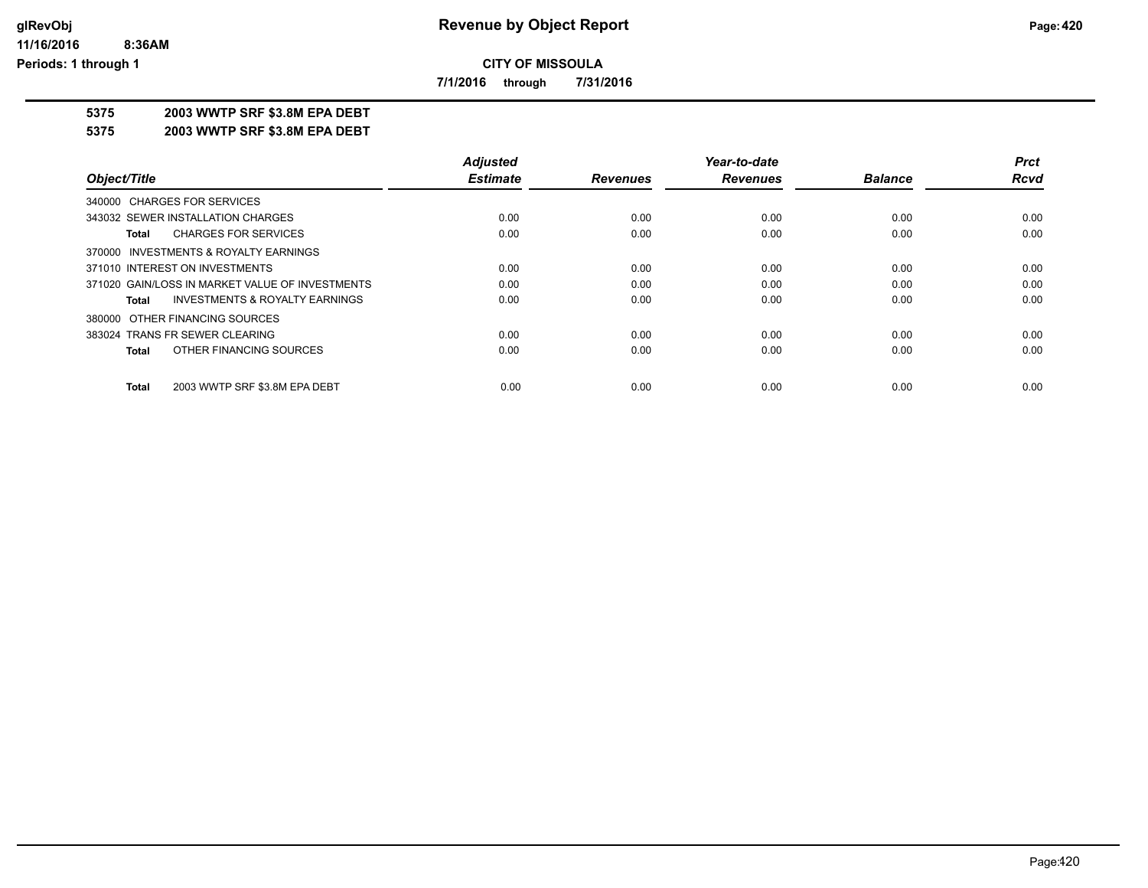**glRevObj Revenue by Object Report Page:420** 

**Periods: 1 through 1**

 **8:36AM**

### **CITY OF MISSOULA**

**7/1/2016 through 7/31/2016**

#### **5375 2003 WWTP SRF \$3.8M EPA DEBT**

**5375 2003 WWTP SRF \$3.8M EPA DEBT**

|                                                 | <b>Adjusted</b><br><b>Estimate</b> |                 | Year-to-date    | <b>Balance</b> | <b>Prct</b><br><b>Rcvd</b> |
|-------------------------------------------------|------------------------------------|-----------------|-----------------|----------------|----------------------------|
| Object/Title                                    |                                    | <b>Revenues</b> | <b>Revenues</b> |                |                            |
| 340000 CHARGES FOR SERVICES                     |                                    |                 |                 |                |                            |
| 343032 SEWER INSTALLATION CHARGES               | 0.00                               | 0.00            | 0.00            | 0.00           | 0.00                       |
| <b>CHARGES FOR SERVICES</b><br>Total            | 0.00                               | 0.00            | 0.00            | 0.00           | 0.00                       |
| 370000 INVESTMENTS & ROYALTY EARNINGS           |                                    |                 |                 |                |                            |
| 371010 INTEREST ON INVESTMENTS                  | 0.00                               | 0.00            | 0.00            | 0.00           | 0.00                       |
| 371020 GAIN/LOSS IN MARKET VALUE OF INVESTMENTS | 0.00                               | 0.00            | 0.00            | 0.00           | 0.00                       |
| INVESTMENTS & ROYALTY EARNINGS<br>Total         | 0.00                               | 0.00            | 0.00            | 0.00           | 0.00                       |
| 380000 OTHER FINANCING SOURCES                  |                                    |                 |                 |                |                            |
| 383024 TRANS FR SEWER CLEARING                  | 0.00                               | 0.00            | 0.00            | 0.00           | 0.00                       |
| OTHER FINANCING SOURCES<br>Total                | 0.00                               | 0.00            | 0.00            | 0.00           | 0.00                       |
| 2003 WWTP SRF \$3.8M EPA DEBT<br>Total          | 0.00                               | 0.00            | 0.00            | 0.00           | 0.00                       |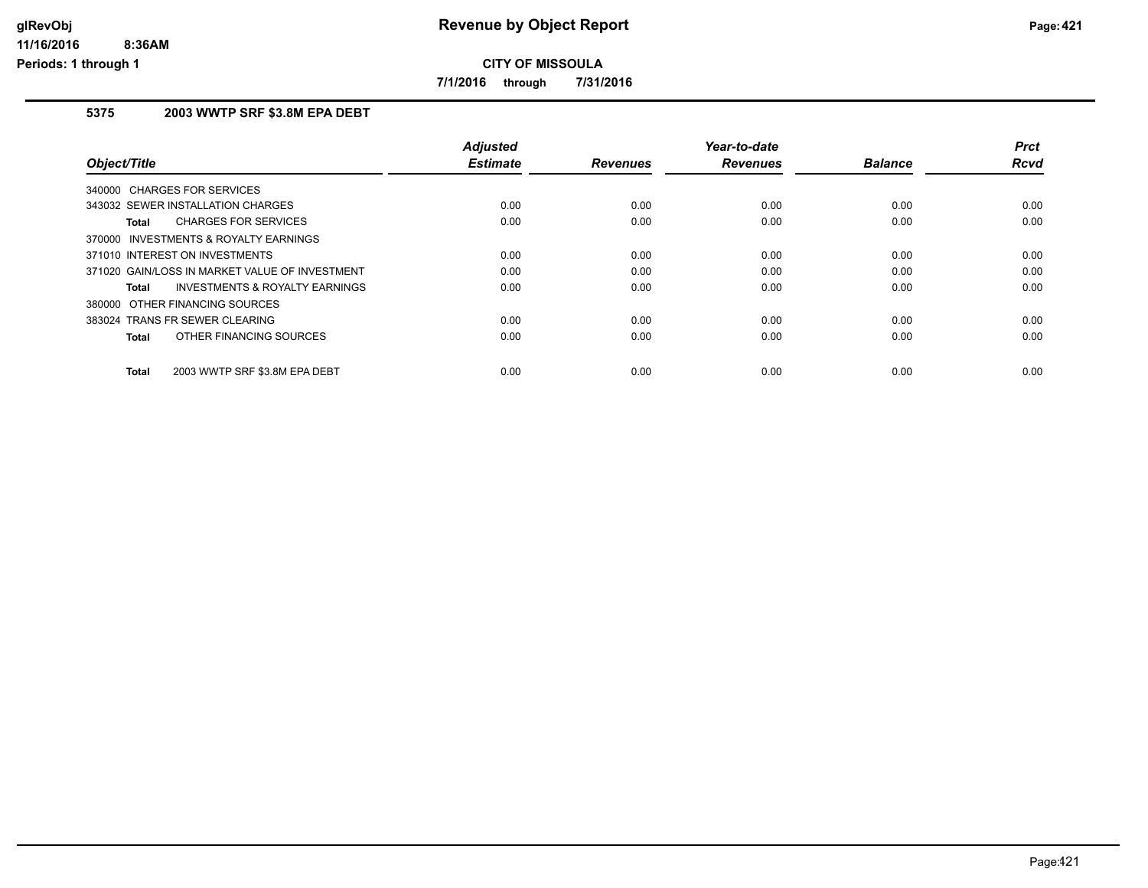**CITY OF MISSOULA**

**7/1/2016 through 7/31/2016**

#### **5375 2003 WWTP SRF \$3.8M EPA DEBT**

 **8:36AM**

|                                                    | <b>Adjusted</b> |                 | Year-to-date    |                | <b>Prct</b> |
|----------------------------------------------------|-----------------|-----------------|-----------------|----------------|-------------|
| Object/Title                                       | <b>Estimate</b> | <b>Revenues</b> | <b>Revenues</b> | <b>Balance</b> | <b>Rcvd</b> |
| 340000 CHARGES FOR SERVICES                        |                 |                 |                 |                |             |
| 343032 SEWER INSTALLATION CHARGES                  | 0.00            | 0.00            | 0.00            | 0.00           | 0.00        |
| <b>CHARGES FOR SERVICES</b><br>Total               | 0.00            | 0.00            | 0.00            | 0.00           | 0.00        |
| 370000 INVESTMENTS & ROYALTY EARNINGS              |                 |                 |                 |                |             |
| 371010 INTEREST ON INVESTMENTS                     | 0.00            | 0.00            | 0.00            | 0.00           | 0.00        |
| 371020 GAIN/LOSS IN MARKET VALUE OF INVESTMENT     | 0.00            | 0.00            | 0.00            | 0.00           | 0.00        |
| <b>INVESTMENTS &amp; ROYALTY EARNINGS</b><br>Total | 0.00            | 0.00            | 0.00            | 0.00           | 0.00        |
| 380000 OTHER FINANCING SOURCES                     |                 |                 |                 |                |             |
| 383024 TRANS FR SEWER CLEARING                     | 0.00            | 0.00            | 0.00            | 0.00           | 0.00        |
| OTHER FINANCING SOURCES<br>Total                   | 0.00            | 0.00            | 0.00            | 0.00           | 0.00        |
| 2003 WWTP SRF \$3.8M EPA DEBT<br><b>Total</b>      | 0.00            | 0.00            | 0.00            | 0.00           | 0.00        |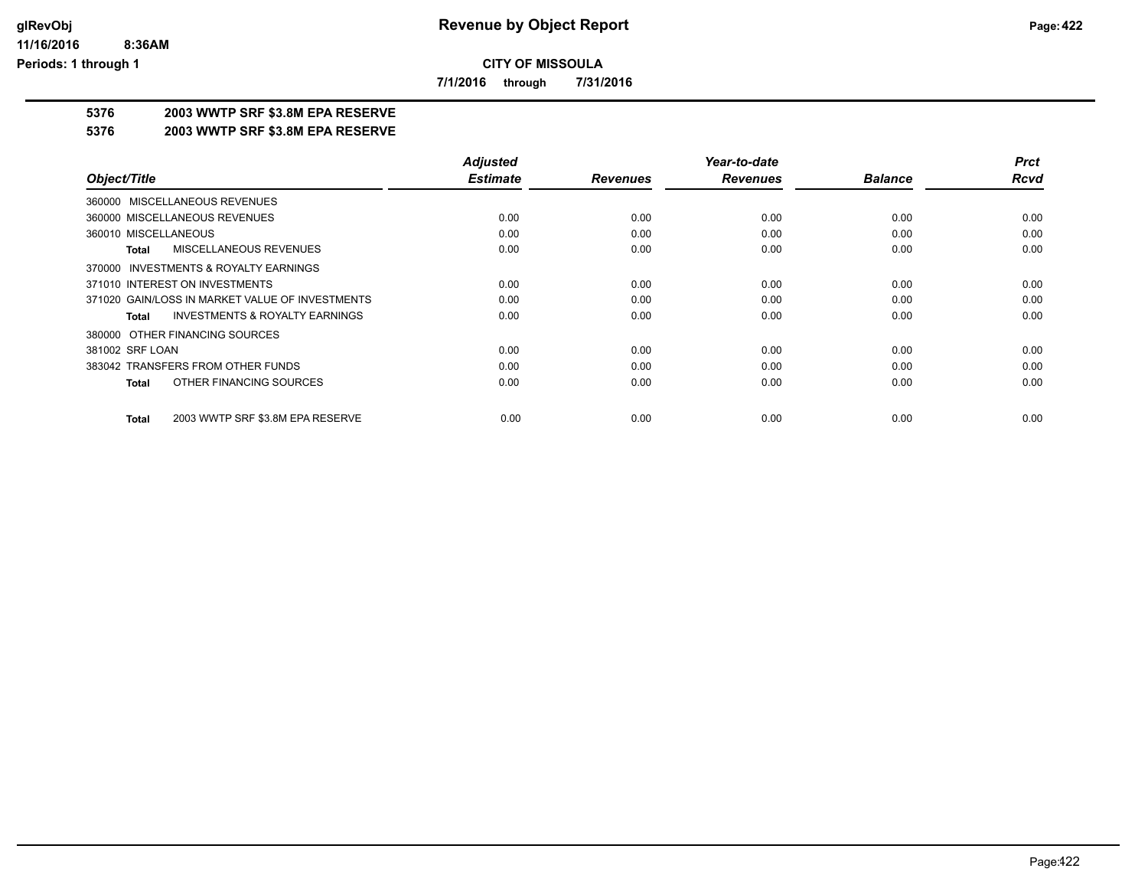**glRevObj Revenue by Object Report Page:422** 

**CITY OF MISSOULA**

**7/1/2016 through 7/31/2016**

#### **5376 2003 WWTP SRF \$3.8M EPA RESERVE**

 **8:36AM**

#### **5376 2003 WWTP SRF \$3.8M EPA RESERVE**

|                                                    | <b>Adjusted</b> |                 | Year-to-date    |                | <b>Prct</b> |
|----------------------------------------------------|-----------------|-----------------|-----------------|----------------|-------------|
| Object/Title                                       | <b>Estimate</b> | <b>Revenues</b> | <b>Revenues</b> | <b>Balance</b> | <b>Rcvd</b> |
| MISCELLANEOUS REVENUES<br>360000                   |                 |                 |                 |                |             |
| 360000 MISCELLANEOUS REVENUES                      | 0.00            | 0.00            | 0.00            | 0.00           | 0.00        |
| 360010 MISCELLANEOUS                               | 0.00            | 0.00            | 0.00            | 0.00           | 0.00        |
| MISCELLANEOUS REVENUES<br><b>Total</b>             | 0.00            | 0.00            | 0.00            | 0.00           | 0.00        |
| INVESTMENTS & ROYALTY EARNINGS<br>370000           |                 |                 |                 |                |             |
| 371010 INTEREST ON INVESTMENTS                     | 0.00            | 0.00            | 0.00            | 0.00           | 0.00        |
| 371020 GAIN/LOSS IN MARKET VALUE OF INVESTMENTS    | 0.00            | 0.00            | 0.00            | 0.00           | 0.00        |
| <b>INVESTMENTS &amp; ROYALTY EARNINGS</b><br>Total | 0.00            | 0.00            | 0.00            | 0.00           | 0.00        |
| 380000 OTHER FINANCING SOURCES                     |                 |                 |                 |                |             |
| 381002 SRF LOAN                                    | 0.00            | 0.00            | 0.00            | 0.00           | 0.00        |
| 383042 TRANSFERS FROM OTHER FUNDS                  | 0.00            | 0.00            | 0.00            | 0.00           | 0.00        |
| OTHER FINANCING SOURCES<br><b>Total</b>            | 0.00            | 0.00            | 0.00            | 0.00           | 0.00        |
| 2003 WWTP SRF \$3.8M EPA RESERVE<br>Total          | 0.00            | 0.00            | 0.00            | 0.00           | 0.00        |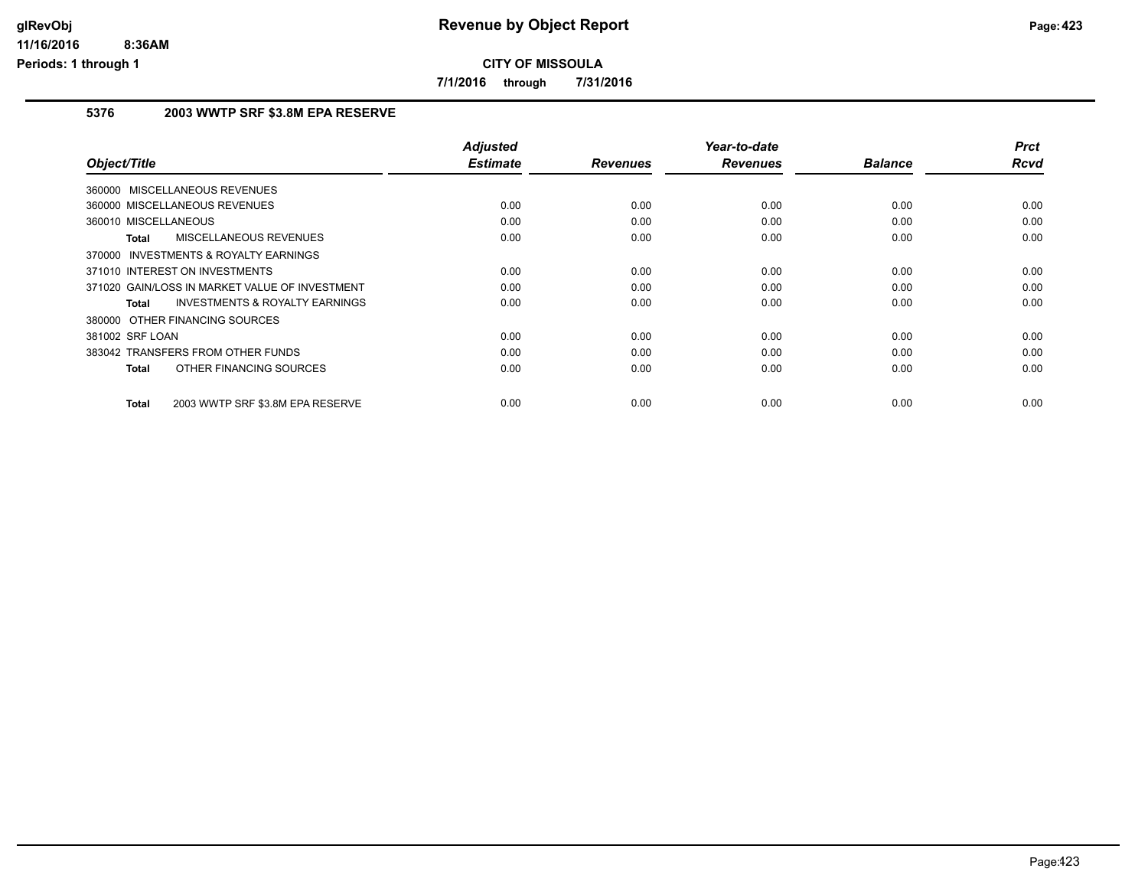**8:36AM**

**CITY OF MISSOULA**

**7/1/2016 through 7/31/2016**

#### **5376 2003 WWTP SRF \$3.8M EPA RESERVE**

| <b>Adjusted</b><br><b>Estimate</b> | <b>Revenues</b> | Year-to-date<br><b>Revenues</b> | <b>Balance</b> | <b>Prct</b><br><b>Rcvd</b> |
|------------------------------------|-----------------|---------------------------------|----------------|----------------------------|
|                                    |                 |                                 |                |                            |
| 0.00                               | 0.00            | 0.00                            | 0.00           | 0.00                       |
| 0.00                               | 0.00            | 0.00                            | 0.00           | 0.00                       |
| 0.00                               | 0.00            | 0.00                            | 0.00           | 0.00                       |
|                                    |                 |                                 |                |                            |
| 0.00                               | 0.00            | 0.00                            | 0.00           | 0.00                       |
| 0.00                               | 0.00            | 0.00                            | 0.00           | 0.00                       |
| 0.00                               | 0.00            | 0.00                            | 0.00           | 0.00                       |
|                                    |                 |                                 |                |                            |
| 0.00                               | 0.00            | 0.00                            | 0.00           | 0.00                       |
| 0.00                               | 0.00            | 0.00                            | 0.00           | 0.00                       |
| 0.00                               | 0.00            | 0.00                            | 0.00           | 0.00                       |
|                                    |                 |                                 |                | 0.00                       |
|                                    | 0.00            | 0.00                            | 0.00           | 0.00                       |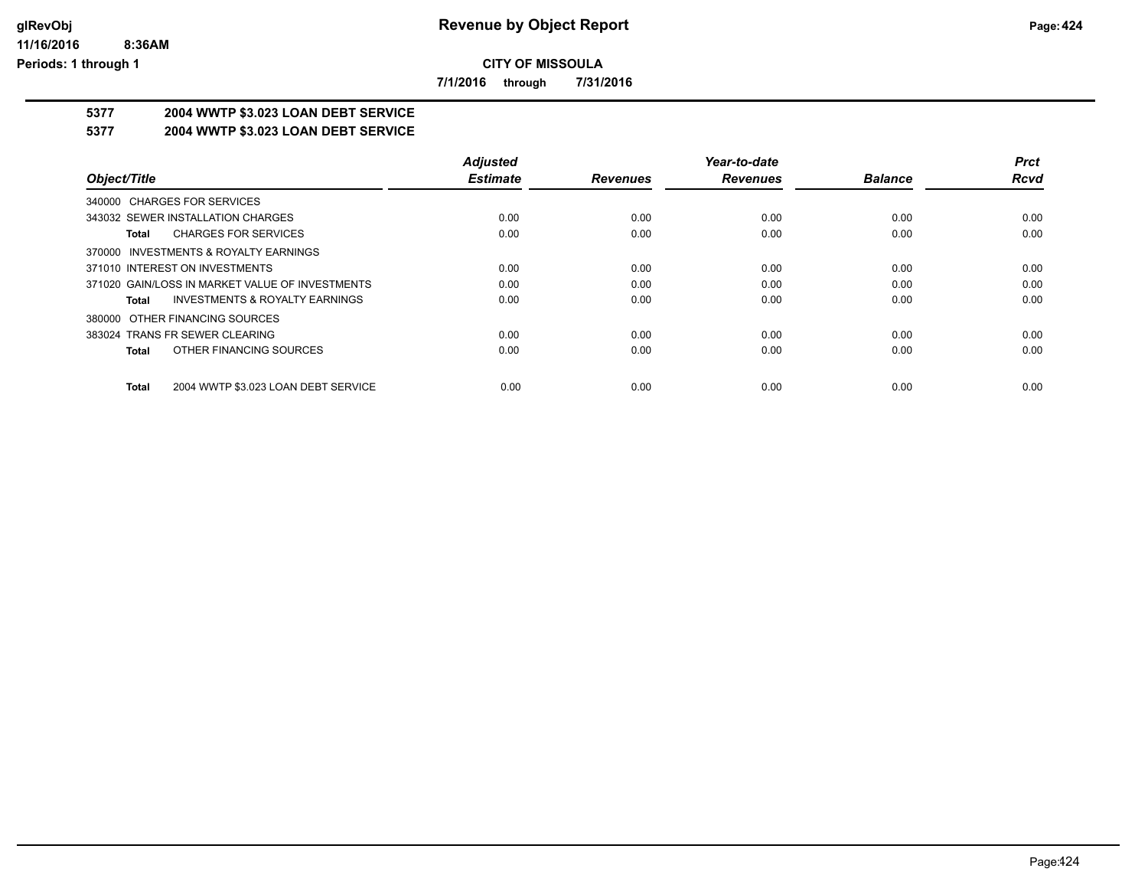**CITY OF MISSOULA**

**7/1/2016 through 7/31/2016**

# **5377 2004 WWTP \$3.023 LOAN DEBT SERVICE**

## **5377 2004 WWTP \$3.023 LOAN DEBT SERVICE**

|                                                    | <b>Adjusted</b> |                 | Year-to-date    |                | <b>Prct</b> |
|----------------------------------------------------|-----------------|-----------------|-----------------|----------------|-------------|
| Object/Title                                       | <b>Estimate</b> | <b>Revenues</b> | <b>Revenues</b> | <b>Balance</b> | <b>Rcvd</b> |
| 340000 CHARGES FOR SERVICES                        |                 |                 |                 |                |             |
| 343032 SEWER INSTALLATION CHARGES                  | 0.00            | 0.00            | 0.00            | 0.00           | 0.00        |
| <b>CHARGES FOR SERVICES</b><br>Total               | 0.00            | 0.00            | 0.00            | 0.00           | 0.00        |
| 370000 INVESTMENTS & ROYALTY EARNINGS              |                 |                 |                 |                |             |
| 371010 INTEREST ON INVESTMENTS                     | 0.00            | 0.00            | 0.00            | 0.00           | 0.00        |
| 371020 GAIN/LOSS IN MARKET VALUE OF INVESTMENTS    | 0.00            | 0.00            | 0.00            | 0.00           | 0.00        |
| <b>INVESTMENTS &amp; ROYALTY EARNINGS</b><br>Total | 0.00            | 0.00            | 0.00            | 0.00           | 0.00        |
| 380000 OTHER FINANCING SOURCES                     |                 |                 |                 |                |             |
| 383024 TRANS FR SEWER CLEARING                     | 0.00            | 0.00            | 0.00            | 0.00           | 0.00        |
| OTHER FINANCING SOURCES<br><b>Total</b>            | 0.00            | 0.00            | 0.00            | 0.00           | 0.00        |
| 2004 WWTP \$3.023 LOAN DEBT SERVICE<br>Total       | 0.00            | 0.00            | 0.00            | 0.00           | 0.00        |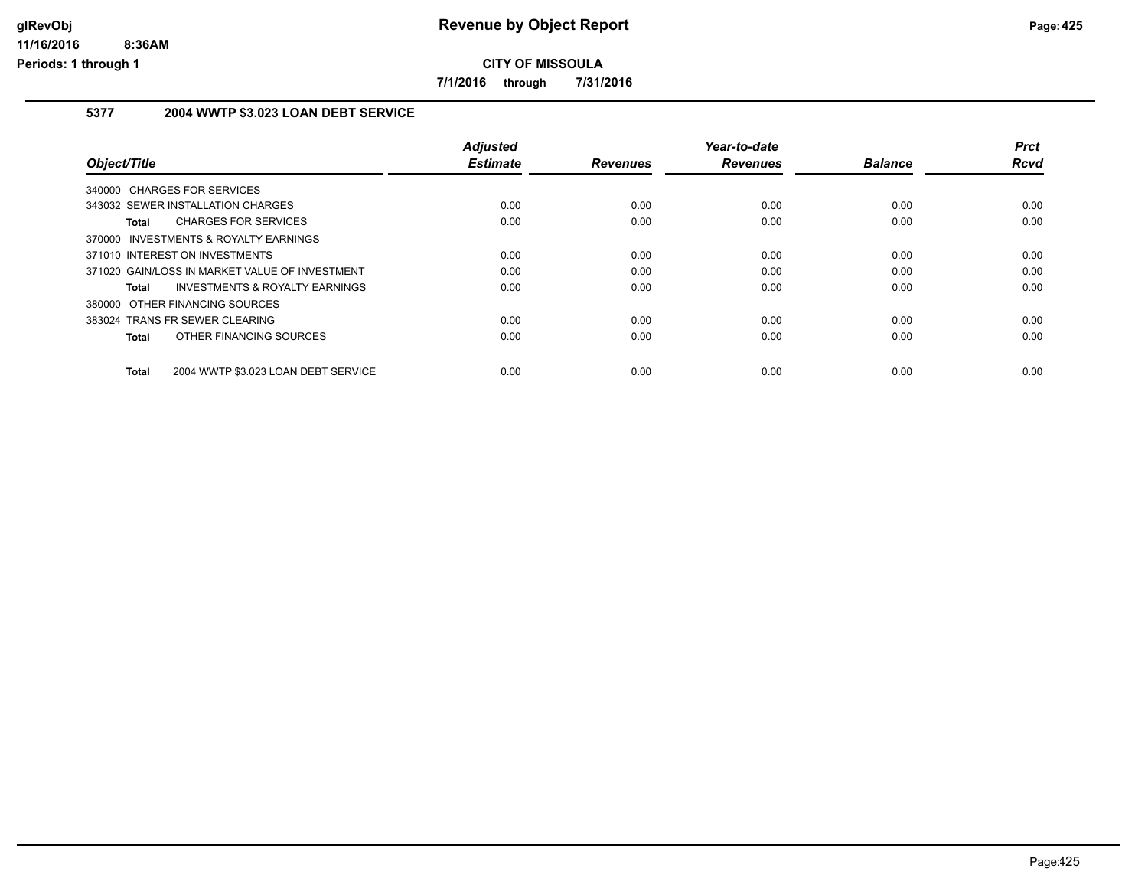**8:36AM**

**CITY OF MISSOULA**

**7/1/2016 through 7/31/2016**

#### **5377 2004 WWTP \$3.023 LOAN DEBT SERVICE**

| Object/Title                                        | <b>Adjusted</b><br><b>Estimate</b> | <b>Revenues</b> | Year-to-date<br><b>Revenues</b> | <b>Balance</b> | <b>Prct</b><br><b>Rcvd</b> |
|-----------------------------------------------------|------------------------------------|-----------------|---------------------------------|----------------|----------------------------|
| 340000 CHARGES FOR SERVICES                         |                                    |                 |                                 |                |                            |
| 343032 SEWER INSTALLATION CHARGES                   | 0.00                               | 0.00            | 0.00                            | 0.00           | 0.00                       |
| <b>CHARGES FOR SERVICES</b><br>Total                | 0.00                               | 0.00            | 0.00                            | 0.00           | 0.00                       |
| 370000 INVESTMENTS & ROYALTY EARNINGS               |                                    |                 |                                 |                |                            |
| 371010 INTEREST ON INVESTMENTS                      | 0.00                               | 0.00            | 0.00                            | 0.00           | 0.00                       |
| 371020 GAIN/LOSS IN MARKET VALUE OF INVESTMENT      | 0.00                               | 0.00            | 0.00                            | 0.00           | 0.00                       |
| <b>INVESTMENTS &amp; ROYALTY EARNINGS</b><br>Total  | 0.00                               | 0.00            | 0.00                            | 0.00           | 0.00                       |
| 380000 OTHER FINANCING SOURCES                      |                                    |                 |                                 |                |                            |
| 383024 TRANS FR SEWER CLEARING                      | 0.00                               | 0.00            | 0.00                            | 0.00           | 0.00                       |
| OTHER FINANCING SOURCES<br>Total                    | 0.00                               | 0.00            | 0.00                            | 0.00           | 0.00                       |
| 2004 WWTP \$3.023 LOAN DEBT SERVICE<br><b>Total</b> | 0.00                               | 0.00            | 0.00                            | 0.00           | 0.00                       |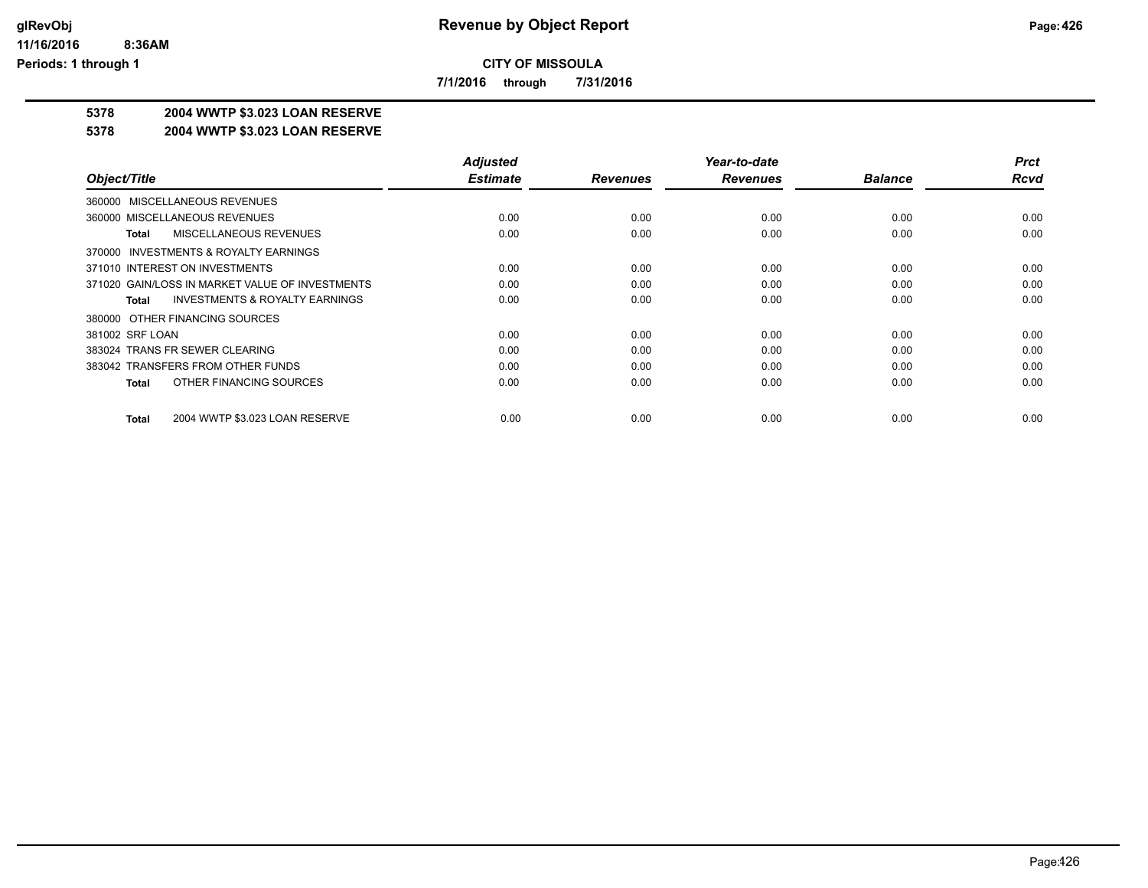**glRevObj Revenue by Object Report Page:426** 

**CITY OF MISSOULA**

**7/1/2016 through 7/31/2016**

#### **5378 2004 WWTP \$3.023 LOAN RESERVE**

 **8:36AM**

#### **5378 2004 WWTP \$3.023 LOAN RESERVE**

|                                                    | <b>Adjusted</b> |                 | Year-to-date    |                | <b>Prct</b> |
|----------------------------------------------------|-----------------|-----------------|-----------------|----------------|-------------|
| Object/Title                                       | <b>Estimate</b> | <b>Revenues</b> | <b>Revenues</b> | <b>Balance</b> | <b>Rcvd</b> |
| 360000 MISCELLANEOUS REVENUES                      |                 |                 |                 |                |             |
| 360000 MISCELLANEOUS REVENUES                      | 0.00            | 0.00            | 0.00            | 0.00           | 0.00        |
| MISCELLANEOUS REVENUES<br>Total                    | 0.00            | 0.00            | 0.00            | 0.00           | 0.00        |
| 370000 INVESTMENTS & ROYALTY EARNINGS              |                 |                 |                 |                |             |
| 371010 INTEREST ON INVESTMENTS                     | 0.00            | 0.00            | 0.00            | 0.00           | 0.00        |
| 371020 GAIN/LOSS IN MARKET VALUE OF INVESTMENTS    | 0.00            | 0.00            | 0.00            | 0.00           | 0.00        |
| <b>INVESTMENTS &amp; ROYALTY EARNINGS</b><br>Total | 0.00            | 0.00            | 0.00            | 0.00           | 0.00        |
| 380000 OTHER FINANCING SOURCES                     |                 |                 |                 |                |             |
| 381002 SRF LOAN                                    | 0.00            | 0.00            | 0.00            | 0.00           | 0.00        |
| 383024 TRANS FR SEWER CLEARING                     | 0.00            | 0.00            | 0.00            | 0.00           | 0.00        |
| 383042 TRANSFERS FROM OTHER FUNDS                  | 0.00            | 0.00            | 0.00            | 0.00           | 0.00        |
| OTHER FINANCING SOURCES<br>Total                   | 0.00            | 0.00            | 0.00            | 0.00           | 0.00        |
|                                                    |                 |                 |                 |                |             |
| 2004 WWTP \$3.023 LOAN RESERVE<br>Total            | 0.00            | 0.00            | 0.00            | 0.00           | 0.00        |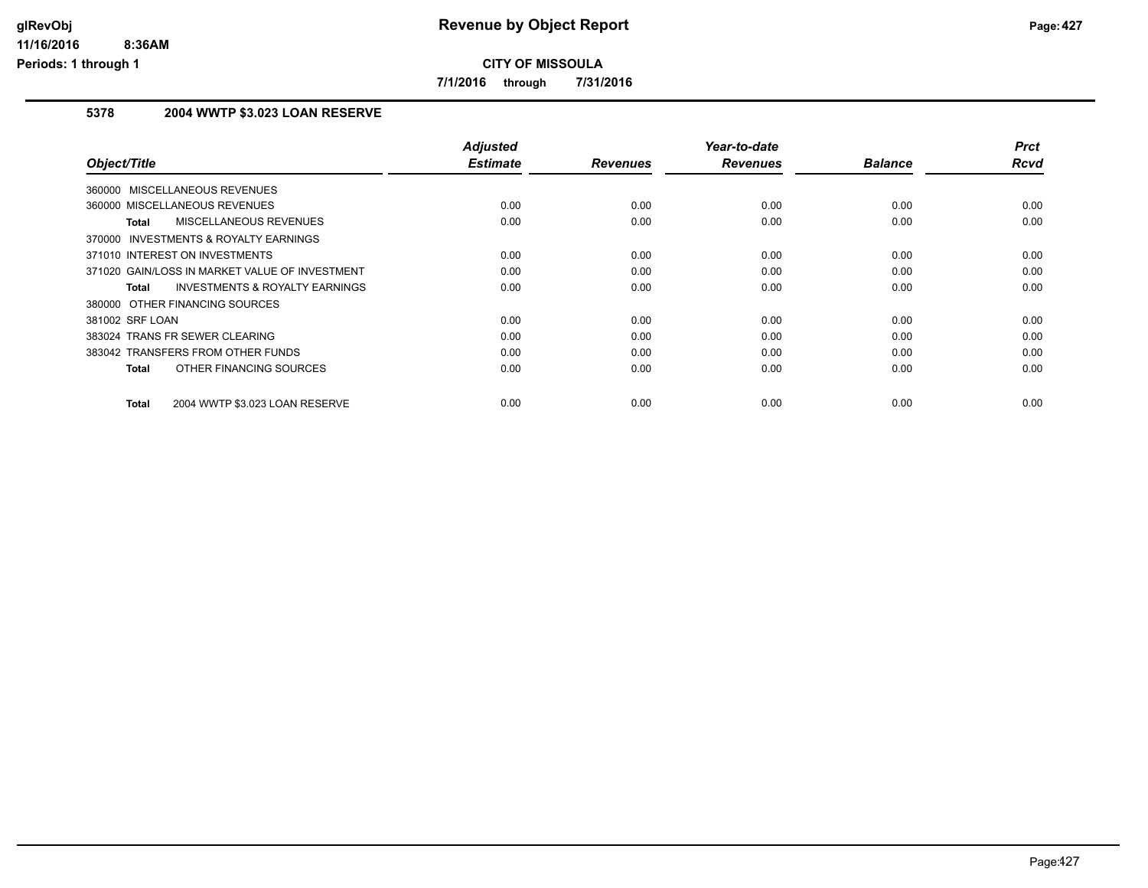**CITY OF MISSOULA**

**7/1/2016 through 7/31/2016**

#### **5378 2004 WWTP \$3.023 LOAN RESERVE**

 **8:36AM**

| Object/Title                                       | <b>Adjusted</b><br><b>Estimate</b> | <b>Revenues</b> | Year-to-date<br><b>Revenues</b> | <b>Balance</b> | <b>Prct</b><br><b>Rcvd</b> |
|----------------------------------------------------|------------------------------------|-----------------|---------------------------------|----------------|----------------------------|
| 360000 MISCELLANEOUS REVENUES                      |                                    |                 |                                 |                |                            |
| 360000 MISCELLANEOUS REVENUES                      | 0.00                               | 0.00            | 0.00                            | 0.00           | 0.00                       |
| MISCELLANEOUS REVENUES<br>Total                    | 0.00                               | 0.00            | 0.00                            | 0.00           | 0.00                       |
| 370000 INVESTMENTS & ROYALTY EARNINGS              |                                    |                 |                                 |                |                            |
| 371010 INTEREST ON INVESTMENTS                     | 0.00                               | 0.00            | 0.00                            | 0.00           | 0.00                       |
| 371020 GAIN/LOSS IN MARKET VALUE OF INVESTMENT     | 0.00                               | 0.00            | 0.00                            | 0.00           | 0.00                       |
| <b>INVESTMENTS &amp; ROYALTY EARNINGS</b><br>Total | 0.00                               | 0.00            | 0.00                            | 0.00           | 0.00                       |
| 380000 OTHER FINANCING SOURCES                     |                                    |                 |                                 |                |                            |
| 381002 SRF LOAN                                    | 0.00                               | 0.00            | 0.00                            | 0.00           | 0.00                       |
| 383024 TRANS FR SEWER CLEARING                     | 0.00                               | 0.00            | 0.00                            | 0.00           | 0.00                       |
| 383042 TRANSFERS FROM OTHER FUNDS                  | 0.00                               | 0.00            | 0.00                            | 0.00           | 0.00                       |
| OTHER FINANCING SOURCES<br><b>Total</b>            | 0.00                               | 0.00            | 0.00                            | 0.00           | 0.00                       |
|                                                    |                                    |                 |                                 |                |                            |
| 2004 WWTP \$3.023 LOAN RESERVE<br><b>Total</b>     | 0.00                               | 0.00            | 0.00                            | 0.00           | 0.00                       |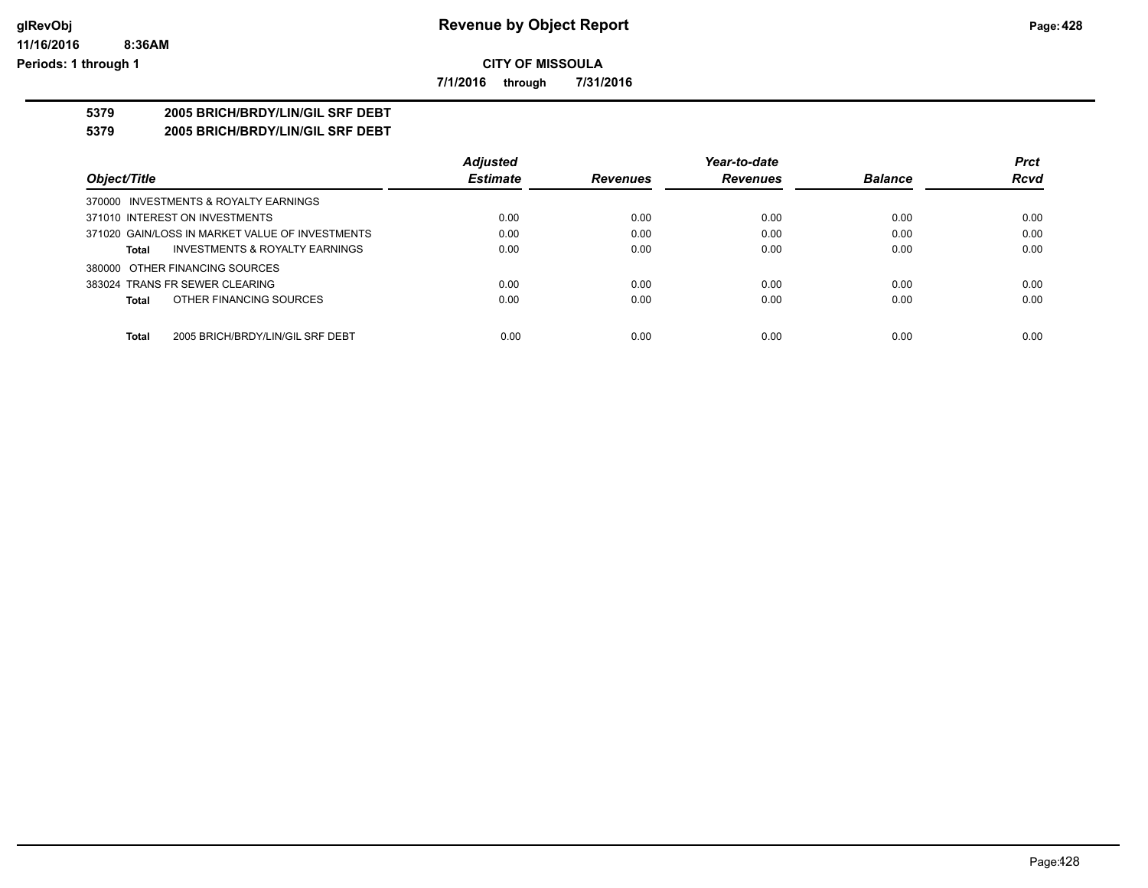**CITY OF MISSOULA**

**7/1/2016 through 7/31/2016**

### **5379 2005 BRICH/BRDY/LIN/GIL SRF DEBT**

**5379 2005 BRICH/BRDY/LIN/GIL SRF DEBT**

|                                                  | <b>Adjusted</b> |                 | Year-to-date    |                | <b>Prct</b> |
|--------------------------------------------------|-----------------|-----------------|-----------------|----------------|-------------|
| Object/Title                                     | <b>Estimate</b> | <b>Revenues</b> | <b>Revenues</b> | <b>Balance</b> | <b>Rcvd</b> |
| 370000 INVESTMENTS & ROYALTY EARNINGS            |                 |                 |                 |                |             |
| 371010 INTEREST ON INVESTMENTS                   | 0.00            | 0.00            | 0.00            | 0.00           | 0.00        |
| 371020 GAIN/LOSS IN MARKET VALUE OF INVESTMENTS  | 0.00            | 0.00            | 0.00            | 0.00           | 0.00        |
| INVESTMENTS & ROYALTY EARNINGS<br><b>Total</b>   | 0.00            | 0.00            | 0.00            | 0.00           | 0.00        |
| 380000 OTHER FINANCING SOURCES                   |                 |                 |                 |                |             |
| 383024 TRANS FR SEWER CLEARING                   | 0.00            | 0.00            | 0.00            | 0.00           | 0.00        |
| OTHER FINANCING SOURCES<br><b>Total</b>          | 0.00            | 0.00            | 0.00            | 0.00           | 0.00        |
|                                                  |                 |                 |                 |                |             |
| <b>Total</b><br>2005 BRICH/BRDY/LIN/GIL SRF DEBT | 0.00            | 0.00            | 0.00            | 0.00           | 0.00        |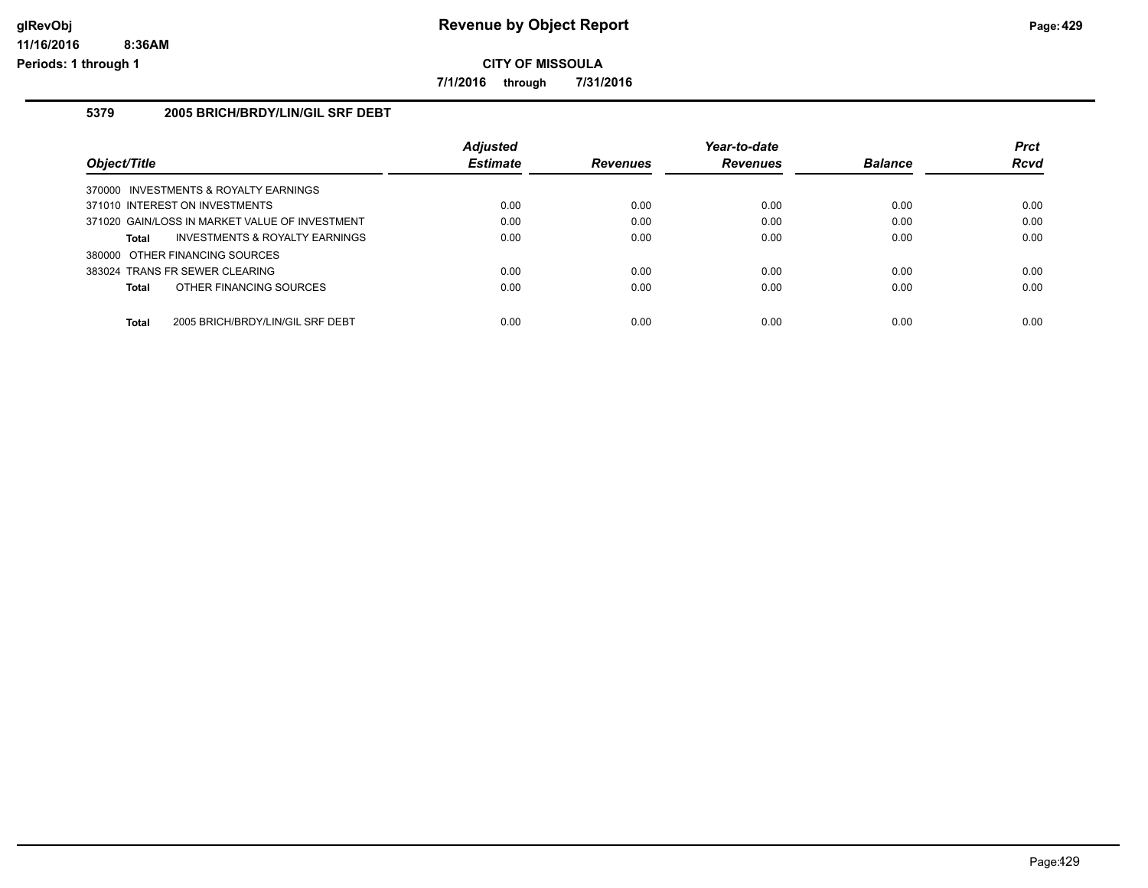**8:36AM**

**glRevObj Revenue by Object Report Page:429** 

**CITY OF MISSOULA**

**7/1/2016 through 7/31/2016**

#### **5379 2005 BRICH/BRDY/LIN/GIL SRF DEBT**

|                                                | <b>Adjusted</b> |                 | Year-to-date    |                | <b>Prct</b> |
|------------------------------------------------|-----------------|-----------------|-----------------|----------------|-------------|
| Object/Title                                   | <b>Estimate</b> | <b>Revenues</b> | <b>Revenues</b> | <b>Balance</b> | <b>Rcvd</b> |
| 370000 INVESTMENTS & ROYALTY EARNINGS          |                 |                 |                 |                |             |
| 371010 INTEREST ON INVESTMENTS                 | 0.00            | 0.00            | 0.00            | 0.00           | 0.00        |
| 371020 GAIN/LOSS IN MARKET VALUE OF INVESTMENT | 0.00            | 0.00            | 0.00            | 0.00           | 0.00        |
| INVESTMENTS & ROYALTY EARNINGS<br>Total        | 0.00            | 0.00            | 0.00            | 0.00           | 0.00        |
| 380000 OTHER FINANCING SOURCES                 |                 |                 |                 |                |             |
| 383024 TRANS FR SEWER CLEARING                 | 0.00            | 0.00            | 0.00            | 0.00           | 0.00        |
| OTHER FINANCING SOURCES<br>Total               | 0.00            | 0.00            | 0.00            | 0.00           | 0.00        |
| Total<br>2005 BRICH/BRDY/LIN/GIL SRF DEBT      | 0.00            | 0.00            | 0.00            | 0.00           | 0.00        |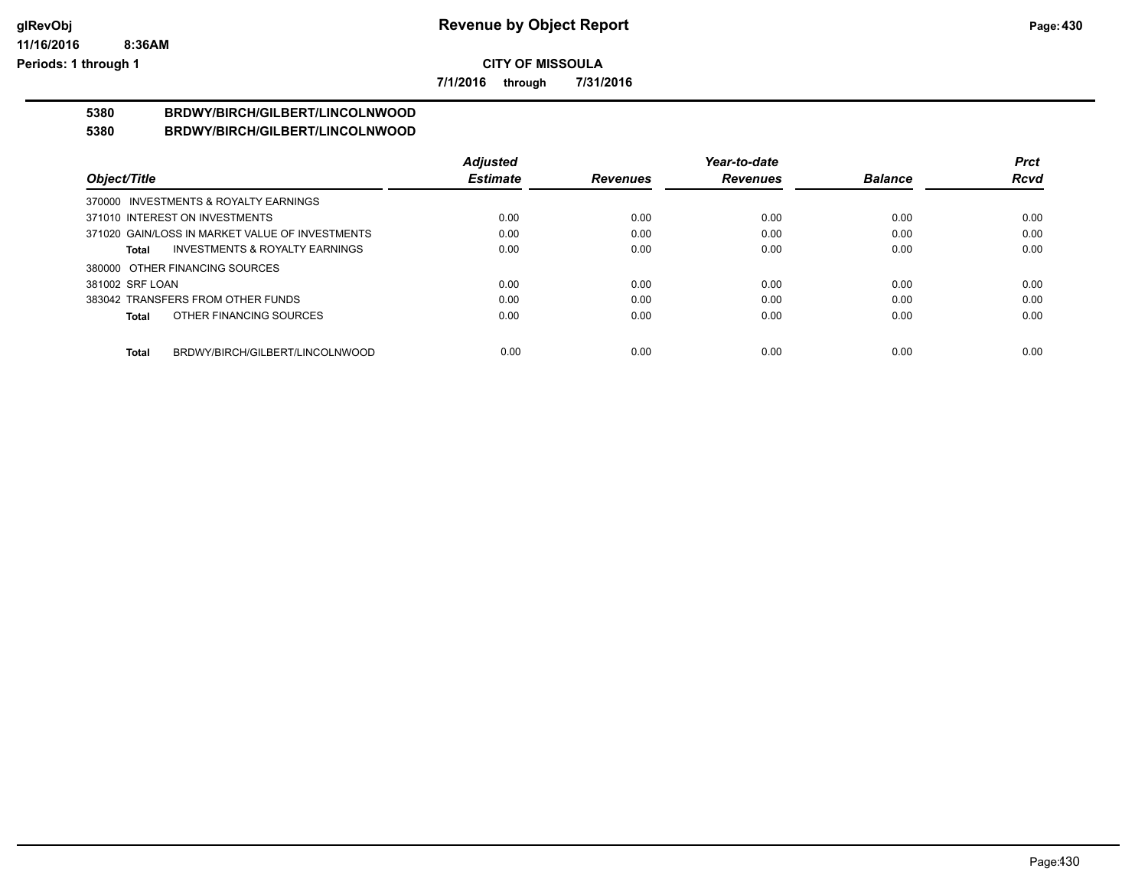**CITY OF MISSOULA**

**7/1/2016 through 7/31/2016**

#### **5380 BRDWY/BIRCH/GILBERT/LINCOLNWOOD 5380 BRDWY/BIRCH/GILBERT/LINCOLNWOOD**

|                                                    | <b>Adjusted</b> |                 | Year-to-date    |                | <b>Prct</b> |
|----------------------------------------------------|-----------------|-----------------|-----------------|----------------|-------------|
| Object/Title                                       | <b>Estimate</b> | <b>Revenues</b> | <b>Revenues</b> | <b>Balance</b> | <b>Rcvd</b> |
| 370000 INVESTMENTS & ROYALTY EARNINGS              |                 |                 |                 |                |             |
| 371010 INTEREST ON INVESTMENTS                     | 0.00            | 0.00            | 0.00            | 0.00           | 0.00        |
| 371020 GAIN/LOSS IN MARKET VALUE OF INVESTMENTS    | 0.00            | 0.00            | 0.00            | 0.00           | 0.00        |
| <b>INVESTMENTS &amp; ROYALTY EARNINGS</b><br>Total | 0.00            | 0.00            | 0.00            | 0.00           | 0.00        |
| 380000 OTHER FINANCING SOURCES                     |                 |                 |                 |                |             |
| 381002 SRF LOAN                                    | 0.00            | 0.00            | 0.00            | 0.00           | 0.00        |
| 383042 TRANSFERS FROM OTHER FUNDS                  | 0.00            | 0.00            | 0.00            | 0.00           | 0.00        |
| OTHER FINANCING SOURCES<br><b>Total</b>            | 0.00            | 0.00            | 0.00            | 0.00           | 0.00        |
|                                                    |                 |                 |                 |                |             |
| BRDWY/BIRCH/GILBERT/LINCOLNWOOD<br><b>Total</b>    | 0.00            | 0.00            | 0.00            | 0.00           | 0.00        |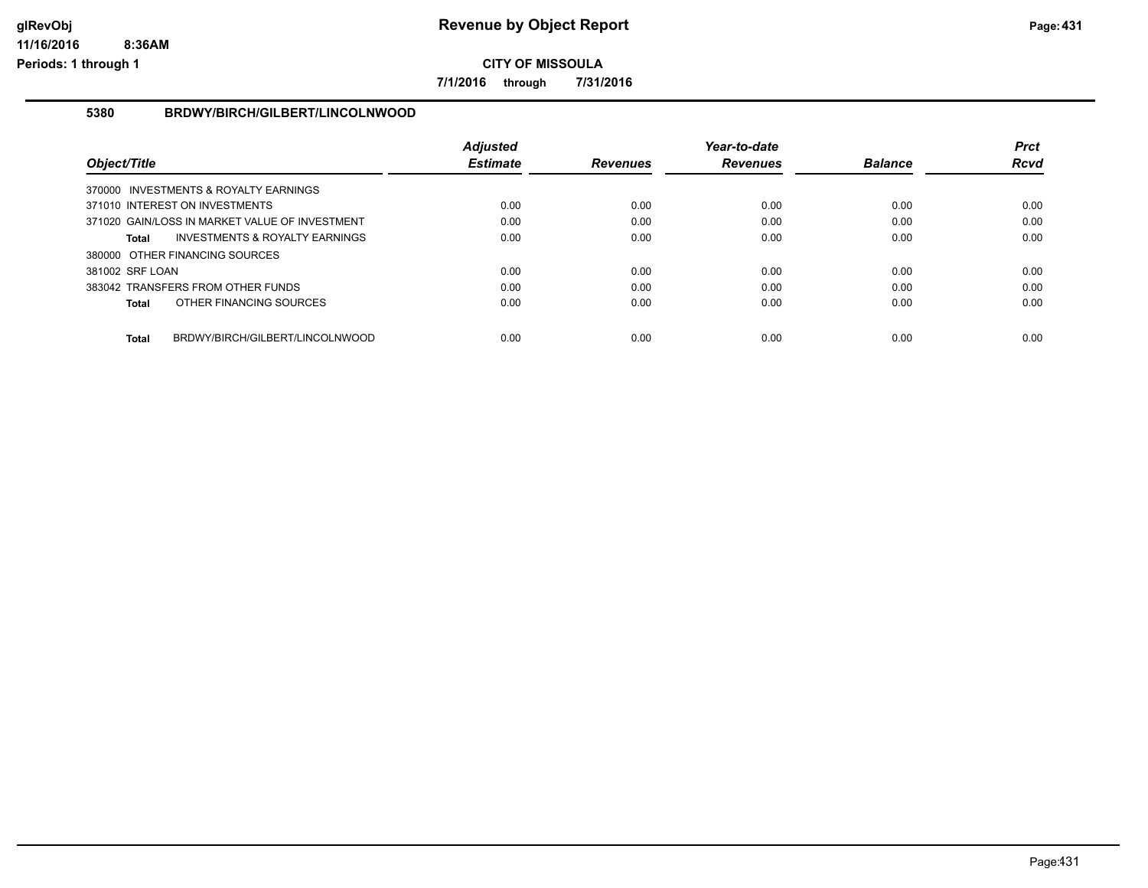**8:36AM**

**CITY OF MISSOULA**

**7/1/2016 through 7/31/2016**

#### **5380 BRDWY/BIRCH/GILBERT/LINCOLNWOOD**

|                                                 | <b>Adjusted</b> |                 | Year-to-date    |                | <b>Prct</b> |
|-------------------------------------------------|-----------------|-----------------|-----------------|----------------|-------------|
| Object/Title                                    | <b>Estimate</b> | <b>Revenues</b> | <b>Revenues</b> | <b>Balance</b> | Rcvd        |
| 370000 INVESTMENTS & ROYALTY EARNINGS           |                 |                 |                 |                |             |
| 371010 INTEREST ON INVESTMENTS                  | 0.00            | 0.00            | 0.00            | 0.00           | 0.00        |
| 371020 GAIN/LOSS IN MARKET VALUE OF INVESTMENT  | 0.00            | 0.00            | 0.00            | 0.00           | 0.00        |
| INVESTMENTS & ROYALTY EARNINGS<br>Total         | 0.00            | 0.00            | 0.00            | 0.00           | 0.00        |
| 380000 OTHER FINANCING SOURCES                  |                 |                 |                 |                |             |
| 381002 SRF LOAN                                 | 0.00            | 0.00            | 0.00            | 0.00           | 0.00        |
| 383042 TRANSFERS FROM OTHER FUNDS               | 0.00            | 0.00            | 0.00            | 0.00           | 0.00        |
| OTHER FINANCING SOURCES<br>Total                | 0.00            | 0.00            | 0.00            | 0.00           | 0.00        |
|                                                 |                 |                 |                 |                |             |
| BRDWY/BIRCH/GILBERT/LINCOLNWOOD<br><b>Total</b> | 0.00            | 0.00            | 0.00            | 0.00           | 0.00        |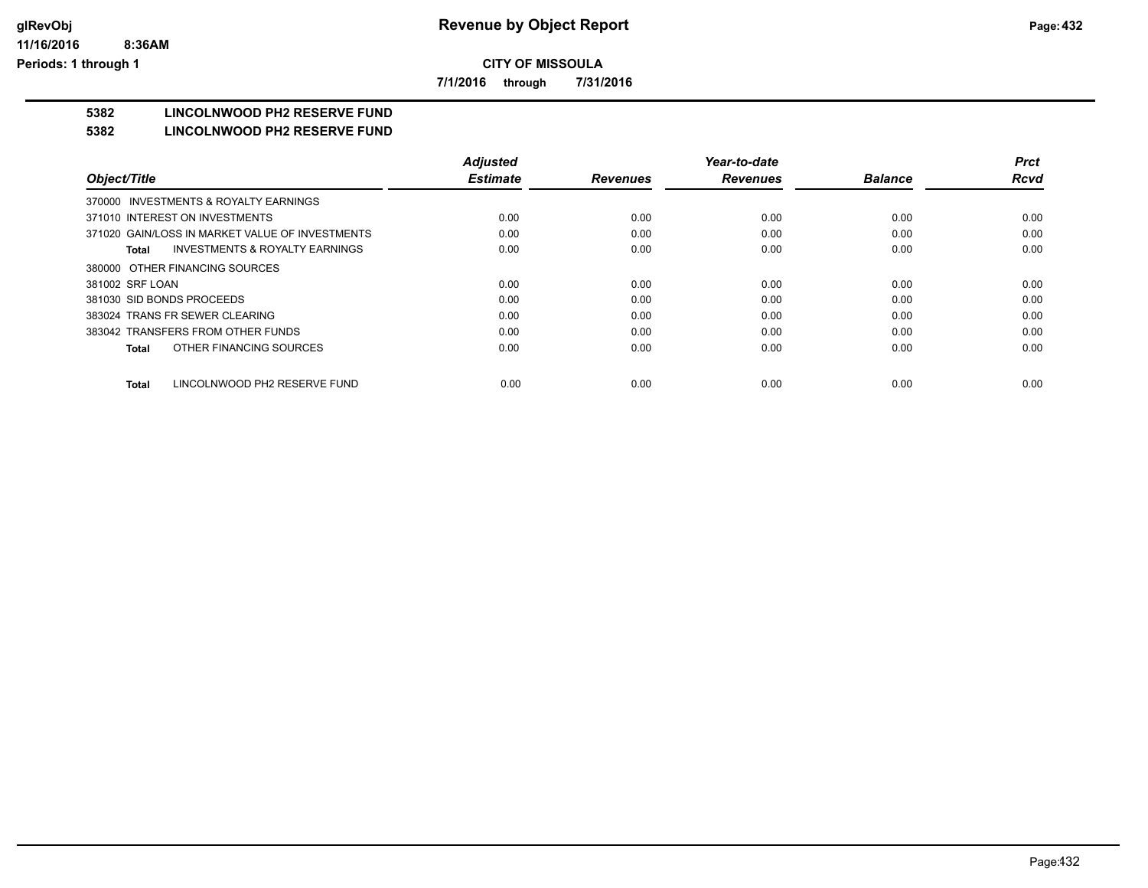#### **CITY OF MISSOULA**

**7/1/2016 through 7/31/2016**

### **5382 LINCOLNWOOD PH2 RESERVE FUND**

#### **5382 LINCOLNWOOD PH2 RESERVE FUND**

|                                                    | <b>Adiusted</b> |                 | Year-to-date    |                | <b>Prct</b> |
|----------------------------------------------------|-----------------|-----------------|-----------------|----------------|-------------|
| Object/Title                                       | <b>Estimate</b> | <b>Revenues</b> | <b>Revenues</b> | <b>Balance</b> | <b>Rcvd</b> |
| INVESTMENTS & ROYALTY EARNINGS<br>370000           |                 |                 |                 |                |             |
| 371010 INTEREST ON INVESTMENTS                     | 0.00            | 0.00            | 0.00            | 0.00           | 0.00        |
| 371020 GAIN/LOSS IN MARKET VALUE OF INVESTMENTS    | 0.00            | 0.00            | 0.00            | 0.00           | 0.00        |
| <b>INVESTMENTS &amp; ROYALTY EARNINGS</b><br>Total | 0.00            | 0.00            | 0.00            | 0.00           | 0.00        |
| 380000 OTHER FINANCING SOURCES                     |                 |                 |                 |                |             |
| 381002 SRF LOAN                                    | 0.00            | 0.00            | 0.00            | 0.00           | 0.00        |
| 381030 SID BONDS PROCEEDS                          | 0.00            | 0.00            | 0.00            | 0.00           | 0.00        |
| 383024 TRANS FR SEWER CLEARING                     | 0.00            | 0.00            | 0.00            | 0.00           | 0.00        |
| 383042 TRANSFERS FROM OTHER FUNDS                  | 0.00            | 0.00            | 0.00            | 0.00           | 0.00        |
| OTHER FINANCING SOURCES<br>Total                   | 0.00            | 0.00            | 0.00            | 0.00           | 0.00        |
| LINCOLNWOOD PH2 RESERVE FUND<br><b>Total</b>       | 0.00            | 0.00            | 0.00            | 0.00           | 0.00        |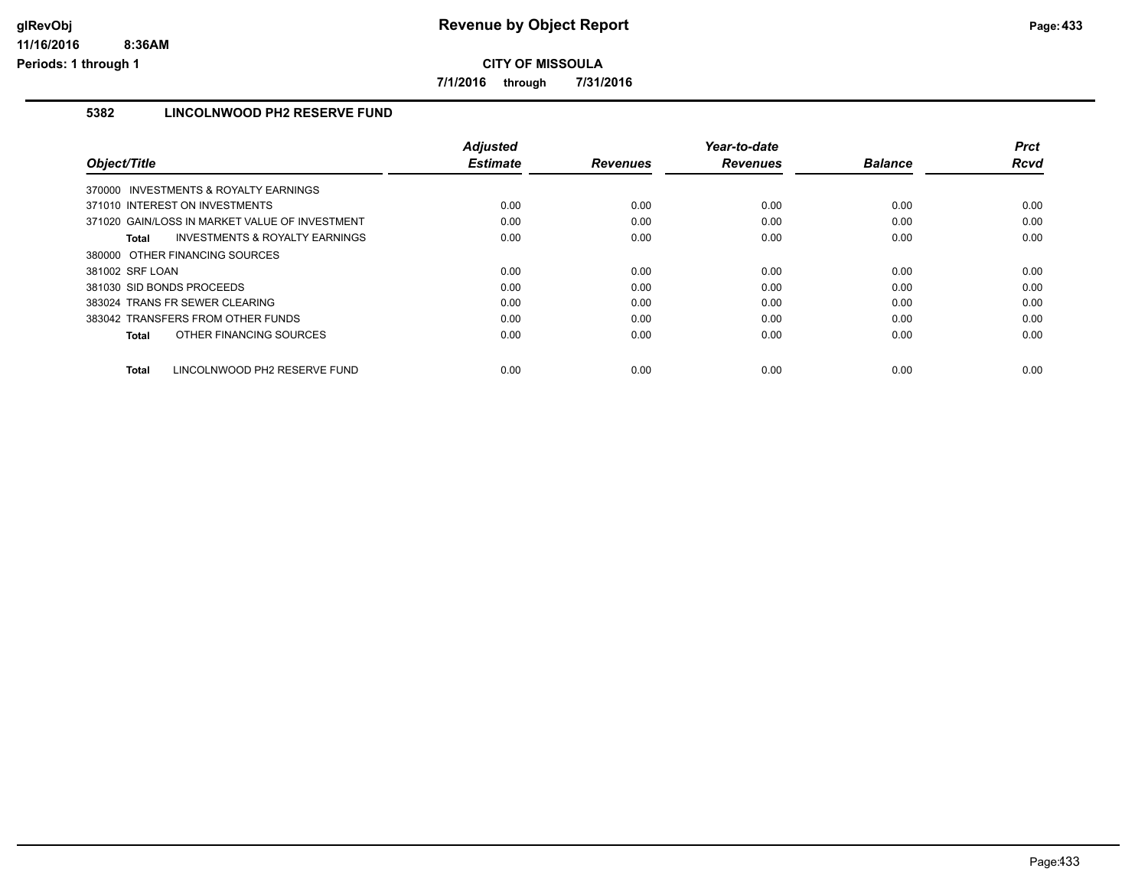#### **CITY OF MISSOULA**

**7/1/2016 through 7/31/2016**

#### **5382 LINCOLNWOOD PH2 RESERVE FUND**

|                                                    | <b>Adjusted</b> |                 | Year-to-date    |                | <b>Prct</b> |
|----------------------------------------------------|-----------------|-----------------|-----------------|----------------|-------------|
| Object/Title                                       | <b>Estimate</b> | <b>Revenues</b> | <b>Revenues</b> | <b>Balance</b> | <b>Rcvd</b> |
| 370000 INVESTMENTS & ROYALTY EARNINGS              |                 |                 |                 |                |             |
| 371010 INTEREST ON INVESTMENTS                     | 0.00            | 0.00            | 0.00            | 0.00           | 0.00        |
| 371020 GAIN/LOSS IN MARKET VALUE OF INVESTMENT     | 0.00            | 0.00            | 0.00            | 0.00           | 0.00        |
| <b>INVESTMENTS &amp; ROYALTY EARNINGS</b><br>Total | 0.00            | 0.00            | 0.00            | 0.00           | 0.00        |
| 380000 OTHER FINANCING SOURCES                     |                 |                 |                 |                |             |
| 381002 SRF LOAN                                    | 0.00            | 0.00            | 0.00            | 0.00           | 0.00        |
| 381030 SID BONDS PROCEEDS                          | 0.00            | 0.00            | 0.00            | 0.00           | 0.00        |
| 383024 TRANS FR SEWER CLEARING                     | 0.00            | 0.00            | 0.00            | 0.00           | 0.00        |
| 383042 TRANSFERS FROM OTHER FUNDS                  | 0.00            | 0.00            | 0.00            | 0.00           | 0.00        |
| OTHER FINANCING SOURCES<br>Total                   | 0.00            | 0.00            | 0.00            | 0.00           | 0.00        |
|                                                    |                 |                 |                 |                |             |
| LINCOLNWOOD PH2 RESERVE FUND<br><b>Total</b>       | 0.00            | 0.00            | 0.00            | 0.00           | 0.00        |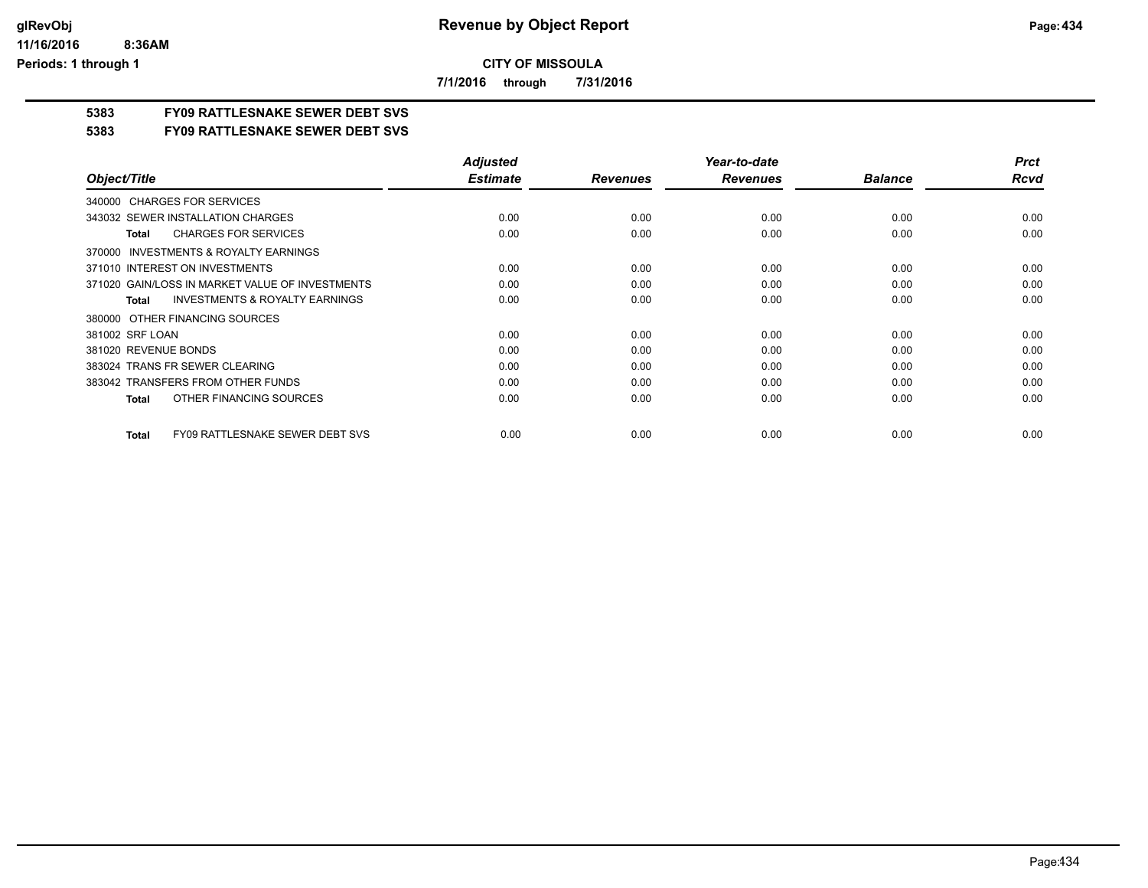**8:36AM**

**glRevObj Revenue by Object Report Page:434** 

**CITY OF MISSOULA**

**7/1/2016 through 7/31/2016**

### **5383 FY09 RATTLESNAKE SEWER DEBT SVS**

#### **5383 FY09 RATTLESNAKE SEWER DEBT SVS**

|                                                           | <b>Adjusted</b> |                 | Year-to-date    |                | <b>Prct</b> |
|-----------------------------------------------------------|-----------------|-----------------|-----------------|----------------|-------------|
| Object/Title                                              | <b>Estimate</b> | <b>Revenues</b> | <b>Revenues</b> | <b>Balance</b> | <b>Rcvd</b> |
| 340000 CHARGES FOR SERVICES                               |                 |                 |                 |                |             |
| 343032 SEWER INSTALLATION CHARGES                         | 0.00            | 0.00            | 0.00            | 0.00           | 0.00        |
| <b>CHARGES FOR SERVICES</b><br><b>Total</b>               | 0.00            | 0.00            | 0.00            | 0.00           | 0.00        |
| <b>INVESTMENTS &amp; ROYALTY EARNINGS</b><br>370000       |                 |                 |                 |                |             |
| 371010 INTEREST ON INVESTMENTS                            | 0.00            | 0.00            | 0.00            | 0.00           | 0.00        |
| 371020 GAIN/LOSS IN MARKET VALUE OF INVESTMENTS           | 0.00            | 0.00            | 0.00            | 0.00           | 0.00        |
| <b>INVESTMENTS &amp; ROYALTY EARNINGS</b><br><b>Total</b> | 0.00            | 0.00            | 0.00            | 0.00           | 0.00        |
| OTHER FINANCING SOURCES<br>380000                         |                 |                 |                 |                |             |
| 381002 SRF LOAN                                           | 0.00            | 0.00            | 0.00            | 0.00           | 0.00        |
| 381020 REVENUE BONDS                                      | 0.00            | 0.00            | 0.00            | 0.00           | 0.00        |
| 383024 TRANS FR SEWER CLEARING                            | 0.00            | 0.00            | 0.00            | 0.00           | 0.00        |
| 383042 TRANSFERS FROM OTHER FUNDS                         | 0.00            | 0.00            | 0.00            | 0.00           | 0.00        |
| OTHER FINANCING SOURCES<br><b>Total</b>                   | 0.00            | 0.00            | 0.00            | 0.00           | 0.00        |
| <b>FY09 RATTLESNAKE SEWER DEBT SVS</b><br><b>Total</b>    | 0.00            | 0.00            | 0.00            | 0.00           | 0.00        |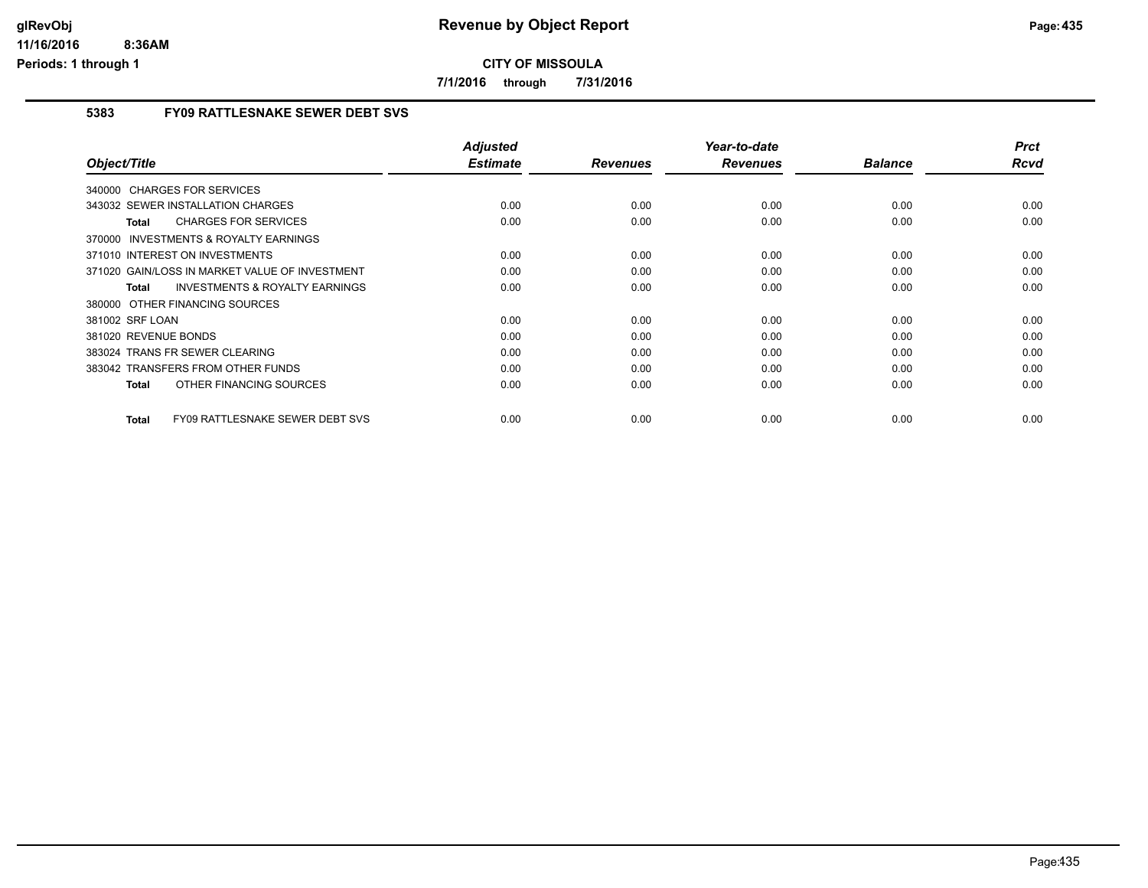**8:36AM**

**CITY OF MISSOULA**

**7/1/2016 through 7/31/2016**

#### **5383 FY09 RATTLESNAKE SEWER DEBT SVS**

| Object/Title                                              | <b>Adjusted</b><br><b>Estimate</b> | <b>Revenues</b> | Year-to-date<br><b>Revenues</b> | <b>Balance</b> | <b>Prct</b><br><b>Rcvd</b> |
|-----------------------------------------------------------|------------------------------------|-----------------|---------------------------------|----------------|----------------------------|
| 340000 CHARGES FOR SERVICES                               |                                    |                 |                                 |                |                            |
| 343032 SEWER INSTALLATION CHARGES                         | 0.00                               | 0.00            | 0.00                            | 0.00           | 0.00                       |
|                                                           |                                    |                 |                                 |                |                            |
| <b>CHARGES FOR SERVICES</b><br><b>Total</b>               | 0.00                               | 0.00            | 0.00                            | 0.00           | 0.00                       |
| 370000 INVESTMENTS & ROYALTY EARNINGS                     |                                    |                 |                                 |                |                            |
| 371010 INTEREST ON INVESTMENTS                            | 0.00                               | 0.00            | 0.00                            | 0.00           | 0.00                       |
| 371020 GAIN/LOSS IN MARKET VALUE OF INVESTMENT            | 0.00                               | 0.00            | 0.00                            | 0.00           | 0.00                       |
| <b>INVESTMENTS &amp; ROYALTY EARNINGS</b><br><b>Total</b> | 0.00                               | 0.00            | 0.00                            | 0.00           | 0.00                       |
| 380000 OTHER FINANCING SOURCES                            |                                    |                 |                                 |                |                            |
| 381002 SRF LOAN                                           | 0.00                               | 0.00            | 0.00                            | 0.00           | 0.00                       |
| 381020 REVENUE BONDS                                      | 0.00                               | 0.00            | 0.00                            | 0.00           | 0.00                       |
| 383024 TRANS FR SEWER CLEARING                            | 0.00                               | 0.00            | 0.00                            | 0.00           | 0.00                       |
| 383042 TRANSFERS FROM OTHER FUNDS                         | 0.00                               | 0.00            | 0.00                            | 0.00           | 0.00                       |
| OTHER FINANCING SOURCES<br><b>Total</b>                   | 0.00                               | 0.00            | 0.00                            | 0.00           | 0.00                       |
| FY09 RATTLESNAKE SEWER DEBT SVS<br><b>Total</b>           | 0.00                               | 0.00            | 0.00                            | 0.00           | 0.00                       |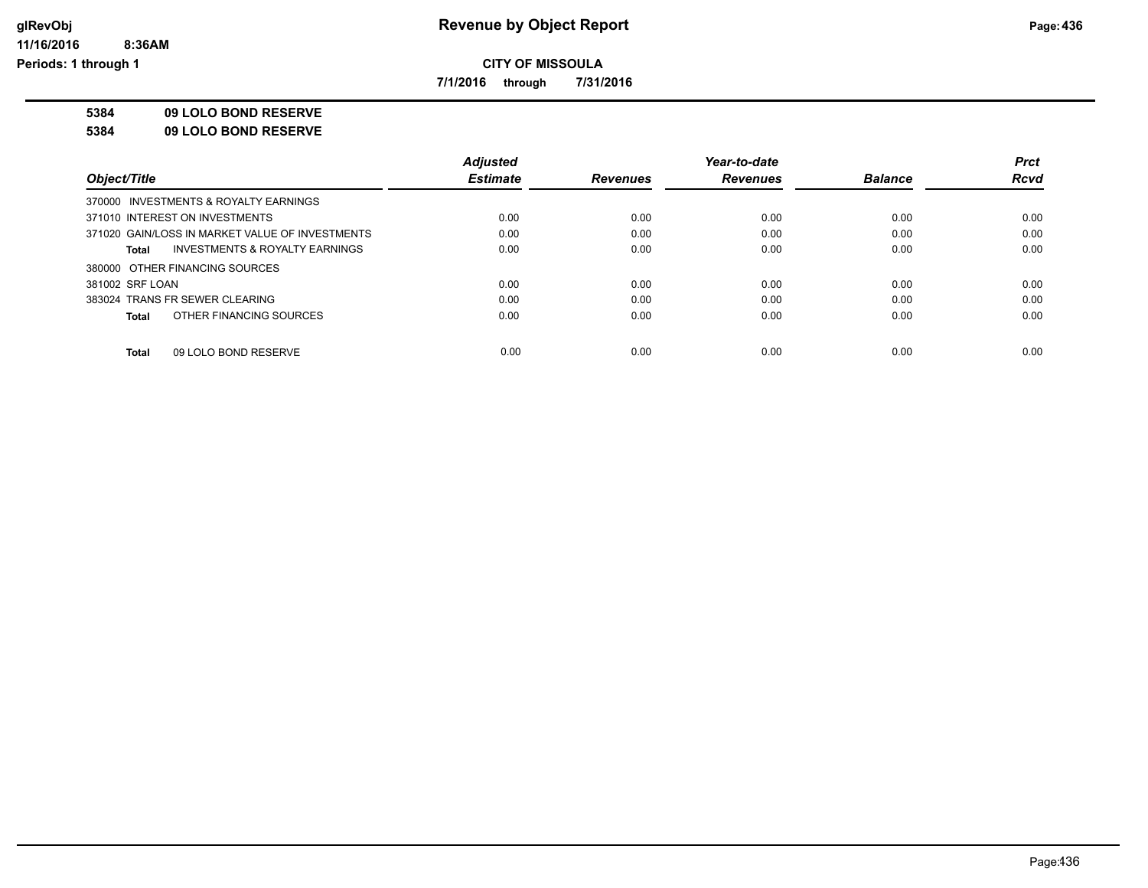**CITY OF MISSOULA**

**7/1/2016 through 7/31/2016**

**5384 09 LOLO BOND RESERVE**

**5384 09 LOLO BOND RESERVE**

|                                                    | <b>Adjusted</b> |                 | Year-to-date    |                | <b>Prct</b> |
|----------------------------------------------------|-----------------|-----------------|-----------------|----------------|-------------|
| Object/Title                                       | <b>Estimate</b> | <b>Revenues</b> | <b>Revenues</b> | <b>Balance</b> | <b>Rcvd</b> |
| 370000 INVESTMENTS & ROYALTY EARNINGS              |                 |                 |                 |                |             |
| 371010 INTEREST ON INVESTMENTS                     | 0.00            | 0.00            | 0.00            | 0.00           | 0.00        |
| 371020 GAIN/LOSS IN MARKET VALUE OF INVESTMENTS    | 0.00            | 0.00            | 0.00            | 0.00           | 0.00        |
| <b>INVESTMENTS &amp; ROYALTY EARNINGS</b><br>Total | 0.00            | 0.00            | 0.00            | 0.00           | 0.00        |
| 380000 OTHER FINANCING SOURCES                     |                 |                 |                 |                |             |
| 381002 SRF LOAN                                    | 0.00            | 0.00            | 0.00            | 0.00           | 0.00        |
| 383024 TRANS FR SEWER CLEARING                     | 0.00            | 0.00            | 0.00            | 0.00           | 0.00        |
| OTHER FINANCING SOURCES<br>Total                   | 0.00            | 0.00            | 0.00            | 0.00           | 0.00        |
|                                                    |                 |                 |                 |                |             |
| 09 LOLO BOND RESERVE<br><b>Total</b>               | 0.00            | 0.00            | 0.00            | 0.00           | 0.00        |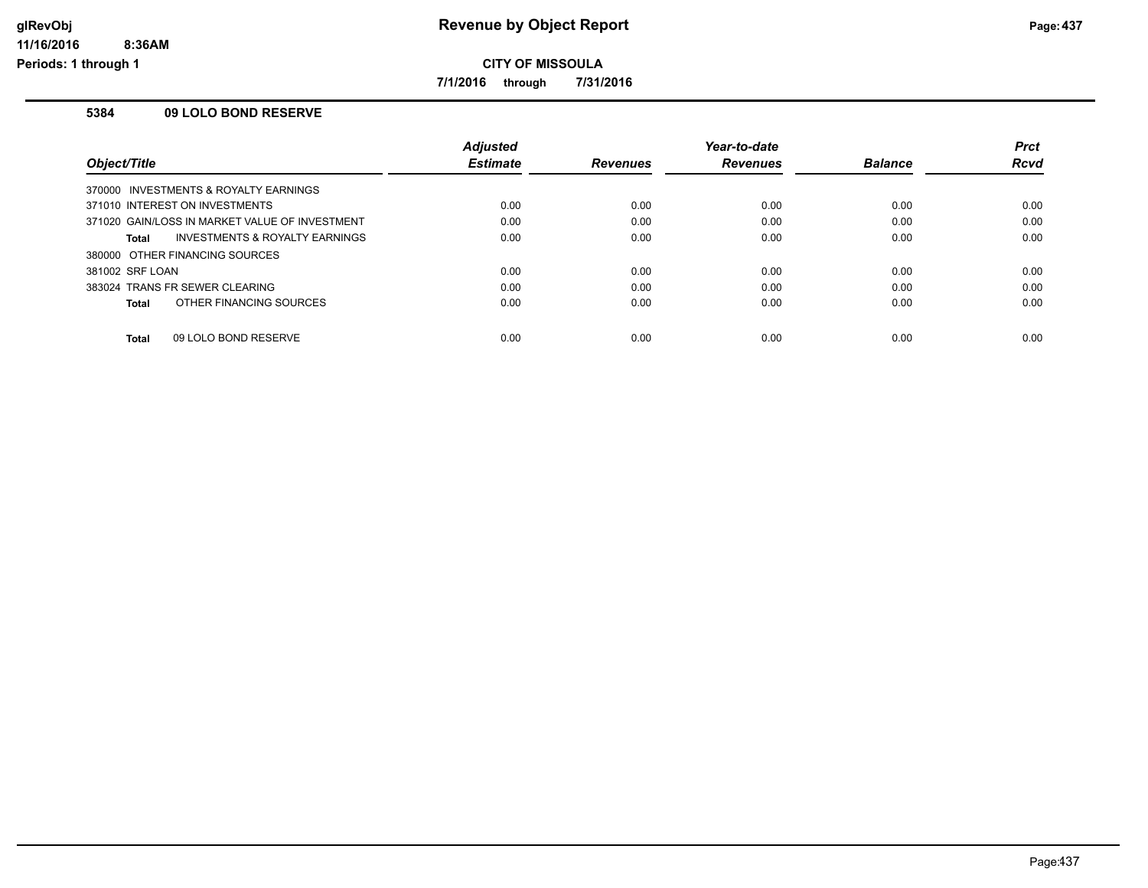**CITY OF MISSOULA**

**7/1/2016 through 7/31/2016**

#### **5384 09 LOLO BOND RESERVE**

 **8:36AM**

|                                                | <b>Adiusted</b> |                 | Year-to-date    |                | <b>Prct</b> |
|------------------------------------------------|-----------------|-----------------|-----------------|----------------|-------------|
| Object/Title                                   | <b>Estimate</b> | <b>Revenues</b> | <b>Revenues</b> | <b>Balance</b> | <b>Rcvd</b> |
| 370000 INVESTMENTS & ROYALTY EARNINGS          |                 |                 |                 |                |             |
| 371010 INTEREST ON INVESTMENTS                 | 0.00            | 0.00            | 0.00            | 0.00           | 0.00        |
| 371020 GAIN/LOSS IN MARKET VALUE OF INVESTMENT | 0.00            | 0.00            | 0.00            | 0.00           | 0.00        |
| INVESTMENTS & ROYALTY EARNINGS<br>Total        | 0.00            | 0.00            | 0.00            | 0.00           | 0.00        |
| 380000 OTHER FINANCING SOURCES                 |                 |                 |                 |                |             |
| 381002 SRF LOAN                                | 0.00            | 0.00            | 0.00            | 0.00           | 0.00        |
| 383024 TRANS FR SEWER CLEARING                 | 0.00            | 0.00            | 0.00            | 0.00           | 0.00        |
| OTHER FINANCING SOURCES<br>Total               | 0.00            | 0.00            | 0.00            | 0.00           | 0.00        |
|                                                |                 |                 |                 |                |             |
| 09 LOLO BOND RESERVE<br><b>Total</b>           | 0.00            | 0.00            | 0.00            | 0.00           | 0.00        |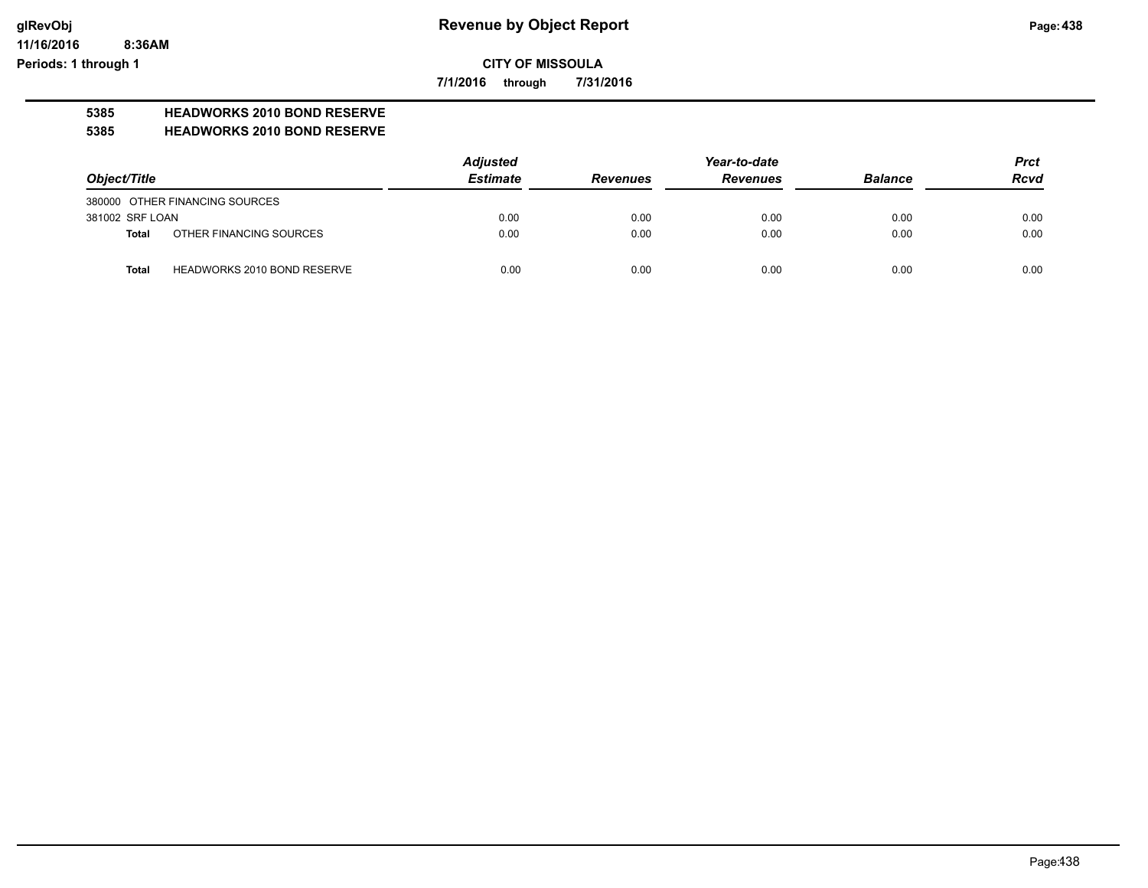**glRevObj Revenue by Object Report Page:438** 

**CITY OF MISSOULA**

**7/1/2016 through 7/31/2016**

## **5385 HEADWORKS 2010 BOND RESERVE**

 **8:36AM**

#### **5385 HEADWORKS 2010 BOND RESERVE**

|                 |                                | <b>Adjusted</b> |                 |                 | <b>Prct</b>    |             |
|-----------------|--------------------------------|-----------------|-----------------|-----------------|----------------|-------------|
| Object/Title    |                                | <b>Estimate</b> | <b>Revenues</b> | <b>Revenues</b> | <b>Balance</b> | <b>Rcvd</b> |
|                 | 380000 OTHER FINANCING SOURCES |                 |                 |                 |                |             |
| 381002 SRF LOAN |                                | 0.00            | 0.00            | 0.00            | 0.00           | 0.00        |
| <b>Total</b>    | OTHER FINANCING SOURCES        | 0.00            | 0.00            | 0.00            | 0.00           | 0.00        |
| <b>Total</b>    | HEADWORKS 2010 BOND RESERVE    | 0.00            | 0.00            | 0.00            | 0.00           | 0.00        |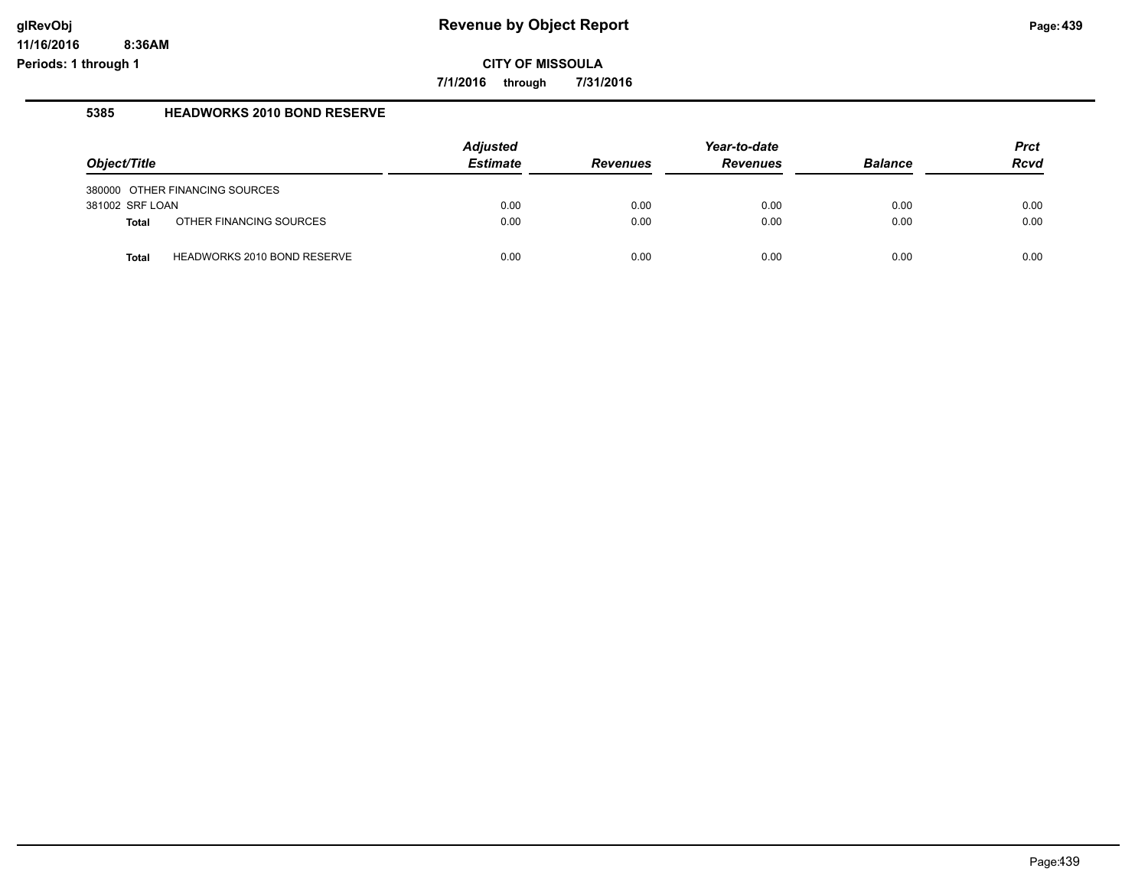**CITY OF MISSOULA**

**7/1/2016 through 7/31/2016**

#### **5385 HEADWORKS 2010 BOND RESERVE**

| Object/Title    |                                | <b>Adjusted</b><br><b>Estimate</b> | <b>Revenues</b> | Year-to-date<br><b>Revenues</b> | <b>Balance</b> | Prct<br>Rcvd |
|-----------------|--------------------------------|------------------------------------|-----------------|---------------------------------|----------------|--------------|
|                 | 380000 OTHER FINANCING SOURCES |                                    |                 |                                 |                |              |
| 381002 SRF LOAN |                                | 0.00                               | 0.00            | 0.00                            | 0.00           | 0.00         |
| <b>Total</b>    | OTHER FINANCING SOURCES        | 0.00                               | 0.00            | 0.00                            | 0.00           | 0.00         |
| <b>Total</b>    | HEADWORKS 2010 BOND RESERVE    | 0.00                               | 0.00            | 0.00                            | 0.00           | 0.00         |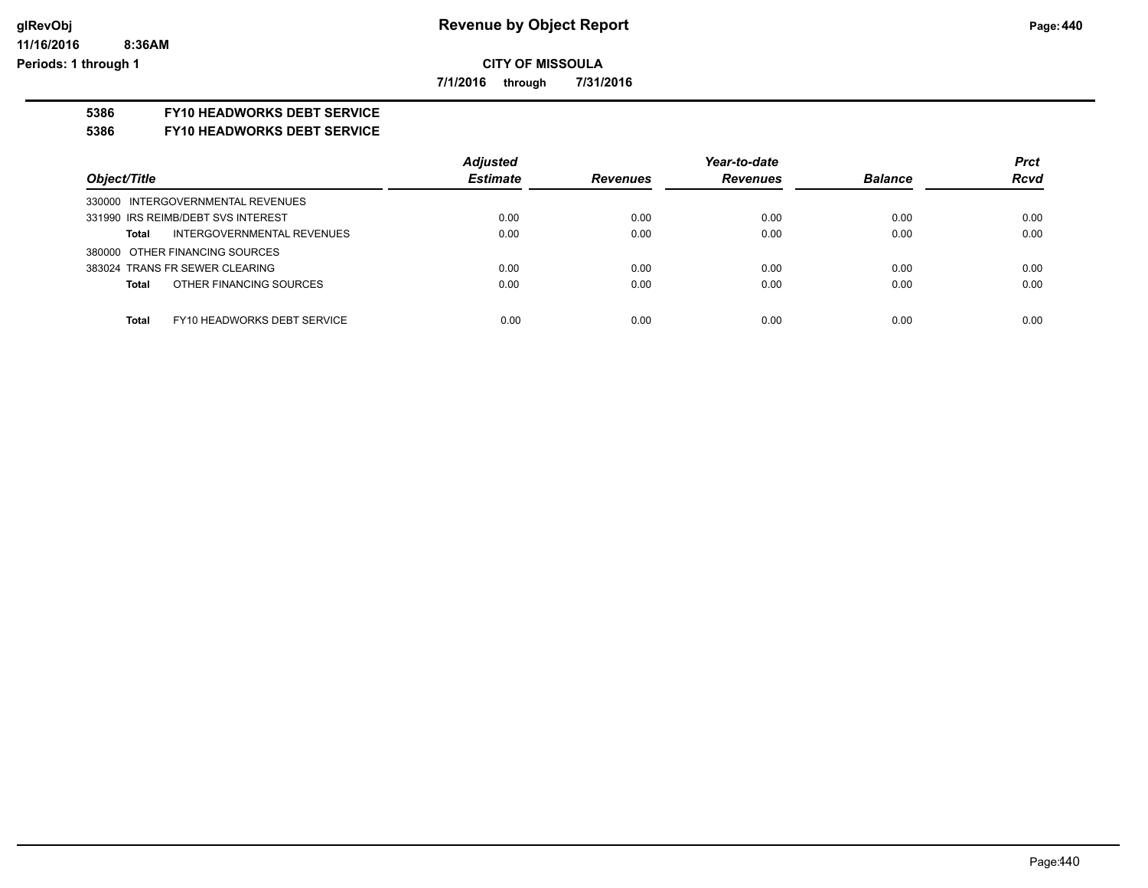**glRevObj Revenue by Object Report Page:440** 

**CITY OF MISSOULA**

**7/1/2016 through 7/31/2016**

#### **5386 FY10 HEADWORKS DEBT SERVICE**

 **8:36AM**

#### **5386 FY10 HEADWORKS DEBT SERVICE**

|                                             | <b>Adiusted</b> |                 | Year-to-date    |                | <b>Prct</b> |
|---------------------------------------------|-----------------|-----------------|-----------------|----------------|-------------|
| Object/Title                                | <b>Estimate</b> | <b>Revenues</b> | <b>Revenues</b> | <b>Balance</b> | <b>Rcvd</b> |
| 330000 INTERGOVERNMENTAL REVENUES           |                 |                 |                 |                |             |
| 331990 IRS REIMB/DEBT SVS INTEREST          | 0.00            | 0.00            | 0.00            | 0.00           | 0.00        |
| INTERGOVERNMENTAL REVENUES<br><b>Total</b>  | 0.00            | 0.00            | 0.00            | 0.00           | 0.00        |
| 380000 OTHER FINANCING SOURCES              |                 |                 |                 |                |             |
| 383024 TRANS FR SEWER CLEARING              | 0.00            | 0.00            | 0.00            | 0.00           | 0.00        |
| OTHER FINANCING SOURCES<br><b>Total</b>     | 0.00            | 0.00            | 0.00            | 0.00           | 0.00        |
|                                             |                 |                 |                 |                |             |
| FY10 HEADWORKS DEBT SERVICE<br><b>Total</b> | 0.00            | 0.00            | 0.00            | 0.00           | 0.00        |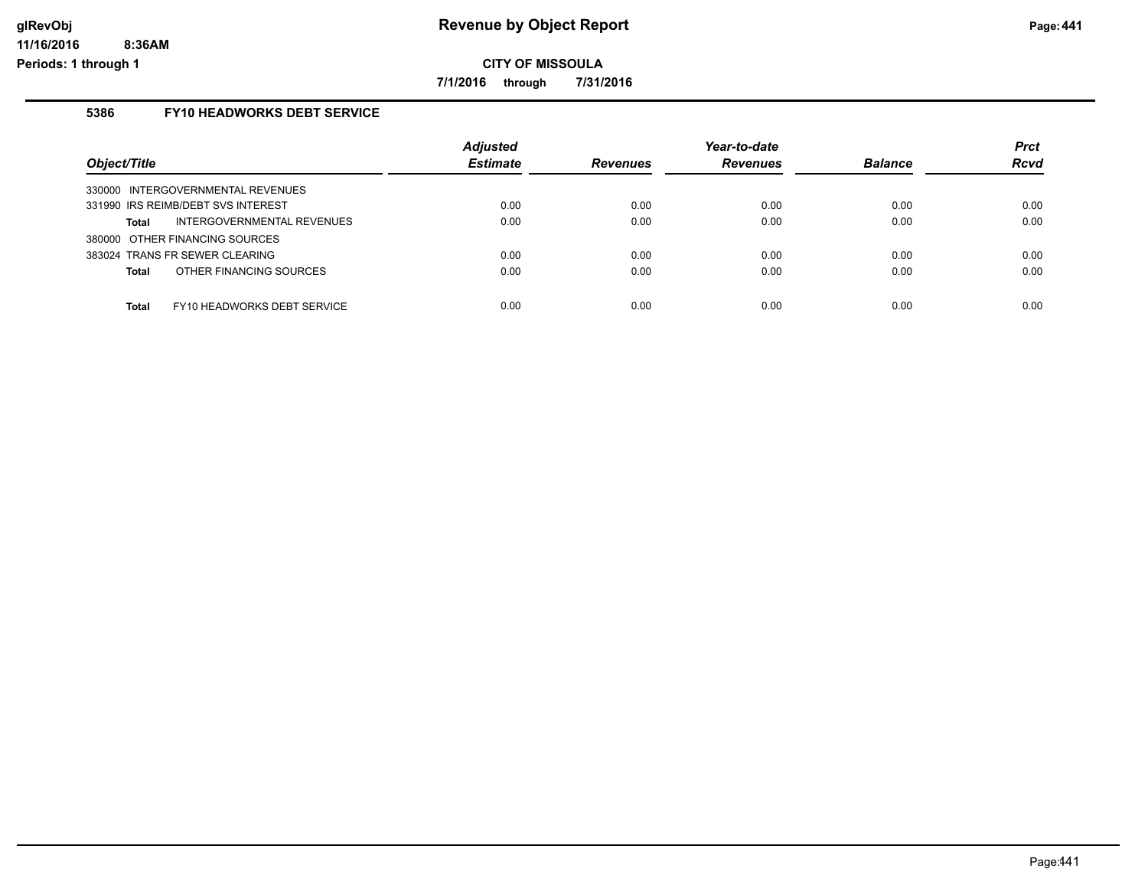**CITY OF MISSOULA**

**7/1/2016 through 7/31/2016**

#### **5386 FY10 HEADWORKS DEBT SERVICE**

 **8:36AM**

|                                                    | <b>Adjusted</b> |                 | Year-to-date    |                | <b>Prct</b> |
|----------------------------------------------------|-----------------|-----------------|-----------------|----------------|-------------|
| Object/Title                                       | <b>Estimate</b> | <b>Revenues</b> | <b>Revenues</b> | <b>Balance</b> | <b>Rcvd</b> |
| 330000 INTERGOVERNMENTAL REVENUES                  |                 |                 |                 |                |             |
| 331990 IRS REIMB/DEBT SVS INTEREST                 | 0.00            | 0.00            | 0.00            | 0.00           | 0.00        |
| INTERGOVERNMENTAL REVENUES<br>Total                | 0.00            | 0.00            | 0.00            | 0.00           | 0.00        |
| 380000 OTHER FINANCING SOURCES                     |                 |                 |                 |                |             |
| 383024 TRANS FR SEWER CLEARING                     | 0.00            | 0.00            | 0.00            | 0.00           | 0.00        |
| OTHER FINANCING SOURCES<br>Total                   | 0.00            | 0.00            | 0.00            | 0.00           | 0.00        |
|                                                    |                 |                 |                 |                |             |
| <b>FY10 HEADWORKS DEBT SERVICE</b><br><b>Total</b> | 0.00            | 0.00            | 0.00            | 0.00           | 0.00        |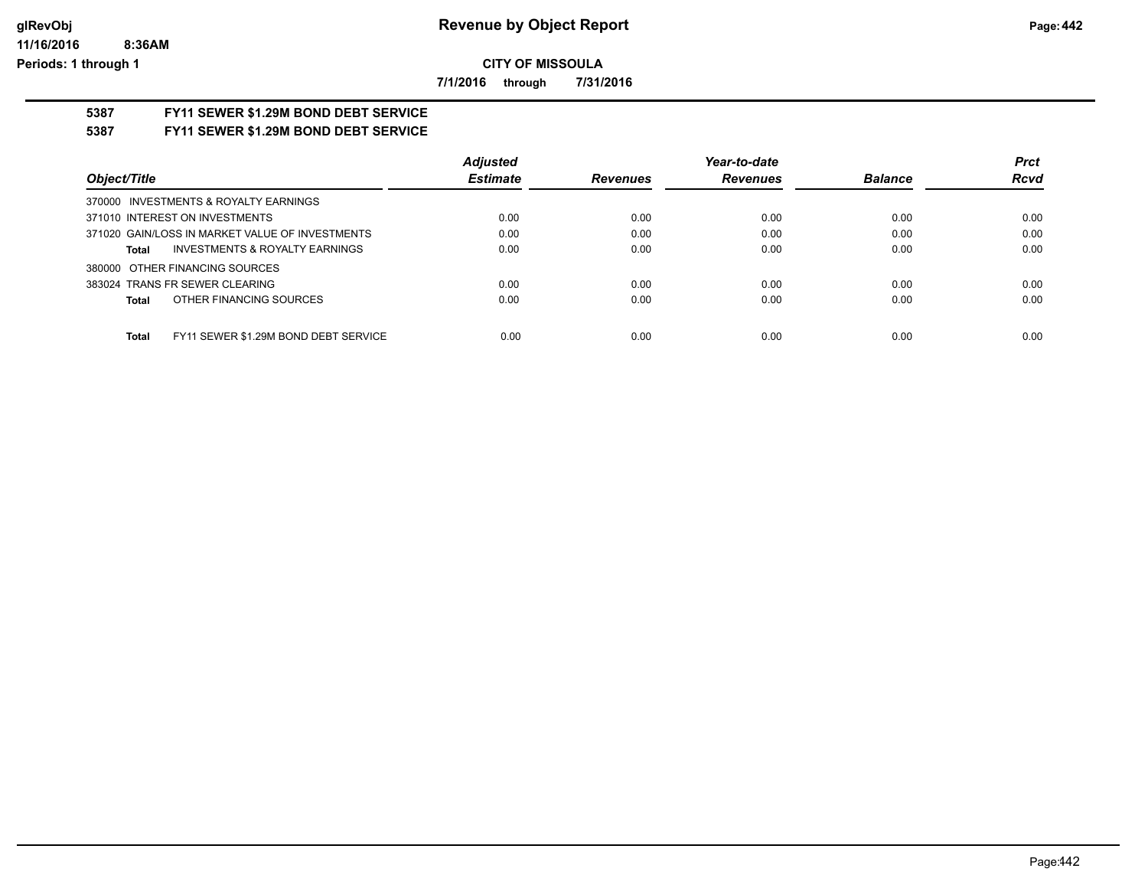**8:36AM**

**glRevObj Revenue by Object Report Page:442** 

**CITY OF MISSOULA**

**7/1/2016 through 7/31/2016**

# **5387 FY11 SEWER \$1.29M BOND DEBT SERVICE**

## **5387 FY11 SEWER \$1.29M BOND DEBT SERVICE**

|                                                 | <b>Adjusted</b> |                 | Year-to-date    |                | <b>Prct</b> |
|-------------------------------------------------|-----------------|-----------------|-----------------|----------------|-------------|
| Object/Title                                    | <b>Estimate</b> | <b>Revenues</b> | <b>Revenues</b> | <b>Balance</b> | <b>Rcvd</b> |
| 370000 INVESTMENTS & ROYALTY EARNINGS           |                 |                 |                 |                |             |
| 371010 INTEREST ON INVESTMENTS                  | 0.00            | 0.00            | 0.00            | 0.00           | 0.00        |
| 371020 GAIN/LOSS IN MARKET VALUE OF INVESTMENTS | 0.00            | 0.00            | 0.00            | 0.00           | 0.00        |
| INVESTMENTS & ROYALTY EARNINGS<br>Total         | 0.00            | 0.00            | 0.00            | 0.00           | 0.00        |
| 380000 OTHER FINANCING SOURCES                  |                 |                 |                 |                |             |
| 383024 TRANS FR SEWER CLEARING                  | 0.00            | 0.00            | 0.00            | 0.00           | 0.00        |
| OTHER FINANCING SOURCES<br>Total                | 0.00            | 0.00            | 0.00            | 0.00           | 0.00        |
|                                                 |                 |                 |                 |                |             |
| Total<br>FY11 SEWER \$1.29M BOND DEBT SERVICE   | 0.00            | 0.00            | 0.00            | 0.00           | 0.00        |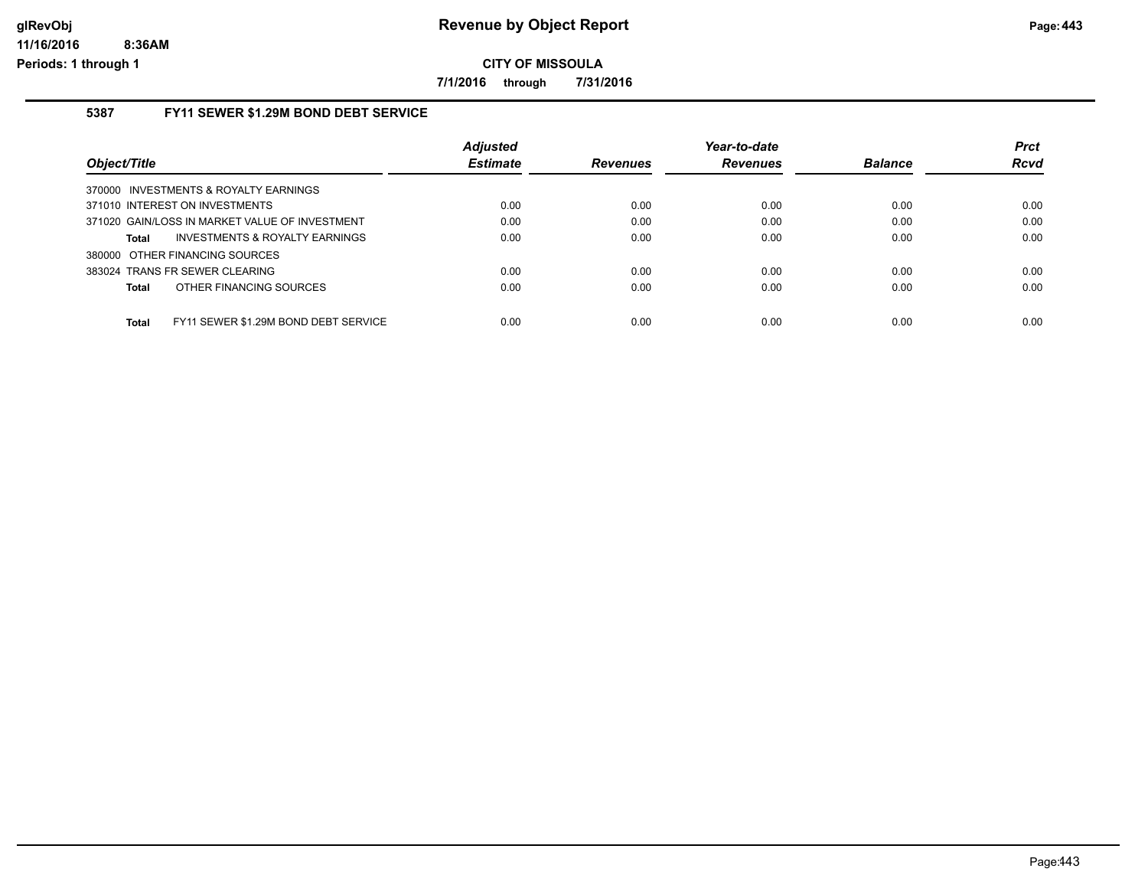**8:36AM**

**CITY OF MISSOULA**

**7/1/2016 through 7/31/2016**

#### **5387 FY11 SEWER \$1.29M BOND DEBT SERVICE**

|                                                      | <b>Adjusted</b> |                 | Year-to-date    |                | <b>Prct</b> |
|------------------------------------------------------|-----------------|-----------------|-----------------|----------------|-------------|
| Object/Title                                         | <b>Estimate</b> | <b>Revenues</b> | <b>Revenues</b> | <b>Balance</b> | <b>Rcvd</b> |
| 370000 INVESTMENTS & ROYALTY EARNINGS                |                 |                 |                 |                |             |
| 371010 INTEREST ON INVESTMENTS                       | 0.00            | 0.00            | 0.00            | 0.00           | 0.00        |
| 371020 GAIN/LOSS IN MARKET VALUE OF INVESTMENT       | 0.00            | 0.00            | 0.00            | 0.00           | 0.00        |
| INVESTMENTS & ROYALTY EARNINGS<br>Total              | 0.00            | 0.00            | 0.00            | 0.00           | 0.00        |
| 380000 OTHER FINANCING SOURCES                       |                 |                 |                 |                |             |
| 383024 TRANS FR SEWER CLEARING                       | 0.00            | 0.00            | 0.00            | 0.00           | 0.00        |
| OTHER FINANCING SOURCES<br>Total                     | 0.00            | 0.00            | 0.00            | 0.00           | 0.00        |
|                                                      |                 |                 |                 |                |             |
| <b>Total</b><br>FY11 SEWER \$1.29M BOND DEBT SERVICE | 0.00            | 0.00            | 0.00            | 0.00           | 0.00        |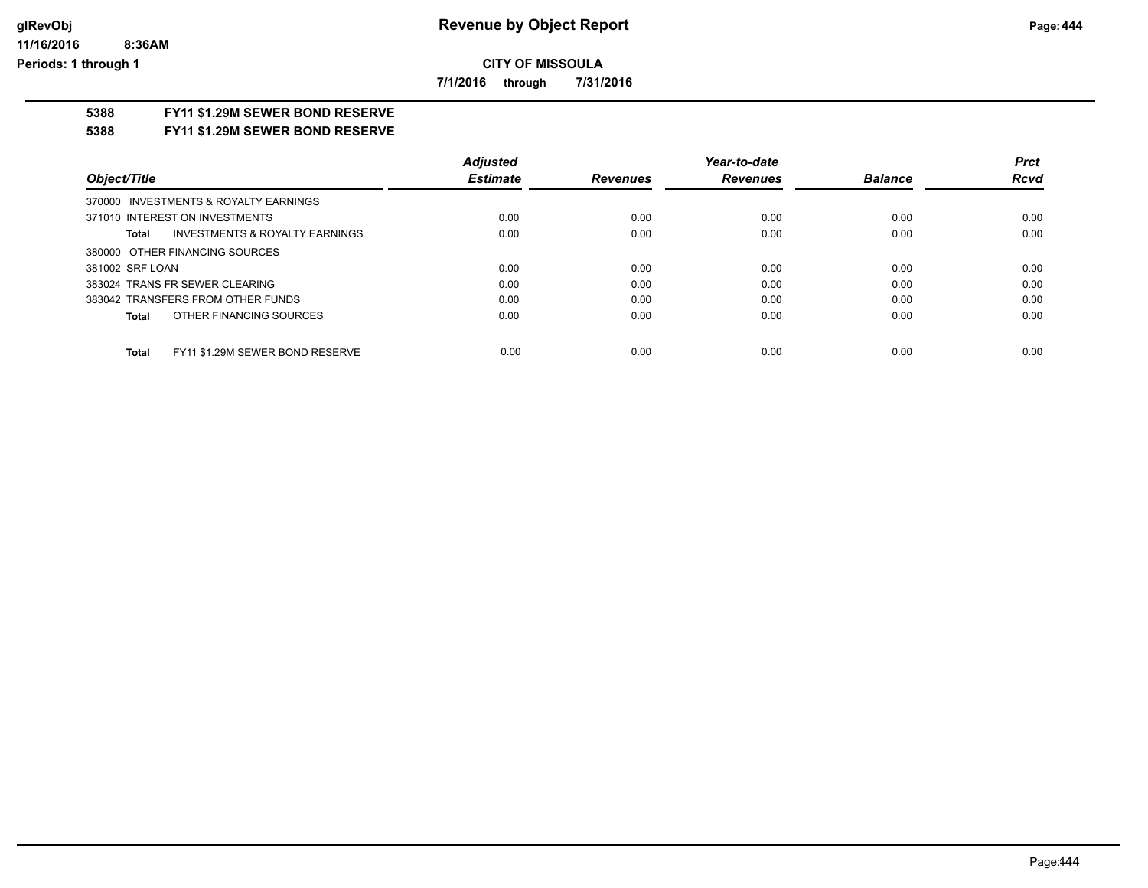**glRevObj Revenue by Object Report Page:444** 

**11/16/2016 8:36AM Periods: 1 through 1**

**CITY OF MISSOULA**

**7/1/2016 through 7/31/2016**

### **5388 FY11 \$1.29M SEWER BOND RESERVE**

**5388 FY11 \$1.29M SEWER BOND RESERVE**

|                                                    | <b>Adjusted</b> |                 | Year-to-date    |                | <b>Prct</b> |
|----------------------------------------------------|-----------------|-----------------|-----------------|----------------|-------------|
| Object/Title                                       | <b>Estimate</b> | <b>Revenues</b> | <b>Revenues</b> | <b>Balance</b> | <b>Rcvd</b> |
| 370000 INVESTMENTS & ROYALTY EARNINGS              |                 |                 |                 |                |             |
| 371010 INTEREST ON INVESTMENTS                     | 0.00            | 0.00            | 0.00            | 0.00           | 0.00        |
| <b>INVESTMENTS &amp; ROYALTY EARNINGS</b><br>Total | 0.00            | 0.00            | 0.00            | 0.00           | 0.00        |
| 380000 OTHER FINANCING SOURCES                     |                 |                 |                 |                |             |
| 381002 SRF LOAN                                    | 0.00            | 0.00            | 0.00            | 0.00           | 0.00        |
| 383024 TRANS FR SEWER CLEARING                     | 0.00            | 0.00            | 0.00            | 0.00           | 0.00        |
| 383042 TRANSFERS FROM OTHER FUNDS                  | 0.00            | 0.00            | 0.00            | 0.00           | 0.00        |
| OTHER FINANCING SOURCES<br>Total                   | 0.00            | 0.00            | 0.00            | 0.00           | 0.00        |
| FY11 \$1.29M SEWER BOND RESERVE<br><b>Total</b>    | 0.00            | 0.00            | 0.00            | 0.00           | 0.00        |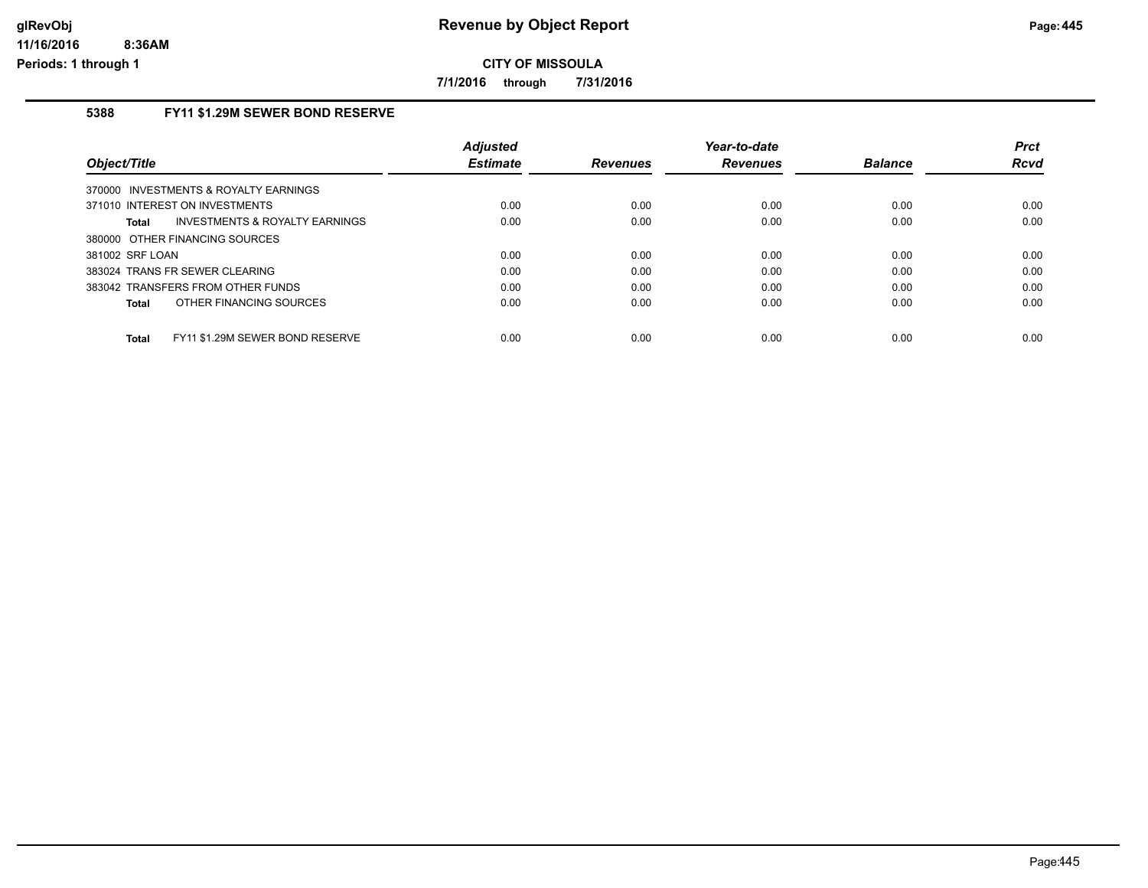**8:36AM**

**CITY OF MISSOULA**

**7/1/2016 through 7/31/2016**

#### **5388 FY11 \$1.29M SEWER BOND RESERVE**

|                                |                                       | <b>Adjusted</b> |                 | Year-to-date    |                | <b>Prct</b> |
|--------------------------------|---------------------------------------|-----------------|-----------------|-----------------|----------------|-------------|
| Object/Title                   |                                       | <b>Estimate</b> | <b>Revenues</b> | <b>Revenues</b> | <b>Balance</b> | <b>Rcvd</b> |
|                                | 370000 INVESTMENTS & ROYALTY EARNINGS |                 |                 |                 |                |             |
| 371010 INTEREST ON INVESTMENTS |                                       | 0.00            | 0.00            | 0.00            | 0.00           | 0.00        |
| <b>Total</b>                   | INVESTMENTS & ROYALTY EARNINGS        | 0.00            | 0.00            | 0.00            | 0.00           | 0.00        |
|                                | 380000 OTHER FINANCING SOURCES        |                 |                 |                 |                |             |
| 381002 SRF LOAN                |                                       | 0.00            | 0.00            | 0.00            | 0.00           | 0.00        |
| 383024 TRANS FR SEWER CLEARING |                                       | 0.00            | 0.00            | 0.00            | 0.00           | 0.00        |
|                                | 383042 TRANSFERS FROM OTHER FUNDS     | 0.00            | 0.00            | 0.00            | 0.00           | 0.00        |
| <b>Total</b>                   | OTHER FINANCING SOURCES               | 0.00            | 0.00            | 0.00            | 0.00           | 0.00        |
| <b>Total</b>                   | FY11 \$1.29M SEWER BOND RESERVE       | 0.00            | 0.00            | 0.00            | 0.00           | 0.00        |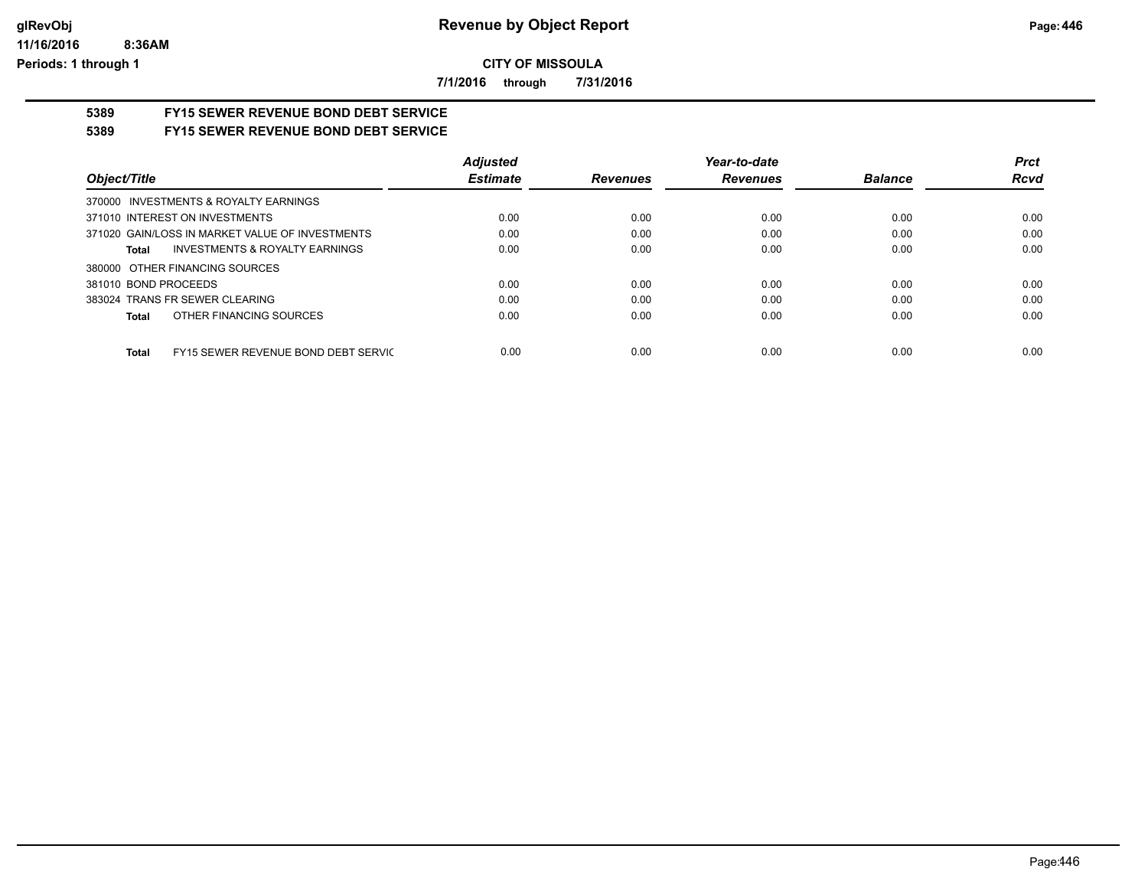**CITY OF MISSOULA**

**7/1/2016 through 7/31/2016**

# **5389 FY15 SEWER REVENUE BOND DEBT SERVICE**

## **5389 FY15 SEWER REVENUE BOND DEBT SERVICE**

|                                                     | <b>Adjusted</b> |                 | Year-to-date    |                | <b>Prct</b> |
|-----------------------------------------------------|-----------------|-----------------|-----------------|----------------|-------------|
| Object/Title                                        | <b>Estimate</b> | <b>Revenues</b> | <b>Revenues</b> | <b>Balance</b> | <b>Rcvd</b> |
| 370000 INVESTMENTS & ROYALTY EARNINGS               |                 |                 |                 |                |             |
| 371010 INTEREST ON INVESTMENTS                      | 0.00            | 0.00            | 0.00            | 0.00           | 0.00        |
| 371020 GAIN/LOSS IN MARKET VALUE OF INVESTMENTS     | 0.00            | 0.00            | 0.00            | 0.00           | 0.00        |
| <b>INVESTMENTS &amp; ROYALTY EARNINGS</b><br>Total  | 0.00            | 0.00            | 0.00            | 0.00           | 0.00        |
| 380000 OTHER FINANCING SOURCES                      |                 |                 |                 |                |             |
| 381010 BOND PROCEEDS                                | 0.00            | 0.00            | 0.00            | 0.00           | 0.00        |
| 383024 TRANS FR SEWER CLEARING                      | 0.00            | 0.00            | 0.00            | 0.00           | 0.00        |
| OTHER FINANCING SOURCES<br>Total                    | 0.00            | 0.00            | 0.00            | 0.00           | 0.00        |
| FY15 SEWER REVENUE BOND DEBT SERVIC<br><b>Total</b> | 0.00            | 0.00            | 0.00            | 0.00           | 0.00        |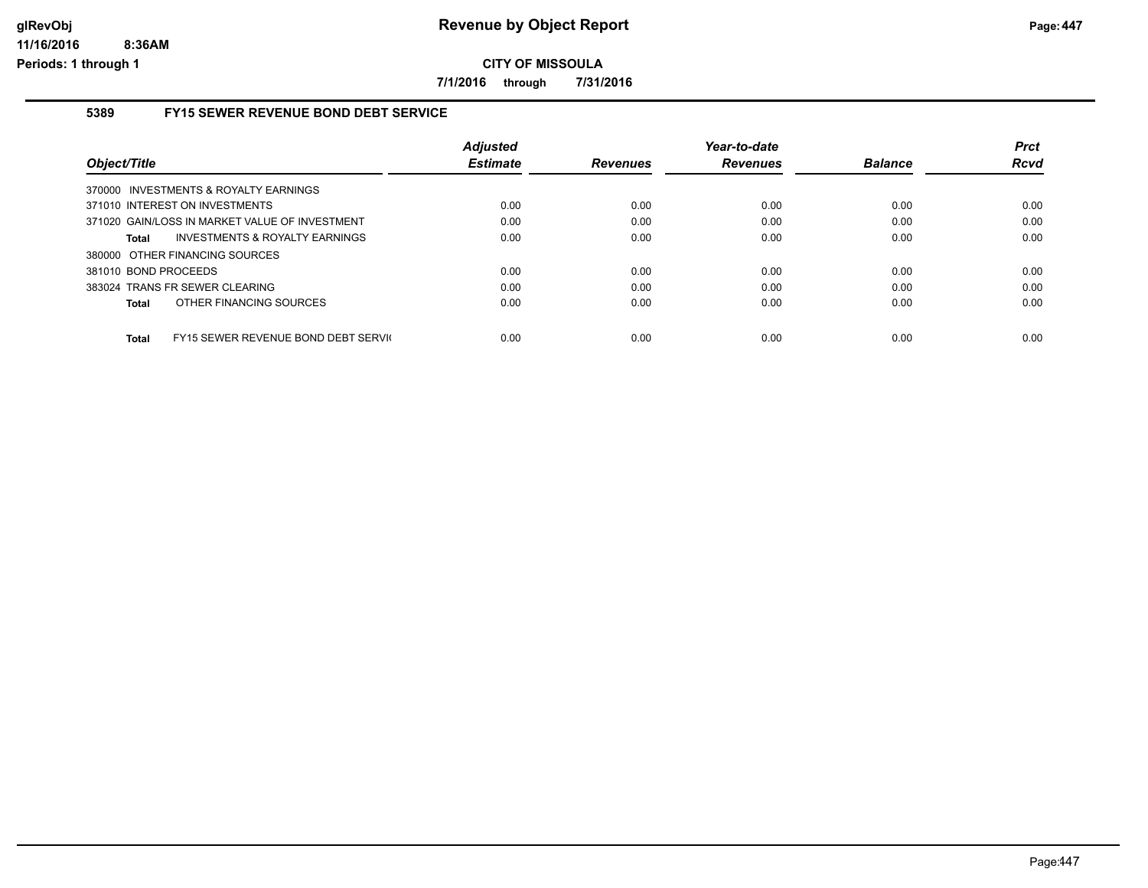**8:36AM**

**CITY OF MISSOULA**

**7/1/2016 through 7/31/2016**

#### **5389 FY15 SEWER REVENUE BOND DEBT SERVICE**

|                                                     | <b>Adjusted</b> |                 | Year-to-date    |                | <b>Prct</b> |
|-----------------------------------------------------|-----------------|-----------------|-----------------|----------------|-------------|
| Object/Title                                        | <b>Estimate</b> | <b>Revenues</b> | <b>Revenues</b> | <b>Balance</b> | Rcvd        |
| 370000 INVESTMENTS & ROYALTY EARNINGS               |                 |                 |                 |                |             |
| 371010 INTEREST ON INVESTMENTS                      | 0.00            | 0.00            | 0.00            | 0.00           | 0.00        |
| 371020 GAIN/LOSS IN MARKET VALUE OF INVESTMENT      | 0.00            | 0.00            | 0.00            | 0.00           | 0.00        |
| INVESTMENTS & ROYALTY EARNINGS<br><b>Total</b>      | 0.00            | 0.00            | 0.00            | 0.00           | 0.00        |
| 380000 OTHER FINANCING SOURCES                      |                 |                 |                 |                |             |
| 381010 BOND PROCEEDS                                | 0.00            | 0.00            | 0.00            | 0.00           | 0.00        |
| 383024 TRANS FR SEWER CLEARING                      | 0.00            | 0.00            | 0.00            | 0.00           | 0.00        |
| OTHER FINANCING SOURCES<br>Total                    | 0.00            | 0.00            | 0.00            | 0.00           | 0.00        |
|                                                     |                 |                 |                 |                |             |
| FY15 SEWER REVENUE BOND DEBT SERVIC<br><b>Total</b> | 0.00            | 0.00            | 0.00            | 0.00           | 0.00        |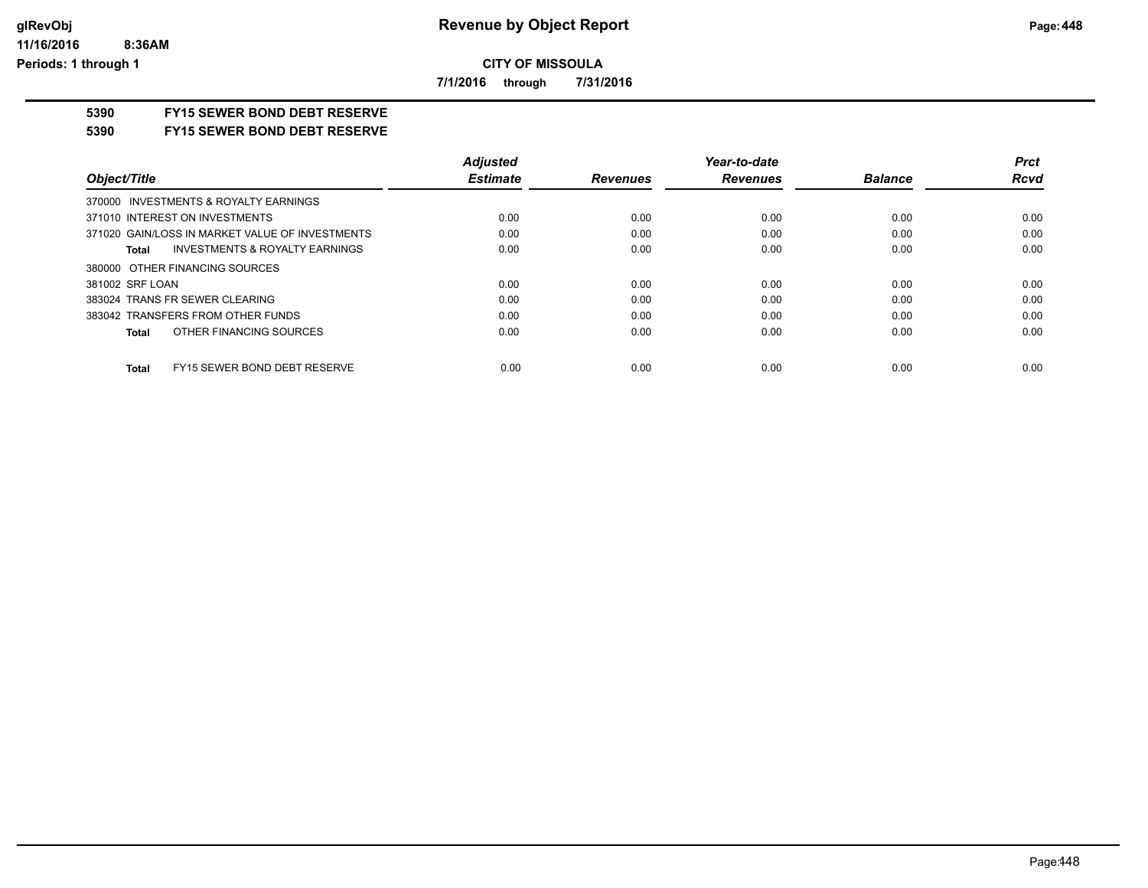**glRevObj Revenue by Object Report Page:448** 

**CITY OF MISSOULA**

**7/1/2016 through 7/31/2016**

### **5390 FY15 SEWER BOND DEBT RESERVE**

 **8:36AM**

#### **5390 FY15 SEWER BOND DEBT RESERVE**

|                                                 | <b>Adjusted</b> |                 | Year-to-date    |                | <b>Prct</b> |
|-------------------------------------------------|-----------------|-----------------|-----------------|----------------|-------------|
| Object/Title                                    | <b>Estimate</b> | <b>Revenues</b> | <b>Revenues</b> | <b>Balance</b> | <b>Rcvd</b> |
| 370000 INVESTMENTS & ROYALTY EARNINGS           |                 |                 |                 |                |             |
| 371010 INTEREST ON INVESTMENTS                  | 0.00            | 0.00            | 0.00            | 0.00           | 0.00        |
| 371020 GAIN/LOSS IN MARKET VALUE OF INVESTMENTS | 0.00            | 0.00            | 0.00            | 0.00           | 0.00        |
| INVESTMENTS & ROYALTY EARNINGS<br>Total         | 0.00            | 0.00            | 0.00            | 0.00           | 0.00        |
| 380000 OTHER FINANCING SOURCES                  |                 |                 |                 |                |             |
| 381002 SRF LOAN                                 | 0.00            | 0.00            | 0.00            | 0.00           | 0.00        |
| 383024 TRANS FR SEWER CLEARING                  | 0.00            | 0.00            | 0.00            | 0.00           | 0.00        |
| 383042 TRANSFERS FROM OTHER FUNDS               | 0.00            | 0.00            | 0.00            | 0.00           | 0.00        |
| OTHER FINANCING SOURCES<br>Total                | 0.00            | 0.00            | 0.00            | 0.00           | 0.00        |
|                                                 |                 |                 |                 |                |             |
| FY15 SEWER BOND DEBT RESERVE<br><b>Total</b>    | 0.00            | 0.00            | 0.00            | 0.00           | 0.00        |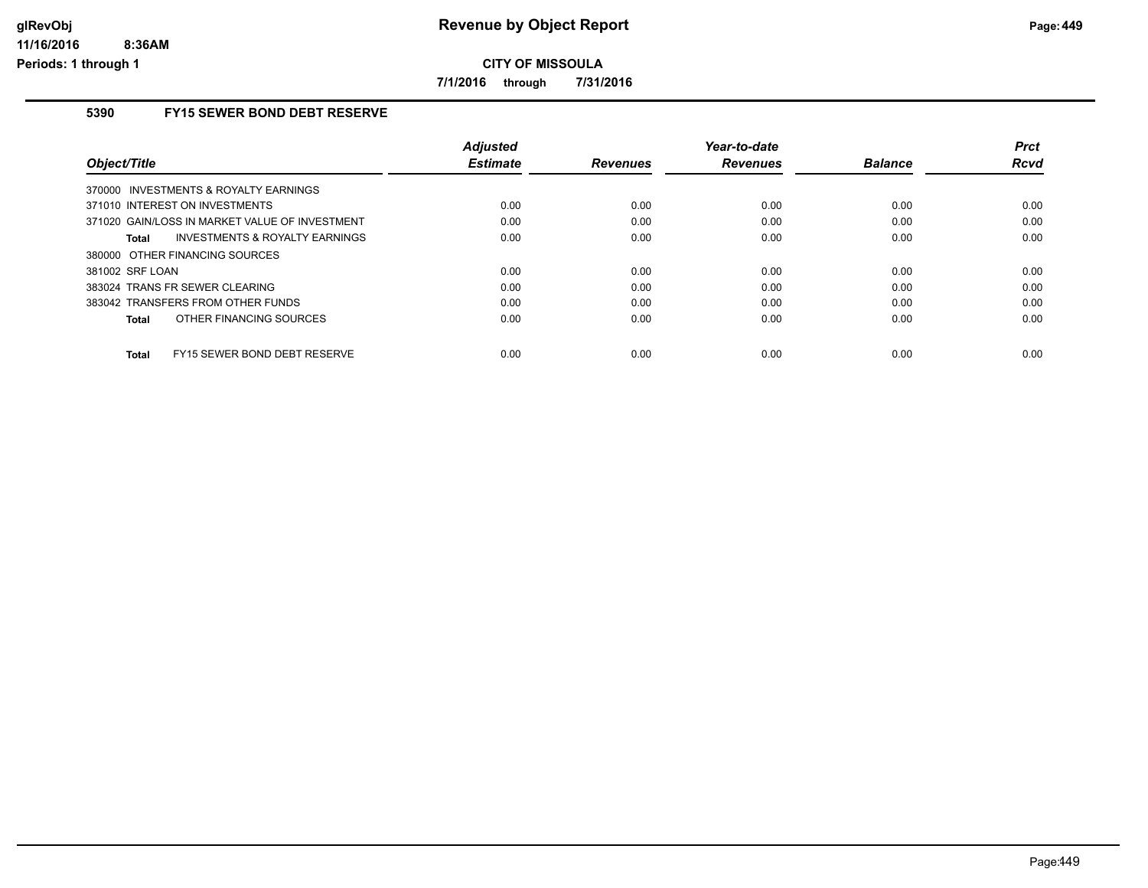**CITY OF MISSOULA**

**7/1/2016 through 7/31/2016**

#### **5390 FY15 SEWER BOND DEBT RESERVE**

 **8:36AM**

| Object/Title                                       | <b>Adjusted</b><br><b>Estimate</b> | <b>Revenues</b> | Year-to-date<br><b>Revenues</b> | <b>Balance</b> | <b>Prct</b><br>Rcvd |
|----------------------------------------------------|------------------------------------|-----------------|---------------------------------|----------------|---------------------|
| 370000 INVESTMENTS & ROYALTY EARNINGS              |                                    |                 |                                 |                |                     |
| 371010 INTEREST ON INVESTMENTS                     | 0.00                               | 0.00            | 0.00                            | 0.00           | 0.00                |
| 371020 GAIN/LOSS IN MARKET VALUE OF INVESTMENT     | 0.00                               | 0.00            | 0.00                            | 0.00           | 0.00                |
| <b>INVESTMENTS &amp; ROYALTY EARNINGS</b><br>Total | 0.00                               | 0.00            | 0.00                            | 0.00           | 0.00                |
| 380000 OTHER FINANCING SOURCES                     |                                    |                 |                                 |                |                     |
| 381002 SRF LOAN                                    | 0.00                               | 0.00            | 0.00                            | 0.00           | 0.00                |
| 383024 TRANS FR SEWER CLEARING                     | 0.00                               | 0.00            | 0.00                            | 0.00           | 0.00                |
| 383042 TRANSFERS FROM OTHER FUNDS                  | 0.00                               | 0.00            | 0.00                            | 0.00           | 0.00                |
| OTHER FINANCING SOURCES<br>Total                   | 0.00                               | 0.00            | 0.00                            | 0.00           | 0.00                |
| FY15 SEWER BOND DEBT RESERVE<br>Total              | 0.00                               | 0.00            | 0.00                            | 0.00           | 0.00                |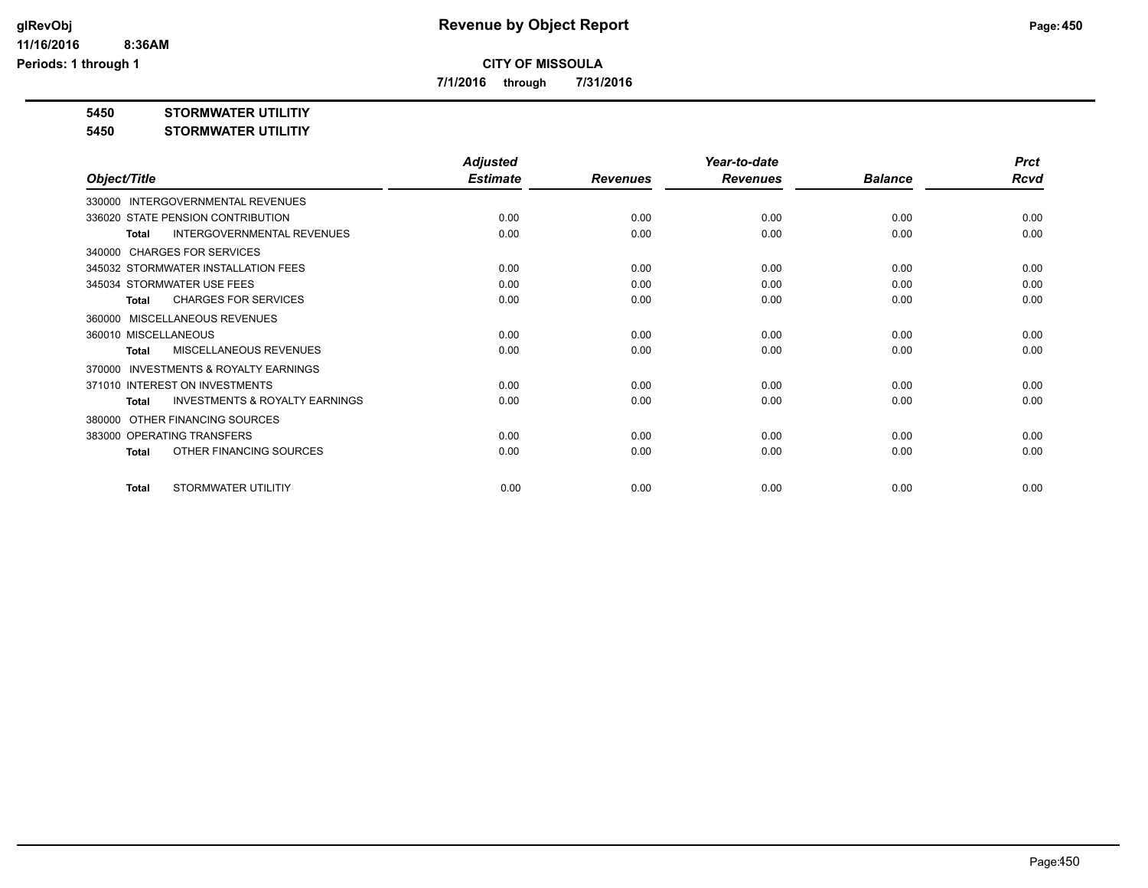**CITY OF MISSOULA**

**7/1/2016 through 7/31/2016**

#### **5450 STORMWATER UTILITIY**

**5450 STORMWATER UTILITIY**

|                                                     | <b>Adjusted</b> |                 | Year-to-date    |                | <b>Prct</b> |
|-----------------------------------------------------|-----------------|-----------------|-----------------|----------------|-------------|
| Object/Title                                        | <b>Estimate</b> | <b>Revenues</b> | <b>Revenues</b> | <b>Balance</b> | <b>Rcvd</b> |
| 330000 INTERGOVERNMENTAL REVENUES                   |                 |                 |                 |                |             |
| 336020 STATE PENSION CONTRIBUTION                   | 0.00            | 0.00            | 0.00            | 0.00           | 0.00        |
| <b>INTERGOVERNMENTAL REVENUES</b><br>Total          | 0.00            | 0.00            | 0.00            | 0.00           | 0.00        |
| 340000 CHARGES FOR SERVICES                         |                 |                 |                 |                |             |
| 345032 STORMWATER INSTALLATION FEES                 | 0.00            | 0.00            | 0.00            | 0.00           | 0.00        |
| 345034 STORMWATER USE FEES                          | 0.00            | 0.00            | 0.00            | 0.00           | 0.00        |
| <b>CHARGES FOR SERVICES</b><br>Total                | 0.00            | 0.00            | 0.00            | 0.00           | 0.00        |
| 360000 MISCELLANEOUS REVENUES                       |                 |                 |                 |                |             |
| 360010 MISCELLANEOUS                                | 0.00            | 0.00            | 0.00            | 0.00           | 0.00        |
| <b>MISCELLANEOUS REVENUES</b><br>Total              | 0.00            | 0.00            | 0.00            | 0.00           | 0.00        |
| <b>INVESTMENTS &amp; ROYALTY EARNINGS</b><br>370000 |                 |                 |                 |                |             |
| 371010 INTEREST ON INVESTMENTS                      | 0.00            | 0.00            | 0.00            | 0.00           | 0.00        |
| <b>INVESTMENTS &amp; ROYALTY EARNINGS</b><br>Total  | 0.00            | 0.00            | 0.00            | 0.00           | 0.00        |
| 380000 OTHER FINANCING SOURCES                      |                 |                 |                 |                |             |
| 383000 OPERATING TRANSFERS                          | 0.00            | 0.00            | 0.00            | 0.00           | 0.00        |
| OTHER FINANCING SOURCES<br><b>Total</b>             | 0.00            | 0.00            | 0.00            | 0.00           | 0.00        |
|                                                     |                 |                 |                 |                |             |
| STORMWATER UTILITIY<br>Total                        | 0.00            | 0.00            | 0.00            | 0.00           | 0.00        |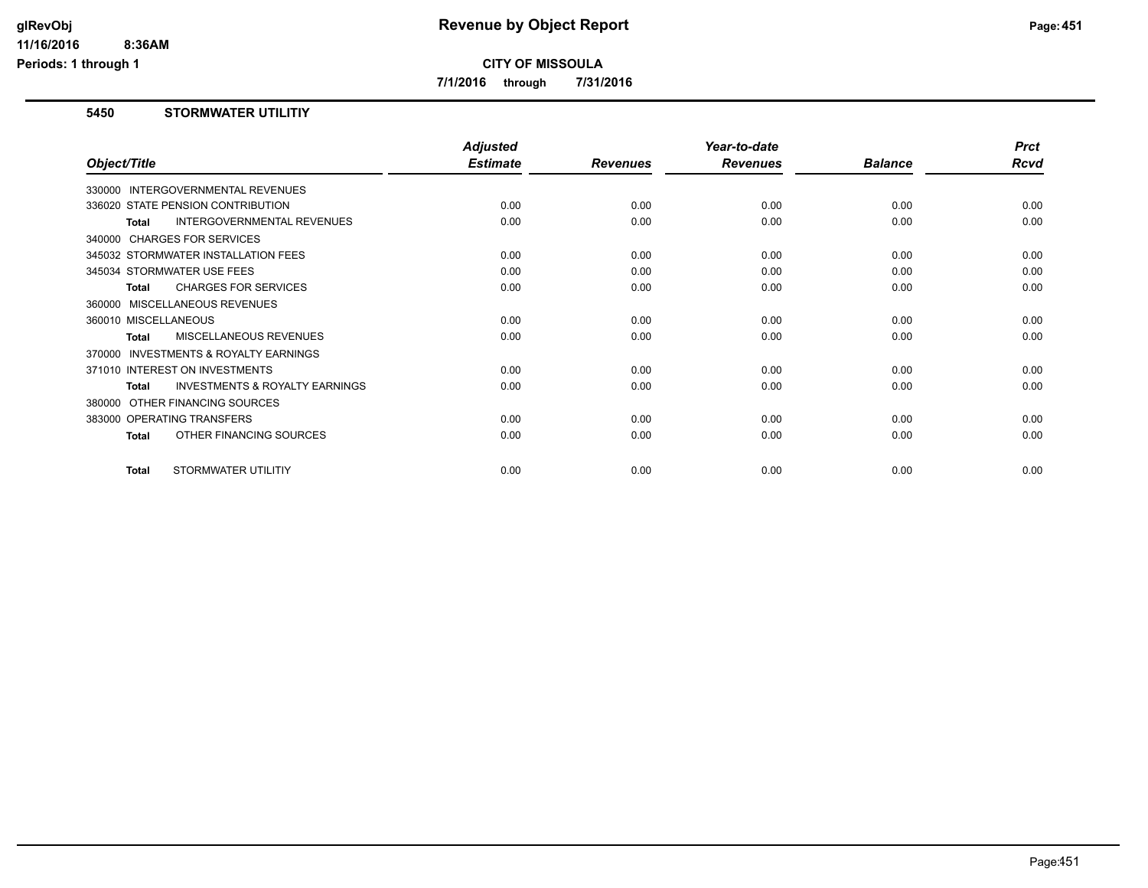**CITY OF MISSOULA**

**7/1/2016 through 7/31/2016**

#### **5450 STORMWATER UTILITIY**

 **8:36AM**

|                                                           | <b>Adjusted</b> |                 | Year-to-date    |                | <b>Prct</b> |
|-----------------------------------------------------------|-----------------|-----------------|-----------------|----------------|-------------|
| Object/Title                                              | <b>Estimate</b> | <b>Revenues</b> | <b>Revenues</b> | <b>Balance</b> | <b>Rcvd</b> |
| 330000 INTERGOVERNMENTAL REVENUES                         |                 |                 |                 |                |             |
| 336020 STATE PENSION CONTRIBUTION                         | 0.00            | 0.00            | 0.00            | 0.00           | 0.00        |
| INTERGOVERNMENTAL REVENUES<br><b>Total</b>                | 0.00            | 0.00            | 0.00            | 0.00           | 0.00        |
| 340000 CHARGES FOR SERVICES                               |                 |                 |                 |                |             |
| 345032 STORMWATER INSTALLATION FEES                       | 0.00            | 0.00            | 0.00            | 0.00           | 0.00        |
| 345034 STORMWATER USE FEES                                | 0.00            | 0.00            | 0.00            | 0.00           | 0.00        |
| <b>CHARGES FOR SERVICES</b><br>Total                      | 0.00            | 0.00            | 0.00            | 0.00           | 0.00        |
| 360000 MISCELLANEOUS REVENUES                             |                 |                 |                 |                |             |
| 360010 MISCELLANEOUS                                      | 0.00            | 0.00            | 0.00            | 0.00           | 0.00        |
| MISCELLANEOUS REVENUES<br><b>Total</b>                    | 0.00            | 0.00            | 0.00            | 0.00           | 0.00        |
| <b>INVESTMENTS &amp; ROYALTY EARNINGS</b><br>370000       |                 |                 |                 |                |             |
| 371010 INTEREST ON INVESTMENTS                            | 0.00            | 0.00            | 0.00            | 0.00           | 0.00        |
| <b>INVESTMENTS &amp; ROYALTY EARNINGS</b><br><b>Total</b> | 0.00            | 0.00            | 0.00            | 0.00           | 0.00        |
| OTHER FINANCING SOURCES<br>380000                         |                 |                 |                 |                |             |
| 383000 OPERATING TRANSFERS                                | 0.00            | 0.00            | 0.00            | 0.00           | 0.00        |
| OTHER FINANCING SOURCES<br><b>Total</b>                   | 0.00            | 0.00            | 0.00            | 0.00           | 0.00        |
| STORMWATER UTILITIY<br>Total                              | 0.00            | 0.00            | 0.00            | 0.00           | 0.00        |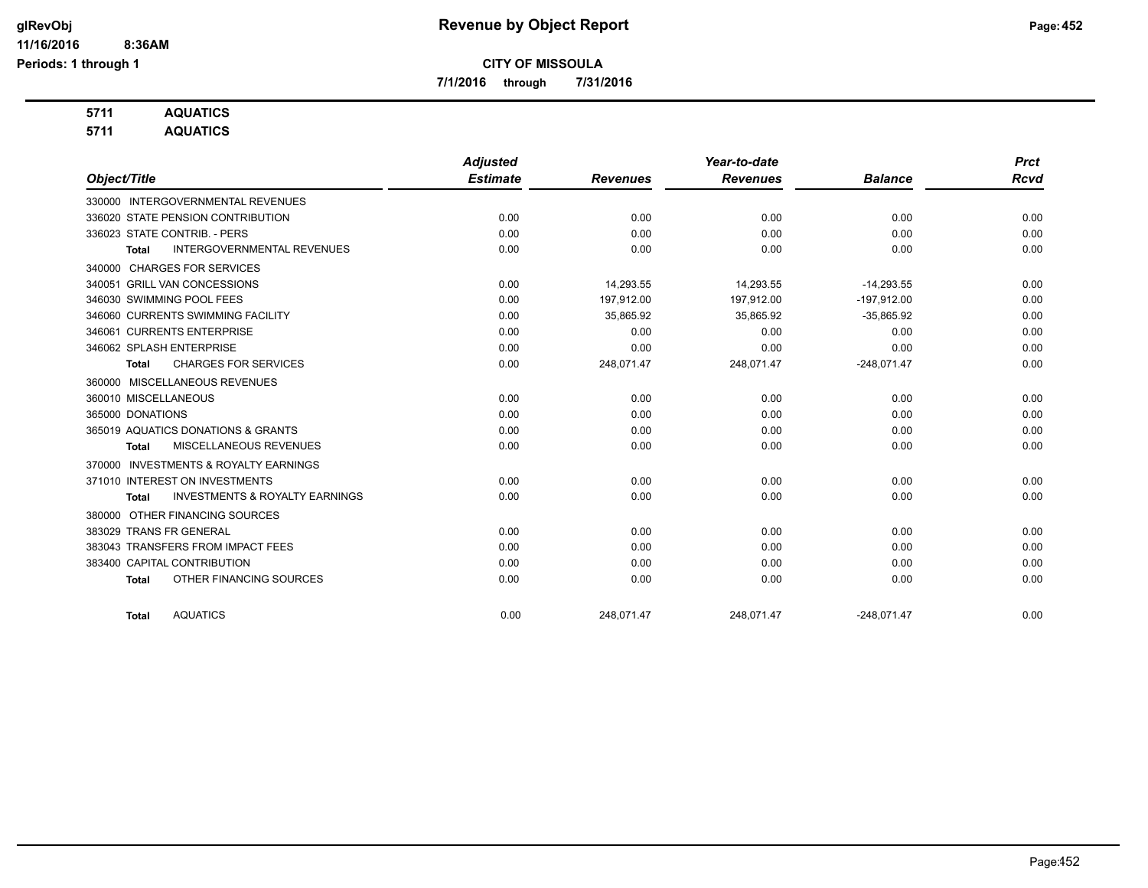**CITY OF MISSOULA**

**7/1/2016 through 7/31/2016**

## **Periods: 1 through 1**

## **5711 AQUATICS**

**5711 AQUATICS**

|                                                           | <b>Adjusted</b> |                 | Year-to-date    |                | <b>Prct</b> |
|-----------------------------------------------------------|-----------------|-----------------|-----------------|----------------|-------------|
| Object/Title                                              | <b>Estimate</b> | <b>Revenues</b> | <b>Revenues</b> | <b>Balance</b> | <b>Rcvd</b> |
| 330000 INTERGOVERNMENTAL REVENUES                         |                 |                 |                 |                |             |
| 336020 STATE PENSION CONTRIBUTION                         | 0.00            | 0.00            | 0.00            | 0.00           | 0.00        |
| 336023 STATE CONTRIB. - PERS                              | 0.00            | 0.00            | 0.00            | 0.00           | 0.00        |
| <b>INTERGOVERNMENTAL REVENUES</b><br><b>Total</b>         | 0.00            | 0.00            | 0.00            | 0.00           | 0.00        |
| 340000 CHARGES FOR SERVICES                               |                 |                 |                 |                |             |
| 340051 GRILL VAN CONCESSIONS                              | 0.00            | 14,293.55       | 14,293.55       | $-14,293.55$   | 0.00        |
| 346030 SWIMMING POOL FEES                                 | 0.00            | 197.912.00      | 197.912.00      | $-197.912.00$  | 0.00        |
| 346060 CURRENTS SWIMMING FACILITY                         | 0.00            | 35,865.92       | 35,865.92       | $-35,865.92$   | 0.00        |
| 346061 CURRENTS ENTERPRISE                                | 0.00            | 0.00            | 0.00            | 0.00           | 0.00        |
| 346062 SPLASH ENTERPRISE                                  | 0.00            | 0.00            | 0.00            | 0.00           | 0.00        |
| <b>CHARGES FOR SERVICES</b><br><b>Total</b>               | 0.00            | 248,071.47      | 248,071.47      | $-248,071.47$  | 0.00        |
| 360000 MISCELLANEOUS REVENUES                             |                 |                 |                 |                |             |
| 360010 MISCELLANEOUS                                      | 0.00            | 0.00            | 0.00            | 0.00           | 0.00        |
| 365000 DONATIONS                                          | 0.00            | 0.00            | 0.00            | 0.00           | 0.00        |
| 365019 AQUATICS DONATIONS & GRANTS                        | 0.00            | 0.00            | 0.00            | 0.00           | 0.00        |
| MISCELLANEOUS REVENUES<br>Total                           | 0.00            | 0.00            | 0.00            | 0.00           | 0.00        |
| 370000 INVESTMENTS & ROYALTY EARNINGS                     |                 |                 |                 |                |             |
| 371010 INTEREST ON INVESTMENTS                            | 0.00            | 0.00            | 0.00            | 0.00           | 0.00        |
| <b>INVESTMENTS &amp; ROYALTY EARNINGS</b><br><b>Total</b> | 0.00            | 0.00            | 0.00            | 0.00           | 0.00        |
| 380000 OTHER FINANCING SOURCES                            |                 |                 |                 |                |             |
| 383029 TRANS FR GENERAL                                   | 0.00            | 0.00            | 0.00            | 0.00           | 0.00        |
| 383043 TRANSFERS FROM IMPACT FEES                         | 0.00            | 0.00            | 0.00            | 0.00           | 0.00        |
| 383400 CAPITAL CONTRIBUTION                               | 0.00            | 0.00            | 0.00            | 0.00           | 0.00        |
| OTHER FINANCING SOURCES<br><b>Total</b>                   | 0.00            | 0.00            | 0.00            | 0.00           | 0.00        |
| <b>AQUATICS</b><br>Total                                  | 0.00            | 248.071.47      | 248,071.47      | $-248.071.47$  | 0.00        |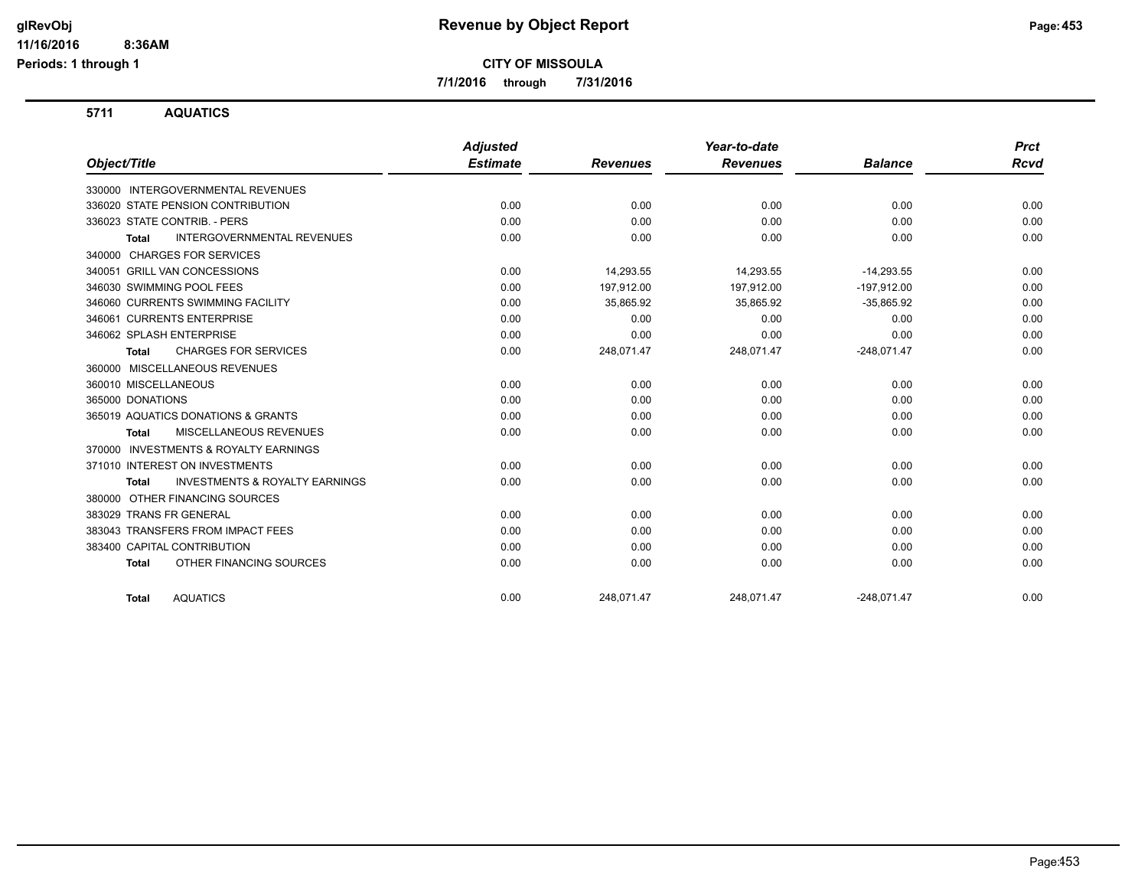**CITY OF MISSOULA**

**7/1/2016 through 7/31/2016**

**5711 AQUATICS**

|                                                           | <b>Adjusted</b> |                 | Year-to-date    |                | <b>Prct</b> |
|-----------------------------------------------------------|-----------------|-----------------|-----------------|----------------|-------------|
| Object/Title                                              | <b>Estimate</b> | <b>Revenues</b> | <b>Revenues</b> | <b>Balance</b> | <b>Rcvd</b> |
| <b>INTERGOVERNMENTAL REVENUES</b><br>330000               |                 |                 |                 |                |             |
| 336020 STATE PENSION CONTRIBUTION                         | 0.00            | 0.00            | 0.00            | 0.00           | 0.00        |
| 336023 STATE CONTRIB. - PERS                              | 0.00            | 0.00            | 0.00            | 0.00           | 0.00        |
| <b>INTERGOVERNMENTAL REVENUES</b><br>Total                | 0.00            | 0.00            | 0.00            | 0.00           | 0.00        |
| 340000 CHARGES FOR SERVICES                               |                 |                 |                 |                |             |
| <b>GRILL VAN CONCESSIONS</b><br>340051                    | 0.00            | 14,293.55       | 14,293.55       | $-14,293.55$   | 0.00        |
| 346030 SWIMMING POOL FEES                                 | 0.00            | 197,912.00      | 197,912.00      | $-197,912.00$  | 0.00        |
| 346060 CURRENTS SWIMMING FACILITY                         | 0.00            | 35,865.92       | 35,865.92       | $-35,865.92$   | 0.00        |
| 346061 CURRENTS ENTERPRISE                                | 0.00            | 0.00            | 0.00            | 0.00           | 0.00        |
| 346062 SPLASH ENTERPRISE                                  | 0.00            | 0.00            | 0.00            | 0.00           | 0.00        |
| <b>CHARGES FOR SERVICES</b><br><b>Total</b>               | 0.00            | 248,071.47      | 248,071.47      | $-248,071.47$  | 0.00        |
| 360000 MISCELLANEOUS REVENUES                             |                 |                 |                 |                |             |
| 360010 MISCELLANEOUS                                      | 0.00            | 0.00            | 0.00            | 0.00           | 0.00        |
| 365000 DONATIONS                                          | 0.00            | 0.00            | 0.00            | 0.00           | 0.00        |
| 365019 AQUATICS DONATIONS & GRANTS                        | 0.00            | 0.00            | 0.00            | 0.00           | 0.00        |
| MISCELLANEOUS REVENUES<br><b>Total</b>                    | 0.00            | 0.00            | 0.00            | 0.00           | 0.00        |
| <b>INVESTMENTS &amp; ROYALTY EARNINGS</b><br>370000       |                 |                 |                 |                |             |
| 371010 INTEREST ON INVESTMENTS                            | 0.00            | 0.00            | 0.00            | 0.00           | 0.00        |
| <b>INVESTMENTS &amp; ROYALTY EARNINGS</b><br><b>Total</b> | 0.00            | 0.00            | 0.00            | 0.00           | 0.00        |
| OTHER FINANCING SOURCES<br>380000                         |                 |                 |                 |                |             |
| 383029 TRANS FR GENERAL                                   | 0.00            | 0.00            | 0.00            | 0.00           | 0.00        |
| 383043 TRANSFERS FROM IMPACT FEES                         | 0.00            | 0.00            | 0.00            | 0.00           | 0.00        |
| 383400 CAPITAL CONTRIBUTION                               | 0.00            | 0.00            | 0.00            | 0.00           | 0.00        |
| OTHER FINANCING SOURCES<br><b>Total</b>                   | 0.00            | 0.00            | 0.00            | 0.00           | 0.00        |
| <b>AQUATICS</b><br>Total                                  | 0.00            | 248,071.47      | 248,071.47      | $-248.071.47$  | 0.00        |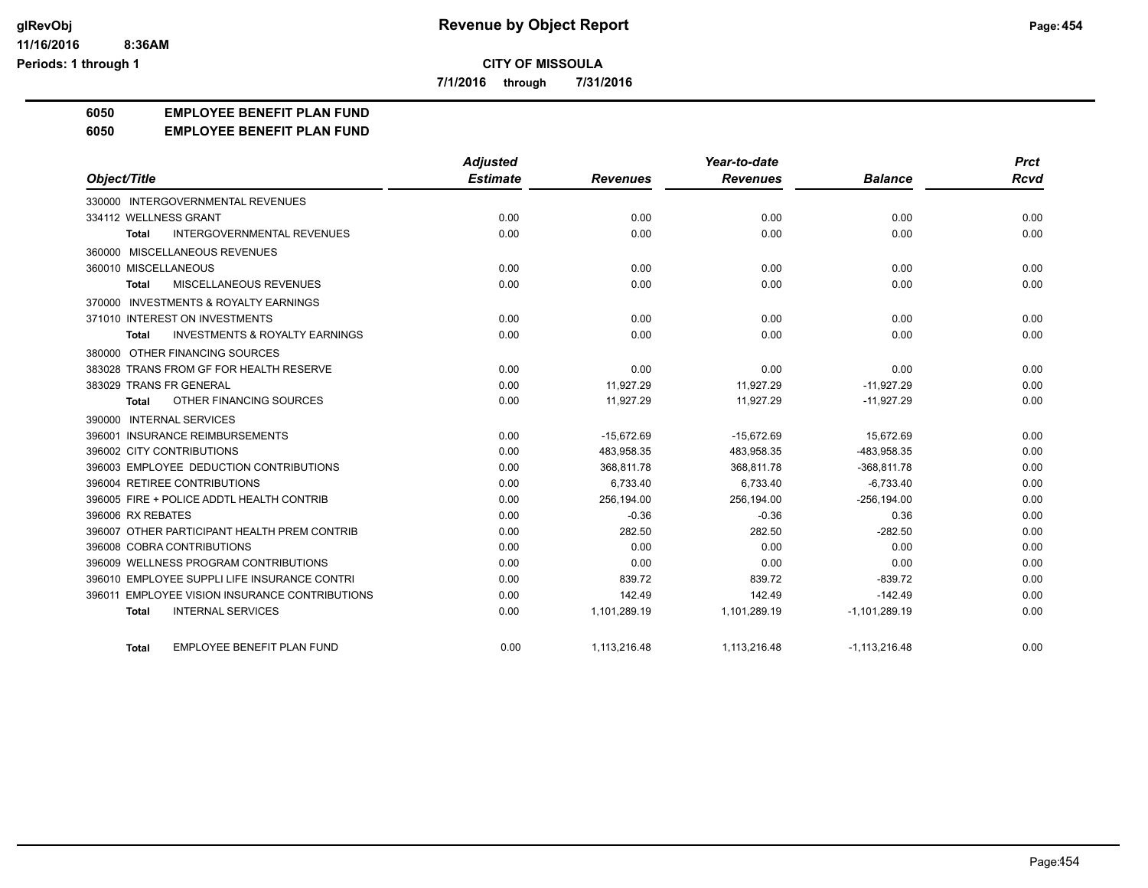**CITY OF MISSOULA**

**7/1/2016 through 7/31/2016**

**6050 EMPLOYEE BENEFIT PLAN FUND**

#### **6050 EMPLOYEE BENEFIT PLAN FUND**

|                                                          | <b>Adjusted</b> |                 | Year-to-date    |                 | <b>Prct</b> |
|----------------------------------------------------------|-----------------|-----------------|-----------------|-----------------|-------------|
| Object/Title                                             | <b>Estimate</b> | <b>Revenues</b> | <b>Revenues</b> | <b>Balance</b>  | <b>Rcvd</b> |
| 330000 INTERGOVERNMENTAL REVENUES                        |                 |                 |                 |                 |             |
| 334112 WELLNESS GRANT                                    | 0.00            | 0.00            | 0.00            | 0.00            | 0.00        |
| <b>INTERGOVERNMENTAL REVENUES</b><br>Total               | 0.00            | 0.00            | 0.00            | 0.00            | 0.00        |
| 360000 MISCELLANEOUS REVENUES                            |                 |                 |                 |                 |             |
| 360010 MISCELLANEOUS                                     | 0.00            | 0.00            | 0.00            | 0.00            | 0.00        |
| <b>MISCELLANEOUS REVENUES</b><br><b>Total</b>            | 0.00            | 0.00            | 0.00            | 0.00            | 0.00        |
| 370000 INVESTMENTS & ROYALTY EARNINGS                    |                 |                 |                 |                 |             |
| 371010 INTEREST ON INVESTMENTS                           | 0.00            | 0.00            | 0.00            | 0.00            | 0.00        |
| <b>INVESTMENTS &amp; ROYALTY EARNINGS</b><br>Total       | 0.00            | 0.00            | 0.00            | 0.00            | 0.00        |
| 380000 OTHER FINANCING SOURCES                           |                 |                 |                 |                 |             |
| 383028 TRANS FROM GF FOR HEALTH RESERVE                  | 0.00            | 0.00            | 0.00            | 0.00            | 0.00        |
| 383029 TRANS FR GENERAL                                  | 0.00            | 11,927.29       | 11,927.29       | $-11,927.29$    | 0.00        |
| OTHER FINANCING SOURCES<br><b>Total</b>                  | 0.00            | 11,927.29       | 11,927.29       | $-11,927.29$    | 0.00        |
| 390000 INTERNAL SERVICES                                 |                 |                 |                 |                 |             |
| 396001 INSURANCE REIMBURSEMENTS                          | 0.00            | $-15,672.69$    | $-15,672.69$    | 15,672.69       | 0.00        |
| 396002 CITY CONTRIBUTIONS                                | 0.00            | 483,958.35      | 483,958.35      | -483,958.35     | 0.00        |
| 396003 EMPLOYEE DEDUCTION CONTRIBUTIONS                  | 0.00            | 368,811.78      | 368,811.78      | $-368,811.78$   | 0.00        |
| 396004 RETIREE CONTRIBUTIONS                             | 0.00            | 6,733.40        | 6,733.40        | $-6,733.40$     | 0.00        |
| 396005 FIRE + POLICE ADDTL HEALTH CONTRIB                | 0.00            | 256,194.00      | 256,194.00      | $-256, 194.00$  | 0.00        |
| 396006 RX REBATES                                        | 0.00            | $-0.36$         | $-0.36$         | 0.36            | 0.00        |
| 396007 OTHER PARTICIPANT HEALTH PREM CONTRIB             | 0.00            | 282.50          | 282.50          | $-282.50$       | 0.00        |
| 396008 COBRA CONTRIBUTIONS                               | 0.00            | 0.00            | 0.00            | 0.00            | 0.00        |
| 396009 WELLNESS PROGRAM CONTRIBUTIONS                    | 0.00            | 0.00            | 0.00            | 0.00            | 0.00        |
| 396010 EMPLOYEE SUPPLI LIFE INSURANCE CONTRI             | 0.00            | 839.72          | 839.72          | $-839.72$       | 0.00        |
| <b>EMPLOYEE VISION INSURANCE CONTRIBUTIONS</b><br>396011 | 0.00            | 142.49          | 142.49          | $-142.49$       | 0.00        |
| <b>INTERNAL SERVICES</b><br><b>Total</b>                 | 0.00            | 1,101,289.19    | 1,101,289.19    | $-1,101,289.19$ | 0.00        |
| <b>EMPLOYEE BENEFIT PLAN FUND</b><br><b>Total</b>        | 0.00            | 1,113,216.48    | 1,113,216.48    | $-1,113,216.48$ | 0.00        |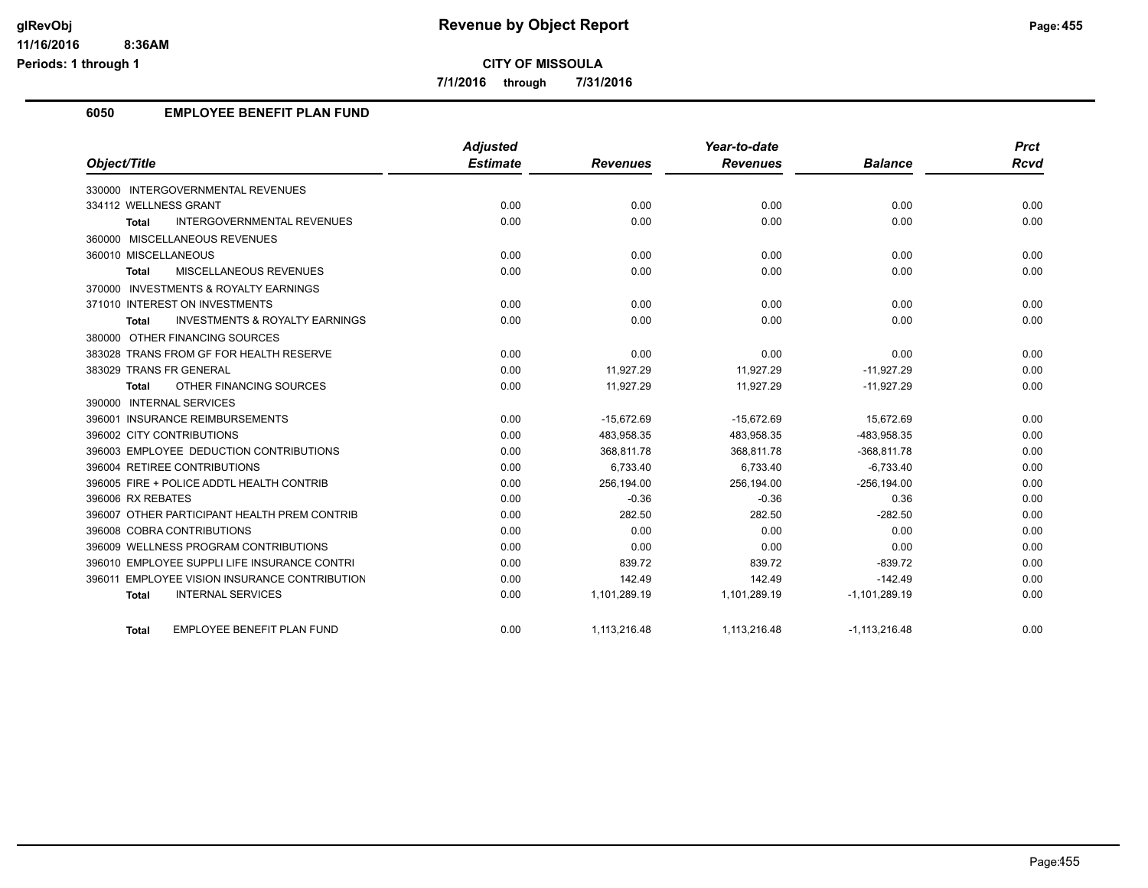**CITY OF MISSOULA**

**7/1/2016 through 7/31/2016**

#### **6050 EMPLOYEE BENEFIT PLAN FUND**

 **8:36AM**

|                                                           | Adjusted        |                 | Year-to-date    |                 | <b>Prct</b> |
|-----------------------------------------------------------|-----------------|-----------------|-----------------|-----------------|-------------|
| Object/Title                                              | <b>Estimate</b> | <b>Revenues</b> | <b>Revenues</b> | <b>Balance</b>  | <b>Rcvd</b> |
| 330000 INTERGOVERNMENTAL REVENUES                         |                 |                 |                 |                 |             |
| 334112 WELLNESS GRANT                                     | 0.00            | 0.00            | 0.00            | 0.00            | 0.00        |
| <b>INTERGOVERNMENTAL REVENUES</b><br><b>Total</b>         | 0.00            | 0.00            | 0.00            | 0.00            | 0.00        |
| 360000 MISCELLANEOUS REVENUES                             |                 |                 |                 |                 |             |
| 360010 MISCELLANEOUS                                      | 0.00            | 0.00            | 0.00            | 0.00            | 0.00        |
| <b>MISCELLANEOUS REVENUES</b><br><b>Total</b>             | 0.00            | 0.00            | 0.00            | 0.00            | 0.00        |
| 370000 INVESTMENTS & ROYALTY EARNINGS                     |                 |                 |                 |                 |             |
| 371010 INTEREST ON INVESTMENTS                            | 0.00            | 0.00            | 0.00            | 0.00            | 0.00        |
| <b>INVESTMENTS &amp; ROYALTY EARNINGS</b><br><b>Total</b> | 0.00            | 0.00            | 0.00            | 0.00            | 0.00        |
| 380000 OTHER FINANCING SOURCES                            |                 |                 |                 |                 |             |
| 383028 TRANS FROM GF FOR HEALTH RESERVE                   | 0.00            | 0.00            | 0.00            | 0.00            | 0.00        |
| 383029 TRANS FR GENERAL                                   | 0.00            | 11,927.29       | 11,927.29       | $-11,927.29$    | 0.00        |
| OTHER FINANCING SOURCES<br><b>Total</b>                   | 0.00            | 11,927.29       | 11,927.29       | $-11,927.29$    | 0.00        |
| 390000 INTERNAL SERVICES                                  |                 |                 |                 |                 |             |
| 396001 INSURANCE REIMBURSEMENTS                           | 0.00            | $-15,672.69$    | $-15,672.69$    | 15,672.69       | 0.00        |
| 396002 CITY CONTRIBUTIONS                                 | 0.00            | 483.958.35      | 483.958.35      | -483.958.35     | 0.00        |
| 396003 EMPLOYEE DEDUCTION CONTRIBUTIONS                   | 0.00            | 368,811.78      | 368,811.78      | $-368,811.78$   | 0.00        |
| 396004 RETIREE CONTRIBUTIONS                              | 0.00            | 6,733.40        | 6,733.40        | $-6,733.40$     | 0.00        |
| 396005 FIRE + POLICE ADDTL HEALTH CONTRIB                 | 0.00            | 256,194.00      | 256,194.00      | $-256, 194.00$  | 0.00        |
| 396006 RX REBATES                                         | 0.00            | $-0.36$         | $-0.36$         | 0.36            | 0.00        |
| 396007 OTHER PARTICIPANT HEALTH PREM CONTRIB              | 0.00            | 282.50          | 282.50          | $-282.50$       | 0.00        |
| 396008 COBRA CONTRIBUTIONS                                | 0.00            | 0.00            | 0.00            | 0.00            | 0.00        |
| 396009 WELLNESS PROGRAM CONTRIBUTIONS                     | 0.00            | 0.00            | 0.00            | 0.00            | 0.00        |
| 396010 EMPLOYEE SUPPLI LIFE INSURANCE CONTRI              | 0.00            | 839.72          | 839.72          | $-839.72$       | 0.00        |
| 396011 EMPLOYEE VISION INSURANCE CONTRIBUTION             | 0.00            | 142.49          | 142.49          | $-142.49$       | 0.00        |
| <b>INTERNAL SERVICES</b><br><b>Total</b>                  | 0.00            | 1,101,289.19    | 1,101,289.19    | $-1,101,289.19$ | 0.00        |
| <b>EMPLOYEE BENEFIT PLAN FUND</b><br><b>Total</b>         | 0.00            | 1,113,216.48    | 1,113,216.48    | $-1,113,216.48$ | 0.00        |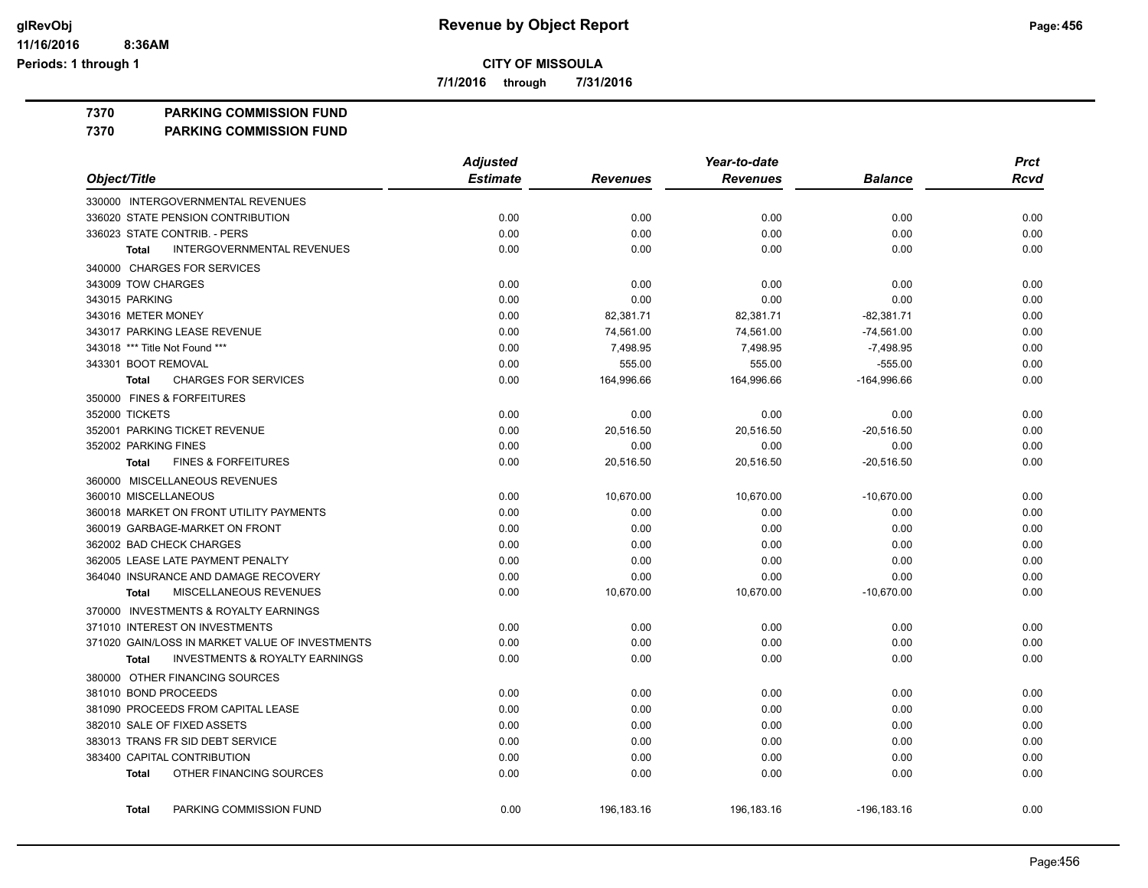**CITY OF MISSOULA**

**7/1/2016 through 7/31/2016**

**7370 PARKING COMMISSION FUND**

**7370 PARKING COMMISSION FUND**

|                                                           | <b>Adjusted</b> |                 | Year-to-date    |                | <b>Prct</b> |
|-----------------------------------------------------------|-----------------|-----------------|-----------------|----------------|-------------|
| Object/Title                                              | <b>Estimate</b> | <b>Revenues</b> | <b>Revenues</b> | <b>Balance</b> | <b>Rcvd</b> |
| 330000 INTERGOVERNMENTAL REVENUES                         |                 |                 |                 |                |             |
| 336020 STATE PENSION CONTRIBUTION                         | 0.00            | 0.00            | 0.00            | 0.00           | 0.00        |
| 336023 STATE CONTRIB. - PERS                              | 0.00            | 0.00            | 0.00            | 0.00           | 0.00        |
| <b>INTERGOVERNMENTAL REVENUES</b><br><b>Total</b>         | 0.00            | 0.00            | 0.00            | 0.00           | 0.00        |
| 340000 CHARGES FOR SERVICES                               |                 |                 |                 |                |             |
| 343009 TOW CHARGES                                        | 0.00            | 0.00            | 0.00            | 0.00           | 0.00        |
| 343015 PARKING                                            | 0.00            | 0.00            | 0.00            | 0.00           | 0.00        |
| 343016 METER MONEY                                        | 0.00            | 82,381.71       | 82,381.71       | $-82,381.71$   | 0.00        |
| 343017 PARKING LEASE REVENUE                              | 0.00            | 74,561.00       | 74,561.00       | $-74,561.00$   | 0.00        |
| 343018 *** Title Not Found ***                            | 0.00            | 7,498.95        | 7,498.95        | $-7,498.95$    | 0.00        |
| 343301 BOOT REMOVAL                                       | 0.00            | 555.00          | 555.00          | $-555.00$      | 0.00        |
| <b>CHARGES FOR SERVICES</b><br><b>Total</b>               | 0.00            | 164,996.66      | 164,996.66      | $-164,996.66$  | 0.00        |
| 350000 FINES & FORFEITURES                                |                 |                 |                 |                |             |
| 352000 TICKETS                                            | 0.00            | 0.00            | 0.00            | 0.00           | 0.00        |
| 352001 PARKING TICKET REVENUE                             | 0.00            | 20,516.50       | 20,516.50       | $-20,516.50$   | 0.00        |
| 352002 PARKING FINES                                      | 0.00            | 0.00            | 0.00            | 0.00           | 0.00        |
| <b>FINES &amp; FORFEITURES</b><br><b>Total</b>            | 0.00            | 20,516.50       | 20,516.50       | $-20,516.50$   | 0.00        |
| 360000 MISCELLANEOUS REVENUES                             |                 |                 |                 |                |             |
| 360010 MISCELLANEOUS                                      | 0.00            | 10,670.00       | 10,670.00       | $-10,670.00$   | 0.00        |
| 360018 MARKET ON FRONT UTILITY PAYMENTS                   | 0.00            | 0.00            | 0.00            | 0.00           | 0.00        |
| 360019 GARBAGE-MARKET ON FRONT                            | 0.00            | 0.00            | 0.00            | 0.00           | 0.00        |
| 362002 BAD CHECK CHARGES                                  | 0.00            | 0.00            | 0.00            | 0.00           | 0.00        |
| 362005 LEASE LATE PAYMENT PENALTY                         | 0.00            | 0.00            | 0.00            | 0.00           | 0.00        |
| 364040 INSURANCE AND DAMAGE RECOVERY                      | 0.00            | 0.00            | 0.00            | 0.00           | 0.00        |
| MISCELLANEOUS REVENUES<br><b>Total</b>                    | 0.00            | 10,670.00       | 10,670.00       | $-10,670.00$   | 0.00        |
| 370000 INVESTMENTS & ROYALTY EARNINGS                     |                 |                 |                 |                |             |
| 371010 INTEREST ON INVESTMENTS                            | 0.00            | 0.00            | 0.00            | 0.00           | 0.00        |
| 371020 GAIN/LOSS IN MARKET VALUE OF INVESTMENTS           | 0.00            | 0.00            | 0.00            | 0.00           | 0.00        |
| <b>INVESTMENTS &amp; ROYALTY EARNINGS</b><br><b>Total</b> | 0.00            | 0.00            | 0.00            | 0.00           | 0.00        |
| 380000 OTHER FINANCING SOURCES                            |                 |                 |                 |                |             |
| 381010 BOND PROCEEDS                                      | 0.00            | 0.00            | 0.00            | 0.00           | 0.00        |
| 381090 PROCEEDS FROM CAPITAL LEASE                        | 0.00            | 0.00            | 0.00            | 0.00           | 0.00        |
| 382010 SALE OF FIXED ASSETS                               | 0.00            | 0.00            | 0.00            | 0.00           | 0.00        |
| 383013 TRANS FR SID DEBT SERVICE                          | 0.00            | 0.00            | 0.00            | 0.00           | 0.00        |
| 383400 CAPITAL CONTRIBUTION                               | 0.00            | 0.00            | 0.00            | 0.00           | 0.00        |
| OTHER FINANCING SOURCES<br><b>Total</b>                   | 0.00            | 0.00            | 0.00            | 0.00           | 0.00        |
| PARKING COMMISSION FUND<br><b>Total</b>                   | 0.00            | 196,183.16      | 196,183.16      | $-196, 183.16$ | 0.00        |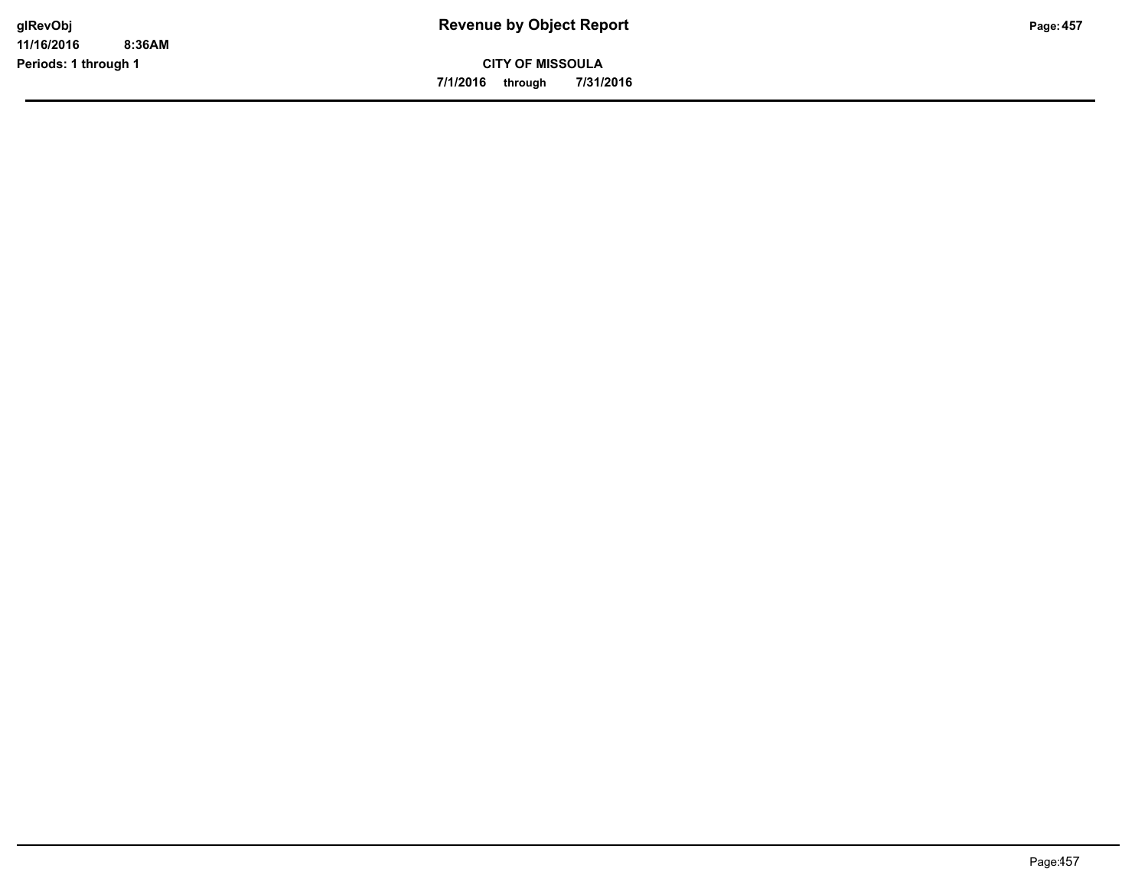**CITY OF MISSOULA 7/1/2016 through 7/31/2016**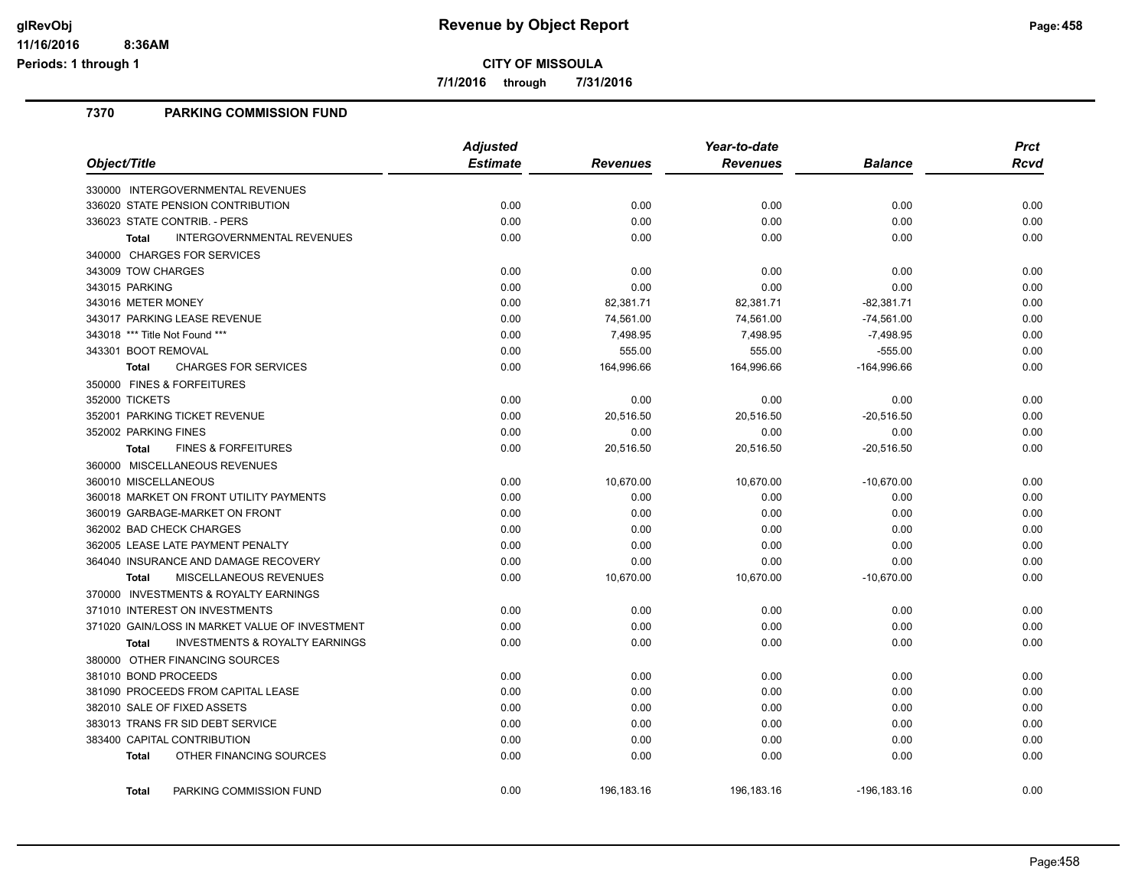**CITY OF MISSOULA**

**7/1/2016 through 7/31/2016**

#### **7370 PARKING COMMISSION FUND**

|                                                           | <b>Adjusted</b> |                 | Year-to-date    |                | <b>Prct</b> |
|-----------------------------------------------------------|-----------------|-----------------|-----------------|----------------|-------------|
| Object/Title                                              | <b>Estimate</b> | <b>Revenues</b> | <b>Revenues</b> | <b>Balance</b> | Rcvd        |
| 330000 INTERGOVERNMENTAL REVENUES                         |                 |                 |                 |                |             |
| 336020 STATE PENSION CONTRIBUTION                         | 0.00            | 0.00            | 0.00            | 0.00           | 0.00        |
| 336023 STATE CONTRIB. - PERS                              | 0.00            | 0.00            | 0.00            | 0.00           | 0.00        |
| <b>INTERGOVERNMENTAL REVENUES</b><br><b>Total</b>         | 0.00            | 0.00            | 0.00            | 0.00           | 0.00        |
| 340000 CHARGES FOR SERVICES                               |                 |                 |                 |                |             |
| 343009 TOW CHARGES                                        | 0.00            | 0.00            | 0.00            | 0.00           | 0.00        |
| 343015 PARKING                                            | 0.00            | 0.00            | 0.00            | 0.00           | 0.00        |
| 343016 METER MONEY                                        | 0.00            | 82,381.71       | 82,381.71       | $-82,381.71$   | 0.00        |
| 343017 PARKING LEASE REVENUE                              | 0.00            | 74,561.00       | 74,561.00       | $-74,561.00$   | 0.00        |
| 343018 *** Title Not Found ***                            | 0.00            | 7,498.95        | 7,498.95        | $-7,498.95$    | 0.00        |
| 343301 BOOT REMOVAL                                       | 0.00            | 555.00          | 555.00          | $-555.00$      | 0.00        |
| <b>CHARGES FOR SERVICES</b><br><b>Total</b>               | 0.00            | 164,996.66      | 164,996.66      | -164,996.66    | 0.00        |
| 350000 FINES & FORFEITURES                                |                 |                 |                 |                |             |
| 352000 TICKETS                                            | 0.00            | 0.00            | 0.00            | 0.00           | 0.00        |
| 352001 PARKING TICKET REVENUE                             | 0.00            | 20,516.50       | 20,516.50       | $-20,516.50$   | 0.00        |
| 352002 PARKING FINES                                      | 0.00            | 0.00            | 0.00            | 0.00           | 0.00        |
| <b>FINES &amp; FORFEITURES</b><br><b>Total</b>            | 0.00            | 20,516.50       | 20,516.50       | $-20,516.50$   | 0.00        |
| 360000 MISCELLANEOUS REVENUES                             |                 |                 |                 |                |             |
| 360010 MISCELLANEOUS                                      | 0.00            | 10,670.00       | 10,670.00       | $-10,670.00$   | 0.00        |
| 360018 MARKET ON FRONT UTILITY PAYMENTS                   | 0.00            | 0.00            | 0.00            | 0.00           | 0.00        |
| 360019 GARBAGE-MARKET ON FRONT                            | 0.00            | 0.00            | 0.00            | 0.00           | 0.00        |
| 362002 BAD CHECK CHARGES                                  | 0.00            | 0.00            | 0.00            | 0.00           | 0.00        |
| 362005 LEASE LATE PAYMENT PENALTY                         | 0.00            | 0.00            | 0.00            | 0.00           | 0.00        |
| 364040 INSURANCE AND DAMAGE RECOVERY                      | 0.00            | 0.00            | 0.00            | 0.00           | 0.00        |
| MISCELLANEOUS REVENUES<br><b>Total</b>                    | 0.00            | 10,670.00       | 10,670.00       | $-10,670.00$   | 0.00        |
| 370000 INVESTMENTS & ROYALTY EARNINGS                     |                 |                 |                 |                |             |
| 371010 INTEREST ON INVESTMENTS                            | 0.00            | 0.00            | 0.00            | 0.00           | 0.00        |
| 371020 GAIN/LOSS IN MARKET VALUE OF INVESTMENT            | 0.00            | 0.00            | 0.00            | 0.00           | 0.00        |
| <b>INVESTMENTS &amp; ROYALTY EARNINGS</b><br><b>Total</b> | 0.00            | 0.00            | 0.00            | 0.00           | 0.00        |
| 380000 OTHER FINANCING SOURCES                            |                 |                 |                 |                |             |
| 381010 BOND PROCEEDS                                      | 0.00            | 0.00            | 0.00            | 0.00           | 0.00        |
| 381090 PROCEEDS FROM CAPITAL LEASE                        | 0.00            | 0.00            | 0.00            | 0.00           | 0.00        |
| 382010 SALE OF FIXED ASSETS                               | 0.00            | 0.00            | 0.00            | 0.00           | 0.00        |
| 383013 TRANS FR SID DEBT SERVICE                          | 0.00            | 0.00            | 0.00            | 0.00           | 0.00        |
| 383400 CAPITAL CONTRIBUTION                               | 0.00            | 0.00            | 0.00            | 0.00           | 0.00        |
| OTHER FINANCING SOURCES<br><b>Total</b>                   | 0.00            | 0.00            | 0.00            | 0.00           | 0.00        |
| PARKING COMMISSION FUND<br><b>Total</b>                   | 0.00            | 196,183.16      | 196,183.16      | $-196, 183.16$ | 0.00        |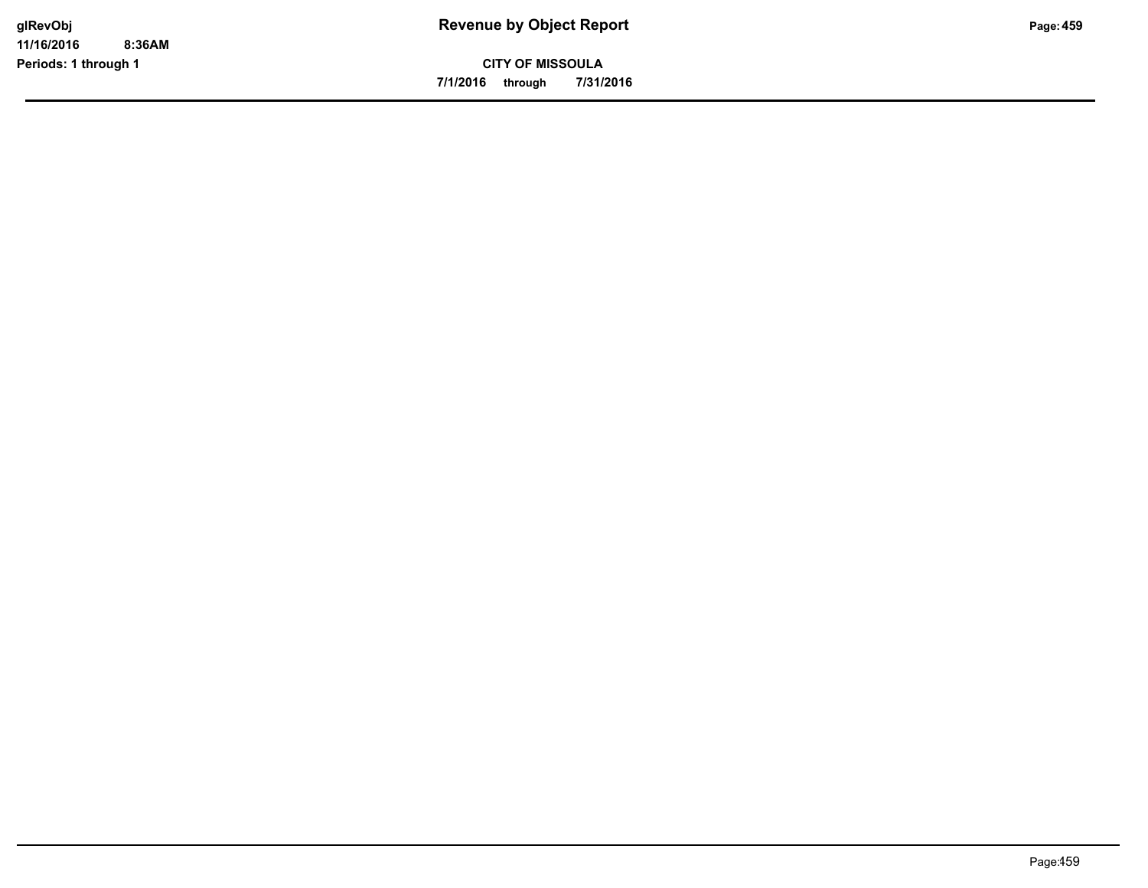**CITY OF MISSOULA 7/1/2016 through 7/31/2016**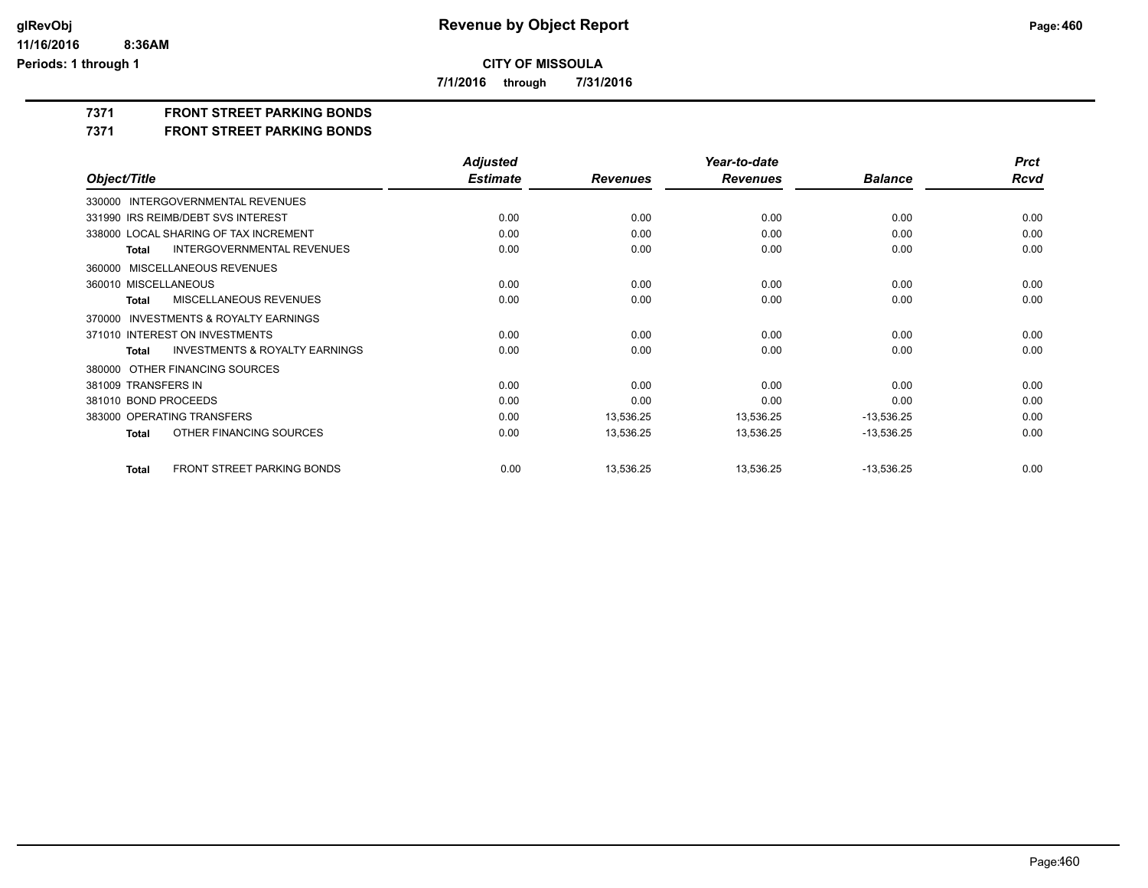**8:36AM**

**CITY OF MISSOULA**

**7/1/2016 through 7/31/2016**

**7371 FRONT STREET PARKING BONDS**

**7371 FRONT STREET PARKING BONDS**

|                                                     | <b>Adjusted</b> |                 | Year-to-date    |                | <b>Prct</b> |
|-----------------------------------------------------|-----------------|-----------------|-----------------|----------------|-------------|
| Object/Title                                        | <b>Estimate</b> | <b>Revenues</b> | <b>Revenues</b> | <b>Balance</b> | <b>Rcvd</b> |
| 330000 INTERGOVERNMENTAL REVENUES                   |                 |                 |                 |                |             |
| 331990 IRS REIMB/DEBT SVS INTEREST                  | 0.00            | 0.00            | 0.00            | 0.00           | 0.00        |
| 338000 LOCAL SHARING OF TAX INCREMENT               | 0.00            | 0.00            | 0.00            | 0.00           | 0.00        |
| <b>INTERGOVERNMENTAL REVENUES</b><br>Total          | 0.00            | 0.00            | 0.00            | 0.00           | 0.00        |
| 360000 MISCELLANEOUS REVENUES                       |                 |                 |                 |                |             |
| 360010 MISCELLANEOUS                                | 0.00            | 0.00            | 0.00            | 0.00           | 0.00        |
| MISCELLANEOUS REVENUES<br>Total                     | 0.00            | 0.00            | 0.00            | 0.00           | 0.00        |
| <b>INVESTMENTS &amp; ROYALTY EARNINGS</b><br>370000 |                 |                 |                 |                |             |
| 371010 INTEREST ON INVESTMENTS                      | 0.00            | 0.00            | 0.00            | 0.00           | 0.00        |
| <b>INVESTMENTS &amp; ROYALTY EARNINGS</b><br>Total  | 0.00            | 0.00            | 0.00            | 0.00           | 0.00        |
| 380000 OTHER FINANCING SOURCES                      |                 |                 |                 |                |             |
| 381009 TRANSFERS IN                                 | 0.00            | 0.00            | 0.00            | 0.00           | 0.00        |
| 381010 BOND PROCEEDS                                | 0.00            | 0.00            | 0.00            | 0.00           | 0.00        |
| 383000 OPERATING TRANSFERS                          | 0.00            | 13,536.25       | 13,536.25       | $-13,536.25$   | 0.00        |
| OTHER FINANCING SOURCES<br><b>Total</b>             | 0.00            | 13,536.25       | 13,536.25       | $-13,536.25$   | 0.00        |
| <b>FRONT STREET PARKING BONDS</b><br>Total          | 0.00            | 13,536.25       | 13,536.25       | $-13,536.25$   | 0.00        |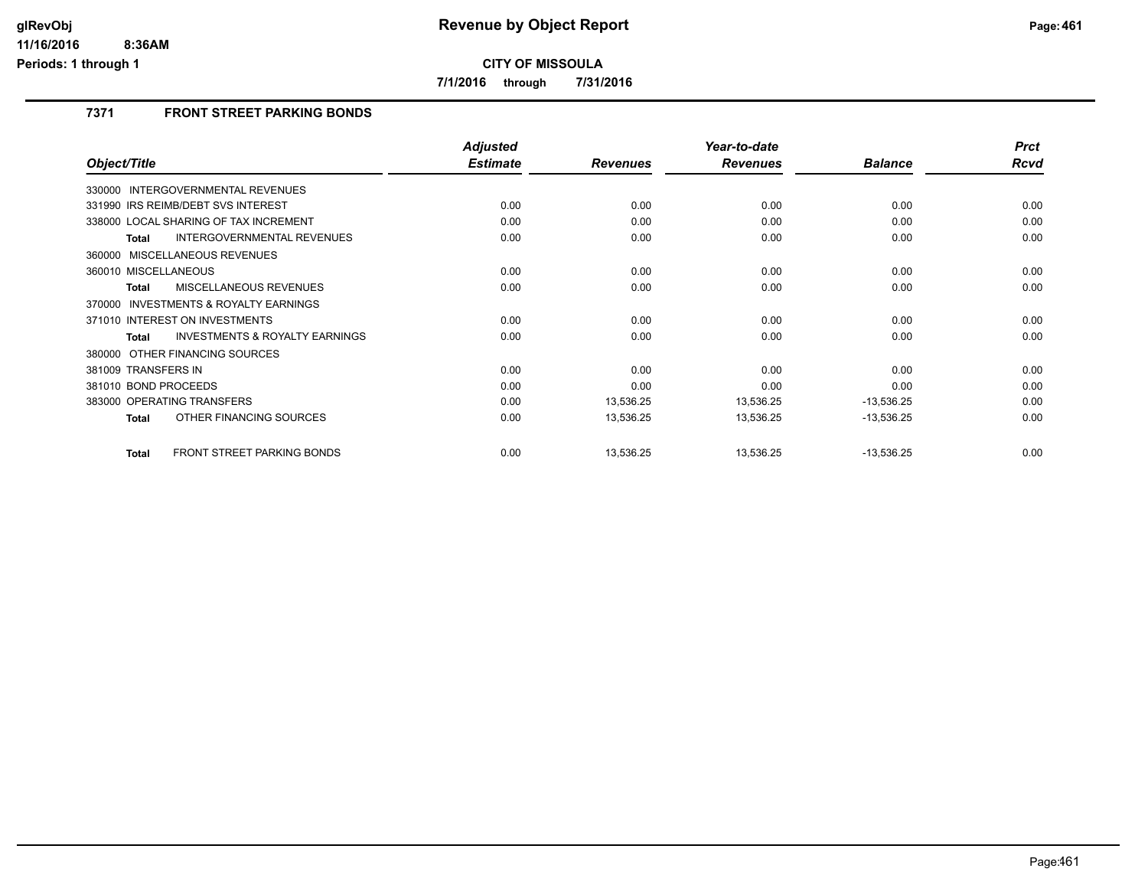**CITY OF MISSOULA**

**7/1/2016 through 7/31/2016**

#### **7371 FRONT STREET PARKING BONDS**

 **8:36AM**

|                                                    | <b>Adjusted</b> |                 | Year-to-date    |                | <b>Prct</b> |
|----------------------------------------------------|-----------------|-----------------|-----------------|----------------|-------------|
| Object/Title                                       | <b>Estimate</b> | <b>Revenues</b> | <b>Revenues</b> | <b>Balance</b> | <b>Rcvd</b> |
| 330000 INTERGOVERNMENTAL REVENUES                  |                 |                 |                 |                |             |
| 331990 IRS REIMB/DEBT SVS INTEREST                 | 0.00            | 0.00            | 0.00            | 0.00           | 0.00        |
| 338000 LOCAL SHARING OF TAX INCREMENT              | 0.00            | 0.00            | 0.00            | 0.00           | 0.00        |
| <b>INTERGOVERNMENTAL REVENUES</b><br>Total         | 0.00            | 0.00            | 0.00            | 0.00           | 0.00        |
| 360000 MISCELLANEOUS REVENUES                      |                 |                 |                 |                |             |
| 360010 MISCELLANEOUS                               | 0.00            | 0.00            | 0.00            | 0.00           | 0.00        |
| MISCELLANEOUS REVENUES<br><b>Total</b>             | 0.00            | 0.00            | 0.00            | 0.00           | 0.00        |
| INVESTMENTS & ROYALTY EARNINGS<br>370000           |                 |                 |                 |                |             |
| 371010 INTEREST ON INVESTMENTS                     | 0.00            | 0.00            | 0.00            | 0.00           | 0.00        |
| <b>INVESTMENTS &amp; ROYALTY EARNINGS</b><br>Total | 0.00            | 0.00            | 0.00            | 0.00           | 0.00        |
| 380000 OTHER FINANCING SOURCES                     |                 |                 |                 |                |             |
| 381009 TRANSFERS IN                                | 0.00            | 0.00            | 0.00            | 0.00           | 0.00        |
| 381010 BOND PROCEEDS                               | 0.00            | 0.00            | 0.00            | 0.00           | 0.00        |
| 383000 OPERATING TRANSFERS                         | 0.00            | 13,536.25       | 13,536.25       | $-13,536.25$   | 0.00        |
| OTHER FINANCING SOURCES<br><b>Total</b>            | 0.00            | 13,536.25       | 13,536.25       | $-13,536.25$   | 0.00        |
| <b>FRONT STREET PARKING BONDS</b><br><b>Total</b>  | 0.00            | 13,536.25       | 13,536.25       | $-13,536.25$   | 0.00        |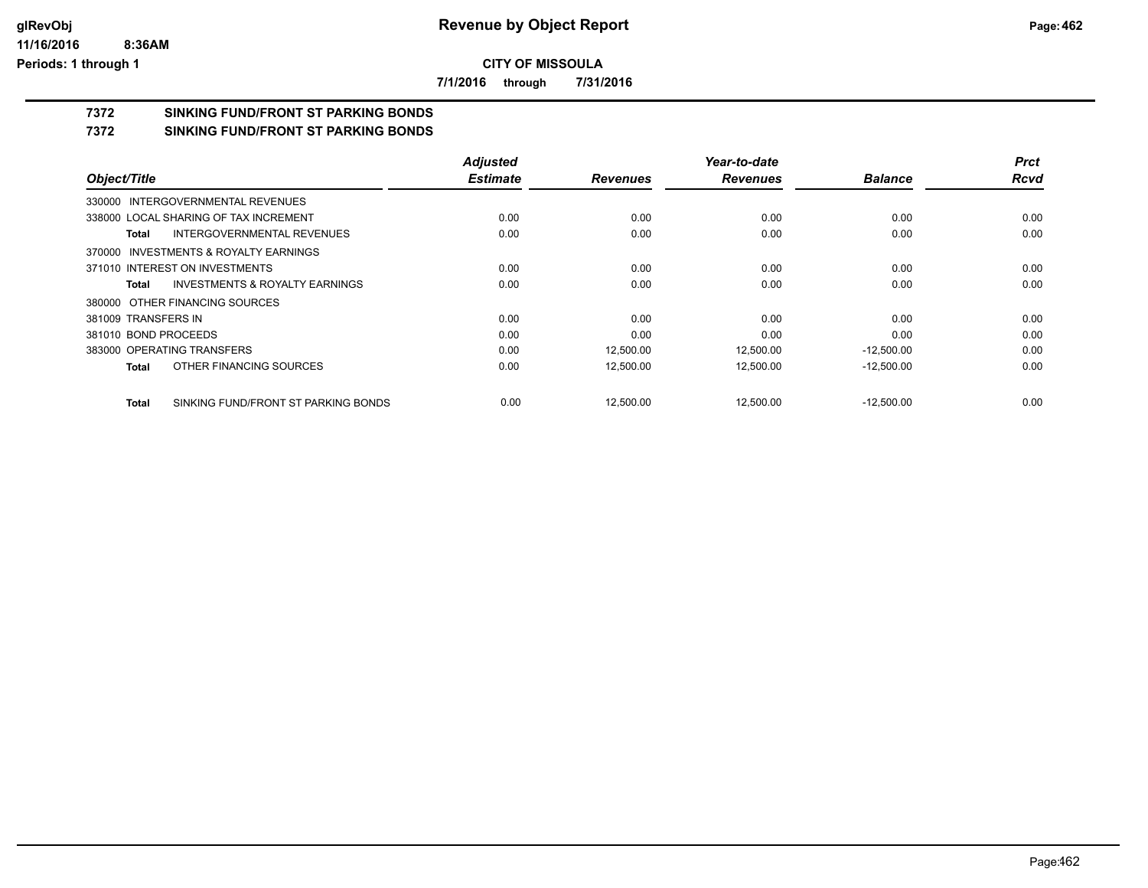**CITY OF MISSOULA**

**7/1/2016 through 7/31/2016**

## **7372 SINKING FUND/FRONT ST PARKING BONDS**

### **7372 SINKING FUND/FRONT ST PARKING BONDS**

|                                                    | <b>Adjusted</b> |                 | Year-to-date    |                | <b>Prct</b> |
|----------------------------------------------------|-----------------|-----------------|-----------------|----------------|-------------|
| Object/Title                                       | <b>Estimate</b> | <b>Revenues</b> | <b>Revenues</b> | <b>Balance</b> | <b>Rcvd</b> |
| 330000 INTERGOVERNMENTAL REVENUES                  |                 |                 |                 |                |             |
| 338000 LOCAL SHARING OF TAX INCREMENT              | 0.00            | 0.00            | 0.00            | 0.00           | 0.00        |
| INTERGOVERNMENTAL REVENUES<br>Total                | 0.00            | 0.00            | 0.00            | 0.00           | 0.00        |
| 370000 INVESTMENTS & ROYALTY EARNINGS              |                 |                 |                 |                |             |
| 371010 INTEREST ON INVESTMENTS                     | 0.00            | 0.00            | 0.00            | 0.00           | 0.00        |
| <b>INVESTMENTS &amp; ROYALTY EARNINGS</b><br>Total | 0.00            | 0.00            | 0.00            | 0.00           | 0.00        |
| 380000 OTHER FINANCING SOURCES                     |                 |                 |                 |                |             |
| 381009 TRANSFERS IN                                | 0.00            | 0.00            | 0.00            | 0.00           | 0.00        |
| 381010 BOND PROCEEDS                               | 0.00            | 0.00            | 0.00            | 0.00           | 0.00        |
| 383000 OPERATING TRANSFERS                         | 0.00            | 12.500.00       | 12.500.00       | $-12,500.00$   | 0.00        |
| OTHER FINANCING SOURCES<br>Total                   | 0.00            | 12,500.00       | 12,500.00       | $-12,500.00$   | 0.00        |
| SINKING FUND/FRONT ST PARKING BONDS<br>Total       | 0.00            | 12.500.00       | 12.500.00       | $-12.500.00$   | 0.00        |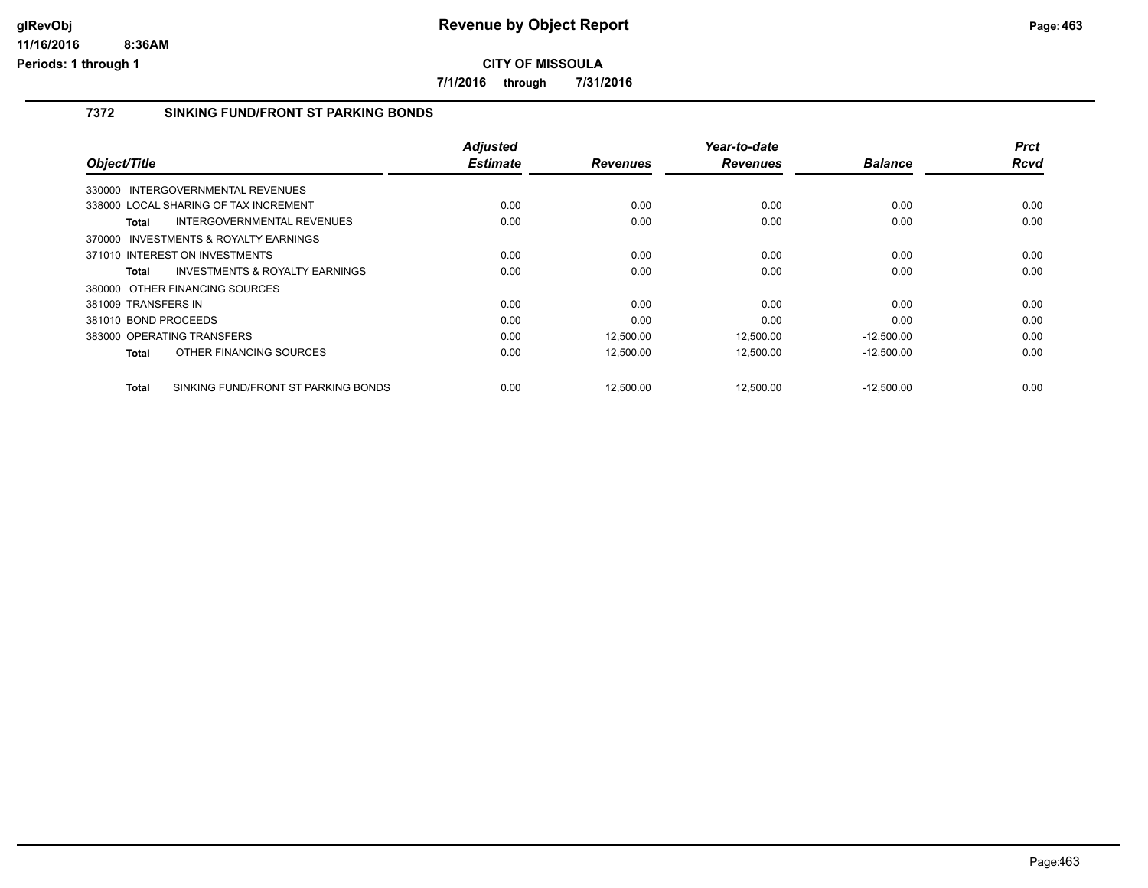**8:36AM**

**CITY OF MISSOULA**

**7/1/2016 through 7/31/2016**

#### **7372 SINKING FUND/FRONT ST PARKING BONDS**

|                                                     | <b>Adjusted</b> |                 | Year-to-date    |                | <b>Prct</b> |
|-----------------------------------------------------|-----------------|-----------------|-----------------|----------------|-------------|
| Object/Title                                        | <b>Estimate</b> | <b>Revenues</b> | <b>Revenues</b> | <b>Balance</b> | <b>Rcvd</b> |
| INTERGOVERNMENTAL REVENUES<br>330000                |                 |                 |                 |                |             |
| 338000 LOCAL SHARING OF TAX INCREMENT               | 0.00            | 0.00            | 0.00            | 0.00           | 0.00        |
| INTERGOVERNMENTAL REVENUES<br>Total                 | 0.00            | 0.00            | 0.00            | 0.00           | 0.00        |
| 370000 INVESTMENTS & ROYALTY EARNINGS               |                 |                 |                 |                |             |
| 371010 INTEREST ON INVESTMENTS                      | 0.00            | 0.00            | 0.00            | 0.00           | 0.00        |
| <b>INVESTMENTS &amp; ROYALTY EARNINGS</b><br>Total  | 0.00            | 0.00            | 0.00            | 0.00           | 0.00        |
| 380000 OTHER FINANCING SOURCES                      |                 |                 |                 |                |             |
| 381009 TRANSFERS IN                                 | 0.00            | 0.00            | 0.00            | 0.00           | 0.00        |
| 381010 BOND PROCEEDS                                | 0.00            | 0.00            | 0.00            | 0.00           | 0.00        |
| 383000 OPERATING TRANSFERS                          | 0.00            | 12,500.00       | 12,500.00       | $-12,500.00$   | 0.00        |
| OTHER FINANCING SOURCES<br><b>Total</b>             | 0.00            | 12,500.00       | 12,500.00       | $-12,500.00$   | 0.00        |
| SINKING FUND/FRONT ST PARKING BONDS<br><b>Total</b> | 0.00            | 12.500.00       | 12.500.00       | $-12,500.00$   | 0.00        |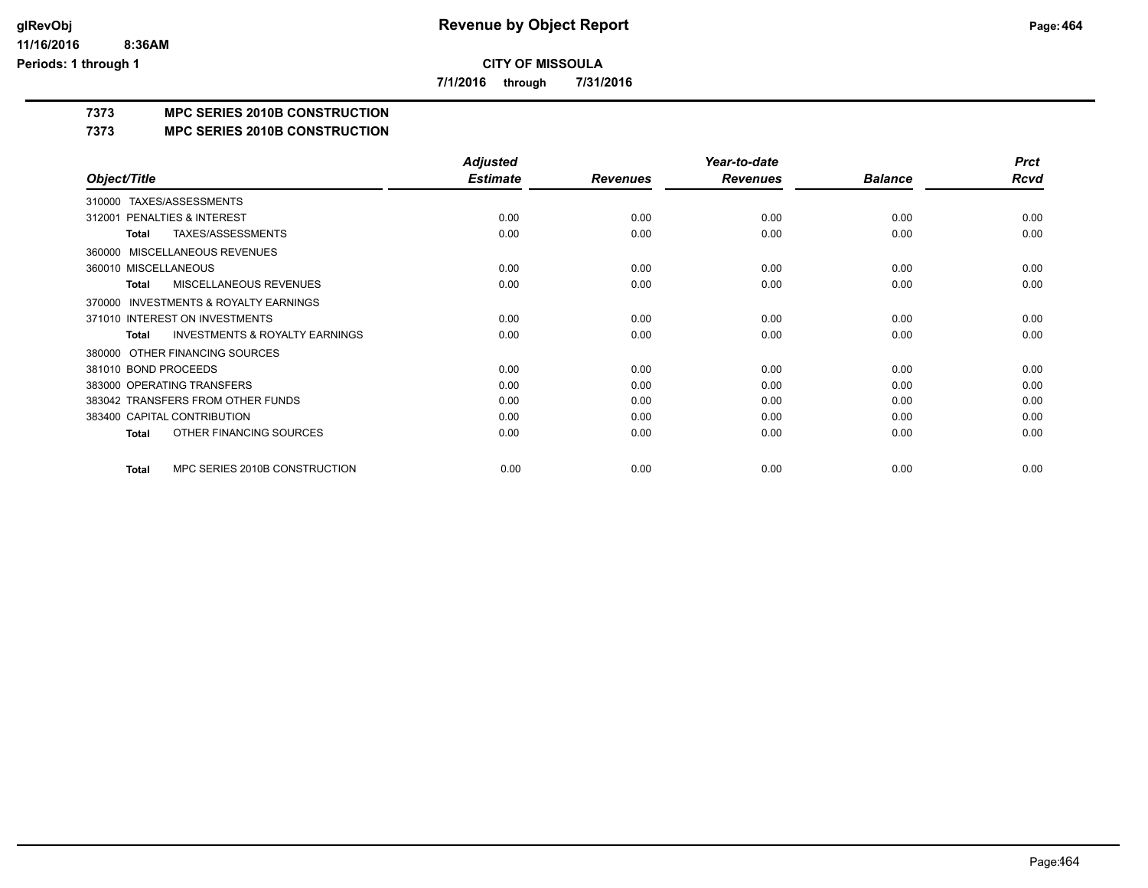**glRevObj Revenue by Object Report Page:464** 

**CITY OF MISSOULA**

**7/1/2016 through 7/31/2016**

### **7373 MPC SERIES 2010B CONSTRUCTION**

 **8:36AM**

#### **7373 MPC SERIES 2010B CONSTRUCTION**

|                                                     | <b>Adjusted</b> |                 | Year-to-date    |                | <b>Prct</b> |
|-----------------------------------------------------|-----------------|-----------------|-----------------|----------------|-------------|
| Object/Title                                        | <b>Estimate</b> | <b>Revenues</b> | <b>Revenues</b> | <b>Balance</b> | <b>Rcvd</b> |
| TAXES/ASSESSMENTS<br>310000                         |                 |                 |                 |                |             |
| PENALTIES & INTEREST<br>312001                      | 0.00            | 0.00            | 0.00            | 0.00           | 0.00        |
| TAXES/ASSESSMENTS<br><b>Total</b>                   | 0.00            | 0.00            | 0.00            | 0.00           | 0.00        |
| <b>MISCELLANEOUS REVENUES</b><br>360000             |                 |                 |                 |                |             |
| 360010 MISCELLANEOUS                                | 0.00            | 0.00            | 0.00            | 0.00           | 0.00        |
| <b>MISCELLANEOUS REVENUES</b><br>Total              | 0.00            | 0.00            | 0.00            | 0.00           | 0.00        |
| <b>INVESTMENTS &amp; ROYALTY EARNINGS</b><br>370000 |                 |                 |                 |                |             |
| 371010 INTEREST ON INVESTMENTS                      | 0.00            | 0.00            | 0.00            | 0.00           | 0.00        |
| <b>INVESTMENTS &amp; ROYALTY EARNINGS</b><br>Total  | 0.00            | 0.00            | 0.00            | 0.00           | 0.00        |
| OTHER FINANCING SOURCES<br>380000                   |                 |                 |                 |                |             |
| 381010 BOND PROCEEDS                                | 0.00            | 0.00            | 0.00            | 0.00           | 0.00        |
| 383000 OPERATING TRANSFERS                          | 0.00            | 0.00            | 0.00            | 0.00           | 0.00        |
| 383042 TRANSFERS FROM OTHER FUNDS                   | 0.00            | 0.00            | 0.00            | 0.00           | 0.00        |
| 383400 CAPITAL CONTRIBUTION                         | 0.00            | 0.00            | 0.00            | 0.00           | 0.00        |
| OTHER FINANCING SOURCES<br><b>Total</b>             | 0.00            | 0.00            | 0.00            | 0.00           | 0.00        |
| MPC SERIES 2010B CONSTRUCTION<br>Total              | 0.00            | 0.00            | 0.00            | 0.00           | 0.00        |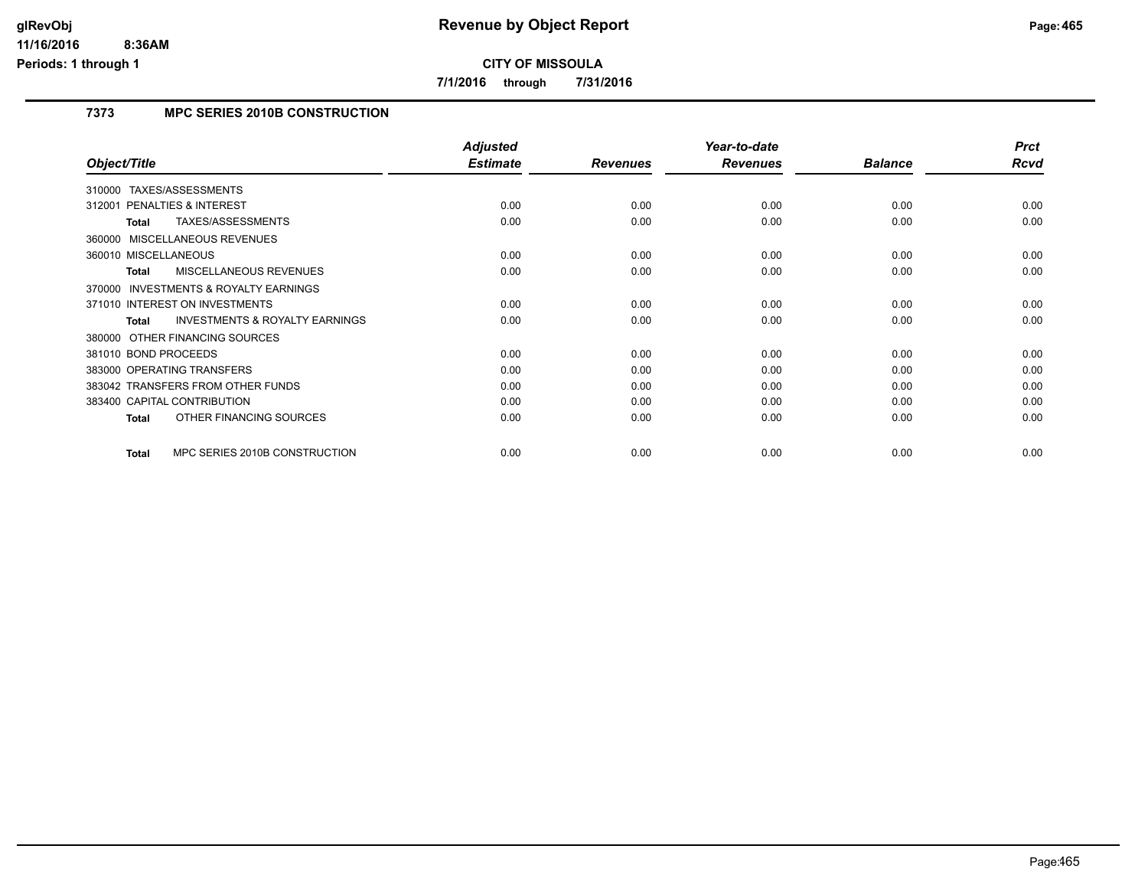**8:36AM**

**CITY OF MISSOULA**

**7/1/2016 through 7/31/2016**

#### **7373 MPC SERIES 2010B CONSTRUCTION**

|                                                     | <b>Adjusted</b> |                 | Year-to-date    |                | <b>Prct</b> |
|-----------------------------------------------------|-----------------|-----------------|-----------------|----------------|-------------|
| Object/Title                                        | <b>Estimate</b> | <b>Revenues</b> | <b>Revenues</b> | <b>Balance</b> | <b>Rcvd</b> |
| 310000 TAXES/ASSESSMENTS                            |                 |                 |                 |                |             |
| 312001 PENALTIES & INTEREST                         | 0.00            | 0.00            | 0.00            | 0.00           | 0.00        |
| TAXES/ASSESSMENTS<br><b>Total</b>                   | 0.00            | 0.00            | 0.00            | 0.00           | 0.00        |
| 360000 MISCELLANEOUS REVENUES                       |                 |                 |                 |                |             |
| 360010 MISCELLANEOUS                                | 0.00            | 0.00            | 0.00            | 0.00           | 0.00        |
| MISCELLANEOUS REVENUES<br><b>Total</b>              | 0.00            | 0.00            | 0.00            | 0.00           | 0.00        |
| <b>INVESTMENTS &amp; ROYALTY EARNINGS</b><br>370000 |                 |                 |                 |                |             |
| 371010 INTEREST ON INVESTMENTS                      | 0.00            | 0.00            | 0.00            | 0.00           | 0.00        |
| <b>INVESTMENTS &amp; ROYALTY EARNINGS</b><br>Total  | 0.00            | 0.00            | 0.00            | 0.00           | 0.00        |
| 380000 OTHER FINANCING SOURCES                      |                 |                 |                 |                |             |
| 381010 BOND PROCEEDS                                | 0.00            | 0.00            | 0.00            | 0.00           | 0.00        |
| 383000 OPERATING TRANSFERS                          | 0.00            | 0.00            | 0.00            | 0.00           | 0.00        |
| 383042 TRANSFERS FROM OTHER FUNDS                   | 0.00            | 0.00            | 0.00            | 0.00           | 0.00        |
| 383400 CAPITAL CONTRIBUTION                         | 0.00            | 0.00            | 0.00            | 0.00           | 0.00        |
| OTHER FINANCING SOURCES<br><b>Total</b>             | 0.00            | 0.00            | 0.00            | 0.00           | 0.00        |
| MPC SERIES 2010B CONSTRUCTION<br><b>Total</b>       | 0.00            | 0.00            | 0.00            | 0.00           | 0.00        |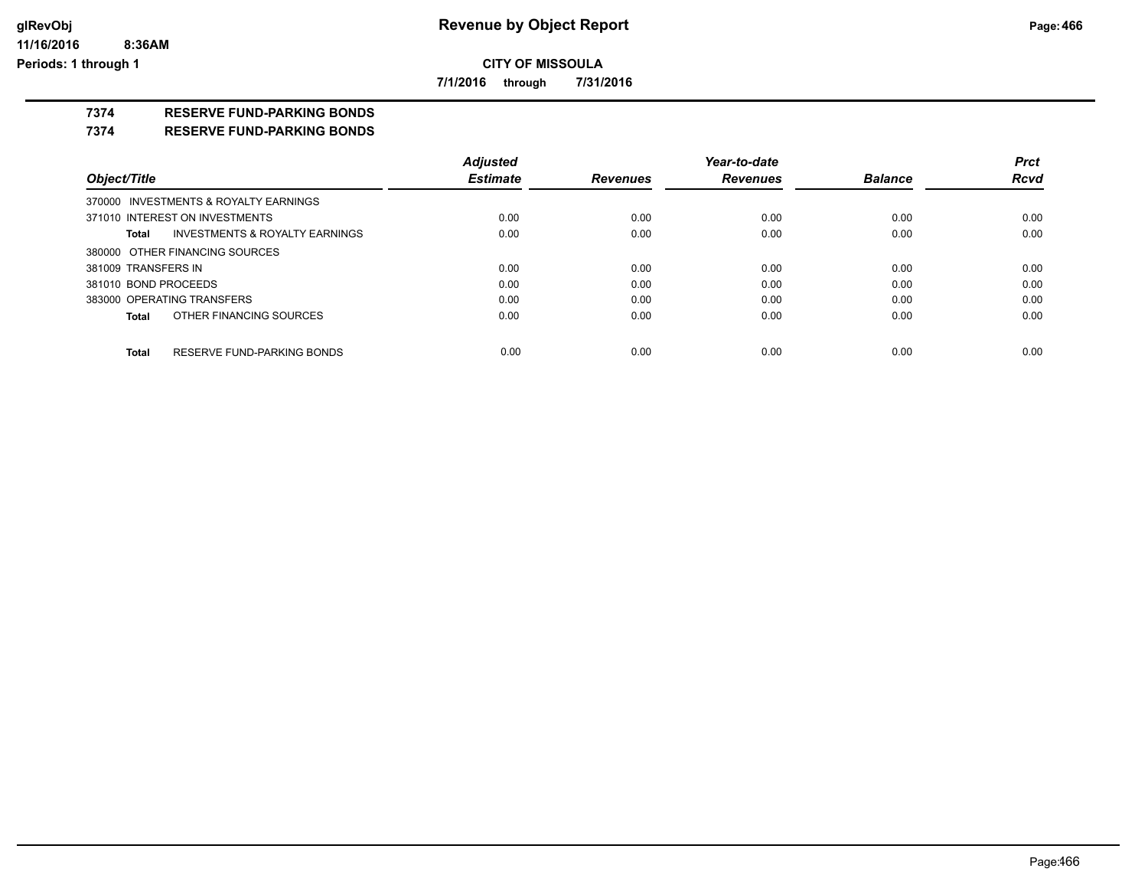**CITY OF MISSOULA**

**7/1/2016 through 7/31/2016**

#### **7374 RESERVE FUND-PARKING BONDS**

#### **7374 RESERVE FUND-PARKING BONDS**

|                                         | <b>Adjusted</b> |                 | Year-to-date    |                | <b>Prct</b> |
|-----------------------------------------|-----------------|-----------------|-----------------|----------------|-------------|
| Object/Title                            | <b>Estimate</b> | <b>Revenues</b> | <b>Revenues</b> | <b>Balance</b> | <b>Rcvd</b> |
| 370000 INVESTMENTS & ROYALTY EARNINGS   |                 |                 |                 |                |             |
| 371010 INTEREST ON INVESTMENTS          | 0.00            | 0.00            | 0.00            | 0.00           | 0.00        |
| INVESTMENTS & ROYALTY EARNINGS<br>Total | 0.00            | 0.00            | 0.00            | 0.00           | 0.00        |
| 380000 OTHER FINANCING SOURCES          |                 |                 |                 |                |             |
| 381009 TRANSFERS IN                     | 0.00            | 0.00            | 0.00            | 0.00           | 0.00        |
| 381010 BOND PROCEEDS                    | 0.00            | 0.00            | 0.00            | 0.00           | 0.00        |
| 383000 OPERATING TRANSFERS              | 0.00            | 0.00            | 0.00            | 0.00           | 0.00        |
| OTHER FINANCING SOURCES<br>Total        | 0.00            | 0.00            | 0.00            | 0.00           | 0.00        |
|                                         |                 |                 |                 |                |             |
| RESERVE FUND-PARKING BONDS<br>Total     | 0.00            | 0.00            | 0.00            | 0.00           | 0.00        |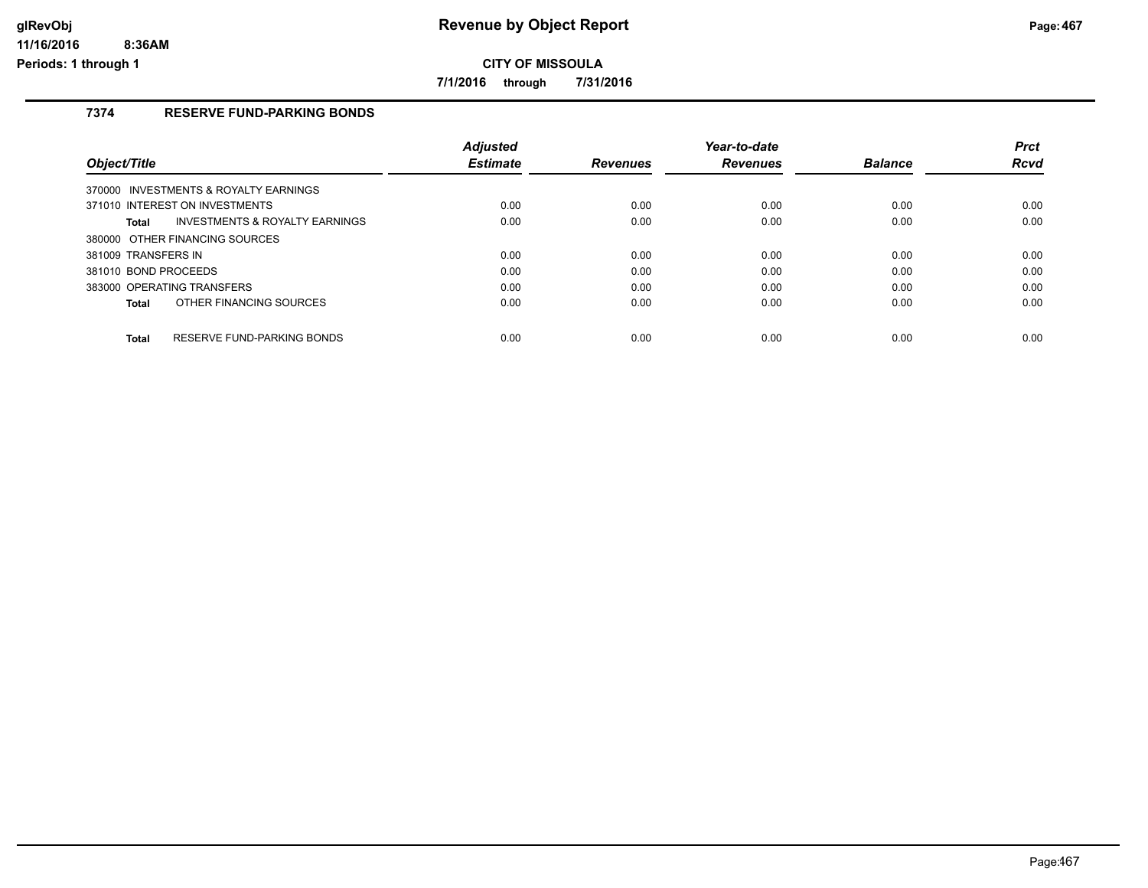**CITY OF MISSOULA**

**7/1/2016 through 7/31/2016**

#### **7374 RESERVE FUND-PARKING BONDS**

 **8:36AM**

|                      |                                       | <b>Adjusted</b> |                 | Year-to-date    |                | <b>Prct</b> |
|----------------------|---------------------------------------|-----------------|-----------------|-----------------|----------------|-------------|
| Object/Title         |                                       | <b>Estimate</b> | <b>Revenues</b> | <b>Revenues</b> | <b>Balance</b> | <b>Rcvd</b> |
|                      | 370000 INVESTMENTS & ROYALTY EARNINGS |                 |                 |                 |                |             |
|                      | 371010 INTEREST ON INVESTMENTS        | 0.00            | 0.00            | 0.00            | 0.00           | 0.00        |
| <b>Total</b>         | INVESTMENTS & ROYALTY EARNINGS        | 0.00            | 0.00            | 0.00            | 0.00           | 0.00        |
|                      | 380000 OTHER FINANCING SOURCES        |                 |                 |                 |                |             |
| 381009 TRANSFERS IN  |                                       | 0.00            | 0.00            | 0.00            | 0.00           | 0.00        |
| 381010 BOND PROCEEDS |                                       | 0.00            | 0.00            | 0.00            | 0.00           | 0.00        |
|                      | 383000 OPERATING TRANSFERS            | 0.00            | 0.00            | 0.00            | 0.00           | 0.00        |
| <b>Total</b>         | OTHER FINANCING SOURCES               | 0.00            | 0.00            | 0.00            | 0.00           | 0.00        |
| <b>Total</b>         | RESERVE FUND-PARKING BONDS            | 0.00            | 0.00            | 0.00            | 0.00           | 0.00        |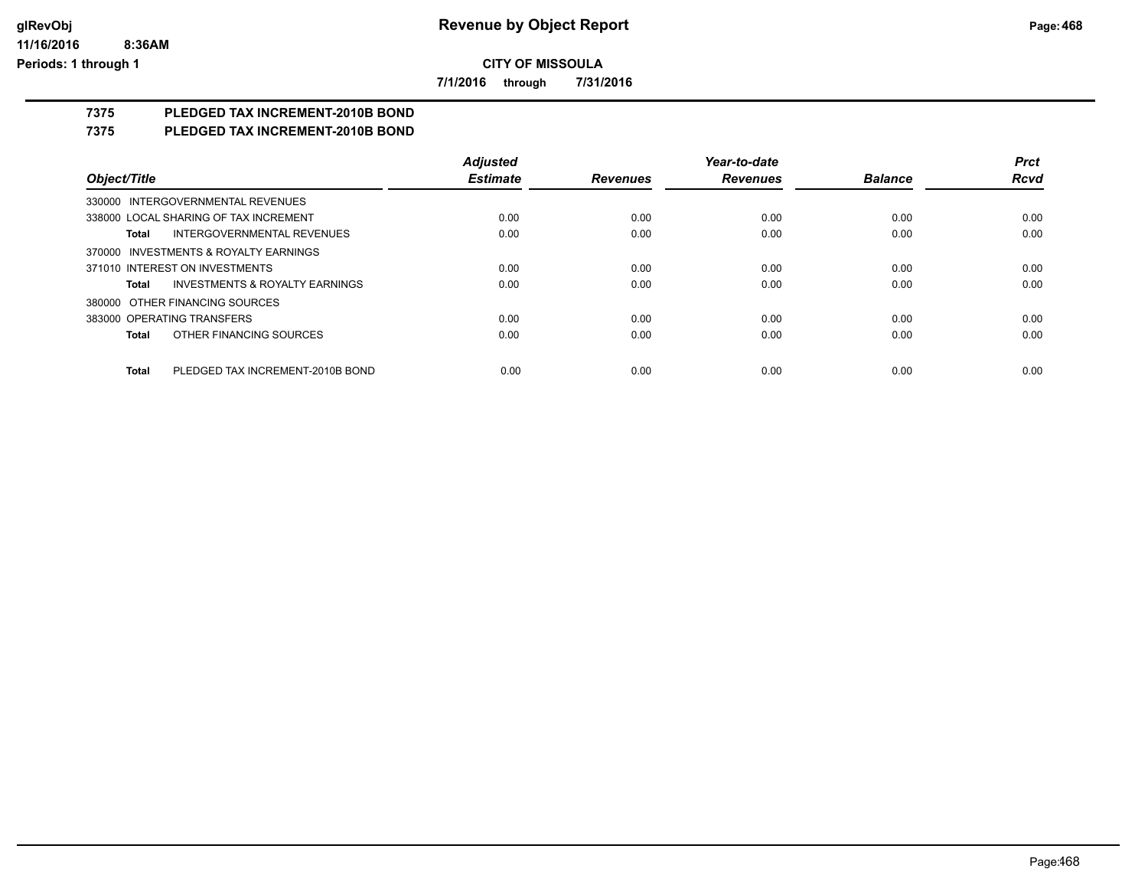**CITY OF MISSOULA**

**7/1/2016 through 7/31/2016**

# **7375 PLEDGED TAX INCREMENT-2010B BOND**

## **7375 PLEDGED TAX INCREMENT-2010B BOND**

|                                                    | <b>Adjusted</b> |                 | Year-to-date    |                | <b>Prct</b> |
|----------------------------------------------------|-----------------|-----------------|-----------------|----------------|-------------|
| Object/Title                                       | <b>Estimate</b> | <b>Revenues</b> | <b>Revenues</b> | <b>Balance</b> | <b>Rcvd</b> |
| 330000 INTERGOVERNMENTAL REVENUES                  |                 |                 |                 |                |             |
| 338000 LOCAL SHARING OF TAX INCREMENT              | 0.00            | 0.00            | 0.00            | 0.00           | 0.00        |
| INTERGOVERNMENTAL REVENUES<br>Total                | 0.00            | 0.00            | 0.00            | 0.00           | 0.00        |
| 370000 INVESTMENTS & ROYALTY EARNINGS              |                 |                 |                 |                |             |
| 371010 INTEREST ON INVESTMENTS                     | 0.00            | 0.00            | 0.00            | 0.00           | 0.00        |
| <b>INVESTMENTS &amp; ROYALTY EARNINGS</b><br>Total | 0.00            | 0.00            | 0.00            | 0.00           | 0.00        |
| 380000 OTHER FINANCING SOURCES                     |                 |                 |                 |                |             |
| 383000 OPERATING TRANSFERS                         | 0.00            | 0.00            | 0.00            | 0.00           | 0.00        |
| OTHER FINANCING SOURCES<br>Total                   | 0.00            | 0.00            | 0.00            | 0.00           | 0.00        |
| PLEDGED TAX INCREMENT-2010B BOND<br>Total          | 0.00            | 0.00            | 0.00            | 0.00           | 0.00        |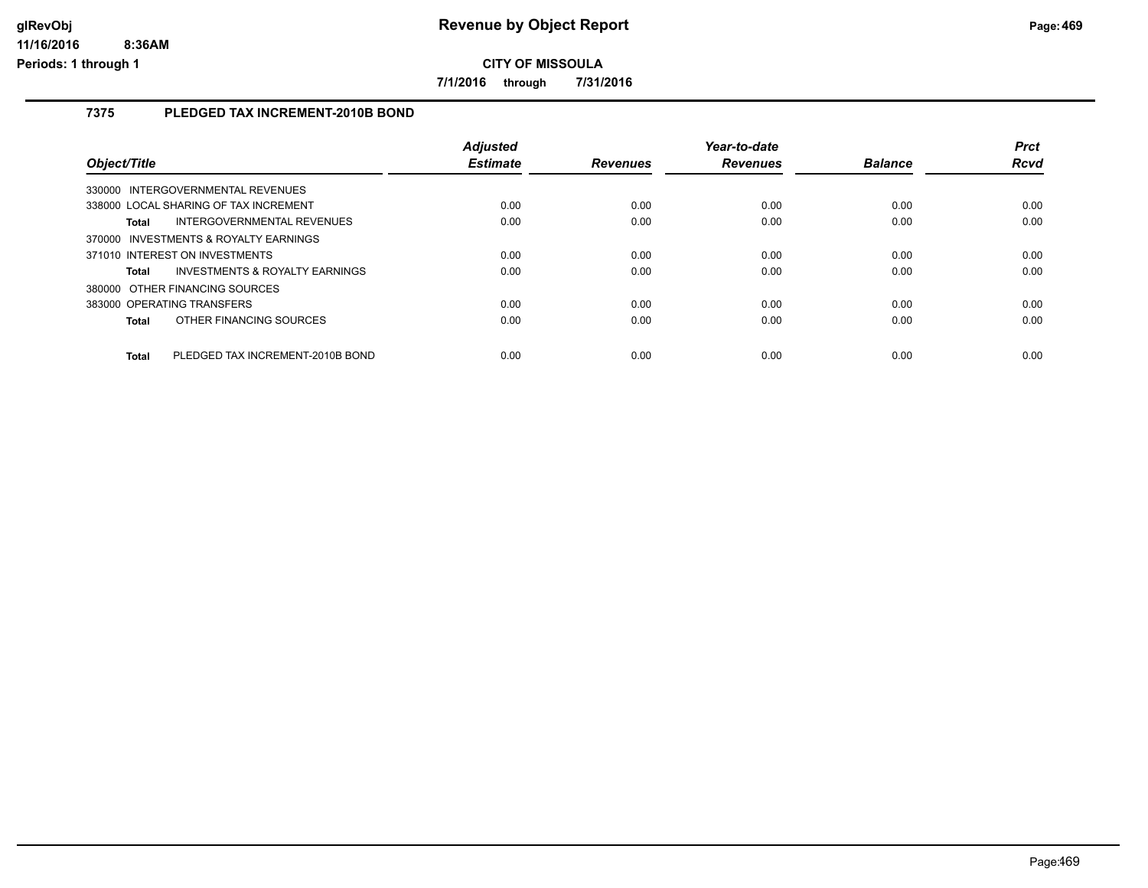**8:36AM**

**CITY OF MISSOULA**

**7/1/2016 through 7/31/2016**

#### **7375 PLEDGED TAX INCREMENT-2010B BOND**

| Object/Title                                      | <b>Adiusted</b><br><b>Estimate</b> | <b>Revenues</b> | Year-to-date<br><b>Revenues</b> | <b>Balance</b> | <b>Prct</b><br><b>Rcvd</b> |
|---------------------------------------------------|------------------------------------|-----------------|---------------------------------|----------------|----------------------------|
| 330000 INTERGOVERNMENTAL REVENUES                 |                                    |                 |                                 |                |                            |
| 338000 LOCAL SHARING OF TAX INCREMENT             | 0.00                               | 0.00            | 0.00                            | 0.00           | 0.00                       |
| <b>INTERGOVERNMENTAL REVENUES</b><br><b>Total</b> | 0.00                               | 0.00            | 0.00                            | 0.00           | 0.00                       |
| 370000 INVESTMENTS & ROYALTY EARNINGS             |                                    |                 |                                 |                |                            |
| 371010 INTEREST ON INVESTMENTS                    | 0.00                               | 0.00            | 0.00                            | 0.00           | 0.00                       |
| INVESTMENTS & ROYALTY EARNINGS<br><b>Total</b>    | 0.00                               | 0.00            | 0.00                            | 0.00           | 0.00                       |
| 380000 OTHER FINANCING SOURCES                    |                                    |                 |                                 |                |                            |
| 383000 OPERATING TRANSFERS                        | 0.00                               | 0.00            | 0.00                            | 0.00           | 0.00                       |
| OTHER FINANCING SOURCES<br><b>Total</b>           | 0.00                               | 0.00            | 0.00                            | 0.00           | 0.00                       |
| PLEDGED TAX INCREMENT-2010B BOND<br><b>Total</b>  | 0.00                               | 0.00            | 0.00                            | 0.00           | 0.00                       |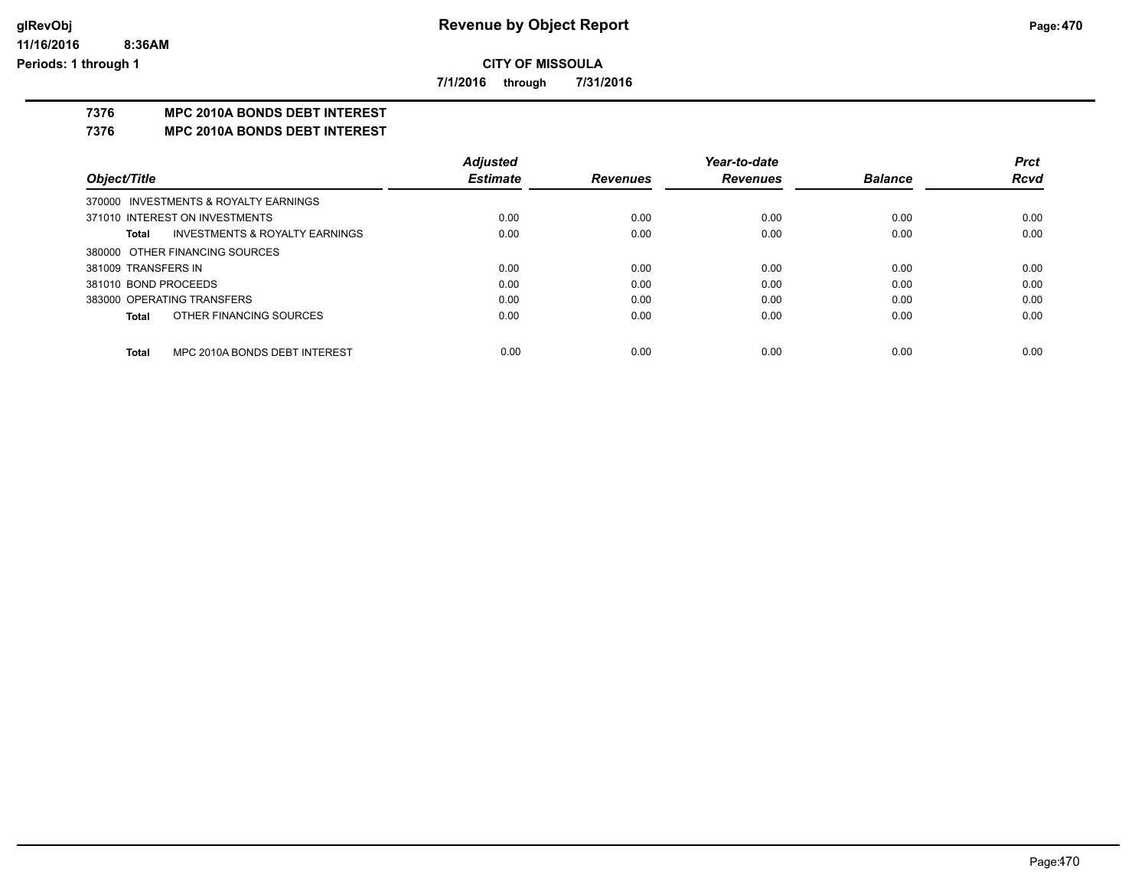**glRevObj Revenue by Object Report Page:470** 

**CITY OF MISSOULA**

**7/1/2016 through 7/31/2016**

#### **7376 MPC 2010A BONDS DEBT INTEREST**

 **8:36AM**

#### **7376 MPC 2010A BONDS DEBT INTEREST**

|                      |                                       | <b>Adjusted</b> |                 | Year-to-date    |                | <b>Prct</b> |
|----------------------|---------------------------------------|-----------------|-----------------|-----------------|----------------|-------------|
| Object/Title         |                                       | <b>Estimate</b> | <b>Revenues</b> | <b>Revenues</b> | <b>Balance</b> | <b>Rcvd</b> |
|                      | 370000 INVESTMENTS & ROYALTY EARNINGS |                 |                 |                 |                |             |
|                      | 371010 INTEREST ON INVESTMENTS        | 0.00            | 0.00            | 0.00            | 0.00           | 0.00        |
| Total                | INVESTMENTS & ROYALTY EARNINGS        | 0.00            | 0.00            | 0.00            | 0.00           | 0.00        |
|                      | 380000 OTHER FINANCING SOURCES        |                 |                 |                 |                |             |
| 381009 TRANSFERS IN  |                                       | 0.00            | 0.00            | 0.00            | 0.00           | 0.00        |
| 381010 BOND PROCEEDS |                                       | 0.00            | 0.00            | 0.00            | 0.00           | 0.00        |
|                      | 383000 OPERATING TRANSFERS            | 0.00            | 0.00            | 0.00            | 0.00           | 0.00        |
| Total                | OTHER FINANCING SOURCES               | 0.00            | 0.00            | 0.00            | 0.00           | 0.00        |
| Total                | MPC 2010A BONDS DEBT INTEREST         | 0.00            | 0.00            | 0.00            | 0.00           | 0.00        |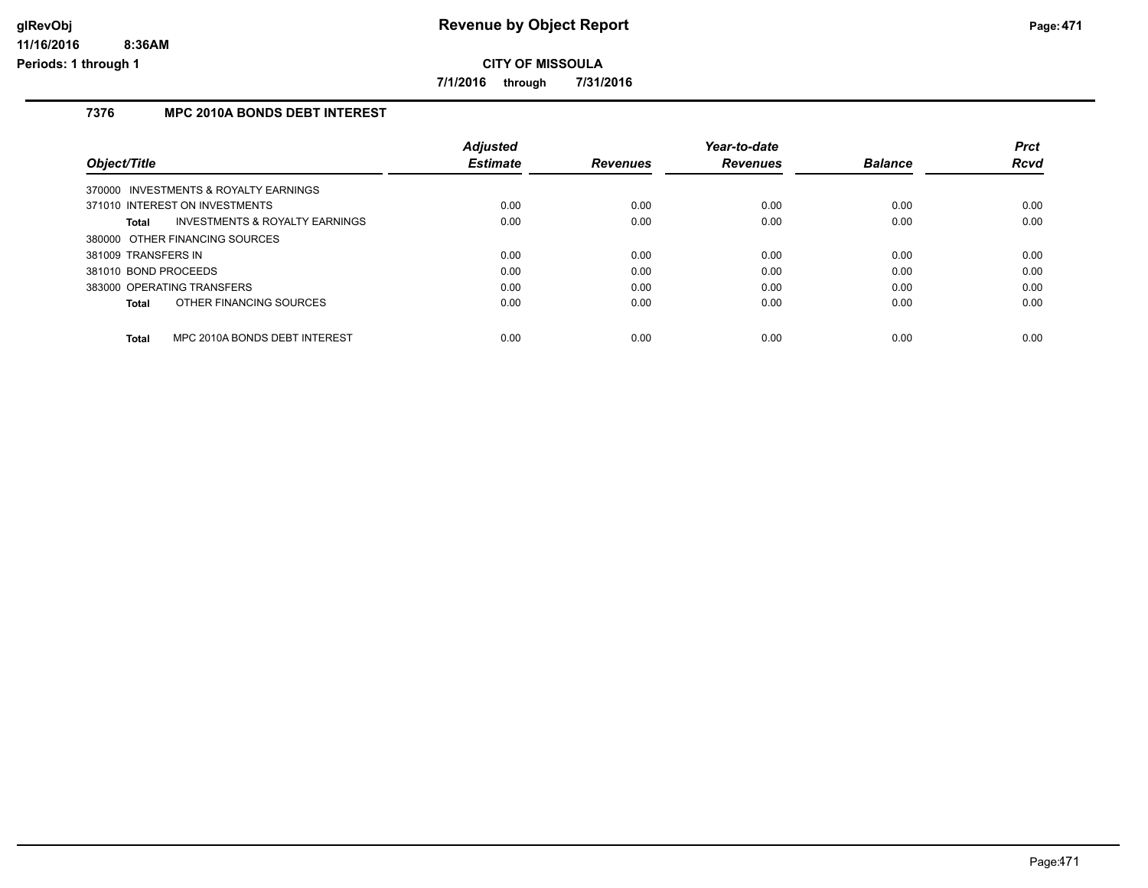**8:36AM**

**CITY OF MISSOULA**

**7/1/2016 through 7/31/2016**

#### **7376 MPC 2010A BONDS DEBT INTEREST**

|                                                           | <b>Adjusted</b> |                 | Year-to-date    |                | <b>Prct</b> |
|-----------------------------------------------------------|-----------------|-----------------|-----------------|----------------|-------------|
| Object/Title                                              | <b>Estimate</b> | <b>Revenues</b> | <b>Revenues</b> | <b>Balance</b> | <b>Rcvd</b> |
| 370000 INVESTMENTS & ROYALTY EARNINGS                     |                 |                 |                 |                |             |
| 371010 INTEREST ON INVESTMENTS                            | 0.00            | 0.00            | 0.00            | 0.00           | 0.00        |
| <b>INVESTMENTS &amp; ROYALTY EARNINGS</b><br><b>Total</b> | 0.00            | 0.00            | 0.00            | 0.00           | 0.00        |
| 380000 OTHER FINANCING SOURCES                            |                 |                 |                 |                |             |
| 381009 TRANSFERS IN                                       | 0.00            | 0.00            | 0.00            | 0.00           | 0.00        |
| 381010 BOND PROCEEDS                                      | 0.00            | 0.00            | 0.00            | 0.00           | 0.00        |
| 383000 OPERATING TRANSFERS                                | 0.00            | 0.00            | 0.00            | 0.00           | 0.00        |
| OTHER FINANCING SOURCES<br><b>Total</b>                   | 0.00            | 0.00            | 0.00            | 0.00           | 0.00        |
| MPC 2010A BONDS DEBT INTEREST<br><b>Total</b>             | 0.00            | 0.00            | 0.00            | 0.00           | 0.00        |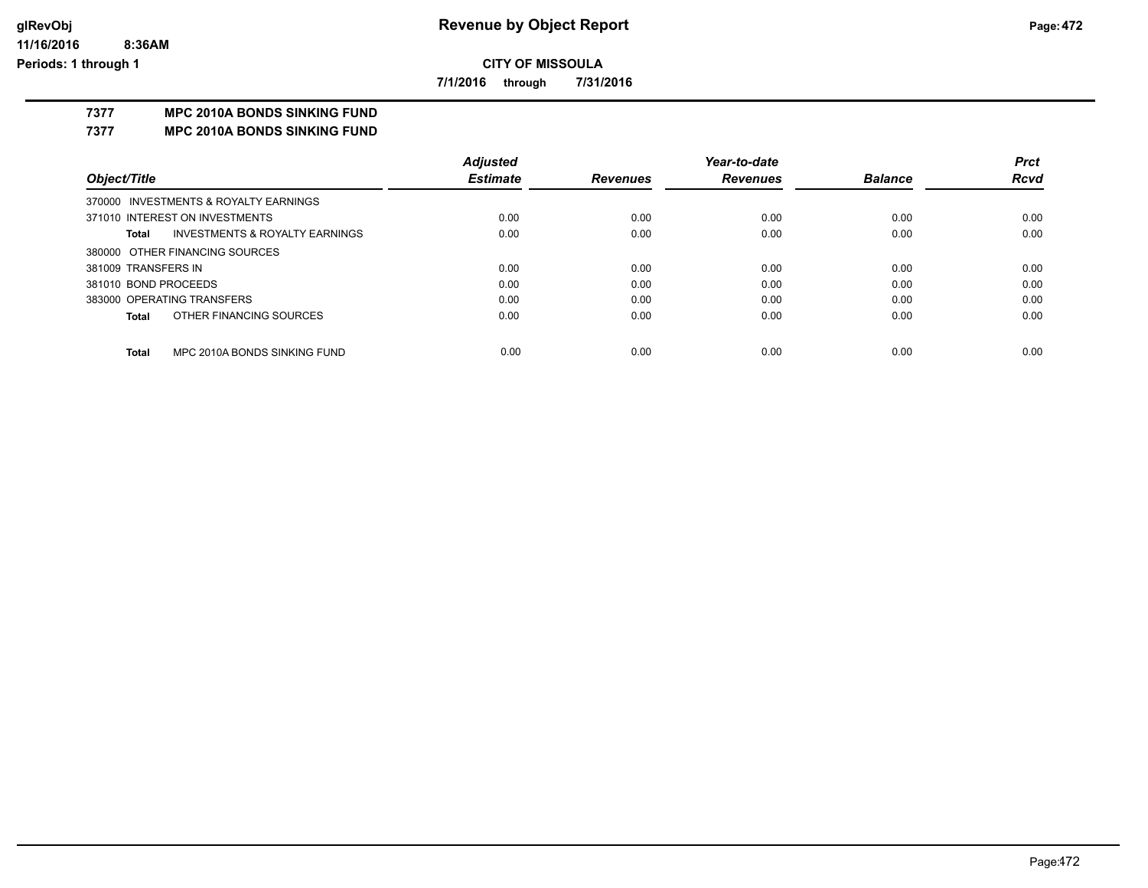**glRevObj Revenue by Object Report Page:472** 

**CITY OF MISSOULA**

**7/1/2016 through 7/31/2016**

#### **7377 MPC 2010A BONDS SINKING FUND**

 **8:36AM**

**7377 MPC 2010A BONDS SINKING FUND**

|                      |                                           | <b>Adjusted</b> |                 | Year-to-date    |                | <b>Prct</b> |
|----------------------|-------------------------------------------|-----------------|-----------------|-----------------|----------------|-------------|
| Object/Title         |                                           | <b>Estimate</b> | <b>Revenues</b> | <b>Revenues</b> | <b>Balance</b> | Rcvd        |
|                      | 370000 INVESTMENTS & ROYALTY EARNINGS     |                 |                 |                 |                |             |
|                      | 371010 INTEREST ON INVESTMENTS            | 0.00            | 0.00            | 0.00            | 0.00           | 0.00        |
| <b>Total</b>         | <b>INVESTMENTS &amp; ROYALTY EARNINGS</b> | 0.00            | 0.00            | 0.00            | 0.00           | 0.00        |
|                      | 380000 OTHER FINANCING SOURCES            |                 |                 |                 |                |             |
| 381009 TRANSFERS IN  |                                           | 0.00            | 0.00            | 0.00            | 0.00           | 0.00        |
| 381010 BOND PROCEEDS |                                           | 0.00            | 0.00            | 0.00            | 0.00           | 0.00        |
|                      | 383000 OPERATING TRANSFERS                | 0.00            | 0.00            | 0.00            | 0.00           | 0.00        |
| <b>Total</b>         | OTHER FINANCING SOURCES                   | 0.00            | 0.00            | 0.00            | 0.00           | 0.00        |
| <b>Total</b>         | MPC 2010A BONDS SINKING FUND              | 0.00            | 0.00            | 0.00            | 0.00           | 0.00        |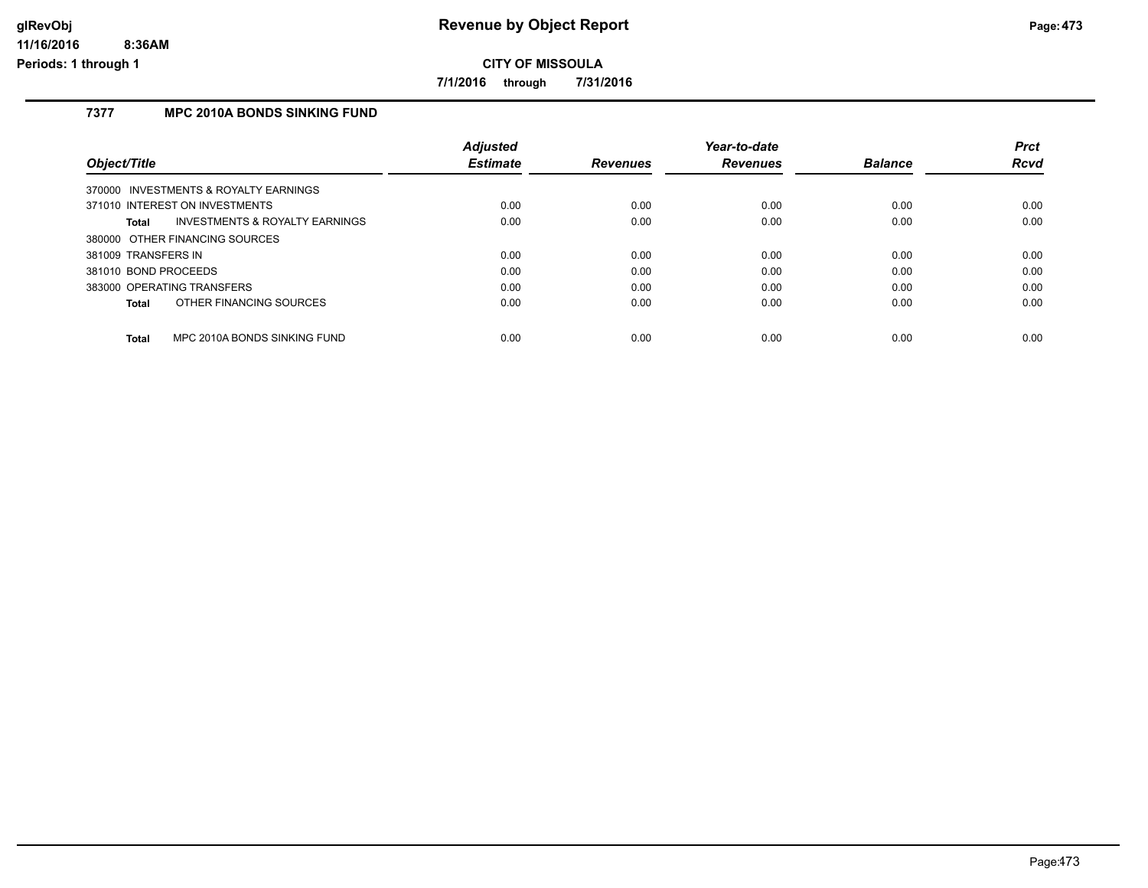**CITY OF MISSOULA**

**7/1/2016 through 7/31/2016**

#### **7377 MPC 2010A BONDS SINKING FUND**

|                                                           | <b>Adjusted</b> |                 | Year-to-date    |                | <b>Prct</b> |
|-----------------------------------------------------------|-----------------|-----------------|-----------------|----------------|-------------|
| Object/Title                                              | <b>Estimate</b> | <b>Revenues</b> | <b>Revenues</b> | <b>Balance</b> | <b>Rcvd</b> |
| 370000 INVESTMENTS & ROYALTY EARNINGS                     |                 |                 |                 |                |             |
| 371010 INTEREST ON INVESTMENTS                            | 0.00            | 0.00            | 0.00            | 0.00           | 0.00        |
| <b>INVESTMENTS &amp; ROYALTY EARNINGS</b><br><b>Total</b> | 0.00            | 0.00            | 0.00            | 0.00           | 0.00        |
| 380000 OTHER FINANCING SOURCES                            |                 |                 |                 |                |             |
| 381009 TRANSFERS IN                                       | 0.00            | 0.00            | 0.00            | 0.00           | 0.00        |
| 381010 BOND PROCEEDS                                      | 0.00            | 0.00            | 0.00            | 0.00           | 0.00        |
| 383000 OPERATING TRANSFERS                                | 0.00            | 0.00            | 0.00            | 0.00           | 0.00        |
| OTHER FINANCING SOURCES<br><b>Total</b>                   | 0.00            | 0.00            | 0.00            | 0.00           | 0.00        |
|                                                           |                 |                 |                 |                |             |
| MPC 2010A BONDS SINKING FUND<br><b>Total</b>              | 0.00            | 0.00            | 0.00            | 0.00           | 0.00        |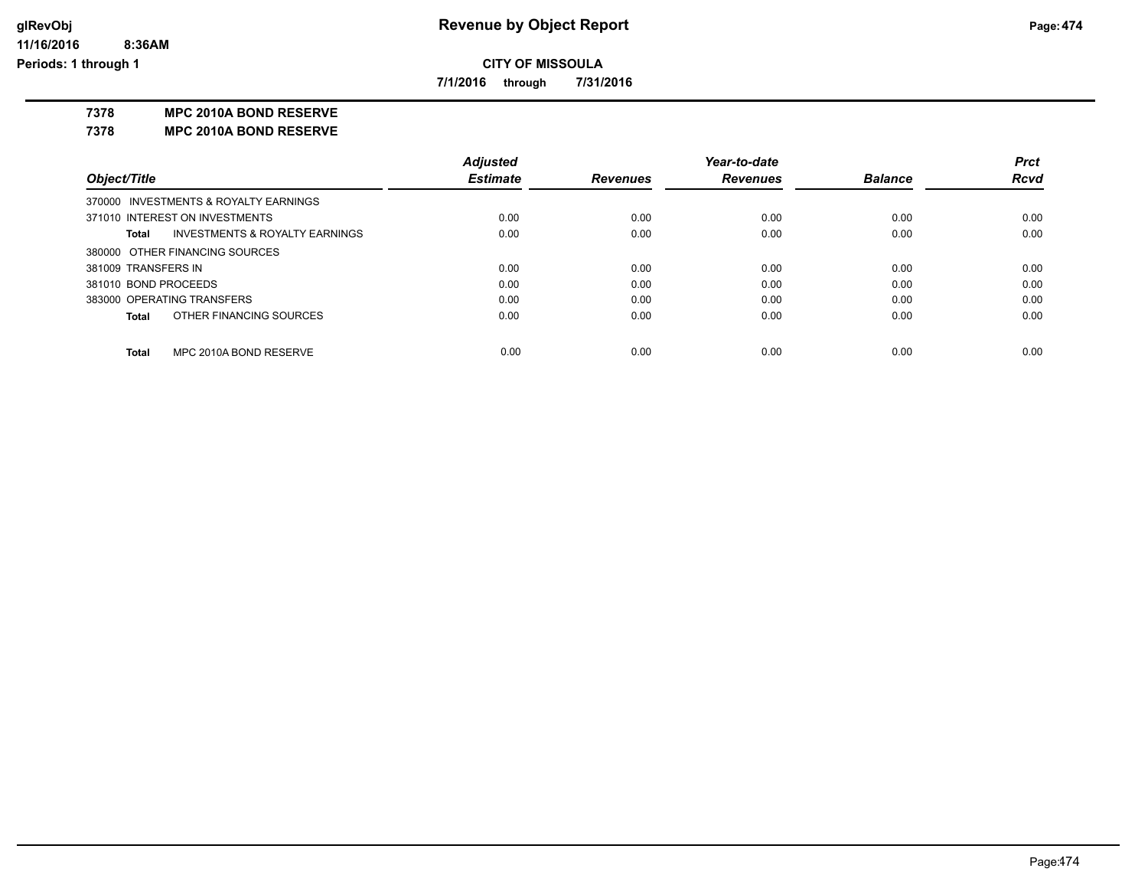**CITY OF MISSOULA**

**7/1/2016 through 7/31/2016**

**7378 MPC 2010A BOND RESERVE**

 **8:36AM**

**7378 MPC 2010A BOND RESERVE**

|                      |                                       | <b>Adjusted</b> |                 | Year-to-date    |                | <b>Prct</b> |
|----------------------|---------------------------------------|-----------------|-----------------|-----------------|----------------|-------------|
| Object/Title         |                                       | <b>Estimate</b> | <b>Revenues</b> | <b>Revenues</b> | <b>Balance</b> | <b>Rcvd</b> |
|                      | 370000 INVESTMENTS & ROYALTY EARNINGS |                 |                 |                 |                |             |
|                      | 371010 INTEREST ON INVESTMENTS        | 0.00            | 0.00            | 0.00            | 0.00           | 0.00        |
| Total                | INVESTMENTS & ROYALTY EARNINGS        | 0.00            | 0.00            | 0.00            | 0.00           | 0.00        |
|                      | 380000 OTHER FINANCING SOURCES        |                 |                 |                 |                |             |
| 381009 TRANSFERS IN  |                                       | 0.00            | 0.00            | 0.00            | 0.00           | 0.00        |
| 381010 BOND PROCEEDS |                                       | 0.00            | 0.00            | 0.00            | 0.00           | 0.00        |
|                      | 383000 OPERATING TRANSFERS            | 0.00            | 0.00            | 0.00            | 0.00           | 0.00        |
| Total                | OTHER FINANCING SOURCES               | 0.00            | 0.00            | 0.00            | 0.00           | 0.00        |
| Total                | MPC 2010A BOND RESERVE                | 0.00            | 0.00            | 0.00            | 0.00           | 0.00        |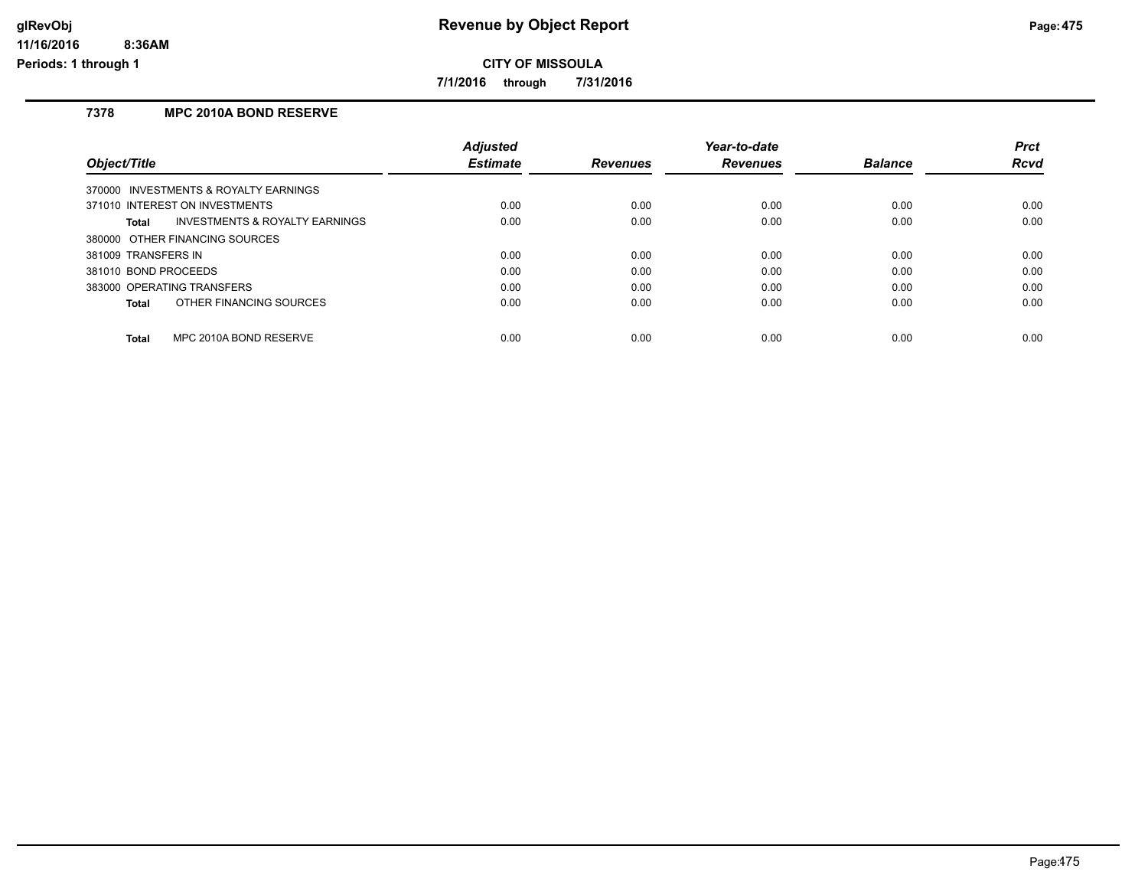**CITY OF MISSOULA**

**7/1/2016 through 7/31/2016**

#### **7378 MPC 2010A BOND RESERVE**

|                                |                                           | <b>Adjusted</b> |                 | Year-to-date    |                | <b>Prct</b> |
|--------------------------------|-------------------------------------------|-----------------|-----------------|-----------------|----------------|-------------|
| Object/Title                   |                                           | <b>Estimate</b> | <b>Revenues</b> | <b>Revenues</b> | <b>Balance</b> | <b>Rcvd</b> |
|                                | 370000 INVESTMENTS & ROYALTY EARNINGS     |                 |                 |                 |                |             |
| 371010 INTEREST ON INVESTMENTS |                                           | 0.00            | 0.00            | 0.00            | 0.00           | 0.00        |
| Total                          | <b>INVESTMENTS &amp; ROYALTY EARNINGS</b> | 0.00            | 0.00            | 0.00            | 0.00           | 0.00        |
| 380000 OTHER FINANCING SOURCES |                                           |                 |                 |                 |                |             |
| 381009 TRANSFERS IN            |                                           | 0.00            | 0.00            | 0.00            | 0.00           | 0.00        |
| 381010 BOND PROCEEDS           |                                           | 0.00            | 0.00            | 0.00            | 0.00           | 0.00        |
| 383000 OPERATING TRANSFERS     |                                           | 0.00            | 0.00            | 0.00            | 0.00           | 0.00        |
| <b>Total</b>                   | OTHER FINANCING SOURCES                   | 0.00            | 0.00            | 0.00            | 0.00           | 0.00        |
| <b>Total</b>                   | MPC 2010A BOND RESERVE                    | 0.00            | 0.00            | 0.00            | 0.00           | 0.00        |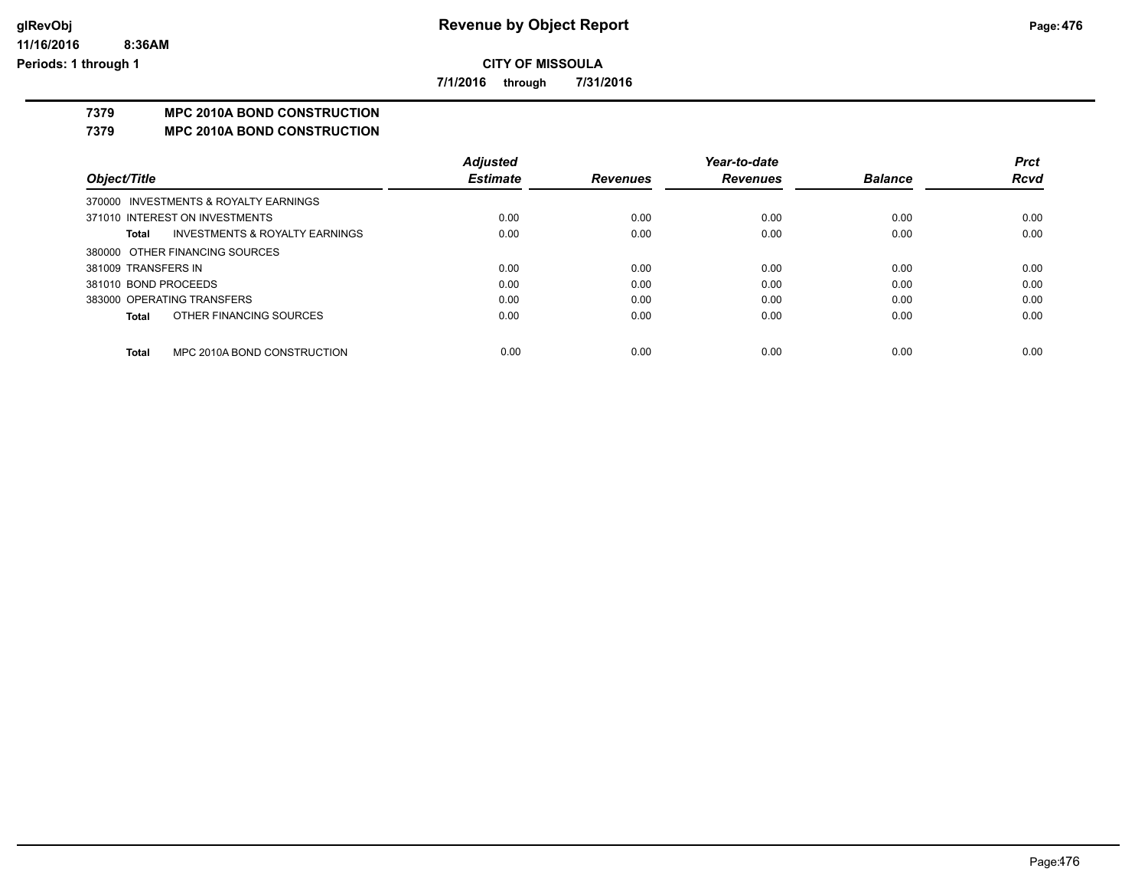**glRevObj Revenue by Object Report Page:476** 

**CITY OF MISSOULA**

**7/1/2016 through 7/31/2016**

#### **7379 MPC 2010A BOND CONSTRUCTION**

 **8:36AM**

#### **7379 MPC 2010A BOND CONSTRUCTION**

|                                       |                                           | <b>Adjusted</b> |                 | Year-to-date    |                | <b>Prct</b> |
|---------------------------------------|-------------------------------------------|-----------------|-----------------|-----------------|----------------|-------------|
| Object/Title                          |                                           | <b>Estimate</b> | <b>Revenues</b> | <b>Revenues</b> | <b>Balance</b> | <b>Rcvd</b> |
| 370000 INVESTMENTS & ROYALTY EARNINGS |                                           |                 |                 |                 |                |             |
| 371010 INTEREST ON INVESTMENTS        |                                           | 0.00            | 0.00            | 0.00            | 0.00           | 0.00        |
| Total                                 | <b>INVESTMENTS &amp; ROYALTY EARNINGS</b> | 0.00            | 0.00            | 0.00            | 0.00           | 0.00        |
| 380000 OTHER FINANCING SOURCES        |                                           |                 |                 |                 |                |             |
| 381009 TRANSFERS IN                   |                                           | 0.00            | 0.00            | 0.00            | 0.00           | 0.00        |
| 381010 BOND PROCEEDS                  |                                           | 0.00            | 0.00            | 0.00            | 0.00           | 0.00        |
| 383000 OPERATING TRANSFERS            |                                           | 0.00            | 0.00            | 0.00            | 0.00           | 0.00        |
| Total                                 | OTHER FINANCING SOURCES                   | 0.00            | 0.00            | 0.00            | 0.00           | 0.00        |
|                                       |                                           |                 |                 |                 |                |             |
| Total                                 | MPC 2010A BOND CONSTRUCTION               | 0.00            | 0.00            | 0.00            | 0.00           | 0.00        |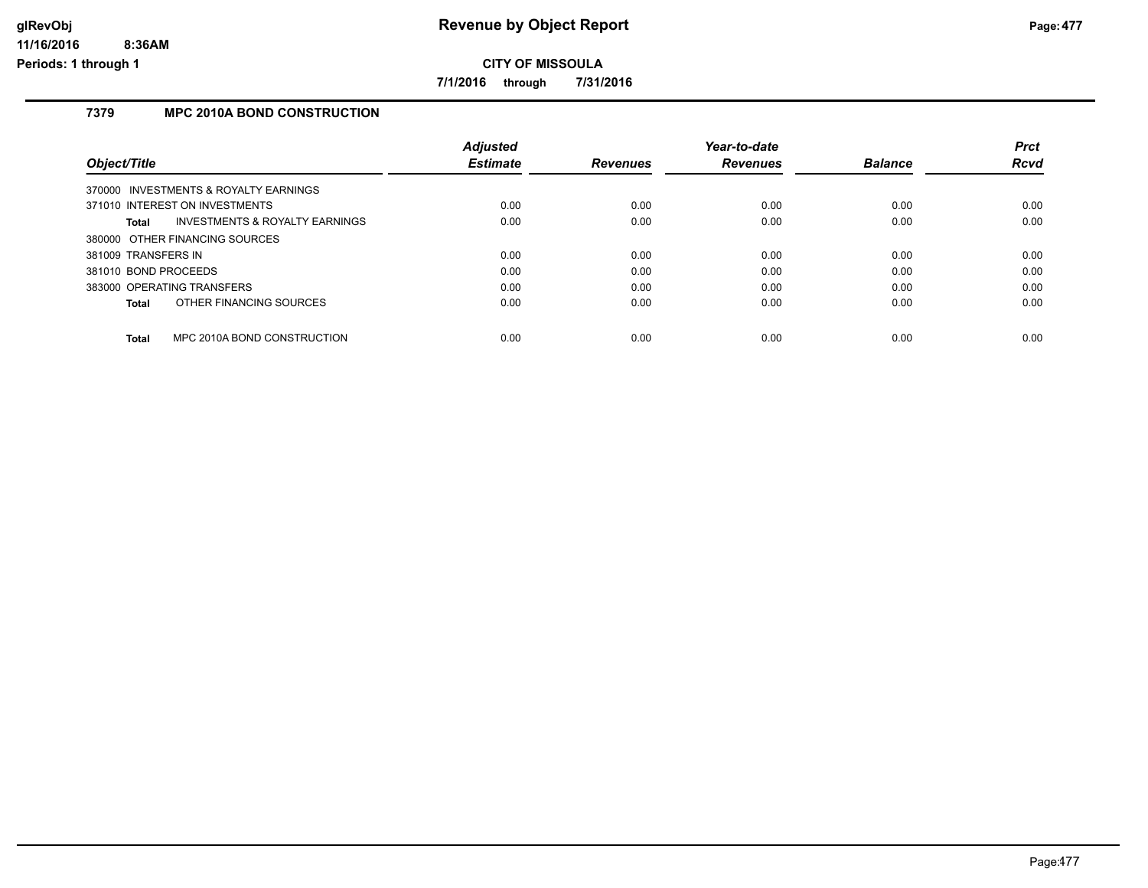**CITY OF MISSOULA**

**7/1/2016 through 7/31/2016**

#### **7379 MPC 2010A BOND CONSTRUCTION**

|                                |                                           | <b>Adjusted</b> |                 | Year-to-date    |                | <b>Prct</b> |
|--------------------------------|-------------------------------------------|-----------------|-----------------|-----------------|----------------|-------------|
| Object/Title                   |                                           | <b>Estimate</b> | <b>Revenues</b> | <b>Revenues</b> | <b>Balance</b> | <b>Rcvd</b> |
|                                | 370000 INVESTMENTS & ROYALTY EARNINGS     |                 |                 |                 |                |             |
| 371010 INTEREST ON INVESTMENTS |                                           | 0.00            | 0.00            | 0.00            | 0.00           | 0.00        |
| <b>Total</b>                   | <b>INVESTMENTS &amp; ROYALTY EARNINGS</b> | 0.00            | 0.00            | 0.00            | 0.00           | 0.00        |
| 380000 OTHER FINANCING SOURCES |                                           |                 |                 |                 |                |             |
| 381009 TRANSFERS IN            |                                           | 0.00            | 0.00            | 0.00            | 0.00           | 0.00        |
| 381010 BOND PROCEEDS           |                                           | 0.00            | 0.00            | 0.00            | 0.00           | 0.00        |
| 383000 OPERATING TRANSFERS     |                                           | 0.00            | 0.00            | 0.00            | 0.00           | 0.00        |
| <b>Total</b>                   | OTHER FINANCING SOURCES                   | 0.00            | 0.00            | 0.00            | 0.00           | 0.00        |
| <b>Total</b>                   | MPC 2010A BOND CONSTRUCTION               | 0.00            | 0.00            | 0.00            | 0.00           | 0.00        |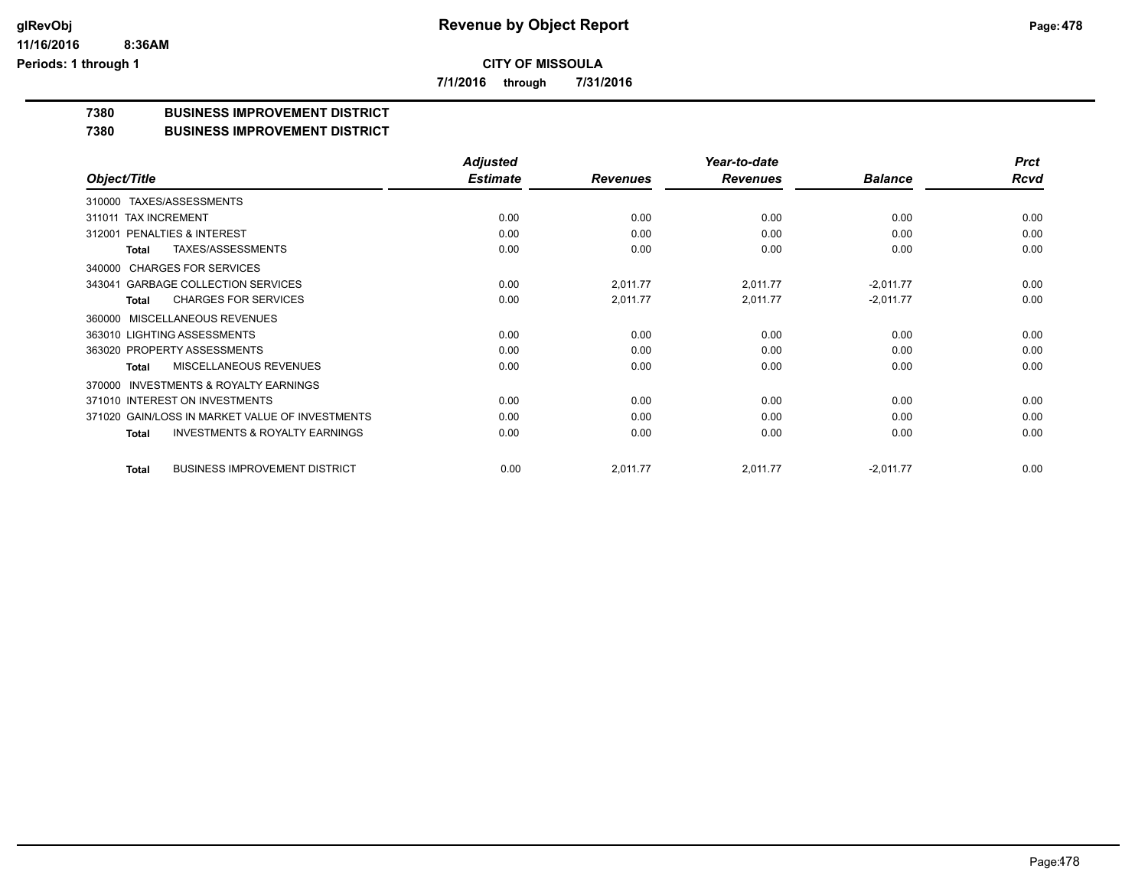**glRevObj Revenue by Object Report Page:478** 

**CITY OF MISSOULA**

**7/1/2016 through 7/31/2016**

#### **7380 BUSINESS IMPROVEMENT DISTRICT**

 **8:36AM**

#### **7380 BUSINESS IMPROVEMENT DISTRICT**

|                                                           | <b>Adjusted</b> |                 | Year-to-date    |                | <b>Prct</b> |
|-----------------------------------------------------------|-----------------|-----------------|-----------------|----------------|-------------|
| Object/Title                                              | <b>Estimate</b> | <b>Revenues</b> | <b>Revenues</b> | <b>Balance</b> | <b>Rcvd</b> |
| 310000 TAXES/ASSESSMENTS                                  |                 |                 |                 |                |             |
| <b>TAX INCREMENT</b><br>311011                            | 0.00            | 0.00            | 0.00            | 0.00           | 0.00        |
| <b>PENALTIES &amp; INTEREST</b><br>312001                 | 0.00            | 0.00            | 0.00            | 0.00           | 0.00        |
| TAXES/ASSESSMENTS<br>Total                                | 0.00            | 0.00            | 0.00            | 0.00           | 0.00        |
| <b>CHARGES FOR SERVICES</b><br>340000                     |                 |                 |                 |                |             |
| 343041 GARBAGE COLLECTION SERVICES                        | 0.00            | 2,011.77        | 2,011.77        | $-2,011.77$    | 0.00        |
| <b>CHARGES FOR SERVICES</b><br><b>Total</b>               | 0.00            | 2,011.77        | 2,011.77        | $-2,011.77$    | 0.00        |
| MISCELLANEOUS REVENUES<br>360000                          |                 |                 |                 |                |             |
| 363010 LIGHTING ASSESSMENTS                               | 0.00            | 0.00            | 0.00            | 0.00           | 0.00        |
| 363020 PROPERTY ASSESSMENTS                               | 0.00            | 0.00            | 0.00            | 0.00           | 0.00        |
| <b>MISCELLANEOUS REVENUES</b><br>Total                    | 0.00            | 0.00            | 0.00            | 0.00           | 0.00        |
| <b>INVESTMENTS &amp; ROYALTY EARNINGS</b><br>370000       |                 |                 |                 |                |             |
| 371010 INTEREST ON INVESTMENTS                            | 0.00            | 0.00            | 0.00            | 0.00           | 0.00        |
| 371020 GAIN/LOSS IN MARKET VALUE OF INVESTMENTS           | 0.00            | 0.00            | 0.00            | 0.00           | 0.00        |
| <b>INVESTMENTS &amp; ROYALTY EARNINGS</b><br><b>Total</b> | 0.00            | 0.00            | 0.00            | 0.00           | 0.00        |
| <b>BUSINESS IMPROVEMENT DISTRICT</b><br><b>Total</b>      | 0.00            | 2,011.77        | 2,011.77        | $-2,011.77$    | 0.00        |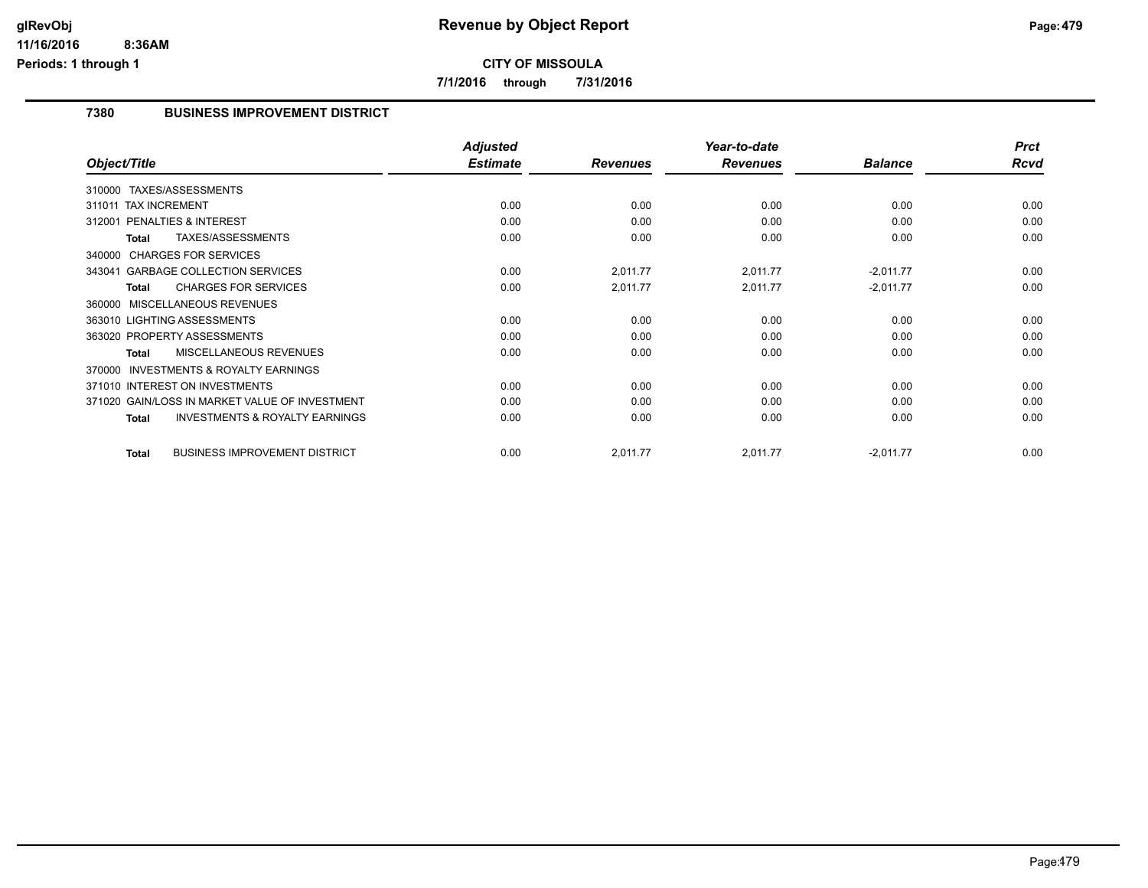**8:36AM**

**CITY OF MISSOULA**

**7/1/2016 through 7/31/2016**

#### **7380 BUSINESS IMPROVEMENT DISTRICT**

|                                                           | <b>Adjusted</b> |                 | Year-to-date    |                | <b>Prct</b> |
|-----------------------------------------------------------|-----------------|-----------------|-----------------|----------------|-------------|
| Object/Title                                              | <b>Estimate</b> | <b>Revenues</b> | <b>Revenues</b> | <b>Balance</b> | <b>Rcvd</b> |
| TAXES/ASSESSMENTS<br>310000                               |                 |                 |                 |                |             |
| 311011 TAX INCREMENT                                      | 0.00            | 0.00            | 0.00            | 0.00           | 0.00        |
| 312001 PENALTIES & INTEREST                               | 0.00            | 0.00            | 0.00            | 0.00           | 0.00        |
| TAXES/ASSESSMENTS<br><b>Total</b>                         | 0.00            | 0.00            | 0.00            | 0.00           | 0.00        |
| 340000 CHARGES FOR SERVICES                               |                 |                 |                 |                |             |
| 343041 GARBAGE COLLECTION SERVICES                        | 0.00            | 2,011.77        | 2,011.77        | $-2,011.77$    | 0.00        |
| <b>CHARGES FOR SERVICES</b><br><b>Total</b>               | 0.00            | 2,011.77        | 2,011.77        | $-2,011.77$    | 0.00        |
| MISCELLANEOUS REVENUES<br>360000                          |                 |                 |                 |                |             |
| 363010 LIGHTING ASSESSMENTS                               | 0.00            | 0.00            | 0.00            | 0.00           | 0.00        |
| 363020 PROPERTY ASSESSMENTS                               | 0.00            | 0.00            | 0.00            | 0.00           | 0.00        |
| <b>MISCELLANEOUS REVENUES</b><br><b>Total</b>             | 0.00            | 0.00            | 0.00            | 0.00           | 0.00        |
| INVESTMENTS & ROYALTY EARNINGS<br>370000                  |                 |                 |                 |                |             |
| 371010 INTEREST ON INVESTMENTS                            | 0.00            | 0.00            | 0.00            | 0.00           | 0.00        |
| 371020 GAIN/LOSS IN MARKET VALUE OF INVESTMENT            | 0.00            | 0.00            | 0.00            | 0.00           | 0.00        |
| <b>INVESTMENTS &amp; ROYALTY EARNINGS</b><br><b>Total</b> | 0.00            | 0.00            | 0.00            | 0.00           | 0.00        |
| <b>BUSINESS IMPROVEMENT DISTRICT</b><br><b>Total</b>      | 0.00            | 2,011.77        | 2,011.77        | $-2,011.77$    | 0.00        |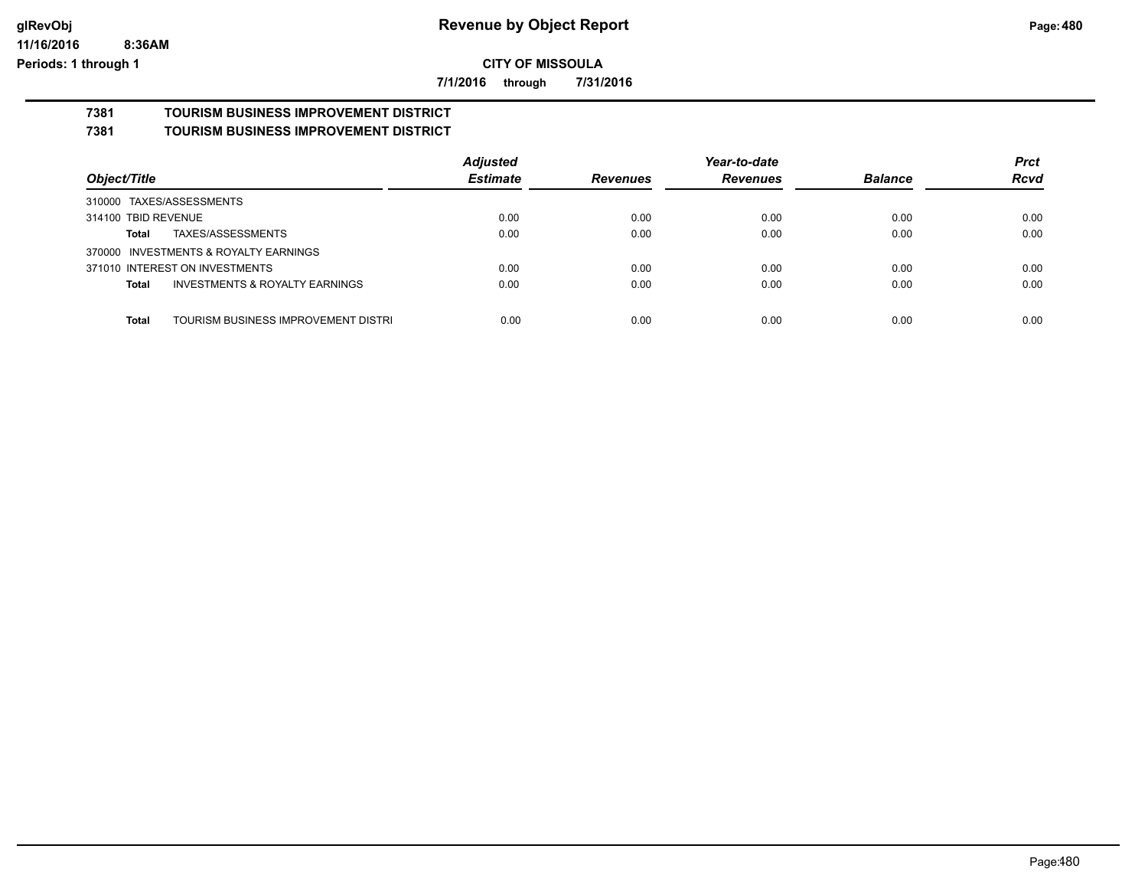**11/16/2016 8:36AM Periods: 1 through 1**

**CITY OF MISSOULA**

**7/1/2016 through 7/31/2016**

# **7381 TOURISM BUSINESS IMPROVEMENT DISTRICT**

## **7381 TOURISM BUSINESS IMPROVEMENT DISTRICT**

|                                                     | <b>Adjusted</b> |                 | Year-to-date    |                | <b>Prct</b> |
|-----------------------------------------------------|-----------------|-----------------|-----------------|----------------|-------------|
| Object/Title                                        | <b>Estimate</b> | <b>Revenues</b> | <b>Revenues</b> | <b>Balance</b> | <b>Rcvd</b> |
| 310000 TAXES/ASSESSMENTS                            |                 |                 |                 |                |             |
| 314100 TBID REVENUE                                 | 0.00            | 0.00            | 0.00            | 0.00           | 0.00        |
| TAXES/ASSESSMENTS<br>Total                          | 0.00            | 0.00            | 0.00            | 0.00           | 0.00        |
| 370000 INVESTMENTS & ROYALTY EARNINGS               |                 |                 |                 |                |             |
| 371010 INTEREST ON INVESTMENTS                      | 0.00            | 0.00            | 0.00            | 0.00           | 0.00        |
| <b>INVESTMENTS &amp; ROYALTY EARNINGS</b><br>Total  | 0.00            | 0.00            | 0.00            | 0.00           | 0.00        |
|                                                     |                 |                 |                 |                |             |
| TOURISM BUSINESS IMPROVEMENT DISTRI<br><b>Total</b> | 0.00            | 0.00            | 0.00            | 0.00           | 0.00        |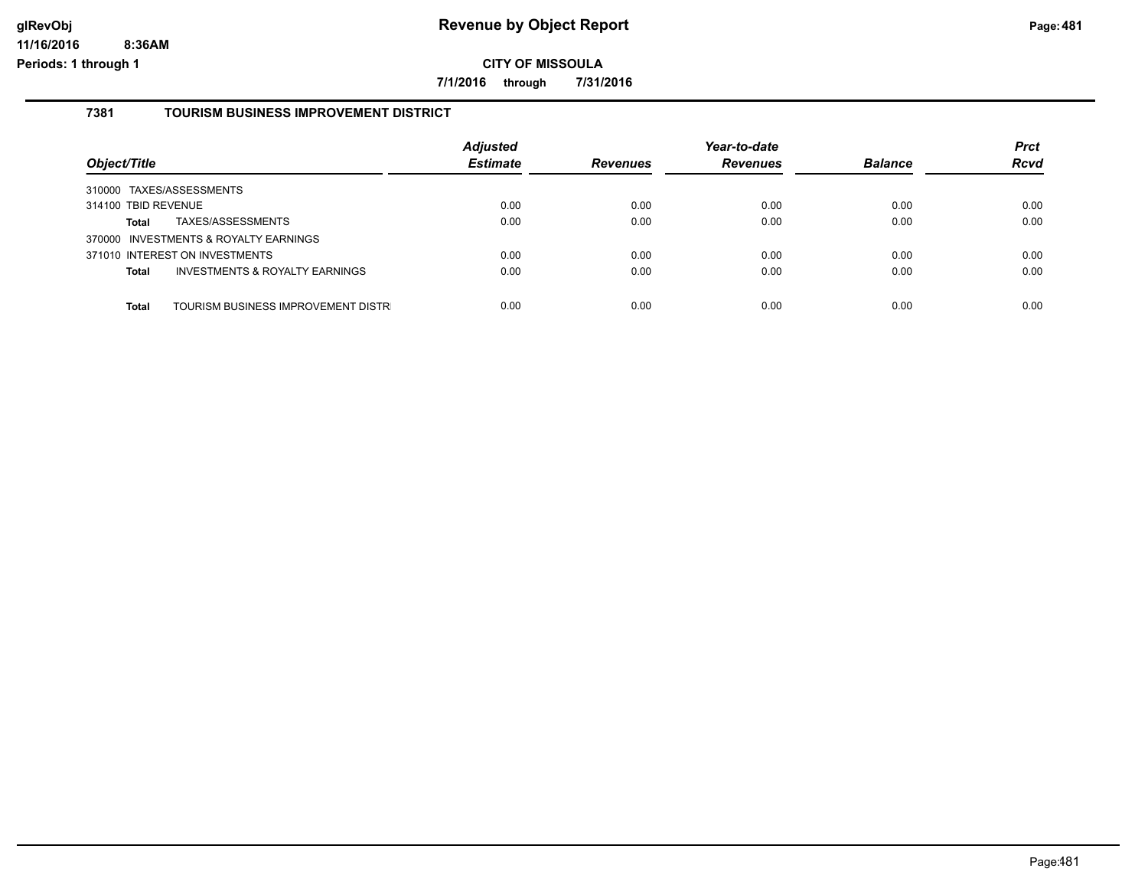**8:36AM**

**CITY OF MISSOULA**

**7/1/2016 through 7/31/2016**

#### **7381 TOURISM BUSINESS IMPROVEMENT DISTRICT**

| Object/Title                                       | <b>Adjusted</b><br><b>Estimate</b> | <b>Revenues</b> | Year-to-date<br><b>Revenues</b> | <b>Balance</b> | <b>Prct</b><br><b>Rcvd</b> |
|----------------------------------------------------|------------------------------------|-----------------|---------------------------------|----------------|----------------------------|
| 310000 TAXES/ASSESSMENTS                           |                                    |                 |                                 |                |                            |
| 314100 TBID REVENUE                                | 0.00                               | 0.00            | 0.00                            | 0.00           | 0.00                       |
| TAXES/ASSESSMENTS<br><b>Total</b>                  | 0.00                               | 0.00            | 0.00                            | 0.00           | 0.00                       |
| 370000 INVESTMENTS & ROYALTY EARNINGS              |                                    |                 |                                 |                |                            |
| 371010 INTEREST ON INVESTMENTS                     | 0.00                               | 0.00            | 0.00                            | 0.00           | 0.00                       |
| INVESTMENTS & ROYALTY EARNINGS<br><b>Total</b>     | 0.00                               | 0.00            | 0.00                            | 0.00           | 0.00                       |
|                                                    |                                    |                 |                                 |                |                            |
| TOURISM BUSINESS IMPROVEMENT DISTR<br><b>Total</b> | 0.00                               | 0.00            | 0.00                            | 0.00           | 0.00                       |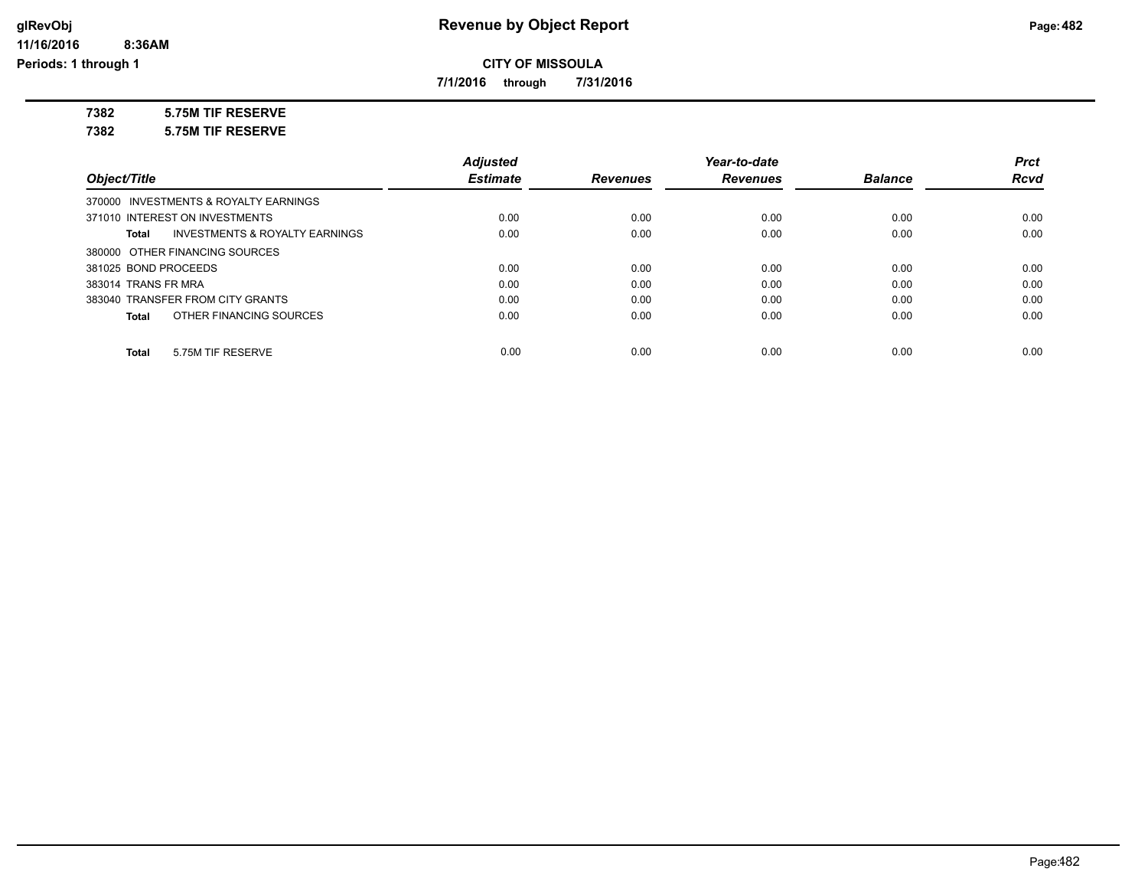**CITY OF MISSOULA**

**7/1/2016 through 7/31/2016**

**7382 5.75M TIF RESERVE**

**7382 5.75M TIF RESERVE**

|                                                    | <b>Adjusted</b> |                 | Year-to-date    |                | <b>Prct</b> |
|----------------------------------------------------|-----------------|-----------------|-----------------|----------------|-------------|
| Object/Title                                       | <b>Estimate</b> | <b>Revenues</b> | <b>Revenues</b> | <b>Balance</b> | <b>Rcvd</b> |
| 370000 INVESTMENTS & ROYALTY EARNINGS              |                 |                 |                 |                |             |
| 371010 INTEREST ON INVESTMENTS                     | 0.00            | 0.00            | 0.00            | 0.00           | 0.00        |
| <b>INVESTMENTS &amp; ROYALTY EARNINGS</b><br>Total | 0.00            | 0.00            | 0.00            | 0.00           | 0.00        |
| 380000 OTHER FINANCING SOURCES                     |                 |                 |                 |                |             |
| 381025 BOND PROCEEDS                               | 0.00            | 0.00            | 0.00            | 0.00           | 0.00        |
| 383014 TRANS FR MRA                                | 0.00            | 0.00            | 0.00            | 0.00           | 0.00        |
| 383040 TRANSFER FROM CITY GRANTS                   | 0.00            | 0.00            | 0.00            | 0.00           | 0.00        |
| OTHER FINANCING SOURCES<br>Total                   | 0.00            | 0.00            | 0.00            | 0.00           | 0.00        |
|                                                    |                 |                 |                 |                |             |
| 5.75M TIF RESERVE<br>Total                         | 0.00            | 0.00            | 0.00            | 0.00           | 0.00        |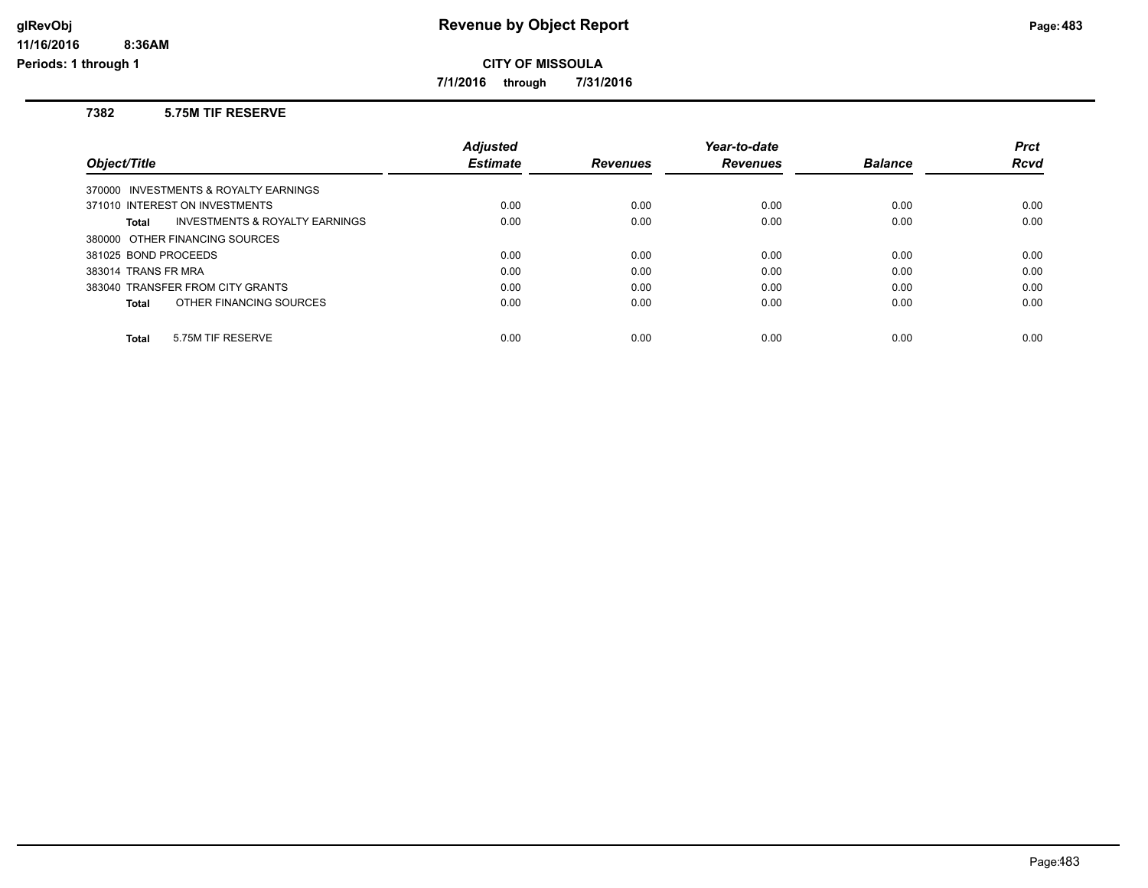**CITY OF MISSOULA**

**7/1/2016 through 7/31/2016**

#### **7382 5.75M TIF RESERVE**

|                                         | <b>Adjusted</b> |                 | Year-to-date    |                | <b>Prct</b> |
|-----------------------------------------|-----------------|-----------------|-----------------|----------------|-------------|
| Object/Title                            | <b>Estimate</b> | <b>Revenues</b> | <b>Revenues</b> | <b>Balance</b> | <b>Rcvd</b> |
| 370000 INVESTMENTS & ROYALTY EARNINGS   |                 |                 |                 |                |             |
| 371010 INTEREST ON INVESTMENTS          | 0.00            | 0.00            | 0.00            | 0.00           | 0.00        |
| INVESTMENTS & ROYALTY EARNINGS<br>Total | 0.00            | 0.00            | 0.00            | 0.00           | 0.00        |
| 380000 OTHER FINANCING SOURCES          |                 |                 |                 |                |             |
| 381025 BOND PROCEEDS                    | 0.00            | 0.00            | 0.00            | 0.00           | 0.00        |
| 383014 TRANS FR MRA                     | 0.00            | 0.00            | 0.00            | 0.00           | 0.00        |
| 383040 TRANSFER FROM CITY GRANTS        | 0.00            | 0.00            | 0.00            | 0.00           | 0.00        |
| <b>Total</b><br>OTHER FINANCING SOURCES | 0.00            | 0.00            | 0.00            | 0.00           | 0.00        |
| 5.75M TIF RESERVE<br><b>Total</b>       | 0.00            | 0.00            | 0.00            | 0.00           | 0.00        |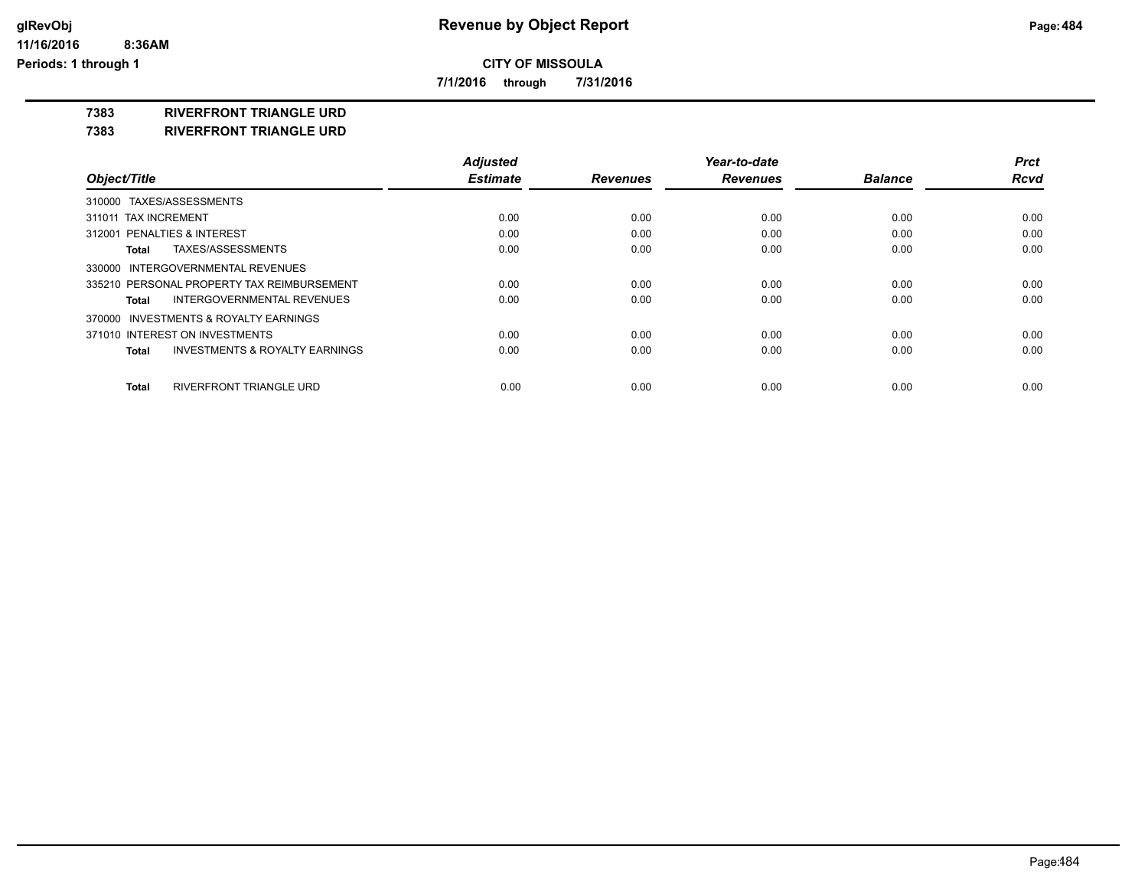**CITY OF MISSOULA**

**7/1/2016 through 7/31/2016**

**7383 RIVERFRONT TRIANGLE URD**

 **8:36AM**

**7383 RIVERFRONT TRIANGLE URD**

|                                                    | <b>Adjusted</b> |                 | Year-to-date    |                | <b>Prct</b> |
|----------------------------------------------------|-----------------|-----------------|-----------------|----------------|-------------|
| Object/Title                                       | <b>Estimate</b> | <b>Revenues</b> | <b>Revenues</b> | <b>Balance</b> | <b>Rcvd</b> |
| 310000 TAXES/ASSESSMENTS                           |                 |                 |                 |                |             |
| 311011 TAX INCREMENT                               | 0.00            | 0.00            | 0.00            | 0.00           | 0.00        |
| 312001 PENALTIES & INTEREST                        | 0.00            | 0.00            | 0.00            | 0.00           | 0.00        |
| TAXES/ASSESSMENTS<br>Total                         | 0.00            | 0.00            | 0.00            | 0.00           | 0.00        |
| 330000 INTERGOVERNMENTAL REVENUES                  |                 |                 |                 |                |             |
| 335210 PERSONAL PROPERTY TAX REIMBURSEMENT         | 0.00            | 0.00            | 0.00            | 0.00           | 0.00        |
| <b>INTERGOVERNMENTAL REVENUES</b><br>Total         | 0.00            | 0.00            | 0.00            | 0.00           | 0.00        |
| 370000 INVESTMENTS & ROYALTY EARNINGS              |                 |                 |                 |                |             |
| 371010 INTEREST ON INVESTMENTS                     | 0.00            | 0.00            | 0.00            | 0.00           | 0.00        |
| <b>INVESTMENTS &amp; ROYALTY EARNINGS</b><br>Total | 0.00            | 0.00            | 0.00            | 0.00           | 0.00        |
| <b>RIVERFRONT TRIANGLE URD</b><br>Total            | 0.00            | 0.00            | 0.00            | 0.00           | 0.00        |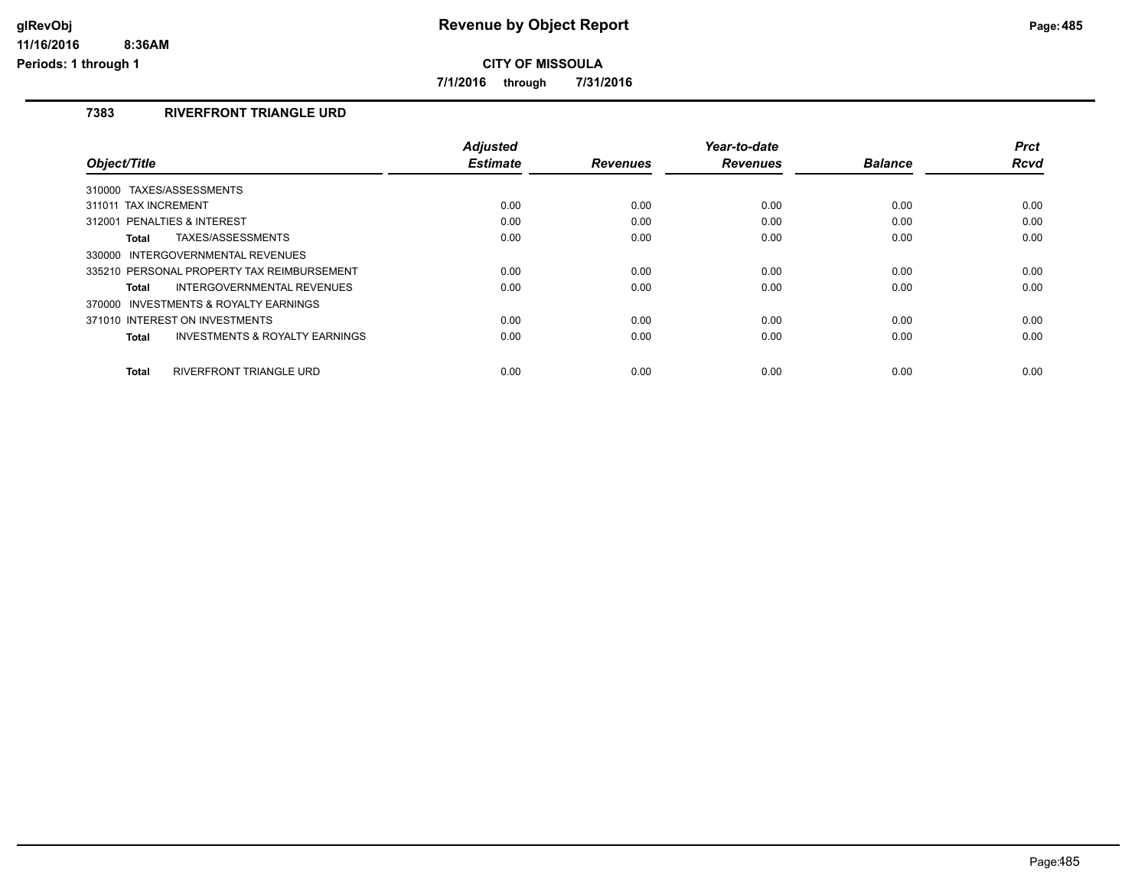**CITY OF MISSOULA**

**7/1/2016 through 7/31/2016**

#### **7383 RIVERFRONT TRIANGLE URD**

|                                                    | <b>Adjusted</b> |                 | Year-to-date    |                | <b>Prct</b> |
|----------------------------------------------------|-----------------|-----------------|-----------------|----------------|-------------|
| Object/Title                                       | <b>Estimate</b> | <b>Revenues</b> | <b>Revenues</b> | <b>Balance</b> | <b>Rcvd</b> |
| 310000 TAXES/ASSESSMENTS                           |                 |                 |                 |                |             |
| 311011 TAX INCREMENT                               | 0.00            | 0.00            | 0.00            | 0.00           | 0.00        |
| PENALTIES & INTEREST<br>312001                     | 0.00            | 0.00            | 0.00            | 0.00           | 0.00        |
| TAXES/ASSESSMENTS<br>Total                         | 0.00            | 0.00            | 0.00            | 0.00           | 0.00        |
| 330000 INTERGOVERNMENTAL REVENUES                  |                 |                 |                 |                |             |
| 335210 PERSONAL PROPERTY TAX REIMBURSEMENT         | 0.00            | 0.00            | 0.00            | 0.00           | 0.00        |
| <b>INTERGOVERNMENTAL REVENUES</b><br>Total         | 0.00            | 0.00            | 0.00            | 0.00           | 0.00        |
| 370000 INVESTMENTS & ROYALTY EARNINGS              |                 |                 |                 |                |             |
| 371010 INTEREST ON INVESTMENTS                     | 0.00            | 0.00            | 0.00            | 0.00           | 0.00        |
| <b>INVESTMENTS &amp; ROYALTY EARNINGS</b><br>Total | 0.00            | 0.00            | 0.00            | 0.00           | 0.00        |
|                                                    |                 |                 |                 |                |             |
| <b>RIVERFRONT TRIANGLE URD</b><br><b>Total</b>     | 0.00            | 0.00            | 0.00            | 0.00           | 0.00        |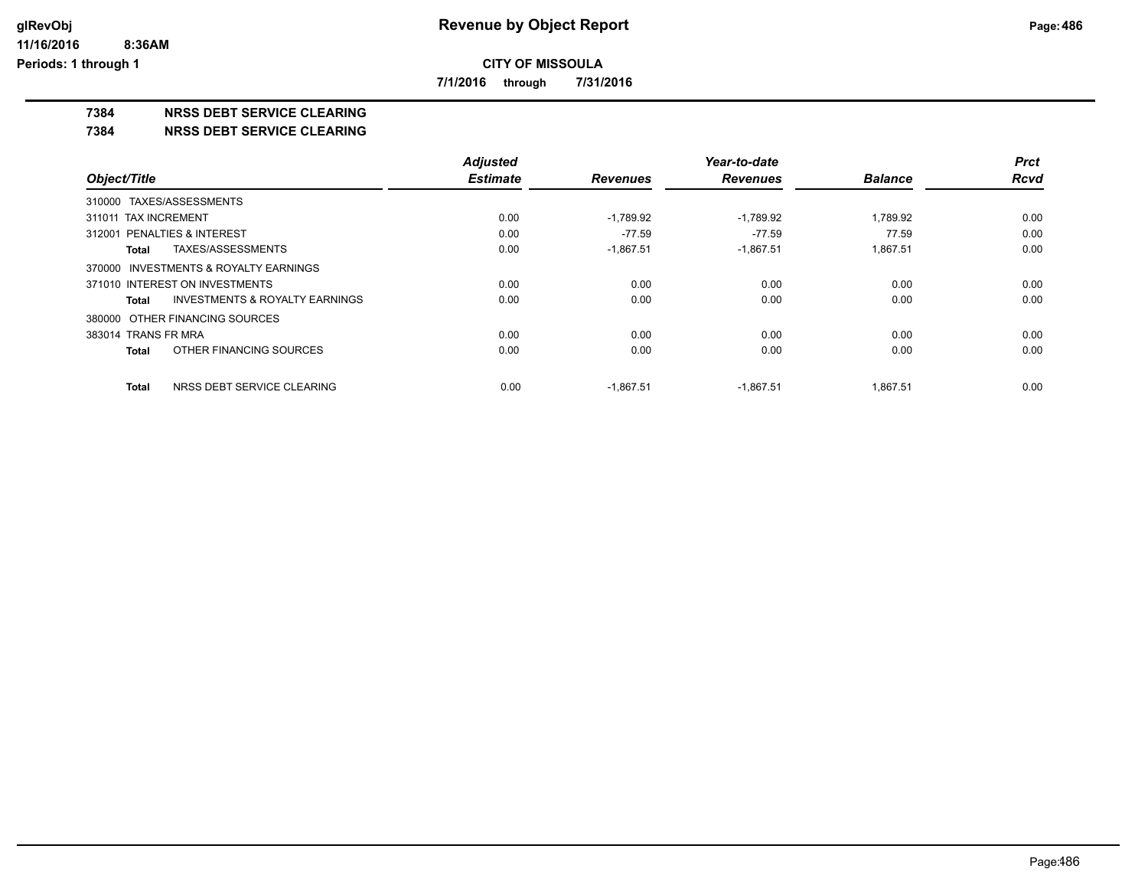**CITY OF MISSOULA**

**7/1/2016 through 7/31/2016**

#### **7384 NRSS DEBT SERVICE CLEARING**

 **8:36AM**

**7384 NRSS DEBT SERVICE CLEARING**

|                                                    | <b>Adjusted</b> |                 | Year-to-date    |                | <b>Prct</b> |
|----------------------------------------------------|-----------------|-----------------|-----------------|----------------|-------------|
| Object/Title                                       | <b>Estimate</b> | <b>Revenues</b> | <b>Revenues</b> | <b>Balance</b> | <b>Rcvd</b> |
| 310000 TAXES/ASSESSMENTS                           |                 |                 |                 |                |             |
| <b>TAX INCREMENT</b><br>311011                     | 0.00            | $-1,789.92$     | $-1,789.92$     | 1,789.92       | 0.00        |
| PENALTIES & INTEREST<br>312001                     | 0.00            | -77.59          | $-77.59$        | 77.59          | 0.00        |
| TAXES/ASSESSMENTS<br>Total                         | 0.00            | $-1,867.51$     | $-1,867.51$     | 1.867.51       | 0.00        |
| 370000 INVESTMENTS & ROYALTY EARNINGS              |                 |                 |                 |                |             |
| 371010 INTEREST ON INVESTMENTS                     | 0.00            | 0.00            | 0.00            | 0.00           | 0.00        |
| <b>INVESTMENTS &amp; ROYALTY EARNINGS</b><br>Total | 0.00            | 0.00            | 0.00            | 0.00           | 0.00        |
| 380000 OTHER FINANCING SOURCES                     |                 |                 |                 |                |             |
| 383014 TRANS FR MRA                                | 0.00            | 0.00            | 0.00            | 0.00           | 0.00        |
| OTHER FINANCING SOURCES<br>Total                   | 0.00            | 0.00            | 0.00            | 0.00           | 0.00        |
| NRSS DEBT SERVICE CLEARING<br>Total                | 0.00            | $-1,867.51$     | $-1.867.51$     | 1.867.51       | 0.00        |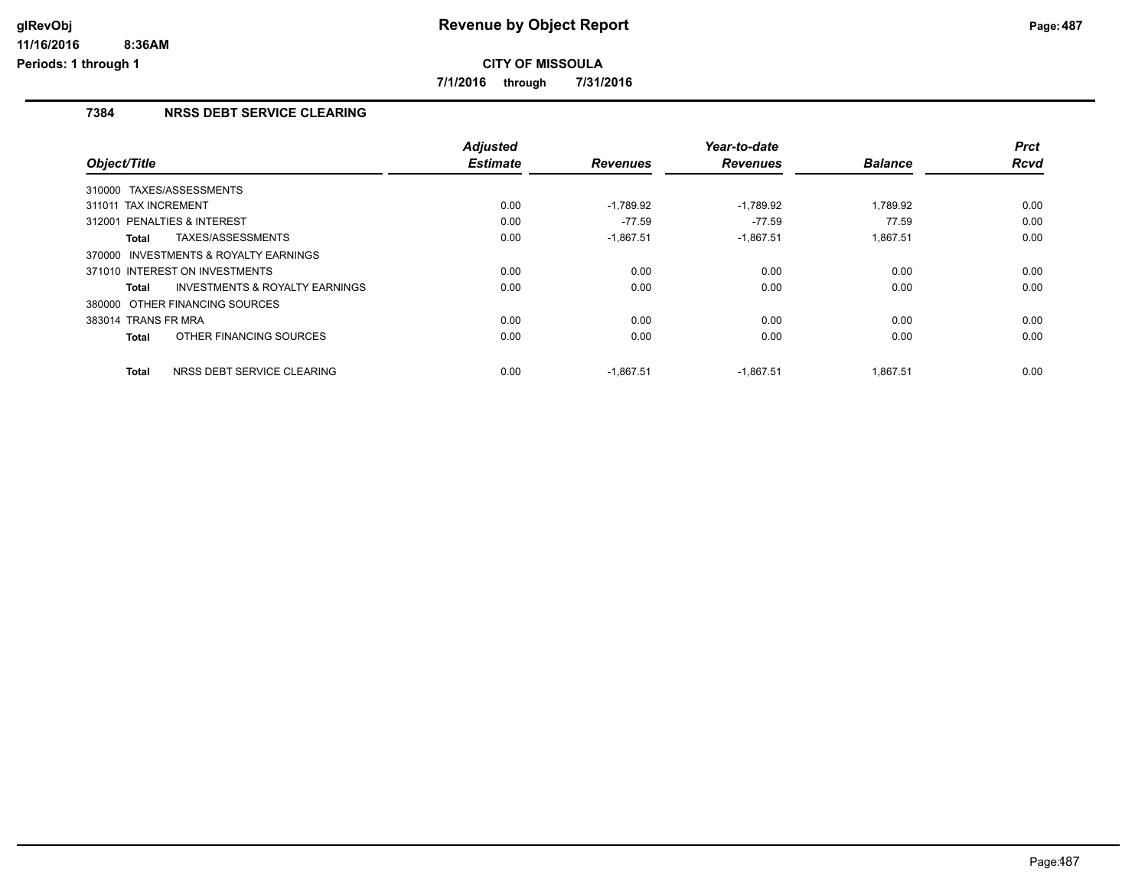**CITY OF MISSOULA**

**7/1/2016 through 7/31/2016**

#### **7384 NRSS DEBT SERVICE CLEARING**

|                                                    | <b>Adjusted</b> |                 | Year-to-date    |                | <b>Prct</b> |
|----------------------------------------------------|-----------------|-----------------|-----------------|----------------|-------------|
| Object/Title                                       | <b>Estimate</b> | <b>Revenues</b> | <b>Revenues</b> | <b>Balance</b> | <b>Rcvd</b> |
| 310000 TAXES/ASSESSMENTS                           |                 |                 |                 |                |             |
| 311011 TAX INCREMENT                               | 0.00            | $-1.789.92$     | -1.789.92       | 1.789.92       | 0.00        |
| PENALTIES & INTEREST<br>312001                     | 0.00            | $-77.59$        | $-77.59$        | 77.59          | 0.00        |
| TAXES/ASSESSMENTS<br>Total                         | 0.00            | $-1.867.51$     | $-1.867.51$     | 1.867.51       | 0.00        |
| 370000 INVESTMENTS & ROYALTY EARNINGS              |                 |                 |                 |                |             |
| 371010 INTEREST ON INVESTMENTS                     | 0.00            | 0.00            | 0.00            | 0.00           | 0.00        |
| <b>INVESTMENTS &amp; ROYALTY EARNINGS</b><br>Total | 0.00            | 0.00            | 0.00            | 0.00           | 0.00        |
| 380000 OTHER FINANCING SOURCES                     |                 |                 |                 |                |             |
| 383014 TRANS FR MRA                                | 0.00            | 0.00            | 0.00            | 0.00           | 0.00        |
| OTHER FINANCING SOURCES<br>Total                   | 0.00            | 0.00            | 0.00            | 0.00           | 0.00        |
| NRSS DEBT SERVICE CLEARING<br>Total                | 0.00            | $-1.867.51$     | $-1.867.51$     | 1.867.51       | 0.00        |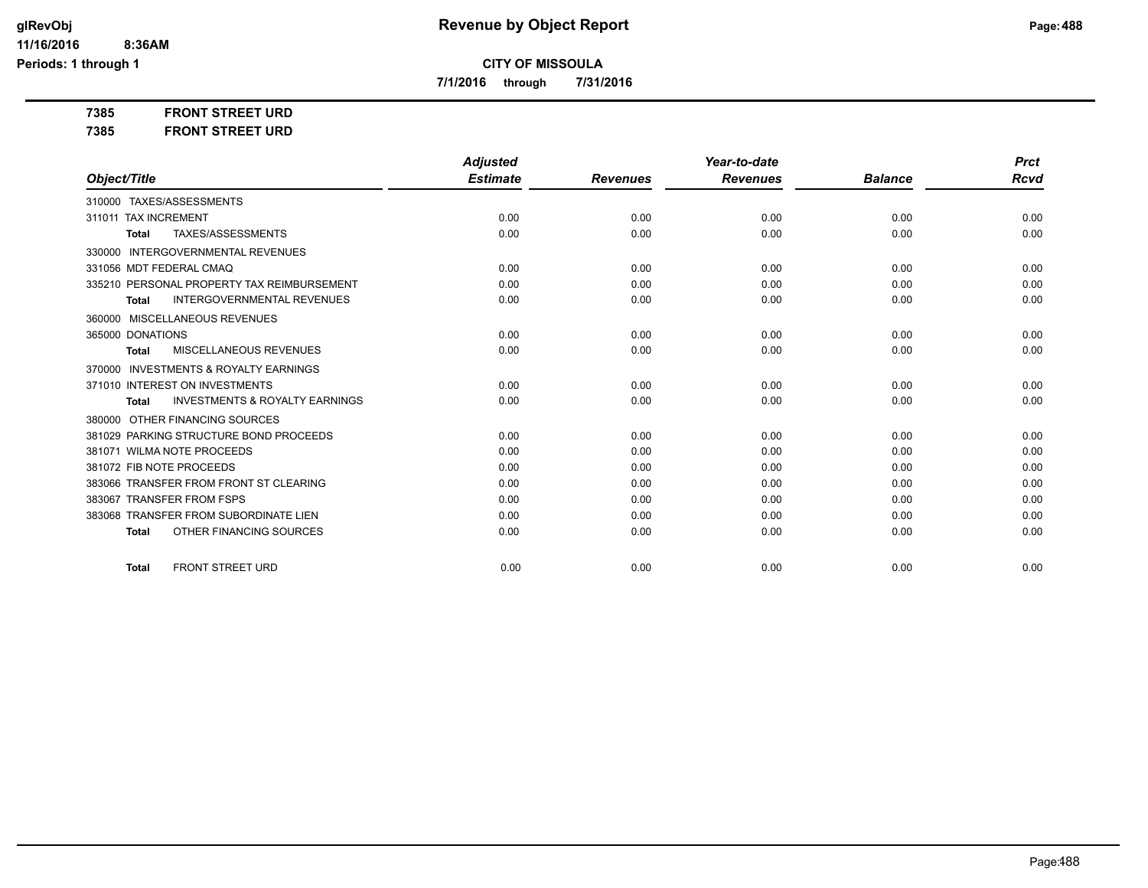**CITY OF MISSOULA**

**7/1/2016 through 7/31/2016**

**7385 FRONT STREET URD**

**7385 FRONT STREET URD**

|                                                           | <b>Adjusted</b> |                 | Year-to-date    |                | <b>Prct</b> |
|-----------------------------------------------------------|-----------------|-----------------|-----------------|----------------|-------------|
| Object/Title                                              | <b>Estimate</b> | <b>Revenues</b> | <b>Revenues</b> | <b>Balance</b> | <b>Rcvd</b> |
| 310000 TAXES/ASSESSMENTS                                  |                 |                 |                 |                |             |
| 311011 TAX INCREMENT                                      | 0.00            | 0.00            | 0.00            | 0.00           | 0.00        |
| TAXES/ASSESSMENTS<br><b>Total</b>                         | 0.00            | 0.00            | 0.00            | 0.00           | 0.00        |
| 330000 INTERGOVERNMENTAL REVENUES                         |                 |                 |                 |                |             |
| 331056 MDT FEDERAL CMAQ                                   | 0.00            | 0.00            | 0.00            | 0.00           | 0.00        |
| 335210 PERSONAL PROPERTY TAX REIMBURSEMENT                | 0.00            | 0.00            | 0.00            | 0.00           | 0.00        |
| <b>INTERGOVERNMENTAL REVENUES</b><br>Total                | 0.00            | 0.00            | 0.00            | 0.00           | 0.00        |
| 360000 MISCELLANEOUS REVENUES                             |                 |                 |                 |                |             |
| 365000 DONATIONS                                          | 0.00            | 0.00            | 0.00            | 0.00           | 0.00        |
| MISCELLANEOUS REVENUES<br><b>Total</b>                    | 0.00            | 0.00            | 0.00            | 0.00           | 0.00        |
| INVESTMENTS & ROYALTY EARNINGS<br>370000                  |                 |                 |                 |                |             |
| 371010 INTEREST ON INVESTMENTS                            | 0.00            | 0.00            | 0.00            | 0.00           | 0.00        |
| <b>INVESTMENTS &amp; ROYALTY EARNINGS</b><br><b>Total</b> | 0.00            | 0.00            | 0.00            | 0.00           | 0.00        |
| 380000 OTHER FINANCING SOURCES                            |                 |                 |                 |                |             |
| 381029 PARKING STRUCTURE BOND PROCEEDS                    | 0.00            | 0.00            | 0.00            | 0.00           | 0.00        |
| 381071 WILMA NOTE PROCEEDS                                | 0.00            | 0.00            | 0.00            | 0.00           | 0.00        |
| 381072 FIB NOTE PROCEEDS                                  | 0.00            | 0.00            | 0.00            | 0.00           | 0.00        |
| 383066 TRANSFER FROM FRONT ST CLEARING                    | 0.00            | 0.00            | 0.00            | 0.00           | 0.00        |
| 383067 TRANSFER FROM FSPS                                 | 0.00            | 0.00            | 0.00            | 0.00           | 0.00        |
| 383068 TRANSFER FROM SUBORDINATE LIEN                     | 0.00            | 0.00            | 0.00            | 0.00           | 0.00        |
| OTHER FINANCING SOURCES<br><b>Total</b>                   | 0.00            | 0.00            | 0.00            | 0.00           | 0.00        |
|                                                           |                 |                 |                 |                |             |
| <b>FRONT STREET URD</b><br>Total                          | 0.00            | 0.00            | 0.00            | 0.00           | 0.00        |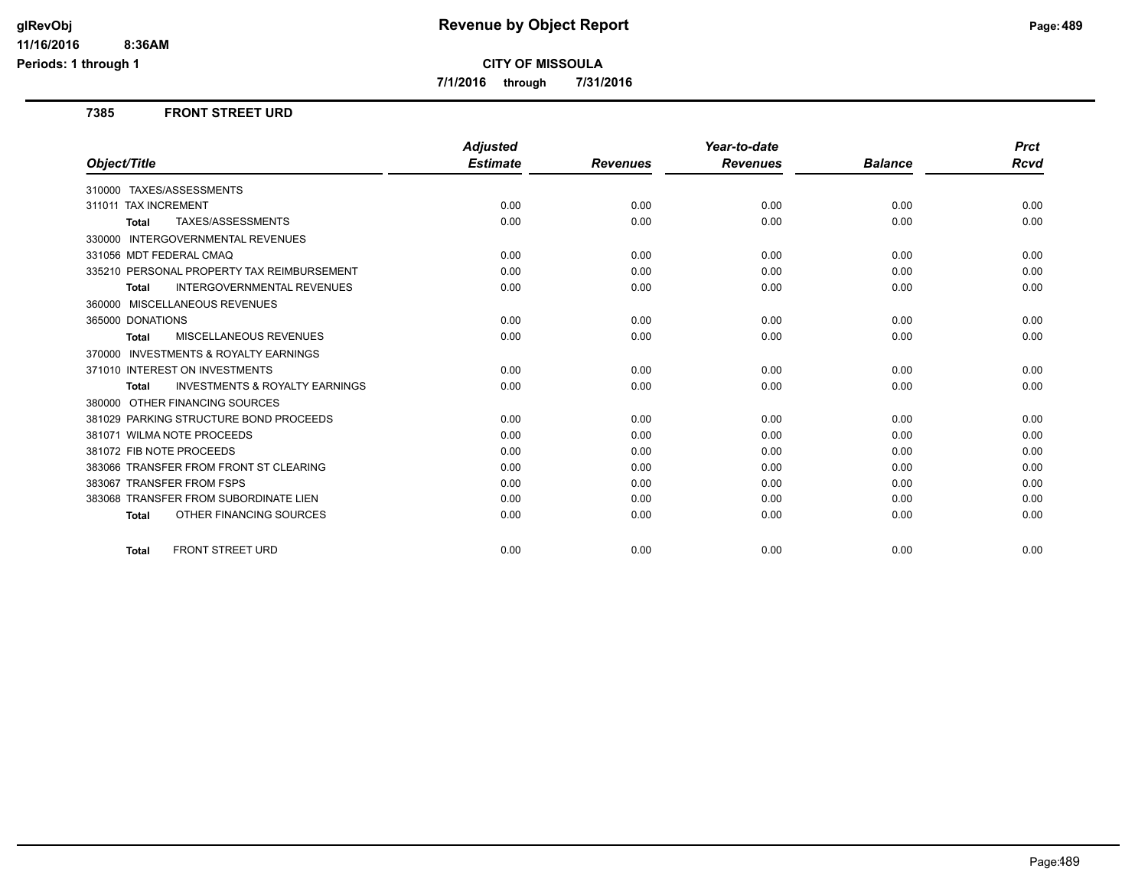**CITY OF MISSOULA**

**7/1/2016 through 7/31/2016**

#### **7385 FRONT STREET URD**

|                                                           | <b>Adjusted</b> |                 | Year-to-date    |                | <b>Prct</b> |
|-----------------------------------------------------------|-----------------|-----------------|-----------------|----------------|-------------|
| Object/Title                                              | <b>Estimate</b> | <b>Revenues</b> | <b>Revenues</b> | <b>Balance</b> | <b>Rcvd</b> |
| 310000 TAXES/ASSESSMENTS                                  |                 |                 |                 |                |             |
| 311011 TAX INCREMENT                                      | 0.00            | 0.00            | 0.00            | 0.00           | 0.00        |
| TAXES/ASSESSMENTS<br>Total                                | 0.00            | 0.00            | 0.00            | 0.00           | 0.00        |
| 330000 INTERGOVERNMENTAL REVENUES                         |                 |                 |                 |                |             |
| 331056 MDT FEDERAL CMAQ                                   | 0.00            | 0.00            | 0.00            | 0.00           | 0.00        |
| 335210 PERSONAL PROPERTY TAX REIMBURSEMENT                | 0.00            | 0.00            | 0.00            | 0.00           | 0.00        |
| <b>INTERGOVERNMENTAL REVENUES</b><br><b>Total</b>         | 0.00            | 0.00            | 0.00            | 0.00           | 0.00        |
| 360000 MISCELLANEOUS REVENUES                             |                 |                 |                 |                |             |
| 365000 DONATIONS                                          | 0.00            | 0.00            | 0.00            | 0.00           | 0.00        |
| <b>MISCELLANEOUS REVENUES</b><br><b>Total</b>             | 0.00            | 0.00            | 0.00            | 0.00           | 0.00        |
| 370000 INVESTMENTS & ROYALTY EARNINGS                     |                 |                 |                 |                |             |
| 371010 INTEREST ON INVESTMENTS                            | 0.00            | 0.00            | 0.00            | 0.00           | 0.00        |
| <b>INVESTMENTS &amp; ROYALTY EARNINGS</b><br><b>Total</b> | 0.00            | 0.00            | 0.00            | 0.00           | 0.00        |
| 380000 OTHER FINANCING SOURCES                            |                 |                 |                 |                |             |
| 381029 PARKING STRUCTURE BOND PROCEEDS                    | 0.00            | 0.00            | 0.00            | 0.00           | 0.00        |
| 381071 WILMA NOTE PROCEEDS                                | 0.00            | 0.00            | 0.00            | 0.00           | 0.00        |
| 381072 FIB NOTE PROCEEDS                                  | 0.00            | 0.00            | 0.00            | 0.00           | 0.00        |
| 383066 TRANSFER FROM FRONT ST CLEARING                    | 0.00            | 0.00            | 0.00            | 0.00           | 0.00        |
| 383067 TRANSFER FROM FSPS                                 | 0.00            | 0.00            | 0.00            | 0.00           | 0.00        |
| 383068 TRANSFER FROM SUBORDINATE LIEN                     | 0.00            | 0.00            | 0.00            | 0.00           | 0.00        |
| OTHER FINANCING SOURCES<br><b>Total</b>                   | 0.00            | 0.00            | 0.00            | 0.00           | 0.00        |
| <b>FRONT STREET URD</b><br><b>Total</b>                   | 0.00            | 0.00            | 0.00            | 0.00           | 0.00        |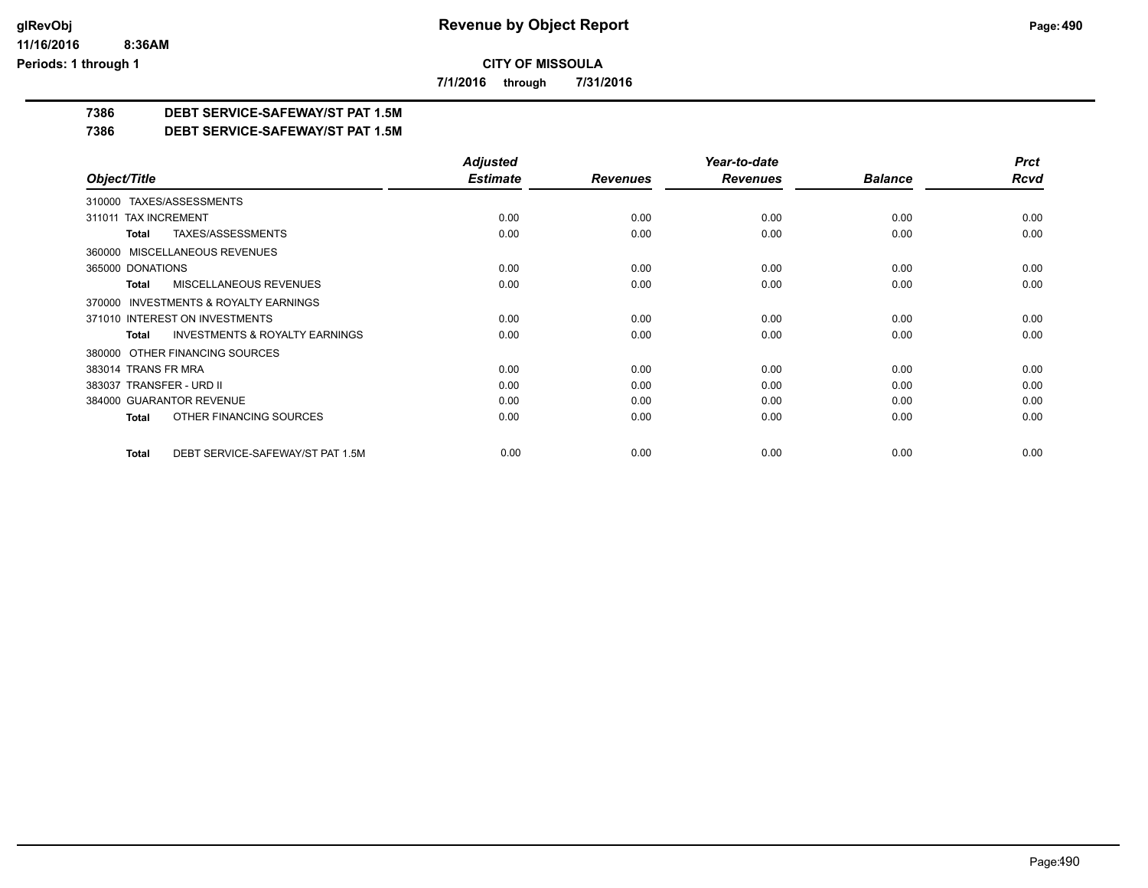**11/16/2016 8:36AM Periods: 1 through 1**

**CITY OF MISSOULA**

**7/1/2016 through 7/31/2016**

### **7386 DEBT SERVICE-SAFEWAY/ST PAT 1.5M**

#### **7386 DEBT SERVICE-SAFEWAY/ST PAT 1.5M**

|                                                     | <b>Adjusted</b> |                 | Year-to-date    |                | <b>Prct</b> |
|-----------------------------------------------------|-----------------|-----------------|-----------------|----------------|-------------|
| Object/Title                                        | <b>Estimate</b> | <b>Revenues</b> | <b>Revenues</b> | <b>Balance</b> | <b>Rcvd</b> |
| 310000 TAXES/ASSESSMENTS                            |                 |                 |                 |                |             |
| 311011 TAX INCREMENT                                | 0.00            | 0.00            | 0.00            | 0.00           | 0.00        |
| TAXES/ASSESSMENTS<br>Total                          | 0.00            | 0.00            | 0.00            | 0.00           | 0.00        |
| 360000 MISCELLANEOUS REVENUES                       |                 |                 |                 |                |             |
| 365000 DONATIONS                                    | 0.00            | 0.00            | 0.00            | 0.00           | 0.00        |
| <b>MISCELLANEOUS REVENUES</b><br>Total              | 0.00            | 0.00            | 0.00            | 0.00           | 0.00        |
| <b>INVESTMENTS &amp; ROYALTY EARNINGS</b><br>370000 |                 |                 |                 |                |             |
| 371010 INTEREST ON INVESTMENTS                      | 0.00            | 0.00            | 0.00            | 0.00           | 0.00        |
| <b>INVESTMENTS &amp; ROYALTY EARNINGS</b><br>Total  | 0.00            | 0.00            | 0.00            | 0.00           | 0.00        |
| 380000 OTHER FINANCING SOURCES                      |                 |                 |                 |                |             |
| 383014 TRANS FR MRA                                 | 0.00            | 0.00            | 0.00            | 0.00           | 0.00        |
| 383037 TRANSFER - URD II                            | 0.00            | 0.00            | 0.00            | 0.00           | 0.00        |
| 384000 GUARANTOR REVENUE                            | 0.00            | 0.00            | 0.00            | 0.00           | 0.00        |
| OTHER FINANCING SOURCES<br>Total                    | 0.00            | 0.00            | 0.00            | 0.00           | 0.00        |
| DEBT SERVICE-SAFEWAY/ST PAT 1.5M<br>Total           | 0.00            | 0.00            | 0.00            | 0.00           | 0.00        |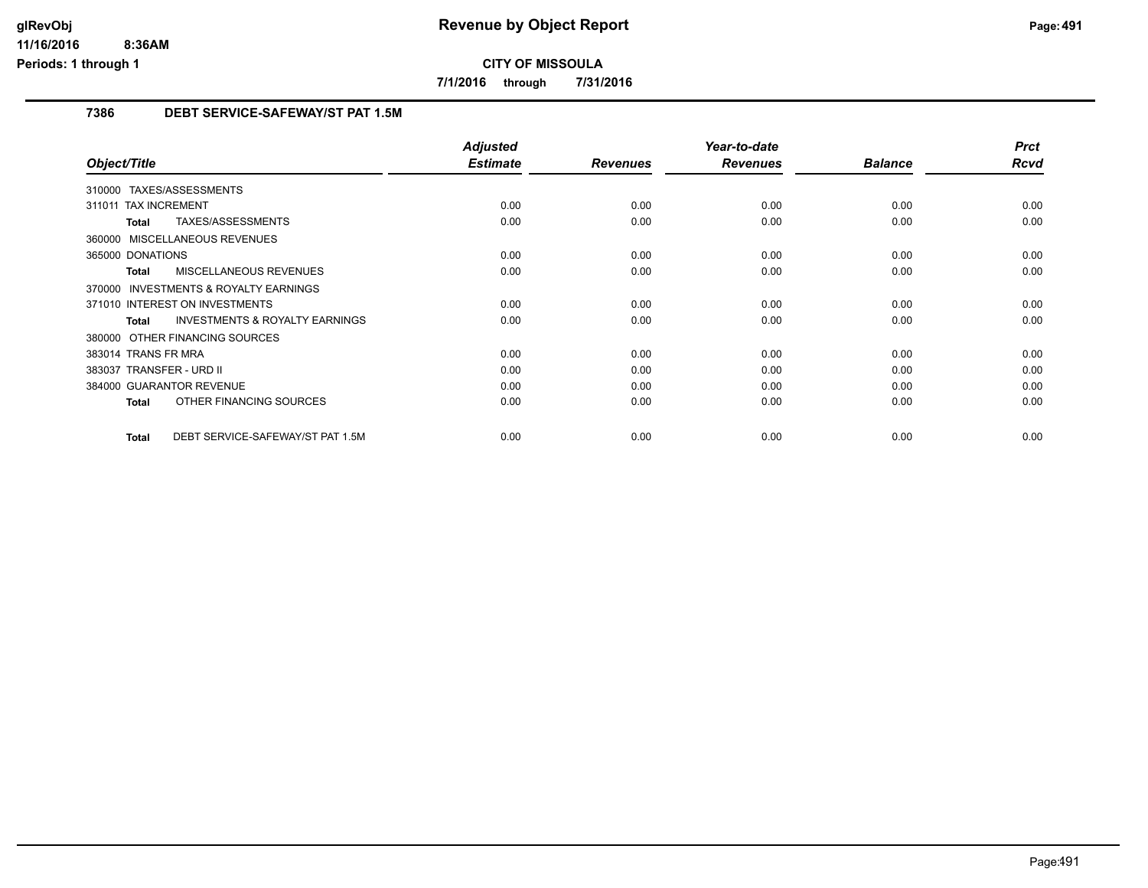**8:36AM**

**CITY OF MISSOULA**

**7/1/2016 through 7/31/2016**

#### **7386 DEBT SERVICE-SAFEWAY/ST PAT 1.5M**

|                                                     | <b>Adjusted</b> |                 | Year-to-date    |                | <b>Prct</b> |
|-----------------------------------------------------|-----------------|-----------------|-----------------|----------------|-------------|
| Object/Title                                        | <b>Estimate</b> | <b>Revenues</b> | <b>Revenues</b> | <b>Balance</b> | <b>Rcvd</b> |
| 310000 TAXES/ASSESSMENTS                            |                 |                 |                 |                |             |
| <b>TAX INCREMENT</b><br>311011                      | 0.00            | 0.00            | 0.00            | 0.00           | 0.00        |
| TAXES/ASSESSMENTS<br>Total                          | 0.00            | 0.00            | 0.00            | 0.00           | 0.00        |
| 360000 MISCELLANEOUS REVENUES                       |                 |                 |                 |                |             |
| 365000 DONATIONS                                    | 0.00            | 0.00            | 0.00            | 0.00           | 0.00        |
| <b>MISCELLANEOUS REVENUES</b><br>Total              | 0.00            | 0.00            | 0.00            | 0.00           | 0.00        |
| <b>INVESTMENTS &amp; ROYALTY EARNINGS</b><br>370000 |                 |                 |                 |                |             |
| 371010 INTEREST ON INVESTMENTS                      | 0.00            | 0.00            | 0.00            | 0.00           | 0.00        |
| <b>INVESTMENTS &amp; ROYALTY EARNINGS</b><br>Total  | 0.00            | 0.00            | 0.00            | 0.00           | 0.00        |
| 380000 OTHER FINANCING SOURCES                      |                 |                 |                 |                |             |
| 383014 TRANS FR MRA                                 | 0.00            | 0.00            | 0.00            | 0.00           | 0.00        |
| 383037 TRANSFER - URD II                            | 0.00            | 0.00            | 0.00            | 0.00           | 0.00        |
| 384000 GUARANTOR REVENUE                            | 0.00            | 0.00            | 0.00            | 0.00           | 0.00        |
| OTHER FINANCING SOURCES<br>Total                    | 0.00            | 0.00            | 0.00            | 0.00           | 0.00        |
| DEBT SERVICE-SAFEWAY/ST PAT 1.5M<br><b>Total</b>    | 0.00            | 0.00            | 0.00            | 0.00           | 0.00        |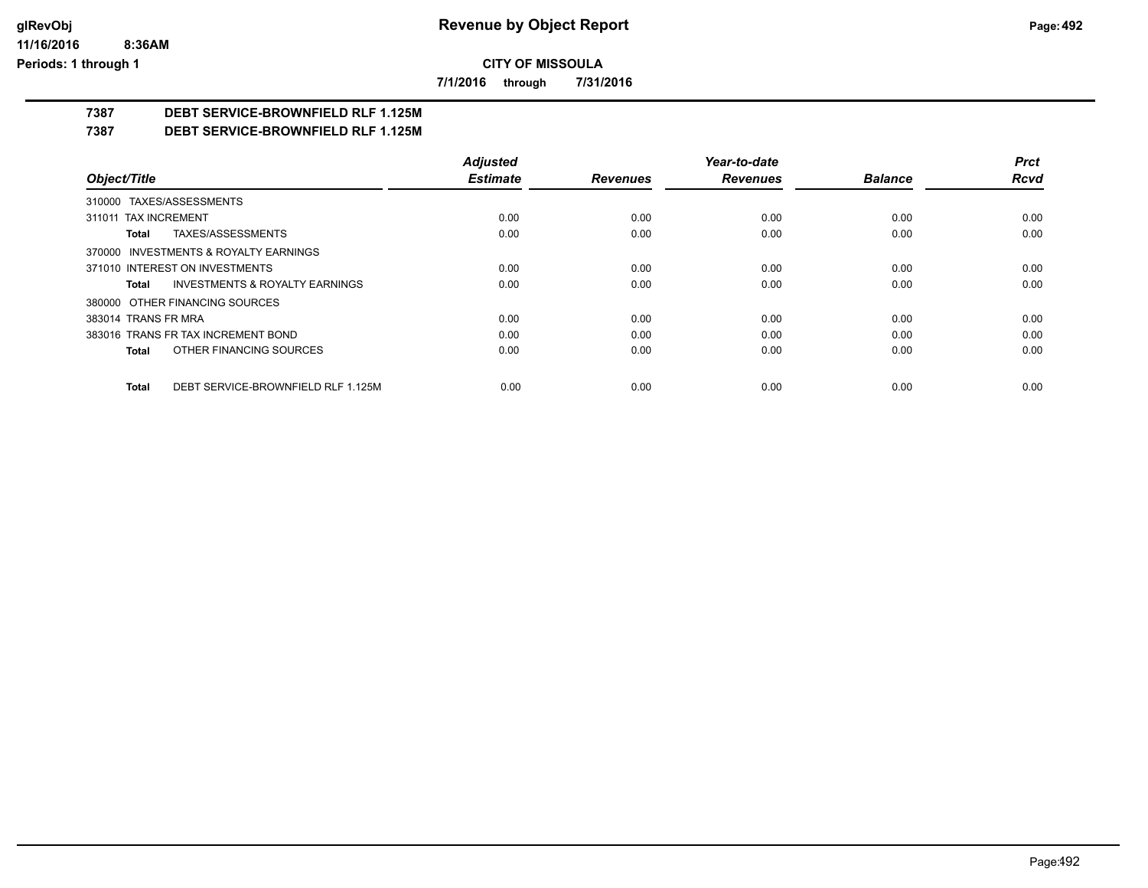**11/16/2016 8:36AM Periods: 1 through 1**

**CITY OF MISSOULA**

**7/1/2016 through 7/31/2016**

# **7387 DEBT SERVICE-BROWNFIELD RLF 1.125M**

**7387 DEBT SERVICE-BROWNFIELD RLF 1.125M**

|                                                    | <b>Adjusted</b> |                 | Year-to-date    |                | <b>Prct</b> |
|----------------------------------------------------|-----------------|-----------------|-----------------|----------------|-------------|
| Object/Title                                       | <b>Estimate</b> | <b>Revenues</b> | <b>Revenues</b> | <b>Balance</b> | <b>Rcvd</b> |
| TAXES/ASSESSMENTS<br>310000                        |                 |                 |                 |                |             |
| 311011 TAX INCREMENT                               | 0.00            | 0.00            | 0.00            | 0.00           | 0.00        |
| TAXES/ASSESSMENTS<br>Total                         | 0.00            | 0.00            | 0.00            | 0.00           | 0.00        |
| 370000 INVESTMENTS & ROYALTY EARNINGS              |                 |                 |                 |                |             |
| 371010 INTEREST ON INVESTMENTS                     | 0.00            | 0.00            | 0.00            | 0.00           | 0.00        |
| <b>INVESTMENTS &amp; ROYALTY EARNINGS</b><br>Total | 0.00            | 0.00            | 0.00            | 0.00           | 0.00        |
| 380000 OTHER FINANCING SOURCES                     |                 |                 |                 |                |             |
| 383014 TRANS FR MRA                                | 0.00            | 0.00            | 0.00            | 0.00           | 0.00        |
| 383016 TRANS FR TAX INCREMENT BOND                 | 0.00            | 0.00            | 0.00            | 0.00           | 0.00        |
| OTHER FINANCING SOURCES<br><b>Total</b>            | 0.00            | 0.00            | 0.00            | 0.00           | 0.00        |
| DEBT SERVICE-BROWNFIELD RLF 1.125M<br>Total        | 0.00            | 0.00            | 0.00            | 0.00           | 0.00        |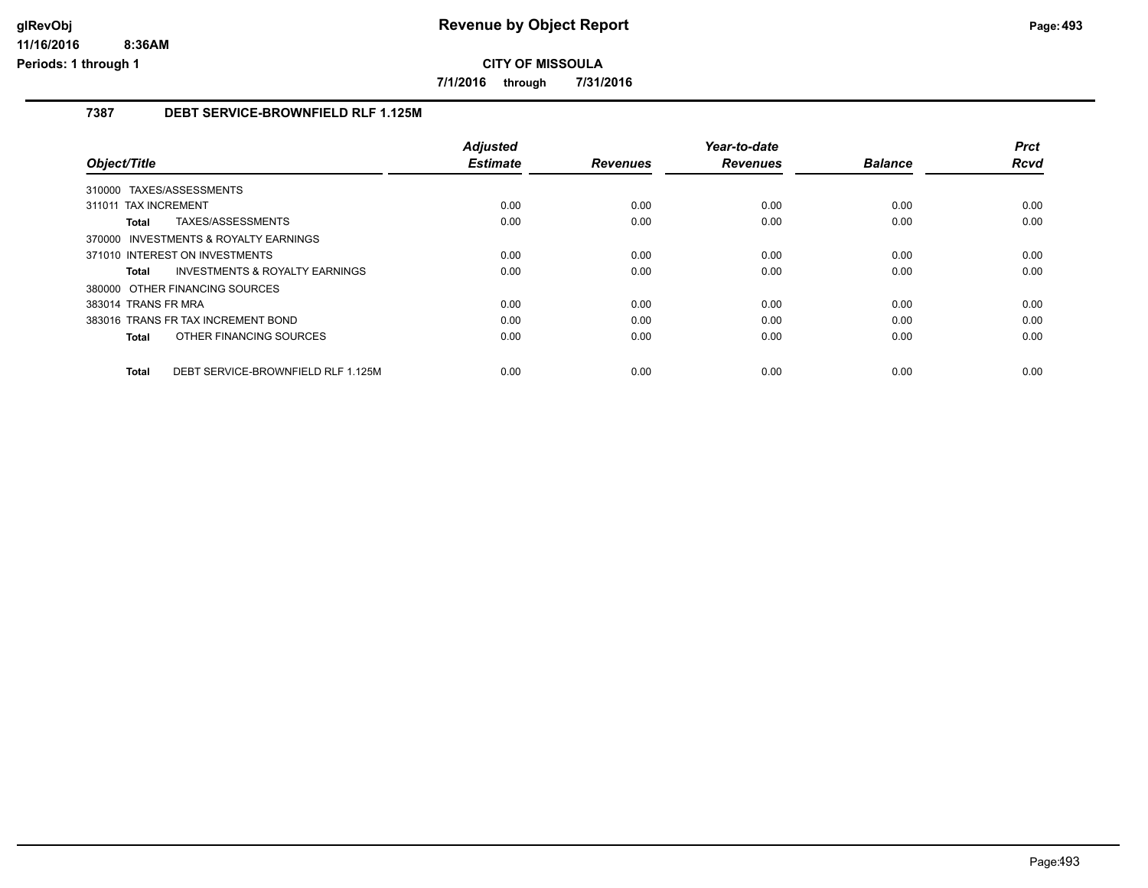**8:36AM**

**CITY OF MISSOULA**

**7/1/2016 through 7/31/2016**

#### **7387 DEBT SERVICE-BROWNFIELD RLF 1.125M**

|                                                    | <b>Adjusted</b> |                 | Year-to-date    |                | <b>Prct</b> |
|----------------------------------------------------|-----------------|-----------------|-----------------|----------------|-------------|
| Object/Title                                       | <b>Estimate</b> | <b>Revenues</b> | <b>Revenues</b> | <b>Balance</b> | <b>Rcvd</b> |
| 310000 TAXES/ASSESSMENTS                           |                 |                 |                 |                |             |
| 311011 TAX INCREMENT                               | 0.00            | 0.00            | 0.00            | 0.00           | 0.00        |
| TAXES/ASSESSMENTS<br>Total                         | 0.00            | 0.00            | 0.00            | 0.00           | 0.00        |
| 370000 INVESTMENTS & ROYALTY EARNINGS              |                 |                 |                 |                |             |
| 371010 INTEREST ON INVESTMENTS                     | 0.00            | 0.00            | 0.00            | 0.00           | 0.00        |
| INVESTMENTS & ROYALTY EARNINGS<br>Total            | 0.00            | 0.00            | 0.00            | 0.00           | 0.00        |
| 380000 OTHER FINANCING SOURCES                     |                 |                 |                 |                |             |
| 383014 TRANS FR MRA                                | 0.00            | 0.00            | 0.00            | 0.00           | 0.00        |
| 383016 TRANS FR TAX INCREMENT BOND                 | 0.00            | 0.00            | 0.00            | 0.00           | 0.00        |
| OTHER FINANCING SOURCES<br>Total                   | 0.00            | 0.00            | 0.00            | 0.00           | 0.00        |
| DEBT SERVICE-BROWNFIELD RLF 1.125M<br><b>Total</b> | 0.00            | 0.00            | 0.00            | 0.00           | 0.00        |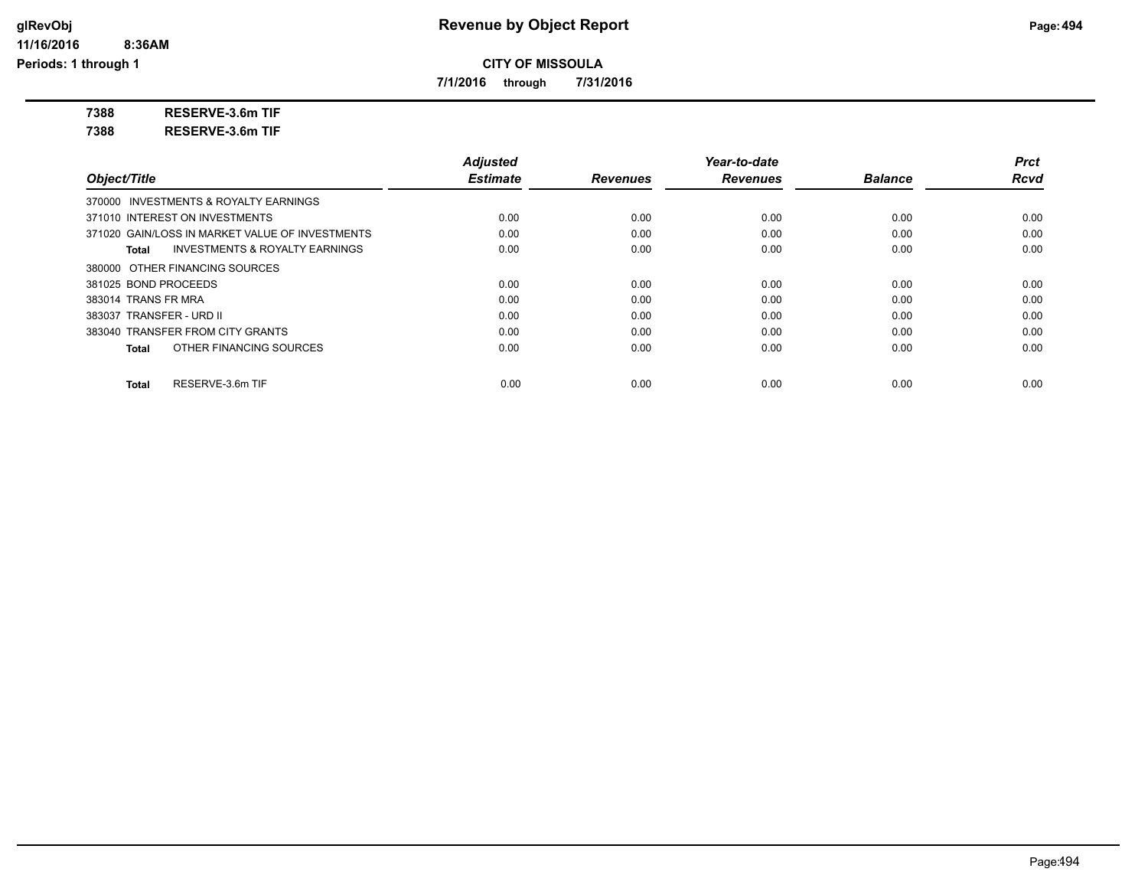**CITY OF MISSOULA**

**7/1/2016 through 7/31/2016**

**7388 RESERVE-3.6m TIF**

**7388 RESERVE-3.6m TIF**

|                                                    | <b>Adjusted</b> |                 | Year-to-date    |                | <b>Prct</b> |
|----------------------------------------------------|-----------------|-----------------|-----------------|----------------|-------------|
| Object/Title                                       | <b>Estimate</b> | <b>Revenues</b> | <b>Revenues</b> | <b>Balance</b> | <b>Rcvd</b> |
| 370000 INVESTMENTS & ROYALTY EARNINGS              |                 |                 |                 |                |             |
| 371010 INTEREST ON INVESTMENTS                     | 0.00            | 0.00            | 0.00            | 0.00           | 0.00        |
| 371020 GAIN/LOSS IN MARKET VALUE OF INVESTMENTS    | 0.00            | 0.00            | 0.00            | 0.00           | 0.00        |
| <b>INVESTMENTS &amp; ROYALTY EARNINGS</b><br>Total | 0.00            | 0.00            | 0.00            | 0.00           | 0.00        |
| 380000 OTHER FINANCING SOURCES                     |                 |                 |                 |                |             |
| 381025 BOND PROCEEDS                               | 0.00            | 0.00            | 0.00            | 0.00           | 0.00        |
| 383014 TRANS FR MRA                                | 0.00            | 0.00            | 0.00            | 0.00           | 0.00        |
| 383037 TRANSFER - URD II                           | 0.00            | 0.00            | 0.00            | 0.00           | 0.00        |
| 383040 TRANSFER FROM CITY GRANTS                   | 0.00            | 0.00            | 0.00            | 0.00           | 0.00        |
| OTHER FINANCING SOURCES<br>Total                   | 0.00            | 0.00            | 0.00            | 0.00           | 0.00        |
| RESERVE-3.6m TIF<br>Total                          | 0.00            | 0.00            | 0.00            | 0.00           | 0.00        |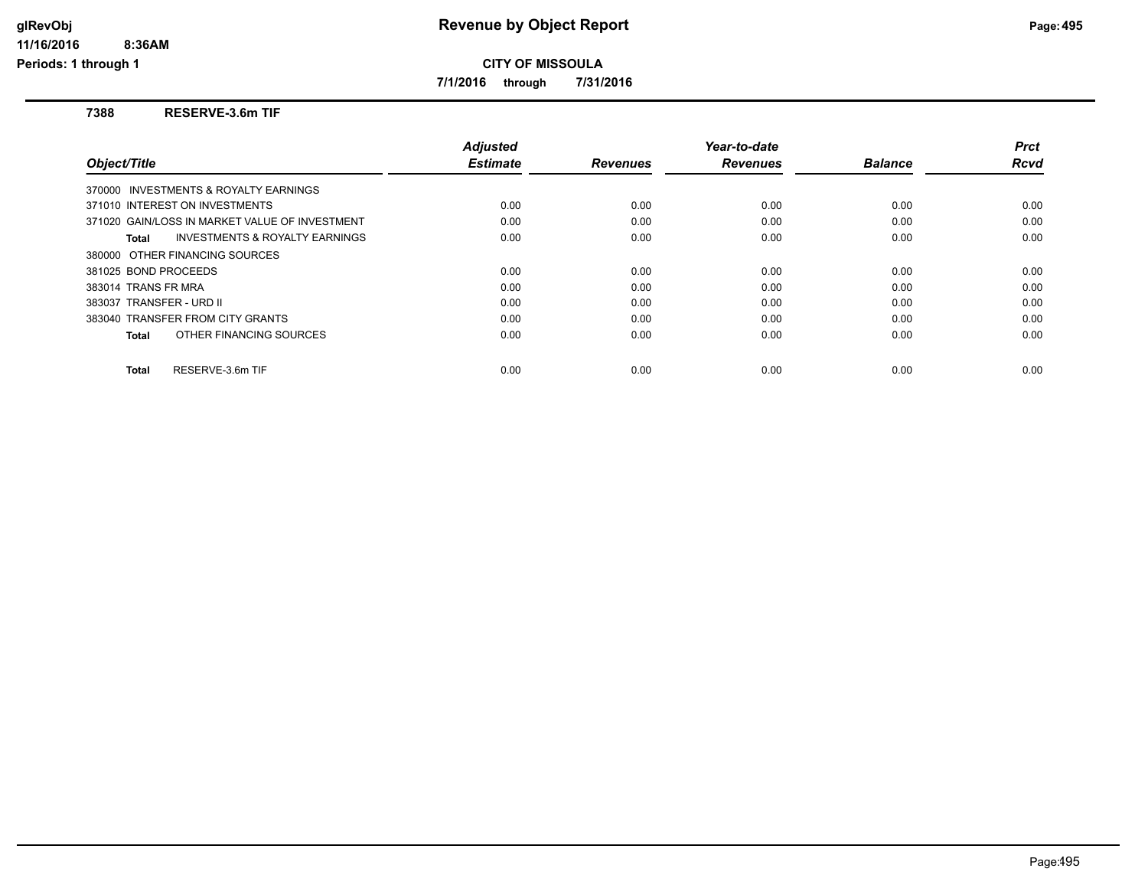**11/16/2016 8:36AM Periods: 1 through 1**

**CITY OF MISSOULA**

**7/1/2016 through 7/31/2016**

#### **7388 RESERVE-3.6m TIF**

| Object/Title                                   | <b>Adjusted</b><br><b>Estimate</b> | <b>Revenues</b> | Year-to-date<br><b>Revenues</b> | <b>Balance</b> | <b>Prct</b><br><b>Rcvd</b> |
|------------------------------------------------|------------------------------------|-----------------|---------------------------------|----------------|----------------------------|
| 370000 INVESTMENTS & ROYALTY EARNINGS          |                                    |                 |                                 |                |                            |
| 371010 INTEREST ON INVESTMENTS                 | 0.00                               | 0.00            | 0.00                            | 0.00           | 0.00                       |
| 371020 GAIN/LOSS IN MARKET VALUE OF INVESTMENT | 0.00                               | 0.00            | 0.00                            | 0.00           | 0.00                       |
| INVESTMENTS & ROYALTY EARNINGS<br><b>Total</b> | 0.00                               | 0.00            | 0.00                            | 0.00           | 0.00                       |
| 380000 OTHER FINANCING SOURCES                 |                                    |                 |                                 |                |                            |
| 381025 BOND PROCEEDS                           | 0.00                               | 0.00            | 0.00                            | 0.00           | 0.00                       |
| 383014 TRANS FR MRA                            | 0.00                               | 0.00            | 0.00                            | 0.00           | 0.00                       |
| 383037 TRANSFER - URD II                       | 0.00                               | 0.00            | 0.00                            | 0.00           | 0.00                       |
| 383040 TRANSFER FROM CITY GRANTS               | 0.00                               | 0.00            | 0.00                            | 0.00           | 0.00                       |
| OTHER FINANCING SOURCES<br>Total               | 0.00                               | 0.00            | 0.00                            | 0.00           | 0.00                       |
| RESERVE-3.6m TIF<br><b>Total</b>               | 0.00                               | 0.00            | 0.00                            | 0.00           | 0.00                       |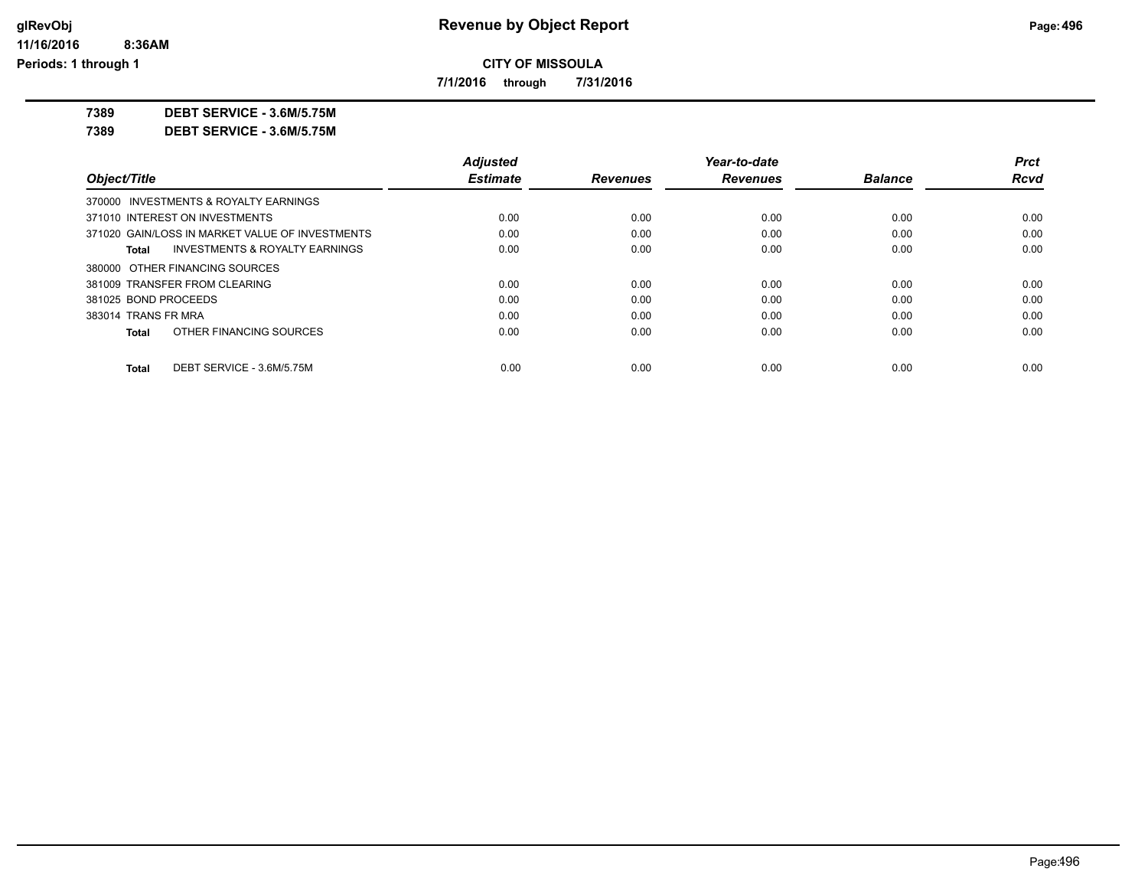**CITY OF MISSOULA**

**7/1/2016 through 7/31/2016**

**7389 DEBT SERVICE - 3.6M/5.75M**

 **8:36AM**

**7389 DEBT SERVICE - 3.6M/5.75M**

|                                                    | <b>Adjusted</b> |                 | Year-to-date    |                | <b>Prct</b> |
|----------------------------------------------------|-----------------|-----------------|-----------------|----------------|-------------|
| Object/Title                                       | <b>Estimate</b> | <b>Revenues</b> | <b>Revenues</b> | <b>Balance</b> | <b>Rcvd</b> |
| 370000 INVESTMENTS & ROYALTY EARNINGS              |                 |                 |                 |                |             |
| 371010 INTEREST ON INVESTMENTS                     | 0.00            | 0.00            | 0.00            | 0.00           | 0.00        |
| 371020 GAIN/LOSS IN MARKET VALUE OF INVESTMENTS    | 0.00            | 0.00            | 0.00            | 0.00           | 0.00        |
| <b>INVESTMENTS &amp; ROYALTY EARNINGS</b><br>Total | 0.00            | 0.00            | 0.00            | 0.00           | 0.00        |
| 380000 OTHER FINANCING SOURCES                     |                 |                 |                 |                |             |
| 381009 TRANSFER FROM CLEARING                      | 0.00            | 0.00            | 0.00            | 0.00           | 0.00        |
| 381025 BOND PROCEEDS                               | 0.00            | 0.00            | 0.00            | 0.00           | 0.00        |
| 383014 TRANS FR MRA                                | 0.00            | 0.00            | 0.00            | 0.00           | 0.00        |
| OTHER FINANCING SOURCES<br>Total                   | 0.00            | 0.00            | 0.00            | 0.00           | 0.00        |
| DEBT SERVICE - 3.6M/5.75M<br><b>Total</b>          | 0.00            | 0.00            | 0.00            | 0.00           | 0.00        |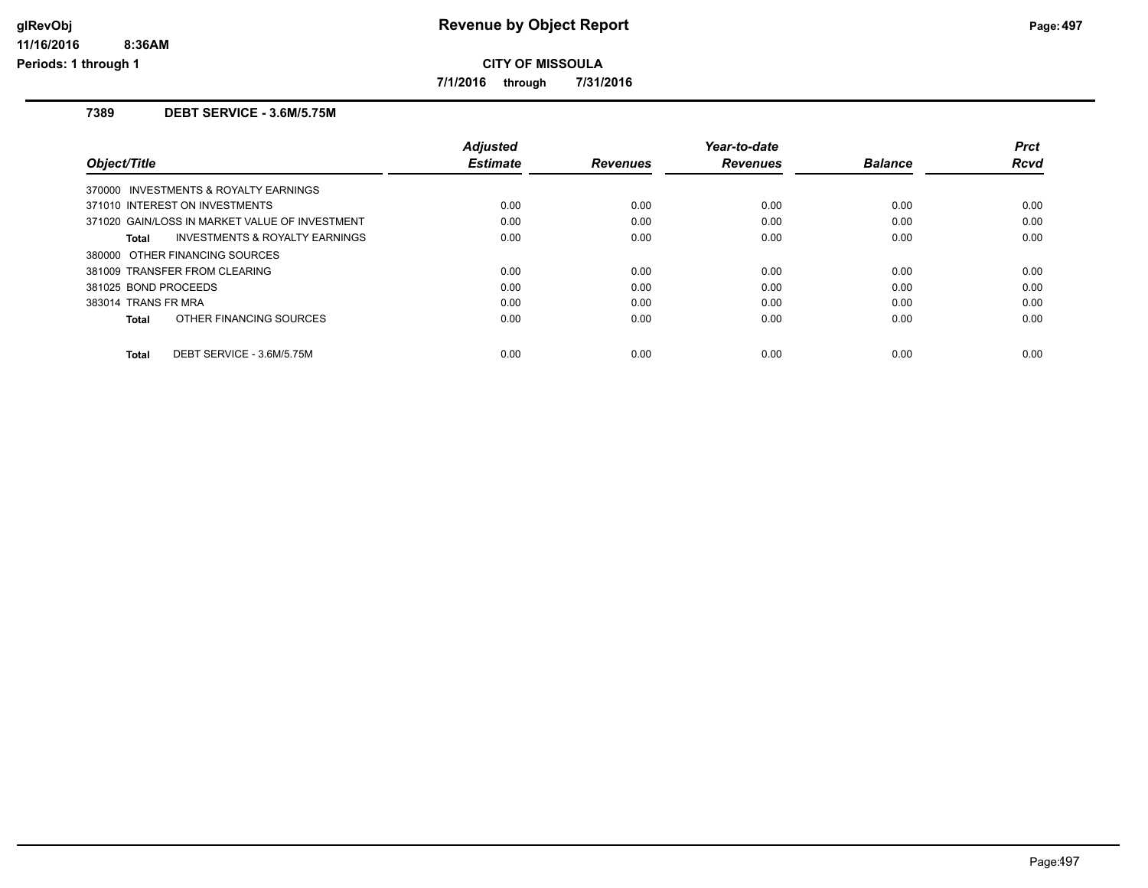**CITY OF MISSOULA**

**7/1/2016 through 7/31/2016**

#### **7389 DEBT SERVICE - 3.6M/5.75M**

| Object/Title                                   | <b>Adjusted</b><br><b>Estimate</b> | <b>Revenues</b> | Year-to-date<br><b>Revenues</b> | <b>Balance</b> | <b>Prct</b><br><b>Rcvd</b> |
|------------------------------------------------|------------------------------------|-----------------|---------------------------------|----------------|----------------------------|
| 370000 INVESTMENTS & ROYALTY EARNINGS          |                                    |                 |                                 |                |                            |
| 371010 INTEREST ON INVESTMENTS                 | 0.00                               | 0.00            | 0.00                            | 0.00           | 0.00                       |
| 371020 GAIN/LOSS IN MARKET VALUE OF INVESTMENT | 0.00                               | 0.00            | 0.00                            | 0.00           | 0.00                       |
| INVESTMENTS & ROYALTY EARNINGS<br>Total        | 0.00                               | 0.00            | 0.00                            | 0.00           | 0.00                       |
| 380000 OTHER FINANCING SOURCES                 |                                    |                 |                                 |                |                            |
| 381009 TRANSFER FROM CLEARING                  | 0.00                               | 0.00            | 0.00                            | 0.00           | 0.00                       |
| 381025 BOND PROCEEDS                           | 0.00                               | 0.00            | 0.00                            | 0.00           | 0.00                       |
| 383014 TRANS FR MRA                            | 0.00                               | 0.00            | 0.00                            | 0.00           | 0.00                       |
| OTHER FINANCING SOURCES<br><b>Total</b>        | 0.00                               | 0.00            | 0.00                            | 0.00           | 0.00                       |
| DEBT SERVICE - 3.6M/5.75M<br><b>Total</b>      | 0.00                               | 0.00            | 0.00                            | 0.00           | 0.00                       |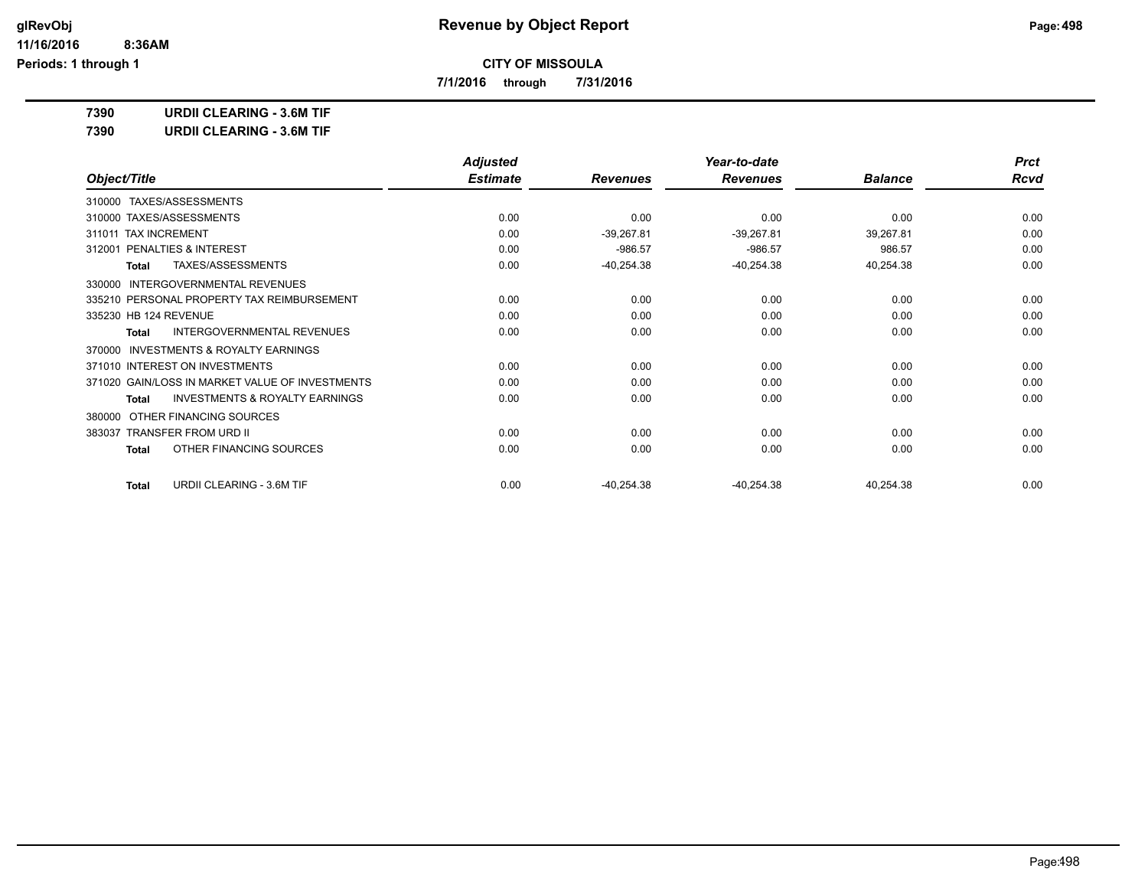**CITY OF MISSOULA**

**7/1/2016 through 7/31/2016**

**7390 URDII CLEARING - 3.6M TIF**

**7390 URDII CLEARING - 3.6M TIF**

|                                                           | <b>Adjusted</b> |                 | Year-to-date    |                |             |
|-----------------------------------------------------------|-----------------|-----------------|-----------------|----------------|-------------|
| Object/Title                                              | <b>Estimate</b> | <b>Revenues</b> | <b>Revenues</b> | <b>Balance</b> | <b>Rcvd</b> |
| TAXES/ASSESSMENTS<br>310000                               |                 |                 |                 |                |             |
| 310000 TAXES/ASSESSMENTS                                  | 0.00            | 0.00            | 0.00            | 0.00           | 0.00        |
| <b>TAX INCREMENT</b><br>311011                            | 0.00            | $-39,267.81$    | $-39,267.81$    | 39,267.81      | 0.00        |
| PENALTIES & INTEREST<br>312001                            | 0.00            | $-986.57$       | $-986.57$       | 986.57         | 0.00        |
| <b>TAXES/ASSESSMENTS</b><br><b>Total</b>                  | 0.00            | $-40,254.38$    | $-40,254.38$    | 40,254.38      | 0.00        |
| INTERGOVERNMENTAL REVENUES<br>330000                      |                 |                 |                 |                |             |
| 335210 PERSONAL PROPERTY TAX REIMBURSEMENT                | 0.00            | 0.00            | 0.00            | 0.00           | 0.00        |
| 335230 HB 124 REVENUE                                     | 0.00            | 0.00            | 0.00            | 0.00           | 0.00        |
| <b>INTERGOVERNMENTAL REVENUES</b><br><b>Total</b>         | 0.00            | 0.00            | 0.00            | 0.00           | 0.00        |
| <b>INVESTMENTS &amp; ROYALTY EARNINGS</b><br>370000       |                 |                 |                 |                |             |
| 371010 INTEREST ON INVESTMENTS                            | 0.00            | 0.00            | 0.00            | 0.00           | 0.00        |
| 371020 GAIN/LOSS IN MARKET VALUE OF INVESTMENTS           | 0.00            | 0.00            | 0.00            | 0.00           | 0.00        |
| <b>INVESTMENTS &amp; ROYALTY EARNINGS</b><br><b>Total</b> | 0.00            | 0.00            | 0.00            | 0.00           | 0.00        |
| OTHER FINANCING SOURCES<br>380000                         |                 |                 |                 |                |             |
| 383037 TRANSFER FROM URD II                               | 0.00            | 0.00            | 0.00            | 0.00           | 0.00        |
| OTHER FINANCING SOURCES<br><b>Total</b>                   | 0.00            | 0.00            | 0.00            | 0.00           | 0.00        |
| <b>URDII CLEARING - 3.6M TIF</b><br><b>Total</b>          | 0.00            | $-40,254.38$    | $-40,254.38$    | 40,254.38      | 0.00        |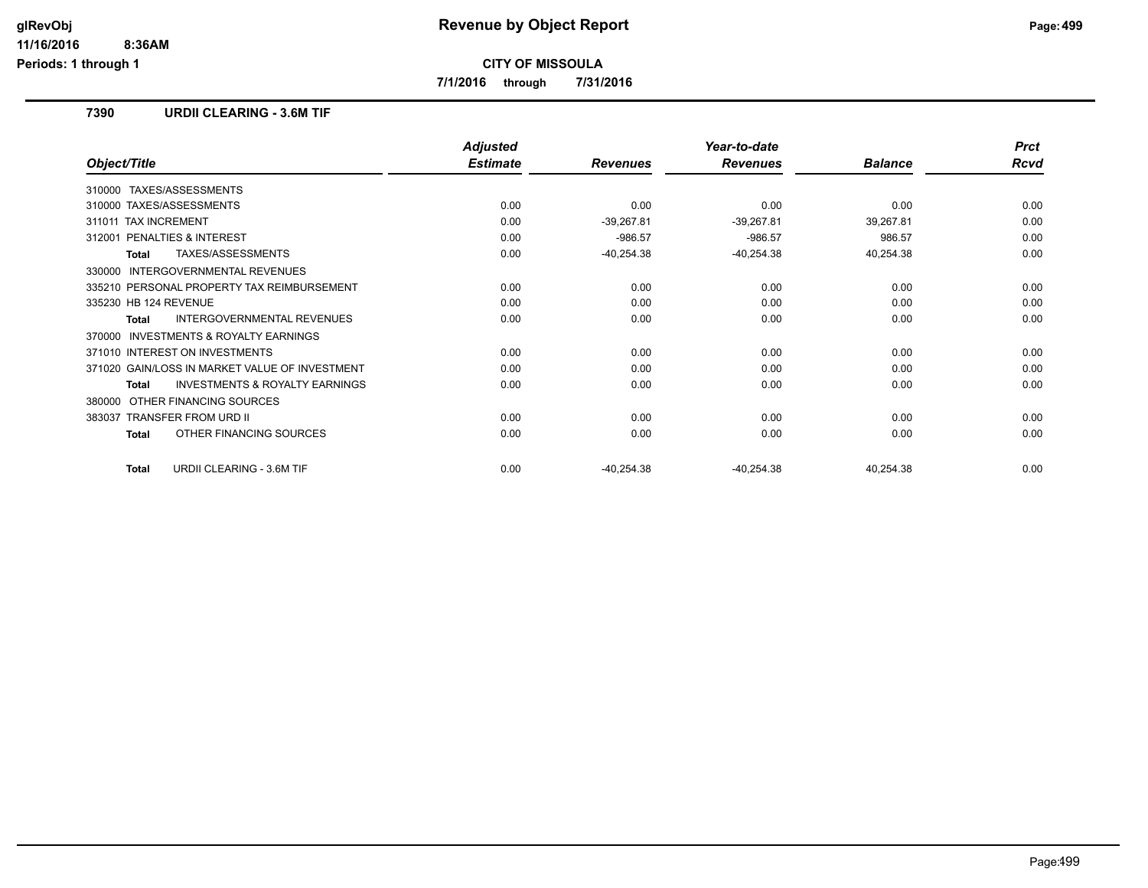**CITY OF MISSOULA**

**7/1/2016 through 7/31/2016**

#### **7390 URDII CLEARING - 3.6M TIF**

|                                                    | <b>Adjusted</b> |                 | Year-to-date    |                | <b>Prct</b> |
|----------------------------------------------------|-----------------|-----------------|-----------------|----------------|-------------|
| Object/Title                                       | <b>Estimate</b> | <b>Revenues</b> | <b>Revenues</b> | <b>Balance</b> | <b>Rcvd</b> |
| TAXES/ASSESSMENTS<br>310000                        |                 |                 |                 |                |             |
| 310000 TAXES/ASSESSMENTS                           | 0.00            | 0.00            | 0.00            | 0.00           | 0.00        |
| <b>TAX INCREMENT</b><br>311011                     | 0.00            | $-39,267.81$    | $-39,267.81$    | 39,267.81      | 0.00        |
| PENALTIES & INTEREST<br>312001                     | 0.00            | $-986.57$       | $-986.57$       | 986.57         | 0.00        |
| TAXES/ASSESSMENTS<br><b>Total</b>                  | 0.00            | $-40,254.38$    | $-40,254.38$    | 40,254.38      | 0.00        |
| INTERGOVERNMENTAL REVENUES<br>330000               |                 |                 |                 |                |             |
| 335210 PERSONAL PROPERTY TAX REIMBURSEMENT         | 0.00            | 0.00            | 0.00            | 0.00           | 0.00        |
| 335230 HB 124 REVENUE                              | 0.00            | 0.00            | 0.00            | 0.00           | 0.00        |
| <b>INTERGOVERNMENTAL REVENUES</b><br>Total         | 0.00            | 0.00            | 0.00            | 0.00           | 0.00        |
| INVESTMENTS & ROYALTY EARNINGS<br>370000           |                 |                 |                 |                |             |
| 371010 INTEREST ON INVESTMENTS                     | 0.00            | 0.00            | 0.00            | 0.00           | 0.00        |
| 371020 GAIN/LOSS IN MARKET VALUE OF INVESTMENT     | 0.00            | 0.00            | 0.00            | 0.00           | 0.00        |
| <b>INVESTMENTS &amp; ROYALTY EARNINGS</b><br>Total | 0.00            | 0.00            | 0.00            | 0.00           | 0.00        |
| OTHER FINANCING SOURCES<br>380000                  |                 |                 |                 |                |             |
| <b>TRANSFER FROM URD II</b><br>383037              | 0.00            | 0.00            | 0.00            | 0.00           | 0.00        |
| OTHER FINANCING SOURCES<br><b>Total</b>            | 0.00            | 0.00            | 0.00            | 0.00           | 0.00        |
| <b>URDII CLEARING - 3.6M TIF</b><br><b>Total</b>   | 0.00            | $-40,254.38$    | $-40,254.38$    | 40,254.38      | 0.00        |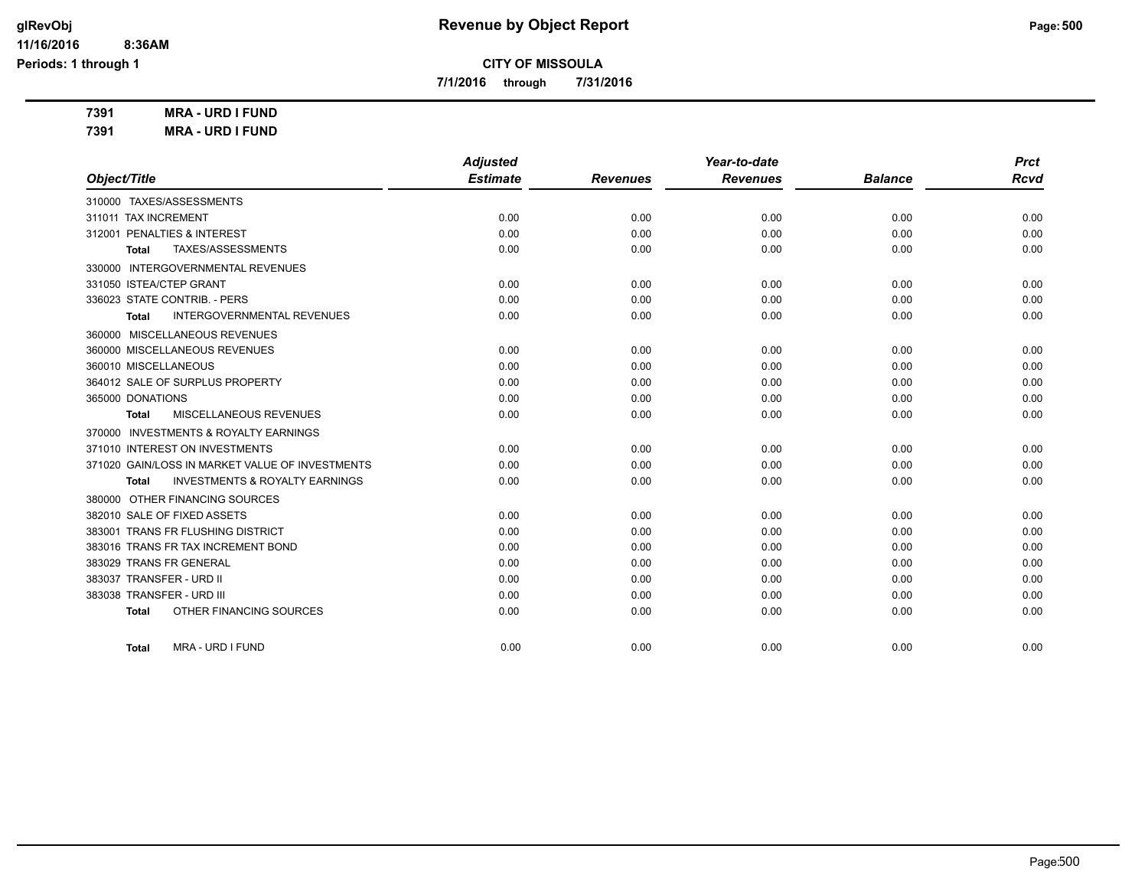**CITY OF MISSOULA**

**7/1/2016 through 7/31/2016**

**Periods: 1 through 1**

**7391 MRA - URD I FUND**

**7391 MRA - URD I FUND**

|                                                    | <b>Adjusted</b> |                 | Year-to-date    |                | <b>Prct</b> |
|----------------------------------------------------|-----------------|-----------------|-----------------|----------------|-------------|
| Object/Title                                       | <b>Estimate</b> | <b>Revenues</b> | <b>Revenues</b> | <b>Balance</b> | <b>Rcvd</b> |
| 310000 TAXES/ASSESSMENTS                           |                 |                 |                 |                |             |
| 311011 TAX INCREMENT                               | 0.00            | 0.00            | 0.00            | 0.00           | 0.00        |
| 312001 PENALTIES & INTEREST                        | 0.00            | 0.00            | 0.00            | 0.00           | 0.00        |
| TAXES/ASSESSMENTS<br><b>Total</b>                  | 0.00            | 0.00            | 0.00            | 0.00           | 0.00        |
| 330000 INTERGOVERNMENTAL REVENUES                  |                 |                 |                 |                |             |
| 331050 ISTEA/CTEP GRANT                            | 0.00            | 0.00            | 0.00            | 0.00           | 0.00        |
| 336023 STATE CONTRIB. - PERS                       | 0.00            | 0.00            | 0.00            | 0.00           | 0.00        |
| <b>INTERGOVERNMENTAL REVENUES</b><br>Total         | 0.00            | 0.00            | 0.00            | 0.00           | 0.00        |
| 360000 MISCELLANEOUS REVENUES                      |                 |                 |                 |                |             |
| 360000 MISCELLANEOUS REVENUES                      | 0.00            | 0.00            | 0.00            | 0.00           | 0.00        |
| 360010 MISCELLANEOUS                               | 0.00            | 0.00            | 0.00            | 0.00           | 0.00        |
| 364012 SALE OF SURPLUS PROPERTY                    | 0.00            | 0.00            | 0.00            | 0.00           | 0.00        |
| 365000 DONATIONS                                   | 0.00            | 0.00            | 0.00            | 0.00           | 0.00        |
| <b>MISCELLANEOUS REVENUES</b><br><b>Total</b>      | 0.00            | 0.00            | 0.00            | 0.00           | 0.00        |
| 370000 INVESTMENTS & ROYALTY EARNINGS              |                 |                 |                 |                |             |
| 371010 INTEREST ON INVESTMENTS                     | 0.00            | 0.00            | 0.00            | 0.00           | 0.00        |
| 371020 GAIN/LOSS IN MARKET VALUE OF INVESTMENTS    | 0.00            | 0.00            | 0.00            | 0.00           | 0.00        |
| <b>INVESTMENTS &amp; ROYALTY EARNINGS</b><br>Total | 0.00            | 0.00            | 0.00            | 0.00           | 0.00        |
| 380000 OTHER FINANCING SOURCES                     |                 |                 |                 |                |             |
| 382010 SALE OF FIXED ASSETS                        | 0.00            | 0.00            | 0.00            | 0.00           | 0.00        |
| 383001 TRANS FR FLUSHING DISTRICT                  | 0.00            | 0.00            | 0.00            | 0.00           | 0.00        |
| 383016 TRANS FR TAX INCREMENT BOND                 | 0.00            | 0.00            | 0.00            | 0.00           | 0.00        |
| 383029 TRANS FR GENERAL                            | 0.00            | 0.00            | 0.00            | 0.00           | 0.00        |
| 383037 TRANSFER - URD II                           | 0.00            | 0.00            | 0.00            | 0.00           | 0.00        |
| 383038 TRANSFER - URD III                          | 0.00            | 0.00            | 0.00            | 0.00           | 0.00        |
| OTHER FINANCING SOURCES<br><b>Total</b>            | 0.00            | 0.00            | 0.00            | 0.00           | 0.00        |
| MRA - URD I FUND<br>Total                          | 0.00            | 0.00            | 0.00            | 0.00           | 0.00        |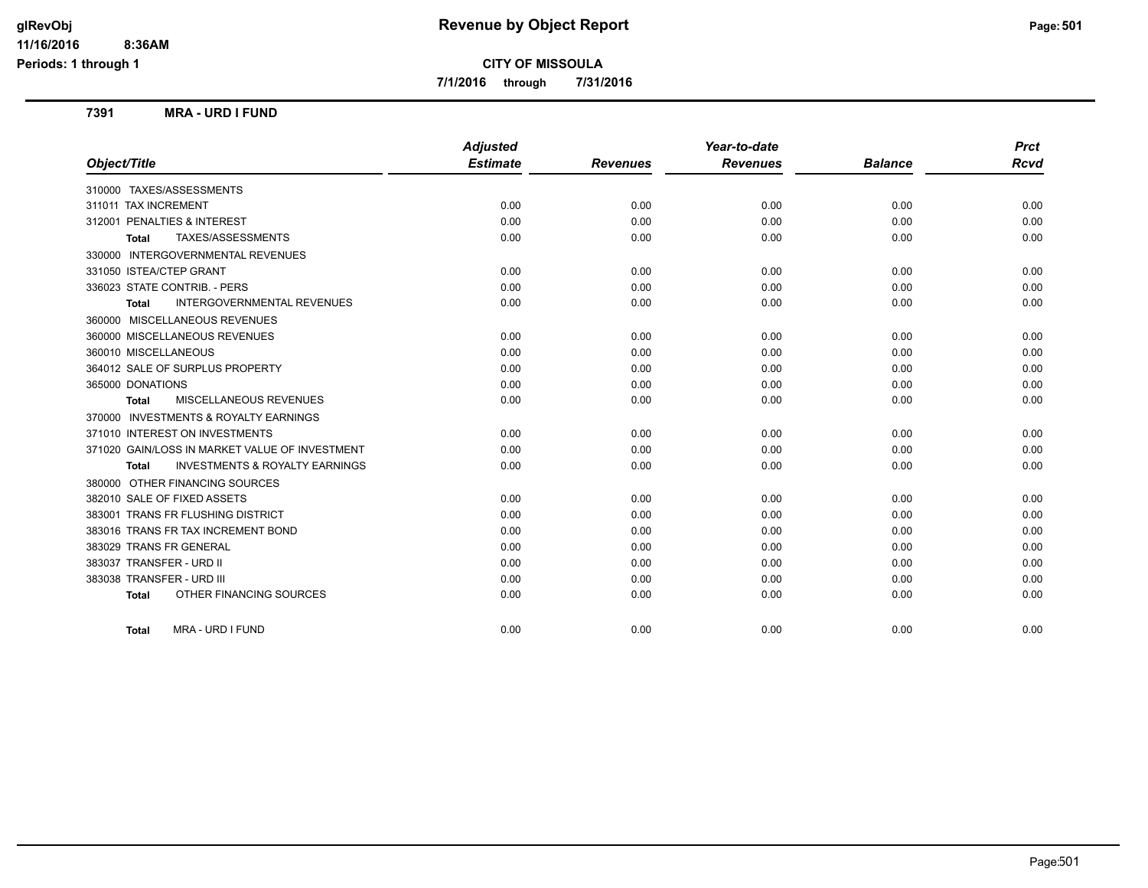#### **8:36AM Periods: 1 through 1**

**CITY OF MISSOULA**

**7/1/2016 through 7/31/2016**

#### **7391 MRA - URD I FUND**

|                                                           | <b>Adjusted</b> |                 | Year-to-date    |                | <b>Prct</b> |
|-----------------------------------------------------------|-----------------|-----------------|-----------------|----------------|-------------|
| Object/Title                                              | <b>Estimate</b> | <b>Revenues</b> | <b>Revenues</b> | <b>Balance</b> | <b>Rcvd</b> |
| 310000 TAXES/ASSESSMENTS                                  |                 |                 |                 |                |             |
| 311011 TAX INCREMENT                                      | 0.00            | 0.00            | 0.00            | 0.00           | 0.00        |
| 312001 PENALTIES & INTEREST                               | 0.00            | 0.00            | 0.00            | 0.00           | 0.00        |
| TAXES/ASSESSMENTS<br><b>Total</b>                         | 0.00            | 0.00            | 0.00            | 0.00           | 0.00        |
| 330000 INTERGOVERNMENTAL REVENUES                         |                 |                 |                 |                |             |
| 331050 ISTEA/CTEP GRANT                                   | 0.00            | 0.00            | 0.00            | 0.00           | 0.00        |
| 336023 STATE CONTRIB. - PERS                              | 0.00            | 0.00            | 0.00            | 0.00           | 0.00        |
| <b>INTERGOVERNMENTAL REVENUES</b><br><b>Total</b>         | 0.00            | 0.00            | 0.00            | 0.00           | 0.00        |
| 360000 MISCELLANEOUS REVENUES                             |                 |                 |                 |                |             |
| 360000 MISCELLANEOUS REVENUES                             | 0.00            | 0.00            | 0.00            | 0.00           | 0.00        |
| 360010 MISCELLANEOUS                                      | 0.00            | 0.00            | 0.00            | 0.00           | 0.00        |
| 364012 SALE OF SURPLUS PROPERTY                           | 0.00            | 0.00            | 0.00            | 0.00           | 0.00        |
| 365000 DONATIONS                                          | 0.00            | 0.00            | 0.00            | 0.00           | 0.00        |
| MISCELLANEOUS REVENUES<br><b>Total</b>                    | 0.00            | 0.00            | 0.00            | 0.00           | 0.00        |
| 370000 INVESTMENTS & ROYALTY EARNINGS                     |                 |                 |                 |                |             |
| 371010 INTEREST ON INVESTMENTS                            | 0.00            | 0.00            | 0.00            | 0.00           | 0.00        |
| 371020 GAIN/LOSS IN MARKET VALUE OF INVESTMENT            | 0.00            | 0.00            | 0.00            | 0.00           | 0.00        |
| <b>INVESTMENTS &amp; ROYALTY EARNINGS</b><br><b>Total</b> | 0.00            | 0.00            | 0.00            | 0.00           | 0.00        |
| 380000 OTHER FINANCING SOURCES                            |                 |                 |                 |                |             |
| 382010 SALE OF FIXED ASSETS                               | 0.00            | 0.00            | 0.00            | 0.00           | 0.00        |
| 383001 TRANS FR FLUSHING DISTRICT                         | 0.00            | 0.00            | 0.00            | 0.00           | 0.00        |
| 383016 TRANS FR TAX INCREMENT BOND                        | 0.00            | 0.00            | 0.00            | 0.00           | 0.00        |
| 383029 TRANS FR GENERAL                                   | 0.00            | 0.00            | 0.00            | 0.00           | 0.00        |
| 383037 TRANSFER - URD II                                  | 0.00            | 0.00            | 0.00            | 0.00           | 0.00        |
| 383038 TRANSFER - URD III                                 | 0.00            | 0.00            | 0.00            | 0.00           | 0.00        |
| OTHER FINANCING SOURCES<br><b>Total</b>                   | 0.00            | 0.00            | 0.00            | 0.00           | 0.00        |
| MRA - URD I FUND<br><b>Total</b>                          | 0.00            | 0.00            | 0.00            | 0.00           | 0.00        |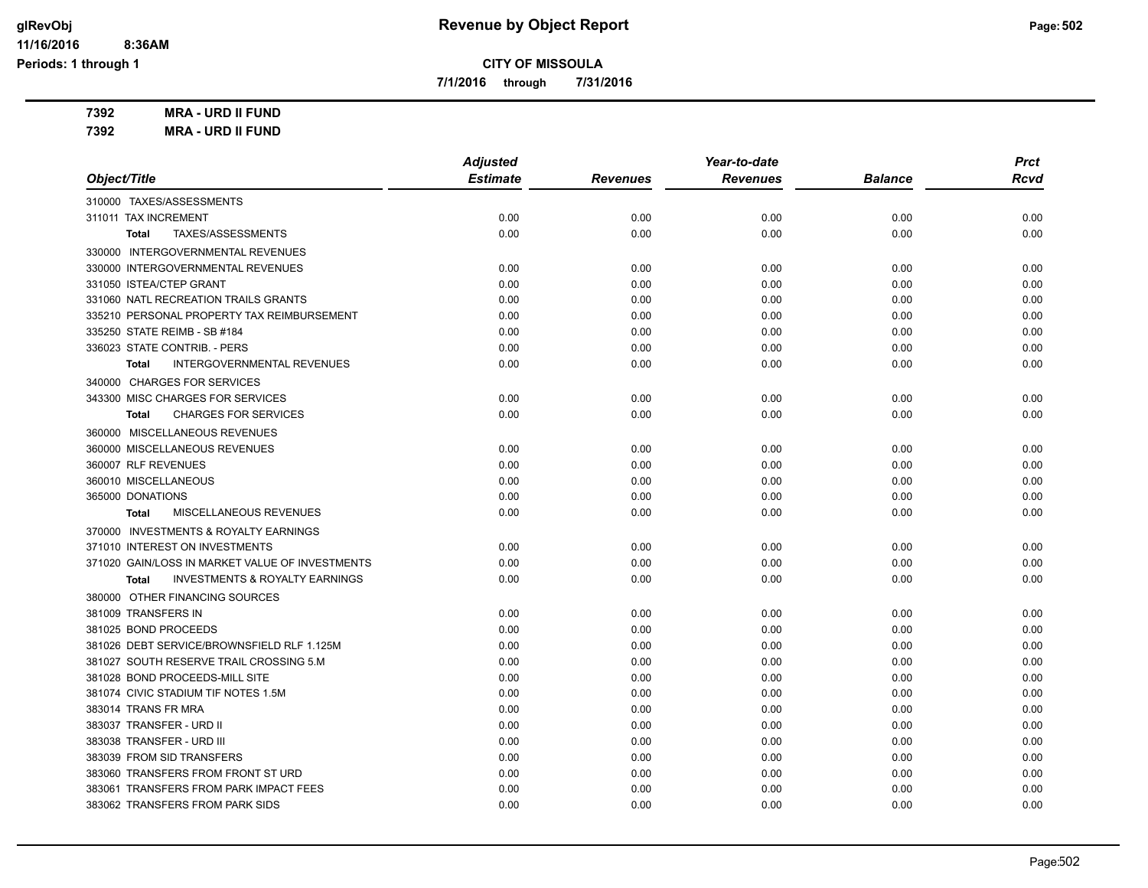**CITY OF MISSOULA**

**7/1/2016 through 7/31/2016**

 **8:36AM**

**7392 MRA - URD II FUND**

**7392 MRA - URD II FUND**

|                                                           | <b>Adjusted</b> |                 | Year-to-date    |                | <b>Prct</b> |
|-----------------------------------------------------------|-----------------|-----------------|-----------------|----------------|-------------|
| Object/Title                                              | <b>Estimate</b> | <b>Revenues</b> | <b>Revenues</b> | <b>Balance</b> | <b>Rcvd</b> |
| 310000 TAXES/ASSESSMENTS                                  |                 |                 |                 |                |             |
| 311011 TAX INCREMENT                                      | 0.00            | 0.00            | 0.00            | 0.00           | 0.00        |
| TAXES/ASSESSMENTS<br><b>Total</b>                         | 0.00            | 0.00            | 0.00            | 0.00           | 0.00        |
| 330000 INTERGOVERNMENTAL REVENUES                         |                 |                 |                 |                |             |
| 330000 INTERGOVERNMENTAL REVENUES                         | 0.00            | 0.00            | 0.00            | 0.00           | 0.00        |
| 331050 ISTEA/CTEP GRANT                                   | 0.00            | 0.00            | 0.00            | 0.00           | 0.00        |
| 331060 NATL RECREATION TRAILS GRANTS                      | 0.00            | 0.00            | 0.00            | 0.00           | 0.00        |
| 335210 PERSONAL PROPERTY TAX REIMBURSEMENT                | 0.00            | 0.00            | 0.00            | 0.00           | 0.00        |
| 335250 STATE REIMB - SB #184                              | 0.00            | 0.00            | 0.00            | 0.00           | 0.00        |
| 336023 STATE CONTRIB. - PERS                              | 0.00            | 0.00            | 0.00            | 0.00           | 0.00        |
| <b>INTERGOVERNMENTAL REVENUES</b><br><b>Total</b>         | 0.00            | 0.00            | 0.00            | 0.00           | 0.00        |
| 340000 CHARGES FOR SERVICES                               |                 |                 |                 |                |             |
| 343300 MISC CHARGES FOR SERVICES                          | 0.00            | 0.00            | 0.00            | 0.00           | 0.00        |
| <b>CHARGES FOR SERVICES</b><br><b>Total</b>               | 0.00            | 0.00            | 0.00            | 0.00           | 0.00        |
| 360000 MISCELLANEOUS REVENUES                             |                 |                 |                 |                |             |
| 360000 MISCELLANEOUS REVENUES                             | 0.00            | 0.00            | 0.00            | 0.00           | 0.00        |
| 360007 RLF REVENUES                                       | 0.00            | 0.00            | 0.00            | 0.00           | 0.00        |
| 360010 MISCELLANEOUS                                      | 0.00            | 0.00            | 0.00            | 0.00           | 0.00        |
| 365000 DONATIONS                                          | 0.00            | 0.00            | 0.00            | 0.00           | 0.00        |
| MISCELLANEOUS REVENUES<br><b>Total</b>                    | 0.00            | 0.00            | 0.00            | 0.00           | 0.00        |
| 370000 INVESTMENTS & ROYALTY EARNINGS                     |                 |                 |                 |                |             |
| 371010 INTEREST ON INVESTMENTS                            | 0.00            | 0.00            | 0.00            | 0.00           | 0.00        |
| 371020 GAIN/LOSS IN MARKET VALUE OF INVESTMENTS           | 0.00            | 0.00            | 0.00            | 0.00           | 0.00        |
| <b>INVESTMENTS &amp; ROYALTY EARNINGS</b><br><b>Total</b> | 0.00            | 0.00            | 0.00            | 0.00           | 0.00        |
| 380000 OTHER FINANCING SOURCES                            |                 |                 |                 |                |             |
| 381009 TRANSFERS IN                                       | 0.00            | 0.00            | 0.00            | 0.00           | 0.00        |
| 381025 BOND PROCEEDS                                      | 0.00            | 0.00            | 0.00            | 0.00           | 0.00        |
| 381026 DEBT SERVICE/BROWNSFIELD RLF 1.125M                | 0.00            | 0.00            | 0.00            | 0.00           | 0.00        |
| 381027 SOUTH RESERVE TRAIL CROSSING 5.M                   | 0.00            | 0.00            | 0.00            | 0.00           | 0.00        |
| 381028 BOND PROCEEDS-MILL SITE                            | 0.00            | 0.00            | 0.00            | 0.00           | 0.00        |
| 381074 CIVIC STADIUM TIF NOTES 1.5M                       | 0.00            | 0.00            | 0.00            | 0.00           | 0.00        |
| 383014 TRANS FR MRA                                       | 0.00            | 0.00            | 0.00            | 0.00           | 0.00        |
| 383037 TRANSFER - URD II                                  | 0.00            | 0.00            | 0.00            | 0.00           | 0.00        |
| 383038 TRANSFER - URD III                                 | 0.00            | 0.00            | 0.00            | 0.00           | 0.00        |
| 383039 FROM SID TRANSFERS                                 | 0.00            | 0.00            | 0.00            | 0.00           | 0.00        |
| 383060 TRANSFERS FROM FRONT ST URD                        | 0.00            | 0.00            | 0.00            | 0.00           | 0.00        |
| 383061 TRANSFERS FROM PARK IMPACT FEES                    | 0.00            | 0.00            | 0.00            | 0.00           | 0.00        |
| 383062 TRANSFERS FROM PARK SIDS                           | 0.00            | 0.00            | 0.00            | 0.00           | 0.00        |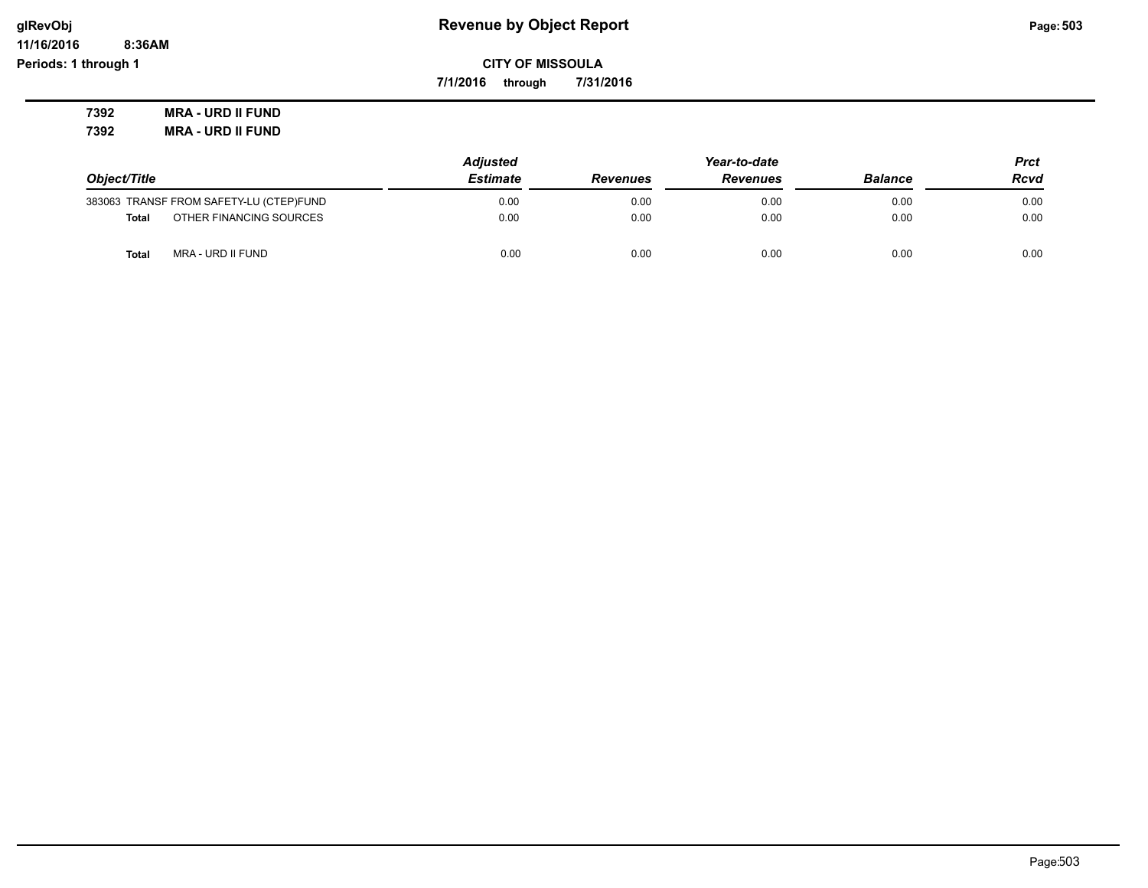**glRevObj Revenue by Object Report Page:503** 

**11/16/2016 8:36AM Periods: 1 through 1**

# **CITY OF MISSOULA**

**7/1/2016 through 7/31/2016**

**7392 MRA - URD II FUND 7392 MRA - URD II FUND**

|                                         | <b>Adjusted</b> |                 | <b>Prct</b>     |                |             |
|-----------------------------------------|-----------------|-----------------|-----------------|----------------|-------------|
| Object/Title                            | <b>Estimate</b> | <b>Revenues</b> | <b>Revenues</b> | <b>Balance</b> | <b>Rcvd</b> |
| 383063 TRANSF FROM SAFETY-LU (CTEP)FUND | 0.00            | 0.00            | 0.00            | 0.00           | 0.00        |
| OTHER FINANCING SOURCES<br><b>Total</b> | 0.00            | 0.00            | 0.00            | 0.00           | 0.00        |
| MRA - URD II FUND<br><b>Total</b>       | 0.00            | 0.00            | 0.00            | 0.00           | 0.00        |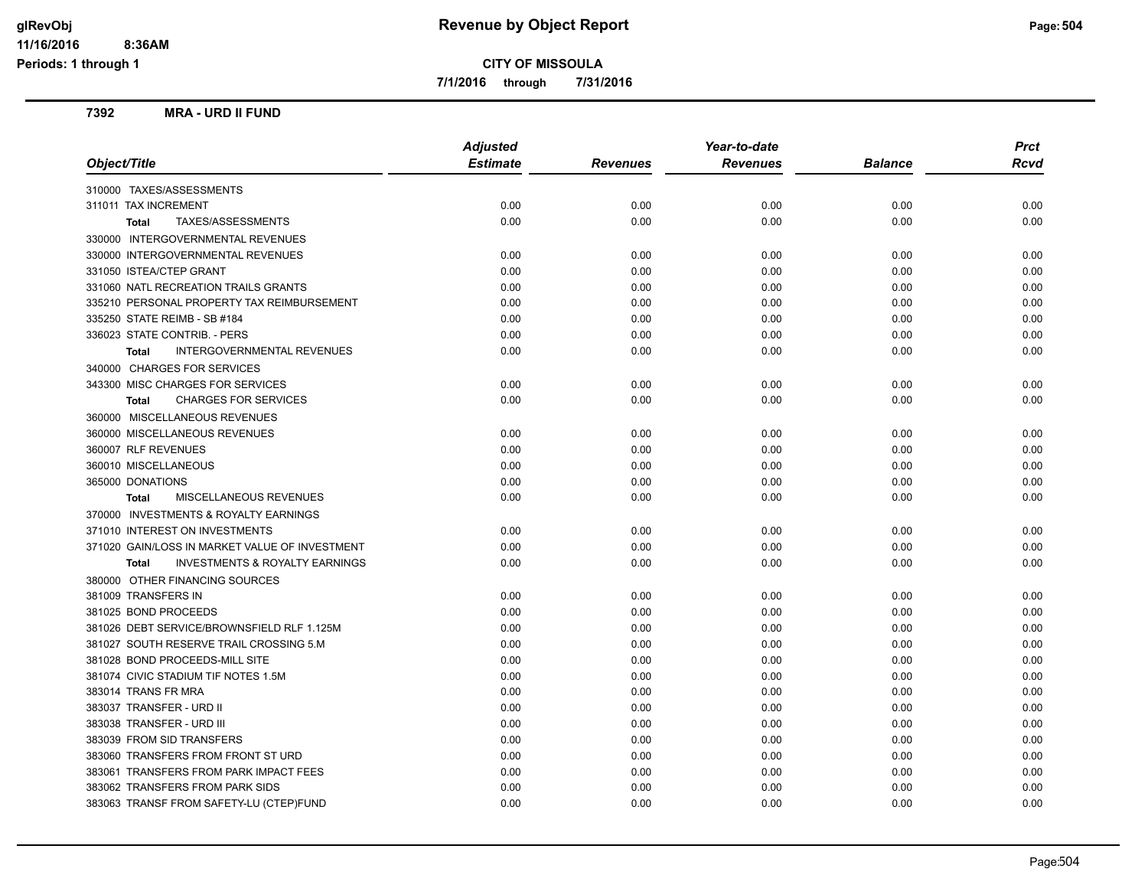**11/16/2016 8:36AM Periods: 1 through 1**

**CITY OF MISSOULA**

**7/1/2016 through 7/31/2016**

#### **7392 MRA - URD II FUND**

| Object/Title                                              | <b>Adjusted</b> |                 | Year-to-date    |                | <b>Prct</b> |
|-----------------------------------------------------------|-----------------|-----------------|-----------------|----------------|-------------|
|                                                           | <b>Estimate</b> | <b>Revenues</b> | <b>Revenues</b> | <b>Balance</b> | Rcvd        |
| 310000 TAXES/ASSESSMENTS                                  |                 |                 |                 |                |             |
| 311011 TAX INCREMENT                                      | 0.00            | 0.00            | 0.00            | 0.00           | 0.00        |
| TAXES/ASSESSMENTS<br>Total                                | 0.00            | 0.00            | 0.00            | 0.00           | 0.00        |
| 330000 INTERGOVERNMENTAL REVENUES                         |                 |                 |                 |                |             |
| 330000 INTERGOVERNMENTAL REVENUES                         | 0.00            | 0.00            | 0.00            | 0.00           | 0.00        |
| 331050 ISTEA/CTEP GRANT                                   | 0.00            | 0.00            | 0.00            | 0.00           | 0.00        |
| 331060 NATL RECREATION TRAILS GRANTS                      | 0.00            | 0.00            | 0.00            | 0.00           | 0.00        |
| 335210 PERSONAL PROPERTY TAX REIMBURSEMENT                | 0.00            | 0.00            | 0.00            | 0.00           | 0.00        |
| 335250 STATE REIMB - SB #184                              | 0.00            | 0.00            | 0.00            | 0.00           | 0.00        |
| 336023 STATE CONTRIB. - PERS                              | 0.00            | 0.00            | 0.00            | 0.00           | 0.00        |
| INTERGOVERNMENTAL REVENUES<br>Total                       | 0.00            | 0.00            | 0.00            | 0.00           | 0.00        |
| 340000 CHARGES FOR SERVICES                               |                 |                 |                 |                |             |
| 343300 MISC CHARGES FOR SERVICES                          | 0.00            | 0.00            | 0.00            | 0.00           | 0.00        |
| <b>CHARGES FOR SERVICES</b><br><b>Total</b>               | 0.00            | 0.00            | 0.00            | 0.00           | 0.00        |
| 360000 MISCELLANEOUS REVENUES                             |                 |                 |                 |                |             |
| 360000 MISCELLANEOUS REVENUES                             | 0.00            | 0.00            | 0.00            | 0.00           | 0.00        |
| 360007 RLF REVENUES                                       | 0.00            | 0.00            | 0.00            | 0.00           | 0.00        |
| 360010 MISCELLANEOUS                                      | 0.00            | 0.00            | 0.00            | 0.00           | 0.00        |
| 365000 DONATIONS                                          | 0.00            | 0.00            | 0.00            | 0.00           | 0.00        |
| MISCELLANEOUS REVENUES<br><b>Total</b>                    | 0.00            | 0.00            | 0.00            | 0.00           | 0.00        |
| 370000 INVESTMENTS & ROYALTY EARNINGS                     |                 |                 |                 |                |             |
| 371010 INTEREST ON INVESTMENTS                            | 0.00            | 0.00            | 0.00            | 0.00           | 0.00        |
| 371020 GAIN/LOSS IN MARKET VALUE OF INVESTMENT            | 0.00            | 0.00            | 0.00            | 0.00           | 0.00        |
| <b>INVESTMENTS &amp; ROYALTY EARNINGS</b><br><b>Total</b> | 0.00            | 0.00            | 0.00            | 0.00           | 0.00        |
| 380000 OTHER FINANCING SOURCES                            |                 |                 |                 |                |             |
| 381009 TRANSFERS IN                                       | 0.00            | 0.00            | 0.00            | 0.00           | 0.00        |
| 381025 BOND PROCEEDS                                      | 0.00            | 0.00            | 0.00            | 0.00           | 0.00        |
| 381026 DEBT SERVICE/BROWNSFIELD RLF 1.125M                | 0.00            | 0.00            | 0.00            | 0.00           | 0.00        |
| 381027 SOUTH RESERVE TRAIL CROSSING 5.M                   | 0.00            | 0.00            | 0.00            | 0.00           | 0.00        |
| 381028 BOND PROCEEDS-MILL SITE                            | 0.00            | 0.00            | 0.00            | 0.00           | 0.00        |
| 381074 CIVIC STADIUM TIF NOTES 1.5M                       | 0.00            | 0.00            | 0.00            | 0.00           | 0.00        |
| 383014 TRANS FR MRA                                       | 0.00            | 0.00            | 0.00            | 0.00           | 0.00        |
| 383037 TRANSFER - URD II                                  | 0.00            | 0.00            | 0.00            | 0.00           | 0.00        |
| 383038 TRANSFER - URD III                                 | 0.00            | 0.00            | 0.00            | 0.00           | 0.00        |
| 383039 FROM SID TRANSFERS                                 | 0.00            | 0.00            | 0.00            | 0.00           | 0.00        |
| 383060 TRANSFERS FROM FRONT ST URD                        | 0.00            | 0.00            | 0.00            | 0.00           | 0.00        |
| 383061 TRANSFERS FROM PARK IMPACT FEES                    | 0.00            | 0.00            | 0.00            | 0.00           | 0.00        |
| 383062 TRANSFERS FROM PARK SIDS                           | 0.00            | 0.00            | 0.00            | 0.00           | 0.00        |
| 383063 TRANSF FROM SAFETY-LU (CTEP)FUND                   | 0.00            | 0.00            | 0.00            | 0.00           | 0.00        |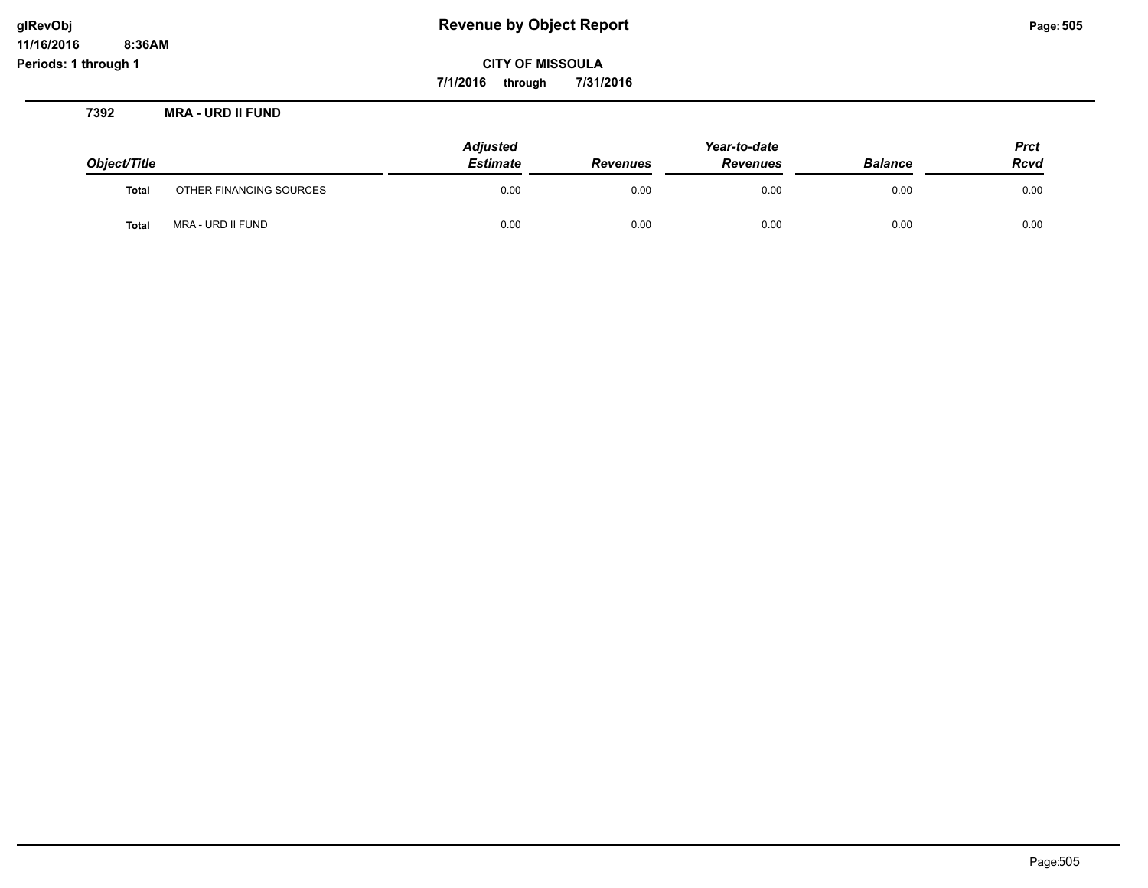**11/16/2016 8:36AM Periods: 1 through 1**

**CITY OF MISSOULA**

**7/1/2016 through 7/31/2016**

**7392 MRA - URD II FUND**

|              |                         | <b>Adjusted</b> |                 | Year-to-date    |                | <b>Prct</b> |
|--------------|-------------------------|-----------------|-----------------|-----------------|----------------|-------------|
| Object/Title |                         | <b>Estimate</b> | <b>Revenues</b> | <b>Revenues</b> | <b>Balance</b> | <b>Rcvd</b> |
| <b>Total</b> | OTHER FINANCING SOURCES | 0.00            | 0.00            | 0.00            | 0.00           | 0.00        |
| <b>Total</b> | MRA - URD II FUND       | 0.00            | 0.00            | 0.00            | 0.00           | 0.00        |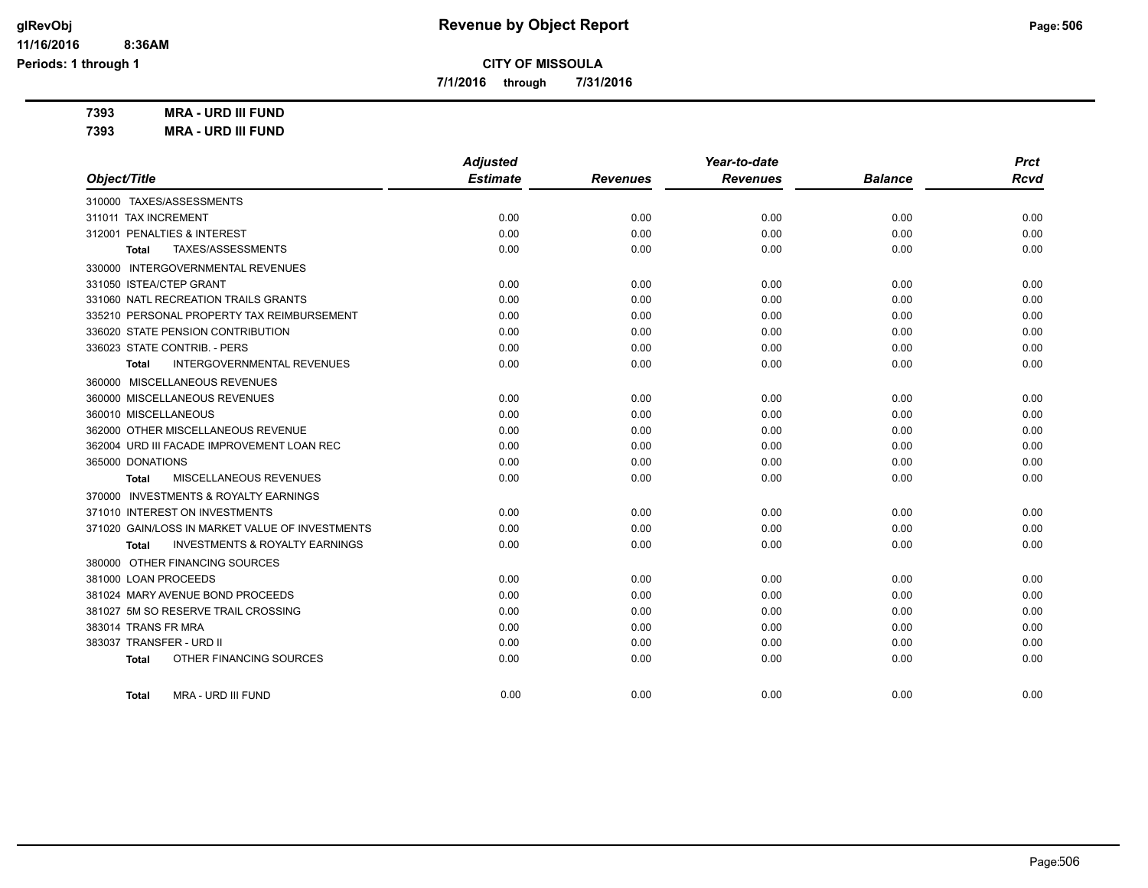**CITY OF MISSOULA**

**7/1/2016 through 7/31/2016**

 **8:36AM**

**7393 MRA - URD III FUND**

**7393 MRA - URD III FUND**

|                                                    | <b>Adjusted</b> |                 | Year-to-date    |                | <b>Prct</b> |
|----------------------------------------------------|-----------------|-----------------|-----------------|----------------|-------------|
| Object/Title                                       | <b>Estimate</b> | <b>Revenues</b> | <b>Revenues</b> | <b>Balance</b> | <b>Rcvd</b> |
| 310000 TAXES/ASSESSMENTS                           |                 |                 |                 |                |             |
| 311011 TAX INCREMENT                               | 0.00            | 0.00            | 0.00            | 0.00           | 0.00        |
| 312001 PENALTIES & INTEREST                        | 0.00            | 0.00            | 0.00            | 0.00           | 0.00        |
| TAXES/ASSESSMENTS<br>Total                         | 0.00            | 0.00            | 0.00            | 0.00           | 0.00        |
| 330000 INTERGOVERNMENTAL REVENUES                  |                 |                 |                 |                |             |
| 331050 ISTEA/CTEP GRANT                            | 0.00            | 0.00            | 0.00            | 0.00           | 0.00        |
| 331060 NATL RECREATION TRAILS GRANTS               | 0.00            | 0.00            | 0.00            | 0.00           | 0.00        |
| 335210 PERSONAL PROPERTY TAX REIMBURSEMENT         | 0.00            | 0.00            | 0.00            | 0.00           | 0.00        |
| 336020 STATE PENSION CONTRIBUTION                  | 0.00            | 0.00            | 0.00            | 0.00           | 0.00        |
| 336023 STATE CONTRIB. - PERS                       | 0.00            | 0.00            | 0.00            | 0.00           | 0.00        |
| <b>INTERGOVERNMENTAL REVENUES</b><br>Total         | 0.00            | 0.00            | 0.00            | 0.00           | 0.00        |
| 360000 MISCELLANEOUS REVENUES                      |                 |                 |                 |                |             |
| 360000 MISCELLANEOUS REVENUES                      | 0.00            | 0.00            | 0.00            | 0.00           | 0.00        |
| 360010 MISCELLANEOUS                               | 0.00            | 0.00            | 0.00            | 0.00           | 0.00        |
| 362000 OTHER MISCELLANEOUS REVENUE                 | 0.00            | 0.00            | 0.00            | 0.00           | 0.00        |
| 362004 URD III FACADE IMPROVEMENT LOAN REC         | 0.00            | 0.00            | 0.00            | 0.00           | 0.00        |
| 365000 DONATIONS                                   | 0.00            | 0.00            | 0.00            | 0.00           | 0.00        |
| MISCELLANEOUS REVENUES<br>Total                    | 0.00            | 0.00            | 0.00            | 0.00           | 0.00        |
| 370000 INVESTMENTS & ROYALTY EARNINGS              |                 |                 |                 |                |             |
| 371010 INTEREST ON INVESTMENTS                     | 0.00            | 0.00            | 0.00            | 0.00           | 0.00        |
| 371020 GAIN/LOSS IN MARKET VALUE OF INVESTMENTS    | 0.00            | 0.00            | 0.00            | 0.00           | 0.00        |
| <b>INVESTMENTS &amp; ROYALTY EARNINGS</b><br>Total | 0.00            | 0.00            | 0.00            | 0.00           | 0.00        |
| 380000 OTHER FINANCING SOURCES                     |                 |                 |                 |                |             |
| 381000 LOAN PROCEEDS                               | 0.00            | 0.00            | 0.00            | 0.00           | 0.00        |
| 381024 MARY AVENUE BOND PROCEEDS                   | 0.00            | 0.00            | 0.00            | 0.00           | 0.00        |
| 381027 5M SO RESERVE TRAIL CROSSING                | 0.00            | 0.00            | 0.00            | 0.00           | 0.00        |
| 383014 TRANS FR MRA                                | 0.00            | 0.00            | 0.00            | 0.00           | 0.00        |
| 383037 TRANSFER - URD II                           | 0.00            | 0.00            | 0.00            | 0.00           | 0.00        |
| OTHER FINANCING SOURCES<br>Total                   | 0.00            | 0.00            | 0.00            | 0.00           | 0.00        |
| MRA - URD III FUND<br><b>Total</b>                 | 0.00            | 0.00            | 0.00            | 0.00           | 0.00        |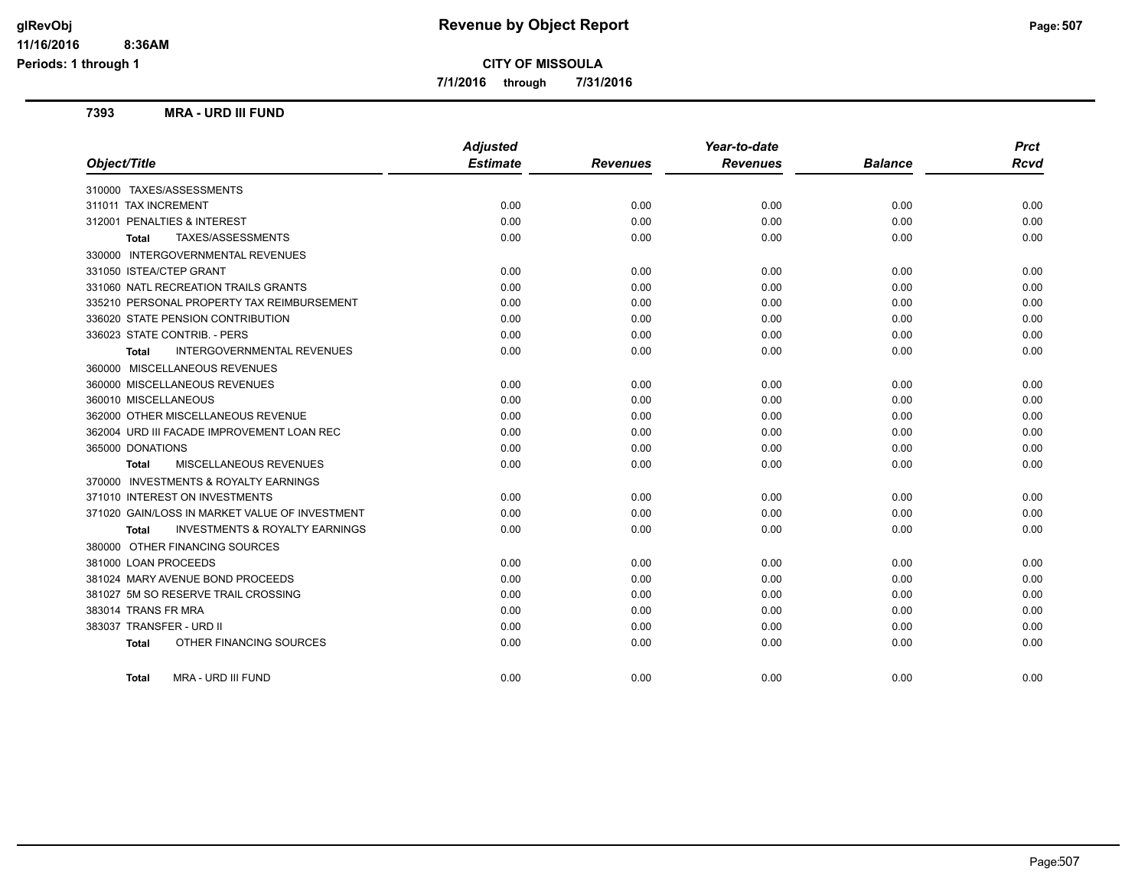**11/16/2016 8:36AM Periods: 1 through 1**

**CITY OF MISSOULA**

**7/1/2016 through 7/31/2016**

#### **7393 MRA - URD III FUND**

| Object/Title                                       | <b>Adjusted</b><br><b>Estimate</b> | <b>Revenues</b> | Year-to-date<br><b>Revenues</b> | <b>Balance</b> | <b>Prct</b><br><b>Rcvd</b> |
|----------------------------------------------------|------------------------------------|-----------------|---------------------------------|----------------|----------------------------|
|                                                    |                                    |                 |                                 |                |                            |
| 310000 TAXES/ASSESSMENTS                           |                                    |                 |                                 |                |                            |
| 311011 TAX INCREMENT                               | 0.00                               | 0.00            | 0.00                            | 0.00           | 0.00                       |
| 312001 PENALTIES & INTEREST                        | 0.00                               | 0.00            | 0.00                            | 0.00           | 0.00                       |
| TAXES/ASSESSMENTS<br>Total                         | 0.00                               | 0.00            | 0.00                            | 0.00           | 0.00                       |
| 330000 INTERGOVERNMENTAL REVENUES                  |                                    |                 |                                 |                |                            |
| 331050 ISTEA/CTEP GRANT                            | 0.00                               | 0.00            | 0.00                            | 0.00           | 0.00                       |
| 331060 NATL RECREATION TRAILS GRANTS               | 0.00                               | 0.00            | 0.00                            | 0.00           | 0.00                       |
| 335210 PERSONAL PROPERTY TAX REIMBURSEMENT         | 0.00                               | 0.00            | 0.00                            | 0.00           | 0.00                       |
| 336020 STATE PENSION CONTRIBUTION                  | 0.00                               | 0.00            | 0.00                            | 0.00           | 0.00                       |
| 336023 STATE CONTRIB. - PERS                       | 0.00                               | 0.00            | 0.00                            | 0.00           | 0.00                       |
| <b>INTERGOVERNMENTAL REVENUES</b><br><b>Total</b>  | 0.00                               | 0.00            | 0.00                            | 0.00           | 0.00                       |
| 360000 MISCELLANEOUS REVENUES                      |                                    |                 |                                 |                |                            |
| 360000 MISCELLANEOUS REVENUES                      | 0.00                               | 0.00            | 0.00                            | 0.00           | 0.00                       |
| 360010 MISCELLANEOUS                               | 0.00                               | 0.00            | 0.00                            | 0.00           | 0.00                       |
| 362000 OTHER MISCELLANEOUS REVENUE                 | 0.00                               | 0.00            | 0.00                            | 0.00           | 0.00                       |
| 362004 URD III FACADE IMPROVEMENT LOAN REC         | 0.00                               | 0.00            | 0.00                            | 0.00           | 0.00                       |
| 365000 DONATIONS                                   | 0.00                               | 0.00            | 0.00                            | 0.00           | 0.00                       |
| MISCELLANEOUS REVENUES<br><b>Total</b>             | 0.00                               | 0.00            | 0.00                            | 0.00           | 0.00                       |
| 370000 INVESTMENTS & ROYALTY EARNINGS              |                                    |                 |                                 |                |                            |
| 371010 INTEREST ON INVESTMENTS                     | 0.00                               | 0.00            | 0.00                            | 0.00           | 0.00                       |
| 371020 GAIN/LOSS IN MARKET VALUE OF INVESTMENT     | 0.00                               | 0.00            | 0.00                            | 0.00           | 0.00                       |
| <b>INVESTMENTS &amp; ROYALTY EARNINGS</b><br>Total | 0.00                               | 0.00            | 0.00                            | 0.00           | 0.00                       |
| 380000 OTHER FINANCING SOURCES                     |                                    |                 |                                 |                |                            |
| 381000 LOAN PROCEEDS                               | 0.00                               | 0.00            | 0.00                            | 0.00           | 0.00                       |
| 381024 MARY AVENUE BOND PROCEEDS                   | 0.00                               | 0.00            | 0.00                            | 0.00           | 0.00                       |
| 381027 5M SO RESERVE TRAIL CROSSING                | 0.00                               | 0.00            | 0.00                            | 0.00           | 0.00                       |
| 383014 TRANS FR MRA                                | 0.00                               | 0.00            | 0.00                            | 0.00           | 0.00                       |
| 383037 TRANSFER - URD II                           | 0.00                               | 0.00            | 0.00                            | 0.00           | 0.00                       |
| OTHER FINANCING SOURCES<br><b>Total</b>            | 0.00                               | 0.00            | 0.00                            | 0.00           | 0.00                       |
| MRA - URD III FUND<br><b>Total</b>                 | 0.00                               | 0.00            | 0.00                            | 0.00           | 0.00                       |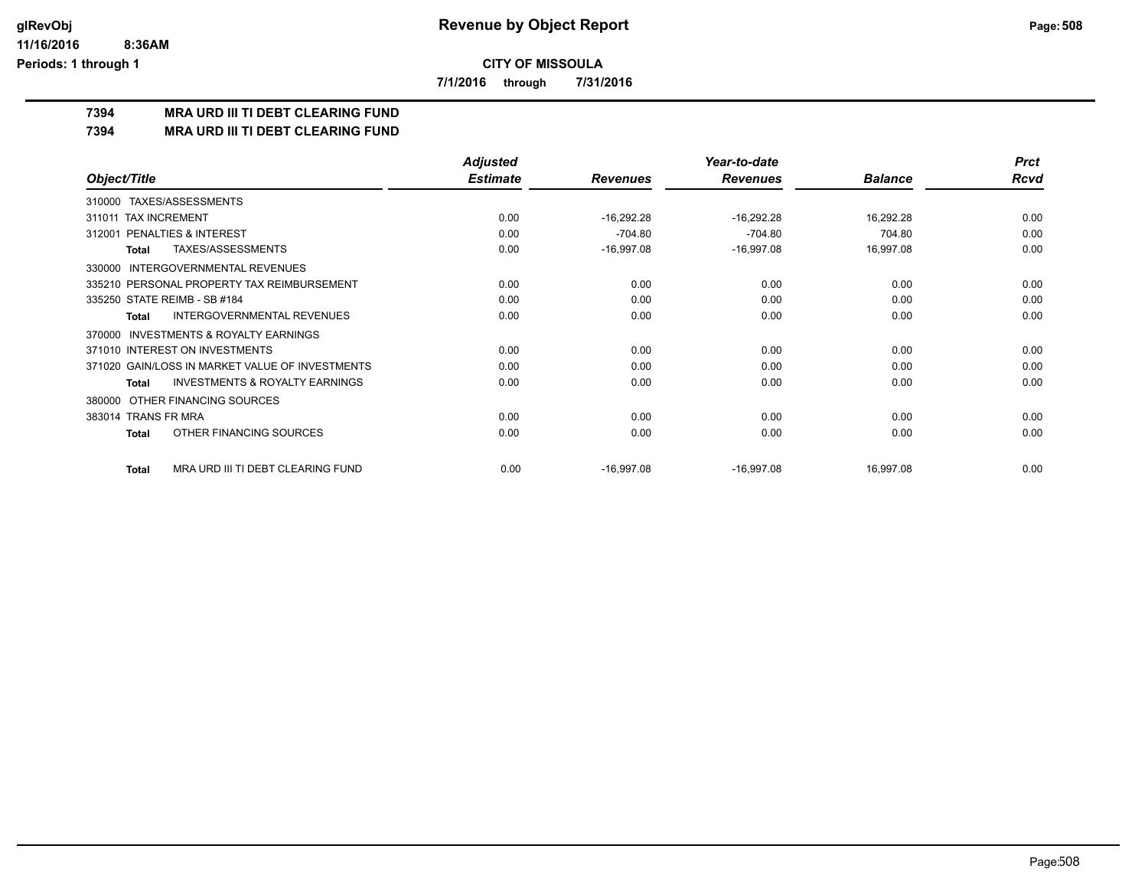**11/16/2016**

**CITY OF MISSOULA**

**7/1/2016 through 7/31/2016**

# **7394 MRA URD III TI DEBT CLEARING FUND**

**7394 MRA URD III TI DEBT CLEARING FUND**

|                                                           | <b>Adjusted</b> |                 | Year-to-date    |                | <b>Prct</b> |
|-----------------------------------------------------------|-----------------|-----------------|-----------------|----------------|-------------|
| Object/Title                                              | <b>Estimate</b> | <b>Revenues</b> | <b>Revenues</b> | <b>Balance</b> | <b>Rcvd</b> |
| 310000 TAXES/ASSESSMENTS                                  |                 |                 |                 |                |             |
| <b>TAX INCREMENT</b><br>311011                            | 0.00            | $-16,292.28$    | $-16,292.28$    | 16,292.28      | 0.00        |
| <b>PENALTIES &amp; INTEREST</b><br>312001                 | 0.00            | $-704.80$       | $-704.80$       | 704.80         | 0.00        |
| TAXES/ASSESSMENTS<br>Total                                | 0.00            | $-16,997.08$    | $-16,997.08$    | 16,997.08      | 0.00        |
| <b>INTERGOVERNMENTAL REVENUES</b><br>330000               |                 |                 |                 |                |             |
| 335210 PERSONAL PROPERTY TAX REIMBURSEMENT                | 0.00            | 0.00            | 0.00            | 0.00           | 0.00        |
| 335250 STATE REIMB - SB #184                              | 0.00            | 0.00            | 0.00            | 0.00           | 0.00        |
| INTERGOVERNMENTAL REVENUES<br><b>Total</b>                | 0.00            | 0.00            | 0.00            | 0.00           | 0.00        |
| <b>INVESTMENTS &amp; ROYALTY EARNINGS</b><br>370000       |                 |                 |                 |                |             |
| 371010 INTEREST ON INVESTMENTS                            | 0.00            | 0.00            | 0.00            | 0.00           | 0.00        |
| 371020 GAIN/LOSS IN MARKET VALUE OF INVESTMENTS           | 0.00            | 0.00            | 0.00            | 0.00           | 0.00        |
| <b>INVESTMENTS &amp; ROYALTY EARNINGS</b><br><b>Total</b> | 0.00            | 0.00            | 0.00            | 0.00           | 0.00        |
| OTHER FINANCING SOURCES<br>380000                         |                 |                 |                 |                |             |
| 383014 TRANS FR MRA                                       | 0.00            | 0.00            | 0.00            | 0.00           | 0.00        |
| OTHER FINANCING SOURCES<br>Total                          | 0.00            | 0.00            | 0.00            | 0.00           | 0.00        |
| MRA URD III TI DEBT CLEARING FUND<br><b>Total</b>         | 0.00            | $-16,997.08$    | $-16,997.08$    | 16,997.08      | 0.00        |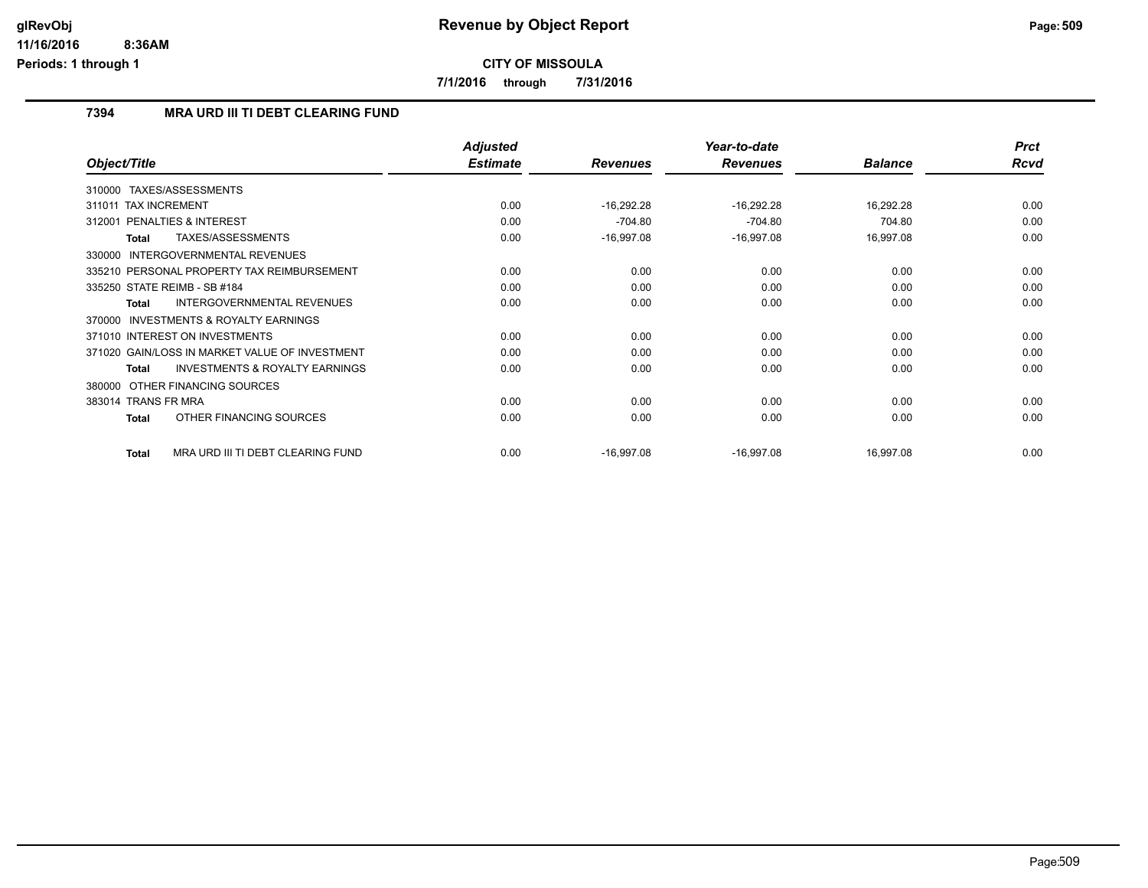**8:36AM**

**CITY OF MISSOULA**

**7/1/2016 through 7/31/2016**

## **7394 MRA URD III TI DEBT CLEARING FUND**

|                                                     | <b>Adjusted</b> |                 | Year-to-date    |                | <b>Prct</b> |
|-----------------------------------------------------|-----------------|-----------------|-----------------|----------------|-------------|
| Object/Title                                        | <b>Estimate</b> | <b>Revenues</b> | <b>Revenues</b> | <b>Balance</b> | Rcvd        |
| TAXES/ASSESSMENTS<br>310000                         |                 |                 |                 |                |             |
| 311011 TAX INCREMENT                                | 0.00            | $-16,292.28$    | $-16,292.28$    | 16,292.28      | 0.00        |
| 312001 PENALTIES & INTEREST                         | 0.00            | $-704.80$       | $-704.80$       | 704.80         | 0.00        |
| TAXES/ASSESSMENTS<br><b>Total</b>                   | 0.00            | $-16,997.08$    | $-16,997.08$    | 16,997.08      | 0.00        |
| INTERGOVERNMENTAL REVENUES<br>330000                |                 |                 |                 |                |             |
| 335210 PERSONAL PROPERTY TAX REIMBURSEMENT          | 0.00            | 0.00            | 0.00            | 0.00           | 0.00        |
| 335250 STATE REIMB - SB #184                        | 0.00            | 0.00            | 0.00            | 0.00           | 0.00        |
| <b>INTERGOVERNMENTAL REVENUES</b><br>Total          | 0.00            | 0.00            | 0.00            | 0.00           | 0.00        |
| <b>INVESTMENTS &amp; ROYALTY EARNINGS</b><br>370000 |                 |                 |                 |                |             |
| 371010 INTEREST ON INVESTMENTS                      | 0.00            | 0.00            | 0.00            | 0.00           | 0.00        |
| 371020 GAIN/LOSS IN MARKET VALUE OF INVESTMENT      | 0.00            | 0.00            | 0.00            | 0.00           | 0.00        |
| <b>INVESTMENTS &amp; ROYALTY EARNINGS</b><br>Total  | 0.00            | 0.00            | 0.00            | 0.00           | 0.00        |
| 380000 OTHER FINANCING SOURCES                      |                 |                 |                 |                |             |
| 383014 TRANS FR MRA                                 | 0.00            | 0.00            | 0.00            | 0.00           | 0.00        |
| OTHER FINANCING SOURCES<br>Total                    | 0.00            | 0.00            | 0.00            | 0.00           | 0.00        |
| MRA URD III TI DEBT CLEARING FUND<br>Total          | 0.00            | $-16,997.08$    | $-16,997.08$    | 16,997.08      | 0.00        |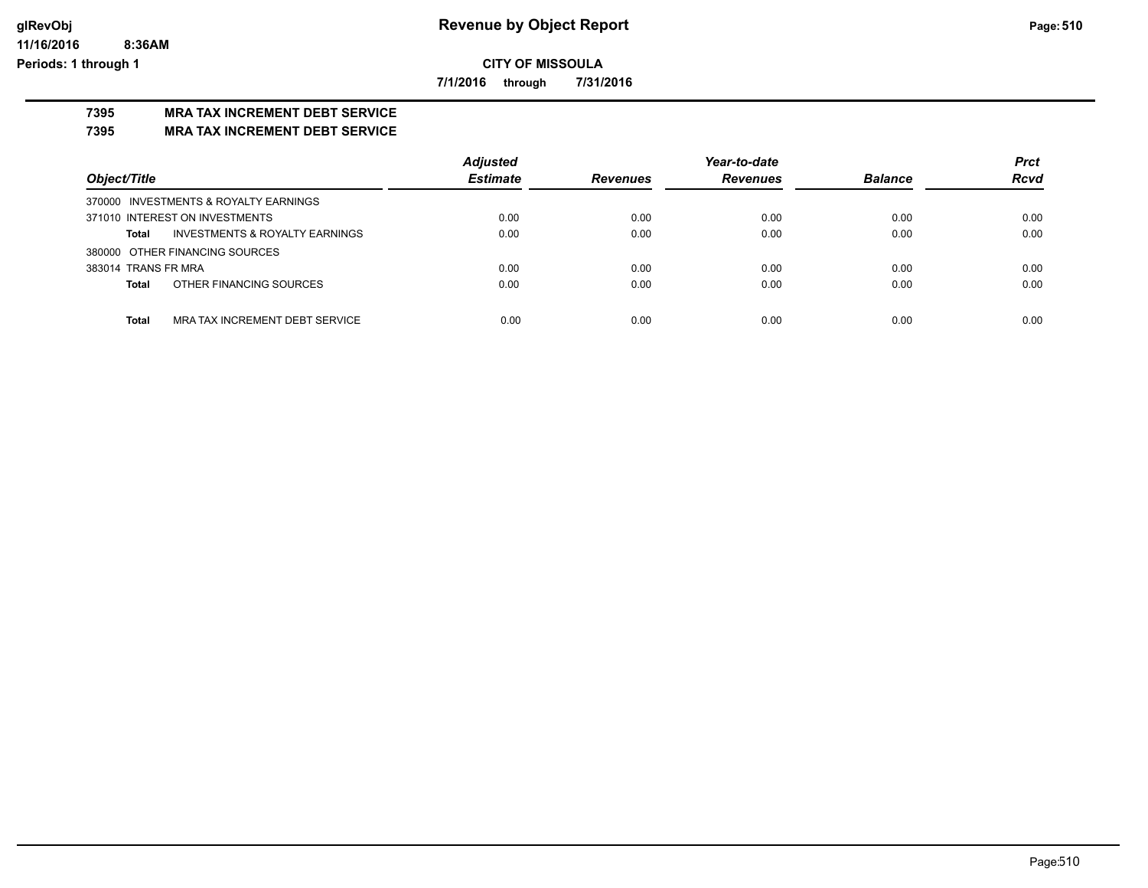**11/16/2016 8:36AM Periods: 1 through 1**

**CITY OF MISSOULA**

**7/1/2016 through 7/31/2016**

# **7395 MRA TAX INCREMENT DEBT SERVICE**

# **7395 MRA TAX INCREMENT DEBT SERVICE**

|                                                    | <b>Adjusted</b> |                 | Year-to-date    |                | <b>Prct</b> |
|----------------------------------------------------|-----------------|-----------------|-----------------|----------------|-------------|
| Object/Title                                       | <b>Estimate</b> | <b>Revenues</b> | <b>Revenues</b> | <b>Balance</b> | <b>Rcvd</b> |
| 370000 INVESTMENTS & ROYALTY EARNINGS              |                 |                 |                 |                |             |
| 371010 INTEREST ON INVESTMENTS                     | 0.00            | 0.00            | 0.00            | 0.00           | 0.00        |
| <b>INVESTMENTS &amp; ROYALTY EARNINGS</b><br>Total | 0.00            | 0.00            | 0.00            | 0.00           | 0.00        |
| 380000 OTHER FINANCING SOURCES                     |                 |                 |                 |                |             |
| 383014 TRANS FR MRA                                | 0.00            | 0.00            | 0.00            | 0.00           | 0.00        |
| OTHER FINANCING SOURCES<br>Total                   | 0.00            | 0.00            | 0.00            | 0.00           | 0.00        |
|                                                    |                 |                 |                 |                |             |
| MRA TAX INCREMENT DEBT SERVICE<br>Total            | 0.00            | 0.00            | 0.00            | 0.00           | 0.00        |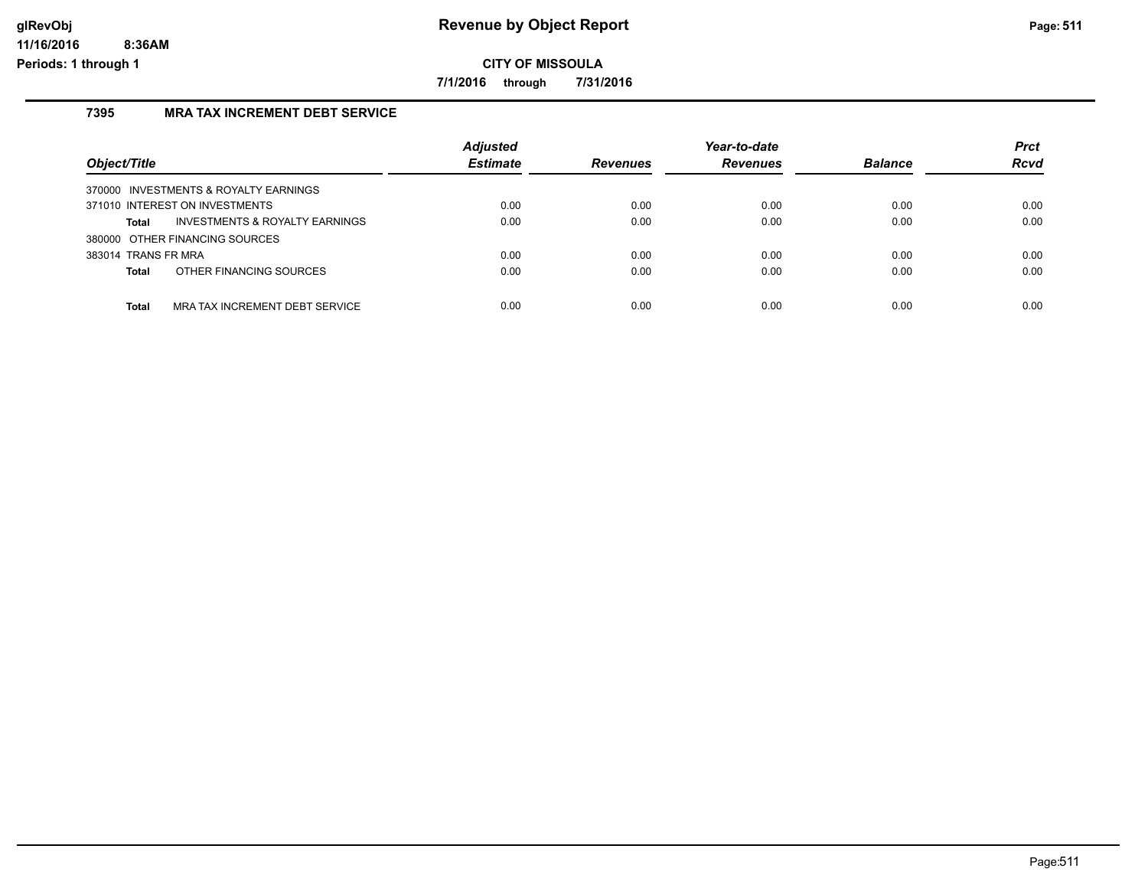**8:36AM**

**CITY OF MISSOULA**

**7/1/2016 through 7/31/2016**

## **7395 MRA TAX INCREMENT DEBT SERVICE**

|                                                | <b>Adjusted</b><br><b>Estimate</b> | <b>Revenues</b> | Year-to-date<br><b>Revenues</b> | <b>Balance</b> | <b>Prct</b><br><b>Rcvd</b> |
|------------------------------------------------|------------------------------------|-----------------|---------------------------------|----------------|----------------------------|
| Object/Title                                   |                                    |                 |                                 |                |                            |
| 370000 INVESTMENTS & ROYALTY EARNINGS          |                                    |                 |                                 |                |                            |
| 371010 INTEREST ON INVESTMENTS                 | 0.00                               | 0.00            | 0.00                            | 0.00           | 0.00                       |
| INVESTMENTS & ROYALTY EARNINGS<br>Total        | 0.00                               | 0.00            | 0.00                            | 0.00           | 0.00                       |
| 380000 OTHER FINANCING SOURCES                 |                                    |                 |                                 |                |                            |
| 383014 TRANS FR MRA                            | 0.00                               | 0.00            | 0.00                            | 0.00           | 0.00                       |
| OTHER FINANCING SOURCES<br><b>Total</b>        | 0.00                               | 0.00            | 0.00                            | 0.00           | 0.00                       |
|                                                |                                    |                 |                                 |                |                            |
| MRA TAX INCREMENT DEBT SERVICE<br><b>Total</b> | 0.00                               | 0.00            | 0.00                            | 0.00           | 0.00                       |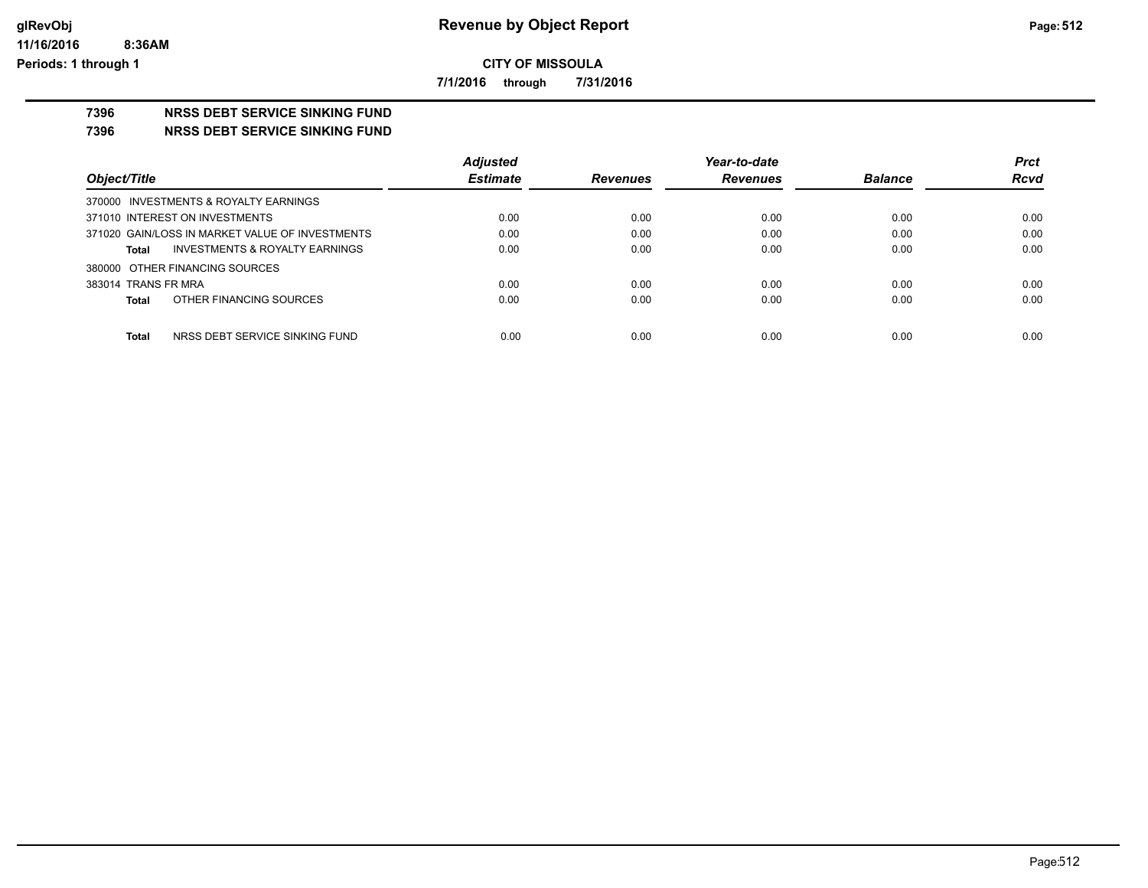**11/16/2016 8:36AM Periods: 1 through 1**

**CITY OF MISSOULA**

**7/1/2016 through 7/31/2016**

# **7396 NRSS DEBT SERVICE SINKING FUND**

**7396 NRSS DEBT SERVICE SINKING FUND**

|                                                 | <b>Adjusted</b> |                 | Year-to-date    |                | <b>Prct</b> |
|-------------------------------------------------|-----------------|-----------------|-----------------|----------------|-------------|
| Object/Title                                    | <b>Estimate</b> | <b>Revenues</b> | <b>Revenues</b> | <b>Balance</b> | <b>Rcvd</b> |
| 370000 INVESTMENTS & ROYALTY EARNINGS           |                 |                 |                 |                |             |
| 371010 INTEREST ON INVESTMENTS                  | 0.00            | 0.00            | 0.00            | 0.00           | 0.00        |
| 371020 GAIN/LOSS IN MARKET VALUE OF INVESTMENTS | 0.00            | 0.00            | 0.00            | 0.00           | 0.00        |
| INVESTMENTS & ROYALTY EARNINGS<br><b>Total</b>  | 0.00            | 0.00            | 0.00            | 0.00           | 0.00        |
| 380000 OTHER FINANCING SOURCES                  |                 |                 |                 |                |             |
| 383014 TRANS FR MRA                             | 0.00            | 0.00            | 0.00            | 0.00           | 0.00        |
| OTHER FINANCING SOURCES<br><b>Total</b>         | 0.00            | 0.00            | 0.00            | 0.00           | 0.00        |
|                                                 |                 |                 |                 |                |             |
| <b>Total</b><br>NRSS DEBT SERVICE SINKING FUND  | 0.00            | 0.00            | 0.00            | 0.00           | 0.00        |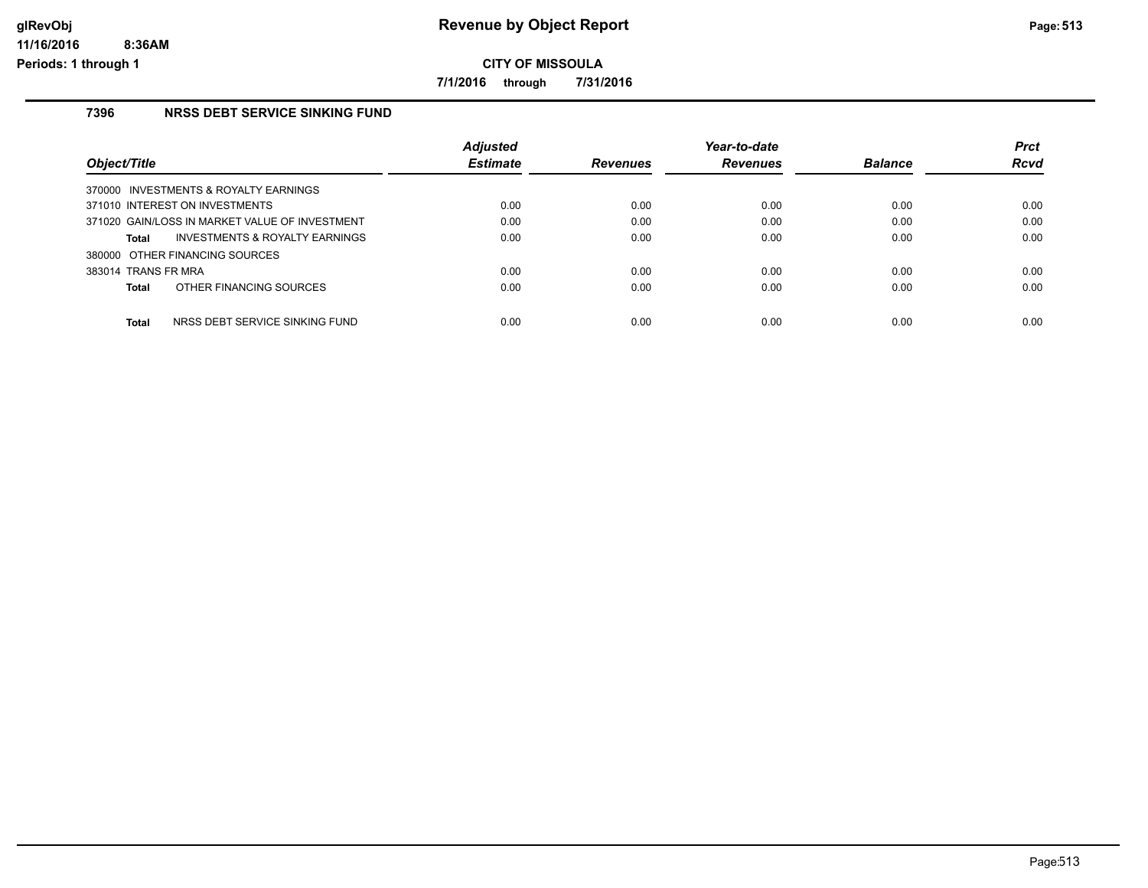**8:36AM**

**CITY OF MISSOULA**

**7/1/2016 through 7/31/2016**

## **7396 NRSS DEBT SERVICE SINKING FUND**

|                                                | <b>Adjusted</b> |                 | Year-to-date    |                | <b>Prct</b> |
|------------------------------------------------|-----------------|-----------------|-----------------|----------------|-------------|
| Object/Title                                   | <b>Estimate</b> | <b>Revenues</b> | <b>Revenues</b> | <b>Balance</b> | <b>Rcvd</b> |
| 370000 INVESTMENTS & ROYALTY EARNINGS          |                 |                 |                 |                |             |
| 371010 INTEREST ON INVESTMENTS                 | 0.00            | 0.00            | 0.00            | 0.00           | 0.00        |
| 371020 GAIN/LOSS IN MARKET VALUE OF INVESTMENT | 0.00            | 0.00            | 0.00            | 0.00           | 0.00        |
| INVESTMENTS & ROYALTY EARNINGS<br>Total        | 0.00            | 0.00            | 0.00            | 0.00           | 0.00        |
| 380000 OTHER FINANCING SOURCES                 |                 |                 |                 |                |             |
| 383014 TRANS FR MRA                            | 0.00            | 0.00            | 0.00            | 0.00           | 0.00        |
| OTHER FINANCING SOURCES<br>Total               | 0.00            | 0.00            | 0.00            | 0.00           | 0.00        |
|                                                |                 |                 |                 |                |             |
| Total<br>NRSS DEBT SERVICE SINKING FUND        | 0.00            | 0.00            | 0.00            | 0.00           | 0.00        |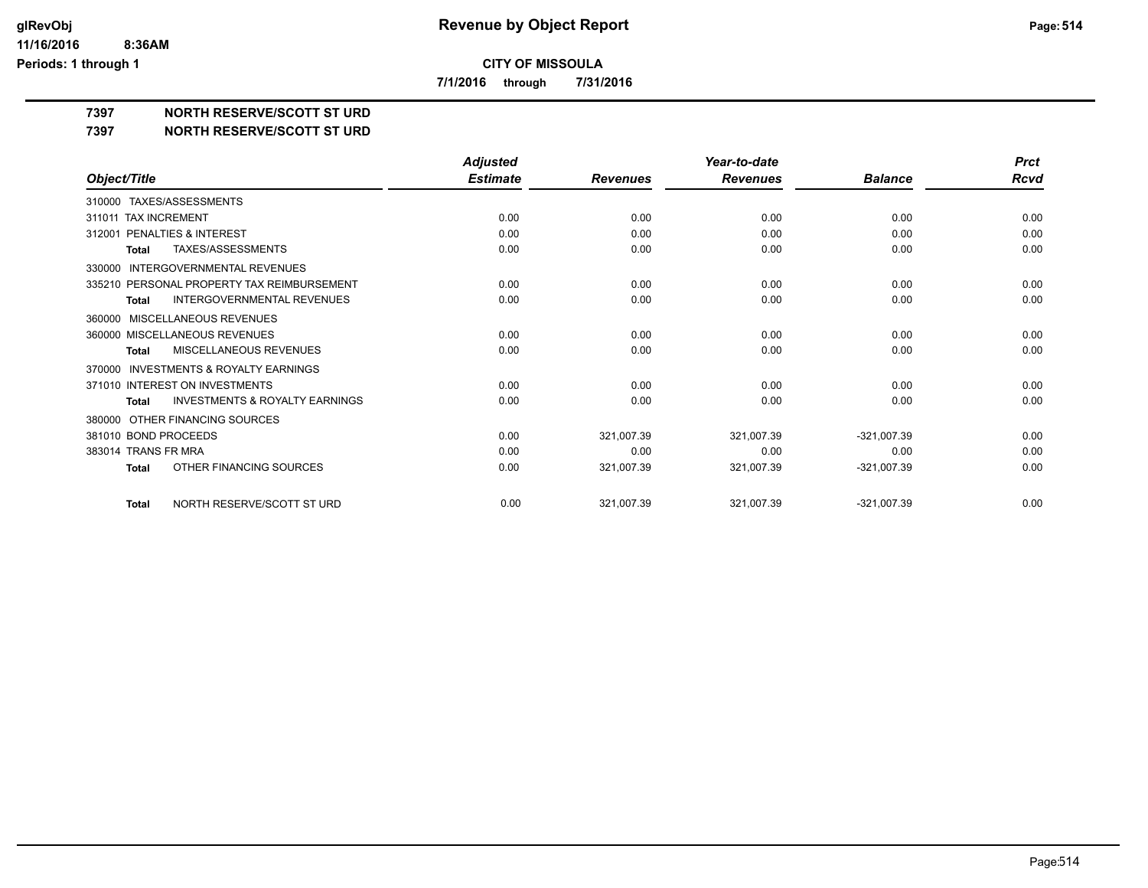**glRevObj Revenue by Object Report Page:514** 

**CITY OF MISSOULA**

**7/1/2016 through 7/31/2016**

**7397 NORTH RESERVE/SCOTT ST URD**

**7397 NORTH RESERVE/SCOTT ST URD**

|                                                           | <b>Adjusted</b> |                 | Year-to-date    |                | <b>Prct</b> |
|-----------------------------------------------------------|-----------------|-----------------|-----------------|----------------|-------------|
| Object/Title                                              | <b>Estimate</b> | <b>Revenues</b> | <b>Revenues</b> | <b>Balance</b> | <b>Rcvd</b> |
| TAXES/ASSESSMENTS<br>310000                               |                 |                 |                 |                |             |
| 311011 TAX INCREMENT                                      | 0.00            | 0.00            | 0.00            | 0.00           | 0.00        |
| 312001 PENALTIES & INTEREST                               | 0.00            | 0.00            | 0.00            | 0.00           | 0.00        |
| TAXES/ASSESSMENTS<br><b>Total</b>                         | 0.00            | 0.00            | 0.00            | 0.00           | 0.00        |
| <b>INTERGOVERNMENTAL REVENUES</b><br>330000               |                 |                 |                 |                |             |
| 335210 PERSONAL PROPERTY TAX REIMBURSEMENT                | 0.00            | 0.00            | 0.00            | 0.00           | 0.00        |
| <b>INTERGOVERNMENTAL REVENUES</b><br><b>Total</b>         | 0.00            | 0.00            | 0.00            | 0.00           | 0.00        |
| MISCELLANEOUS REVENUES<br>360000                          |                 |                 |                 |                |             |
| 360000 MISCELLANEOUS REVENUES                             | 0.00            | 0.00            | 0.00            | 0.00           | 0.00        |
| MISCELLANEOUS REVENUES<br><b>Total</b>                    | 0.00            | 0.00            | 0.00            | 0.00           | 0.00        |
| INVESTMENTS & ROYALTY EARNINGS<br>370000                  |                 |                 |                 |                |             |
| 371010 INTEREST ON INVESTMENTS                            | 0.00            | 0.00            | 0.00            | 0.00           | 0.00        |
| <b>INVESTMENTS &amp; ROYALTY EARNINGS</b><br><b>Total</b> | 0.00            | 0.00            | 0.00            | 0.00           | 0.00        |
| OTHER FINANCING SOURCES<br>380000                         |                 |                 |                 |                |             |
| 381010 BOND PROCEEDS                                      | 0.00            | 321,007.39      | 321,007.39      | $-321,007.39$  | 0.00        |
| 383014 TRANS FR MRA                                       | 0.00            | 0.00            | 0.00            | 0.00           | 0.00        |
| OTHER FINANCING SOURCES<br><b>Total</b>                   | 0.00            | 321,007.39      | 321,007.39      | $-321,007.39$  | 0.00        |
| NORTH RESERVE/SCOTT ST URD<br><b>Total</b>                | 0.00            | 321,007.39      | 321,007.39      | $-321,007.39$  | 0.00        |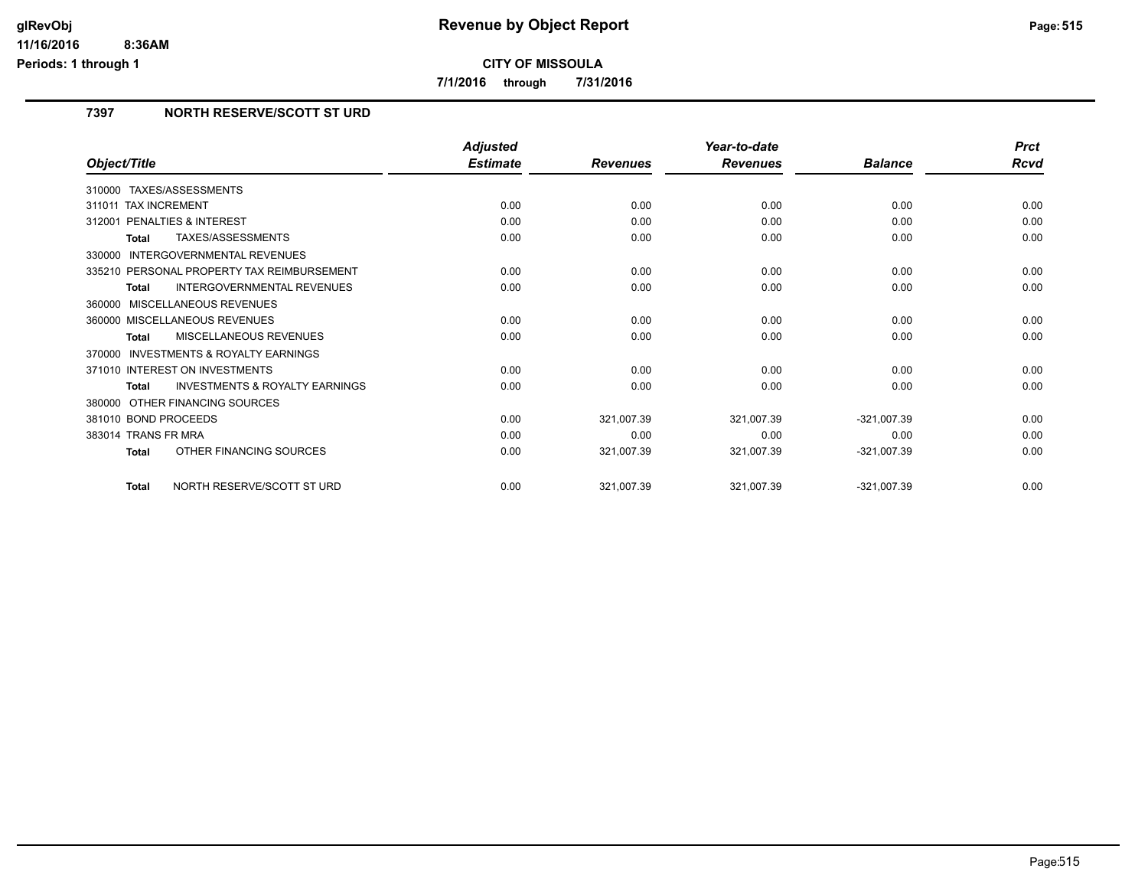**CITY OF MISSOULA**

**7/1/2016 through 7/31/2016**

## **7397 NORTH RESERVE/SCOTT ST URD**

|                                                    | <b>Adjusted</b> |                 | Year-to-date    |                | <b>Prct</b> |
|----------------------------------------------------|-----------------|-----------------|-----------------|----------------|-------------|
| Object/Title                                       | <b>Estimate</b> | <b>Revenues</b> | <b>Revenues</b> | <b>Balance</b> | <b>Rcvd</b> |
| 310000 TAXES/ASSESSMENTS                           |                 |                 |                 |                |             |
| 311011 TAX INCREMENT                               | 0.00            | 0.00            | 0.00            | 0.00           | 0.00        |
| PENALTIES & INTEREST<br>312001                     | 0.00            | 0.00            | 0.00            | 0.00           | 0.00        |
| TAXES/ASSESSMENTS<br><b>Total</b>                  | 0.00            | 0.00            | 0.00            | 0.00           | 0.00        |
| <b>INTERGOVERNMENTAL REVENUES</b><br>330000        |                 |                 |                 |                |             |
| 335210 PERSONAL PROPERTY TAX REIMBURSEMENT         | 0.00            | 0.00            | 0.00            | 0.00           | 0.00        |
| <b>INTERGOVERNMENTAL REVENUES</b><br><b>Total</b>  | 0.00            | 0.00            | 0.00            | 0.00           | 0.00        |
| 360000 MISCELLANEOUS REVENUES                      |                 |                 |                 |                |             |
| 360000 MISCELLANEOUS REVENUES                      | 0.00            | 0.00            | 0.00            | 0.00           | 0.00        |
| MISCELLANEOUS REVENUES<br><b>Total</b>             | 0.00            | 0.00            | 0.00            | 0.00           | 0.00        |
| 370000 INVESTMENTS & ROYALTY EARNINGS              |                 |                 |                 |                |             |
| 371010 INTEREST ON INVESTMENTS                     | 0.00            | 0.00            | 0.00            | 0.00           | 0.00        |
| <b>INVESTMENTS &amp; ROYALTY EARNINGS</b><br>Total | 0.00            | 0.00            | 0.00            | 0.00           | 0.00        |
| 380000 OTHER FINANCING SOURCES                     |                 |                 |                 |                |             |
| 381010 BOND PROCEEDS                               | 0.00            | 321,007.39      | 321,007.39      | $-321,007.39$  | 0.00        |
| 383014 TRANS FR MRA                                | 0.00            | 0.00            | 0.00            | 0.00           | 0.00        |
| OTHER FINANCING SOURCES<br><b>Total</b>            | 0.00            | 321,007.39      | 321,007.39      | $-321,007.39$  | 0.00        |
| NORTH RESERVE/SCOTT ST URD<br><b>Total</b>         | 0.00            | 321,007.39      | 321,007.39      | $-321,007.39$  | 0.00        |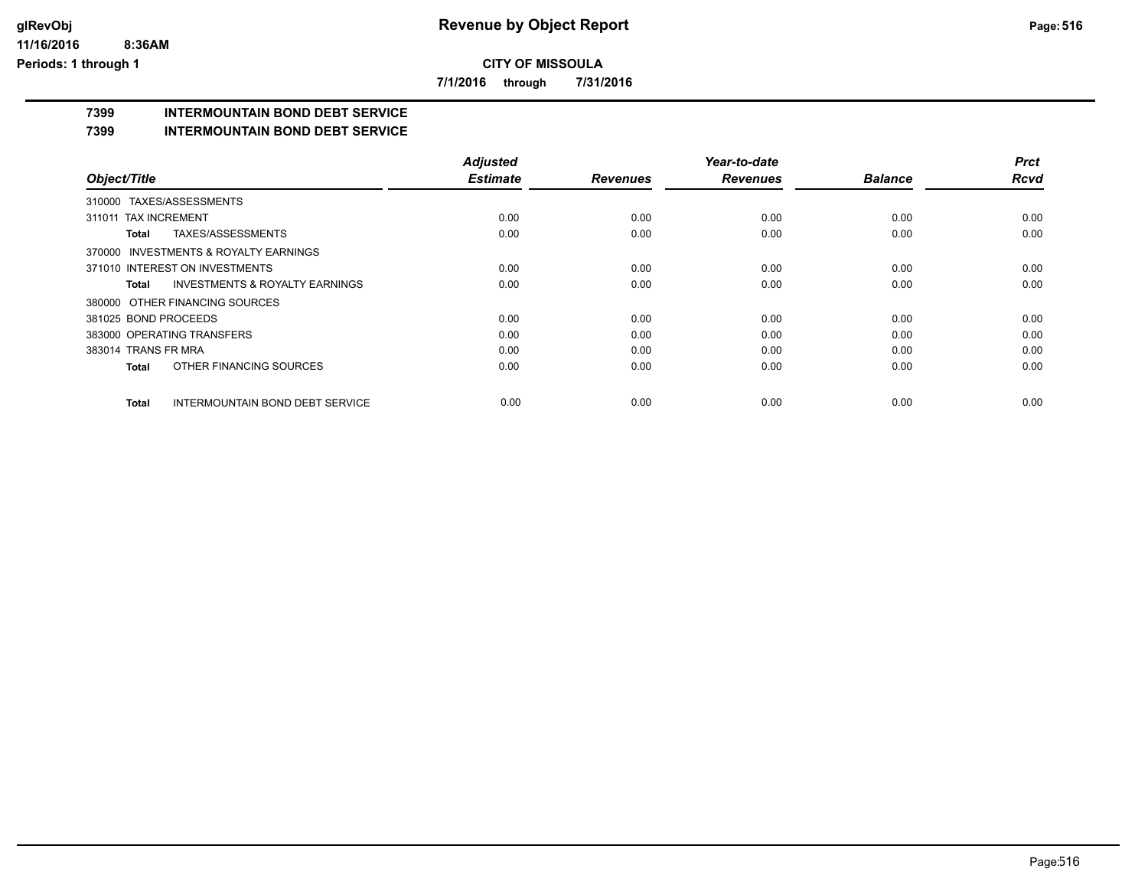**8:36AM**

**glRevObj Revenue by Object Report Page:516** 

**CITY OF MISSOULA**

**7/1/2016 through 7/31/2016**

# **7399 INTERMOUNTAIN BOND DEBT SERVICE**

## **7399 INTERMOUNTAIN BOND DEBT SERVICE**

|                                |                                           | <b>Adjusted</b> |                 | Year-to-date    |                | <b>Prct</b> |
|--------------------------------|-------------------------------------------|-----------------|-----------------|-----------------|----------------|-------------|
| Object/Title                   |                                           | <b>Estimate</b> | <b>Revenues</b> | <b>Revenues</b> | <b>Balance</b> | <b>Rcvd</b> |
| TAXES/ASSESSMENTS<br>310000    |                                           |                 |                 |                 |                |             |
| 311011 TAX INCREMENT           |                                           | 0.00            | 0.00            | 0.00            | 0.00           | 0.00        |
| <b>Total</b>                   | TAXES/ASSESSMENTS                         | 0.00            | 0.00            | 0.00            | 0.00           | 0.00        |
|                                | 370000 INVESTMENTS & ROYALTY EARNINGS     |                 |                 |                 |                |             |
| 371010 INTEREST ON INVESTMENTS |                                           | 0.00            | 0.00            | 0.00            | 0.00           | 0.00        |
| Total                          | <b>INVESTMENTS &amp; ROYALTY EARNINGS</b> | 0.00            | 0.00            | 0.00            | 0.00           | 0.00        |
| 380000 OTHER FINANCING SOURCES |                                           |                 |                 |                 |                |             |
| 381025 BOND PROCEEDS           |                                           | 0.00            | 0.00            | 0.00            | 0.00           | 0.00        |
| 383000 OPERATING TRANSFERS     |                                           | 0.00            | 0.00            | 0.00            | 0.00           | 0.00        |
| 383014 TRANS FR MRA            |                                           | 0.00            | 0.00            | 0.00            | 0.00           | 0.00        |
| Total                          | OTHER FINANCING SOURCES                   | 0.00            | 0.00            | 0.00            | 0.00           | 0.00        |
| Total                          | <b>INTERMOUNTAIN BOND DEBT SERVICE</b>    | 0.00            | 0.00            | 0.00            | 0.00           | 0.00        |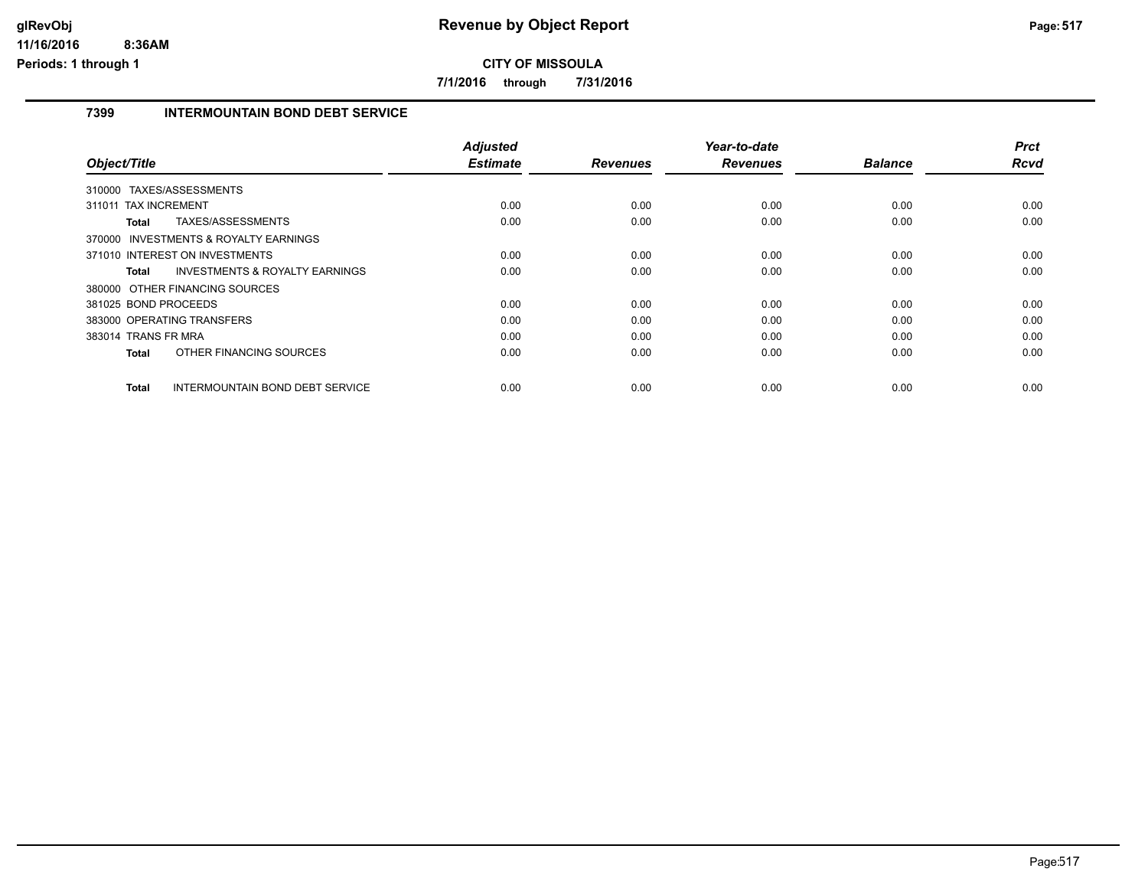**8:36AM**

**CITY OF MISSOULA**

**7/1/2016 through 7/31/2016**

## **7399 INTERMOUNTAIN BOND DEBT SERVICE**

| Object/Title                                       | Adjusted<br><b>Estimate</b> | <b>Revenues</b> | Year-to-date<br><b>Revenues</b> | <b>Balance</b> | <b>Prct</b><br><b>Rcvd</b> |
|----------------------------------------------------|-----------------------------|-----------------|---------------------------------|----------------|----------------------------|
| 310000 TAXES/ASSESSMENTS                           |                             |                 |                                 |                |                            |
| 311011 TAX INCREMENT                               | 0.00                        | 0.00            | 0.00                            | 0.00           | 0.00                       |
| TAXES/ASSESSMENTS<br><b>Total</b>                  | 0.00                        | 0.00            | 0.00                            | 0.00           | 0.00                       |
| 370000 INVESTMENTS & ROYALTY EARNINGS              |                             |                 |                                 |                |                            |
| 371010 INTEREST ON INVESTMENTS                     | 0.00                        | 0.00            | 0.00                            | 0.00           | 0.00                       |
| <b>INVESTMENTS &amp; ROYALTY EARNINGS</b><br>Total | 0.00                        | 0.00            | 0.00                            | 0.00           | 0.00                       |
| 380000 OTHER FINANCING SOURCES                     |                             |                 |                                 |                |                            |
| 381025 BOND PROCEEDS                               | 0.00                        | 0.00            | 0.00                            | 0.00           | 0.00                       |
| 383000 OPERATING TRANSFERS                         | 0.00                        | 0.00            | 0.00                            | 0.00           | 0.00                       |
| 383014 TRANS FR MRA                                | 0.00                        | 0.00            | 0.00                            | 0.00           | 0.00                       |
| OTHER FINANCING SOURCES<br><b>Total</b>            | 0.00                        | 0.00            | 0.00                            | 0.00           | 0.00                       |
| INTERMOUNTAIN BOND DEBT SERVICE<br><b>Total</b>    | 0.00                        | 0.00            | 0.00                            | 0.00           | 0.00                       |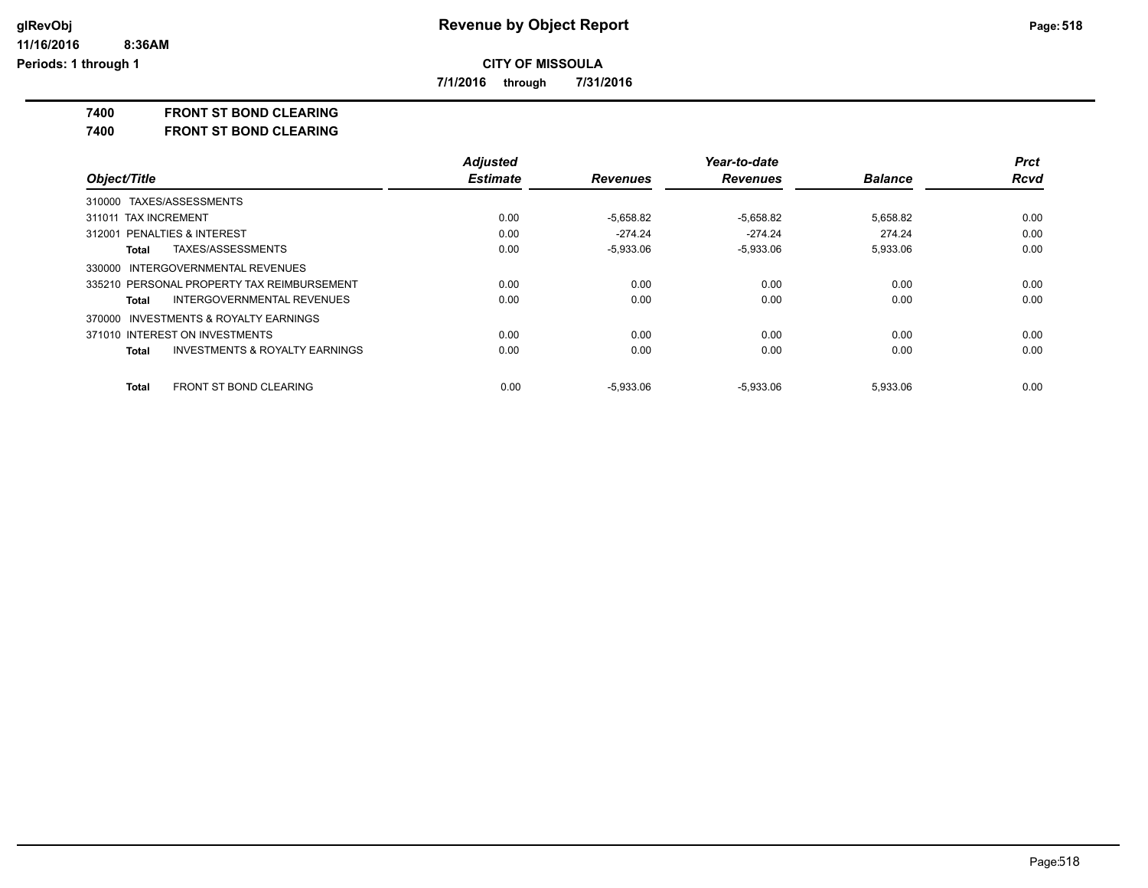**CITY OF MISSOULA**

**7/1/2016 through 7/31/2016**

**7400 FRONT ST BOND CLEARING**

 **8:36AM**

**7400 FRONT ST BOND CLEARING**

|                                                    | <b>Adjusted</b> |                 | Year-to-date    |                | <b>Prct</b> |
|----------------------------------------------------|-----------------|-----------------|-----------------|----------------|-------------|
| Object/Title                                       | <b>Estimate</b> | <b>Revenues</b> | <b>Revenues</b> | <b>Balance</b> | <b>Rcvd</b> |
| 310000 TAXES/ASSESSMENTS                           |                 |                 |                 |                |             |
| 311011 TAX INCREMENT                               | 0.00            | $-5,658.82$     | $-5,658.82$     | 5,658.82       | 0.00        |
| 312001 PENALTIES & INTEREST                        | 0.00            | $-274.24$       | $-274.24$       | 274.24         | 0.00        |
| TAXES/ASSESSMENTS<br>Total                         | 0.00            | $-5,933.06$     | $-5,933.06$     | 5,933.06       | 0.00        |
| 330000 INTERGOVERNMENTAL REVENUES                  |                 |                 |                 |                |             |
| 335210 PERSONAL PROPERTY TAX REIMBURSEMENT         | 0.00            | 0.00            | 0.00            | 0.00           | 0.00        |
| <b>INTERGOVERNMENTAL REVENUES</b><br>Total         | 0.00            | 0.00            | 0.00            | 0.00           | 0.00        |
| 370000 INVESTMENTS & ROYALTY EARNINGS              |                 |                 |                 |                |             |
| 371010 INTEREST ON INVESTMENTS                     | 0.00            | 0.00            | 0.00            | 0.00           | 0.00        |
| <b>INVESTMENTS &amp; ROYALTY EARNINGS</b><br>Total | 0.00            | 0.00            | 0.00            | 0.00           | 0.00        |
| <b>FRONT ST BOND CLEARING</b><br><b>Total</b>      | 0.00            | $-5.933.06$     | $-5.933.06$     | 5.933.06       | 0.00        |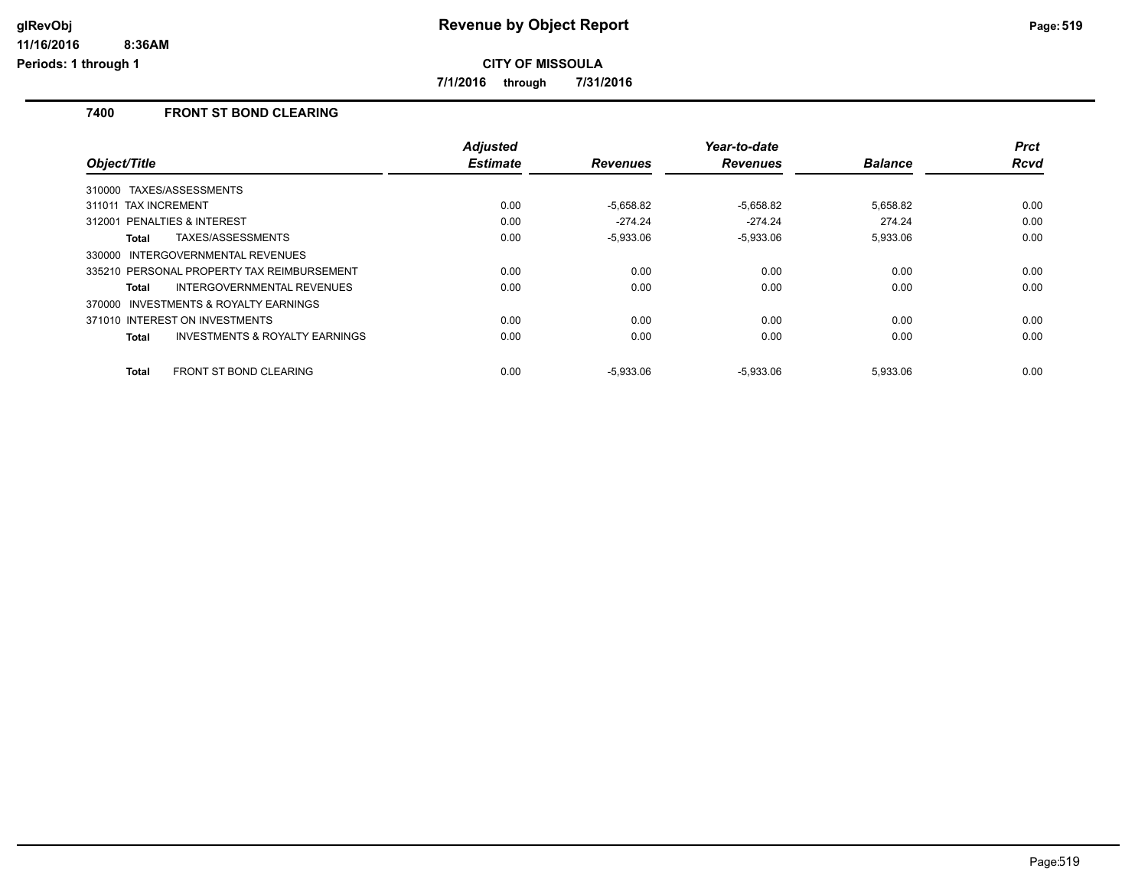**CITY OF MISSOULA**

**7/1/2016 through 7/31/2016**

#### **7400 FRONT ST BOND CLEARING**

|                                                           | <b>Adjusted</b> |                 | Year-to-date    |                | <b>Prct</b> |
|-----------------------------------------------------------|-----------------|-----------------|-----------------|----------------|-------------|
| Object/Title                                              | <b>Estimate</b> | <b>Revenues</b> | <b>Revenues</b> | <b>Balance</b> | <b>Rcvd</b> |
| TAXES/ASSESSMENTS<br>310000                               |                 |                 |                 |                |             |
| 311011 TAX INCREMENT                                      | 0.00            | $-5.658.82$     | $-5,658.82$     | 5.658.82       | 0.00        |
| 312001 PENALTIES & INTEREST                               | 0.00            | $-274.24$       | $-274.24$       | 274.24         | 0.00        |
| TAXES/ASSESSMENTS<br>Total                                | 0.00            | $-5,933.06$     | $-5,933.06$     | 5,933.06       | 0.00        |
| INTERGOVERNMENTAL REVENUES<br>330000                      |                 |                 |                 |                |             |
| 335210 PERSONAL PROPERTY TAX REIMBURSEMENT                | 0.00            | 0.00            | 0.00            | 0.00           | 0.00        |
| INTERGOVERNMENTAL REVENUES<br>Total                       | 0.00            | 0.00            | 0.00            | 0.00           | 0.00        |
| <b>INVESTMENTS &amp; ROYALTY EARNINGS</b><br>370000       |                 |                 |                 |                |             |
| 371010 INTEREST ON INVESTMENTS                            | 0.00            | 0.00            | 0.00            | 0.00           | 0.00        |
| <b>INVESTMENTS &amp; ROYALTY EARNINGS</b><br><b>Total</b> | 0.00            | 0.00            | 0.00            | 0.00           | 0.00        |
| <b>FRONT ST BOND CLEARING</b><br><b>Total</b>             | 0.00            | $-5.933.06$     | $-5.933.06$     | 5.933.06       | 0.00        |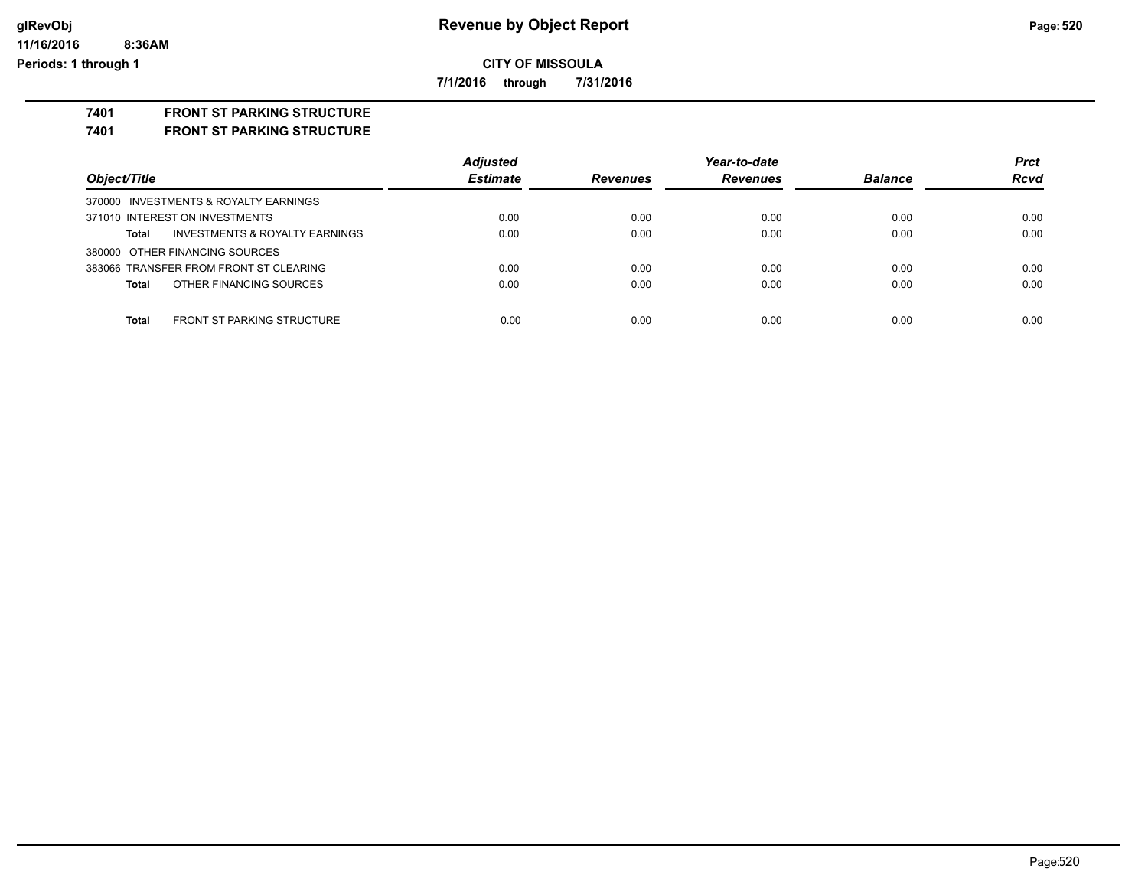**CITY OF MISSOULA**

**7/1/2016 through 7/31/2016**

# **7401 FRONT ST PARKING STRUCTURE**

 **8:36AM**

**7401 FRONT ST PARKING STRUCTURE**

|                                                           | <b>Adiusted</b> |                 | Year-to-date    |                | <b>Prct</b> |
|-----------------------------------------------------------|-----------------|-----------------|-----------------|----------------|-------------|
| Object/Title                                              | <b>Estimate</b> | <b>Revenues</b> | <b>Revenues</b> | <b>Balance</b> | <b>Rcvd</b> |
| 370000 INVESTMENTS & ROYALTY EARNINGS                     |                 |                 |                 |                |             |
| 371010 INTEREST ON INVESTMENTS                            | 0.00            | 0.00            | 0.00            | 0.00           | 0.00        |
| <b>INVESTMENTS &amp; ROYALTY EARNINGS</b><br><b>Total</b> | 0.00            | 0.00            | 0.00            | 0.00           | 0.00        |
| 380000 OTHER FINANCING SOURCES                            |                 |                 |                 |                |             |
| 383066 TRANSFER FROM FRONT ST CLEARING                    | 0.00            | 0.00            | 0.00            | 0.00           | 0.00        |
| OTHER FINANCING SOURCES<br><b>Total</b>                   | 0.00            | 0.00            | 0.00            | 0.00           | 0.00        |
|                                                           |                 |                 |                 |                |             |
| <b>FRONT ST PARKING STRUCTURE</b><br><b>Total</b>         | 0.00            | 0.00            | 0.00            | 0.00           | 0.00        |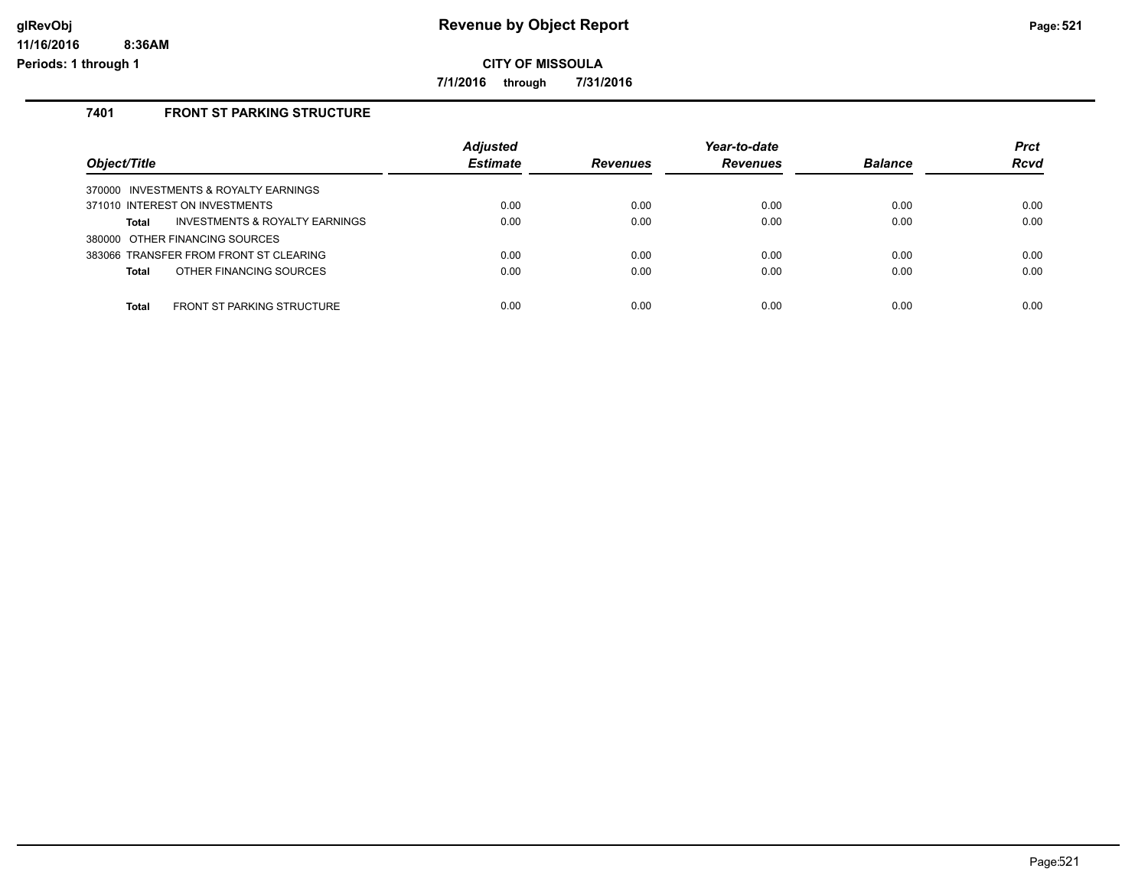**CITY OF MISSOULA**

**7/1/2016 through 7/31/2016**

#### **7401 FRONT ST PARKING STRUCTURE**

| Object/Title                                       | <b>Adjusted</b><br><b>Estimate</b> | <b>Revenues</b> | Year-to-date<br><b>Revenues</b> | <b>Balance</b> | <b>Prct</b><br><b>Rcvd</b> |
|----------------------------------------------------|------------------------------------|-----------------|---------------------------------|----------------|----------------------------|
| INVESTMENTS & ROYALTY EARNINGS<br>370000           |                                    |                 |                                 |                |                            |
| 371010 INTEREST ON INVESTMENTS                     | 0.00                               | 0.00            | 0.00                            | 0.00           | 0.00                       |
| <b>INVESTMENTS &amp; ROYALTY EARNINGS</b><br>Total | 0.00                               | 0.00            | 0.00                            | 0.00           | 0.00                       |
| 380000 OTHER FINANCING SOURCES                     |                                    |                 |                                 |                |                            |
| 383066 TRANSFER FROM FRONT ST CLEARING             | 0.00                               | 0.00            | 0.00                            | 0.00           | 0.00                       |
| OTHER FINANCING SOURCES<br><b>Total</b>            | 0.00                               | 0.00            | 0.00                            | 0.00           | 0.00                       |
| <b>FRONT ST PARKING STRUCTURE</b><br>Total         | 0.00                               | 0.00            | 0.00                            | 0.00           | 0.00                       |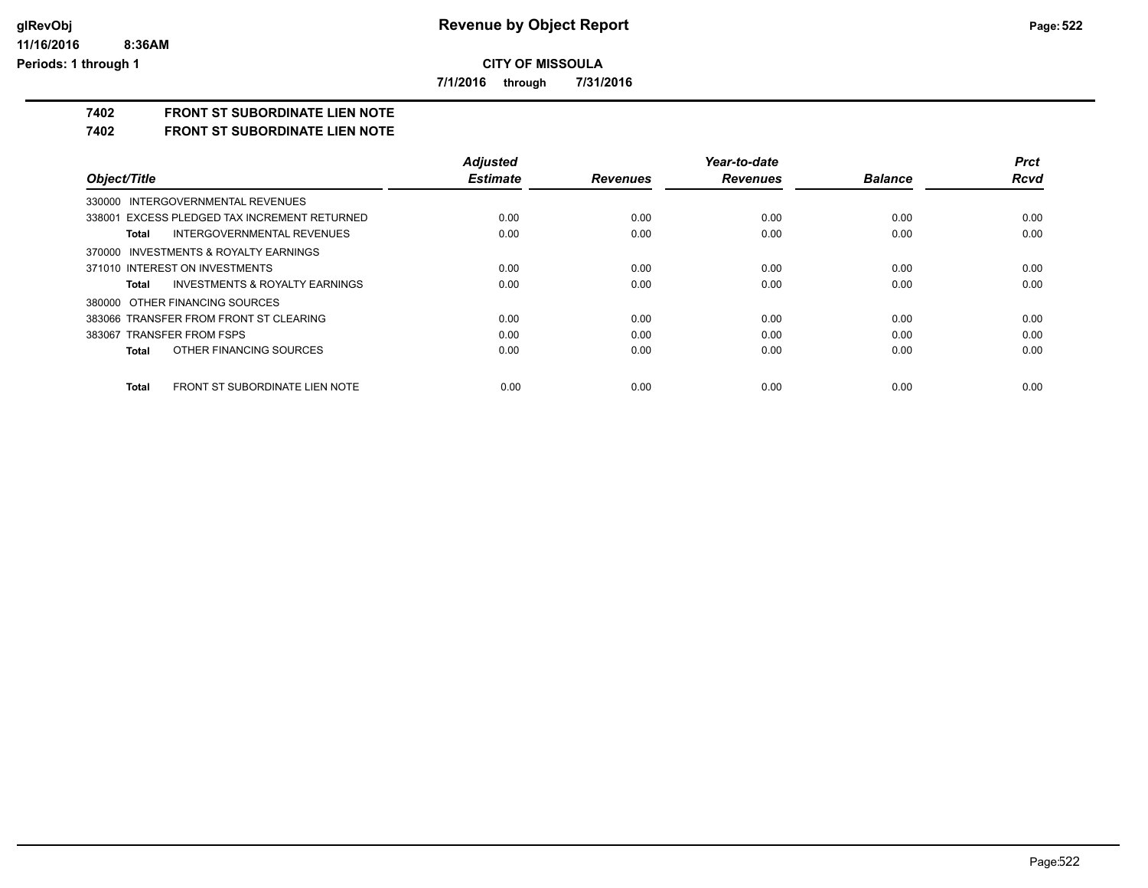**glRevObj Revenue by Object Report Page:522** 

**CITY OF MISSOULA**

**7/1/2016 through 7/31/2016**

# **7402 FRONT ST SUBORDINATE LIEN NOTE**

 **8:36AM**

**7402 FRONT ST SUBORDINATE LIEN NOTE**

|                                                    | <b>Adjusted</b> |                 | Year-to-date    |                | <b>Prct</b> |
|----------------------------------------------------|-----------------|-----------------|-----------------|----------------|-------------|
| Object/Title                                       | <b>Estimate</b> | <b>Revenues</b> | <b>Revenues</b> | <b>Balance</b> | <b>Rcvd</b> |
| 330000 INTERGOVERNMENTAL REVENUES                  |                 |                 |                 |                |             |
| EXCESS PLEDGED TAX INCREMENT RETURNED<br>338001    | 0.00            | 0.00            | 0.00            | 0.00           | 0.00        |
| <b>INTERGOVERNMENTAL REVENUES</b><br>Total         | 0.00            | 0.00            | 0.00            | 0.00           | 0.00        |
| 370000 INVESTMENTS & ROYALTY EARNINGS              |                 |                 |                 |                |             |
| 371010 INTEREST ON INVESTMENTS                     | 0.00            | 0.00            | 0.00            | 0.00           | 0.00        |
| <b>INVESTMENTS &amp; ROYALTY EARNINGS</b><br>Total | 0.00            | 0.00            | 0.00            | 0.00           | 0.00        |
| 380000 OTHER FINANCING SOURCES                     |                 |                 |                 |                |             |
| 383066 TRANSFER FROM FRONT ST CLEARING             | 0.00            | 0.00            | 0.00            | 0.00           | 0.00        |
| 383067 TRANSFER FROM FSPS                          | 0.00            | 0.00            | 0.00            | 0.00           | 0.00        |
| OTHER FINANCING SOURCES<br>Total                   | 0.00            | 0.00            | 0.00            | 0.00           | 0.00        |
| FRONT ST SUBORDINATE LIEN NOTE<br><b>Total</b>     | 0.00            | 0.00            | 0.00            | 0.00           | 0.00        |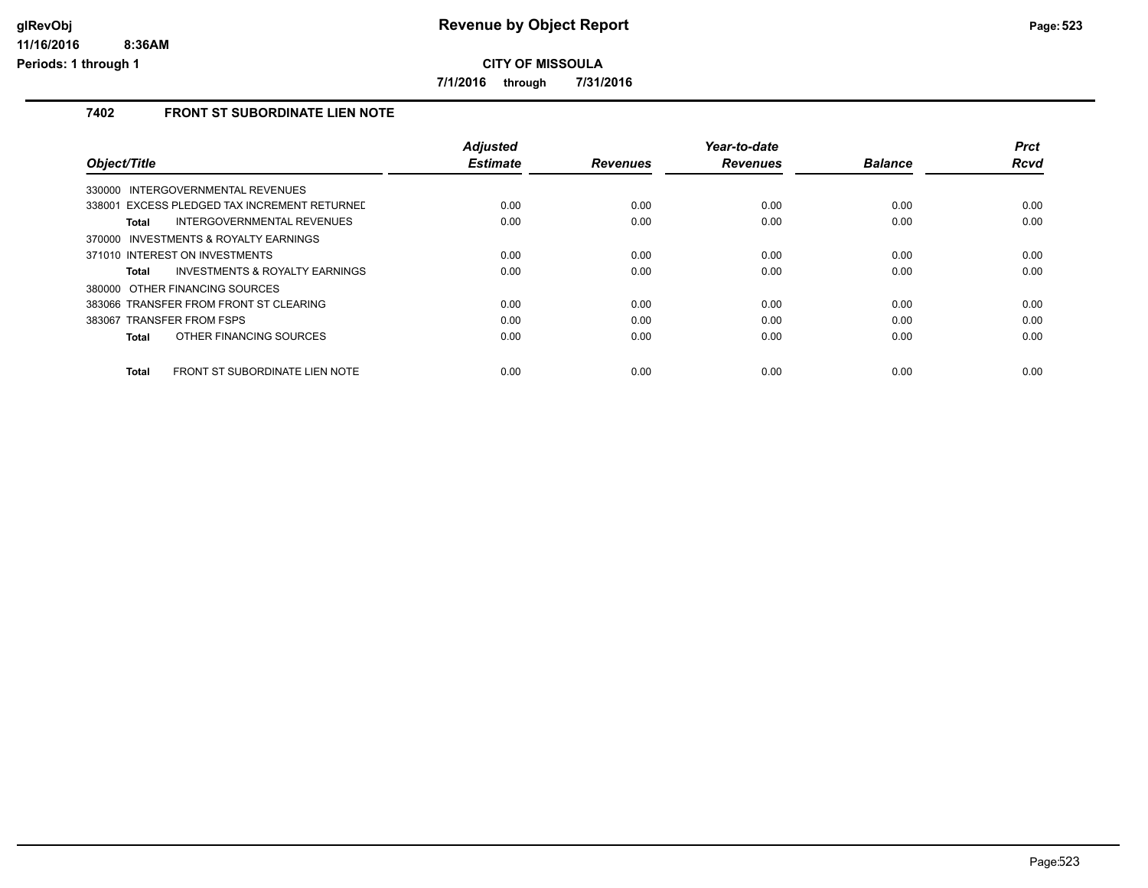**CITY OF MISSOULA**

**7/1/2016 through 7/31/2016**

## **7402 FRONT ST SUBORDINATE LIEN NOTE**

| Object/Title                                   | <b>Adjusted</b><br><b>Estimate</b> | <b>Revenues</b> | Year-to-date<br><b>Revenues</b> | <b>Balance</b> | <b>Prct</b><br><b>Rcvd</b> |
|------------------------------------------------|------------------------------------|-----------------|---------------------------------|----------------|----------------------------|
|                                                |                                    |                 |                                 |                |                            |
| INTERGOVERNMENTAL REVENUES<br>330000           |                                    |                 |                                 |                |                            |
| 338001 EXCESS PLEDGED TAX INCREMENT RETURNED   | 0.00                               | 0.00            | 0.00                            | 0.00           | 0.00                       |
| INTERGOVERNMENTAL REVENUES<br>Total            | 0.00                               | 0.00            | 0.00                            | 0.00           | 0.00                       |
| 370000 INVESTMENTS & ROYALTY EARNINGS          |                                    |                 |                                 |                |                            |
| 371010 INTEREST ON INVESTMENTS                 | 0.00                               | 0.00            | 0.00                            | 0.00           | 0.00                       |
| INVESTMENTS & ROYALTY EARNINGS<br>Total        | 0.00                               | 0.00            | 0.00                            | 0.00           | 0.00                       |
| 380000 OTHER FINANCING SOURCES                 |                                    |                 |                                 |                |                            |
| 383066 TRANSFER FROM FRONT ST CLEARING         | 0.00                               | 0.00            | 0.00                            | 0.00           | 0.00                       |
| 383067 TRANSFER FROM FSPS                      | 0.00                               | 0.00            | 0.00                            | 0.00           | 0.00                       |
| OTHER FINANCING SOURCES<br>Total               | 0.00                               | 0.00            | 0.00                            | 0.00           | 0.00                       |
|                                                |                                    |                 |                                 |                |                            |
| FRONT ST SUBORDINATE LIEN NOTE<br><b>Total</b> | 0.00                               | 0.00            | 0.00                            | 0.00           | 0.00                       |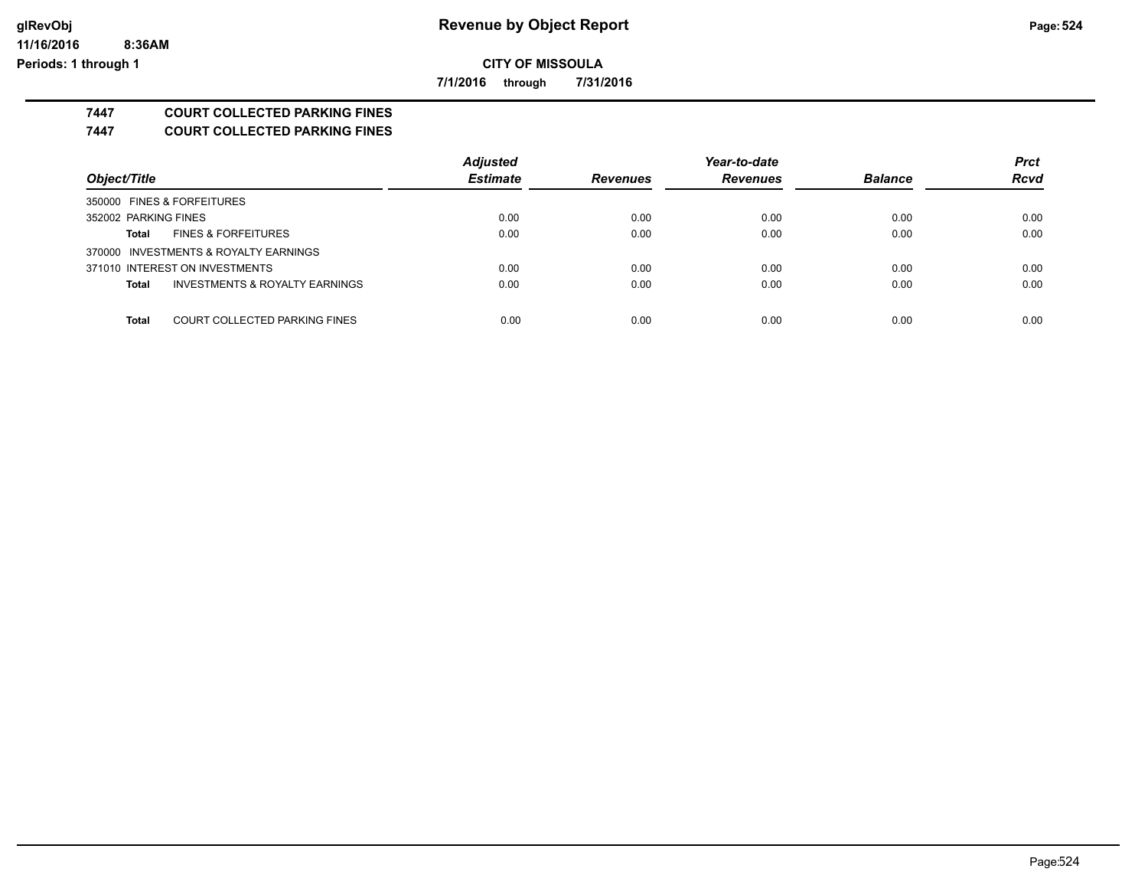**11/16/2016 8:36AM Periods: 1 through 1**

**CITY OF MISSOULA**

**7/1/2016 through 7/31/2016**

# **7447 COURT COLLECTED PARKING FINES**

**7447 COURT COLLECTED PARKING FINES**

|                                         | <b>Adjusted</b> |                 | Year-to-date    |                | <b>Prct</b> |
|-----------------------------------------|-----------------|-----------------|-----------------|----------------|-------------|
| Object/Title                            | <b>Estimate</b> | <b>Revenues</b> | <b>Revenues</b> | <b>Balance</b> | <b>Rcvd</b> |
| 350000 FINES & FORFEITURES              |                 |                 |                 |                |             |
| 352002 PARKING FINES                    | 0.00            | 0.00            | 0.00            | 0.00           | 0.00        |
| <b>FINES &amp; FORFEITURES</b><br>Total | 0.00            | 0.00            | 0.00            | 0.00           | 0.00        |
| 370000 INVESTMENTS & ROYALTY EARNINGS   |                 |                 |                 |                |             |
| 371010 INTEREST ON INVESTMENTS          | 0.00            | 0.00            | 0.00            | 0.00           | 0.00        |
| INVESTMENTS & ROYALTY EARNINGS<br>Total | 0.00            | 0.00            | 0.00            | 0.00           | 0.00        |
|                                         |                 |                 |                 |                |             |
| COURT COLLECTED PARKING FINES<br>Total  | 0.00            | 0.00            | 0.00            | 0.00           | 0.00        |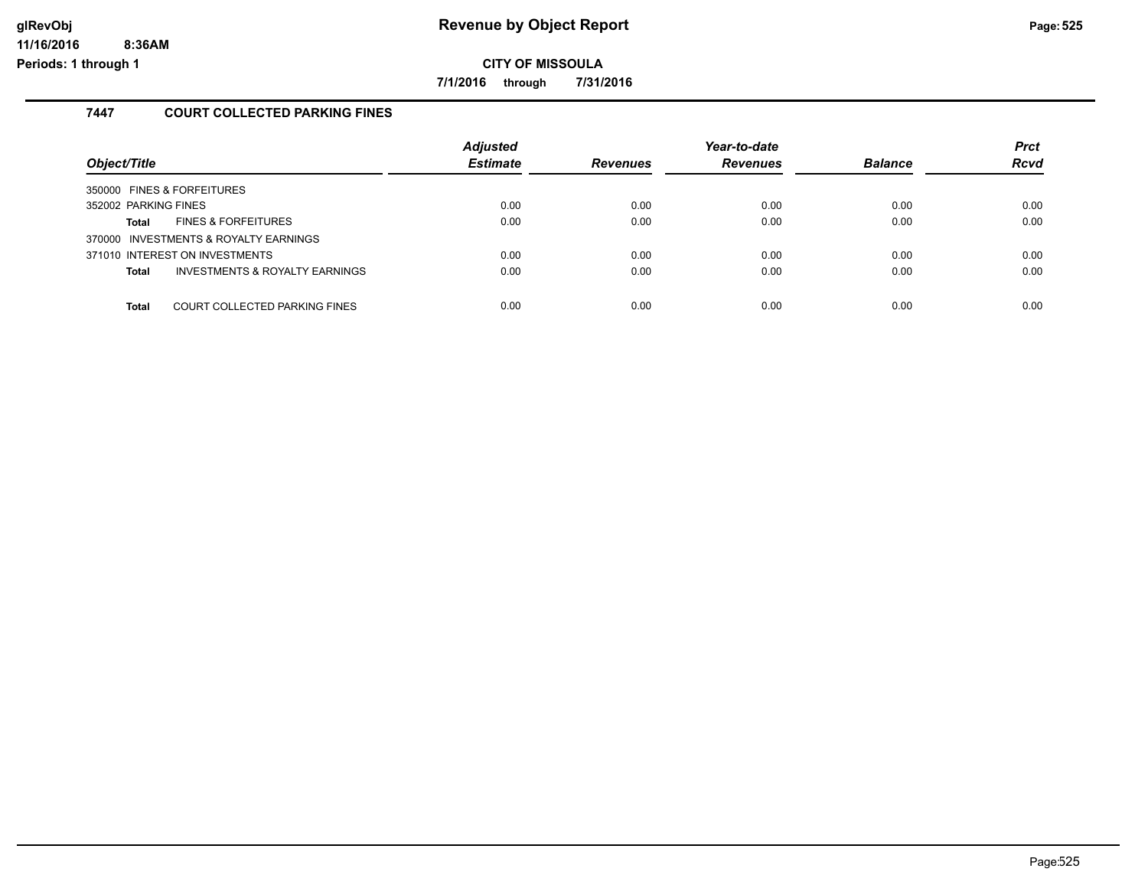**8:36AM**

**CITY OF MISSOULA**

**7/1/2016 through 7/31/2016**

### **7447 COURT COLLECTED PARKING FINES**

| Object/Title                                              | <b>Adjusted</b><br><b>Estimate</b> | <b>Revenues</b> | Year-to-date<br><b>Revenues</b> | <b>Balance</b> | <b>Prct</b><br><b>Rcvd</b> |
|-----------------------------------------------------------|------------------------------------|-----------------|---------------------------------|----------------|----------------------------|
| 350000 FINES & FORFEITURES                                |                                    |                 |                                 |                |                            |
| 352002 PARKING FINES                                      | 0.00                               | 0.00            | 0.00                            | 0.00           | 0.00                       |
| <b>FINES &amp; FORFEITURES</b><br>Total                   | 0.00                               | 0.00            | 0.00                            | 0.00           | 0.00                       |
| 370000 INVESTMENTS & ROYALTY EARNINGS                     |                                    |                 |                                 |                |                            |
| 371010 INTEREST ON INVESTMENTS                            | 0.00                               | 0.00            | 0.00                            | 0.00           | 0.00                       |
| <b>INVESTMENTS &amp; ROYALTY EARNINGS</b><br><b>Total</b> | 0.00                               | 0.00            | 0.00                            | 0.00           | 0.00                       |
|                                                           |                                    |                 |                                 |                |                            |
| <b>COURT COLLECTED PARKING FINES</b><br><b>Total</b>      | 0.00                               | 0.00            | 0.00                            | 0.00           | 0.00                       |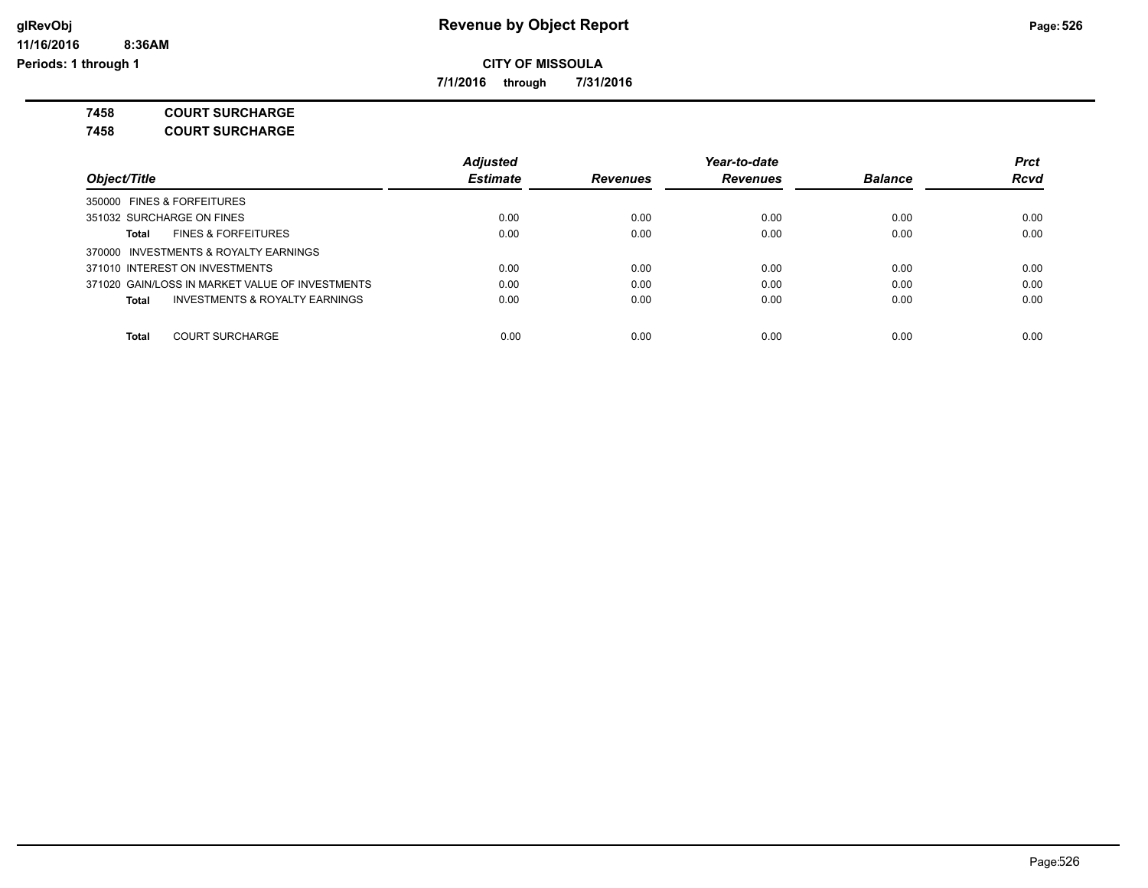**CITY OF MISSOULA**

**7/1/2016 through 7/31/2016**

**7458 COURT SURCHARGE**

**7458 COURT SURCHARGE**

|                                                 | <b>Adjusted</b> |                 | Year-to-date    |                | <b>Prct</b> |
|-------------------------------------------------|-----------------|-----------------|-----------------|----------------|-------------|
| Object/Title                                    | <b>Estimate</b> | <b>Revenues</b> | <b>Revenues</b> | <b>Balance</b> | <b>Rcvd</b> |
| 350000 FINES & FORFEITURES                      |                 |                 |                 |                |             |
| 351032 SURCHARGE ON FINES                       | 0.00            | 0.00            | 0.00            | 0.00           | 0.00        |
| <b>FINES &amp; FORFEITURES</b><br>Total         | 0.00            | 0.00            | 0.00            | 0.00           | 0.00        |
| 370000 INVESTMENTS & ROYALTY EARNINGS           |                 |                 |                 |                |             |
| 371010 INTEREST ON INVESTMENTS                  | 0.00            | 0.00            | 0.00            | 0.00           | 0.00        |
| 371020 GAIN/LOSS IN MARKET VALUE OF INVESTMENTS | 0.00            | 0.00            | 0.00            | 0.00           | 0.00        |
| INVESTMENTS & ROYALTY EARNINGS<br>Total         | 0.00            | 0.00            | 0.00            | 0.00           | 0.00        |
|                                                 |                 |                 |                 |                |             |
| <b>COURT SURCHARGE</b><br>Total                 | 0.00            | 0.00            | 0.00            | 0.00           | 0.00        |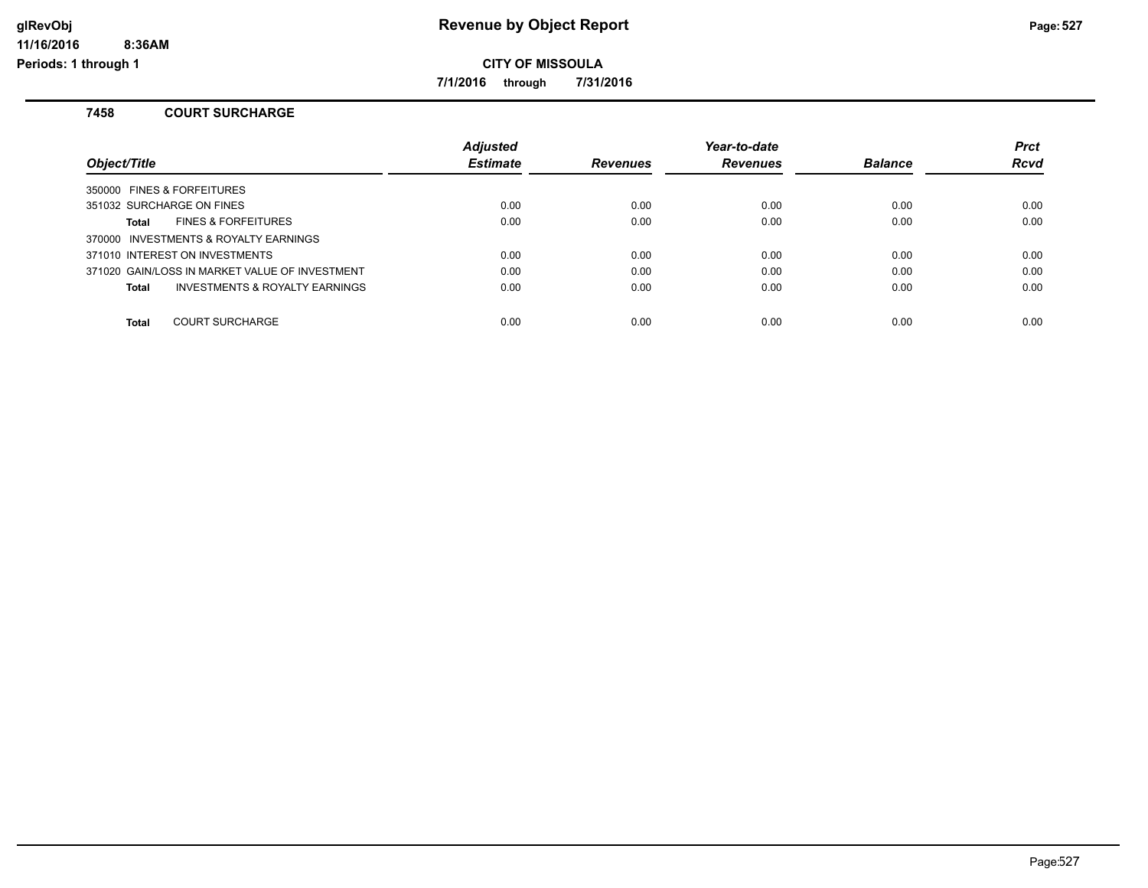**CITY OF MISSOULA**

**7/1/2016 through 7/31/2016**

#### **7458 COURT SURCHARGE**

| Object/Title                                   | <b>Adjusted</b><br><b>Estimate</b> | <b>Revenues</b> | Year-to-date<br><b>Revenues</b> | <b>Balance</b> | <b>Prct</b><br><b>Rcvd</b> |
|------------------------------------------------|------------------------------------|-----------------|---------------------------------|----------------|----------------------------|
| 350000 FINES & FORFEITURES                     |                                    |                 |                                 |                |                            |
| 351032 SURCHARGE ON FINES                      | 0.00                               | 0.00            | 0.00                            | 0.00           | 0.00                       |
| <b>FINES &amp; FORFEITURES</b><br>Total        | 0.00                               | 0.00            | 0.00                            | 0.00           | 0.00                       |
| 370000 INVESTMENTS & ROYALTY EARNINGS          |                                    |                 |                                 |                |                            |
| 371010 INTEREST ON INVESTMENTS                 | 0.00                               | 0.00            | 0.00                            | 0.00           | 0.00                       |
| 371020 GAIN/LOSS IN MARKET VALUE OF INVESTMENT | 0.00                               | 0.00            | 0.00                            | 0.00           | 0.00                       |
| INVESTMENTS & ROYALTY EARNINGS<br>Total        | 0.00                               | 0.00            | 0.00                            | 0.00           | 0.00                       |
|                                                |                                    |                 |                                 |                |                            |
| <b>Total</b><br><b>COURT SURCHARGE</b>         | 0.00                               | 0.00            | 0.00                            | 0.00           | 0.00                       |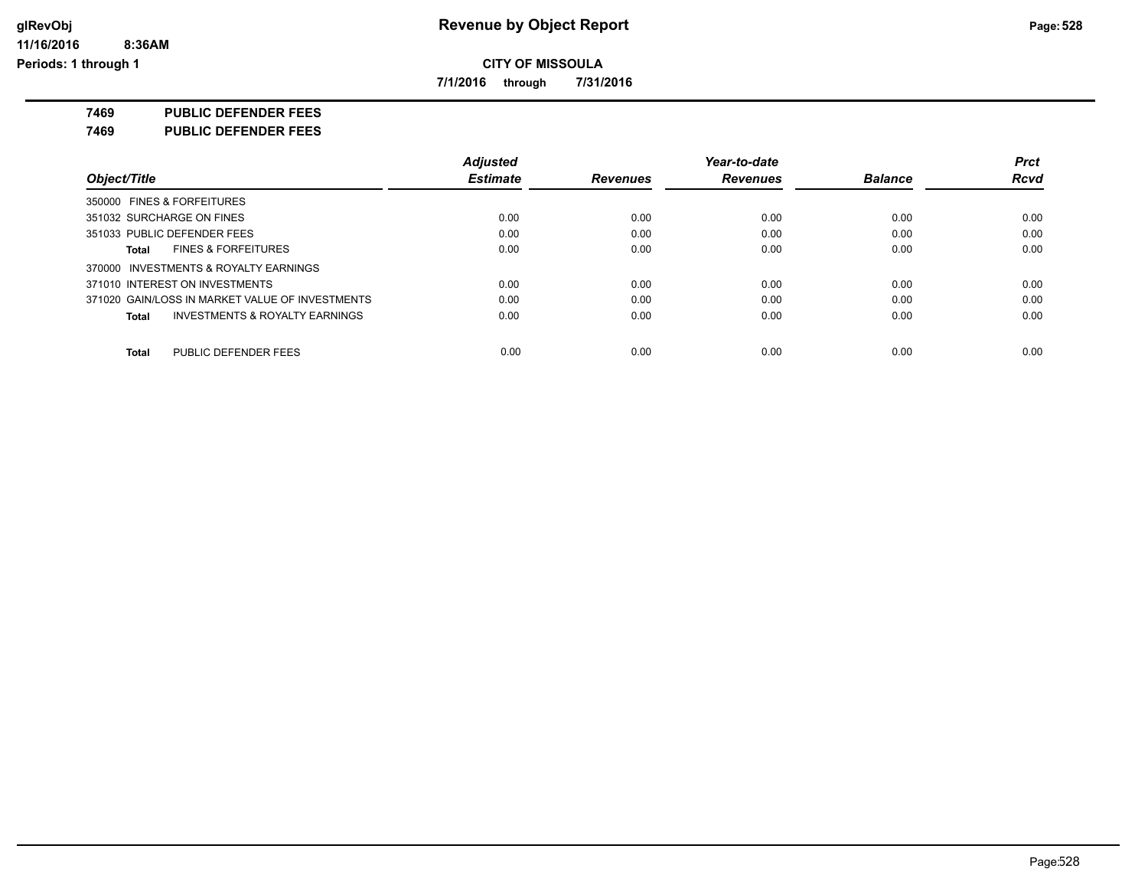**CITY OF MISSOULA**

**7/1/2016 through 7/31/2016**

**7469 PUBLIC DEFENDER FEES**

**7469 PUBLIC DEFENDER FEES**

|                                                    | <b>Adjusted</b> |                 | Year-to-date    |                | <b>Prct</b> |
|----------------------------------------------------|-----------------|-----------------|-----------------|----------------|-------------|
| Object/Title                                       | <b>Estimate</b> | <b>Revenues</b> | <b>Revenues</b> | <b>Balance</b> | <b>Rcvd</b> |
| 350000 FINES & FORFEITURES                         |                 |                 |                 |                |             |
| 351032 SURCHARGE ON FINES                          | 0.00            | 0.00            | 0.00            | 0.00           | 0.00        |
| 351033 PUBLIC DEFENDER FEES                        | 0.00            | 0.00            | 0.00            | 0.00           | 0.00        |
| <b>FINES &amp; FORFEITURES</b><br>Total            | 0.00            | 0.00            | 0.00            | 0.00           | 0.00        |
| 370000 INVESTMENTS & ROYALTY EARNINGS              |                 |                 |                 |                |             |
| 371010 INTEREST ON INVESTMENTS                     | 0.00            | 0.00            | 0.00            | 0.00           | 0.00        |
| 371020 GAIN/LOSS IN MARKET VALUE OF INVESTMENTS    | 0.00            | 0.00            | 0.00            | 0.00           | 0.00        |
| <b>INVESTMENTS &amp; ROYALTY EARNINGS</b><br>Total | 0.00            | 0.00            | 0.00            | 0.00           | 0.00        |
| PUBLIC DEFENDER FEES<br>Total                      | 0.00            | 0.00            | 0.00            | 0.00           | 0.00        |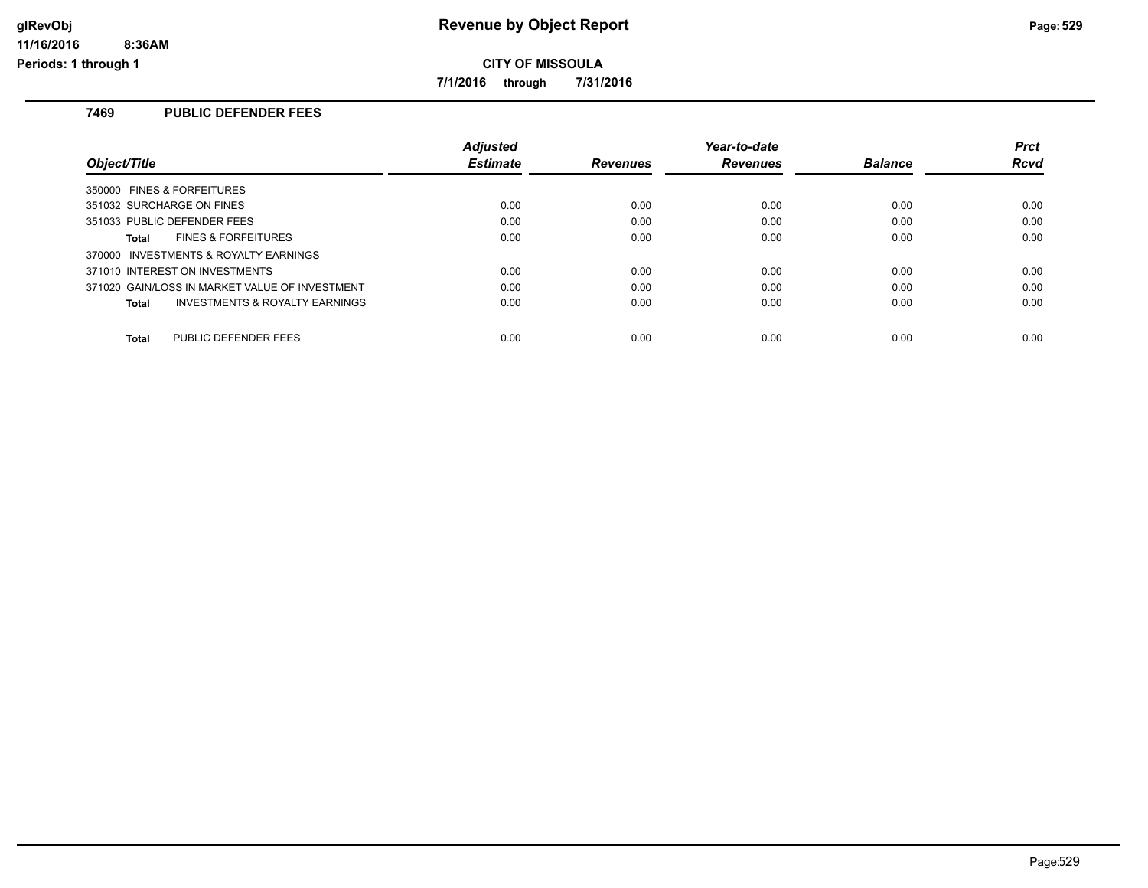**CITY OF MISSOULA**

**7/1/2016 through 7/31/2016**

#### **7469 PUBLIC DEFENDER FEES**

|                                                | <b>Adiusted</b> |                 | Year-to-date    |                | <b>Prct</b> |
|------------------------------------------------|-----------------|-----------------|-----------------|----------------|-------------|
| Obiect/Title                                   | <b>Estimate</b> | <b>Revenues</b> | <b>Revenues</b> | <b>Balance</b> | <b>Rcvd</b> |
| 350000 FINES & FORFEITURES                     |                 |                 |                 |                |             |
| 351032 SURCHARGE ON FINES                      | 0.00            | 0.00            | 0.00            | 0.00           | 0.00        |
| 351033 PUBLIC DEFENDER FEES                    | 0.00            | 0.00            | 0.00            | 0.00           | 0.00        |
| <b>FINES &amp; FORFEITURES</b><br><b>Total</b> | 0.00            | 0.00            | 0.00            | 0.00           | 0.00        |
| 370000 INVESTMENTS & ROYALTY EARNINGS          |                 |                 |                 |                |             |
| 371010 INTEREST ON INVESTMENTS                 | 0.00            | 0.00            | 0.00            | 0.00           | 0.00        |
| 371020 GAIN/LOSS IN MARKET VALUE OF INVESTMENT | 0.00            | 0.00            | 0.00            | 0.00           | 0.00        |
| INVESTMENTS & ROYALTY EARNINGS<br><b>Total</b> | 0.00            | 0.00            | 0.00            | 0.00           | 0.00        |
| PUBLIC DEFENDER FEES<br><b>Total</b>           | 0.00            | 0.00            | 0.00            | 0.00           | 0.00        |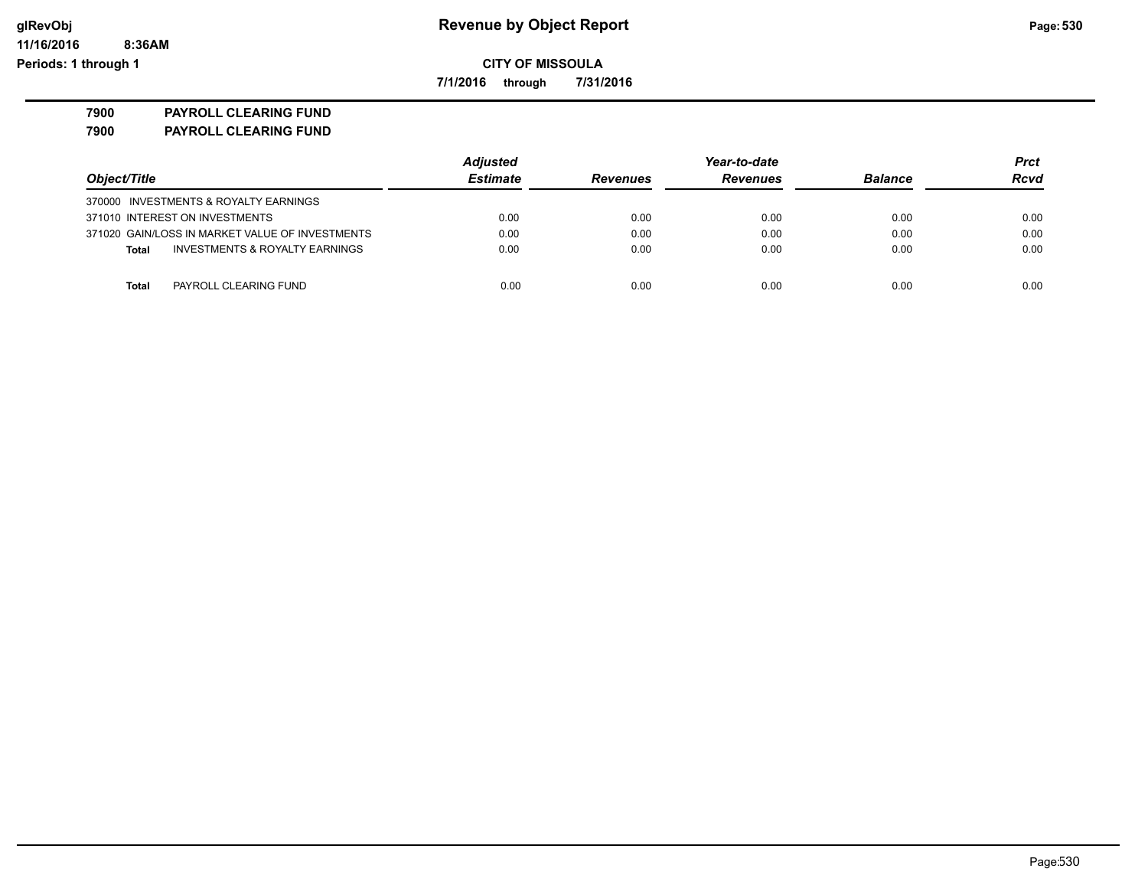**CITY OF MISSOULA**

**7/1/2016 through 7/31/2016**

**7900 PAYROLL CLEARING FUND**

**7900 PAYROLL CLEARING FUND**

|                                                           | <b>Adjusted</b> |                 | Year-to-date    |                | Prct |
|-----------------------------------------------------------|-----------------|-----------------|-----------------|----------------|------|
| Object/Title                                              | <b>Estimate</b> | <b>Revenues</b> | <b>Revenues</b> | <b>Balance</b> | Rcvd |
| 370000 INVESTMENTS & ROYALTY EARNINGS                     |                 |                 |                 |                |      |
| 371010 INTEREST ON INVESTMENTS                            | 0.00            | 0.00            | 0.00            | 0.00           | 0.00 |
| 371020 GAIN/LOSS IN MARKET VALUE OF INVESTMENTS           | 0.00            | 0.00            | 0.00            | 0.00           | 0.00 |
| <b>INVESTMENTS &amp; ROYALTY EARNINGS</b><br><b>Total</b> | 0.00            | 0.00            | 0.00            | 0.00           | 0.00 |
|                                                           |                 |                 |                 |                |      |
| <b>Total</b><br>PAYROLL CLEARING FUND                     | 0.00            | 0.00            | 0.00            | 0.00           | 0.00 |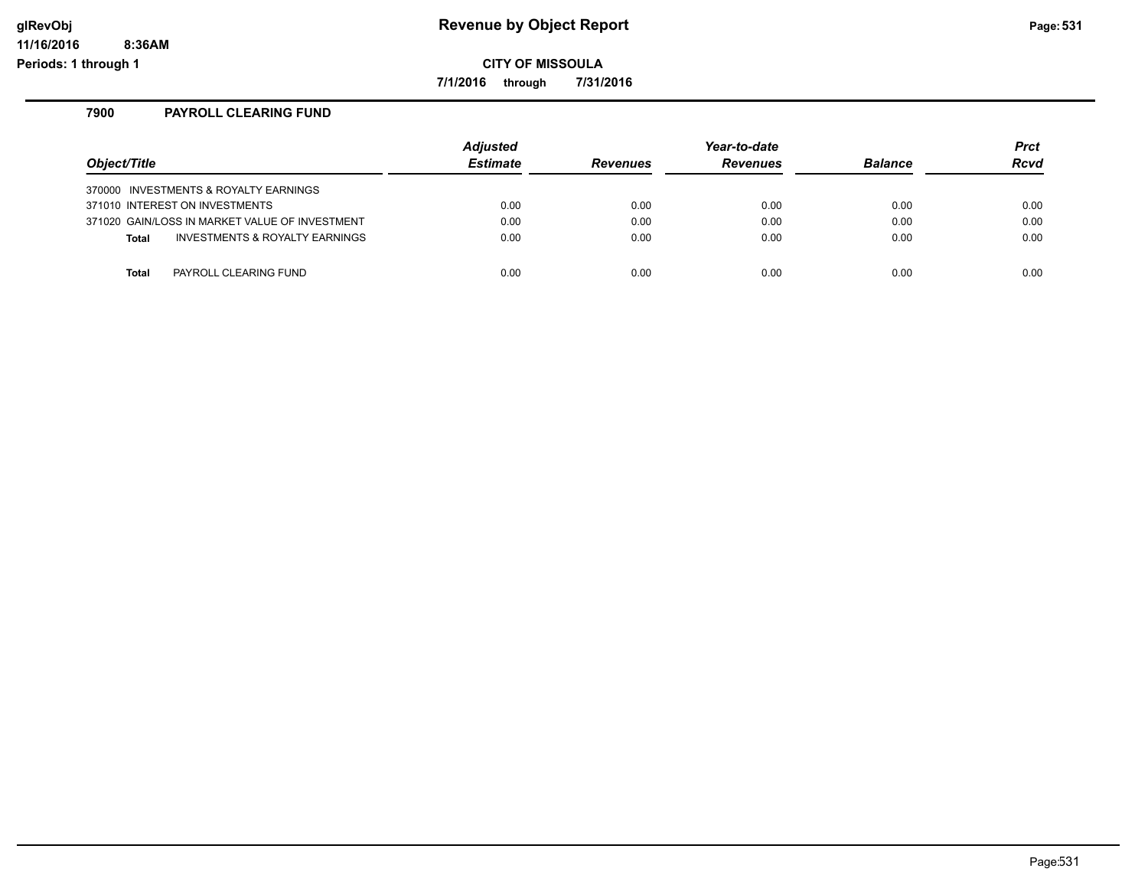**CITY OF MISSOULA**

**7/1/2016 through 7/31/2016**

### **7900 PAYROLL CLEARING FUND**

| Object/Title |                                                | <b>Adjusted</b><br><b>Estimate</b> | <b>Revenues</b> | Year-to-date<br><b>Revenues</b> | <b>Balance</b> | <b>Prct</b><br>Rcvd |
|--------------|------------------------------------------------|------------------------------------|-----------------|---------------------------------|----------------|---------------------|
|              | 370000 INVESTMENTS & ROYALTY EARNINGS          |                                    |                 |                                 |                |                     |
|              | 371010 INTEREST ON INVESTMENTS                 | 0.00                               | 0.00            | 0.00                            | 0.00           | 0.00                |
|              | 371020 GAIN/LOSS IN MARKET VALUE OF INVESTMENT | 0.00                               | 0.00            | 0.00                            | 0.00           | 0.00                |
| <b>Total</b> | <b>INVESTMENTS &amp; ROYALTY EARNINGS</b>      | 0.00                               | 0.00            | 0.00                            | 0.00           | 0.00                |
|              |                                                |                                    |                 |                                 |                |                     |
| Total        | PAYROLL CLEARING FUND                          | 0.00                               | 0.00            | 0.00                            | 0.00           | 0.00                |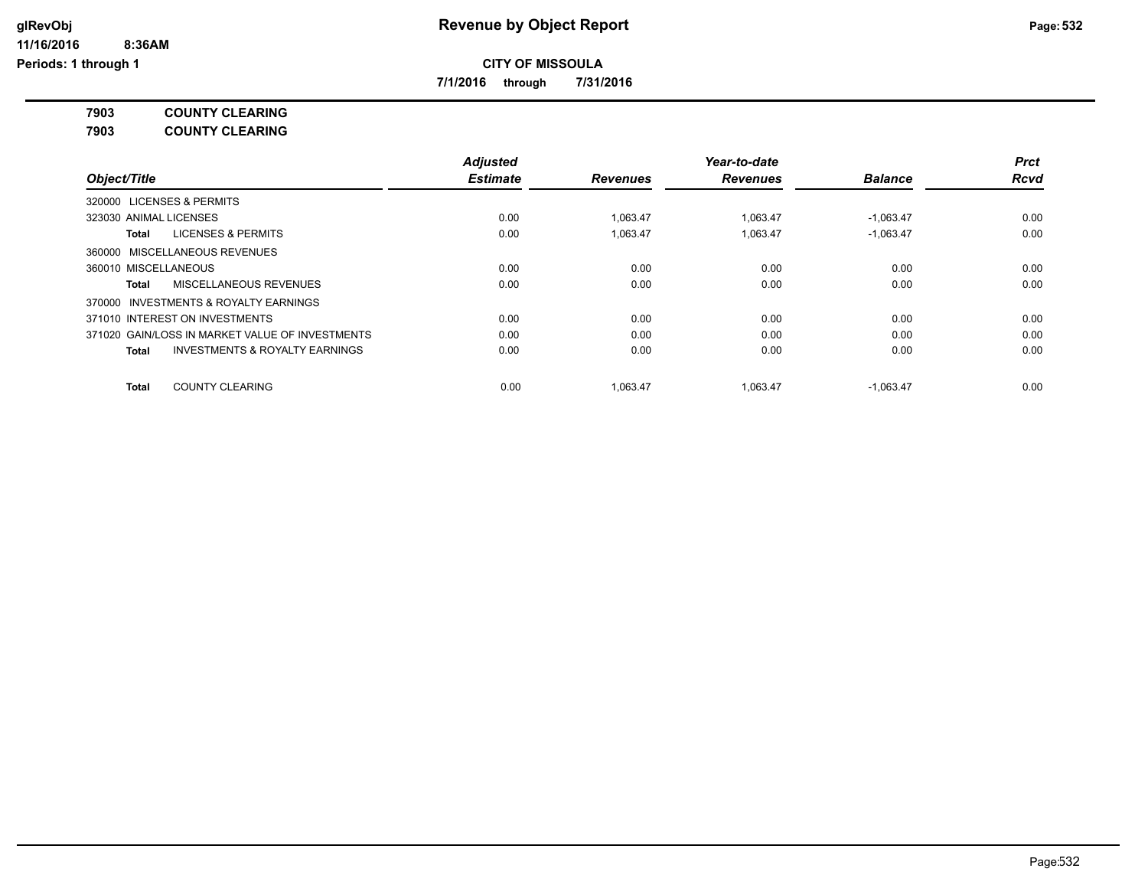**CITY OF MISSOULA**

**7/1/2016 through 7/31/2016**

**7903 COUNTY CLEARING**

**7903 COUNTY CLEARING**

|                                                    | <b>Adjusted</b> |                 | Year-to-date    |                | <b>Prct</b> |
|----------------------------------------------------|-----------------|-----------------|-----------------|----------------|-------------|
| Object/Title                                       | <b>Estimate</b> | <b>Revenues</b> | <b>Revenues</b> | <b>Balance</b> | <b>Rcvd</b> |
| 320000 LICENSES & PERMITS                          |                 |                 |                 |                |             |
| 323030 ANIMAL LICENSES                             | 0.00            | 1,063.47        | 1.063.47        | $-1,063.47$    | 0.00        |
| <b>LICENSES &amp; PERMITS</b><br>Total             | 0.00            | 1,063.47        | 1,063.47        | $-1,063.47$    | 0.00        |
| 360000 MISCELLANEOUS REVENUES                      |                 |                 |                 |                |             |
| 360010 MISCELLANEOUS                               | 0.00            | 0.00            | 0.00            | 0.00           | 0.00        |
| MISCELLANEOUS REVENUES<br><b>Total</b>             | 0.00            | 0.00            | 0.00            | 0.00           | 0.00        |
| 370000 INVESTMENTS & ROYALTY EARNINGS              |                 |                 |                 |                |             |
| 371010 INTEREST ON INVESTMENTS                     | 0.00            | 0.00            | 0.00            | 0.00           | 0.00        |
| 371020 GAIN/LOSS IN MARKET VALUE OF INVESTMENTS    | 0.00            | 0.00            | 0.00            | 0.00           | 0.00        |
| <b>INVESTMENTS &amp; ROYALTY EARNINGS</b><br>Total | 0.00            | 0.00            | 0.00            | 0.00           | 0.00        |
| <b>COUNTY CLEARING</b><br><b>Total</b>             | 0.00            | 1.063.47        | 1.063.47        | $-1.063.47$    | 0.00        |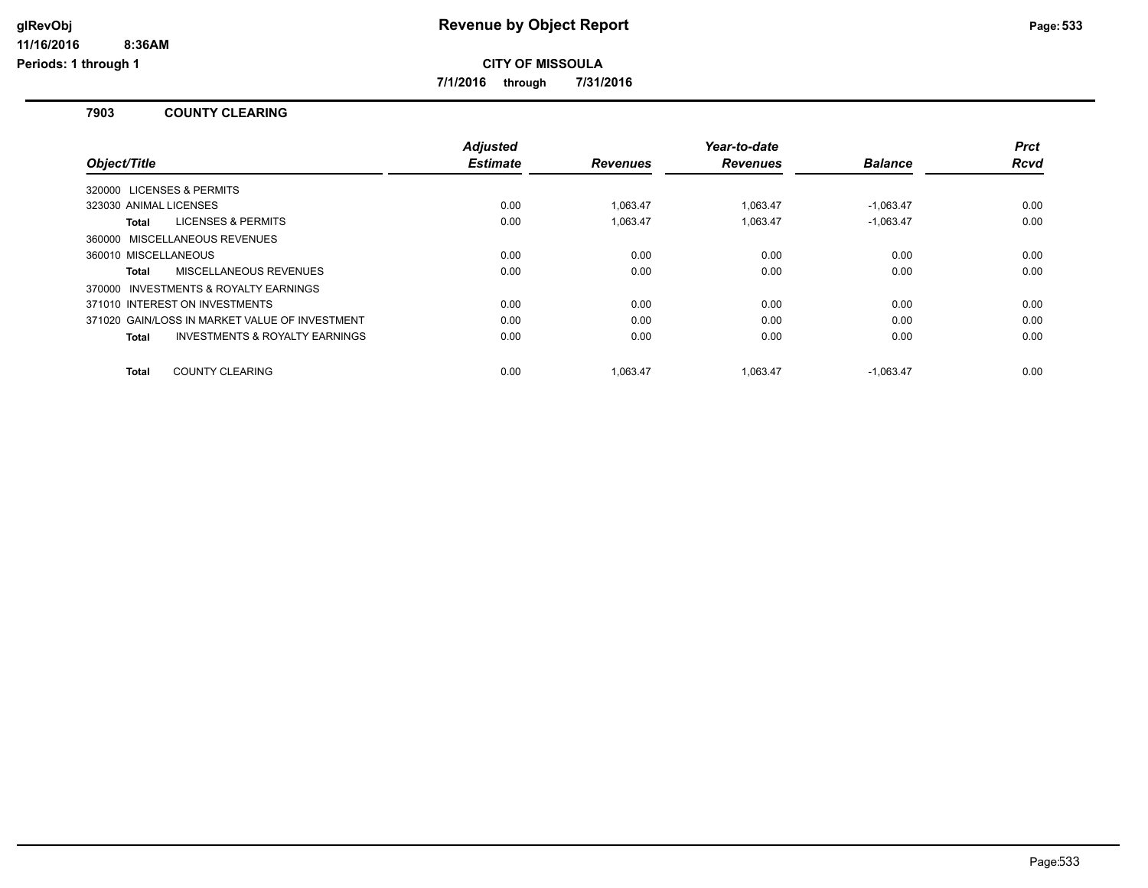**CITY OF MISSOULA**

**7/1/2016 through 7/31/2016**

#### **7903 COUNTY CLEARING**

|                                                           | <b>Adjusted</b> |                 | Year-to-date    |                | <b>Prct</b> |
|-----------------------------------------------------------|-----------------|-----------------|-----------------|----------------|-------------|
| Object/Title                                              | <b>Estimate</b> | <b>Revenues</b> | <b>Revenues</b> | <b>Balance</b> | <b>Rcvd</b> |
| 320000 LICENSES & PERMITS                                 |                 |                 |                 |                |             |
| 323030 ANIMAL LICENSES                                    | 0.00            | 1.063.47        | 1.063.47        | $-1.063.47$    | 0.00        |
| <b>LICENSES &amp; PERMITS</b><br>Total                    | 0.00            | 1.063.47        | 1.063.47        | $-1,063.47$    | 0.00        |
| 360000 MISCELLANEOUS REVENUES                             |                 |                 |                 |                |             |
| 360010 MISCELLANEOUS                                      | 0.00            | 0.00            | 0.00            | 0.00           | 0.00        |
| MISCELLANEOUS REVENUES<br>Total                           | 0.00            | 0.00            | 0.00            | 0.00           | 0.00        |
| <b>INVESTMENTS &amp; ROYALTY EARNINGS</b><br>370000       |                 |                 |                 |                |             |
| 371010 INTEREST ON INVESTMENTS                            | 0.00            | 0.00            | 0.00            | 0.00           | 0.00        |
| 371020 GAIN/LOSS IN MARKET VALUE OF INVESTMENT            | 0.00            | 0.00            | 0.00            | 0.00           | 0.00        |
| <b>INVESTMENTS &amp; ROYALTY EARNINGS</b><br><b>Total</b> | 0.00            | 0.00            | 0.00            | 0.00           | 0.00        |
| <b>COUNTY CLEARING</b><br><b>Total</b>                    | 0.00            | 1.063.47        | 1.063.47        | $-1.063.47$    | 0.00        |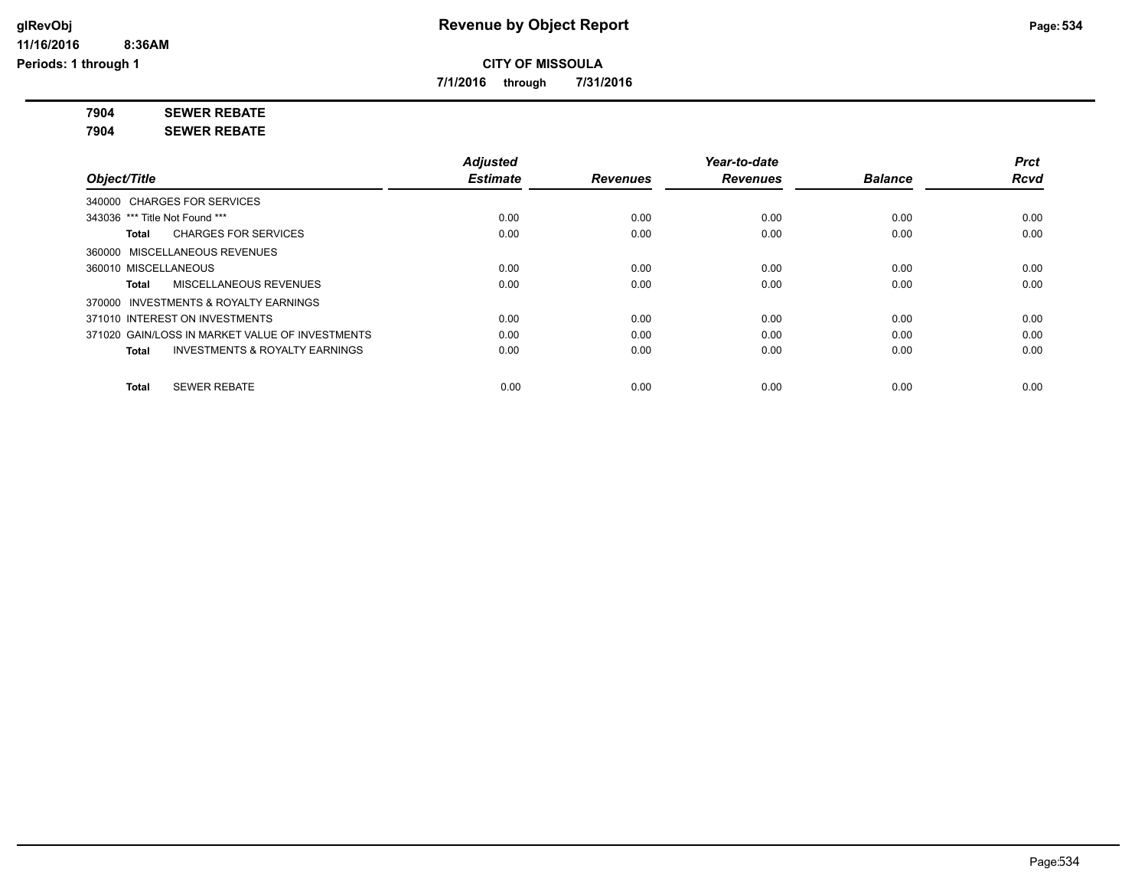**CITY OF MISSOULA**

**7/1/2016 through 7/31/2016**

 **8:36AM**

# **7904 SEWER REBATE**

**7904 SEWER REBATE**

|                                                    | <b>Adjusted</b> |                 | Year-to-date    |                | <b>Prct</b> |
|----------------------------------------------------|-----------------|-----------------|-----------------|----------------|-------------|
| Object/Title                                       | <b>Estimate</b> | <b>Revenues</b> | <b>Revenues</b> | <b>Balance</b> | <b>Rcvd</b> |
| 340000 CHARGES FOR SERVICES                        |                 |                 |                 |                |             |
| 343036 *** Title Not Found ***                     | 0.00            | 0.00            | 0.00            | 0.00           | 0.00        |
| <b>CHARGES FOR SERVICES</b><br>Total               | 0.00            | 0.00            | 0.00            | 0.00           | 0.00        |
| 360000 MISCELLANEOUS REVENUES                      |                 |                 |                 |                |             |
| 360010 MISCELLANEOUS                               | 0.00            | 0.00            | 0.00            | 0.00           | 0.00        |
| MISCELLANEOUS REVENUES<br>Total                    | 0.00            | 0.00            | 0.00            | 0.00           | 0.00        |
| 370000 INVESTMENTS & ROYALTY EARNINGS              |                 |                 |                 |                |             |
| 371010 INTEREST ON INVESTMENTS                     | 0.00            | 0.00            | 0.00            | 0.00           | 0.00        |
| 371020 GAIN/LOSS IN MARKET VALUE OF INVESTMENTS    | 0.00            | 0.00            | 0.00            | 0.00           | 0.00        |
| <b>INVESTMENTS &amp; ROYALTY EARNINGS</b><br>Total | 0.00            | 0.00            | 0.00            | 0.00           | 0.00        |
| <b>SEWER REBATE</b><br><b>Total</b>                | 0.00            | 0.00            | 0.00            | 0.00           | 0.00        |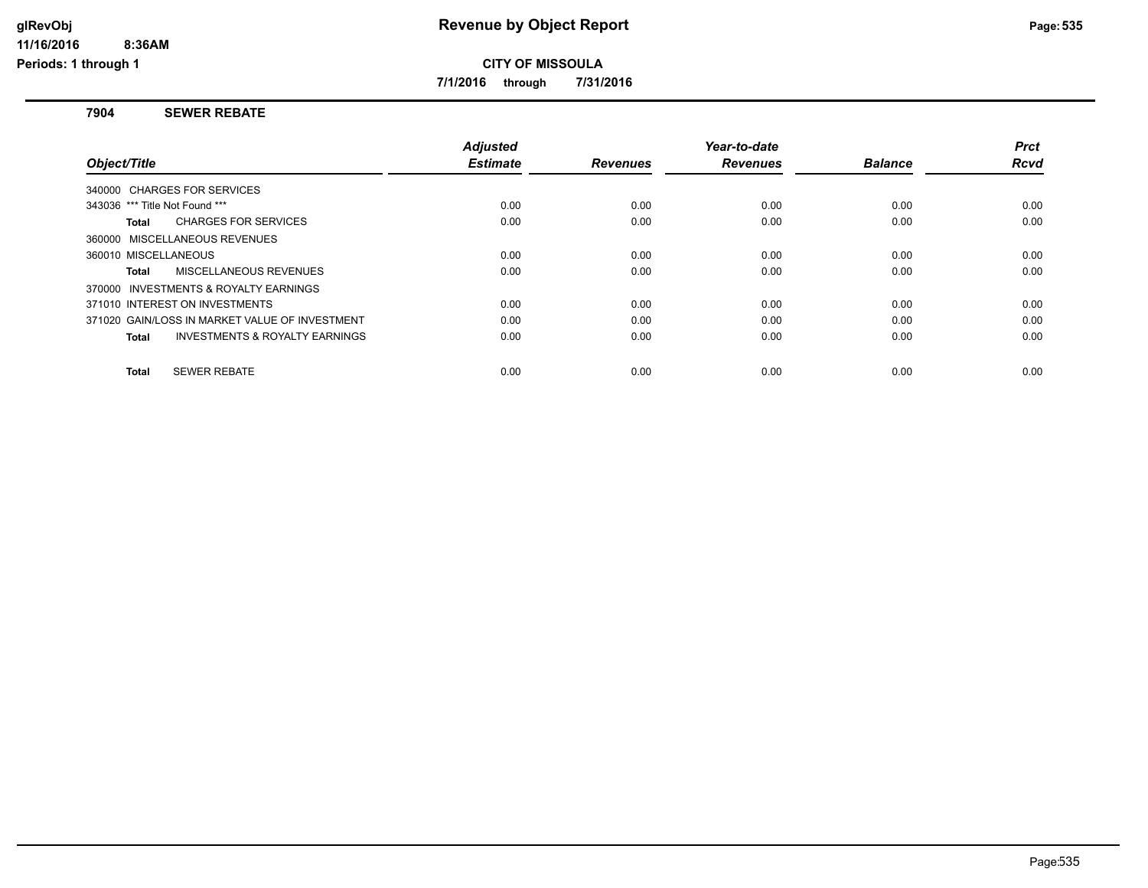**11/16/2016 8:36AM Periods: 1 through 1**

**CITY OF MISSOULA**

**7/1/2016 through 7/31/2016**

#### **7904 SEWER REBATE**

|                                                           | <b>Adjusted</b> |                 | Year-to-date    |                | <b>Prct</b> |
|-----------------------------------------------------------|-----------------|-----------------|-----------------|----------------|-------------|
| Object/Title                                              | <b>Estimate</b> | <b>Revenues</b> | <b>Revenues</b> | <b>Balance</b> | <b>Rcvd</b> |
| 340000 CHARGES FOR SERVICES                               |                 |                 |                 |                |             |
| 343036 *** Title Not Found ***                            | 0.00            | 0.00            | 0.00            | 0.00           | 0.00        |
| <b>CHARGES FOR SERVICES</b><br><b>Total</b>               | 0.00            | 0.00            | 0.00            | 0.00           | 0.00        |
| 360000 MISCELLANEOUS REVENUES                             |                 |                 |                 |                |             |
| 360010 MISCELLANEOUS                                      | 0.00            | 0.00            | 0.00            | 0.00           | 0.00        |
| MISCELLANEOUS REVENUES<br>Total                           | 0.00            | 0.00            | 0.00            | 0.00           | 0.00        |
| 370000 INVESTMENTS & ROYALTY EARNINGS                     |                 |                 |                 |                |             |
| 371010 INTEREST ON INVESTMENTS                            | 0.00            | 0.00            | 0.00            | 0.00           | 0.00        |
| 371020 GAIN/LOSS IN MARKET VALUE OF INVESTMENT            | 0.00            | 0.00            | 0.00            | 0.00           | 0.00        |
| <b>INVESTMENTS &amp; ROYALTY EARNINGS</b><br><b>Total</b> | 0.00            | 0.00            | 0.00            | 0.00           | 0.00        |
|                                                           |                 |                 |                 |                |             |
| <b>SEWER REBATE</b><br><b>Total</b>                       | 0.00            | 0.00            | 0.00            | 0.00           | 0.00        |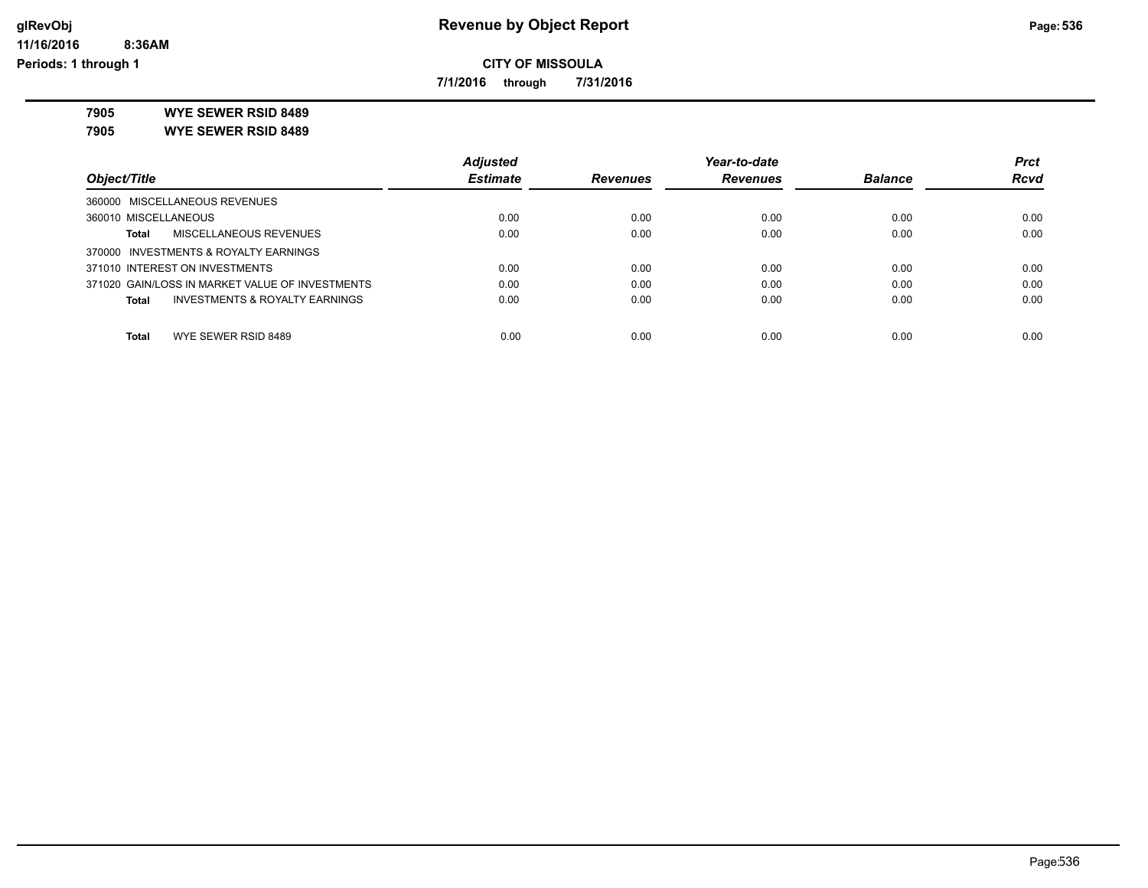**CITY OF MISSOULA**

**7/1/2016 through 7/31/2016**

**7905 WYE SEWER RSID 8489**

**7905 WYE SEWER RSID 8489**

|                                                 | <b>Adjusted</b> |                 | Year-to-date    |                | <b>Prct</b> |
|-------------------------------------------------|-----------------|-----------------|-----------------|----------------|-------------|
| Object/Title                                    | <b>Estimate</b> | <b>Revenues</b> | <b>Revenues</b> | <b>Balance</b> | <b>Rcvd</b> |
| 360000 MISCELLANEOUS REVENUES                   |                 |                 |                 |                |             |
| 360010 MISCELLANEOUS                            | 0.00            | 0.00            | 0.00            | 0.00           | 0.00        |
| MISCELLANEOUS REVENUES<br>Total                 | 0.00            | 0.00            | 0.00            | 0.00           | 0.00        |
| 370000 INVESTMENTS & ROYALTY EARNINGS           |                 |                 |                 |                |             |
| 371010 INTEREST ON INVESTMENTS                  | 0.00            | 0.00            | 0.00            | 0.00           | 0.00        |
| 371020 GAIN/LOSS IN MARKET VALUE OF INVESTMENTS | 0.00            | 0.00            | 0.00            | 0.00           | 0.00        |
| INVESTMENTS & ROYALTY EARNINGS<br><b>Total</b>  | 0.00            | 0.00            | 0.00            | 0.00           | 0.00        |
|                                                 |                 |                 |                 |                |             |
| WYE SEWER RSID 8489<br><b>Total</b>             | 0.00            | 0.00            | 0.00            | 0.00           | 0.00        |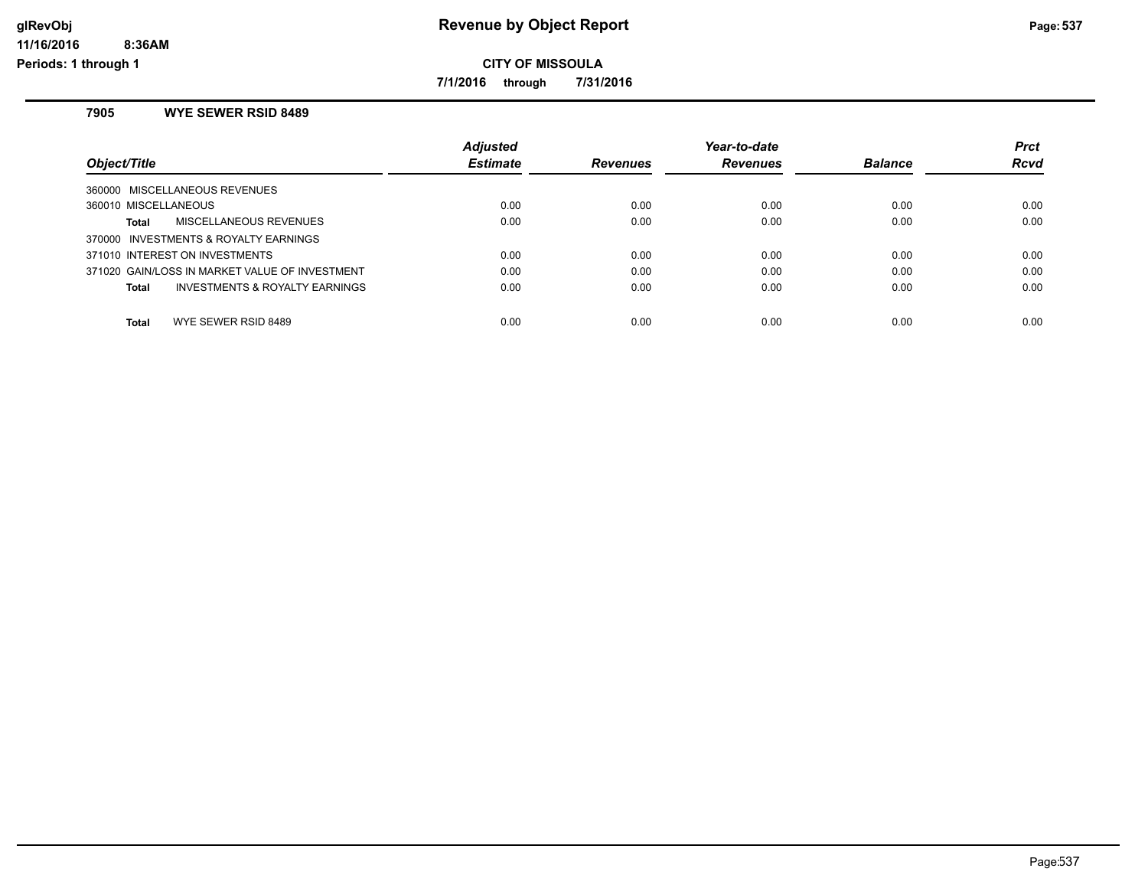**CITY OF MISSOULA**

**7/1/2016 through 7/31/2016**

## **7905 WYE SEWER RSID 8489**

|                                                           | <b>Adjusted</b><br><b>Estimate</b> |                 | Year-to-date    | <b>Balance</b> | <b>Prct</b><br><b>Rcvd</b> |
|-----------------------------------------------------------|------------------------------------|-----------------|-----------------|----------------|----------------------------|
| Object/Title                                              |                                    | <b>Revenues</b> | <b>Revenues</b> |                |                            |
| 360000 MISCELLANEOUS REVENUES                             |                                    |                 |                 |                |                            |
| 360010 MISCELLANEOUS                                      | 0.00                               | 0.00            | 0.00            | 0.00           | 0.00                       |
| MISCELLANEOUS REVENUES<br>Total                           | 0.00                               | 0.00            | 0.00            | 0.00           | 0.00                       |
| 370000 INVESTMENTS & ROYALTY EARNINGS                     |                                    |                 |                 |                |                            |
| 371010 INTEREST ON INVESTMENTS                            | 0.00                               | 0.00            | 0.00            | 0.00           | 0.00                       |
| 371020 GAIN/LOSS IN MARKET VALUE OF INVESTMENT            | 0.00                               | 0.00            | 0.00            | 0.00           | 0.00                       |
| <b>INVESTMENTS &amp; ROYALTY EARNINGS</b><br><b>Total</b> | 0.00                               | 0.00            | 0.00            | 0.00           | 0.00                       |
| Total<br>WYE SEWER RSID 8489                              | 0.00                               | 0.00            | 0.00            | 0.00           | 0.00                       |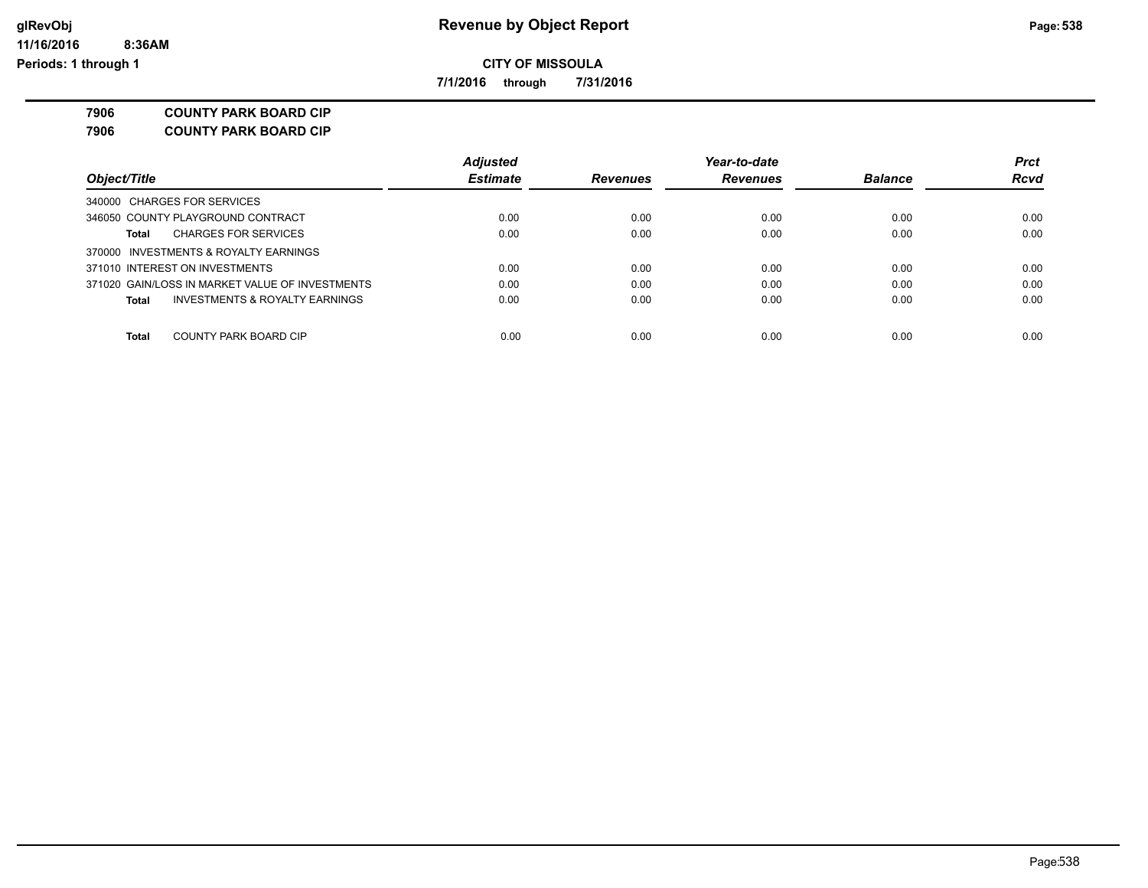**CITY OF MISSOULA**

**7/1/2016 through 7/31/2016**

**7906 COUNTY PARK BOARD CIP**

**7906 COUNTY PARK BOARD CIP**

|                                                 | <b>Adjusted</b> |                 | Year-to-date    |                | <b>Prct</b> |
|-------------------------------------------------|-----------------|-----------------|-----------------|----------------|-------------|
| Object/Title                                    | <b>Estimate</b> | <b>Revenues</b> | <b>Revenues</b> | <b>Balance</b> | Rcvd        |
| 340000 CHARGES FOR SERVICES                     |                 |                 |                 |                |             |
| 346050 COUNTY PLAYGROUND CONTRACT               | 0.00            | 0.00            | 0.00            | 0.00           | 0.00        |
| <b>CHARGES FOR SERVICES</b><br>Total            | 0.00            | 0.00            | 0.00            | 0.00           | 0.00        |
| 370000 INVESTMENTS & ROYALTY EARNINGS           |                 |                 |                 |                |             |
| 371010 INTEREST ON INVESTMENTS                  | 0.00            | 0.00            | 0.00            | 0.00           | 0.00        |
| 371020 GAIN/LOSS IN MARKET VALUE OF INVESTMENTS | 0.00            | 0.00            | 0.00            | 0.00           | 0.00        |
| INVESTMENTS & ROYALTY EARNINGS<br>Total         | 0.00            | 0.00            | 0.00            | 0.00           | 0.00        |
|                                                 |                 |                 |                 |                |             |
| <b>COUNTY PARK BOARD CIP</b><br>Total           | 0.00            | 0.00            | 0.00            | 0.00           | 0.00        |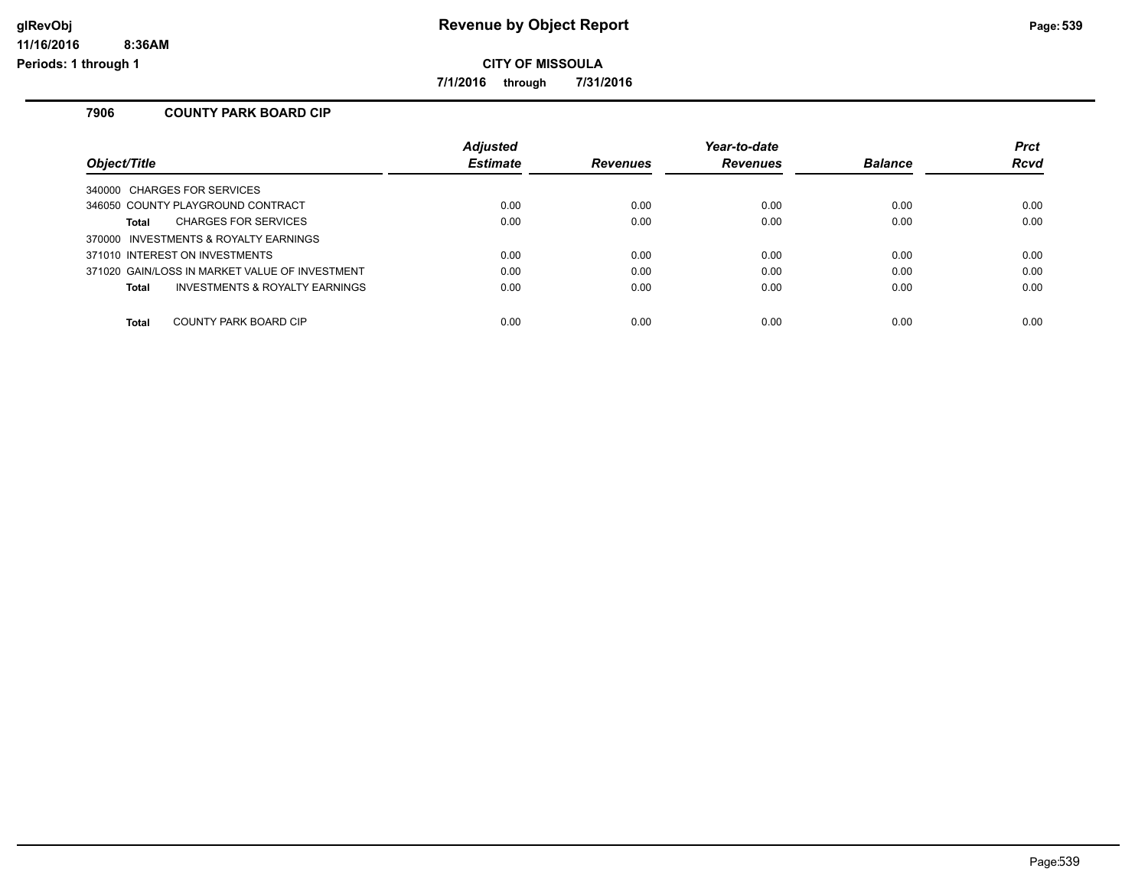**CITY OF MISSOULA**

**7/1/2016 through 7/31/2016**

### **7906 COUNTY PARK BOARD CIP**

| Object/Title                                   | <b>Adjusted</b><br><b>Estimate</b> | <b>Revenues</b> | Year-to-date<br><b>Revenues</b> | <b>Balance</b> | <b>Prct</b><br><b>Rcvd</b> |
|------------------------------------------------|------------------------------------|-----------------|---------------------------------|----------------|----------------------------|
|                                                |                                    |                 |                                 |                |                            |
| 340000 CHARGES FOR SERVICES                    |                                    |                 |                                 |                |                            |
| 346050 COUNTY PLAYGROUND CONTRACT              | 0.00                               | 0.00            | 0.00                            | 0.00           | 0.00                       |
| <b>CHARGES FOR SERVICES</b><br>Total           | 0.00                               | 0.00            | 0.00                            | 0.00           | 0.00                       |
| 370000 INVESTMENTS & ROYALTY EARNINGS          |                                    |                 |                                 |                |                            |
| 371010 INTEREST ON INVESTMENTS                 | 0.00                               | 0.00            | 0.00                            | 0.00           | 0.00                       |
| 371020 GAIN/LOSS IN MARKET VALUE OF INVESTMENT | 0.00                               | 0.00            | 0.00                            | 0.00           | 0.00                       |
| INVESTMENTS & ROYALTY EARNINGS<br>Total        | 0.00                               | 0.00            | 0.00                            | 0.00           | 0.00                       |
|                                                |                                    |                 |                                 |                |                            |
| Total<br>COUNTY PARK BOARD CIP                 | 0.00                               | 0.00            | 0.00                            | 0.00           | 0.00                       |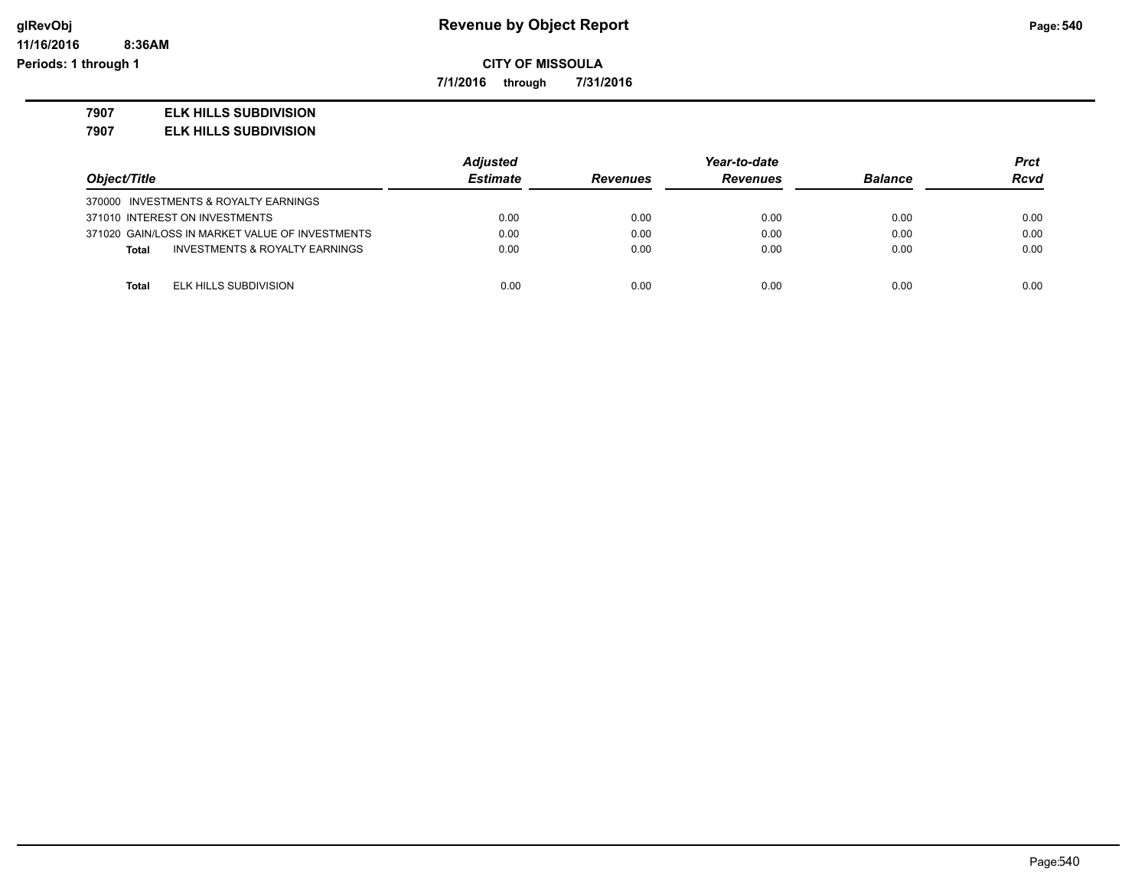**CITY OF MISSOULA**

**7/1/2016 through 7/31/2016**

**7907 ELK HILLS SUBDIVISION**

**7907 ELK HILLS SUBDIVISION**

|                                                 | <b>Adjusted</b> |                 | Year-to-date    |                | Prct |
|-------------------------------------------------|-----------------|-----------------|-----------------|----------------|------|
| Object/Title                                    | <b>Estimate</b> | <b>Revenues</b> | <b>Revenues</b> | <b>Balance</b> | Rcvd |
| 370000 INVESTMENTS & ROYALTY EARNINGS           |                 |                 |                 |                |      |
| 371010 INTEREST ON INVESTMENTS                  | 0.00            | 0.00            | 0.00            | 0.00           | 0.00 |
| 371020 GAIN/LOSS IN MARKET VALUE OF INVESTMENTS | 0.00            | 0.00            | 0.00            | 0.00           | 0.00 |
| INVESTMENTS & ROYALTY EARNINGS<br><b>Total</b>  | 0.00            | 0.00            | 0.00            | 0.00           | 0.00 |
| <b>Total</b><br>ELK HILLS SUBDIVISION           | 0.00            | 0.00            | 0.00            | 0.00           | 0.00 |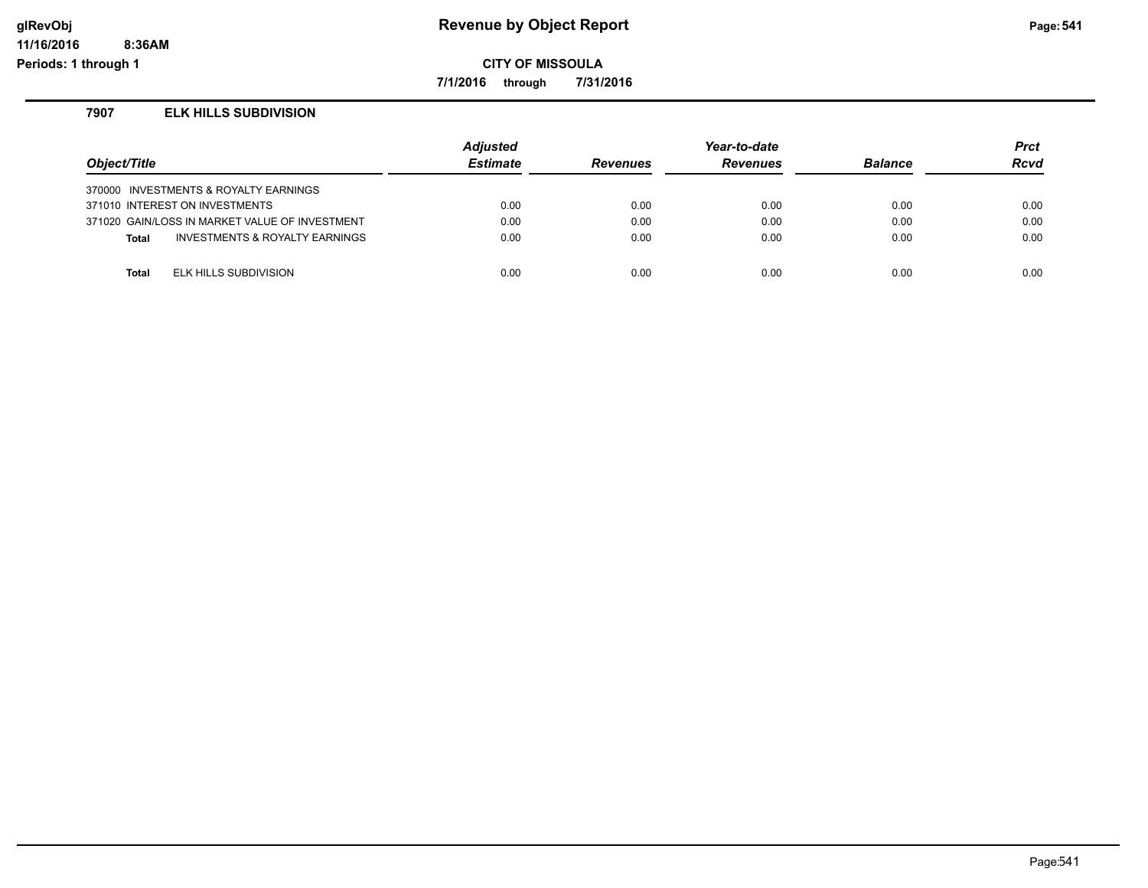**Periods: 1 through 1**

**CITY OF MISSOULA**

**7/1/2016 through 7/31/2016**

#### **7907 ELK HILLS SUBDIVISION**

 **8:36AM**

| Object/Title |                                                | <b>Adjusted</b><br><b>Estimate</b> | <b>Revenues</b> | Year-to-date<br><b>Revenues</b> | <b>Balance</b> | <b>Prct</b><br><b>Rcvd</b> |
|--------------|------------------------------------------------|------------------------------------|-----------------|---------------------------------|----------------|----------------------------|
|              | 370000 INVESTMENTS & ROYALTY EARNINGS          |                                    |                 |                                 |                |                            |
|              | 371010 INTEREST ON INVESTMENTS                 | 0.00                               | 0.00            | 0.00                            | 0.00           | 0.00                       |
|              | 371020 GAIN/LOSS IN MARKET VALUE OF INVESTMENT | 0.00                               | 0.00            | 0.00                            | 0.00           | 0.00                       |
| <b>Total</b> | <b>INVESTMENTS &amp; ROYALTY EARNINGS</b>      | 0.00                               | 0.00            | 0.00                            | 0.00           | 0.00                       |
|              |                                                |                                    |                 |                                 |                |                            |
| <b>Total</b> | ELK HILLS SUBDIVISION                          | 0.00                               | 0.00            | 0.00                            | 0.00           | 0.00                       |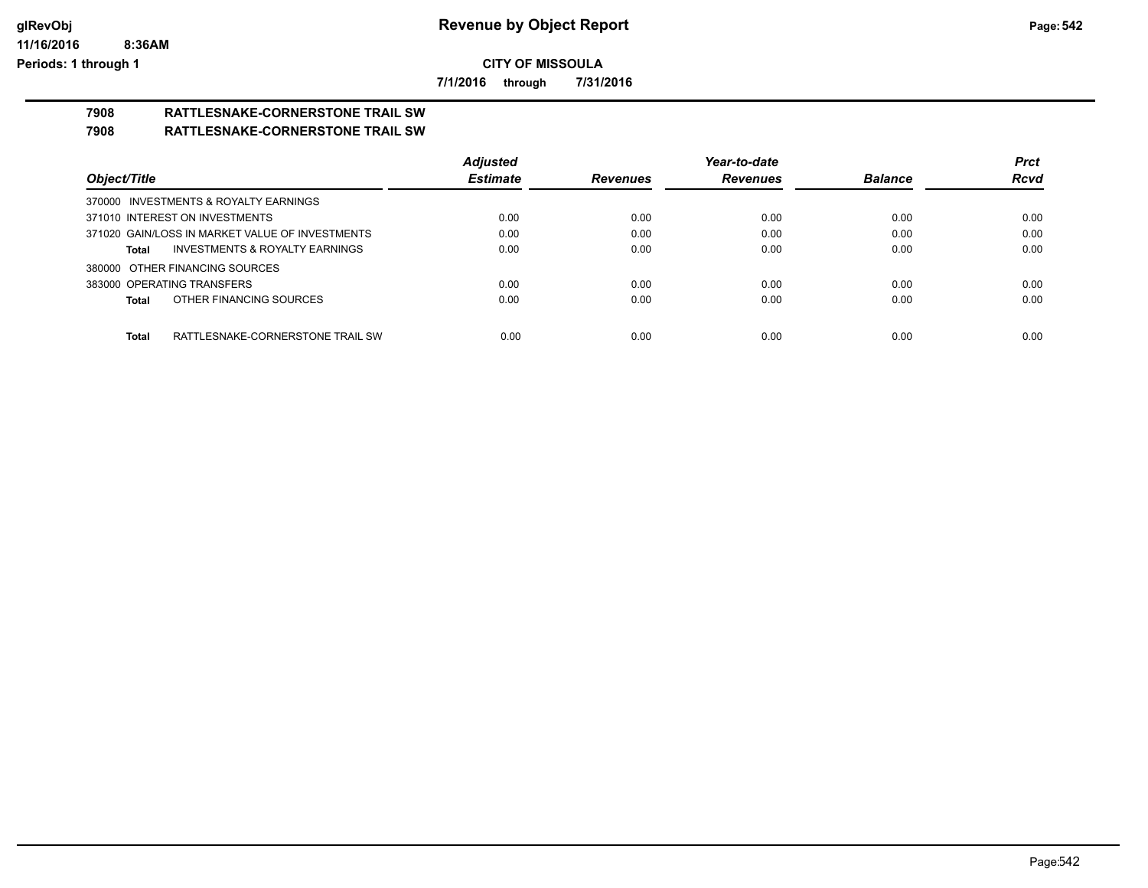**11/16/2016 8:36AM Periods: 1 through 1**

**CITY OF MISSOULA**

**7/1/2016 through 7/31/2016**

# **7908 RATTLESNAKE-CORNERSTONE TRAIL SW**

# **7908 RATTLESNAKE-CORNERSTONE TRAIL SW**

|                                                 | <b>Adjusted</b> |                 | Year-to-date    |                | <b>Prct</b> |
|-------------------------------------------------|-----------------|-----------------|-----------------|----------------|-------------|
| Object/Title                                    | <b>Estimate</b> | <b>Revenues</b> | <b>Revenues</b> | <b>Balance</b> | <b>Rcvd</b> |
| 370000 INVESTMENTS & ROYALTY EARNINGS           |                 |                 |                 |                |             |
| 371010 INTEREST ON INVESTMENTS                  | 0.00            | 0.00            | 0.00            | 0.00           | 0.00        |
| 371020 GAIN/LOSS IN MARKET VALUE OF INVESTMENTS | 0.00            | 0.00            | 0.00            | 0.00           | 0.00        |
| INVESTMENTS & ROYALTY EARNINGS<br>Total         | 0.00            | 0.00            | 0.00            | 0.00           | 0.00        |
| 380000 OTHER FINANCING SOURCES                  |                 |                 |                 |                |             |
| 383000 OPERATING TRANSFERS                      | 0.00            | 0.00            | 0.00            | 0.00           | 0.00        |
| OTHER FINANCING SOURCES<br>Total                | 0.00            | 0.00            | 0.00            | 0.00           | 0.00        |
|                                                 |                 |                 |                 |                |             |
| Total<br>RATTLESNAKE-CORNERSTONE TRAIL SW       | 0.00            | 0.00            | 0.00            | 0.00           | 0.00        |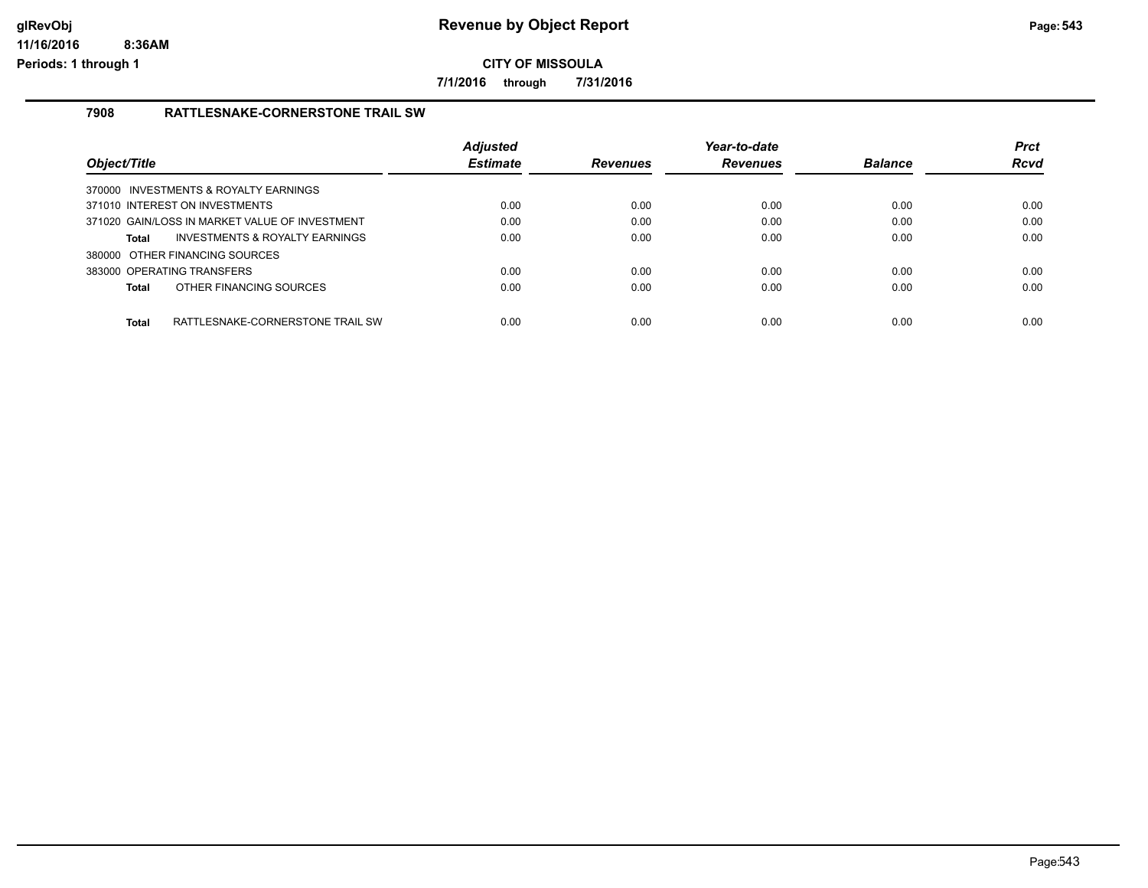**Periods: 1 through 1**

 **8:36AM**

**CITY OF MISSOULA**

**7/1/2016 through 7/31/2016**

#### **7908 RATTLESNAKE-CORNERSTONE TRAIL SW**

|                                                | <b>Adjusted</b> |                 | Year-to-date    |                | <b>Prct</b> |
|------------------------------------------------|-----------------|-----------------|-----------------|----------------|-------------|
| Object/Title                                   | <b>Estimate</b> | <b>Revenues</b> | <b>Revenues</b> | <b>Balance</b> | <b>Rcvd</b> |
| 370000 INVESTMENTS & ROYALTY EARNINGS          |                 |                 |                 |                |             |
| 371010 INTEREST ON INVESTMENTS                 | 0.00            | 0.00            | 0.00            | 0.00           | 0.00        |
| 371020 GAIN/LOSS IN MARKET VALUE OF INVESTMENT | 0.00            | 0.00            | 0.00            | 0.00           | 0.00        |
| INVESTMENTS & ROYALTY EARNINGS<br>Total        | 0.00            | 0.00            | 0.00            | 0.00           | 0.00        |
| 380000 OTHER FINANCING SOURCES                 |                 |                 |                 |                |             |
| 383000 OPERATING TRANSFERS                     | 0.00            | 0.00            | 0.00            | 0.00           | 0.00        |
| OTHER FINANCING SOURCES<br>Total               | 0.00            | 0.00            | 0.00            | 0.00           | 0.00        |
|                                                |                 |                 |                 |                |             |
| Total<br>RATTLESNAKE-CORNERSTONE TRAIL SW      | 0.00            | 0.00            | 0.00            | 0.00           | 0.00        |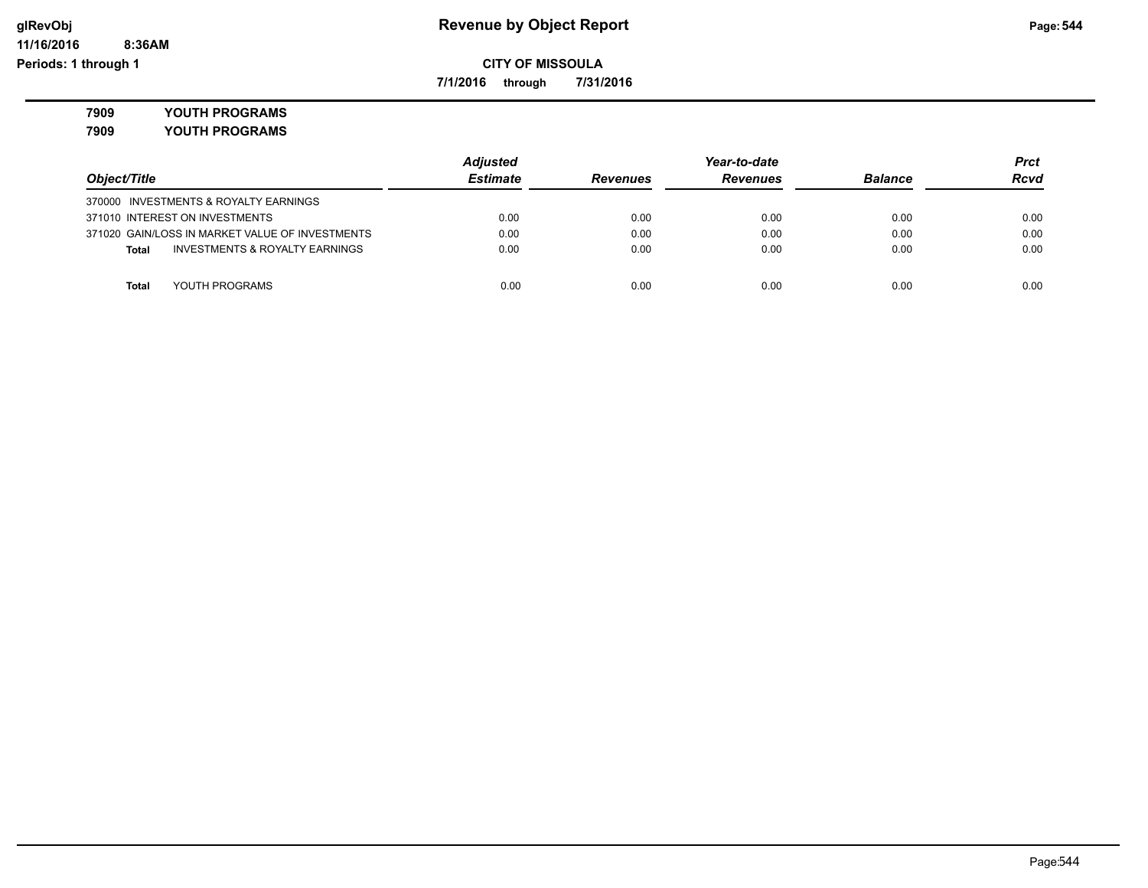**7/1/2016 through 7/31/2016**

**7909 YOUTH PROGRAMS**

**7909 YOUTH PROGRAMS**

|                                                 | <b>Adjusted</b> | Year-to-date    |                 |                | Prct |
|-------------------------------------------------|-----------------|-----------------|-----------------|----------------|------|
| Object/Title                                    | <b>Estimate</b> | <b>Revenues</b> | <b>Revenues</b> | <b>Balance</b> | Rcvd |
| 370000 INVESTMENTS & ROYALTY EARNINGS           |                 |                 |                 |                |      |
| 371010 INTEREST ON INVESTMENTS                  | 0.00            | 0.00            | 0.00            | 0.00           | 0.00 |
| 371020 GAIN/LOSS IN MARKET VALUE OF INVESTMENTS | 0.00            | 0.00            | 0.00            | 0.00           | 0.00 |
| INVESTMENTS & ROYALTY EARNINGS<br>Total         | 0.00            | 0.00            | 0.00            | 0.00           | 0.00 |
| YOUTH PROGRAMS<br>Total                         | 0.00            | 0.00            | 0.00            | 0.00           | 0.00 |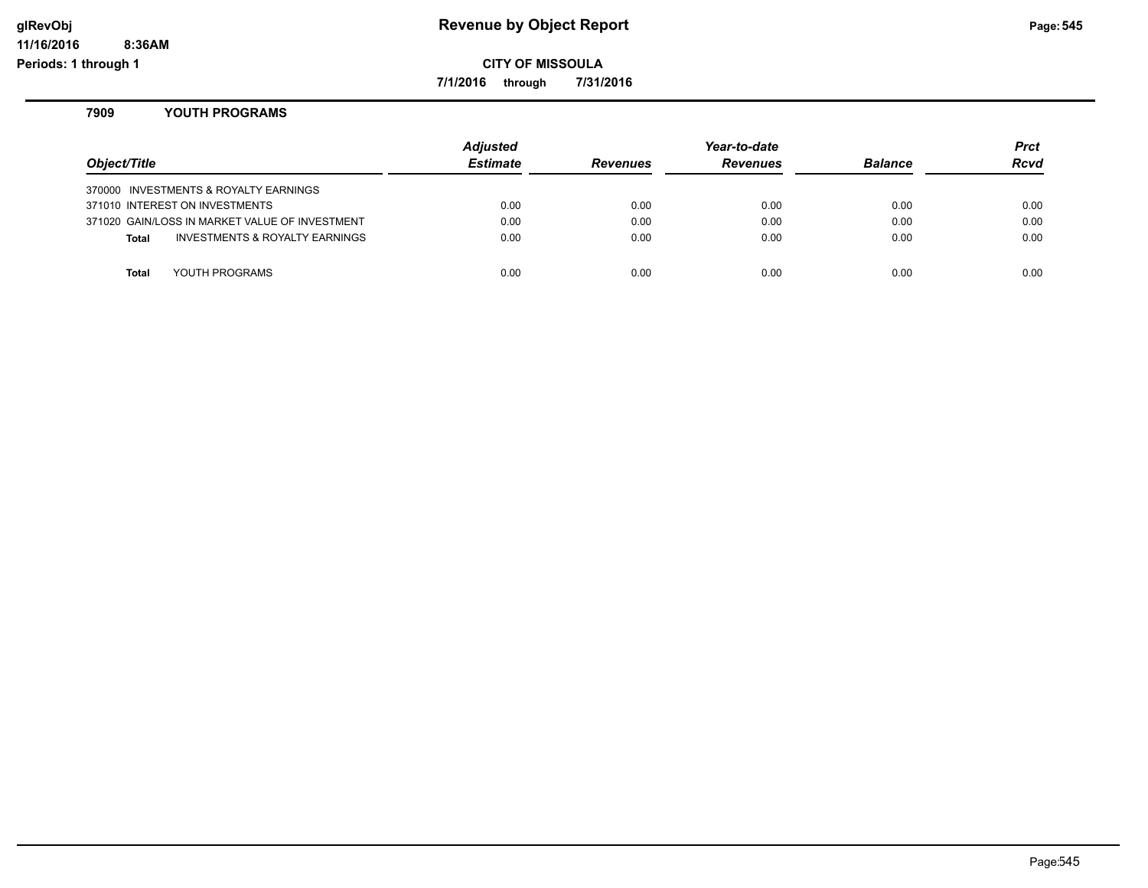**glRevObj Revenue by Object Report Page:545** 

**11/16/2016 8:36AM Periods: 1 through 1**

#### **CITY OF MISSOULA**

**7/1/2016 through 7/31/2016**

#### **7909 YOUTH PROGRAMS**

|              |                                                | <b>Adjusted</b> |                 | Year-to-date    |                | <b>Prct</b> |
|--------------|------------------------------------------------|-----------------|-----------------|-----------------|----------------|-------------|
| Object/Title |                                                | <b>Estimate</b> | <b>Revenues</b> | <b>Revenues</b> | <b>Balance</b> | <b>Rcvd</b> |
|              | 370000 INVESTMENTS & ROYALTY EARNINGS          |                 |                 |                 |                |             |
|              | 371010 INTEREST ON INVESTMENTS                 | 0.00            | 0.00            | 0.00            | 0.00           | 0.00        |
|              | 371020 GAIN/LOSS IN MARKET VALUE OF INVESTMENT | 0.00            | 0.00            | 0.00            | 0.00           | 0.00        |
| <b>Total</b> | INVESTMENTS & ROYALTY EARNINGS                 | 0.00            | 0.00            | 0.00            | 0.00           | 0.00        |
|              |                                                |                 |                 |                 |                |             |
| <b>Total</b> | YOUTH PROGRAMS                                 | 0.00            | 0.00            | 0.00            | 0.00           | 0.00        |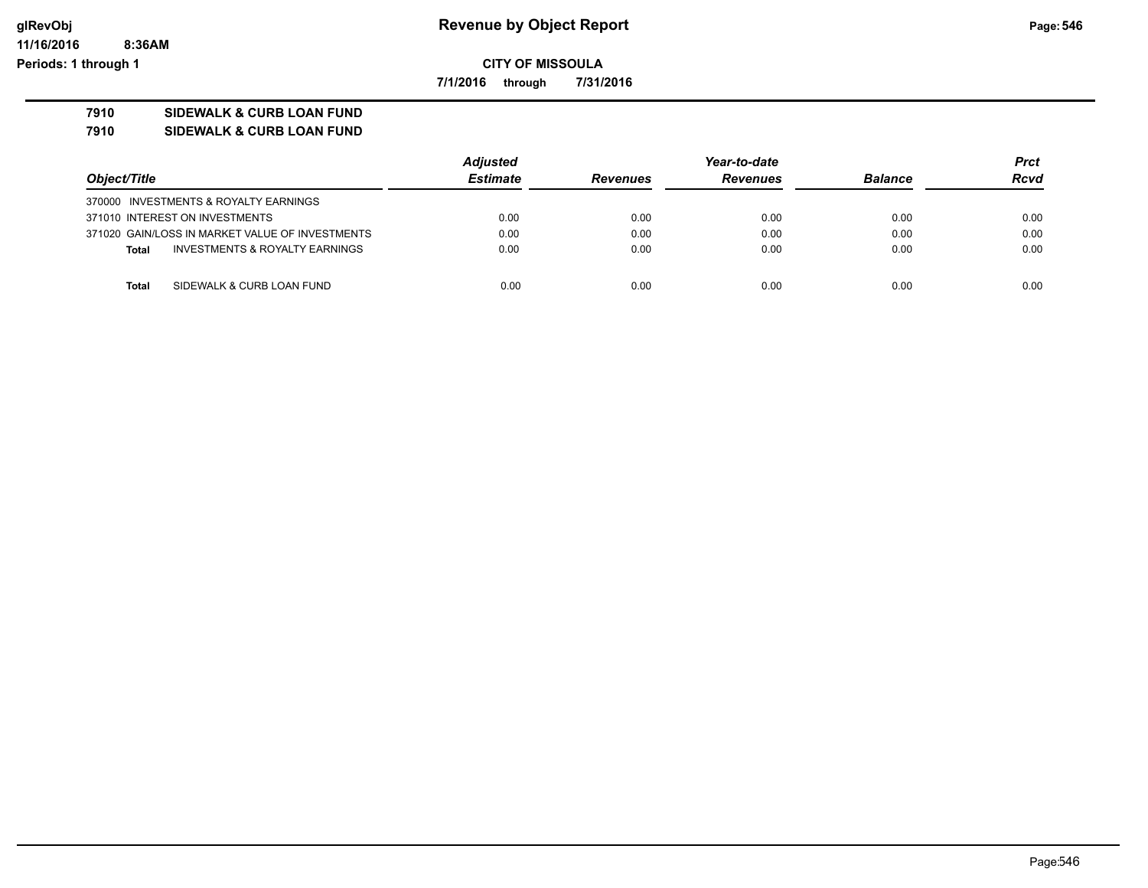**11/16/2016**

**Periods: 1 through 1**

**glRevObj Revenue by Object Report Page:546** 

**CITY OF MISSOULA**

**7/1/2016 through 7/31/2016**

# **7910 SIDEWALK & CURB LOAN FUND**

 **8:36AM**

**7910 SIDEWALK & CURB LOAN FUND**

|                                                 | <b>Adjusted</b> | Year-to-date    |                 |                | Prct        |
|-------------------------------------------------|-----------------|-----------------|-----------------|----------------|-------------|
| Object/Title                                    | <b>Estimate</b> | <b>Revenues</b> | <b>Revenues</b> | <b>Balance</b> | <b>Rcvd</b> |
| 370000 INVESTMENTS & ROYALTY EARNINGS           |                 |                 |                 |                |             |
| 371010 INTEREST ON INVESTMENTS                  | 0.00            | 0.00            | 0.00            | 0.00           | 0.00        |
| 371020 GAIN/LOSS IN MARKET VALUE OF INVESTMENTS | 0.00            | 0.00            | 0.00            | 0.00           | 0.00        |
| INVESTMENTS & ROYALTY EARNINGS<br><b>Total</b>  | 0.00            | 0.00            | 0.00            | 0.00           | 0.00        |
| SIDEWALK & CURB LOAN FUND<br>Total              | 0.00            | 0.00            | 0.00            | 0.00           | 0.00        |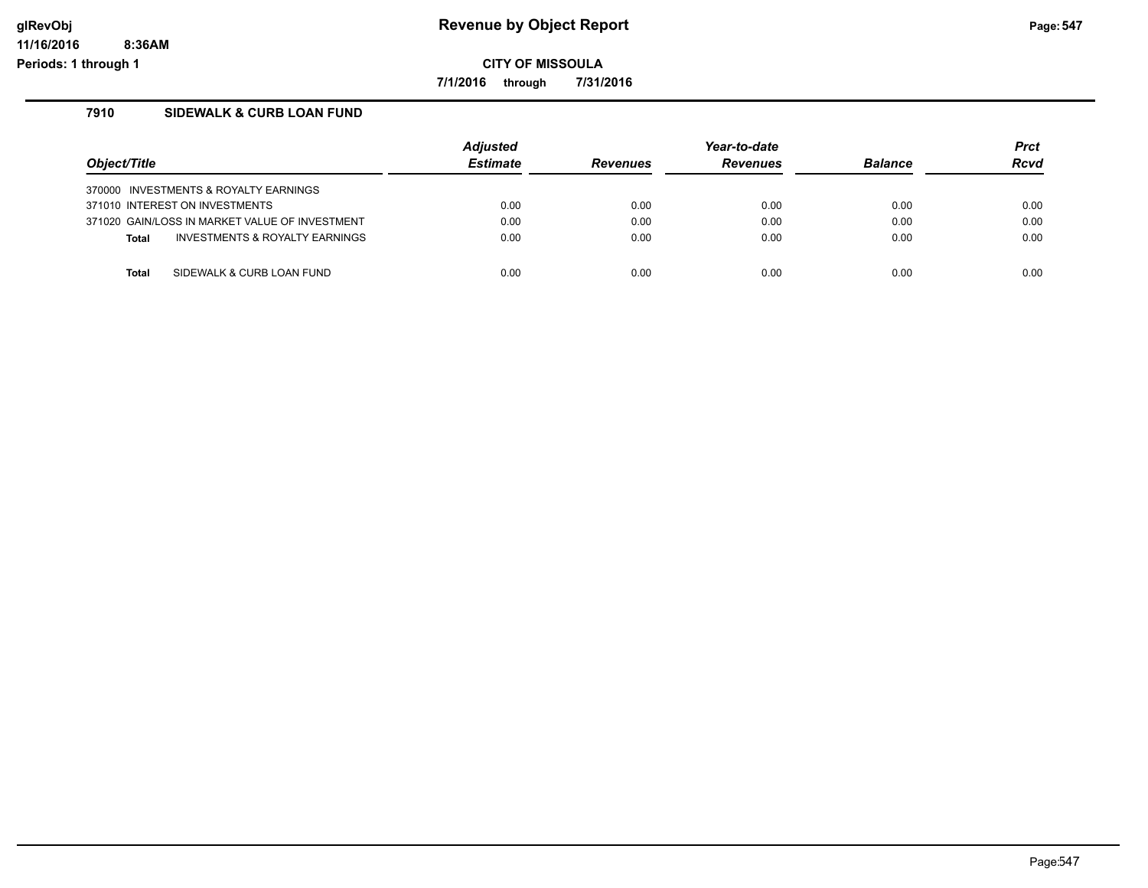**Periods: 1 through 1**

**CITY OF MISSOULA**

**7/1/2016 through 7/31/2016**

#### **7910 SIDEWALK & CURB LOAN FUND**

 **8:36AM**

| Object/Title                                              | <b>Adjusted</b><br><b>Estimate</b> | <b>Revenues</b> | Year-to-date<br><b>Revenues</b> | <b>Balance</b> | <b>Prct</b><br>Rcvd |
|-----------------------------------------------------------|------------------------------------|-----------------|---------------------------------|----------------|---------------------|
| 370000 INVESTMENTS & ROYALTY EARNINGS                     |                                    |                 |                                 |                |                     |
| 371010 INTEREST ON INVESTMENTS                            | 0.00                               | 0.00            | 0.00                            | 0.00           | 0.00                |
| 371020 GAIN/LOSS IN MARKET VALUE OF INVESTMENT            | 0.00                               | 0.00            | 0.00                            | 0.00           | 0.00                |
| <b>INVESTMENTS &amp; ROYALTY EARNINGS</b><br><b>Total</b> | 0.00                               | 0.00            | 0.00                            | 0.00           | 0.00                |
|                                                           |                                    |                 |                                 |                |                     |
| SIDEWALK & CURB LOAN FUND<br>Total                        | 0.00                               | 0.00            | 0.00                            | 0.00           | 0.00                |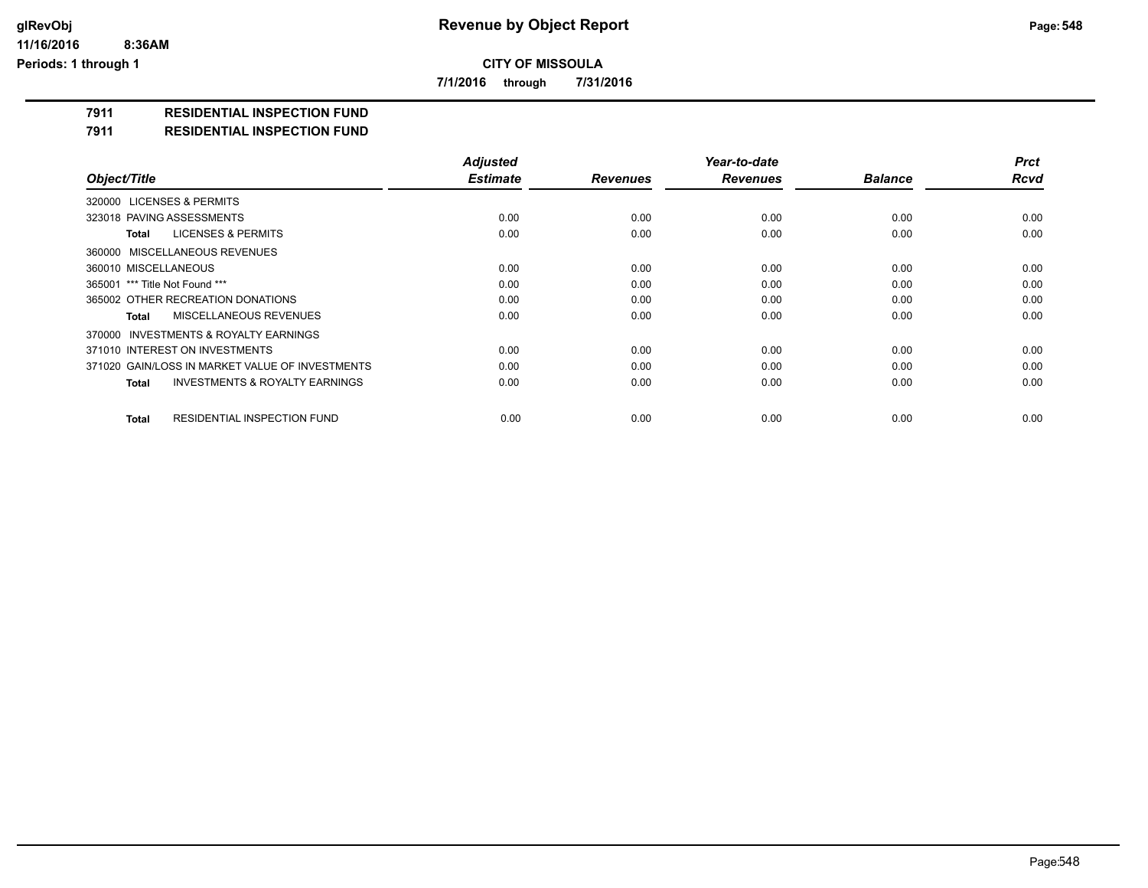**11/16/2016 8:36AM Periods: 1 through 1**

**CITY OF MISSOULA**

**7/1/2016 through 7/31/2016**

**7911 RESIDENTIAL INSPECTION FUND**

**7911 RESIDENTIAL INSPECTION FUND**

|                                                    | <b>Adjusted</b> |                 | Year-to-date    |                | <b>Prct</b> |
|----------------------------------------------------|-----------------|-----------------|-----------------|----------------|-------------|
| Object/Title                                       | <b>Estimate</b> | <b>Revenues</b> | <b>Revenues</b> | <b>Balance</b> | <b>Rcvd</b> |
| 320000 LICENSES & PERMITS                          |                 |                 |                 |                |             |
| 323018 PAVING ASSESSMENTS                          | 0.00            | 0.00            | 0.00            | 0.00           | 0.00        |
| <b>LICENSES &amp; PERMITS</b><br>Total             | 0.00            | 0.00            | 0.00            | 0.00           | 0.00        |
| 360000 MISCELLANEOUS REVENUES                      |                 |                 |                 |                |             |
| 360010 MISCELLANEOUS                               | 0.00            | 0.00            | 0.00            | 0.00           | 0.00        |
| 365001 *** Title Not Found ***                     | 0.00            | 0.00            | 0.00            | 0.00           | 0.00        |
| 365002 OTHER RECREATION DONATIONS                  | 0.00            | 0.00            | 0.00            | 0.00           | 0.00        |
| MISCELLANEOUS REVENUES<br>Total                    | 0.00            | 0.00            | 0.00            | 0.00           | 0.00        |
| 370000 INVESTMENTS & ROYALTY EARNINGS              |                 |                 |                 |                |             |
| 371010 INTEREST ON INVESTMENTS                     | 0.00            | 0.00            | 0.00            | 0.00           | 0.00        |
| 371020 GAIN/LOSS IN MARKET VALUE OF INVESTMENTS    | 0.00            | 0.00            | 0.00            | 0.00           | 0.00        |
| <b>INVESTMENTS &amp; ROYALTY EARNINGS</b><br>Total | 0.00            | 0.00            | 0.00            | 0.00           | 0.00        |
| RESIDENTIAL INSPECTION FUND<br>Total               | 0.00            | 0.00            | 0.00            | 0.00           | 0.00        |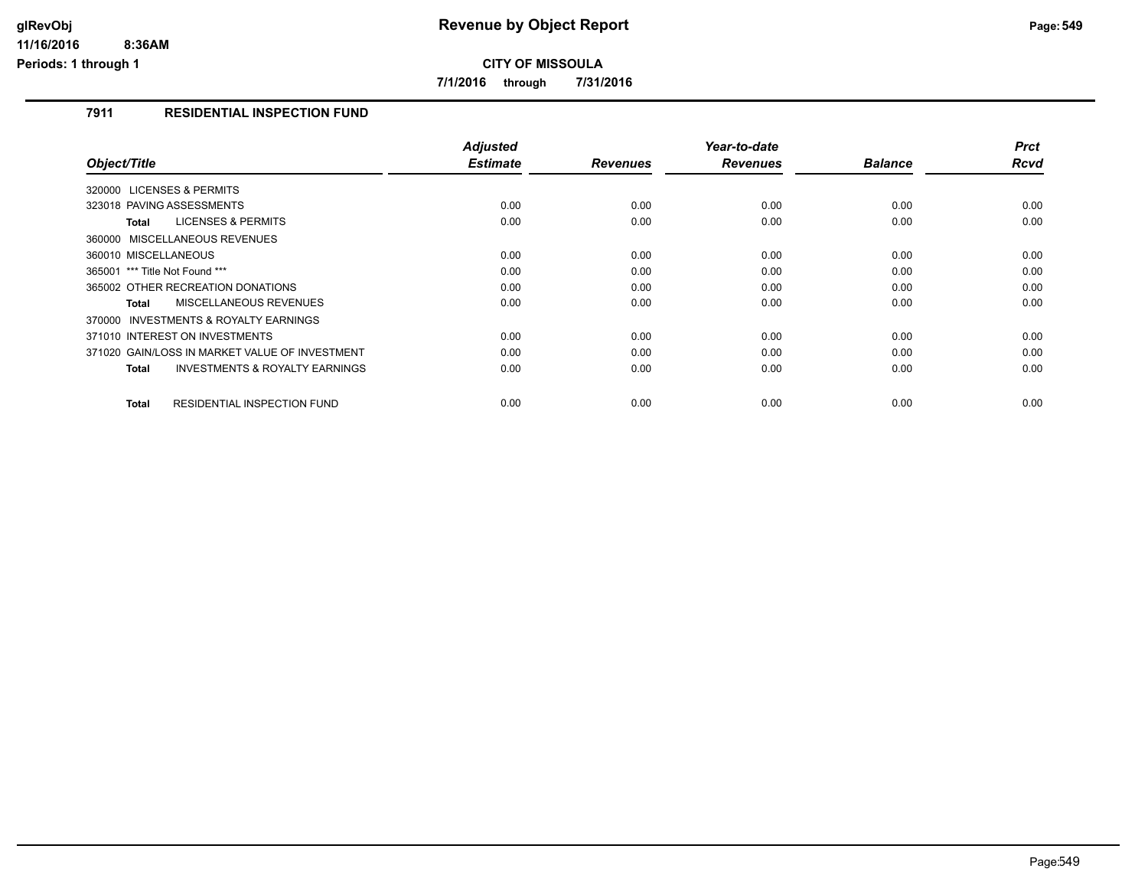**Periods: 1 through 1**

**CITY OF MISSOULA**

**7/1/2016 through 7/31/2016**

#### **7911 RESIDENTIAL INSPECTION FUND**

 **8:36AM**

| Object/Title                                              | <b>Adjusted</b><br><b>Estimate</b> | <b>Revenues</b> | Year-to-date<br><b>Revenues</b> | <b>Balance</b> | <b>Prct</b><br><b>Rcvd</b> |
|-----------------------------------------------------------|------------------------------------|-----------------|---------------------------------|----------------|----------------------------|
|                                                           |                                    |                 |                                 |                |                            |
| 320000 LICENSES & PERMITS                                 |                                    |                 |                                 |                |                            |
| 323018 PAVING ASSESSMENTS                                 | 0.00                               | 0.00            | 0.00                            | 0.00           | 0.00                       |
| <b>LICENSES &amp; PERMITS</b><br><b>Total</b>             | 0.00                               | 0.00            | 0.00                            | 0.00           | 0.00                       |
| 360000 MISCELLANEOUS REVENUES                             |                                    |                 |                                 |                |                            |
| 360010 MISCELLANEOUS                                      | 0.00                               | 0.00            | 0.00                            | 0.00           | 0.00                       |
| 365001 *** Title Not Found ***                            | 0.00                               | 0.00            | 0.00                            | 0.00           | 0.00                       |
| 365002 OTHER RECREATION DONATIONS                         | 0.00                               | 0.00            | 0.00                            | 0.00           | 0.00                       |
| <b>MISCELLANEOUS REVENUES</b><br><b>Total</b>             | 0.00                               | 0.00            | 0.00                            | 0.00           | 0.00                       |
| INVESTMENTS & ROYALTY EARNINGS<br>370000                  |                                    |                 |                                 |                |                            |
| 371010 INTEREST ON INVESTMENTS                            | 0.00                               | 0.00            | 0.00                            | 0.00           | 0.00                       |
| 371020 GAIN/LOSS IN MARKET VALUE OF INVESTMENT            | 0.00                               | 0.00            | 0.00                            | 0.00           | 0.00                       |
| <b>INVESTMENTS &amp; ROYALTY EARNINGS</b><br><b>Total</b> | 0.00                               | 0.00            | 0.00                            | 0.00           | 0.00                       |
| RESIDENTIAL INSPECTION FUND<br><b>Total</b>               | 0.00                               | 0.00            | 0.00                            | 0.00           | 0.00                       |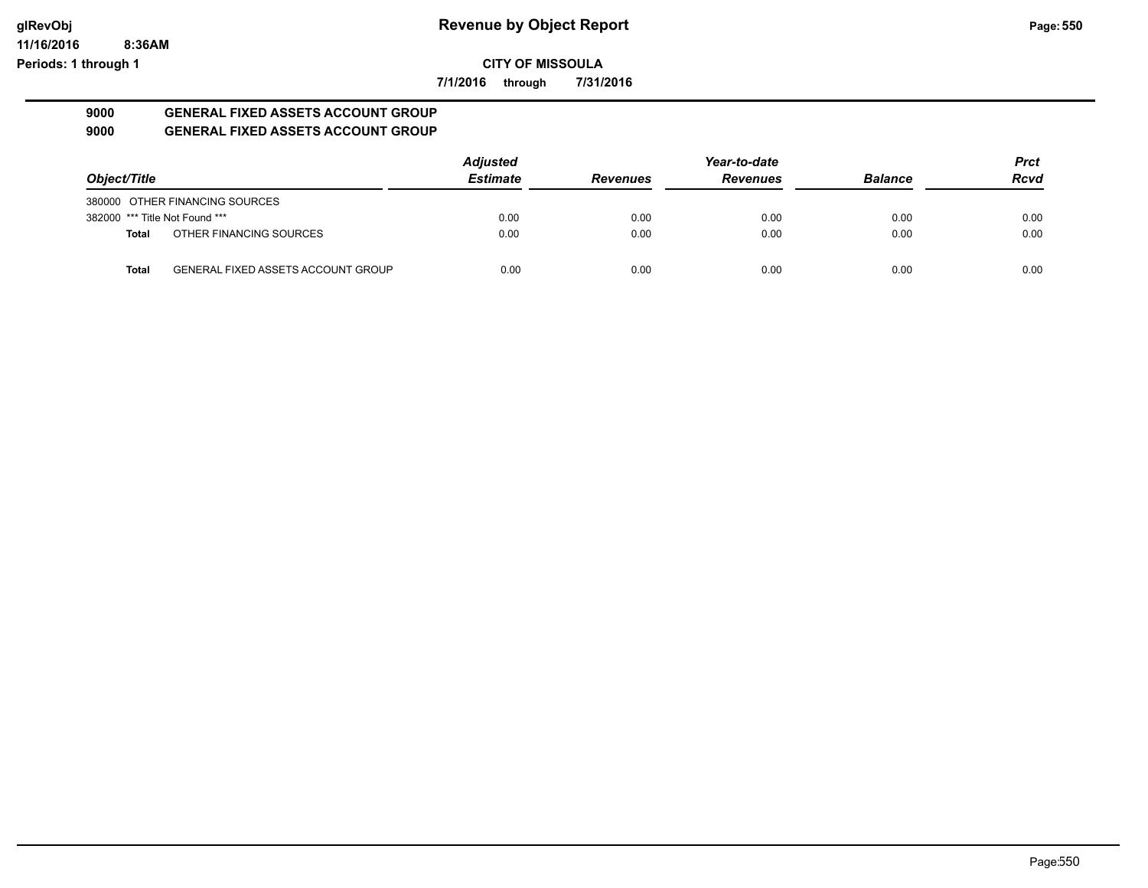**11/16/2016 8:36AM Periods: 1 through 1**

#### **CITY OF MISSOULA**

**7/1/2016 through 7/31/2016**

#### **9000 GENERAL FIXED ASSETS ACCOUNT GROUP 9000 GENERAL FIXED ASSETS ACCOUNT GROUP**

| Object/Title                   |                                           | <b>Adjusted</b> |                 |                 | Prct           |      |
|--------------------------------|-------------------------------------------|-----------------|-----------------|-----------------|----------------|------|
|                                |                                           | <b>Estimate</b> | <b>Revenues</b> | <b>Revenues</b> | <b>Balance</b> | Rcvd |
|                                | 380000 OTHER FINANCING SOURCES            |                 |                 |                 |                |      |
| 382000 *** Title Not Found *** |                                           | 0.00            | 0.00            | 0.00            | 0.00           | 0.00 |
| Total                          | OTHER FINANCING SOURCES                   | 0.00            | 0.00            | 0.00            | 0.00           | 0.00 |
| <b>Total</b>                   | <b>GENERAL FIXED ASSETS ACCOUNT GROUP</b> | 0.00            | 0.00            | 0.00            | 0.00           | 0.00 |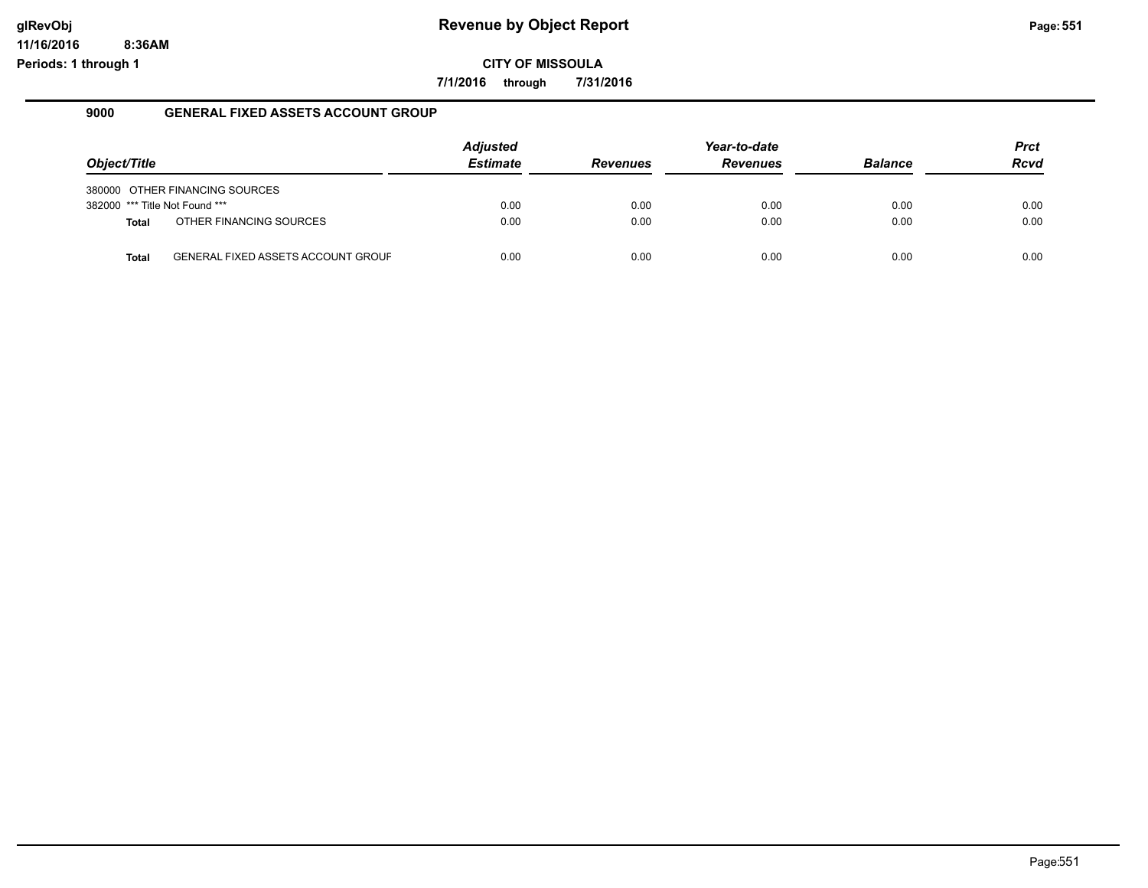**7/1/2016 through 7/31/2016**

#### **9000 GENERAL FIXED ASSETS ACCOUNT GROUP**

| Object/Title                   |                                           | <b>Adjusted</b><br><b>Estimate</b> | <b>Revenues</b> | Year-to-date<br><b>Revenues</b> | <b>Balance</b> | <b>Prct</b><br>Rcvd |
|--------------------------------|-------------------------------------------|------------------------------------|-----------------|---------------------------------|----------------|---------------------|
|                                | 380000 OTHER FINANCING SOURCES            |                                    |                 |                                 |                |                     |
| 382000 *** Title Not Found *** |                                           | 0.00                               | 0.00            | 0.00                            | 0.00           | 0.00                |
| <b>Total</b>                   | OTHER FINANCING SOURCES                   | 0.00                               | 0.00            | 0.00                            | 0.00           | 0.00                |
| <b>Total</b>                   | <b>GENERAL FIXED ASSETS ACCOUNT GROUF</b> | 0.00                               | 0.00            | 0.00                            | 0.00           | 0.00                |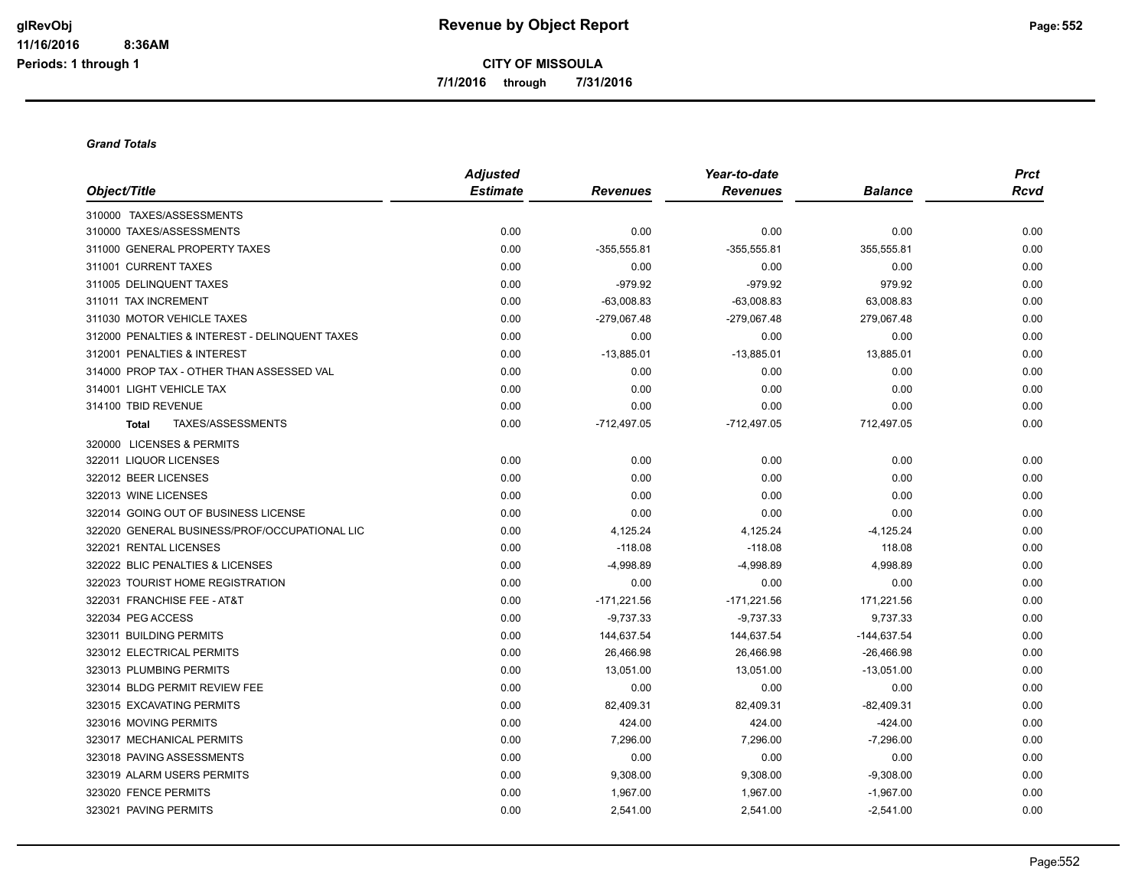**CITY OF MISSOULA 7/1/2016 through 7/31/2016**

#### *Grand Totals*

|                                                | <b>Adjusted</b> |                 | Year-to-date    |                | <b>Prct</b> |
|------------------------------------------------|-----------------|-----------------|-----------------|----------------|-------------|
| Object/Title                                   | <b>Estimate</b> | <b>Revenues</b> | <b>Revenues</b> | <b>Balance</b> | <b>Rcvd</b> |
| 310000 TAXES/ASSESSMENTS                       |                 |                 |                 |                |             |
| 310000 TAXES/ASSESSMENTS                       | 0.00            | 0.00            | 0.00            | 0.00           | 0.00        |
| 311000 GENERAL PROPERTY TAXES                  | 0.00            | $-355,555.81$   | $-355,555.81$   | 355,555.81     | 0.00        |
| 311001 CURRENT TAXES                           | 0.00            | 0.00            | 0.00            | 0.00           | 0.00        |
| 311005 DELINQUENT TAXES                        | 0.00            | $-979.92$       | $-979.92$       | 979.92         | 0.00        |
| 311011 TAX INCREMENT                           | 0.00            | $-63,008.83$    | $-63,008.83$    | 63,008.83      | 0.00        |
| 311030 MOTOR VEHICLE TAXES                     | 0.00            | $-279,067.48$   | $-279,067.48$   | 279,067.48     | 0.00        |
| 312000 PENALTIES & INTEREST - DELINQUENT TAXES | 0.00            | 0.00            | 0.00            | 0.00           | 0.00        |
| 312001 PENALTIES & INTEREST                    | 0.00            | $-13,885.01$    | $-13,885.01$    | 13,885.01      | 0.00        |
| 314000 PROP TAX - OTHER THAN ASSESSED VAL      | 0.00            | 0.00            | 0.00            | 0.00           | 0.00        |
| 314001 LIGHT VEHICLE TAX                       | 0.00            | 0.00            | 0.00            | 0.00           | 0.00        |
| 314100 TBID REVENUE                            | 0.00            | 0.00            | 0.00            | 0.00           | 0.00        |
| TAXES/ASSESSMENTS<br><b>Total</b>              | 0.00            | $-712,497.05$   | $-712,497.05$   | 712,497.05     | 0.00        |
| 320000 LICENSES & PERMITS                      |                 |                 |                 |                |             |
| 322011 LIQUOR LICENSES                         | 0.00            | 0.00            | 0.00            | 0.00           | 0.00        |
| 322012 BEER LICENSES                           | 0.00            | 0.00            | 0.00            | 0.00           | 0.00        |
| 322013 WINE LICENSES                           | 0.00            | 0.00            | 0.00            | 0.00           | 0.00        |
| 322014 GOING OUT OF BUSINESS LICENSE           | 0.00            | 0.00            | 0.00            | 0.00           | 0.00        |
| 322020 GENERAL BUSINESS/PROF/OCCUPATIONAL LIC  | 0.00            | 4,125.24        | 4,125.24        | $-4,125.24$    | 0.00        |
| 322021 RENTAL LICENSES                         | 0.00            | $-118.08$       | $-118.08$       | 118.08         | 0.00        |
| 322022 BLIC PENALTIES & LICENSES               | 0.00            | -4,998.89       | $-4,998.89$     | 4,998.89       | 0.00        |
| 322023 TOURIST HOME REGISTRATION               | 0.00            | 0.00            | 0.00            | 0.00           | 0.00        |
| 322031 FRANCHISE FEE - AT&T                    | 0.00            | $-171,221.56$   | $-171,221.56$   | 171,221.56     | 0.00        |
| 322034 PEG ACCESS                              | 0.00            | $-9,737.33$     | $-9,737.33$     | 9,737.33       | 0.00        |
| 323011 BUILDING PERMITS                        | 0.00            | 144,637.54      | 144,637.54      | $-144,637.54$  | 0.00        |
| 323012 ELECTRICAL PERMITS                      | 0.00            | 26,466.98       | 26,466.98       | $-26,466.98$   | 0.00        |
| 323013 PLUMBING PERMITS                        | 0.00            | 13,051.00       | 13,051.00       | $-13,051.00$   | 0.00        |
| 323014 BLDG PERMIT REVIEW FEE                  | 0.00            | 0.00            | 0.00            | 0.00           | 0.00        |
| 323015 EXCAVATING PERMITS                      | 0.00            | 82,409.31       | 82,409.31       | $-82,409.31$   | 0.00        |
| 323016 MOVING PERMITS                          | 0.00            | 424.00          | 424.00          | $-424.00$      | 0.00        |
| 323017 MECHANICAL PERMITS                      | 0.00            | 7,296.00        | 7,296.00        | $-7,296.00$    | 0.00        |
| 323018 PAVING ASSESSMENTS                      | 0.00            | 0.00            | 0.00            | 0.00           | 0.00        |
| 323019 ALARM USERS PERMITS                     | 0.00            | 9,308.00        | 9,308.00        | $-9,308.00$    | 0.00        |
| 323020 FENCE PERMITS                           | 0.00            | 1,967.00        | 1,967.00        | $-1,967.00$    | 0.00        |
| 323021 PAVING PERMITS                          | 0.00            | 2,541.00        | 2,541.00        | $-2,541.00$    | 0.00        |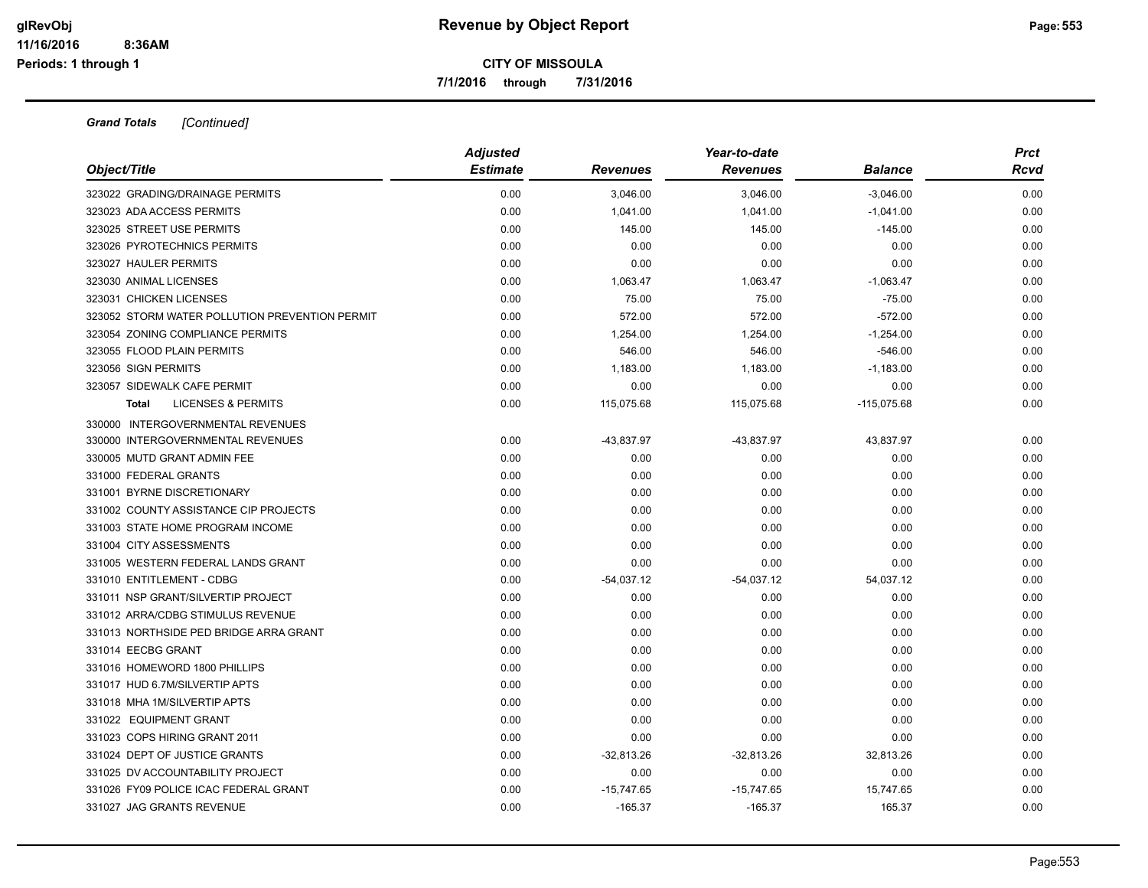**7/1/2016 through 7/31/2016**

| Object/Title                                   | <b>Adjusted</b><br><b>Estimate</b> | <b>Revenues</b> | Year-to-date<br><b>Revenues</b> | <b>Balance</b> | <b>Prct</b><br><b>Rcvd</b> |
|------------------------------------------------|------------------------------------|-----------------|---------------------------------|----------------|----------------------------|
| 323022 GRADING/DRAINAGE PERMITS                | 0.00                               | 3,046.00        | 3,046.00                        | $-3,046.00$    | 0.00                       |
| 323023 ADA ACCESS PERMITS                      | 0.00                               | 1,041.00        | 1,041.00                        | $-1,041.00$    | 0.00                       |
| 323025 STREET USE PERMITS                      | 0.00                               | 145.00          | 145.00                          | $-145.00$      | 0.00                       |
| 323026 PYROTECHNICS PERMITS                    | 0.00                               | 0.00            | 0.00                            | 0.00           | 0.00                       |
| 323027 HAULER PERMITS                          | 0.00                               | 0.00            | 0.00                            | 0.00           | 0.00                       |
| 323030 ANIMAL LICENSES                         | 0.00                               | 1,063.47        | 1,063.47                        | $-1,063.47$    | 0.00                       |
| 323031 CHICKEN LICENSES                        | 0.00                               | 75.00           | 75.00                           | $-75.00$       | 0.00                       |
| 323052 STORM WATER POLLUTION PREVENTION PERMIT | 0.00                               | 572.00          | 572.00                          | $-572.00$      | 0.00                       |
| 323054 ZONING COMPLIANCE PERMITS               | 0.00                               | 1,254.00        | 1,254.00                        | $-1,254.00$    | 0.00                       |
| 323055 FLOOD PLAIN PERMITS                     | 0.00                               | 546.00          | 546.00                          | $-546.00$      | 0.00                       |
| 323056 SIGN PERMITS                            | 0.00                               | 1,183.00        | 1,183.00                        | $-1,183.00$    | 0.00                       |
| 323057 SIDEWALK CAFE PERMIT                    | 0.00                               | 0.00            | 0.00                            | 0.00           | 0.00                       |
| <b>LICENSES &amp; PERMITS</b><br><b>Total</b>  | 0.00                               | 115,075.68      | 115,075.68                      | $-115,075.68$  | 0.00                       |
| 330000 INTERGOVERNMENTAL REVENUES              |                                    |                 |                                 |                |                            |
| 330000 INTERGOVERNMENTAL REVENUES              | 0.00                               | -43,837.97      | -43,837.97                      | 43,837.97      | 0.00                       |
| 330005 MUTD GRANT ADMIN FEE                    | 0.00                               | 0.00            | 0.00                            | 0.00           | 0.00                       |
| 331000 FEDERAL GRANTS                          | 0.00                               | 0.00            | 0.00                            | 0.00           | 0.00                       |
| 331001 BYRNE DISCRETIONARY                     | 0.00                               | 0.00            | 0.00                            | 0.00           | 0.00                       |
| 331002 COUNTY ASSISTANCE CIP PROJECTS          | 0.00                               | 0.00            | 0.00                            | 0.00           | 0.00                       |
| 331003 STATE HOME PROGRAM INCOME               | 0.00                               | 0.00            | 0.00                            | 0.00           | 0.00                       |
| 331004 CITY ASSESSMENTS                        | 0.00                               | 0.00            | 0.00                            | 0.00           | 0.00                       |
| 331005 WESTERN FEDERAL LANDS GRANT             | 0.00                               | 0.00            | 0.00                            | 0.00           | 0.00                       |
| 331010 ENTITLEMENT - CDBG                      | 0.00                               | $-54,037.12$    | $-54,037.12$                    | 54,037.12      | 0.00                       |
| 331011 NSP GRANT/SILVERTIP PROJECT             | 0.00                               | 0.00            | 0.00                            | 0.00           | 0.00                       |
| 331012 ARRA/CDBG STIMULUS REVENUE              | 0.00                               | 0.00            | 0.00                            | 0.00           | 0.00                       |
| 331013 NORTHSIDE PED BRIDGE ARRA GRANT         | 0.00                               | 0.00            | 0.00                            | 0.00           | 0.00                       |
| 331014 EECBG GRANT                             | 0.00                               | 0.00            | 0.00                            | 0.00           | 0.00                       |
| 331016 HOMEWORD 1800 PHILLIPS                  | 0.00                               | 0.00            | 0.00                            | 0.00           | 0.00                       |
| 331017 HUD 6.7M/SILVERTIP APTS                 | 0.00                               | 0.00            | 0.00                            | 0.00           | 0.00                       |
| 331018 MHA 1M/SILVERTIP APTS                   | 0.00                               | 0.00            | 0.00                            | 0.00           | 0.00                       |
| 331022 EQUIPMENT GRANT                         | 0.00                               | 0.00            | 0.00                            | 0.00           | 0.00                       |
| 331023 COPS HIRING GRANT 2011                  | 0.00                               | 0.00            | 0.00                            | 0.00           | 0.00                       |
| 331024 DEPT OF JUSTICE GRANTS                  | 0.00                               | $-32,813.26$    | $-32,813.26$                    | 32,813.26      | 0.00                       |
| 331025 DV ACCOUNTABILITY PROJECT               | 0.00                               | 0.00            | 0.00                            | 0.00           | 0.00                       |
| 331026 FY09 POLICE ICAC FEDERAL GRANT          | 0.00                               | $-15,747.65$    | $-15,747.65$                    | 15,747.65      | 0.00                       |
| 331027 JAG GRANTS REVENUE                      | 0.00                               | $-165.37$       | $-165.37$                       | 165.37         | 0.00                       |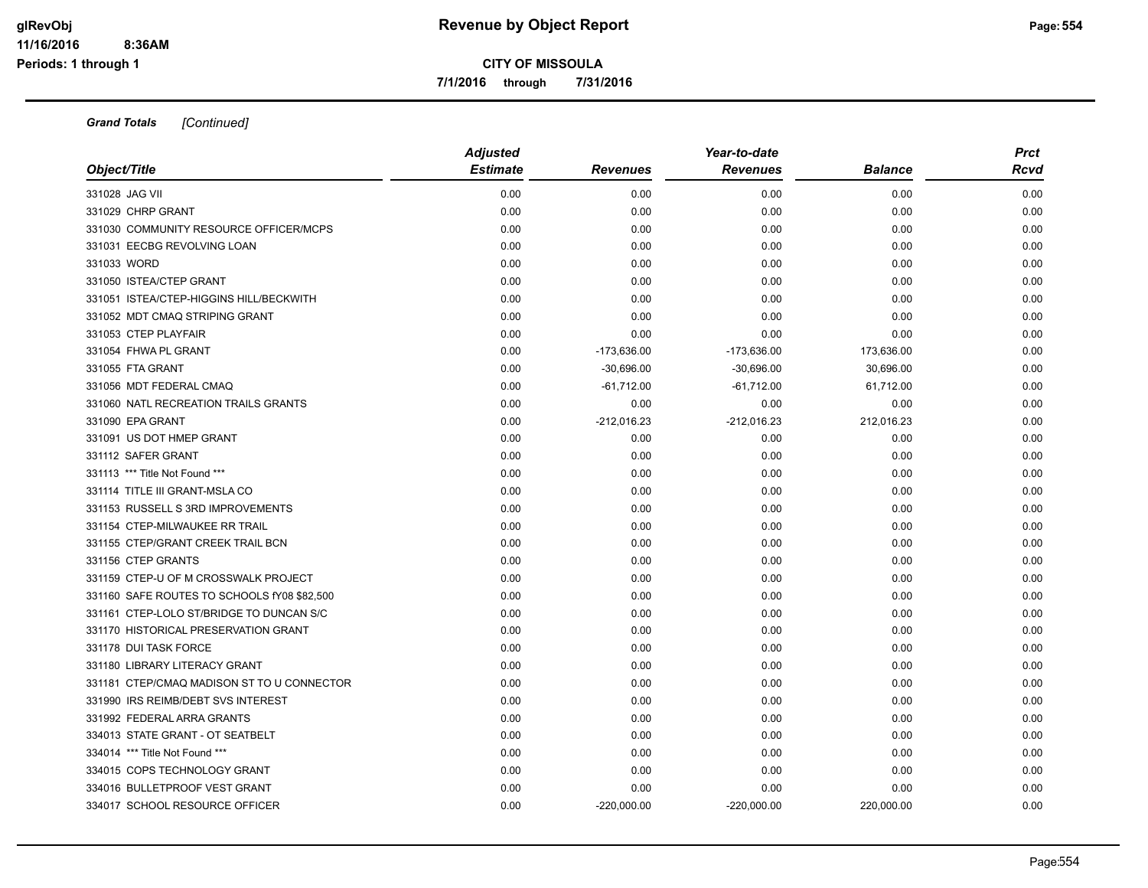**7/1/2016 through 7/31/2016**

| Object/Title                                | <b>Adjusted</b><br><b>Estimate</b> | <b>Revenues</b> | Year-to-date<br><b>Revenues</b> | <b>Balance</b> | <b>Prct</b><br>Rcvd |
|---------------------------------------------|------------------------------------|-----------------|---------------------------------|----------------|---------------------|
| 331028 JAG VII                              | 0.00                               | 0.00            | 0.00                            | 0.00           | 0.00                |
| 331029 CHRP GRANT                           | 0.00                               | 0.00            | 0.00                            | 0.00           | 0.00                |
| 331030 COMMUNITY RESOURCE OFFICER/MCPS      | 0.00                               | 0.00            | 0.00                            | 0.00           | 0.00                |
| 331031 EECBG REVOLVING LOAN                 | 0.00                               | 0.00            | 0.00                            | 0.00           | 0.00                |
| 331033 WORD                                 | 0.00                               | 0.00            | 0.00                            | 0.00           | 0.00                |
| 331050 ISTEA/CTEP GRANT                     | 0.00                               | 0.00            | 0.00                            | 0.00           | 0.00                |
| 331051 ISTEA/CTEP-HIGGINS HILL/BECKWITH     | 0.00                               | 0.00            | 0.00                            | 0.00           | 0.00                |
| 331052 MDT CMAQ STRIPING GRANT              | 0.00                               | 0.00            | 0.00                            | 0.00           | 0.00                |
| 331053 CTEP PLAYFAIR                        | 0.00                               | 0.00            | 0.00                            | 0.00           | 0.00                |
| 331054 FHWA PL GRANT                        | 0.00                               | $-173,636.00$   | $-173,636.00$                   | 173,636.00     | 0.00                |
| 331055 FTA GRANT                            | 0.00                               | $-30,696.00$    | $-30,696.00$                    | 30,696.00      | 0.00                |
| 331056 MDT FEDERAL CMAQ                     | 0.00                               | $-61,712.00$    | $-61,712.00$                    | 61,712.00      | 0.00                |
| 331060 NATL RECREATION TRAILS GRANTS        | 0.00                               | 0.00            | 0.00                            | 0.00           | 0.00                |
| 331090 EPA GRANT                            | 0.00                               | $-212,016.23$   | $-212,016.23$                   | 212,016.23     | 0.00                |
| 331091 US DOT HMEP GRANT                    | 0.00                               | 0.00            | 0.00                            | 0.00           | 0.00                |
| 331112 SAFER GRANT                          | 0.00                               | 0.00            | 0.00                            | 0.00           | 0.00                |
| 331113 *** Title Not Found ***              | 0.00                               | 0.00            | 0.00                            | 0.00           | 0.00                |
| 331114 TITLE III GRANT-MSLA CO              | 0.00                               | 0.00            | 0.00                            | 0.00           | 0.00                |
| 331153 RUSSELL S 3RD IMPROVEMENTS           | 0.00                               | 0.00            | 0.00                            | 0.00           | 0.00                |
| 331154 CTEP-MILWAUKEE RR TRAIL              | 0.00                               | 0.00            | 0.00                            | 0.00           | 0.00                |
| 331155 CTEP/GRANT CREEK TRAIL BCN           | 0.00                               | 0.00            | 0.00                            | 0.00           | 0.00                |
| 331156 CTEP GRANTS                          | 0.00                               | 0.00            | 0.00                            | 0.00           | 0.00                |
| 331159 CTEP-U OF M CROSSWALK PROJECT        | 0.00                               | 0.00            | 0.00                            | 0.00           | 0.00                |
| 331160 SAFE ROUTES TO SCHOOLS fY08 \$82,500 | 0.00                               | 0.00            | 0.00                            | 0.00           | 0.00                |
| 331161 CTEP-LOLO ST/BRIDGE TO DUNCAN S/C    | 0.00                               | 0.00            | 0.00                            | 0.00           | 0.00                |
| 331170 HISTORICAL PRESERVATION GRANT        | 0.00                               | 0.00            | 0.00                            | 0.00           | 0.00                |
| 331178 DUI TASK FORCE                       | 0.00                               | 0.00            | 0.00                            | 0.00           | 0.00                |
| 331180 LIBRARY LITERACY GRANT               | 0.00                               | 0.00            | 0.00                            | 0.00           | 0.00                |
| 331181 CTEP/CMAQ MADISON ST TO U CONNECTOR  | 0.00                               | 0.00            | 0.00                            | 0.00           | 0.00                |
| 331990 IRS REIMB/DEBT SVS INTEREST          | 0.00                               | 0.00            | 0.00                            | 0.00           | 0.00                |
| 331992 FEDERAL ARRA GRANTS                  | 0.00                               | 0.00            | 0.00                            | 0.00           | 0.00                |
| 334013 STATE GRANT - OT SEATBELT            | 0.00                               | 0.00            | 0.00                            | 0.00           | 0.00                |
| 334014 *** Title Not Found ***              | 0.00                               | 0.00            | 0.00                            | 0.00           | 0.00                |
| 334015 COPS TECHNOLOGY GRANT                | 0.00                               | 0.00            | 0.00                            | 0.00           | 0.00                |
| 334016 BULLETPROOF VEST GRANT               | 0.00                               | 0.00            | 0.00                            | 0.00           | 0.00                |
| 334017 SCHOOL RESOURCE OFFICER              | 0.00                               | $-220,000.00$   | $-220,000.00$                   | 220.000.00     | 0.00                |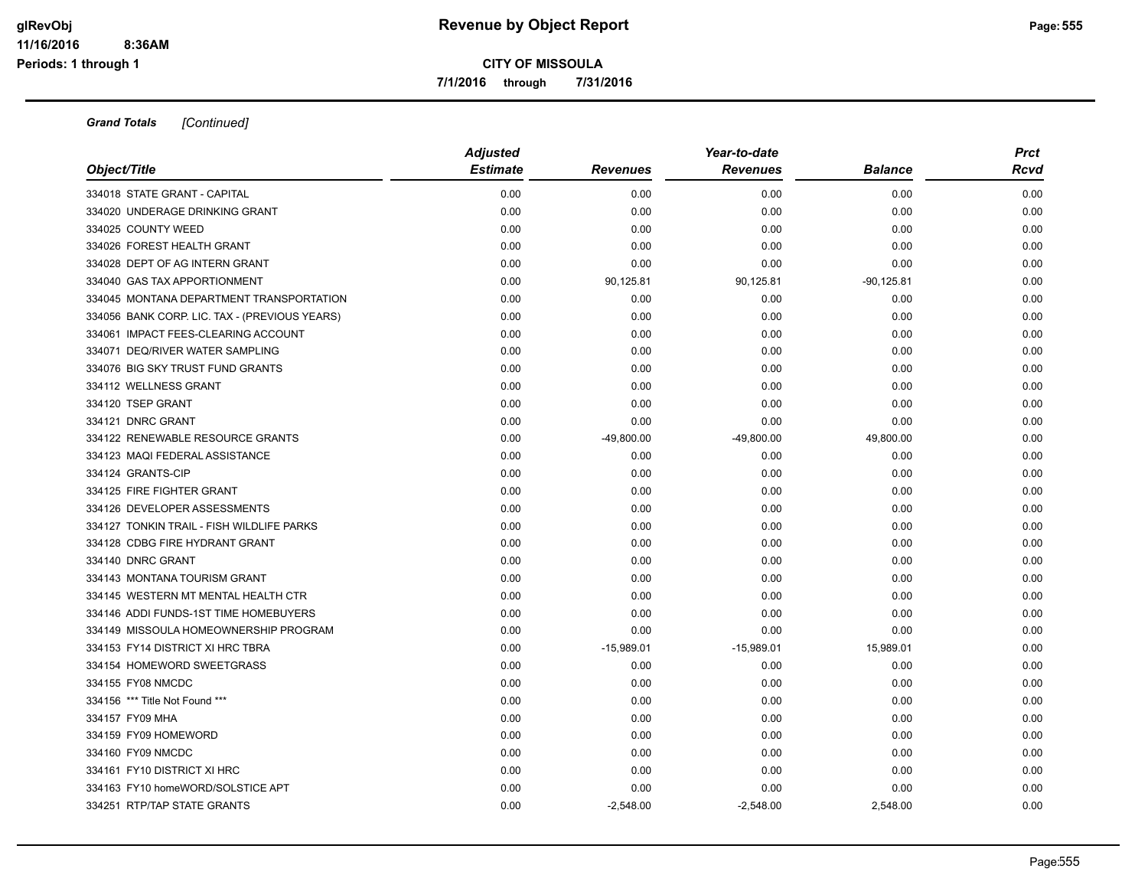**7/1/2016 through 7/31/2016**

| Object/Title                                                           | <b>Adjusted</b><br><b>Estimate</b> | <b>Revenues</b> | Year-to-date<br><b>Revenues</b> | <b>Balance</b> | <b>Prct</b><br>Rcvd |
|------------------------------------------------------------------------|------------------------------------|-----------------|---------------------------------|----------------|---------------------|
| 334018 STATE GRANT - CAPITAL                                           | 0.00                               | 0.00            | 0.00                            | 0.00           | 0.00                |
| 334020 UNDERAGE DRINKING GRANT                                         | 0.00                               | 0.00            | 0.00                            | 0.00           | 0.00                |
| 334025 COUNTY WEED                                                     | 0.00                               | 0.00            | 0.00                            | 0.00           | 0.00                |
| 334026 FOREST HEALTH GRANT                                             | 0.00                               | 0.00            | 0.00                            | 0.00           | 0.00                |
| 334028 DEPT OF AG INTERN GRANT                                         | 0.00                               | 0.00            | 0.00                            | 0.00           | 0.00                |
| 334040 GAS TAX APPORTIONMENT                                           | 0.00                               | 90,125.81       | 90,125.81                       | $-90, 125.81$  | 0.00                |
| 334045 MONTANA DEPARTMENT TRANSPORTATION                               | 0.00                               | 0.00            | 0.00                            | 0.00           | 0.00                |
|                                                                        |                                    |                 |                                 |                |                     |
| 334056 BANK CORP. LIC. TAX - (PREVIOUS YEARS)                          | 0.00<br>0.00                       | 0.00<br>0.00    | 0.00                            | 0.00<br>0.00   | 0.00<br>0.00        |
| 334061 IMPACT FEES-CLEARING ACCOUNT<br>334071 DEQ/RIVER WATER SAMPLING | 0.00                               | 0.00            | 0.00<br>0.00                    | 0.00           | 0.00                |
| 334076 BIG SKY TRUST FUND GRANTS                                       | 0.00                               | 0.00            | 0.00                            | 0.00           | 0.00                |
| 334112 WELLNESS GRANT                                                  | 0.00                               | 0.00            | 0.00                            | 0.00           | 0.00                |
| 334120 TSEP GRANT                                                      | 0.00                               |                 |                                 |                | 0.00                |
|                                                                        |                                    | 0.00            | 0.00                            | 0.00           |                     |
| 334121 DNRC GRANT                                                      | 0.00                               | 0.00            | 0.00                            | 0.00           | 0.00                |
| 334122 RENEWABLE RESOURCE GRANTS                                       | 0.00                               | $-49,800.00$    | $-49,800.00$                    | 49,800.00      | 0.00                |
| 334123 MAQI FEDERAL ASSISTANCE<br>334124 GRANTS-CIP                    | 0.00                               | 0.00            | 0.00                            | 0.00           | 0.00                |
|                                                                        | 0.00                               | 0.00            | 0.00                            | 0.00           | 0.00                |
| 334125 FIRE FIGHTER GRANT                                              | 0.00                               | 0.00            | 0.00                            | 0.00           | 0.00                |
| 334126 DEVELOPER ASSESSMENTS                                           | 0.00                               | 0.00            | 0.00                            | 0.00           | 0.00                |
| 334127 TONKIN TRAIL - FISH WILDLIFE PARKS                              | 0.00                               | 0.00            | 0.00                            | 0.00           | 0.00                |
| 334128 CDBG FIRE HYDRANT GRANT                                         | 0.00                               | 0.00            | 0.00                            | 0.00           | 0.00                |
| 334140 DNRC GRANT                                                      | 0.00                               | 0.00            | 0.00                            | 0.00           | 0.00                |
| 334143 MONTANA TOURISM GRANT                                           | 0.00                               | 0.00            | 0.00                            | 0.00           | 0.00                |
| 334145 WESTERN MT MENTAL HEALTH CTR                                    | 0.00                               | 0.00            | 0.00                            | 0.00           | 0.00                |
| 334146 ADDI FUNDS-1ST TIME HOMEBUYERS                                  | 0.00                               | 0.00            | 0.00                            | 0.00           | 0.00                |
| 334149 MISSOULA HOMEOWNERSHIP PROGRAM                                  | 0.00                               | 0.00            | 0.00                            | 0.00           | 0.00                |
| 334153 FY14 DISTRICT XI HRC TBRA                                       | 0.00                               | $-15,989.01$    | $-15,989.01$                    | 15,989.01      | 0.00                |
| 334154 HOMEWORD SWEETGRASS                                             | 0.00                               | 0.00            | 0.00                            | 0.00           | 0.00                |
| 334155 FY08 NMCDC                                                      | 0.00                               | 0.00            | 0.00                            | 0.00           | 0.00                |
| 334156 *** Title Not Found ***                                         | 0.00                               | 0.00            | 0.00                            | 0.00           | 0.00                |
| 334157 FY09 MHA                                                        | 0.00                               | 0.00            | 0.00                            | 0.00           | 0.00                |
| 334159 FY09 HOMEWORD                                                   | 0.00                               | 0.00            | 0.00                            | 0.00           | 0.00                |
| 334160 FY09 NMCDC                                                      | 0.00                               | 0.00            | 0.00                            | 0.00           | 0.00                |
| 334161 FY10 DISTRICT XI HRC                                            | 0.00                               | 0.00            | 0.00                            | 0.00           | 0.00                |
| 334163 FY10 homeWORD/SOLSTICE APT                                      | 0.00                               | 0.00            | 0.00                            | 0.00           | 0.00                |
| 334251 RTP/TAP STATE GRANTS                                            | 0.00                               | $-2,548.00$     | $-2,548.00$                     | 2,548.00       | 0.00                |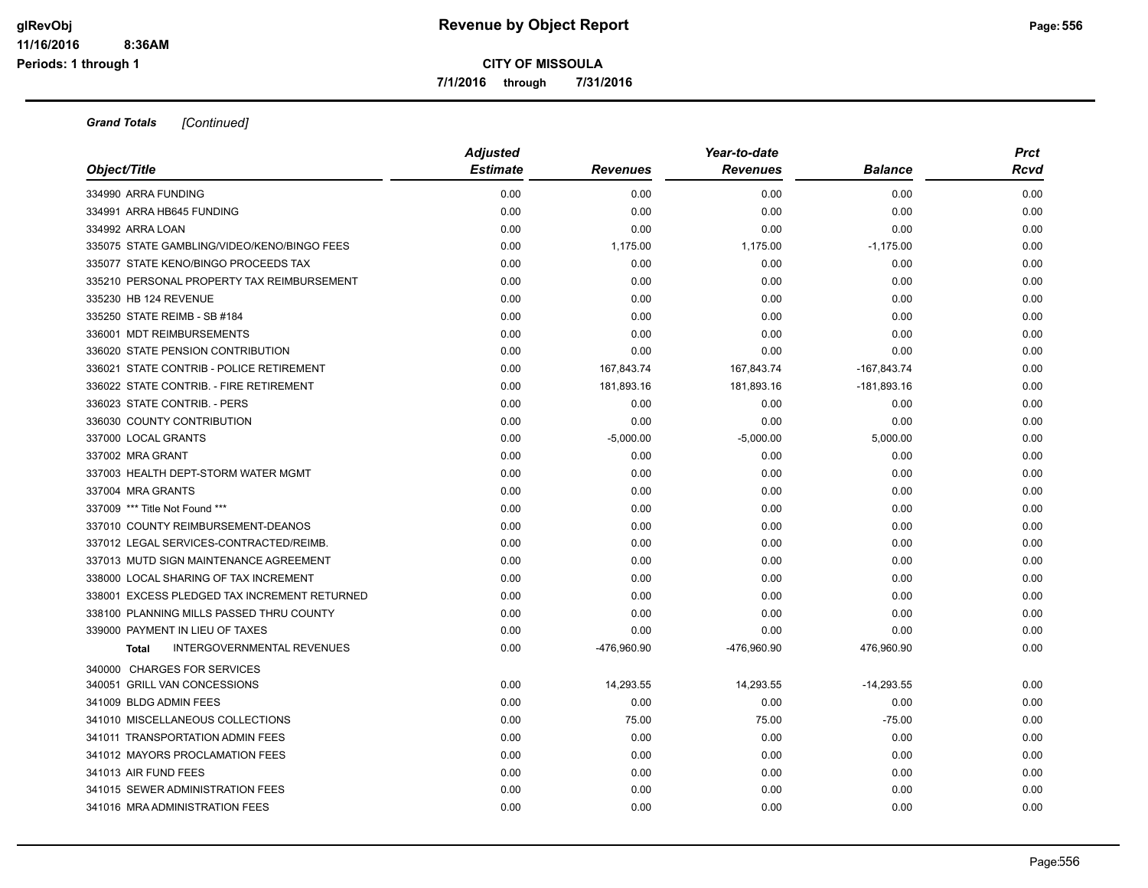**7/1/2016 through 7/31/2016**

|                                              | <b>Adjusted</b> |                 | Year-to-date    |                | <b>Prct</b> |
|----------------------------------------------|-----------------|-----------------|-----------------|----------------|-------------|
| Object/Title                                 | <b>Estimate</b> | <b>Revenues</b> | <b>Revenues</b> | <b>Balance</b> | Rcvd        |
| 334990 ARRA FUNDING                          | 0.00            | 0.00            | 0.00            | 0.00           | 0.00        |
| 334991 ARRA HB645 FUNDING                    | 0.00            | 0.00            | 0.00            | 0.00           | 0.00        |
| 334992 ARRA LOAN                             | 0.00            | 0.00            | 0.00            | 0.00           | 0.00        |
| 335075 STATE GAMBLING/VIDEO/KENO/BINGO FEES  | 0.00            | 1,175.00        | 1,175.00        | $-1,175.00$    | 0.00        |
| 335077 STATE KENO/BINGO PROCEEDS TAX         | 0.00            | 0.00            | 0.00            | 0.00           | 0.00        |
| 335210 PERSONAL PROPERTY TAX REIMBURSEMENT   | 0.00            | 0.00            | 0.00            | 0.00           | 0.00        |
| 335230 HB 124 REVENUE                        | 0.00            | 0.00            | 0.00            | 0.00           | 0.00        |
| 335250 STATE REIMB - SB #184                 | 0.00            | 0.00            | 0.00            | 0.00           | 0.00        |
| 336001 MDT REIMBURSEMENTS                    | 0.00            | 0.00            | 0.00            | 0.00           | 0.00        |
| 336020 STATE PENSION CONTRIBUTION            | 0.00            | 0.00            | 0.00            | 0.00           | 0.00        |
| 336021 STATE CONTRIB - POLICE RETIREMENT     | 0.00            | 167,843.74      | 167,843.74      | $-167,843.74$  | 0.00        |
| 336022 STATE CONTRIB. - FIRE RETIREMENT      | 0.00            | 181,893.16      | 181,893.16      | $-181,893.16$  | 0.00        |
| 336023 STATE CONTRIB. - PERS                 | 0.00            | 0.00            | 0.00            | 0.00           | 0.00        |
| 336030 COUNTY CONTRIBUTION                   | 0.00            | 0.00            | 0.00            | 0.00           | 0.00        |
| 337000 LOCAL GRANTS                          | 0.00            | $-5,000.00$     | $-5,000.00$     | 5,000.00       | 0.00        |
| 337002 MRA GRANT                             | 0.00            | 0.00            | 0.00            | 0.00           | 0.00        |
| 337003 HEALTH DEPT-STORM WATER MGMT          | 0.00            | 0.00            | 0.00            | 0.00           | 0.00        |
| 337004 MRA GRANTS                            | 0.00            | 0.00            | 0.00            | 0.00           | 0.00        |
| 337009 *** Title Not Found ***               | 0.00            | 0.00            | 0.00            | 0.00           | 0.00        |
| 337010 COUNTY REIMBURSEMENT-DEANOS           | 0.00            | 0.00            | 0.00            | 0.00           | 0.00        |
| 337012 LEGAL SERVICES-CONTRACTED/REIMB.      | 0.00            | 0.00            | 0.00            | 0.00           | 0.00        |
| 337013 MUTD SIGN MAINTENANCE AGREEMENT       | 0.00            | 0.00            | 0.00            | 0.00           | 0.00        |
| 338000 LOCAL SHARING OF TAX INCREMENT        | 0.00            | 0.00            | 0.00            | 0.00           | 0.00        |
| 338001 EXCESS PLEDGED TAX INCREMENT RETURNED | 0.00            | 0.00            | 0.00            | 0.00           | 0.00        |
| 338100 PLANNING MILLS PASSED THRU COUNTY     | 0.00            | 0.00            | 0.00            | 0.00           | 0.00        |
| 339000 PAYMENT IN LIEU OF TAXES              | 0.00            | 0.00            | 0.00            | 0.00           | 0.00        |
| INTERGOVERNMENTAL REVENUES<br><b>Total</b>   | 0.00            | -476,960.90     | -476,960.90     | 476,960.90     | 0.00        |
| 340000 CHARGES FOR SERVICES                  |                 |                 |                 |                |             |
| 340051 GRILL VAN CONCESSIONS                 | 0.00            | 14,293.55       | 14,293.55       | $-14,293.55$   | 0.00        |
| 341009 BLDG ADMIN FEES                       | 0.00            | 0.00            | 0.00            | 0.00           | 0.00        |
| 341010 MISCELLANEOUS COLLECTIONS             | 0.00            | 75.00           | 75.00           | $-75.00$       | 0.00        |
| 341011 TRANSPORTATION ADMIN FEES             | 0.00            | 0.00            | 0.00            | 0.00           | 0.00        |
| 341012 MAYORS PROCLAMATION FEES              | 0.00            | 0.00            | 0.00            | 0.00           | 0.00        |
| 341013 AIR FUND FEES                         | 0.00            | 0.00            | 0.00            | 0.00           | 0.00        |
| 341015 SEWER ADMINISTRATION FEES             | 0.00            | 0.00            | 0.00            | 0.00           | 0.00        |
| 341016 MRA ADMINISTRATION FEES               | 0.00            | 0.00            | 0.00            | 0.00           | 0.00        |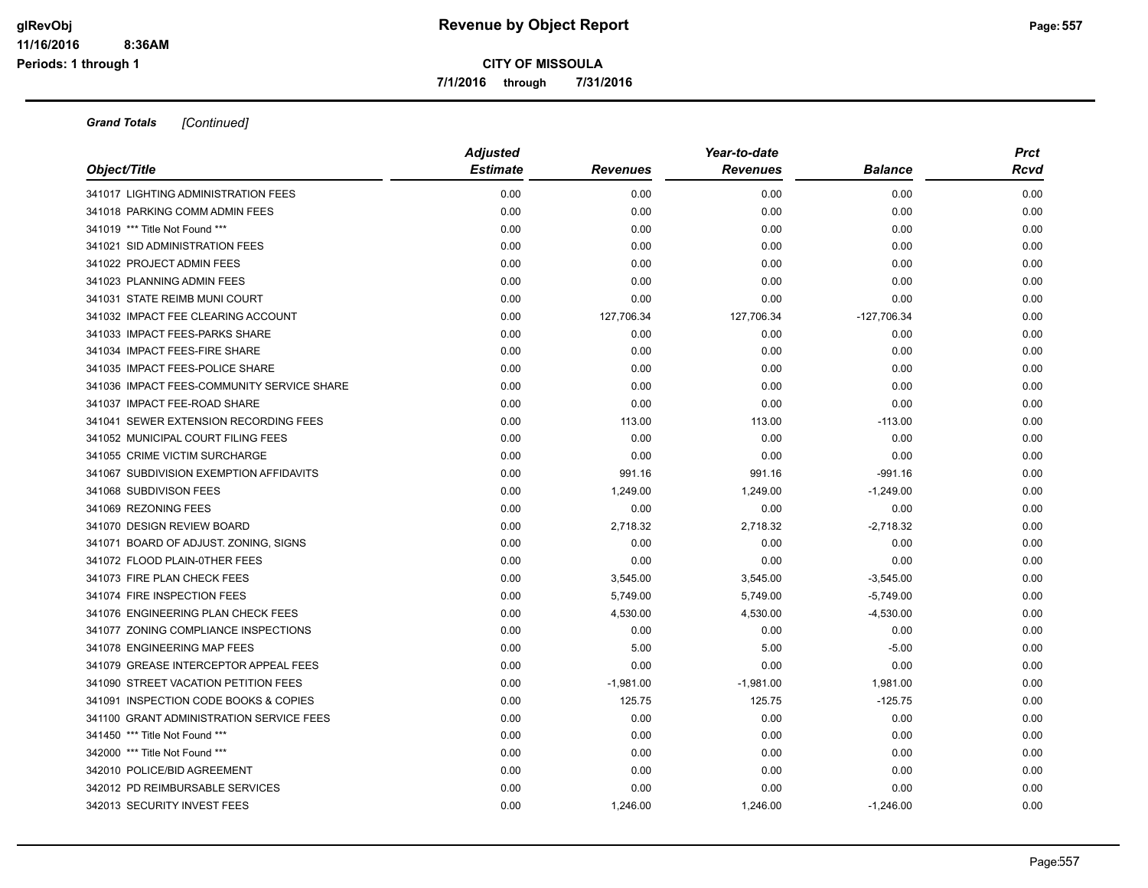**7/1/2016 through 7/31/2016**

| Object/Title                               | <b>Adjusted</b><br><b>Estimate</b> | <b>Revenues</b> | Year-to-date<br><b>Revenues</b> | <b>Balance</b> | <b>Prct</b><br>Rcvd |
|--------------------------------------------|------------------------------------|-----------------|---------------------------------|----------------|---------------------|
| 341017 LIGHTING ADMINISTRATION FEES        | 0.00                               | 0.00            | 0.00                            | 0.00           | 0.00                |
| 341018 PARKING COMM ADMIN FEES             | 0.00                               | 0.00            | 0.00                            | 0.00           | 0.00                |
| 341019 *** Title Not Found ***             | 0.00                               | 0.00            | 0.00                            | 0.00           | 0.00                |
| 341021 SID ADMINISTRATION FEES             | 0.00                               | 0.00            | 0.00                            | 0.00           | 0.00                |
| 341022 PROJECT ADMIN FEES                  | 0.00                               | 0.00            | 0.00                            | 0.00           | 0.00                |
| 341023 PLANNING ADMIN FEES                 | 0.00                               | 0.00            | 0.00                            | 0.00           | 0.00                |
| 341031 STATE REIMB MUNI COURT              | 0.00                               | 0.00            | 0.00                            | 0.00           | 0.00                |
| 341032 IMPACT FEE CLEARING ACCOUNT         | 0.00                               | 127,706.34      | 127,706.34                      | -127,706.34    | 0.00                |
| 341033 IMPACT FEES-PARKS SHARE             | 0.00                               | 0.00            | 0.00                            | 0.00           | 0.00                |
| 341034 IMPACT FEES-FIRE SHARE              | 0.00                               | 0.00            | 0.00                            | 0.00           | 0.00                |
| 341035 IMPACT FEES-POLICE SHARE            | 0.00                               | 0.00            | 0.00                            | 0.00           | 0.00                |
| 341036 IMPACT FEES-COMMUNITY SERVICE SHARE | 0.00                               | 0.00            | 0.00                            | 0.00           | 0.00                |
| 341037 IMPACT FEE-ROAD SHARE               | 0.00                               | 0.00            | 0.00                            | 0.00           | 0.00                |
| 341041 SEWER EXTENSION RECORDING FEES      | 0.00                               | 113.00          | 113.00                          | $-113.00$      | 0.00                |
| 341052 MUNICIPAL COURT FILING FEES         | 0.00                               | 0.00            | 0.00                            | 0.00           | 0.00                |
| 341055 CRIME VICTIM SURCHARGE              | 0.00                               | 0.00            | 0.00                            | 0.00           | 0.00                |
| 341067 SUBDIVISION EXEMPTION AFFIDAVITS    | 0.00                               | 991.16          | 991.16                          | $-991.16$      | 0.00                |
| 341068 SUBDIVISON FEES                     | 0.00                               | 1,249.00        | 1,249.00                        | $-1,249.00$    | 0.00                |
| 341069 REZONING FEES                       | 0.00                               | 0.00            | 0.00                            | 0.00           | 0.00                |
| 341070 DESIGN REVIEW BOARD                 | 0.00                               | 2,718.32        | 2,718.32                        | $-2,718.32$    | 0.00                |
| 341071 BOARD OF ADJUST. ZONING, SIGNS      | 0.00                               | 0.00            | 0.00                            | 0.00           | 0.00                |
| 341072 FLOOD PLAIN-0THER FEES              | 0.00                               | 0.00            | 0.00                            | 0.00           | 0.00                |
| 341073 FIRE PLAN CHECK FEES                | 0.00                               | 3,545.00        | 3,545.00                        | $-3,545.00$    | 0.00                |
| 341074 FIRE INSPECTION FEES                | 0.00                               | 5,749.00        | 5,749.00                        | $-5,749.00$    | 0.00                |
| 341076 ENGINEERING PLAN CHECK FEES         | 0.00                               | 4,530.00        | 4,530.00                        | $-4,530.00$    | 0.00                |
| 341077 ZONING COMPLIANCE INSPECTIONS       | 0.00                               | 0.00            | 0.00                            | 0.00           | 0.00                |
| 341078 ENGINEERING MAP FEES                | 0.00                               | 5.00            | 5.00                            | $-5.00$        | 0.00                |
| 341079 GREASE INTERCEPTOR APPEAL FEES      | 0.00                               | 0.00            | 0.00                            | 0.00           | 0.00                |
| 341090 STREET VACATION PETITION FEES       | 0.00                               | $-1,981.00$     | $-1,981.00$                     | 1,981.00       | 0.00                |
| 341091 INSPECTION CODE BOOKS & COPIES      | 0.00                               | 125.75          | 125.75                          | $-125.75$      | 0.00                |
| 341100 GRANT ADMINISTRATION SERVICE FEES   | 0.00                               | 0.00            | 0.00                            | 0.00           | 0.00                |
| 341450 *** Title Not Found ***             | 0.00                               | 0.00            | 0.00                            | 0.00           | 0.00                |
| 342000 *** Title Not Found ***             | 0.00                               | 0.00            | 0.00                            | 0.00           | 0.00                |
| 342010 POLICE/BID AGREEMENT                | 0.00                               | 0.00            | 0.00                            | 0.00           | 0.00                |
| 342012 PD REIMBURSABLE SERVICES            | 0.00                               | 0.00            | 0.00                            | 0.00           | 0.00                |
| 342013 SECURITY INVEST FEES                | 0.00                               | 1,246.00        | 1,246.00                        | $-1,246.00$    | 0.00                |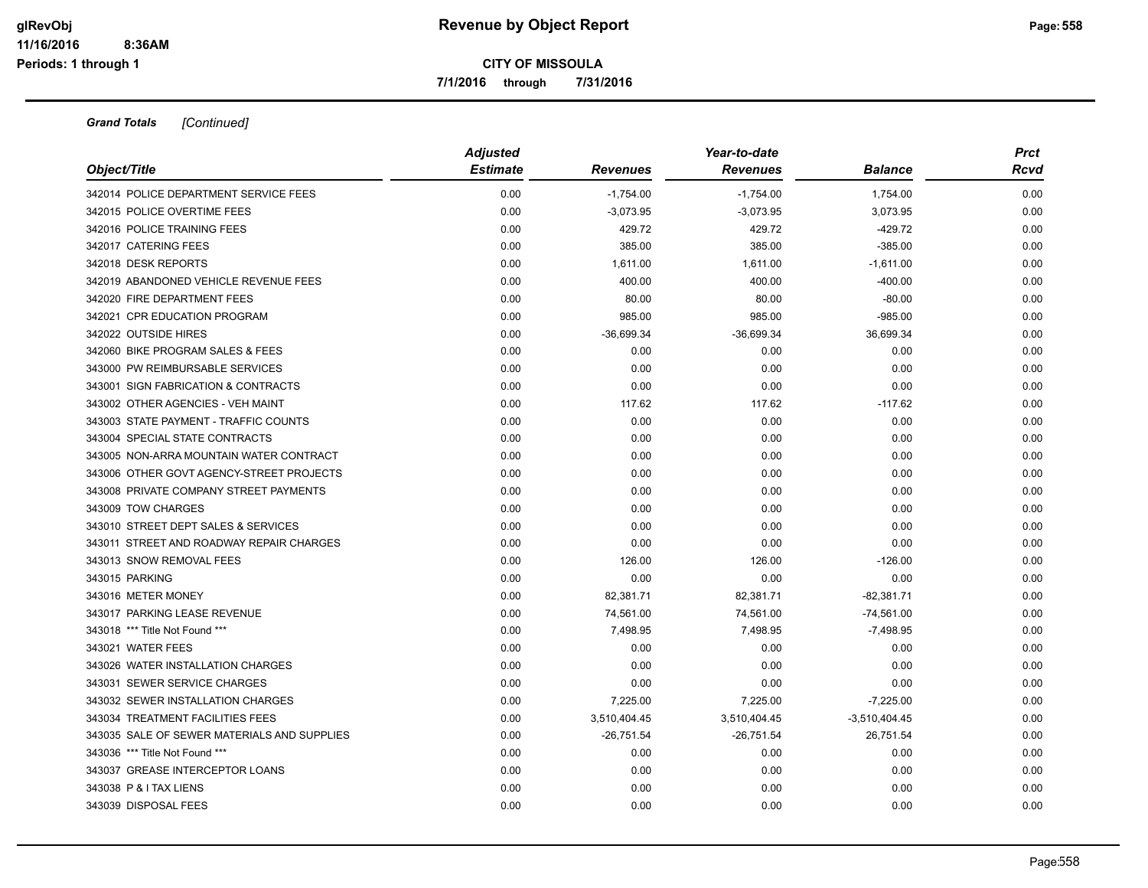**7/1/2016 through 7/31/2016**

| Object/Title                                | <b>Adjusted</b><br><b>Estimate</b> | <b>Revenues</b> | Year-to-date<br><b>Revenues</b> | <b>Balance</b>  | <b>Prct</b><br>Rcvd |
|---------------------------------------------|------------------------------------|-----------------|---------------------------------|-----------------|---------------------|
| 342014 POLICE DEPARTMENT SERVICE FEES       | 0.00                               | $-1,754.00$     | $-1,754.00$                     | 1,754.00        | 0.00                |
| 342015 POLICE OVERTIME FEES                 | 0.00                               | $-3,073.95$     | $-3,073.95$                     | 3,073.95        | 0.00                |
| 342016 POLICE TRAINING FEES                 | 0.00                               | 429.72          | 429.72                          | $-429.72$       | 0.00                |
| 342017 CATERING FEES                        | 0.00                               | 385.00          | 385.00                          | $-385.00$       | 0.00                |
| 342018 DESK REPORTS                         | 0.00                               | 1,611.00        | 1,611.00                        | $-1,611.00$     | 0.00                |
| 342019 ABANDONED VEHICLE REVENUE FEES       | 0.00                               | 400.00          | 400.00                          | $-400.00$       | 0.00                |
| 342020 FIRE DEPARTMENT FEES                 | 0.00                               | 80.00           | 80.00                           | $-80.00$        | 0.00                |
| 342021 CPR EDUCATION PROGRAM                | 0.00                               | 985.00          | 985.00                          | $-985.00$       | 0.00                |
| 342022 OUTSIDE HIRES                        | 0.00                               | $-36,699.34$    | $-36,699.34$                    | 36,699.34       | 0.00                |
| 342060 BIKE PROGRAM SALES & FEES            | 0.00                               | 0.00            | 0.00                            | 0.00            | 0.00                |
| 343000 PW REIMBURSABLE SERVICES             | 0.00                               | 0.00            | 0.00                            | 0.00            | 0.00                |
| 343001 SIGN FABRICATION & CONTRACTS         | 0.00                               | 0.00            | 0.00                            | 0.00            | 0.00                |
| 343002 OTHER AGENCIES - VEH MAINT           | 0.00                               | 117.62          | 117.62                          | $-117.62$       | 0.00                |
| 343003 STATE PAYMENT - TRAFFIC COUNTS       | 0.00                               | 0.00            | 0.00                            | 0.00            | 0.00                |
| 343004 SPECIAL STATE CONTRACTS              | 0.00                               | 0.00            | 0.00                            | 0.00            | 0.00                |
| 343005 NON-ARRA MOUNTAIN WATER CONTRACT     | 0.00                               | 0.00            | 0.00                            | 0.00            | 0.00                |
| 343006 OTHER GOVT AGENCY-STREET PROJECTS    | 0.00                               | 0.00            | 0.00                            | 0.00            | 0.00                |
| 343008 PRIVATE COMPANY STREET PAYMENTS      | 0.00                               | 0.00            | 0.00                            | 0.00            | 0.00                |
| 343009 TOW CHARGES                          | 0.00                               | 0.00            | 0.00                            | 0.00            | 0.00                |
| 343010 STREET DEPT SALES & SERVICES         | 0.00                               | 0.00            | 0.00                            | 0.00            | 0.00                |
| 343011 STREET AND ROADWAY REPAIR CHARGES    | 0.00                               | 0.00            | 0.00                            | 0.00            | 0.00                |
| 343013 SNOW REMOVAL FEES                    | 0.00                               | 126.00          | 126.00                          | $-126.00$       | 0.00                |
| 343015 PARKING                              | 0.00                               | 0.00            | 0.00                            | 0.00            | 0.00                |
| 343016 METER MONEY                          | 0.00                               | 82,381.71       | 82,381.71                       | $-82,381.71$    | 0.00                |
| 343017 PARKING LEASE REVENUE                | 0.00                               | 74,561.00       | 74,561.00                       | $-74,561.00$    | 0.00                |
| 343018 *** Title Not Found ***              | 0.00                               | 7,498.95        | 7,498.95                        | $-7,498.95$     | 0.00                |
| 343021 WATER FEES                           | 0.00                               | 0.00            | 0.00                            | 0.00            | 0.00                |
| 343026 WATER INSTALLATION CHARGES           | 0.00                               | 0.00            | 0.00                            | 0.00            | 0.00                |
| 343031 SEWER SERVICE CHARGES                | 0.00                               | 0.00            | 0.00                            | 0.00            | 0.00                |
| 343032 SEWER INSTALLATION CHARGES           | 0.00                               | 7,225.00        | 7,225.00                        | $-7,225.00$     | 0.00                |
| 343034 TREATMENT FACILITIES FEES            | 0.00                               | 3,510,404.45    | 3,510,404.45                    | $-3,510,404.45$ | 0.00                |
| 343035 SALE OF SEWER MATERIALS AND SUPPLIES | 0.00                               | $-26,751.54$    | $-26,751.54$                    | 26,751.54       | 0.00                |
| 343036 *** Title Not Found ***              | 0.00                               | 0.00            | 0.00                            | 0.00            | 0.00                |
| 343037 GREASE INTERCEPTOR LOANS             | 0.00                               | 0.00            | 0.00                            | 0.00            | 0.00                |
| 343038 P & I TAX LIENS                      | 0.00                               | 0.00            | 0.00                            | 0.00            | 0.00                |
| 343039 DISPOSAL FEES                        | 0.00                               | 0.00            | 0.00                            | 0.00            | 0.00                |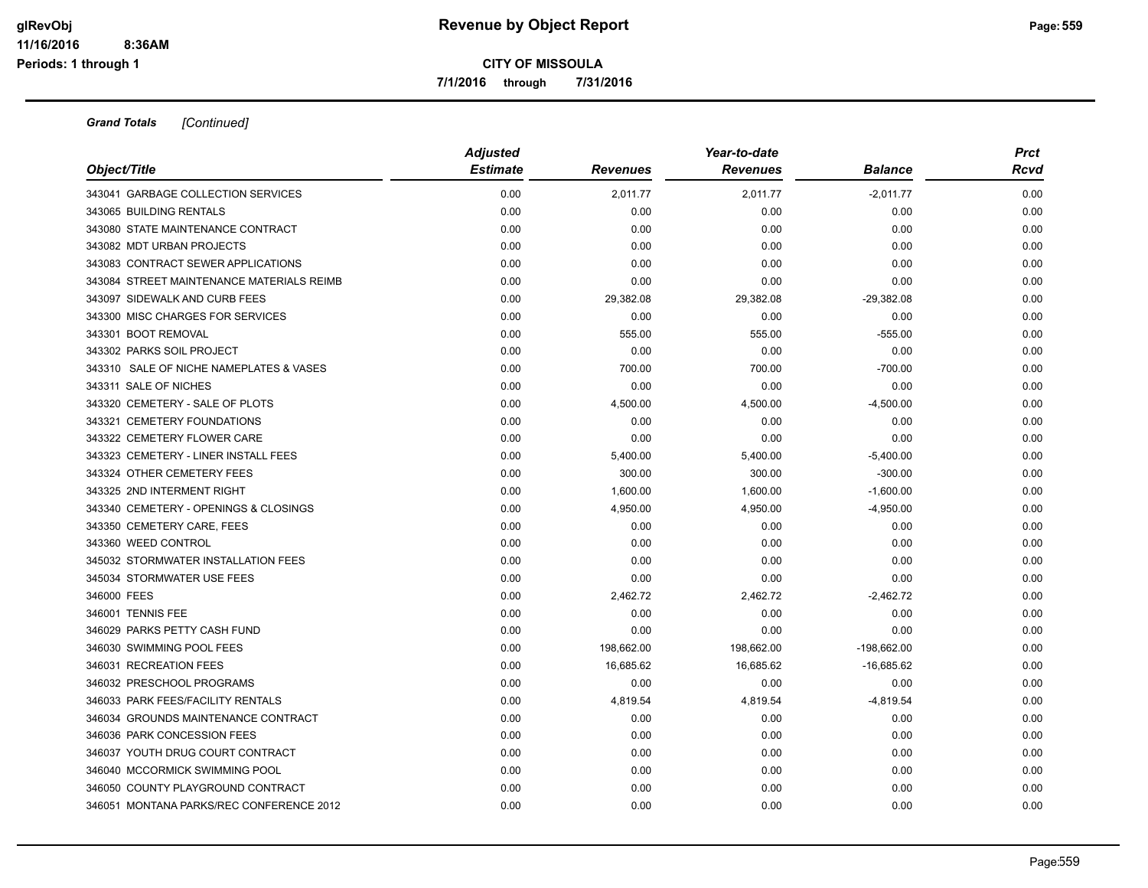**7/1/2016 through 7/31/2016**

| Object/Title                              | <b>Adjusted</b><br><b>Estimate</b> | <b>Revenues</b> | Year-to-date<br><b>Revenues</b> | <b>Balance</b> | <b>Prct</b><br><b>Rcvd</b> |
|-------------------------------------------|------------------------------------|-----------------|---------------------------------|----------------|----------------------------|
| 343041 GARBAGE COLLECTION SERVICES        | 0.00                               | 2,011.77        | 2,011.77                        | $-2,011.77$    | 0.00                       |
| 343065 BUILDING RENTALS                   | 0.00                               | 0.00            | 0.00                            | 0.00           | 0.00                       |
| 343080 STATE MAINTENANCE CONTRACT         | 0.00                               | 0.00            | 0.00                            | 0.00           | 0.00                       |
| 343082 MDT URBAN PROJECTS                 | 0.00                               | 0.00            | 0.00                            | 0.00           | 0.00                       |
| 343083 CONTRACT SEWER APPLICATIONS        | 0.00                               | 0.00            | 0.00                            | 0.00           | 0.00                       |
| 343084 STREET MAINTENANCE MATERIALS REIMB | 0.00                               | 0.00            | 0.00                            | 0.00           | 0.00                       |
| 343097 SIDEWALK AND CURB FEES             | 0.00                               | 29,382.08       | 29,382.08                       | $-29,382.08$   | 0.00                       |
| 343300 MISC CHARGES FOR SERVICES          | 0.00                               | 0.00            | 0.00                            | 0.00           | 0.00                       |
| 343301 BOOT REMOVAL                       | 0.00                               | 555.00          | 555.00                          | $-555.00$      | 0.00                       |
| 343302 PARKS SOIL PROJECT                 | 0.00                               | 0.00            | 0.00                            | 0.00           | 0.00                       |
| 343310 SALE OF NICHE NAMEPLATES & VASES   | 0.00                               | 700.00          | 700.00                          | $-700.00$      | 0.00                       |
| 343311 SALE OF NICHES                     | 0.00                               | 0.00            | 0.00                            | 0.00           | 0.00                       |
| 343320 CEMETERY - SALE OF PLOTS           | 0.00                               | 4,500.00        | 4,500.00                        | $-4,500.00$    | 0.00                       |
| 343321 CEMETERY FOUNDATIONS               | 0.00                               | 0.00            | 0.00                            | 0.00           | 0.00                       |
| 343322 CEMETERY FLOWER CARE               | 0.00                               | 0.00            | 0.00                            | 0.00           | 0.00                       |
| 343323 CEMETERY - LINER INSTALL FEES      | 0.00                               | 5,400.00        | 5,400.00                        | $-5,400.00$    | 0.00                       |
| 343324 OTHER CEMETERY FEES                | 0.00                               | 300.00          | 300.00                          | $-300.00$      | 0.00                       |
| 343325 2ND INTERMENT RIGHT                | 0.00                               | 1,600.00        | 1,600.00                        | $-1,600.00$    | 0.00                       |
| 343340 CEMETERY - OPENINGS & CLOSINGS     | 0.00                               | 4,950.00        | 4,950.00                        | $-4,950.00$    | 0.00                       |
| 343350 CEMETERY CARE, FEES                | 0.00                               | 0.00            | 0.00                            | 0.00           | 0.00                       |
| 343360 WEED CONTROL                       | 0.00                               | 0.00            | 0.00                            | 0.00           | 0.00                       |
| 345032 STORMWATER INSTALLATION FEES       | 0.00                               | 0.00            | 0.00                            | 0.00           | 0.00                       |
| 345034 STORMWATER USE FEES                | 0.00                               | 0.00            | 0.00                            | 0.00           | 0.00                       |
| 346000 FEES                               | 0.00                               | 2,462.72        | 2,462.72                        | $-2,462.72$    | 0.00                       |
| 346001 TENNIS FEE                         | 0.00                               | 0.00            | 0.00                            | 0.00           | 0.00                       |
| 346029 PARKS PETTY CASH FUND              | 0.00                               | 0.00            | 0.00                            | 0.00           | 0.00                       |
| 346030 SWIMMING POOL FEES                 | 0.00                               | 198,662.00      | 198,662.00                      | $-198,662.00$  | 0.00                       |
| 346031 RECREATION FEES                    | 0.00                               | 16,685.62       | 16,685.62                       | $-16,685.62$   | 0.00                       |
| 346032 PRESCHOOL PROGRAMS                 | 0.00                               | 0.00            | 0.00                            | 0.00           | 0.00                       |
| 346033 PARK FEES/FACILITY RENTALS         | 0.00                               | 4,819.54        | 4,819.54                        | $-4,819.54$    | 0.00                       |
| 346034 GROUNDS MAINTENANCE CONTRACT       | 0.00                               | 0.00            | 0.00                            | 0.00           | 0.00                       |
| 346036 PARK CONCESSION FEES               | 0.00                               | 0.00            | 0.00                            | 0.00           | 0.00                       |
| 346037 YOUTH DRUG COURT CONTRACT          | 0.00                               | 0.00            | 0.00                            | 0.00           | 0.00                       |
| 346040 MCCORMICK SWIMMING POOL            | 0.00                               | 0.00            | 0.00                            | 0.00           | 0.00                       |
| 346050 COUNTY PLAYGROUND CONTRACT         | 0.00                               | 0.00            | 0.00                            | 0.00           | 0.00                       |
| 346051 MONTANA PARKS/REC CONFERENCE 2012  | 0.00                               | 0.00            | 0.00                            | 0.00           | 0.00                       |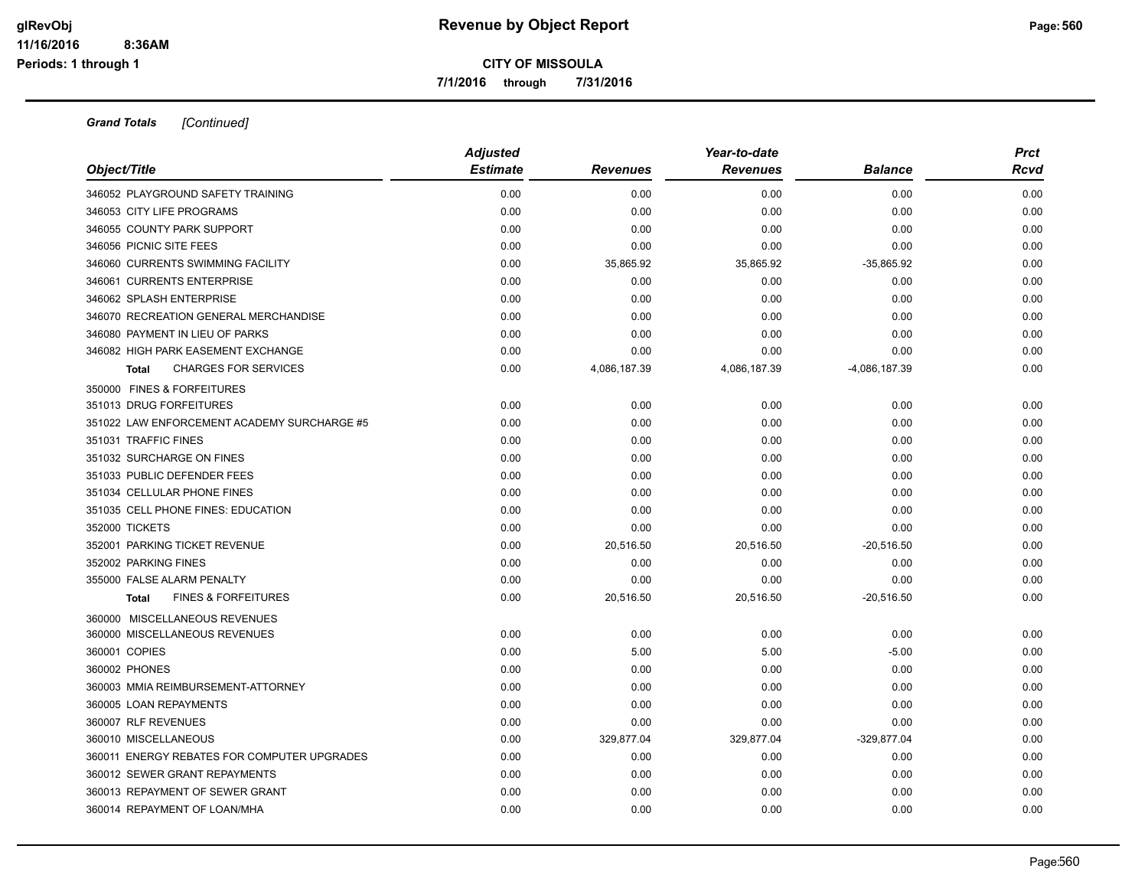**7/1/2016 through 7/31/2016**

| Object/Title                                   | <b>Adjusted</b><br><b>Estimate</b> |                 | Year-to-date<br><b>Revenues</b> | <b>Balance</b> | <b>Prct</b><br>Rcvd |
|------------------------------------------------|------------------------------------|-----------------|---------------------------------|----------------|---------------------|
|                                                |                                    | <b>Revenues</b> |                                 |                |                     |
| 346052 PLAYGROUND SAFETY TRAINING              | 0.00                               | 0.00            | 0.00                            | 0.00           | 0.00                |
| 346053 CITY LIFE PROGRAMS                      | 0.00                               | 0.00            | 0.00                            | 0.00           | 0.00                |
| 346055 COUNTY PARK SUPPORT                     | 0.00                               | 0.00            | 0.00                            | 0.00           | 0.00                |
| 346056 PICNIC SITE FEES                        | 0.00                               | 0.00            | 0.00                            | 0.00           | 0.00                |
| 346060 CURRENTS SWIMMING FACILITY              | 0.00                               | 35,865.92       | 35,865.92                       | $-35,865.92$   | 0.00                |
| 346061 CURRENTS ENTERPRISE                     | 0.00                               | 0.00            | 0.00                            | 0.00           | 0.00                |
| 346062 SPLASH ENTERPRISE                       | 0.00                               | 0.00            | 0.00                            | 0.00           | 0.00                |
| 346070 RECREATION GENERAL MERCHANDISE          | 0.00                               | 0.00            | 0.00                            | 0.00           | 0.00                |
| 346080 PAYMENT IN LIEU OF PARKS                | 0.00                               | 0.00            | 0.00                            | 0.00           | 0.00                |
| 346082 HIGH PARK EASEMENT EXCHANGE             | 0.00                               | 0.00            | 0.00                            | 0.00           | 0.00                |
| <b>CHARGES FOR SERVICES</b><br><b>Total</b>    | 0.00                               | 4,086,187.39    | 4,086,187.39                    | -4,086,187.39  | 0.00                |
| 350000 FINES & FORFEITURES                     |                                    |                 |                                 |                |                     |
| 351013 DRUG FORFEITURES                        | 0.00                               | 0.00            | 0.00                            | 0.00           | 0.00                |
| 351022 LAW ENFORCEMENT ACADEMY SURCHARGE #5    | 0.00                               | 0.00            | 0.00                            | 0.00           | 0.00                |
| 351031 TRAFFIC FINES                           | 0.00                               | 0.00            | 0.00                            | 0.00           | 0.00                |
| 351032 SURCHARGE ON FINES                      | 0.00                               | 0.00            | 0.00                            | 0.00           | 0.00                |
| 351033 PUBLIC DEFENDER FEES                    | 0.00                               | 0.00            | 0.00                            | 0.00           | 0.00                |
| 351034 CELLULAR PHONE FINES                    | 0.00                               | 0.00            | 0.00                            | 0.00           | 0.00                |
| 351035 CELL PHONE FINES: EDUCATION             | 0.00                               | 0.00            | 0.00                            | 0.00           | 0.00                |
| 352000 TICKETS                                 | 0.00                               | 0.00            | 0.00                            | 0.00           | 0.00                |
| 352001 PARKING TICKET REVENUE                  | 0.00                               | 20,516.50       | 20,516.50                       | $-20,516.50$   | 0.00                |
| 352002 PARKING FINES                           | 0.00                               | 0.00            | 0.00                            | 0.00           | 0.00                |
| 355000 FALSE ALARM PENALTY                     | 0.00                               | 0.00            | 0.00                            | 0.00           | 0.00                |
| <b>FINES &amp; FORFEITURES</b><br><b>Total</b> | 0.00                               | 20,516.50       | 20,516.50                       | $-20,516.50$   | 0.00                |
| 360000 MISCELLANEOUS REVENUES                  |                                    |                 |                                 |                |                     |
| 360000 MISCELLANEOUS REVENUES                  | 0.00                               | 0.00            | 0.00                            | 0.00           | 0.00                |
| 360001 COPIES                                  | 0.00                               | 5.00            | 5.00                            | $-5.00$        | 0.00                |
| 360002 PHONES                                  | 0.00                               | 0.00            | 0.00                            | 0.00           | 0.00                |
| 360003 MMIA REIMBURSEMENT-ATTORNEY             | 0.00                               | 0.00            | 0.00                            | 0.00           | 0.00                |
| 360005 LOAN REPAYMENTS                         | 0.00                               | 0.00            | 0.00                            | 0.00           | 0.00                |
| 360007 RLF REVENUES                            | 0.00                               | 0.00            | 0.00                            | 0.00           | 0.00                |
| 360010 MISCELLANEOUS                           | 0.00                               | 329,877.04      | 329,877.04                      | $-329,877.04$  | 0.00                |
| 360011 ENERGY REBATES FOR COMPUTER UPGRADES    | 0.00                               | 0.00            | 0.00                            | 0.00           | 0.00                |
| 360012 SEWER GRANT REPAYMENTS                  | 0.00                               | 0.00            | 0.00                            | 0.00           | 0.00                |
| 360013 REPAYMENT OF SEWER GRANT                | 0.00                               | 0.00            | 0.00                            | 0.00           | 0.00                |
| 360014 REPAYMENT OF LOAN/MHA                   | 0.00                               | 0.00            | 0.00                            | 0.00           | 0.00                |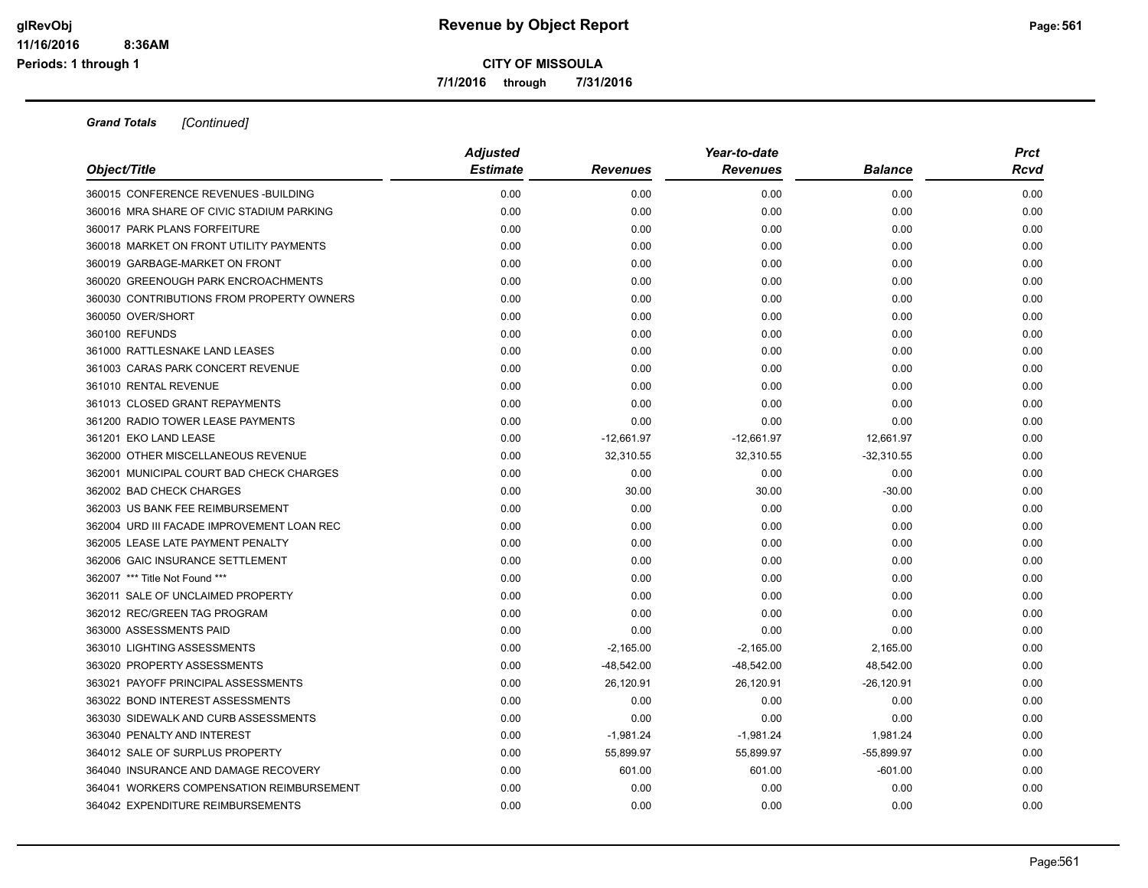**7/1/2016 through 7/31/2016**

| Object/Title                               | <b>Adjusted</b><br><b>Estimate</b> | <b>Revenues</b> | Year-to-date<br><b>Revenues</b> | <b>Balance</b> | <b>Prct</b><br>Rcvd |
|--------------------------------------------|------------------------------------|-----------------|---------------------------------|----------------|---------------------|
| 360015 CONFERENCE REVENUES - BUILDING      | 0.00                               | 0.00            | 0.00                            | 0.00           | 0.00                |
| 360016 MRA SHARE OF CIVIC STADIUM PARKING  | 0.00                               | 0.00            | 0.00                            | 0.00           | 0.00                |
| 360017 PARK PLANS FORFEITURE               | 0.00                               | 0.00            | 0.00                            | 0.00           | 0.00                |
| 360018 MARKET ON FRONT UTILITY PAYMENTS    | 0.00                               | 0.00            | 0.00                            | 0.00           | 0.00                |
| 360019 GARBAGE-MARKET ON FRONT             | 0.00                               | 0.00            | 0.00                            | 0.00           | 0.00                |
| 360020 GREENOUGH PARK ENCROACHMENTS        | 0.00                               | 0.00            | 0.00                            | 0.00           | 0.00                |
| 360030 CONTRIBUTIONS FROM PROPERTY OWNERS  | 0.00                               | 0.00            | 0.00                            | 0.00           | 0.00                |
| 360050 OVER/SHORT                          | 0.00                               | 0.00            | 0.00                            | 0.00           | 0.00                |
| 360100 REFUNDS                             | 0.00                               | 0.00            | 0.00                            | 0.00           | 0.00                |
| 361000 RATTLESNAKE LAND LEASES             | 0.00                               | 0.00            | 0.00                            | 0.00           | 0.00                |
| 361003 CARAS PARK CONCERT REVENUE          | 0.00                               | 0.00            | 0.00                            | 0.00           | 0.00                |
| 361010 RENTAL REVENUE                      | 0.00                               | 0.00            | 0.00                            | 0.00           | 0.00                |
| 361013 CLOSED GRANT REPAYMENTS             | 0.00                               | 0.00            | 0.00                            | 0.00           | 0.00                |
| 361200 RADIO TOWER LEASE PAYMENTS          | 0.00                               | 0.00            | 0.00                            | 0.00           | 0.00                |
| 361201 EKO LAND LEASE                      | 0.00                               | $-12,661.97$    | $-12,661.97$                    | 12,661.97      | 0.00                |
| 362000 OTHER MISCELLANEOUS REVENUE         | 0.00                               | 32,310.55       | 32,310.55                       | $-32,310.55$   | 0.00                |
| 362001 MUNICIPAL COURT BAD CHECK CHARGES   | 0.00                               | 0.00            | 0.00                            | 0.00           | 0.00                |
| 362002 BAD CHECK CHARGES                   | 0.00                               | 30.00           | 30.00                           | $-30.00$       | 0.00                |
| 362003 US BANK FEE REIMBURSEMENT           | 0.00                               | 0.00            | 0.00                            | 0.00           | 0.00                |
| 362004 URD III FACADE IMPROVEMENT LOAN REC | 0.00                               | 0.00            | 0.00                            | 0.00           | 0.00                |
| 362005 LEASE LATE PAYMENT PENALTY          | 0.00                               | 0.00            | 0.00                            | 0.00           | 0.00                |
| 362006 GAIC INSURANCE SETTLEMENT           | 0.00                               | 0.00            | 0.00                            | 0.00           | 0.00                |
| 362007 *** Title Not Found ***             | 0.00                               | 0.00            | 0.00                            | 0.00           | 0.00                |
| 362011 SALE OF UNCLAIMED PROPERTY          | 0.00                               | 0.00            | 0.00                            | 0.00           | 0.00                |
| 362012 REC/GREEN TAG PROGRAM               | 0.00                               | 0.00            | 0.00                            | 0.00           | 0.00                |
| 363000 ASSESSMENTS PAID                    | 0.00                               | 0.00            | 0.00                            | 0.00           | 0.00                |
| 363010 LIGHTING ASSESSMENTS                | 0.00                               | $-2,165.00$     | $-2,165.00$                     | 2,165.00       | 0.00                |
| 363020 PROPERTY ASSESSMENTS                | 0.00                               | $-48,542.00$    | $-48,542.00$                    | 48,542.00      | 0.00                |
| 363021 PAYOFF PRINCIPAL ASSESSMENTS        | 0.00                               | 26,120.91       | 26,120.91                       | $-26, 120.91$  | 0.00                |
| 363022 BOND INTEREST ASSESSMENTS           | 0.00                               | 0.00            | 0.00                            | 0.00           | 0.00                |
| 363030 SIDEWALK AND CURB ASSESSMENTS       | 0.00                               | 0.00            | 0.00                            | 0.00           | 0.00                |
| 363040 PENALTY AND INTEREST                | 0.00                               | $-1,981.24$     | $-1,981.24$                     | 1,981.24       | 0.00                |
| 364012 SALE OF SURPLUS PROPERTY            | 0.00                               | 55,899.97       | 55,899.97                       | $-55,899.97$   | 0.00                |
| 364040 INSURANCE AND DAMAGE RECOVERY       | 0.00                               | 601.00          | 601.00                          | $-601.00$      | 0.00                |
| 364041 WORKERS COMPENSATION REIMBURSEMENT  | 0.00                               | 0.00            | 0.00                            | 0.00           | 0.00                |
| 364042 EXPENDITURE REIMBURSEMENTS          | 0.00                               | 0.00            | 0.00                            | 0.00           | 0.00                |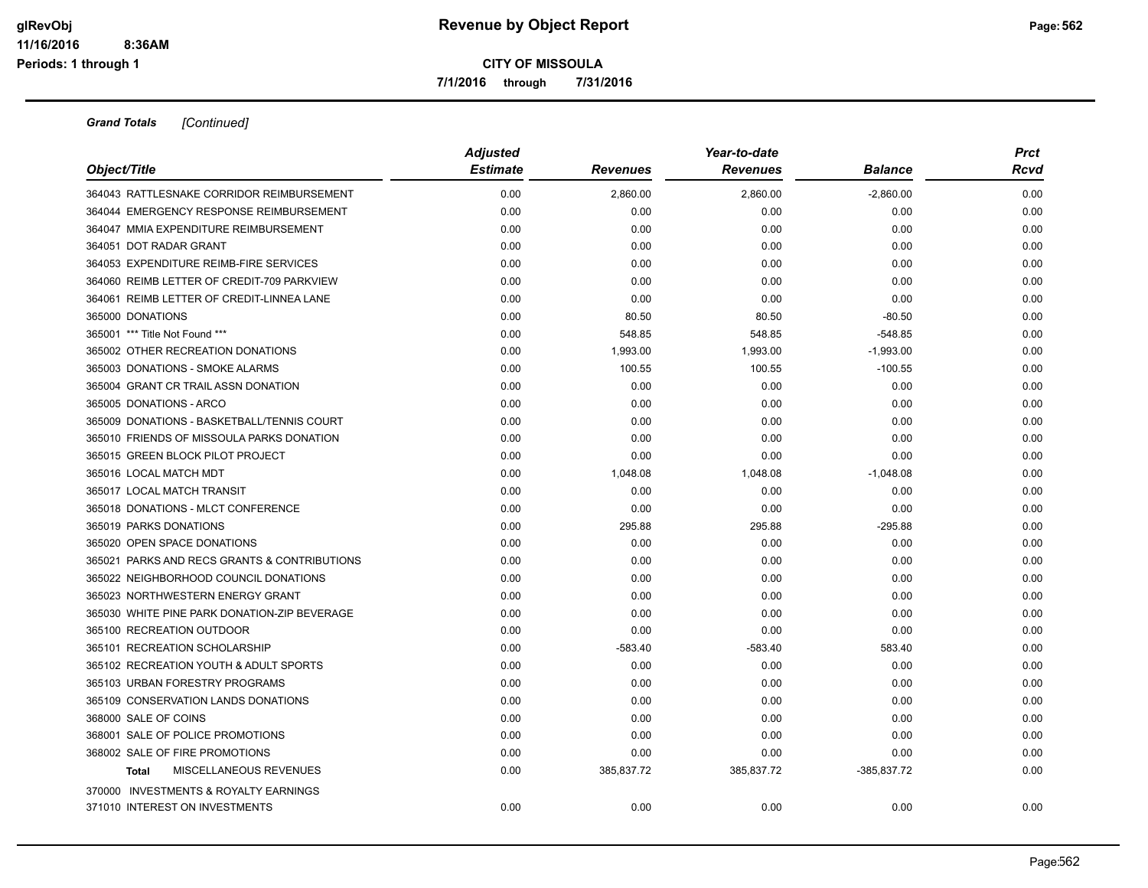**7/1/2016 through 7/31/2016**

| Object/Title                                 | <b>Adjusted</b><br><b>Estimate</b> | <b>Revenues</b> | Year-to-date<br><b>Revenues</b> | <b>Balance</b> | <b>Prct</b><br>Rcvd |
|----------------------------------------------|------------------------------------|-----------------|---------------------------------|----------------|---------------------|
| 364043 RATTLESNAKE CORRIDOR REIMBURSEMENT    | 0.00                               | 2,860.00        | 2,860.00                        | $-2,860.00$    | 0.00                |
| 364044 EMERGENCY RESPONSE REIMBURSEMENT      | 0.00                               | 0.00            | 0.00                            | 0.00           | 0.00                |
| 364047 MMIA EXPENDITURE REIMBURSEMENT        | 0.00                               | 0.00            | 0.00                            | 0.00           | 0.00                |
| 364051 DOT RADAR GRANT                       | 0.00                               | 0.00            | 0.00                            | 0.00           | 0.00                |
| 364053 EXPENDITURE REIMB-FIRE SERVICES       | 0.00                               | 0.00            | 0.00                            | 0.00           | 0.00                |
| 364060 REIMB LETTER OF CREDIT-709 PARKVIEW   | 0.00                               | 0.00            | 0.00                            | 0.00           | 0.00                |
| 364061 REIMB LETTER OF CREDIT-LINNEA LANE    | 0.00                               | 0.00            | 0.00                            | 0.00           | 0.00                |
| 365000 DONATIONS                             | 0.00                               | 80.50           | 80.50                           | $-80.50$       | 0.00                |
| 365001 *** Title Not Found ***               | 0.00                               | 548.85          | 548.85                          | $-548.85$      | 0.00                |
| 365002 OTHER RECREATION DONATIONS            | 0.00                               | 1,993.00        | 1,993.00                        | $-1,993.00$    | 0.00                |
| 365003 DONATIONS - SMOKE ALARMS              | 0.00                               | 100.55          | 100.55                          | $-100.55$      | 0.00                |
| 365004 GRANT CR TRAIL ASSN DONATION          | 0.00                               | 0.00            | 0.00                            | 0.00           | 0.00                |
| 365005 DONATIONS - ARCO                      | 0.00                               | 0.00            | 0.00                            | 0.00           | 0.00                |
| 365009 DONATIONS - BASKETBALL/TENNIS COURT   | 0.00                               | 0.00            | 0.00                            | 0.00           | 0.00                |
| 365010 FRIENDS OF MISSOULA PARKS DONATION    | 0.00                               | 0.00            | 0.00                            | 0.00           | 0.00                |
| 365015 GREEN BLOCK PILOT PROJECT             | 0.00                               | 0.00            | 0.00                            | 0.00           | 0.00                |
| 365016 LOCAL MATCH MDT                       | 0.00                               | 1,048.08        | 1,048.08                        | $-1,048.08$    | 0.00                |
| 365017 LOCAL MATCH TRANSIT                   | 0.00                               | 0.00            | 0.00                            | 0.00           | 0.00                |
| 365018 DONATIONS - MLCT CONFERENCE           | 0.00                               | 0.00            | 0.00                            | 0.00           | 0.00                |
| 365019 PARKS DONATIONS                       | 0.00                               | 295.88          | 295.88                          | $-295.88$      | 0.00                |
| 365020 OPEN SPACE DONATIONS                  | 0.00                               | 0.00            | 0.00                            | 0.00           | 0.00                |
| 365021 PARKS AND RECS GRANTS & CONTRIBUTIONS | 0.00                               | 0.00            | 0.00                            | 0.00           | 0.00                |
| 365022 NEIGHBORHOOD COUNCIL DONATIONS        | 0.00                               | 0.00            | 0.00                            | 0.00           | 0.00                |
| 365023 NORTHWESTERN ENERGY GRANT             | 0.00                               | 0.00            | 0.00                            | 0.00           | 0.00                |
| 365030 WHITE PINE PARK DONATION-ZIP BEVERAGE | 0.00                               | 0.00            | 0.00                            | 0.00           | 0.00                |
| 365100 RECREATION OUTDOOR                    | 0.00                               | 0.00            | 0.00                            | 0.00           | 0.00                |
| 365101 RECREATION SCHOLARSHIP                | 0.00                               | $-583.40$       | $-583.40$                       | 583.40         | 0.00                |
| 365102 RECREATION YOUTH & ADULT SPORTS       | 0.00                               | 0.00            | 0.00                            | 0.00           | 0.00                |
| 365103 URBAN FORESTRY PROGRAMS               | 0.00                               | 0.00            | 0.00                            | 0.00           | 0.00                |
| 365109 CONSERVATION LANDS DONATIONS          | 0.00                               | 0.00            | 0.00                            | 0.00           | 0.00                |
| 368000 SALE OF COINS                         | 0.00                               | 0.00            | 0.00                            | 0.00           | 0.00                |
| 368001 SALE OF POLICE PROMOTIONS             | 0.00                               | 0.00            | 0.00                            | 0.00           | 0.00                |
| 368002 SALE OF FIRE PROMOTIONS               | 0.00                               | 0.00            | 0.00                            | 0.00           | 0.00                |
| MISCELLANEOUS REVENUES<br><b>Total</b>       | 0.00                               | 385,837.72      | 385,837.72                      | $-385,837.72$  | 0.00                |
| 370000 INVESTMENTS & ROYALTY EARNINGS        |                                    |                 |                                 |                |                     |
| 371010 INTEREST ON INVESTMENTS               | 0.00                               | 0.00            | 0.00                            | 0.00           | 0.00                |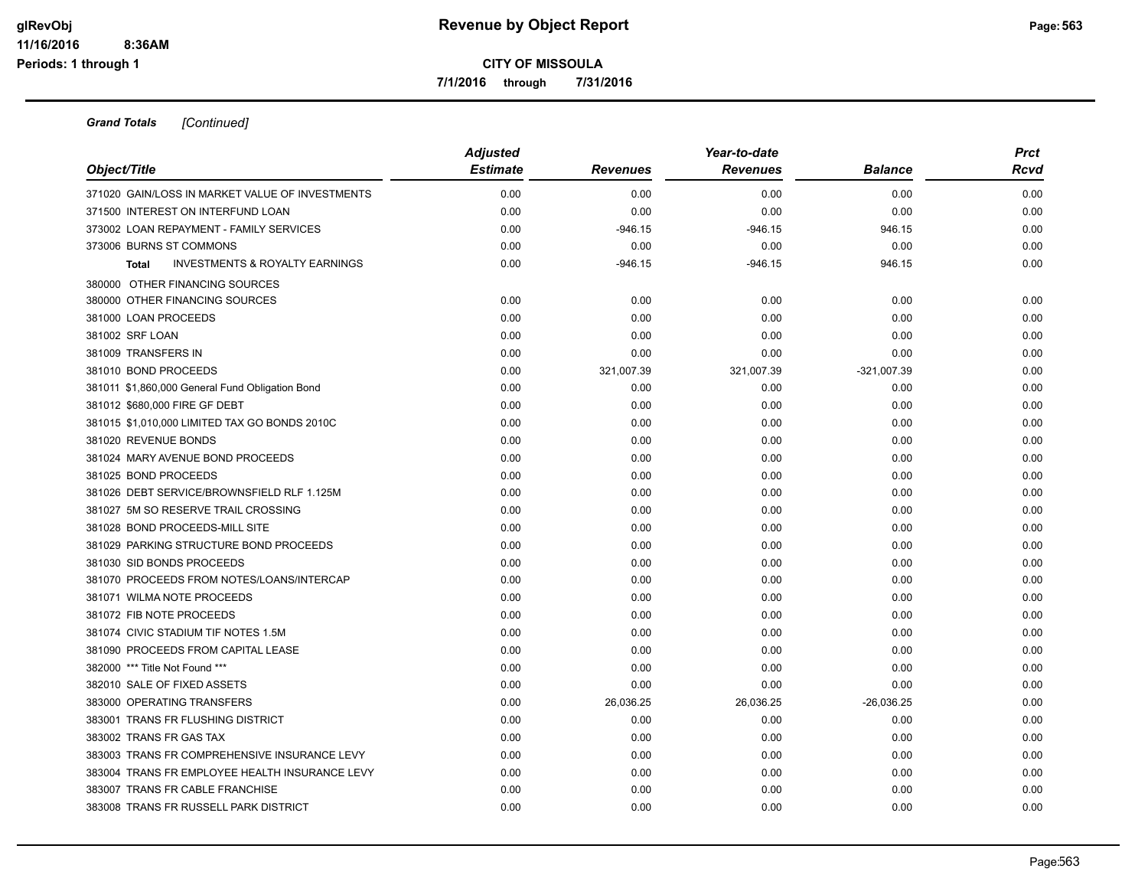**7/1/2016 through 7/31/2016**

| Object/Title                                       | <b>Adjusted</b><br><b>Estimate</b> | <b>Revenues</b> | Year-to-date<br><b>Revenues</b> | <b>Balance</b> | <b>Prct</b><br>Rcvd |
|----------------------------------------------------|------------------------------------|-----------------|---------------------------------|----------------|---------------------|
|                                                    |                                    |                 |                                 |                |                     |
| 371020 GAIN/LOSS IN MARKET VALUE OF INVESTMENTS    | 0.00                               | 0.00            | 0.00                            | 0.00           | 0.00                |
| 371500 INTEREST ON INTERFUND LOAN                  | 0.00                               | 0.00            | 0.00                            | 0.00           | 0.00                |
| 373002 LOAN REPAYMENT - FAMILY SERVICES            | 0.00                               | $-946.15$       | $-946.15$                       | 946.15         | 0.00                |
| 373006 BURNS ST COMMONS                            | 0.00                               | 0.00            | 0.00                            | 0.00           | 0.00                |
| <b>INVESTMENTS &amp; ROYALTY EARNINGS</b><br>Total | 0.00                               | $-946.15$       | $-946.15$                       | 946.15         | 0.00                |
| 380000 OTHER FINANCING SOURCES                     |                                    |                 |                                 |                |                     |
| 380000 OTHER FINANCING SOURCES                     | 0.00                               | 0.00            | 0.00                            | 0.00           | 0.00                |
| 381000 LOAN PROCEEDS                               | 0.00                               | 0.00            | 0.00                            | 0.00           | 0.00                |
| 381002 SRF LOAN                                    | 0.00                               | 0.00            | 0.00                            | 0.00           | 0.00                |
| 381009 TRANSFERS IN                                | 0.00                               | 0.00            | 0.00                            | 0.00           | 0.00                |
| 381010 BOND PROCEEDS                               | 0.00                               | 321,007.39      | 321,007.39                      | $-321,007.39$  | 0.00                |
| 381011 \$1,860,000 General Fund Obligation Bond    | 0.00                               | 0.00            | 0.00                            | 0.00           | 0.00                |
| 381012 \$680,000 FIRE GF DEBT                      | 0.00                               | 0.00            | 0.00                            | 0.00           | 0.00                |
| 381015 \$1,010,000 LIMITED TAX GO BONDS 2010C      | 0.00                               | 0.00            | 0.00                            | 0.00           | 0.00                |
| 381020 REVENUE BONDS                               | 0.00                               | 0.00            | 0.00                            | 0.00           | 0.00                |
| 381024 MARY AVENUE BOND PROCEEDS                   | 0.00                               | 0.00            | 0.00                            | 0.00           | 0.00                |
| 381025 BOND PROCEEDS                               | 0.00                               | 0.00            | 0.00                            | 0.00           | 0.00                |
| 381026 DEBT SERVICE/BROWNSFIELD RLF 1.125M         | 0.00                               | 0.00            | 0.00                            | 0.00           | 0.00                |
| 381027 5M SO RESERVE TRAIL CROSSING                | 0.00                               | 0.00            | 0.00                            | 0.00           | 0.00                |
| 381028 BOND PROCEEDS-MILL SITE                     | 0.00                               | 0.00            | 0.00                            | 0.00           | 0.00                |
| 381029 PARKING STRUCTURE BOND PROCEEDS             | 0.00                               | 0.00            | 0.00                            | 0.00           | 0.00                |
| 381030 SID BONDS PROCEEDS                          | 0.00                               | 0.00            | 0.00                            | 0.00           | 0.00                |
| 381070 PROCEEDS FROM NOTES/LOANS/INTERCAP          | 0.00                               | 0.00            | 0.00                            | 0.00           | 0.00                |
| 381071 WILMA NOTE PROCEEDS                         | 0.00                               | 0.00            | 0.00                            | 0.00           | 0.00                |
| 381072 FIB NOTE PROCEEDS                           | 0.00                               | 0.00            | 0.00                            | 0.00           | 0.00                |
| 381074 CIVIC STADIUM TIF NOTES 1.5M                | 0.00                               | 0.00            | 0.00                            | 0.00           | 0.00                |
| 381090 PROCEEDS FROM CAPITAL LEASE                 | 0.00                               | 0.00            | 0.00                            | 0.00           | 0.00                |
| 382000 *** Title Not Found ***                     | 0.00                               | 0.00            | 0.00                            | 0.00           | 0.00                |
| 382010 SALE OF FIXED ASSETS                        | 0.00                               | 0.00            | 0.00                            | 0.00           | 0.00                |
| 383000 OPERATING TRANSFERS                         | 0.00                               | 26,036.25       | 26,036.25                       | $-26,036.25$   | 0.00                |
| 383001 TRANS FR FLUSHING DISTRICT                  | 0.00                               | 0.00            | 0.00                            | 0.00           | 0.00                |
| 383002 TRANS FR GAS TAX                            | 0.00                               | 0.00            | 0.00                            | 0.00           | 0.00                |
| 383003 TRANS FR COMPREHENSIVE INSURANCE LEVY       | 0.00                               | 0.00            | 0.00                            | 0.00           | 0.00                |
| 383004 TRANS FR EMPLOYEE HEALTH INSURANCE LEVY     | 0.00                               | 0.00            | 0.00                            | 0.00           | 0.00                |
| 383007 TRANS FR CABLE FRANCHISE                    | 0.00                               | 0.00            | 0.00                            | 0.00           | 0.00                |
| 383008 TRANS FR RUSSELL PARK DISTRICT              | 0.00                               | 0.00            | 0.00                            | 0.00           | 0.00                |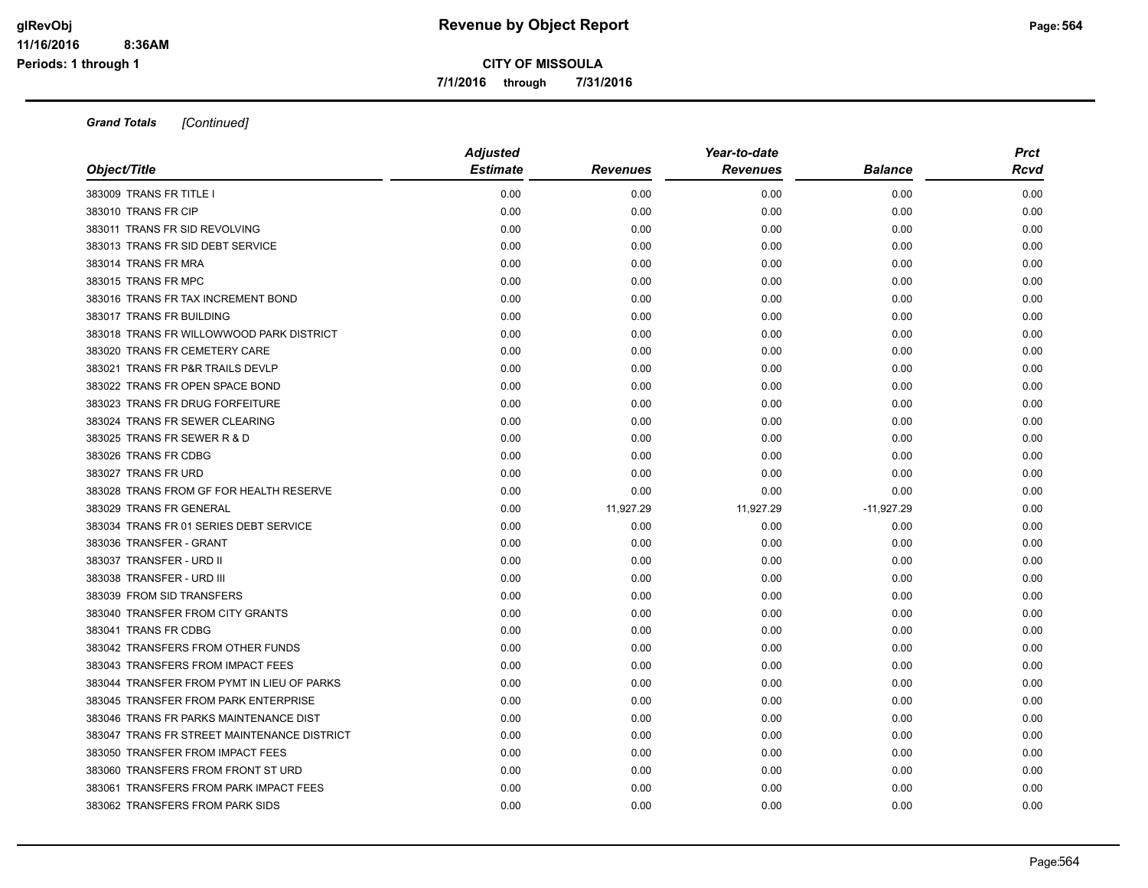**7/1/2016 through 7/31/2016**

| Object/Title                                | <b>Adjusted</b> |                 | Year-to-date    |                | <b>Prct</b> |  |
|---------------------------------------------|-----------------|-----------------|-----------------|----------------|-------------|--|
|                                             | <b>Estimate</b> | <b>Revenues</b> | <b>Revenues</b> | <b>Balance</b> | <b>Rcvd</b> |  |
| 383009 TRANS FR TITLE I                     | 0.00            | 0.00            | 0.00            | 0.00           | 0.00        |  |
| 383010 TRANS FR CIP                         | 0.00            | 0.00            | 0.00            | 0.00           | 0.00        |  |
| 383011 TRANS FR SID REVOLVING               | 0.00            | 0.00            | 0.00            | 0.00           | 0.00        |  |
| 383013 TRANS FR SID DEBT SERVICE            | 0.00            | 0.00            | 0.00            | 0.00           | 0.00        |  |
| 383014 TRANS FR MRA                         | 0.00            | 0.00            | 0.00            | 0.00           | 0.00        |  |
| 383015 TRANS FR MPC                         | 0.00            | 0.00            | 0.00            | 0.00           | 0.00        |  |
| 383016 TRANS FR TAX INCREMENT BOND          | 0.00            | 0.00            | 0.00            | 0.00           | 0.00        |  |
| 383017 TRANS FR BUILDING                    | 0.00            | 0.00            | 0.00            | 0.00           | 0.00        |  |
| 383018 TRANS FR WILLOWWOOD PARK DISTRICT    | 0.00            | 0.00            | 0.00            | 0.00           | 0.00        |  |
| 383020 TRANS FR CEMETERY CARE               | 0.00            | 0.00            | 0.00            | 0.00           | 0.00        |  |
| 383021 TRANS FR P&R TRAILS DEVLP            | 0.00            | 0.00            | 0.00            | 0.00           | 0.00        |  |
| 383022 TRANS FR OPEN SPACE BOND             | 0.00            | 0.00            | 0.00            | 0.00           | 0.00        |  |
| 383023 TRANS FR DRUG FORFEITURE             | 0.00            | 0.00            | 0.00            | 0.00           | 0.00        |  |
| 383024 TRANS FR SEWER CLEARING              | 0.00            | 0.00            | 0.00            | 0.00           | 0.00        |  |
| 383025 TRANS FR SEWER R & D                 | 0.00            | 0.00            | 0.00            | 0.00           | 0.00        |  |
| 383026 TRANS FR CDBG                        | 0.00            | 0.00            | 0.00            | 0.00           | 0.00        |  |
| 383027 TRANS FR URD                         | 0.00            | 0.00            | 0.00            | 0.00           | 0.00        |  |
| 383028 TRANS FROM GF FOR HEALTH RESERVE     | 0.00            | 0.00            | 0.00            | 0.00           | 0.00        |  |
| 383029 TRANS FR GENERAL                     | 0.00            | 11,927.29       | 11,927.29       | $-11,927.29$   | 0.00        |  |
| 383034 TRANS FR 01 SERIES DEBT SERVICE      | 0.00            | 0.00            | 0.00            | 0.00           | 0.00        |  |
| 383036 TRANSFER - GRANT                     | 0.00            | 0.00            | 0.00            | 0.00           | 0.00        |  |
| 383037 TRANSFER - URD II                    | 0.00            | 0.00            | 0.00            | 0.00           | 0.00        |  |
| 383038 TRANSFER - URD III                   | 0.00            | 0.00            | 0.00            | 0.00           | 0.00        |  |
| 383039 FROM SID TRANSFERS                   | 0.00            | 0.00            | 0.00            | 0.00           | 0.00        |  |
| 383040 TRANSFER FROM CITY GRANTS            | 0.00            | 0.00            | 0.00            | 0.00           | 0.00        |  |
| 383041 TRANS FR CDBG                        | 0.00            | 0.00            | 0.00            | 0.00           | 0.00        |  |
| 383042 TRANSFERS FROM OTHER FUNDS           | 0.00            | 0.00            | 0.00            | 0.00           | 0.00        |  |
| 383043 TRANSFERS FROM IMPACT FEES           | 0.00            | 0.00            | 0.00            | 0.00           | 0.00        |  |
| 383044 TRANSFER FROM PYMT IN LIEU OF PARKS  | 0.00            | 0.00            | 0.00            | 0.00           | 0.00        |  |
| 383045 TRANSFER FROM PARK ENTERPRISE        | 0.00            | 0.00            | 0.00            | 0.00           | 0.00        |  |
| 383046 TRANS FR PARKS MAINTENANCE DIST      | 0.00            | 0.00            | 0.00            | 0.00           | 0.00        |  |
| 383047 TRANS FR STREET MAINTENANCE DISTRICT | 0.00            | 0.00            | 0.00            | 0.00           | 0.00        |  |
| 383050 TRANSFER FROM IMPACT FEES            | 0.00            | 0.00            | 0.00            | 0.00           | 0.00        |  |
| 383060 TRANSFERS FROM FRONT ST URD          | 0.00            | 0.00            | 0.00            | 0.00           | 0.00        |  |
| 383061 TRANSFERS FROM PARK IMPACT FEES      | 0.00            | 0.00            | 0.00            | 0.00           | 0.00        |  |
| 383062 TRANSFERS FROM PARK SIDS             | 0.00            | 0.00            | 0.00            | 0.00           | 0.00        |  |